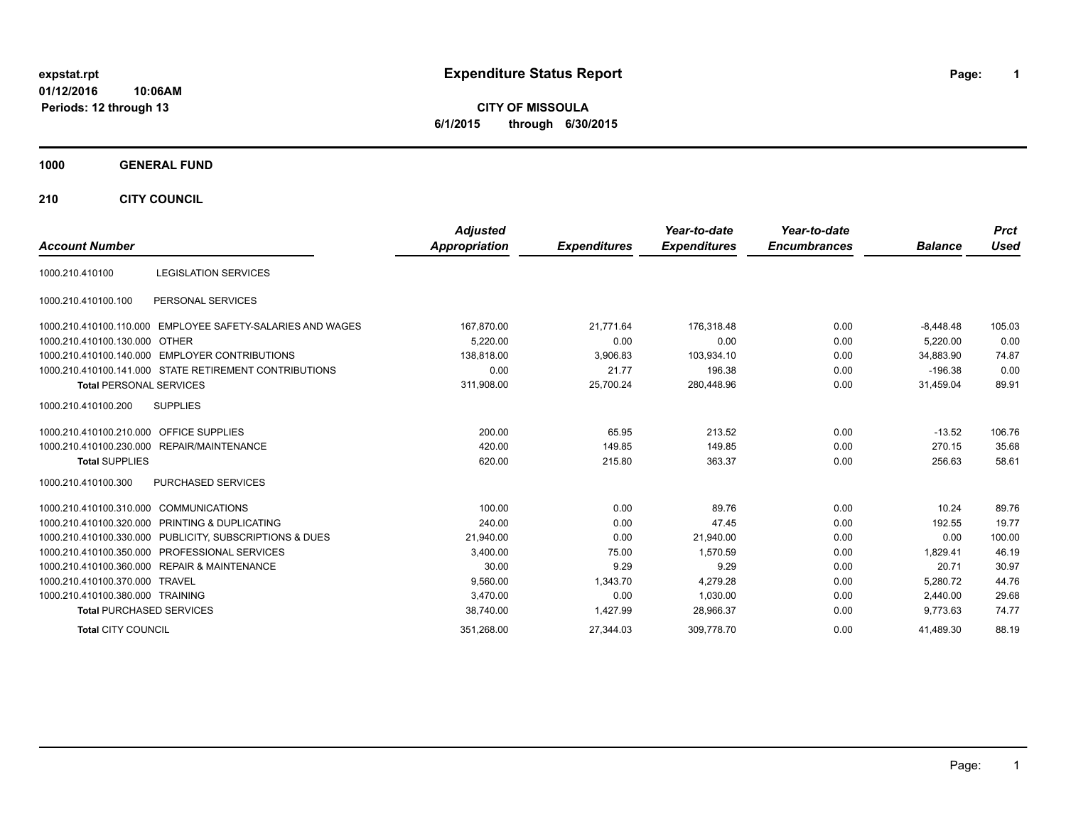# **expstat.rpt Expenditure Status Report Page:**

**1**

**CITY OF MISSOULA 6/1/2015 through 6/30/2015**

### **1000 GENERAL FUND**

**210 CITY COUNCIL**

|                                                            | <b>Adjusted</b>      |                     | Year-to-date        | Year-to-date        |                | <b>Prct</b> |
|------------------------------------------------------------|----------------------|---------------------|---------------------|---------------------|----------------|-------------|
| <b>Account Number</b>                                      | <b>Appropriation</b> | <b>Expenditures</b> | <b>Expenditures</b> | <b>Encumbrances</b> | <b>Balance</b> | <b>Used</b> |
| <b>LEGISLATION SERVICES</b><br>1000.210.410100             |                      |                     |                     |                     |                |             |
| PERSONAL SERVICES<br>1000.210.410100.100                   |                      |                     |                     |                     |                |             |
| 1000.210.410100.110.000 EMPLOYEE SAFETY-SALARIES AND WAGES | 167,870.00           | 21,771.64           | 176.318.48          | 0.00                | $-8,448.48$    | 105.03      |
| 1000.210.410100.130.000 OTHER                              | 5.220.00             | 0.00                | 0.00                | 0.00                | 5,220.00       | 0.00        |
| 1000.210.410100.140.000 EMPLOYER CONTRIBUTIONS             | 138.818.00           | 3,906.83            | 103,934.10          | 0.00                | 34.883.90      | 74.87       |
| 1000.210.410100.141.000 STATE RETIREMENT CONTRIBUTIONS     | 0.00                 | 21.77               | 196.38              | 0.00                | $-196.38$      | 0.00        |
| <b>Total PERSONAL SERVICES</b>                             | 311,908.00           | 25,700.24           | 280,448.96          | 0.00                | 31,459.04      | 89.91       |
| <b>SUPPLIES</b><br>1000.210.410100.200                     |                      |                     |                     |                     |                |             |
| 1000.210.410100.210.000 OFFICE SUPPLIES                    | 200.00               | 65.95               | 213.52              | 0.00                | $-13.52$       | 106.76      |
| 1000.210.410100.230.000 REPAIR/MAINTENANCE                 | 420.00               | 149.85              | 149.85              | 0.00                | 270.15         | 35.68       |
| <b>Total SUPPLIES</b>                                      | 620.00               | 215.80              | 363.37              | 0.00                | 256.63         | 58.61       |
| <b>PURCHASED SERVICES</b><br>1000.210.410100.300           |                      |                     |                     |                     |                |             |
| 1000.210.410100.310.000 COMMUNICATIONS                     | 100.00               | 0.00                | 89.76               | 0.00                | 10.24          | 89.76       |
| 1000.210.410100.320.000 PRINTING & DUPLICATING             | 240.00               | 0.00                | 47.45               | 0.00                | 192.55         | 19.77       |
| 1000.210.410100.330.000 PUBLICITY, SUBSCRIPTIONS & DUES    | 21,940.00            | 0.00                | 21,940.00           | 0.00                | 0.00           | 100.00      |
| 1000.210.410100.350.000 PROFESSIONAL SERVICES              | 3,400.00             | 75.00               | 1,570.59            | 0.00                | 1.829.41       | 46.19       |
| 1000.210.410100.360.000 REPAIR & MAINTENANCE               | 30.00                | 9.29                | 9.29                | 0.00                | 20.71          | 30.97       |
| 1000.210.410100.370.000 TRAVEL                             | 9,560.00             | 1,343.70            | 4,279.28            | 0.00                | 5.280.72       | 44.76       |
| 1000.210.410100.380.000 TRAINING                           | 3.470.00             | 0.00                | 1,030.00            | 0.00                | 2.440.00       | 29.68       |
| <b>Total PURCHASED SERVICES</b>                            | 38,740.00            | 1,427.99            | 28,966.37           | 0.00                | 9.773.63       | 74.77       |
| <b>Total CITY COUNCIL</b>                                  | 351,268.00           | 27,344.03           | 309,778.70          | 0.00                | 41,489.30      | 88.19       |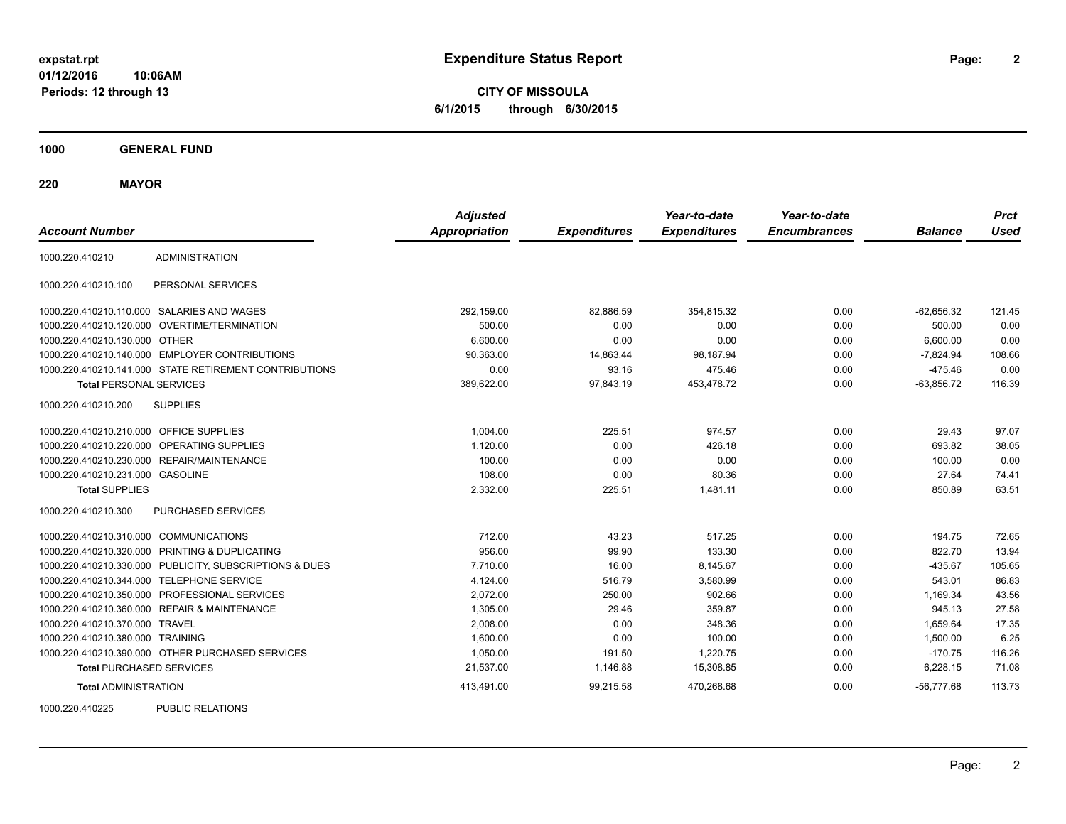**CITY OF MISSOULA 6/1/2015 through 6/30/2015**

**1000 GENERAL FUND**

**220 MAYOR**

| <b>Account Number</b>                   |                                                         | <b>Adjusted</b><br><b>Appropriation</b> | <b>Expenditures</b> | Year-to-date<br><b>Expenditures</b> | Year-to-date<br><b>Encumbrances</b> | <b>Balance</b> | <b>Prct</b><br><b>Used</b> |
|-----------------------------------------|---------------------------------------------------------|-----------------------------------------|---------------------|-------------------------------------|-------------------------------------|----------------|----------------------------|
| 1000.220.410210                         | <b>ADMINISTRATION</b>                                   |                                         |                     |                                     |                                     |                |                            |
| 1000.220.410210.100                     | PERSONAL SERVICES                                       |                                         |                     |                                     |                                     |                |                            |
|                                         | 1000.220.410210.110.000 SALARIES AND WAGES              | 292,159.00                              | 82,886.59           | 354,815.32                          | 0.00                                | $-62,656.32$   | 121.45                     |
|                                         | 1000.220.410210.120.000 OVERTIME/TERMINATION            | 500.00                                  | 0.00                | 0.00                                | 0.00                                | 500.00         | 0.00                       |
| 1000.220.410210.130.000 OTHER           |                                                         | 6,600.00                                | 0.00                | 0.00                                | 0.00                                | 6,600.00       | 0.00                       |
|                                         | 1000.220.410210.140.000 EMPLOYER CONTRIBUTIONS          | 90,363.00                               | 14,863.44           | 98,187.94                           | 0.00                                | $-7,824.94$    | 108.66                     |
|                                         | 1000.220.410210.141.000 STATE RETIREMENT CONTRIBUTIONS  | 0.00                                    | 93.16               | 475.46                              | 0.00                                | $-475.46$      | 0.00                       |
| <b>Total PERSONAL SERVICES</b>          |                                                         | 389,622.00                              | 97,843.19           | 453,478.72                          | 0.00                                | $-63,856.72$   | 116.39                     |
| 1000.220.410210.200                     | <b>SUPPLIES</b>                                         |                                         |                     |                                     |                                     |                |                            |
| 1000.220.410210.210.000 OFFICE SUPPLIES |                                                         | 1,004.00                                | 225.51              | 974.57                              | 0.00                                | 29.43          | 97.07                      |
|                                         | 1000.220.410210.220.000 OPERATING SUPPLIES              | 1,120.00                                | 0.00                | 426.18                              | 0.00                                | 693.82         | 38.05                      |
|                                         | 1000.220.410210.230.000 REPAIR/MAINTENANCE              | 100.00                                  | 0.00                | 0.00                                | 0.00                                | 100.00         | 0.00                       |
| 1000.220.410210.231.000 GASOLINE        |                                                         | 108.00                                  | 0.00                | 80.36                               | 0.00                                | 27.64          | 74.41                      |
| <b>Total SUPPLIES</b>                   |                                                         | 2,332.00                                | 225.51              | 1,481.11                            | 0.00                                | 850.89         | 63.51                      |
| 1000.220.410210.300                     | PURCHASED SERVICES                                      |                                         |                     |                                     |                                     |                |                            |
| 1000.220.410210.310.000 COMMUNICATIONS  |                                                         | 712.00                                  | 43.23               | 517.25                              | 0.00                                | 194.75         | 72.65                      |
|                                         | 1000.220.410210.320.000 PRINTING & DUPLICATING          | 956.00                                  | 99.90               | 133.30                              | 0.00                                | 822.70         | 13.94                      |
|                                         | 1000.220.410210.330.000 PUBLICITY, SUBSCRIPTIONS & DUES | 7,710.00                                | 16.00               | 8,145.67                            | 0.00                                | $-435.67$      | 105.65                     |
|                                         | 1000.220.410210.344.000 TELEPHONE SERVICE               | 4,124.00                                | 516.79              | 3,580.99                            | 0.00                                | 543.01         | 86.83                      |
|                                         | 1000.220.410210.350.000 PROFESSIONAL SERVICES           | 2,072.00                                | 250.00              | 902.66                              | 0.00                                | 1,169.34       | 43.56                      |
|                                         | 1000.220.410210.360.000 REPAIR & MAINTENANCE            | 1,305.00                                | 29.46               | 359.87                              | 0.00                                | 945.13         | 27.58                      |
| 1000.220.410210.370.000 TRAVEL          |                                                         | 2,008.00                                | 0.00                | 348.36                              | 0.00                                | 1,659.64       | 17.35                      |
| 1000.220.410210.380.000 TRAINING        |                                                         | 1,600.00                                | 0.00                | 100.00                              | 0.00                                | 1,500.00       | 6.25                       |
|                                         | 1000.220.410210.390.000 OTHER PURCHASED SERVICES        | 1,050.00                                | 191.50              | 1,220.75                            | 0.00                                | $-170.75$      | 116.26                     |
| <b>Total PURCHASED SERVICES</b>         |                                                         | 21,537.00                               | 1,146.88            | 15,308.85                           | 0.00                                | 6,228.15       | 71.08                      |
| <b>Total ADMINISTRATION</b>             |                                                         | 413,491.00                              | 99,215.58           | 470,268.68                          | 0.00                                | $-56,777.68$   | 113.73                     |
| 1000000110005                           | <b>DUDLIO DEL ATIONO</b>                                |                                         |                     |                                     |                                     |                |                            |

1000.220.410225 PUBLIC RELATIONS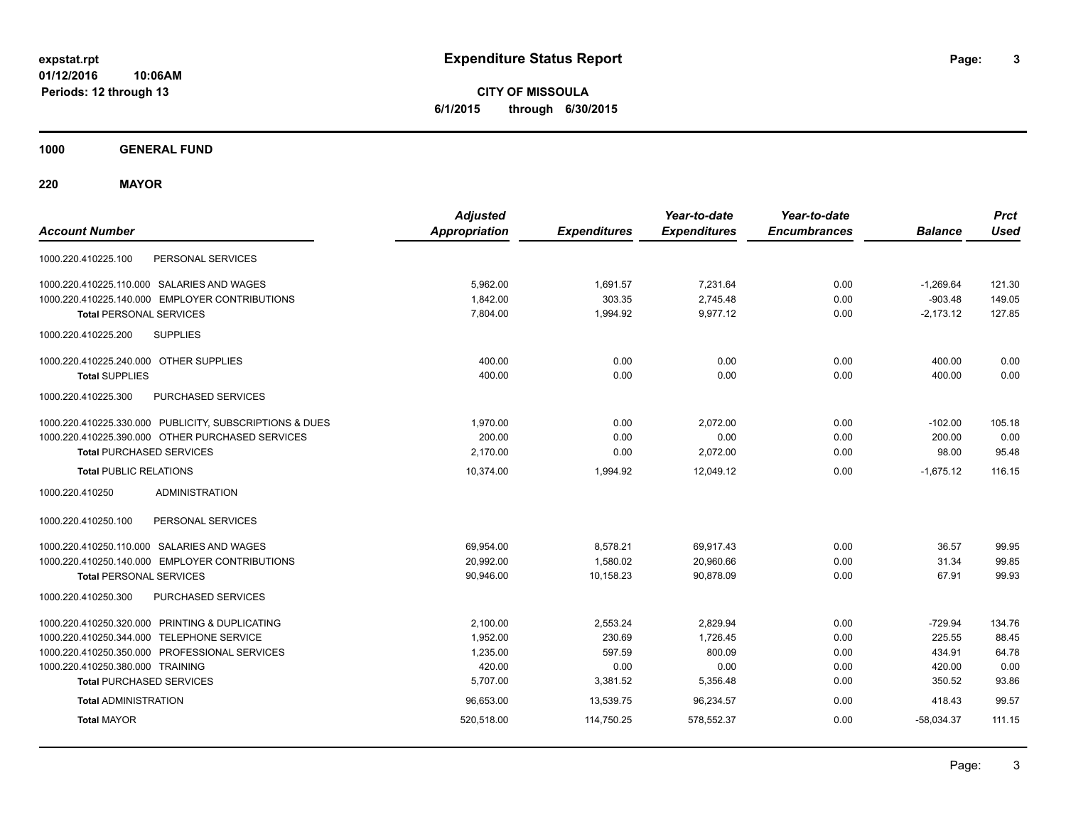**CITY OF MISSOULA 6/1/2015 through 6/30/2015**

**1000 GENERAL FUND**

**220 MAYOR**

| <b>Account Number</b>                                   | <b>Adjusted</b><br><b>Appropriation</b> | <b>Expenditures</b> | Year-to-date<br><b>Expenditures</b> | Year-to-date<br><b>Encumbrances</b> | <b>Balance</b> | <b>Prct</b><br><b>Used</b> |
|---------------------------------------------------------|-----------------------------------------|---------------------|-------------------------------------|-------------------------------------|----------------|----------------------------|
| PERSONAL SERVICES<br>1000.220.410225.100                |                                         |                     |                                     |                                     |                |                            |
| 1000.220.410225.110.000 SALARIES AND WAGES              | 5,962.00                                | 1,691.57            | 7,231.64                            | 0.00                                | $-1,269.64$    | 121.30                     |
| 1000.220.410225.140.000 EMPLOYER CONTRIBUTIONS          | 1,842.00                                | 303.35              | 2,745.48                            | 0.00                                | $-903.48$      | 149.05                     |
| <b>Total PERSONAL SERVICES</b>                          | 7,804.00                                | 1,994.92            | 9,977.12                            | 0.00                                | $-2,173.12$    | 127.85                     |
| 1000.220.410225.200<br><b>SUPPLIES</b>                  |                                         |                     |                                     |                                     |                |                            |
| 1000.220.410225.240.000 OTHER SUPPLIES                  | 400.00                                  | 0.00                | 0.00                                | 0.00                                | 400.00         | 0.00                       |
| <b>Total SUPPLIES</b>                                   | 400.00                                  | 0.00                | 0.00                                | 0.00                                | 400.00         | 0.00                       |
| 1000.220.410225.300<br>PURCHASED SERVICES               |                                         |                     |                                     |                                     |                |                            |
| 1000.220.410225.330.000 PUBLICITY, SUBSCRIPTIONS & DUES | 1,970.00                                | 0.00                | 2,072.00                            | 0.00                                | $-102.00$      | 105.18                     |
| 1000.220.410225.390.000 OTHER PURCHASED SERVICES        | 200.00                                  | 0.00                | 0.00                                | 0.00                                | 200.00         | 0.00                       |
| <b>Total PURCHASED SERVICES</b>                         | 2,170.00                                | 0.00                | 2,072.00                            | 0.00                                | 98.00          | 95.48                      |
| <b>Total PUBLIC RELATIONS</b>                           | 10,374.00                               | 1,994.92            | 12,049.12                           | 0.00                                | $-1,675.12$    | 116.15                     |
| 1000.220.410250<br><b>ADMINISTRATION</b>                |                                         |                     |                                     |                                     |                |                            |
| 1000.220.410250.100<br>PERSONAL SERVICES                |                                         |                     |                                     |                                     |                |                            |
| 1000.220.410250.110.000 SALARIES AND WAGES              | 69,954.00                               | 8,578.21            | 69,917.43                           | 0.00                                | 36.57          | 99.95                      |
| 1000.220.410250.140.000 EMPLOYER CONTRIBUTIONS          | 20,992.00                               | 1,580.02            | 20,960.66                           | 0.00                                | 31.34          | 99.85                      |
| <b>Total PERSONAL SERVICES</b>                          | 90,946.00                               | 10,158.23           | 90,878.09                           | 0.00                                | 67.91          | 99.93                      |
| 1000.220.410250.300<br>PURCHASED SERVICES               |                                         |                     |                                     |                                     |                |                            |
| 1000.220.410250.320.000 PRINTING & DUPLICATING          | 2,100.00                                | 2,553.24            | 2,829.94                            | 0.00                                | $-729.94$      | 134.76                     |
| 1000.220.410250.344.000 TELEPHONE SERVICE               | 1,952.00                                | 230.69              | 1,726.45                            | 0.00                                | 225.55         | 88.45                      |
| 1000.220.410250.350.000 PROFESSIONAL SERVICES           | 1,235.00                                | 597.59              | 800.09                              | 0.00                                | 434.91         | 64.78                      |
| 1000.220.410250.380.000 TRAINING                        | 420.00                                  | 0.00                | 0.00                                | 0.00                                | 420.00         | 0.00                       |
| <b>Total PURCHASED SERVICES</b>                         | 5,707.00                                | 3,381.52            | 5,356.48                            | 0.00                                | 350.52         | 93.86                      |
| <b>Total ADMINISTRATION</b>                             | 96,653.00                               | 13,539.75           | 96,234.57                           | 0.00                                | 418.43         | 99.57                      |
| <b>Total MAYOR</b>                                      | 520,518.00                              | 114,750.25          | 578,552.37                          | 0.00                                | $-58,034.37$   | 111.15                     |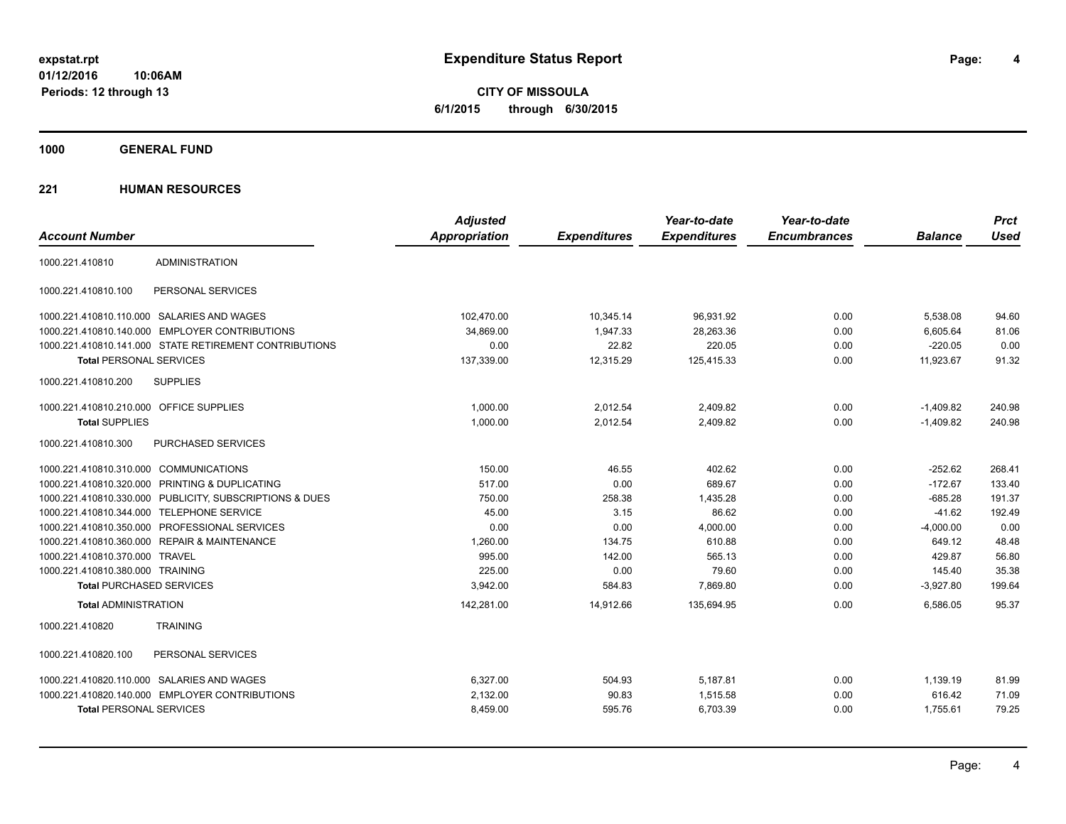**CITY OF MISSOULA 6/1/2015 through 6/30/2015**

**1000 GENERAL FUND**

|                                                         | <b>Adjusted</b>      |                     | Year-to-date        | Year-to-date        |                | <b>Prct</b> |
|---------------------------------------------------------|----------------------|---------------------|---------------------|---------------------|----------------|-------------|
| <b>Account Number</b>                                   | <b>Appropriation</b> | <b>Expenditures</b> | <b>Expenditures</b> | <b>Encumbrances</b> | <b>Balance</b> | <b>Used</b> |
| <b>ADMINISTRATION</b><br>1000.221.410810                |                      |                     |                     |                     |                |             |
| 1000.221.410810.100<br>PERSONAL SERVICES                |                      |                     |                     |                     |                |             |
| 1000.221.410810.110.000 SALARIES AND WAGES              | 102,470.00           | 10,345.14           | 96,931.92           | 0.00                | 5,538.08       | 94.60       |
| 1000.221.410810.140.000 EMPLOYER CONTRIBUTIONS          | 34,869.00            | 1,947.33            | 28,263.36           | 0.00                | 6,605.64       | 81.06       |
| 1000.221.410810.141.000 STATE RETIREMENT CONTRIBUTIONS  | 0.00                 | 22.82               | 220.05              | 0.00                | $-220.05$      | 0.00        |
| <b>Total PERSONAL SERVICES</b>                          | 137,339.00           | 12,315.29           | 125,415.33          | 0.00                | 11,923.67      | 91.32       |
| 1000.221.410810.200<br><b>SUPPLIES</b>                  |                      |                     |                     |                     |                |             |
| 1000.221.410810.210.000 OFFICE SUPPLIES                 | 1,000.00             | 2,012.54            | 2,409.82            | 0.00                | $-1,409.82$    | 240.98      |
| <b>Total SUPPLIES</b>                                   | 1,000.00             | 2,012.54            | 2,409.82            | 0.00                | $-1,409.82$    | 240.98      |
| 1000.221.410810.300<br><b>PURCHASED SERVICES</b>        |                      |                     |                     |                     |                |             |
| 1000.221.410810.310.000 COMMUNICATIONS                  | 150.00               | 46.55               | 402.62              | 0.00                | $-252.62$      | 268.41      |
| 1000.221.410810.320.000 PRINTING & DUPLICATING          | 517.00               | 0.00                | 689.67              | 0.00                | $-172.67$      | 133.40      |
| 1000.221.410810.330.000 PUBLICITY, SUBSCRIPTIONS & DUES | 750.00               | 258.38              | 1,435.28            | 0.00                | $-685.28$      | 191.37      |
| 1000.221.410810.344.000 TELEPHONE SERVICE               | 45.00                | 3.15                | 86.62               | 0.00                | $-41.62$       | 192.49      |
| 1000.221.410810.350.000 PROFESSIONAL SERVICES           | 0.00                 | 0.00                | 4,000.00            | 0.00                | $-4,000.00$    | 0.00        |
| 1000.221.410810.360.000 REPAIR & MAINTENANCE            | 1,260.00             | 134.75              | 610.88              | 0.00                | 649.12         | 48.48       |
| 1000.221.410810.370.000 TRAVEL                          | 995.00               | 142.00              | 565.13              | 0.00                | 429.87         | 56.80       |
| 1000.221.410810.380.000 TRAINING                        | 225.00               | 0.00                | 79.60               | 0.00                | 145.40         | 35.38       |
| <b>Total PURCHASED SERVICES</b>                         | 3,942.00             | 584.83              | 7,869.80            | 0.00                | $-3,927.80$    | 199.64      |
| <b>Total ADMINISTRATION</b>                             | 142,281.00           | 14,912.66           | 135,694.95          | 0.00                | 6.586.05       | 95.37       |
| <b>TRAINING</b><br>1000.221.410820                      |                      |                     |                     |                     |                |             |
| 1000.221.410820.100<br>PERSONAL SERVICES                |                      |                     |                     |                     |                |             |
| 1000.221.410820.110.000 SALARIES AND WAGES              | 6,327.00             | 504.93              | 5,187.81            | 0.00                | 1,139.19       | 81.99       |
| 1000.221.410820.140.000 EMPLOYER CONTRIBUTIONS          | 2,132.00             | 90.83               | 1,515.58            | 0.00                | 616.42         | 71.09       |
| <b>Total PERSONAL SERVICES</b>                          | 8,459.00             | 595.76              | 6,703.39            | 0.00                | 1,755.61       | 79.25       |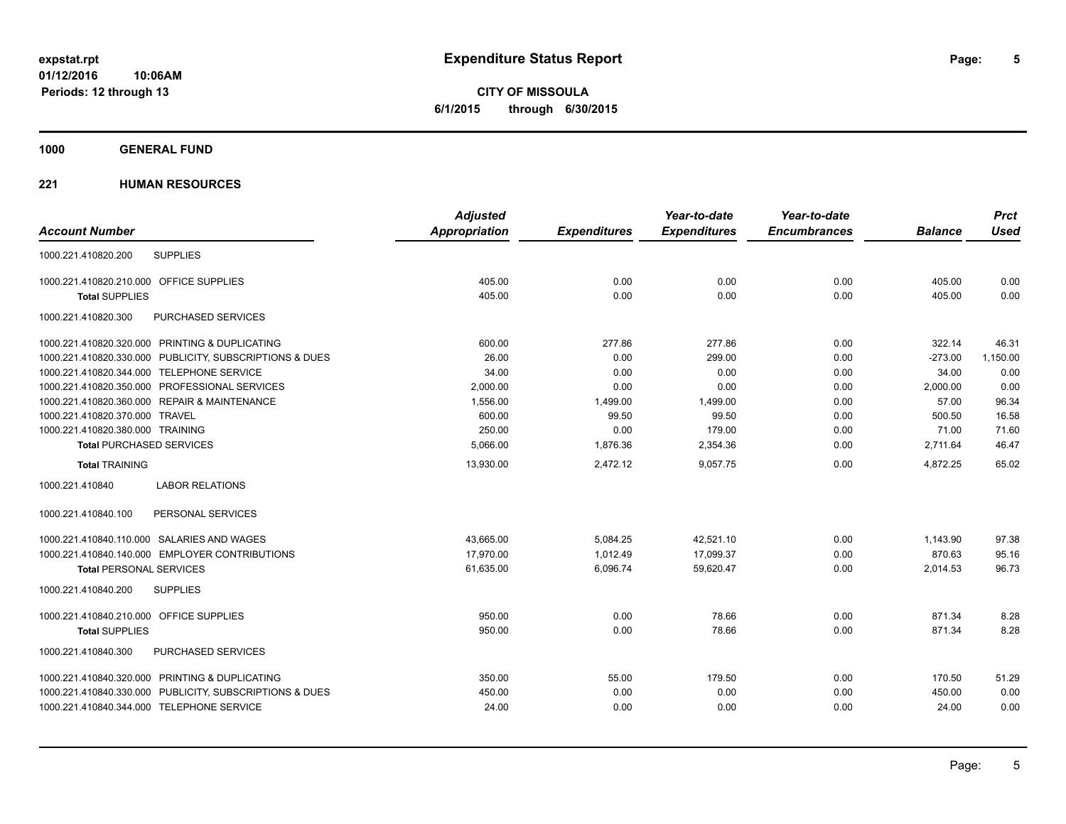**CITY OF MISSOULA 6/1/2015 through 6/30/2015**

### **1000 GENERAL FUND**

|                                                         | <b>Adjusted</b>      |                     | Year-to-date        | Year-to-date        |                | <b>Prct</b> |
|---------------------------------------------------------|----------------------|---------------------|---------------------|---------------------|----------------|-------------|
| <b>Account Number</b>                                   | <b>Appropriation</b> | <b>Expenditures</b> | <b>Expenditures</b> | <b>Encumbrances</b> | <b>Balance</b> | <b>Used</b> |
| <b>SUPPLIES</b><br>1000.221.410820.200                  |                      |                     |                     |                     |                |             |
| 1000.221.410820.210.000 OFFICE SUPPLIES                 | 405.00               | 0.00                | 0.00                | 0.00                | 405.00         | 0.00        |
| <b>Total SUPPLIES</b>                                   | 405.00               | 0.00                | 0.00                | 0.00                | 405.00         | 0.00        |
| 1000.221.410820.300<br>PURCHASED SERVICES               |                      |                     |                     |                     |                |             |
| 1000.221.410820.320.000 PRINTING & DUPLICATING          | 600.00               | 277.86              | 277.86              | 0.00                | 322.14         | 46.31       |
| 1000.221.410820.330.000 PUBLICITY, SUBSCRIPTIONS & DUES | 26.00                | 0.00                | 299.00              | 0.00                | $-273.00$      | 1,150.00    |
| 1000.221.410820.344.000 TELEPHONE SERVICE               | 34.00                | 0.00                | 0.00                | 0.00                | 34.00          | 0.00        |
| 1000.221.410820.350.000 PROFESSIONAL SERVICES           | 2,000.00             | 0.00                | 0.00                | 0.00                | 2,000.00       | 0.00        |
| 1000.221.410820.360.000 REPAIR & MAINTENANCE            | 1,556.00             | 1,499.00            | 1,499.00            | 0.00                | 57.00          | 96.34       |
| 1000.221.410820.370.000 TRAVEL                          | 600.00               | 99.50               | 99.50               | 0.00                | 500.50         | 16.58       |
| 1000.221.410820.380.000 TRAINING                        | 250.00               | 0.00                | 179.00              | 0.00                | 71.00          | 71.60       |
| <b>Total PURCHASED SERVICES</b>                         | 5.066.00             | 1.876.36            | 2,354.36            | 0.00                | 2,711.64       | 46.47       |
| <b>Total TRAINING</b>                                   | 13,930.00            | 2,472.12            | 9.057.75            | 0.00                | 4.872.25       | 65.02       |
| 1000.221.410840<br><b>LABOR RELATIONS</b>               |                      |                     |                     |                     |                |             |
| PERSONAL SERVICES<br>1000.221.410840.100                |                      |                     |                     |                     |                |             |
| 1000.221.410840.110.000 SALARIES AND WAGES              | 43,665.00            | 5,084.25            | 42,521.10           | 0.00                | 1,143.90       | 97.38       |
| 1000.221.410840.140.000 EMPLOYER CONTRIBUTIONS          | 17,970.00            | 1,012.49            | 17,099.37           | 0.00                | 870.63         | 95.16       |
| <b>Total PERSONAL SERVICES</b>                          | 61,635.00            | 6,096.74            | 59,620.47           | 0.00                | 2,014.53       | 96.73       |
| 1000.221.410840.200<br><b>SUPPLIES</b>                  |                      |                     |                     |                     |                |             |
| 1000.221.410840.210.000 OFFICE SUPPLIES                 | 950.00               | 0.00                | 78.66               | 0.00                | 871.34         | 8.28        |
| <b>Total SUPPLIES</b>                                   | 950.00               | 0.00                | 78.66               | 0.00                | 871.34         | 8.28        |
| 1000.221.410840.300<br><b>PURCHASED SERVICES</b>        |                      |                     |                     |                     |                |             |
| 1000.221.410840.320.000 PRINTING & DUPLICATING          | 350.00               | 55.00               | 179.50              | 0.00                | 170.50         | 51.29       |
| 1000.221.410840.330.000 PUBLICITY, SUBSCRIPTIONS & DUES | 450.00               | 0.00                | 0.00                | 0.00                | 450.00         | 0.00        |
| 1000.221.410840.344.000 TELEPHONE SERVICE               | 24.00                | 0.00                | 0.00                | 0.00                | 24.00          | 0.00        |
|                                                         |                      |                     |                     |                     |                |             |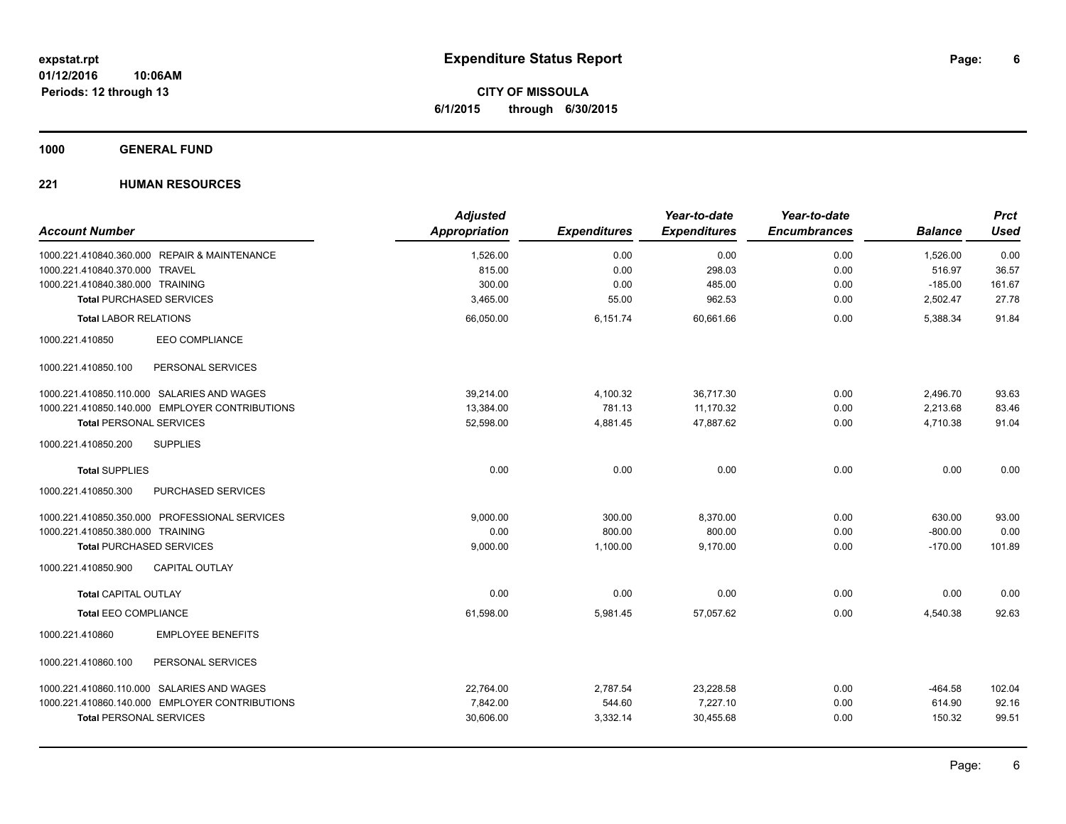**CITY OF MISSOULA 6/1/2015 through 6/30/2015**

### **1000 GENERAL FUND**

|                                                | <b>Adjusted</b>      |                     | Year-to-date        | Year-to-date        |                | <b>Prct</b> |
|------------------------------------------------|----------------------|---------------------|---------------------|---------------------|----------------|-------------|
| <b>Account Number</b>                          | <b>Appropriation</b> | <b>Expenditures</b> | <b>Expenditures</b> | <b>Encumbrances</b> | <b>Balance</b> | <b>Used</b> |
| 1000.221.410840.360.000 REPAIR & MAINTENANCE   | 1,526.00             | 0.00                | 0.00                | 0.00                | 1,526.00       | 0.00        |
| 1000.221.410840.370.000 TRAVEL                 | 815.00               | 0.00                | 298.03              | 0.00                | 516.97         | 36.57       |
| 1000.221.410840.380.000 TRAINING               | 300.00               | 0.00                | 485.00              | 0.00                | $-185.00$      | 161.67      |
| <b>Total PURCHASED SERVICES</b>                | 3,465.00             | 55.00               | 962.53              | 0.00                | 2,502.47       | 27.78       |
| <b>Total LABOR RELATIONS</b>                   | 66,050.00            | 6,151.74            | 60,661.66           | 0.00                | 5,388.34       | 91.84       |
| 1000.221.410850<br><b>EEO COMPLIANCE</b>       |                      |                     |                     |                     |                |             |
| 1000.221.410850.100<br>PERSONAL SERVICES       |                      |                     |                     |                     |                |             |
| 1000.221.410850.110.000 SALARIES AND WAGES     | 39,214.00            | 4,100.32            | 36,717.30           | 0.00                | 2,496.70       | 93.63       |
| 1000.221.410850.140.000 EMPLOYER CONTRIBUTIONS | 13,384.00            | 781.13              | 11,170.32           | 0.00                | 2,213.68       | 83.46       |
| <b>Total PERSONAL SERVICES</b>                 | 52,598.00            | 4,881.45            | 47,887.62           | 0.00                | 4,710.38       | 91.04       |
| 1000.221.410850.200<br><b>SUPPLIES</b>         |                      |                     |                     |                     |                |             |
| <b>Total SUPPLIES</b>                          | 0.00                 | 0.00                | 0.00                | 0.00                | 0.00           | 0.00        |
| PURCHASED SERVICES<br>1000.221.410850.300      |                      |                     |                     |                     |                |             |
| 1000.221.410850.350.000 PROFESSIONAL SERVICES  | 9.000.00             | 300.00              | 8.370.00            | 0.00                | 630.00         | 93.00       |
| 1000.221.410850.380.000 TRAINING               | 0.00                 | 800.00              | 800.00              | 0.00                | $-800.00$      | 0.00        |
| <b>Total PURCHASED SERVICES</b>                | 9,000.00             | 1,100.00            | 9,170.00            | 0.00                | $-170.00$      | 101.89      |
| <b>CAPITAL OUTLAY</b><br>1000.221.410850.900   |                      |                     |                     |                     |                |             |
| <b>Total CAPITAL OUTLAY</b>                    | 0.00                 | 0.00                | 0.00                | 0.00                | 0.00           | 0.00        |
| <b>Total EEO COMPLIANCE</b>                    | 61,598.00            | 5,981.45            | 57,057.62           | 0.00                | 4,540.38       | 92.63       |
| <b>EMPLOYEE BENEFITS</b><br>1000.221.410860    |                      |                     |                     |                     |                |             |
| 1000.221.410860.100<br>PERSONAL SERVICES       |                      |                     |                     |                     |                |             |
| 1000.221.410860.110.000 SALARIES AND WAGES     | 22,764.00            | 2,787.54            | 23,228.58           | 0.00                | $-464.58$      | 102.04      |
| 1000.221.410860.140.000 EMPLOYER CONTRIBUTIONS | 7,842.00             | 544.60              | 7,227.10            | 0.00                | 614.90         | 92.16       |
| <b>Total PERSONAL SERVICES</b>                 | 30,606.00            | 3,332.14            | 30,455.68           | 0.00                | 150.32         | 99.51       |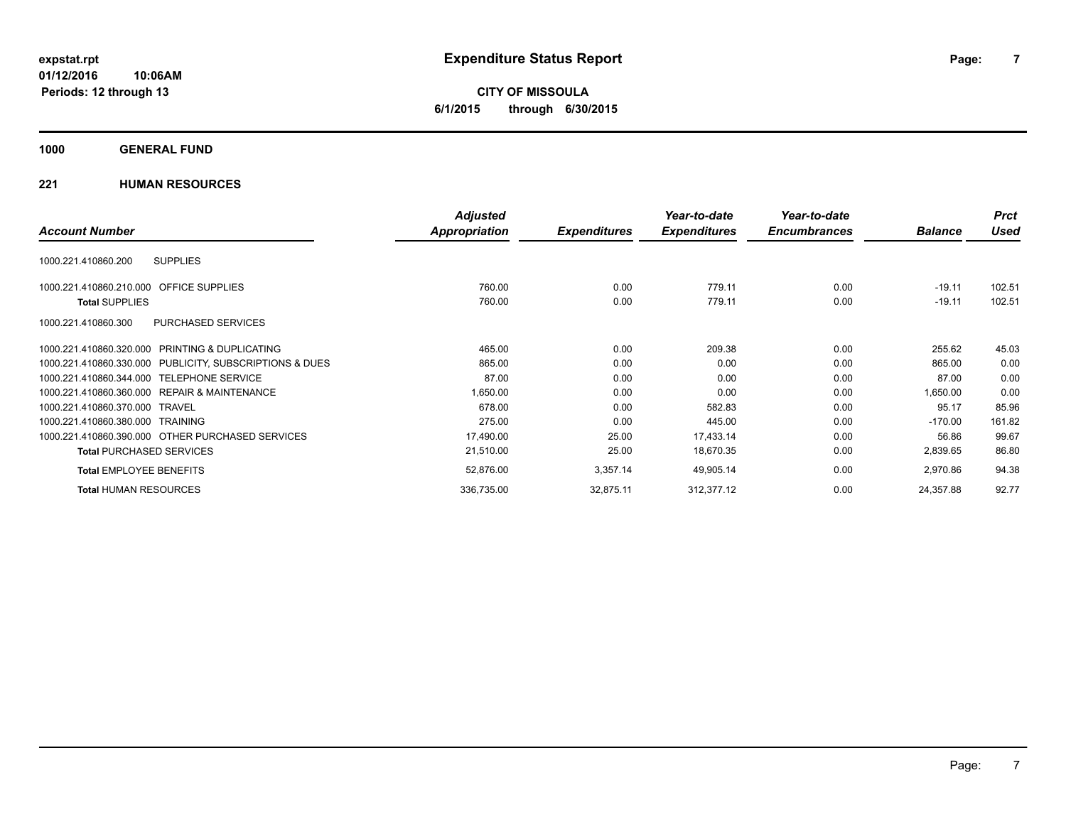**CITY OF MISSOULA 6/1/2015 through 6/30/2015**

### **1000 GENERAL FUND**

|                                                              | <b>Adjusted</b>      |                     | Year-to-date        | Year-to-date        |                | <b>Prct</b> |
|--------------------------------------------------------------|----------------------|---------------------|---------------------|---------------------|----------------|-------------|
| <b>Account Number</b>                                        | <b>Appropriation</b> | <b>Expenditures</b> | <b>Expenditures</b> | <b>Encumbrances</b> | <b>Balance</b> | Used        |
| <b>SUPPLIES</b><br>1000.221.410860.200                       |                      |                     |                     |                     |                |             |
| <b>OFFICE SUPPLIES</b><br>1000.221.410860.210.000            | 760.00               | 0.00                | 779.11              | 0.00                | $-19.11$       | 102.51      |
| <b>Total SUPPLIES</b>                                        | 760.00               | 0.00                | 779.11              | 0.00                | $-19.11$       | 102.51      |
| PURCHASED SERVICES<br>1000.221.410860.300                    |                      |                     |                     |                     |                |             |
| <b>PRINTING &amp; DUPLICATING</b><br>1000.221.410860.320.000 | 465.00               | 0.00                | 209.38              | 0.00                | 255.62         | 45.03       |
| 1000.221.410860.330.000 PUBLICITY, SUBSCRIPTIONS & DUES      | 865.00               | 0.00                | 0.00                | 0.00                | 865.00         | 0.00        |
| 1000.221.410860.344.000 TELEPHONE SERVICE                    | 87.00                | 0.00                | 0.00                | 0.00                | 87.00          | 0.00        |
| 1000.221.410860.360.000 REPAIR & MAINTENANCE                 | 1,650.00             | 0.00                | 0.00                | 0.00                | 1,650.00       | 0.00        |
| 1000.221.410860.370.000 TRAVEL                               | 678.00               | 0.00                | 582.83              | 0.00                | 95.17          | 85.96       |
| 1000.221.410860.380.000 TRAINING                             | 275.00               | 0.00                | 445.00              | 0.00                | $-170.00$      | 161.82      |
| 1000.221.410860.390.000 OTHER PURCHASED SERVICES             | 17,490.00            | 25.00               | 17,433.14           | 0.00                | 56.86          | 99.67       |
| <b>Total PURCHASED SERVICES</b>                              | 21,510.00            | 25.00               | 18,670.35           | 0.00                | 2,839.65       | 86.80       |
| <b>Total EMPLOYEE BENEFITS</b>                               | 52,876.00            | 3,357.14            | 49,905.14           | 0.00                | 2,970.86       | 94.38       |
| <b>Total HUMAN RESOURCES</b>                                 | 336,735.00           | 32,875.11           | 312,377.12          | 0.00                | 24,357.88      | 92.77       |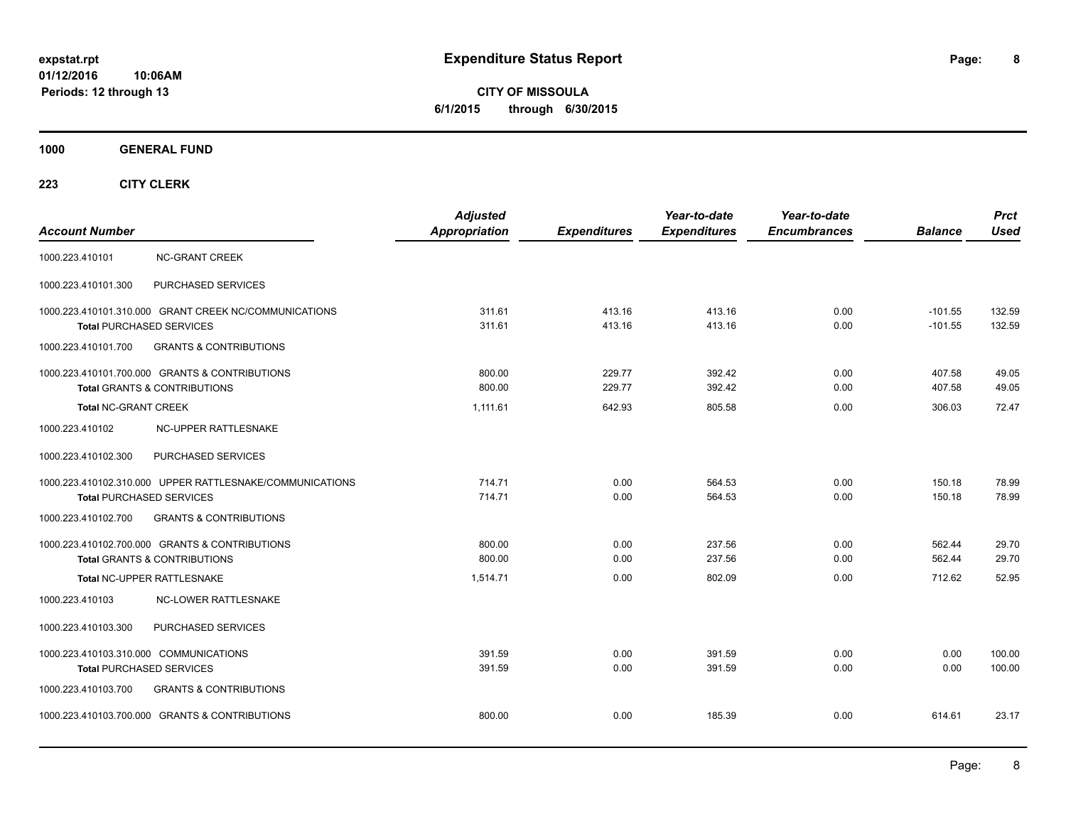**CITY OF MISSOULA 6/1/2015 through 6/30/2015**

**1000 GENERAL FUND**

| <b>Account Number</b>                  |                                                                                             | <b>Adjusted</b><br><b>Appropriation</b> | <b>Expenditures</b> | Year-to-date<br><b>Expenditures</b> | Year-to-date<br><b>Encumbrances</b> | <b>Balance</b>         | <b>Prct</b><br><b>Used</b> |
|----------------------------------------|---------------------------------------------------------------------------------------------|-----------------------------------------|---------------------|-------------------------------------|-------------------------------------|------------------------|----------------------------|
| 1000.223.410101                        | <b>NC-GRANT CREEK</b>                                                                       |                                         |                     |                                     |                                     |                        |                            |
| 1000.223.410101.300                    | PURCHASED SERVICES                                                                          |                                         |                     |                                     |                                     |                        |                            |
|                                        | 1000.223.410101.310.000 GRANT CREEK NC/COMMUNICATIONS<br><b>Total PURCHASED SERVICES</b>    | 311.61<br>311.61                        | 413.16<br>413.16    | 413.16<br>413.16                    | 0.00<br>0.00                        | $-101.55$<br>$-101.55$ | 132.59<br>132.59           |
| 1000.223.410101.700                    | <b>GRANTS &amp; CONTRIBUTIONS</b>                                                           |                                         |                     |                                     |                                     |                        |                            |
|                                        | 1000.223.410101.700.000 GRANTS & CONTRIBUTIONS<br><b>Total GRANTS &amp; CONTRIBUTIONS</b>   | 800.00<br>800.00                        | 229.77<br>229.77    | 392.42<br>392.42                    | 0.00<br>0.00                        | 407.58<br>407.58       | 49.05<br>49.05             |
| <b>Total NC-GRANT CREEK</b>            |                                                                                             | 1,111.61                                | 642.93              | 805.58                              | 0.00                                | 306.03                 | 72.47                      |
| 1000.223.410102                        | NC-UPPER RATTLESNAKE                                                                        |                                         |                     |                                     |                                     |                        |                            |
| 1000.223.410102.300                    | PURCHASED SERVICES                                                                          |                                         |                     |                                     |                                     |                        |                            |
|                                        | 1000.223.410102.310.000 UPPER RATTLESNAKE/COMMUNICATIONS<br><b>Total PURCHASED SERVICES</b> | 714.71<br>714.71                        | 0.00<br>0.00        | 564.53<br>564.53                    | 0.00<br>0.00                        | 150.18<br>150.18       | 78.99<br>78.99             |
| 1000.223.410102.700                    | <b>GRANTS &amp; CONTRIBUTIONS</b>                                                           |                                         |                     |                                     |                                     |                        |                            |
|                                        | 1000.223.410102.700.000 GRANTS & CONTRIBUTIONS<br><b>Total GRANTS &amp; CONTRIBUTIONS</b>   | 800.00<br>800.00                        | 0.00<br>0.00        | 237.56<br>237.56                    | 0.00<br>0.00                        | 562.44<br>562.44       | 29.70<br>29.70             |
|                                        | Total NC-UPPER RATTLESNAKE                                                                  | 1,514.71                                | 0.00                | 802.09                              | 0.00                                | 712.62                 | 52.95                      |
| 1000.223.410103                        | <b>NC-LOWER RATTLESNAKE</b>                                                                 |                                         |                     |                                     |                                     |                        |                            |
| 1000.223.410103.300                    | PURCHASED SERVICES                                                                          |                                         |                     |                                     |                                     |                        |                            |
| 1000.223.410103.310.000 COMMUNICATIONS | <b>Total PURCHASED SERVICES</b>                                                             | 391.59<br>391.59                        | 0.00<br>0.00        | 391.59<br>391.59                    | 0.00<br>0.00                        | 0.00<br>0.00           | 100.00<br>100.00           |
| 1000.223.410103.700                    | <b>GRANTS &amp; CONTRIBUTIONS</b>                                                           |                                         |                     |                                     |                                     |                        |                            |
|                                        | 1000.223.410103.700.000 GRANTS & CONTRIBUTIONS                                              | 800.00                                  | 0.00                | 185.39                              | 0.00                                | 614.61                 | 23.17                      |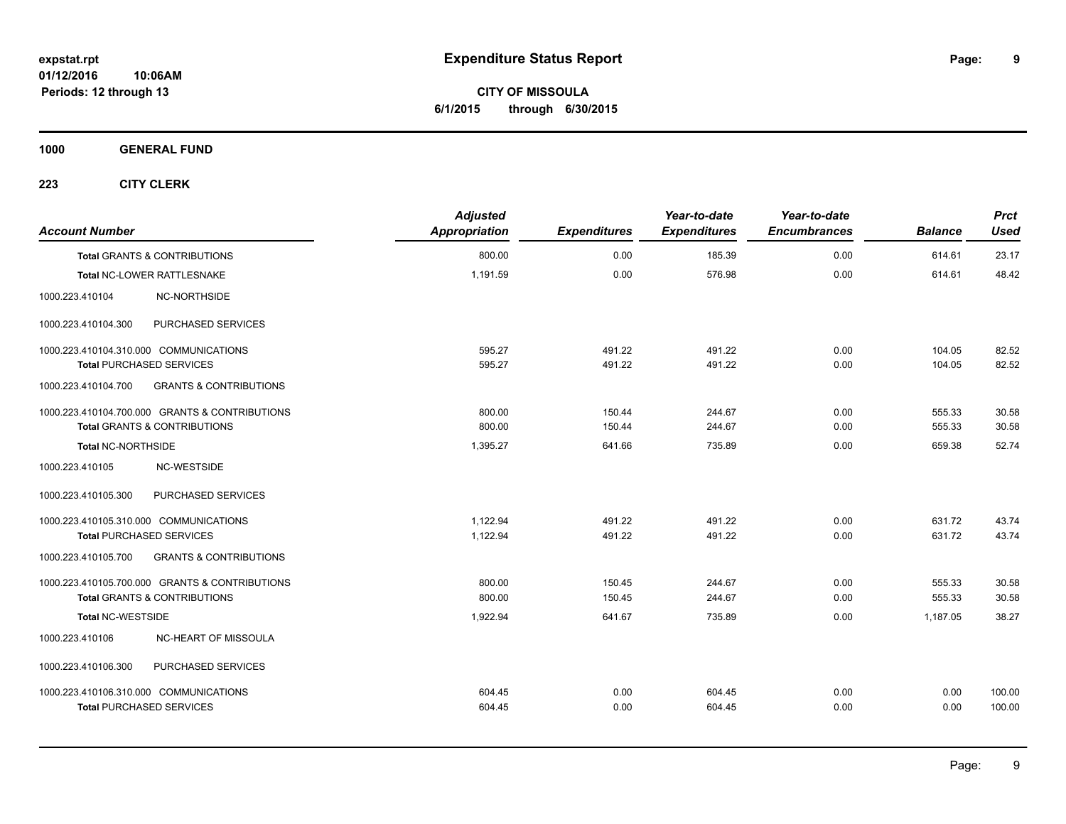**CITY OF MISSOULA 6/1/2015 through 6/30/2015**

**1000 GENERAL FUND**

| <b>Account Number</b>                  |                                                | <b>Adjusted</b><br>Appropriation | <b>Expenditures</b> | Year-to-date<br><b>Expenditures</b> | Year-to-date<br><b>Encumbrances</b> | <b>Balance</b> | <b>Prct</b><br>Used |
|----------------------------------------|------------------------------------------------|----------------------------------|---------------------|-------------------------------------|-------------------------------------|----------------|---------------------|
|                                        | <b>Total GRANTS &amp; CONTRIBUTIONS</b>        | 800.00                           | 0.00                | 185.39                              | 0.00                                | 614.61         | 23.17               |
|                                        | Total NC-LOWER RATTLESNAKE                     | 1,191.59                         | 0.00                | 576.98                              | 0.00                                | 614.61         | 48.42               |
| 1000.223.410104                        | NC-NORTHSIDE                                   |                                  |                     |                                     |                                     |                |                     |
| 1000.223.410104.300                    | PURCHASED SERVICES                             |                                  |                     |                                     |                                     |                |                     |
| 1000.223.410104.310.000 COMMUNICATIONS |                                                | 595.27                           | 491.22              | 491.22                              | 0.00                                | 104.05         | 82.52               |
| <b>Total PURCHASED SERVICES</b>        |                                                | 595.27                           | 491.22              | 491.22                              | 0.00                                | 104.05         | 82.52               |
| 1000.223.410104.700                    | <b>GRANTS &amp; CONTRIBUTIONS</b>              |                                  |                     |                                     |                                     |                |                     |
|                                        | 1000.223.410104.700.000 GRANTS & CONTRIBUTIONS | 800.00                           | 150.44              | 244.67                              | 0.00                                | 555.33         | 30.58               |
|                                        | <b>Total GRANTS &amp; CONTRIBUTIONS</b>        | 800.00                           | 150.44              | 244.67                              | 0.00                                | 555.33         | 30.58               |
| <b>Total NC-NORTHSIDE</b>              |                                                | 1.395.27                         | 641.66              | 735.89                              | 0.00                                | 659.38         | 52.74               |
| 1000.223.410105                        | NC-WESTSIDE                                    |                                  |                     |                                     |                                     |                |                     |
| 1000.223.410105.300                    | PURCHASED SERVICES                             |                                  |                     |                                     |                                     |                |                     |
| 1000.223.410105.310.000 COMMUNICATIONS |                                                | 1.122.94                         | 491.22              | 491.22                              | 0.00                                | 631.72         | 43.74               |
| <b>Total PURCHASED SERVICES</b>        |                                                | 1,122.94                         | 491.22              | 491.22                              | 0.00                                | 631.72         | 43.74               |
| 1000.223.410105.700                    | <b>GRANTS &amp; CONTRIBUTIONS</b>              |                                  |                     |                                     |                                     |                |                     |
|                                        | 1000.223.410105.700.000 GRANTS & CONTRIBUTIONS | 800.00                           | 150.45              | 244.67                              | 0.00                                | 555.33         | 30.58               |
|                                        | <b>Total GRANTS &amp; CONTRIBUTIONS</b>        | 800.00                           | 150.45              | 244.67                              | 0.00                                | 555.33         | 30.58               |
| <b>Total NC-WESTSIDE</b>               |                                                | 1,922.94                         | 641.67              | 735.89                              | 0.00                                | 1,187.05       | 38.27               |
| 1000.223.410106                        | NC-HEART OF MISSOULA                           |                                  |                     |                                     |                                     |                |                     |
| 1000.223.410106.300                    | PURCHASED SERVICES                             |                                  |                     |                                     |                                     |                |                     |
| 1000.223.410106.310.000 COMMUNICATIONS |                                                | 604.45                           | 0.00                | 604.45                              | 0.00                                | 0.00           | 100.00              |
| <b>Total PURCHASED SERVICES</b>        |                                                | 604.45                           | 0.00                | 604.45                              | 0.00                                | 0.00           | 100.00              |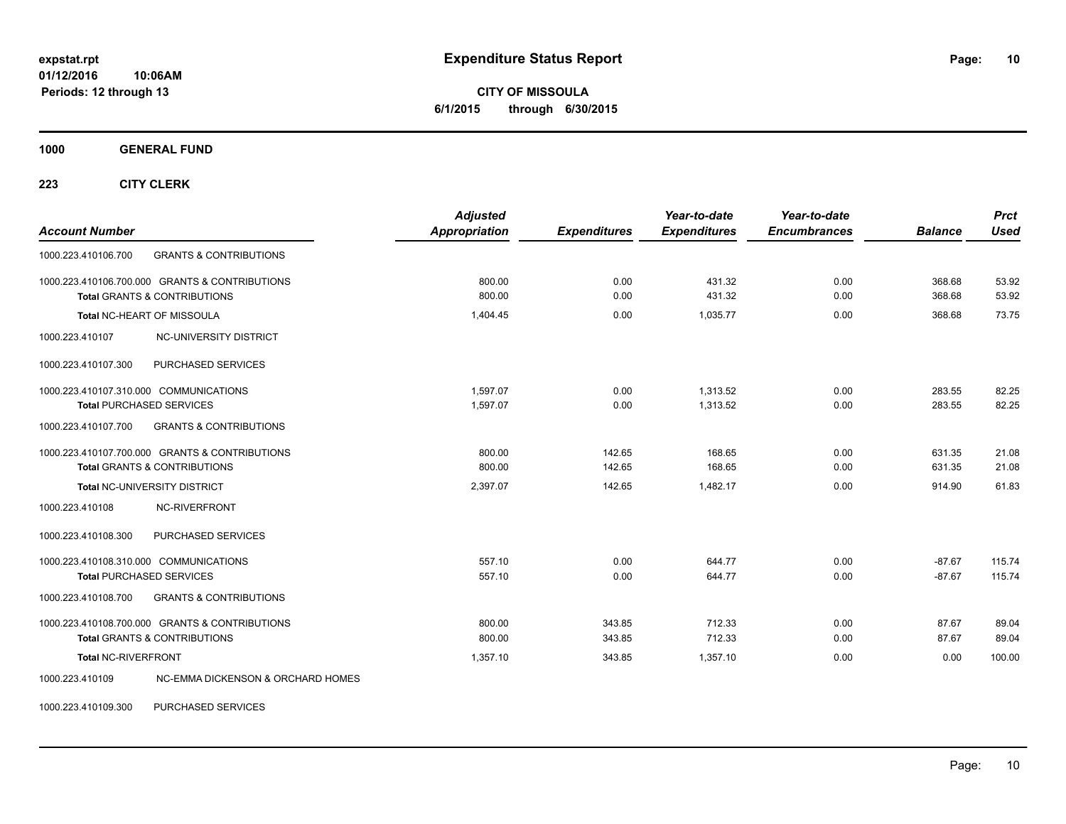**CITY OF MISSOULA 6/1/2015 through 6/30/2015**

**1000 GENERAL FUND**

**223 CITY CLERK**

| <b>Account Number</b>                                    | <b>Adjusted</b><br><b>Appropriation</b> | <b>Expenditures</b> | Year-to-date<br><b>Expenditures</b> | Year-to-date<br><b>Encumbrances</b> | <b>Balance</b> | <b>Prct</b><br><b>Used</b> |
|----------------------------------------------------------|-----------------------------------------|---------------------|-------------------------------------|-------------------------------------|----------------|----------------------------|
| 1000.223.410106.700<br><b>GRANTS &amp; CONTRIBUTIONS</b> |                                         |                     |                                     |                                     |                |                            |
| 1000.223.410106.700.000 GRANTS & CONTRIBUTIONS           | 800.00                                  | 0.00                | 431.32                              | 0.00                                | 368.68         | 53.92                      |
| <b>Total GRANTS &amp; CONTRIBUTIONS</b>                  | 800.00                                  | 0.00                | 431.32                              | 0.00                                | 368.68         | 53.92                      |
| Total NC-HEART OF MISSOULA                               | 1,404.45                                | 0.00                | 1,035.77                            | 0.00                                | 368.68         | 73.75                      |
| 1000.223.410107<br>NC-UNIVERSITY DISTRICT                |                                         |                     |                                     |                                     |                |                            |
| PURCHASED SERVICES<br>1000.223.410107.300                |                                         |                     |                                     |                                     |                |                            |
| 1000.223.410107.310.000 COMMUNICATIONS                   | 1,597.07                                | 0.00                | 1,313.52                            | 0.00                                | 283.55         | 82.25                      |
| <b>Total PURCHASED SERVICES</b>                          | 1,597.07                                | 0.00                | 1,313.52                            | 0.00                                | 283.55         | 82.25                      |
| 1000.223.410107.700<br><b>GRANTS &amp; CONTRIBUTIONS</b> |                                         |                     |                                     |                                     |                |                            |
| 1000.223.410107.700.000 GRANTS & CONTRIBUTIONS           | 800.00                                  | 142.65              | 168.65                              | 0.00                                | 631.35         | 21.08                      |
| <b>Total GRANTS &amp; CONTRIBUTIONS</b>                  | 800.00                                  | 142.65              | 168.65                              | 0.00                                | 631.35         | 21.08                      |
| <b>Total NC-UNIVERSITY DISTRICT</b>                      | 2,397.07                                | 142.65              | 1,482.17                            | 0.00                                | 914.90         | 61.83                      |
| <b>NC-RIVERFRONT</b><br>1000.223.410108                  |                                         |                     |                                     |                                     |                |                            |
| PURCHASED SERVICES<br>1000.223.410108.300                |                                         |                     |                                     |                                     |                |                            |
| 1000.223.410108.310.000 COMMUNICATIONS                   | 557.10                                  | 0.00                | 644.77                              | 0.00                                | $-87.67$       | 115.74                     |
| <b>Total PURCHASED SERVICES</b>                          | 557.10                                  | 0.00                | 644.77                              | 0.00                                | $-87.67$       | 115.74                     |
| <b>GRANTS &amp; CONTRIBUTIONS</b><br>1000.223.410108.700 |                                         |                     |                                     |                                     |                |                            |
| 1000.223.410108.700.000 GRANTS & CONTRIBUTIONS           | 800.00                                  | 343.85              | 712.33                              | 0.00                                | 87.67          | 89.04                      |
| <b>Total GRANTS &amp; CONTRIBUTIONS</b>                  | 800.00                                  | 343.85              | 712.33                              | 0.00                                | 87.67          | 89.04                      |
| <b>Total NC-RIVERFRONT</b>                               | 1,357.10                                | 343.85              | 1,357.10                            | 0.00                                | 0.00           | 100.00                     |
| NC-EMMA DICKENSON & ORCHARD HOMES<br>1000.223.410109     |                                         |                     |                                     |                                     |                |                            |

1000.223.410109.300 PURCHASED SERVICES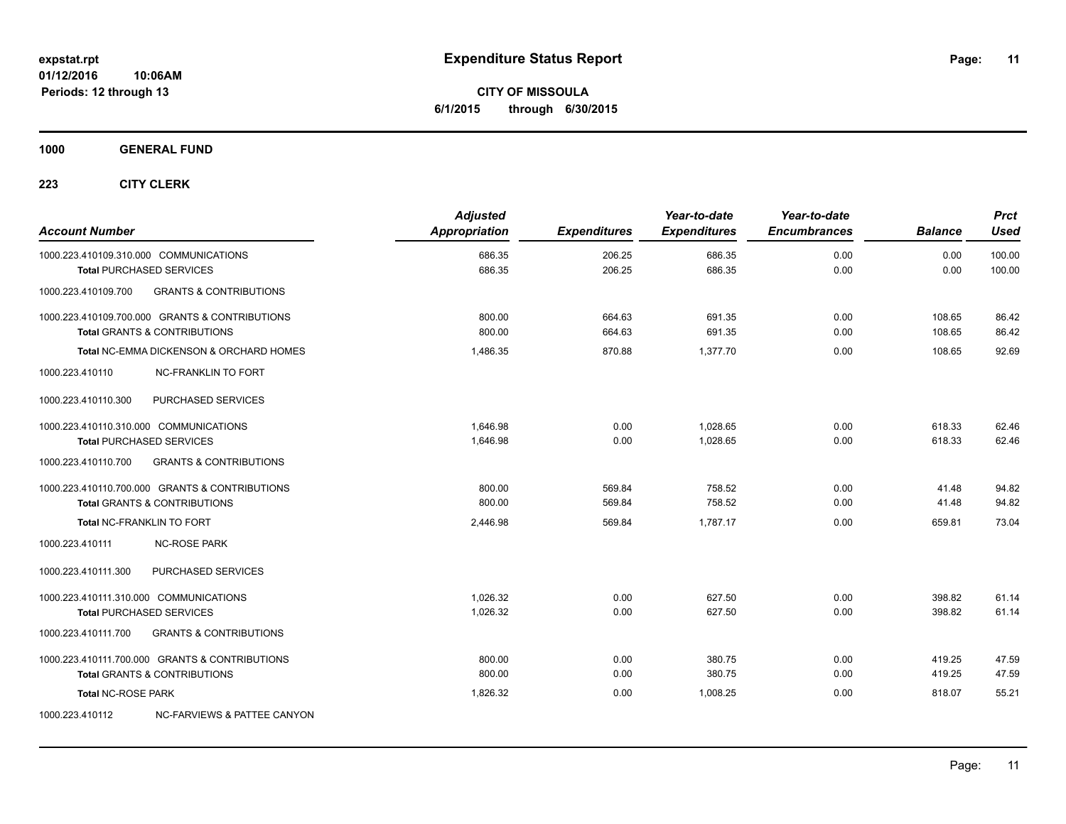**CITY OF MISSOULA 6/1/2015 through 6/30/2015**

**1000 GENERAL FUND**

| <b>Account Number</b>                  |                                                | <b>Adjusted</b><br><b>Appropriation</b> | <b>Expenditures</b> | Year-to-date<br><b>Expenditures</b> | Year-to-date<br><b>Encumbrances</b> | <b>Balance</b> | <b>Prct</b><br><b>Used</b> |
|----------------------------------------|------------------------------------------------|-----------------------------------------|---------------------|-------------------------------------|-------------------------------------|----------------|----------------------------|
|                                        | 1000.223.410109.310.000 COMMUNICATIONS         | 686.35                                  | 206.25              | 686.35                              | 0.00                                | 0.00           | 100.00                     |
|                                        | <b>Total PURCHASED SERVICES</b>                | 686.35                                  | 206.25              | 686.35                              | 0.00                                | 0.00           | 100.00                     |
| 1000.223.410109.700                    | <b>GRANTS &amp; CONTRIBUTIONS</b>              |                                         |                     |                                     |                                     |                |                            |
|                                        | 1000.223.410109.700.000 GRANTS & CONTRIBUTIONS | 800.00                                  | 664.63              | 691.35                              | 0.00                                | 108.65         | 86.42                      |
|                                        | <b>Total GRANTS &amp; CONTRIBUTIONS</b>        | 800.00                                  | 664.63              | 691.35                              | 0.00                                | 108.65         | 86.42                      |
|                                        | Total NC-EMMA DICKENSON & ORCHARD HOMES        | 1.486.35                                | 870.88              | 1.377.70                            | 0.00                                | 108.65         | 92.69                      |
| 1000.223.410110                        | <b>NC-FRANKLIN TO FORT</b>                     |                                         |                     |                                     |                                     |                |                            |
| 1000.223.410110.300                    | PURCHASED SERVICES                             |                                         |                     |                                     |                                     |                |                            |
| 1000.223.410110.310.000 COMMUNICATIONS |                                                | 1.646.98                                | 0.00                | 1.028.65                            | 0.00                                | 618.33         | 62.46                      |
|                                        | <b>Total PURCHASED SERVICES</b>                | 1,646.98                                | 0.00                | 1,028.65                            | 0.00                                | 618.33         | 62.46                      |
| 1000.223.410110.700                    | <b>GRANTS &amp; CONTRIBUTIONS</b>              |                                         |                     |                                     |                                     |                |                            |
|                                        | 1000.223.410110.700.000 GRANTS & CONTRIBUTIONS | 800.00                                  | 569.84              | 758.52                              | 0.00                                | 41.48          | 94.82                      |
|                                        | Total GRANTS & CONTRIBUTIONS                   | 800.00                                  | 569.84              | 758.52                              | 0.00                                | 41.48          | 94.82                      |
|                                        | Total NC-FRANKLIN TO FORT                      | 2,446.98                                | 569.84              | 1.787.17                            | 0.00                                | 659.81         | 73.04                      |
| 1000.223.410111                        | <b>NC-ROSE PARK</b>                            |                                         |                     |                                     |                                     |                |                            |
| 1000.223.410111.300                    | PURCHASED SERVICES                             |                                         |                     |                                     |                                     |                |                            |
| 1000.223.410111.310.000 COMMUNICATIONS |                                                | 1,026.32                                | 0.00                | 627.50                              | 0.00                                | 398.82         | 61.14                      |
|                                        | <b>Total PURCHASED SERVICES</b>                | 1,026.32                                | 0.00                | 627.50                              | 0.00                                | 398.82         | 61.14                      |
| 1000.223.410111.700                    | <b>GRANTS &amp; CONTRIBUTIONS</b>              |                                         |                     |                                     |                                     |                |                            |
|                                        | 1000.223.410111.700.000 GRANTS & CONTRIBUTIONS | 800.00                                  | 0.00                | 380.75                              | 0.00                                | 419.25         | 47.59                      |
|                                        | <b>Total GRANTS &amp; CONTRIBUTIONS</b>        | 800.00                                  | 0.00                | 380.75                              | 0.00                                | 419.25         | 47.59                      |
| <b>Total NC-ROSE PARK</b>              |                                                | 1,826.32                                | 0.00                | 1.008.25                            | 0.00                                | 818.07         | 55.21                      |
| 1000.223.410112                        | NC-FARVIEWS & PATTEE CANYON                    |                                         |                     |                                     |                                     |                |                            |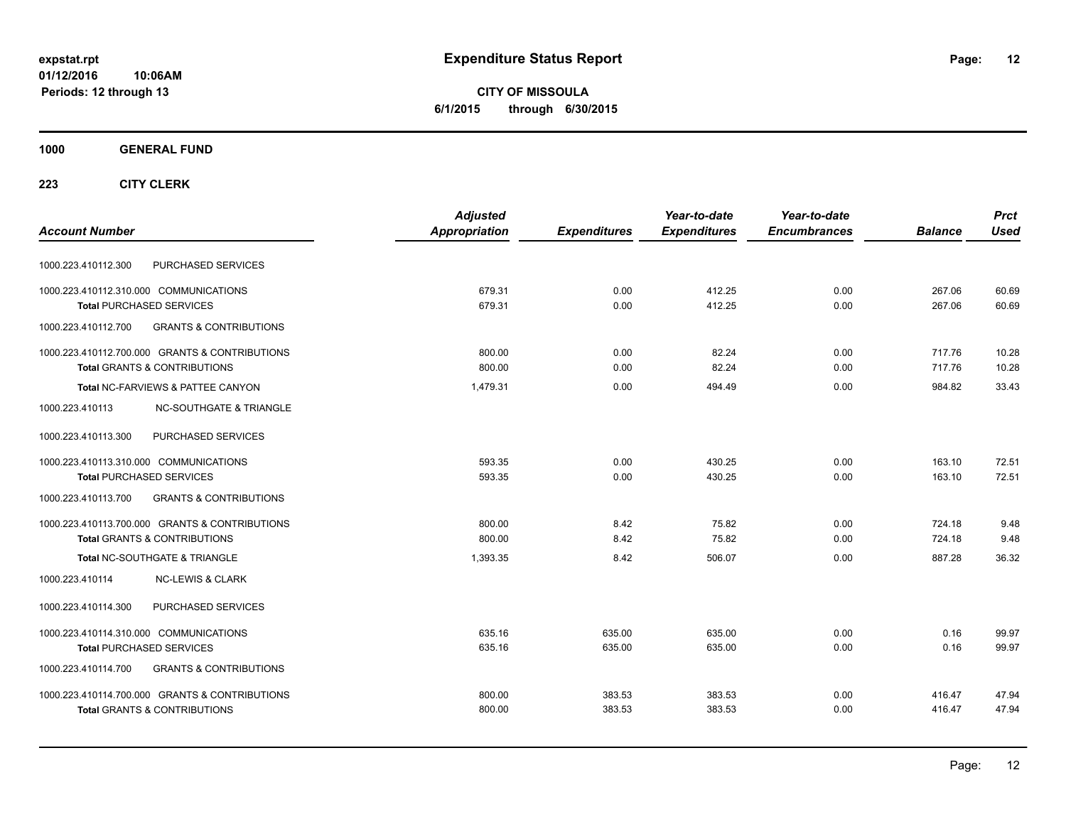**CITY OF MISSOULA 6/1/2015 through 6/30/2015**

### **1000 GENERAL FUND**

| Appropriation<br><b>Expenditures</b><br><b>Account Number</b><br><b>Expenditures</b><br><b>Encumbrances</b> | <b>Used</b><br><b>Balance</b> |
|-------------------------------------------------------------------------------------------------------------|-------------------------------|
|                                                                                                             |                               |
| PURCHASED SERVICES<br>1000.223.410112.300                                                                   |                               |
| 412.25<br>1000.223.410112.310.000 COMMUNICATIONS<br>679.31<br>0.00<br>0.00                                  | 267.06<br>60.69               |
| 679.31<br>0.00<br>412.25<br>0.00<br><b>Total PURCHASED SERVICES</b>                                         | 267.06<br>60.69               |
| 1000.223.410112.700<br><b>GRANTS &amp; CONTRIBUTIONS</b>                                                    |                               |
| 1000.223.410112.700.000 GRANTS & CONTRIBUTIONS<br>82.24<br>0.00<br>800.00<br>0.00                           | 717.76<br>10.28               |
| 82.24<br>800.00<br>0.00<br>0.00<br><b>Total GRANTS &amp; CONTRIBUTIONS</b>                                  | 717.76<br>10.28               |
| Total NC-FARVIEWS & PATTEE CANYON<br>1,479.31<br>0.00<br>494.49<br>0.00                                     | 33.43<br>984.82               |
| 1000.223.410113<br><b>NC-SOUTHGATE &amp; TRIANGLE</b>                                                       |                               |
| 1000.223.410113.300<br>PURCHASED SERVICES                                                                   |                               |
| 1000.223.410113.310.000 COMMUNICATIONS<br>593.35<br>0.00<br>430.25<br>0.00                                  | 72.51<br>163.10               |
| 430.25<br><b>Total PURCHASED SERVICES</b><br>593.35<br>0.00<br>0.00                                         | 163.10<br>72.51               |
| <b>GRANTS &amp; CONTRIBUTIONS</b><br>1000.223.410113.700                                                    |                               |
| 1000.223.410113.700.000 GRANTS & CONTRIBUTIONS<br>800.00<br>8.42<br>75.82<br>0.00                           | 9.48<br>724.18                |
| <b>Total GRANTS &amp; CONTRIBUTIONS</b><br>800.00<br>8.42<br>75.82<br>0.00                                  | 724.18<br>9.48                |
| Total NC-SOUTHGATE & TRIANGLE<br>8.42<br>506.07<br>0.00<br>1,393.35                                         | 887.28<br>36.32               |
| <b>NC-LEWIS &amp; CLARK</b><br>1000.223.410114                                                              |                               |
| PURCHASED SERVICES<br>1000.223.410114.300                                                                   |                               |
| 635.16<br>635.00<br>635.00<br>0.00<br>1000.223.410114.310.000 COMMUNICATIONS                                | 0.16<br>99.97                 |
| 635.00<br>0.00<br>635.16<br>635.00<br><b>Total PURCHASED SERVICES</b>                                       | 0.16<br>99.97                 |
| 1000.223.410114.700<br><b>GRANTS &amp; CONTRIBUTIONS</b>                                                    |                               |
| 1000.223.410114.700.000 GRANTS & CONTRIBUTIONS<br>383.53<br>800.00<br>383.53<br>0.00                        | 416.47<br>47.94               |
| <b>Total GRANTS &amp; CONTRIBUTIONS</b><br>383.53<br>383.53<br>0.00<br>800.00                               | 416.47<br>47.94               |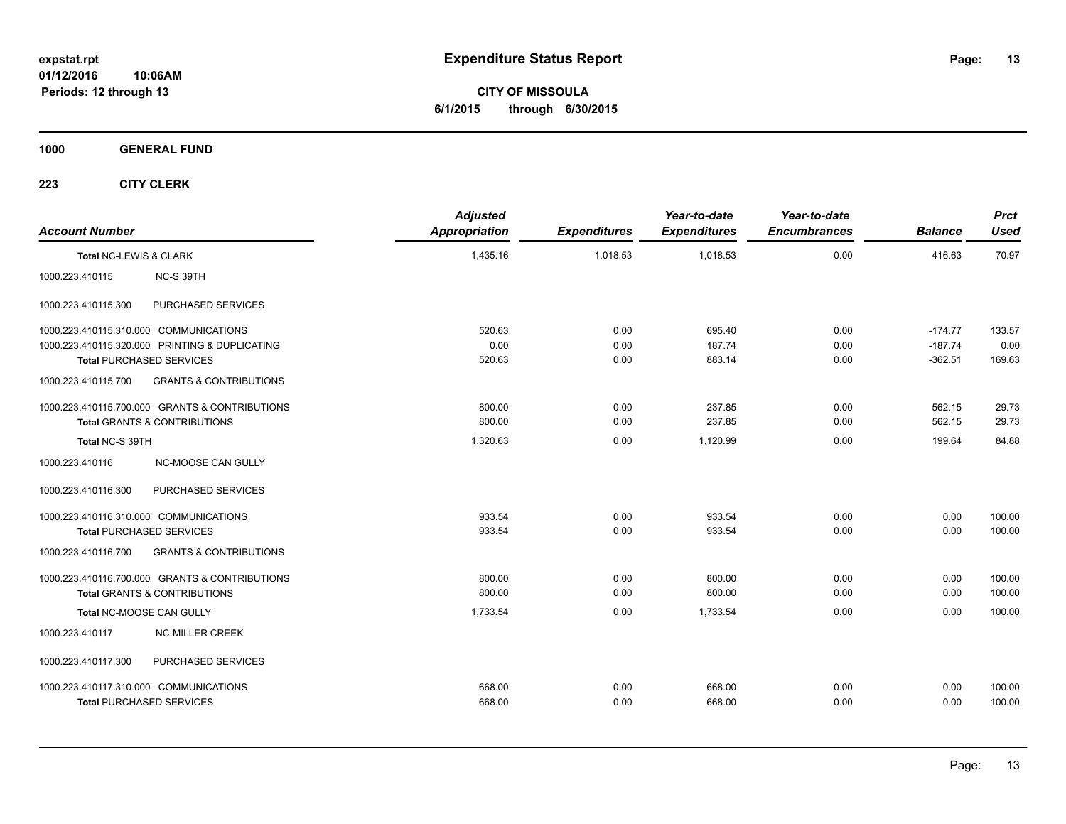**CITY OF MISSOULA 6/1/2015 through 6/30/2015**

**1000 GENERAL FUND**

| <b>Account Number</b>                                    | <b>Adjusted</b><br>Appropriation | <b>Expenditures</b> | Year-to-date<br><b>Expenditures</b> | Year-to-date<br><b>Encumbrances</b> | <b>Balance</b> | <b>Prct</b><br>Used |
|----------------------------------------------------------|----------------------------------|---------------------|-------------------------------------|-------------------------------------|----------------|---------------------|
| Total NC-LEWIS & CLARK                                   | 1,435.16                         | 1.018.53            | 1.018.53                            | 0.00                                | 416.63         | 70.97               |
| 1000.223.410115<br>NC-S 39TH                             |                                  |                     |                                     |                                     |                |                     |
| PURCHASED SERVICES<br>1000.223.410115.300                |                                  |                     |                                     |                                     |                |                     |
| 1000.223.410115.310.000 COMMUNICATIONS                   | 520.63                           | 0.00                | 695.40                              | 0.00                                | $-174.77$      | 133.57              |
| 1000.223.410115.320.000 PRINTING & DUPLICATING           | 0.00                             | 0.00                | 187.74                              | 0.00                                | $-187.74$      | 0.00                |
| <b>Total PURCHASED SERVICES</b>                          | 520.63                           | 0.00                | 883.14                              | 0.00                                | $-362.51$      | 169.63              |
| 1000.223.410115.700<br><b>GRANTS &amp; CONTRIBUTIONS</b> |                                  |                     |                                     |                                     |                |                     |
| 1000.223.410115.700.000 GRANTS & CONTRIBUTIONS           | 800.00                           | 0.00                | 237.85                              | 0.00                                | 562.15         | 29.73               |
| Total GRANTS & CONTRIBUTIONS                             | 800.00                           | 0.00                | 237.85                              | 0.00                                | 562.15         | 29.73               |
| Total NC-S 39TH                                          | 1,320.63                         | 0.00                | 1,120.99                            | 0.00                                | 199.64         | 84.88               |
| 1000.223.410116<br><b>NC-MOOSE CAN GULLY</b>             |                                  |                     |                                     |                                     |                |                     |
| PURCHASED SERVICES<br>1000.223.410116.300                |                                  |                     |                                     |                                     |                |                     |
| 1000.223.410116.310.000 COMMUNICATIONS                   | 933.54                           | 0.00                | 933.54                              | 0.00                                | 0.00           | 100.00              |
| <b>Total PURCHASED SERVICES</b>                          | 933.54                           | 0.00                | 933.54                              | 0.00                                | 0.00           | 100.00              |
| <b>GRANTS &amp; CONTRIBUTIONS</b><br>1000.223.410116.700 |                                  |                     |                                     |                                     |                |                     |
| 1000.223.410116.700.000 GRANTS & CONTRIBUTIONS           | 800.00                           | 0.00                | 800.00                              | 0.00                                | 0.00           | 100.00              |
| <b>Total GRANTS &amp; CONTRIBUTIONS</b>                  | 800.00                           | 0.00                | 800.00                              | 0.00                                | 0.00           | 100.00              |
| Total NC-MOOSE CAN GULLY                                 | 1,733.54                         | 0.00                | 1,733.54                            | 0.00                                | 0.00           | 100.00              |
| <b>NC-MILLER CREEK</b><br>1000.223.410117                |                                  |                     |                                     |                                     |                |                     |
| 1000.223.410117.300<br>PURCHASED SERVICES                |                                  |                     |                                     |                                     |                |                     |
| 1000.223.410117.310.000 COMMUNICATIONS                   | 668.00                           | 0.00                | 668.00                              | 0.00                                | 0.00           | 100.00              |
| <b>Total PURCHASED SERVICES</b>                          | 668.00                           | 0.00                | 668.00                              | 0.00                                | 0.00           | 100.00              |
|                                                          |                                  |                     |                                     |                                     |                |                     |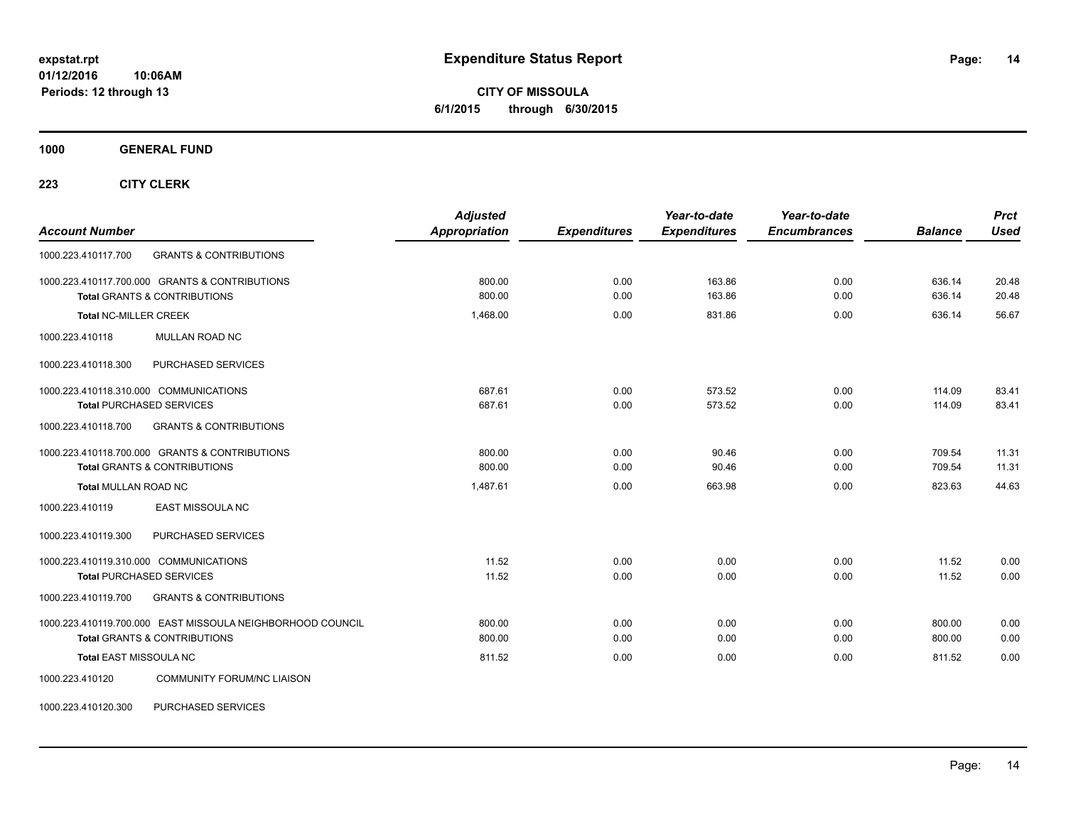**CITY OF MISSOULA 6/1/2015 through 6/30/2015**

**1000 GENERAL FUND**

**223 CITY CLERK**

| <b>Account Number</b>                                      | <b>Adjusted</b><br><b>Appropriation</b> | <b>Expenditures</b> | Year-to-date<br><b>Expenditures</b> | Year-to-date<br><b>Encumbrances</b> | <b>Balance</b> | <b>Prct</b><br><b>Used</b> |
|------------------------------------------------------------|-----------------------------------------|---------------------|-------------------------------------|-------------------------------------|----------------|----------------------------|
| <b>GRANTS &amp; CONTRIBUTIONS</b><br>1000.223.410117.700   |                                         |                     |                                     |                                     |                |                            |
| 1000.223.410117.700.000 GRANTS & CONTRIBUTIONS             | 800.00                                  | 0.00                | 163.86                              | 0.00                                | 636.14         | 20.48                      |
| <b>Total GRANTS &amp; CONTRIBUTIONS</b>                    | 800.00                                  | 0.00                | 163.86                              | 0.00                                | 636.14         | 20.48                      |
| <b>Total NC-MILLER CREEK</b>                               | 1,468.00                                | 0.00                | 831.86                              | 0.00                                | 636.14         | 56.67                      |
| MULLAN ROAD NC<br>1000.223.410118                          |                                         |                     |                                     |                                     |                |                            |
| PURCHASED SERVICES<br>1000.223.410118.300                  |                                         |                     |                                     |                                     |                |                            |
| 1000.223.410118.310.000 COMMUNICATIONS                     | 687.61                                  | 0.00                | 573.52                              | 0.00                                | 114.09         | 83.41                      |
| <b>Total PURCHASED SERVICES</b>                            | 687.61                                  | 0.00                | 573.52                              | 0.00                                | 114.09         | 83.41                      |
| 1000.223.410118.700<br><b>GRANTS &amp; CONTRIBUTIONS</b>   |                                         |                     |                                     |                                     |                |                            |
| 1000.223.410118.700.000 GRANTS & CONTRIBUTIONS             | 800.00                                  | 0.00                | 90.46                               | 0.00                                | 709.54         | 11.31                      |
| <b>Total GRANTS &amp; CONTRIBUTIONS</b>                    | 800.00                                  | 0.00                | 90.46                               | 0.00                                | 709.54         | 11.31                      |
| <b>Total MULLAN ROAD NC</b>                                | 1,487.61                                | 0.00                | 663.98                              | 0.00                                | 823.63         | 44.63                      |
| <b>EAST MISSOULA NC</b><br>1000.223.410119                 |                                         |                     |                                     |                                     |                |                            |
| PURCHASED SERVICES<br>1000.223.410119.300                  |                                         |                     |                                     |                                     |                |                            |
| 1000.223.410119.310.000 COMMUNICATIONS                     | 11.52                                   | 0.00                | 0.00                                | 0.00                                | 11.52          | 0.00                       |
| <b>Total PURCHASED SERVICES</b>                            | 11.52                                   | 0.00                | 0.00                                | 0.00                                | 11.52          | 0.00                       |
| <b>GRANTS &amp; CONTRIBUTIONS</b><br>1000.223.410119.700   |                                         |                     |                                     |                                     |                |                            |
| 1000.223.410119.700.000 EAST MISSOULA NEIGHBORHOOD COUNCIL | 800.00                                  | 0.00                | 0.00                                | 0.00                                | 800.00         | 0.00                       |
| <b>Total GRANTS &amp; CONTRIBUTIONS</b>                    | 800.00                                  | 0.00                | 0.00                                | 0.00                                | 800.00         | 0.00                       |
| Total EAST MISSOULA NC                                     | 811.52                                  | 0.00                | 0.00                                | 0.00                                | 811.52         | 0.00                       |
| <b>COMMUNITY FORUM/NC LIAISON</b><br>1000.223.410120       |                                         |                     |                                     |                                     |                |                            |

1000.223.410120.300 PURCHASED SERVICES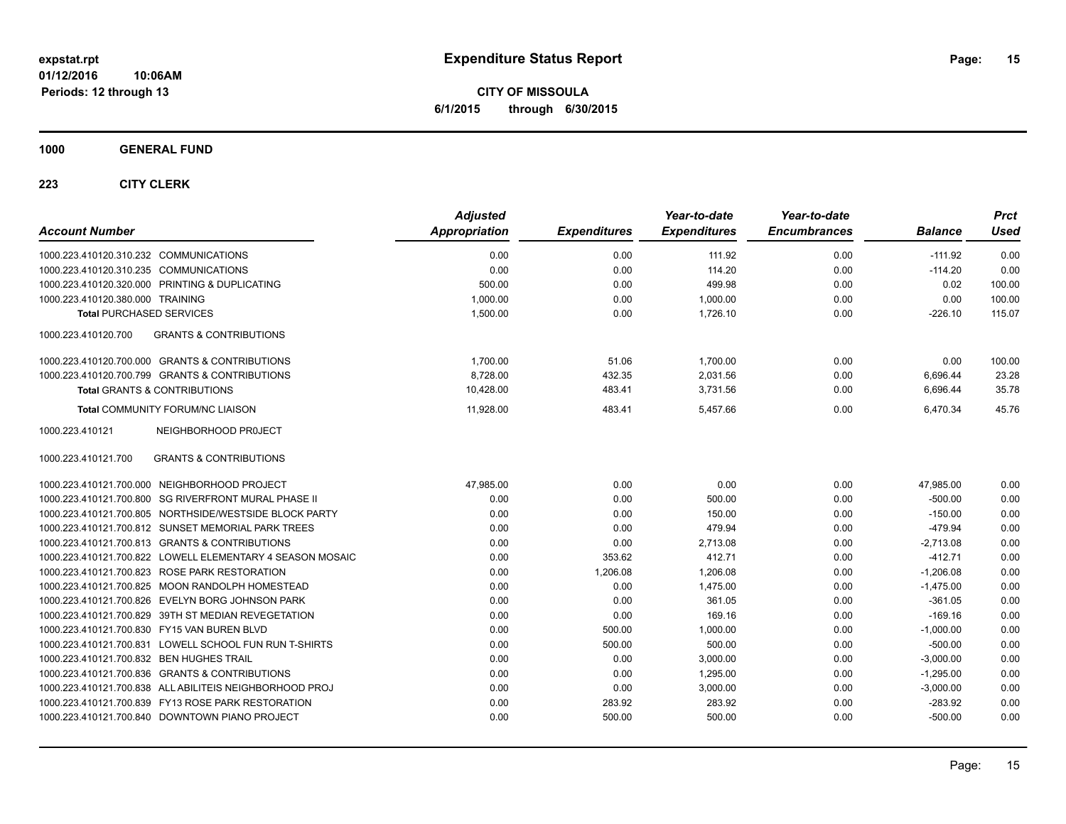**CITY OF MISSOULA 6/1/2015 through 6/30/2015**

### **1000 GENERAL FUND**

| <b>Account Number</b>                                     | <b>Adjusted</b><br>Appropriation | <b>Expenditures</b> | Year-to-date<br><b>Expenditures</b> | Year-to-date<br><b>Encumbrances</b> | <b>Balance</b> | Prct<br><b>Used</b> |
|-----------------------------------------------------------|----------------------------------|---------------------|-------------------------------------|-------------------------------------|----------------|---------------------|
| 1000.223.410120.310.232 COMMUNICATIONS                    | 0.00                             | 0.00                | 111.92                              | 0.00                                | $-111.92$      | 0.00                |
| 1000.223.410120.310.235 COMMUNICATIONS                    | 0.00                             | 0.00                | 114.20                              | 0.00                                | $-114.20$      | 0.00                |
| 1000.223.410120.320.000 PRINTING & DUPLICATING            | 500.00                           | 0.00                | 499.98                              | 0.00                                | 0.02           | 100.00              |
| 1000.223.410120.380.000 TRAINING                          | 1,000.00                         | 0.00                | 1,000.00                            | 0.00                                | 0.00           | 100.00              |
| <b>Total PURCHASED SERVICES</b>                           | 1,500.00                         | 0.00                | 1,726.10                            | 0.00                                | $-226.10$      | 115.07              |
| <b>GRANTS &amp; CONTRIBUTIONS</b><br>1000.223.410120.700  |                                  |                     |                                     |                                     |                |                     |
| 1000.223.410120.700.000 GRANTS & CONTRIBUTIONS            | 1,700.00                         | 51.06               | 1,700.00                            | 0.00                                | 0.00           | 100.00              |
| 1000.223.410120.700.799 GRANTS & CONTRIBUTIONS            | 8,728.00                         | 432.35              | 2,031.56                            | 0.00                                | 6,696.44       | 23.28               |
| <b>Total GRANTS &amp; CONTRIBUTIONS</b>                   | 10,428.00                        | 483.41              | 3,731.56                            | 0.00                                | 6,696.44       | 35.78               |
| Total COMMUNITY FORUM/NC LIAISON                          | 11,928.00                        | 483.41              | 5,457.66                            | 0.00                                | 6,470.34       | 45.76               |
| NEIGHBORHOOD PROJECT<br>1000.223.410121                   |                                  |                     |                                     |                                     |                |                     |
| <b>GRANTS &amp; CONTRIBUTIONS</b><br>1000.223.410121.700  |                                  |                     |                                     |                                     |                |                     |
| 1000.223.410121.700.000 NEIGHBORHOOD PROJECT              | 47,985.00                        | 0.00                | 0.00                                | 0.00                                | 47,985.00      | 0.00                |
| 1000.223.410121.700.800 SG RIVERFRONT MURAL PHASE II      | 0.00                             | 0.00                | 500.00                              | 0.00                                | $-500.00$      | 0.00                |
| 1000.223.410121.700.805 NORTHSIDE/WESTSIDE BLOCK PARTY    | 0.00                             | 0.00                | 150.00                              | 0.00                                | $-150.00$      | 0.00                |
| 1000.223.410121.700.812 SUNSET MEMORIAL PARK TREES        | 0.00                             | 0.00                | 479.94                              | 0.00                                | $-479.94$      | 0.00                |
| 1000.223.410121.700.813 GRANTS & CONTRIBUTIONS            | 0.00                             | 0.00                | 2,713.08                            | 0.00                                | $-2,713.08$    | 0.00                |
| 1000.223.410121.700.822 LOWELL ELEMENTARY 4 SEASON MOSAIC | 0.00                             | 353.62              | 412.71                              | 0.00                                | $-412.71$      | 0.00                |
| 1000.223.410121.700.823 ROSE PARK RESTORATION             | 0.00                             | 1,206.08            | 1,206.08                            | 0.00                                | $-1,206.08$    | 0.00                |
| 1000.223.410121.700.825 MOON RANDOLPH HOMESTEAD           | 0.00                             | 0.00                | 1,475.00                            | 0.00                                | $-1,475.00$    | 0.00                |
| 1000.223.410121.700.826 EVELYN BORG JOHNSON PARK          | 0.00                             | 0.00                | 361.05                              | 0.00                                | $-361.05$      | 0.00                |
| 1000.223.410121.700.829 39TH ST MEDIAN REVEGETATION       | 0.00                             | 0.00                | 169.16                              | 0.00                                | $-169.16$      | 0.00                |
| 1000.223.410121.700.830 FY15 VAN BUREN BLVD               | 0.00                             | 500.00              | 1,000.00                            | 0.00                                | $-1,000.00$    | 0.00                |
| 1000.223.410121.700.831 LOWELL SCHOOL FUN RUN T-SHIRTS    | 0.00                             | 500.00              | 500.00                              | 0.00                                | $-500.00$      | 0.00                |
| 1000.223.410121.700.832 BEN HUGHES TRAIL                  | 0.00                             | 0.00                | 3,000.00                            | 0.00                                | $-3,000.00$    | 0.00                |
| 1000.223.410121.700.836 GRANTS & CONTRIBUTIONS            | 0.00                             | 0.00                | 1,295.00                            | 0.00                                | $-1,295.00$    | 0.00                |
| 1000.223.410121.700.838 ALL ABILITEIS NEIGHBORHOOD PROJ   | 0.00                             | 0.00                | 3,000.00                            | 0.00                                | $-3,000.00$    | 0.00                |
| 1000.223.410121.700.839 FY13 ROSE PARK RESTORATION        | 0.00                             | 283.92              | 283.92                              | 0.00                                | $-283.92$      | 0.00                |
| 1000.223.410121.700.840 DOWNTOWN PIANO PROJECT            | 0.00                             | 500.00              | 500.00                              | 0.00                                | $-500.00$      | 0.00                |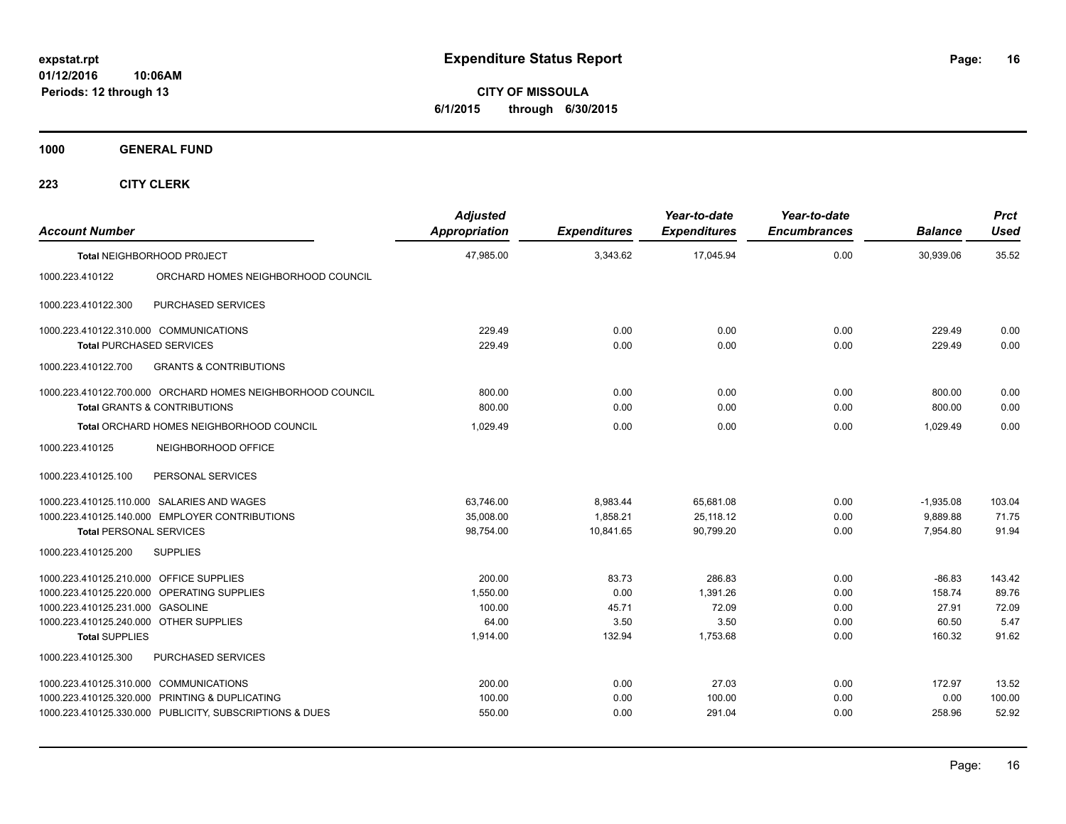**CITY OF MISSOULA 6/1/2015 through 6/30/2015**

**1000 GENERAL FUND**

| <b>Account Number</b>                   |                                                            | <b>Adjusted</b><br><b>Appropriation</b> | <b>Expenditures</b> | Year-to-date<br><b>Expenditures</b> | Year-to-date<br><b>Encumbrances</b> | <b>Balance</b> | <b>Prct</b><br><b>Used</b> |
|-----------------------------------------|------------------------------------------------------------|-----------------------------------------|---------------------|-------------------------------------|-------------------------------------|----------------|----------------------------|
|                                         | Total NEIGHBORHOOD PROJECT                                 | 47,985.00                               | 3,343.62            | 17,045.94                           | 0.00                                | 30.939.06      | 35.52                      |
| 1000.223.410122                         | ORCHARD HOMES NEIGHBORHOOD COUNCIL                         |                                         |                     |                                     |                                     |                |                            |
| 1000.223.410122.300                     | PURCHASED SERVICES                                         |                                         |                     |                                     |                                     |                |                            |
| 1000.223.410122.310.000 COMMUNICATIONS  |                                                            | 229.49                                  | 0.00                | 0.00                                | 0.00                                | 229.49         | 0.00                       |
|                                         | <b>Total PURCHASED SERVICES</b>                            | 229.49                                  | 0.00                | 0.00                                | 0.00                                | 229.49         | 0.00                       |
| 1000.223.410122.700                     | <b>GRANTS &amp; CONTRIBUTIONS</b>                          |                                         |                     |                                     |                                     |                |                            |
|                                         | 1000.223.410122.700.000 ORCHARD HOMES NEIGHBORHOOD COUNCIL | 800.00                                  | 0.00                | 0.00                                | 0.00                                | 800.00         | 0.00                       |
|                                         | <b>Total GRANTS &amp; CONTRIBUTIONS</b>                    | 800.00                                  | 0.00                | 0.00                                | 0.00                                | 800.00         | 0.00                       |
|                                         | Total ORCHARD HOMES NEIGHBORHOOD COUNCIL                   | 1.029.49                                | 0.00                | 0.00                                | 0.00                                | 1.029.49       | 0.00                       |
| 1000.223.410125                         | NEIGHBORHOOD OFFICE                                        |                                         |                     |                                     |                                     |                |                            |
| 1000.223.410125.100                     | PERSONAL SERVICES                                          |                                         |                     |                                     |                                     |                |                            |
|                                         | 1000.223.410125.110.000 SALARIES AND WAGES                 | 63.746.00                               | 8.983.44            | 65,681.08                           | 0.00                                | $-1,935.08$    | 103.04                     |
|                                         | 1000.223.410125.140.000 EMPLOYER CONTRIBUTIONS             | 35,008.00                               | 1,858.21            | 25,118.12                           | 0.00                                | 9,889.88       | 71.75                      |
| <b>Total PERSONAL SERVICES</b>          |                                                            | 98,754.00                               | 10,841.65           | 90,799.20                           | 0.00                                | 7,954.80       | 91.94                      |
| 1000.223.410125.200                     | <b>SUPPLIES</b>                                            |                                         |                     |                                     |                                     |                |                            |
| 1000.223.410125.210.000 OFFICE SUPPLIES |                                                            | 200.00                                  | 83.73               | 286.83                              | 0.00                                | $-86.83$       | 143.42                     |
|                                         | 1000.223.410125.220.000 OPERATING SUPPLIES                 | 1.550.00                                | 0.00                | 1,391.26                            | 0.00                                | 158.74         | 89.76                      |
| 1000.223.410125.231.000 GASOLINE        |                                                            | 100.00                                  | 45.71               | 72.09                               | 0.00                                | 27.91          | 72.09                      |
| 1000.223.410125.240.000 OTHER SUPPLIES  |                                                            | 64.00                                   | 3.50                | 3.50                                | 0.00                                | 60.50          | 5.47                       |
| <b>Total SUPPLIES</b>                   |                                                            | 1,914.00                                | 132.94              | 1,753.68                            | 0.00                                | 160.32         | 91.62                      |
| 1000.223.410125.300                     | <b>PURCHASED SERVICES</b>                                  |                                         |                     |                                     |                                     |                |                            |
| 1000.223.410125.310.000 COMMUNICATIONS  |                                                            | 200.00                                  | 0.00                | 27.03                               | 0.00                                | 172.97         | 13.52                      |
|                                         | 1000.223.410125.320.000 PRINTING & DUPLICATING             | 100.00                                  | 0.00                | 100.00                              | 0.00                                | 0.00           | 100.00                     |
|                                         | 1000.223.410125.330.000 PUBLICITY, SUBSCRIPTIONS & DUES    | 550.00                                  | 0.00                | 291.04                              | 0.00                                | 258.96         | 52.92                      |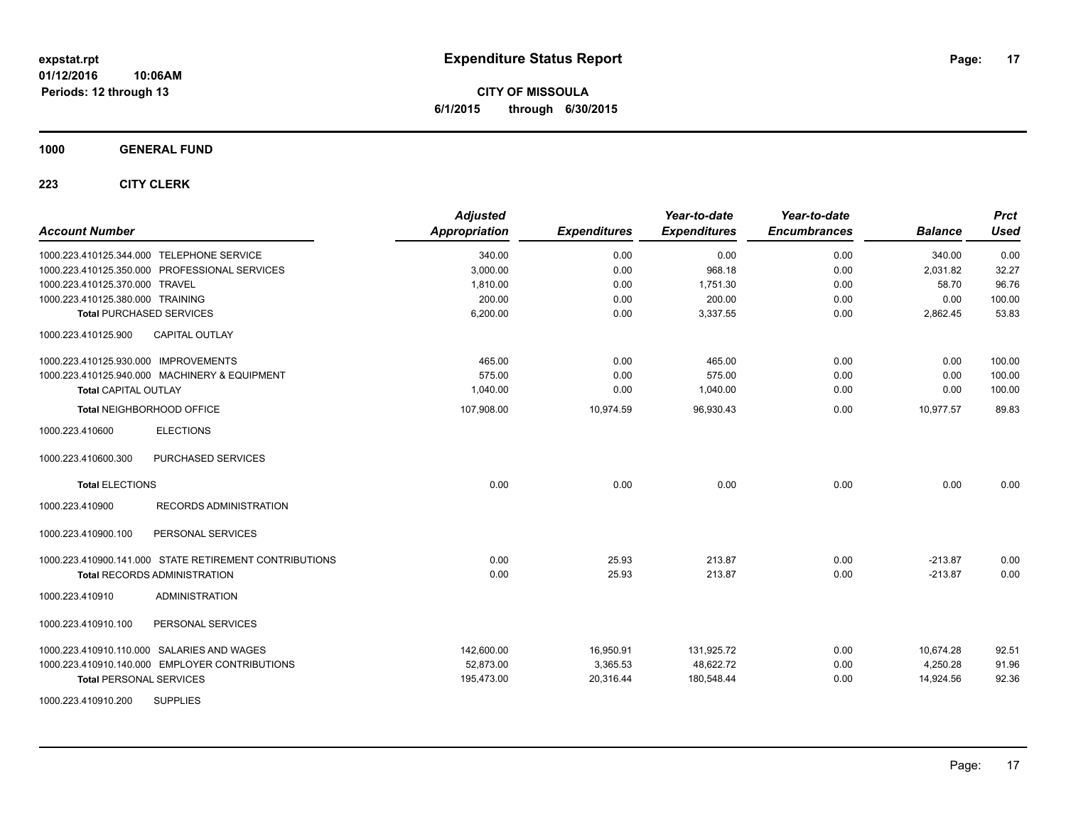**CITY OF MISSOULA 6/1/2015 through 6/30/2015**

**1000 GENERAL FUND**

| <b>Account Number</b>                                  | <b>Adjusted</b><br><b>Appropriation</b> | <b>Expenditures</b> | Year-to-date<br><b>Expenditures</b> | Year-to-date<br><b>Encumbrances</b> | <b>Balance</b> | <b>Prct</b><br><b>Used</b> |
|--------------------------------------------------------|-----------------------------------------|---------------------|-------------------------------------|-------------------------------------|----------------|----------------------------|
| 1000.223.410125.344.000 TELEPHONE SERVICE              | 340.00                                  | 0.00                | 0.00                                | 0.00                                | 340.00         | 0.00                       |
| 1000.223.410125.350.000 PROFESSIONAL SERVICES          | 3,000.00                                | 0.00                | 968.18                              | 0.00                                | 2,031.82       | 32.27                      |
| 1000.223.410125.370.000 TRAVEL                         | 1,810.00                                | 0.00                | 1,751.30                            | 0.00                                | 58.70          | 96.76                      |
| 1000.223.410125.380.000 TRAINING                       | 200.00                                  | 0.00                | 200.00                              | 0.00                                | 0.00           | 100.00                     |
| <b>Total PURCHASED SERVICES</b>                        | 6,200.00                                | 0.00                | 3,337.55                            | 0.00                                | 2,862.45       | 53.83                      |
| 1000.223.410125.900<br><b>CAPITAL OUTLAY</b>           |                                         |                     |                                     |                                     |                |                            |
| 1000.223.410125.930.000 IMPROVEMENTS                   | 465.00                                  | 0.00                | 465.00                              | 0.00                                | 0.00           | 100.00                     |
| 1000.223.410125.940.000 MACHINERY & EQUIPMENT          | 575.00                                  | 0.00                | 575.00                              | 0.00                                | 0.00           | 100.00                     |
| <b>Total CAPITAL OUTLAY</b>                            | 1,040.00                                | 0.00                | 1,040.00                            | 0.00                                | 0.00           | 100.00                     |
| Total NEIGHBORHOOD OFFICE                              | 107,908.00                              | 10,974.59           | 96,930.43                           | 0.00                                | 10,977.57      | 89.83                      |
| <b>ELECTIONS</b><br>1000.223.410600                    |                                         |                     |                                     |                                     |                |                            |
| 1000.223.410600.300<br>PURCHASED SERVICES              |                                         |                     |                                     |                                     |                |                            |
| <b>Total ELECTIONS</b>                                 | 0.00                                    | 0.00                | 0.00                                | 0.00                                | 0.00           | 0.00                       |
| 1000.223.410900<br><b>RECORDS ADMINISTRATION</b>       |                                         |                     |                                     |                                     |                |                            |
| PERSONAL SERVICES<br>1000.223.410900.100               |                                         |                     |                                     |                                     |                |                            |
| 1000.223.410900.141.000 STATE RETIREMENT CONTRIBUTIONS | 0.00                                    | 25.93               | 213.87                              | 0.00                                | $-213.87$      | 0.00                       |
| <b>Total RECORDS ADMINISTRATION</b>                    | 0.00                                    | 25.93               | 213.87                              | 0.00                                | $-213.87$      | 0.00                       |
| 1000.223.410910<br><b>ADMINISTRATION</b>               |                                         |                     |                                     |                                     |                |                            |
| 1000.223.410910.100<br>PERSONAL SERVICES               |                                         |                     |                                     |                                     |                |                            |
| 1000.223.410910.110.000 SALARIES AND WAGES             | 142,600.00                              | 16.950.91           | 131,925.72                          | 0.00                                | 10,674.28      | 92.51                      |
| 1000.223.410910.140.000 EMPLOYER CONTRIBUTIONS         | 52,873.00                               | 3,365.53            | 48,622.72                           | 0.00                                | 4,250.28       | 91.96                      |
| <b>Total PERSONAL SERVICES</b>                         | 195,473.00                              | 20,316.44           | 180,548.44                          | 0.00                                | 14,924.56      | 92.36                      |
| <b>SUPPLIES</b><br>1000.223.410910.200                 |                                         |                     |                                     |                                     |                |                            |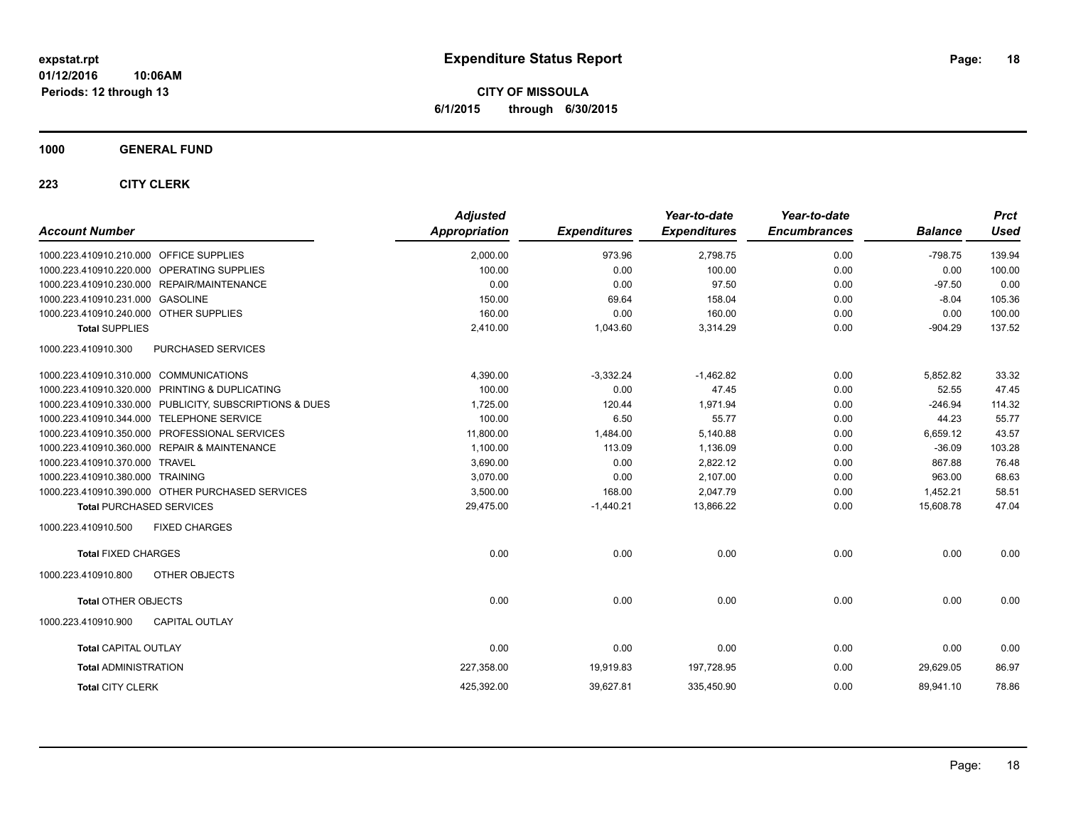**CITY OF MISSOULA 6/1/2015 through 6/30/2015**

### **1000 GENERAL FUND**

| <b>Account Number</b>                                   | <b>Adjusted</b><br><b>Appropriation</b> | <b>Expenditures</b> | Year-to-date<br><b>Expenditures</b> | Year-to-date<br><b>Encumbrances</b> | <b>Balance</b> | <b>Prct</b><br><b>Used</b> |
|---------------------------------------------------------|-----------------------------------------|---------------------|-------------------------------------|-------------------------------------|----------------|----------------------------|
| 1000.223.410910.210.000 OFFICE SUPPLIES                 | 2,000.00                                | 973.96              | 2,798.75                            | 0.00                                | $-798.75$      | 139.94                     |
| 1000.223.410910.220.000 OPERATING SUPPLIES              | 100.00                                  | 0.00                | 100.00                              | 0.00                                | 0.00           | 100.00                     |
| 1000.223.410910.230.000 REPAIR/MAINTENANCE              | 0.00                                    | 0.00                | 97.50                               | 0.00                                | $-97.50$       | 0.00                       |
| 1000.223.410910.231.000 GASOLINE                        | 150.00                                  | 69.64               | 158.04                              | 0.00                                | $-8.04$        | 105.36                     |
| 1000.223.410910.240.000 OTHER SUPPLIES                  | 160.00                                  | 0.00                | 160.00                              | 0.00                                | 0.00           | 100.00                     |
| <b>Total SUPPLIES</b>                                   | 2,410.00                                | 1,043.60            | 3,314.29                            | 0.00                                | $-904.29$      | 137.52                     |
| 1000.223.410910.300<br>PURCHASED SERVICES               |                                         |                     |                                     |                                     |                |                            |
| 1000.223.410910.310.000 COMMUNICATIONS                  | 4,390.00                                | $-3,332.24$         | $-1,462.82$                         | 0.00                                | 5,852.82       | 33.32                      |
| 1000.223.410910.320.000 PRINTING & DUPLICATING          | 100.00                                  | 0.00                | 47.45                               | 0.00                                | 52.55          | 47.45                      |
| 1000.223.410910.330.000 PUBLICITY, SUBSCRIPTIONS & DUES | 1,725.00                                | 120.44              | 1,971.94                            | 0.00                                | $-246.94$      | 114.32                     |
| 1000.223.410910.344.000 TELEPHONE SERVICE               | 100.00                                  | 6.50                | 55.77                               | 0.00                                | 44.23          | 55.77                      |
| 1000.223.410910.350.000 PROFESSIONAL SERVICES           | 11,800.00                               | 1,484.00            | 5,140.88                            | 0.00                                | 6,659.12       | 43.57                      |
| 1000.223.410910.360.000 REPAIR & MAINTENANCE            | 1,100.00                                | 113.09              | 1,136.09                            | 0.00                                | $-36.09$       | 103.28                     |
| 1000.223.410910.370.000 TRAVEL                          | 3,690.00                                | 0.00                | 2,822.12                            | 0.00                                | 867.88         | 76.48                      |
| 1000.223.410910.380.000 TRAINING                        | 3,070.00                                | 0.00                | 2,107.00                            | 0.00                                | 963.00         | 68.63                      |
| 1000.223.410910.390.000 OTHER PURCHASED SERVICES        | 3,500.00                                | 168.00              | 2,047.79                            | 0.00                                | 1,452.21       | 58.51                      |
| <b>Total PURCHASED SERVICES</b>                         | 29,475.00                               | $-1,440.21$         | 13,866.22                           | 0.00                                | 15,608.78      | 47.04                      |
| <b>FIXED CHARGES</b><br>1000.223.410910.500             |                                         |                     |                                     |                                     |                |                            |
| <b>Total FIXED CHARGES</b>                              | 0.00                                    | 0.00                | 0.00                                | 0.00                                | 0.00           | 0.00                       |
| 1000.223.410910.800<br>OTHER OBJECTS                    |                                         |                     |                                     |                                     |                |                            |
| <b>Total OTHER OBJECTS</b>                              | 0.00                                    | 0.00                | 0.00                                | 0.00                                | 0.00           | 0.00                       |
| 1000.223.410910.900<br><b>CAPITAL OUTLAY</b>            |                                         |                     |                                     |                                     |                |                            |
| <b>Total CAPITAL OUTLAY</b>                             | 0.00                                    | 0.00                | 0.00                                | 0.00                                | 0.00           | 0.00                       |
| <b>Total ADMINISTRATION</b>                             | 227,358.00                              | 19,919.83           | 197,728.95                          | 0.00                                | 29,629.05      | 86.97                      |
| <b>Total CITY CLERK</b>                                 | 425,392.00                              | 39,627.81           | 335,450.90                          | 0.00                                | 89,941.10      | 78.86                      |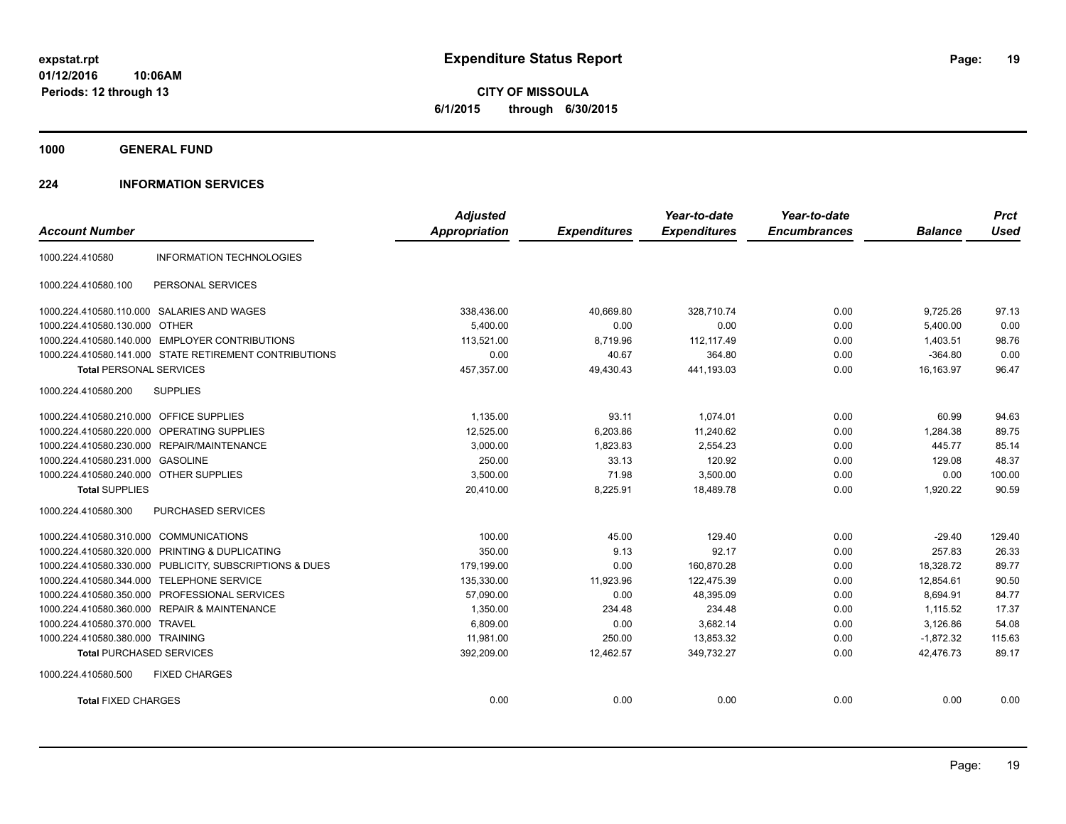**CITY OF MISSOULA 6/1/2015 through 6/30/2015**

**1000 GENERAL FUND**

### **224 INFORMATION SERVICES**

|                                         |                                                         | <b>Adjusted</b>      |                     | Year-to-date        | Year-to-date        |                | <b>Prct</b> |
|-----------------------------------------|---------------------------------------------------------|----------------------|---------------------|---------------------|---------------------|----------------|-------------|
| <b>Account Number</b>                   |                                                         | <b>Appropriation</b> | <b>Expenditures</b> | <b>Expenditures</b> | <b>Encumbrances</b> | <b>Balance</b> | <b>Used</b> |
| 1000.224.410580                         | <b>INFORMATION TECHNOLOGIES</b>                         |                      |                     |                     |                     |                |             |
| 1000.224.410580.100                     | PERSONAL SERVICES                                       |                      |                     |                     |                     |                |             |
|                                         | 1000.224.410580.110.000 SALARIES AND WAGES              | 338,436.00           | 40,669.80           | 328.710.74          | 0.00                | 9,725.26       | 97.13       |
| 1000.224.410580.130.000 OTHER           |                                                         | 5,400.00             | 0.00                | 0.00                | 0.00                | 5,400.00       | 0.00        |
|                                         | 1000.224.410580.140.000 EMPLOYER CONTRIBUTIONS          | 113.521.00           | 8.719.96            | 112.117.49          | 0.00                | 1.403.51       | 98.76       |
|                                         | 1000.224.410580.141.000 STATE RETIREMENT CONTRIBUTIONS  | 0.00                 | 40.67               | 364.80              | 0.00                | $-364.80$      | 0.00        |
| <b>Total PERSONAL SERVICES</b>          |                                                         | 457,357.00           | 49,430.43           | 441,193.03          | 0.00                | 16,163.97      | 96.47       |
| 1000.224.410580.200                     | <b>SUPPLIES</b>                                         |                      |                     |                     |                     |                |             |
| 1000.224.410580.210.000 OFFICE SUPPLIES |                                                         | 1.135.00             | 93.11               | 1.074.01            | 0.00                | 60.99          | 94.63       |
|                                         | 1000.224.410580.220.000 OPERATING SUPPLIES              | 12,525.00            | 6,203.86            | 11,240.62           | 0.00                | 1,284.38       | 89.75       |
|                                         | 1000.224.410580.230.000 REPAIR/MAINTENANCE              | 3,000.00             | 1,823.83            | 2,554.23            | 0.00                | 445.77         | 85.14       |
| 1000.224.410580.231.000 GASOLINE        |                                                         | 250.00               | 33.13               | 120.92              | 0.00                | 129.08         | 48.37       |
| 1000.224.410580.240.000 OTHER SUPPLIES  |                                                         | 3.500.00             | 71.98               | 3,500.00            | 0.00                | 0.00           | 100.00      |
| <b>Total SUPPLIES</b>                   |                                                         | 20,410.00            | 8,225.91            | 18,489.78           | 0.00                | 1,920.22       | 90.59       |
| 1000.224.410580.300                     | PURCHASED SERVICES                                      |                      |                     |                     |                     |                |             |
| 1000.224.410580.310.000 COMMUNICATIONS  |                                                         | 100.00               | 45.00               | 129.40              | 0.00                | $-29.40$       | 129.40      |
|                                         | 1000.224.410580.320.000 PRINTING & DUPLICATING          | 350.00               | 9.13                | 92.17               | 0.00                | 257.83         | 26.33       |
|                                         | 1000.224.410580.330.000 PUBLICITY, SUBSCRIPTIONS & DUES | 179,199.00           | 0.00                | 160,870.28          | 0.00                | 18,328.72      | 89.77       |
|                                         | 1000.224.410580.344.000 TELEPHONE SERVICE               | 135,330.00           | 11,923.96           | 122,475.39          | 0.00                | 12,854.61      | 90.50       |
| 1000.224.410580.350.000                 | PROFESSIONAL SERVICES                                   | 57,090.00            | 0.00                | 48,395.09           | 0.00                | 8,694.91       | 84.77       |
|                                         | 1000.224.410580.360.000 REPAIR & MAINTENANCE            | 1,350.00             | 234.48              | 234.48              | 0.00                | 1,115.52       | 17.37       |
| 1000.224.410580.370.000 TRAVEL          |                                                         | 6,809.00             | 0.00                | 3,682.14            | 0.00                | 3,126.86       | 54.08       |
| 1000.224.410580.380.000 TRAINING        |                                                         | 11,981.00            | 250.00              | 13,853.32           | 0.00                | $-1,872.32$    | 115.63      |
| <b>Total PURCHASED SERVICES</b>         |                                                         | 392,209.00           | 12,462.57           | 349,732.27          | 0.00                | 42,476.73      | 89.17       |
| 1000.224.410580.500                     | <b>FIXED CHARGES</b>                                    |                      |                     |                     |                     |                |             |
| <b>Total FIXED CHARGES</b>              |                                                         | 0.00                 | 0.00                | 0.00                | 0.00                | 0.00           | 0.00        |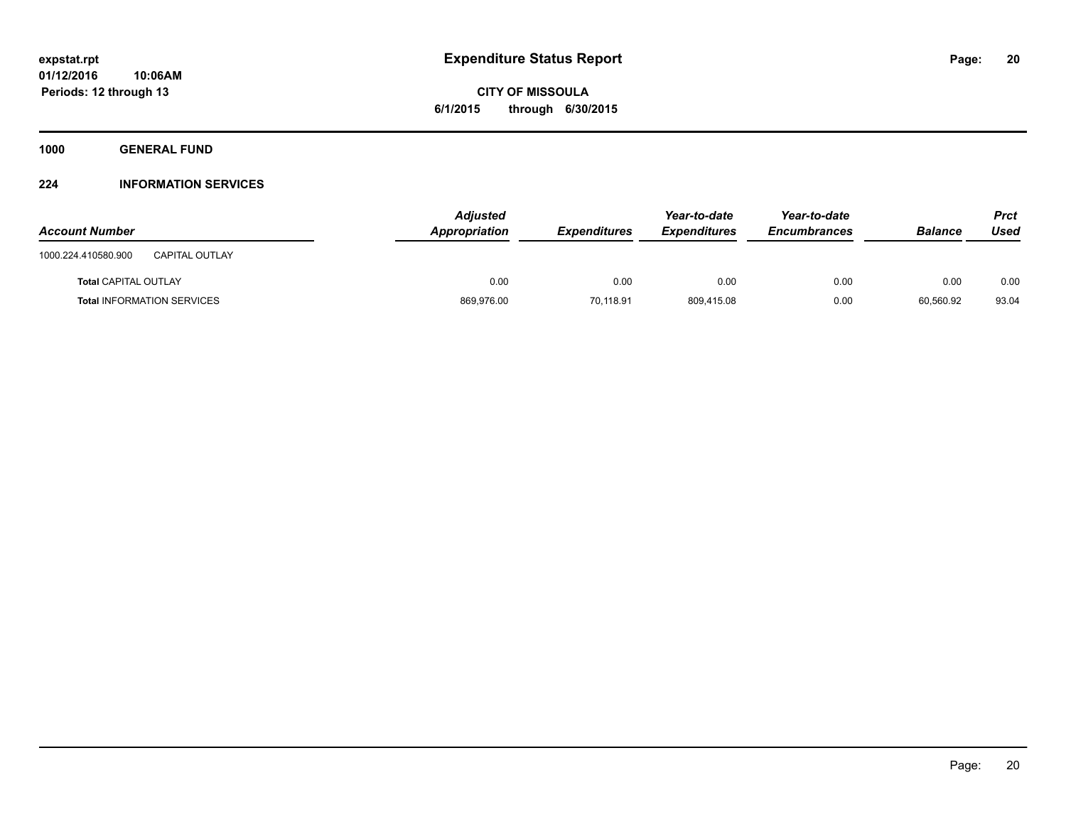**CITY OF MISSOULA 6/1/2015 through 6/30/2015**

**1000 GENERAL FUND**

### **224 INFORMATION SERVICES**

| <b>Account Number</b>                        | <b>Adjusted</b><br>Appropriation | <b>Expenditures</b> | Year-to-date<br><b>Expenditures</b> | Year-to-date<br>Encumbrances | <b>Balance</b> | <b>Prct</b><br>Used |
|----------------------------------------------|----------------------------------|---------------------|-------------------------------------|------------------------------|----------------|---------------------|
| <b>CAPITAL OUTLAY</b><br>1000.224.410580.900 |                                  |                     |                                     |                              |                |                     |
| <b>Total CAPITAL OUTLAY</b>                  | 0.00                             | 0.00                | 0.00                                | 0.00                         | 0.00           | 0.00                |
| <b>Total INFORMATION SERVICES</b>            | 869,976.00                       | 70,118.91           | 809,415.08                          | 0.00                         | 60,560.92      | 93.04               |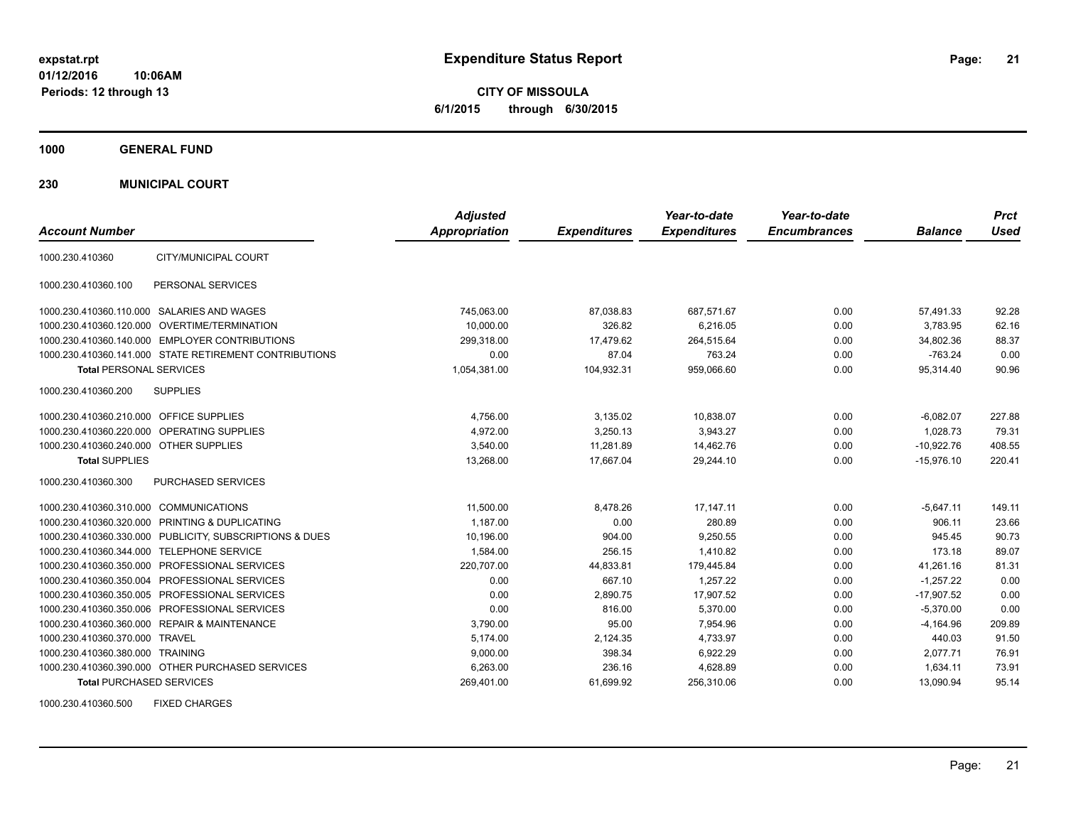**CITY OF MISSOULA 6/1/2015 through 6/30/2015**

**1000 GENERAL FUND**

**230 MUNICIPAL COURT**

| <b>Account Number</b>                   |                                                         | <b>Adjusted</b><br><b>Appropriation</b> | <b>Expenditures</b> | Year-to-date<br><b>Expenditures</b> | Year-to-date<br><b>Encumbrances</b> | <b>Balance</b> | <b>Prct</b><br><b>Used</b> |
|-----------------------------------------|---------------------------------------------------------|-----------------------------------------|---------------------|-------------------------------------|-------------------------------------|----------------|----------------------------|
| 1000.230.410360                         | CITY/MUNICIPAL COURT                                    |                                         |                     |                                     |                                     |                |                            |
| 1000.230.410360.100                     | PERSONAL SERVICES                                       |                                         |                     |                                     |                                     |                |                            |
|                                         | 1000.230.410360.110.000 SALARIES AND WAGES              | 745,063.00                              | 87,038.83           | 687,571.67                          | 0.00                                | 57.491.33      | 92.28                      |
|                                         | 1000.230.410360.120.000 OVERTIME/TERMINATION            | 10.000.00                               | 326.82              | 6.216.05                            | 0.00                                | 3.783.95       | 62.16                      |
|                                         | 1000.230.410360.140.000 EMPLOYER CONTRIBUTIONS          | 299,318.00                              | 17,479.62           | 264,515.64                          | 0.00                                | 34,802.36      | 88.37                      |
|                                         | 1000.230.410360.141.000 STATE RETIREMENT CONTRIBUTIONS  | 0.00                                    | 87.04               | 763.24                              | 0.00                                | $-763.24$      | 0.00                       |
| <b>Total PERSONAL SERVICES</b>          |                                                         | 1,054,381.00                            | 104,932.31          | 959,066.60                          | 0.00                                | 95,314.40      | 90.96                      |
| 1000.230.410360.200                     | <b>SUPPLIES</b>                                         |                                         |                     |                                     |                                     |                |                            |
| 1000.230.410360.210.000 OFFICE SUPPLIES |                                                         | 4,756.00                                | 3,135.02            | 10,838.07                           | 0.00                                | $-6,082.07$    | 227.88                     |
|                                         | 1000.230.410360.220.000 OPERATING SUPPLIES              | 4.972.00                                | 3.250.13            | 3.943.27                            | 0.00                                | 1.028.73       | 79.31                      |
| 1000.230.410360.240.000 OTHER SUPPLIES  |                                                         | 3.540.00                                | 11.281.89           | 14.462.76                           | 0.00                                | $-10,922.76$   | 408.55                     |
| <b>Total SUPPLIES</b>                   |                                                         | 13,268.00                               | 17,667.04           | 29,244.10                           | 0.00                                | $-15,976.10$   | 220.41                     |
| 1000.230.410360.300                     | PURCHASED SERVICES                                      |                                         |                     |                                     |                                     |                |                            |
| 1000.230.410360.310.000 COMMUNICATIONS  |                                                         | 11,500.00                               | 8,478.26            | 17,147.11                           | 0.00                                | $-5,647.11$    | 149.11                     |
|                                         | 1000.230.410360.320.000 PRINTING & DUPLICATING          | 1,187.00                                | 0.00                | 280.89                              | 0.00                                | 906.11         | 23.66                      |
|                                         | 1000.230.410360.330.000 PUBLICITY, SUBSCRIPTIONS & DUES | 10,196.00                               | 904.00              | 9,250.55                            | 0.00                                | 945.45         | 90.73                      |
|                                         | 1000.230.410360.344.000 TELEPHONE SERVICE               | 1,584.00                                | 256.15              | 1.410.82                            | 0.00                                | 173.18         | 89.07                      |
|                                         | 1000.230.410360.350.000 PROFESSIONAL SERVICES           | 220,707.00                              | 44,833.81           | 179,445.84                          | 0.00                                | 41.261.16      | 81.31                      |
|                                         | 1000.230.410360.350.004 PROFESSIONAL SERVICES           | 0.00                                    | 667.10              | 1,257.22                            | 0.00                                | $-1,257.22$    | 0.00                       |
|                                         | 1000.230.410360.350.005 PROFESSIONAL SERVICES           | 0.00                                    | 2,890.75            | 17,907.52                           | 0.00                                | $-17,907.52$   | 0.00                       |
|                                         | 1000.230.410360.350.006 PROFESSIONAL SERVICES           | 0.00                                    | 816.00              | 5,370.00                            | 0.00                                | $-5,370.00$    | 0.00                       |
|                                         | 1000.230.410360.360.000 REPAIR & MAINTENANCE            | 3,790.00                                | 95.00               | 7,954.96                            | 0.00                                | $-4,164.96$    | 209.89                     |
| 1000.230.410360.370.000 TRAVEL          |                                                         | 5,174.00                                | 2,124.35            | 4,733.97                            | 0.00                                | 440.03         | 91.50                      |
| 1000.230.410360.380.000 TRAINING        |                                                         | 9,000.00                                | 398.34              | 6,922.29                            | 0.00                                | 2,077.71       | 76.91                      |
|                                         | 1000.230.410360.390.000 OTHER PURCHASED SERVICES        | 6,263.00                                | 236.16              | 4,628.89                            | 0.00                                | 1,634.11       | 73.91                      |
| <b>Total PURCHASED SERVICES</b>         |                                                         | 269,401.00                              | 61,699.92           | 256,310.06                          | 0.00                                | 13,090.94      | 95.14                      |

1000.230.410360.500 FIXED CHARGES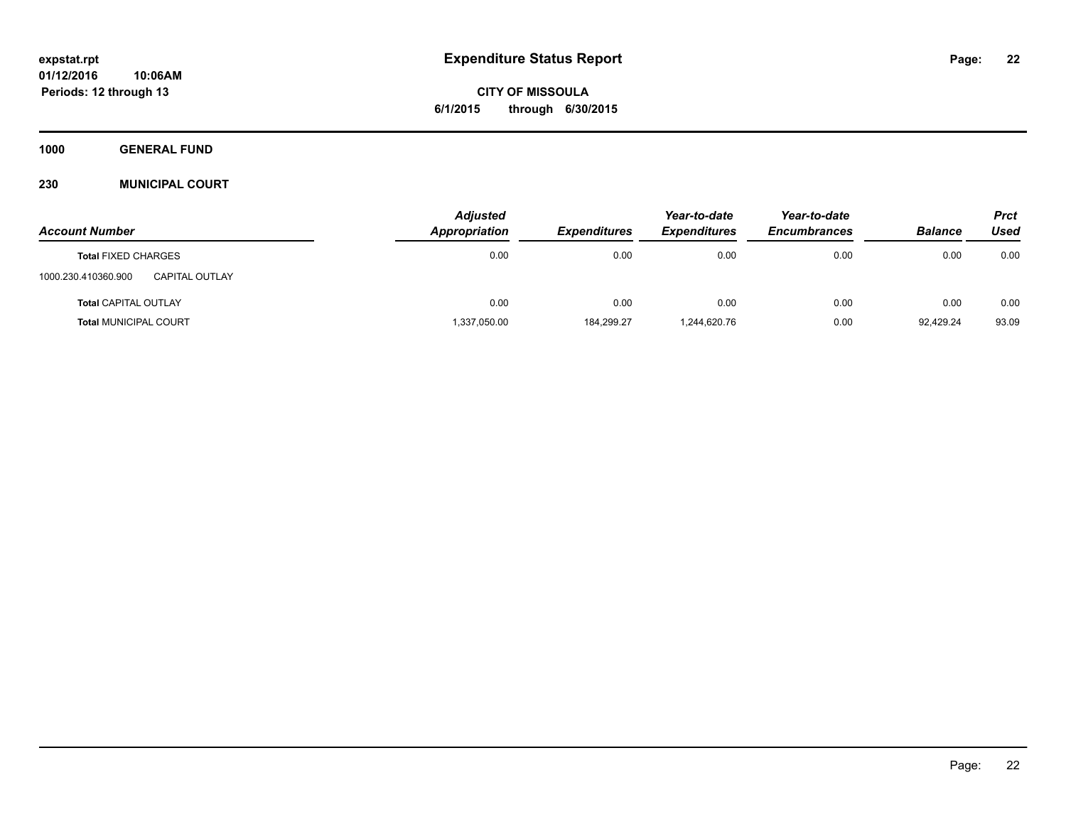**CITY OF MISSOULA 6/1/2015 through 6/30/2015**

**1000 GENERAL FUND**

### **230 MUNICIPAL COURT**

|                                              | <b>Adjusted</b> |                     | Year-to-date        | Year-to-date        |                | <b>Prct</b> |
|----------------------------------------------|-----------------|---------------------|---------------------|---------------------|----------------|-------------|
| <b>Account Number</b>                        | Appropriation   | <b>Expenditures</b> | <b>Expenditures</b> | <b>Encumbrances</b> | <b>Balance</b> | Used        |
| <b>Total FIXED CHARGES</b>                   | 0.00            | 0.00                | 0.00                | 0.00                | 0.00           | 0.00        |
| 1000.230.410360.900<br><b>CAPITAL OUTLAY</b> |                 |                     |                     |                     |                |             |
| <b>Total CAPITAL OUTLAY</b>                  | 0.00            | 0.00                | 0.00                | 0.00                | 0.00           | 0.00        |
| <b>Total MUNICIPAL COURT</b>                 | 1,337,050.00    | 184,299.27          | 1,244,620.76        | 0.00                | 92.429.24      | 93.09       |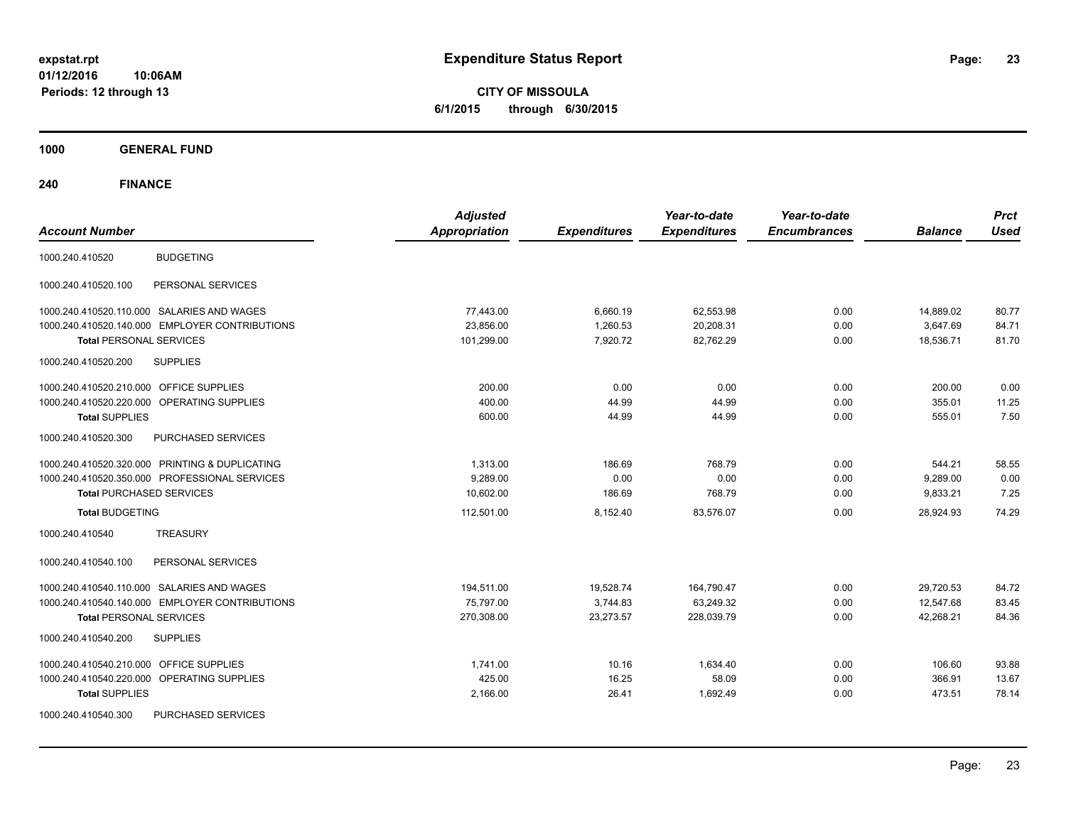**CITY OF MISSOULA 6/1/2015 through 6/30/2015**

**1000 GENERAL FUND**

| <b>Account Number</b>                                | <b>Adjusted</b><br><b>Appropriation</b> | <b>Expenditures</b> | Year-to-date<br><b>Expenditures</b> | Year-to-date<br><b>Encumbrances</b> | <b>Balance</b> | <b>Prct</b><br><b>Used</b> |
|------------------------------------------------------|-----------------------------------------|---------------------|-------------------------------------|-------------------------------------|----------------|----------------------------|
| <b>BUDGETING</b><br>1000.240.410520                  |                                         |                     |                                     |                                     |                |                            |
| 1000.240.410520.100<br>PERSONAL SERVICES             |                                         |                     |                                     |                                     |                |                            |
| 1000.240.410520.110.000 SALARIES AND WAGES           | 77,443.00                               | 6,660.19            | 62,553.98                           | 0.00                                | 14,889.02      | 80.77                      |
| 1000.240.410520.140.000 EMPLOYER CONTRIBUTIONS       | 23,856.00                               | 1,260.53            | 20,208.31                           | 0.00                                | 3,647.69       | 84.71                      |
| <b>Total PERSONAL SERVICES</b>                       | 101,299.00                              | 7,920.72            | 82.762.29                           | 0.00                                | 18,536.71      | 81.70                      |
| 1000.240.410520.200<br><b>SUPPLIES</b>               |                                         |                     |                                     |                                     |                |                            |
| 1000.240.410520.210.000 OFFICE SUPPLIES              | 200.00                                  | 0.00                | 0.00                                | 0.00                                | 200.00         | 0.00                       |
| 1000.240.410520.220.000<br><b>OPERATING SUPPLIES</b> | 400.00                                  | 44.99               | 44.99                               | 0.00                                | 355.01         | 11.25                      |
| <b>Total SUPPLIES</b>                                | 600.00                                  | 44.99               | 44.99                               | 0.00                                | 555.01         | 7.50                       |
| 1000.240.410520.300<br>PURCHASED SERVICES            |                                         |                     |                                     |                                     |                |                            |
| 1000.240.410520.320.000 PRINTING & DUPLICATING       | 1,313.00                                | 186.69              | 768.79                              | 0.00                                | 544.21         | 58.55                      |
| 1000.240.410520.350.000 PROFESSIONAL SERVICES        | 9,289.00                                | 0.00                | 0.00                                | 0.00                                | 9,289.00       | 0.00                       |
| <b>Total PURCHASED SERVICES</b>                      | 10,602.00                               | 186.69              | 768.79                              | 0.00                                | 9,833.21       | 7.25                       |
| <b>Total BUDGETING</b>                               | 112,501.00                              | 8,152.40            | 83,576.07                           | 0.00                                | 28,924.93      | 74.29                      |
| <b>TREASURY</b><br>1000.240.410540                   |                                         |                     |                                     |                                     |                |                            |
| PERSONAL SERVICES<br>1000.240.410540.100             |                                         |                     |                                     |                                     |                |                            |
| 1000.240.410540.110.000 SALARIES AND WAGES           | 194,511.00                              | 19,528.74           | 164,790.47                          | 0.00                                | 29,720.53      | 84.72                      |
| 1000.240.410540.140.000 EMPLOYER CONTRIBUTIONS       | 75,797.00                               | 3,744.83            | 63,249.32                           | 0.00                                | 12,547.68      | 83.45                      |
| <b>Total PERSONAL SERVICES</b>                       | 270,308.00                              | 23,273.57           | 228,039.79                          | 0.00                                | 42,268.21      | 84.36                      |
| <b>SUPPLIES</b><br>1000.240.410540.200               |                                         |                     |                                     |                                     |                |                            |
| <b>OFFICE SUPPLIES</b><br>1000.240.410540.210.000    | 1,741.00                                | 10.16               | 1,634.40                            | 0.00                                | 106.60         | 93.88                      |
| 1000.240.410540.220.000<br>OPERATING SUPPLIES        | 425.00                                  | 16.25               | 58.09                               | 0.00                                | 366.91         | 13.67                      |
| <b>Total SUPPLIES</b>                                | 2,166.00                                | 26.41               | 1,692.49                            | 0.00                                | 473.51         | 78.14                      |
| PURCHASED SERVICES<br>1000.240.410540.300            |                                         |                     |                                     |                                     |                |                            |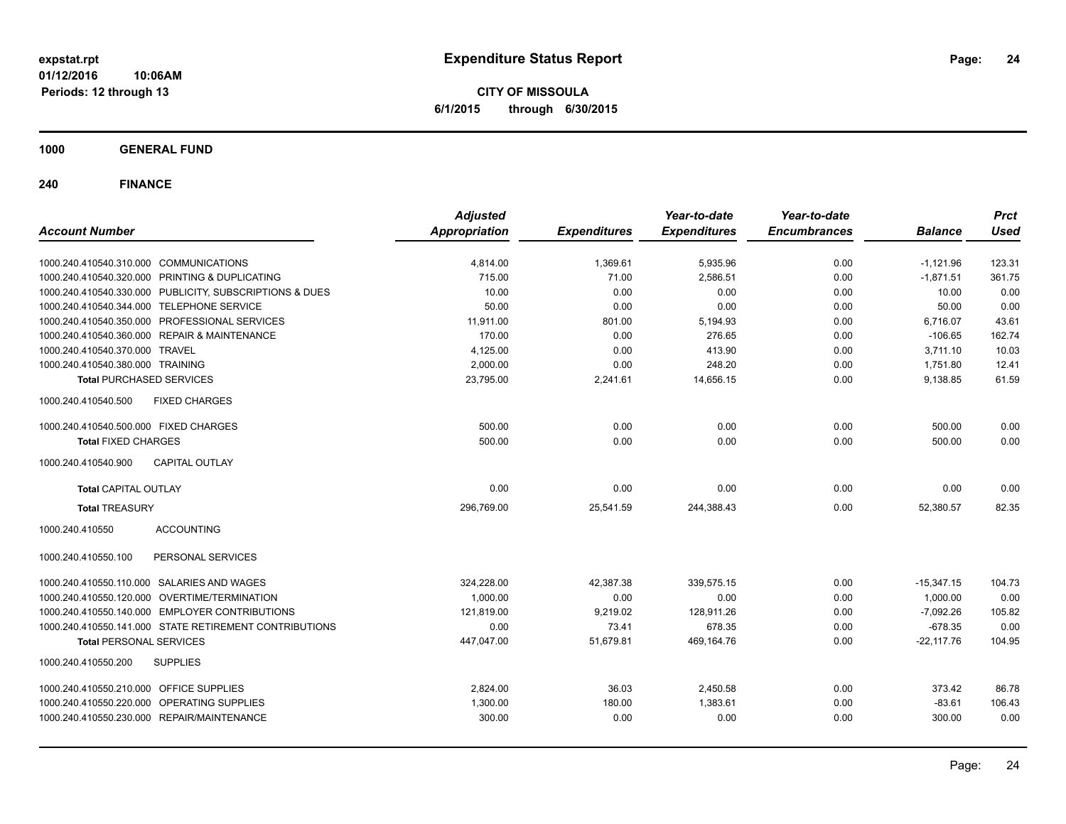**CITY OF MISSOULA 6/1/2015 through 6/30/2015**

**1000 GENERAL FUND**

| <b>Account Number</b>                                   | <b>Adjusted</b><br><b>Appropriation</b> | <b>Expenditures</b> | Year-to-date<br><b>Expenditures</b> | Year-to-date<br><b>Encumbrances</b> | <b>Balance</b> | <b>Prct</b><br><b>Used</b> |
|---------------------------------------------------------|-----------------------------------------|---------------------|-------------------------------------|-------------------------------------|----------------|----------------------------|
|                                                         |                                         |                     |                                     |                                     |                |                            |
| 1000.240.410540.310.000 COMMUNICATIONS                  | 4,814.00                                | 1,369.61            | 5,935.96                            | 0.00                                | $-1,121.96$    | 123.31                     |
| 1000.240.410540.320.000 PRINTING & DUPLICATING          | 715.00                                  | 71.00               | 2,586.51                            | 0.00                                | $-1,871.51$    | 361.75                     |
| 1000.240.410540.330.000 PUBLICITY, SUBSCRIPTIONS & DUES | 10.00                                   | 0.00                | 0.00                                | 0.00                                | 10.00          | 0.00                       |
| 1000.240.410540.344.000 TELEPHONE SERVICE               | 50.00                                   | 0.00                | 0.00                                | 0.00                                | 50.00          | 0.00                       |
| 1000.240.410540.350.000 PROFESSIONAL SERVICES           | 11,911.00                               | 801.00              | 5,194.93                            | 0.00                                | 6,716.07       | 43.61                      |
| 1000.240.410540.360.000 REPAIR & MAINTENANCE            | 170.00                                  | 0.00                | 276.65                              | 0.00                                | $-106.65$      | 162.74                     |
| 1000.240.410540.370.000 TRAVEL                          | 4,125.00                                | 0.00                | 413.90                              | 0.00                                | 3,711.10       | 10.03                      |
| 1000.240.410540.380.000 TRAINING                        | 2,000.00                                | 0.00                | 248.20                              | 0.00                                | 1,751.80       | 12.41                      |
| <b>Total PURCHASED SERVICES</b>                         | 23,795.00                               | 2,241.61            | 14,656.15                           | 0.00                                | 9,138.85       | 61.59                      |
| 1000.240.410540.500<br><b>FIXED CHARGES</b>             |                                         |                     |                                     |                                     |                |                            |
| 1000.240.410540.500.000 FIXED CHARGES                   | 500.00                                  | 0.00                | 0.00                                | 0.00                                | 500.00         | 0.00                       |
| <b>Total FIXED CHARGES</b>                              | 500.00                                  | 0.00                | 0.00                                | 0.00                                | 500.00         | 0.00                       |
| <b>CAPITAL OUTLAY</b><br>1000.240.410540.900            |                                         |                     |                                     |                                     |                |                            |
| <b>Total CAPITAL OUTLAY</b>                             | 0.00                                    | 0.00                | 0.00                                | 0.00                                | 0.00           | 0.00                       |
| <b>Total TREASURY</b>                                   | 296,769.00                              | 25,541.59           | 244,388.43                          | 0.00                                | 52,380.57      | 82.35                      |
| 1000.240.410550<br><b>ACCOUNTING</b>                    |                                         |                     |                                     |                                     |                |                            |
| PERSONAL SERVICES<br>1000.240.410550.100                |                                         |                     |                                     |                                     |                |                            |
| 1000.240.410550.110.000 SALARIES AND WAGES              | 324,228.00                              | 42,387.38           | 339,575.15                          | 0.00                                | $-15,347.15$   | 104.73                     |
| 1000.240.410550.120.000 OVERTIME/TERMINATION            | 1,000.00                                | 0.00                | 0.00                                | 0.00                                | 1,000.00       | 0.00                       |
| 1000.240.410550.140.000 EMPLOYER CONTRIBUTIONS          | 121,819.00                              | 9,219.02            | 128,911.26                          | 0.00                                | $-7,092.26$    | 105.82                     |
| 1000.240.410550.141.000 STATE RETIREMENT CONTRIBUTIONS  | 0.00                                    | 73.41               | 678.35                              | 0.00                                | $-678.35$      | 0.00                       |
| <b>Total PERSONAL SERVICES</b>                          | 447,047.00                              | 51,679.81           | 469,164.76                          | 0.00                                | $-22,117.76$   | 104.95                     |
| 1000.240.410550.200<br><b>SUPPLIES</b>                  |                                         |                     |                                     |                                     |                |                            |
| 1000.240.410550.210.000 OFFICE SUPPLIES                 | 2,824.00                                | 36.03               | 2,450.58                            | 0.00                                | 373.42         | 86.78                      |
| 1000.240.410550.220.000 OPERATING SUPPLIES              | 1,300.00                                | 180.00              | 1,383.61                            | 0.00                                | $-83.61$       | 106.43                     |
| 1000.240.410550.230.000 REPAIR/MAINTENANCE              | 300.00                                  | 0.00                | 0.00                                | 0.00                                | 300.00         | 0.00                       |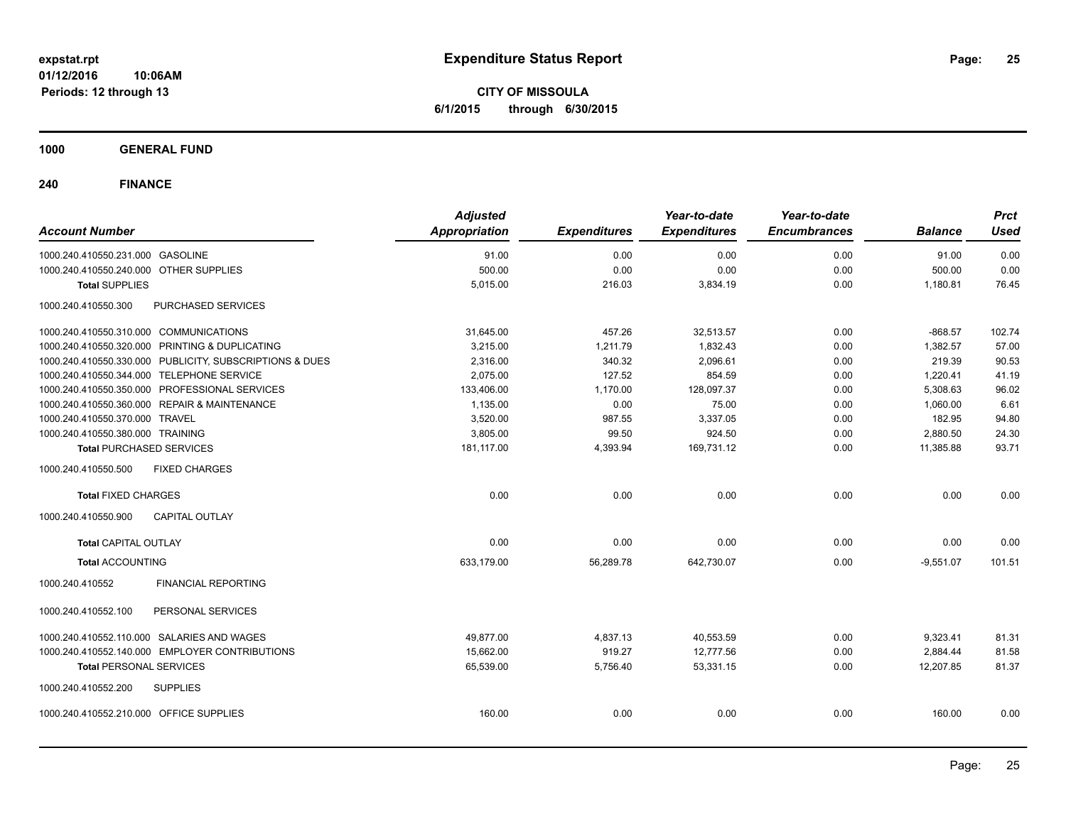**CITY OF MISSOULA 6/1/2015 through 6/30/2015**

### **1000 GENERAL FUND**

| <b>Account Number</b>                     |                                                         | <b>Adjusted</b><br><b>Appropriation</b> | <b>Expenditures</b> | Year-to-date<br><b>Expenditures</b> | Year-to-date<br><b>Encumbrances</b> | <b>Balance</b> | <b>Prct</b><br><b>Used</b> |
|-------------------------------------------|---------------------------------------------------------|-----------------------------------------|---------------------|-------------------------------------|-------------------------------------|----------------|----------------------------|
|                                           |                                                         |                                         |                     |                                     |                                     |                |                            |
| 1000.240.410550.231.000 GASOLINE          |                                                         | 91.00                                   | 0.00                | 0.00                                | 0.00                                | 91.00          | 0.00                       |
| 1000.240.410550.240.000 OTHER SUPPLIES    |                                                         | 500.00                                  | 0.00                | 0.00                                | 0.00                                | 500.00         | 0.00                       |
| <b>Total SUPPLIES</b>                     |                                                         | 5,015.00                                | 216.03              | 3,834.19                            | 0.00                                | 1,180.81       | 76.45                      |
| 1000.240.410550.300                       | <b>PURCHASED SERVICES</b>                               |                                         |                     |                                     |                                     |                |                            |
| 1000.240.410550.310.000 COMMUNICATIONS    |                                                         | 31,645.00                               | 457.26              | 32,513.57                           | 0.00                                | $-868.57$      | 102.74                     |
|                                           | 1000.240.410550.320.000 PRINTING & DUPLICATING          | 3,215.00                                | 1,211.79            | 1,832.43                            | 0.00                                | 1,382.57       | 57.00                      |
|                                           | 1000.240.410550.330.000 PUBLICITY, SUBSCRIPTIONS & DUES | 2,316.00                                | 340.32              | 2,096.61                            | 0.00                                | 219.39         | 90.53                      |
| 1000.240.410550.344.000 TELEPHONE SERVICE |                                                         | 2,075.00                                | 127.52              | 854.59                              | 0.00                                | 1,220.41       | 41.19                      |
|                                           | 1000.240.410550.350.000 PROFESSIONAL SERVICES           | 133,406.00                              | 1,170.00            | 128,097.37                          | 0.00                                | 5,308.63       | 96.02                      |
|                                           | 1000.240.410550.360.000 REPAIR & MAINTENANCE            | 1,135.00                                | 0.00                | 75.00                               | 0.00                                | 1,060.00       | 6.61                       |
| 1000.240.410550.370.000 TRAVEL            |                                                         | 3,520.00                                | 987.55              | 3,337.05                            | 0.00                                | 182.95         | 94.80                      |
| 1000.240.410550.380.000 TRAINING          |                                                         | 3,805.00                                | 99.50               | 924.50                              | 0.00                                | 2,880.50       | 24.30                      |
| <b>Total PURCHASED SERVICES</b>           |                                                         | 181,117.00                              | 4,393.94            | 169,731.12                          | 0.00                                | 11,385.88      | 93.71                      |
| 1000.240.410550.500                       | <b>FIXED CHARGES</b>                                    |                                         |                     |                                     |                                     |                |                            |
| <b>Total FIXED CHARGES</b>                |                                                         | 0.00                                    | 0.00                | 0.00                                | 0.00                                | 0.00           | 0.00                       |
| 1000.240.410550.900                       | CAPITAL OUTLAY                                          |                                         |                     |                                     |                                     |                |                            |
| <b>Total CAPITAL OUTLAY</b>               |                                                         | 0.00                                    | 0.00                | 0.00                                | 0.00                                | 0.00           | 0.00                       |
| <b>Total ACCOUNTING</b>                   |                                                         | 633,179.00                              | 56,289.78           | 642,730.07                          | 0.00                                | $-9,551.07$    | 101.51                     |
| 1000.240.410552                           | <b>FINANCIAL REPORTING</b>                              |                                         |                     |                                     |                                     |                |                            |
| 1000.240.410552.100                       | PERSONAL SERVICES                                       |                                         |                     |                                     |                                     |                |                            |
|                                           | 1000.240.410552.110.000 SALARIES AND WAGES              | 49,877.00                               | 4,837.13            | 40,553.59                           | 0.00                                | 9,323.41       | 81.31                      |
|                                           | 1000.240.410552.140.000 EMPLOYER CONTRIBUTIONS          | 15,662.00                               | 919.27              | 12,777.56                           | 0.00                                | 2,884.44       | 81.58                      |
| <b>Total PERSONAL SERVICES</b>            |                                                         | 65,539.00                               | 5,756.40            | 53,331.15                           | 0.00                                | 12,207.85      | 81.37                      |
| 1000.240.410552.200                       | <b>SUPPLIES</b>                                         |                                         |                     |                                     |                                     |                |                            |
| 1000.240.410552.210.000 OFFICE SUPPLIES   |                                                         | 160.00                                  | 0.00                | 0.00                                | 0.00                                | 160.00         | 0.00                       |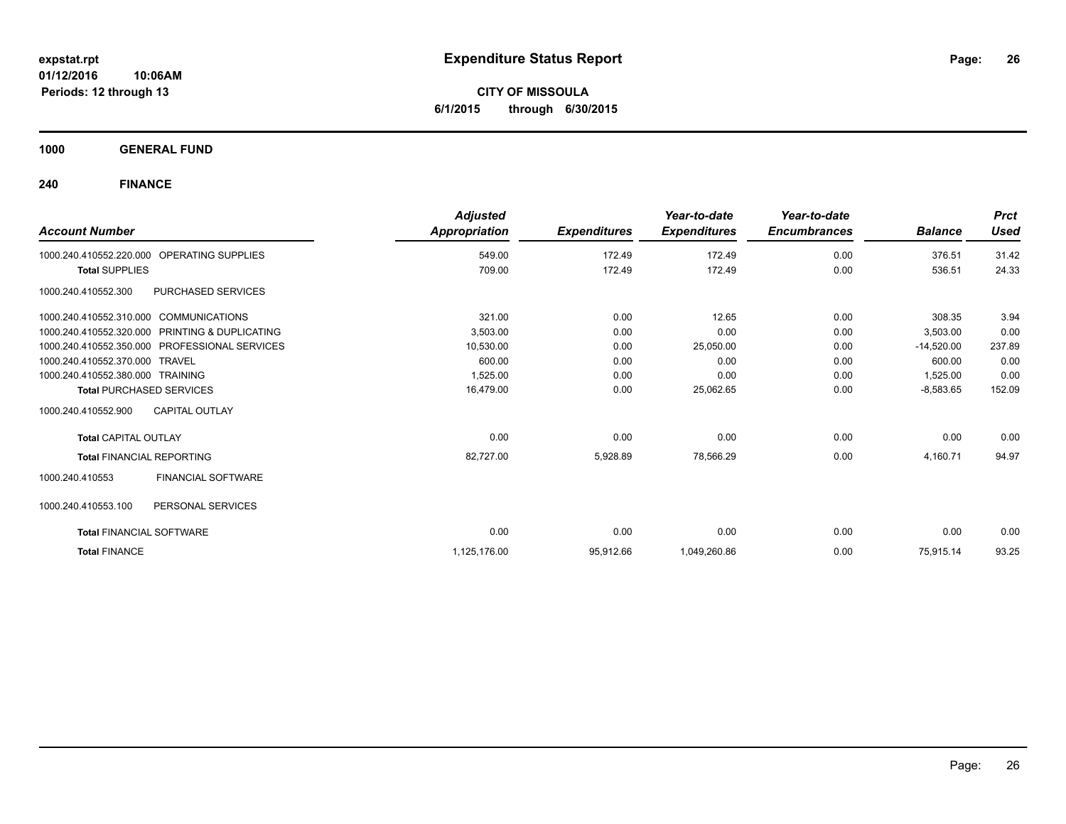**CITY OF MISSOULA 6/1/2015 through 6/30/2015**

**1000 GENERAL FUND**

| <b>Account Number</b>                          |                           | <b>Adjusted</b><br><b>Appropriation</b> | <b>Expenditures</b> | Year-to-date<br><b>Expenditures</b> | Year-to-date<br><b>Encumbrances</b> | <b>Balance</b> | <b>Prct</b><br><b>Used</b> |
|------------------------------------------------|---------------------------|-----------------------------------------|---------------------|-------------------------------------|-------------------------------------|----------------|----------------------------|
|                                                |                           |                                         |                     |                                     |                                     |                |                            |
| 1000.240.410552.220.000                        | <b>OPERATING SUPPLIES</b> | 549.00                                  | 172.49              | 172.49                              | 0.00                                | 376.51         | 31.42                      |
| <b>Total SUPPLIES</b>                          |                           | 709.00                                  | 172.49              | 172.49                              | 0.00                                | 536.51         | 24.33                      |
| 1000.240.410552.300                            | PURCHASED SERVICES        |                                         |                     |                                     |                                     |                |                            |
| 1000.240.410552.310.000 COMMUNICATIONS         |                           | 321.00                                  | 0.00                | 12.65                               | 0.00                                | 308.35         | 3.94                       |
| 1000.240.410552.320.000 PRINTING & DUPLICATING |                           | 3,503.00                                | 0.00                | 0.00                                | 0.00                                | 3,503.00       | 0.00                       |
| 1000.240.410552.350.000 PROFESSIONAL SERVICES  |                           | 10,530.00                               | 0.00                | 25,050.00                           | 0.00                                | $-14,520.00$   | 237.89                     |
| 1000.240.410552.370.000 TRAVEL                 |                           | 600.00                                  | 0.00                | 0.00                                | 0.00                                | 600.00         | 0.00                       |
| 1000.240.410552.380.000 TRAINING               |                           | 1,525.00                                | 0.00                | 0.00                                | 0.00                                | 1,525.00       | 0.00                       |
| <b>Total PURCHASED SERVICES</b>                |                           | 16,479.00                               | 0.00                | 25,062.65                           | 0.00                                | $-8,583.65$    | 152.09                     |
| 1000.240.410552.900<br><b>CAPITAL OUTLAY</b>   |                           |                                         |                     |                                     |                                     |                |                            |
| <b>Total CAPITAL OUTLAY</b>                    |                           | 0.00                                    | 0.00                | 0.00                                | 0.00                                | 0.00           | 0.00                       |
| <b>Total FINANCIAL REPORTING</b>               |                           | 82,727.00                               | 5,928.89            | 78,566.29                           | 0.00                                | 4,160.71       | 94.97                      |
| 1000.240.410553                                | <b>FINANCIAL SOFTWARE</b> |                                         |                     |                                     |                                     |                |                            |
| PERSONAL SERVICES<br>1000.240.410553.100       |                           |                                         |                     |                                     |                                     |                |                            |
| <b>Total FINANCIAL SOFTWARE</b>                |                           | 0.00                                    | 0.00                | 0.00                                | 0.00                                | 0.00           | 0.00                       |
| <b>Total FINANCE</b>                           |                           | 1,125,176.00                            | 95,912.66           | 1,049,260.86                        | 0.00                                | 75,915.14      | 93.25                      |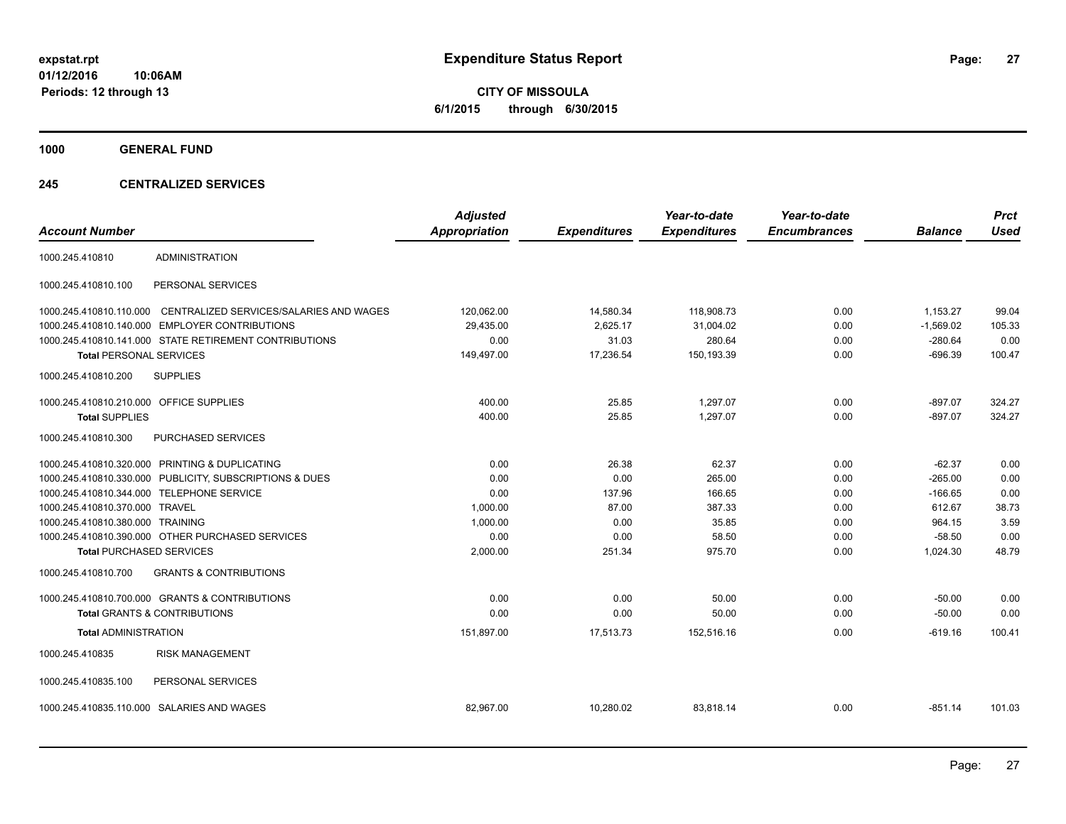**CITY OF MISSOULA 6/1/2015 through 6/30/2015**

**1000 GENERAL FUND**

### **245 CENTRALIZED SERVICES**

| <b>Account Number</b>                   |                                                         | <b>Adjusted</b><br><b>Appropriation</b> | <b>Expenditures</b> | Year-to-date<br><b>Expenditures</b> | Year-to-date<br><b>Encumbrances</b> | <b>Balance</b> | <b>Prct</b><br><b>Used</b> |
|-----------------------------------------|---------------------------------------------------------|-----------------------------------------|---------------------|-------------------------------------|-------------------------------------|----------------|----------------------------|
| 1000.245.410810                         | <b>ADMINISTRATION</b>                                   |                                         |                     |                                     |                                     |                |                            |
| 1000.245.410810.100                     | PERSONAL SERVICES                                       |                                         |                     |                                     |                                     |                |                            |
| 1000.245.410810.110.000                 | CENTRALIZED SERVICES/SALARIES AND WAGES                 | 120,062.00                              | 14,580.34           | 118,908.73                          | 0.00                                | 1,153.27       | 99.04                      |
|                                         | 1000.245.410810.140.000 EMPLOYER CONTRIBUTIONS          | 29,435.00                               | 2,625.17            | 31,004.02                           | 0.00                                | $-1,569.02$    | 105.33                     |
|                                         | 1000.245.410810.141.000 STATE RETIREMENT CONTRIBUTIONS  | 0.00                                    | 31.03               | 280.64                              | 0.00                                | $-280.64$      | 0.00                       |
| <b>Total PERSONAL SERVICES</b>          |                                                         | 149,497.00                              | 17,236.54           | 150,193.39                          | 0.00                                | $-696.39$      | 100.47                     |
| 1000.245.410810.200                     | <b>SUPPLIES</b>                                         |                                         |                     |                                     |                                     |                |                            |
| 1000.245.410810.210.000 OFFICE SUPPLIES |                                                         | 400.00                                  | 25.85               | 1,297.07                            | 0.00                                | $-897.07$      | 324.27                     |
| <b>Total SUPPLIES</b>                   |                                                         | 400.00                                  | 25.85               | 1,297.07                            | 0.00                                | $-897.07$      | 324.27                     |
| 1000.245.410810.300                     | <b>PURCHASED SERVICES</b>                               |                                         |                     |                                     |                                     |                |                            |
|                                         | 1000.245.410810.320.000 PRINTING & DUPLICATING          | 0.00                                    | 26.38               | 62.37                               | 0.00                                | $-62.37$       | 0.00                       |
|                                         | 1000.245.410810.330.000 PUBLICITY, SUBSCRIPTIONS & DUES | 0.00                                    | 0.00                | 265.00                              | 0.00                                | $-265.00$      | 0.00                       |
|                                         | 1000.245.410810.344.000 TELEPHONE SERVICE               | 0.00                                    | 137.96              | 166.65                              | 0.00                                | $-166.65$      | 0.00                       |
| 1000.245.410810.370.000 TRAVEL          |                                                         | 1,000.00                                | 87.00               | 387.33                              | 0.00                                | 612.67         | 38.73                      |
| 1000.245.410810.380.000 TRAINING        |                                                         | 1,000.00                                | 0.00                | 35.85                               | 0.00                                | 964.15         | 3.59                       |
|                                         | 1000.245.410810.390.000 OTHER PURCHASED SERVICES        | 0.00                                    | 0.00                | 58.50                               | 0.00                                | $-58.50$       | 0.00                       |
| <b>Total PURCHASED SERVICES</b>         |                                                         | 2,000.00                                | 251.34              | 975.70                              | 0.00                                | 1,024.30       | 48.79                      |
| 1000.245.410810.700                     | <b>GRANTS &amp; CONTRIBUTIONS</b>                       |                                         |                     |                                     |                                     |                |                            |
|                                         | 1000.245.410810.700.000 GRANTS & CONTRIBUTIONS          | 0.00                                    | 0.00                | 50.00                               | 0.00                                | $-50.00$       | 0.00                       |
|                                         | <b>Total GRANTS &amp; CONTRIBUTIONS</b>                 | 0.00                                    | 0.00                | 50.00                               | 0.00                                | $-50.00$       | 0.00                       |
| <b>Total ADMINISTRATION</b>             |                                                         | 151,897.00                              | 17,513.73           | 152,516.16                          | 0.00                                | $-619.16$      | 100.41                     |
| 1000.245.410835                         | <b>RISK MANAGEMENT</b>                                  |                                         |                     |                                     |                                     |                |                            |
| 1000.245.410835.100                     | PERSONAL SERVICES                                       |                                         |                     |                                     |                                     |                |                            |
|                                         | 1000.245.410835.110.000 SALARIES AND WAGES              | 82,967.00                               | 10,280.02           | 83,818.14                           | 0.00                                | $-851.14$      | 101.03                     |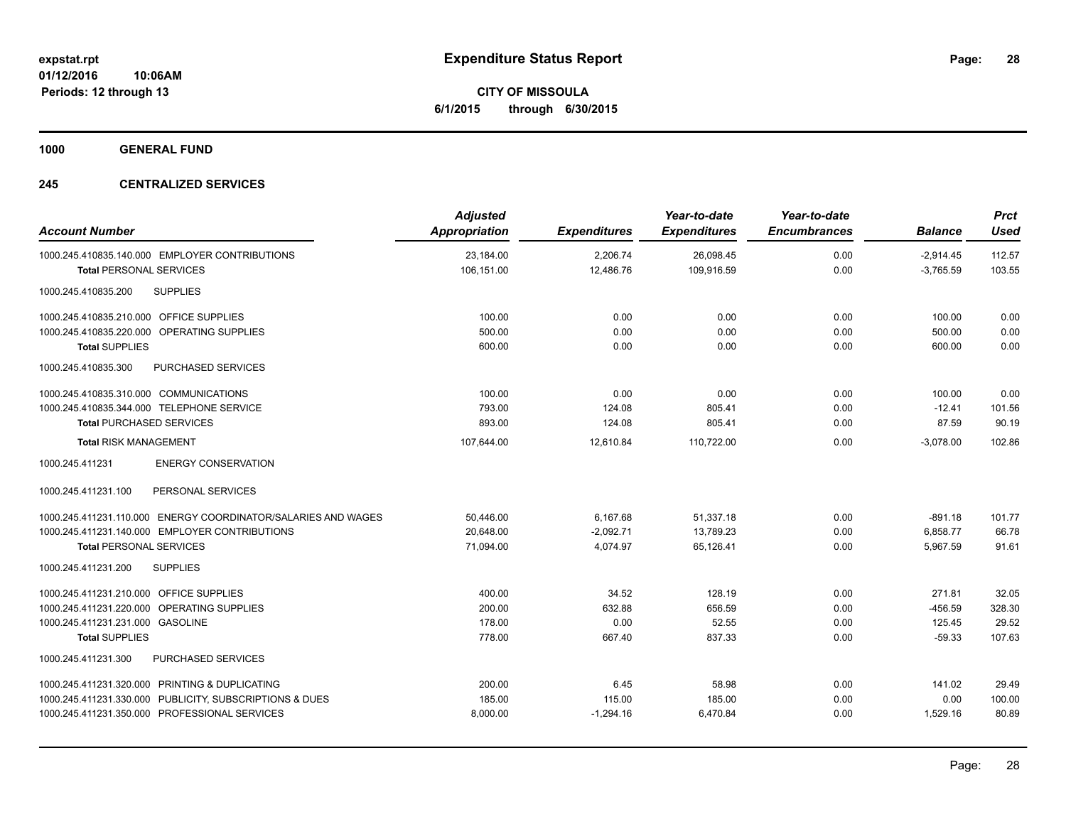**CITY OF MISSOULA 6/1/2015 through 6/30/2015**

**1000 GENERAL FUND**

### **245 CENTRALIZED SERVICES**

| <b>Account Number</b>                                         | <b>Adjusted</b><br><b>Appropriation</b> | <b>Expenditures</b> | Year-to-date<br><b>Expenditures</b> | Year-to-date<br><b>Encumbrances</b> | <b>Balance</b> | <b>Prct</b><br><b>Used</b> |
|---------------------------------------------------------------|-----------------------------------------|---------------------|-------------------------------------|-------------------------------------|----------------|----------------------------|
| 1000.245.410835.140.000 EMPLOYER CONTRIBUTIONS                | 23,184.00                               | 2,206.74            | 26,098.45                           | 0.00                                | $-2,914.45$    | 112.57                     |
| <b>Total PERSONAL SERVICES</b>                                | 106,151.00                              | 12,486.76           | 109,916.59                          | 0.00                                | $-3,765.59$    | 103.55                     |
| <b>SUPPLIES</b><br>1000.245.410835.200                        |                                         |                     |                                     |                                     |                |                            |
| 1000.245.410835.210.000 OFFICE SUPPLIES                       | 100.00                                  | 0.00                | 0.00                                | 0.00                                | 100.00         | 0.00                       |
| 1000.245.410835.220.000 OPERATING SUPPLIES                    | 500.00                                  | 0.00                | 0.00                                | 0.00                                | 500.00         | 0.00                       |
| <b>Total SUPPLIES</b>                                         | 600.00                                  | 0.00                | 0.00                                | 0.00                                | 600.00         | 0.00                       |
| 1000.245.410835.300<br>PURCHASED SERVICES                     |                                         |                     |                                     |                                     |                |                            |
| 1000.245.410835.310.000 COMMUNICATIONS                        | 100.00                                  | 0.00                | 0.00                                | 0.00                                | 100.00         | 0.00                       |
| 1000.245.410835.344.000 TELEPHONE SERVICE                     | 793.00                                  | 124.08              | 805.41                              | 0.00                                | $-12.41$       | 101.56                     |
| <b>Total PURCHASED SERVICES</b>                               | 893.00                                  | 124.08              | 805.41                              | 0.00                                | 87.59          | 90.19                      |
| <b>Total RISK MANAGEMENT</b>                                  | 107.644.00                              | 12.610.84           | 110.722.00                          | 0.00                                | $-3.078.00$    | 102.86                     |
| <b>ENERGY CONSERVATION</b><br>1000.245.411231                 |                                         |                     |                                     |                                     |                |                            |
| 1000.245.411231.100<br>PERSONAL SERVICES                      |                                         |                     |                                     |                                     |                |                            |
| 1000.245.411231.110.000 ENERGY COORDINATOR/SALARIES AND WAGES | 50,446.00                               | 6,167.68            | 51,337.18                           | 0.00                                | $-891.18$      | 101.77                     |
| 1000.245.411231.140.000 EMPLOYER CONTRIBUTIONS                | 20.648.00                               | $-2,092.71$         | 13.789.23                           | 0.00                                | 6,858.77       | 66.78                      |
| <b>Total PERSONAL SERVICES</b>                                | 71,094.00                               | 4,074.97            | 65,126.41                           | 0.00                                | 5,967.59       | 91.61                      |
| 1000.245.411231.200<br><b>SUPPLIES</b>                        |                                         |                     |                                     |                                     |                |                            |
| 1000.245.411231.210.000 OFFICE SUPPLIES                       | 400.00                                  | 34.52               | 128.19                              | 0.00                                | 271.81         | 32.05                      |
| 1000.245.411231.220.000 OPERATING SUPPLIES                    | 200.00                                  | 632.88              | 656.59                              | 0.00                                | $-456.59$      | 328.30                     |
| 1000.245.411231.231.000 GASOLINE                              | 178.00                                  | 0.00                | 52.55                               | 0.00                                | 125.45         | 29.52                      |
| <b>Total SUPPLIES</b>                                         | 778.00                                  | 667.40              | 837.33                              | 0.00                                | $-59.33$       | 107.63                     |
| <b>PURCHASED SERVICES</b><br>1000.245.411231.300              |                                         |                     |                                     |                                     |                |                            |
| 1000.245.411231.320.000 PRINTING & DUPLICATING                | 200.00                                  | 6.45                | 58.98                               | 0.00                                | 141.02         | 29.49                      |
| 1000.245.411231.330.000 PUBLICITY, SUBSCRIPTIONS & DUES       | 185.00                                  | 115.00              | 185.00                              | 0.00                                | 0.00           | 100.00                     |
| 1000.245.411231.350.000 PROFESSIONAL SERVICES                 | 8,000.00                                | $-1,294.16$         | 6,470.84                            | 0.00                                | 1,529.16       | 80.89                      |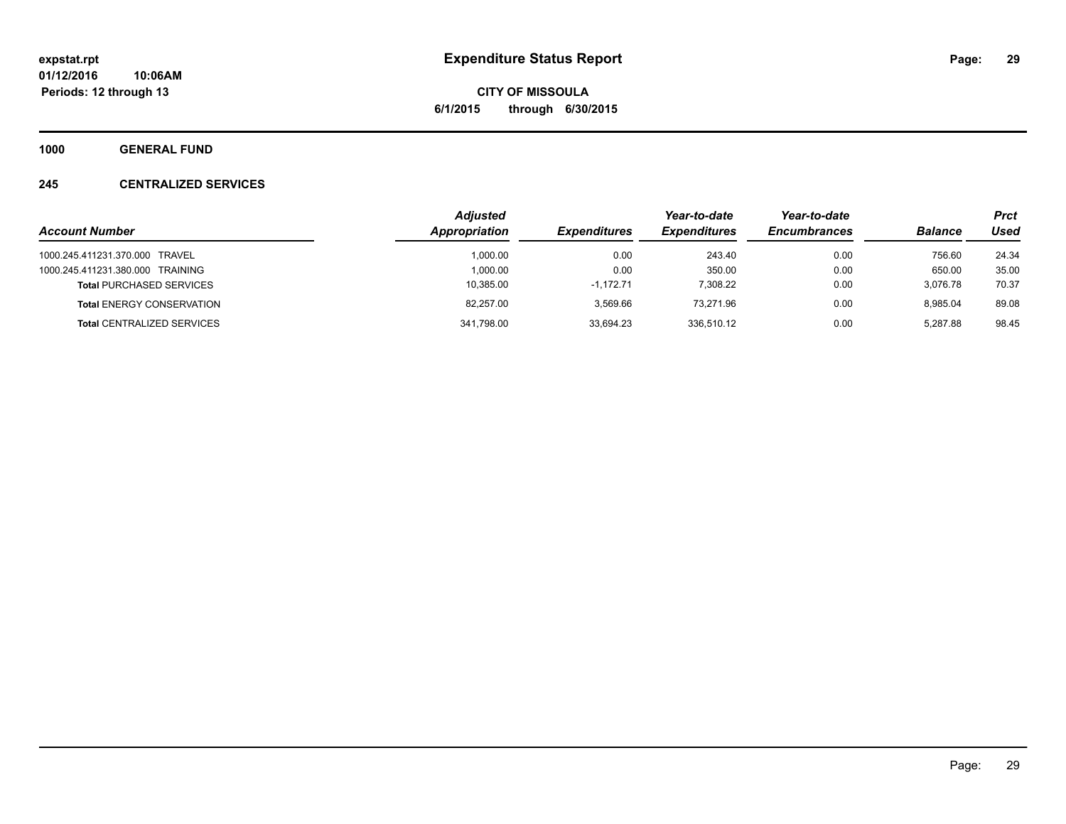**CITY OF MISSOULA 6/1/2015 through 6/30/2015**

**1000 GENERAL FUND**

### **245 CENTRALIZED SERVICES**

|                                   | <b>Adjusted</b>      |                     | Year-to-date        | Year-to-date        |                | <b>Prct</b> |
|-----------------------------------|----------------------|---------------------|---------------------|---------------------|----------------|-------------|
| <b>Account Number</b>             | <b>Appropriation</b> | <b>Expenditures</b> | <b>Expenditures</b> | <b>Encumbrances</b> | <b>Balance</b> | Used        |
| 1000.245.411231.370.000 TRAVEL    | 1.000.00             | 0.00                | 243.40              | 0.00                | 756.60         | 24.34       |
| 1000.245.411231.380.000 TRAINING  | 1.000.00             | 0.00                | 350.00              | 0.00                | 650.00         | 35.00       |
| <b>Total PURCHASED SERVICES</b>   | 10.385.00            | $-1.172.71$         | 7.308.22            | 0.00                | 3.076.78       | 70.37       |
| <b>Total ENERGY CONSERVATION</b>  | 82.257.00            | 3.569.66            | 73.271.96           | 0.00                | 8.985.04       | 89.08       |
| <b>Total CENTRALIZED SERVICES</b> | 341.798.00           | 33.694.23           | 336.510.12          | 0.00                | 5.287.88       | 98.45       |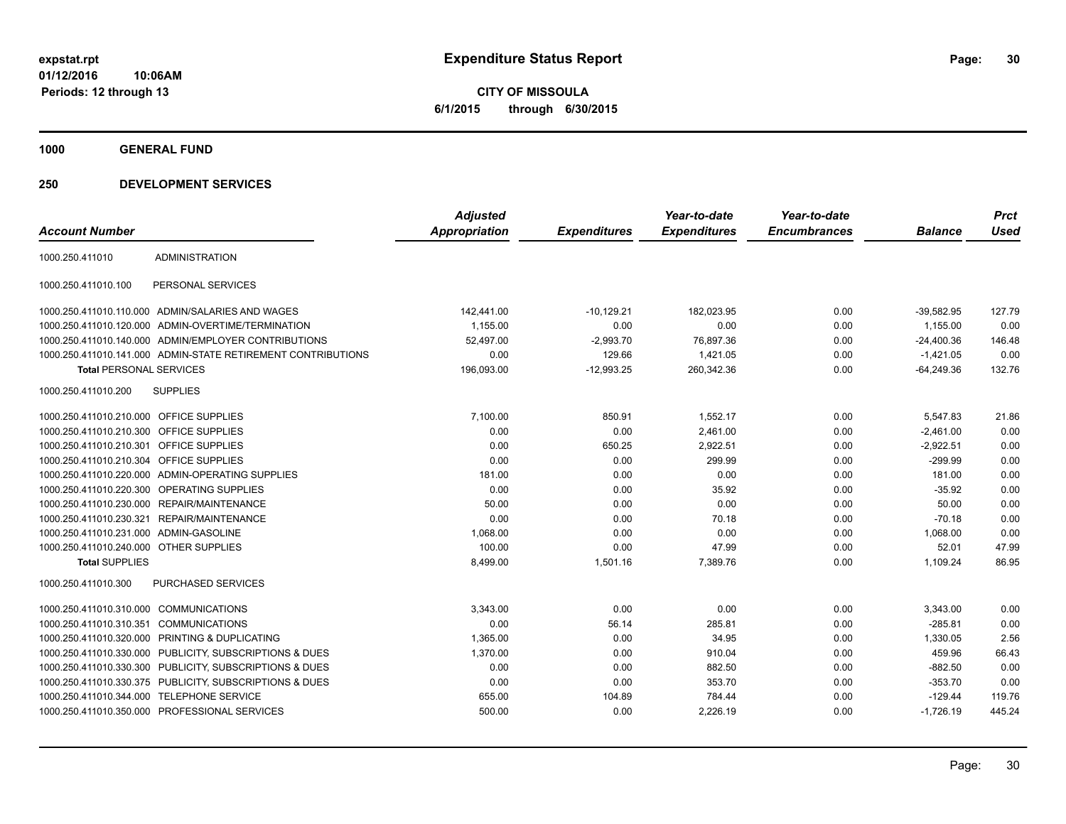**CITY OF MISSOULA 6/1/2015 through 6/30/2015**

**1000 GENERAL FUND**

|                                         |                                                              | <b>Adjusted</b>      |                     | Year-to-date        | Year-to-date        |                | <b>Prct</b> |
|-----------------------------------------|--------------------------------------------------------------|----------------------|---------------------|---------------------|---------------------|----------------|-------------|
| <b>Account Number</b>                   |                                                              | <b>Appropriation</b> | <b>Expenditures</b> | <b>Expenditures</b> | <b>Encumbrances</b> | <b>Balance</b> | <b>Used</b> |
| 1000.250.411010                         | <b>ADMINISTRATION</b>                                        |                      |                     |                     |                     |                |             |
| 1000.250.411010.100                     | PERSONAL SERVICES                                            |                      |                     |                     |                     |                |             |
|                                         | 1000.250.411010.110.000 ADMIN/SALARIES AND WAGES             | 142,441.00           | $-10,129.21$        | 182,023.95          | 0.00                | $-39,582.95$   | 127.79      |
|                                         | 1000.250.411010.120.000 ADMIN-OVERTIME/TERMINATION           | 1,155.00             | 0.00                | 0.00                | 0.00                | 1.155.00       | 0.00        |
|                                         | 1000.250.411010.140.000 ADMIN/EMPLOYER CONTRIBUTIONS         | 52.497.00            | $-2,993.70$         | 76,897.36           | 0.00                | $-24,400.36$   | 146.48      |
|                                         | 1000.250.411010.141.000 ADMIN-STATE RETIREMENT CONTRIBUTIONS | 0.00                 | 129.66              | 1,421.05            | 0.00                | $-1.421.05$    | 0.00        |
| <b>Total PERSONAL SERVICES</b>          |                                                              | 196,093.00           | $-12,993.25$        | 260,342.36          | 0.00                | $-64,249.36$   | 132.76      |
| 1000.250.411010.200                     | <b>SUPPLIES</b>                                              |                      |                     |                     |                     |                |             |
| 1000.250.411010.210.000 OFFICE SUPPLIES |                                                              | 7,100.00             | 850.91              | 1,552.17            | 0.00                | 5,547.83       | 21.86       |
| 1000.250.411010.210.300 OFFICE SUPPLIES |                                                              | 0.00                 | 0.00                | 2,461.00            | 0.00                | $-2,461.00$    | 0.00        |
| 1000.250.411010.210.301 OFFICE SUPPLIES |                                                              | 0.00                 | 650.25              | 2,922.51            | 0.00                | $-2,922.51$    | 0.00        |
| 1000.250.411010.210.304 OFFICE SUPPLIES |                                                              | 0.00                 | 0.00                | 299.99              | 0.00                | $-299.99$      | 0.00        |
|                                         | 1000.250.411010.220.000 ADMIN-OPERATING SUPPLIES             | 181.00               | 0.00                | 0.00                | 0.00                | 181.00         | 0.00        |
| 1000.250.411010.220.300                 | <b>OPERATING SUPPLIES</b>                                    | 0.00                 | 0.00                | 35.92               | 0.00                | $-35.92$       | 0.00        |
|                                         | 1000.250.411010.230.000 REPAIR/MAINTENANCE                   | 50.00                | 0.00                | 0.00                | 0.00                | 50.00          | 0.00        |
|                                         | 1000.250.411010.230.321 REPAIR/MAINTENANCE                   | 0.00                 | 0.00                | 70.18               | 0.00                | $-70.18$       | 0.00        |
| 1000.250.411010.231.000 ADMIN-GASOLINE  |                                                              | 1,068.00             | 0.00                | 0.00                | 0.00                | 1,068.00       | 0.00        |
| 1000.250.411010.240.000 OTHER SUPPLIES  |                                                              | 100.00               | 0.00                | 47.99               | 0.00                | 52.01          | 47.99       |
| <b>Total SUPPLIES</b>                   |                                                              | 8,499.00             | 1,501.16            | 7,389.76            | 0.00                | 1,109.24       | 86.95       |
| 1000.250.411010.300                     | <b>PURCHASED SERVICES</b>                                    |                      |                     |                     |                     |                |             |
| 1000.250.411010.310.000                 | <b>COMMUNICATIONS</b>                                        | 3,343.00             | 0.00                | 0.00                | 0.00                | 3,343.00       | 0.00        |
| 1000.250.411010.310.351                 | <b>COMMUNICATIONS</b>                                        | 0.00                 | 56.14               | 285.81              | 0.00                | $-285.81$      | 0.00        |
| 1000.250.411010.320.000                 | PRINTING & DUPLICATING                                       | 1,365.00             | 0.00                | 34.95               | 0.00                | 1,330.05       | 2.56        |
|                                         | 1000.250.411010.330.000 PUBLICITY, SUBSCRIPTIONS & DUES      | 1,370.00             | 0.00                | 910.04              | 0.00                | 459.96         | 66.43       |
| 1000.250.411010.330.300                 | PUBLICITY, SUBSCRIPTIONS & DUES                              | 0.00                 | 0.00                | 882.50              | 0.00                | $-882.50$      | 0.00        |
|                                         | 1000.250.411010.330.375 PUBLICITY, SUBSCRIPTIONS & DUES      | 0.00                 | 0.00                | 353.70              | 0.00                | $-353.70$      | 0.00        |
|                                         | 1000.250.411010.344.000 TELEPHONE SERVICE                    | 655.00               | 104.89              | 784.44              | 0.00                | $-129.44$      | 119.76      |
|                                         | 1000.250.411010.350.000 PROFESSIONAL SERVICES                | 500.00               | 0.00                | 2,226.19            | 0.00                | $-1,726.19$    | 445.24      |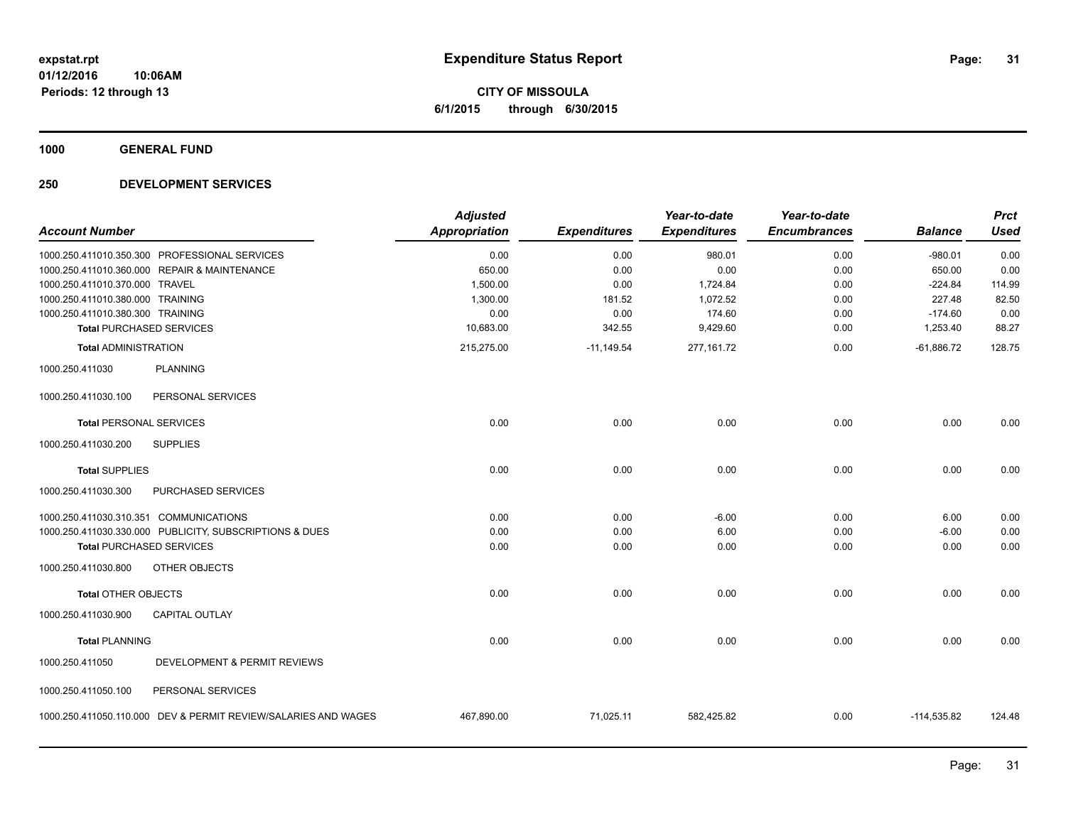**Periods: 12 through 13**

**CITY OF MISSOULA 6/1/2015 through 6/30/2015**

**1000 GENERAL FUND**

### **250 DEVELOPMENT SERVICES**

**10:06AM**

| <b>Appropriation</b> | <b>Expenditures</b>                                         | <b>Expenditures</b>                      | <b>Encumbrances</b>                                        | <b>Balance</b>                               | <b>Prct</b><br><b>Used</b>                                     |
|----------------------|-------------------------------------------------------------|------------------------------------------|------------------------------------------------------------|----------------------------------------------|----------------------------------------------------------------|
| 0.00                 | 0.00                                                        | 980.01                                   | 0.00                                                       | $-980.01$                                    | 0.00                                                           |
|                      |                                                             |                                          |                                                            |                                              | 0.00                                                           |
|                      |                                                             |                                          |                                                            |                                              | 114.99                                                         |
|                      |                                                             |                                          |                                                            |                                              | 82.50                                                          |
|                      |                                                             |                                          |                                                            |                                              | 0.00                                                           |
|                      |                                                             |                                          |                                                            |                                              | 88.27                                                          |
| 215,275.00           | $-11,149.54$                                                | 277,161.72                               | 0.00                                                       | $-61,886.72$                                 | 128.75                                                         |
|                      |                                                             |                                          |                                                            |                                              |                                                                |
|                      |                                                             |                                          |                                                            |                                              |                                                                |
| 0.00                 | 0.00                                                        | 0.00                                     | 0.00                                                       | 0.00                                         | 0.00                                                           |
|                      |                                                             |                                          |                                                            |                                              |                                                                |
| 0.00                 | 0.00                                                        | 0.00                                     | 0.00                                                       | 0.00                                         | 0.00                                                           |
|                      |                                                             |                                          |                                                            |                                              |                                                                |
| 0.00                 | 0.00                                                        | $-6.00$                                  | 0.00                                                       | 6.00                                         | 0.00                                                           |
| 0.00                 | 0.00                                                        | 6.00                                     | 0.00                                                       | $-6.00$                                      | 0.00                                                           |
|                      | 0.00                                                        |                                          |                                                            |                                              | 0.00                                                           |
|                      |                                                             |                                          |                                                            |                                              |                                                                |
| 0.00                 | 0.00                                                        | 0.00                                     | 0.00                                                       | 0.00                                         | 0.00                                                           |
|                      |                                                             |                                          |                                                            |                                              |                                                                |
| 0.00                 | 0.00                                                        | 0.00                                     | 0.00                                                       | 0.00                                         | 0.00                                                           |
|                      |                                                             |                                          |                                                            |                                              |                                                                |
|                      |                                                             |                                          |                                                            |                                              |                                                                |
| 467,890.00           | 71,025.11                                                   | 582,425.82                               | 0.00                                                       | $-114,535.82$                                | 124.48                                                         |
|                      | 650.00<br>1,500.00<br>1,300.00<br>0.00<br>10,683.00<br>0.00 | 0.00<br>0.00<br>181.52<br>0.00<br>342.55 | 0.00<br>1,724.84<br>1,072.52<br>174.60<br>9,429.60<br>0.00 | 0.00<br>0.00<br>0.00<br>0.00<br>0.00<br>0.00 | 650.00<br>$-224.84$<br>227.48<br>$-174.60$<br>1,253.40<br>0.00 |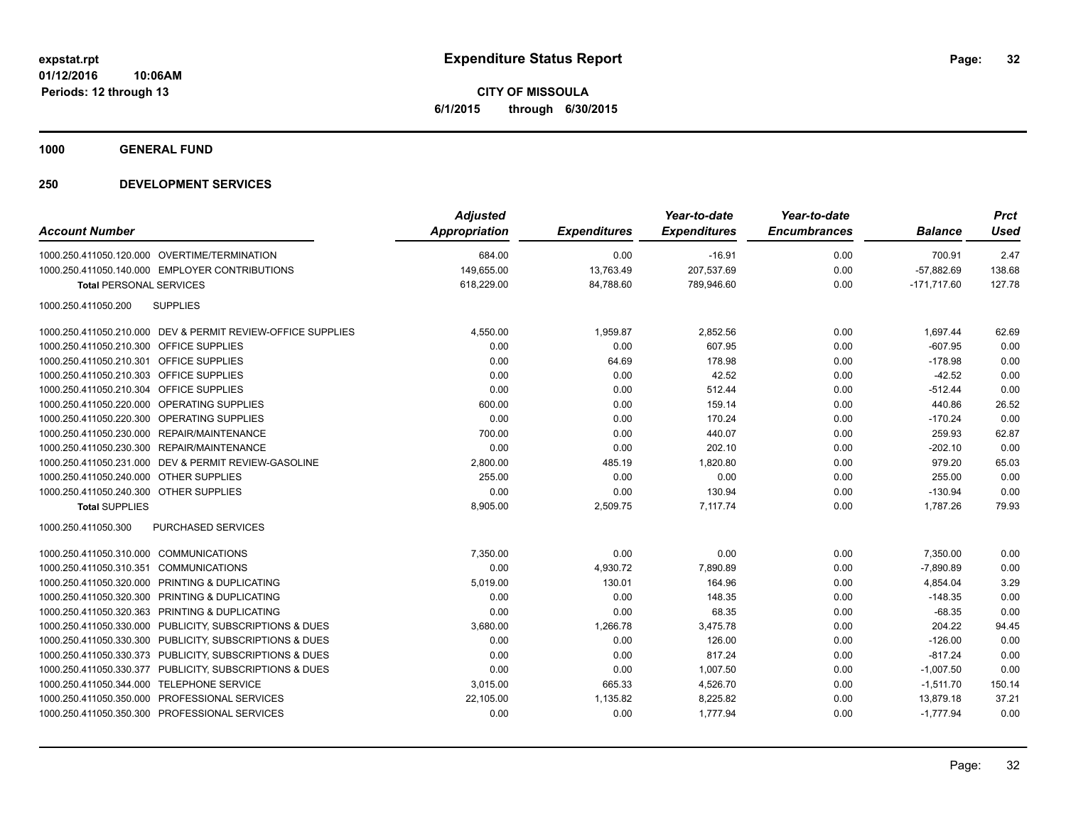**CITY OF MISSOULA 6/1/2015 through 6/30/2015**

**1000 GENERAL FUND**

| <b>Account Number</b>                                       | <b>Adjusted</b><br><b>Appropriation</b> | <b>Expenditures</b> | Year-to-date<br><b>Expenditures</b> | Year-to-date<br><b>Encumbrances</b> | <b>Balance</b> | <b>Prct</b><br><b>Used</b> |
|-------------------------------------------------------------|-----------------------------------------|---------------------|-------------------------------------|-------------------------------------|----------------|----------------------------|
| 1000.250.411050.120.000 OVERTIME/TERMINATION                | 684.00                                  | 0.00                | $-16.91$                            | 0.00                                | 700.91         | 2.47                       |
| 1000.250.411050.140.000 EMPLOYER CONTRIBUTIONS              | 149,655.00                              | 13,763.49           | 207,537.69                          | 0.00                                | $-57,882.69$   | 138.68                     |
| <b>Total PERSONAL SERVICES</b>                              | 618.229.00                              | 84,788.60           | 789.946.60                          | 0.00                                | $-171.717.60$  | 127.78                     |
| 1000.250.411050.200<br><b>SUPPLIES</b>                      |                                         |                     |                                     |                                     |                |                            |
| 1000.250.411050.210.000 DEV & PERMIT REVIEW-OFFICE SUPPLIES | 4,550.00                                | 1,959.87            | 2,852.56                            | 0.00                                | 1,697.44       | 62.69                      |
| 1000.250.411050.210.300 OFFICE SUPPLIES                     | 0.00                                    | 0.00                | 607.95                              | 0.00                                | $-607.95$      | 0.00                       |
| 1000.250.411050.210.301 OFFICE SUPPLIES                     | 0.00                                    | 64.69               | 178.98                              | 0.00                                | $-178.98$      | 0.00                       |
| 1000.250.411050.210.303 OFFICE SUPPLIES                     | 0.00                                    | 0.00                | 42.52                               | 0.00                                | $-42.52$       | 0.00                       |
| 1000.250.411050.210.304 OFFICE SUPPLIES                     | 0.00                                    | 0.00                | 512.44                              | 0.00                                | $-512.44$      | 0.00                       |
| 1000.250.411050.220.000 OPERATING SUPPLIES                  | 600.00                                  | 0.00                | 159.14                              | 0.00                                | 440.86         | 26.52                      |
| 1000.250.411050.220.300 OPERATING SUPPLIES                  | 0.00                                    | 0.00                | 170.24                              | 0.00                                | $-170.24$      | 0.00                       |
| 1000.250.411050.230.000 REPAIR/MAINTENANCE                  | 700.00                                  | 0.00                | 440.07                              | 0.00                                | 259.93         | 62.87                      |
| 1000.250.411050.230.300 REPAIR/MAINTENANCE                  | 0.00                                    | 0.00                | 202.10                              | 0.00                                | $-202.10$      | 0.00                       |
| 1000.250.411050.231.000 DEV & PERMIT REVIEW-GASOLINE        | 2,800.00                                | 485.19              | 1,820.80                            | 0.00                                | 979.20         | 65.03                      |
| 1000.250.411050.240.000 OTHER SUPPLIES                      | 255.00                                  | 0.00                | 0.00                                | 0.00                                | 255.00         | 0.00                       |
| 1000.250.411050.240.300 OTHER SUPPLIES                      | 0.00                                    | 0.00                | 130.94                              | 0.00                                | $-130.94$      | 0.00                       |
| <b>Total SUPPLIES</b>                                       | 8,905.00                                | 2,509.75            | 7.117.74                            | 0.00                                | 1.787.26       | 79.93                      |
| PURCHASED SERVICES<br>1000.250.411050.300                   |                                         |                     |                                     |                                     |                |                            |
| 1000.250.411050.310.000 COMMUNICATIONS                      | 7,350.00                                | 0.00                | 0.00                                | 0.00                                | 7,350.00       | 0.00                       |
| 1000.250.411050.310.351 COMMUNICATIONS                      | 0.00                                    | 4,930.72            | 7,890.89                            | 0.00                                | $-7,890.89$    | 0.00                       |
| 1000.250.411050.320.000 PRINTING & DUPLICATING              | 5,019.00                                | 130.01              | 164.96                              | 0.00                                | 4,854.04       | 3.29                       |
| 1000.250.411050.320.300 PRINTING & DUPLICATING              | 0.00                                    | 0.00                | 148.35                              | 0.00                                | $-148.35$      | 0.00                       |
| 1000.250.411050.320.363 PRINTING & DUPLICATING              | 0.00                                    | 0.00                | 68.35                               | 0.00                                | $-68.35$       | 0.00                       |
| 1000.250.411050.330.000 PUBLICITY, SUBSCRIPTIONS & DUES     | 3,680.00                                | 1,266.78            | 3,475.78                            | 0.00                                | 204.22         | 94.45                      |
| 1000.250.411050.330.300 PUBLICITY, SUBSCRIPTIONS & DUES     | 0.00                                    | 0.00                | 126.00                              | 0.00                                | $-126.00$      | 0.00                       |
| 1000.250.411050.330.373 PUBLICITY, SUBSCRIPTIONS & DUES     | 0.00                                    | 0.00                | 817.24                              | 0.00                                | $-817.24$      | 0.00                       |
| 1000.250.411050.330.377 PUBLICITY, SUBSCRIPTIONS & DUES     | 0.00                                    | 0.00                | 1,007.50                            | 0.00                                | $-1,007.50$    | 0.00                       |
| 1000.250.411050.344.000 TELEPHONE SERVICE                   | 3,015.00                                | 665.33              | 4,526.70                            | 0.00                                | $-1,511.70$    | 150.14                     |
| 1000.250.411050.350.000 PROFESSIONAL SERVICES               | 22,105.00                               | 1,135.82            | 8,225.82                            | 0.00                                | 13,879.18      | 37.21                      |
| 1000.250.411050.350.300 PROFESSIONAL SERVICES               | 0.00                                    | 0.00                | 1,777.94                            | 0.00                                | $-1.777.94$    | 0.00                       |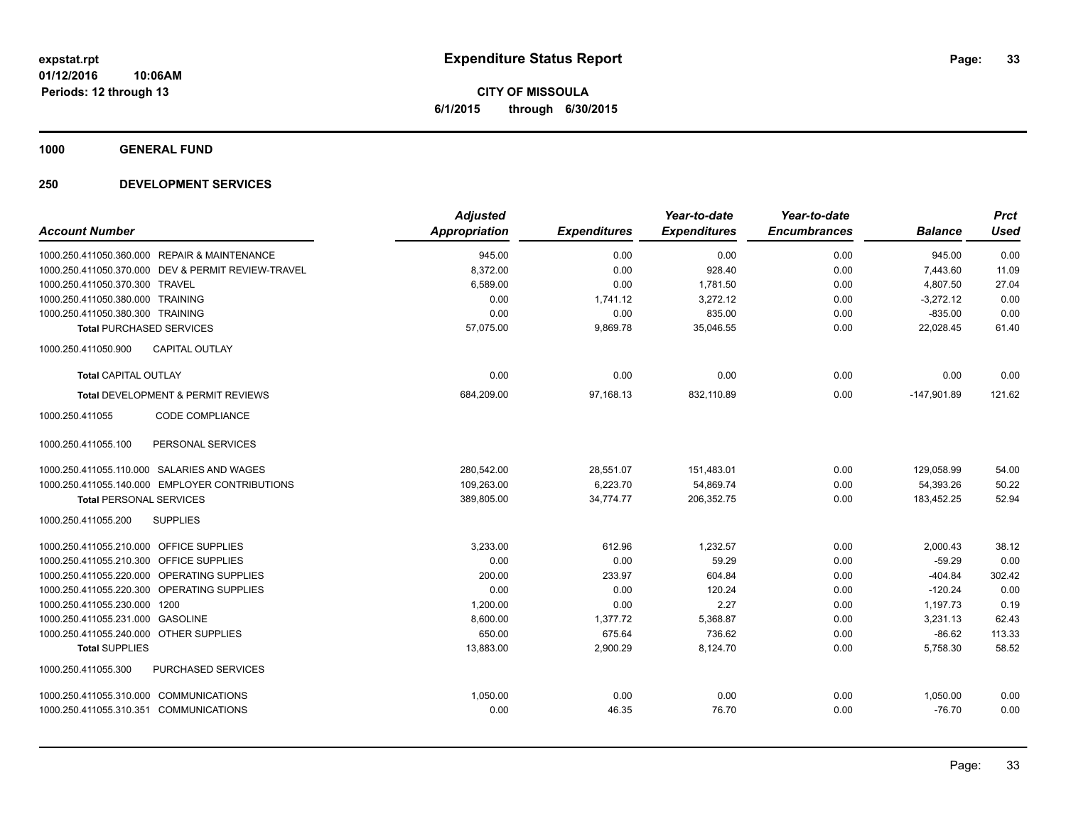**CITY OF MISSOULA 6/1/2015 through 6/30/2015**

**1000 GENERAL FUND**

|                                                    | <b>Adjusted</b>      |                     | Year-to-date        | Year-to-date        |                | <b>Prct</b> |
|----------------------------------------------------|----------------------|---------------------|---------------------|---------------------|----------------|-------------|
| <b>Account Number</b>                              | <b>Appropriation</b> | <b>Expenditures</b> | <b>Expenditures</b> | <b>Encumbrances</b> | <b>Balance</b> | <b>Used</b> |
| 1000.250.411050.360.000 REPAIR & MAINTENANCE       | 945.00               | 0.00                | 0.00                | 0.00                | 945.00         | 0.00        |
| 1000.250.411050.370.000 DEV & PERMIT REVIEW-TRAVEL | 8,372.00             | 0.00                | 928.40              | 0.00                | 7,443.60       | 11.09       |
| 1000.250.411050.370.300 TRAVEL                     | 6,589.00             | 0.00                | 1,781.50            | 0.00                | 4,807.50       | 27.04       |
| 1000.250.411050.380.000 TRAINING                   | 0.00                 | 1,741.12            | 3,272.12            | 0.00                | $-3,272.12$    | 0.00        |
| 1000.250.411050.380.300 TRAINING                   | 0.00                 | 0.00                | 835.00              | 0.00                | $-835.00$      | 0.00        |
| <b>Total PURCHASED SERVICES</b>                    | 57,075.00            | 9,869.78            | 35,046.55           | 0.00                | 22,028.45      | 61.40       |
| 1000.250.411050.900<br><b>CAPITAL OUTLAY</b>       |                      |                     |                     |                     |                |             |
| <b>Total CAPITAL OUTLAY</b>                        | 0.00                 | 0.00                | 0.00                | 0.00                | 0.00           | 0.00        |
| <b>Total DEVELOPMENT &amp; PERMIT REVIEWS</b>      | 684,209.00           | 97,168.13           | 832,110.89          | 0.00                | $-147,901.89$  | 121.62      |
| <b>CODE COMPLIANCE</b><br>1000.250.411055          |                      |                     |                     |                     |                |             |
| 1000.250.411055.100<br>PERSONAL SERVICES           |                      |                     |                     |                     |                |             |
| 1000.250.411055.110.000 SALARIES AND WAGES         | 280,542.00           | 28,551.07           | 151,483.01          | 0.00                | 129,058.99     | 54.00       |
| 1000.250.411055.140.000 EMPLOYER CONTRIBUTIONS     | 109,263.00           | 6,223.70            | 54,869.74           | 0.00                | 54,393.26      | 50.22       |
| <b>Total PERSONAL SERVICES</b>                     | 389,805.00           | 34,774.77           | 206,352.75          | 0.00                | 183,452.25     | 52.94       |
| 1000.250.411055.200<br><b>SUPPLIES</b>             |                      |                     |                     |                     |                |             |
| 1000.250.411055.210.000 OFFICE SUPPLIES            | 3,233.00             | 612.96              | 1,232.57            | 0.00                | 2,000.43       | 38.12       |
| 1000.250.411055.210.300 OFFICE SUPPLIES            | 0.00                 | 0.00                | 59.29               | 0.00                | $-59.29$       | 0.00        |
| 1000.250.411055.220.000 OPERATING SUPPLIES         | 200.00               | 233.97              | 604.84              | 0.00                | $-404.84$      | 302.42      |
| 1000.250.411055.220.300 OPERATING SUPPLIES         | 0.00                 | 0.00                | 120.24              | 0.00                | $-120.24$      | 0.00        |
| 1000.250.411055.230.000 1200                       | 1,200.00             | 0.00                | 2.27                | 0.00                | 1,197.73       | 0.19        |
| 1000.250.411055.231.000 GASOLINE                   | 8,600.00             | 1,377.72            | 5,368.87            | 0.00                | 3,231.13       | 62.43       |
| 1000.250.411055.240.000 OTHER SUPPLIES             | 650.00               | 675.64              | 736.62              | 0.00                | $-86.62$       | 113.33      |
| <b>Total SUPPLIES</b>                              | 13,883.00            | 2,900.29            | 8,124.70            | 0.00                | 5,758.30       | 58.52       |
| PURCHASED SERVICES<br>1000.250.411055.300          |                      |                     |                     |                     |                |             |
| 1000.250.411055.310.000 COMMUNICATIONS             | 1,050.00             | 0.00                | 0.00                | 0.00                | 1,050.00       | 0.00        |
| 1000.250.411055.310.351 COMMUNICATIONS             | 0.00                 | 46.35               | 76.70               | 0.00                | $-76.70$       | 0.00        |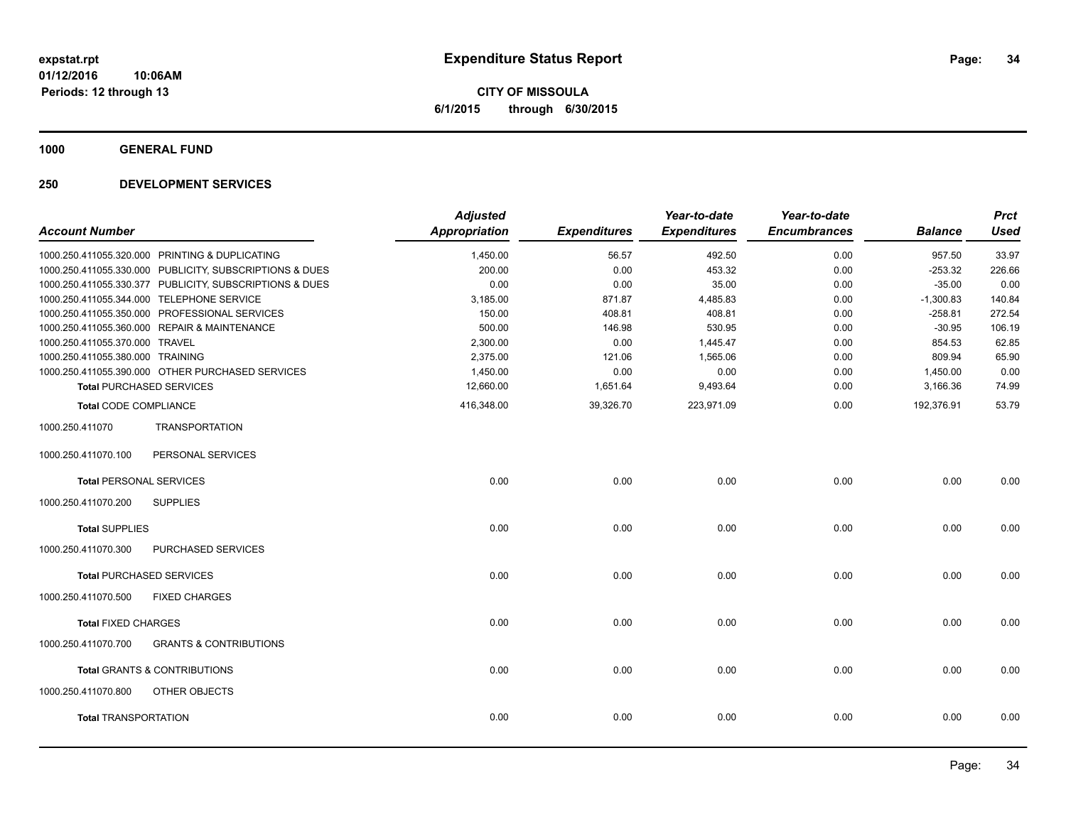**CITY OF MISSOULA 6/1/2015 through 6/30/2015**

**1000 GENERAL FUND**

| <b>Account Number</b>            |                                                         | <b>Adjusted</b><br><b>Appropriation</b> | <b>Expenditures</b> | Year-to-date<br><b>Expenditures</b> | Year-to-date<br><b>Encumbrances</b> | <b>Balance</b> | <b>Prct</b><br><b>Used</b> |
|----------------------------------|---------------------------------------------------------|-----------------------------------------|---------------------|-------------------------------------|-------------------------------------|----------------|----------------------------|
|                                  | 1000.250.411055.320.000 PRINTING & DUPLICATING          | 1,450.00                                | 56.57               | 492.50                              | 0.00                                | 957.50         | 33.97                      |
|                                  | 1000.250.411055.330.000 PUBLICITY, SUBSCRIPTIONS & DUES | 200.00                                  | 0.00                | 453.32                              | 0.00                                | $-253.32$      | 226.66                     |
|                                  | 1000.250.411055.330.377 PUBLICITY, SUBSCRIPTIONS & DUES | 0.00                                    | 0.00                | 35.00                               | 0.00                                | $-35.00$       | 0.00                       |
|                                  | 1000.250.411055.344.000 TELEPHONE SERVICE               | 3,185.00                                | 871.87              | 4,485.83                            | 0.00                                | $-1,300.83$    | 140.84                     |
|                                  | 1000.250.411055.350.000 PROFESSIONAL SERVICES           | 150.00                                  | 408.81              | 408.81                              | 0.00                                | $-258.81$      | 272.54                     |
|                                  | 1000.250.411055.360.000 REPAIR & MAINTENANCE            | 500.00                                  | 146.98              | 530.95                              | 0.00                                | $-30.95$       | 106.19                     |
| 1000.250.411055.370.000 TRAVEL   |                                                         | 2,300.00                                | 0.00                | 1,445.47                            | 0.00                                | 854.53         | 62.85                      |
| 1000.250.411055.380.000 TRAINING |                                                         | 2,375.00                                | 121.06              | 1,565.06                            | 0.00                                | 809.94         | 65.90                      |
|                                  | 1000.250.411055.390.000 OTHER PURCHASED SERVICES        | 1,450.00                                | 0.00                | 0.00                                | 0.00                                | 1,450.00       | 0.00                       |
|                                  | <b>Total PURCHASED SERVICES</b>                         | 12,660.00                               | 1,651.64            | 9,493.64                            | 0.00                                | 3,166.36       | 74.99                      |
| <b>Total CODE COMPLIANCE</b>     |                                                         | 416,348.00                              | 39,326.70           | 223,971.09                          | 0.00                                | 192,376.91     | 53.79                      |
| 1000.250.411070                  | <b>TRANSPORTATION</b>                                   |                                         |                     |                                     |                                     |                |                            |
| 1000.250.411070.100              | PERSONAL SERVICES                                       |                                         |                     |                                     |                                     |                |                            |
| <b>Total PERSONAL SERVICES</b>   |                                                         | 0.00                                    | 0.00                | 0.00                                | 0.00                                | 0.00           | 0.00                       |
| 1000.250.411070.200              | <b>SUPPLIES</b>                                         |                                         |                     |                                     |                                     |                |                            |
| <b>Total SUPPLIES</b>            |                                                         | 0.00                                    | 0.00                | 0.00                                | 0.00                                | 0.00           | 0.00                       |
| 1000.250.411070.300              | <b>PURCHASED SERVICES</b>                               |                                         |                     |                                     |                                     |                |                            |
|                                  | <b>Total PURCHASED SERVICES</b>                         | 0.00                                    | 0.00                | 0.00                                | 0.00                                | 0.00           | 0.00                       |
| 1000.250.411070.500              | <b>FIXED CHARGES</b>                                    |                                         |                     |                                     |                                     |                |                            |
| <b>Total FIXED CHARGES</b>       |                                                         | 0.00                                    | 0.00                | 0.00                                | 0.00                                | 0.00           | 0.00                       |
| 1000.250.411070.700              | <b>GRANTS &amp; CONTRIBUTIONS</b>                       |                                         |                     |                                     |                                     |                |                            |
|                                  | <b>Total GRANTS &amp; CONTRIBUTIONS</b>                 | 0.00                                    | 0.00                | 0.00                                | 0.00                                | 0.00           | 0.00                       |
| 1000.250.411070.800              | <b>OTHER OBJECTS</b>                                    |                                         |                     |                                     |                                     |                |                            |
| <b>Total TRANSPORTATION</b>      |                                                         | 0.00                                    | 0.00                | 0.00                                | 0.00                                | 0.00           | 0.00                       |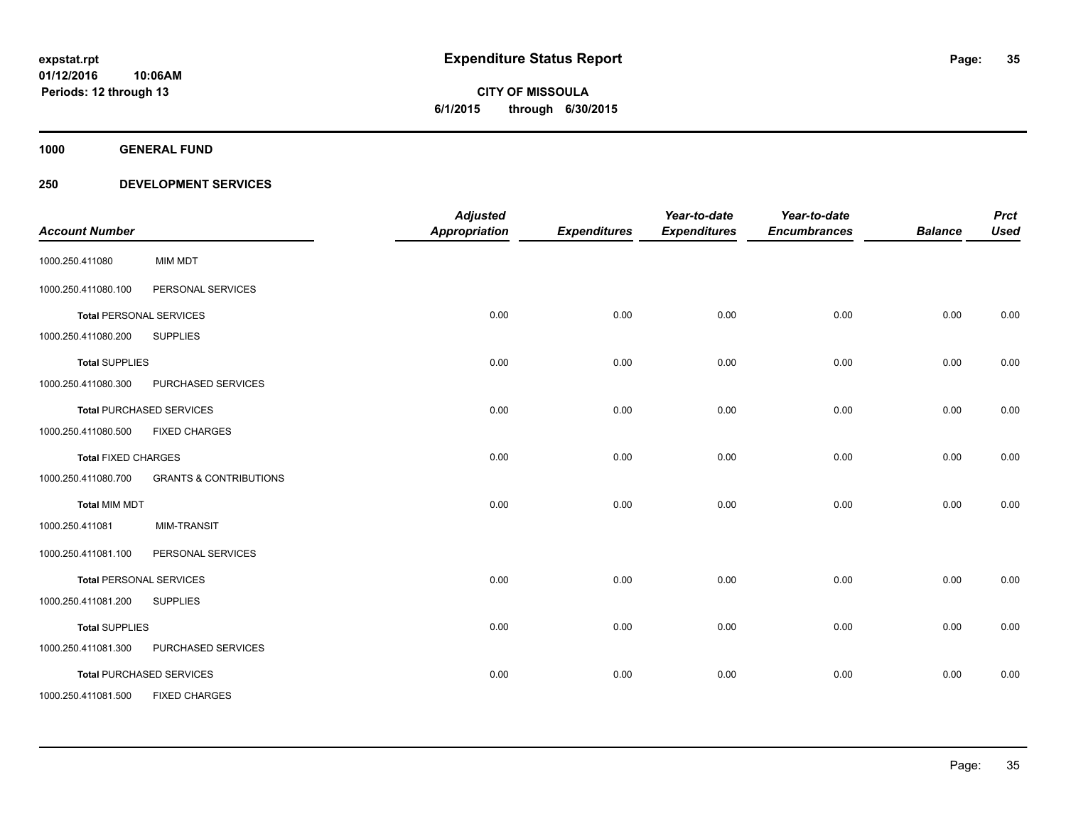**35**

**01/12/2016 10:06AM Periods: 12 through 13**

# **CITY OF MISSOULA 6/1/2015 through 6/30/2015**

**1000 GENERAL FUND**

| <b>Account Number</b>      |                                   | <b>Adjusted</b><br><b>Appropriation</b> | <b>Expenditures</b> | Year-to-date<br><b>Expenditures</b> | Year-to-date<br><b>Encumbrances</b> | <b>Balance</b> | <b>Prct</b><br><b>Used</b> |
|----------------------------|-----------------------------------|-----------------------------------------|---------------------|-------------------------------------|-------------------------------------|----------------|----------------------------|
| 1000.250.411080            | <b>MIM MDT</b>                    |                                         |                     |                                     |                                     |                |                            |
| 1000.250.411080.100        | PERSONAL SERVICES                 |                                         |                     |                                     |                                     |                |                            |
|                            | <b>Total PERSONAL SERVICES</b>    | 0.00                                    | 0.00                | 0.00                                | 0.00                                | 0.00           | 0.00                       |
| 1000.250.411080.200        | <b>SUPPLIES</b>                   |                                         |                     |                                     |                                     |                |                            |
| <b>Total SUPPLIES</b>      |                                   | 0.00                                    | 0.00                | 0.00                                | 0.00                                | 0.00           | 0.00                       |
| 1000.250.411080.300        | PURCHASED SERVICES                |                                         |                     |                                     |                                     |                |                            |
|                            | <b>Total PURCHASED SERVICES</b>   | 0.00                                    | 0.00                | 0.00                                | 0.00                                | 0.00           | 0.00                       |
| 1000.250.411080.500        | <b>FIXED CHARGES</b>              |                                         |                     |                                     |                                     |                |                            |
| <b>Total FIXED CHARGES</b> |                                   | 0.00                                    | 0.00                | 0.00                                | 0.00                                | 0.00           | 0.00                       |
| 1000.250.411080.700        | <b>GRANTS &amp; CONTRIBUTIONS</b> |                                         |                     |                                     |                                     |                |                            |
| <b>Total MIM MDT</b>       |                                   | 0.00                                    | 0.00                | 0.00                                | 0.00                                | 0.00           | 0.00                       |
| 1000.250.411081            | <b>MIM-TRANSIT</b>                |                                         |                     |                                     |                                     |                |                            |
| 1000.250.411081.100        | PERSONAL SERVICES                 |                                         |                     |                                     |                                     |                |                            |
|                            | <b>Total PERSONAL SERVICES</b>    | 0.00                                    | 0.00                | 0.00                                | 0.00                                | 0.00           | 0.00                       |
| 1000.250.411081.200        | <b>SUPPLIES</b>                   |                                         |                     |                                     |                                     |                |                            |
| <b>Total SUPPLIES</b>      |                                   | 0.00                                    | 0.00                | 0.00                                | 0.00                                | 0.00           | 0.00                       |
| 1000.250.411081.300        | PURCHASED SERVICES                |                                         |                     |                                     |                                     |                |                            |
|                            | <b>Total PURCHASED SERVICES</b>   | 0.00                                    | 0.00                | 0.00                                | 0.00                                | 0.00           | 0.00                       |
| 1000.250.411081.500        | <b>FIXED CHARGES</b>              |                                         |                     |                                     |                                     |                |                            |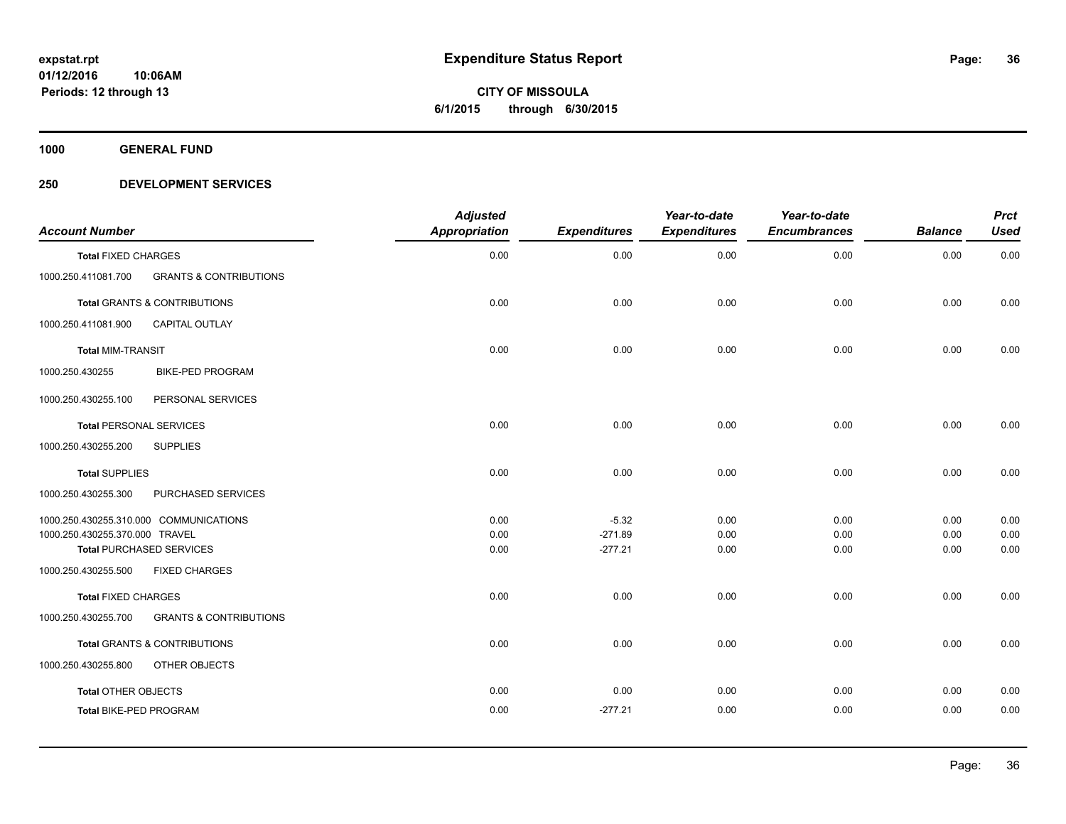**Periods: 12 through 13**

**36**

**CITY OF MISSOULA 6/1/2015 through 6/30/2015**

**1000 GENERAL FUND**

### **250 DEVELOPMENT SERVICES**

**10:06AM**

| <b>Account Number</b>                                    | <b>Adjusted</b><br><b>Appropriation</b> | <b>Expenditures</b> | Year-to-date<br><b>Expenditures</b> | Year-to-date<br><b>Encumbrances</b> | <b>Balance</b> | <b>Prct</b><br><b>Used</b> |
|----------------------------------------------------------|-----------------------------------------|---------------------|-------------------------------------|-------------------------------------|----------------|----------------------------|
| <b>Total FIXED CHARGES</b>                               | 0.00                                    | 0.00                | 0.00                                | 0.00                                | 0.00           | 0.00                       |
| <b>GRANTS &amp; CONTRIBUTIONS</b><br>1000.250.411081.700 |                                         |                     |                                     |                                     |                |                            |
| <b>Total GRANTS &amp; CONTRIBUTIONS</b>                  | 0.00                                    | 0.00                | 0.00                                | 0.00                                | 0.00           | 0.00                       |
| 1000.250.411081.900<br><b>CAPITAL OUTLAY</b>             |                                         |                     |                                     |                                     |                |                            |
| <b>Total MIM-TRANSIT</b>                                 | 0.00                                    | 0.00                | 0.00                                | 0.00                                | 0.00           | 0.00                       |
| 1000.250.430255<br><b>BIKE-PED PROGRAM</b>               |                                         |                     |                                     |                                     |                |                            |
| 1000.250.430255.100<br>PERSONAL SERVICES                 |                                         |                     |                                     |                                     |                |                            |
| <b>Total PERSONAL SERVICES</b>                           | 0.00                                    | 0.00                | 0.00                                | 0.00                                | 0.00           | 0.00                       |
| 1000.250.430255.200<br><b>SUPPLIES</b>                   |                                         |                     |                                     |                                     |                |                            |
| <b>Total SUPPLIES</b>                                    | 0.00                                    | 0.00                | 0.00                                | 0.00                                | 0.00           | 0.00                       |
| PURCHASED SERVICES<br>1000.250.430255.300                |                                         |                     |                                     |                                     |                |                            |
| 1000.250.430255.310.000 COMMUNICATIONS                   | 0.00                                    | $-5.32$             | 0.00                                | 0.00                                | 0.00           | 0.00                       |
| 1000.250.430255.370.000 TRAVEL                           | 0.00                                    | $-271.89$           | 0.00                                | 0.00                                | 0.00           | 0.00                       |
| <b>Total PURCHASED SERVICES</b>                          | 0.00                                    | $-277.21$           | 0.00                                | 0.00                                | 0.00           | 0.00                       |
| <b>FIXED CHARGES</b><br>1000.250.430255.500              |                                         |                     |                                     |                                     |                |                            |
| <b>Total FIXED CHARGES</b>                               | 0.00                                    | 0.00                | 0.00                                | 0.00                                | 0.00           | 0.00                       |
| 1000.250.430255.700<br><b>GRANTS &amp; CONTRIBUTIONS</b> |                                         |                     |                                     |                                     |                |                            |
| <b>Total GRANTS &amp; CONTRIBUTIONS</b>                  | 0.00                                    | 0.00                | 0.00                                | 0.00                                | 0.00           | 0.00                       |
| 1000.250.430255.800<br>OTHER OBJECTS                     |                                         |                     |                                     |                                     |                |                            |
| <b>Total OTHER OBJECTS</b>                               | 0.00                                    | 0.00                | 0.00                                | 0.00                                | 0.00           | 0.00                       |
| Total BIKE-PED PROGRAM                                   | 0.00                                    | $-277.21$           | 0.00                                | 0.00                                | 0.00           | 0.00                       |
|                                                          |                                         |                     |                                     |                                     |                |                            |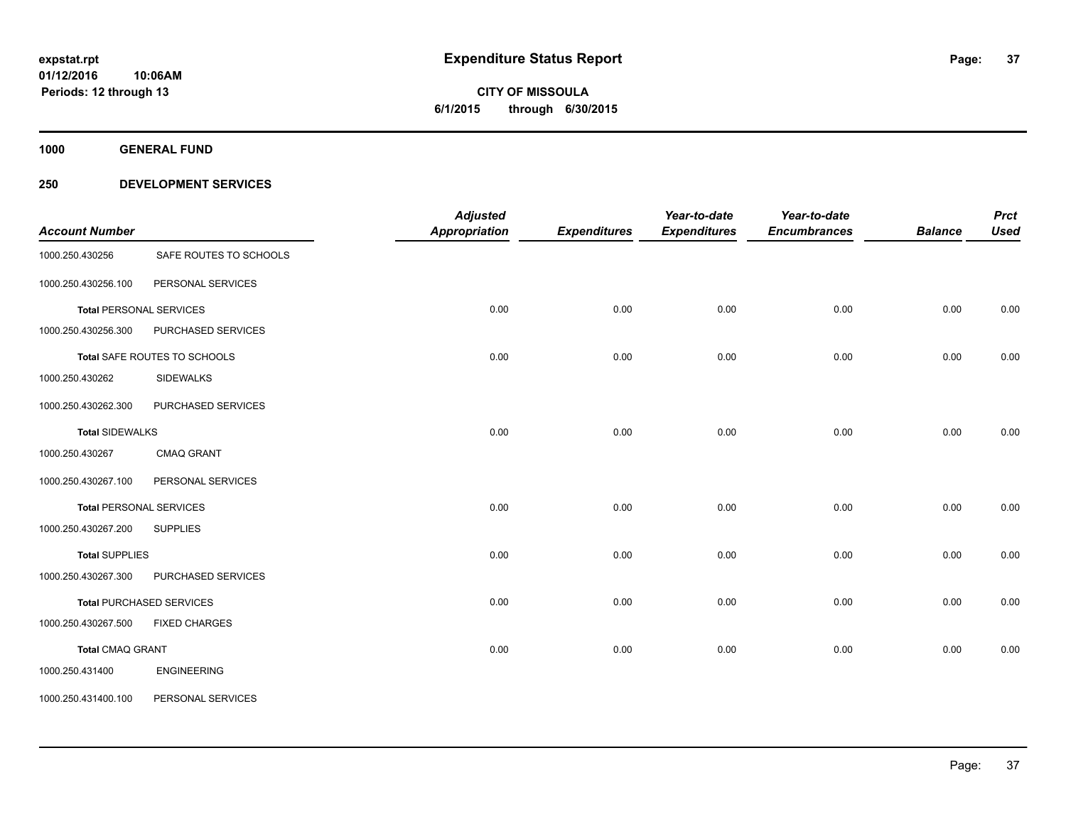# **CITY OF MISSOULA 6/1/2015 through 6/30/2015**

**1000 GENERAL FUND**

### **250 DEVELOPMENT SERVICES**

| <b>Account Number</b>          |                                 | <b>Adjusted</b><br><b>Appropriation</b> | <b>Expenditures</b> | Year-to-date<br><b>Expenditures</b> | Year-to-date<br><b>Encumbrances</b> | <b>Balance</b> | <b>Prct</b><br><b>Used</b> |
|--------------------------------|---------------------------------|-----------------------------------------|---------------------|-------------------------------------|-------------------------------------|----------------|----------------------------|
| 1000.250.430256                | SAFE ROUTES TO SCHOOLS          |                                         |                     |                                     |                                     |                |                            |
| 1000.250.430256.100            | PERSONAL SERVICES               |                                         |                     |                                     |                                     |                |                            |
| <b>Total PERSONAL SERVICES</b> |                                 | 0.00                                    | 0.00                | 0.00                                | 0.00                                | 0.00           | 0.00                       |
| 1000.250.430256.300            | PURCHASED SERVICES              |                                         |                     |                                     |                                     |                |                            |
|                                | Total SAFE ROUTES TO SCHOOLS    | 0.00                                    | 0.00                | 0.00                                | 0.00                                | 0.00           | 0.00                       |
| 1000.250.430262                | <b>SIDEWALKS</b>                |                                         |                     |                                     |                                     |                |                            |
| 1000.250.430262.300            | PURCHASED SERVICES              |                                         |                     |                                     |                                     |                |                            |
| <b>Total SIDEWALKS</b>         |                                 | 0.00                                    | 0.00                | 0.00                                | 0.00                                | 0.00           | 0.00                       |
| 1000.250.430267                | <b>CMAQ GRANT</b>               |                                         |                     |                                     |                                     |                |                            |
| 1000.250.430267.100            | PERSONAL SERVICES               |                                         |                     |                                     |                                     |                |                            |
| <b>Total PERSONAL SERVICES</b> |                                 | 0.00                                    | 0.00                | 0.00                                | 0.00                                | 0.00           | 0.00                       |
| 1000.250.430267.200            | <b>SUPPLIES</b>                 |                                         |                     |                                     |                                     |                |                            |
| <b>Total SUPPLIES</b>          |                                 | 0.00                                    | 0.00                | 0.00                                | 0.00                                | 0.00           | 0.00                       |
| 1000.250.430267.300            | PURCHASED SERVICES              |                                         |                     |                                     |                                     |                |                            |
|                                | <b>Total PURCHASED SERVICES</b> | 0.00                                    | 0.00                | 0.00                                | 0.00                                | 0.00           | 0.00                       |
| 1000.250.430267.500            | <b>FIXED CHARGES</b>            |                                         |                     |                                     |                                     |                |                            |
| <b>Total CMAQ GRANT</b>        |                                 | 0.00                                    | 0.00                | 0.00                                | 0.00                                | 0.00           | 0.00                       |
| 1000.250.431400                | <b>ENGINEERING</b>              |                                         |                     |                                     |                                     |                |                            |
| 1000.250.431400.100            | PERSONAL SERVICES               |                                         |                     |                                     |                                     |                |                            |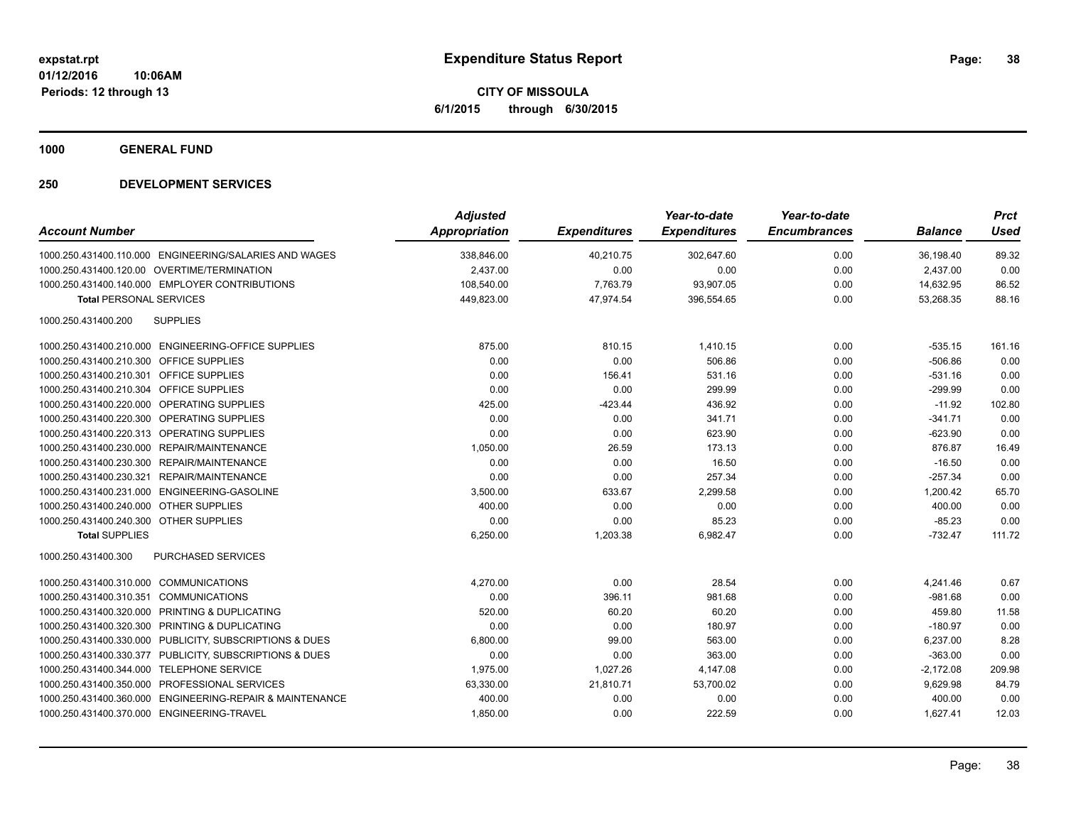**CITY OF MISSOULA 6/1/2015 through 6/30/2015**

**1000 GENERAL FUND**

### **250 DEVELOPMENT SERVICES**

| <b>Account Number</b>                                    | <b>Adjusted</b><br><b>Appropriation</b> | <b>Expenditures</b> | Year-to-date<br><b>Expenditures</b> | Year-to-date<br><b>Encumbrances</b> | <b>Balance</b> | <b>Prct</b><br><b>Used</b> |
|----------------------------------------------------------|-----------------------------------------|---------------------|-------------------------------------|-------------------------------------|----------------|----------------------------|
| 1000.250.431400.110.000 ENGINEERING/SALARIES AND WAGES   | 338,846.00                              | 40,210.75           | 302,647.60                          | 0.00                                | 36,198.40      | 89.32                      |
| 1000.250.431400.120.00 OVERTIME/TERMINATION              | 2,437.00                                | 0.00                | 0.00                                | 0.00                                | 2,437.00       | 0.00                       |
| 1000.250.431400.140.000 EMPLOYER CONTRIBUTIONS           | 108,540.00                              | 7,763.79            | 93,907.05                           | 0.00                                | 14,632.95      | 86.52                      |
| <b>Total PERSONAL SERVICES</b>                           | 449,823.00                              | 47,974.54           | 396,554.65                          | 0.00                                | 53,268.35      | 88.16                      |
| <b>SUPPLIES</b><br>1000.250.431400.200                   |                                         |                     |                                     |                                     |                |                            |
| 1000.250.431400.210.000 ENGINEERING-OFFICE SUPPLIES      | 875.00                                  | 810.15              | 1,410.15                            | 0.00                                | $-535.15$      | 161.16                     |
| 1000.250.431400.210.300 OFFICE SUPPLIES                  | 0.00                                    | 0.00                | 506.86                              | 0.00                                | $-506.86$      | 0.00                       |
| 1000.250.431400.210.301 OFFICE SUPPLIES                  | 0.00                                    | 156.41              | 531.16                              | 0.00                                | $-531.16$      | 0.00                       |
| <b>OFFICE SUPPLIES</b><br>1000.250.431400.210.304        | 0.00                                    | 0.00                | 299.99                              | 0.00                                | $-299.99$      | 0.00                       |
| 1000.250.431400.220.000 OPERATING SUPPLIES               | 425.00                                  | $-423.44$           | 436.92                              | 0.00                                | $-11.92$       | 102.80                     |
| 1000.250.431400.220.300 OPERATING SUPPLIES               | 0.00                                    | 0.00                | 341.71                              | 0.00                                | $-341.71$      | 0.00                       |
| 1000.250.431400.220.313 OPERATING SUPPLIES               | 0.00                                    | 0.00                | 623.90                              | 0.00                                | $-623.90$      | 0.00                       |
| 1000.250.431400.230.000 REPAIR/MAINTENANCE               | 1,050.00                                | 26.59               | 173.13                              | 0.00                                | 876.87         | 16.49                      |
| 1000.250.431400.230.300 REPAIR/MAINTENANCE               | 0.00                                    | 0.00                | 16.50                               | 0.00                                | $-16.50$       | 0.00                       |
| 1000.250.431400.230.321 REPAIR/MAINTENANCE               | 0.00                                    | 0.00                | 257.34                              | 0.00                                | $-257.34$      | 0.00                       |
| 1000.250.431400.231.000 ENGINEERING-GASOLINE             | 3.500.00                                | 633.67              | 2.299.58                            | 0.00                                | 1.200.42       | 65.70                      |
| 1000.250.431400.240.000 OTHER SUPPLIES                   | 400.00                                  | 0.00                | 0.00                                | 0.00                                | 400.00         | 0.00                       |
| 1000.250.431400.240.300 OTHER SUPPLIES                   | 0.00                                    | 0.00                | 85.23                               | 0.00                                | $-85.23$       | 0.00                       |
| <b>Total SUPPLIES</b>                                    | 6,250.00                                | 1,203.38            | 6,982.47                            | 0.00                                | $-732.47$      | 111.72                     |
| <b>PURCHASED SERVICES</b><br>1000.250.431400.300         |                                         |                     |                                     |                                     |                |                            |
| 1000.250.431400.310.000 COMMUNICATIONS                   | 4,270.00                                | 0.00                | 28.54                               | 0.00                                | 4,241.46       | 0.67                       |
| 1000.250.431400.310.351 COMMUNICATIONS                   | 0.00                                    | 396.11              | 981.68                              | 0.00                                | $-981.68$      | 0.00                       |
| 1000.250.431400.320.000 PRINTING & DUPLICATING           | 520.00                                  | 60.20               | 60.20                               | 0.00                                | 459.80         | 11.58                      |
| 1000.250.431400.320.300 PRINTING & DUPLICATING           | 0.00                                    | 0.00                | 180.97                              | 0.00                                | $-180.97$      | 0.00                       |
| 1000.250.431400.330.000 PUBLICITY, SUBSCRIPTIONS & DUES  | 6,800.00                                | 99.00               | 563.00                              | 0.00                                | 6,237.00       | 8.28                       |
| 1000.250.431400.330.377 PUBLICITY, SUBSCRIPTIONS & DUES  | 0.00                                    | 0.00                | 363.00                              | 0.00                                | $-363.00$      | 0.00                       |
| 1000.250.431400.344.000 TELEPHONE SERVICE                | 1,975.00                                | 1,027.26            | 4,147.08                            | 0.00                                | $-2,172.08$    | 209.98                     |
| 1000.250.431400.350.000 PROFESSIONAL SERVICES            | 63,330.00                               | 21,810.71           | 53,700.02                           | 0.00                                | 9,629.98       | 84.79                      |
| 1000.250.431400.360.000 ENGINEERING-REPAIR & MAINTENANCE | 400.00                                  | 0.00                | 0.00                                | 0.00                                | 400.00         | 0.00                       |
| 1000.250.431400.370.000 ENGINEERING-TRAVEL               | 1,850.00                                | 0.00                | 222.59                              | 0.00                                | 1,627.41       | 12.03                      |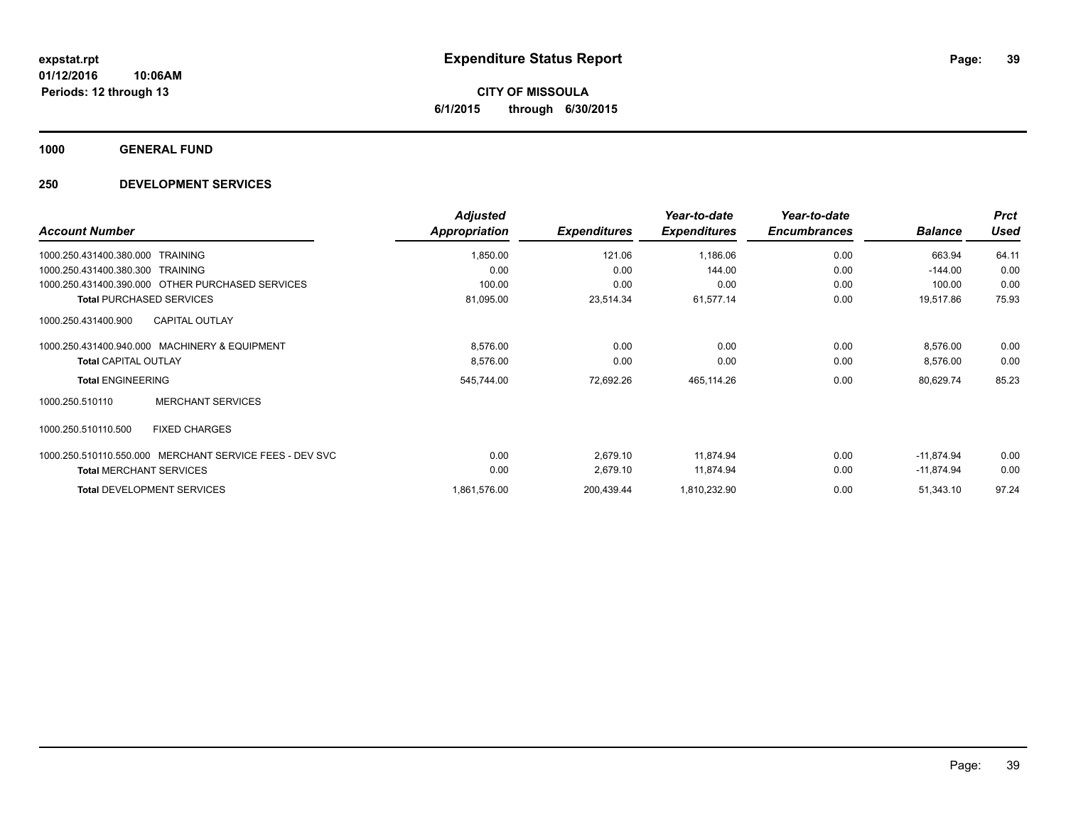**CITY OF MISSOULA 6/1/2015 through 6/30/2015**

**1000 GENERAL FUND**

### **250 DEVELOPMENT SERVICES**

| <b>Account Number</b>                                   | <b>Adjusted</b><br>Appropriation | <b>Expenditures</b> | Year-to-date<br><b>Expenditures</b> | Year-to-date<br><b>Encumbrances</b> | <b>Balance</b> | <b>Prct</b><br><b>Used</b> |
|---------------------------------------------------------|----------------------------------|---------------------|-------------------------------------|-------------------------------------|----------------|----------------------------|
| <b>TRAINING</b><br>1000.250.431400.380.000              | 1,850.00                         | 121.06              | 1,186.06                            | 0.00                                | 663.94         | 64.11                      |
| 1000.250.431400.380.300<br>TRAINING                     | 0.00                             | 0.00                | 144.00                              | 0.00                                | $-144.00$      | 0.00                       |
| 1000.250.431400.390.000 OTHER PURCHASED SERVICES        | 100.00                           | 0.00                | 0.00                                | 0.00                                | 100.00         | 0.00                       |
| <b>Total PURCHASED SERVICES</b>                         | 81,095.00                        | 23,514.34           | 61,577.14                           | 0.00                                | 19,517.86      | 75.93                      |
| <b>CAPITAL OUTLAY</b><br>1000.250.431400.900            |                                  |                     |                                     |                                     |                |                            |
| 1000.250.431400.940.000 MACHINERY & EQUIPMENT           | 8,576.00                         | 0.00                | 0.00                                | 0.00                                | 8,576.00       | 0.00                       |
| <b>Total CAPITAL OUTLAY</b>                             | 8,576.00                         | 0.00                | 0.00                                | 0.00                                | 8,576.00       | 0.00                       |
| <b>Total ENGINEERING</b>                                | 545,744.00                       | 72,692.26           | 465,114.26                          | 0.00                                | 80,629.74      | 85.23                      |
| <b>MERCHANT SERVICES</b><br>1000.250.510110             |                                  |                     |                                     |                                     |                |                            |
| 1000.250.510110.500<br><b>FIXED CHARGES</b>             |                                  |                     |                                     |                                     |                |                            |
| 1000.250.510110.550.000 MERCHANT SERVICE FEES - DEV SVC | 0.00                             | 2,679.10            | 11,874.94                           | 0.00                                | $-11,874.94$   | 0.00                       |
| <b>Total MERCHANT SERVICES</b>                          | 0.00                             | 2,679.10            | 11,874.94                           | 0.00                                | $-11,874.94$   | 0.00                       |
| <b>Total DEVELOPMENT SERVICES</b>                       | 1,861,576.00                     | 200,439.44          | 1,810,232.90                        | 0.00                                | 51,343.10      | 97.24                      |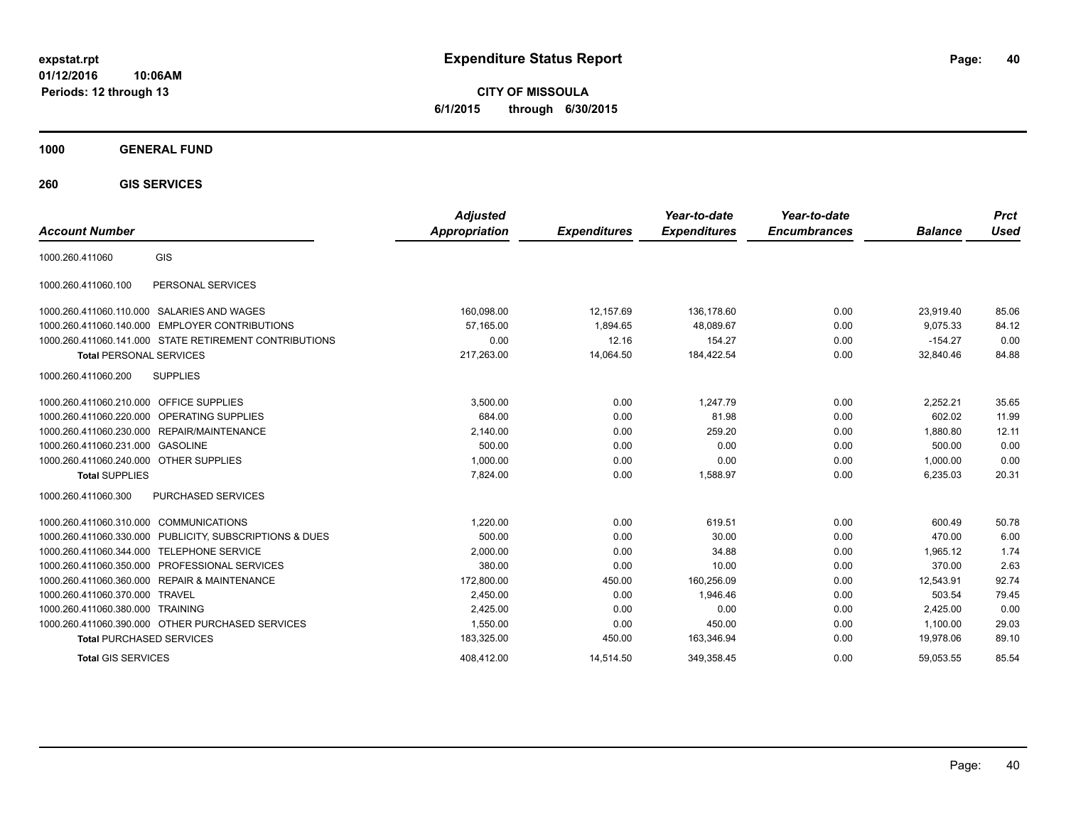**CITY OF MISSOULA 6/1/2015 through 6/30/2015**

### **1000 GENERAL FUND**

**260 GIS SERVICES**

| <b>Account Number</b>                                      |                                 | <b>Adjusted</b><br><b>Appropriation</b> | <b>Expenditures</b> | Year-to-date<br><b>Expenditures</b> | Year-to-date<br><b>Encumbrances</b> | <b>Balance</b> | <b>Prct</b><br>Used |
|------------------------------------------------------------|---------------------------------|-----------------------------------------|---------------------|-------------------------------------|-------------------------------------|----------------|---------------------|
| GIS<br>1000.260.411060                                     |                                 |                                         |                     |                                     |                                     |                |                     |
| PERSONAL SERVICES<br>1000.260.411060.100                   |                                 |                                         |                     |                                     |                                     |                |                     |
| SALARIES AND WAGES<br>1000.260.411060.110.000              |                                 | 160,098.00                              | 12,157.69           | 136.178.60                          | 0.00                                | 23.919.40      | 85.06               |
| <b>EMPLOYER CONTRIBUTIONS</b><br>1000.260.411060.140.000   |                                 | 57.165.00                               | 1,894.65            | 48,089.67                           | 0.00                                | 9,075.33       | 84.12               |
| 1000.260.411060.141.000 STATE RETIREMENT CONTRIBUTIONS     |                                 | 0.00                                    | 12.16               | 154.27                              | 0.00                                | $-154.27$      | 0.00                |
| <b>Total PERSONAL SERVICES</b>                             |                                 | 217,263.00                              | 14,064.50           | 184,422.54                          | 0.00                                | 32,840.46      | 84.88               |
| <b>SUPPLIES</b><br>1000.260.411060.200                     |                                 |                                         |                     |                                     |                                     |                |                     |
| 1000.260.411060.210.000 OFFICE SUPPLIES                    |                                 | 3,500.00                                | 0.00                | 1.247.79                            | 0.00                                | 2,252.21       | 35.65               |
| 1000.260.411060.220.000 OPERATING SUPPLIES                 |                                 | 684.00                                  | 0.00                | 81.98                               | 0.00                                | 602.02         | 11.99               |
| REPAIR/MAINTENANCE<br>1000.260.411060.230.000              |                                 | 2,140.00                                | 0.00                | 259.20                              | 0.00                                | 1,880.80       | 12.11               |
| 1000.260.411060.231.000<br><b>GASOLINE</b>                 |                                 | 500.00                                  | 0.00                | 0.00                                | 0.00                                | 500.00         | 0.00                |
| 1000.260.411060.240.000 OTHER SUPPLIES                     |                                 | 1,000.00                                | 0.00                | 0.00                                | 0.00                                | 1,000.00       | 0.00                |
| <b>Total SUPPLIES</b>                                      |                                 | 7,824.00                                | 0.00                | 1,588.97                            | 0.00                                | 6,235.03       | 20.31               |
| 1000.260.411060.300<br>PURCHASED SERVICES                  |                                 |                                         |                     |                                     |                                     |                |                     |
| 1000.260.411060.310.000 COMMUNICATIONS                     |                                 | 1.220.00                                | 0.00                | 619.51                              | 0.00                                | 600.49         | 50.78               |
| 1000.260.411060.330.000                                    | PUBLICITY, SUBSCRIPTIONS & DUES | 500.00                                  | 0.00                | 30.00                               | 0.00                                | 470.00         | 6.00                |
| <b>TELEPHONE SERVICE</b><br>1000.260.411060.344.000        |                                 | 2,000.00                                | 0.00                | 34.88                               | 0.00                                | 1.965.12       | 1.74                |
| PROFESSIONAL SERVICES<br>1000.260.411060.350.000           |                                 | 380.00                                  | 0.00                | 10.00                               | 0.00                                | 370.00         | 2.63                |
| 1000.260.411060.360.000<br><b>REPAIR &amp; MAINTENANCE</b> |                                 | 172,800.00                              | 450.00              | 160,256.09                          | 0.00                                | 12,543.91      | 92.74               |
| 1000.260.411060.370.000<br><b>TRAVEL</b>                   |                                 | 2.450.00                                | 0.00                | 1.946.46                            | 0.00                                | 503.54         | 79.45               |
| 1000.260.411060.380.000<br><b>TRAINING</b>                 |                                 | 2,425.00                                | 0.00                | 0.00                                | 0.00                                | 2,425.00       | 0.00                |
| 1000.260.411060.390.000 OTHER PURCHASED SERVICES           |                                 | 1,550.00                                | 0.00                | 450.00                              | 0.00                                | 1,100.00       | 29.03               |
| <b>Total PURCHASED SERVICES</b>                            |                                 | 183,325.00                              | 450.00              | 163,346.94                          | 0.00                                | 19,978.06      | 89.10               |
| <b>Total GIS SERVICES</b>                                  |                                 | 408.412.00                              | 14.514.50           | 349.358.45                          | 0.00                                | 59.053.55      | 85.54               |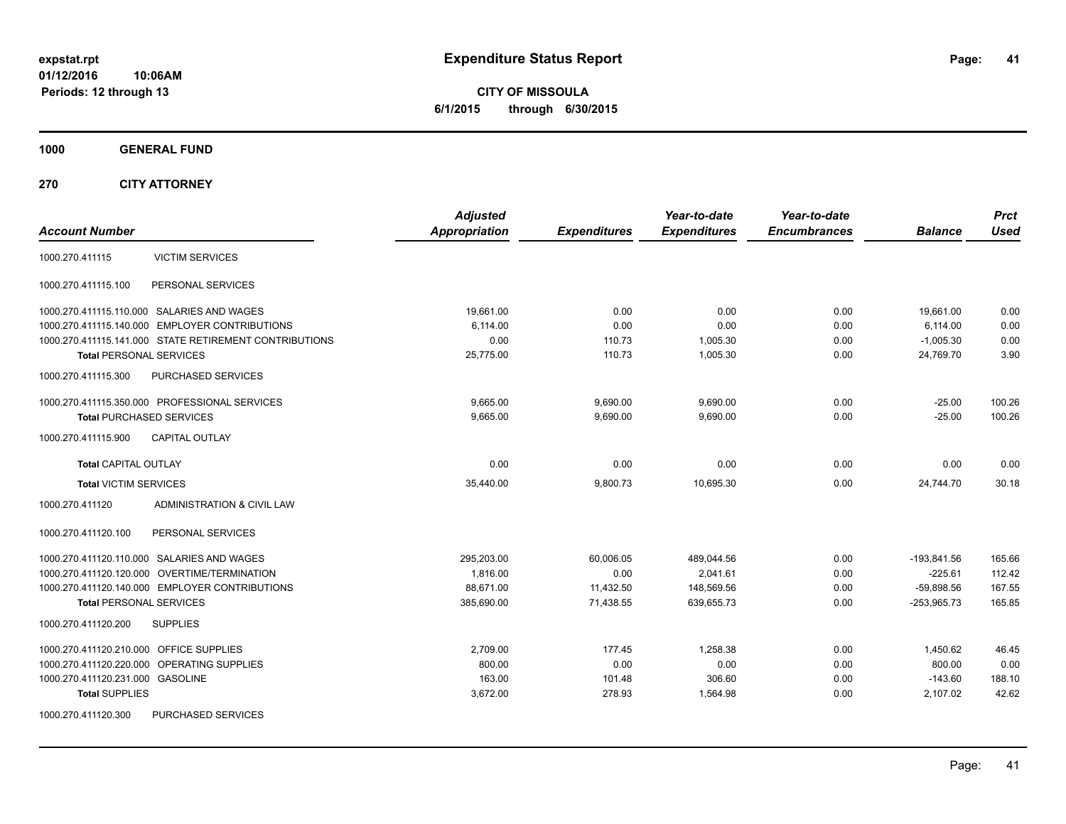**CITY OF MISSOULA 6/1/2015 through 6/30/2015**

**1000 GENERAL FUND**

**270 CITY ATTORNEY**

| <b>Account Number</b>                                  | <b>Adjusted</b><br>Appropriation | <b>Expenditures</b> | Year-to-date<br><b>Expenditures</b> | Year-to-date<br><b>Encumbrances</b> | <b>Balance</b> | <b>Prct</b><br><b>Used</b> |
|--------------------------------------------------------|----------------------------------|---------------------|-------------------------------------|-------------------------------------|----------------|----------------------------|
| <b>VICTIM SERVICES</b><br>1000.270.411115              |                                  |                     |                                     |                                     |                |                            |
| 1000.270.411115.100<br>PERSONAL SERVICES               |                                  |                     |                                     |                                     |                |                            |
| 1000.270.411115.110.000 SALARIES AND WAGES             | 19,661.00                        | 0.00                | 0.00                                | 0.00                                | 19,661.00      | 0.00                       |
| 1000.270.411115.140.000 EMPLOYER CONTRIBUTIONS         | 6.114.00                         | 0.00                | 0.00                                | 0.00                                | 6.114.00       | 0.00                       |
| 1000.270.411115.141.000 STATE RETIREMENT CONTRIBUTIONS | 0.00                             | 110.73              | 1,005.30                            | 0.00                                | $-1,005.30$    | 0.00                       |
| <b>Total PERSONAL SERVICES</b>                         | 25,775.00                        | 110.73              | 1,005.30                            | 0.00                                | 24,769.70      | 3.90                       |
| 1000.270.411115.300<br>PURCHASED SERVICES              |                                  |                     |                                     |                                     |                |                            |
| 1000.270.411115.350.000 PROFESSIONAL SERVICES          | 9,665.00                         | 9,690.00            | 9,690.00                            | 0.00                                | $-25.00$       | 100.26                     |
| <b>Total PURCHASED SERVICES</b>                        | 9,665.00                         | 9,690.00            | 9,690.00                            | 0.00                                | $-25.00$       | 100.26                     |
| <b>CAPITAL OUTLAY</b><br>1000.270.411115.900           |                                  |                     |                                     |                                     |                |                            |
| <b>Total CAPITAL OUTLAY</b>                            | 0.00                             | 0.00                | 0.00                                | 0.00                                | 0.00           | 0.00                       |
| <b>Total VICTIM SERVICES</b>                           | 35,440.00                        | 9,800.73            | 10,695.30                           | 0.00                                | 24.744.70      | 30.18                      |
| 1000.270.411120<br>ADMINISTRATION & CIVIL LAW          |                                  |                     |                                     |                                     |                |                            |
| 1000.270.411120.100<br>PERSONAL SERVICES               |                                  |                     |                                     |                                     |                |                            |
| 1000.270.411120.110.000 SALARIES AND WAGES             | 295,203.00                       | 60,006.05           | 489,044.56                          | 0.00                                | $-193,841.56$  | 165.66                     |
| 1000.270.411120.120.000 OVERTIME/TERMINATION           | 1,816.00                         | 0.00                | 2,041.61                            | 0.00                                | $-225.61$      | 112.42                     |
| 1000.270.411120.140.000 EMPLOYER CONTRIBUTIONS         | 88,671.00                        | 11,432.50           | 148,569.56                          | 0.00                                | $-59,898.56$   | 167.55                     |
| <b>Total PERSONAL SERVICES</b>                         | 385,690.00                       | 71,438.55           | 639,655.73                          | 0.00                                | $-253,965.73$  | 165.85                     |
| 1000.270.411120.200<br><b>SUPPLIES</b>                 |                                  |                     |                                     |                                     |                |                            |
| 1000.270.411120.210.000<br><b>OFFICE SUPPLIES</b>      | 2,709.00                         | 177.45              | 1,258.38                            | 0.00                                | 1,450.62       | 46.45                      |
| OPERATING SUPPLIES<br>1000.270.411120.220.000          | 800.00                           | 0.00                | 0.00                                | 0.00                                | 800.00         | 0.00                       |
| 1000.270.411120.231.000 GASOLINE                       | 163.00                           | 101.48              | 306.60                              | 0.00                                | $-143.60$      | 188.10                     |
| <b>Total SUPPLIES</b>                                  | 3,672.00                         | 278.93              | 1,564.98                            | 0.00                                | 2,107.02       | 42.62                      |
| 1000.270.411120.300<br><b>PURCHASED SERVICES</b>       |                                  |                     |                                     |                                     |                |                            |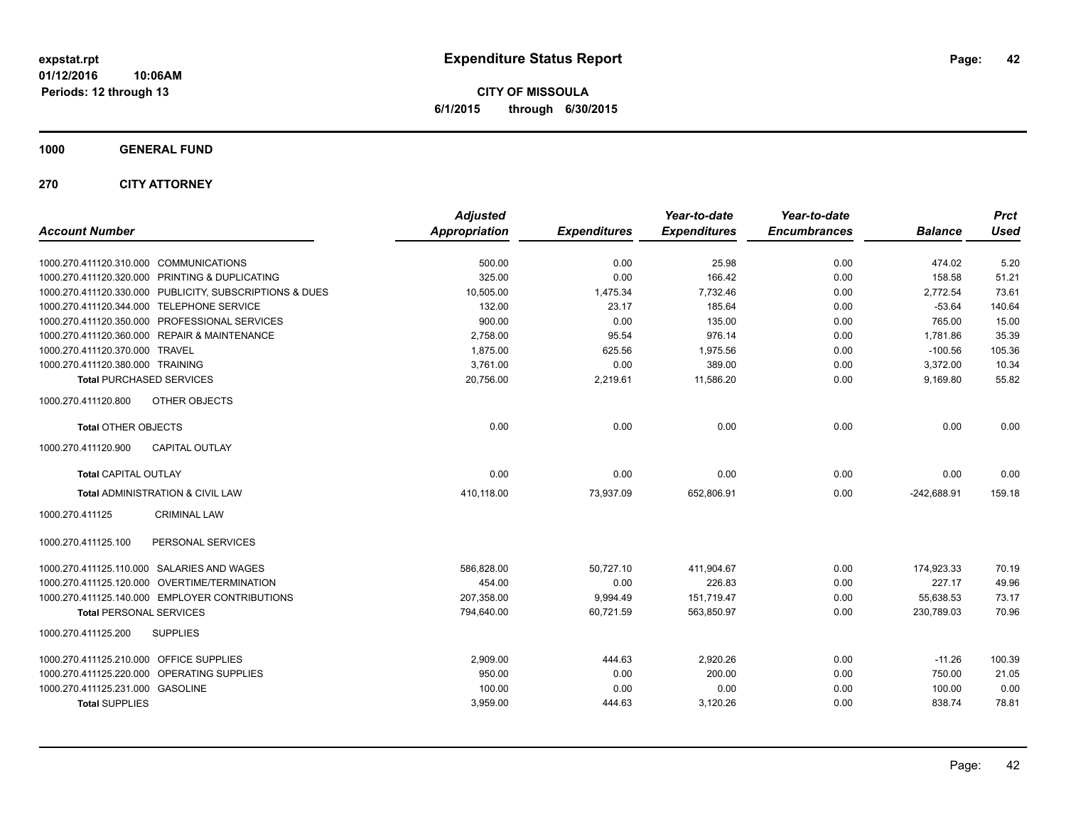**CITY OF MISSOULA 6/1/2015 through 6/30/2015**

**1000 GENERAL FUND**

**270 CITY ATTORNEY**

| <b>Account Number</b>                                   | <b>Adjusted</b><br><b>Appropriation</b> | <b>Expenditures</b> | Year-to-date<br><b>Expenditures</b> | Year-to-date<br><b>Encumbrances</b> | <b>Balance</b> | <b>Prct</b><br><b>Used</b> |
|---------------------------------------------------------|-----------------------------------------|---------------------|-------------------------------------|-------------------------------------|----------------|----------------------------|
| 1000.270.411120.310.000 COMMUNICATIONS                  | 500.00                                  | 0.00                | 25.98                               | 0.00                                | 474.02         | 5.20                       |
| 1000.270.411120.320.000 PRINTING & DUPLICATING          | 325.00                                  | 0.00                | 166.42                              | 0.00                                | 158.58         | 51.21                      |
| 1000.270.411120.330.000 PUBLICITY, SUBSCRIPTIONS & DUES | 10,505.00                               | 1,475.34            | 7,732.46                            | 0.00                                | 2,772.54       | 73.61                      |
| 1000.270.411120.344.000 TELEPHONE SERVICE               | 132.00                                  | 23.17               | 185.64                              | 0.00                                | $-53.64$       | 140.64                     |
| 1000.270.411120.350.000 PROFESSIONAL SERVICES           | 900.00                                  | 0.00                | 135.00                              | 0.00                                | 765.00         | 15.00                      |
| 1000.270.411120.360.000 REPAIR & MAINTENANCE            | 2,758.00                                | 95.54               | 976.14                              | 0.00                                | 1,781.86       | 35.39                      |
| 1000.270.411120.370.000 TRAVEL                          | 1,875.00                                | 625.56              | 1,975.56                            | 0.00                                | $-100.56$      | 105.36                     |
| 1000.270.411120.380.000 TRAINING                        | 3,761.00                                | 0.00                | 389.00                              | 0.00                                | 3,372.00       | 10.34                      |
| <b>Total PURCHASED SERVICES</b>                         | 20,756.00                               | 2,219.61            | 11,586.20                           | 0.00                                | 9,169.80       | 55.82                      |
| 1000.270.411120.800<br>OTHER OBJECTS                    |                                         |                     |                                     |                                     |                |                            |
| <b>Total OTHER OBJECTS</b>                              | 0.00                                    | 0.00                | 0.00                                | 0.00                                | 0.00           | 0.00                       |
| <b>CAPITAL OUTLAY</b><br>1000.270.411120.900            |                                         |                     |                                     |                                     |                |                            |
| <b>Total CAPITAL OUTLAY</b>                             | 0.00                                    | 0.00                | 0.00                                | 0.00                                | 0.00           | 0.00                       |
| Total ADMINISTRATION & CIVIL LAW                        | 410,118.00                              | 73,937.09           | 652,806.91                          | 0.00                                | $-242,688.91$  | 159.18                     |
| 1000.270.411125<br><b>CRIMINAL LAW</b>                  |                                         |                     |                                     |                                     |                |                            |
| PERSONAL SERVICES<br>1000.270.411125.100                |                                         |                     |                                     |                                     |                |                            |
| 1000.270.411125.110.000 SALARIES AND WAGES              | 586,828.00                              | 50,727.10           | 411,904.67                          | 0.00                                | 174,923.33     | 70.19                      |
| 1000.270.411125.120.000 OVERTIME/TERMINATION            | 454.00                                  | 0.00                | 226.83                              | 0.00                                | 227.17         | 49.96                      |
| 1000.270.411125.140.000 EMPLOYER CONTRIBUTIONS          | 207.358.00                              | 9,994.49            | 151,719.47                          | 0.00                                | 55,638.53      | 73.17                      |
| <b>Total PERSONAL SERVICES</b>                          | 794,640.00                              | 60,721.59           | 563,850.97                          | 0.00                                | 230,789.03     | 70.96                      |
| 1000.270.411125.200<br><b>SUPPLIES</b>                  |                                         |                     |                                     |                                     |                |                            |
| 1000.270.411125.210.000 OFFICE SUPPLIES                 | 2,909.00                                | 444.63              | 2,920.26                            | 0.00                                | $-11.26$       | 100.39                     |
| 1000.270.411125.220.000 OPERATING SUPPLIES              | 950.00                                  | 0.00                | 200.00                              | 0.00                                | 750.00         | 21.05                      |
| 1000.270.411125.231.000 GASOLINE                        | 100.00                                  | 0.00                | 0.00                                | 0.00                                | 100.00         | 0.00                       |
| <b>Total SUPPLIES</b>                                   | 3,959.00                                | 444.63              | 3,120.26                            | 0.00                                | 838.74         | 78.81                      |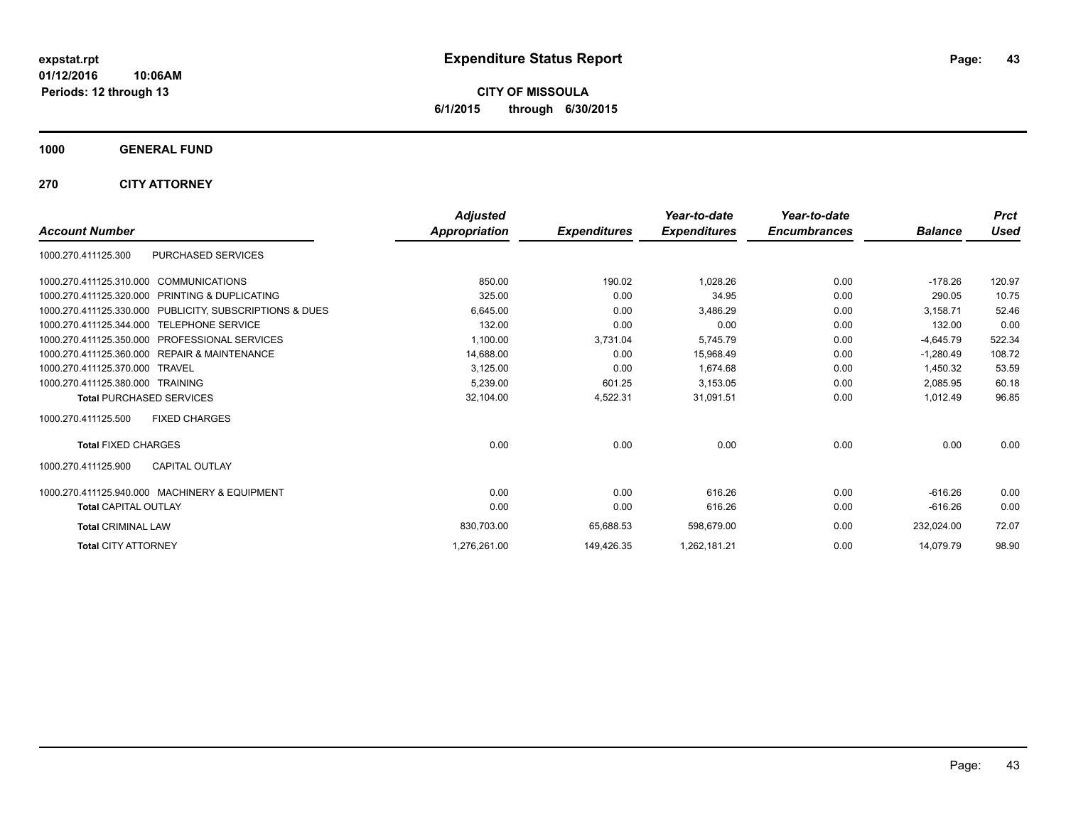**CITY OF MISSOULA 6/1/2015 through 6/30/2015**

**1000 GENERAL FUND**

**270 CITY ATTORNEY**

|                                                              | <b>Adjusted</b>      |                     | Year-to-date        | Year-to-date<br><b>Encumbrances</b> | <b>Balance</b> | <b>Prct</b><br><b>Used</b> |
|--------------------------------------------------------------|----------------------|---------------------|---------------------|-------------------------------------|----------------|----------------------------|
| <b>Account Number</b>                                        | <b>Appropriation</b> | <b>Expenditures</b> | <b>Expenditures</b> |                                     |                |                            |
| PURCHASED SERVICES<br>1000.270.411125.300                    |                      |                     |                     |                                     |                |                            |
| 1000.270.411125.310.000 COMMUNICATIONS                       | 850.00               | 190.02              | 1.028.26            | 0.00                                | $-178.26$      | 120.97                     |
| <b>PRINTING &amp; DUPLICATING</b><br>1000.270.411125.320.000 | 325.00               | 0.00                | 34.95               | 0.00                                | 290.05         | 10.75                      |
| 1000.270.411125.330.000 PUBLICITY, SUBSCRIPTIONS & DUES      | 6,645.00             | 0.00                | 3,486.29            | 0.00                                | 3,158.71       | 52.46                      |
| 1000.270.411125.344.000 TELEPHONE SERVICE                    | 132.00               | 0.00                | 0.00                | 0.00                                | 132.00         | 0.00                       |
| 1000.270.411125.350.000<br><b>PROFESSIONAL SERVICES</b>      | 1,100.00             | 3,731.04            | 5,745.79            | 0.00                                | $-4,645.79$    | 522.34                     |
| <b>REPAIR &amp; MAINTENANCE</b><br>1000.270.411125.360.000   | 14,688.00            | 0.00                | 15,968.49           | 0.00                                | $-1.280.49$    | 108.72                     |
| 1000.270.411125.370.000<br>TRAVFI                            | 3,125.00             | 0.00                | 1,674.68            | 0.00                                | 1,450.32       | 53.59                      |
| 1000.270.411125.380.000 TRAINING                             | 5.239.00             | 601.25              | 3,153.05            | 0.00                                | 2.085.95       | 60.18                      |
| <b>Total PURCHASED SERVICES</b>                              | 32,104.00            | 4,522.31            | 31,091.51           | 0.00                                | 1,012.49       | 96.85                      |
| 1000.270.411125.500<br><b>FIXED CHARGES</b>                  |                      |                     |                     |                                     |                |                            |
| <b>Total FIXED CHARGES</b>                                   | 0.00                 | 0.00                | 0.00                | 0.00                                | 0.00           | 0.00                       |
| <b>CAPITAL OUTLAY</b><br>1000.270.411125.900                 |                      |                     |                     |                                     |                |                            |
| 1000.270.411125.940.000 MACHINERY & EQUIPMENT                | 0.00                 | 0.00                | 616.26              | 0.00                                | $-616.26$      | 0.00                       |
| <b>Total CAPITAL OUTLAY</b>                                  | 0.00                 | 0.00                | 616.26              | 0.00                                | $-616.26$      | 0.00                       |
| <b>Total CRIMINAL LAW</b>                                    | 830,703.00           | 65,688.53           | 598,679.00          | 0.00                                | 232,024.00     | 72.07                      |
| <b>Total CITY ATTORNEY</b>                                   | 1,276,261.00         | 149,426.35          | 1,262,181.21        | 0.00                                | 14.079.79      | 98.90                      |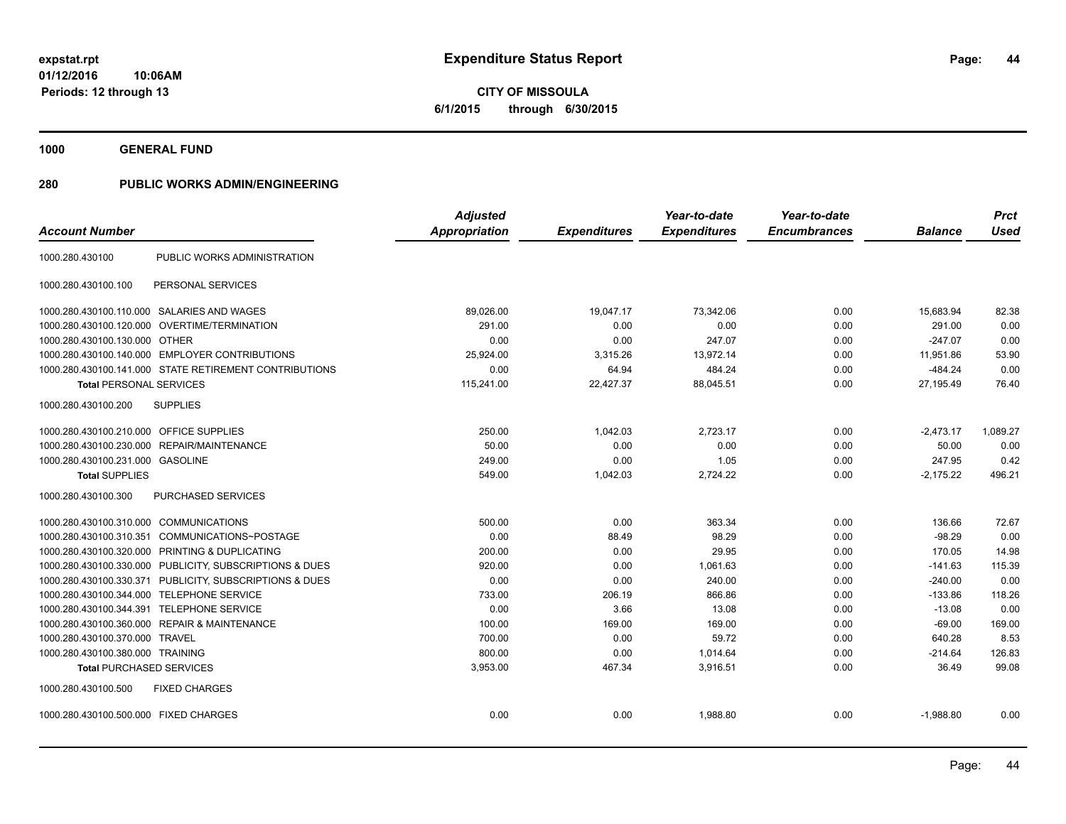**01/12/2016 10:06AM Periods: 12 through 13**

**CITY OF MISSOULA 6/1/2015 through 6/30/2015**

**1000 GENERAL FUND**

| <b>Account Number</b>                                      | <b>Adjusted</b><br><b>Appropriation</b> | <b>Expenditures</b> | Year-to-date<br><b>Expenditures</b> | Year-to-date<br><b>Encumbrances</b> | <b>Balance</b> | <b>Prct</b><br><b>Used</b> |
|------------------------------------------------------------|-----------------------------------------|---------------------|-------------------------------------|-------------------------------------|----------------|----------------------------|
|                                                            |                                         |                     |                                     |                                     |                |                            |
| PUBLIC WORKS ADMINISTRATION<br>1000.280.430100             |                                         |                     |                                     |                                     |                |                            |
| 1000.280.430100.100<br>PERSONAL SERVICES                   |                                         |                     |                                     |                                     |                |                            |
| 1000.280.430100.110.000 SALARIES AND WAGES                 | 89,026.00                               | 19.047.17           | 73,342.06                           | 0.00                                | 15.683.94      | 82.38                      |
| OVERTIME/TERMINATION<br>1000.280.430100.120.000            | 291.00                                  | 0.00                | 0.00                                | 0.00                                | 291.00         | 0.00                       |
| 1000.280.430100.130.000 OTHER                              | 0.00                                    | 0.00                | 247.07                              | 0.00                                | $-247.07$      | 0.00                       |
| 1000.280.430100.140.000 EMPLOYER CONTRIBUTIONS             | 25,924.00                               | 3,315.26            | 13,972.14                           | 0.00                                | 11,951.86      | 53.90                      |
| 1000.280.430100.141.000 STATE RETIREMENT CONTRIBUTIONS     | 0.00                                    | 64.94               | 484.24                              | 0.00                                | $-484.24$      | 0.00                       |
| <b>Total PERSONAL SERVICES</b>                             | 115,241.00                              | 22,427.37           | 88,045.51                           | 0.00                                | 27,195.49      | 76.40                      |
| <b>SUPPLIES</b><br>1000.280.430100.200                     |                                         |                     |                                     |                                     |                |                            |
| 1000.280.430100.210.000 OFFICE SUPPLIES                    | 250.00                                  | 1,042.03            | 2,723.17                            | 0.00                                | $-2,473.17$    | 1,089.27                   |
| REPAIR/MAINTENANCE<br>1000.280.430100.230.000              | 50.00                                   | 0.00                | 0.00                                | 0.00                                | 50.00          | 0.00                       |
| 1000.280.430100.231.000 GASOLINE                           | 249.00                                  | 0.00                | 1.05                                | 0.00                                | 247.95         | 0.42                       |
| <b>Total SUPPLIES</b>                                      | 549.00                                  | 1,042.03            | 2,724.22                            | 0.00                                | $-2,175.22$    | 496.21                     |
| 1000.280.430100.300<br><b>PURCHASED SERVICES</b>           |                                         |                     |                                     |                                     |                |                            |
| 1000.280.430100.310.000 COMMUNICATIONS                     | 500.00                                  | 0.00                | 363.34                              | 0.00                                | 136.66         | 72.67                      |
| 1000.280.430100.310.351 COMMUNICATIONS~POSTAGE             | 0.00                                    | 88.49               | 98.29                               | 0.00                                | $-98.29$       | 0.00                       |
| 1000.280.430100.320.000 PRINTING & DUPLICATING             | 200.00                                  | 0.00                | 29.95                               | 0.00                                | 170.05         | 14.98                      |
| 1000.280.430100.330.000 PUBLICITY, SUBSCRIPTIONS & DUES    | 920.00                                  | 0.00                | 1,061.63                            | 0.00                                | $-141.63$      | 115.39                     |
| 1000.280.430100.330.371 PUBLICITY, SUBSCRIPTIONS & DUES    | 0.00                                    | 0.00                | 240.00                              | 0.00                                | $-240.00$      | 0.00                       |
| 1000.280.430100.344.000 TELEPHONE SERVICE                  | 733.00                                  | 206.19              | 866.86                              | 0.00                                | $-133.86$      | 118.26                     |
| 1000.280.430100.344.391 TELEPHONE SERVICE                  | 0.00                                    | 3.66                | 13.08                               | 0.00                                | $-13.08$       | 0.00                       |
| <b>REPAIR &amp; MAINTENANCE</b><br>1000.280.430100.360.000 | 100.00                                  | 169.00              | 169.00                              | 0.00                                | $-69.00$       | 169.00                     |
| 1000.280.430100.370.000<br><b>TRAVEL</b>                   | 700.00                                  | 0.00                | 59.72                               | 0.00                                | 640.28         | 8.53                       |
| 1000.280.430100.380.000 TRAINING                           | 800.00                                  | 0.00                | 1,014.64                            | 0.00                                | $-214.64$      | 126.83                     |
| <b>Total PURCHASED SERVICES</b>                            | 3,953.00                                | 467.34              | 3,916.51                            | 0.00                                | 36.49          | 99.08                      |
| 1000.280.430100.500<br><b>FIXED CHARGES</b>                |                                         |                     |                                     |                                     |                |                            |
| 1000.280.430100.500.000 FIXED CHARGES                      | 0.00                                    | 0.00                | 1.988.80                            | 0.00                                | $-1,988.80$    | 0.00                       |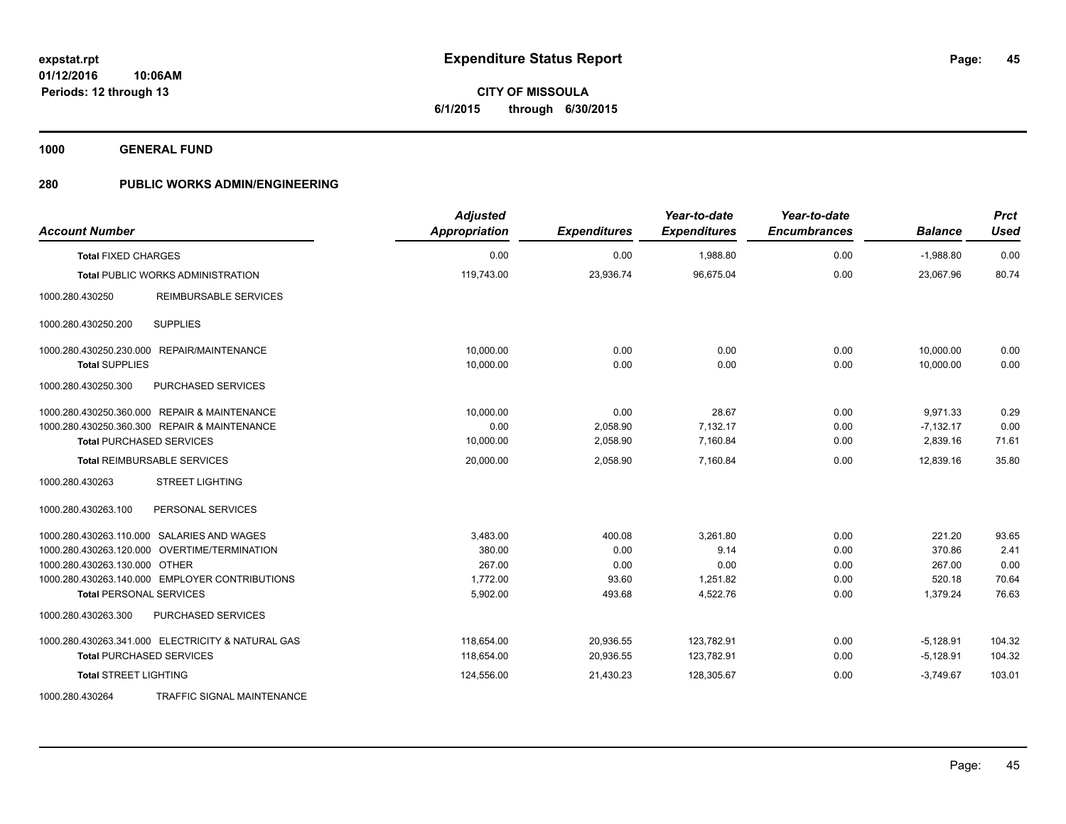**01/12/2016 10:06AM Periods: 12 through 13**

# **CITY OF MISSOULA 6/1/2015 through 6/30/2015**

**1000 GENERAL FUND**

| <b>Account Number</b>                             | <b>Adjusted</b><br>Appropriation | <b>Expenditures</b> | Year-to-date<br><b>Expenditures</b> | Year-to-date<br><b>Encumbrances</b> | <b>Balance</b> | <b>Prct</b><br><b>Used</b> |
|---------------------------------------------------|----------------------------------|---------------------|-------------------------------------|-------------------------------------|----------------|----------------------------|
| <b>Total FIXED CHARGES</b>                        | 0.00                             | 0.00                | 1,988.80                            | 0.00                                | $-1,988.80$    | 0.00                       |
| <b>Total PUBLIC WORKS ADMINISTRATION</b>          | 119,743.00                       | 23,936.74           | 96,675.04                           | 0.00                                | 23,067.96      | 80.74                      |
| <b>REIMBURSABLE SERVICES</b><br>1000.280.430250   |                                  |                     |                                     |                                     |                |                            |
| <b>SUPPLIES</b><br>1000.280.430250.200            |                                  |                     |                                     |                                     |                |                            |
| 1000.280.430250.230.000 REPAIR/MAINTENANCE        | 10.000.00                        | 0.00                | 0.00                                | 0.00                                | 10,000.00      | 0.00                       |
| <b>Total SUPPLIES</b>                             | 10,000.00                        | 0.00                | 0.00                                | 0.00                                | 10,000.00      | 0.00                       |
| 1000.280.430250.300<br>PURCHASED SERVICES         |                                  |                     |                                     |                                     |                |                            |
| 1000.280.430250.360.000 REPAIR & MAINTENANCE      | 10,000.00                        | 0.00                | 28.67                               | 0.00                                | 9,971.33       | 0.29                       |
| 1000.280.430250.360.300 REPAIR & MAINTENANCE      | 0.00                             | 2,058.90            | 7,132.17                            | 0.00                                | $-7,132.17$    | 0.00                       |
| <b>Total PURCHASED SERVICES</b>                   | 10,000.00                        | 2,058.90            | 7,160.84                            | 0.00                                | 2,839.16       | 71.61                      |
| <b>Total REIMBURSABLE SERVICES</b>                | 20,000.00                        | 2,058.90            | 7,160.84                            | 0.00                                | 12.839.16      | 35.80                      |
| 1000.280.430263<br><b>STREET LIGHTING</b>         |                                  |                     |                                     |                                     |                |                            |
| PERSONAL SERVICES<br>1000.280.430263.100          |                                  |                     |                                     |                                     |                |                            |
| 1000.280.430263.110.000 SALARIES AND WAGES        | 3,483.00                         | 400.08              | 3,261.80                            | 0.00                                | 221.20         | 93.65                      |
| 1000.280.430263.120.000 OVERTIME/TERMINATION      | 380.00                           | 0.00                | 9.14                                | 0.00                                | 370.86         | 2.41                       |
| 1000.280.430263.130.000 OTHER                     | 267.00                           | 0.00                | 0.00                                | 0.00                                | 267.00         | 0.00                       |
| 1000.280.430263.140.000 EMPLOYER CONTRIBUTIONS    | 1,772.00                         | 93.60               | 1,251.82                            | 0.00                                | 520.18         | 70.64                      |
| <b>Total PERSONAL SERVICES</b>                    | 5,902.00                         | 493.68              | 4,522.76                            | 0.00                                | 1,379.24       | 76.63                      |
| 1000.280.430263.300<br>PURCHASED SERVICES         |                                  |                     |                                     |                                     |                |                            |
| 1000.280.430263.341.000 ELECTRICITY & NATURAL GAS | 118,654.00                       | 20,936.55           | 123,782.91                          | 0.00                                | $-5,128.91$    | 104.32                     |
| <b>Total PURCHASED SERVICES</b>                   | 118,654.00                       | 20,936.55           | 123,782.91                          | 0.00                                | $-5,128.91$    | 104.32                     |
| <b>Total STREET LIGHTING</b>                      | 124,556.00                       | 21,430.23           | 128,305.67                          | 0.00                                | $-3,749.67$    | 103.01                     |
| 1000.280.430264<br>TRAFFIC SIGNAL MAINTENANCE     |                                  |                     |                                     |                                     |                |                            |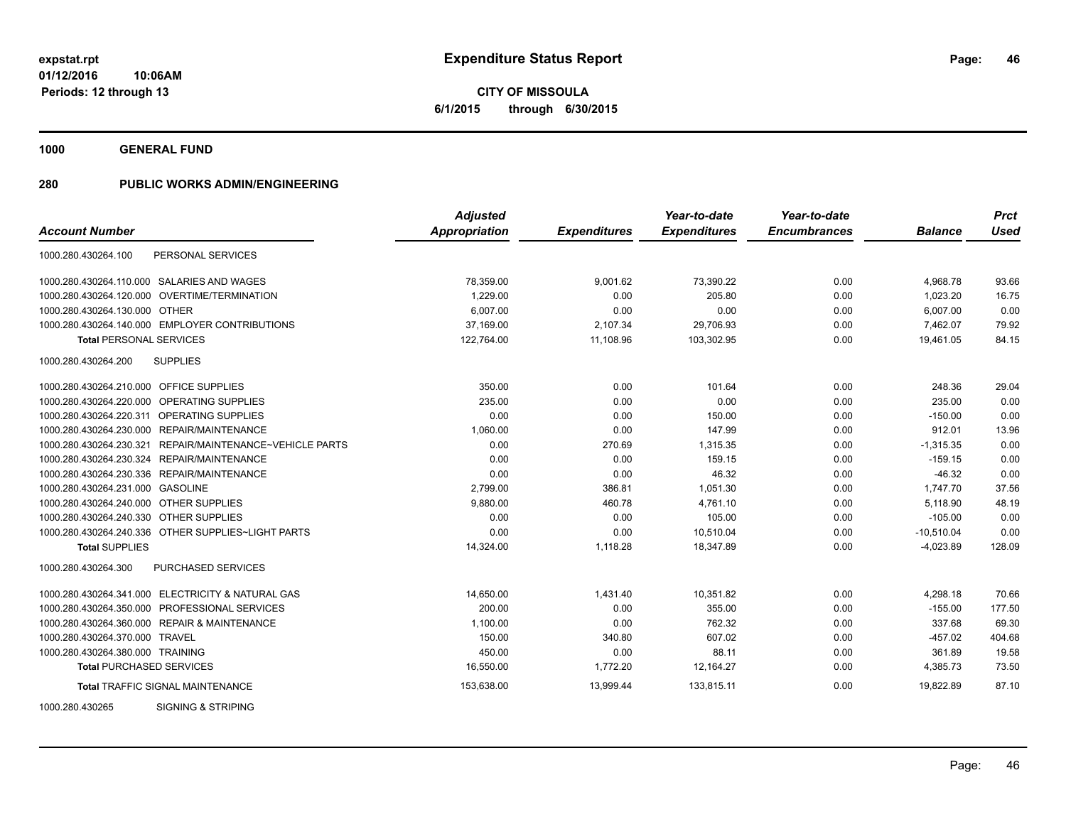**01/12/2016 10:06AM Periods: 12 through 13**

**CITY OF MISSOULA 6/1/2015 through 6/30/2015**

**1000 GENERAL FUND**

| <b>Account Number</b>                                       | <b>Adjusted</b><br>Appropriation | <b>Expenditures</b> | Year-to-date<br><b>Expenditures</b> | Year-to-date<br><b>Encumbrances</b> | <b>Balance</b> | <b>Prct</b><br><b>Used</b> |
|-------------------------------------------------------------|----------------------------------|---------------------|-------------------------------------|-------------------------------------|----------------|----------------------------|
|                                                             |                                  |                     |                                     |                                     |                |                            |
| 1000.280.430264.100<br>PERSONAL SERVICES                    |                                  |                     |                                     |                                     |                |                            |
| 1000.280.430264.110.000 SALARIES AND WAGES                  | 78,359.00                        | 9,001.62            | 73,390.22                           | 0.00                                | 4,968.78       | 93.66                      |
| OVERTIME/TERMINATION<br>1000.280.430264.120.000             | 1.229.00                         | 0.00                | 205.80                              | 0.00                                | 1,023.20       | 16.75                      |
| 1000.280.430264.130.000 OTHER                               | 6,007.00                         | 0.00                | 0.00                                | 0.00                                | 6,007.00       | 0.00                       |
| 1000.280.430264.140.000 EMPLOYER CONTRIBUTIONS              | 37,169.00                        | 2,107.34            | 29,706.93                           | 0.00                                | 7,462.07       | 79.92                      |
| <b>Total PERSONAL SERVICES</b>                              | 122,764.00                       | 11,108.96           | 103.302.95                          | 0.00                                | 19.461.05      | 84.15                      |
| 1000.280.430264.200<br><b>SUPPLIES</b>                      |                                  |                     |                                     |                                     |                |                            |
| 1000.280.430264.210.000 OFFICE SUPPLIES                     | 350.00                           | 0.00                | 101.64                              | 0.00                                | 248.36         | 29.04                      |
| 1000.280.430264.220.000 OPERATING SUPPLIES                  | 235.00                           | 0.00                | 0.00                                | 0.00                                | 235.00         | 0.00                       |
| 1000.280.430264.220.311 OPERATING SUPPLIES                  | 0.00                             | 0.00                | 150.00                              | 0.00                                | $-150.00$      | 0.00                       |
| 1000.280.430264.230.000 REPAIR/MAINTENANCE                  | 1,060.00                         | 0.00                | 147.99                              | 0.00                                | 912.01         | 13.96                      |
| REPAIR/MAINTENANCE~VEHICLE PARTS<br>1000.280.430264.230.321 | 0.00                             | 270.69              | 1,315.35                            | 0.00                                | $-1,315.35$    | 0.00                       |
| 1000.280.430264.230.324 REPAIR/MAINTENANCE                  | 0.00                             | 0.00                | 159.15                              | 0.00                                | $-159.15$      | 0.00                       |
| 1000.280.430264.230.336 REPAIR/MAINTENANCE                  | 0.00                             | 0.00                | 46.32                               | 0.00                                | $-46.32$       | 0.00                       |
| 1000.280.430264.231.000 GASOLINE                            | 2.799.00                         | 386.81              | 1,051.30                            | 0.00                                | 1,747.70       | 37.56                      |
| 1000.280.430264.240.000 OTHER SUPPLIES                      | 9,880.00                         | 460.78              | 4,761.10                            | 0.00                                | 5.118.90       | 48.19                      |
| 1000.280.430264.240.330 OTHER SUPPLIES                      | 0.00                             | 0.00                | 105.00                              | 0.00                                | $-105.00$      | 0.00                       |
| 1000.280.430264.240.336 OTHER SUPPLIES~LIGHT PARTS          | 0.00                             | 0.00                | 10,510.04                           | 0.00                                | $-10,510.04$   | 0.00                       |
| <b>Total SUPPLIES</b>                                       | 14,324.00                        | 1,118.28            | 18,347.89                           | 0.00                                | $-4,023.89$    | 128.09                     |
| 1000.280.430264.300<br><b>PURCHASED SERVICES</b>            |                                  |                     |                                     |                                     |                |                            |
| 1000.280.430264.341.000 ELECTRICITY & NATURAL GAS           | 14,650.00                        | 1,431.40            | 10,351.82                           | 0.00                                | 4,298.18       | 70.66                      |
| 1000.280.430264.350.000 PROFESSIONAL SERVICES               | 200.00                           | 0.00                | 355.00                              | 0.00                                | $-155.00$      | 177.50                     |
| 1000.280.430264.360.000 REPAIR & MAINTENANCE                | 1,100.00                         | 0.00                | 762.32                              | 0.00                                | 337.68         | 69.30                      |
| 1000.280.430264.370.000 TRAVEL                              | 150.00                           | 340.80              | 607.02                              | 0.00                                | $-457.02$      | 404.68                     |
| 1000.280.430264.380.000 TRAINING                            | 450.00                           | 0.00                | 88.11                               | 0.00                                | 361.89         | 19.58                      |
| <b>Total PURCHASED SERVICES</b>                             | 16,550.00                        | 1,772.20            | 12,164.27                           | 0.00                                | 4,385.73       | 73.50                      |
| <b>Total TRAFFIC SIGNAL MAINTENANCE</b>                     | 153,638.00                       | 13,999.44           | 133,815.11                          | 0.00                                | 19,822.89      | 87.10                      |
| 1000.280.430265<br>SIGNING & STRIPING                       |                                  |                     |                                     |                                     |                |                            |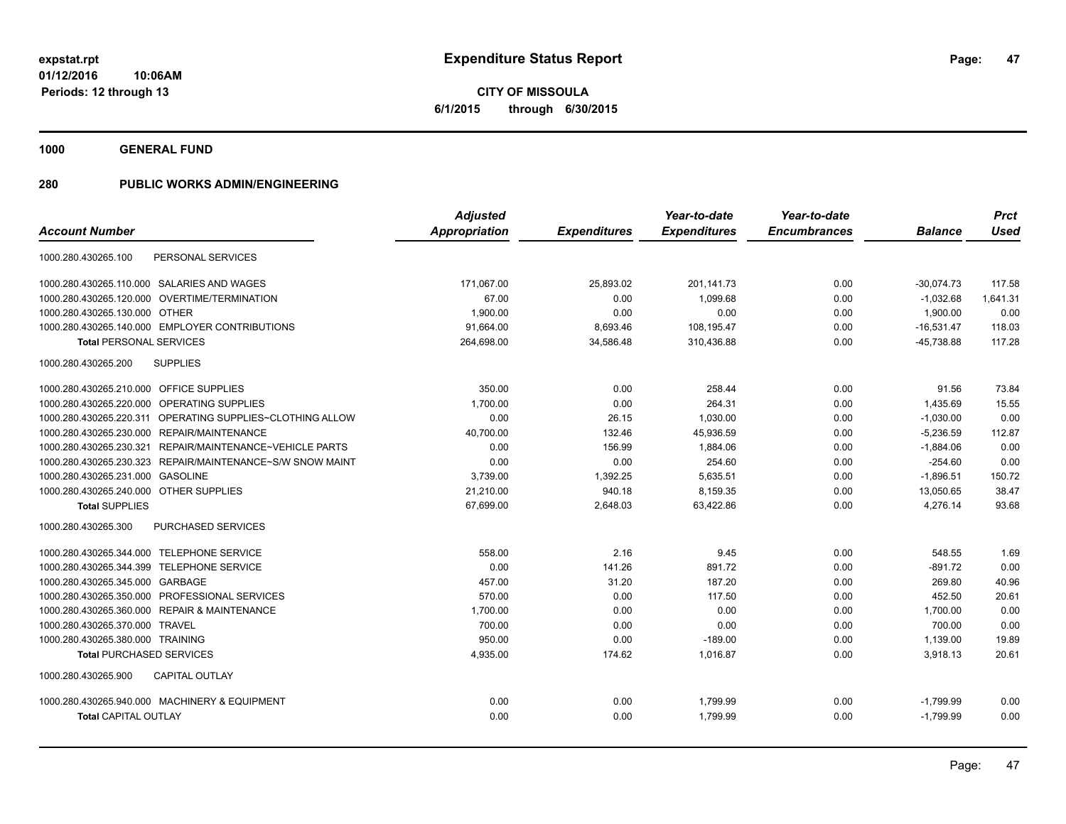**CITY OF MISSOULA 6/1/2015 through 6/30/2015**

**1000 GENERAL FUND**

|                                                              | <b>Adjusted</b>      |                     | Year-to-date        | Year-to-date        |                | <b>Prct</b> |
|--------------------------------------------------------------|----------------------|---------------------|---------------------|---------------------|----------------|-------------|
| <b>Account Number</b>                                        | <b>Appropriation</b> | <b>Expenditures</b> | <b>Expenditures</b> | <b>Encumbrances</b> | <b>Balance</b> | <b>Used</b> |
| 1000.280.430265.100<br>PERSONAL SERVICES                     |                      |                     |                     |                     |                |             |
| 1000.280.430265.110.000 SALARIES AND WAGES                   | 171,067.00           | 25,893.02           | 201,141.73          | 0.00                | $-30,074.73$   | 117.58      |
| <b>OVERTIME/TERMINATION</b><br>1000.280.430265.120.000       | 67.00                | 0.00                | 1,099.68            | 0.00                | $-1,032.68$    | 1,641.31    |
| 1000.280.430265.130.000 OTHER                                | 1,900.00             | 0.00                | 0.00                | 0.00                | 1,900.00       | 0.00        |
| 1000.280.430265.140.000 EMPLOYER CONTRIBUTIONS               | 91,664.00            | 8,693.46            | 108,195.47          | 0.00                | $-16,531.47$   | 118.03      |
| <b>Total PERSONAL SERVICES</b>                               | 264,698.00           | 34,586.48           | 310,436.88          | 0.00                | $-45,738.88$   | 117.28      |
| 1000.280.430265.200<br><b>SUPPLIES</b>                       |                      |                     |                     |                     |                |             |
| 1000.280.430265.210.000 OFFICE SUPPLIES                      | 350.00               | 0.00                | 258.44              | 0.00                | 91.56          | 73.84       |
| OPERATING SUPPLIES<br>1000.280.430265.220.000                | 1,700.00             | 0.00                | 264.31              | 0.00                | 1,435.69       | 15.55       |
| OPERATING SUPPLIES~CLOTHING ALLOW<br>1000.280.430265.220.311 | 0.00                 | 26.15               | 1,030.00            | 0.00                | $-1,030.00$    | 0.00        |
| <b>REPAIR/MAINTENANCE</b><br>1000.280.430265.230.000         | 40,700.00            | 132.46              | 45,936.59           | 0.00                | $-5,236.59$    | 112.87      |
| 1000.280.430265.230.321<br>REPAIR/MAINTENANCE~VEHICLE PARTS  | 0.00                 | 156.99              | 1,884.06            | 0.00                | $-1,884.06$    | 0.00        |
| REPAIR/MAINTENANCE~S/W SNOW MAINT<br>1000.280.430265.230.323 | 0.00                 | 0.00                | 254.60              | 0.00                | $-254.60$      | 0.00        |
| 1000.280.430265.231.000<br><b>GASOLINE</b>                   | 3,739.00             | 1,392.25            | 5,635.51            | 0.00                | $-1,896.51$    | 150.72      |
| 1000.280.430265.240.000<br><b>OTHER SUPPLIES</b>             | 21,210.00            | 940.18              | 8,159.35            | 0.00                | 13,050.65      | 38.47       |
| <b>Total SUPPLIES</b>                                        | 67,699.00            | 2,648.03            | 63,422.86           | 0.00                | 4,276.14       | 93.68       |
| PURCHASED SERVICES<br>1000.280.430265.300                    |                      |                     |                     |                     |                |             |
| 1000.280.430265.344.000 TELEPHONE SERVICE                    | 558.00               | 2.16                | 9.45                | 0.00                | 548.55         | 1.69        |
| 1000.280.430265.344.399 TELEPHONE SERVICE                    | 0.00                 | 141.26              | 891.72              | 0.00                | $-891.72$      | 0.00        |
| 1000.280.430265.345.000 GARBAGE                              | 457.00               | 31.20               | 187.20              | 0.00                | 269.80         | 40.96       |
| PROFESSIONAL SERVICES<br>1000.280.430265.350.000             | 570.00               | 0.00                | 117.50              | 0.00                | 452.50         | 20.61       |
| <b>REPAIR &amp; MAINTENANCE</b><br>1000.280.430265.360.000   | 1,700.00             | 0.00                | 0.00                | 0.00                | 1,700.00       | 0.00        |
| 1000.280.430265.370.000<br><b>TRAVEL</b>                     | 700.00               | 0.00                | 0.00                | 0.00                | 700.00         | 0.00        |
| 1000.280.430265.380.000 TRAINING                             | 950.00               | 0.00                | $-189.00$           | 0.00                | 1,139.00       | 19.89       |
| <b>Total PURCHASED SERVICES</b>                              | 4,935.00             | 174.62              | 1,016.87            | 0.00                | 3,918.13       | 20.61       |
| <b>CAPITAL OUTLAY</b><br>1000.280.430265.900                 |                      |                     |                     |                     |                |             |
| 1000.280.430265.940.000 MACHINERY & EQUIPMENT                | 0.00                 | 0.00                | 1,799.99            | 0.00                | $-1,799.99$    | 0.00        |
| <b>Total CAPITAL OUTLAY</b>                                  | 0.00                 | 0.00                | 1,799.99            | 0.00                | $-1,799.99$    | 0.00        |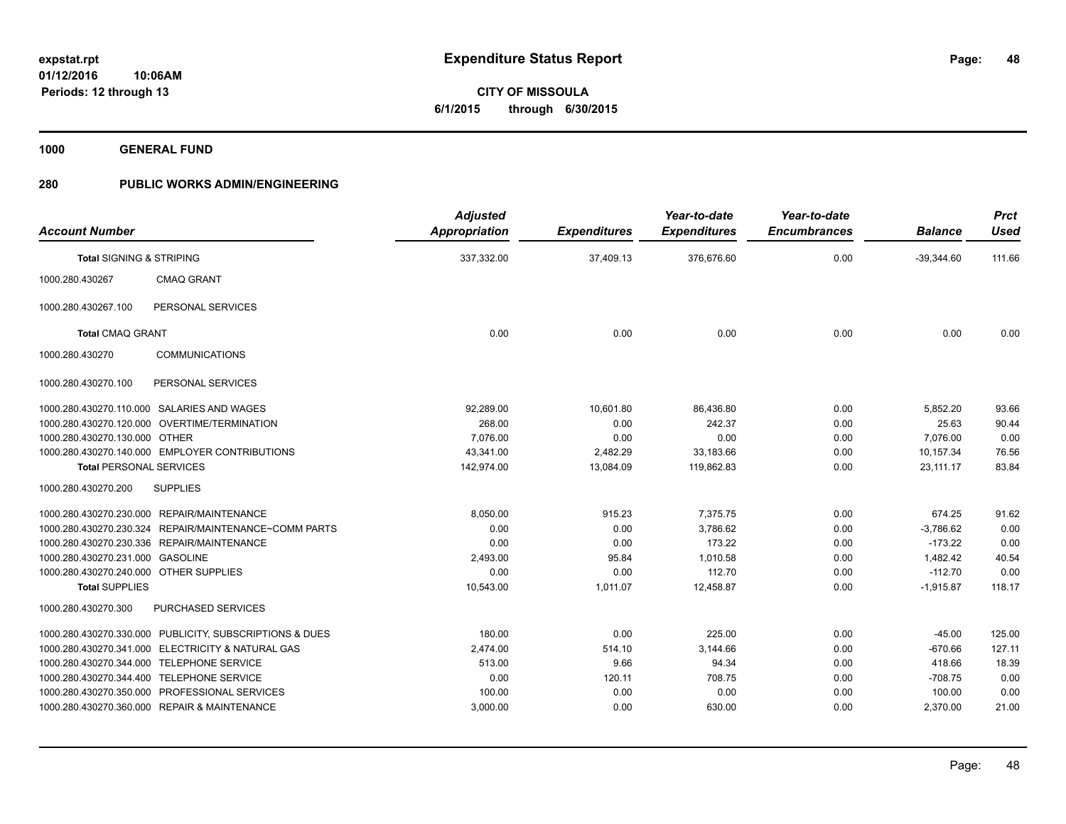**01/12/2016 10:06AM Periods: 12 through 13**

# **CITY OF MISSOULA 6/1/2015 through 6/30/2015**

**1000 GENERAL FUND**

| <b>Account Number</b>                                   | <b>Adjusted</b><br><b>Appropriation</b> | <b>Expenditures</b> | Year-to-date<br><b>Expenditures</b> | Year-to-date<br><b>Encumbrances</b> | <b>Balance</b> | <b>Prct</b><br><b>Used</b> |
|---------------------------------------------------------|-----------------------------------------|---------------------|-------------------------------------|-------------------------------------|----------------|----------------------------|
| <b>Total SIGNING &amp; STRIPING</b>                     | 337,332.00                              | 37,409.13           | 376,676.60                          | 0.00                                | $-39,344.60$   | 111.66                     |
| 1000.280.430267<br><b>CMAQ GRANT</b>                    |                                         |                     |                                     |                                     |                |                            |
| 1000.280.430267.100<br>PERSONAL SERVICES                |                                         |                     |                                     |                                     |                |                            |
| <b>Total CMAQ GRANT</b>                                 | 0.00                                    | 0.00                | 0.00                                | 0.00                                | 0.00           | 0.00                       |
| <b>COMMUNICATIONS</b><br>1000.280.430270                |                                         |                     |                                     |                                     |                |                            |
| 1000.280.430270.100<br>PERSONAL SERVICES                |                                         |                     |                                     |                                     |                |                            |
| 1000.280.430270.110.000 SALARIES AND WAGES              | 92,289.00                               | 10,601.80           | 86,436.80                           | 0.00                                | 5,852.20       | 93.66                      |
| 1000.280.430270.120.000 OVERTIME/TERMINATION            | 268.00                                  | 0.00                | 242.37                              | 0.00                                | 25.63          | 90.44                      |
| 1000.280.430270.130.000 OTHER                           | 7.076.00                                | 0.00                | 0.00                                | 0.00                                | 7,076.00       | 0.00                       |
| 1000.280.430270.140.000 EMPLOYER CONTRIBUTIONS          | 43,341.00                               | 2,482.29            | 33,183.66                           | 0.00                                | 10,157.34      | 76.56                      |
| <b>Total PERSONAL SERVICES</b>                          | 142,974.00                              | 13,084.09           | 119,862.83                          | 0.00                                | 23,111.17      | 83.84                      |
| <b>SUPPLIES</b><br>1000.280.430270.200                  |                                         |                     |                                     |                                     |                |                            |
| 1000.280.430270.230.000 REPAIR/MAINTENANCE              | 8,050.00                                | 915.23              | 7,375.75                            | 0.00                                | 674.25         | 91.62                      |
| 1000.280.430270.230.324 REPAIR/MAINTENANCE~COMM PARTS   | 0.00                                    | 0.00                | 3,786.62                            | 0.00                                | $-3,786.62$    | 0.00                       |
| 1000.280.430270.230.336 REPAIR/MAINTENANCE              | 0.00                                    | 0.00                | 173.22                              | 0.00                                | $-173.22$      | 0.00                       |
| 1000.280.430270.231.000 GASOLINE                        | 2,493.00                                | 95.84               | 1,010.58                            | 0.00                                | 1,482.42       | 40.54                      |
| 1000.280.430270.240.000 OTHER SUPPLIES                  | 0.00                                    | 0.00                | 112.70                              | 0.00                                | $-112.70$      | 0.00                       |
| <b>Total SUPPLIES</b>                                   | 10,543.00                               | 1,011.07            | 12,458.87                           | 0.00                                | $-1,915.87$    | 118.17                     |
| 1000.280.430270.300<br>PURCHASED SERVICES               |                                         |                     |                                     |                                     |                |                            |
| 1000.280.430270.330.000 PUBLICITY, SUBSCRIPTIONS & DUES | 180.00                                  | 0.00                | 225.00                              | 0.00                                | $-45.00$       | 125.00                     |
| 1000.280.430270.341.000 ELECTRICITY & NATURAL GAS       | 2,474.00                                | 514.10              | 3,144.66                            | 0.00                                | $-670.66$      | 127.11                     |
| 1000.280.430270.344.000 TELEPHONE SERVICE               | 513.00                                  | 9.66                | 94.34                               | 0.00                                | 418.66         | 18.39                      |
| 1000.280.430270.344.400 TELEPHONE SERVICE               | 0.00                                    | 120.11              | 708.75                              | 0.00                                | $-708.75$      | 0.00                       |
| 1000.280.430270.350.000 PROFESSIONAL SERVICES           | 100.00                                  | 0.00                | 0.00                                | 0.00                                | 100.00         | 0.00                       |
| 1000.280.430270.360.000 REPAIR & MAINTENANCE            | 3,000.00                                | 0.00                | 630.00                              | 0.00                                | 2,370.00       | 21.00                      |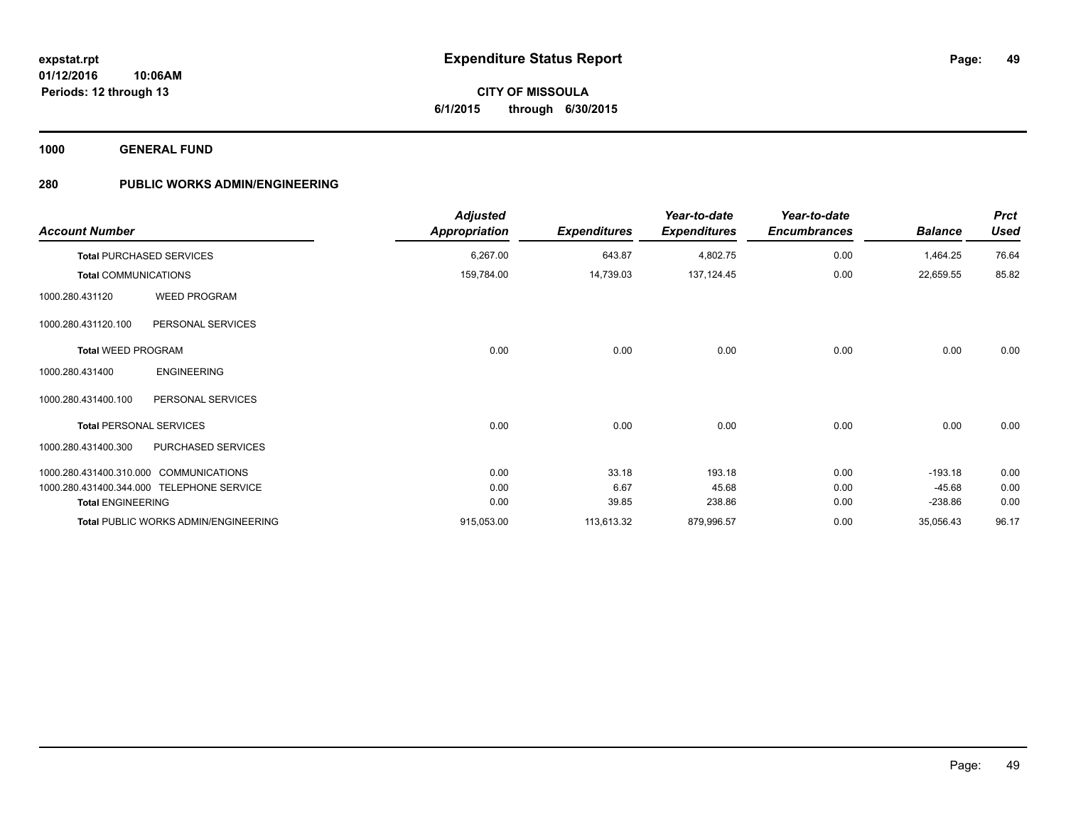**1000 GENERAL FUND**

| <b>Account Number</b>       |                                           | <b>Adjusted</b><br>Appropriation | <b>Expenditures</b> | Year-to-date<br><b>Expenditures</b> | Year-to-date<br><b>Encumbrances</b> | <b>Balance</b> | <b>Prct</b><br><b>Used</b> |
|-----------------------------|-------------------------------------------|----------------------------------|---------------------|-------------------------------------|-------------------------------------|----------------|----------------------------|
|                             | <b>Total PURCHASED SERVICES</b>           | 6,267.00                         | 643.87              | 4,802.75                            | 0.00                                | 1,464.25       | 76.64                      |
| <b>Total COMMUNICATIONS</b> |                                           | 159,784.00                       | 14,739.03           | 137, 124.45                         | 0.00                                | 22,659.55      | 85.82                      |
| 1000.280.431120             | <b>WEED PROGRAM</b>                       |                                  |                     |                                     |                                     |                |                            |
| 1000.280.431120.100         | PERSONAL SERVICES                         |                                  |                     |                                     |                                     |                |                            |
| <b>Total WEED PROGRAM</b>   |                                           | 0.00                             | 0.00                | 0.00                                | 0.00                                | 0.00           | 0.00                       |
| 1000.280.431400             | <b>ENGINEERING</b>                        |                                  |                     |                                     |                                     |                |                            |
| 1000.280.431400.100         | PERSONAL SERVICES                         |                                  |                     |                                     |                                     |                |                            |
|                             | <b>Total PERSONAL SERVICES</b>            | 0.00                             | 0.00                | 0.00                                | 0.00                                | 0.00           | 0.00                       |
| 1000.280.431400.300         | PURCHASED SERVICES                        |                                  |                     |                                     |                                     |                |                            |
|                             | 1000.280.431400.310.000 COMMUNICATIONS    | 0.00                             | 33.18               | 193.18                              | 0.00                                | $-193.18$      | 0.00                       |
|                             | 1000.280.431400.344.000 TELEPHONE SERVICE | 0.00                             | 6.67                | 45.68                               | 0.00                                | $-45.68$       | 0.00                       |
| <b>Total ENGINEERING</b>    |                                           | 0.00                             | 39.85               | 238.86                              | 0.00                                | $-238.86$      | 0.00                       |
|                             | Total PUBLIC WORKS ADMIN/ENGINEERING      | 915,053.00                       | 113,613.32          | 879,996.57                          | 0.00                                | 35,056.43      | 96.17                      |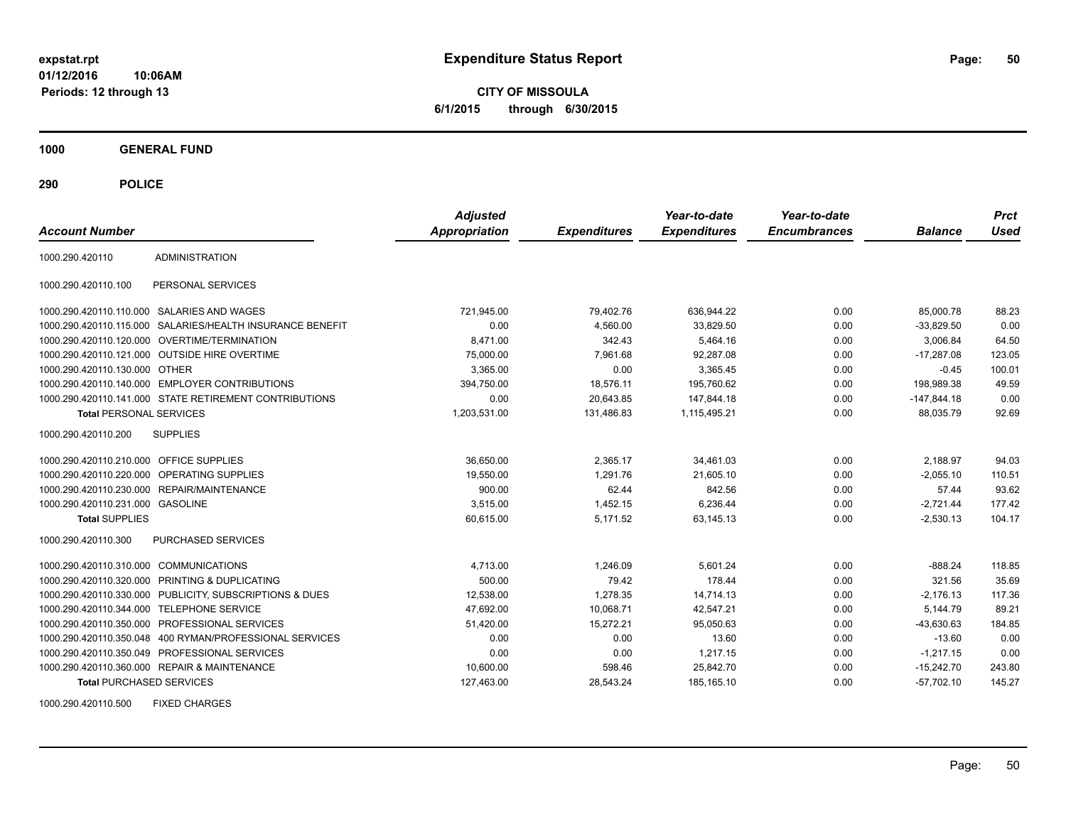**CITY OF MISSOULA 6/1/2015 through 6/30/2015**

**1000 GENERAL FUND**

**290 POLICE**

| <b>Account Number</b>                   |                                                         | <b>Adjusted</b><br>Appropriation | <b>Expenditures</b> | Year-to-date<br><b>Expenditures</b> | Year-to-date<br><b>Encumbrances</b> | <b>Balance</b> | <b>Prct</b><br>Used |
|-----------------------------------------|---------------------------------------------------------|----------------------------------|---------------------|-------------------------------------|-------------------------------------|----------------|---------------------|
| 1000.290.420110                         | <b>ADMINISTRATION</b>                                   |                                  |                     |                                     |                                     |                |                     |
| 1000.290.420110.100                     | PERSONAL SERVICES                                       |                                  |                     |                                     |                                     |                |                     |
|                                         | 1000.290.420110.110.000 SALARIES AND WAGES              | 721,945.00                       | 79,402.76           | 636,944.22                          | 0.00                                | 85,000.78      | 88.23               |
| 1000.290.420110.115.000                 | SALARIES/HEALTH INSURANCE BENEFIT                       | 0.00                             | 4,560.00            | 33,829.50                           | 0.00                                | $-33,829.50$   | 0.00                |
| 1000.290.420110.120.000                 | <b>OVERTIME/TERMINATION</b>                             | 8,471.00                         | 342.43              | 5,464.16                            | 0.00                                | 3,006.84       | 64.50               |
| 1000.290.420110.121.000                 | <b>OUTSIDE HIRE OVERTIME</b>                            | 75,000.00                        | 7.961.68            | 92,287.08                           | 0.00                                | $-17,287.08$   | 123.05              |
| 1000.290.420110.130.000 OTHER           |                                                         | 3,365.00                         | 0.00                | 3,365.45                            | 0.00                                | $-0.45$        | 100.01              |
|                                         | 1000.290.420110.140.000 EMPLOYER CONTRIBUTIONS          | 394,750.00                       | 18,576.11           | 195,760.62                          | 0.00                                | 198,989.38     | 49.59               |
|                                         | 1000.290.420110.141.000 STATE RETIREMENT CONTRIBUTIONS  | 0.00                             | 20,643.85           | 147,844.18                          | 0.00                                | $-147,844.18$  | 0.00                |
| <b>Total PERSONAL SERVICES</b>          |                                                         | 1,203,531.00                     | 131,486.83          | 1,115,495.21                        | 0.00                                | 88.035.79      | 92.69               |
| 1000.290.420110.200                     | <b>SUPPLIES</b>                                         |                                  |                     |                                     |                                     |                |                     |
| 1000.290.420110.210.000 OFFICE SUPPLIES |                                                         | 36,650.00                        | 2.365.17            | 34,461.03                           | 0.00                                | 2,188.97       | 94.03               |
|                                         | 1000.290.420110.220.000 OPERATING SUPPLIES              | 19.550.00                        | 1.291.76            | 21,605.10                           | 0.00                                | $-2,055.10$    | 110.51              |
|                                         | 1000.290.420110.230.000 REPAIR/MAINTENANCE              | 900.00                           | 62.44               | 842.56                              | 0.00                                | 57.44          | 93.62               |
| 1000.290.420110.231.000 GASOLINE        |                                                         | 3,515.00                         | 1,452.15            | 6,236.44                            | 0.00                                | $-2,721.44$    | 177.42              |
| <b>Total SUPPLIES</b>                   |                                                         | 60,615.00                        | 5,171.52            | 63,145.13                           | 0.00                                | $-2,530.13$    | 104.17              |
| 1000.290.420110.300                     | <b>PURCHASED SERVICES</b>                               |                                  |                     |                                     |                                     |                |                     |
| 1000.290.420110.310.000                 | <b>COMMUNICATIONS</b>                                   | 4,713.00                         | 1.246.09            | 5.601.24                            | 0.00                                | $-888.24$      | 118.85              |
|                                         | 1000.290.420110.320.000 PRINTING & DUPLICATING          | 500.00                           | 79.42               | 178.44                              | 0.00                                | 321.56         | 35.69               |
|                                         | 1000.290.420110.330.000 PUBLICITY, SUBSCRIPTIONS & DUES | 12,538.00                        | 1,278.35            | 14,714.13                           | 0.00                                | $-2,176.13$    | 117.36              |
| 1000.290.420110.344.000                 | <b>TELEPHONE SERVICE</b>                                | 47,692.00                        | 10,068.71           | 42,547.21                           | 0.00                                | 5,144.79       | 89.21               |
| 1000.290.420110.350.000                 | PROFESSIONAL SERVICES                                   | 51,420.00                        | 15,272.21           | 95,050.63                           | 0.00                                | $-43,630.63$   | 184.85              |
| 1000.290.420110.350.048                 | 400 RYMAN/PROFESSIONAL SERVICES                         | 0.00                             | 0.00                | 13.60                               | 0.00                                | $-13.60$       | 0.00                |
|                                         | 1000.290.420110.350.049 PROFESSIONAL SERVICES           | 0.00                             | 0.00                | 1,217.15                            | 0.00                                | $-1,217.15$    | 0.00                |
|                                         | 1000.290.420110.360.000 REPAIR & MAINTENANCE            | 10,600.00                        | 598.46              | 25,842.70                           | 0.00                                | $-15,242.70$   | 243.80              |
| <b>Total PURCHASED SERVICES</b>         |                                                         | 127,463.00                       | 28,543.24           | 185,165.10                          | 0.00                                | $-57,702.10$   | 145.27              |

1000.290.420110.500 FIXED CHARGES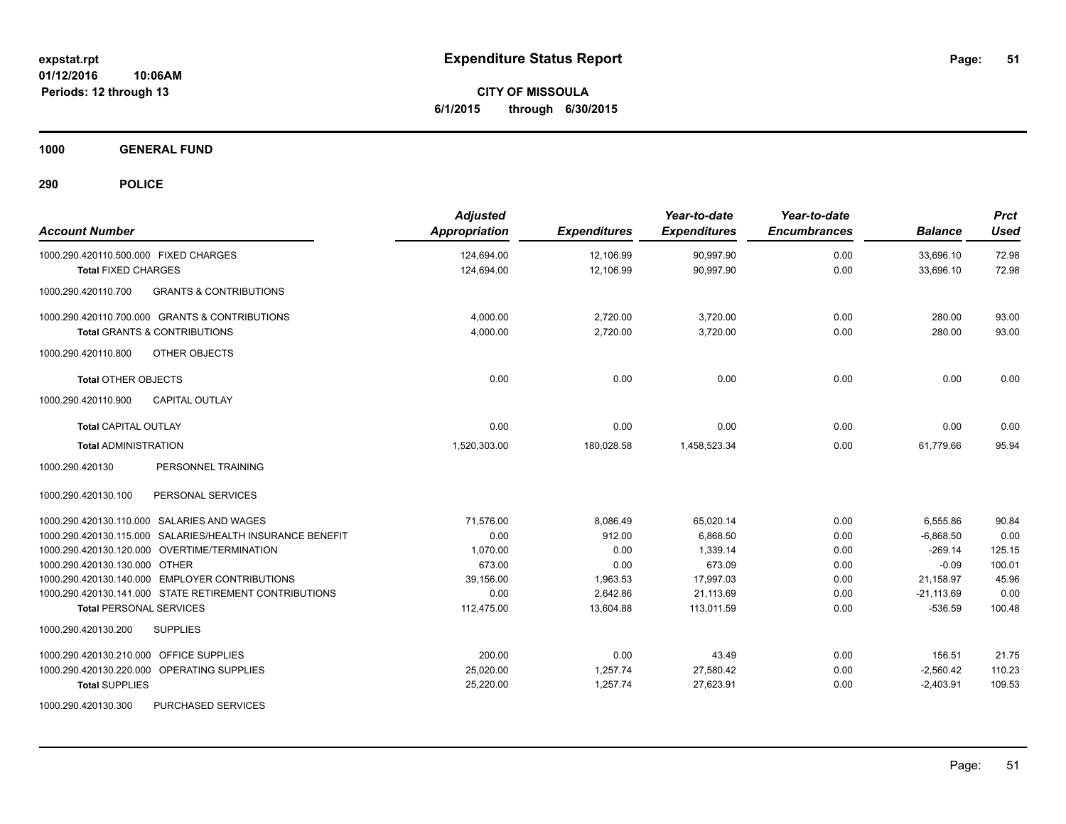**CITY OF MISSOULA 6/1/2015 through 6/30/2015**

**1000 GENERAL FUND**

| <b>Account Number</b>                                     | <b>Adjusted</b><br>Appropriation | <b>Expenditures</b> | Year-to-date<br><b>Expenditures</b> | Year-to-date<br><b>Encumbrances</b> | <b>Balance</b> | <b>Prct</b><br><b>Used</b> |
|-----------------------------------------------------------|----------------------------------|---------------------|-------------------------------------|-------------------------------------|----------------|----------------------------|
| 1000.290.420110.500.000 FIXED CHARGES                     | 124,694.00                       | 12,106.99           | 90,997.90                           | 0.00                                | 33,696.10      | 72.98                      |
| <b>Total FIXED CHARGES</b>                                | 124,694.00                       | 12,106.99           | 90,997.90                           | 0.00                                | 33,696.10      | 72.98                      |
| 1000.290.420110.700<br><b>GRANTS &amp; CONTRIBUTIONS</b>  |                                  |                     |                                     |                                     |                |                            |
| 1000.290.420110.700.000 GRANTS & CONTRIBUTIONS            | 4,000.00                         | 2,720.00            | 3,720.00                            | 0.00                                | 280.00         | 93.00                      |
| <b>Total GRANTS &amp; CONTRIBUTIONS</b>                   | 4.000.00                         | 2.720.00            | 3.720.00                            | 0.00                                | 280.00         | 93.00                      |
| OTHER OBJECTS<br>1000.290.420110.800                      |                                  |                     |                                     |                                     |                |                            |
| <b>Total OTHER OBJECTS</b>                                | 0.00                             | 0.00                | 0.00                                | 0.00                                | 0.00           | 0.00                       |
| 1000.290.420110.900<br><b>CAPITAL OUTLAY</b>              |                                  |                     |                                     |                                     |                |                            |
| <b>Total CAPITAL OUTLAY</b>                               | 0.00                             | 0.00                | 0.00                                | 0.00                                | 0.00           | 0.00                       |
| <b>Total ADMINISTRATION</b>                               | 1,520,303.00                     | 180,028.58          | 1,458,523.34                        | 0.00                                | 61.779.66      | 95.94                      |
| 1000.290.420130<br>PERSONNEL TRAINING                     |                                  |                     |                                     |                                     |                |                            |
| 1000.290.420130.100<br>PERSONAL SERVICES                  |                                  |                     |                                     |                                     |                |                            |
| 1000.290.420130.110.000 SALARIES AND WAGES                | 71.576.00                        | 8,086.49            | 65,020.14                           | 0.00                                | 6,555.86       | 90.84                      |
| 1000.290.420130.115.000 SALARIES/HEALTH INSURANCE BENEFIT | 0.00                             | 912.00              | 6,868.50                            | 0.00                                | $-6,868.50$    | 0.00                       |
| 1000.290.420130.120.000 OVERTIME/TERMINATION              | 1,070.00                         | 0.00                | 1,339.14                            | 0.00                                | $-269.14$      | 125.15                     |
| 1000.290.420130.130.000 OTHER                             | 673.00                           | 0.00                | 673.09                              | 0.00                                | $-0.09$        | 100.01                     |
| 1000.290.420130.140.000 EMPLOYER CONTRIBUTIONS            | 39.156.00                        | 1,963.53            | 17,997.03                           | 0.00                                | 21,158.97      | 45.96                      |
| 1000.290.420130.141.000 STATE RETIREMENT CONTRIBUTIONS    | 0.00                             | 2,642.86            | 21,113.69                           | 0.00                                | $-21,113.69$   | 0.00                       |
| <b>Total PERSONAL SERVICES</b>                            | 112,475.00                       | 13,604.88           | 113,011.59                          | 0.00                                | $-536.59$      | 100.48                     |
| 1000.290.420130.200<br><b>SUPPLIES</b>                    |                                  |                     |                                     |                                     |                |                            |
| OFFICE SUPPLIES<br>1000.290.420130.210.000                | 200.00                           | 0.00                | 43.49                               | 0.00                                | 156.51         | 21.75                      |
| 1000.290.420130.220.000 OPERATING SUPPLIES                | 25,020.00                        | 1,257.74            | 27,580.42                           | 0.00                                | $-2,560.42$    | 110.23                     |
| <b>Total SUPPLIES</b>                                     | 25,220.00                        | 1,257.74            | 27,623.91                           | 0.00                                | $-2,403.91$    | 109.53                     |
| 1000.290.420130.300<br>PURCHASED SERVICES                 |                                  |                     |                                     |                                     |                |                            |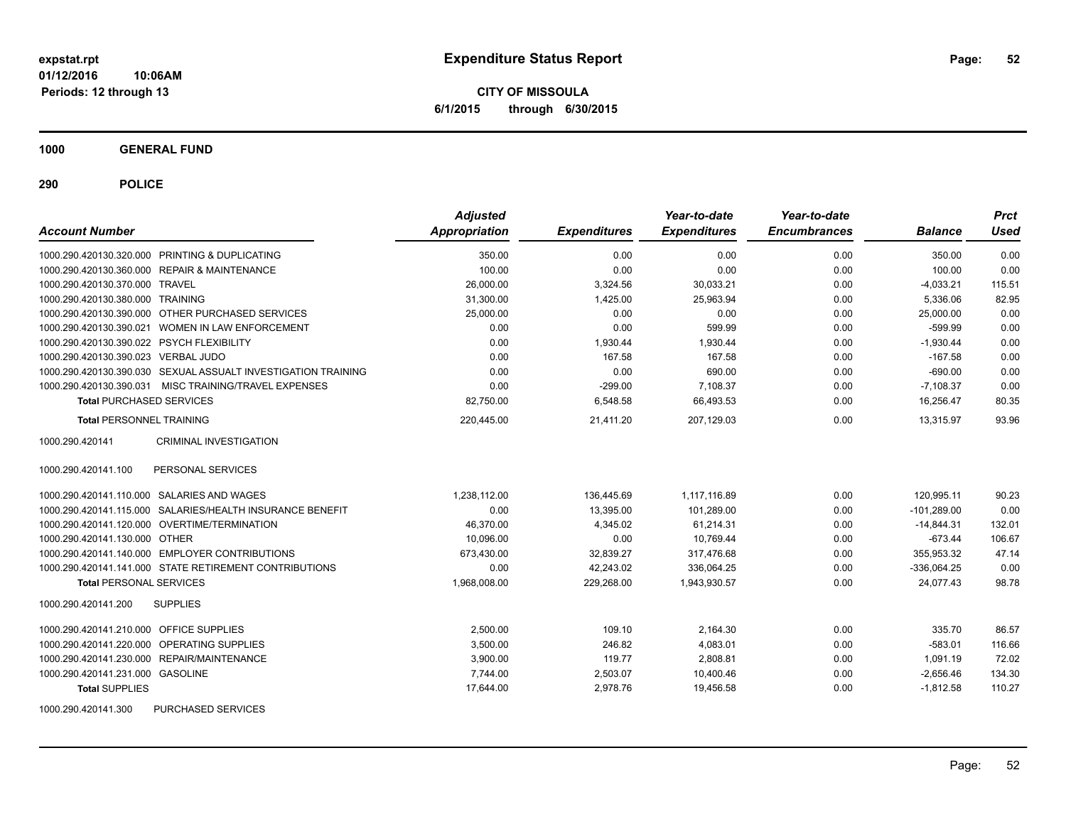**CITY OF MISSOULA 6/1/2015 through 6/30/2015**

**1000 GENERAL FUND**

**290 POLICE**

| <b>Account Number</b>                                         | <b>Adjusted</b><br>Appropriation | <b>Expenditures</b> | Year-to-date<br><b>Expenditures</b> | Year-to-date<br><b>Encumbrances</b> | <b>Balance</b> | <b>Prct</b><br>Used |
|---------------------------------------------------------------|----------------------------------|---------------------|-------------------------------------|-------------------------------------|----------------|---------------------|
| 1000.290.420130.320.000 PRINTING & DUPLICATING                | 350.00                           | 0.00                | 0.00                                | 0.00                                | 350.00         | 0.00                |
| 1000.290.420130.360.000 REPAIR & MAINTENANCE                  | 100.00                           | 0.00                | 0.00                                | 0.00                                | 100.00         | 0.00                |
| 1000.290.420130.370.000 TRAVEL                                | 26,000.00                        | 3,324.56            | 30,033.21                           | 0.00                                | $-4,033.21$    | 115.51              |
| 1000.290.420130.380.000 TRAINING                              | 31,300.00                        | 1,425.00            | 25.963.94                           | 0.00                                | 5.336.06       | 82.95               |
| 1000.290.420130.390.000 OTHER PURCHASED SERVICES              | 25,000.00                        | 0.00                | 0.00                                | 0.00                                | 25,000.00      | 0.00                |
| 1000.290.420130.390.021 WOMEN IN LAW ENFORCEMENT              | 0.00                             | 0.00                | 599.99                              | 0.00                                | $-599.99$      | 0.00                |
| 1000.290.420130.390.022 PSYCH FLEXIBILITY                     | 0.00                             | 1,930.44            | 1,930.44                            | 0.00                                | $-1,930.44$    | 0.00                |
| 1000.290.420130.390.023 VERBAL JUDO                           | 0.00                             | 167.58              | 167.58                              | 0.00                                | $-167.58$      | 0.00                |
| 1000.290.420130.390.030 SEXUAL ASSUALT INVESTIGATION TRAINING | 0.00                             | 0.00                | 690.00                              | 0.00                                | $-690.00$      | 0.00                |
| MISC TRAINING/TRAVEL EXPENSES<br>1000.290.420130.390.031      | 0.00                             | $-299.00$           | 7.108.37                            | 0.00                                | $-7.108.37$    | 0.00                |
| <b>Total PURCHASED SERVICES</b>                               | 82,750.00                        | 6,548.58            | 66,493.53                           | 0.00                                | 16,256.47      | 80.35               |
| <b>Total PERSONNEL TRAINING</b>                               | 220,445.00                       | 21,411.20           | 207,129.03                          | 0.00                                | 13,315.97      | 93.96               |
| 1000.290.420141<br><b>CRIMINAL INVESTIGATION</b>              |                                  |                     |                                     |                                     |                |                     |
| PERSONAL SERVICES<br>1000.290.420141.100                      |                                  |                     |                                     |                                     |                |                     |
| 1000.290.420141.110.000 SALARIES AND WAGES                    | 1,238,112.00                     | 136,445.69          | 1.117.116.89                        | 0.00                                | 120.995.11     | 90.23               |
| 1000.290.420141.115.000 SALARIES/HEALTH INSURANCE BENEFIT     | 0.00                             | 13,395.00           | 101,289.00                          | 0.00                                | $-101,289.00$  | 0.00                |
| 1000.290.420141.120.000 OVERTIME/TERMINATION                  | 46,370.00                        | 4,345.02            | 61,214.31                           | 0.00                                | $-14,844.31$   | 132.01              |
| 1000.290.420141.130.000 OTHER                                 | 10,096.00                        | 0.00                | 10,769.44                           | 0.00                                | $-673.44$      | 106.67              |
| 1000.290.420141.140.000 EMPLOYER CONTRIBUTIONS                | 673,430.00                       | 32,839.27           | 317,476.68                          | 0.00                                | 355,953.32     | 47.14               |
| 1000.290.420141.141.000 STATE RETIREMENT CONTRIBUTIONS        | 0.00                             | 42,243.02           | 336,064.25                          | 0.00                                | $-336,064.25$  | 0.00                |
| <b>Total PERSONAL SERVICES</b>                                | 1,968,008.00                     | 229,268.00          | 1,943,930.57                        | 0.00                                | 24,077.43      | 98.78               |
| 1000.290.420141.200<br><b>SUPPLIES</b>                        |                                  |                     |                                     |                                     |                |                     |
| 1000.290.420141.210.000 OFFICE SUPPLIES                       | 2.500.00                         | 109.10              | 2,164.30                            | 0.00                                | 335.70         | 86.57               |
| 1000.290.420141.220.000 OPERATING SUPPLIES                    | 3,500.00                         | 246.82              | 4,083.01                            | 0.00                                | $-583.01$      | 116.66              |
| 1000.290.420141.230.000 REPAIR/MAINTENANCE                    | 3,900.00                         | 119.77              | 2,808.81                            | 0.00                                | 1,091.19       | 72.02               |
| 1000.290.420141.231.000 GASOLINE                              | 7.744.00                         | 2,503.07            | 10,400.46                           | 0.00                                | $-2,656.46$    | 134.30              |
| <b>Total SUPPLIES</b>                                         | 17,644.00                        | 2,978.76            | 19,456.58                           | 0.00                                | $-1,812.58$    | 110.27              |
| 1000.290.420141.300<br>PURCHASED SERVICES                     |                                  |                     |                                     |                                     |                |                     |

Page: 52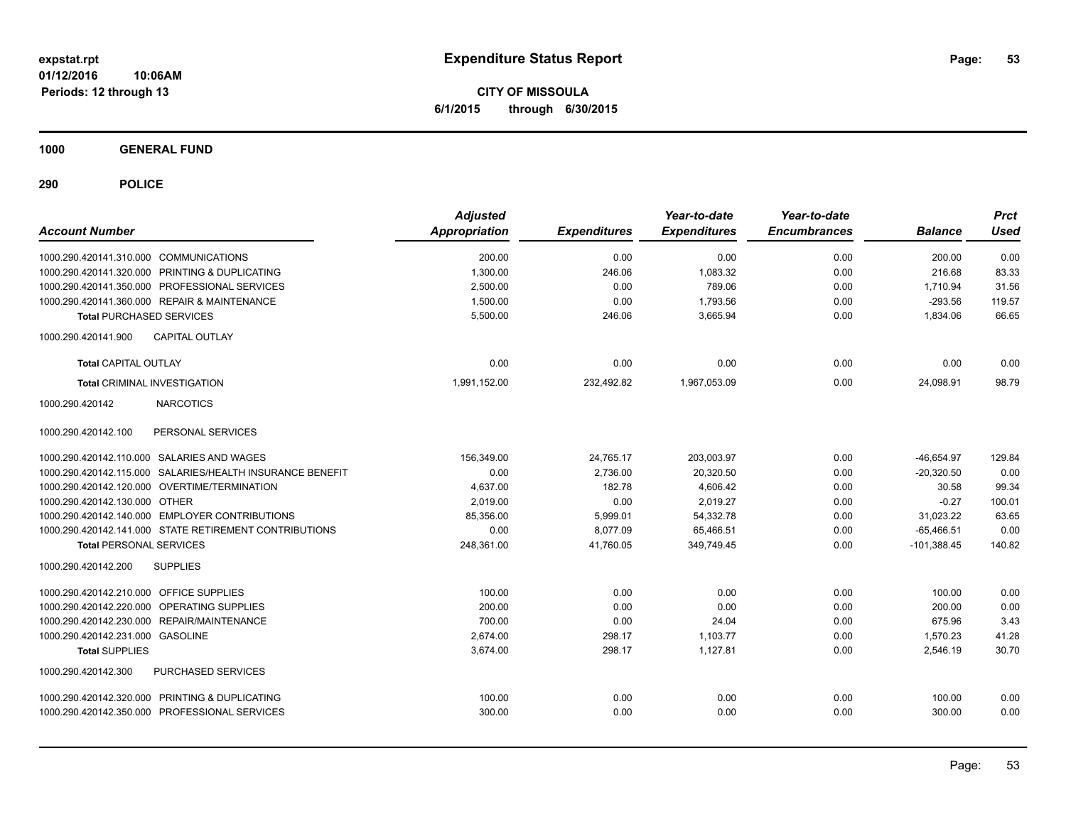**CITY OF MISSOULA 6/1/2015 through 6/30/2015**

**1000 GENERAL FUND**

| <b>Account Number</b>                                     | <b>Adjusted</b><br><b>Appropriation</b> | <b>Expenditures</b> | Year-to-date<br><b>Expenditures</b> | Year-to-date<br><b>Encumbrances</b> | <b>Balance</b> | <b>Prct</b><br><b>Used</b> |
|-----------------------------------------------------------|-----------------------------------------|---------------------|-------------------------------------|-------------------------------------|----------------|----------------------------|
| 1000.290.420141.310.000 COMMUNICATIONS                    | 200.00                                  | 0.00                | 0.00                                | 0.00                                | 200.00         | 0.00                       |
| 1000.290.420141.320.000 PRINTING & DUPLICATING            | 1,300.00                                | 246.06              | 1.083.32                            | 0.00                                | 216.68         | 83.33                      |
| 1000.290.420141.350.000 PROFESSIONAL SERVICES             | 2.500.00                                | 0.00                | 789.06                              | 0.00                                | 1.710.94       | 31.56                      |
| 1000.290.420141.360.000 REPAIR & MAINTENANCE              | 1,500.00                                | 0.00                | 1,793.56                            | 0.00                                | $-293.56$      | 119.57                     |
| <b>Total PURCHASED SERVICES</b>                           | 5,500.00                                | 246.06              | 3,665.94                            | 0.00                                | 1,834.06       | 66.65                      |
| 1000.290.420141.900<br><b>CAPITAL OUTLAY</b>              |                                         |                     |                                     |                                     |                |                            |
| <b>Total CAPITAL OUTLAY</b>                               | 0.00                                    | 0.00                | 0.00                                | 0.00                                | 0.00           | 0.00                       |
| <b>Total CRIMINAL INVESTIGATION</b>                       | 1,991,152.00                            | 232,492.82          | 1,967,053.09                        | 0.00                                | 24,098.91      | 98.79                      |
| <b>NARCOTICS</b><br>1000.290.420142                       |                                         |                     |                                     |                                     |                |                            |
| 1000.290.420142.100<br>PERSONAL SERVICES                  |                                         |                     |                                     |                                     |                |                            |
| 1000.290.420142.110.000 SALARIES AND WAGES                | 156,349.00                              | 24,765.17           | 203,003.97                          | 0.00                                | $-46,654.97$   | 129.84                     |
| 1000.290.420142.115.000 SALARIES/HEALTH INSURANCE BENEFIT | 0.00                                    | 2,736.00            | 20,320.50                           | 0.00                                | $-20,320.50$   | 0.00                       |
| 1000.290.420142.120.000 OVERTIME/TERMINATION              | 4,637.00                                | 182.78              | 4.606.42                            | 0.00                                | 30.58          | 99.34                      |
| 1000.290.420142.130.000 OTHER                             | 2,019.00                                | 0.00                | 2,019.27                            | 0.00                                | $-0.27$        | 100.01                     |
| 1000.290.420142.140.000 EMPLOYER CONTRIBUTIONS            | 85.356.00                               | 5,999.01            | 54,332.78                           | 0.00                                | 31,023.22      | 63.65                      |
| 1000.290.420142.141.000 STATE RETIREMENT CONTRIBUTIONS    | 0.00                                    | 8.077.09            | 65.466.51                           | 0.00                                | $-65.466.51$   | 0.00                       |
| <b>Total PERSONAL SERVICES</b>                            | 248,361.00                              | 41,760.05           | 349,749.45                          | 0.00                                | $-101,388.45$  | 140.82                     |
| 1000.290.420142.200<br><b>SUPPLIES</b>                    |                                         |                     |                                     |                                     |                |                            |
| 1000.290.420142.210.000 OFFICE SUPPLIES                   | 100.00                                  | 0.00                | 0.00                                | 0.00                                | 100.00         | 0.00                       |
| 1000.290.420142.220.000 OPERATING SUPPLIES                | 200.00                                  | 0.00                | 0.00                                | 0.00                                | 200.00         | 0.00                       |
| 1000.290.420142.230.000 REPAIR/MAINTENANCE                | 700.00                                  | 0.00                | 24.04                               | 0.00                                | 675.96         | 3.43                       |
| 1000.290.420142.231.000 GASOLINE                          | 2.674.00                                | 298.17              | 1.103.77                            | 0.00                                | 1,570.23       | 41.28                      |
| <b>Total SUPPLIES</b>                                     | 3,674.00                                | 298.17              | 1,127.81                            | 0.00                                | 2,546.19       | 30.70                      |
| PURCHASED SERVICES<br>1000.290.420142.300                 |                                         |                     |                                     |                                     |                |                            |
| 1000.290.420142.320.000 PRINTING & DUPLICATING            | 100.00                                  | 0.00                | 0.00                                | 0.00                                | 100.00         | 0.00                       |
| 1000.290.420142.350.000 PROFESSIONAL SERVICES             | 300.00                                  | 0.00                | 0.00                                | 0.00                                | 300.00         | 0.00                       |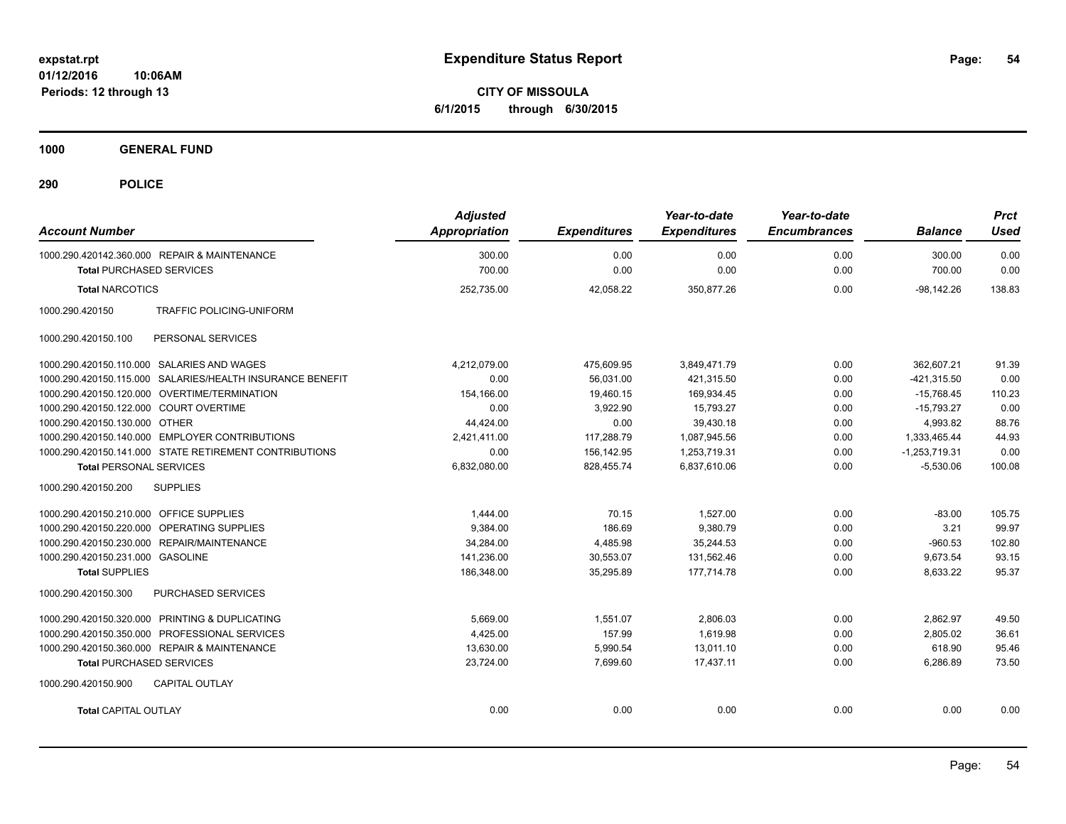**CITY OF MISSOULA 6/1/2015 through 6/30/2015**

**1000 GENERAL FUND**

| <b>Account Number</b>                   |                                                           | <b>Adjusted</b><br><b>Appropriation</b> | <b>Expenditures</b> | Year-to-date<br><b>Expenditures</b> | Year-to-date<br><b>Encumbrances</b> | <b>Balance</b>  | <b>Prct</b><br><b>Used</b> |
|-----------------------------------------|-----------------------------------------------------------|-----------------------------------------|---------------------|-------------------------------------|-------------------------------------|-----------------|----------------------------|
|                                         | 1000.290.420142.360.000 REPAIR & MAINTENANCE              | 300.00                                  | 0.00                | 0.00                                | 0.00                                | 300.00          | 0.00                       |
| <b>Total PURCHASED SERVICES</b>         |                                                           | 700.00                                  | 0.00                | 0.00                                | 0.00                                | 700.00          | 0.00                       |
| <b>Total NARCOTICS</b>                  |                                                           | 252,735.00                              | 42.058.22           | 350,877.26                          | 0.00                                | $-98.142.26$    | 138.83                     |
| 1000.290.420150                         | <b>TRAFFIC POLICING-UNIFORM</b>                           |                                         |                     |                                     |                                     |                 |                            |
| 1000.290.420150.100                     | PERSONAL SERVICES                                         |                                         |                     |                                     |                                     |                 |                            |
|                                         | 1000.290.420150.110.000 SALARIES AND WAGES                | 4,212,079.00                            | 475.609.95          | 3.849.471.79                        | 0.00                                | 362.607.21      | 91.39                      |
|                                         | 1000.290.420150.115.000 SALARIES/HEALTH INSURANCE BENEFIT | 0.00                                    | 56,031.00           | 421,315.50                          | 0.00                                | $-421,315.50$   | 0.00                       |
|                                         | 1000.290.420150.120.000 OVERTIME/TERMINATION              | 154,166.00                              | 19,460.15           | 169,934.45                          | 0.00                                | $-15,768.45$    | 110.23                     |
| 1000.290.420150.122.000 COURT OVERTIME  |                                                           | 0.00                                    | 3,922.90            | 15,793.27                           | 0.00                                | $-15,793.27$    | 0.00                       |
| 1000.290.420150.130.000 OTHER           |                                                           | 44,424.00                               | 0.00                | 39,430.18                           | 0.00                                | 4,993.82        | 88.76                      |
|                                         | 1000.290.420150.140.000 EMPLOYER CONTRIBUTIONS            | 2.421.411.00                            | 117,288.79          | 1.087.945.56                        | 0.00                                | 1,333,465.44    | 44.93                      |
|                                         | 1000.290.420150.141.000 STATE RETIREMENT CONTRIBUTIONS    | 0.00                                    | 156,142.95          | 1,253,719.31                        | 0.00                                | $-1,253,719.31$ | 0.00                       |
| <b>Total PERSONAL SERVICES</b>          |                                                           | 6,832,080.00                            | 828,455.74          | 6,837,610.06                        | 0.00                                | $-5,530.06$     | 100.08                     |
| 1000.290.420150.200                     | <b>SUPPLIES</b>                                           |                                         |                     |                                     |                                     |                 |                            |
| 1000.290.420150.210.000 OFFICE SUPPLIES |                                                           | 1.444.00                                | 70.15               | 1,527.00                            | 0.00                                | $-83.00$        | 105.75                     |
|                                         | 1000.290.420150.220.000 OPERATING SUPPLIES                | 9.384.00                                | 186.69              | 9.380.79                            | 0.00                                | 3.21            | 99.97                      |
|                                         | 1000.290.420150.230.000 REPAIR/MAINTENANCE                | 34,284.00                               | 4,485.98            | 35,244.53                           | 0.00                                | $-960.53$       | 102.80                     |
| 1000.290.420150.231.000 GASOLINE        |                                                           | 141.236.00                              | 30,553.07           | 131.562.46                          | 0.00                                | 9.673.54        | 93.15                      |
| <b>Total SUPPLIES</b>                   |                                                           | 186,348.00                              | 35,295.89           | 177,714.78                          | 0.00                                | 8,633.22        | 95.37                      |
| 1000.290.420150.300                     | PURCHASED SERVICES                                        |                                         |                     |                                     |                                     |                 |                            |
|                                         | 1000.290.420150.320.000 PRINTING & DUPLICATING            | 5,669.00                                | 1,551.07            | 2,806.03                            | 0.00                                | 2,862.97        | 49.50                      |
|                                         | 1000.290.420150.350.000 PROFESSIONAL SERVICES             | 4.425.00                                | 157.99              | 1,619.98                            | 0.00                                | 2,805.02        | 36.61                      |
|                                         | 1000.290.420150.360.000 REPAIR & MAINTENANCE              | 13,630.00                               | 5,990.54            | 13.011.10                           | 0.00                                | 618.90          | 95.46                      |
| <b>Total PURCHASED SERVICES</b>         |                                                           | 23,724.00                               | 7,699.60            | 17,437.11                           | 0.00                                | 6,286.89        | 73.50                      |
| 1000.290.420150.900                     | <b>CAPITAL OUTLAY</b>                                     |                                         |                     |                                     |                                     |                 |                            |
| <b>Total CAPITAL OUTLAY</b>             |                                                           | 0.00                                    | 0.00                | 0.00                                | 0.00                                | 0.00            | 0.00                       |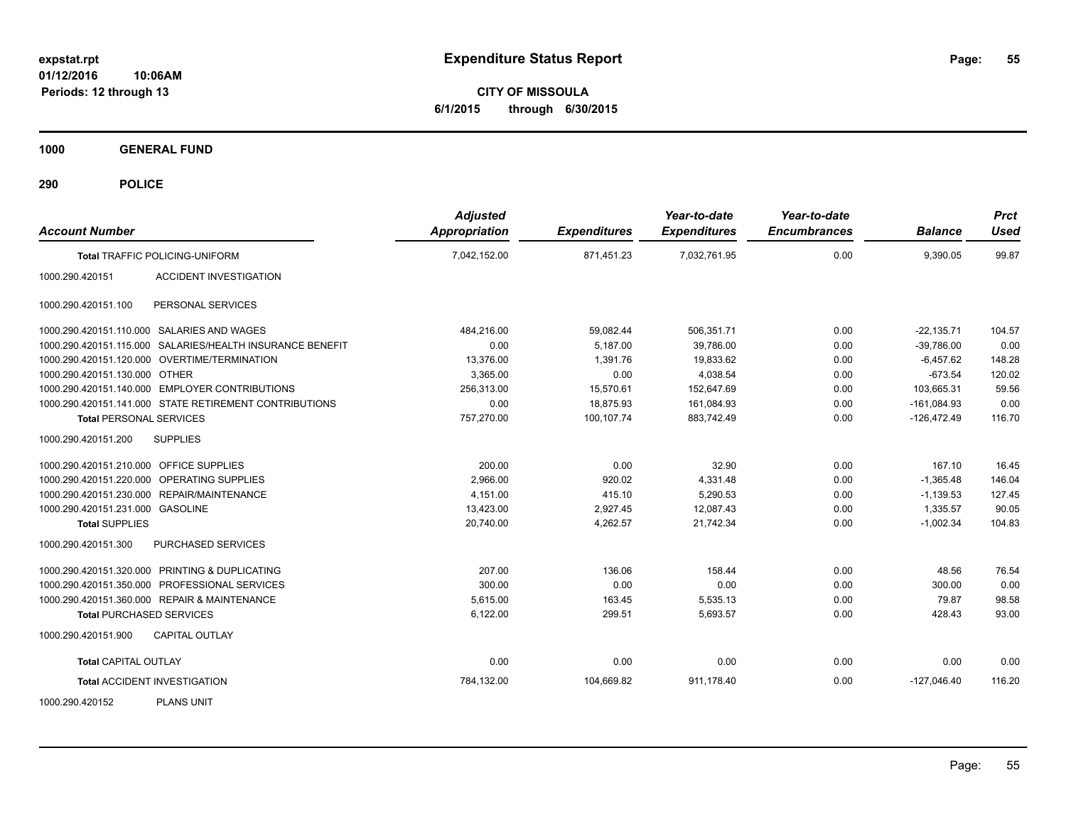**CITY OF MISSOULA 6/1/2015 through 6/30/2015**

**1000 GENERAL FUND**

| <b>Account Number</b>                                     | <b>Adjusted</b><br>Appropriation | <b>Expenditures</b> | Year-to-date<br><b>Expenditures</b> | Year-to-date<br><b>Encumbrances</b> | <b>Balance</b> | <b>Prct</b><br><b>Used</b> |
|-----------------------------------------------------------|----------------------------------|---------------------|-------------------------------------|-------------------------------------|----------------|----------------------------|
| <b>Total TRAFFIC POLICING-UNIFORM</b>                     | 7,042,152.00                     | 871,451.23          | 7,032,761.95                        | 0.00                                | 9,390.05       | 99.87                      |
| 1000.290.420151<br><b>ACCIDENT INVESTIGATION</b>          |                                  |                     |                                     |                                     |                |                            |
| 1000.290.420151.100<br>PERSONAL SERVICES                  |                                  |                     |                                     |                                     |                |                            |
| 1000.290.420151.110.000 SALARIES AND WAGES                | 484.216.00                       | 59,082.44           | 506,351.71                          | 0.00                                | $-22,135.71$   | 104.57                     |
| 1000.290.420151.115.000 SALARIES/HEALTH INSURANCE BENEFIT | 0.00                             | 5,187.00            | 39.786.00                           | 0.00                                | $-39,786.00$   | 0.00                       |
| 1000.290.420151.120.000 OVERTIME/TERMINATION              | 13,376.00                        | 1,391.76            | 19,833.62                           | 0.00                                | $-6,457.62$    | 148.28                     |
| 1000.290.420151.130.000 OTHER                             | 3,365.00                         | 0.00                | 4,038.54                            | 0.00                                | $-673.54$      | 120.02                     |
| 1000.290.420151.140.000 EMPLOYER CONTRIBUTIONS            | 256,313.00                       | 15,570.61           | 152,647.69                          | 0.00                                | 103,665.31     | 59.56                      |
| 1000.290.420151.141.000 STATE RETIREMENT CONTRIBUTIONS    | 0.00                             | 18,875.93           | 161,084.93                          | 0.00                                | $-161,084.93$  | 0.00                       |
| <b>Total PERSONAL SERVICES</b>                            | 757,270.00                       | 100,107.74          | 883,742.49                          | 0.00                                | $-126,472.49$  | 116.70                     |
| 1000.290.420151.200<br><b>SUPPLIES</b>                    |                                  |                     |                                     |                                     |                |                            |
| 1000.290.420151.210.000 OFFICE SUPPLIES                   | 200.00                           | 0.00                | 32.90                               | 0.00                                | 167.10         | 16.45                      |
| 1000.290.420151.220.000 OPERATING SUPPLIES                | 2,966.00                         | 920.02              | 4,331.48                            | 0.00                                | $-1,365.48$    | 146.04                     |
| 1000.290.420151.230.000 REPAIR/MAINTENANCE                | 4,151.00                         | 415.10              | 5,290.53                            | 0.00                                | $-1,139.53$    | 127.45                     |
| 1000.290.420151.231.000 GASOLINE                          | 13,423.00                        | 2,927.45            | 12,087.43                           | 0.00                                | 1,335.57       | 90.05                      |
| <b>Total SUPPLIES</b>                                     | 20,740.00                        | 4,262.57            | 21,742.34                           | 0.00                                | $-1,002.34$    | 104.83                     |
| PURCHASED SERVICES<br>1000.290.420151.300                 |                                  |                     |                                     |                                     |                |                            |
| 1000.290.420151.320.000 PRINTING & DUPLICATING            | 207.00                           | 136.06              | 158.44                              | 0.00                                | 48.56          | 76.54                      |
| 1000.290.420151.350.000 PROFESSIONAL SERVICES             | 300.00                           | 0.00                | 0.00                                | 0.00                                | 300.00         | 0.00                       |
| 1000.290.420151.360.000 REPAIR & MAINTENANCE              | 5.615.00                         | 163.45              | 5,535.13                            | 0.00                                | 79.87          | 98.58                      |
| <b>Total PURCHASED SERVICES</b>                           | 6,122.00                         | 299.51              | 5,693.57                            | 0.00                                | 428.43         | 93.00                      |
| <b>CAPITAL OUTLAY</b><br>1000.290.420151.900              |                                  |                     |                                     |                                     |                |                            |
| <b>Total CAPITAL OUTLAY</b>                               | 0.00                             | 0.00                | 0.00                                | 0.00                                | 0.00           | 0.00                       |
| <b>Total ACCIDENT INVESTIGATION</b>                       | 784,132.00                       | 104,669.82          | 911,178.40                          | 0.00                                | $-127,046.40$  | 116.20                     |
| <b>PLANS UNIT</b><br>1000.290.420152                      |                                  |                     |                                     |                                     |                |                            |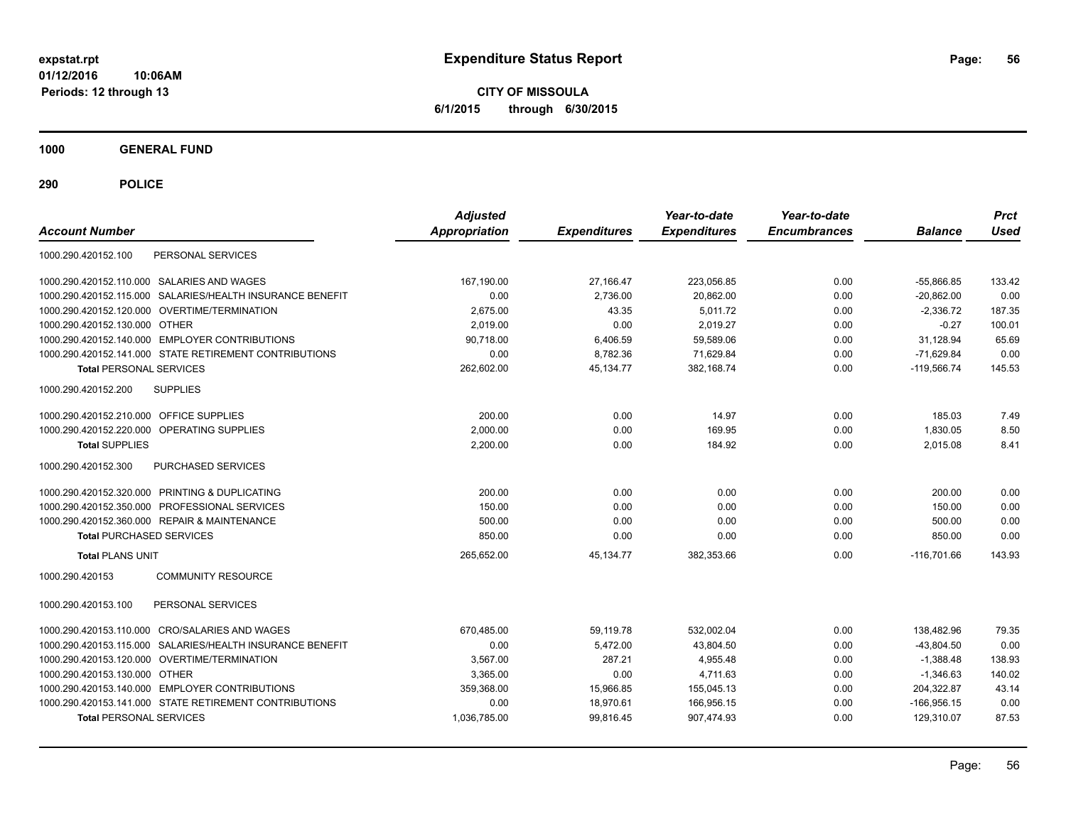**CITY OF MISSOULA 6/1/2015 through 6/30/2015**

**1000 GENERAL FUND**

| <b>Account Number</b>                                        | <b>Adjusted</b><br><b>Appropriation</b> | <b>Expenditures</b> | Year-to-date<br><b>Expenditures</b> | Year-to-date<br><b>Encumbrances</b> | <b>Balance</b> | <b>Prct</b><br><b>Used</b> |
|--------------------------------------------------------------|-----------------------------------------|---------------------|-------------------------------------|-------------------------------------|----------------|----------------------------|
| PERSONAL SERVICES<br>1000.290.420152.100                     |                                         |                     |                                     |                                     |                |                            |
| 1000.290.420152.110.000 SALARIES AND WAGES                   | 167.190.00                              | 27.166.47           | 223,056.85                          | 0.00                                | $-55.866.85$   | 133.42                     |
| SALARIES/HEALTH INSURANCE BENEFIT<br>1000.290.420152.115.000 | 0.00                                    | 2,736.00            | 20,862.00                           | 0.00                                | $-20,862.00$   | 0.00                       |
| 1000.290.420152.120.000 OVERTIME/TERMINATION                 | 2,675.00                                | 43.35               | 5,011.72                            | 0.00                                | $-2,336.72$    | 187.35                     |
| 1000.290.420152.130.000 OTHER                                | 2.019.00                                | 0.00                | 2.019.27                            | 0.00                                | $-0.27$        | 100.01                     |
| 1000.290.420152.140.000 EMPLOYER CONTRIBUTIONS               | 90,718.00                               | 6,406.59            | 59,589.06                           | 0.00                                | 31,128.94      | 65.69                      |
| 1000.290.420152.141.000 STATE RETIREMENT CONTRIBUTIONS       | 0.00                                    | 8,782.36            | 71,629.84                           | 0.00                                | $-71,629.84$   | 0.00                       |
| <b>Total PERSONAL SERVICES</b>                               | 262.602.00                              | 45.134.77           | 382.168.74                          | 0.00                                | $-119.566.74$  | 145.53                     |
| <b>SUPPLIES</b><br>1000.290.420152.200                       |                                         |                     |                                     |                                     |                |                            |
| 1000.290.420152.210.000 OFFICE SUPPLIES                      | 200.00                                  | 0.00                | 14.97                               | 0.00                                | 185.03         | 7.49                       |
| OPERATING SUPPLIES<br>1000.290.420152.220.000                | 2,000.00                                | 0.00                | 169.95                              | 0.00                                | 1,830.05       | 8.50                       |
| <b>Total SUPPLIES</b>                                        | 2,200.00                                | 0.00                | 184.92                              | 0.00                                | 2,015.08       | 8.41                       |
| <b>PURCHASED SERVICES</b><br>1000.290.420152.300             |                                         |                     |                                     |                                     |                |                            |
| 1000.290.420152.320.000 PRINTING & DUPLICATING               | 200.00                                  | 0.00                | 0.00                                | 0.00                                | 200.00         | 0.00                       |
| 1000.290.420152.350.000<br>PROFESSIONAL SERVICES             | 150.00                                  | 0.00                | 0.00                                | 0.00                                | 150.00         | 0.00                       |
| 1000.290.420152.360.000 REPAIR & MAINTENANCE                 | 500.00                                  | 0.00                | 0.00                                | 0.00                                | 500.00         | 0.00                       |
| <b>Total PURCHASED SERVICES</b>                              | 850.00                                  | 0.00                | 0.00                                | 0.00                                | 850.00         | 0.00                       |
| <b>Total PLANS UNIT</b>                                      | 265,652.00                              | 45,134.77           | 382,353.66                          | 0.00                                | $-116.701.66$  | 143.93                     |
| <b>COMMUNITY RESOURCE</b><br>1000.290.420153                 |                                         |                     |                                     |                                     |                |                            |
| PERSONAL SERVICES<br>1000.290.420153.100                     |                                         |                     |                                     |                                     |                |                            |
| <b>CRO/SALARIES AND WAGES</b><br>1000.290.420153.110.000     | 670,485.00                              | 59,119.78           | 532,002.04                          | 0.00                                | 138.482.96     | 79.35                      |
| SALARIES/HEALTH INSURANCE BENEFIT<br>1000.290.420153.115.000 | 0.00                                    | 5,472.00            | 43,804.50                           | 0.00                                | $-43,804.50$   | 0.00                       |
| OVERTIME/TERMINATION<br>1000.290.420153.120.000              | 3,567.00                                | 287.21              | 4,955.48                            | 0.00                                | $-1,388.48$    | 138.93                     |
| 1000.290.420153.130.000<br>OTHER                             | 3,365.00                                | 0.00                | 4.711.63                            | 0.00                                | $-1,346.63$    | 140.02                     |
| 1000.290.420153.140.000 EMPLOYER CONTRIBUTIONS               | 359,368.00                              | 15,966.85           | 155,045.13                          | 0.00                                | 204,322.87     | 43.14                      |
| 1000.290.420153.141.000 STATE RETIREMENT CONTRIBUTIONS       | 0.00                                    | 18,970.61           | 166,956.15                          | 0.00                                | $-166,956.15$  | 0.00                       |
| <b>Total PERSONAL SERVICES</b>                               | 1,036,785.00                            | 99,816.45           | 907,474.93                          | 0.00                                | 129,310.07     | 87.53                      |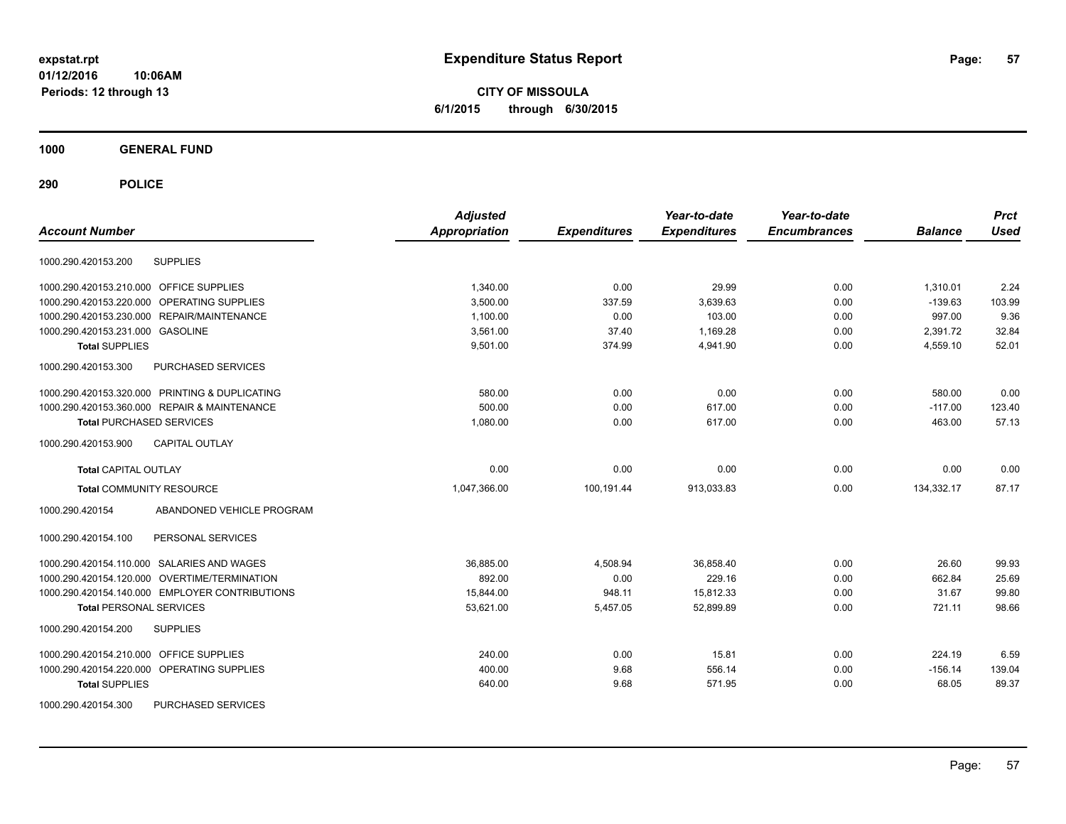**CITY OF MISSOULA 6/1/2015 through 6/30/2015**

### **1000 GENERAL FUND**

|                                                | <b>Adjusted</b>      |                     | Year-to-date        | Year-to-date        |                | <b>Prct</b> |
|------------------------------------------------|----------------------|---------------------|---------------------|---------------------|----------------|-------------|
| <b>Account Number</b>                          | <b>Appropriation</b> | <b>Expenditures</b> | <b>Expenditures</b> | <b>Encumbrances</b> | <b>Balance</b> | <b>Used</b> |
| <b>SUPPLIES</b><br>1000.290.420153.200         |                      |                     |                     |                     |                |             |
| 1000.290.420153.210.000 OFFICE SUPPLIES        | 1,340.00             | 0.00                | 29.99               | 0.00                | 1,310.01       | 2.24        |
| 1000.290.420153.220.000 OPERATING SUPPLIES     | 3,500.00             | 337.59              | 3,639.63            | 0.00                | $-139.63$      | 103.99      |
| 1000.290.420153.230.000 REPAIR/MAINTENANCE     | 1,100.00             | 0.00                | 103.00              | 0.00                | 997.00         | 9.36        |
| 1000.290.420153.231.000 GASOLINE               | 3,561.00             | 37.40               | 1,169.28            | 0.00                | 2,391.72       | 32.84       |
| <b>Total SUPPLIES</b>                          | 9,501.00             | 374.99              | 4,941.90            | 0.00                | 4,559.10       | 52.01       |
| PURCHASED SERVICES<br>1000.290.420153.300      |                      |                     |                     |                     |                |             |
| 1000.290.420153.320.000 PRINTING & DUPLICATING | 580.00               | 0.00                | 0.00                | 0.00                | 580.00         | 0.00        |
| 1000.290.420153.360.000 REPAIR & MAINTENANCE   | 500.00               | 0.00                | 617.00              | 0.00                | $-117.00$      | 123.40      |
| <b>Total PURCHASED SERVICES</b>                | 1,080.00             | 0.00                | 617.00              | 0.00                | 463.00         | 57.13       |
| <b>CAPITAL OUTLAY</b><br>1000.290.420153.900   |                      |                     |                     |                     |                |             |
| <b>Total CAPITAL OUTLAY</b>                    | 0.00                 | 0.00                | 0.00                | 0.00                | 0.00           | 0.00        |
| <b>Total COMMUNITY RESOURCE</b>                | 1.047.366.00         | 100,191.44          | 913,033.83          | 0.00                | 134,332.17     | 87.17       |
| ABANDONED VEHICLE PROGRAM<br>1000.290.420154   |                      |                     |                     |                     |                |             |
| 1000.290.420154.100<br>PERSONAL SERVICES       |                      |                     |                     |                     |                |             |
| 1000.290.420154.110.000 SALARIES AND WAGES     | 36,885.00            | 4,508.94            | 36,858.40           | 0.00                | 26.60          | 99.93       |
| 1000.290.420154.120.000 OVERTIME/TERMINATION   | 892.00               | 0.00                | 229.16              | 0.00                | 662.84         | 25.69       |
| 1000.290.420154.140.000 EMPLOYER CONTRIBUTIONS | 15,844.00            | 948.11              | 15,812.33           | 0.00                | 31.67          | 99.80       |
| <b>Total PERSONAL SERVICES</b>                 | 53,621.00            | 5,457.05            | 52,899.89           | 0.00                | 721.11         | 98.66       |
| <b>SUPPLIES</b><br>1000.290.420154.200         |                      |                     |                     |                     |                |             |
| 1000.290.420154.210.000 OFFICE SUPPLIES        | 240.00               | 0.00                | 15.81               | 0.00                | 224.19         | 6.59        |
| 1000.290.420154.220.000 OPERATING SUPPLIES     | 400.00               | 9.68                | 556.14              | 0.00                | $-156.14$      | 139.04      |
| <b>Total SUPPLIES</b>                          | 640.00               | 9.68                | 571.95              | 0.00                | 68.05          | 89.37       |
| 1000.290.420154.300<br>PURCHASED SERVICES      |                      |                     |                     |                     |                |             |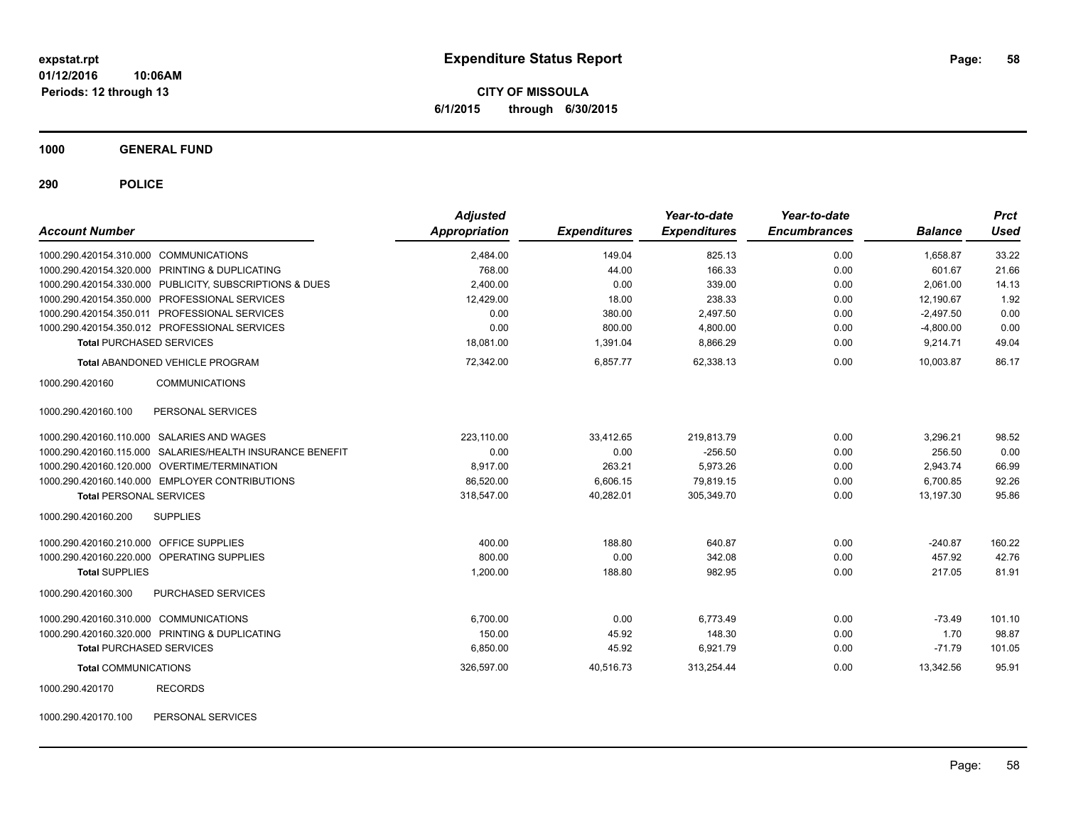**CITY OF MISSOULA 6/1/2015 through 6/30/2015**

**1000 GENERAL FUND**

**290 POLICE**

| <b>Account Number</b>                                     | <b>Adjusted</b><br>Appropriation | <b>Expenditures</b> | Year-to-date<br><b>Expenditures</b> | Year-to-date<br><b>Encumbrances</b> | <b>Balance</b> | <b>Prct</b><br><b>Used</b> |
|-----------------------------------------------------------|----------------------------------|---------------------|-------------------------------------|-------------------------------------|----------------|----------------------------|
| 1000.290.420154.310.000 COMMUNICATIONS                    | 2,484.00                         | 149.04              | 825.13                              | 0.00                                | 1.658.87       | 33.22                      |
| 1000.290.420154.320.000 PRINTING & DUPLICATING            | 768.00                           | 44.00               | 166.33                              | 0.00                                | 601.67         | 21.66                      |
| 1000.290.420154.330.000 PUBLICITY, SUBSCRIPTIONS & DUES   | 2.400.00                         | 0.00                | 339.00                              | 0.00                                | 2.061.00       | 14.13                      |
| 1000.290.420154.350.000 PROFESSIONAL SERVICES             | 12,429.00                        | 18.00               | 238.33                              | 0.00                                | 12,190.67      | 1.92                       |
| 1000.290.420154.350.011 PROFESSIONAL SERVICES             | 0.00                             | 380.00              | 2,497.50                            | 0.00                                | $-2,497.50$    | 0.00                       |
| 1000.290.420154.350.012 PROFESSIONAL SERVICES             | 0.00                             | 800.00              | 4,800.00                            | 0.00                                | $-4,800.00$    | 0.00                       |
| <b>Total PURCHASED SERVICES</b>                           | 18,081.00                        | 1,391.04            | 8,866.29                            | 0.00                                | 9,214.71       | 49.04                      |
| <b>Total ABANDONED VEHICLE PROGRAM</b>                    | 72.342.00                        | 6.857.77            | 62.338.13                           | 0.00                                | 10.003.87      | 86.17                      |
| <b>COMMUNICATIONS</b><br>1000.290.420160                  |                                  |                     |                                     |                                     |                |                            |
| 1000.290.420160.100<br>PERSONAL SERVICES                  |                                  |                     |                                     |                                     |                |                            |
| 1000.290.420160.110.000 SALARIES AND WAGES                | 223.110.00                       | 33.412.65           | 219.813.79                          | 0.00                                | 3,296.21       | 98.52                      |
| 1000.290.420160.115.000 SALARIES/HEALTH INSURANCE BENEFIT | 0.00                             | 0.00                | $-256.50$                           | 0.00                                | 256.50         | 0.00                       |
| 1000.290.420160.120.000 OVERTIME/TERMINATION              | 8,917.00                         | 263.21              | 5,973.26                            | 0.00                                | 2,943.74       | 66.99                      |
| 1000.290.420160.140.000 EMPLOYER CONTRIBUTIONS            | 86,520.00                        | 6,606.15            | 79,819.15                           | 0.00                                | 6,700.85       | 92.26                      |
| <b>Total PERSONAL SERVICES</b>                            | 318,547.00                       | 40,282.01           | 305,349.70                          | 0.00                                | 13,197.30      | 95.86                      |
| <b>SUPPLIES</b><br>1000.290.420160.200                    |                                  |                     |                                     |                                     |                |                            |
| 1000.290.420160.210.000 OFFICE SUPPLIES                   | 400.00                           | 188.80              | 640.87                              | 0.00                                | $-240.87$      | 160.22                     |
| 1000.290.420160.220.000 OPERATING SUPPLIES                | 800.00                           | 0.00                | 342.08                              | 0.00                                | 457.92         | 42.76                      |
| <b>Total SUPPLIES</b>                                     | 1,200.00                         | 188.80              | 982.95                              | 0.00                                | 217.05         | 81.91                      |
| 1000.290.420160.300<br><b>PURCHASED SERVICES</b>          |                                  |                     |                                     |                                     |                |                            |
| 1000.290.420160.310.000 COMMUNICATIONS                    | 6,700.00                         | 0.00                | 6,773.49                            | 0.00                                | $-73.49$       | 101.10                     |
| 1000.290.420160.320.000 PRINTING & DUPLICATING            | 150.00                           | 45.92               | 148.30                              | 0.00                                | 1.70           | 98.87                      |
| <b>Total PURCHASED SERVICES</b>                           | 6,850.00                         | 45.92               | 6,921.79                            | 0.00                                | $-71.79$       | 101.05                     |
| <b>Total COMMUNICATIONS</b>                               | 326,597.00                       | 40,516.73           | 313,254.44                          | 0.00                                | 13,342.56      | 95.91                      |
| 1000.290.420170<br><b>RECORDS</b>                         |                                  |                     |                                     |                                     |                |                            |
|                                                           |                                  |                     |                                     |                                     |                |                            |

1000.290.420170.100 PERSONAL SERVICES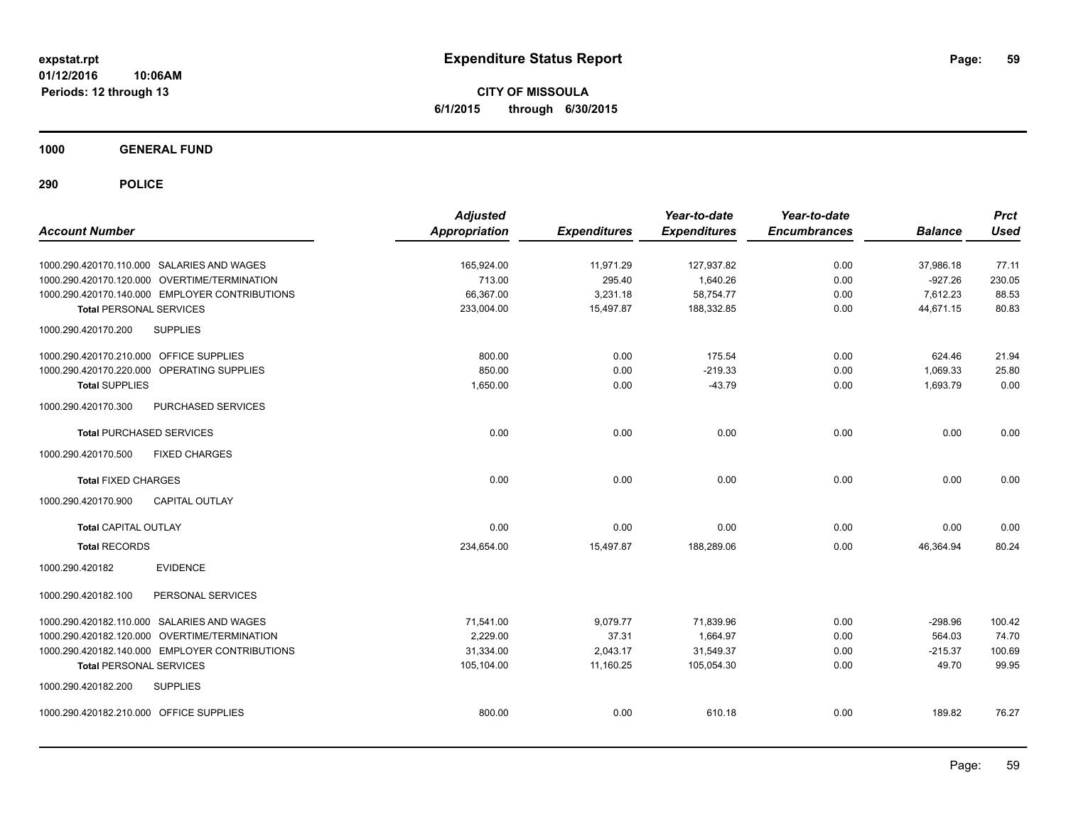**CITY OF MISSOULA 6/1/2015 through 6/30/2015**

**1000 GENERAL FUND**

| <b>Account Number</b>                          | <b>Adjusted</b><br><b>Appropriation</b> | <b>Expenditures</b> | Year-to-date<br><b>Expenditures</b> | Year-to-date<br><b>Encumbrances</b> | <b>Balance</b> | <b>Prct</b><br><b>Used</b> |
|------------------------------------------------|-----------------------------------------|---------------------|-------------------------------------|-------------------------------------|----------------|----------------------------|
| 1000.290.420170.110.000 SALARIES AND WAGES     | 165,924.00                              | 11,971.29           | 127,937.82                          | 0.00                                | 37,986.18      | 77.11                      |
| 1000.290.420170.120.000 OVERTIME/TERMINATION   | 713.00                                  | 295.40              | 1,640.26                            | 0.00                                | $-927.26$      | 230.05                     |
| 1000.290.420170.140.000 EMPLOYER CONTRIBUTIONS | 66,367.00                               | 3,231.18            | 58,754.77                           | 0.00                                | 7,612.23       | 88.53                      |
| <b>Total PERSONAL SERVICES</b>                 | 233,004.00                              | 15,497.87           | 188,332.85                          | 0.00                                | 44,671.15      | 80.83                      |
| 1000.290.420170.200<br><b>SUPPLIES</b>         |                                         |                     |                                     |                                     |                |                            |
| 1000.290.420170.210.000 OFFICE SUPPLIES        | 800.00                                  | 0.00                | 175.54                              | 0.00                                | 624.46         | 21.94                      |
| 1000.290.420170.220.000 OPERATING SUPPLIES     | 850.00                                  | 0.00                | $-219.33$                           | 0.00                                | 1.069.33       | 25.80                      |
| <b>Total SUPPLIES</b>                          | 1,650.00                                | 0.00                | $-43.79$                            | 0.00                                | 1,693.79       | 0.00                       |
| PURCHASED SERVICES<br>1000.290.420170.300      |                                         |                     |                                     |                                     |                |                            |
| <b>Total PURCHASED SERVICES</b>                | 0.00                                    | 0.00                | 0.00                                | 0.00                                | 0.00           | 0.00                       |
| 1000.290.420170.500<br><b>FIXED CHARGES</b>    |                                         |                     |                                     |                                     |                |                            |
| <b>Total FIXED CHARGES</b>                     | 0.00                                    | 0.00                | 0.00                                | 0.00                                | 0.00           | 0.00                       |
| 1000.290.420170.900<br>CAPITAL OUTLAY          |                                         |                     |                                     |                                     |                |                            |
| <b>Total CAPITAL OUTLAY</b>                    | 0.00                                    | 0.00                | 0.00                                | 0.00                                | 0.00           | 0.00                       |
| <b>Total RECORDS</b>                           | 234,654.00                              | 15,497.87           | 188,289.06                          | 0.00                                | 46,364.94      | 80.24                      |
| 1000.290.420182<br><b>EVIDENCE</b>             |                                         |                     |                                     |                                     |                |                            |
| PERSONAL SERVICES<br>1000.290.420182.100       |                                         |                     |                                     |                                     |                |                            |
| 1000.290.420182.110.000 SALARIES AND WAGES     | 71,541.00                               | 9,079.77            | 71,839.96                           | 0.00                                | $-298.96$      | 100.42                     |
| 1000.290.420182.120.000 OVERTIME/TERMINATION   | 2,229.00                                | 37.31               | 1,664.97                            | 0.00                                | 564.03         | 74.70                      |
| 1000.290.420182.140.000 EMPLOYER CONTRIBUTIONS | 31,334.00                               | 2,043.17            | 31,549.37                           | 0.00                                | $-215.37$      | 100.69                     |
| <b>Total PERSONAL SERVICES</b>                 | 105,104.00                              | 11,160.25           | 105,054.30                          | 0.00                                | 49.70          | 99.95                      |
| <b>SUPPLIES</b><br>1000.290.420182.200         |                                         |                     |                                     |                                     |                |                            |
| 1000.290.420182.210.000 OFFICE SUPPLIES        | 800.00                                  | 0.00                | 610.18                              | 0.00                                | 189.82         | 76.27                      |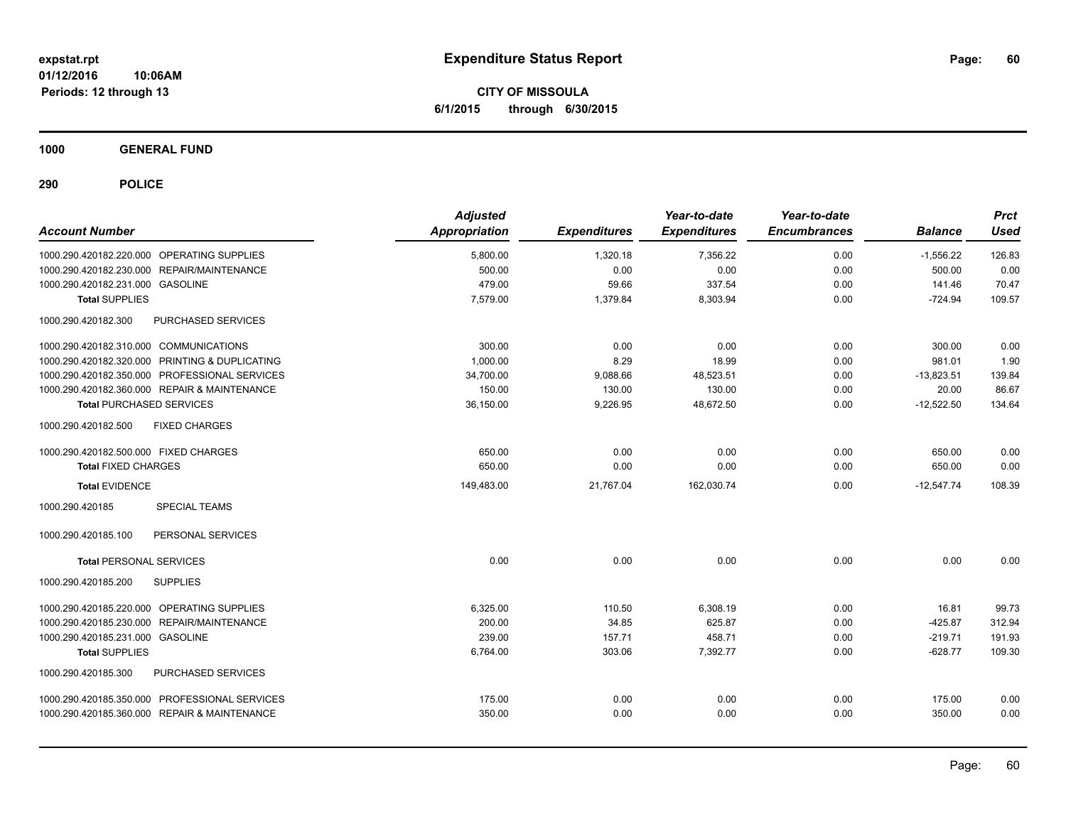**CITY OF MISSOULA 6/1/2015 through 6/30/2015**

**1000 GENERAL FUND**

| <b>Account Number</b>                          | <b>Adjusted</b><br><b>Appropriation</b> | <b>Expenditures</b> | Year-to-date<br><b>Expenditures</b> | Year-to-date<br><b>Encumbrances</b> | <b>Balance</b> | <b>Prct</b><br><b>Used</b> |
|------------------------------------------------|-----------------------------------------|---------------------|-------------------------------------|-------------------------------------|----------------|----------------------------|
| 1000.290.420182.220.000 OPERATING SUPPLIES     | 5,800.00                                | 1.320.18            | 7.356.22                            | 0.00                                | $-1.556.22$    | 126.83                     |
| 1000.290.420182.230.000 REPAIR/MAINTENANCE     | 500.00                                  | 0.00                | 0.00                                | 0.00                                | 500.00         | 0.00                       |
| 1000.290.420182.231.000 GASOLINE               | 479.00                                  | 59.66               | 337.54                              | 0.00                                | 141.46         | 70.47                      |
| <b>Total SUPPLIES</b>                          | 7,579.00                                | 1.379.84            | 8,303.94                            | 0.00                                | $-724.94$      | 109.57                     |
| 1000.290.420182.300<br>PURCHASED SERVICES      |                                         |                     |                                     |                                     |                |                            |
| 1000.290.420182.310.000 COMMUNICATIONS         | 300.00                                  | 0.00                | 0.00                                | 0.00                                | 300.00         | 0.00                       |
| 1000.290.420182.320.000 PRINTING & DUPLICATING | 1,000.00                                | 8.29                | 18.99                               | 0.00                                | 981.01         | 1.90                       |
| 1000.290.420182.350.000 PROFESSIONAL SERVICES  | 34,700.00                               | 9,088.66            | 48,523.51                           | 0.00                                | $-13,823.51$   | 139.84                     |
| 1000.290.420182.360.000 REPAIR & MAINTENANCE   | 150.00                                  | 130.00              | 130.00                              | 0.00                                | 20.00          | 86.67                      |
| <b>Total PURCHASED SERVICES</b>                | 36,150.00                               | 9,226.95            | 48,672.50                           | 0.00                                | $-12,522.50$   | 134.64                     |
| 1000.290.420182.500<br><b>FIXED CHARGES</b>    |                                         |                     |                                     |                                     |                |                            |
| 1000.290.420182.500.000 FIXED CHARGES          | 650.00                                  | 0.00                | 0.00                                | 0.00                                | 650.00         | 0.00                       |
| <b>Total FIXED CHARGES</b>                     | 650.00                                  | 0.00                | 0.00                                | 0.00                                | 650.00         | 0.00                       |
| <b>Total EVIDENCE</b>                          | 149,483.00                              | 21,767.04           | 162,030.74                          | 0.00                                | $-12,547.74$   | 108.39                     |
| 1000.290.420185<br><b>SPECIAL TEAMS</b>        |                                         |                     |                                     |                                     |                |                            |
| 1000.290.420185.100<br>PERSONAL SERVICES       |                                         |                     |                                     |                                     |                |                            |
| <b>Total PERSONAL SERVICES</b>                 | 0.00                                    | 0.00                | 0.00                                | 0.00                                | 0.00           | 0.00                       |
| <b>SUPPLIES</b><br>1000.290.420185.200         |                                         |                     |                                     |                                     |                |                            |
| 1000.290.420185.220.000 OPERATING SUPPLIES     | 6,325.00                                | 110.50              | 6,308.19                            | 0.00                                | 16.81          | 99.73                      |
| 1000.290.420185.230.000 REPAIR/MAINTENANCE     | 200.00                                  | 34.85               | 625.87                              | 0.00                                | $-425.87$      | 312.94                     |
| 1000.290.420185.231.000 GASOLINE               | 239.00                                  | 157.71              | 458.71                              | 0.00                                | $-219.71$      | 191.93                     |
| <b>Total SUPPLIES</b>                          | 6,764.00                                | 303.06              | 7,392.77                            | 0.00                                | $-628.77$      | 109.30                     |
| 1000.290.420185.300<br>PURCHASED SERVICES      |                                         |                     |                                     |                                     |                |                            |
| 1000.290.420185.350.000 PROFESSIONAL SERVICES  | 175.00                                  | 0.00                | 0.00                                | 0.00                                | 175.00         | 0.00                       |
| 1000.290.420185.360.000 REPAIR & MAINTENANCE   | 350.00                                  | 0.00                | 0.00                                | 0.00                                | 350.00         | 0.00                       |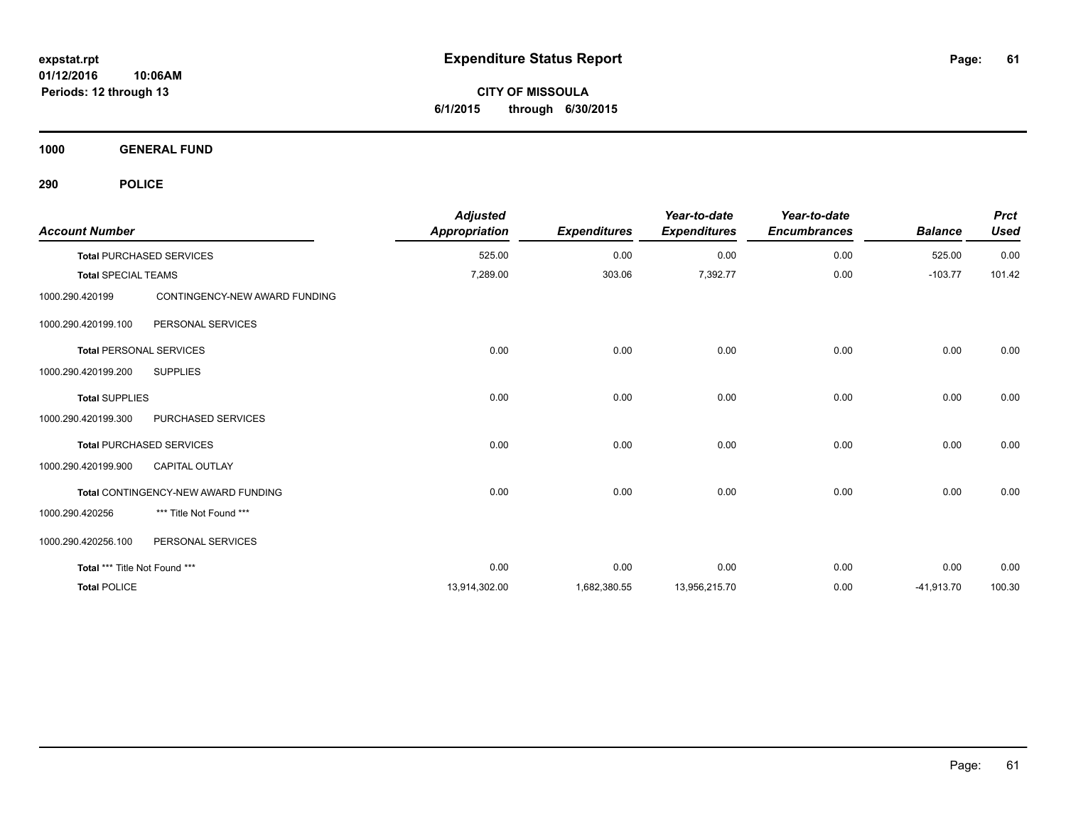**CITY OF MISSOULA 6/1/2015 through 6/30/2015**

**1000 GENERAL FUND**

| <b>Account Number</b>          |                                     | <b>Adjusted</b><br><b>Appropriation</b> | <b>Expenditures</b> | Year-to-date<br><b>Expenditures</b> | Year-to-date<br><b>Encumbrances</b> | <b>Balance</b> | <b>Prct</b><br><b>Used</b> |
|--------------------------------|-------------------------------------|-----------------------------------------|---------------------|-------------------------------------|-------------------------------------|----------------|----------------------------|
|                                | <b>Total PURCHASED SERVICES</b>     | 525.00                                  | 0.00                | 0.00                                | 0.00                                | 525.00         | 0.00                       |
| <b>Total SPECIAL TEAMS</b>     |                                     | 7,289.00                                | 303.06              | 7,392.77                            | 0.00                                | $-103.77$      | 101.42                     |
| 1000.290.420199                | CONTINGENCY-NEW AWARD FUNDING       |                                         |                     |                                     |                                     |                |                            |
| 1000.290.420199.100            | PERSONAL SERVICES                   |                                         |                     |                                     |                                     |                |                            |
| <b>Total PERSONAL SERVICES</b> |                                     | 0.00                                    | 0.00                | 0.00                                | 0.00                                | 0.00           | 0.00                       |
| 1000.290.420199.200            | <b>SUPPLIES</b>                     |                                         |                     |                                     |                                     |                |                            |
| <b>Total SUPPLIES</b>          |                                     | 0.00                                    | 0.00                | 0.00                                | 0.00                                | 0.00           | 0.00                       |
| 1000.290.420199.300            | PURCHASED SERVICES                  |                                         |                     |                                     |                                     |                |                            |
|                                | <b>Total PURCHASED SERVICES</b>     | 0.00                                    | 0.00                | 0.00                                | 0.00                                | 0.00           | 0.00                       |
| 1000.290.420199.900            | CAPITAL OUTLAY                      |                                         |                     |                                     |                                     |                |                            |
|                                | Total CONTINGENCY-NEW AWARD FUNDING | 0.00                                    | 0.00                | 0.00                                | 0.00                                | 0.00           | 0.00                       |
| 1000.290.420256                | *** Title Not Found ***             |                                         |                     |                                     |                                     |                |                            |
| 1000.290.420256.100            | PERSONAL SERVICES                   |                                         |                     |                                     |                                     |                |                            |
| Total *** Title Not Found ***  |                                     | 0.00                                    | 0.00                | 0.00                                | 0.00                                | 0.00           | 0.00                       |
| <b>Total POLICE</b>            |                                     | 13,914,302.00                           | 1,682,380.55        | 13,956,215.70                       | 0.00                                | $-41,913.70$   | 100.30                     |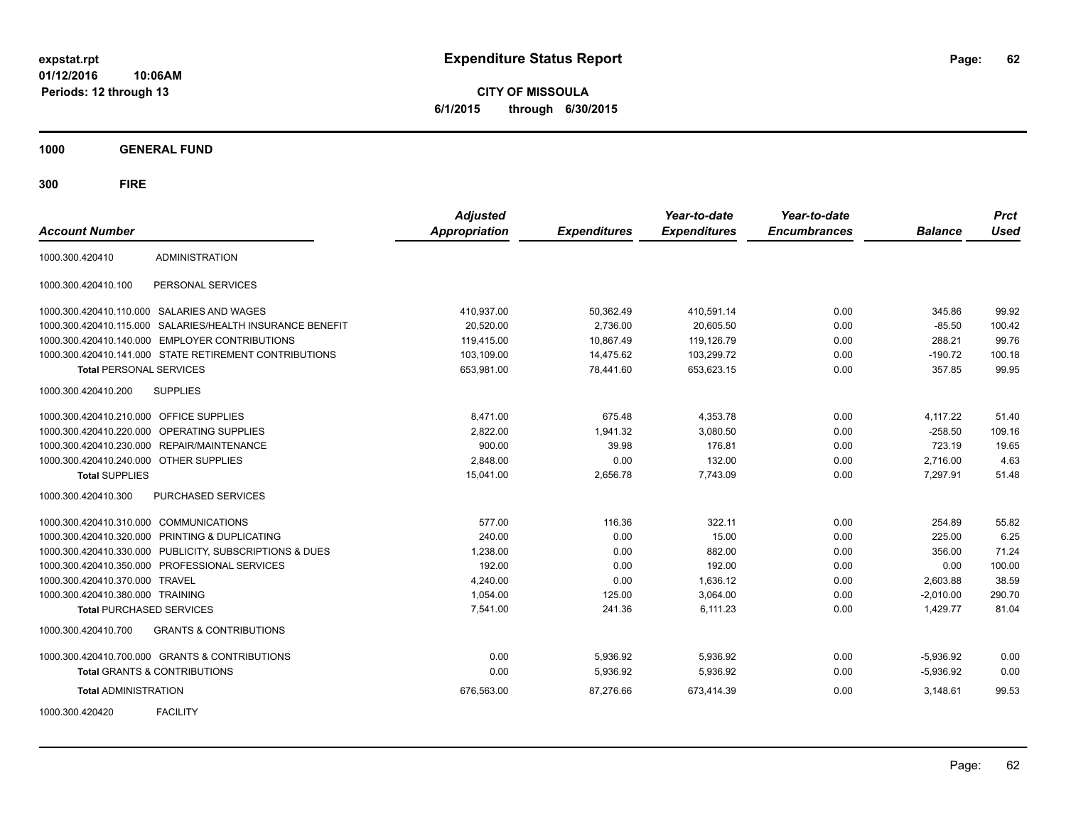**CITY OF MISSOULA 6/1/2015 through 6/30/2015**

**1000 GENERAL FUND**

| <b>Account Number</b>                   |                                                         | <b>Adjusted</b><br>Appropriation | <b>Expenditures</b> | Year-to-date<br><b>Expenditures</b> | Year-to-date<br><b>Encumbrances</b> | <b>Balance</b> | <b>Prct</b><br><b>Used</b> |
|-----------------------------------------|---------------------------------------------------------|----------------------------------|---------------------|-------------------------------------|-------------------------------------|----------------|----------------------------|
| 1000.300.420410                         | <b>ADMINISTRATION</b>                                   |                                  |                     |                                     |                                     |                |                            |
| 1000.300.420410.100                     | PERSONAL SERVICES                                       |                                  |                     |                                     |                                     |                |                            |
|                                         | 1000.300.420410.110.000 SALARIES AND WAGES              | 410,937.00                       | 50,362.49           | 410,591.14                          | 0.00                                | 345.86         | 99.92                      |
| 1000.300.420410.115.000                 | SALARIES/HEALTH INSURANCE BENEFIT                       | 20.520.00                        | 2,736.00            | 20.605.50                           | 0.00                                | $-85.50$       | 100.42                     |
| 1000.300.420410.140.000                 | <b>EMPLOYER CONTRIBUTIONS</b>                           | 119,415.00                       | 10,867.49           | 119,126.79                          | 0.00                                | 288.21         | 99.76                      |
|                                         | 1000.300.420410.141.000 STATE RETIREMENT CONTRIBUTIONS  | 103,109.00                       | 14,475.62           | 103,299.72                          | 0.00                                | $-190.72$      | 100.18                     |
| <b>Total PERSONAL SERVICES</b>          |                                                         | 653,981.00                       | 78,441.60           | 653,623.15                          | 0.00                                | 357.85         | 99.95                      |
| 1000.300.420410.200                     | <b>SUPPLIES</b>                                         |                                  |                     |                                     |                                     |                |                            |
| 1000.300.420410.210.000 OFFICE SUPPLIES |                                                         | 8,471.00                         | 675.48              | 4,353.78                            | 0.00                                | 4,117.22       | 51.40                      |
| 1000.300.420410.220.000                 | OPERATING SUPPLIES                                      | 2,822.00                         | 1,941.32            | 3,080.50                            | 0.00                                | $-258.50$      | 109.16                     |
|                                         | 1000.300.420410.230.000 REPAIR/MAINTENANCE              | 900.00                           | 39.98               | 176.81                              | 0.00                                | 723.19         | 19.65                      |
| 1000.300.420410.240.000 OTHER SUPPLIES  |                                                         | 2,848.00                         | 0.00                | 132.00                              | 0.00                                | 2,716.00       | 4.63                       |
| <b>Total SUPPLIES</b>                   |                                                         | 15,041.00                        | 2,656.78            | 7,743.09                            | 0.00                                | 7,297.91       | 51.48                      |
| 1000.300.420410.300                     | PURCHASED SERVICES                                      |                                  |                     |                                     |                                     |                |                            |
| 1000.300.420410.310.000 COMMUNICATIONS  |                                                         | 577.00                           | 116.36              | 322.11                              | 0.00                                | 254.89         | 55.82                      |
|                                         | 1000.300.420410.320.000 PRINTING & DUPLICATING          | 240.00                           | 0.00                | 15.00                               | 0.00                                | 225.00         | 6.25                       |
|                                         | 1000.300.420410.330.000 PUBLICITY, SUBSCRIPTIONS & DUES | 1,238.00                         | 0.00                | 882.00                              | 0.00                                | 356.00         | 71.24                      |
| 1000.300.420410.350.000                 | PROFESSIONAL SERVICES                                   | 192.00                           | 0.00                | 192.00                              | 0.00                                | 0.00           | 100.00                     |
| 1000.300.420410.370.000                 | <b>TRAVEL</b>                                           | 4,240.00                         | 0.00                | 1,636.12                            | 0.00                                | 2,603.88       | 38.59                      |
| 1000.300.420410.380.000 TRAINING        |                                                         | 1,054.00                         | 125.00              | 3,064.00                            | 0.00                                | $-2,010.00$    | 290.70                     |
| <b>Total PURCHASED SERVICES</b>         |                                                         | 7,541.00                         | 241.36              | 6,111.23                            | 0.00                                | 1,429.77       | 81.04                      |
| 1000.300.420410.700                     | <b>GRANTS &amp; CONTRIBUTIONS</b>                       |                                  |                     |                                     |                                     |                |                            |
|                                         | 1000.300.420410.700.000 GRANTS & CONTRIBUTIONS          | 0.00                             | 5,936.92            | 5,936.92                            | 0.00                                | $-5,936.92$    | 0.00                       |
|                                         | <b>Total GRANTS &amp; CONTRIBUTIONS</b>                 | 0.00                             | 5,936.92            | 5,936.92                            | 0.00                                | $-5,936.92$    | 0.00                       |
| <b>Total ADMINISTRATION</b>             |                                                         | 676,563.00                       | 87,276.66           | 673,414.39                          | 0.00                                | 3,148.61       | 99.53                      |
| 1000.300.420420                         | <b>FACILITY</b>                                         |                                  |                     |                                     |                                     |                |                            |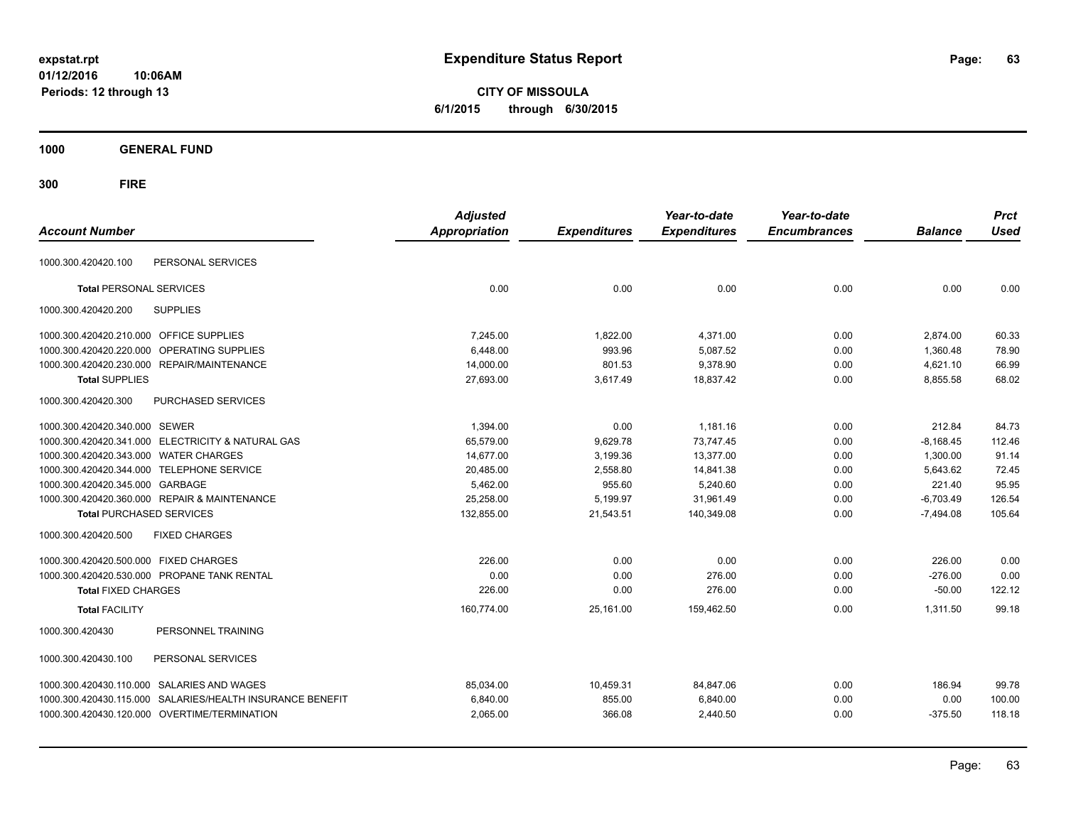**CITY OF MISSOULA 6/1/2015 through 6/30/2015**

**1000 GENERAL FUND**

| <b>Account Number</b>                                        | <b>Adjusted</b><br><b>Appropriation</b> | <b>Expenditures</b> | Year-to-date<br><b>Expenditures</b> | Year-to-date<br><b>Encumbrances</b> | <b>Balance</b> | <b>Prct</b><br><b>Used</b> |
|--------------------------------------------------------------|-----------------------------------------|---------------------|-------------------------------------|-------------------------------------|----------------|----------------------------|
| PERSONAL SERVICES<br>1000.300.420420.100                     |                                         |                     |                                     |                                     |                |                            |
|                                                              |                                         |                     |                                     |                                     |                |                            |
| <b>Total PERSONAL SERVICES</b>                               | 0.00                                    | 0.00                | 0.00                                | 0.00                                | 0.00           | 0.00                       |
| 1000.300.420420.200<br><b>SUPPLIES</b>                       |                                         |                     |                                     |                                     |                |                            |
| 1000.300.420420.210.000 OFFICE SUPPLIES                      | 7.245.00                                | 1,822.00            | 4,371.00                            | 0.00                                | 2,874.00       | 60.33                      |
| 1000.300.420420.220.000<br><b>OPERATING SUPPLIES</b>         | 6,448.00                                | 993.96              | 5,087.52                            | 0.00                                | 1,360.48       | 78.90                      |
| 1000.300.420420.230.000 REPAIR/MAINTENANCE                   | 14,000.00                               | 801.53              | 9.378.90                            | 0.00                                | 4,621.10       | 66.99                      |
| <b>Total SUPPLIES</b>                                        | 27,693.00                               | 3,617.49            | 18,837.42                           | 0.00                                | 8,855.58       | 68.02                      |
| 1000.300.420420.300<br>PURCHASED SERVICES                    |                                         |                     |                                     |                                     |                |                            |
| 1000.300.420420.340.000 SEWER                                | 1,394.00                                | 0.00                | 1,181.16                            | 0.00                                | 212.84         | 84.73                      |
| 1000.300.420420.341.000 ELECTRICITY & NATURAL GAS            | 65.579.00                               | 9,629.78            | 73.747.45                           | 0.00                                | $-8,168.45$    | 112.46                     |
| 1000.300.420420.343.000 WATER CHARGES                        | 14,677.00                               | 3,199.36            | 13,377.00                           | 0.00                                | 1,300.00       | 91.14                      |
| 1000.300.420420.344.000 TELEPHONE SERVICE                    | 20,485.00                               | 2,558.80            | 14,841.38                           | 0.00                                | 5,643.62       | 72.45                      |
| 1000.300.420420.345.000 GARBAGE                              | 5,462.00                                | 955.60              | 5,240.60                            | 0.00                                | 221.40         | 95.95                      |
| 1000.300.420420.360.000 REPAIR & MAINTENANCE                 | 25,258.00                               | 5,199.97            | 31,961.49                           | 0.00                                | $-6,703.49$    | 126.54                     |
| <b>Total PURCHASED SERVICES</b>                              | 132,855.00                              | 21,543.51           | 140,349.08                          | 0.00                                | $-7,494.08$    | 105.64                     |
| 1000.300.420420.500<br><b>FIXED CHARGES</b>                  |                                         |                     |                                     |                                     |                |                            |
| 1000.300.420420.500.000 FIXED CHARGES                        | 226.00                                  | 0.00                | 0.00                                | 0.00                                | 226.00         | 0.00                       |
| 1000.300.420420.530.000 PROPANE TANK RENTAL                  | 0.00                                    | 0.00                | 276.00                              | 0.00                                | $-276.00$      | 0.00                       |
| <b>Total FIXED CHARGES</b>                                   | 226.00                                  | 0.00                | 276.00                              | 0.00                                | $-50.00$       | 122.12                     |
| <b>Total FACILITY</b>                                        | 160,774.00                              | 25,161.00           | 159,462.50                          | 0.00                                | 1,311.50       | 99.18                      |
| PERSONNEL TRAINING<br>1000.300.420430                        |                                         |                     |                                     |                                     |                |                            |
| PERSONAL SERVICES<br>1000.300.420430.100                     |                                         |                     |                                     |                                     |                |                            |
| 1000.300.420430.110.000 SALARIES AND WAGES                   | 85,034.00                               | 10,459.31           | 84,847.06                           | 0.00                                | 186.94         | 99.78                      |
| SALARIES/HEALTH INSURANCE BENEFIT<br>1000.300.420430.115.000 | 6,840.00                                | 855.00              | 6,840.00                            | 0.00                                | 0.00           | 100.00                     |
| 1000.300.420430.120.000 OVERTIME/TERMINATION                 | 2,065.00                                | 366.08              | 2,440.50                            | 0.00                                | $-375.50$      | 118.18                     |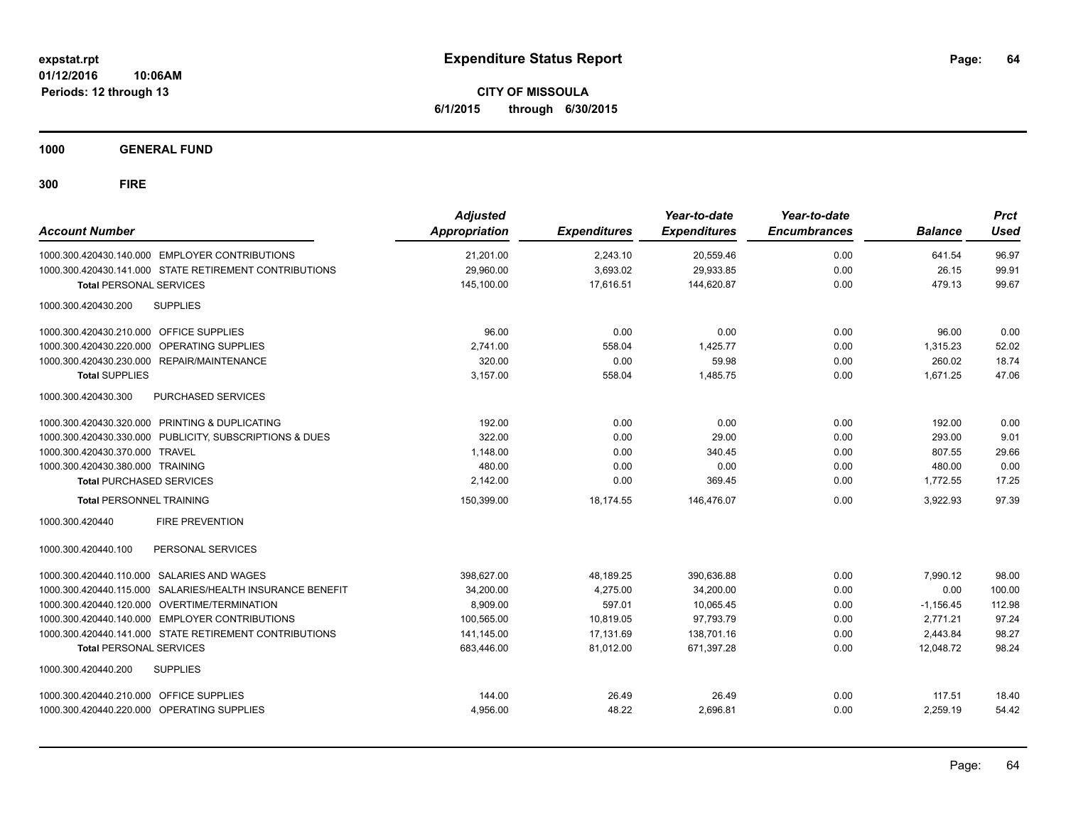**CITY OF MISSOULA 6/1/2015 through 6/30/2015**

**1000 GENERAL FUND**

| <b>Account Number</b>                                     | <b>Adjusted</b><br><b>Appropriation</b> | <b>Expenditures</b> | Year-to-date<br><b>Expenditures</b> | Year-to-date<br><b>Encumbrances</b> | <b>Balance</b> | <b>Prct</b><br><b>Used</b> |
|-----------------------------------------------------------|-----------------------------------------|---------------------|-------------------------------------|-------------------------------------|----------------|----------------------------|
| 1000.300.420430.140.000 EMPLOYER CONTRIBUTIONS            | 21,201.00                               | 2,243.10            | 20,559.46                           | 0.00                                | 641.54         | 96.97                      |
| 1000.300.420430.141.000 STATE RETIREMENT CONTRIBUTIONS    | 29,960.00                               | 3,693.02            | 29,933.85                           | 0.00                                | 26.15          | 99.91                      |
| <b>Total PERSONAL SERVICES</b>                            | 145,100.00                              | 17,616.51           | 144,620.87                          | 0.00                                | 479.13         | 99.67                      |
| 1000.300.420430.200<br><b>SUPPLIES</b>                    |                                         |                     |                                     |                                     |                |                            |
| 1000.300.420430.210.000 OFFICE SUPPLIES                   | 96.00                                   | 0.00                | 0.00                                | 0.00                                | 96.00          | 0.00                       |
| 1000.300.420430.220.000 OPERATING SUPPLIES                | 2.741.00                                | 558.04              | 1.425.77                            | 0.00                                | 1,315.23       | 52.02                      |
| 1000.300.420430.230.000 REPAIR/MAINTENANCE                | 320.00                                  | 0.00                | 59.98                               | 0.00                                | 260.02         | 18.74                      |
| <b>Total SUPPLIES</b>                                     | 3,157.00                                | 558.04              | 1,485.75                            | 0.00                                | 1,671.25       | 47.06                      |
| 1000.300.420430.300<br>PURCHASED SERVICES                 |                                         |                     |                                     |                                     |                |                            |
| 1000.300.420430.320.000 PRINTING & DUPLICATING            | 192.00                                  | 0.00                | 0.00                                | 0.00                                | 192.00         | 0.00                       |
| 1000.300.420430.330.000 PUBLICITY, SUBSCRIPTIONS & DUES   | 322.00                                  | 0.00                | 29.00                               | 0.00                                | 293.00         | 9.01                       |
| 1000.300.420430.370.000 TRAVEL                            | 1,148.00                                | 0.00                | 340.45                              | 0.00                                | 807.55         | 29.66                      |
| 1000.300.420430.380.000 TRAINING                          | 480.00                                  | 0.00                | 0.00                                | 0.00                                | 480.00         | 0.00                       |
| <b>Total PURCHASED SERVICES</b>                           | 2,142.00                                | 0.00                | 369.45                              | 0.00                                | 1.772.55       | 17.25                      |
| <b>Total PERSONNEL TRAINING</b>                           | 150,399.00                              | 18,174.55           | 146,476.07                          | 0.00                                | 3,922.93       | 97.39                      |
| 1000.300.420440<br><b>FIRE PREVENTION</b>                 |                                         |                     |                                     |                                     |                |                            |
| PERSONAL SERVICES<br>1000.300.420440.100                  |                                         |                     |                                     |                                     |                |                            |
| 1000.300.420440.110.000 SALARIES AND WAGES                | 398,627.00                              | 48,189.25           | 390,636.88                          | 0.00                                | 7,990.12       | 98.00                      |
| 1000.300.420440.115.000 SALARIES/HEALTH INSURANCE BENEFIT | 34,200.00                               | 4.275.00            | 34.200.00                           | 0.00                                | 0.00           | 100.00                     |
| 1000.300.420440.120.000 OVERTIME/TERMINATION              | 8,909.00                                | 597.01              | 10,065.45                           | 0.00                                | $-1,156.45$    | 112.98                     |
| 1000.300.420440.140.000 EMPLOYER CONTRIBUTIONS            | 100,565.00                              | 10,819.05           | 97.793.79                           | 0.00                                | 2.771.21       | 97.24                      |
| 1000.300.420440.141.000 STATE RETIREMENT CONTRIBUTIONS    | 141,145.00                              | 17,131.69           | 138,701.16                          | 0.00                                | 2,443.84       | 98.27                      |
| <b>Total PERSONAL SERVICES</b>                            | 683,446.00                              | 81,012.00           | 671,397.28                          | 0.00                                | 12,048.72      | 98.24                      |
| 1000.300.420440.200<br><b>SUPPLIES</b>                    |                                         |                     |                                     |                                     |                |                            |
| 1000.300.420440.210.000 OFFICE SUPPLIES                   | 144.00                                  | 26.49               | 26.49                               | 0.00                                | 117.51         | 18.40                      |
| 1000.300.420440.220.000 OPERATING SUPPLIES                | 4,956.00                                | 48.22               | 2,696.81                            | 0.00                                | 2,259.19       | 54.42                      |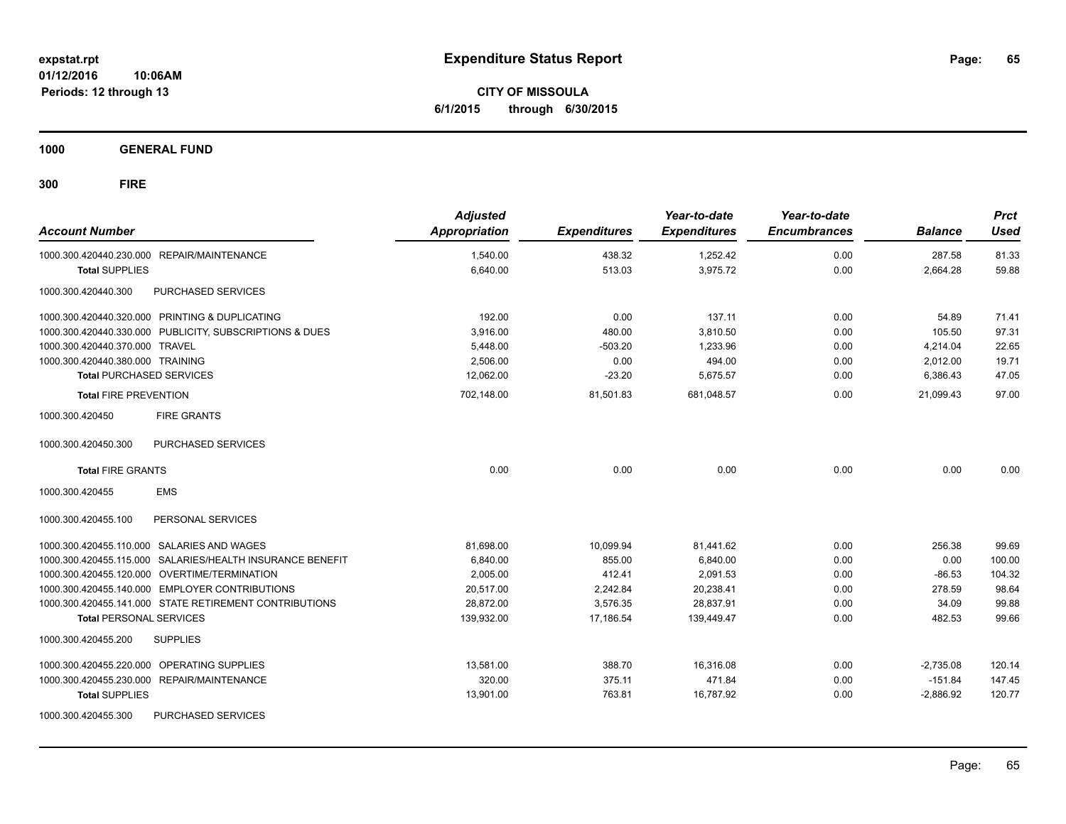**CITY OF MISSOULA 6/1/2015 through 6/30/2015**

**1000 GENERAL FUND**

| <b>Account Number</b>            |                                                           | <b>Adjusted</b><br><b>Appropriation</b> | <b>Expenditures</b> | Year-to-date<br><b>Expenditures</b> | Year-to-date<br><b>Encumbrances</b> | <b>Balance</b> | <b>Prct</b><br><b>Used</b> |
|----------------------------------|-----------------------------------------------------------|-----------------------------------------|---------------------|-------------------------------------|-------------------------------------|----------------|----------------------------|
|                                  | 1000.300.420440.230.000 REPAIR/MAINTENANCE                | 1,540.00                                | 438.32              | 1,252.42                            | 0.00                                | 287.58         | 81.33                      |
| <b>Total SUPPLIES</b>            |                                                           | 6,640.00                                | 513.03              | 3,975.72                            | 0.00                                | 2,664.28       | 59.88                      |
| 1000.300.420440.300              | PURCHASED SERVICES                                        |                                         |                     |                                     |                                     |                |                            |
|                                  | 1000.300.420440.320.000 PRINTING & DUPLICATING            | 192.00                                  | 0.00                | 137.11                              | 0.00                                | 54.89          | 71.41                      |
|                                  | 1000.300.420440.330.000 PUBLICITY, SUBSCRIPTIONS & DUES   | 3,916.00                                | 480.00              | 3,810.50                            | 0.00                                | 105.50         | 97.31                      |
| 1000.300.420440.370.000 TRAVEL   |                                                           | 5,448.00                                | $-503.20$           | 1,233.96                            | 0.00                                | 4,214.04       | 22.65                      |
| 1000.300.420440.380.000 TRAINING |                                                           | 2,506.00                                | 0.00                | 494.00                              | 0.00                                | 2,012.00       | 19.71                      |
| <b>Total PURCHASED SERVICES</b>  |                                                           | 12,062.00                               | $-23.20$            | 5,675.57                            | 0.00                                | 6,386.43       | 47.05                      |
| <b>Total FIRE PREVENTION</b>     |                                                           | 702,148.00                              | 81,501.83           | 681,048.57                          | 0.00                                | 21,099.43      | 97.00                      |
| 1000.300.420450                  | <b>FIRE GRANTS</b>                                        |                                         |                     |                                     |                                     |                |                            |
| 1000.300.420450.300              | <b>PURCHASED SERVICES</b>                                 |                                         |                     |                                     |                                     |                |                            |
| <b>Total FIRE GRANTS</b>         |                                                           | 0.00                                    | 0.00                | 0.00                                | 0.00                                | 0.00           | 0.00                       |
| 1000.300.420455                  | <b>EMS</b>                                                |                                         |                     |                                     |                                     |                |                            |
| 1000.300.420455.100              | PERSONAL SERVICES                                         |                                         |                     |                                     |                                     |                |                            |
|                                  | 1000.300.420455.110.000 SALARIES AND WAGES                | 81,698.00                               | 10,099.94           | 81,441.62                           | 0.00                                | 256.38         | 99.69                      |
|                                  | 1000.300.420455.115.000 SALARIES/HEALTH INSURANCE BENEFIT | 6,840.00                                | 855.00              | 6,840.00                            | 0.00                                | 0.00           | 100.00                     |
|                                  | 1000.300.420455.120.000 OVERTIME/TERMINATION              | 2,005.00                                | 412.41              | 2,091.53                            | 0.00                                | $-86.53$       | 104.32                     |
|                                  | 1000.300.420455.140.000 EMPLOYER CONTRIBUTIONS            | 20,517.00                               | 2,242.84            | 20,238.41                           | 0.00                                | 278.59         | 98.64                      |
|                                  | 1000.300.420455.141.000 STATE RETIREMENT CONTRIBUTIONS    | 28,872.00                               | 3,576.35            | 28,837.91                           | 0.00                                | 34.09          | 99.88                      |
| <b>Total PERSONAL SERVICES</b>   |                                                           | 139,932.00                              | 17,186.54           | 139,449.47                          | 0.00                                | 482.53         | 99.66                      |
| 1000.300.420455.200              | <b>SUPPLIES</b>                                           |                                         |                     |                                     |                                     |                |                            |
|                                  | 1000.300.420455.220.000 OPERATING SUPPLIES                | 13,581.00                               | 388.70              | 16,316.08                           | 0.00                                | $-2,735.08$    | 120.14                     |
|                                  | 1000.300.420455.230.000 REPAIR/MAINTENANCE                | 320.00                                  | 375.11              | 471.84                              | 0.00                                | $-151.84$      | 147.45                     |
| <b>Total SUPPLIES</b>            |                                                           | 13,901.00                               | 763.81              | 16,787.92                           | 0.00                                | $-2,886.92$    | 120.77                     |
| 1000.300.420455.300              | PURCHASED SERVICES                                        |                                         |                     |                                     |                                     |                |                            |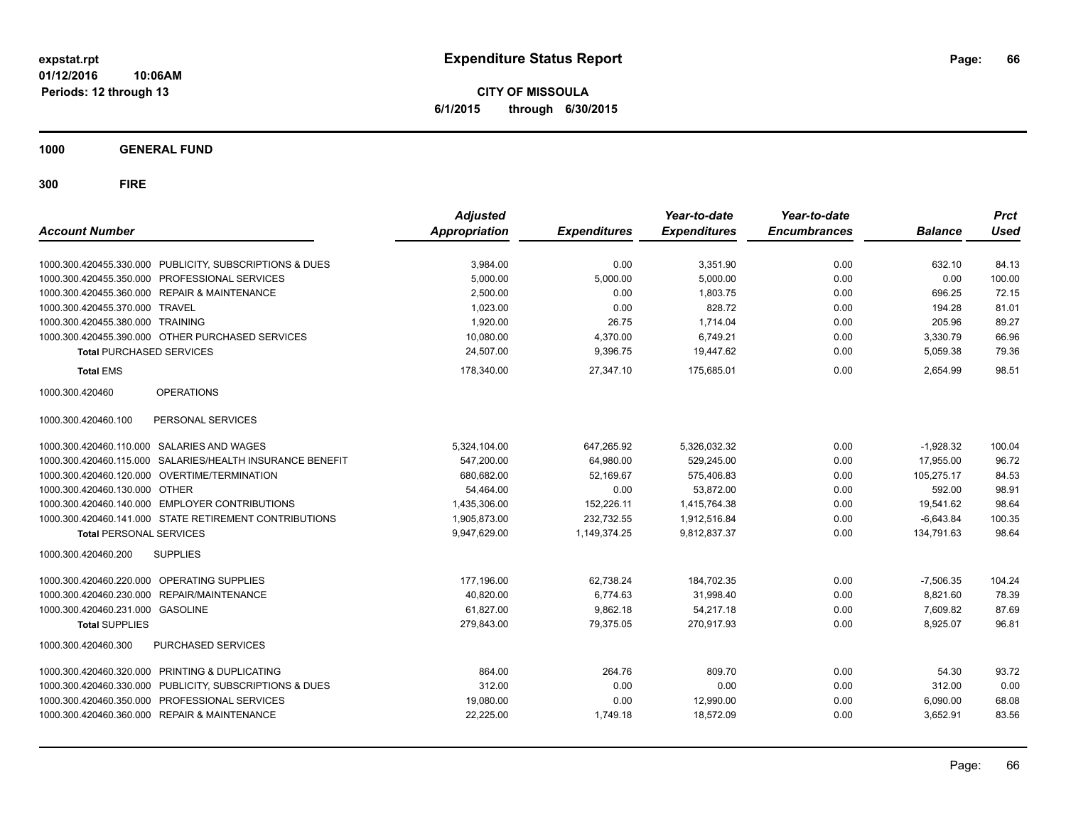**CITY OF MISSOULA 6/1/2015 through 6/30/2015**

**1000 GENERAL FUND**

| <b>Account Number</b>                      |                                                         | <b>Adjusted</b><br><b>Appropriation</b> | <b>Expenditures</b> | Year-to-date<br><b>Expenditures</b> | Year-to-date<br><b>Encumbrances</b> | <b>Balance</b> | <b>Prct</b><br><b>Used</b> |
|--------------------------------------------|---------------------------------------------------------|-----------------------------------------|---------------------|-------------------------------------|-------------------------------------|----------------|----------------------------|
|                                            | 1000.300.420455.330.000 PUBLICITY, SUBSCRIPTIONS & DUES | 3,984.00                                | 0.00                | 3,351.90                            | 0.00                                | 632.10         | 84.13                      |
| 1000.300.420455.350.000                    | PROFESSIONAL SERVICES                                   | 5.000.00                                | 5,000.00            | 5.000.00                            | 0.00                                | 0.00           | 100.00                     |
| 1000.300.420455.360.000                    | <b>REPAIR &amp; MAINTENANCE</b>                         | 2,500.00                                | 0.00                | 1.803.75                            | 0.00                                | 696.25         | 72.15                      |
| 1000.300.420455.370.000                    | <b>TRAVEL</b>                                           | 1,023.00                                | 0.00                | 828.72                              | 0.00                                | 194.28         | 81.01                      |
| 1000.300.420455.380.000                    | <b>TRAINING</b>                                         | 1.920.00                                | 26.75               | 1.714.04                            | 0.00                                | 205.96         | 89.27                      |
|                                            | 1000.300.420455.390.000 OTHER PURCHASED SERVICES        | 10,080.00                               | 4,370.00            | 6,749.21                            | 0.00                                | 3,330.79       | 66.96                      |
| <b>Total PURCHASED SERVICES</b>            |                                                         | 24,507.00                               | 9,396.75            | 19,447.62                           | 0.00                                | 5,059.38       | 79.36                      |
| <b>Total EMS</b>                           |                                                         | 178,340.00                              | 27,347.10           | 175,685.01                          | 0.00                                | 2,654.99       | 98.51                      |
| 1000.300.420460                            | <b>OPERATIONS</b>                                       |                                         |                     |                                     |                                     |                |                            |
| 1000.300.420460.100                        | PERSONAL SERVICES                                       |                                         |                     |                                     |                                     |                |                            |
| 1000.300.420460.110.000 SALARIES AND WAGES |                                                         | 5,324,104.00                            | 647,265.92          | 5,326,032.32                        | 0.00                                | $-1,928.32$    | 100.04                     |
| 1000.300.420460.115.000                    | SALARIES/HEALTH INSURANCE BENEFIT                       | 547,200.00                              | 64,980.00           | 529,245.00                          | 0.00                                | 17,955.00      | 96.72                      |
| 1000.300.420460.120.000                    | OVERTIME/TERMINATION                                    | 680,682.00                              | 52,169.67           | 575,406.83                          | 0.00                                | 105,275.17     | 84.53                      |
| 1000.300.420460.130.000                    | <b>OTHER</b>                                            | 54,464.00                               | 0.00                | 53,872.00                           | 0.00                                | 592.00         | 98.91                      |
| 1000.300.420460.140.000                    | <b>EMPLOYER CONTRIBUTIONS</b>                           | 1,435,306.00                            | 152,226.11          | 1,415,764.38                        | 0.00                                | 19,541.62      | 98.64                      |
|                                            | 1000.300.420460.141.000 STATE RETIREMENT CONTRIBUTIONS  | 1,905,873.00                            | 232,732.55          | 1,912,516.84                        | 0.00                                | $-6,643.84$    | 100.35                     |
| <b>Total PERSONAL SERVICES</b>             |                                                         | 9,947,629.00                            | 1,149,374.25        | 9,812,837.37                        | 0.00                                | 134,791.63     | 98.64                      |
| 1000.300.420460.200                        | <b>SUPPLIES</b>                                         |                                         |                     |                                     |                                     |                |                            |
| 1000.300.420460.220.000                    | OPERATING SUPPLIES                                      | 177,196.00                              | 62,738.24           | 184,702.35                          | 0.00                                | $-7,506.35$    | 104.24                     |
| 1000.300.420460.230.000                    | REPAIR/MAINTENANCE                                      | 40.820.00                               | 6,774.63            | 31.998.40                           | 0.00                                | 8,821.60       | 78.39                      |
| 1000.300.420460.231.000                    | <b>GASOLINE</b>                                         | 61,827.00                               | 9,862.18            | 54,217.18                           | 0.00                                | 7,609.82       | 87.69                      |
| <b>Total SUPPLIES</b>                      |                                                         | 279,843.00                              | 79.375.05           | 270,917.93                          | 0.00                                | 8,925.07       | 96.81                      |
| 1000.300.420460.300                        | PURCHASED SERVICES                                      |                                         |                     |                                     |                                     |                |                            |
| 1000.300.420460.320.000                    | PRINTING & DUPLICATING                                  | 864.00                                  | 264.76              | 809.70                              | 0.00                                | 54.30          | 93.72                      |
| 1000.300.420460.330.000                    | PUBLICITY, SUBSCRIPTIONS & DUES                         | 312.00                                  | 0.00                | 0.00                                | 0.00                                | 312.00         | 0.00                       |
| 1000.300.420460.350.000                    | PROFESSIONAL SERVICES                                   | 19,080.00                               | 0.00                | 12,990.00                           | 0.00                                | 6,090.00       | 68.08                      |
|                                            | 1000.300.420460.360.000 REPAIR & MAINTENANCE            | 22,225.00                               | 1,749.18            | 18,572.09                           | 0.00                                | 3,652.91       | 83.56                      |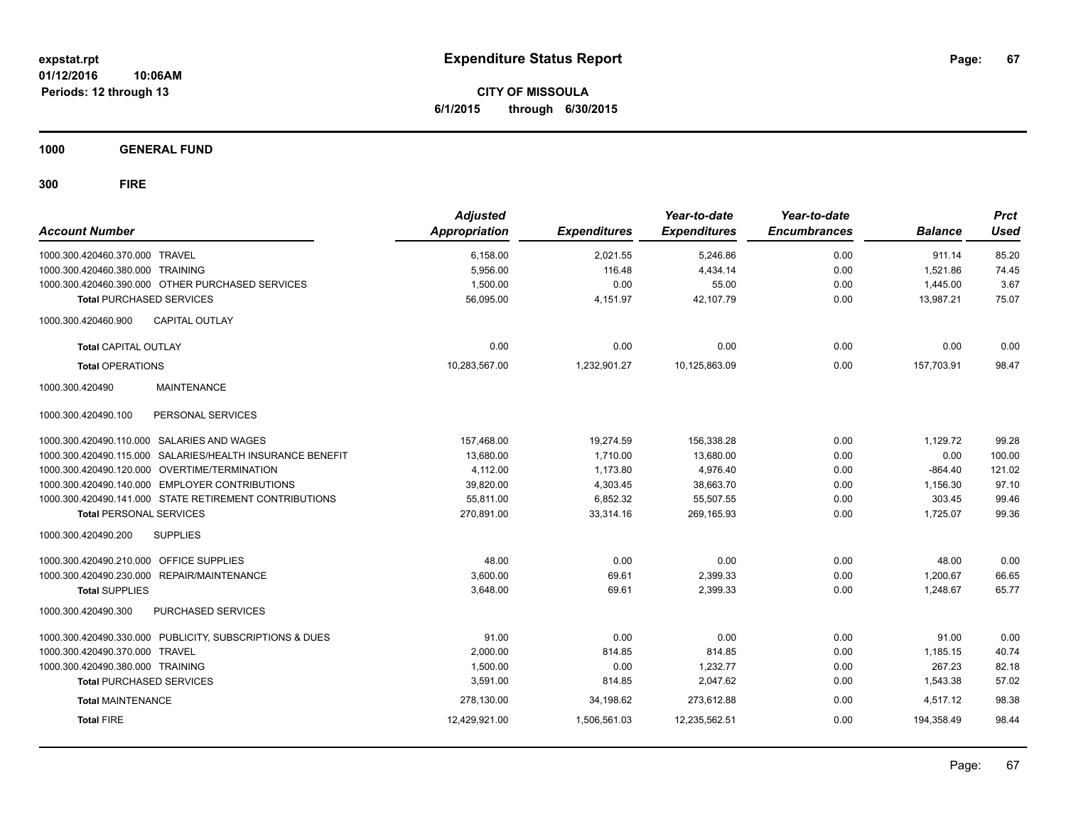**CITY OF MISSOULA 6/1/2015 through 6/30/2015**

**1000 GENERAL FUND**

| <b>Account Number</b>                                     | <b>Adjusted</b><br><b>Appropriation</b> | <b>Expenditures</b> | Year-to-date<br><b>Expenditures</b> | Year-to-date<br><b>Encumbrances</b> | <b>Balance</b> | <b>Prct</b><br><b>Used</b> |
|-----------------------------------------------------------|-----------------------------------------|---------------------|-------------------------------------|-------------------------------------|----------------|----------------------------|
| 1000.300.420460.370.000 TRAVEL                            | 6,158.00                                | 2,021.55            | 5,246.86                            | 0.00                                | 911.14         | 85.20                      |
| 1000.300.420460.380.000 TRAINING                          | 5,956.00                                | 116.48              | 4,434.14                            | 0.00                                | 1,521.86       | 74.45                      |
| 1000.300.420460.390.000 OTHER PURCHASED SERVICES          | 1,500.00                                | 0.00                | 55.00                               | 0.00                                | 1,445.00       | 3.67                       |
| <b>Total PURCHASED SERVICES</b>                           | 56,095.00                               | 4,151.97            | 42,107.79                           | 0.00                                | 13,987.21      | 75.07                      |
| CAPITAL OUTLAY<br>1000.300.420460.900                     |                                         |                     |                                     |                                     |                |                            |
| <b>Total CAPITAL OUTLAY</b>                               | 0.00                                    | 0.00                | 0.00                                | 0.00                                | 0.00           | 0.00                       |
| <b>Total OPERATIONS</b>                                   | 10,283,567.00                           | 1,232,901.27        | 10,125,863.09                       | 0.00                                | 157,703.91     | 98.47                      |
| 1000.300.420490<br><b>MAINTENANCE</b>                     |                                         |                     |                                     |                                     |                |                            |
| 1000.300.420490.100<br>PERSONAL SERVICES                  |                                         |                     |                                     |                                     |                |                            |
| 1000.300.420490.110.000 SALARIES AND WAGES                | 157,468.00                              | 19,274.59           | 156,338.28                          | 0.00                                | 1,129.72       | 99.28                      |
| 1000.300.420490.115.000 SALARIES/HEALTH INSURANCE BENEFIT | 13,680.00                               | 1,710.00            | 13,680.00                           | 0.00                                | 0.00           | 100.00                     |
| 1000.300.420490.120.000 OVERTIME/TERMINATION              | 4,112.00                                | 1,173.80            | 4,976.40                            | 0.00                                | $-864.40$      | 121.02                     |
| 1000.300.420490.140.000 EMPLOYER CONTRIBUTIONS            | 39,820.00                               | 4,303.45            | 38,663.70                           | 0.00                                | 1,156.30       | 97.10                      |
| 1000.300.420490.141.000 STATE RETIREMENT CONTRIBUTIONS    | 55,811.00                               | 6,852.32            | 55,507.55                           | 0.00                                | 303.45         | 99.46                      |
| <b>Total PERSONAL SERVICES</b>                            | 270,891.00                              | 33,314.16           | 269,165.93                          | 0.00                                | 1,725.07       | 99.36                      |
| 1000.300.420490.200<br><b>SUPPLIES</b>                    |                                         |                     |                                     |                                     |                |                            |
| 1000.300.420490.210.000 OFFICE SUPPLIES                   | 48.00                                   | 0.00                | 0.00                                | 0.00                                | 48.00          | 0.00                       |
| 1000.300.420490.230.000 REPAIR/MAINTENANCE                | 3,600.00                                | 69.61               | 2,399.33                            | 0.00                                | 1,200.67       | 66.65                      |
| <b>Total SUPPLIES</b>                                     | 3,648.00                                | 69.61               | 2,399.33                            | 0.00                                | 1,248.67       | 65.77                      |
| 1000.300.420490.300<br>PURCHASED SERVICES                 |                                         |                     |                                     |                                     |                |                            |
| 1000.300.420490.330.000 PUBLICITY, SUBSCRIPTIONS & DUES   | 91.00                                   | 0.00                | 0.00                                | 0.00                                | 91.00          | 0.00                       |
| 1000.300.420490.370.000 TRAVEL                            | 2,000.00                                | 814.85              | 814.85                              | 0.00                                | 1,185.15       | 40.74                      |
| 1000.300.420490.380.000 TRAINING                          | 1,500.00                                | 0.00                | 1,232.77                            | 0.00                                | 267.23         | 82.18                      |
| <b>Total PURCHASED SERVICES</b>                           | 3,591.00                                | 814.85              | 2,047.62                            | 0.00                                | 1,543.38       | 57.02                      |
| <b>Total MAINTENANCE</b>                                  | 278,130.00                              | 34,198.62           | 273,612.88                          | 0.00                                | 4,517.12       | 98.38                      |
| <b>Total FIRE</b>                                         | 12,429,921.00                           | 1,506,561.03        | 12,235,562.51                       | 0.00                                | 194,358.49     | 98.44                      |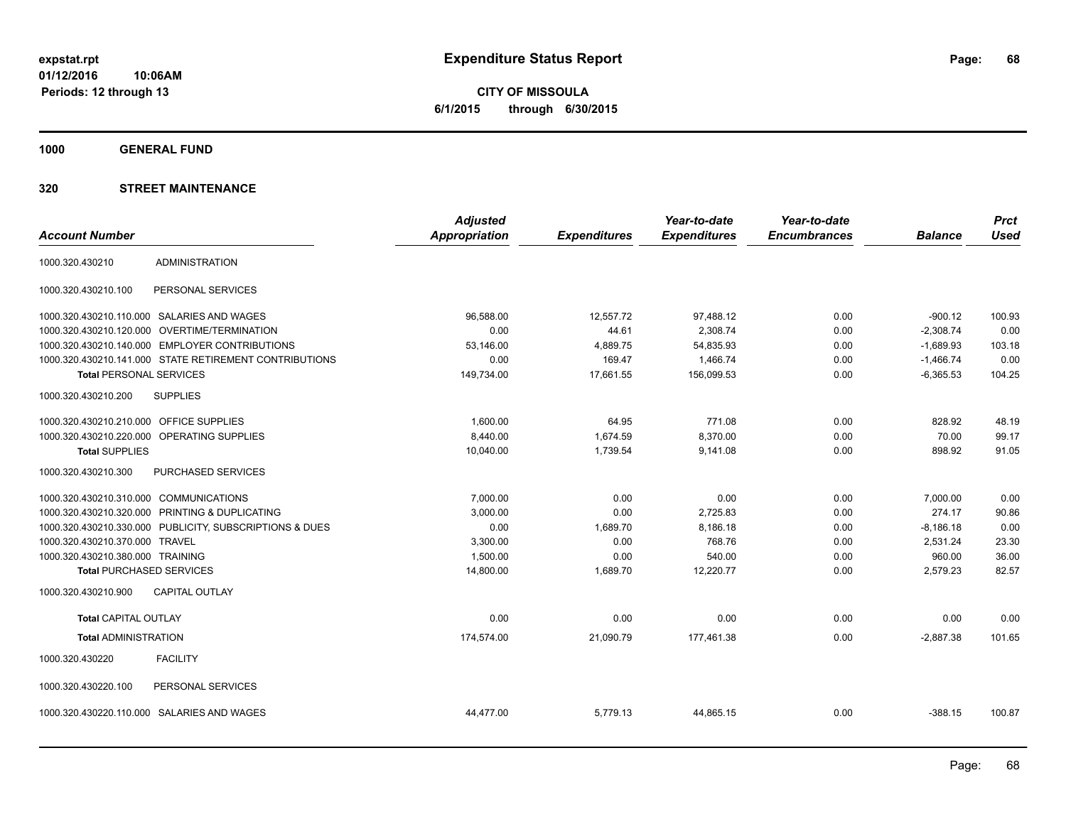**CITY OF MISSOULA 6/1/2015 through 6/30/2015**

**1000 GENERAL FUND**

|                                         |                                                         | <b>Adjusted</b>      |                     | Year-to-date        | Year-to-date        |                | <b>Prct</b> |
|-----------------------------------------|---------------------------------------------------------|----------------------|---------------------|---------------------|---------------------|----------------|-------------|
| <b>Account Number</b>                   |                                                         | <b>Appropriation</b> | <b>Expenditures</b> | <b>Expenditures</b> | <b>Encumbrances</b> | <b>Balance</b> | <b>Used</b> |
| 1000.320.430210                         | <b>ADMINISTRATION</b>                                   |                      |                     |                     |                     |                |             |
| 1000.320.430210.100                     | PERSONAL SERVICES                                       |                      |                     |                     |                     |                |             |
|                                         | 1000.320.430210.110.000 SALARIES AND WAGES              | 96,588.00            | 12,557.72           | 97,488.12           | 0.00                | $-900.12$      | 100.93      |
| 1000.320.430210.120.000                 | OVERTIME/TERMINATION                                    | 0.00                 | 44.61               | 2,308.74            | 0.00                | $-2,308.74$    | 0.00        |
|                                         | 1000.320.430210.140.000 EMPLOYER CONTRIBUTIONS          | 53,146.00            | 4,889.75            | 54,835.93           | 0.00                | $-1,689.93$    | 103.18      |
|                                         | 1000.320.430210.141.000 STATE RETIREMENT CONTRIBUTIONS  | 0.00                 | 169.47              | 1,466.74            | 0.00                | $-1,466.74$    | 0.00        |
| <b>Total PERSONAL SERVICES</b>          |                                                         | 149,734.00           | 17,661.55           | 156,099.53          | 0.00                | $-6,365.53$    | 104.25      |
| 1000.320.430210.200                     | <b>SUPPLIES</b>                                         |                      |                     |                     |                     |                |             |
| 1000.320.430210.210.000 OFFICE SUPPLIES |                                                         | 1,600.00             | 64.95               | 771.08              | 0.00                | 828.92         | 48.19       |
|                                         | 1000.320.430210.220.000 OPERATING SUPPLIES              | 8,440.00             | 1,674.59            | 8,370.00            | 0.00                | 70.00          | 99.17       |
| <b>Total SUPPLIES</b>                   |                                                         | 10,040.00            | 1,739.54            | 9,141.08            | 0.00                | 898.92         | 91.05       |
| 1000.320.430210.300                     | <b>PURCHASED SERVICES</b>                               |                      |                     |                     |                     |                |             |
| 1000.320.430210.310.000 COMMUNICATIONS  |                                                         | 7,000.00             | 0.00                | 0.00                | 0.00                | 7,000.00       | 0.00        |
|                                         | 1000.320.430210.320.000 PRINTING & DUPLICATING          | 3,000.00             | 0.00                | 2,725.83            | 0.00                | 274.17         | 90.86       |
|                                         | 1000.320.430210.330.000 PUBLICITY, SUBSCRIPTIONS & DUES | 0.00                 | 1,689.70            | 8,186.18            | 0.00                | $-8,186.18$    | 0.00        |
| 1000.320.430210.370.000 TRAVEL          |                                                         | 3,300.00             | 0.00                | 768.76              | 0.00                | 2,531.24       | 23.30       |
| 1000.320.430210.380.000 TRAINING        |                                                         | 1.500.00             | 0.00                | 540.00              | 0.00                | 960.00         | 36.00       |
| <b>Total PURCHASED SERVICES</b>         |                                                         | 14,800.00            | 1,689.70            | 12,220.77           | 0.00                | 2,579.23       | 82.57       |
| 1000.320.430210.900                     | <b>CAPITAL OUTLAY</b>                                   |                      |                     |                     |                     |                |             |
| <b>Total CAPITAL OUTLAY</b>             |                                                         | 0.00                 | 0.00                | 0.00                | 0.00                | 0.00           | 0.00        |
| <b>Total ADMINISTRATION</b>             |                                                         | 174,574.00           | 21,090.79           | 177,461.38          | 0.00                | $-2,887.38$    | 101.65      |
| 1000.320.430220                         | <b>FACILITY</b>                                         |                      |                     |                     |                     |                |             |
| 1000.320.430220.100                     | PERSONAL SERVICES                                       |                      |                     |                     |                     |                |             |
| 1000.320.430220.110.000                 | SALARIES AND WAGES                                      | 44,477.00            | 5,779.13            | 44,865.15           | 0.00                | $-388.15$      | 100.87      |
|                                         |                                                         |                      |                     |                     |                     |                |             |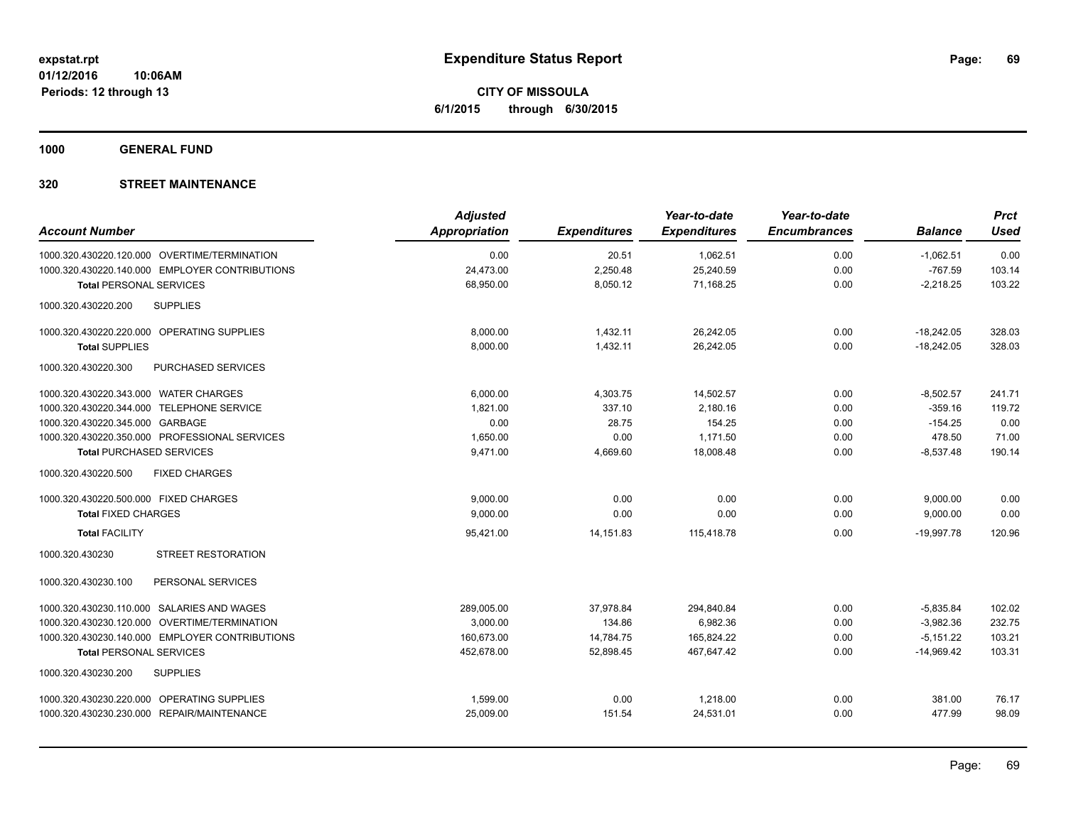**CITY OF MISSOULA 6/1/2015 through 6/30/2015**

**1000 GENERAL FUND**

|                                                  | <b>Adjusted</b> |                     | Year-to-date        | Year-to-date        |                | <b>Prct</b> |
|--------------------------------------------------|-----------------|---------------------|---------------------|---------------------|----------------|-------------|
| <b>Account Number</b>                            | Appropriation   | <b>Expenditures</b> | <b>Expenditures</b> | <b>Encumbrances</b> | <b>Balance</b> | <b>Used</b> |
| 1000.320.430220.120.000 OVERTIME/TERMINATION     | 0.00            | 20.51               | 1,062.51            | 0.00                | $-1,062.51$    | 0.00        |
| 1000.320.430220.140.000 EMPLOYER CONTRIBUTIONS   | 24,473.00       | 2,250.48            | 25,240.59           | 0.00                | $-767.59$      | 103.14      |
| <b>Total PERSONAL SERVICES</b>                   | 68,950.00       | 8,050.12            | 71,168.25           | 0.00                | $-2,218.25$    | 103.22      |
| <b>SUPPLIES</b><br>1000.320.430220.200           |                 |                     |                     |                     |                |             |
| 1000.320.430220.220.000 OPERATING SUPPLIES       | 8,000.00        | 1,432.11            | 26,242.05           | 0.00                | $-18,242.05$   | 328.03      |
| <b>Total SUPPLIES</b>                            | 8,000.00        | 1,432.11            | 26,242.05           | 0.00                | $-18,242.05$   | 328.03      |
| 1000.320.430220.300<br><b>PURCHASED SERVICES</b> |                 |                     |                     |                     |                |             |
| 1000.320.430220.343.000 WATER CHARGES            | 6,000.00        | 4,303.75            | 14,502.57           | 0.00                | $-8,502.57$    | 241.71      |
| 1000.320.430220.344.000 TELEPHONE SERVICE        | 1.821.00        | 337.10              | 2,180.16            | 0.00                | $-359.16$      | 119.72      |
| 1000.320.430220.345.000 GARBAGE                  | 0.00            | 28.75               | 154.25              | 0.00                | $-154.25$      | 0.00        |
| 1000.320.430220.350.000 PROFESSIONAL SERVICES    | 1,650.00        | 0.00                | 1,171.50            | 0.00                | 478.50         | 71.00       |
| <b>Total PURCHASED SERVICES</b>                  | 9,471.00        | 4,669.60            | 18,008.48           | 0.00                | $-8,537.48$    | 190.14      |
| <b>FIXED CHARGES</b><br>1000.320.430220.500      |                 |                     |                     |                     |                |             |
| 1000.320.430220.500.000 FIXED CHARGES            | 9,000.00        | 0.00                | 0.00                | 0.00                | 9,000.00       | 0.00        |
| <b>Total FIXED CHARGES</b>                       | 9,000.00        | 0.00                | 0.00                | 0.00                | 9,000.00       | 0.00        |
| <b>Total FACILITY</b>                            | 95,421.00       | 14,151.83           | 115,418.78          | 0.00                | $-19,997.78$   | 120.96      |
| 1000.320.430230<br><b>STREET RESTORATION</b>     |                 |                     |                     |                     |                |             |
| PERSONAL SERVICES<br>1000.320.430230.100         |                 |                     |                     |                     |                |             |
| 1000.320.430230.110.000 SALARIES AND WAGES       | 289,005.00      | 37,978.84           | 294,840.84          | 0.00                | $-5,835.84$    | 102.02      |
| 1000.320.430230.120.000 OVERTIME/TERMINATION     | 3.000.00        | 134.86              | 6,982.36            | 0.00                | $-3.982.36$    | 232.75      |
| 1000.320.430230.140.000 EMPLOYER CONTRIBUTIONS   | 160,673.00      | 14,784.75           | 165,824.22          | 0.00                | $-5,151.22$    | 103.21      |
| <b>Total PERSONAL SERVICES</b>                   | 452,678.00      | 52,898.45           | 467,647.42          | 0.00                | $-14,969.42$   | 103.31      |
| 1000.320.430230.200<br><b>SUPPLIES</b>           |                 |                     |                     |                     |                |             |
| 1000.320.430230.220.000 OPERATING SUPPLIES       | 1,599.00        | 0.00                | 1,218.00            | 0.00                | 381.00         | 76.17       |
| 1000.320.430230.230.000 REPAIR/MAINTENANCE       | 25,009.00       | 151.54              | 24,531.01           | 0.00                | 477.99         | 98.09       |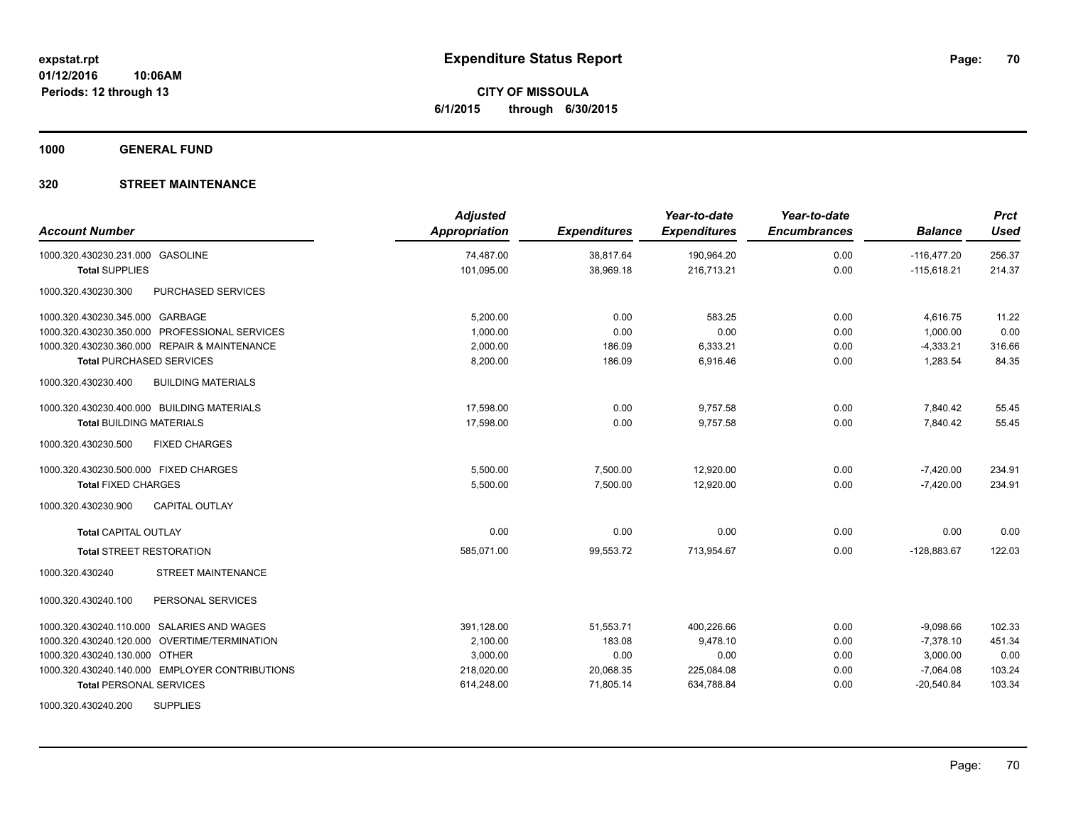**CITY OF MISSOULA 6/1/2015 through 6/30/2015**

**1000 GENERAL FUND**

| <b>Account Number</b>                            | <b>Adjusted</b><br><b>Appropriation</b> | <b>Expenditures</b> | Year-to-date<br><b>Expenditures</b> | Year-to-date<br><b>Encumbrances</b> | <b>Balance</b> | <b>Prct</b><br><b>Used</b> |
|--------------------------------------------------|-----------------------------------------|---------------------|-------------------------------------|-------------------------------------|----------------|----------------------------|
| 1000.320.430230.231.000 GASOLINE                 | 74,487.00                               | 38,817.64           | 190,964.20                          | 0.00                                | $-116,477.20$  | 256.37                     |
| <b>Total SUPPLIES</b>                            | 101,095.00                              | 38,969.18           | 216,713.21                          | 0.00                                | $-115,618.21$  | 214.37                     |
| <b>PURCHASED SERVICES</b><br>1000.320.430230.300 |                                         |                     |                                     |                                     |                |                            |
| 1000.320.430230.345.000 GARBAGE                  | 5,200.00                                | 0.00                | 583.25                              | 0.00                                | 4,616.75       | 11.22                      |
| 1000.320.430230.350.000 PROFESSIONAL SERVICES    | 1,000.00                                | 0.00                | 0.00                                | 0.00                                | 1,000.00       | 0.00                       |
| 1000.320.430230.360.000 REPAIR & MAINTENANCE     | 2,000.00                                | 186.09              | 6,333.21                            | 0.00                                | $-4,333.21$    | 316.66                     |
| <b>Total PURCHASED SERVICES</b>                  | 8,200.00                                | 186.09              | 6,916.46                            | 0.00                                | 1,283.54       | 84.35                      |
| 1000.320.430230.400<br><b>BUILDING MATERIALS</b> |                                         |                     |                                     |                                     |                |                            |
| 1000.320.430230.400.000 BUILDING MATERIALS       | 17,598.00                               | 0.00                | 9,757.58                            | 0.00                                | 7,840.42       | 55.45                      |
| <b>Total BUILDING MATERIALS</b>                  | 17,598.00                               | 0.00                | 9,757.58                            | 0.00                                | 7.840.42       | 55.45                      |
| 1000.320.430230.500<br><b>FIXED CHARGES</b>      |                                         |                     |                                     |                                     |                |                            |
| 1000.320.430230.500.000 FIXED CHARGES            | 5,500.00                                | 7,500.00            | 12,920.00                           | 0.00                                | $-7,420.00$    | 234.91                     |
| <b>Total FIXED CHARGES</b>                       | 5,500.00                                | 7,500.00            | 12,920.00                           | 0.00                                | $-7,420.00$    | 234.91                     |
| <b>CAPITAL OUTLAY</b><br>1000.320.430230.900     |                                         |                     |                                     |                                     |                |                            |
| <b>Total CAPITAL OUTLAY</b>                      | 0.00                                    | 0.00                | 0.00                                | 0.00                                | 0.00           | 0.00                       |
| <b>Total STREET RESTORATION</b>                  | 585,071.00                              | 99,553.72           | 713,954.67                          | 0.00                                | $-128,883.67$  | 122.03                     |
| STREET MAINTENANCE<br>1000.320.430240            |                                         |                     |                                     |                                     |                |                            |
| PERSONAL SERVICES<br>1000.320.430240.100         |                                         |                     |                                     |                                     |                |                            |
| 1000.320.430240.110.000 SALARIES AND WAGES       | 391,128.00                              | 51,553.71           | 400.226.66                          | 0.00                                | $-9,098.66$    | 102.33                     |
| 1000.320.430240.120.000 OVERTIME/TERMINATION     | 2,100.00                                | 183.08              | 9,478.10                            | 0.00                                | $-7,378.10$    | 451.34                     |
| 1000.320.430240.130.000 OTHER                    | 3,000.00                                | 0.00                | 0.00                                | 0.00                                | 3,000.00       | 0.00                       |
| 1000.320.430240.140.000 EMPLOYER CONTRIBUTIONS   | 218,020.00                              | 20,068.35           | 225,084.08                          | 0.00                                | $-7,064.08$    | 103.24                     |
| <b>Total PERSONAL SERVICES</b>                   | 614,248.00                              | 71,805.14           | 634,788.84                          | 0.00                                | $-20,540.84$   | 103.34                     |
| 1000.320.430240.200<br><b>SUPPLIES</b>           |                                         |                     |                                     |                                     |                |                            |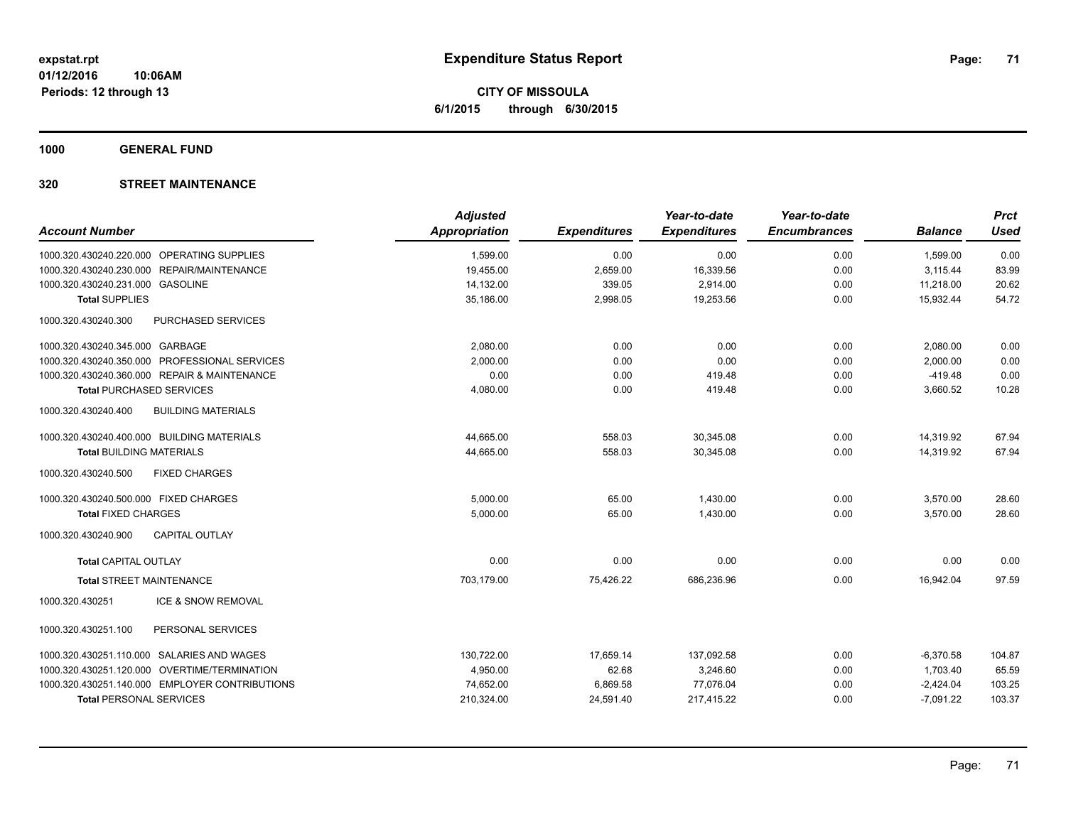**CITY OF MISSOULA 6/1/2015 through 6/30/2015**

**1000 GENERAL FUND**

| <b>Account Number</b>                            | <b>Adjusted</b><br><b>Appropriation</b> | <b>Expenditures</b> | Year-to-date<br><b>Expenditures</b> | Year-to-date<br><b>Encumbrances</b> | <b>Balance</b> | <b>Prct</b><br><b>Used</b> |
|--------------------------------------------------|-----------------------------------------|---------------------|-------------------------------------|-------------------------------------|----------------|----------------------------|
|                                                  |                                         |                     |                                     |                                     |                |                            |
| 1000.320.430240.220.000 OPERATING SUPPLIES       | 1,599.00                                | 0.00                | 0.00                                | 0.00                                | 1,599.00       | 0.00                       |
| 1000.320.430240.230.000 REPAIR/MAINTENANCE       | 19,455.00                               | 2,659.00            | 16,339.56                           | 0.00                                | 3,115.44       | 83.99                      |
| 1000.320.430240.231.000 GASOLINE                 | 14,132.00                               | 339.05              | 2,914.00                            | 0.00                                | 11,218.00      | 20.62                      |
| <b>Total SUPPLIES</b>                            | 35.186.00                               | 2,998.05            | 19.253.56                           | 0.00                                | 15.932.44      | 54.72                      |
| PURCHASED SERVICES<br>1000.320.430240.300        |                                         |                     |                                     |                                     |                |                            |
| 1000.320.430240.345.000 GARBAGE                  | 2,080.00                                | 0.00                | 0.00                                | 0.00                                | 2,080.00       | 0.00                       |
| 1000.320.430240.350.000 PROFESSIONAL SERVICES    | 2,000.00                                | 0.00                | 0.00                                | 0.00                                | 2,000.00       | 0.00                       |
| 1000.320.430240.360.000 REPAIR & MAINTENANCE     | 0.00                                    | 0.00                | 419.48                              | 0.00                                | $-419.48$      | 0.00                       |
| <b>Total PURCHASED SERVICES</b>                  | 4,080.00                                | 0.00                | 419.48                              | 0.00                                | 3,660.52       | 10.28                      |
| 1000.320.430240.400<br><b>BUILDING MATERIALS</b> |                                         |                     |                                     |                                     |                |                            |
| 1000.320.430240.400.000 BUILDING MATERIALS       | 44,665.00                               | 558.03              | 30,345.08                           | 0.00                                | 14,319.92      | 67.94                      |
| <b>Total BUILDING MATERIALS</b>                  | 44,665.00                               | 558.03              | 30,345.08                           | 0.00                                | 14,319.92      | 67.94                      |
| 1000.320.430240.500<br><b>FIXED CHARGES</b>      |                                         |                     |                                     |                                     |                |                            |
| 1000.320.430240.500.000 FIXED CHARGES            | 5,000.00                                | 65.00               | 1,430.00                            | 0.00                                | 3,570.00       | 28.60                      |
| <b>Total FIXED CHARGES</b>                       | 5,000.00                                | 65.00               | 1,430.00                            | 0.00                                | 3,570.00       | 28.60                      |
| 1000.320.430240.900<br><b>CAPITAL OUTLAY</b>     |                                         |                     |                                     |                                     |                |                            |
| <b>Total CAPITAL OUTLAY</b>                      | 0.00                                    | 0.00                | 0.00                                | 0.00                                | 0.00           | 0.00                       |
| <b>Total STREET MAINTENANCE</b>                  | 703,179.00                              | 75,426.22           | 686,236.96                          | 0.00                                | 16,942.04      | 97.59                      |
| <b>ICE &amp; SNOW REMOVAL</b><br>1000.320.430251 |                                         |                     |                                     |                                     |                |                            |
| 1000.320.430251.100<br>PERSONAL SERVICES         |                                         |                     |                                     |                                     |                |                            |
| 1000.320.430251.110.000 SALARIES AND WAGES       | 130,722.00                              | 17,659.14           | 137,092.58                          | 0.00                                | $-6,370.58$    | 104.87                     |
| 1000.320.430251.120.000 OVERTIME/TERMINATION     | 4,950.00                                | 62.68               | 3,246.60                            | 0.00                                | 1,703.40       | 65.59                      |
| 1000.320.430251.140.000 EMPLOYER CONTRIBUTIONS   | 74,652.00                               | 6,869.58            | 77,076.04                           | 0.00                                | $-2,424.04$    | 103.25                     |
| <b>Total PERSONAL SERVICES</b>                   | 210,324.00                              | 24,591.40           | 217,415.22                          | 0.00                                | $-7,091.22$    | 103.37                     |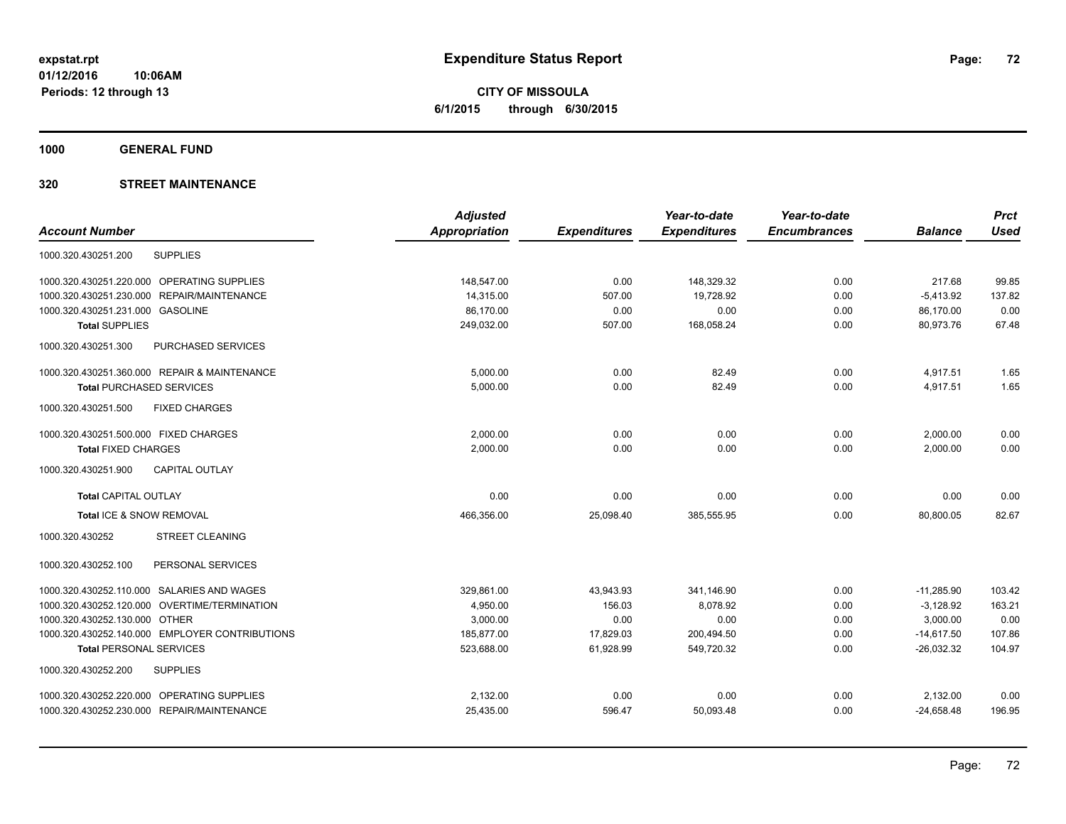**CITY OF MISSOULA 6/1/2015 through 6/30/2015**

**1000 GENERAL FUND**

|                                                | <b>Adjusted</b>      |                     | Year-to-date        | Year-to-date        |                | <b>Prct</b> |
|------------------------------------------------|----------------------|---------------------|---------------------|---------------------|----------------|-------------|
| <b>Account Number</b>                          | <b>Appropriation</b> | <b>Expenditures</b> | <b>Expenditures</b> | <b>Encumbrances</b> | <b>Balance</b> | <b>Used</b> |
| <b>SUPPLIES</b><br>1000.320.430251.200         |                      |                     |                     |                     |                |             |
| 1000.320.430251.220.000 OPERATING SUPPLIES     | 148,547.00           | 0.00                | 148,329.32          | 0.00                | 217.68         | 99.85       |
| REPAIR/MAINTENANCE<br>1000.320.430251.230.000  | 14,315.00            | 507.00              | 19,728.92           | 0.00                | $-5,413.92$    | 137.82      |
| 1000.320.430251.231.000 GASOLINE               | 86,170.00            | 0.00                | 0.00                | 0.00                | 86,170.00      | 0.00        |
| <b>Total SUPPLIES</b>                          | 249,032.00           | 507.00              | 168,058.24          | 0.00                | 80,973.76      | 67.48       |
| 1000.320.430251.300<br>PURCHASED SERVICES      |                      |                     |                     |                     |                |             |
| 1000.320.430251.360.000 REPAIR & MAINTENANCE   | 5,000.00             | 0.00                | 82.49               | 0.00                | 4,917.51       | 1.65        |
| <b>Total PURCHASED SERVICES</b>                | 5,000.00             | 0.00                | 82.49               | 0.00                | 4,917.51       | 1.65        |
| 1000.320.430251.500<br><b>FIXED CHARGES</b>    |                      |                     |                     |                     |                |             |
| 1000.320.430251.500.000 FIXED CHARGES          | 2.000.00             | 0.00                | 0.00                | 0.00                | 2,000.00       | 0.00        |
| <b>Total FIXED CHARGES</b>                     | 2,000.00             | 0.00                | 0.00                | 0.00                | 2,000.00       | 0.00        |
| 1000.320.430251.900<br><b>CAPITAL OUTLAY</b>   |                      |                     |                     |                     |                |             |
| <b>Total CAPITAL OUTLAY</b>                    | 0.00                 | 0.00                | 0.00                | 0.00                | 0.00           | 0.00        |
| Total ICE & SNOW REMOVAL                       | 466.356.00           | 25,098.40           | 385,555.95          | 0.00                | 80.800.05      | 82.67       |
| 1000.320.430252<br><b>STREET CLEANING</b>      |                      |                     |                     |                     |                |             |
| 1000.320.430252.100<br>PERSONAL SERVICES       |                      |                     |                     |                     |                |             |
| 1000.320.430252.110.000 SALARIES AND WAGES     | 329.861.00           | 43,943.93           | 341.146.90          | 0.00                | $-11,285.90$   | 103.42      |
| 1000.320.430252.120.000 OVERTIME/TERMINATION   | 4,950.00             | 156.03              | 8.078.92            | 0.00                | $-3,128.92$    | 163.21      |
| 1000.320.430252.130.000 OTHER                  | 3,000.00             | 0.00                | 0.00                | 0.00                | 3,000.00       | 0.00        |
| 1000.320.430252.140.000 EMPLOYER CONTRIBUTIONS | 185,877.00           | 17,829.03           | 200,494.50          | 0.00                | $-14,617.50$   | 107.86      |
| <b>Total PERSONAL SERVICES</b>                 | 523,688.00           | 61,928.99           | 549,720.32          | 0.00                | $-26,032.32$   | 104.97      |
| <b>SUPPLIES</b><br>1000.320.430252.200         |                      |                     |                     |                     |                |             |
| 1000.320.430252.220.000 OPERATING SUPPLIES     | 2,132.00             | 0.00                | 0.00                | 0.00                | 2,132.00       | 0.00        |
| 1000.320.430252.230.000 REPAIR/MAINTENANCE     | 25,435.00            | 596.47              | 50,093.48           | 0.00                | $-24,658.48$   | 196.95      |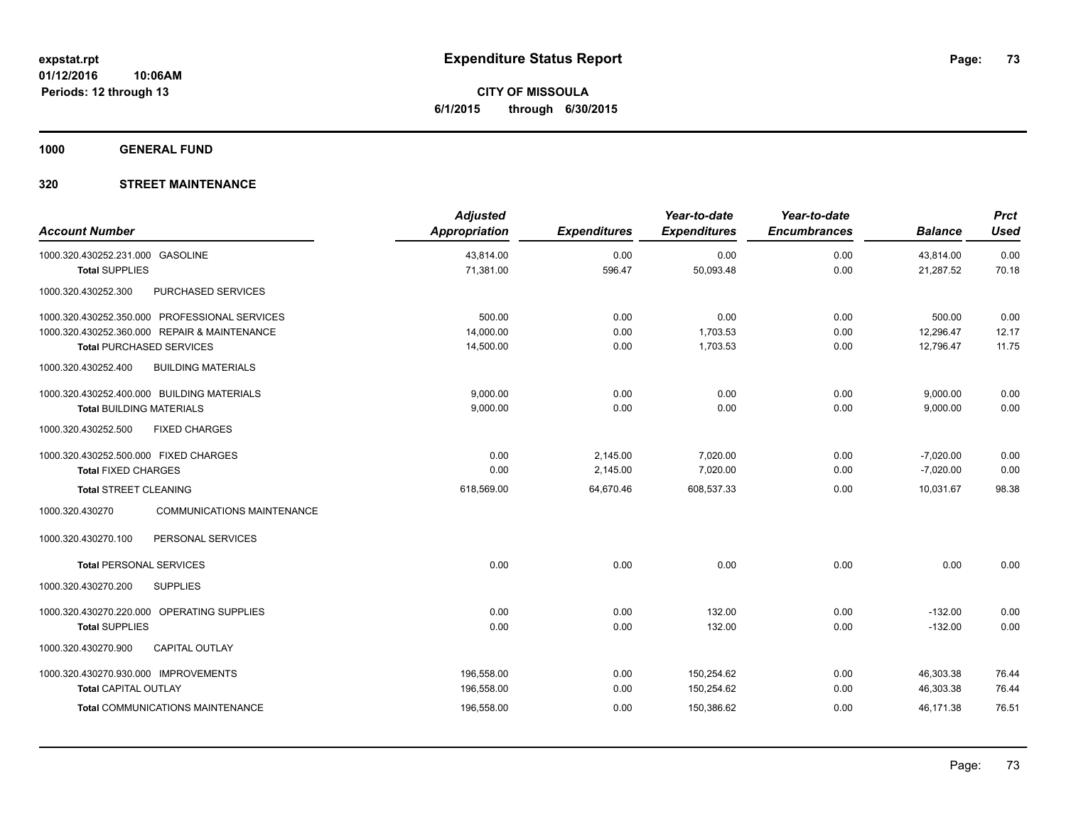**CITY OF MISSOULA 6/1/2015 through 6/30/2015**

**1000 GENERAL FUND**

## **320 STREET MAINTENANCE**

| <b>Account Number</b>                                | <b>Adjusted</b><br><b>Appropriation</b> | <b>Expenditures</b> | Year-to-date<br><b>Expenditures</b> | Year-to-date<br><b>Encumbrances</b> | <b>Balance</b> | <b>Prct</b><br><b>Used</b> |
|------------------------------------------------------|-----------------------------------------|---------------------|-------------------------------------|-------------------------------------|----------------|----------------------------|
| 1000.320.430252.231.000 GASOLINE                     | 43,814.00                               | 0.00                | 0.00                                | 0.00                                | 43,814.00      | 0.00                       |
| <b>Total SUPPLIES</b>                                | 71,381.00                               | 596.47              | 50,093.48                           | 0.00                                | 21,287.52      | 70.18                      |
| 1000.320.430252.300<br>PURCHASED SERVICES            |                                         |                     |                                     |                                     |                |                            |
| 1000.320.430252.350.000 PROFESSIONAL SERVICES        | 500.00                                  | 0.00                | 0.00                                | 0.00                                | 500.00         | 0.00                       |
| 1000.320.430252.360.000 REPAIR & MAINTENANCE         | 14,000.00                               | 0.00                | 1,703.53                            | 0.00                                | 12,296.47      | 12.17                      |
| <b>Total PURCHASED SERVICES</b>                      | 14,500.00                               | 0.00                | 1,703.53                            | 0.00                                | 12,796.47      | 11.75                      |
| 1000.320.430252.400<br><b>BUILDING MATERIALS</b>     |                                         |                     |                                     |                                     |                |                            |
| 1000.320.430252.400.000 BUILDING MATERIALS           | 9.000.00                                | 0.00                | 0.00                                | 0.00                                | 9,000.00       | 0.00                       |
| <b>Total BUILDING MATERIALS</b>                      | 9,000.00                                | 0.00                | 0.00                                | 0.00                                | 9,000.00       | 0.00                       |
| 1000.320.430252.500<br><b>FIXED CHARGES</b>          |                                         |                     |                                     |                                     |                |                            |
| 1000.320.430252.500.000 FIXED CHARGES                | 0.00                                    | 2,145.00            | 7,020.00                            | 0.00                                | $-7,020.00$    | 0.00                       |
| <b>Total FIXED CHARGES</b>                           | 0.00                                    | 2,145.00            | 7,020.00                            | 0.00                                | $-7,020.00$    | 0.00                       |
| <b>Total STREET CLEANING</b>                         | 618,569.00                              | 64,670.46           | 608,537.33                          | 0.00                                | 10.031.67      | 98.38                      |
| <b>COMMUNICATIONS MAINTENANCE</b><br>1000.320.430270 |                                         |                     |                                     |                                     |                |                            |
| 1000.320.430270.100<br>PERSONAL SERVICES             |                                         |                     |                                     |                                     |                |                            |
| <b>Total PERSONAL SERVICES</b>                       | 0.00                                    | 0.00                | 0.00                                | 0.00                                | 0.00           | 0.00                       |
| 1000.320.430270.200<br><b>SUPPLIES</b>               |                                         |                     |                                     |                                     |                |                            |
| 1000.320.430270.220.000 OPERATING SUPPLIES           | 0.00                                    | 0.00                | 132.00                              | 0.00                                | $-132.00$      | 0.00                       |
| <b>Total SUPPLIES</b>                                | 0.00                                    | 0.00                | 132.00                              | 0.00                                | $-132.00$      | 0.00                       |
| 1000.320.430270.900<br><b>CAPITAL OUTLAY</b>         |                                         |                     |                                     |                                     |                |                            |
| 1000.320.430270.930.000 IMPROVEMENTS                 | 196,558.00                              | 0.00                | 150,254.62                          | 0.00                                | 46,303.38      | 76.44                      |
| <b>Total CAPITAL OUTLAY</b>                          | 196,558.00                              | 0.00                | 150,254.62                          | 0.00                                | 46,303.38      | 76.44                      |
| <b>Total COMMUNICATIONS MAINTENANCE</b>              | 196,558.00                              | 0.00                | 150,386.62                          | 0.00                                | 46,171.38      | 76.51                      |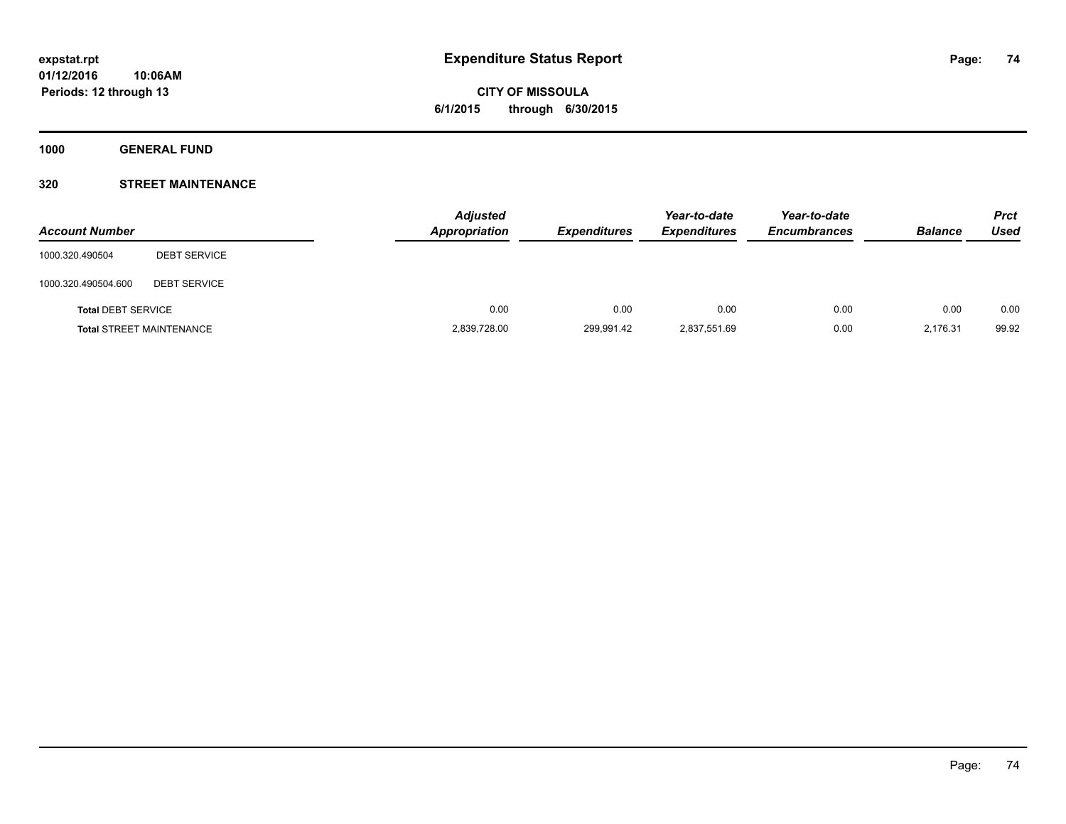**1000 GENERAL FUND**

## **320 STREET MAINTENANCE**

| <b>Account Number</b>     |                                 | <b>Adjusted</b><br>Appropriation | <b>Expenditures</b> | Year-to-date<br><b>Expenditures</b> | Year-to-date<br><b>Encumbrances</b> | <b>Balance</b> | <b>Prct</b><br>Used |
|---------------------------|---------------------------------|----------------------------------|---------------------|-------------------------------------|-------------------------------------|----------------|---------------------|
| 1000.320.490504           | <b>DEBT SERVICE</b>             |                                  |                     |                                     |                                     |                |                     |
| 1000.320.490504.600       | <b>DEBT SERVICE</b>             |                                  |                     |                                     |                                     |                |                     |
| <b>Total DEBT SERVICE</b> |                                 | 0.00                             | 0.00                | 0.00                                | 0.00                                | 0.00           | 0.00                |
|                           | <b>Total STREET MAINTENANCE</b> | 2,839,728.00                     | 299,991.42          | 2,837,551.69                        | 0.00                                | 2,176.31       | 99.92               |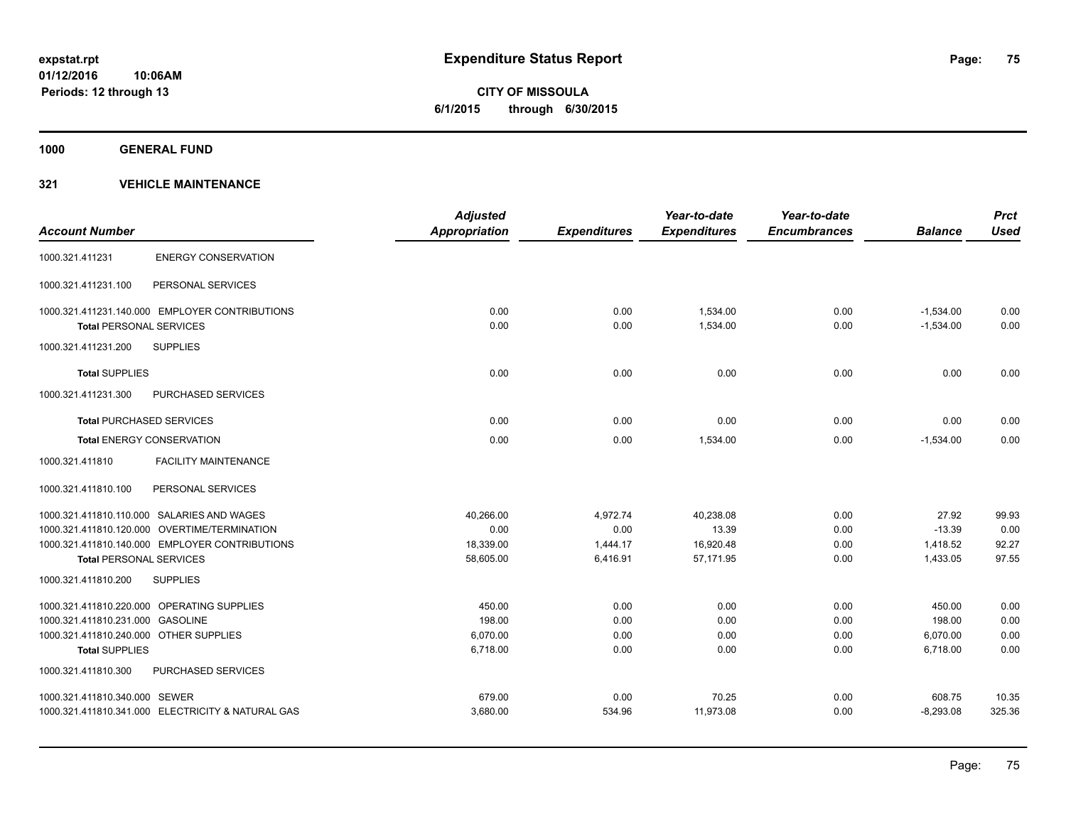**1000 GENERAL FUND**

| <b>Account Number</b>                  |                                                   | <b>Adjusted</b><br><b>Appropriation</b> | <b>Expenditures</b> | Year-to-date<br><b>Expenditures</b> | Year-to-date<br><b>Encumbrances</b> | <b>Balance</b> | <b>Prct</b><br><b>Used</b> |
|----------------------------------------|---------------------------------------------------|-----------------------------------------|---------------------|-------------------------------------|-------------------------------------|----------------|----------------------------|
|                                        |                                                   |                                         |                     |                                     |                                     |                |                            |
| 1000.321.411231                        | <b>ENERGY CONSERVATION</b>                        |                                         |                     |                                     |                                     |                |                            |
| 1000.321.411231.100                    | PERSONAL SERVICES                                 |                                         |                     |                                     |                                     |                |                            |
|                                        | 1000.321.411231.140.000 EMPLOYER CONTRIBUTIONS    | 0.00                                    | 0.00                | 1,534.00                            | 0.00                                | $-1,534.00$    | 0.00                       |
| <b>Total PERSONAL SERVICES</b>         |                                                   | 0.00                                    | 0.00                | 1,534.00                            | 0.00                                | $-1,534.00$    | 0.00                       |
| 1000.321.411231.200                    | <b>SUPPLIES</b>                                   |                                         |                     |                                     |                                     |                |                            |
| <b>Total SUPPLIES</b>                  |                                                   | 0.00                                    | 0.00                | 0.00                                | 0.00                                | 0.00           | 0.00                       |
| 1000.321.411231.300                    | PURCHASED SERVICES                                |                                         |                     |                                     |                                     |                |                            |
|                                        | <b>Total PURCHASED SERVICES</b>                   | 0.00                                    | 0.00                | 0.00                                | 0.00                                | 0.00           | 0.00                       |
|                                        | <b>Total ENERGY CONSERVATION</b>                  | 0.00                                    | 0.00                | 1,534.00                            | 0.00                                | $-1,534.00$    | 0.00                       |
| 1000.321.411810                        | <b>FACILITY MAINTENANCE</b>                       |                                         |                     |                                     |                                     |                |                            |
| 1000.321.411810.100                    | PERSONAL SERVICES                                 |                                         |                     |                                     |                                     |                |                            |
|                                        | 1000.321.411810.110.000 SALARIES AND WAGES        | 40.266.00                               | 4,972.74            | 40,238.08                           | 0.00                                | 27.92          | 99.93                      |
|                                        | 1000.321.411810.120.000 OVERTIME/TERMINATION      | 0.00                                    | 0.00                | 13.39                               | 0.00                                | $-13.39$       | 0.00                       |
|                                        | 1000.321.411810.140.000 EMPLOYER CONTRIBUTIONS    | 18,339.00                               | 1,444.17            | 16,920.48                           | 0.00                                | 1,418.52       | 92.27                      |
| <b>Total PERSONAL SERVICES</b>         |                                                   | 58,605.00                               | 6,416.91            | 57,171.95                           | 0.00                                | 1,433.05       | 97.55                      |
| 1000.321.411810.200                    | <b>SUPPLIES</b>                                   |                                         |                     |                                     |                                     |                |                            |
|                                        | 1000.321.411810.220.000 OPERATING SUPPLIES        | 450.00                                  | 0.00                | 0.00                                | 0.00                                | 450.00         | 0.00                       |
| 1000.321.411810.231.000 GASOLINE       |                                                   | 198.00                                  | 0.00                | 0.00                                | 0.00                                | 198.00         | 0.00                       |
| 1000.321.411810.240.000 OTHER SUPPLIES |                                                   | 6,070.00                                | 0.00                | 0.00                                | 0.00                                | 6,070.00       | 0.00                       |
| <b>Total SUPPLIES</b>                  |                                                   | 6,718.00                                | 0.00                | 0.00                                | 0.00                                | 6,718.00       | 0.00                       |
| 1000.321.411810.300                    | <b>PURCHASED SERVICES</b>                         |                                         |                     |                                     |                                     |                |                            |
| 1000.321.411810.340.000 SEWER          |                                                   | 679.00                                  | 0.00                | 70.25                               | 0.00                                | 608.75         | 10.35                      |
|                                        | 1000.321.411810.341.000 ELECTRICITY & NATURAL GAS | 3,680.00                                | 534.96              | 11,973.08                           | 0.00                                | $-8,293.08$    | 325.36                     |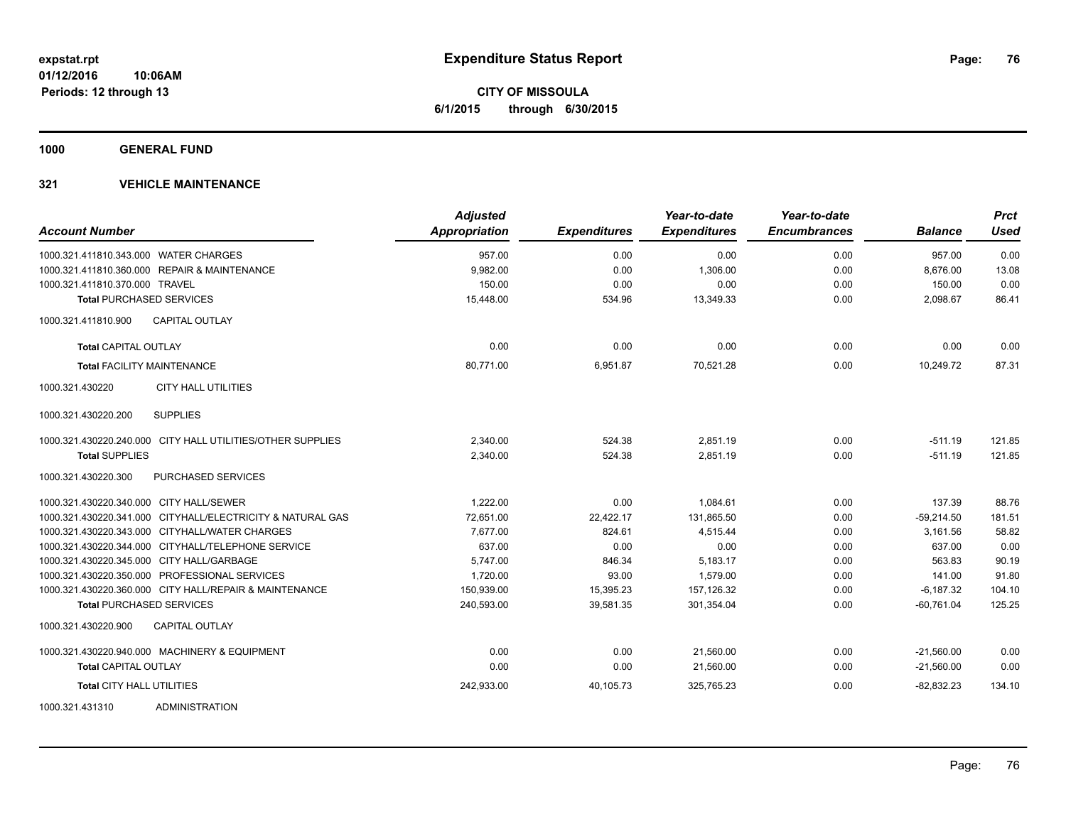**1000 GENERAL FUND**

| <b>Account Number</b>                                      | <b>Adjusted</b><br><b>Appropriation</b> | <b>Expenditures</b> | Year-to-date<br><b>Expenditures</b> | Year-to-date<br><b>Encumbrances</b> | <b>Balance</b> | <b>Prct</b><br><b>Used</b> |
|------------------------------------------------------------|-----------------------------------------|---------------------|-------------------------------------|-------------------------------------|----------------|----------------------------|
| 1000.321.411810.343.000 WATER CHARGES                      | 957.00                                  | 0.00                | 0.00                                | 0.00                                | 957.00         | 0.00                       |
| 1000.321.411810.360.000 REPAIR & MAINTENANCE               | 9,982.00                                | 0.00                | 1,306.00                            | 0.00                                | 8,676.00       | 13.08                      |
| 1000.321.411810.370.000 TRAVEL                             | 150.00                                  | 0.00                | 0.00                                | 0.00                                | 150.00         | 0.00                       |
| <b>Total PURCHASED SERVICES</b>                            | 15,448.00                               | 534.96              | 13,349.33                           | 0.00                                | 2,098.67       | 86.41                      |
| <b>CAPITAL OUTLAY</b><br>1000.321.411810.900               |                                         |                     |                                     |                                     |                |                            |
| <b>Total CAPITAL OUTLAY</b>                                | 0.00                                    | 0.00                | 0.00                                | 0.00                                | 0.00           | 0.00                       |
| <b>Total FACILITY MAINTENANCE</b>                          | 80,771.00                               | 6,951.87            | 70,521.28                           | 0.00                                | 10,249.72      | 87.31                      |
| 1000.321.430220<br><b>CITY HALL UTILITIES</b>              |                                         |                     |                                     |                                     |                |                            |
| 1000.321.430220.200<br><b>SUPPLIES</b>                     |                                         |                     |                                     |                                     |                |                            |
| 1000.321.430220.240.000 CITY HALL UTILITIES/OTHER SUPPLIES | 2,340.00                                | 524.38              | 2,851.19                            | 0.00                                | $-511.19$      | 121.85                     |
| <b>Total SUPPLIES</b>                                      | 2,340.00                                | 524.38              | 2,851.19                            | 0.00                                | $-511.19$      | 121.85                     |
| 1000.321.430220.300<br>PURCHASED SERVICES                  |                                         |                     |                                     |                                     |                |                            |
| 1000.321.430220.340.000 CITY HALL/SEWER                    | 1.222.00                                | 0.00                | 1.084.61                            | 0.00                                | 137.39         | 88.76                      |
| 1000.321.430220.341.000 CITYHALL/ELECTRICITY & NATURAL GAS | 72,651.00                               | 22,422.17           | 131,865.50                          | 0.00                                | $-59,214.50$   | 181.51                     |
| 1000.321.430220.343.000 CITYHALL/WATER CHARGES             | 7,677.00                                | 824.61              | 4,515.44                            | 0.00                                | 3,161.56       | 58.82                      |
| 1000.321.430220.344.000 CITYHALL/TELEPHONE SERVICE         | 637.00                                  | 0.00                | 0.00                                | 0.00                                | 637.00         | 0.00                       |
| 1000.321.430220.345.000 CITY HALL/GARBAGE                  | 5,747.00                                | 846.34              | 5,183.17                            | 0.00                                | 563.83         | 90.19                      |
| 1000.321.430220.350.000 PROFESSIONAL SERVICES              | 1,720.00                                | 93.00               | 1.579.00                            | 0.00                                | 141.00         | 91.80                      |
| 1000.321.430220.360.000 CITY HALL/REPAIR & MAINTENANCE     | 150,939.00                              | 15,395.23           | 157,126.32                          | 0.00                                | $-6,187.32$    | 104.10                     |
| <b>Total PURCHASED SERVICES</b>                            | 240,593.00                              | 39,581.35           | 301,354.04                          | 0.00                                | $-60,761.04$   | 125.25                     |
| CAPITAL OUTLAY<br>1000.321.430220.900                      |                                         |                     |                                     |                                     |                |                            |
| 1000.321.430220.940.000 MACHINERY & EQUIPMENT              | 0.00                                    | 0.00                | 21,560.00                           | 0.00                                | $-21,560.00$   | 0.00                       |
| <b>Total CAPITAL OUTLAY</b>                                | 0.00                                    | 0.00                | 21,560.00                           | 0.00                                | $-21,560.00$   | 0.00                       |
| <b>Total CITY HALL UTILITIES</b>                           | 242,933.00                              | 40,105.73           | 325,765.23                          | 0.00                                | $-82,832.23$   | 134.10                     |
| 1000.321.431310<br><b>ADMINISTRATION</b>                   |                                         |                     |                                     |                                     |                |                            |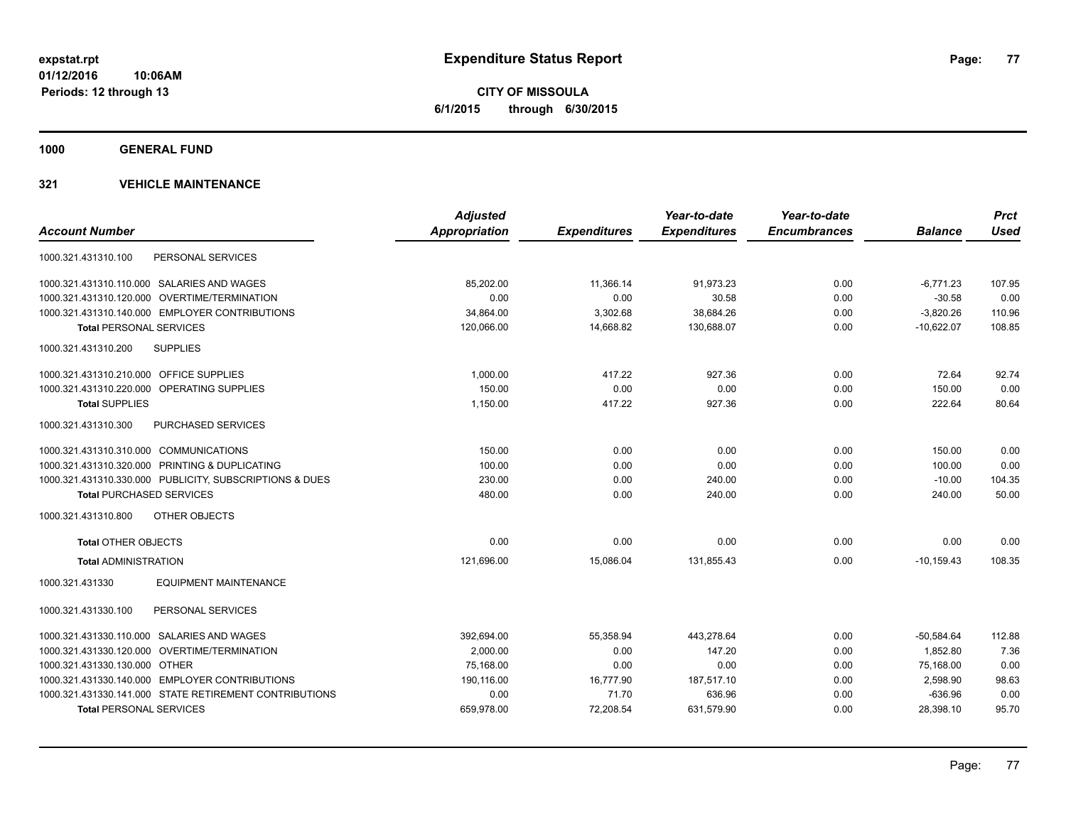**CITY OF MISSOULA 6/1/2015 through 6/30/2015**

**1000 GENERAL FUND**

|                                                         | <b>Adjusted</b> |                     | Year-to-date        | Year-to-date        |                | <b>Prct</b> |
|---------------------------------------------------------|-----------------|---------------------|---------------------|---------------------|----------------|-------------|
| <b>Account Number</b>                                   | Appropriation   | <b>Expenditures</b> | <b>Expenditures</b> | <b>Encumbrances</b> | <b>Balance</b> | <b>Used</b> |
| PERSONAL SERVICES<br>1000.321.431310.100                |                 |                     |                     |                     |                |             |
| 1000.321.431310.110.000 SALARIES AND WAGES              | 85.202.00       | 11.366.14           | 91,973.23           | 0.00                | $-6,771.23$    | 107.95      |
| 1000.321.431310.120.000 OVERTIME/TERMINATION            | 0.00            | 0.00                | 30.58               | 0.00                | $-30.58$       | 0.00        |
| 1000.321.431310.140.000 EMPLOYER CONTRIBUTIONS          | 34,864.00       | 3,302.68            | 38,684.26           | 0.00                | $-3,820.26$    | 110.96      |
| <b>Total PERSONAL SERVICES</b>                          | 120,066.00      | 14,668.82           | 130,688.07          | 0.00                | $-10,622.07$   | 108.85      |
| <b>SUPPLIES</b><br>1000.321.431310.200                  |                 |                     |                     |                     |                |             |
| 1000.321.431310.210.000 OFFICE SUPPLIES                 | 1,000.00        | 417.22              | 927.36              | 0.00                | 72.64          | 92.74       |
| 1000.321.431310.220.000 OPERATING SUPPLIES              | 150.00          | 0.00                | 0.00                | 0.00                | 150.00         | 0.00        |
| <b>Total SUPPLIES</b>                                   | 1,150.00        | 417.22              | 927.36              | 0.00                | 222.64         | 80.64       |
| 1000.321.431310.300<br><b>PURCHASED SERVICES</b>        |                 |                     |                     |                     |                |             |
| 1000.321.431310.310.000 COMMUNICATIONS                  | 150.00          | 0.00                | 0.00                | 0.00                | 150.00         | 0.00        |
| 1000.321.431310.320.000 PRINTING & DUPLICATING          | 100.00          | 0.00                | 0.00                | 0.00                | 100.00         | 0.00        |
| 1000.321.431310.330.000 PUBLICITY, SUBSCRIPTIONS & DUES | 230.00          | 0.00                | 240.00              | 0.00                | $-10.00$       | 104.35      |
| <b>Total PURCHASED SERVICES</b>                         | 480.00          | 0.00                | 240.00              | 0.00                | 240.00         | 50.00       |
| 1000.321.431310.800<br>OTHER OBJECTS                    |                 |                     |                     |                     |                |             |
| <b>Total OTHER OBJECTS</b>                              | 0.00            | 0.00                | 0.00                | 0.00                | 0.00           | 0.00        |
| <b>Total ADMINISTRATION</b>                             | 121,696.00      | 15,086.04           | 131,855.43          | 0.00                | $-10,159.43$   | 108.35      |
| <b>EQUIPMENT MAINTENANCE</b><br>1000.321.431330         |                 |                     |                     |                     |                |             |
| 1000.321.431330.100<br>PERSONAL SERVICES                |                 |                     |                     |                     |                |             |
| 1000.321.431330.110.000 SALARIES AND WAGES              | 392,694.00      | 55,358.94           | 443,278.64          | 0.00                | $-50,584.64$   | 112.88      |
| 1000.321.431330.120.000 OVERTIME/TERMINATION            | 2,000.00        | 0.00                | 147.20              | 0.00                | 1.852.80       | 7.36        |
| 1000.321.431330.130.000 OTHER                           | 75,168.00       | 0.00                | 0.00                | 0.00                | 75,168.00      | 0.00        |
| 1000.321.431330.140.000 EMPLOYER CONTRIBUTIONS          | 190,116.00      | 16,777.90           | 187,517.10          | 0.00                | 2,598.90       | 98.63       |
| 1000.321.431330.141.000 STATE RETIREMENT CONTRIBUTIONS  | 0.00            | 71.70               | 636.96              | 0.00                | $-636.96$      | 0.00        |
| <b>Total PERSONAL SERVICES</b>                          | 659,978.00      | 72,208.54           | 631,579.90          | 0.00                | 28,398.10      | 95.70       |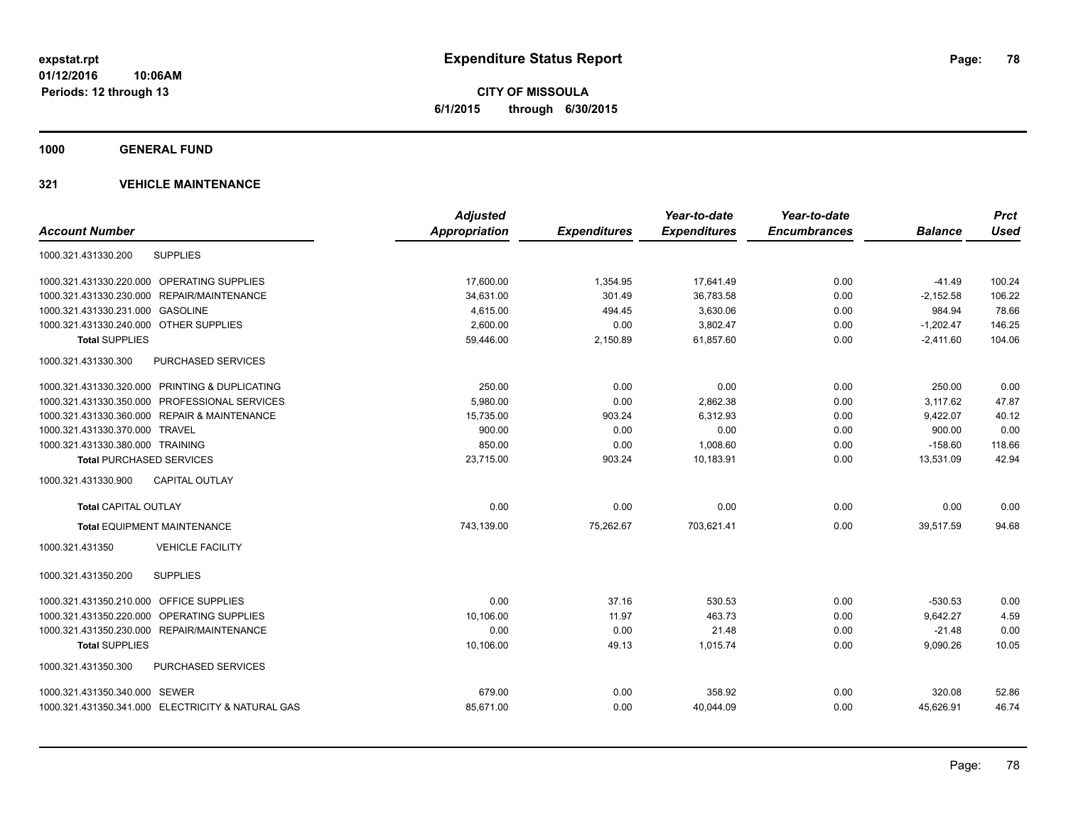**CITY OF MISSOULA 6/1/2015 through 6/30/2015**

**1000 GENERAL FUND**

| <b>Account Number</b>                             | <b>Adjusted</b><br><b>Appropriation</b> |                     | Year-to-date<br><b>Expenditures</b> | Year-to-date<br><b>Encumbrances</b> | <b>Balance</b> | <b>Prct</b><br><b>Used</b> |
|---------------------------------------------------|-----------------------------------------|---------------------|-------------------------------------|-------------------------------------|----------------|----------------------------|
|                                                   |                                         | <b>Expenditures</b> |                                     |                                     |                |                            |
| <b>SUPPLIES</b><br>1000.321.431330.200            |                                         |                     |                                     |                                     |                |                            |
| 1000.321.431330.220.000 OPERATING SUPPLIES        | 17,600.00                               | 1,354.95            | 17,641.49                           | 0.00                                | $-41.49$       | 100.24                     |
| 1000.321.431330.230.000 REPAIR/MAINTENANCE        | 34,631.00                               | 301.49              | 36,783.58                           | 0.00                                | $-2,152.58$    | 106.22                     |
| 1000.321.431330.231.000 GASOLINE                  | 4,615.00                                | 494.45              | 3,630.06                            | 0.00                                | 984.94         | 78.66                      |
| 1000.321.431330.240.000 OTHER SUPPLIES            | 2,600.00                                | 0.00                | 3,802.47                            | 0.00                                | $-1,202.47$    | 146.25                     |
| <b>Total SUPPLIES</b>                             | 59,446.00                               | 2,150.89            | 61,857.60                           | 0.00                                | $-2,411.60$    | 104.06                     |
| <b>PURCHASED SERVICES</b><br>1000.321.431330.300  |                                         |                     |                                     |                                     |                |                            |
| 1000.321.431330.320.000 PRINTING & DUPLICATING    | 250.00                                  | 0.00                | 0.00                                | 0.00                                | 250.00         | 0.00                       |
| 1000.321.431330.350.000 PROFESSIONAL SERVICES     | 5,980.00                                | 0.00                | 2,862.38                            | 0.00                                | 3,117.62       | 47.87                      |
| 1000.321.431330.360.000 REPAIR & MAINTENANCE      | 15,735.00                               | 903.24              | 6,312.93                            | 0.00                                | 9,422.07       | 40.12                      |
| 1000.321.431330.370.000 TRAVEL                    | 900.00                                  | 0.00                | 0.00                                | 0.00                                | 900.00         | 0.00                       |
| 1000.321.431330.380.000 TRAINING                  | 850.00                                  | 0.00                | 1,008.60                            | 0.00                                | $-158.60$      | 118.66                     |
| <b>Total PURCHASED SERVICES</b>                   | 23,715.00                               | 903.24              | 10,183.91                           | 0.00                                | 13,531.09      | 42.94                      |
| <b>CAPITAL OUTLAY</b><br>1000.321.431330.900      |                                         |                     |                                     |                                     |                |                            |
| <b>Total CAPITAL OUTLAY</b>                       | 0.00                                    | 0.00                | 0.00                                | 0.00                                | 0.00           | 0.00                       |
| <b>Total EQUIPMENT MAINTENANCE</b>                | 743,139.00                              | 75,262.67           | 703,621.41                          | 0.00                                | 39,517.59      | 94.68                      |
| <b>VEHICLE FACILITY</b><br>1000.321.431350        |                                         |                     |                                     |                                     |                |                            |
| 1000.321.431350.200<br><b>SUPPLIES</b>            |                                         |                     |                                     |                                     |                |                            |
| 1000.321.431350.210.000 OFFICE SUPPLIES           | 0.00                                    | 37.16               | 530.53                              | 0.00                                | $-530.53$      | 0.00                       |
| OPERATING SUPPLIES<br>1000.321.431350.220.000     | 10,106.00                               | 11.97               | 463.73                              | 0.00                                | 9,642.27       | 4.59                       |
| 1000.321.431350.230.000 REPAIR/MAINTENANCE        | 0.00                                    | 0.00                | 21.48                               | 0.00                                | $-21.48$       | 0.00                       |
| <b>Total SUPPLIES</b>                             | 10,106.00                               | 49.13               | 1,015.74                            | 0.00                                | 9,090.26       | 10.05                      |
| PURCHASED SERVICES<br>1000.321.431350.300         |                                         |                     |                                     |                                     |                |                            |
| 1000.321.431350.340.000 SEWER                     | 679.00                                  | 0.00                | 358.92                              | 0.00                                | 320.08         | 52.86                      |
| 1000.321.431350.341.000 ELECTRICITY & NATURAL GAS | 85,671.00                               | 0.00                | 40,044.09                           | 0.00                                | 45,626.91      | 46.74                      |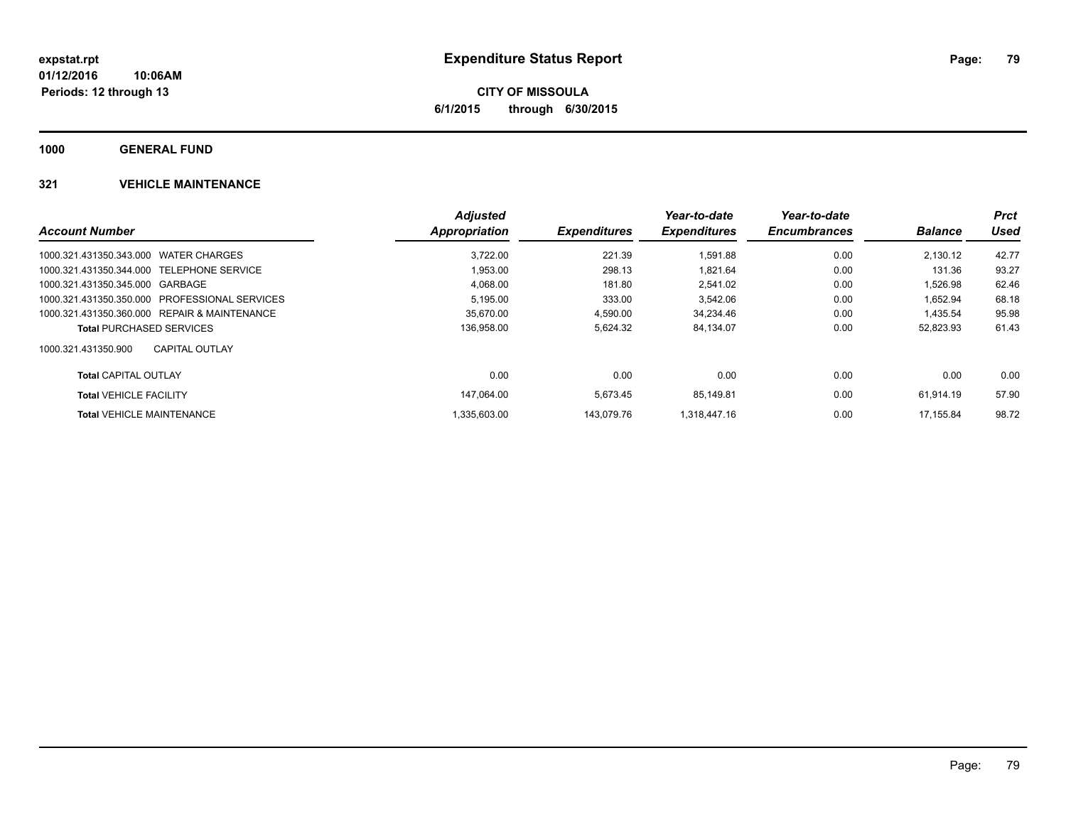**Periods: 12 through 13**

**CITY OF MISSOULA 6/1/2015 through 6/30/2015**

**1000 GENERAL FUND**

|                                               | <b>Adjusted</b> |                     | Year-to-date        | Year-to-date        |                | <b>Prct</b> |
|-----------------------------------------------|-----------------|---------------------|---------------------|---------------------|----------------|-------------|
| <b>Account Number</b>                         | Appropriation   | <b>Expenditures</b> | <b>Expenditures</b> | <b>Encumbrances</b> | <b>Balance</b> | Used        |
| 1000.321.431350.343.000 WATER CHARGES         | 3.722.00        | 221.39              | 1.591.88            | 0.00                | 2.130.12       | 42.77       |
| 1000.321.431350.344.000 TELEPHONE SERVICE     | 1,953.00        | 298.13              | 1.821.64            | 0.00                | 131.36         | 93.27       |
| 1000.321.431350.345.000 GARBAGE               | 4,068.00        | 181.80              | 2,541.02            | 0.00                | 1,526.98       | 62.46       |
| 1000.321.431350.350.000 PROFESSIONAL SERVICES | 5,195.00        | 333.00              | 3,542.06            | 0.00                | 1,652.94       | 68.18       |
| 1000.321.431350.360.000 REPAIR & MAINTENANCE  | 35.670.00       | 4,590.00            | 34.234.46           | 0.00                | 1.435.54       | 95.98       |
| <b>Total PURCHASED SERVICES</b>               | 136,958.00      | 5,624.32            | 84,134.07           | 0.00                | 52,823.93      | 61.43       |
| 1000.321.431350.900<br>CAPITAL OUTLAY         |                 |                     |                     |                     |                |             |
| <b>Total CAPITAL OUTLAY</b>                   | 0.00            | 0.00                | 0.00                | 0.00                | 0.00           | 0.00        |
| <b>Total VEHICLE FACILITY</b>                 | 147.064.00      | 5.673.45            | 85.149.81           | 0.00                | 61.914.19      | 57.90       |
| <b>Total VEHICLE MAINTENANCE</b>              | 1.335.603.00    | 143.079.76          | 1.318.447.16        | 0.00                | 17.155.84      | 98.72       |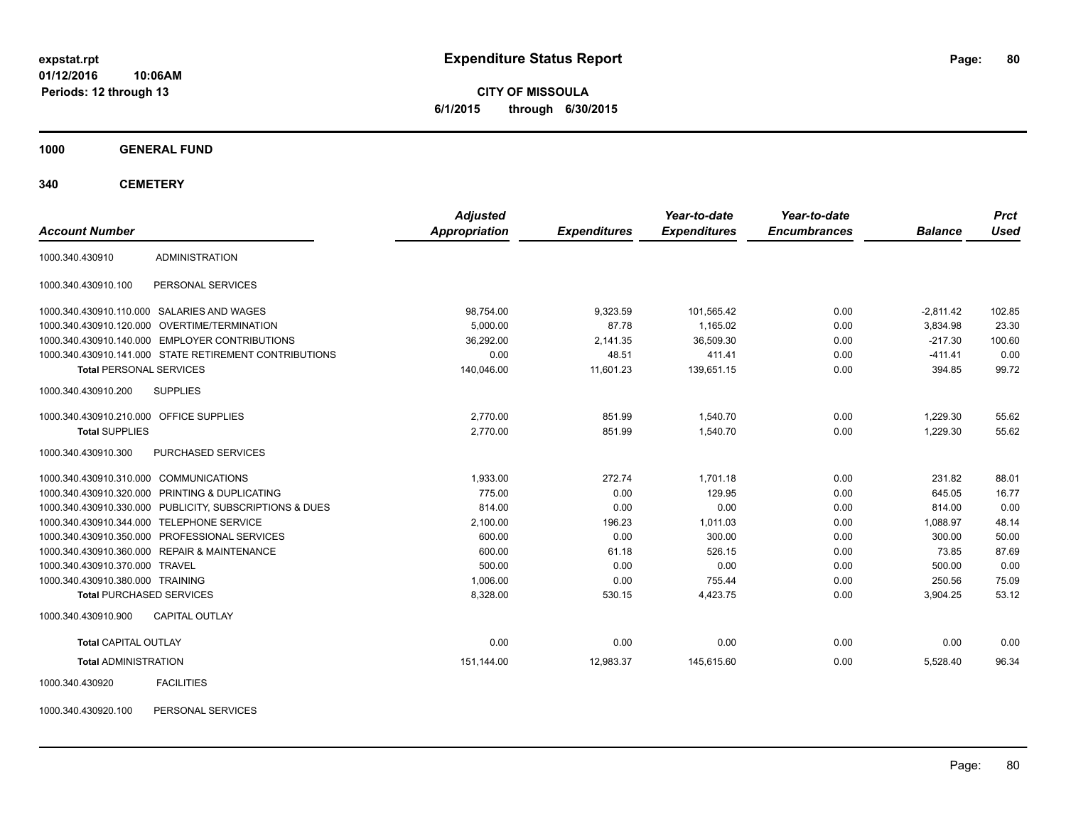**CITY OF MISSOULA 6/1/2015 through 6/30/2015**

**1000 GENERAL FUND**

**340 CEMETERY**

| <b>Account Number</b>                   |                                                         | <b>Adjusted</b><br>Appropriation | <b>Expenditures</b> | Year-to-date<br><b>Expenditures</b> | Year-to-date<br><b>Encumbrances</b> | <b>Balance</b> | <b>Prct</b><br><b>Used</b> |
|-----------------------------------------|---------------------------------------------------------|----------------------------------|---------------------|-------------------------------------|-------------------------------------|----------------|----------------------------|
| 1000.340.430910                         | <b>ADMINISTRATION</b>                                   |                                  |                     |                                     |                                     |                |                            |
| 1000.340.430910.100                     | PERSONAL SERVICES                                       |                                  |                     |                                     |                                     |                |                            |
|                                         | 1000.340.430910.110.000 SALARIES AND WAGES              | 98,754.00                        | 9,323.59            | 101,565.42                          | 0.00                                | $-2,811.42$    | 102.85                     |
|                                         | 1000.340.430910.120.000 OVERTIME/TERMINATION            | 5,000.00                         | 87.78               | 1.165.02                            | 0.00                                | 3,834.98       | 23.30                      |
|                                         | 1000.340.430910.140.000 EMPLOYER CONTRIBUTIONS          | 36,292.00                        | 2,141.35            | 36,509.30                           | 0.00                                | $-217.30$      | 100.60                     |
|                                         | 1000.340.430910.141.000 STATE RETIREMENT CONTRIBUTIONS  | 0.00                             | 48.51               | 411.41                              | 0.00                                | $-411.41$      | 0.00                       |
| <b>Total PERSONAL SERVICES</b>          |                                                         | 140,046.00                       | 11,601.23           | 139,651.15                          | 0.00                                | 394.85         | 99.72                      |
| 1000.340.430910.200                     | <b>SUPPLIES</b>                                         |                                  |                     |                                     |                                     |                |                            |
| 1000.340.430910.210.000 OFFICE SUPPLIES |                                                         | 2,770.00                         | 851.99              | 1,540.70                            | 0.00                                | 1,229.30       | 55.62                      |
| <b>Total SUPPLIES</b>                   |                                                         | 2,770.00                         | 851.99              | 1,540.70                            | 0.00                                | 1,229.30       | 55.62                      |
| 1000.340.430910.300                     | PURCHASED SERVICES                                      |                                  |                     |                                     |                                     |                |                            |
| 1000.340.430910.310.000 COMMUNICATIONS  |                                                         | 1.933.00                         | 272.74              | 1.701.18                            | 0.00                                | 231.82         | 88.01                      |
|                                         | 1000.340.430910.320.000 PRINTING & DUPLICATING          | 775.00                           | 0.00                | 129.95                              | 0.00                                | 645.05         | 16.77                      |
|                                         | 1000.340.430910.330.000 PUBLICITY, SUBSCRIPTIONS & DUES | 814.00                           | 0.00                | 0.00                                | 0.00                                | 814.00         | 0.00                       |
|                                         | 1000.340.430910.344.000 TELEPHONE SERVICE               | 2,100.00                         | 196.23              | 1,011.03                            | 0.00                                | 1,088.97       | 48.14                      |
|                                         | 1000.340.430910.350.000 PROFESSIONAL SERVICES           | 600.00                           | 0.00                | 300.00                              | 0.00                                | 300.00         | 50.00                      |
|                                         | 1000.340.430910.360.000 REPAIR & MAINTENANCE            | 600.00                           | 61.18               | 526.15                              | 0.00                                | 73.85          | 87.69                      |
| 1000.340.430910.370.000 TRAVEL          |                                                         | 500.00                           | 0.00                | 0.00                                | 0.00                                | 500.00         | 0.00                       |
| 1000.340.430910.380.000 TRAINING        |                                                         | 1,006.00                         | 0.00                | 755.44                              | 0.00                                | 250.56         | 75.09                      |
| <b>Total PURCHASED SERVICES</b>         |                                                         | 8,328.00                         | 530.15              | 4,423.75                            | 0.00                                | 3,904.25       | 53.12                      |
| 1000.340.430910.900                     | <b>CAPITAL OUTLAY</b>                                   |                                  |                     |                                     |                                     |                |                            |
| <b>Total CAPITAL OUTLAY</b>             |                                                         | 0.00                             | 0.00                | 0.00                                | 0.00                                | 0.00           | 0.00                       |
| <b>Total ADMINISTRATION</b>             |                                                         | 151,144.00                       | 12,983.37           | 145,615.60                          | 0.00                                | 5,528.40       | 96.34                      |
| 1000.340.430920                         | <b>FACILITIES</b>                                       |                                  |                     |                                     |                                     |                |                            |

1000.340.430920.100 PERSONAL SERVICES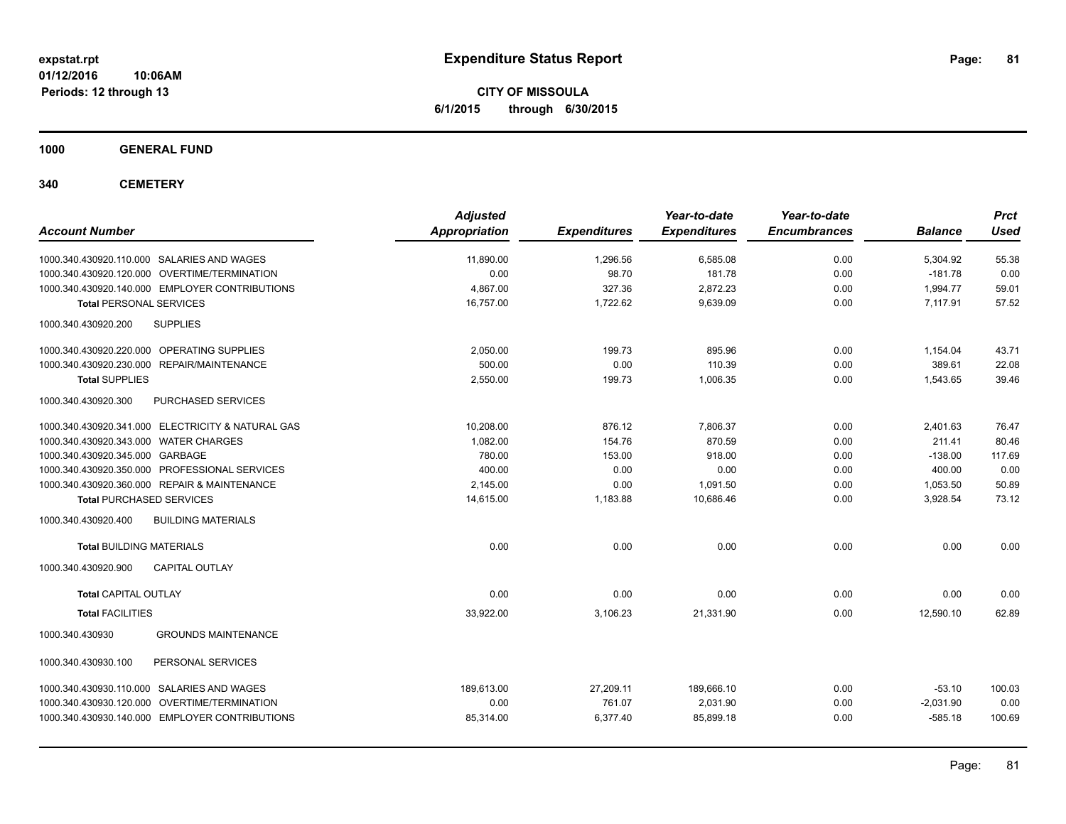**CITY OF MISSOULA 6/1/2015 through 6/30/2015**

**1000 GENERAL FUND**

**340 CEMETERY**

| <b>Account Number</b>                             | <b>Adjusted</b><br><b>Appropriation</b> | <b>Expenditures</b> | Year-to-date<br><b>Expenditures</b> | Year-to-date<br><b>Encumbrances</b> | <b>Balance</b> | <b>Prct</b><br><b>Used</b> |
|---------------------------------------------------|-----------------------------------------|---------------------|-------------------------------------|-------------------------------------|----------------|----------------------------|
| 1000.340.430920.110.000 SALARIES AND WAGES        | 11,890.00                               | 1,296.56            | 6,585.08                            | 0.00                                | 5,304.92       | 55.38                      |
| 1000.340.430920.120.000 OVERTIME/TERMINATION      | 0.00                                    | 98.70               | 181.78                              | 0.00                                | $-181.78$      | 0.00                       |
| 1000.340.430920.140.000 EMPLOYER CONTRIBUTIONS    | 4.867.00                                | 327.36              | 2,872.23                            | 0.00                                | 1,994.77       | 59.01                      |
| <b>Total PERSONAL SERVICES</b>                    | 16,757.00                               | 1,722.62            | 9,639.09                            | 0.00                                | 7,117.91       | 57.52                      |
| <b>SUPPLIES</b><br>1000.340.430920.200            |                                         |                     |                                     |                                     |                |                            |
| 1000.340.430920.220.000 OPERATING SUPPLIES        | 2,050.00                                | 199.73              | 895.96                              | 0.00                                | 1,154.04       | 43.71                      |
| 1000.340.430920.230.000 REPAIR/MAINTENANCE        | 500.00                                  | 0.00                | 110.39                              | 0.00                                | 389.61         | 22.08                      |
| <b>Total SUPPLIES</b>                             | 2,550.00                                | 199.73              | 1,006.35                            | 0.00                                | 1,543.65       | 39.46                      |
| PURCHASED SERVICES<br>1000.340.430920.300         |                                         |                     |                                     |                                     |                |                            |
| 1000.340.430920.341.000 ELECTRICITY & NATURAL GAS | 10,208.00                               | 876.12              | 7,806.37                            | 0.00                                | 2,401.63       | 76.47                      |
| 1000.340.430920.343.000 WATER CHARGES             | 1.082.00                                | 154.76              | 870.59                              | 0.00                                | 211.41         | 80.46                      |
| 1000.340.430920.345.000 GARBAGE                   | 780.00                                  | 153.00              | 918.00                              | 0.00                                | $-138.00$      | 117.69                     |
| 1000.340.430920.350.000 PROFESSIONAL SERVICES     | 400.00                                  | 0.00                | 0.00                                | 0.00                                | 400.00         | 0.00                       |
| 1000.340.430920.360.000 REPAIR & MAINTENANCE      | 2,145.00                                | 0.00                | 1,091.50                            | 0.00                                | 1,053.50       | 50.89                      |
| <b>Total PURCHASED SERVICES</b>                   | 14,615.00                               | 1,183.88            | 10,686.46                           | 0.00                                | 3,928.54       | 73.12                      |
| 1000.340.430920.400<br><b>BUILDING MATERIALS</b>  |                                         |                     |                                     |                                     |                |                            |
| <b>Total BUILDING MATERIALS</b>                   | 0.00                                    | 0.00                | 0.00                                | 0.00                                | 0.00           | 0.00                       |
| <b>CAPITAL OUTLAY</b><br>1000.340.430920.900      |                                         |                     |                                     |                                     |                |                            |
| <b>Total CAPITAL OUTLAY</b>                       | 0.00                                    | 0.00                | 0.00                                | 0.00                                | 0.00           | 0.00                       |
| <b>Total FACILITIES</b>                           | 33,922.00                               | 3,106.23            | 21,331.90                           | 0.00                                | 12,590.10      | 62.89                      |
| 1000.340.430930<br><b>GROUNDS MAINTENANCE</b>     |                                         |                     |                                     |                                     |                |                            |
| 1000.340.430930.100<br>PERSONAL SERVICES          |                                         |                     |                                     |                                     |                |                            |
| 1000.340.430930.110.000 SALARIES AND WAGES        | 189.613.00                              | 27,209.11           | 189.666.10                          | 0.00                                | $-53.10$       | 100.03                     |
| 1000.340.430930.120.000 OVERTIME/TERMINATION      | 0.00                                    | 761.07              | 2,031.90                            | 0.00                                | $-2,031.90$    | 0.00                       |
| 1000.340.430930.140.000 EMPLOYER CONTRIBUTIONS    | 85,314.00                               | 6,377.40            | 85,899.18                           | 0.00                                | $-585.18$      | 100.69                     |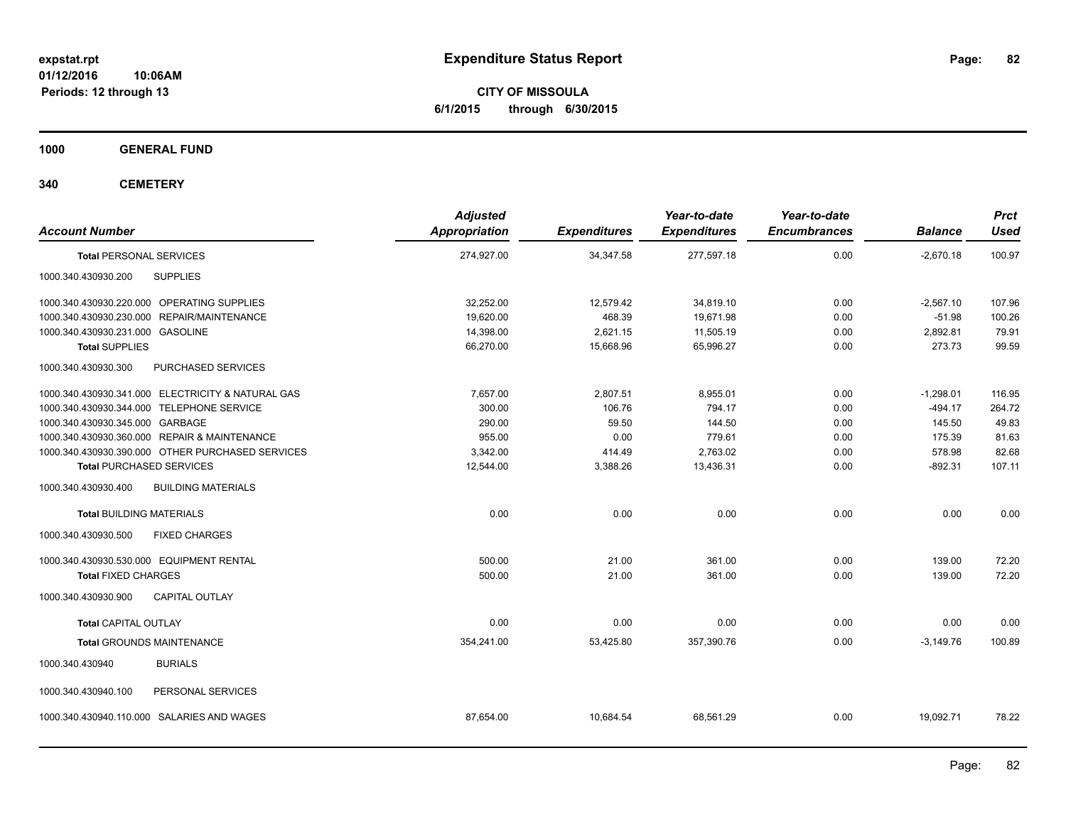**CITY OF MISSOULA 6/1/2015 through 6/30/2015**

**1000 GENERAL FUND**

**340 CEMETERY**

| <b>Account Number</b>                             |                           | <b>Adjusted</b><br><b>Appropriation</b> | <b>Expenditures</b> | Year-to-date<br><b>Expenditures</b> | Year-to-date<br><b>Encumbrances</b> | <b>Balance</b> | <b>Prct</b><br><b>Used</b> |
|---------------------------------------------------|---------------------------|-----------------------------------------|---------------------|-------------------------------------|-------------------------------------|----------------|----------------------------|
| <b>Total PERSONAL SERVICES</b>                    |                           | 274,927.00                              | 34,347.58           | 277,597.18                          | 0.00                                | $-2,670.18$    | 100.97                     |
| 1000.340.430930.200                               | <b>SUPPLIES</b>           |                                         |                     |                                     |                                     |                |                            |
| 1000.340.430930.220.000 OPERATING SUPPLIES        |                           | 32,252.00                               | 12,579.42           | 34,819.10                           | 0.00                                | $-2,567.10$    | 107.96                     |
| 1000.340.430930.230.000 REPAIR/MAINTENANCE        |                           | 19,620.00                               | 468.39              | 19,671.98                           | 0.00                                | $-51.98$       | 100.26                     |
| 1000.340.430930.231.000 GASOLINE                  |                           | 14,398.00                               | 2,621.15            | 11,505.19                           | 0.00                                | 2,892.81       | 79.91                      |
| <b>Total SUPPLIES</b>                             |                           | 66,270.00                               | 15,668.96           | 65,996.27                           | 0.00                                | 273.73         | 99.59                      |
| 1000.340.430930.300                               | <b>PURCHASED SERVICES</b> |                                         |                     |                                     |                                     |                |                            |
| 1000.340.430930.341.000 ELECTRICITY & NATURAL GAS |                           | 7.657.00                                | 2,807.51            | 8,955.01                            | 0.00                                | $-1,298.01$    | 116.95                     |
| 1000.340.430930.344.000 TELEPHONE SERVICE         |                           | 300.00                                  | 106.76              | 794.17                              | 0.00                                | $-494.17$      | 264.72                     |
| 1000.340.430930.345.000 GARBAGE                   |                           | 290.00                                  | 59.50               | 144.50                              | 0.00                                | 145.50         | 49.83                      |
| 1000.340.430930.360.000 REPAIR & MAINTENANCE      |                           | 955.00                                  | 0.00                | 779.61                              | 0.00                                | 175.39         | 81.63                      |
| 1000.340.430930.390.000 OTHER PURCHASED SERVICES  |                           | 3.342.00                                | 414.49              | 2.763.02                            | 0.00                                | 578.98         | 82.68                      |
| <b>Total PURCHASED SERVICES</b>                   |                           | 12,544.00                               | 3,388.26            | 13,436.31                           | 0.00                                | $-892.31$      | 107.11                     |
| 1000.340.430930.400                               | <b>BUILDING MATERIALS</b> |                                         |                     |                                     |                                     |                |                            |
| <b>Total BUILDING MATERIALS</b>                   |                           | 0.00                                    | 0.00                | 0.00                                | 0.00                                | 0.00           | 0.00                       |
| 1000.340.430930.500                               | <b>FIXED CHARGES</b>      |                                         |                     |                                     |                                     |                |                            |
| 1000.340.430930.530.000 EQUIPMENT RENTAL          |                           | 500.00                                  | 21.00               | 361.00                              | 0.00                                | 139.00         | 72.20                      |
| <b>Total FIXED CHARGES</b>                        |                           | 500.00                                  | 21.00               | 361.00                              | 0.00                                | 139.00         | 72.20                      |
| 1000.340.430930.900                               | <b>CAPITAL OUTLAY</b>     |                                         |                     |                                     |                                     |                |                            |
| <b>Total CAPITAL OUTLAY</b>                       |                           | 0.00                                    | 0.00                | 0.00                                | 0.00                                | 0.00           | 0.00                       |
| <b>Total GROUNDS MAINTENANCE</b>                  |                           | 354,241.00                              | 53,425.80           | 357,390.76                          | 0.00                                | $-3,149.76$    | 100.89                     |
| 1000.340.430940                                   | <b>BURIALS</b>            |                                         |                     |                                     |                                     |                |                            |
| 1000.340.430940.100                               | PERSONAL SERVICES         |                                         |                     |                                     |                                     |                |                            |
| 1000.340.430940.110.000 SALARIES AND WAGES        |                           | 87,654.00                               | 10,684.54           | 68,561.29                           | 0.00                                | 19,092.71      | 78.22                      |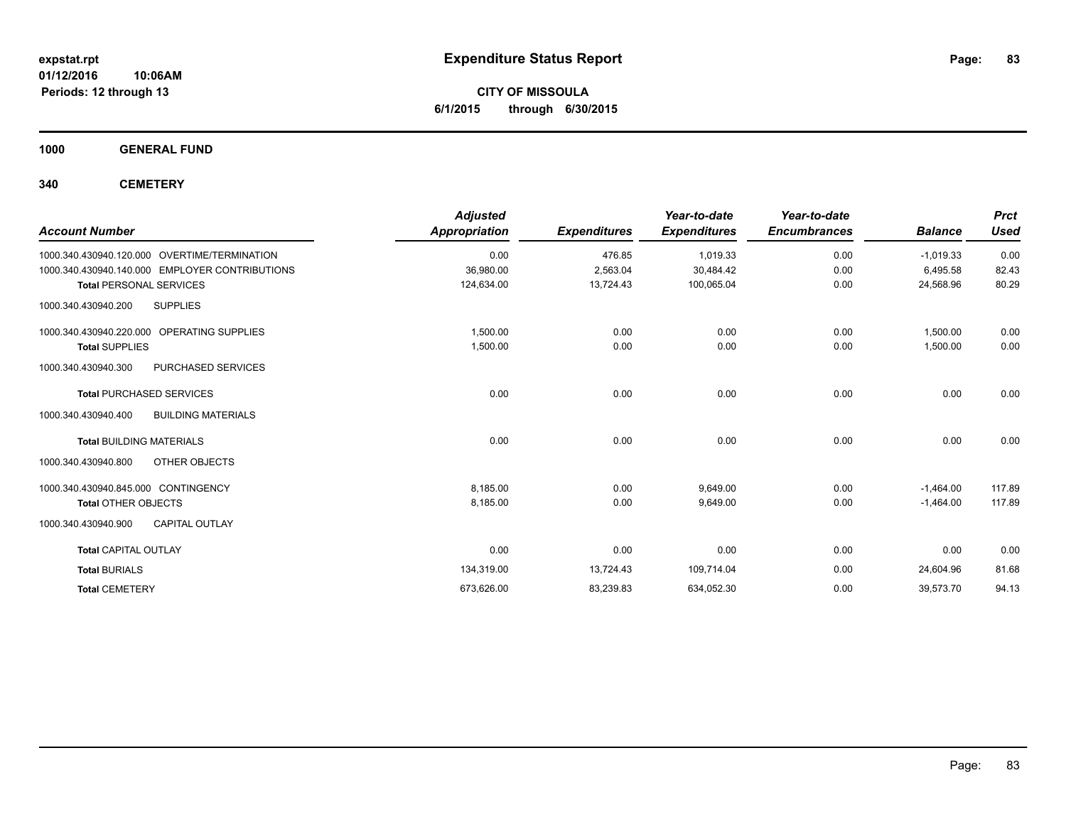**CITY OF MISSOULA 6/1/2015 through 6/30/2015**

**1000 GENERAL FUND**

**340 CEMETERY**

| <b>Account Number</b>                            | <b>Adjusted</b><br>Appropriation | <b>Expenditures</b> | Year-to-date<br><b>Expenditures</b> | Year-to-date<br><b>Encumbrances</b> | <b>Balance</b> | <b>Prct</b><br><b>Used</b> |
|--------------------------------------------------|----------------------------------|---------------------|-------------------------------------|-------------------------------------|----------------|----------------------------|
| 1000.340.430940.120.000 OVERTIME/TERMINATION     | 0.00                             | 476.85              | 1,019.33                            | 0.00                                | $-1.019.33$    | 0.00                       |
| 1000.340.430940.140.000 EMPLOYER CONTRIBUTIONS   | 36,980.00                        | 2,563.04            | 30,484.42                           | 0.00                                | 6,495.58       | 82.43                      |
| <b>Total PERSONAL SERVICES</b>                   | 124,634.00                       | 13,724.43           | 100,065.04                          | 0.00                                | 24,568.96      | 80.29                      |
| <b>SUPPLIES</b><br>1000.340.430940.200           |                                  |                     |                                     |                                     |                |                            |
| 1000.340.430940.220.000 OPERATING SUPPLIES       | 1,500.00                         | 0.00                | 0.00                                | 0.00                                | 1,500.00       | 0.00                       |
| <b>Total SUPPLIES</b>                            | 1.500.00                         | 0.00                | 0.00                                | 0.00                                | 1.500.00       | 0.00                       |
| 1000.340.430940.300<br><b>PURCHASED SERVICES</b> |                                  |                     |                                     |                                     |                |                            |
| <b>Total PURCHASED SERVICES</b>                  | 0.00                             | 0.00                | 0.00                                | 0.00                                | 0.00           | 0.00                       |
| <b>BUILDING MATERIALS</b><br>1000.340.430940.400 |                                  |                     |                                     |                                     |                |                            |
| <b>Total BUILDING MATERIALS</b>                  | 0.00                             | 0.00                | 0.00                                | 0.00                                | 0.00           | 0.00                       |
| 1000.340.430940.800<br>OTHER OBJECTS             |                                  |                     |                                     |                                     |                |                            |
| 1000.340.430940.845.000 CONTINGENCY              | 8,185.00                         | 0.00                | 9,649.00                            | 0.00                                | $-1,464.00$    | 117.89                     |
| <b>Total OTHER OBJECTS</b>                       | 8,185.00                         | 0.00                | 9,649.00                            | 0.00                                | $-1,464.00$    | 117.89                     |
| <b>CAPITAL OUTLAY</b><br>1000.340.430940.900     |                                  |                     |                                     |                                     |                |                            |
| <b>Total CAPITAL OUTLAY</b>                      | 0.00                             | 0.00                | 0.00                                | 0.00                                | 0.00           | 0.00                       |
| <b>Total BURIALS</b>                             | 134,319.00                       | 13,724.43           | 109,714.04                          | 0.00                                | 24,604.96      | 81.68                      |
| <b>Total CEMETERY</b>                            | 673,626.00                       | 83,239.83           | 634,052.30                          | 0.00                                | 39,573.70      | 94.13                      |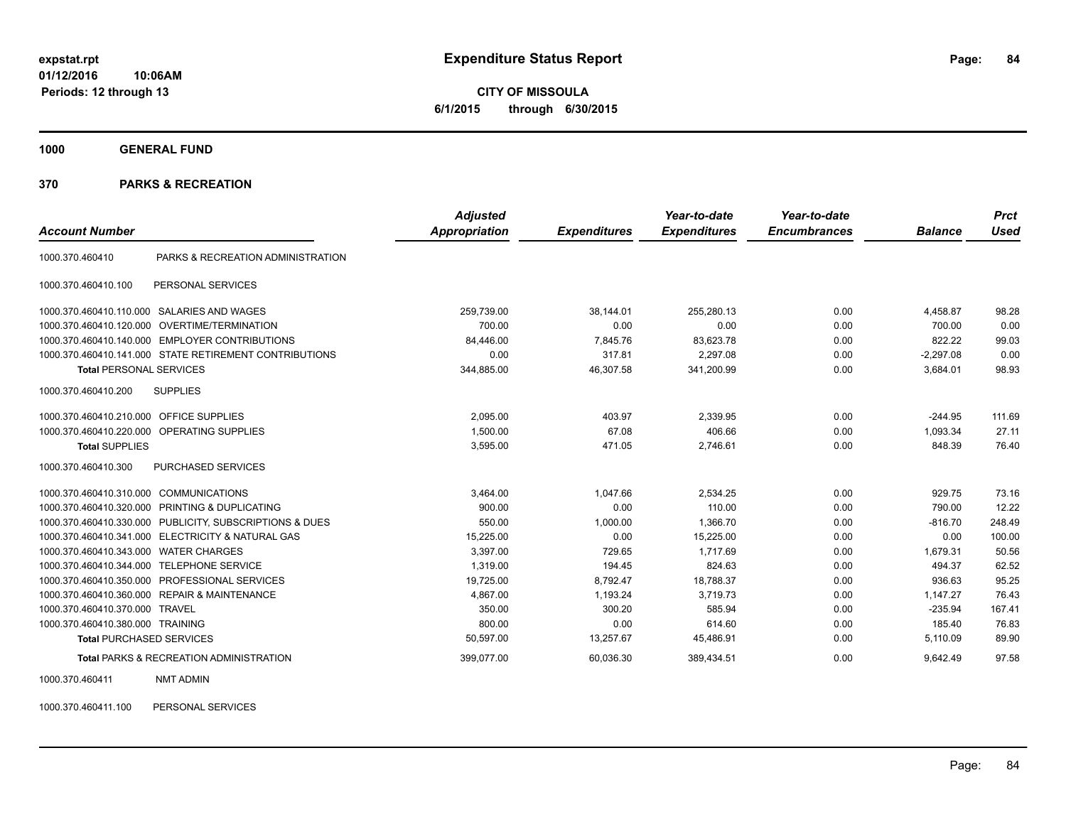**CITY OF MISSOULA 6/1/2015 through 6/30/2015**

**1000 GENERAL FUND**

### **370 PARKS & RECREATION**

|                                           |                                                         | <b>Adjusted</b> |                     | Year-to-date        | Year-to-date        |                | <b>Prct</b> |
|-------------------------------------------|---------------------------------------------------------|-----------------|---------------------|---------------------|---------------------|----------------|-------------|
| <b>Account Number</b>                     |                                                         | Appropriation   | <b>Expenditures</b> | <b>Expenditures</b> | <b>Encumbrances</b> | <b>Balance</b> | <b>Used</b> |
| 1000.370.460410                           | PARKS & RECREATION ADMINISTRATION                       |                 |                     |                     |                     |                |             |
| 1000.370.460410.100                       | PERSONAL SERVICES                                       |                 |                     |                     |                     |                |             |
| 1000.370.460410.110.000                   | SALARIES AND WAGES                                      | 259,739.00      | 38,144.01           | 255,280.13          | 0.00                | 4,458.87       | 98.28       |
| 1000.370.460410.120.000                   | OVERTIME/TERMINATION                                    | 700.00          | 0.00                | 0.00                | 0.00                | 700.00         | 0.00        |
|                                           | 1000.370.460410.140.000 EMPLOYER CONTRIBUTIONS          | 84,446.00       | 7,845.76            | 83,623.78           | 0.00                | 822.22         | 99.03       |
|                                           | 1000.370.460410.141.000 STATE RETIREMENT CONTRIBUTIONS  | 0.00            | 317.81              | 2.297.08            | 0.00                | $-2.297.08$    | 0.00        |
| <b>Total PERSONAL SERVICES</b>            |                                                         | 344,885.00      | 46,307.58           | 341,200.99          | 0.00                | 3,684.01       | 98.93       |
| 1000.370.460410.200                       | <b>SUPPLIES</b>                                         |                 |                     |                     |                     |                |             |
| 1000.370.460410.210.000 OFFICE SUPPLIES   |                                                         | 2,095.00        | 403.97              | 2,339.95            | 0.00                | $-244.95$      | 111.69      |
|                                           | 1000.370.460410.220.000 OPERATING SUPPLIES              | 1,500.00        | 67.08               | 406.66              | 0.00                | 1,093.34       | 27.11       |
| <b>Total SUPPLIES</b>                     |                                                         | 3,595.00        | 471.05              | 2,746.61            | 0.00                | 848.39         | 76.40       |
| 1000.370.460410.300                       | <b>PURCHASED SERVICES</b>                               |                 |                     |                     |                     |                |             |
| 1000.370.460410.310.000 COMMUNICATIONS    |                                                         | 3,464.00        | 1,047.66            | 2,534.25            | 0.00                | 929.75         | 73.16       |
|                                           | 1000.370.460410.320.000 PRINTING & DUPLICATING          | 900.00          | 0.00                | 110.00              | 0.00                | 790.00         | 12.22       |
|                                           | 1000.370.460410.330.000 PUBLICITY, SUBSCRIPTIONS & DUES | 550.00          | 1,000.00            | 1,366.70            | 0.00                | $-816.70$      | 248.49      |
|                                           | 1000.370.460410.341.000 ELECTRICITY & NATURAL GAS       | 15,225.00       | 0.00                | 15,225.00           | 0.00                | 0.00           | 100.00      |
| 1000.370.460410.343.000 WATER CHARGES     |                                                         | 3.397.00        | 729.65              | 1.717.69            | 0.00                | 1.679.31       | 50.56       |
| 1000.370.460410.344.000 TELEPHONE SERVICE |                                                         | 1.319.00        | 194.45              | 824.63              | 0.00                | 494.37         | 62.52       |
|                                           | 1000.370.460410.350.000 PROFESSIONAL SERVICES           | 19,725.00       | 8,792.47            | 18,788.37           | 0.00                | 936.63         | 95.25       |
|                                           | 1000.370.460410.360.000 REPAIR & MAINTENANCE            | 4,867.00        | 1,193.24            | 3,719.73            | 0.00                | 1,147.27       | 76.43       |
| 1000.370.460410.370.000 TRAVEL            |                                                         | 350.00          | 300.20              | 585.94              | 0.00                | $-235.94$      | 167.41      |
| 1000.370.460410.380.000 TRAINING          |                                                         | 800.00          | 0.00                | 614.60              | 0.00                | 185.40         | 76.83       |
| <b>Total PURCHASED SERVICES</b>           |                                                         | 50,597.00       | 13,257.67           | 45,486.91           | 0.00                | 5,110.09       | 89.90       |
|                                           | <b>Total PARKS &amp; RECREATION ADMINISTRATION</b>      | 399,077.00      | 60,036.30           | 389,434.51          | 0.00                | 9,642.49       | 97.58       |

1000.370.460411 NMT ADMIN

1000.370.460411.100 PERSONAL SERVICES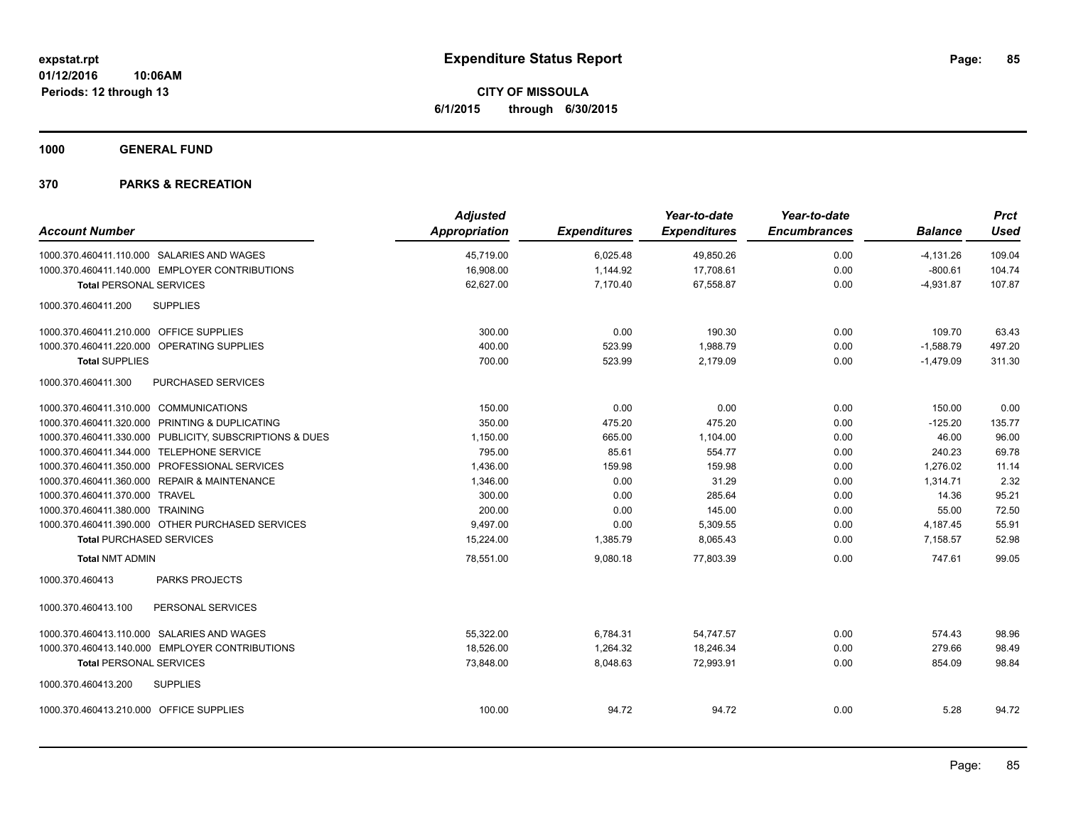**CITY OF MISSOULA 6/1/2015 through 6/30/2015**

**1000 GENERAL FUND**

|                                           |                                                         | <b>Adjusted</b>      |                     | Year-to-date        | Year-to-date        |                | <b>Prct</b> |
|-------------------------------------------|---------------------------------------------------------|----------------------|---------------------|---------------------|---------------------|----------------|-------------|
| <b>Account Number</b>                     |                                                         | <b>Appropriation</b> | <b>Expenditures</b> | <b>Expenditures</b> | <b>Encumbrances</b> | <b>Balance</b> | <b>Used</b> |
|                                           | 1000.370.460411.110.000 SALARIES AND WAGES              | 45,719.00            | 6,025.48            | 49,850.26           | 0.00                | $-4,131.26$    | 109.04      |
|                                           | 1000.370.460411.140.000 EMPLOYER CONTRIBUTIONS          | 16,908.00            | 1,144.92            | 17,708.61           | 0.00                | $-800.61$      | 104.74      |
| <b>Total PERSONAL SERVICES</b>            |                                                         | 62,627.00            | 7,170.40            | 67,558.87           | 0.00                | $-4,931.87$    | 107.87      |
| 1000.370.460411.200                       | <b>SUPPLIES</b>                                         |                      |                     |                     |                     |                |             |
| 1000.370.460411.210.000 OFFICE SUPPLIES   |                                                         | 300.00               | 0.00                | 190.30              | 0.00                | 109.70         | 63.43       |
|                                           | 1000.370.460411.220.000 OPERATING SUPPLIES              | 400.00               | 523.99              | 1,988.79            | 0.00                | $-1,588.79$    | 497.20      |
| <b>Total SUPPLIES</b>                     |                                                         | 700.00               | 523.99              | 2,179.09            | 0.00                | $-1,479.09$    | 311.30      |
| 1000.370.460411.300                       | PURCHASED SERVICES                                      |                      |                     |                     |                     |                |             |
| 1000.370.460411.310.000 COMMUNICATIONS    |                                                         | 150.00               | 0.00                | 0.00                | 0.00                | 150.00         | 0.00        |
|                                           | 1000.370.460411.320.000 PRINTING & DUPLICATING          | 350.00               | 475.20              | 475.20              | 0.00                | $-125.20$      | 135.77      |
|                                           | 1000.370.460411.330.000 PUBLICITY, SUBSCRIPTIONS & DUES | 1,150.00             | 665.00              | 1,104.00            | 0.00                | 46.00          | 96.00       |
| 1000.370.460411.344.000 TELEPHONE SERVICE |                                                         | 795.00               | 85.61               | 554.77              | 0.00                | 240.23         | 69.78       |
|                                           | 1000.370.460411.350.000 PROFESSIONAL SERVICES           | 1,436.00             | 159.98              | 159.98              | 0.00                | 1,276.02       | 11.14       |
|                                           | 1000.370.460411.360.000 REPAIR & MAINTENANCE            | 1,346.00             | 0.00                | 31.29               | 0.00                | 1,314.71       | 2.32        |
| 1000.370.460411.370.000 TRAVEL            |                                                         | 300.00               | 0.00                | 285.64              | 0.00                | 14.36          | 95.21       |
| 1000.370.460411.380.000 TRAINING          |                                                         | 200.00               | 0.00                | 145.00              | 0.00                | 55.00          | 72.50       |
|                                           | 1000.370.460411.390.000 OTHER PURCHASED SERVICES        | 9,497.00             | 0.00                | 5,309.55            | 0.00                | 4,187.45       | 55.91       |
| <b>Total PURCHASED SERVICES</b>           |                                                         | 15,224.00            | 1,385.79            | 8,065.43            | 0.00                | 7.158.57       | 52.98       |
| <b>Total NMT ADMIN</b>                    |                                                         | 78,551.00            | 9,080.18            | 77,803.39           | 0.00                | 747.61         | 99.05       |
| 1000.370.460413                           | <b>PARKS PROJECTS</b>                                   |                      |                     |                     |                     |                |             |
| 1000.370.460413.100                       | PERSONAL SERVICES                                       |                      |                     |                     |                     |                |             |
|                                           | 1000.370.460413.110.000 SALARIES AND WAGES              | 55,322.00            | 6,784.31            | 54,747.57           | 0.00                | 574.43         | 98.96       |
|                                           | 1000.370.460413.140.000 EMPLOYER CONTRIBUTIONS          | 18,526.00            | 1,264.32            | 18,246.34           | 0.00                | 279.66         | 98.49       |
| <b>Total PERSONAL SERVICES</b>            |                                                         | 73,848.00            | 8,048.63            | 72,993.91           | 0.00                | 854.09         | 98.84       |
| 1000.370.460413.200                       | <b>SUPPLIES</b>                                         |                      |                     |                     |                     |                |             |
| 1000.370.460413.210.000 OFFICE SUPPLIES   |                                                         | 100.00               | 94.72               | 94.72               | 0.00                | 5.28           | 94.72       |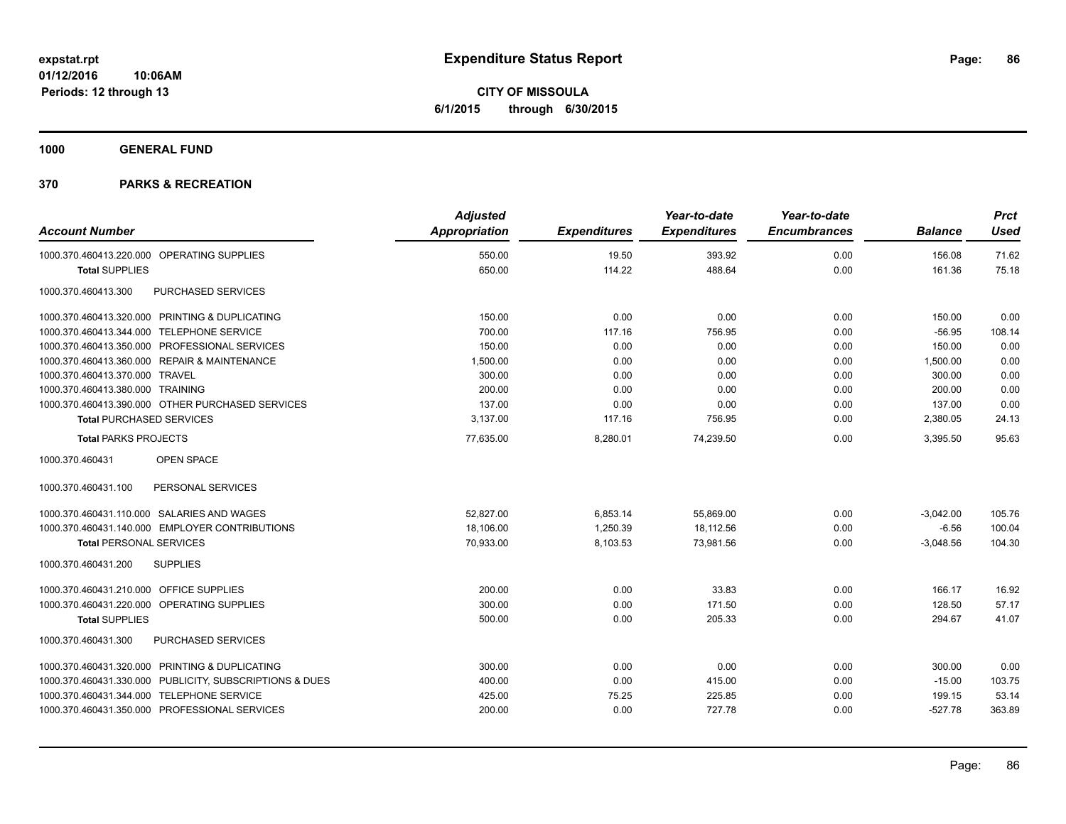**CITY OF MISSOULA 6/1/2015 through 6/30/2015**

**1000 GENERAL FUND**

| <b>Account Number</b>                                   | <b>Adjusted</b><br>Appropriation | <b>Expenditures</b> | Year-to-date<br><b>Expenditures</b> | Year-to-date<br><b>Encumbrances</b> | <b>Balance</b> | <b>Prct</b><br><b>Used</b> |
|---------------------------------------------------------|----------------------------------|---------------------|-------------------------------------|-------------------------------------|----------------|----------------------------|
|                                                         |                                  |                     |                                     |                                     |                |                            |
| 1000.370.460413.220.000 OPERATING SUPPLIES              | 550.00                           | 19.50               | 393.92                              | 0.00                                | 156.08         | 71.62                      |
| <b>Total SUPPLIES</b>                                   | 650.00                           | 114.22              | 488.64                              | 0.00                                | 161.36         | 75.18                      |
| 1000.370.460413.300<br>PURCHASED SERVICES               |                                  |                     |                                     |                                     |                |                            |
| 1000.370.460413.320.000 PRINTING & DUPLICATING          | 150.00                           | 0.00                | 0.00                                | 0.00                                | 150.00         | 0.00                       |
| 1000.370.460413.344.000 TELEPHONE SERVICE               | 700.00                           | 117.16              | 756.95                              | 0.00                                | $-56.95$       | 108.14                     |
| 1000.370.460413.350.000 PROFESSIONAL SERVICES           | 150.00                           | 0.00                | 0.00                                | 0.00                                | 150.00         | 0.00                       |
| 1000.370.460413.360.000 REPAIR & MAINTENANCE            | 1,500.00                         | 0.00                | 0.00                                | 0.00                                | 1,500.00       | 0.00                       |
| 1000.370.460413.370.000 TRAVEL                          | 300.00                           | 0.00                | 0.00                                | 0.00                                | 300.00         | 0.00                       |
| 1000.370.460413.380.000 TRAINING                        | 200.00                           | 0.00                | 0.00                                | 0.00                                | 200.00         | 0.00                       |
| 1000.370.460413.390.000 OTHER PURCHASED SERVICES        | 137.00                           | 0.00                | 0.00                                | 0.00                                | 137.00         | 0.00                       |
| <b>Total PURCHASED SERVICES</b>                         | 3,137.00                         | 117.16              | 756.95                              | 0.00                                | 2,380.05       | 24.13                      |
| <b>Total PARKS PROJECTS</b>                             | 77,635.00                        | 8,280.01            | 74,239.50                           | 0.00                                | 3,395.50       | 95.63                      |
| OPEN SPACE<br>1000.370.460431                           |                                  |                     |                                     |                                     |                |                            |
| 1000.370.460431.100<br>PERSONAL SERVICES                |                                  |                     |                                     |                                     |                |                            |
| 1000.370.460431.110.000 SALARIES AND WAGES              | 52.827.00                        | 6,853.14            | 55,869.00                           | 0.00                                | $-3,042.00$    | 105.76                     |
| 1000.370.460431.140.000 EMPLOYER CONTRIBUTIONS          | 18,106.00                        | 1,250.39            | 18,112.56                           | 0.00                                | $-6.56$        | 100.04                     |
| <b>Total PERSONAL SERVICES</b>                          | 70,933.00                        | 8,103.53            | 73,981.56                           | 0.00                                | $-3,048.56$    | 104.30                     |
| 1000.370.460431.200<br><b>SUPPLIES</b>                  |                                  |                     |                                     |                                     |                |                            |
| 1000.370.460431.210.000 OFFICE SUPPLIES                 | 200.00                           | 0.00                | 33.83                               | 0.00                                | 166.17         | 16.92                      |
| 1000.370.460431.220.000 OPERATING SUPPLIES              | 300.00                           | 0.00                | 171.50                              | 0.00                                | 128.50         | 57.17                      |
| <b>Total SUPPLIES</b>                                   | 500.00                           | 0.00                | 205.33                              | 0.00                                | 294.67         | 41.07                      |
| 1000.370.460431.300<br>PURCHASED SERVICES               |                                  |                     |                                     |                                     |                |                            |
| 1000.370.460431.320.000 PRINTING & DUPLICATING          | 300.00                           | 0.00                | 0.00                                | 0.00                                | 300.00         | 0.00                       |
| 1000.370.460431.330.000 PUBLICITY, SUBSCRIPTIONS & DUES | 400.00                           | 0.00                | 415.00                              | 0.00                                | $-15.00$       | 103.75                     |
| 1000.370.460431.344.000 TELEPHONE SERVICE               | 425.00                           | 75.25               | 225.85                              | 0.00                                | 199.15         | 53.14                      |
| 1000.370.460431.350.000 PROFESSIONAL SERVICES           | 200.00                           | 0.00                | 727.78                              | 0.00                                | $-527.78$      | 363.89                     |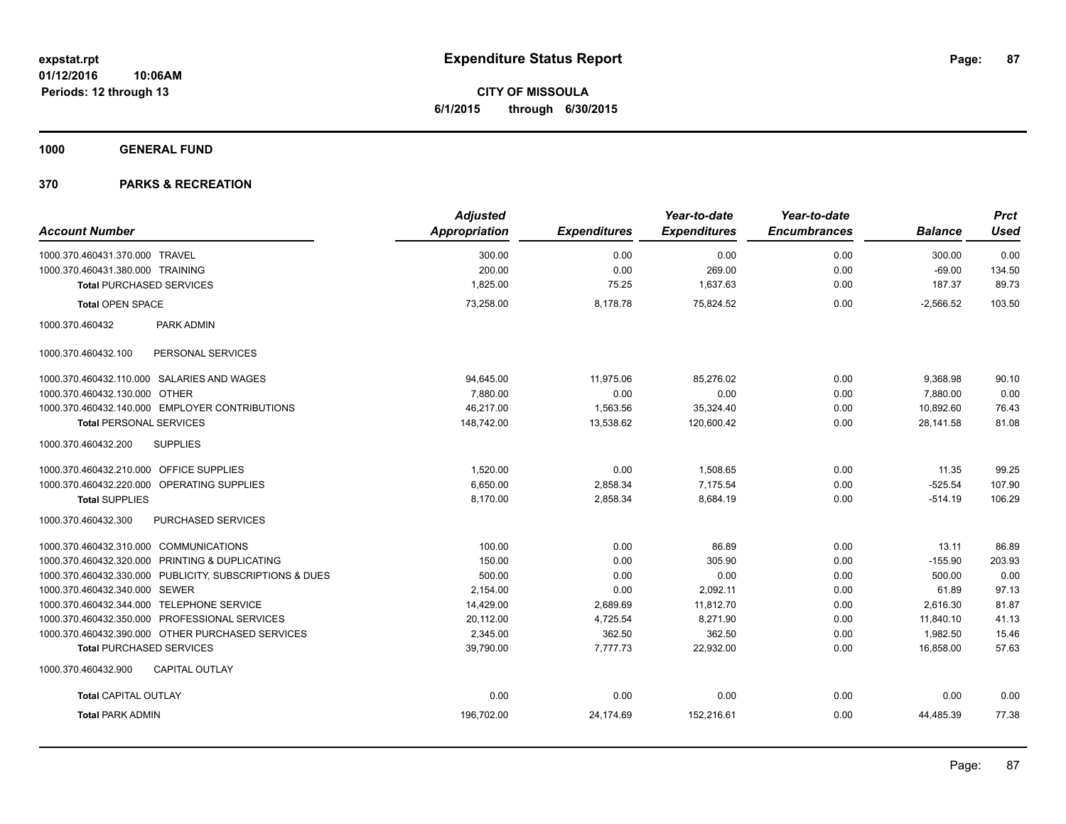**CITY OF MISSOULA 6/1/2015 through 6/30/2015**

**1000 GENERAL FUND**

|                                                         | <b>Adjusted</b> |                     | Year-to-date        | Year-to-date        |                | <b>Prct</b> |
|---------------------------------------------------------|-----------------|---------------------|---------------------|---------------------|----------------|-------------|
| <b>Account Number</b>                                   | Appropriation   | <b>Expenditures</b> | <b>Expenditures</b> | <b>Encumbrances</b> | <b>Balance</b> | <b>Used</b> |
| 1000.370.460431.370.000 TRAVEL                          | 300.00          | 0.00                | 0.00                | 0.00                | 300.00         | 0.00        |
| 1000.370.460431.380.000 TRAINING                        | 200.00          | 0.00                | 269.00              | 0.00                | $-69.00$       | 134.50      |
| <b>Total PURCHASED SERVICES</b>                         | 1,825.00        | 75.25               | 1,637.63            | 0.00                | 187.37         | 89.73       |
| <b>Total OPEN SPACE</b>                                 | 73.258.00       | 8.178.78            | 75.824.52           | 0.00                | $-2.566.52$    | 103.50      |
| 1000.370.460432<br>PARK ADMIN                           |                 |                     |                     |                     |                |             |
| PERSONAL SERVICES<br>1000.370.460432.100                |                 |                     |                     |                     |                |             |
| 1000.370.460432.110.000 SALARIES AND WAGES              | 94,645.00       | 11.975.06           | 85.276.02           | 0.00                | 9.368.98       | 90.10       |
| 1000.370.460432.130.000 OTHER                           | 7,880.00        | 0.00                | 0.00                | 0.00                | 7,880.00       | 0.00        |
| 1000.370.460432.140.000 EMPLOYER CONTRIBUTIONS          | 46,217.00       | 1,563.56            | 35,324.40           | 0.00                | 10,892.60      | 76.43       |
| <b>Total PERSONAL SERVICES</b>                          | 148,742.00      | 13,538.62           | 120,600.42          | 0.00                | 28,141.58      | 81.08       |
| <b>SUPPLIES</b><br>1000.370.460432.200                  |                 |                     |                     |                     |                |             |
| 1000.370.460432.210.000 OFFICE SUPPLIES                 | 1,520.00        | 0.00                | 1,508.65            | 0.00                | 11.35          | 99.25       |
| 1000.370.460432.220.000 OPERATING SUPPLIES              | 6.650.00        | 2,858.34            | 7.175.54            | 0.00                | $-525.54$      | 107.90      |
| <b>Total SUPPLIES</b>                                   | 8,170.00        | 2,858.34            | 8,684.19            | 0.00                | $-514.19$      | 106.29      |
| 1000.370.460432.300<br><b>PURCHASED SERVICES</b>        |                 |                     |                     |                     |                |             |
| 1000.370.460432.310.000 COMMUNICATIONS                  | 100.00          | 0.00                | 86.89               | 0.00                | 13.11          | 86.89       |
| 1000.370.460432.320.000 PRINTING & DUPLICATING          | 150.00          | 0.00                | 305.90              | 0.00                | $-155.90$      | 203.93      |
| 1000.370.460432.330.000 PUBLICITY, SUBSCRIPTIONS & DUES | 500.00          | 0.00                | 0.00                | 0.00                | 500.00         | 0.00        |
| 1000.370.460432.340.000 SEWER                           | 2,154.00        | 0.00                | 2,092.11            | 0.00                | 61.89          | 97.13       |
| 1000.370.460432.344.000 TELEPHONE SERVICE               | 14,429.00       | 2,689.69            | 11,812.70           | 0.00                | 2,616.30       | 81.87       |
| 1000.370.460432.350.000 PROFESSIONAL SERVICES           | 20,112.00       | 4,725.54            | 8,271.90            | 0.00                | 11,840.10      | 41.13       |
| 1000.370.460432.390.000 OTHER PURCHASED SERVICES        | 2,345.00        | 362.50              | 362.50              | 0.00                | 1,982.50       | 15.46       |
| <b>Total PURCHASED SERVICES</b>                         | 39,790.00       | 7,777.73            | 22,932.00           | 0.00                | 16,858.00      | 57.63       |
| 1000.370.460432.900<br><b>CAPITAL OUTLAY</b>            |                 |                     |                     |                     |                |             |
| <b>Total CAPITAL OUTLAY</b>                             | 0.00            | 0.00                | 0.00                | 0.00                | 0.00           | 0.00        |
| <b>Total PARK ADMIN</b>                                 | 196,702.00      | 24,174.69           | 152,216.61          | 0.00                | 44,485.39      | 77.38       |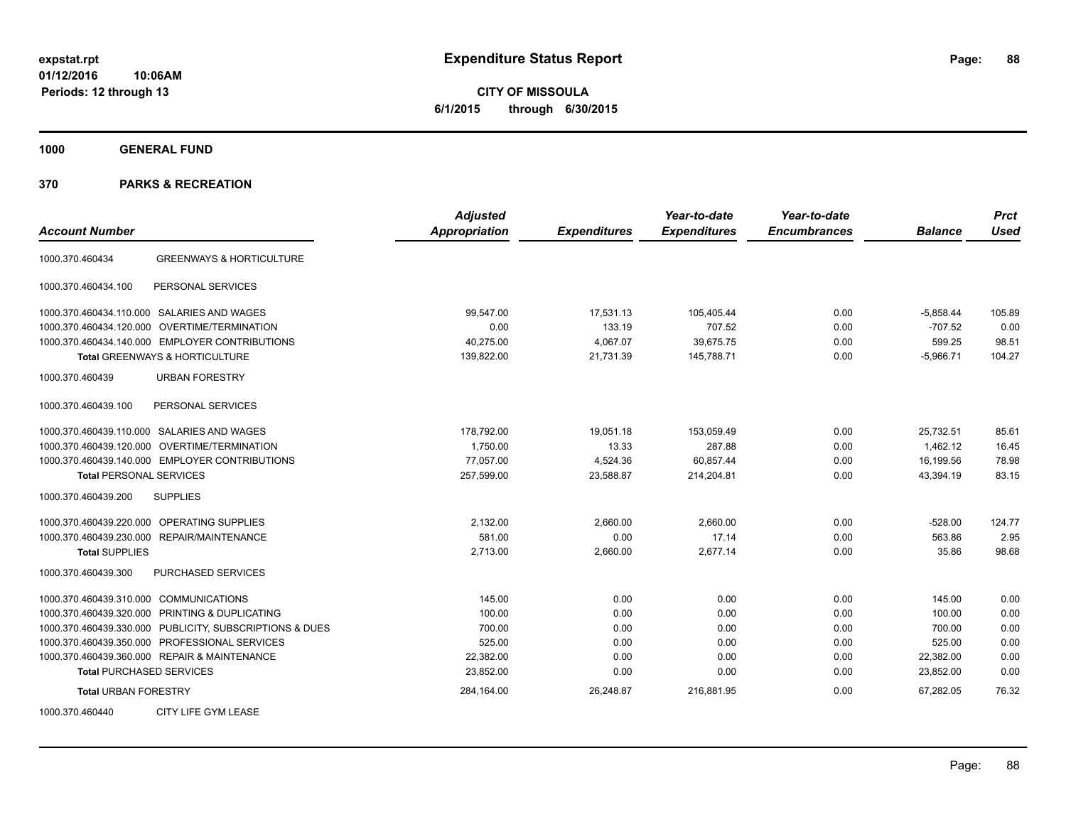**CITY OF MISSOULA 6/1/2015 through 6/30/2015**

**1000 GENERAL FUND**

| <b>Account Number</b>                                   | <b>Adjusted</b><br><b>Appropriation</b> | <b>Expenditures</b> | Year-to-date<br><b>Expenditures</b> | Year-to-date<br><b>Encumbrances</b> | <b>Balance</b> | <b>Prct</b><br><b>Used</b> |
|---------------------------------------------------------|-----------------------------------------|---------------------|-------------------------------------|-------------------------------------|----------------|----------------------------|
| <b>GREENWAYS &amp; HORTICULTURE</b><br>1000.370.460434  |                                         |                     |                                     |                                     |                |                            |
| PERSONAL SERVICES<br>1000.370.460434.100                |                                         |                     |                                     |                                     |                |                            |
| 1000.370.460434.110.000 SALARIES AND WAGES              | 99,547.00                               | 17,531.13           | 105,405.44                          | 0.00                                | $-5,858.44$    | 105.89                     |
| <b>OVERTIME/TERMINATION</b><br>1000.370.460434.120.000  | 0.00                                    | 133.19              | 707.52                              | 0.00                                | $-707.52$      | 0.00                       |
| 1000.370.460434.140.000 EMPLOYER CONTRIBUTIONS          | 40,275.00                               | 4,067.07            | 39,675.75                           | 0.00                                | 599.25         | 98.51                      |
| Total GREENWAYS & HORTICULTURE                          | 139,822.00                              | 21,731.39           | 145,788.71                          | 0.00                                | $-5,966.71$    | 104.27                     |
| 1000.370.460439<br><b>URBAN FORESTRY</b>                |                                         |                     |                                     |                                     |                |                            |
| PERSONAL SERVICES<br>1000.370.460439.100                |                                         |                     |                                     |                                     |                |                            |
| SALARIES AND WAGES<br>1000.370.460439.110.000           | 178,792.00                              | 19,051.18           | 153,059.49                          | 0.00                                | 25,732.51      | 85.61                      |
| 1000.370.460439.120.000<br>OVERTIME/TERMINATION         | 1,750.00                                | 13.33               | 287.88                              | 0.00                                | 1,462.12       | 16.45                      |
| 1000.370.460439.140.000 EMPLOYER CONTRIBUTIONS          | 77,057.00                               | 4,524.36            | 60,857.44                           | 0.00                                | 16,199.56      | 78.98                      |
| <b>Total PERSONAL SERVICES</b>                          | 257,599.00                              | 23,588.87           | 214,204.81                          | 0.00                                | 43,394.19      | 83.15                      |
| 1000.370.460439.200<br><b>SUPPLIES</b>                  |                                         |                     |                                     |                                     |                |                            |
| 1000.370.460439.220.000<br>OPERATING SUPPLIES           | 2,132.00                                | 2,660.00            | 2,660.00                            | 0.00                                | $-528.00$      | 124.77                     |
| 1000.370.460439.230.000 REPAIR/MAINTENANCE              | 581.00                                  | 0.00                | 17.14                               | 0.00                                | 563.86         | 2.95                       |
| <b>Total SUPPLIES</b>                                   | 2,713.00                                | 2,660.00            | 2,677.14                            | 0.00                                | 35.86          | 98.68                      |
| 1000.370.460439.300<br><b>PURCHASED SERVICES</b>        |                                         |                     |                                     |                                     |                |                            |
| 1000.370.460439.310.000 COMMUNICATIONS                  | 145.00                                  | 0.00                | 0.00                                | 0.00                                | 145.00         | 0.00                       |
| 1000.370.460439.320.000 PRINTING & DUPLICATING          | 100.00                                  | 0.00                | 0.00                                | 0.00                                | 100.00         | 0.00                       |
| 1000.370.460439.330.000 PUBLICITY, SUBSCRIPTIONS & DUES | 700.00                                  | 0.00                | 0.00                                | 0.00                                | 700.00         | 0.00                       |
| 1000.370.460439.350.000 PROFESSIONAL SERVICES           | 525.00                                  | 0.00                | 0.00                                | 0.00                                | 525.00         | 0.00                       |
| 1000.370.460439.360.000 REPAIR & MAINTENANCE            | 22,382.00                               | 0.00                | 0.00                                | 0.00                                | 22,382.00      | 0.00                       |
| <b>Total PURCHASED SERVICES</b>                         | 23,852.00                               | 0.00                | 0.00                                | 0.00                                | 23,852.00      | 0.00                       |
| <b>Total URBAN FORESTRY</b>                             | 284,164.00                              | 26,248.87           | 216,881.95                          | 0.00                                | 67,282.05      | 76.32                      |
| CITY LIFE GYM LEASE<br>1000.370.460440                  |                                         |                     |                                     |                                     |                |                            |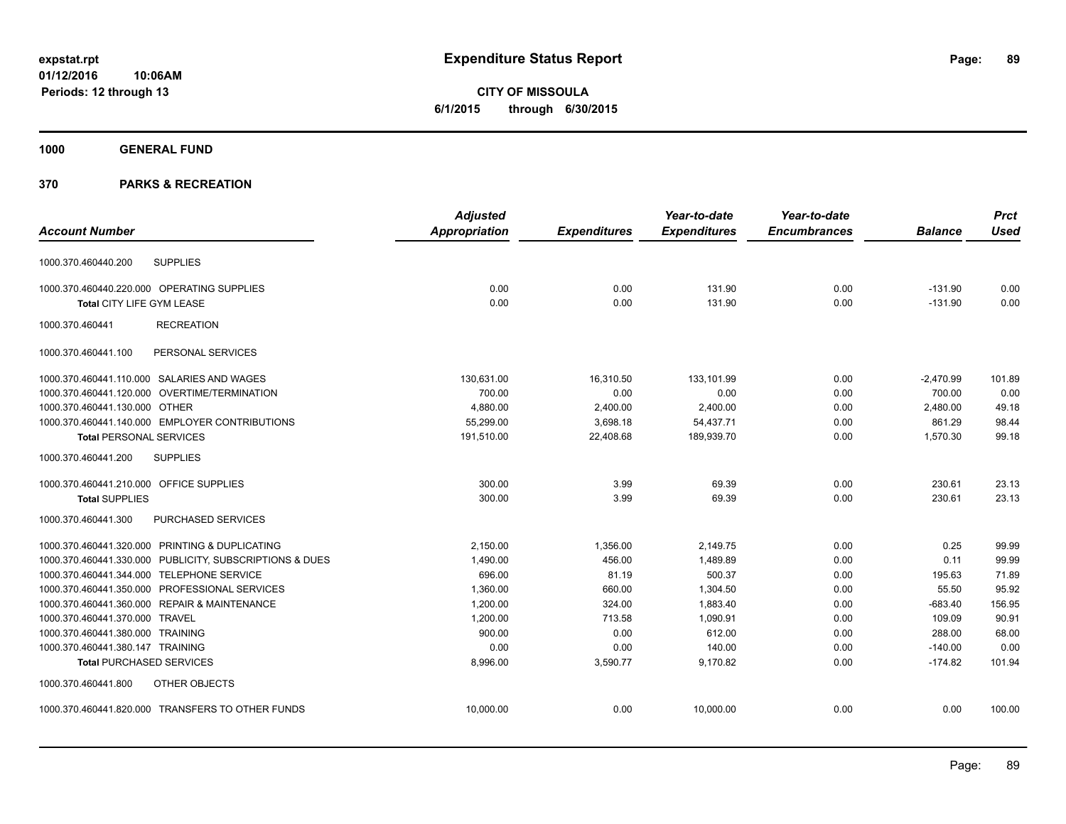**CITY OF MISSOULA 6/1/2015 through 6/30/2015**

# **1000 GENERAL FUND**

|                                                         | <b>Adjusted</b>      |                     | Year-to-date        | Year-to-date        |                | <b>Prct</b> |
|---------------------------------------------------------|----------------------|---------------------|---------------------|---------------------|----------------|-------------|
| <b>Account Number</b>                                   | <b>Appropriation</b> | <b>Expenditures</b> | <b>Expenditures</b> | <b>Encumbrances</b> | <b>Balance</b> | <b>Used</b> |
| <b>SUPPLIES</b><br>1000.370.460440.200                  |                      |                     |                     |                     |                |             |
| 1000.370.460440.220.000 OPERATING SUPPLIES              | 0.00                 | 0.00                | 131.90              | 0.00                | $-131.90$      | 0.00        |
| Total CITY LIFE GYM LEASE                               | 0.00                 | 0.00                | 131.90              | 0.00                | $-131.90$      | 0.00        |
| 1000.370.460441<br><b>RECREATION</b>                    |                      |                     |                     |                     |                |             |
| PERSONAL SERVICES<br>1000.370.460441.100                |                      |                     |                     |                     |                |             |
| 1000.370.460441.110.000 SALARIES AND WAGES              | 130,631.00           | 16,310.50           | 133,101.99          | 0.00                | $-2,470.99$    | 101.89      |
| 1000.370.460441.120.000 OVERTIME/TERMINATION            | 700.00               | 0.00                | 0.00                | 0.00                | 700.00         | 0.00        |
| 1000.370.460441.130.000 OTHER                           | 4,880.00             | 2,400.00            | 2,400.00            | 0.00                | 2,480.00       | 49.18       |
| 1000.370.460441.140.000 EMPLOYER CONTRIBUTIONS          | 55,299.00            | 3,698.18            | 54,437.71           | 0.00                | 861.29         | 98.44       |
| <b>Total PERSONAL SERVICES</b>                          | 191,510.00           | 22,408.68           | 189,939.70          | 0.00                | 1,570.30       | 99.18       |
| <b>SUPPLIES</b><br>1000.370.460441.200                  |                      |                     |                     |                     |                |             |
| 1000.370.460441.210.000 OFFICE SUPPLIES                 | 300.00               | 3.99                | 69.39               | 0.00                | 230.61         | 23.13       |
| <b>Total SUPPLIES</b>                                   | 300.00               | 3.99                | 69.39               | 0.00                | 230.61         | 23.13       |
| 1000.370.460441.300<br><b>PURCHASED SERVICES</b>        |                      |                     |                     |                     |                |             |
| 1000.370.460441.320.000 PRINTING & DUPLICATING          | 2,150.00             | 1,356.00            | 2,149.75            | 0.00                | 0.25           | 99.99       |
| 1000.370.460441.330.000 PUBLICITY, SUBSCRIPTIONS & DUES | 1,490.00             | 456.00              | 1,489.89            | 0.00                | 0.11           | 99.99       |
| 1000.370.460441.344.000 TELEPHONE SERVICE               | 696.00               | 81.19               | 500.37              | 0.00                | 195.63         | 71.89       |
| 1000.370.460441.350.000 PROFESSIONAL SERVICES           | 1,360.00             | 660.00              | 1,304.50            | 0.00                | 55.50          | 95.92       |
| 1000.370.460441.360.000 REPAIR & MAINTENANCE            | 1,200.00             | 324.00              | 1,883.40            | 0.00                | $-683.40$      | 156.95      |
| 1000.370.460441.370.000 TRAVEL                          | 1,200.00             | 713.58              | 1.090.91            | 0.00                | 109.09         | 90.91       |
| 1000.370.460441.380.000 TRAINING                        | 900.00               | 0.00                | 612.00              | 0.00                | 288.00         | 68.00       |
| 1000.370.460441.380.147 TRAINING                        | 0.00                 | 0.00                | 140.00              | 0.00                | $-140.00$      | 0.00        |
| <b>Total PURCHASED SERVICES</b>                         | 8.996.00             | 3,590.77            | 9.170.82            | 0.00                | $-174.82$      | 101.94      |
| 1000.370.460441.800<br>OTHER OBJECTS                    |                      |                     |                     |                     |                |             |
| 1000.370.460441.820.000 TRANSFERS TO OTHER FUNDS        | 10,000.00            | 0.00                | 10,000.00           | 0.00                | 0.00           | 100.00      |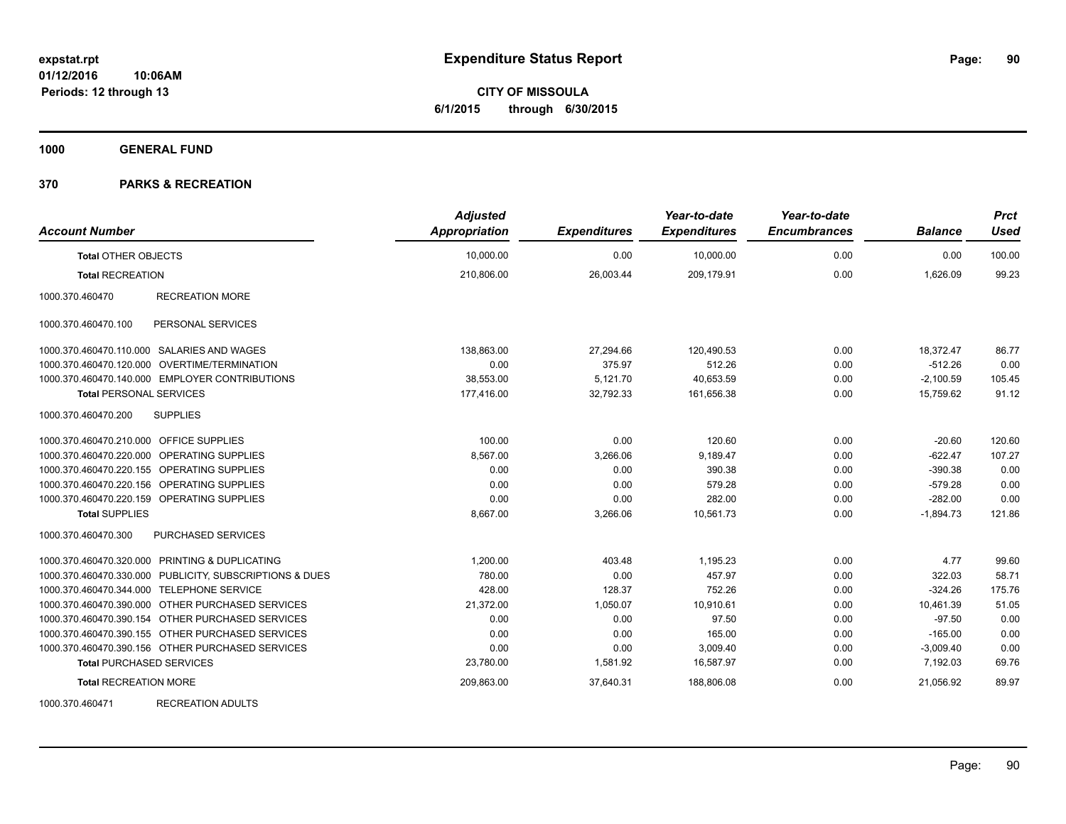**CITY OF MISSOULA 6/1/2015 through 6/30/2015**

**1000 GENERAL FUND**

### **370 PARKS & RECREATION**

| <b>Account Number</b>                                   | <b>Adjusted</b><br><b>Appropriation</b> | <b>Expenditures</b> | Year-to-date<br><b>Expenditures</b> | Year-to-date<br><b>Encumbrances</b> | <b>Balance</b> | <b>Prct</b><br><b>Used</b> |
|---------------------------------------------------------|-----------------------------------------|---------------------|-------------------------------------|-------------------------------------|----------------|----------------------------|
| <b>Total OTHER OBJECTS</b>                              | 10,000.00                               | 0.00                | 10,000.00                           | 0.00                                | 0.00           | 100.00                     |
| <b>Total RECREATION</b>                                 | 210,806.00                              | 26,003.44           | 209,179.91                          | 0.00                                | 1,626.09       | 99.23                      |
| <b>RECREATION MORE</b><br>1000.370.460470               |                                         |                     |                                     |                                     |                |                            |
| PERSONAL SERVICES<br>1000.370.460470.100                |                                         |                     |                                     |                                     |                |                            |
| 1000.370.460470.110.000 SALARIES AND WAGES              | 138,863.00                              | 27,294.66           | 120,490.53                          | 0.00                                | 18,372.47      | 86.77                      |
| 1000.370.460470.120.000 OVERTIME/TERMINATION            | 0.00                                    | 375.97              | 512.26                              | 0.00                                | $-512.26$      | 0.00                       |
| 1000.370.460470.140.000 EMPLOYER CONTRIBUTIONS          | 38,553.00                               | 5,121.70            | 40,653.59                           | 0.00                                | $-2,100.59$    | 105.45                     |
| <b>Total PERSONAL SERVICES</b>                          | 177,416.00                              | 32,792.33           | 161,656.38                          | 0.00                                | 15,759.62      | 91.12                      |
| 1000.370.460470.200<br><b>SUPPLIES</b>                  |                                         |                     |                                     |                                     |                |                            |
| 1000.370.460470.210.000 OFFICE SUPPLIES                 | 100.00                                  | 0.00                | 120.60                              | 0.00                                | $-20.60$       | 120.60                     |
| 1000.370.460470.220.000 OPERATING SUPPLIES              | 8,567.00                                | 3,266.06            | 9,189.47                            | 0.00                                | $-622.47$      | 107.27                     |
| 1000.370.460470.220.155 OPERATING SUPPLIES              | 0.00                                    | 0.00                | 390.38                              | 0.00                                | $-390.38$      | 0.00                       |
| 1000.370.460470.220.156 OPERATING SUPPLIES              | 0.00                                    | 0.00                | 579.28                              | 0.00                                | $-579.28$      | 0.00                       |
| 1000.370.460470.220.159 OPERATING SUPPLIES              | 0.00                                    | 0.00                | 282.00                              | 0.00                                | $-282.00$      | 0.00                       |
| <b>Total SUPPLIES</b>                                   | 8,667.00                                | 3,266.06            | 10,561.73                           | 0.00                                | $-1,894.73$    | 121.86                     |
| 1000.370.460470.300<br><b>PURCHASED SERVICES</b>        |                                         |                     |                                     |                                     |                |                            |
| 1000.370.460470.320.000 PRINTING & DUPLICATING          | 1,200.00                                | 403.48              | 1,195.23                            | 0.00                                | 4.77           | 99.60                      |
| 1000.370.460470.330.000 PUBLICITY, SUBSCRIPTIONS & DUES | 780.00                                  | 0.00                | 457.97                              | 0.00                                | 322.03         | 58.71                      |
| 1000.370.460470.344.000 TELEPHONE SERVICE               | 428.00                                  | 128.37              | 752.26                              | 0.00                                | $-324.26$      | 175.76                     |
| 1000.370.460470.390.000 OTHER PURCHASED SERVICES        | 21,372.00                               | 1,050.07            | 10,910.61                           | 0.00                                | 10,461.39      | 51.05                      |
| 1000.370.460470.390.154 OTHER PURCHASED SERVICES        | 0.00                                    | 0.00                | 97.50                               | 0.00                                | $-97.50$       | 0.00                       |
| 1000.370.460470.390.155 OTHER PURCHASED SERVICES        | 0.00                                    | 0.00                | 165.00                              | 0.00                                | $-165.00$      | 0.00                       |
| 1000.370.460470.390.156 OTHER PURCHASED SERVICES        | 0.00                                    | 0.00                | 3,009.40                            | 0.00                                | $-3,009.40$    | 0.00                       |
| <b>Total PURCHASED SERVICES</b>                         | 23,780.00                               | 1,581.92            | 16,587.97                           | 0.00                                | 7,192.03       | 69.76                      |
| <b>Total RECREATION MORE</b>                            | 209,863.00                              | 37,640.31           | 188,806.08                          | 0.00                                | 21,056.92      | 89.97                      |
| DECDEATION ADULTS<br>1000.270.400174                    |                                         |                     |                                     |                                     |                |                            |

1000.370.460471 RECREATION ADULTS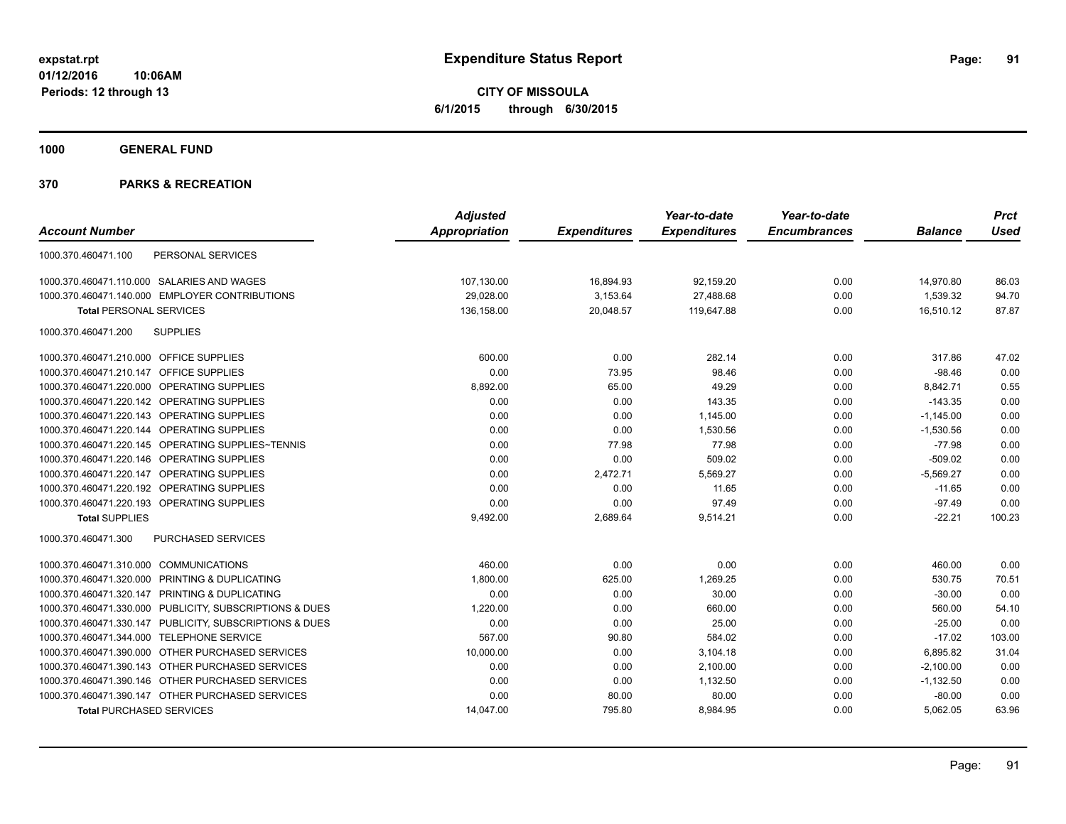**CITY OF MISSOULA 6/1/2015 through 6/30/2015**

**1000 GENERAL FUND**

|                                                         | <b>Adjusted</b>      |                     | Year-to-date        | Year-to-date        |                | <b>Prct</b> |
|---------------------------------------------------------|----------------------|---------------------|---------------------|---------------------|----------------|-------------|
| <b>Account Number</b>                                   | <b>Appropriation</b> | <b>Expenditures</b> | <b>Expenditures</b> | <b>Encumbrances</b> | <b>Balance</b> | <b>Used</b> |
| PERSONAL SERVICES<br>1000.370.460471.100                |                      |                     |                     |                     |                |             |
| 1000.370.460471.110.000 SALARIES AND WAGES              | 107,130.00           | 16,894.93           | 92,159.20           | 0.00                | 14,970.80      | 86.03       |
| 1000.370.460471.140.000 EMPLOYER CONTRIBUTIONS          | 29,028.00            | 3,153.64            | 27,488.68           | 0.00                | 1,539.32       | 94.70       |
| <b>Total PERSONAL SERVICES</b>                          | 136,158.00           | 20,048.57           | 119.647.88          | 0.00                | 16,510.12      | 87.87       |
| <b>SUPPLIES</b><br>1000.370.460471.200                  |                      |                     |                     |                     |                |             |
| 1000.370.460471.210.000 OFFICE SUPPLIES                 | 600.00               | 0.00                | 282.14              | 0.00                | 317.86         | 47.02       |
| 1000.370.460471.210.147<br><b>OFFICE SUPPLIES</b>       | 0.00                 | 73.95               | 98.46               | 0.00                | $-98.46$       | 0.00        |
| 1000.370.460471.220.000 OPERATING SUPPLIES              | 8,892.00             | 65.00               | 49.29               | 0.00                | 8,842.71       | 0.55        |
| 1000.370.460471.220.142 OPERATING SUPPLIES              | 0.00                 | 0.00                | 143.35              | 0.00                | $-143.35$      | 0.00        |
| 1000.370.460471.220.143 OPERATING SUPPLIES              | 0.00                 | 0.00                | 1,145.00            | 0.00                | $-1,145.00$    | 0.00        |
| 1000.370.460471.220.144 OPERATING SUPPLIES              | 0.00                 | 0.00                | 1,530.56            | 0.00                | $-1,530.56$    | 0.00        |
| 1000.370.460471.220.145 OPERATING SUPPLIES~TENNIS       | 0.00                 | 77.98               | 77.98               | 0.00                | $-77.98$       | 0.00        |
| 1000.370.460471.220.146 OPERATING SUPPLIES              | 0.00                 | 0.00                | 509.02              | 0.00                | $-509.02$      | 0.00        |
| 1000.370.460471.220.147 OPERATING SUPPLIES              | 0.00                 | 2,472.71            | 5,569.27            | 0.00                | $-5,569.27$    | 0.00        |
| 1000.370.460471.220.192 OPERATING SUPPLIES              | 0.00                 | 0.00                | 11.65               | 0.00                | $-11.65$       | 0.00        |
| 1000.370.460471.220.193 OPERATING SUPPLIES              | 0.00                 | 0.00                | 97.49               | 0.00                | $-97.49$       | 0.00        |
| <b>Total SUPPLIES</b>                                   | 9,492.00             | 2,689.64            | 9,514.21            | 0.00                | $-22.21$       | 100.23      |
| 1000.370.460471.300<br>PURCHASED SERVICES               |                      |                     |                     |                     |                |             |
| 1000.370.460471.310.000 COMMUNICATIONS                  | 460.00               | 0.00                | 0.00                | 0.00                | 460.00         | 0.00        |
| 1000.370.460471.320.000 PRINTING & DUPLICATING          | 1,800.00             | 625.00              | 1,269.25            | 0.00                | 530.75         | 70.51       |
| PRINTING & DUPLICATING<br>1000.370.460471.320.147       | 0.00                 | 0.00                | 30.00               | 0.00                | $-30.00$       | 0.00        |
| 1000.370.460471.330.000 PUBLICITY, SUBSCRIPTIONS & DUES | 1,220.00             | 0.00                | 660.00              | 0.00                | 560.00         | 54.10       |
| 1000.370.460471.330.147 PUBLICITY, SUBSCRIPTIONS & DUES | 0.00                 | 0.00                | 25.00               | 0.00                | $-25.00$       | 0.00        |
| 1000.370.460471.344.000 TELEPHONE SERVICE               | 567.00               | 90.80               | 584.02              | 0.00                | $-17.02$       | 103.00      |
| 1000.370.460471.390.000 OTHER PURCHASED SERVICES        | 10,000.00            | 0.00                | 3,104.18            | 0.00                | 6,895.82       | 31.04       |
| 1000.370.460471.390.143 OTHER PURCHASED SERVICES        | 0.00                 | 0.00                | 2,100.00            | 0.00                | $-2,100.00$    | 0.00        |
| 1000.370.460471.390.146 OTHER PURCHASED SERVICES        | 0.00                 | 0.00                | 1,132.50            | 0.00                | $-1,132.50$    | 0.00        |
| 1000.370.460471.390.147 OTHER PURCHASED SERVICES        | 0.00                 | 80.00               | 80.00               | 0.00                | $-80.00$       | 0.00        |
| <b>Total PURCHASED SERVICES</b>                         | 14,047.00            | 795.80              | 8,984.95            | 0.00                | 5,062.05       | 63.96       |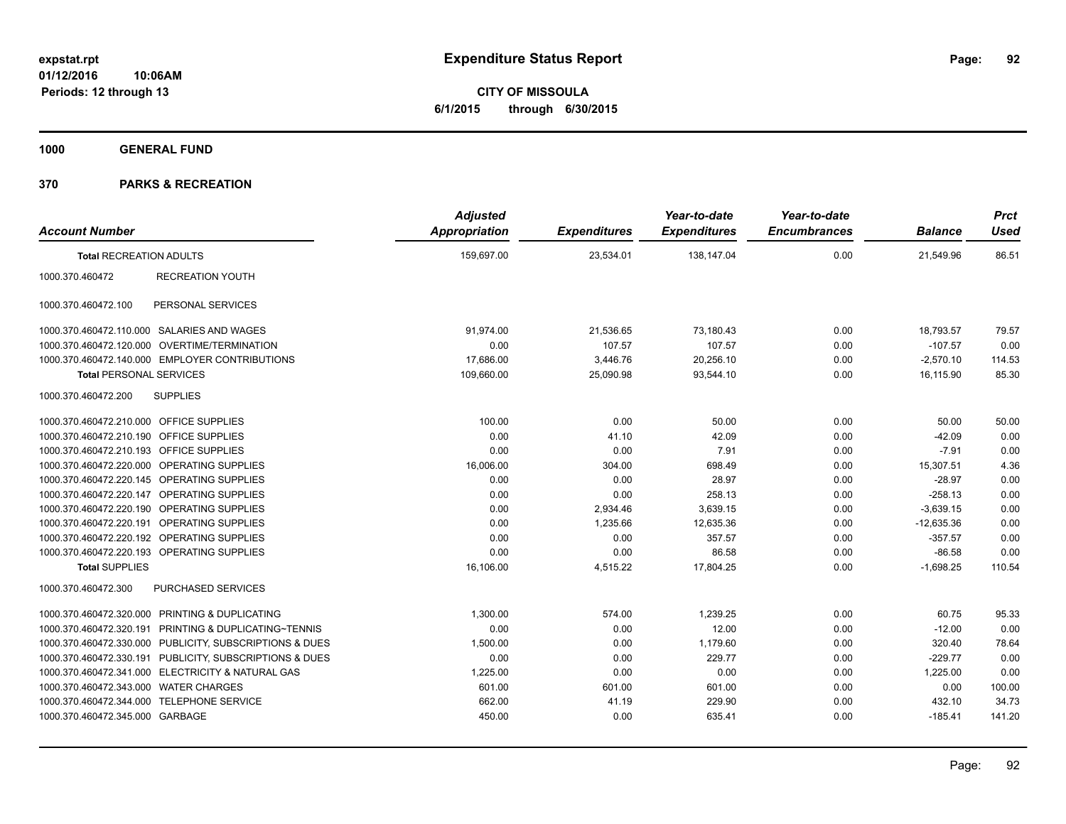**CITY OF MISSOULA 6/1/2015 through 6/30/2015**

**1000 GENERAL FUND**

|                                         |                                                         | <b>Adjusted</b> |                     | Year-to-date        | Year-to-date        |                | <b>Prct</b> |
|-----------------------------------------|---------------------------------------------------------|-----------------|---------------------|---------------------|---------------------|----------------|-------------|
| <b>Account Number</b>                   |                                                         | Appropriation   | <b>Expenditures</b> | <b>Expenditures</b> | <b>Encumbrances</b> | <b>Balance</b> | <b>Used</b> |
| <b>Total RECREATION ADULTS</b>          |                                                         | 159,697.00      | 23,534.01           | 138,147.04          | 0.00                | 21,549.96      | 86.51       |
| 1000.370.460472                         | <b>RECREATION YOUTH</b>                                 |                 |                     |                     |                     |                |             |
| 1000.370.460472.100                     | PERSONAL SERVICES                                       |                 |                     |                     |                     |                |             |
|                                         | 1000.370.460472.110.000 SALARIES AND WAGES              | 91.974.00       | 21,536.65           | 73.180.43           | 0.00                | 18.793.57      | 79.57       |
|                                         | 1000.370.460472.120.000 OVERTIME/TERMINATION            | 0.00            | 107.57              | 107.57              | 0.00                | $-107.57$      | 0.00        |
|                                         | 1000.370.460472.140.000 EMPLOYER CONTRIBUTIONS          | 17,686.00       | 3,446.76            | 20,256.10           | 0.00                | $-2,570.10$    | 114.53      |
| <b>Total PERSONAL SERVICES</b>          |                                                         | 109,660.00      | 25,090.98           | 93.544.10           | 0.00                | 16,115.90      | 85.30       |
| 1000.370.460472.200                     | <b>SUPPLIES</b>                                         |                 |                     |                     |                     |                |             |
| 1000.370.460472.210.000 OFFICE SUPPLIES |                                                         | 100.00          | 0.00                | 50.00               | 0.00                | 50.00          | 50.00       |
| 1000.370.460472.210.190 OFFICE SUPPLIES |                                                         | 0.00            | 41.10               | 42.09               | 0.00                | $-42.09$       | 0.00        |
| 1000.370.460472.210.193 OFFICE SUPPLIES |                                                         | 0.00            | 0.00                | 7.91                | 0.00                | $-7.91$        | 0.00        |
|                                         | 1000.370.460472.220.000 OPERATING SUPPLIES              | 16,006.00       | 304.00              | 698.49              | 0.00                | 15,307.51      | 4.36        |
|                                         | 1000.370.460472.220.145 OPERATING SUPPLIES              | 0.00            | 0.00                | 28.97               | 0.00                | $-28.97$       | 0.00        |
|                                         | 1000.370.460472.220.147 OPERATING SUPPLIES              | 0.00            | 0.00                | 258.13              | 0.00                | $-258.13$      | 0.00        |
|                                         | 1000.370.460472.220.190 OPERATING SUPPLIES              | 0.00            | 2,934.46            | 3,639.15            | 0.00                | $-3,639.15$    | 0.00        |
|                                         | 1000.370.460472.220.191 OPERATING SUPPLIES              | 0.00            | 1,235.66            | 12.635.36           | 0.00                | $-12.635.36$   | 0.00        |
|                                         | 1000.370.460472.220.192 OPERATING SUPPLIES              | 0.00            | 0.00                | 357.57              | 0.00                | $-357.57$      | 0.00        |
|                                         | 1000.370.460472.220.193 OPERATING SUPPLIES              | 0.00            | 0.00                | 86.58               | 0.00                | $-86.58$       | 0.00        |
| <b>Total SUPPLIES</b>                   |                                                         | 16,106.00       | 4,515.22            | 17,804.25           | 0.00                | $-1,698.25$    | 110.54      |
| 1000.370.460472.300                     | PURCHASED SERVICES                                      |                 |                     |                     |                     |                |             |
|                                         | 1000.370.460472.320.000 PRINTING & DUPLICATING          | 1,300.00        | 574.00              | 1,239.25            | 0.00                | 60.75          | 95.33       |
|                                         | 1000.370.460472.320.191 PRINTING & DUPLICATING~TENNIS   | 0.00            | 0.00                | 12.00               | 0.00                | $-12.00$       | 0.00        |
|                                         | 1000.370.460472.330.000 PUBLICITY, SUBSCRIPTIONS & DUES | 1,500.00        | 0.00                | 1,179.60            | 0.00                | 320.40         | 78.64       |
|                                         | 1000.370.460472.330.191 PUBLICITY, SUBSCRIPTIONS & DUES | 0.00            | 0.00                | 229.77              | 0.00                | $-229.77$      | 0.00        |
|                                         | 1000.370.460472.341.000 ELECTRICITY & NATURAL GAS       | 1,225.00        | 0.00                | 0.00                | 0.00                | 1,225.00       | 0.00        |
| 1000.370.460472.343.000 WATER CHARGES   |                                                         | 601.00          | 601.00              | 601.00              | 0.00                | 0.00           | 100.00      |
|                                         | 1000.370.460472.344.000 TELEPHONE SERVICE               | 662.00          | 41.19               | 229.90              | 0.00                | 432.10         | 34.73       |
| 1000.370.460472.345.000 GARBAGE         |                                                         | 450.00          | 0.00                | 635.41              | 0.00                | $-185.41$      | 141.20      |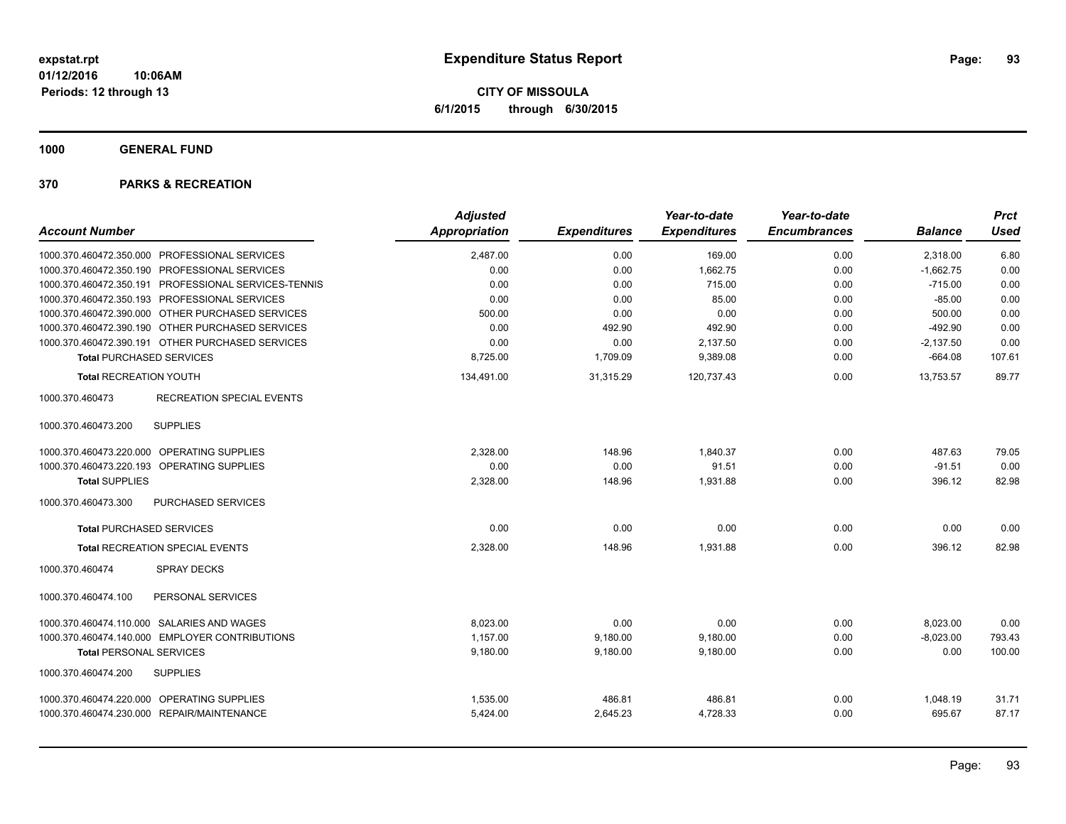**CITY OF MISSOULA 6/1/2015 through 6/30/2015**

**1000 GENERAL FUND**

|                                                      | <b>Adjusted</b> |                     | Year-to-date        | Year-to-date        |                | <b>Prct</b> |
|------------------------------------------------------|-----------------|---------------------|---------------------|---------------------|----------------|-------------|
| <b>Account Number</b>                                | Appropriation   | <b>Expenditures</b> | <b>Expenditures</b> | <b>Encumbrances</b> | <b>Balance</b> | <b>Used</b> |
| 1000.370.460472.350.000 PROFESSIONAL SERVICES        | 2,487.00        | 0.00                | 169.00              | 0.00                | 2,318.00       | 6.80        |
| 1000.370.460472.350.190 PROFESSIONAL SERVICES        | 0.00            | 0.00                | 1,662.75            | 0.00                | $-1,662.75$    | 0.00        |
| 1000.370.460472.350.191 PROFESSIONAL SERVICES-TENNIS | 0.00            | 0.00                | 715.00              | 0.00                | $-715.00$      | 0.00        |
| 1000.370.460472.350.193 PROFESSIONAL SERVICES        | 0.00            | 0.00                | 85.00               | 0.00                | $-85.00$       | 0.00        |
| 1000.370.460472.390.000 OTHER PURCHASED SERVICES     | 500.00          | 0.00                | 0.00                | 0.00                | 500.00         | 0.00        |
| 1000.370.460472.390.190 OTHER PURCHASED SERVICES     | 0.00            | 492.90              | 492.90              | 0.00                | $-492.90$      | 0.00        |
| 1000.370.460472.390.191 OTHER PURCHASED SERVICES     | 0.00            | 0.00                | 2,137.50            | 0.00                | $-2,137.50$    | 0.00        |
| <b>Total PURCHASED SERVICES</b>                      | 8,725.00        | 1,709.09            | 9,389.08            | 0.00                | $-664.08$      | 107.61      |
| <b>Total RECREATION YOUTH</b>                        | 134,491.00      | 31,315.29           | 120,737.43          | 0.00                | 13,753.57      | 89.77       |
| <b>RECREATION SPECIAL EVENTS</b><br>1000.370.460473  |                 |                     |                     |                     |                |             |
| <b>SUPPLIES</b><br>1000.370.460473.200               |                 |                     |                     |                     |                |             |
| 1000.370.460473.220.000 OPERATING SUPPLIES           | 2,328.00        | 148.96              | 1.840.37            | 0.00                | 487.63         | 79.05       |
| 1000.370.460473.220.193 OPERATING SUPPLIES           | 0.00            | 0.00                | 91.51               | 0.00                | $-91.51$       | 0.00        |
| <b>Total SUPPLIES</b>                                | 2,328.00        | 148.96              | 1,931.88            | 0.00                | 396.12         | 82.98       |
| 1000.370.460473.300<br>PURCHASED SERVICES            |                 |                     |                     |                     |                |             |
| <b>Total PURCHASED SERVICES</b>                      | 0.00            | 0.00                | 0.00                | 0.00                | 0.00           | 0.00        |
| Total RECREATION SPECIAL EVENTS                      | 2,328.00        | 148.96              | 1,931.88            | 0.00                | 396.12         | 82.98       |
| <b>SPRAY DECKS</b><br>1000.370.460474                |                 |                     |                     |                     |                |             |
| 1000.370.460474.100<br>PERSONAL SERVICES             |                 |                     |                     |                     |                |             |
| 1000.370.460474.110.000 SALARIES AND WAGES           | 8.023.00        | 0.00                | 0.00                | 0.00                | 8,023.00       | 0.00        |
| 1000.370.460474.140.000 EMPLOYER CONTRIBUTIONS       | 1.157.00        | 9,180.00            | 9,180.00            | 0.00                | $-8,023.00$    | 793.43      |
| <b>Total PERSONAL SERVICES</b>                       | 9,180.00        | 9,180.00            | 9,180.00            | 0.00                | 0.00           | 100.00      |
| 1000.370.460474.200<br><b>SUPPLIES</b>               |                 |                     |                     |                     |                |             |
| 1000.370.460474.220.000 OPERATING SUPPLIES           | 1,535.00        | 486.81              | 486.81              | 0.00                | 1,048.19       | 31.71       |
| 1000.370.460474.230.000 REPAIR/MAINTENANCE           | 5,424.00        | 2,645.23            | 4,728.33            | 0.00                | 695.67         | 87.17       |
|                                                      |                 |                     |                     |                     |                |             |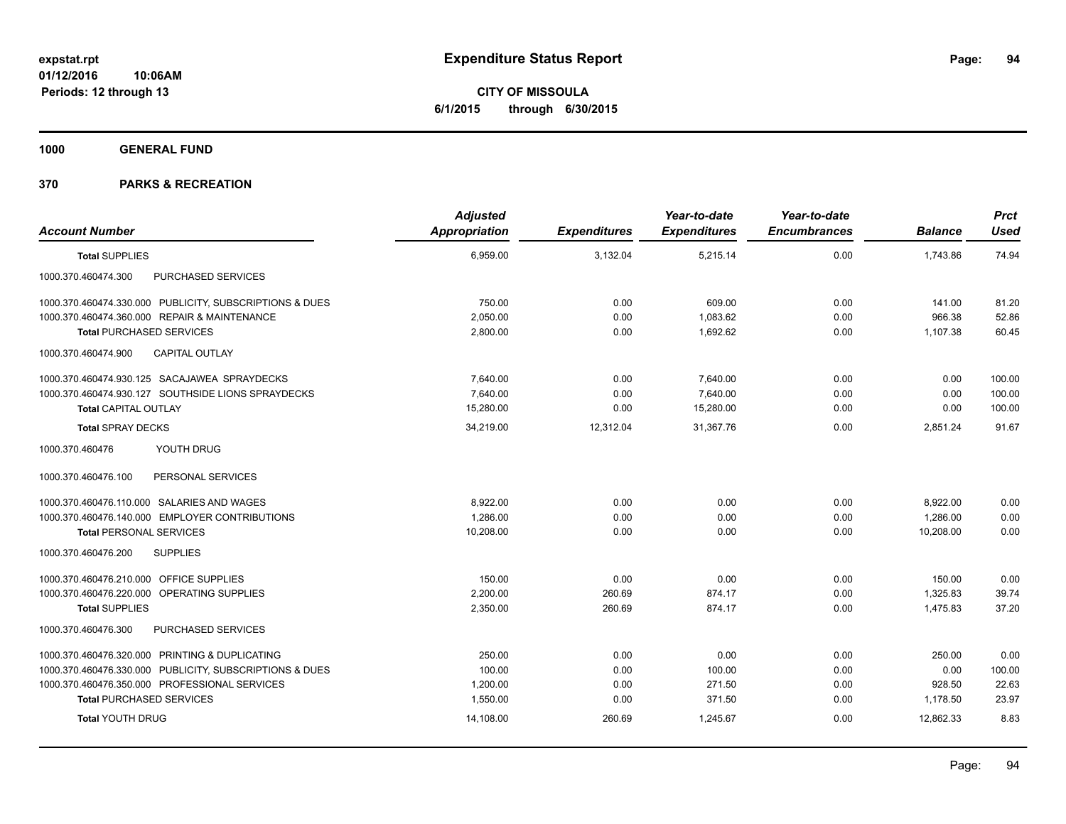**CITY OF MISSOULA 6/1/2015 through 6/30/2015**

**1000 GENERAL FUND**

| <b>Account Number</b>                                   | <b>Adjusted</b><br><b>Appropriation</b> | <b>Expenditures</b> | Year-to-date<br><b>Expenditures</b> | Year-to-date<br><b>Encumbrances</b> | <b>Balance</b> | <b>Prct</b><br><b>Used</b> |
|---------------------------------------------------------|-----------------------------------------|---------------------|-------------------------------------|-------------------------------------|----------------|----------------------------|
| <b>Total SUPPLIES</b>                                   | 6,959.00                                | 3,132.04            | 5,215.14                            | 0.00                                | 1,743.86       | 74.94                      |
| 1000.370.460474.300<br>PURCHASED SERVICES               |                                         |                     |                                     |                                     |                |                            |
| 1000.370.460474.330.000 PUBLICITY, SUBSCRIPTIONS & DUES | 750.00                                  | 0.00                | 609.00                              | 0.00                                | 141.00         | 81.20                      |
| 1000.370.460474.360.000 REPAIR & MAINTENANCE            | 2,050.00                                | 0.00                | 1,083.62                            | 0.00                                | 966.38         | 52.86                      |
| <b>Total PURCHASED SERVICES</b>                         | 2,800.00                                | 0.00                | 1,692.62                            | 0.00                                | 1,107.38       | 60.45                      |
| 1000.370.460474.900<br><b>CAPITAL OUTLAY</b>            |                                         |                     |                                     |                                     |                |                            |
| 1000.370.460474.930.125 SACAJAWEA SPRAYDECKS            | 7.640.00                                | 0.00                | 7.640.00                            | 0.00                                | 0.00           | 100.00                     |
| 1000.370.460474.930.127 SOUTHSIDE LIONS SPRAYDECKS      | 7.640.00                                | 0.00                | 7.640.00                            | 0.00                                | 0.00           | 100.00                     |
| <b>Total CAPITAL OUTLAY</b>                             | 15,280.00                               | 0.00                | 15,280.00                           | 0.00                                | 0.00           | 100.00                     |
| <b>Total SPRAY DECKS</b>                                | 34,219.00                               | 12,312.04           | 31,367.76                           | 0.00                                | 2,851.24       | 91.67                      |
| YOUTH DRUG<br>1000.370.460476                           |                                         |                     |                                     |                                     |                |                            |
| PERSONAL SERVICES<br>1000.370.460476.100                |                                         |                     |                                     |                                     |                |                            |
| 1000.370.460476.110.000 SALARIES AND WAGES              | 8.922.00                                | 0.00                | 0.00                                | 0.00                                | 8,922.00       | 0.00                       |
| 1000.370.460476.140.000 EMPLOYER CONTRIBUTIONS          | 1.286.00                                | 0.00                | 0.00                                | 0.00                                | 1.286.00       | 0.00                       |
| <b>Total PERSONAL SERVICES</b>                          | 10,208.00                               | 0.00                | 0.00                                | 0.00                                | 10.208.00      | 0.00                       |
| 1000.370.460476.200<br><b>SUPPLIES</b>                  |                                         |                     |                                     |                                     |                |                            |
| 1000.370.460476.210.000 OFFICE SUPPLIES                 | 150.00                                  | 0.00                | 0.00                                | 0.00                                | 150.00         | 0.00                       |
| 1000.370.460476.220.000 OPERATING SUPPLIES              | 2,200.00                                | 260.69              | 874.17                              | 0.00                                | 1,325.83       | 39.74                      |
| <b>Total SUPPLIES</b>                                   | 2,350.00                                | 260.69              | 874.17                              | 0.00                                | 1,475.83       | 37.20                      |
| PURCHASED SERVICES<br>1000.370.460476.300               |                                         |                     |                                     |                                     |                |                            |
| 1000.370.460476.320.000 PRINTING & DUPLICATING          | 250.00                                  | 0.00                | 0.00                                | 0.00                                | 250.00         | 0.00                       |
| 1000.370.460476.330.000 PUBLICITY, SUBSCRIPTIONS & DUES | 100.00                                  | 0.00                | 100.00                              | 0.00                                | 0.00           | 100.00                     |
| 1000.370.460476.350.000 PROFESSIONAL SERVICES           | 1.200.00                                | 0.00                | 271.50                              | 0.00                                | 928.50         | 22.63                      |
| <b>Total PURCHASED SERVICES</b>                         | 1,550.00                                | 0.00                | 371.50                              | 0.00                                | 1,178.50       | 23.97                      |
| <b>Total YOUTH DRUG</b>                                 | 14,108.00                               | 260.69              | 1,245.67                            | 0.00                                | 12,862.33      | 8.83                       |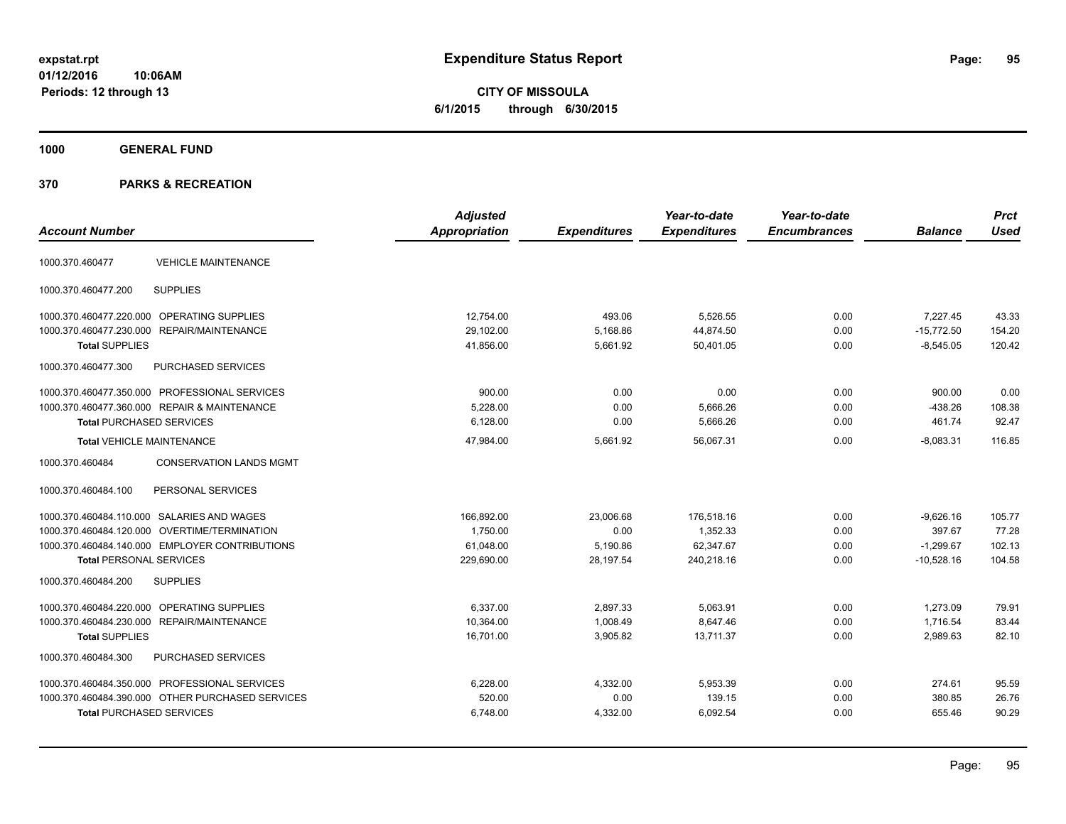**1000 GENERAL FUND**

| <b>Account Number</b>            |                                                  | <b>Adjusted</b><br><b>Appropriation</b> | <b>Expenditures</b> | Year-to-date<br><b>Expenditures</b> | Year-to-date<br><b>Encumbrances</b> | <b>Balance</b> | <b>Prct</b><br><b>Used</b> |
|----------------------------------|--------------------------------------------------|-----------------------------------------|---------------------|-------------------------------------|-------------------------------------|----------------|----------------------------|
| 1000.370.460477                  | <b>VEHICLE MAINTENANCE</b>                       |                                         |                     |                                     |                                     |                |                            |
| 1000.370.460477.200              | <b>SUPPLIES</b>                                  |                                         |                     |                                     |                                     |                |                            |
|                                  | 1000.370.460477.220.000 OPERATING SUPPLIES       | 12.754.00                               | 493.06              | 5,526.55                            | 0.00                                | 7.227.45       | 43.33                      |
|                                  | 1000.370.460477.230.000 REPAIR/MAINTENANCE       | 29,102.00                               | 5,168.86            | 44,874.50                           | 0.00                                | $-15,772.50$   | 154.20                     |
| <b>Total SUPPLIES</b>            |                                                  | 41,856.00                               | 5,661.92            | 50,401.05                           | 0.00                                | $-8,545.05$    | 120.42                     |
| 1000.370.460477.300              | PURCHASED SERVICES                               |                                         |                     |                                     |                                     |                |                            |
|                                  | 1000.370.460477.350.000 PROFESSIONAL SERVICES    | 900.00                                  | 0.00                | 0.00                                | 0.00                                | 900.00         | 0.00                       |
|                                  | 1000.370.460477.360.000 REPAIR & MAINTENANCE     | 5,228.00                                | 0.00                | 5,666.26                            | 0.00                                | $-438.26$      | 108.38                     |
| <b>Total PURCHASED SERVICES</b>  |                                                  | 6,128.00                                | 0.00                | 5,666.26                            | 0.00                                | 461.74         | 92.47                      |
| <b>Total VEHICLE MAINTENANCE</b> |                                                  | 47.984.00                               | 5.661.92            | 56.067.31                           | 0.00                                | $-8,083.31$    | 116.85                     |
| 1000.370.460484                  | <b>CONSERVATION LANDS MGMT</b>                   |                                         |                     |                                     |                                     |                |                            |
| 1000.370.460484.100              | PERSONAL SERVICES                                |                                         |                     |                                     |                                     |                |                            |
|                                  | 1000.370.460484.110.000 SALARIES AND WAGES       | 166,892.00                              | 23.006.68           | 176.518.16                          | 0.00                                | $-9.626.16$    | 105.77                     |
| 1000.370.460484.120.000          | OVERTIME/TERMINATION                             | 1,750.00                                | 0.00                | 1,352.33                            | 0.00                                | 397.67         | 77.28                      |
|                                  | 1000.370.460484.140.000 EMPLOYER CONTRIBUTIONS   | 61.048.00                               | 5,190.86            | 62,347.67                           | 0.00                                | $-1,299.67$    | 102.13                     |
| <b>Total PERSONAL SERVICES</b>   |                                                  | 229,690.00                              | 28,197.54           | 240,218.16                          | 0.00                                | $-10,528.16$   | 104.58                     |
| 1000.370.460484.200              | <b>SUPPLIES</b>                                  |                                         |                     |                                     |                                     |                |                            |
| 1000.370.460484.220.000          | OPERATING SUPPLIES                               | 6.337.00                                | 2,897.33            | 5,063.91                            | 0.00                                | 1,273.09       | 79.91                      |
| 1000.370.460484.230.000          | REPAIR/MAINTENANCE                               | 10,364.00                               | 1,008.49            | 8,647.46                            | 0.00                                | 1,716.54       | 83.44                      |
| <b>Total SUPPLIES</b>            |                                                  | 16,701.00                               | 3,905.82            | 13.711.37                           | 0.00                                | 2,989.63       | 82.10                      |
| 1000.370.460484.300              | PURCHASED SERVICES                               |                                         |                     |                                     |                                     |                |                            |
|                                  | 1000.370.460484.350.000 PROFESSIONAL SERVICES    | 6,228.00                                | 4,332.00            | 5,953.39                            | 0.00                                | 274.61         | 95.59                      |
|                                  | 1000.370.460484.390.000 OTHER PURCHASED SERVICES | 520.00                                  | 0.00                | 139.15                              | 0.00                                | 380.85         | 26.76                      |
| <b>Total PURCHASED SERVICES</b>  |                                                  | 6,748.00                                | 4,332.00            | 6,092.54                            | 0.00                                | 655.46         | 90.29                      |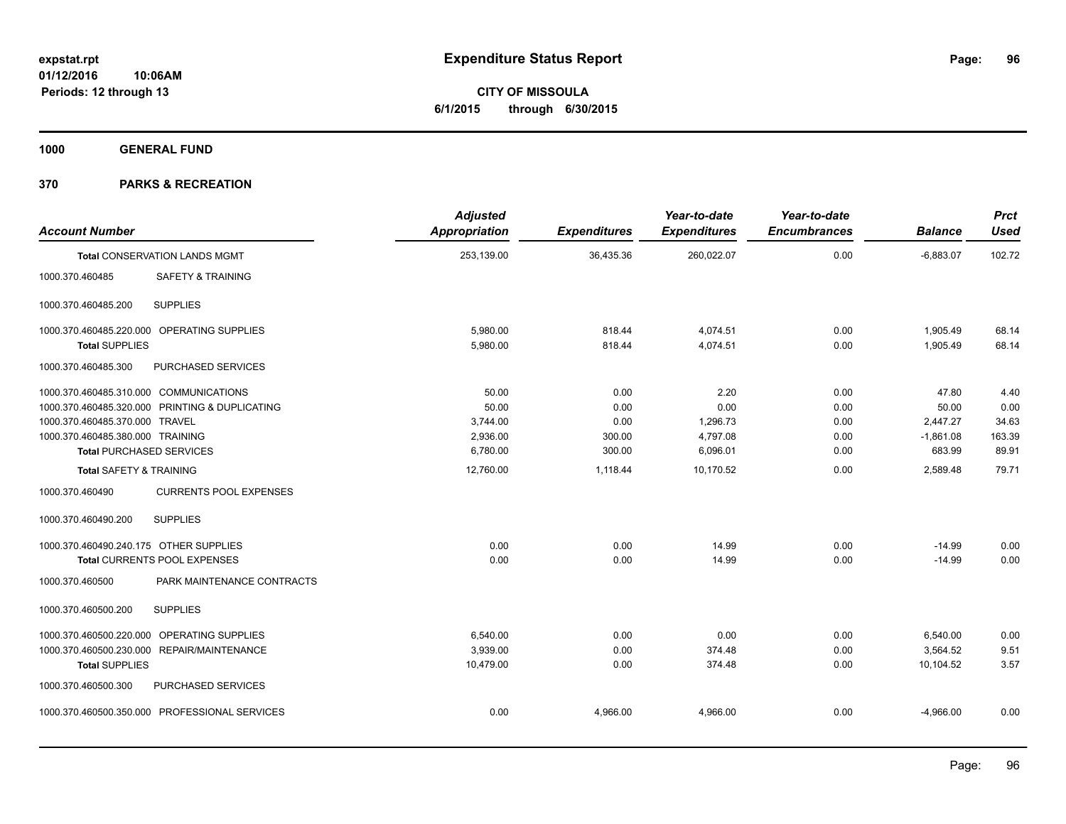**CITY OF MISSOULA 6/1/2015 through 6/30/2015**

**1000 GENERAL FUND**

| <b>Account Number</b>                  |                                                | <b>Adjusted</b><br>Appropriation | <b>Expenditures</b> | Year-to-date<br><b>Expenditures</b> | Year-to-date<br><b>Encumbrances</b> | <b>Balance</b> | <b>Prct</b><br><b>Used</b> |
|----------------------------------------|------------------------------------------------|----------------------------------|---------------------|-------------------------------------|-------------------------------------|----------------|----------------------------|
|                                        | <b>Total CONSERVATION LANDS MGMT</b>           | 253,139.00                       | 36,435.36           | 260,022.07                          | 0.00                                | $-6,883.07$    | 102.72                     |
| 1000.370.460485                        | SAFETY & TRAINING                              |                                  |                     |                                     |                                     |                |                            |
| 1000.370.460485.200                    | <b>SUPPLIES</b>                                |                                  |                     |                                     |                                     |                |                            |
|                                        | 1000.370.460485.220.000 OPERATING SUPPLIES     | 5,980.00                         | 818.44              | 4,074.51                            | 0.00                                | 1,905.49       | 68.14                      |
| <b>Total SUPPLIES</b>                  |                                                | 5,980.00                         | 818.44              | 4,074.51                            | 0.00                                | 1,905.49       | 68.14                      |
| 1000.370.460485.300                    | PURCHASED SERVICES                             |                                  |                     |                                     |                                     |                |                            |
| 1000.370.460485.310.000 COMMUNICATIONS |                                                | 50.00                            | 0.00                | 2.20                                | 0.00                                | 47.80          | 4.40                       |
|                                        | 1000.370.460485.320.000 PRINTING & DUPLICATING | 50.00                            | 0.00                | 0.00                                | 0.00                                | 50.00          | 0.00                       |
| 1000.370.460485.370.000 TRAVEL         |                                                | 3,744.00                         | 0.00                | 1,296.73                            | 0.00                                | 2,447.27       | 34.63                      |
| 1000.370.460485.380.000 TRAINING       |                                                | 2,936.00                         | 300.00              | 4,797.08                            | 0.00                                | $-1,861.08$    | 163.39                     |
|                                        | <b>Total PURCHASED SERVICES</b>                | 6,780.00                         | 300.00              | 6,096.01                            | 0.00                                | 683.99         | 89.91                      |
| <b>Total SAFETY &amp; TRAINING</b>     |                                                | 12,760.00                        | 1,118.44            | 10,170.52                           | 0.00                                | 2,589.48       | 79.71                      |
| 1000.370.460490                        | <b>CURRENTS POOL EXPENSES</b>                  |                                  |                     |                                     |                                     |                |                            |
| 1000.370.460490.200                    | <b>SUPPLIES</b>                                |                                  |                     |                                     |                                     |                |                            |
| 1000.370.460490.240.175 OTHER SUPPLIES |                                                | 0.00                             | 0.00                | 14.99                               | 0.00                                | $-14.99$       | 0.00                       |
|                                        | Total CURRENTS POOL EXPENSES                   | 0.00                             | 0.00                | 14.99                               | 0.00                                | $-14.99$       | 0.00                       |
| 1000.370.460500                        | PARK MAINTENANCE CONTRACTS                     |                                  |                     |                                     |                                     |                |                            |
| 1000.370.460500.200                    | <b>SUPPLIES</b>                                |                                  |                     |                                     |                                     |                |                            |
|                                        | 1000.370.460500.220.000 OPERATING SUPPLIES     | 6.540.00                         | 0.00                | 0.00                                | 0.00                                | 6,540.00       | 0.00                       |
| 1000.370.460500.230.000                | REPAIR/MAINTENANCE                             | 3,939.00                         | 0.00                | 374.48                              | 0.00                                | 3,564.52       | 9.51                       |
| <b>Total SUPPLIES</b>                  |                                                | 10,479.00                        | 0.00                | 374.48                              | 0.00                                | 10,104.52      | 3.57                       |
| 1000.370.460500.300                    | PURCHASED SERVICES                             |                                  |                     |                                     |                                     |                |                            |
|                                        | 1000.370.460500.350.000 PROFESSIONAL SERVICES  | 0.00                             | 4,966.00            | 4,966.00                            | 0.00                                | $-4,966.00$    | 0.00                       |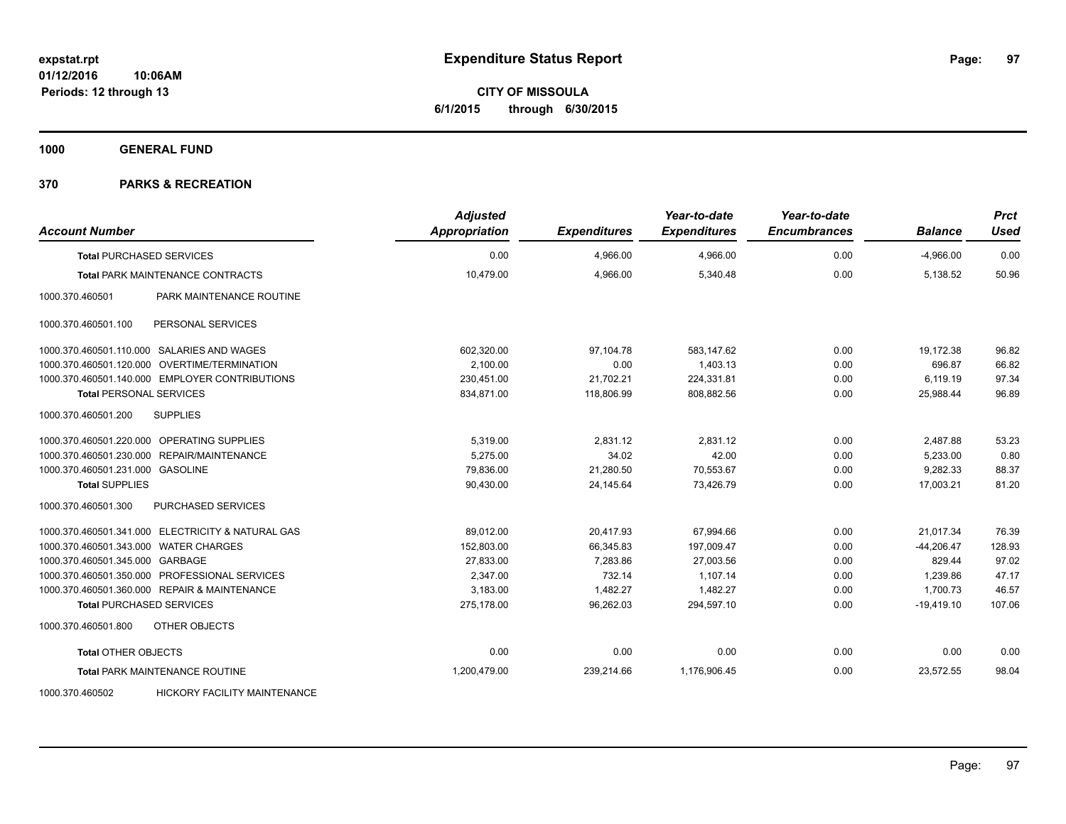**CITY OF MISSOULA 6/1/2015 through 6/30/2015**

**1000 GENERAL FUND**

| <b>Account Number</b>                 |                                                   | <b>Adjusted</b><br><b>Appropriation</b> | <b>Expenditures</b> | Year-to-date<br><b>Expenditures</b> | Year-to-date<br><b>Encumbrances</b> | <b>Balance</b> | <b>Prct</b><br><b>Used</b> |
|---------------------------------------|---------------------------------------------------|-----------------------------------------|---------------------|-------------------------------------|-------------------------------------|----------------|----------------------------|
| <b>Total PURCHASED SERVICES</b>       |                                                   | 0.00                                    | 4,966.00            | 4,966.00                            | 0.00                                | $-4,966.00$    | 0.00                       |
|                                       | <b>Total PARK MAINTENANCE CONTRACTS</b>           | 10,479.00                               | 4,966.00            | 5,340.48                            | 0.00                                | 5,138.52       | 50.96                      |
| 1000.370.460501                       | PARK MAINTENANCE ROUTINE                          |                                         |                     |                                     |                                     |                |                            |
| 1000.370.460501.100                   | PERSONAL SERVICES                                 |                                         |                     |                                     |                                     |                |                            |
|                                       | 1000.370.460501.110.000 SALARIES AND WAGES        | 602,320.00                              | 97,104.78           | 583.147.62                          | 0.00                                | 19,172.38      | 96.82                      |
|                                       | 1000.370.460501.120.000 OVERTIME/TERMINATION      | 2,100.00                                | 0.00                | 1,403.13                            | 0.00                                | 696.87         | 66.82                      |
|                                       | 1000.370.460501.140.000 EMPLOYER CONTRIBUTIONS    | 230,451.00                              | 21,702.21           | 224,331.81                          | 0.00                                | 6,119.19       | 97.34                      |
| <b>Total PERSONAL SERVICES</b>        |                                                   | 834,871.00                              | 118,806.99          | 808,882.56                          | 0.00                                | 25,988.44      | 96.89                      |
| 1000.370.460501.200                   | <b>SUPPLIES</b>                                   |                                         |                     |                                     |                                     |                |                            |
|                                       | 1000.370.460501.220.000 OPERATING SUPPLIES        | 5,319.00                                | 2,831.12            | 2,831.12                            | 0.00                                | 2,487.88       | 53.23                      |
|                                       | 1000.370.460501.230.000 REPAIR/MAINTENANCE        | 5,275.00                                | 34.02               | 42.00                               | 0.00                                | 5,233.00       | 0.80                       |
| 1000.370.460501.231.000 GASOLINE      |                                                   | 79,836.00                               | 21,280.50           | 70,553.67                           | 0.00                                | 9,282.33       | 88.37                      |
| <b>Total SUPPLIES</b>                 |                                                   | 90,430.00                               | 24,145.64           | 73,426.79                           | 0.00                                | 17,003.21      | 81.20                      |
| 1000.370.460501.300                   | <b>PURCHASED SERVICES</b>                         |                                         |                     |                                     |                                     |                |                            |
|                                       | 1000.370.460501.341.000 ELECTRICITY & NATURAL GAS | 89,012.00                               | 20,417.93           | 67,994.66                           | 0.00                                | 21,017.34      | 76.39                      |
| 1000.370.460501.343.000 WATER CHARGES |                                                   | 152,803.00                              | 66,345.83           | 197,009.47                          | 0.00                                | $-44,206.47$   | 128.93                     |
| 1000.370.460501.345.000 GARBAGE       |                                                   | 27,833.00                               | 7,283.86            | 27,003.56                           | 0.00                                | 829.44         | 97.02                      |
|                                       | 1000.370.460501.350.000 PROFESSIONAL SERVICES     | 2,347.00                                | 732.14              | 1,107.14                            | 0.00                                | 1,239.86       | 47.17                      |
|                                       | 1000.370.460501.360.000 REPAIR & MAINTENANCE      | 3,183.00                                | 1,482.27            | 1,482.27                            | 0.00                                | 1,700.73       | 46.57                      |
| <b>Total PURCHASED SERVICES</b>       |                                                   | 275,178.00                              | 96,262.03           | 294,597.10                          | 0.00                                | $-19,419.10$   | 107.06                     |
| 1000.370.460501.800                   | OTHER OBJECTS                                     |                                         |                     |                                     |                                     |                |                            |
| <b>Total OTHER OBJECTS</b>            |                                                   | 0.00                                    | 0.00                | 0.00                                | 0.00                                | 0.00           | 0.00                       |
|                                       | <b>Total PARK MAINTENANCE ROUTINE</b>             | 1,200,479.00                            | 239,214.66          | 1,176,906.45                        | 0.00                                | 23,572.55      | 98.04                      |
| 1000.370.460502                       | <b>HICKORY FACILITY MAINTENANCE</b>               |                                         |                     |                                     |                                     |                |                            |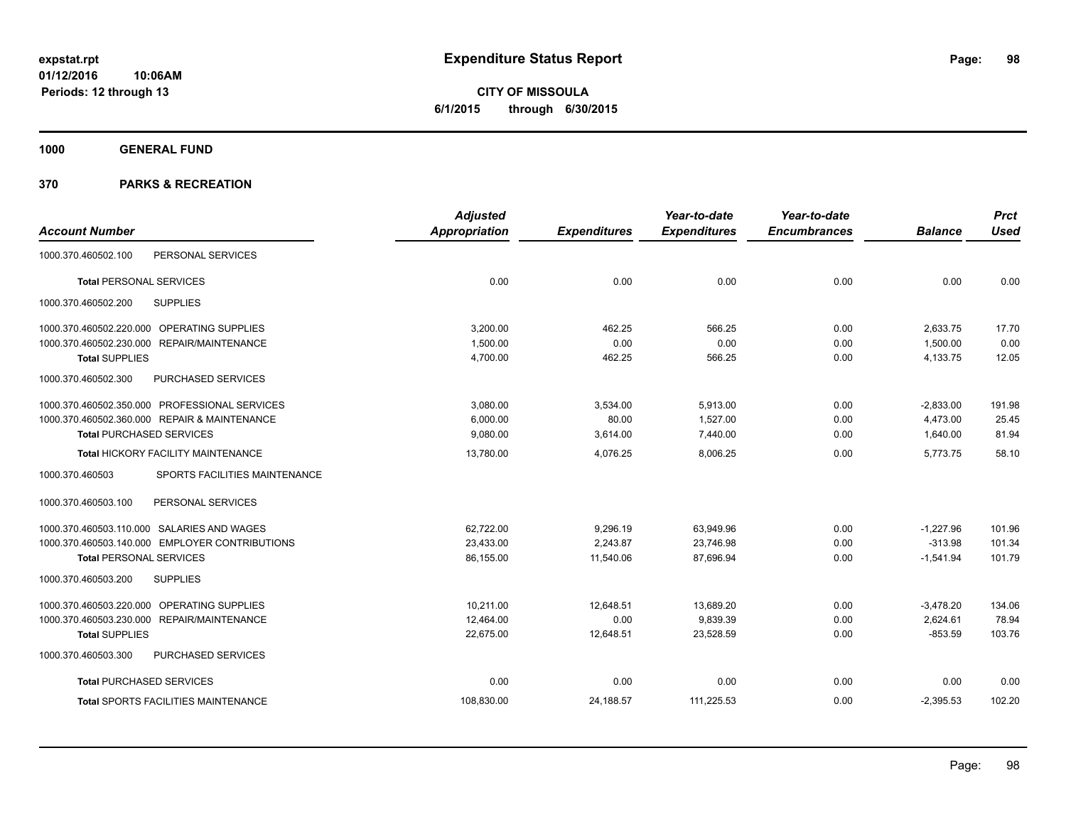**CITY OF MISSOULA 6/1/2015 through 6/30/2015**

**1000 GENERAL FUND**

|                                 |                                                | <b>Adjusted</b> |                     | Year-to-date        | Year-to-date        |                | <b>Prct</b> |
|---------------------------------|------------------------------------------------|-----------------|---------------------|---------------------|---------------------|----------------|-------------|
| <b>Account Number</b>           |                                                | Appropriation   | <b>Expenditures</b> | <b>Expenditures</b> | <b>Encumbrances</b> | <b>Balance</b> | <b>Used</b> |
| 1000.370.460502.100             | PERSONAL SERVICES                              |                 |                     |                     |                     |                |             |
| <b>Total PERSONAL SERVICES</b>  |                                                | 0.00            | 0.00                | 0.00                | 0.00                | 0.00           | 0.00        |
| 1000.370.460502.200             | <b>SUPPLIES</b>                                |                 |                     |                     |                     |                |             |
|                                 | 1000.370.460502.220.000 OPERATING SUPPLIES     | 3,200.00        | 462.25              | 566.25              | 0.00                | 2,633.75       | 17.70       |
|                                 | 1000.370.460502.230.000 REPAIR/MAINTENANCE     | 1,500.00        | 0.00                | 0.00                | 0.00                | 1,500.00       | 0.00        |
| <b>Total SUPPLIES</b>           |                                                | 4,700.00        | 462.25              | 566.25              | 0.00                | 4,133.75       | 12.05       |
| 1000.370.460502.300             | PURCHASED SERVICES                             |                 |                     |                     |                     |                |             |
|                                 | 1000.370.460502.350.000 PROFESSIONAL SERVICES  | 3,080.00        | 3,534.00            | 5,913.00            | 0.00                | $-2,833.00$    | 191.98      |
|                                 | 1000.370.460502.360.000 REPAIR & MAINTENANCE   | 6,000.00        | 80.00               | 1,527.00            | 0.00                | 4,473.00       | 25.45       |
| <b>Total PURCHASED SERVICES</b> |                                                | 9,080.00        | 3,614.00            | 7,440.00            | 0.00                | 1,640.00       | 81.94       |
|                                 | <b>Total HICKORY FACILITY MAINTENANCE</b>      | 13,780.00       | 4,076.25            | 8,006.25            | 0.00                | 5,773.75       | 58.10       |
| 1000.370.460503                 | SPORTS FACILITIES MAINTENANCE                  |                 |                     |                     |                     |                |             |
| 1000.370.460503.100             | PERSONAL SERVICES                              |                 |                     |                     |                     |                |             |
|                                 | 1000.370.460503.110.000 SALARIES AND WAGES     | 62,722.00       | 9,296.19            | 63,949.96           | 0.00                | $-1,227.96$    | 101.96      |
|                                 | 1000.370.460503.140.000 EMPLOYER CONTRIBUTIONS | 23,433.00       | 2,243.87            | 23,746.98           | 0.00                | $-313.98$      | 101.34      |
| <b>Total PERSONAL SERVICES</b>  |                                                | 86,155.00       | 11,540.06           | 87,696.94           | 0.00                | $-1,541.94$    | 101.79      |
| 1000.370.460503.200             | <b>SUPPLIES</b>                                |                 |                     |                     |                     |                |             |
|                                 | 1000.370.460503.220.000 OPERATING SUPPLIES     | 10,211.00       | 12,648.51           | 13,689.20           | 0.00                | $-3,478.20$    | 134.06      |
|                                 | 1000.370.460503.230.000 REPAIR/MAINTENANCE     | 12,464.00       | 0.00                | 9,839.39            | 0.00                | 2,624.61       | 78.94       |
| <b>Total SUPPLIES</b>           |                                                | 22,675.00       | 12,648.51           | 23,528.59           | 0.00                | $-853.59$      | 103.76      |
| 1000.370.460503.300             | <b>PURCHASED SERVICES</b>                      |                 |                     |                     |                     |                |             |
| <b>Total PURCHASED SERVICES</b> |                                                | 0.00            | 0.00                | 0.00                | 0.00                | 0.00           | 0.00        |
|                                 | <b>Total SPORTS FACILITIES MAINTENANCE</b>     | 108,830.00      | 24,188.57           | 111,225.53          | 0.00                | $-2,395.53$    | 102.20      |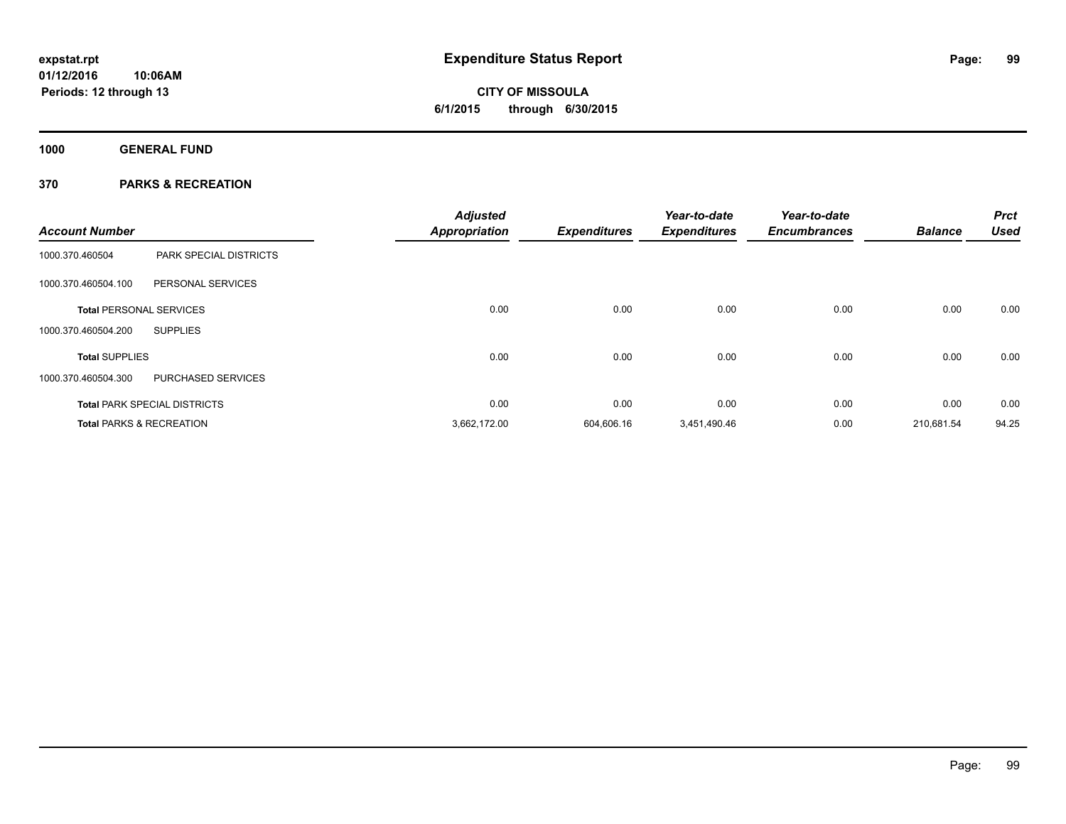# **CITY OF MISSOULA 6/1/2015 through 6/30/2015**

**1000 GENERAL FUND**

| <b>Account Number</b>          |                                     | <b>Adjusted</b><br><b>Appropriation</b> | <b>Expenditures</b> | Year-to-date<br><b>Expenditures</b> | Year-to-date<br><b>Encumbrances</b> | <b>Balance</b> | <b>Prct</b><br><b>Used</b> |
|--------------------------------|-------------------------------------|-----------------------------------------|---------------------|-------------------------------------|-------------------------------------|----------------|----------------------------|
| 1000.370.460504                | <b>PARK SPECIAL DISTRICTS</b>       |                                         |                     |                                     |                                     |                |                            |
| 1000.370.460504.100            | PERSONAL SERVICES                   |                                         |                     |                                     |                                     |                |                            |
| <b>Total PERSONAL SERVICES</b> |                                     | 0.00                                    | 0.00                | 0.00                                | 0.00                                | 0.00           | 0.00                       |
| 1000.370.460504.200            | <b>SUPPLIES</b>                     |                                         |                     |                                     |                                     |                |                            |
| <b>Total SUPPLIES</b>          |                                     | 0.00                                    | 0.00                | 0.00                                | 0.00                                | 0.00           | 0.00                       |
| 1000.370.460504.300            | PURCHASED SERVICES                  |                                         |                     |                                     |                                     |                |                            |
|                                | <b>Total PARK SPECIAL DISTRICTS</b> | 0.00                                    | 0.00                | 0.00                                | 0.00                                | 0.00           | 0.00                       |
|                                | <b>Total PARKS &amp; RECREATION</b> | 3.662.172.00                            | 604,606.16          | 3,451,490.46                        | 0.00                                | 210.681.54     | 94.25                      |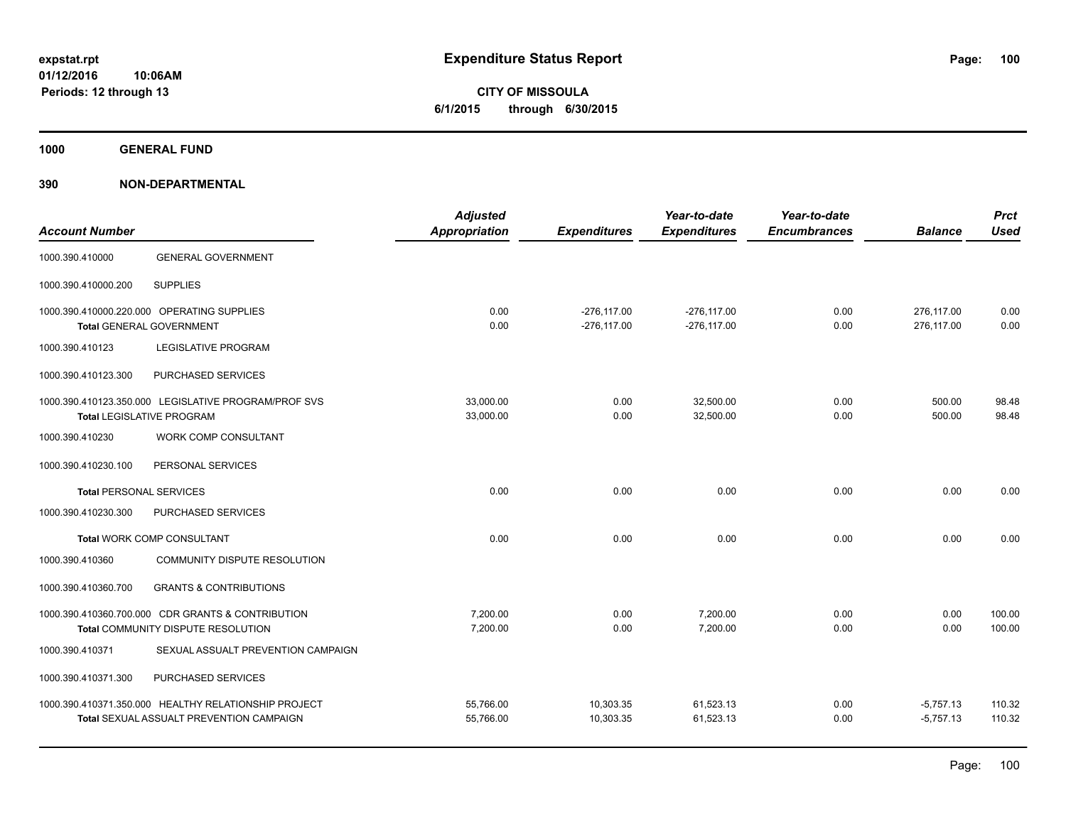**CITY OF MISSOULA 6/1/2015 through 6/30/2015**

**1000 GENERAL FUND**

| <b>Account Number</b>          |                                                                                                  | <b>Adjusted</b><br><b>Appropriation</b> | <b>Expenditures</b>            | Year-to-date<br><b>Expenditures</b> | Year-to-date<br><b>Encumbrances</b> | <b>Balance</b>             | <b>Prct</b><br><b>Used</b> |
|--------------------------------|--------------------------------------------------------------------------------------------------|-----------------------------------------|--------------------------------|-------------------------------------|-------------------------------------|----------------------------|----------------------------|
| 1000.390.410000                | <b>GENERAL GOVERNMENT</b>                                                                        |                                         |                                |                                     |                                     |                            |                            |
| 1000.390.410000.200            | <b>SUPPLIES</b>                                                                                  |                                         |                                |                                     |                                     |                            |                            |
|                                | 1000.390.410000.220.000 OPERATING SUPPLIES<br><b>Total GENERAL GOVERNMENT</b>                    | 0.00<br>0.00                            | $-276,117.00$<br>$-276,117.00$ | $-276, 117.00$<br>$-276, 117.00$    | 0.00<br>0.00                        | 276,117.00<br>276,117.00   | 0.00<br>0.00               |
| 1000.390.410123                | <b>LEGISLATIVE PROGRAM</b>                                                                       |                                         |                                |                                     |                                     |                            |                            |
| 1000.390.410123.300            | PURCHASED SERVICES                                                                               |                                         |                                |                                     |                                     |                            |                            |
|                                | 1000.390.410123.350.000 LEGISLATIVE PROGRAM/PROF SVS<br>Total LEGISLATIVE PROGRAM                | 33,000.00<br>33,000.00                  | 0.00<br>0.00                   | 32,500.00<br>32,500.00              | 0.00<br>0.00                        | 500.00<br>500.00           | 98.48<br>98.48             |
| 1000.390.410230                | WORK COMP CONSULTANT                                                                             |                                         |                                |                                     |                                     |                            |                            |
| 1000.390.410230.100            | PERSONAL SERVICES                                                                                |                                         |                                |                                     |                                     |                            |                            |
| <b>Total PERSONAL SERVICES</b> |                                                                                                  | 0.00                                    | 0.00                           | 0.00                                | 0.00                                | 0.00                       | 0.00                       |
| 1000.390.410230.300            | PURCHASED SERVICES                                                                               |                                         |                                |                                     |                                     |                            |                            |
|                                | Total WORK COMP CONSULTANT                                                                       | 0.00                                    | 0.00                           | 0.00                                | 0.00                                | 0.00                       | 0.00                       |
| 1000.390.410360                | COMMUNITY DISPUTE RESOLUTION                                                                     |                                         |                                |                                     |                                     |                            |                            |
| 1000.390.410360.700            | <b>GRANTS &amp; CONTRIBUTIONS</b>                                                                |                                         |                                |                                     |                                     |                            |                            |
|                                | 1000.390.410360.700.000 CDR GRANTS & CONTRIBUTION<br>Total COMMUNITY DISPUTE RESOLUTION          | 7,200.00<br>7,200.00                    | 0.00<br>0.00                   | 7,200.00<br>7,200.00                | 0.00<br>0.00                        | 0.00<br>0.00               | 100.00<br>100.00           |
| 1000.390.410371                | SEXUAL ASSUALT PREVENTION CAMPAIGN                                                               |                                         |                                |                                     |                                     |                            |                            |
| 1000.390.410371.300            | PURCHASED SERVICES                                                                               |                                         |                                |                                     |                                     |                            |                            |
|                                | 1000.390.410371.350.000 HEALTHY RELATIONSHIP PROJECT<br>Total SEXUAL ASSUALT PREVENTION CAMPAIGN | 55,766.00<br>55,766.00                  | 10,303.35<br>10,303.35         | 61,523.13<br>61,523.13              | 0.00<br>0.00                        | $-5,757.13$<br>$-5,757.13$ | 110.32<br>110.32           |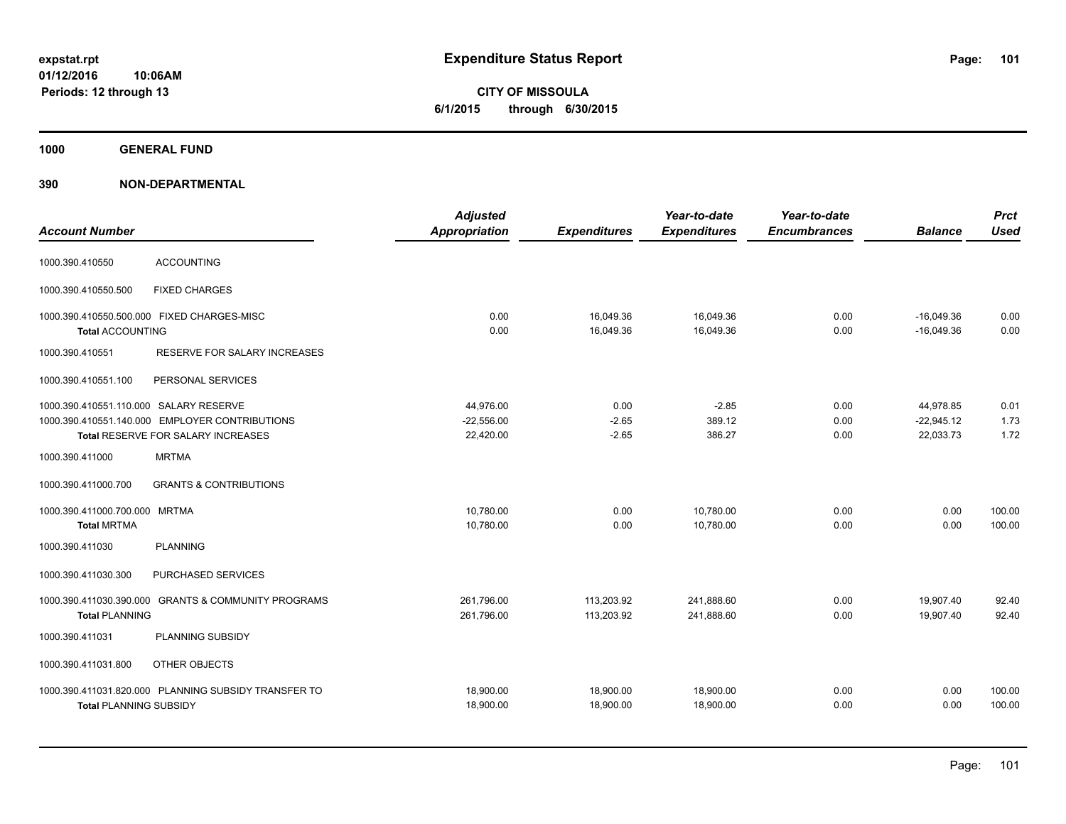**CITY OF MISSOULA 6/1/2015 through 6/30/2015**

**1000 GENERAL FUND**

| <b>Account Number</b>                                          |                                                                                      | <b>Adjusted</b><br><b>Appropriation</b> | <b>Expenditures</b>        | Year-to-date<br><b>Expenditures</b> | Year-to-date<br><b>Encumbrances</b> | <b>Balance</b>                         | <b>Prct</b><br><b>Used</b> |
|----------------------------------------------------------------|--------------------------------------------------------------------------------------|-----------------------------------------|----------------------------|-------------------------------------|-------------------------------------|----------------------------------------|----------------------------|
| 1000.390.410550                                                | <b>ACCOUNTING</b>                                                                    |                                         |                            |                                     |                                     |                                        |                            |
| 1000.390.410550.500                                            | <b>FIXED CHARGES</b>                                                                 |                                         |                            |                                     |                                     |                                        |                            |
| 1000.390.410550.500.000 FIXED CHARGES-MISC<br>Total ACCOUNTING |                                                                                      | 0.00<br>0.00                            | 16,049.36<br>16,049.36     | 16,049.36<br>16,049.36              | 0.00<br>0.00                        | $-16,049.36$<br>$-16,049.36$           | 0.00<br>0.00               |
| 1000.390.410551                                                | RESERVE FOR SALARY INCREASES                                                         |                                         |                            |                                     |                                     |                                        |                            |
| 1000.390.410551.100                                            | PERSONAL SERVICES                                                                    |                                         |                            |                                     |                                     |                                        |                            |
| 1000.390.410551.110.000 SALARY RESERVE                         | 1000.390.410551.140.000 EMPLOYER CONTRIBUTIONS<br>Total RESERVE FOR SALARY INCREASES | 44,976.00<br>$-22,556.00$<br>22,420.00  | 0.00<br>$-2.65$<br>$-2.65$ | $-2.85$<br>389.12<br>386.27         | 0.00<br>0.00<br>0.00                | 44,978.85<br>$-22,945.12$<br>22,033.73 | 0.01<br>1.73<br>1.72       |
| 1000.390.411000                                                | <b>MRTMA</b>                                                                         |                                         |                            |                                     |                                     |                                        |                            |
| 1000.390.411000.700                                            | <b>GRANTS &amp; CONTRIBUTIONS</b>                                                    |                                         |                            |                                     |                                     |                                        |                            |
| 1000.390.411000.700.000 MRTMA<br><b>Total MRTMA</b>            |                                                                                      | 10.780.00<br>10,780.00                  | 0.00<br>0.00               | 10,780.00<br>10,780.00              | 0.00<br>0.00                        | 0.00<br>0.00                           | 100.00<br>100.00           |
| 1000.390.411030                                                | <b>PLANNING</b>                                                                      |                                         |                            |                                     |                                     |                                        |                            |
| 1000.390.411030.300                                            | PURCHASED SERVICES                                                                   |                                         |                            |                                     |                                     |                                        |                            |
| <b>Total PLANNING</b>                                          | 1000.390.411030.390.000 GRANTS & COMMUNITY PROGRAMS                                  | 261,796.00<br>261,796.00                | 113,203.92<br>113,203.92   | 241.888.60<br>241,888.60            | 0.00<br>0.00                        | 19.907.40<br>19,907.40                 | 92.40<br>92.40             |
| 1000.390.411031                                                | PLANNING SUBSIDY                                                                     |                                         |                            |                                     |                                     |                                        |                            |
| 1000.390.411031.800                                            | OTHER OBJECTS                                                                        |                                         |                            |                                     |                                     |                                        |                            |
| <b>Total PLANNING SUBSIDY</b>                                  | 1000.390.411031.820.000 PLANNING SUBSIDY TRANSFER TO                                 | 18,900.00<br>18,900.00                  | 18,900.00<br>18,900.00     | 18,900.00<br>18,900.00              | 0.00<br>0.00                        | 0.00<br>0.00                           | 100.00<br>100.00           |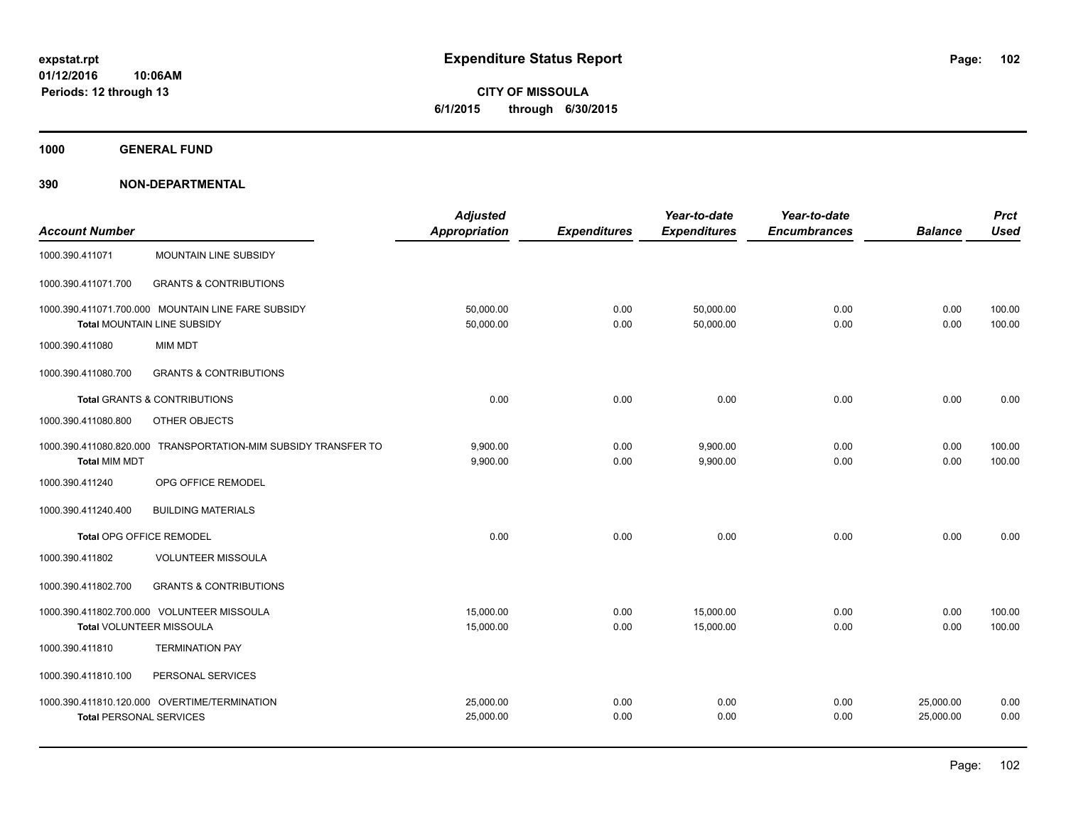**CITY OF MISSOULA 6/1/2015 through 6/30/2015**

**1000 GENERAL FUND**

| <b>Account Number</b>           |                                                                                          | <b>Adjusted</b><br><b>Appropriation</b> | <b>Expenditures</b> | Year-to-date<br><b>Expenditures</b> | Year-to-date<br><b>Encumbrances</b> | <b>Balance</b>         | <b>Prct</b><br><b>Used</b> |
|---------------------------------|------------------------------------------------------------------------------------------|-----------------------------------------|---------------------|-------------------------------------|-------------------------------------|------------------------|----------------------------|
| 1000.390.411071                 | <b>MOUNTAIN LINE SUBSIDY</b>                                                             |                                         |                     |                                     |                                     |                        |                            |
| 1000.390.411071.700             | <b>GRANTS &amp; CONTRIBUTIONS</b>                                                        |                                         |                     |                                     |                                     |                        |                            |
|                                 | 1000.390.411071.700.000 MOUNTAIN LINE FARE SUBSIDY<br><b>Total MOUNTAIN LINE SUBSIDY</b> | 50,000.00<br>50,000.00                  | 0.00<br>0.00        | 50,000.00<br>50,000.00              | 0.00<br>0.00                        | 0.00<br>0.00           | 100.00<br>100.00           |
| 1000.390.411080                 | <b>MIM MDT</b>                                                                           |                                         |                     |                                     |                                     |                        |                            |
| 1000.390.411080.700             | <b>GRANTS &amp; CONTRIBUTIONS</b>                                                        |                                         |                     |                                     |                                     |                        |                            |
|                                 | <b>Total GRANTS &amp; CONTRIBUTIONS</b>                                                  | 0.00                                    | 0.00                | 0.00                                | 0.00                                | 0.00                   | 0.00                       |
| 1000.390.411080.800             | OTHER OBJECTS                                                                            |                                         |                     |                                     |                                     |                        |                            |
| <b>Total MIM MDT</b>            | 1000.390.411080.820.000 TRANSPORTATION-MIM SUBSIDY TRANSFER TO                           | 9,900.00<br>9,900.00                    | 0.00<br>0.00        | 9,900.00<br>9,900.00                | 0.00<br>0.00                        | 0.00<br>0.00           | 100.00<br>100.00           |
| 1000.390.411240                 | OPG OFFICE REMODEL                                                                       |                                         |                     |                                     |                                     |                        |                            |
| 1000.390.411240.400             | <b>BUILDING MATERIALS</b>                                                                |                                         |                     |                                     |                                     |                        |                            |
| <b>Total OPG OFFICE REMODEL</b> |                                                                                          | 0.00                                    | 0.00                | 0.00                                | 0.00                                | 0.00                   | 0.00                       |
| 1000.390.411802                 | <b>VOLUNTEER MISSOULA</b>                                                                |                                         |                     |                                     |                                     |                        |                            |
| 1000.390.411802.700             | <b>GRANTS &amp; CONTRIBUTIONS</b>                                                        |                                         |                     |                                     |                                     |                        |                            |
|                                 | 1000.390.411802.700.000 VOLUNTEER MISSOULA<br>Total VOLUNTEER MISSOULA                   | 15,000.00<br>15,000.00                  | 0.00<br>0.00        | 15,000.00<br>15,000.00              | 0.00<br>0.00                        | 0.00<br>0.00           | 100.00<br>100.00           |
| 1000.390.411810                 | <b>TERMINATION PAY</b>                                                                   |                                         |                     |                                     |                                     |                        |                            |
| 1000.390.411810.100             | PERSONAL SERVICES                                                                        |                                         |                     |                                     |                                     |                        |                            |
| <b>Total PERSONAL SERVICES</b>  | 1000.390.411810.120.000 OVERTIME/TERMINATION                                             | 25,000.00<br>25,000.00                  | 0.00<br>0.00        | 0.00<br>0.00                        | 0.00<br>0.00                        | 25,000.00<br>25,000.00 | 0.00<br>0.00               |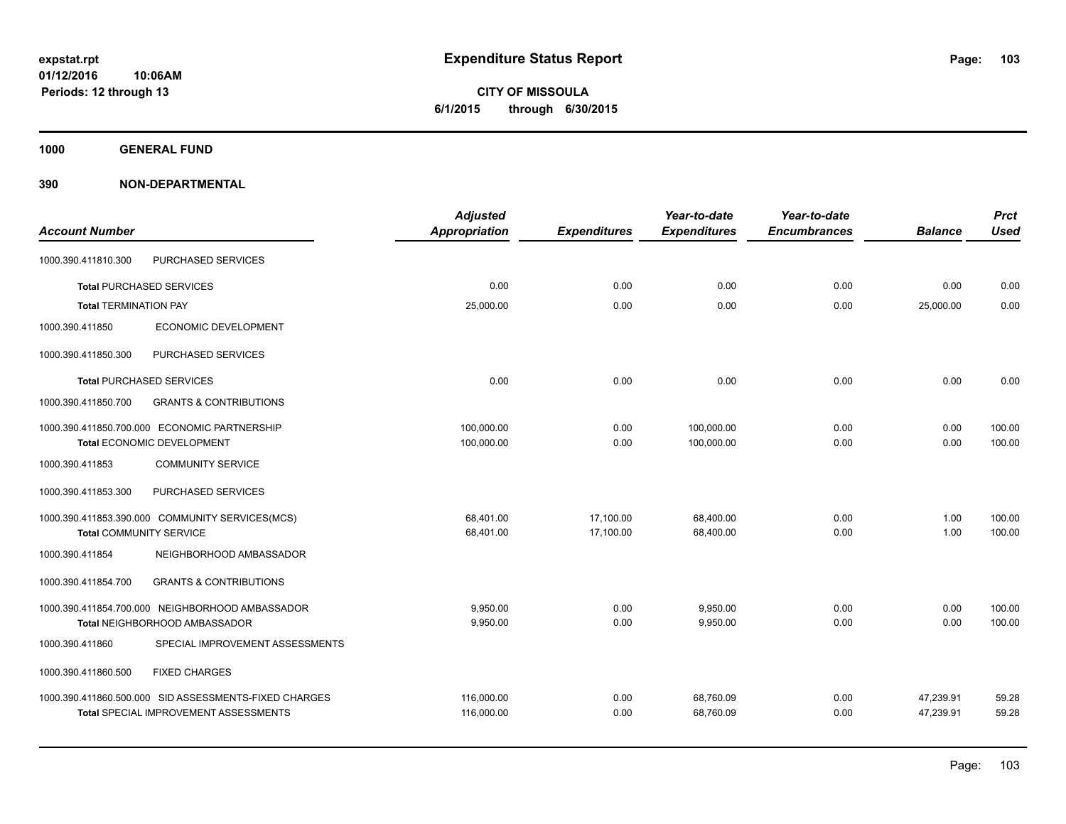**CITY OF MISSOULA 6/1/2015 through 6/30/2015**

**1000 GENERAL FUND**

|                                |                                                       | <b>Adjusted</b>      |                     | Year-to-date        | Year-to-date        |                | <b>Prct</b> |
|--------------------------------|-------------------------------------------------------|----------------------|---------------------|---------------------|---------------------|----------------|-------------|
| <b>Account Number</b>          |                                                       | <b>Appropriation</b> | <b>Expenditures</b> | <b>Expenditures</b> | <b>Encumbrances</b> | <b>Balance</b> | <b>Used</b> |
| 1000.390.411810.300            | PURCHASED SERVICES                                    |                      |                     |                     |                     |                |             |
|                                | <b>Total PURCHASED SERVICES</b>                       | 0.00                 | 0.00                | 0.00                | 0.00                | 0.00           | 0.00        |
| <b>Total TERMINATION PAY</b>   |                                                       | 25,000.00            | 0.00                | 0.00                | 0.00                | 25,000.00      | 0.00        |
| 1000.390.411850                | ECONOMIC DEVELOPMENT                                  |                      |                     |                     |                     |                |             |
| 1000.390.411850.300            | PURCHASED SERVICES                                    |                      |                     |                     |                     |                |             |
|                                | <b>Total PURCHASED SERVICES</b>                       | 0.00                 | 0.00                | 0.00                | 0.00                | 0.00           | 0.00        |
| 1000.390.411850.700            | <b>GRANTS &amp; CONTRIBUTIONS</b>                     |                      |                     |                     |                     |                |             |
|                                | 1000.390.411850.700.000 ECONOMIC PARTNERSHIP          | 100,000.00           | 0.00                | 100,000.00          | 0.00                | 0.00           | 100.00      |
|                                | Total ECONOMIC DEVELOPMENT                            | 100,000.00           | 0.00                | 100,000.00          | 0.00                | 0.00           | 100.00      |
| 1000.390.411853                | <b>COMMUNITY SERVICE</b>                              |                      |                     |                     |                     |                |             |
| 1000.390.411853.300            | PURCHASED SERVICES                                    |                      |                     |                     |                     |                |             |
|                                | 1000.390.411853.390.000 COMMUNITY SERVICES(MCS)       | 68,401.00            | 17,100.00           | 68,400.00           | 0.00                | 1.00           | 100.00      |
| <b>Total COMMUNITY SERVICE</b> |                                                       | 68,401.00            | 17,100.00           | 68,400.00           | 0.00                | 1.00           | 100.00      |
| 1000.390.411854                | NEIGHBORHOOD AMBASSADOR                               |                      |                     |                     |                     |                |             |
| 1000.390.411854.700            | <b>GRANTS &amp; CONTRIBUTIONS</b>                     |                      |                     |                     |                     |                |             |
|                                | 1000.390.411854.700.000 NEIGHBORHOOD AMBASSADOR       | 9,950.00             | 0.00                | 9,950.00            | 0.00                | 0.00           | 100.00      |
|                                | Total NEIGHBORHOOD AMBASSADOR                         | 9,950.00             | 0.00                | 9,950.00            | 0.00                | 0.00           | 100.00      |
| 1000.390.411860                | SPECIAL IMPROVEMENT ASSESSMENTS                       |                      |                     |                     |                     |                |             |
| 1000.390.411860.500            | <b>FIXED CHARGES</b>                                  |                      |                     |                     |                     |                |             |
|                                | 1000.390.411860.500.000 SID ASSESSMENTS-FIXED CHARGES | 116,000.00           | 0.00                | 68,760.09           | 0.00                | 47,239.91      | 59.28       |
|                                | <b>Total SPECIAL IMPROVEMENT ASSESSMENTS</b>          | 116,000.00           | 0.00                | 68,760.09           | 0.00                | 47,239.91      | 59.28       |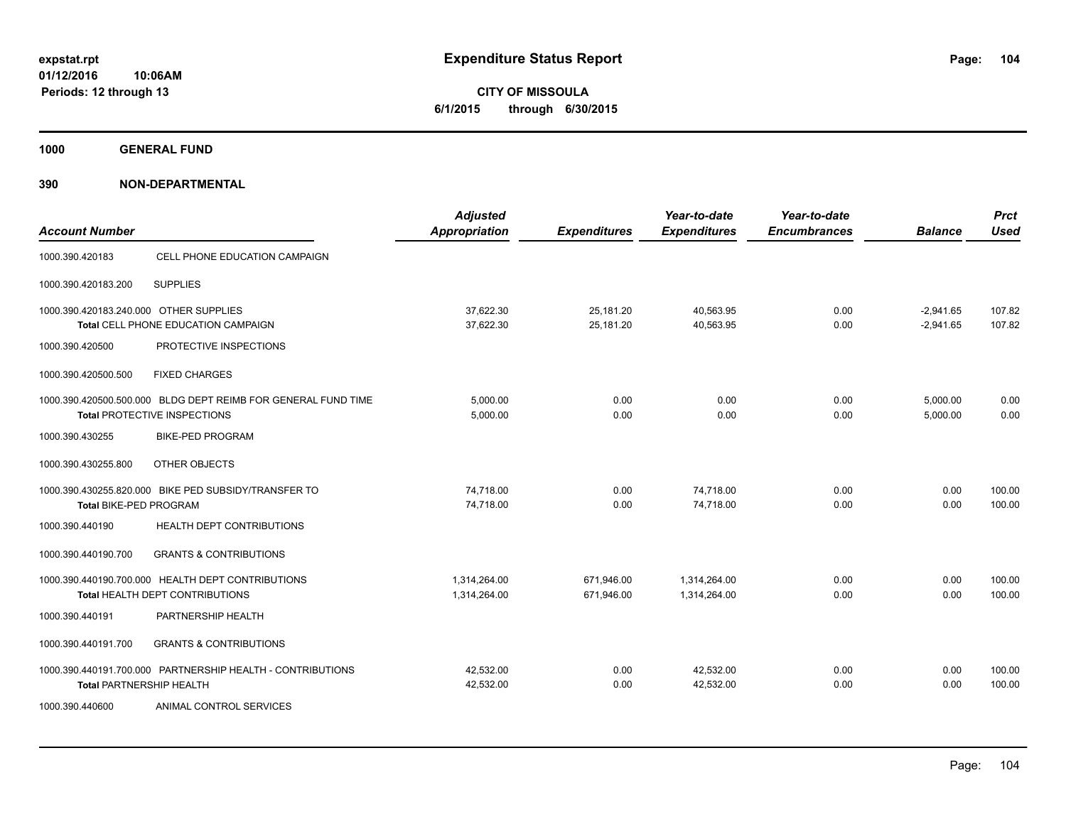**CITY OF MISSOULA 6/1/2015 through 6/30/2015**

**1000 GENERAL FUND**

| <b>Account Number</b>                  |                                                                                               | <b>Adjusted</b><br><b>Appropriation</b> | <b>Expenditures</b>      | Year-to-date<br><b>Expenditures</b> | Year-to-date<br><b>Encumbrances</b> | <b>Balance</b>             | <b>Prct</b><br><b>Used</b> |
|----------------------------------------|-----------------------------------------------------------------------------------------------|-----------------------------------------|--------------------------|-------------------------------------|-------------------------------------|----------------------------|----------------------------|
| 1000.390.420183                        | CELL PHONE EDUCATION CAMPAIGN                                                                 |                                         |                          |                                     |                                     |                            |                            |
| 1000.390.420183.200                    | <b>SUPPLIES</b>                                                                               |                                         |                          |                                     |                                     |                            |                            |
| 1000.390.420183.240.000 OTHER SUPPLIES | Total CELL PHONE EDUCATION CAMPAIGN                                                           | 37,622.30<br>37.622.30                  | 25,181.20<br>25,181.20   | 40,563.95<br>40,563.95              | 0.00<br>0.00                        | $-2,941.65$<br>$-2.941.65$ | 107.82<br>107.82           |
| 1000.390.420500                        | PROTECTIVE INSPECTIONS                                                                        |                                         |                          |                                     |                                     |                            |                            |
| 1000.390.420500.500                    | <b>FIXED CHARGES</b>                                                                          |                                         |                          |                                     |                                     |                            |                            |
|                                        | 1000.390.420500.500.000 BLDG DEPT REIMB FOR GENERAL FUND TIME<br>Total PROTECTIVE INSPECTIONS | 5,000.00<br>5,000.00                    | 0.00<br>0.00             | 0.00<br>0.00                        | 0.00<br>0.00                        | 5,000.00<br>5,000.00       | 0.00<br>0.00               |
| 1000.390.430255                        | <b>BIKE-PED PROGRAM</b>                                                                       |                                         |                          |                                     |                                     |                            |                            |
| 1000.390.430255.800                    | OTHER OBJECTS                                                                                 |                                         |                          |                                     |                                     |                            |                            |
| <b>Total BIKE-PED PROGRAM</b>          | 1000.390.430255.820.000 BIKE PED SUBSIDY/TRANSFER TO                                          | 74,718.00<br>74.718.00                  | 0.00<br>0.00             | 74,718.00<br>74.718.00              | 0.00<br>0.00                        | 0.00<br>0.00               | 100.00<br>100.00           |
| 1000.390.440190                        | HEALTH DEPT CONTRIBUTIONS                                                                     |                                         |                          |                                     |                                     |                            |                            |
| 1000.390.440190.700                    | <b>GRANTS &amp; CONTRIBUTIONS</b>                                                             |                                         |                          |                                     |                                     |                            |                            |
|                                        | 1000.390.440190.700.000 HEALTH DEPT CONTRIBUTIONS<br>Total HEALTH DEPT CONTRIBUTIONS          | 1,314,264.00<br>1,314,264.00            | 671,946.00<br>671,946.00 | 1,314,264.00<br>1,314,264.00        | 0.00<br>0.00                        | 0.00<br>0.00               | 100.00<br>100.00           |
| 1000.390.440191                        | PARTNERSHIP HEALTH                                                                            |                                         |                          |                                     |                                     |                            |                            |
| 1000.390.440191.700                    | <b>GRANTS &amp; CONTRIBUTIONS</b>                                                             |                                         |                          |                                     |                                     |                            |                            |
| <b>Total PARTNERSHIP HEALTH</b>        | 1000.390.440191.700.000 PARTNERSHIP HEALTH - CONTRIBUTIONS                                    | 42,532.00<br>42,532.00                  | 0.00<br>0.00             | 42,532.00<br>42,532.00              | 0.00<br>0.00                        | 0.00<br>0.00               | 100.00<br>100.00           |
| 1000.390.440600                        | ANIMAL CONTROL SERVICES                                                                       |                                         |                          |                                     |                                     |                            |                            |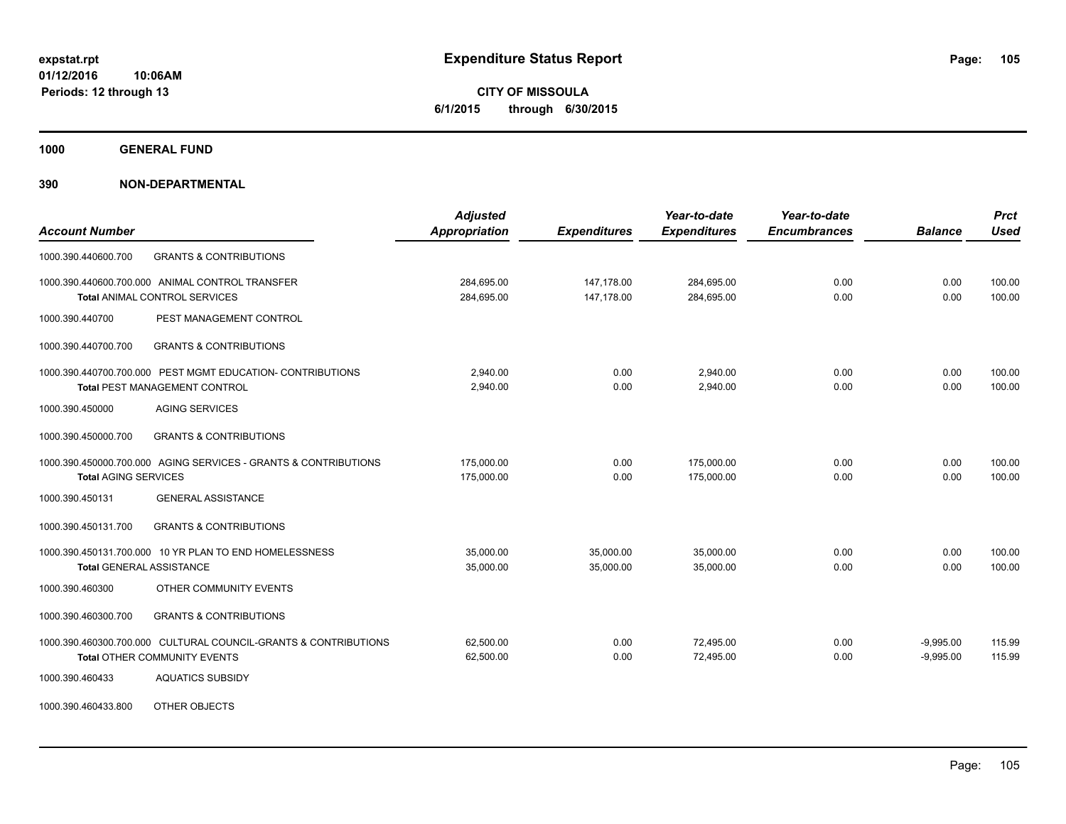**CITY OF MISSOULA 6/1/2015 through 6/30/2015**

**1000 GENERAL FUND**

| <b>Account Number</b>                                                                           | <b>Adjusted</b><br>Appropriation | <b>Expenditures</b>      | Year-to-date<br><b>Expenditures</b> | Year-to-date<br><b>Encumbrances</b> | <b>Balance</b>             | <b>Prct</b><br><b>Used</b> |
|-------------------------------------------------------------------------------------------------|----------------------------------|--------------------------|-------------------------------------|-------------------------------------|----------------------------|----------------------------|
| <b>GRANTS &amp; CONTRIBUTIONS</b><br>1000.390.440600.700                                        |                                  |                          |                                     |                                     |                            |                            |
| 1000.390.440600.700.000 ANIMAL CONTROL TRANSFER<br><b>Total ANIMAL CONTROL SERVICES</b>         | 284,695.00<br>284,695.00         | 147,178.00<br>147,178.00 | 284,695.00<br>284,695.00            | 0.00<br>0.00                        | 0.00<br>0.00               | 100.00<br>100.00           |
| PEST MANAGEMENT CONTROL<br>1000.390.440700                                                      |                                  |                          |                                     |                                     |                            |                            |
| <b>GRANTS &amp; CONTRIBUTIONS</b><br>1000.390.440700.700                                        |                                  |                          |                                     |                                     |                            |                            |
| 1000.390.440700.700.000 PEST MGMT EDUCATION- CONTRIBUTIONS<br>Total PEST MANAGEMENT CONTROL     | 2.940.00<br>2.940.00             | 0.00<br>0.00             | 2.940.00<br>2,940.00                | 0.00<br>0.00                        | 0.00<br>0.00               | 100.00<br>100.00           |
| <b>AGING SERVICES</b><br>1000.390.450000                                                        |                                  |                          |                                     |                                     |                            |                            |
| 1000.390.450000.700<br><b>GRANTS &amp; CONTRIBUTIONS</b>                                        |                                  |                          |                                     |                                     |                            |                            |
| 1000.390.450000.700.000 AGING SERVICES - GRANTS & CONTRIBUTIONS<br><b>Total AGING SERVICES</b>  | 175,000.00<br>175,000.00         | 0.00<br>0.00             | 175.000.00<br>175.000.00            | 0.00<br>0.00                        | 0.00<br>0.00               | 100.00<br>100.00           |
| <b>GENERAL ASSISTANCE</b><br>1000.390.450131                                                    |                                  |                          |                                     |                                     |                            |                            |
| 1000.390.450131.700<br><b>GRANTS &amp; CONTRIBUTIONS</b>                                        |                                  |                          |                                     |                                     |                            |                            |
| 1000.390.450131.700.000 10 YR PLAN TO END HOMELESSNESS<br><b>Total GENERAL ASSISTANCE</b>       | 35,000.00<br>35,000.00           | 35,000.00<br>35,000.00   | 35,000.00<br>35,000.00              | 0.00<br>0.00                        | 0.00<br>0.00               | 100.00<br>100.00           |
| OTHER COMMUNITY EVENTS<br>1000.390.460300                                                       |                                  |                          |                                     |                                     |                            |                            |
| 1000.390.460300.700<br><b>GRANTS &amp; CONTRIBUTIONS</b>                                        |                                  |                          |                                     |                                     |                            |                            |
| 1000.390.460300.700.000 CULTURAL COUNCIL-GRANTS & CONTRIBUTIONS<br>Total OTHER COMMUNITY EVENTS | 62,500.00<br>62,500.00           | 0.00<br>0.00             | 72,495.00<br>72,495.00              | 0.00<br>0.00                        | $-9,995.00$<br>$-9,995.00$ | 115.99<br>115.99           |
| <b>AQUATICS SUBSIDY</b><br>1000.390.460433                                                      |                                  |                          |                                     |                                     |                            |                            |
| OTHER OBJECTS<br>1000.390.460433.800                                                            |                                  |                          |                                     |                                     |                            |                            |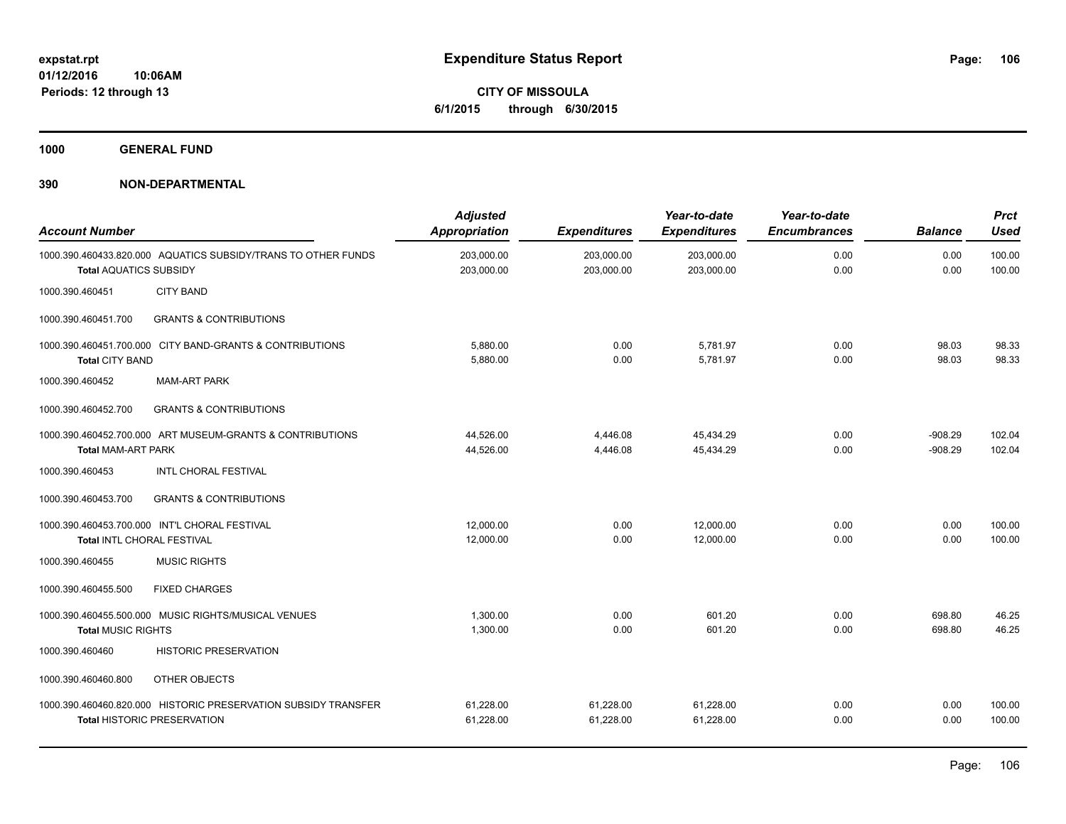**CITY OF MISSOULA 6/1/2015 through 6/30/2015**

**1000 GENERAL FUND**

| <b>Account Number</b>         |                                                                                                      | <b>Adjusted</b><br><b>Appropriation</b> | <b>Expenditures</b>      | Year-to-date<br><b>Expenditures</b> | Year-to-date<br><b>Encumbrances</b> | <b>Balance</b>         | <b>Prct</b><br><b>Used</b> |
|-------------------------------|------------------------------------------------------------------------------------------------------|-----------------------------------------|--------------------------|-------------------------------------|-------------------------------------|------------------------|----------------------------|
| <b>Total AQUATICS SUBSIDY</b> | 1000.390.460433.820.000 AQUATICS SUBSIDY/TRANS TO OTHER FUNDS                                        | 203,000.00<br>203,000.00                | 203,000.00<br>203,000.00 | 203,000.00<br>203,000.00            | 0.00<br>0.00                        | 0.00<br>0.00           | 100.00<br>100.00           |
| 1000.390.460451               | <b>CITY BAND</b>                                                                                     |                                         |                          |                                     |                                     |                        |                            |
| 1000.390.460451.700           | <b>GRANTS &amp; CONTRIBUTIONS</b>                                                                    |                                         |                          |                                     |                                     |                        |                            |
| <b>Total CITY BAND</b>        | 1000.390.460451.700.000 CITY BAND-GRANTS & CONTRIBUTIONS                                             | 5,880.00<br>5,880.00                    | 0.00<br>0.00             | 5,781.97<br>5,781.97                | 0.00<br>0.00                        | 98.03<br>98.03         | 98.33<br>98.33             |
| 1000.390.460452               | <b>MAM-ART PARK</b>                                                                                  |                                         |                          |                                     |                                     |                        |                            |
| 1000.390.460452.700           | <b>GRANTS &amp; CONTRIBUTIONS</b>                                                                    |                                         |                          |                                     |                                     |                        |                            |
| <b>Total MAM-ART PARK</b>     | 1000.390.460452.700.000 ART MUSEUM-GRANTS & CONTRIBUTIONS                                            | 44,526.00<br>44,526.00                  | 4,446.08<br>4,446.08     | 45.434.29<br>45,434.29              | 0.00<br>0.00                        | $-908.29$<br>$-908.29$ | 102.04<br>102.04           |
| 1000.390.460453               | <b>INTL CHORAL FESTIVAL</b>                                                                          |                                         |                          |                                     |                                     |                        |                            |
| 1000.390.460453.700           | <b>GRANTS &amp; CONTRIBUTIONS</b>                                                                    |                                         |                          |                                     |                                     |                        |                            |
| Total INTL CHORAL FESTIVAL    | 1000.390.460453.700.000 INT'L CHORAL FESTIVAL                                                        | 12,000.00<br>12,000.00                  | 0.00<br>0.00             | 12,000.00<br>12,000.00              | 0.00<br>0.00                        | 0.00<br>0.00           | 100.00<br>100.00           |
| 1000.390.460455               | <b>MUSIC RIGHTS</b>                                                                                  |                                         |                          |                                     |                                     |                        |                            |
| 1000.390.460455.500           | <b>FIXED CHARGES</b>                                                                                 |                                         |                          |                                     |                                     |                        |                            |
| <b>Total MUSIC RIGHTS</b>     | 1000.390.460455.500.000 MUSIC RIGHTS/MUSICAL VENUES                                                  | 1,300.00<br>1,300.00                    | 0.00<br>0.00             | 601.20<br>601.20                    | 0.00<br>0.00                        | 698.80<br>698.80       | 46.25<br>46.25             |
| 1000.390.460460               | <b>HISTORIC PRESERVATION</b>                                                                         |                                         |                          |                                     |                                     |                        |                            |
| 1000.390.460460.800           | OTHER OBJECTS                                                                                        |                                         |                          |                                     |                                     |                        |                            |
|                               | 1000.390.460460.820.000 HISTORIC PRESERVATION SUBSIDY TRANSFER<br><b>Total HISTORIC PRESERVATION</b> | 61,228.00<br>61,228.00                  | 61,228.00<br>61,228.00   | 61,228.00<br>61,228.00              | 0.00<br>0.00                        | 0.00<br>0.00           | 100.00<br>100.00           |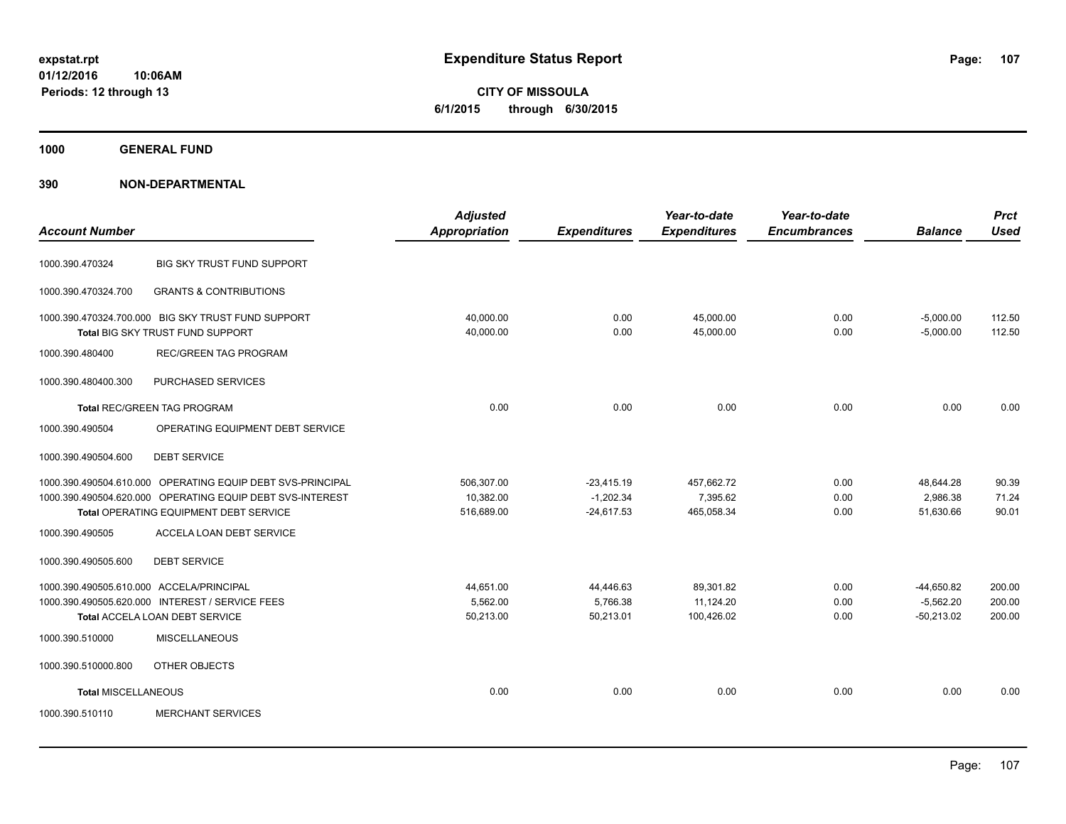**CITY OF MISSOULA 6/1/2015 through 6/30/2015**

**1000 GENERAL FUND**

| <b>Account Number</b>                    |                                                                                        | <b>Adjusted</b><br><b>Appropriation</b> | <b>Expenditures</b>         | Year-to-date<br><b>Expenditures</b> | Year-to-date<br><b>Encumbrances</b> | <b>Balance</b>             | <b>Prct</b><br><b>Used</b> |
|------------------------------------------|----------------------------------------------------------------------------------------|-----------------------------------------|-----------------------------|-------------------------------------|-------------------------------------|----------------------------|----------------------------|
| 1000.390.470324                          | BIG SKY TRUST FUND SUPPORT                                                             |                                         |                             |                                     |                                     |                            |                            |
| 1000.390.470324.700                      | <b>GRANTS &amp; CONTRIBUTIONS</b>                                                      |                                         |                             |                                     |                                     |                            |                            |
|                                          | 1000.390.470324.700.000 BIG SKY TRUST FUND SUPPORT<br>Total BIG SKY TRUST FUND SUPPORT | 40,000.00<br>40,000.00                  | 0.00<br>0.00                | 45,000.00<br>45,000.00              | 0.00<br>0.00                        | $-5,000.00$<br>$-5,000.00$ | 112.50<br>112.50           |
| 1000.390.480400                          | REC/GREEN TAG PROGRAM                                                                  |                                         |                             |                                     |                                     |                            |                            |
| 1000.390.480400.300                      | PURCHASED SERVICES                                                                     |                                         |                             |                                     |                                     |                            |                            |
|                                          | <b>Total REC/GREEN TAG PROGRAM</b>                                                     | 0.00                                    | 0.00                        | 0.00                                | 0.00                                | 0.00                       | 0.00                       |
| 1000.390.490504                          | OPERATING EQUIPMENT DEBT SERVICE                                                       |                                         |                             |                                     |                                     |                            |                            |
| 1000.390.490504.600                      | <b>DEBT SERVICE</b>                                                                    |                                         |                             |                                     |                                     |                            |                            |
|                                          | 1000.390.490504.610.000 OPERATING EQUIP DEBT SVS-PRINCIPAL                             | 506,307.00                              | $-23,415.19$                | 457,662.72                          | 0.00                                | 48,644.28                  | 90.39                      |
|                                          | 1000.390.490504.620.000 OPERATING EQUIP DEBT SVS-INTEREST                              | 10,382.00<br>516,689.00                 | $-1,202.34$<br>$-24,617.53$ | 7,395.62<br>465,058.34              | 0.00<br>0.00                        | 2,986.38<br>51,630.66      | 71.24<br>90.01             |
|                                          | Total OPERATING EQUIPMENT DEBT SERVICE                                                 |                                         |                             |                                     |                                     |                            |                            |
| 1000.390.490505                          | ACCELA LOAN DEBT SERVICE                                                               |                                         |                             |                                     |                                     |                            |                            |
| 1000.390.490505.600                      | <b>DEBT SERVICE</b>                                                                    |                                         |                             |                                     |                                     |                            |                            |
| 1000.390.490505.610.000 ACCELA/PRINCIPAL |                                                                                        | 44,651.00                               | 44,446.63                   | 89,301.82                           | 0.00                                | $-44,650.82$               | 200.00                     |
|                                          | 1000.390.490505.620.000 INTEREST / SERVICE FEES                                        | 5,562.00                                | 5,766.38                    | 11,124.20                           | 0.00                                | $-5,562.20$                | 200.00                     |
|                                          | Total ACCELA LOAN DEBT SERVICE                                                         | 50,213.00                               | 50,213.01                   | 100,426.02                          | 0.00                                | $-50,213.02$               | 200.00                     |
| 1000.390.510000                          | <b>MISCELLANEOUS</b>                                                                   |                                         |                             |                                     |                                     |                            |                            |
| 1000.390.510000.800                      | OTHER OBJECTS                                                                          |                                         |                             |                                     |                                     |                            |                            |
| <b>Total MISCELLANEOUS</b>               |                                                                                        | 0.00                                    | 0.00                        | 0.00                                | 0.00                                | 0.00                       | 0.00                       |
| 1000.390.510110                          | <b>MERCHANT SERVICES</b>                                                               |                                         |                             |                                     |                                     |                            |                            |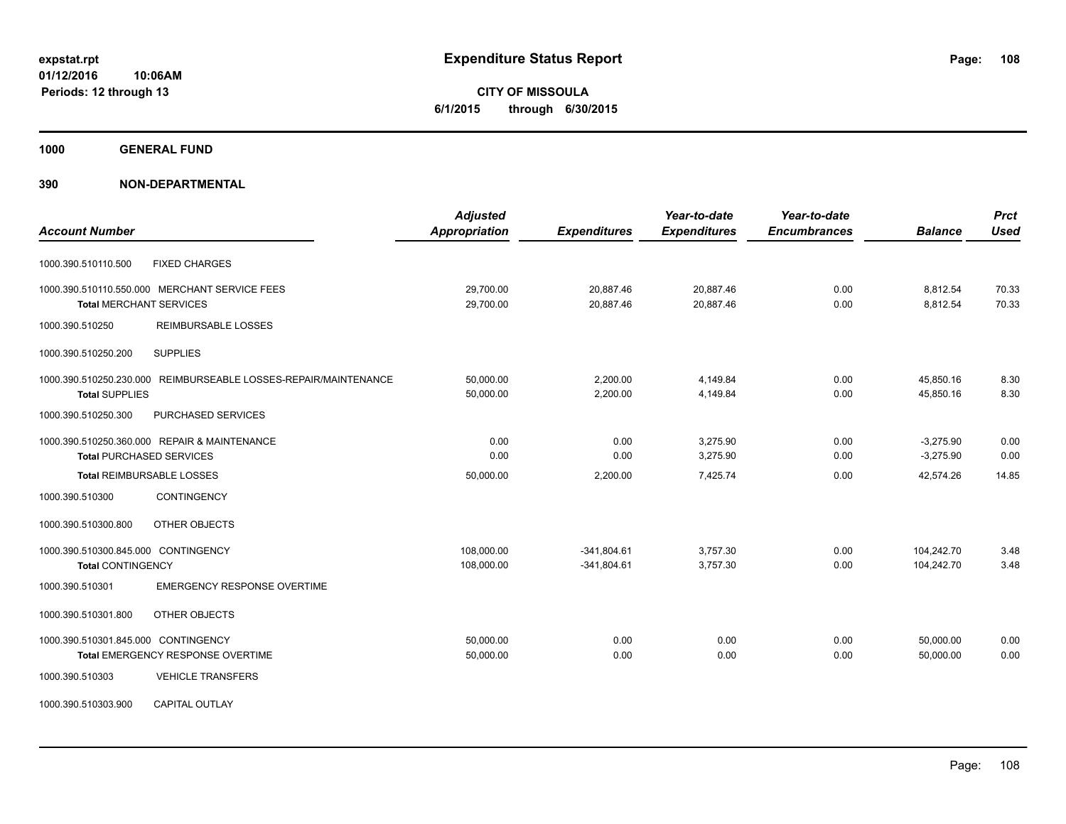**CITY OF MISSOULA 6/1/2015 through 6/30/2015**

**1000 GENERAL FUND**

| <b>Account Number</b>                                                                                                   | <b>Adjusted</b><br><b>Appropriation</b> | <b>Expenditures</b>            | Year-to-date<br><b>Expenditures</b> | Year-to-date<br><b>Encumbrances</b> | <b>Balance</b>             | <b>Prct</b><br><b>Used</b> |
|-------------------------------------------------------------------------------------------------------------------------|-----------------------------------------|--------------------------------|-------------------------------------|-------------------------------------|----------------------------|----------------------------|
| <b>FIXED CHARGES</b><br>1000.390.510110.500                                                                             |                                         |                                |                                     |                                     |                            |                            |
| 1000.390.510110.550.000 MERCHANT SERVICE FEES<br><b>Total MERCHANT SERVICES</b>                                         | 29,700.00<br>29,700.00                  | 20,887.46<br>20,887.46         | 20,887.46<br>20,887.46              | 0.00<br>0.00                        | 8,812.54<br>8,812.54       | 70.33<br>70.33             |
| 1000.390.510250<br><b>REIMBURSABLE LOSSES</b>                                                                           |                                         |                                |                                     |                                     |                            |                            |
| <b>SUPPLIES</b><br>1000.390.510250.200                                                                                  |                                         |                                |                                     |                                     |                            |                            |
| 1000.390.510250.230.000 REIMBURSEABLE LOSSES-REPAIR/MAINTENANCE<br><b>Total SUPPLIES</b>                                | 50,000.00<br>50,000.00                  | 2,200.00<br>2,200.00           | 4,149.84<br>4,149.84                | 0.00<br>0.00                        | 45,850.16<br>45,850.16     | 8.30<br>8.30               |
| PURCHASED SERVICES<br>1000.390.510250.300                                                                               |                                         |                                |                                     |                                     |                            |                            |
| 1000.390.510250.360.000 REPAIR & MAINTENANCE<br><b>Total PURCHASED SERVICES</b>                                         | 0.00<br>0.00                            | 0.00<br>0.00                   | 3,275.90<br>3,275.90                | 0.00<br>0.00                        | $-3,275.90$<br>$-3,275.90$ | 0.00<br>0.00               |
| Total REIMBURSABLE LOSSES                                                                                               | 50,000.00                               | 2,200.00                       | 7,425.74                            | 0.00                                | 42,574.26                  | 14.85                      |
| 1000.390.510300<br><b>CONTINGENCY</b>                                                                                   |                                         |                                |                                     |                                     |                            |                            |
| OTHER OBJECTS<br>1000.390.510300.800                                                                                    |                                         |                                |                                     |                                     |                            |                            |
| 1000.390.510300.845.000 CONTINGENCY<br><b>Total CONTINGENCY</b>                                                         | 108,000.00<br>108,000.00                | $-341,804.61$<br>$-341,804.61$ | 3,757.30<br>3,757.30                | 0.00<br>0.00                        | 104,242.70<br>104,242.70   | 3.48<br>3.48               |
| <b>EMERGENCY RESPONSE OVERTIME</b><br>1000.390.510301                                                                   |                                         |                                |                                     |                                     |                            |                            |
| 1000.390.510301.800<br>OTHER OBJECTS                                                                                    |                                         |                                |                                     |                                     |                            |                            |
| 1000.390.510301.845.000 CONTINGENCY<br>Total EMERGENCY RESPONSE OVERTIME<br><b>VEHICLE TRANSFERS</b><br>1000.390.510303 | 50,000.00<br>50,000.00                  | 0.00<br>0.00                   | 0.00<br>0.00                        | 0.00<br>0.00                        | 50,000.00<br>50.000.00     | 0.00<br>0.00               |
| CAPITAL OUTLAY<br>1000.390.510303.900                                                                                   |                                         |                                |                                     |                                     |                            |                            |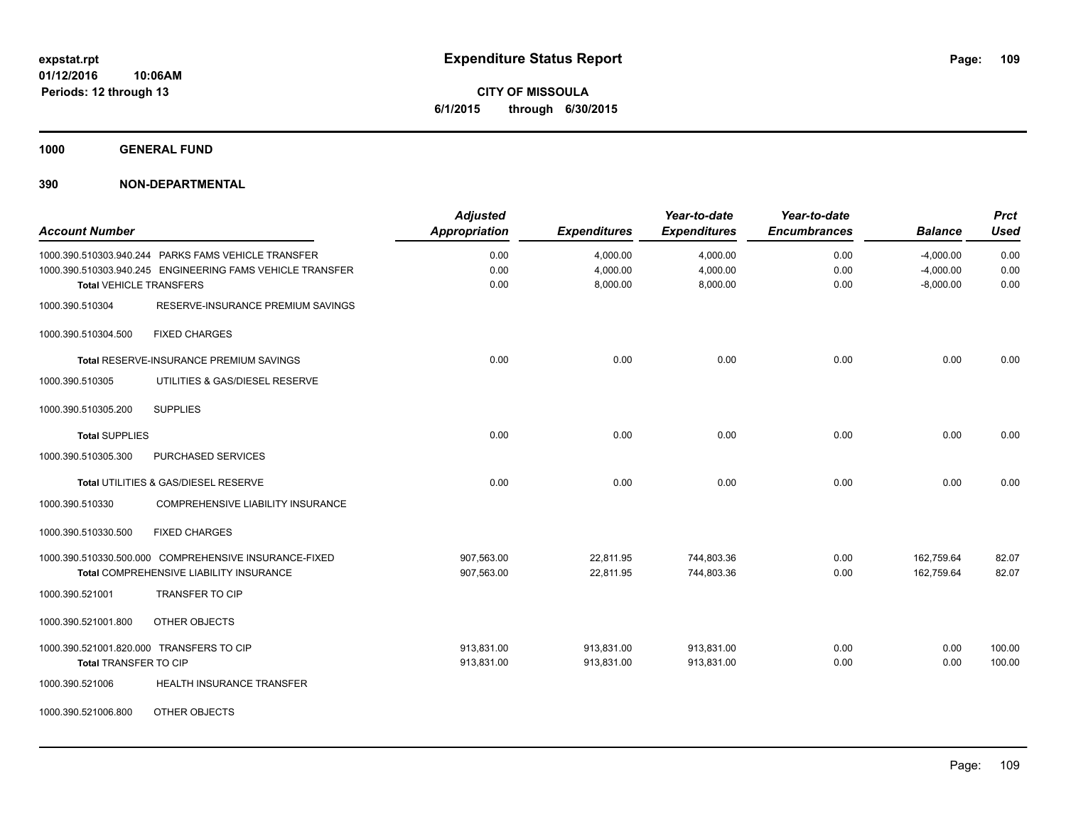**CITY OF MISSOULA 6/1/2015 through 6/30/2015**

**1000 GENERAL FUND**

| <b>Account Number</b> |                                                                                                                                                     | <b>Adjusted</b><br><b>Appropriation</b> | <b>Expenditures</b>              | Year-to-date<br><b>Expenditures</b> | Year-to-date<br><b>Encumbrances</b> | <b>Balance</b>                            | <b>Prct</b><br><b>Used</b> |
|-----------------------|-----------------------------------------------------------------------------------------------------------------------------------------------------|-----------------------------------------|----------------------------------|-------------------------------------|-------------------------------------|-------------------------------------------|----------------------------|
|                       | 1000.390.510303.940.244  PARKS FAMS VEHICLE TRANSFER<br>1000.390.510303.940.245 ENGINEERING FAMS VEHICLE TRANSFER<br><b>Total VEHICLE TRANSFERS</b> | 0.00<br>0.00<br>0.00                    | 4,000.00<br>4,000.00<br>8,000.00 | 4,000.00<br>4,000.00<br>8,000.00    | 0.00<br>0.00<br>0.00                | $-4,000.00$<br>$-4,000.00$<br>$-8,000.00$ | 0.00<br>0.00<br>0.00       |
| 1000.390.510304       | RESERVE-INSURANCE PREMIUM SAVINGS                                                                                                                   |                                         |                                  |                                     |                                     |                                           |                            |
| 1000.390.510304.500   | <b>FIXED CHARGES</b>                                                                                                                                |                                         |                                  |                                     |                                     |                                           |                            |
|                       | Total RESERVE-INSURANCE PREMIUM SAVINGS                                                                                                             | 0.00                                    | 0.00                             | 0.00                                | 0.00                                | 0.00                                      | 0.00                       |
| 1000.390.510305       | UTILITIES & GAS/DIESEL RESERVE                                                                                                                      |                                         |                                  |                                     |                                     |                                           |                            |
| 1000.390.510305.200   | <b>SUPPLIES</b>                                                                                                                                     |                                         |                                  |                                     |                                     |                                           |                            |
| <b>Total SUPPLIES</b> |                                                                                                                                                     | 0.00                                    | 0.00                             | 0.00                                | 0.00                                | 0.00                                      | 0.00                       |
| 1000.390.510305.300   | PURCHASED SERVICES                                                                                                                                  |                                         |                                  |                                     |                                     |                                           |                            |
|                       | Total UTILITIES & GAS/DIESEL RESERVE                                                                                                                | 0.00                                    | 0.00                             | 0.00                                | 0.00                                | 0.00                                      | 0.00                       |
| 1000.390.510330       | COMPREHENSIVE LIABILITY INSURANCE                                                                                                                   |                                         |                                  |                                     |                                     |                                           |                            |
| 1000.390.510330.500   | <b>FIXED CHARGES</b>                                                                                                                                |                                         |                                  |                                     |                                     |                                           |                            |
|                       | 1000.390.510330.500.000 COMPREHENSIVE INSURANCE-FIXED<br>Total COMPREHENSIVE LIABILITY INSURANCE                                                    | 907,563.00<br>907,563.00                | 22,811.95<br>22,811.95           | 744,803.36<br>744,803.36            | 0.00<br>0.00                        | 162,759.64<br>162.759.64                  | 82.07<br>82.07             |
| 1000.390.521001       | <b>TRANSFER TO CIP</b>                                                                                                                              |                                         |                                  |                                     |                                     |                                           |                            |
| 1000.390.521001.800   | OTHER OBJECTS                                                                                                                                       |                                         |                                  |                                     |                                     |                                           |                            |
|                       | 1000.390.521001.820.000 TRANSFERS TO CIP                                                                                                            | 913,831.00                              | 913,831.00                       | 913,831.00                          | 0.00                                | 0.00                                      | 100.00                     |
| Total TRANSFER TO CIP |                                                                                                                                                     | 913,831.00                              | 913,831.00                       | 913,831.00                          | 0.00                                | 0.00                                      | 100.00                     |
| 1000.390.521006       | HEALTH INSURANCE TRANSFER                                                                                                                           |                                         |                                  |                                     |                                     |                                           |                            |
| 1000.390.521006.800   | OTHER OBJECTS                                                                                                                                       |                                         |                                  |                                     |                                     |                                           |                            |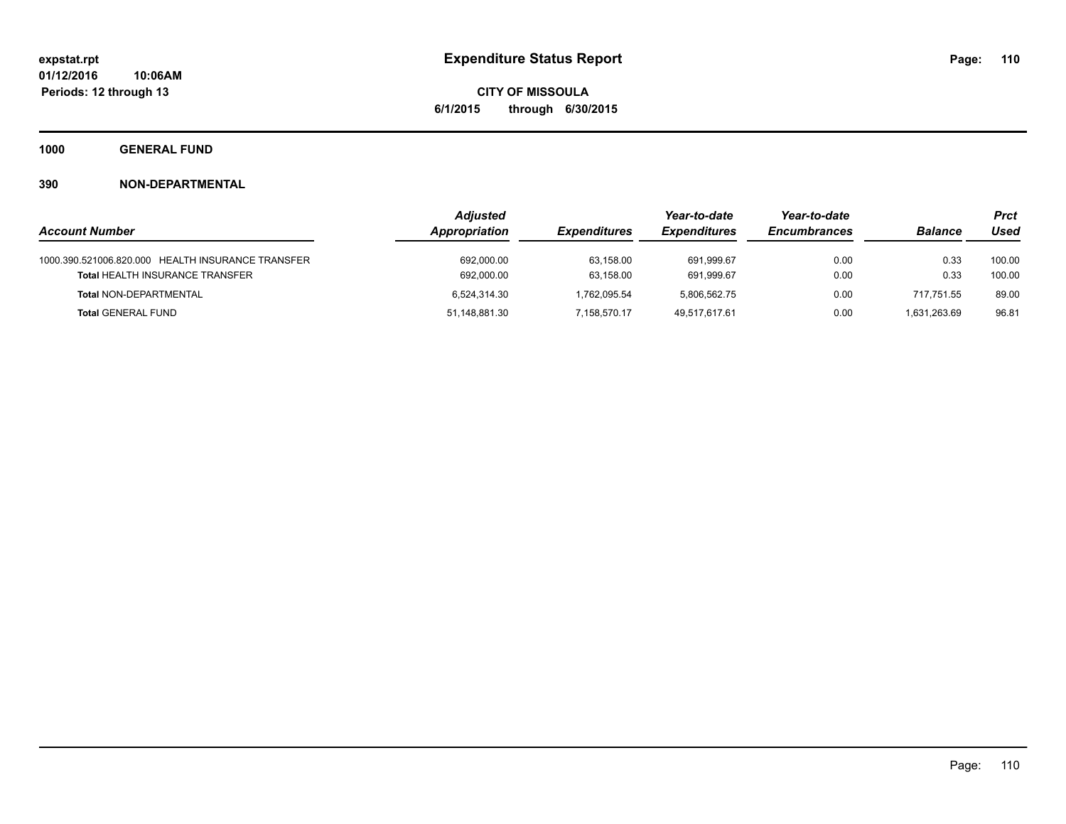**CITY OF MISSOULA 6/1/2015 through 6/30/2015**

**1000 GENERAL FUND**

|                                                   | <b>Adjusted</b> |                     | Year-to-date        | Year-to-date        |                | Prct   |
|---------------------------------------------------|-----------------|---------------------|---------------------|---------------------|----------------|--------|
| <b>Account Number</b>                             | Appropriation   | <b>Expenditures</b> | <b>Expenditures</b> | <b>Encumbrances</b> | <b>Balance</b> | Used   |
| 1000.390.521006.820.000 HEALTH INSURANCE TRANSFER | 692,000.00      | 63.158.00           | 691.999.67          | 0.00                | 0.33           | 100.00 |
| <b>Total HEALTH INSURANCE TRANSFER</b>            | 692,000.00      | 63,158.00           | 691.999.67          | 0.00                | 0.33           | 100.00 |
| <b>Total NON-DEPARTMENTAL</b>                     | 6.524.314.30    | 1.762.095.54        | 5.806.562.75        | 0.00                | 717.751.55     | 89.00  |
| <b>Total GENERAL FUND</b>                         | 51.148.881.30   | 7.158.570.17        | 49.517.617.61       | 0.00                | 1.631.263.69   | 96.81  |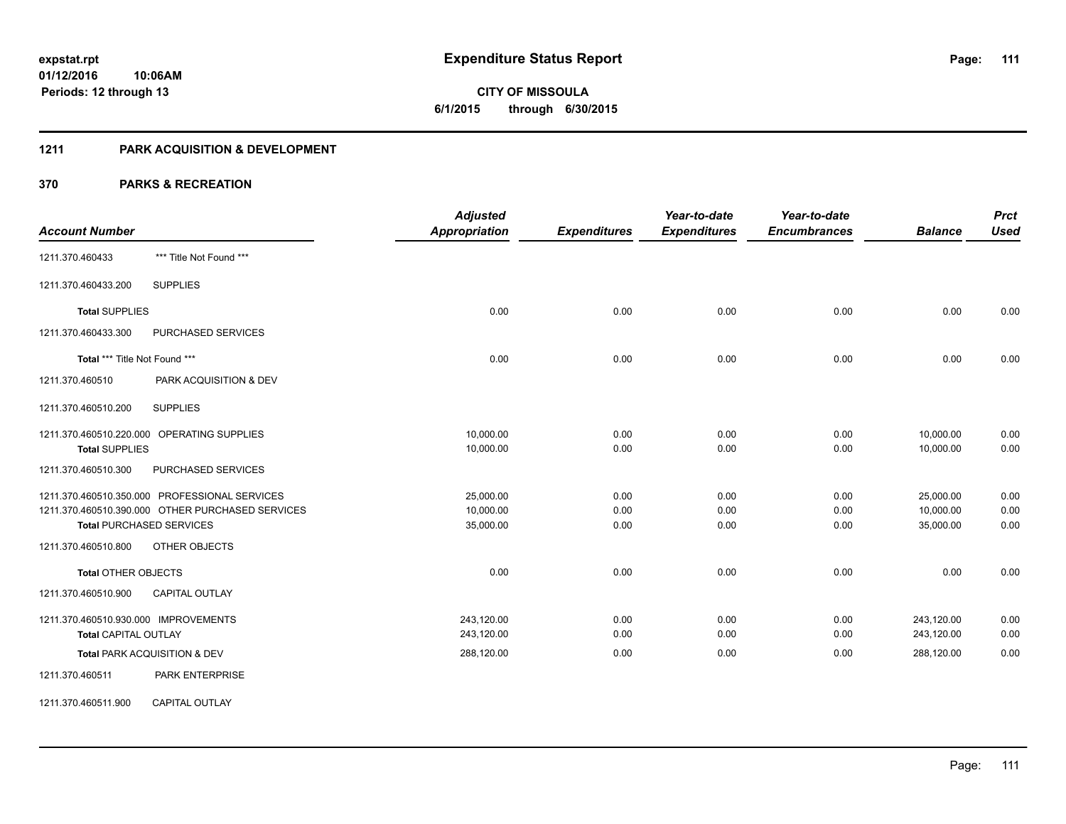**Periods: 12 through 13**

**CITY OF MISSOULA 6/1/2015 through 6/30/2015**

#### **1211 PARK ACQUISITION & DEVELOPMENT**

#### **370 PARKS & RECREATION**

**10:06AM**

| <b>Account Number</b>                                                                                                                                                        | <b>Adjusted</b><br><b>Appropriation</b> | <b>Expenditures</b>  | Year-to-date<br><b>Expenditures</b> | Year-to-date<br><b>Encumbrances</b> | <b>Balance</b>                      | <b>Prct</b><br><b>Used</b> |
|------------------------------------------------------------------------------------------------------------------------------------------------------------------------------|-----------------------------------------|----------------------|-------------------------------------|-------------------------------------|-------------------------------------|----------------------------|
| *** Title Not Found ***<br>1211.370.460433                                                                                                                                   |                                         |                      |                                     |                                     |                                     |                            |
| <b>SUPPLIES</b><br>1211.370.460433.200                                                                                                                                       |                                         |                      |                                     |                                     |                                     |                            |
| <b>Total SUPPLIES</b>                                                                                                                                                        | 0.00                                    | 0.00                 | 0.00                                | 0.00                                | 0.00                                | 0.00                       |
| 1211.370.460433.300<br><b>PURCHASED SERVICES</b>                                                                                                                             |                                         |                      |                                     |                                     |                                     |                            |
| Total *** Title Not Found ***                                                                                                                                                | 0.00                                    | 0.00                 | 0.00                                | 0.00                                | 0.00                                | 0.00                       |
| 1211.370.460510<br>PARK ACQUISITION & DEV                                                                                                                                    |                                         |                      |                                     |                                     |                                     |                            |
| <b>SUPPLIES</b><br>1211.370.460510.200                                                                                                                                       |                                         |                      |                                     |                                     |                                     |                            |
| 1211.370.460510.220.000 OPERATING SUPPLIES<br><b>Total SUPPLIES</b>                                                                                                          | 10,000.00<br>10,000.00                  | 0.00<br>0.00         | 0.00<br>0.00                        | 0.00<br>0.00                        | 10,000.00<br>10,000.00              | 0.00<br>0.00               |
| 1211.370.460510.300<br>PURCHASED SERVICES                                                                                                                                    |                                         |                      |                                     |                                     |                                     |                            |
| 1211.370.460510.350.000 PROFESSIONAL SERVICES<br>1211.370.460510.390.000 OTHER PURCHASED SERVICES<br><b>Total PURCHASED SERVICES</b><br>1211.370.460510.800<br>OTHER OBJECTS | 25,000.00<br>10,000.00<br>35,000.00     | 0.00<br>0.00<br>0.00 | 0.00<br>0.00<br>0.00                | 0.00<br>0.00<br>0.00                | 25,000.00<br>10,000.00<br>35,000.00 | 0.00<br>0.00<br>0.00       |
| <b>Total OTHER OBJECTS</b>                                                                                                                                                   | 0.00                                    | 0.00                 | 0.00                                | 0.00                                | 0.00                                | 0.00                       |
| 1211.370.460510.900<br><b>CAPITAL OUTLAY</b>                                                                                                                                 |                                         |                      |                                     |                                     |                                     |                            |
| 1211.370.460510.930.000 IMPROVEMENTS<br><b>Total CAPITAL OUTLAY</b>                                                                                                          | 243,120.00<br>243,120.00                | 0.00<br>0.00         | 0.00<br>0.00                        | 0.00<br>0.00                        | 243,120.00<br>243,120.00            | 0.00<br>0.00               |
| Total PARK ACQUISITION & DEV                                                                                                                                                 | 288,120.00                              | 0.00                 | 0.00                                | 0.00                                | 288,120.00                          | 0.00                       |
| 1211.370.460511<br><b>PARK ENTERPRISE</b>                                                                                                                                    |                                         |                      |                                     |                                     |                                     |                            |
| <b>CAPITAL OUTLAY</b><br>1211.370.460511.900                                                                                                                                 |                                         |                      |                                     |                                     |                                     |                            |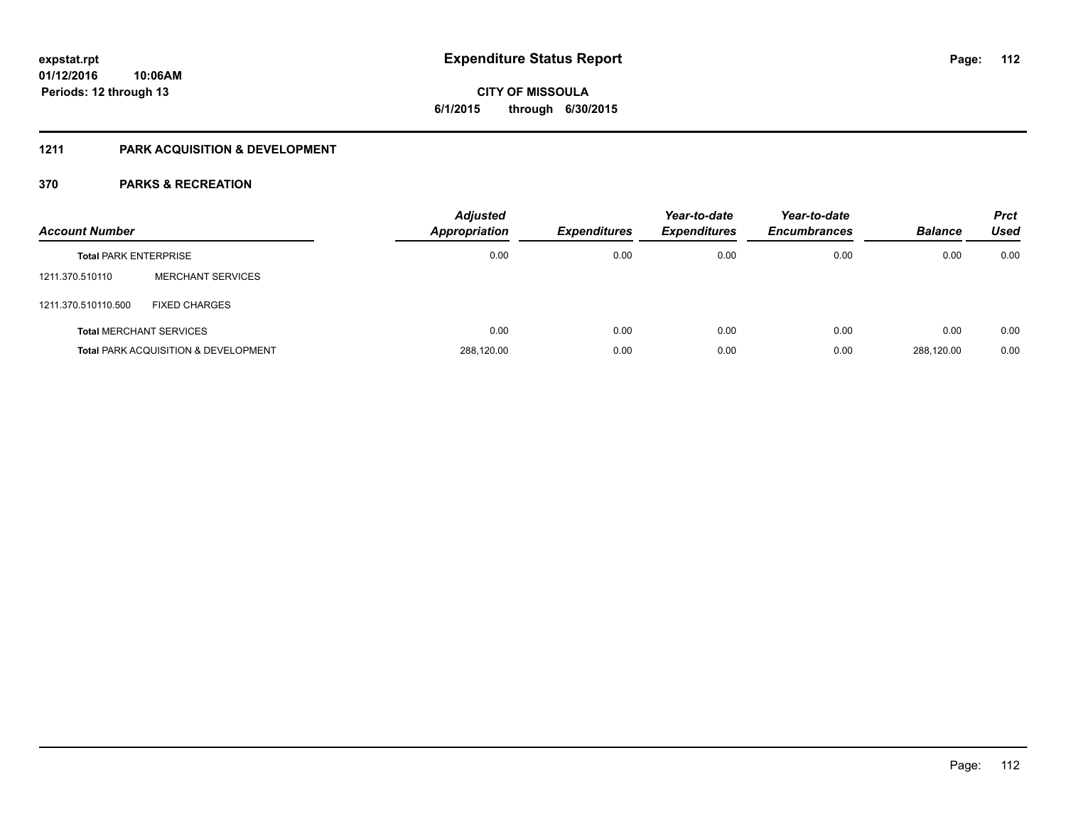# **CITY OF MISSOULA 6/1/2015 through 6/30/2015**

#### **1211 PARK ACQUISITION & DEVELOPMENT**

| <b>Account Number</b>          |                                                 | <b>Adjusted</b><br><b>Appropriation</b> | <b>Expenditures</b> | Year-to-date<br><b>Expenditures</b> | Year-to-date<br><b>Encumbrances</b> | <b>Balance</b> | <b>Prct</b><br>Used |
|--------------------------------|-------------------------------------------------|-----------------------------------------|---------------------|-------------------------------------|-------------------------------------|----------------|---------------------|
| <b>Total PARK ENTERPRISE</b>   |                                                 | 0.00                                    | 0.00                | 0.00                                | 0.00                                | 0.00           | 0.00                |
| 1211.370.510110                | <b>MERCHANT SERVICES</b>                        |                                         |                     |                                     |                                     |                |                     |
| 1211.370.510110.500            | <b>FIXED CHARGES</b>                            |                                         |                     |                                     |                                     |                |                     |
| <b>Total MERCHANT SERVICES</b> |                                                 | 0.00                                    | 0.00                | 0.00                                | 0.00                                | 0.00           | 0.00                |
|                                | <b>Total PARK ACQUISITION &amp; DEVELOPMENT</b> | 288,120.00                              | 0.00                | 0.00                                | 0.00                                | 288.120.00     | 0.00                |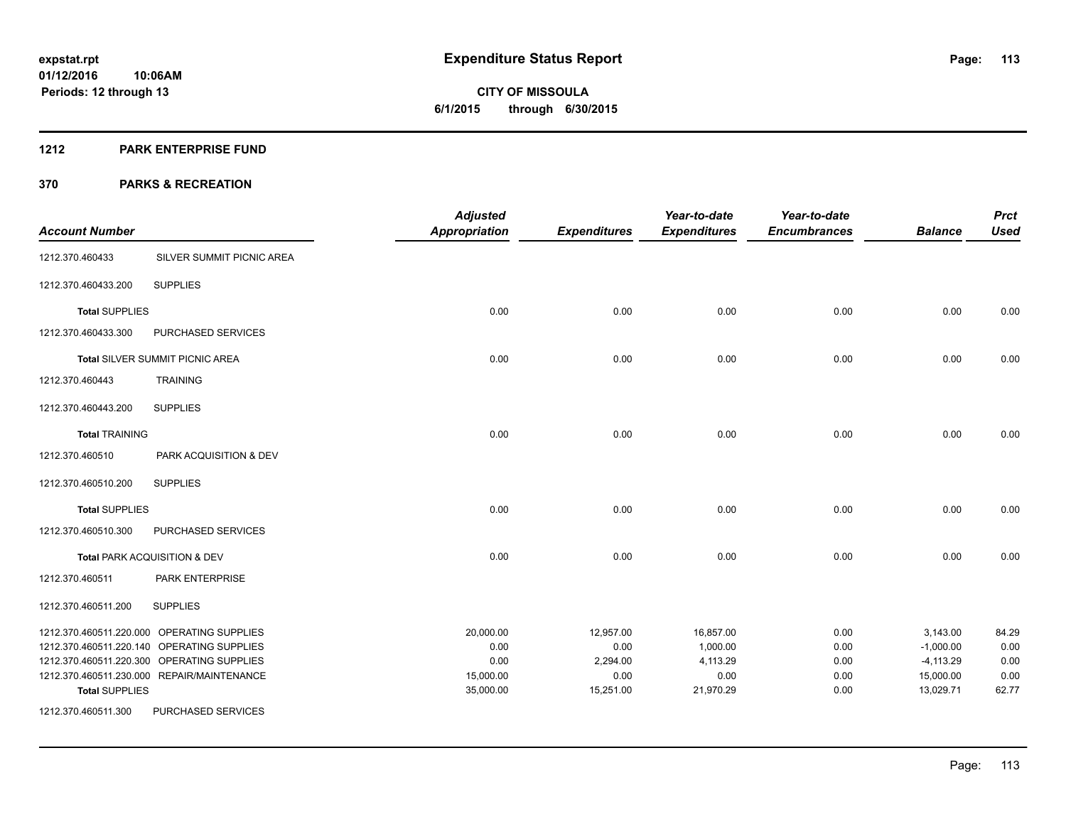Page: 113

**01/12/2016 10:06AM Periods: 12 through 13**

# **CITY OF MISSOULA 6/1/2015 through 6/30/2015**

#### **1212 PARK ENTERPRISE FUND**

| <b>Account Number</b> |                                            | <b>Adjusted</b><br><b>Appropriation</b> | <b>Expenditures</b> | Year-to-date<br><b>Expenditures</b> | Year-to-date<br><b>Encumbrances</b> | <b>Balance</b> | <b>Prct</b><br><b>Used</b> |
|-----------------------|--------------------------------------------|-----------------------------------------|---------------------|-------------------------------------|-------------------------------------|----------------|----------------------------|
| 1212.370.460433       | SILVER SUMMIT PICNIC AREA                  |                                         |                     |                                     |                                     |                |                            |
| 1212.370.460433.200   | <b>SUPPLIES</b>                            |                                         |                     |                                     |                                     |                |                            |
| <b>Total SUPPLIES</b> |                                            | 0.00                                    | 0.00                | 0.00                                | 0.00                                | 0.00           | 0.00                       |
| 1212.370.460433.300   | PURCHASED SERVICES                         |                                         |                     |                                     |                                     |                |                            |
|                       | Total SILVER SUMMIT PICNIC AREA            | 0.00                                    | 0.00                | 0.00                                | 0.00                                | 0.00           | 0.00                       |
| 1212.370.460443       | <b>TRAINING</b>                            |                                         |                     |                                     |                                     |                |                            |
| 1212.370.460443.200   | <b>SUPPLIES</b>                            |                                         |                     |                                     |                                     |                |                            |
| <b>Total TRAINING</b> |                                            | 0.00                                    | 0.00                | 0.00                                | 0.00                                | 0.00           | 0.00                       |
| 1212.370.460510       | PARK ACQUISITION & DEV                     |                                         |                     |                                     |                                     |                |                            |
| 1212.370.460510.200   | <b>SUPPLIES</b>                            |                                         |                     |                                     |                                     |                |                            |
| <b>Total SUPPLIES</b> |                                            | 0.00                                    | 0.00                | 0.00                                | 0.00                                | 0.00           | 0.00                       |
| 1212.370.460510.300   | PURCHASED SERVICES                         |                                         |                     |                                     |                                     |                |                            |
|                       | Total PARK ACQUISITION & DEV               | 0.00                                    | 0.00                | 0.00                                | 0.00                                | 0.00           | 0.00                       |
| 1212.370.460511       | PARK ENTERPRISE                            |                                         |                     |                                     |                                     |                |                            |
| 1212.370.460511.200   | <b>SUPPLIES</b>                            |                                         |                     |                                     |                                     |                |                            |
|                       | 1212.370.460511.220.000 OPERATING SUPPLIES | 20,000.00                               | 12,957.00           | 16,857.00                           | 0.00                                | 3,143.00       | 84.29                      |
|                       | 1212.370.460511.220.140 OPERATING SUPPLIES | 0.00                                    | 0.00                | 1,000.00                            | 0.00                                | $-1,000.00$    | 0.00                       |
|                       | 1212.370.460511.220.300 OPERATING SUPPLIES | 0.00                                    | 2,294.00            | 4,113.29                            | 0.00                                | $-4,113.29$    | 0.00                       |
|                       | 1212.370.460511.230.000 REPAIR/MAINTENANCE | 15,000.00                               | 0.00                | 0.00                                | 0.00                                | 15,000.00      | 0.00                       |
| <b>Total SUPPLIES</b> |                                            | 35,000.00                               | 15,251.00           | 21,970.29                           | 0.00                                | 13,029.71      | 62.77                      |
| 1212.370.460511.300   | PURCHASED SERVICES                         |                                         |                     |                                     |                                     |                |                            |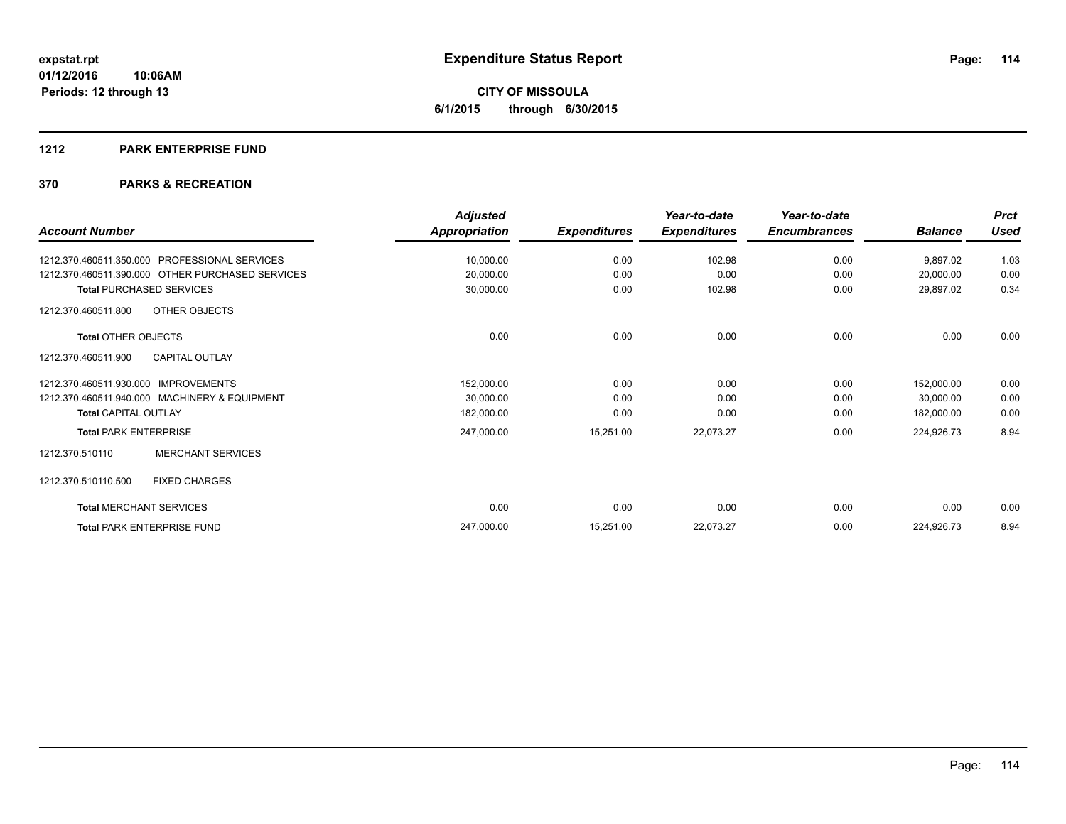#### **1212 PARK ENTERPRISE FUND**

|                                                  | <b>Adjusted</b> |                     | Year-to-date        | Year-to-date        |                | <b>Prct</b> |
|--------------------------------------------------|-----------------|---------------------|---------------------|---------------------|----------------|-------------|
| <b>Account Number</b>                            | Appropriation   | <b>Expenditures</b> | <b>Expenditures</b> | <b>Encumbrances</b> | <b>Balance</b> | <b>Used</b> |
| PROFESSIONAL SERVICES<br>1212.370.460511.350.000 | 10,000.00       | 0.00                | 102.98              | 0.00                | 9,897.02       | 1.03        |
| 1212.370.460511.390.000 OTHER PURCHASED SERVICES | 20,000.00       | 0.00                | 0.00                | 0.00                | 20,000.00      | 0.00        |
| <b>Total PURCHASED SERVICES</b>                  | 30,000.00       | 0.00                | 102.98              | 0.00                | 29,897.02      | 0.34        |
| OTHER OBJECTS<br>1212.370.460511.800             |                 |                     |                     |                     |                |             |
| <b>Total OTHER OBJECTS</b>                       | 0.00            | 0.00                | 0.00                | 0.00                | 0.00           | 0.00        |
| 1212.370.460511.900<br><b>CAPITAL OUTLAY</b>     |                 |                     |                     |                     |                |             |
| <b>IMPROVEMENTS</b><br>1212.370.460511.930.000   | 152,000.00      | 0.00                | 0.00                | 0.00                | 152,000.00     | 0.00        |
| 1212.370.460511.940.000 MACHINERY & EQUIPMENT    | 30,000.00       | 0.00                | 0.00                | 0.00                | 30,000.00      | 0.00        |
| <b>Total CAPITAL OUTLAY</b>                      | 182,000.00      | 0.00                | 0.00                | 0.00                | 182,000.00     | 0.00        |
| <b>Total PARK ENTERPRISE</b>                     | 247,000.00      | 15,251.00           | 22,073.27           | 0.00                | 224,926.73     | 8.94        |
| <b>MERCHANT SERVICES</b><br>1212.370.510110      |                 |                     |                     |                     |                |             |
| 1212.370.510110.500<br><b>FIXED CHARGES</b>      |                 |                     |                     |                     |                |             |
| <b>Total MERCHANT SERVICES</b>                   | 0.00            | 0.00                | 0.00                | 0.00                | 0.00           | 0.00        |
| <b>Total PARK ENTERPRISE FUND</b>                | 247,000.00      | 15,251.00           | 22,073.27           | 0.00                | 224,926.73     | 8.94        |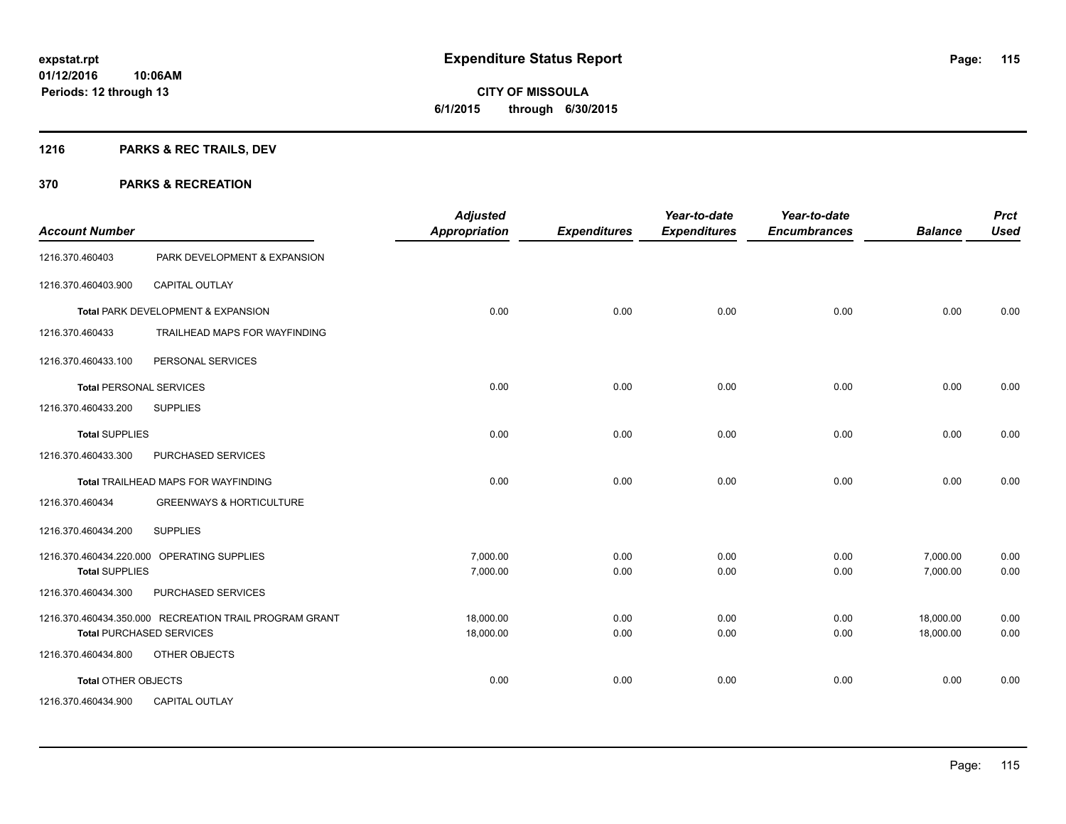# **CITY OF MISSOULA 6/1/2015 through 6/30/2015**

## **1216 PARKS & REC TRAILS, DEV**

| <b>Account Number</b>          |                                                        | <b>Adjusted</b><br><b>Appropriation</b> | <b>Expenditures</b> | Year-to-date<br><b>Expenditures</b> | Year-to-date<br><b>Encumbrances</b> | <b>Balance</b> | <b>Prct</b><br><b>Used</b> |
|--------------------------------|--------------------------------------------------------|-----------------------------------------|---------------------|-------------------------------------|-------------------------------------|----------------|----------------------------|
| 1216.370.460403                | PARK DEVELOPMENT & EXPANSION                           |                                         |                     |                                     |                                     |                |                            |
| 1216.370.460403.900            | <b>CAPITAL OUTLAY</b>                                  |                                         |                     |                                     |                                     |                |                            |
|                                | Total PARK DEVELOPMENT & EXPANSION                     | 0.00                                    | 0.00                | 0.00                                | 0.00                                | 0.00           | 0.00                       |
| 1216.370.460433                | TRAILHEAD MAPS FOR WAYFINDING                          |                                         |                     |                                     |                                     |                |                            |
| 1216.370.460433.100            | PERSONAL SERVICES                                      |                                         |                     |                                     |                                     |                |                            |
| <b>Total PERSONAL SERVICES</b> |                                                        | 0.00                                    | 0.00                | 0.00                                | 0.00                                | 0.00           | 0.00                       |
| 1216.370.460433.200            | <b>SUPPLIES</b>                                        |                                         |                     |                                     |                                     |                |                            |
| <b>Total SUPPLIES</b>          |                                                        | 0.00                                    | 0.00                | 0.00                                | 0.00                                | 0.00           | 0.00                       |
| 1216.370.460433.300            | PURCHASED SERVICES                                     |                                         |                     |                                     |                                     |                |                            |
|                                | Total TRAILHEAD MAPS FOR WAYFINDING                    | 0.00                                    | 0.00                | 0.00                                | 0.00                                | 0.00           | 0.00                       |
| 1216.370.460434                | <b>GREENWAYS &amp; HORTICULTURE</b>                    |                                         |                     |                                     |                                     |                |                            |
| 1216.370.460434.200            | <b>SUPPLIES</b>                                        |                                         |                     |                                     |                                     |                |                            |
|                                | 1216.370.460434.220.000 OPERATING SUPPLIES             | 7,000.00                                | 0.00                | 0.00                                | 0.00                                | 7,000.00       | 0.00                       |
| <b>Total SUPPLIES</b>          |                                                        | 7,000.00                                | 0.00                | 0.00                                | 0.00                                | 7,000.00       | 0.00                       |
| 1216.370.460434.300            | PURCHASED SERVICES                                     |                                         |                     |                                     |                                     |                |                            |
|                                | 1216.370.460434.350.000 RECREATION TRAIL PROGRAM GRANT | 18.000.00                               | 0.00                | 0.00                                | 0.00                                | 18,000.00      | 0.00                       |
|                                | <b>Total PURCHASED SERVICES</b>                        | 18,000.00                               | 0.00                | 0.00                                | 0.00                                | 18,000.00      | 0.00                       |
| 1216.370.460434.800            | OTHER OBJECTS                                          |                                         |                     |                                     |                                     |                |                            |
| Total OTHER OBJECTS            |                                                        | 0.00                                    | 0.00                | 0.00                                | 0.00                                | 0.00           | 0.00                       |
| 1216.370.460434.900            | <b>CAPITAL OUTLAY</b>                                  |                                         |                     |                                     |                                     |                |                            |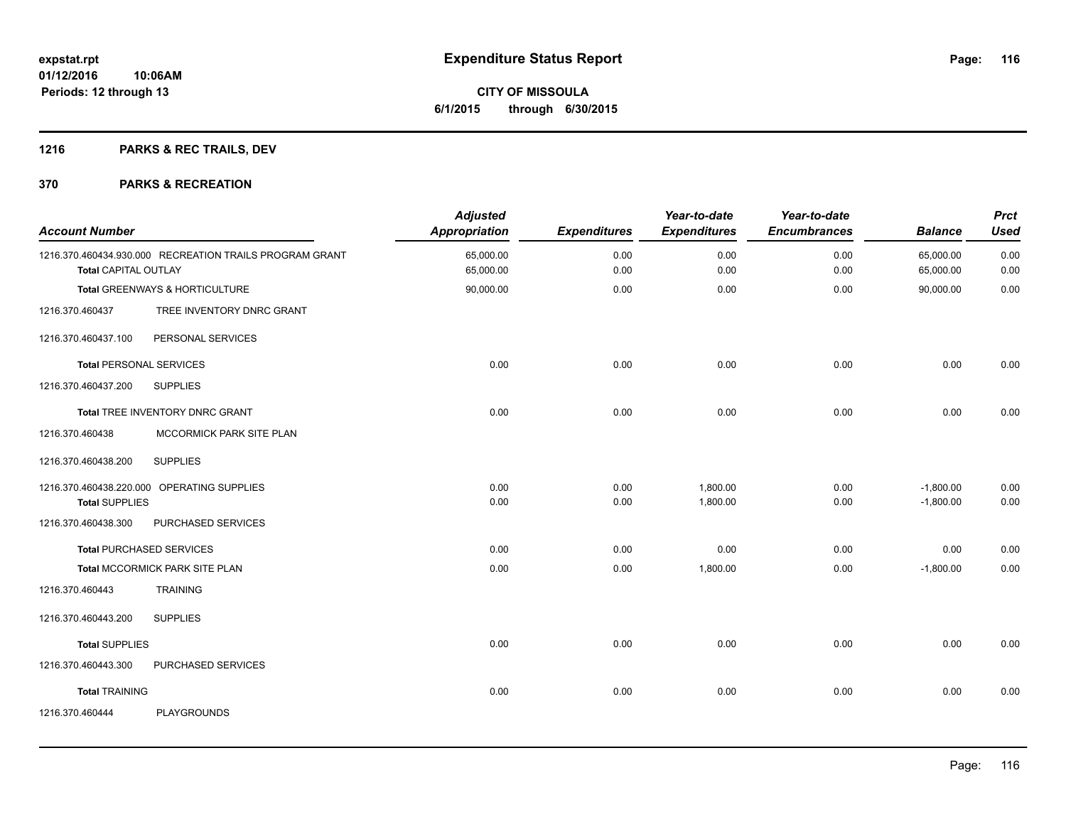## **1216 PARKS & REC TRAILS, DEV**

| <b>Account Number</b>          |                                                         | <b>Adjusted</b><br>Appropriation | <b>Expenditures</b> | Year-to-date<br><b>Expenditures</b> | Year-to-date<br><b>Encumbrances</b> | <b>Balance</b>             | <b>Prct</b><br><b>Used</b> |
|--------------------------------|---------------------------------------------------------|----------------------------------|---------------------|-------------------------------------|-------------------------------------|----------------------------|----------------------------|
| <b>Total CAPITAL OUTLAY</b>    | 1216.370.460434.930.000 RECREATION TRAILS PROGRAM GRANT | 65,000.00<br>65,000.00           | 0.00<br>0.00        | 0.00<br>0.00                        | 0.00<br>0.00                        | 65,000.00<br>65,000.00     | 0.00<br>0.00               |
|                                | Total GREENWAYS & HORTICULTURE                          | 90,000.00                        | 0.00                | 0.00                                | 0.00                                | 90,000.00                  | 0.00                       |
| 1216.370.460437                | TREE INVENTORY DNRC GRANT                               |                                  |                     |                                     |                                     |                            |                            |
| 1216.370.460437.100            | PERSONAL SERVICES                                       |                                  |                     |                                     |                                     |                            |                            |
| <b>Total PERSONAL SERVICES</b> |                                                         | 0.00                             | 0.00                | 0.00                                | 0.00                                | 0.00                       | 0.00                       |
| 1216.370.460437.200            | <b>SUPPLIES</b>                                         |                                  |                     |                                     |                                     |                            |                            |
|                                | Total TREE INVENTORY DNRC GRANT                         | 0.00                             | 0.00                | 0.00                                | 0.00                                | 0.00                       | 0.00                       |
| 1216.370.460438                | MCCORMICK PARK SITE PLAN                                |                                  |                     |                                     |                                     |                            |                            |
| 1216.370.460438.200            | <b>SUPPLIES</b>                                         |                                  |                     |                                     |                                     |                            |                            |
| <b>Total SUPPLIES</b>          | 1216.370.460438.220.000 OPERATING SUPPLIES              | 0.00<br>0.00                     | 0.00<br>0.00        | 1,800.00<br>1,800.00                | 0.00<br>0.00                        | $-1,800.00$<br>$-1,800.00$ | 0.00<br>0.00               |
| 1216.370.460438.300            | PURCHASED SERVICES                                      |                                  |                     |                                     |                                     |                            |                            |
|                                | <b>Total PURCHASED SERVICES</b>                         | 0.00                             | 0.00                | 0.00                                | 0.00                                | 0.00                       | 0.00                       |
|                                | Total MCCORMICK PARK SITE PLAN                          | 0.00                             | 0.00                | 1,800.00                            | 0.00                                | $-1,800.00$                | 0.00                       |
| 1216.370.460443                | <b>TRAINING</b>                                         |                                  |                     |                                     |                                     |                            |                            |
| 1216.370.460443.200            | <b>SUPPLIES</b>                                         |                                  |                     |                                     |                                     |                            |                            |
| <b>Total SUPPLIES</b>          |                                                         | 0.00                             | 0.00                | 0.00                                | 0.00                                | 0.00                       | 0.00                       |
| 1216.370.460443.300            | PURCHASED SERVICES                                      |                                  |                     |                                     |                                     |                            |                            |
| <b>Total TRAINING</b>          |                                                         | 0.00                             | 0.00                | 0.00                                | 0.00                                | 0.00                       | 0.00                       |
| 1216.370.460444                | PLAYGROUNDS                                             |                                  |                     |                                     |                                     |                            |                            |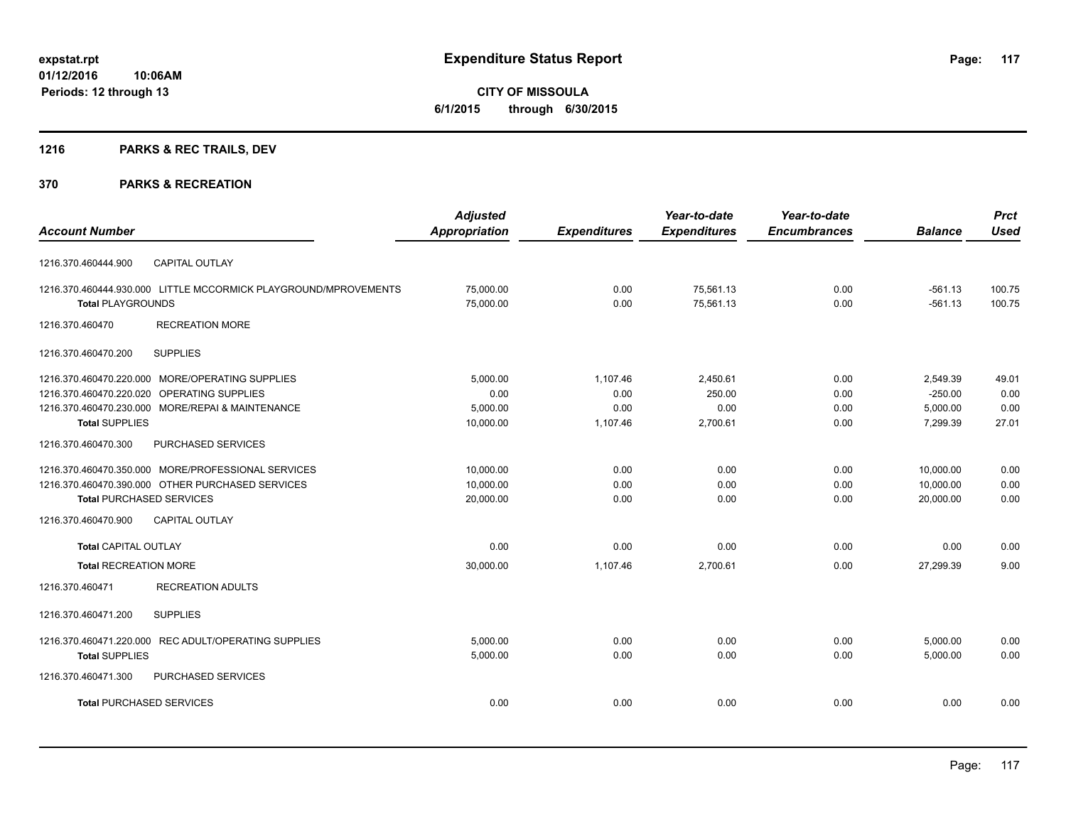# **CITY OF MISSOULA 6/1/2015 through 6/30/2015**

## **1216 PARKS & REC TRAILS, DEV**

|                                                                 | <b>Adjusted</b>      |                     | Year-to-date        | Year-to-date        |                | <b>Prct</b> |
|-----------------------------------------------------------------|----------------------|---------------------|---------------------|---------------------|----------------|-------------|
| <b>Account Number</b>                                           | <b>Appropriation</b> | <b>Expenditures</b> | <b>Expenditures</b> | <b>Encumbrances</b> | <b>Balance</b> | <b>Used</b> |
| <b>CAPITAL OUTLAY</b><br>1216.370.460444.900                    |                      |                     |                     |                     |                |             |
| 1216.370.460444.930.000 LITTLE MCCORMICK PLAYGROUND/MPROVEMENTS | 75,000.00            | 0.00                | 75,561.13           | 0.00                | $-561.13$      | 100.75      |
| <b>Total PLAYGROUNDS</b>                                        | 75,000.00            | 0.00                | 75,561.13           | 0.00                | $-561.13$      | 100.75      |
| <b>RECREATION MORE</b><br>1216.370.460470                       |                      |                     |                     |                     |                |             |
| <b>SUPPLIES</b><br>1216.370.460470.200                          |                      |                     |                     |                     |                |             |
| 1216.370.460470.220.000 MORE/OPERATING SUPPLIES                 | 5,000.00             | 1,107.46            | 2,450.61            | 0.00                | 2,549.39       | 49.01       |
| 1216.370.460470.220.020 OPERATING SUPPLIES                      | 0.00                 | 0.00                | 250.00              | 0.00                | $-250.00$      | 0.00        |
| 1216.370.460470.230.000 MORE/REPAI & MAINTENANCE                | 5,000.00             | 0.00                | 0.00                | 0.00                | 5,000.00       | 0.00        |
| <b>Total SUPPLIES</b>                                           | 10,000.00            | 1,107.46            | 2,700.61            | 0.00                | 7,299.39       | 27.01       |
| 1216.370.460470.300<br>PURCHASED SERVICES                       |                      |                     |                     |                     |                |             |
| 1216.370.460470.350.000 MORE/PROFESSIONAL SERVICES              | 10,000.00            | 0.00                | 0.00                | 0.00                | 10,000.00      | 0.00        |
| 1216.370.460470.390.000 OTHER PURCHASED SERVICES                | 10.000.00            | 0.00                | 0.00                | 0.00                | 10.000.00      | 0.00        |
| <b>Total PURCHASED SERVICES</b>                                 | 20,000.00            | 0.00                | 0.00                | 0.00                | 20,000.00      | 0.00        |
| 1216.370.460470.900<br><b>CAPITAL OUTLAY</b>                    |                      |                     |                     |                     |                |             |
| <b>Total CAPITAL OUTLAY</b>                                     | 0.00                 | 0.00                | 0.00                | 0.00                | 0.00           | 0.00        |
| <b>Total RECREATION MORE</b>                                    | 30,000.00            | 1.107.46            | 2,700.61            | 0.00                | 27.299.39      | 9.00        |
| <b>RECREATION ADULTS</b><br>1216.370.460471                     |                      |                     |                     |                     |                |             |
| <b>SUPPLIES</b><br>1216.370.460471.200                          |                      |                     |                     |                     |                |             |
| 1216.370.460471.220.000 REC ADULT/OPERATING SUPPLIES            | 5,000.00             | 0.00                | 0.00                | 0.00                | 5,000.00       | 0.00        |
| <b>Total SUPPLIES</b>                                           | 5,000.00             | 0.00                | 0.00                | 0.00                | 5,000.00       | 0.00        |
| PURCHASED SERVICES<br>1216.370.460471.300                       |                      |                     |                     |                     |                |             |
| <b>Total PURCHASED SERVICES</b>                                 | 0.00                 | 0.00                | 0.00                | 0.00                | 0.00           | 0.00        |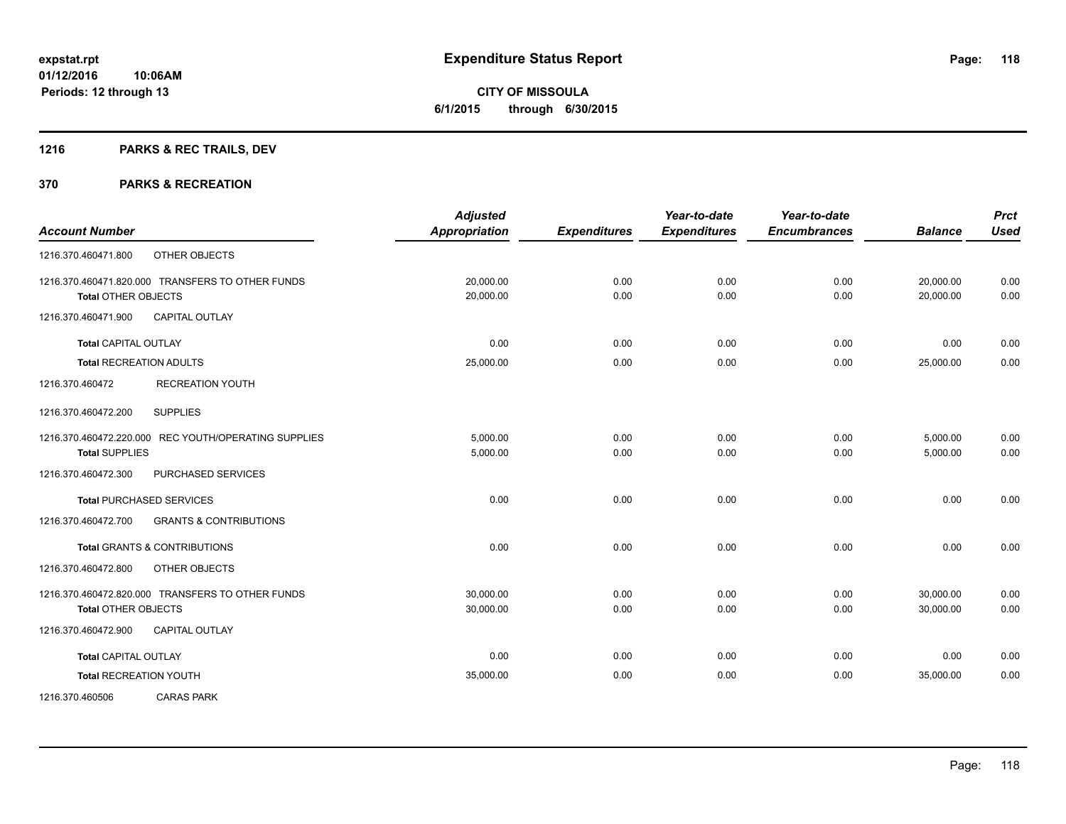**Periods: 12 through 13**

**CITY OF MISSOULA 6/1/2015 through 6/30/2015**

## **1216 PARKS & REC TRAILS, DEV**

|                                |                                                      | <b>Adjusted</b>      |                     | Year-to-date        | Year-to-date        |                | <b>Prct</b> |
|--------------------------------|------------------------------------------------------|----------------------|---------------------|---------------------|---------------------|----------------|-------------|
| <b>Account Number</b>          |                                                      | <b>Appropriation</b> | <b>Expenditures</b> | <b>Expenditures</b> | <b>Encumbrances</b> | <b>Balance</b> | <b>Used</b> |
| 1216.370.460471.800            | OTHER OBJECTS                                        |                      |                     |                     |                     |                |             |
|                                | 1216.370.460471.820.000 TRANSFERS TO OTHER FUNDS     | 20,000.00            | 0.00                | 0.00                | 0.00                | 20,000.00      | 0.00        |
| <b>Total OTHER OBJECTS</b>     |                                                      | 20,000.00            | 0.00                | 0.00                | 0.00                | 20,000.00      | 0.00        |
| 1216.370.460471.900            | <b>CAPITAL OUTLAY</b>                                |                      |                     |                     |                     |                |             |
| <b>Total CAPITAL OUTLAY</b>    |                                                      | 0.00                 | 0.00                | 0.00                | 0.00                | 0.00           | 0.00        |
| <b>Total RECREATION ADULTS</b> |                                                      | 25,000.00            | 0.00                | 0.00                | 0.00                | 25,000.00      | 0.00        |
| 1216.370.460472                | <b>RECREATION YOUTH</b>                              |                      |                     |                     |                     |                |             |
| 1216.370.460472.200            | <b>SUPPLIES</b>                                      |                      |                     |                     |                     |                |             |
|                                | 1216.370.460472.220.000 REC YOUTH/OPERATING SUPPLIES | 5,000.00             | 0.00                | 0.00                | 0.00                | 5,000.00       | 0.00        |
| <b>Total SUPPLIES</b>          |                                                      | 5,000.00             | 0.00                | 0.00                | 0.00                | 5,000.00       | 0.00        |
| 1216.370.460472.300            | PURCHASED SERVICES                                   |                      |                     |                     |                     |                |             |
|                                | <b>Total PURCHASED SERVICES</b>                      | 0.00                 | 0.00                | 0.00                | 0.00                | 0.00           | 0.00        |
| 1216.370.460472.700            | <b>GRANTS &amp; CONTRIBUTIONS</b>                    |                      |                     |                     |                     |                |             |
|                                | Total GRANTS & CONTRIBUTIONS                         | 0.00                 | 0.00                | 0.00                | 0.00                | 0.00           | 0.00        |
| 1216.370.460472.800            | OTHER OBJECTS                                        |                      |                     |                     |                     |                |             |
|                                | 1216.370.460472.820.000 TRANSFERS TO OTHER FUNDS     | 30,000.00            | 0.00                | 0.00                | 0.00                | 30,000.00      | 0.00        |
| <b>Total OTHER OBJECTS</b>     |                                                      | 30,000.00            | 0.00                | 0.00                | 0.00                | 30,000.00      | 0.00        |
| 1216.370.460472.900            | <b>CAPITAL OUTLAY</b>                                |                      |                     |                     |                     |                |             |
| <b>Total CAPITAL OUTLAY</b>    |                                                      | 0.00                 | 0.00                | 0.00                | 0.00                | 0.00           | 0.00        |
| <b>Total RECREATION YOUTH</b>  |                                                      | 35,000.00            | 0.00                | 0.00                | 0.00                | 35,000.00      | 0.00        |
| 1216.370.460506                | <b>CARAS PARK</b>                                    |                      |                     |                     |                     |                |             |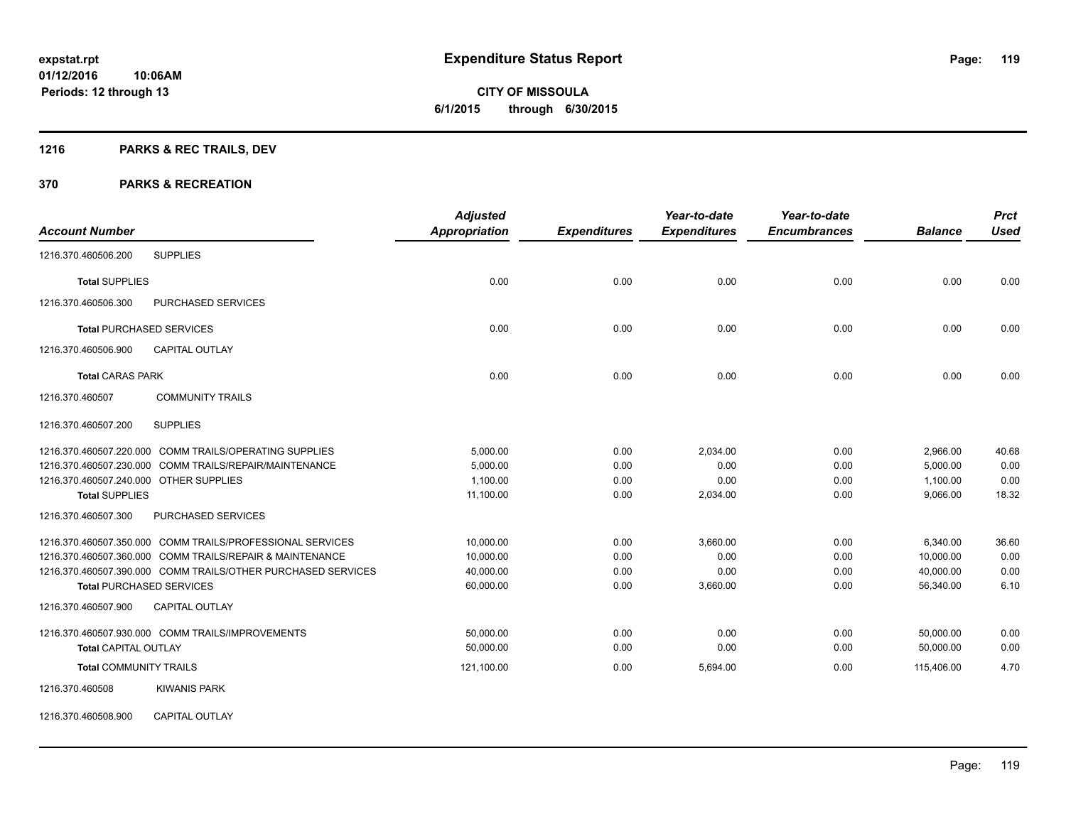**CITY OF MISSOULA 6/1/2015 through 6/30/2015**

## **1216 PARKS & REC TRAILS, DEV**

#### **370 PARKS & RECREATION**

|                                        |                                                              | <b>Adjusted</b>      |                     | Year-to-date        | Year-to-date        |                | <b>Prct</b> |
|----------------------------------------|--------------------------------------------------------------|----------------------|---------------------|---------------------|---------------------|----------------|-------------|
| <b>Account Number</b>                  |                                                              | <b>Appropriation</b> | <b>Expenditures</b> | <b>Expenditures</b> | <b>Encumbrances</b> | <b>Balance</b> | <b>Used</b> |
| 1216.370.460506.200                    | <b>SUPPLIES</b>                                              |                      |                     |                     |                     |                |             |
| <b>Total SUPPLIES</b>                  |                                                              | 0.00                 | 0.00                | 0.00                | 0.00                | 0.00           | 0.00        |
| 1216.370.460506.300                    | PURCHASED SERVICES                                           |                      |                     |                     |                     |                |             |
|                                        | <b>Total PURCHASED SERVICES</b>                              | 0.00                 | 0.00                | 0.00                | 0.00                | 0.00           | 0.00        |
| 1216.370.460506.900                    | <b>CAPITAL OUTLAY</b>                                        |                      |                     |                     |                     |                |             |
| <b>Total CARAS PARK</b>                |                                                              | 0.00                 | 0.00                | 0.00                | 0.00                | 0.00           | 0.00        |
| 1216.370.460507                        | <b>COMMUNITY TRAILS</b>                                      |                      |                     |                     |                     |                |             |
| 1216.370.460507.200                    | <b>SUPPLIES</b>                                              |                      |                     |                     |                     |                |             |
|                                        | 1216.370.460507.220.000 COMM TRAILS/OPERATING SUPPLIES       | 5,000.00             | 0.00                | 2,034.00            | 0.00                | 2,966.00       | 40.68       |
|                                        | 1216.370.460507.230.000 COMM TRAILS/REPAIR/MAINTENANCE       | 5,000.00             | 0.00                | 0.00                | 0.00                | 5,000.00       | 0.00        |
| 1216.370.460507.240.000 OTHER SUPPLIES |                                                              | 1,100.00             | 0.00                | 0.00                | 0.00                | 1,100.00       | 0.00        |
| <b>Total SUPPLIES</b>                  |                                                              | 11,100.00            | 0.00                | 2,034.00            | 0.00                | 9,066.00       | 18.32       |
| 1216.370.460507.300                    | PURCHASED SERVICES                                           |                      |                     |                     |                     |                |             |
|                                        | 1216.370.460507.350.000 COMM TRAILS/PROFESSIONAL SERVICES    | 10,000.00            | 0.00                | 3,660.00            | 0.00                | 6,340.00       | 36.60       |
|                                        | 1216.370.460507.360.000 COMM TRAILS/REPAIR & MAINTENANCE     | 10,000.00            | 0.00                | 0.00                | 0.00                | 10,000.00      | 0.00        |
|                                        | 1216.370.460507.390.000 COMM TRAILS/OTHER PURCHASED SERVICES | 40,000.00            | 0.00                | 0.00                | 0.00                | 40,000.00      | 0.00        |
|                                        | <b>Total PURCHASED SERVICES</b>                              | 60,000.00            | 0.00                | 3,660.00            | 0.00                | 56,340.00      | 6.10        |
| 1216.370.460507.900                    | <b>CAPITAL OUTLAY</b>                                        |                      |                     |                     |                     |                |             |
|                                        | 1216.370.460507.930.000 COMM TRAILS/IMPROVEMENTS             | 50,000.00            | 0.00                | 0.00                | 0.00                | 50,000.00      | 0.00        |
| <b>Total CAPITAL OUTLAY</b>            |                                                              | 50,000.00            | 0.00                | 0.00                | 0.00                | 50,000.00      | 0.00        |
| <b>Total COMMUNITY TRAILS</b>          |                                                              | 121,100.00           | 0.00                | 5,694.00            | 0.00                | 115,406.00     | 4.70        |
| 1216.370.460508                        | <b>KIWANIS PARK</b>                                          |                      |                     |                     |                     |                |             |
|                                        |                                                              |                      |                     |                     |                     |                |             |

1216.370.460508.900 CAPITAL OUTLAY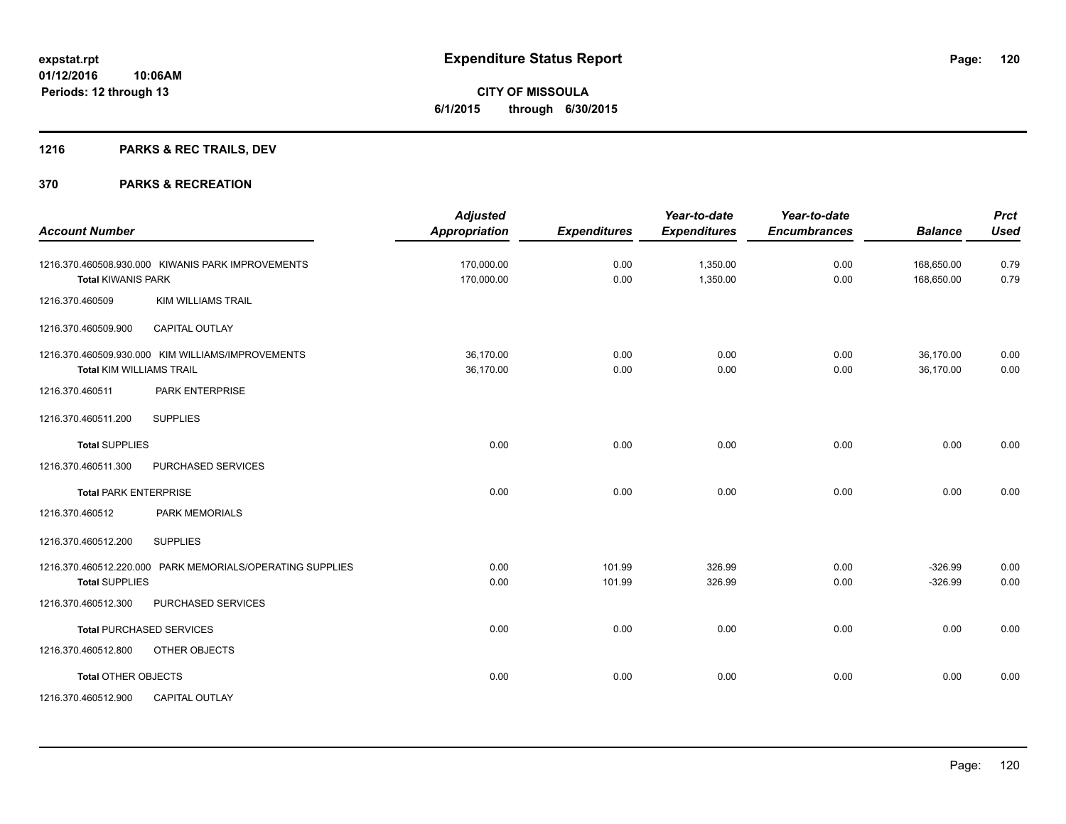## **1216 PARKS & REC TRAILS, DEV**

| <b>Account Number</b>           |                                                           | <b>Adjusted</b><br><b>Appropriation</b> | <b>Expenditures</b> | Year-to-date<br><b>Expenditures</b> | Year-to-date<br><b>Encumbrances</b> | <b>Balance</b>           | <b>Prct</b><br><b>Used</b> |
|---------------------------------|-----------------------------------------------------------|-----------------------------------------|---------------------|-------------------------------------|-------------------------------------|--------------------------|----------------------------|
| <b>Total KIWANIS PARK</b>       | 1216.370.460508.930.000 KIWANIS PARK IMPROVEMENTS         | 170,000.00<br>170,000.00                | 0.00<br>0.00        | 1,350.00<br>1,350.00                | 0.00<br>0.00                        | 168,650.00<br>168,650.00 | 0.79<br>0.79               |
| 1216.370.460509                 | <b>KIM WILLIAMS TRAIL</b>                                 |                                         |                     |                                     |                                     |                          |                            |
| 1216.370.460509.900             | <b>CAPITAL OUTLAY</b>                                     |                                         |                     |                                     |                                     |                          |                            |
| <b>Total KIM WILLIAMS TRAIL</b> | 1216.370.460509.930.000 KIM WILLIAMS/IMPROVEMENTS         | 36,170.00<br>36,170.00                  | 0.00<br>0.00        | 0.00<br>0.00                        | 0.00<br>0.00                        | 36,170.00<br>36,170.00   | 0.00<br>0.00               |
| 1216.370.460511                 | <b>PARK ENTERPRISE</b>                                    |                                         |                     |                                     |                                     |                          |                            |
| 1216.370.460511.200             | <b>SUPPLIES</b>                                           |                                         |                     |                                     |                                     |                          |                            |
| <b>Total SUPPLIES</b>           |                                                           | 0.00                                    | 0.00                | 0.00                                | 0.00                                | 0.00                     | 0.00                       |
| 1216.370.460511.300             | PURCHASED SERVICES                                        |                                         |                     |                                     |                                     |                          |                            |
| <b>Total PARK ENTERPRISE</b>    |                                                           | 0.00                                    | 0.00                | 0.00                                | 0.00                                | 0.00                     | 0.00                       |
| 1216.370.460512                 | <b>PARK MEMORIALS</b>                                     |                                         |                     |                                     |                                     |                          |                            |
| 1216.370.460512.200             | <b>SUPPLIES</b>                                           |                                         |                     |                                     |                                     |                          |                            |
| <b>Total SUPPLIES</b>           | 1216.370.460512.220.000 PARK MEMORIALS/OPERATING SUPPLIES | 0.00<br>0.00                            | 101.99<br>101.99    | 326.99<br>326.99                    | 0.00<br>0.00                        | $-326.99$<br>$-326.99$   | 0.00<br>0.00               |
| 1216.370.460512.300             | PURCHASED SERVICES                                        |                                         |                     |                                     |                                     |                          |                            |
|                                 | <b>Total PURCHASED SERVICES</b>                           | 0.00                                    | 0.00                | 0.00                                | 0.00                                | 0.00                     | 0.00                       |
| 1216.370.460512.800             | OTHER OBJECTS                                             |                                         |                     |                                     |                                     |                          |                            |
| <b>Total OTHER OBJECTS</b>      |                                                           | 0.00                                    | 0.00                | 0.00                                | 0.00                                | 0.00                     | 0.00                       |
| 1216.370.460512.900             | <b>CAPITAL OUTLAY</b>                                     |                                         |                     |                                     |                                     |                          |                            |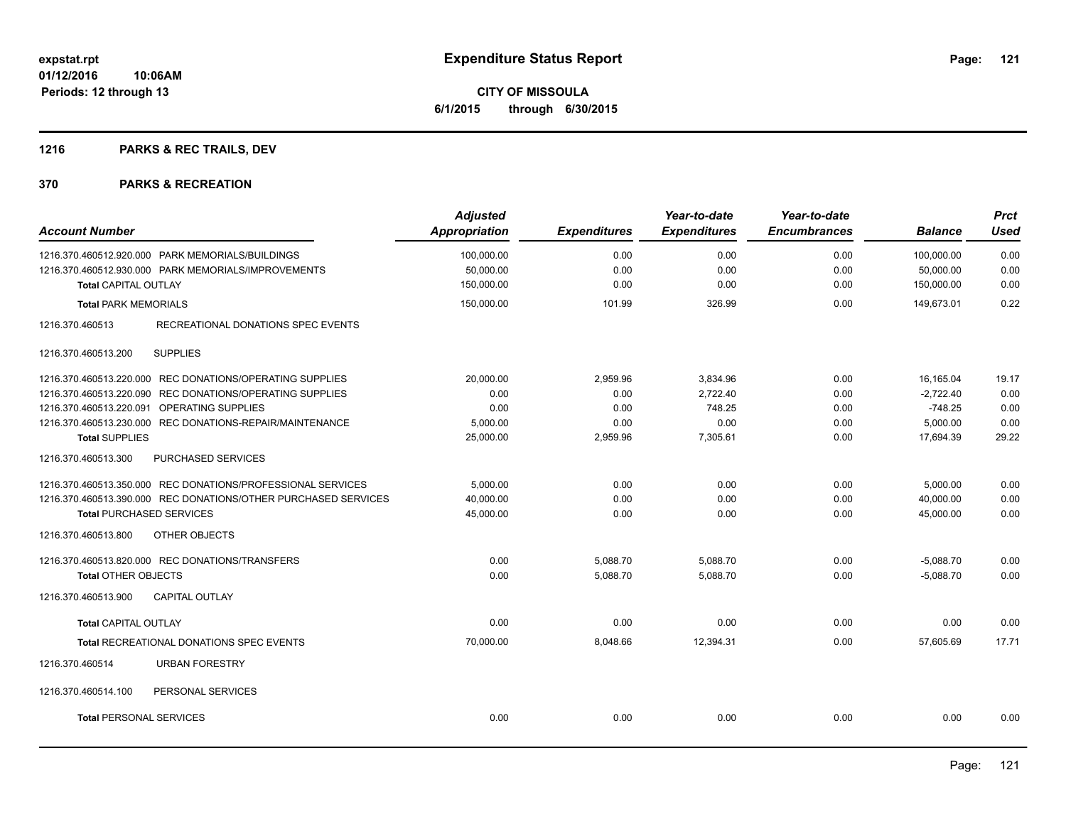**CITY OF MISSOULA 6/1/2015 through 6/30/2015**

## **1216 PARKS & REC TRAILS, DEV**

| <b>Account Number</b>                                          | <b>Adjusted</b><br><b>Appropriation</b> | <b>Expenditures</b> | Year-to-date<br><b>Expenditures</b> | Year-to-date<br><b>Encumbrances</b> | <b>Balance</b> | <b>Prct</b><br><b>Used</b> |
|----------------------------------------------------------------|-----------------------------------------|---------------------|-------------------------------------|-------------------------------------|----------------|----------------------------|
| 1216.370.460512.920.000 PARK MEMORIALS/BUILDINGS               | 100,000.00                              | 0.00                | 0.00                                | 0.00                                | 100,000.00     | 0.00                       |
| 1216.370.460512.930.000 PARK MEMORIALS/IMPROVEMENTS            | 50,000.00                               | 0.00                | 0.00                                | 0.00                                | 50,000.00      | 0.00                       |
| <b>Total CAPITAL OUTLAY</b>                                    | 150,000.00                              | 0.00                | 0.00                                | 0.00                                | 150,000.00     | 0.00                       |
| <b>Total PARK MEMORIALS</b>                                    | 150,000.00                              | 101.99              | 326.99                              | 0.00                                | 149.673.01     | 0.22                       |
| 1216.370.460513<br>RECREATIONAL DONATIONS SPEC EVENTS          |                                         |                     |                                     |                                     |                |                            |
| <b>SUPPLIES</b><br>1216.370.460513.200                         |                                         |                     |                                     |                                     |                |                            |
| 1216.370.460513.220.000 REC DONATIONS/OPERATING SUPPLIES       | 20,000.00                               | 2,959.96            | 3,834.96                            | 0.00                                | 16,165.04      | 19.17                      |
| 1216.370.460513.220.090 REC DONATIONS/OPERATING SUPPLIES       | 0.00                                    | 0.00                | 2,722.40                            | 0.00                                | $-2,722.40$    | 0.00                       |
| 1216.370.460513.220.091 OPERATING SUPPLIES                     | 0.00                                    | 0.00                | 748.25                              | 0.00                                | $-748.25$      | 0.00                       |
| 1216.370.460513.230.000 REC DONATIONS-REPAIR/MAINTENANCE       | 5,000.00                                | 0.00                | 0.00                                | 0.00                                | 5,000.00       | 0.00                       |
| <b>Total SUPPLIES</b>                                          | 25,000.00                               | 2,959.96            | 7,305.61                            | 0.00                                | 17,694.39      | 29.22                      |
| 1216.370.460513.300<br>PURCHASED SERVICES                      |                                         |                     |                                     |                                     |                |                            |
| 1216.370.460513.350.000 REC DONATIONS/PROFESSIONAL SERVICES    | 5,000.00                                | 0.00                | 0.00                                | 0.00                                | 5,000.00       | 0.00                       |
| 1216.370.460513.390.000 REC DONATIONS/OTHER PURCHASED SERVICES | 40,000.00                               | 0.00                | 0.00                                | 0.00                                | 40,000.00      | 0.00                       |
| <b>Total PURCHASED SERVICES</b>                                | 45,000.00                               | 0.00                | 0.00                                | 0.00                                | 45,000.00      | 0.00                       |
| 1216.370.460513.800<br>OTHER OBJECTS                           |                                         |                     |                                     |                                     |                |                            |
| 1216.370.460513.820.000 REC DONATIONS/TRANSFERS                | 0.00                                    | 5,088.70            | 5,088.70                            | 0.00                                | $-5,088.70$    | 0.00                       |
| <b>Total OTHER OBJECTS</b>                                     | 0.00                                    | 5,088.70            | 5,088.70                            | 0.00                                | $-5,088.70$    | 0.00                       |
| 1216.370.460513.900<br><b>CAPITAL OUTLAY</b>                   |                                         |                     |                                     |                                     |                |                            |
| Total CAPITAL OUTLAY                                           | 0.00                                    | 0.00                | 0.00                                | 0.00                                | 0.00           | 0.00                       |
| <b>Total RECREATIONAL DONATIONS SPEC EVENTS</b>                | 70,000.00                               | 8,048.66            | 12,394.31                           | 0.00                                | 57,605.69      | 17.71                      |
| 1216.370.460514<br><b>URBAN FORESTRY</b>                       |                                         |                     |                                     |                                     |                |                            |
| 1216.370.460514.100<br>PERSONAL SERVICES                       |                                         |                     |                                     |                                     |                |                            |
| <b>Total PERSONAL SERVICES</b>                                 | 0.00                                    | 0.00                | 0.00                                | 0.00                                | 0.00           | 0.00                       |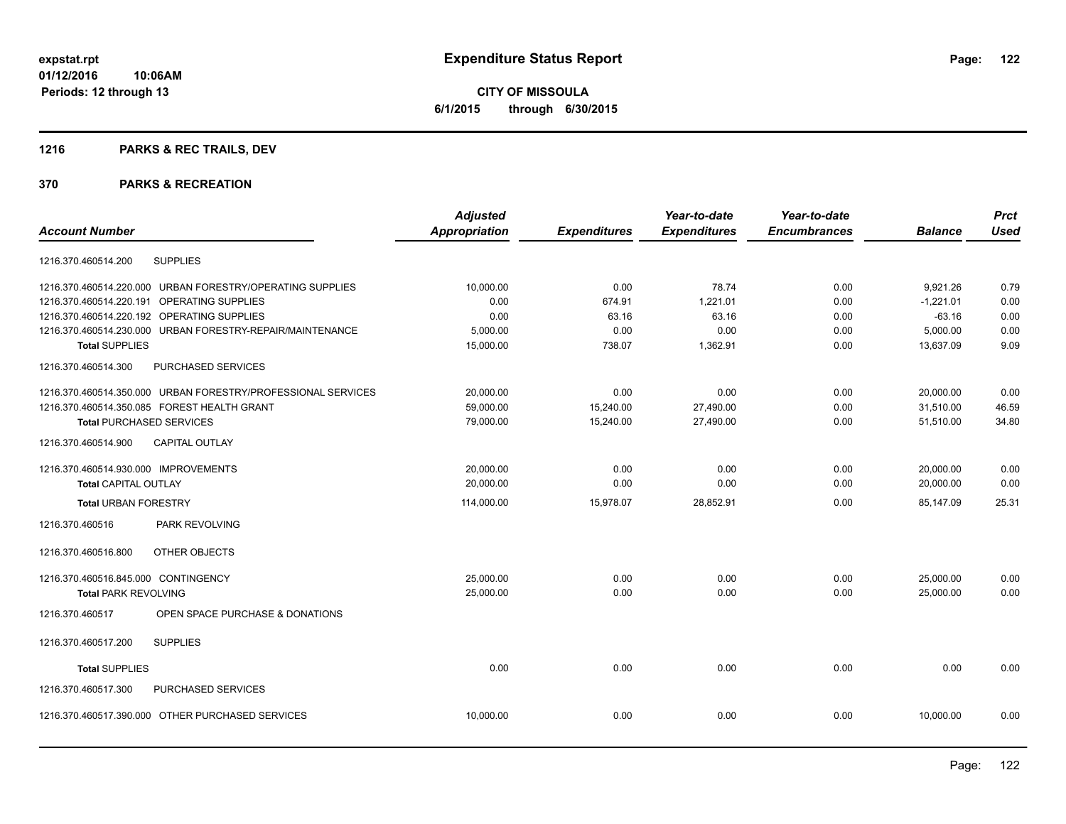## **1216 PARKS & REC TRAILS, DEV**

|                                      |                                                              | <b>Adjusted</b>      |                     | Year-to-date        | Year-to-date        |                | <b>Prct</b> |
|--------------------------------------|--------------------------------------------------------------|----------------------|---------------------|---------------------|---------------------|----------------|-------------|
| <b>Account Number</b>                |                                                              | <b>Appropriation</b> | <b>Expenditures</b> | <b>Expenditures</b> | <b>Encumbrances</b> | <b>Balance</b> | <b>Used</b> |
| 1216.370.460514.200                  | <b>SUPPLIES</b>                                              |                      |                     |                     |                     |                |             |
|                                      | 1216.370.460514.220.000 URBAN FORESTRY/OPERATING SUPPLIES    | 10,000.00            | 0.00                | 78.74               | 0.00                | 9,921.26       | 0.79        |
|                                      | 1216.370.460514.220.191 OPERATING SUPPLIES                   | 0.00                 | 674.91              | 1,221.01            | 0.00                | $-1,221.01$    | 0.00        |
|                                      | 1216.370.460514.220.192 OPERATING SUPPLIES                   | 0.00                 | 63.16               | 63.16               | 0.00                | $-63.16$       | 0.00        |
|                                      | 1216.370.460514.230.000 URBAN FORESTRY-REPAIR/MAINTENANCE    | 5,000.00             | 0.00                | 0.00                | 0.00                | 5,000.00       | 0.00        |
| <b>Total SUPPLIES</b>                |                                                              | 15,000.00            | 738.07              | 1,362.91            | 0.00                | 13,637.09      | 9.09        |
| 1216.370.460514.300                  | <b>PURCHASED SERVICES</b>                                    |                      |                     |                     |                     |                |             |
|                                      | 1216.370.460514.350.000 URBAN FORESTRY/PROFESSIONAL SERVICES | 20,000.00            | 0.00                | 0.00                | 0.00                | 20,000.00      | 0.00        |
|                                      | 1216.370.460514.350.085 FOREST HEALTH GRANT                  | 59,000.00            | 15,240.00           | 27,490.00           | 0.00                | 31,510.00      | 46.59       |
| <b>Total PURCHASED SERVICES</b>      |                                                              | 79,000.00            | 15,240.00           | 27,490.00           | 0.00                | 51,510.00      | 34.80       |
| 1216.370.460514.900                  | <b>CAPITAL OUTLAY</b>                                        |                      |                     |                     |                     |                |             |
| 1216.370.460514.930.000 IMPROVEMENTS |                                                              | 20,000.00            | 0.00                | 0.00                | 0.00                | 20,000.00      | 0.00        |
| <b>Total CAPITAL OUTLAY</b>          |                                                              | 20.000.00            | 0.00                | 0.00                | 0.00                | 20,000.00      | 0.00        |
| <b>Total URBAN FORESTRY</b>          |                                                              | 114,000.00           | 15,978.07           | 28,852.91           | 0.00                | 85.147.09      | 25.31       |
| 1216.370.460516                      | PARK REVOLVING                                               |                      |                     |                     |                     |                |             |
| 1216.370.460516.800                  | OTHER OBJECTS                                                |                      |                     |                     |                     |                |             |
| 1216.370.460516.845.000 CONTINGENCY  |                                                              | 25,000.00            | 0.00                | 0.00                | 0.00                | 25,000.00      | 0.00        |
| <b>Total PARK REVOLVING</b>          |                                                              | 25,000.00            | 0.00                | 0.00                | 0.00                | 25,000.00      | 0.00        |
| 1216.370.460517                      | OPEN SPACE PURCHASE & DONATIONS                              |                      |                     |                     |                     |                |             |
| 1216.370.460517.200                  | <b>SUPPLIES</b>                                              |                      |                     |                     |                     |                |             |
| <b>Total SUPPLIES</b>                |                                                              | 0.00                 | 0.00                | 0.00                | 0.00                | 0.00           | 0.00        |
| 1216.370.460517.300                  | PURCHASED SERVICES                                           |                      |                     |                     |                     |                |             |
|                                      | 1216.370.460517.390.000 OTHER PURCHASED SERVICES             | 10,000.00            | 0.00                | 0.00                | 0.00                | 10,000.00      | 0.00        |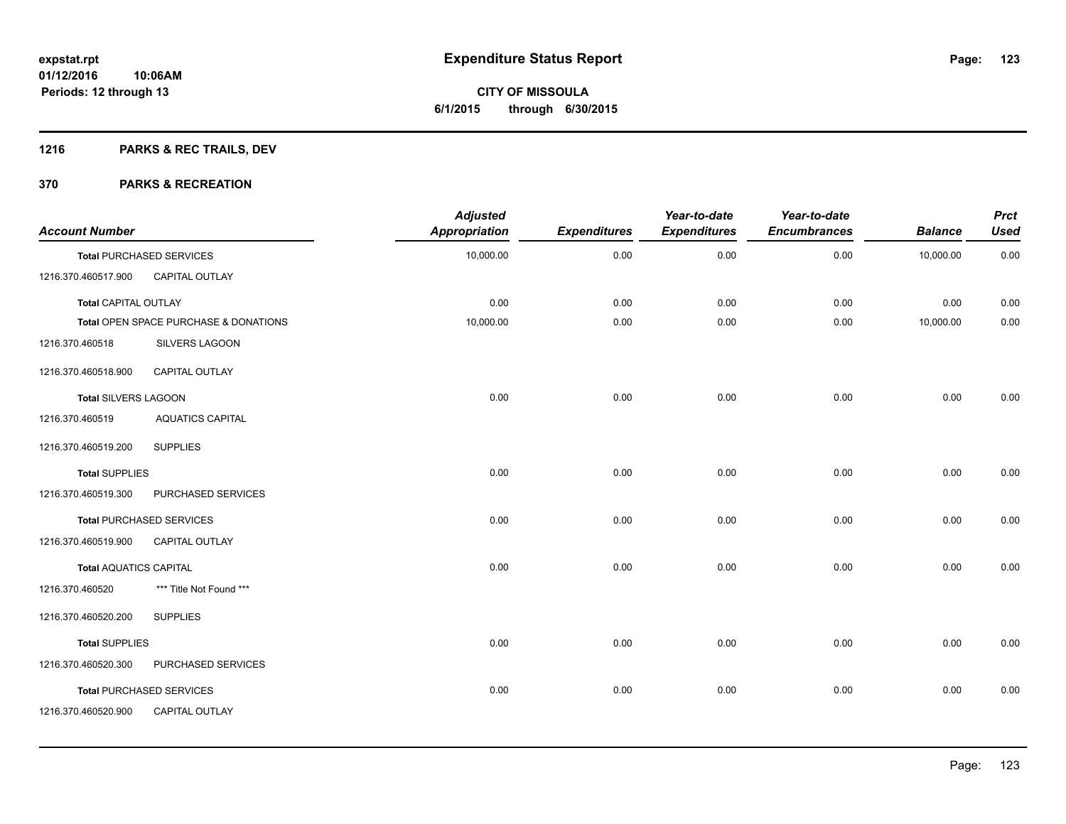## **1216 PARKS & REC TRAILS, DEV**

| <b>Account Number</b>         |                                       | <b>Adjusted</b><br><b>Appropriation</b> | <b>Expenditures</b> | Year-to-date<br><b>Expenditures</b> | Year-to-date<br><b>Encumbrances</b> | <b>Balance</b> | <b>Prct</b><br><b>Used</b> |
|-------------------------------|---------------------------------------|-----------------------------------------|---------------------|-------------------------------------|-------------------------------------|----------------|----------------------------|
|                               | <b>Total PURCHASED SERVICES</b>       | 10,000.00                               | 0.00                | 0.00                                | 0.00                                | 10,000.00      | 0.00                       |
| 1216.370.460517.900           | CAPITAL OUTLAY                        |                                         |                     |                                     |                                     |                |                            |
| <b>Total CAPITAL OUTLAY</b>   |                                       | 0.00                                    | 0.00                | 0.00                                | 0.00                                | 0.00           | 0.00                       |
|                               | Total OPEN SPACE PURCHASE & DONATIONS | 10,000.00                               | 0.00                | 0.00                                | 0.00                                | 10,000.00      | 0.00                       |
| 1216.370.460518               | SILVERS LAGOON                        |                                         |                     |                                     |                                     |                |                            |
| 1216.370.460518.900           | <b>CAPITAL OUTLAY</b>                 |                                         |                     |                                     |                                     |                |                            |
| Total SILVERS LAGOON          |                                       | 0.00                                    | 0.00                | 0.00                                | 0.00                                | 0.00           | 0.00                       |
| 1216.370.460519               | <b>AQUATICS CAPITAL</b>               |                                         |                     |                                     |                                     |                |                            |
| 1216.370.460519.200           | <b>SUPPLIES</b>                       |                                         |                     |                                     |                                     |                |                            |
| <b>Total SUPPLIES</b>         |                                       | 0.00                                    | 0.00                | 0.00                                | 0.00                                | 0.00           | 0.00                       |
| 1216.370.460519.300           | PURCHASED SERVICES                    |                                         |                     |                                     |                                     |                |                            |
|                               | <b>Total PURCHASED SERVICES</b>       | 0.00                                    | 0.00                | 0.00                                | 0.00                                | 0.00           | 0.00                       |
| 1216.370.460519.900           | CAPITAL OUTLAY                        |                                         |                     |                                     |                                     |                |                            |
| <b>Total AQUATICS CAPITAL</b> |                                       | 0.00                                    | 0.00                | 0.00                                | 0.00                                | 0.00           | 0.00                       |
| 1216.370.460520               | *** Title Not Found ***               |                                         |                     |                                     |                                     |                |                            |
| 1216.370.460520.200           | <b>SUPPLIES</b>                       |                                         |                     |                                     |                                     |                |                            |
| <b>Total SUPPLIES</b>         |                                       | 0.00                                    | 0.00                | 0.00                                | 0.00                                | 0.00           | 0.00                       |
| 1216.370.460520.300           | PURCHASED SERVICES                    |                                         |                     |                                     |                                     |                |                            |
|                               | <b>Total PURCHASED SERVICES</b>       | 0.00                                    | 0.00                | 0.00                                | 0.00                                | 0.00           | 0.00                       |
| 1216.370.460520.900           | CAPITAL OUTLAY                        |                                         |                     |                                     |                                     |                |                            |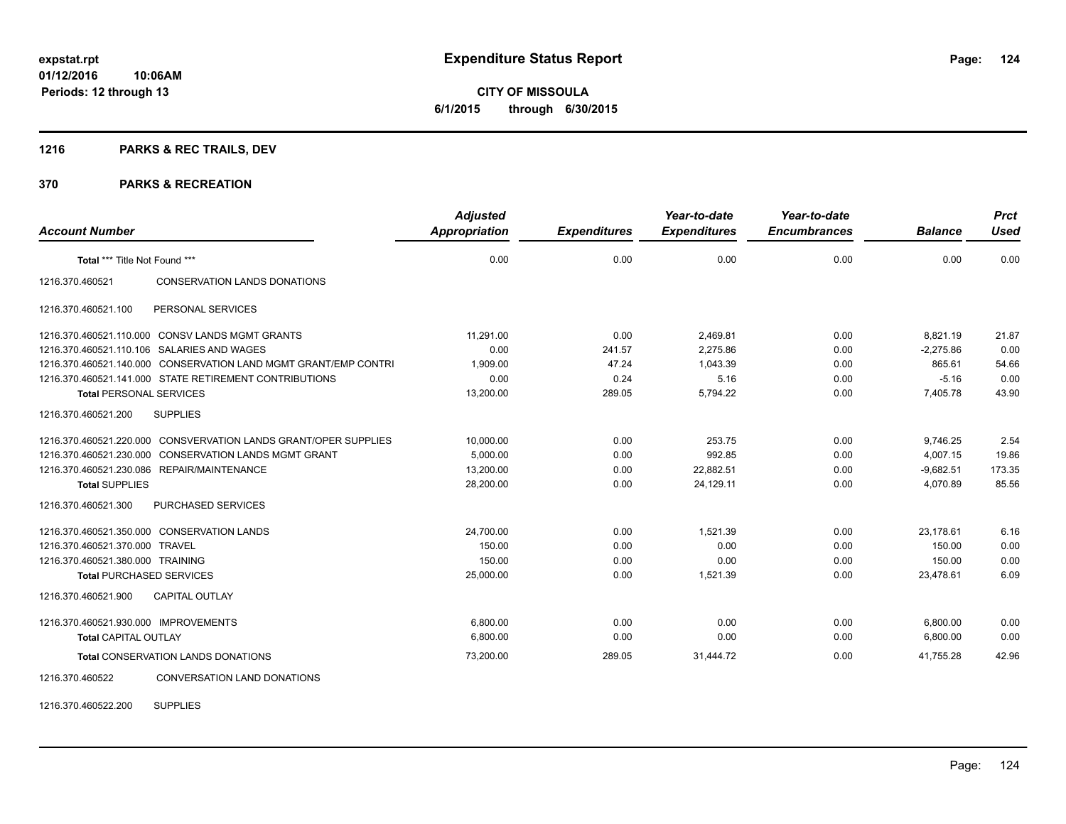## **1216 PARKS & REC TRAILS, DEV**

#### **370 PARKS & RECREATION**

| <b>Account Number</b>                |                                                                 | <b>Adjusted</b><br>Appropriation | <b>Expenditures</b> | Year-to-date<br><b>Expenditures</b> | Year-to-date<br><b>Encumbrances</b> | <b>Balance</b> | <b>Prct</b><br>Used |
|--------------------------------------|-----------------------------------------------------------------|----------------------------------|---------------------|-------------------------------------|-------------------------------------|----------------|---------------------|
| Total *** Title Not Found ***        |                                                                 | 0.00                             | 0.00                | 0.00                                | 0.00                                | 0.00           | 0.00                |
| 1216.370.460521                      | <b>CONSERVATION LANDS DONATIONS</b>                             |                                  |                     |                                     |                                     |                |                     |
| 1216.370.460521.100                  | PERSONAL SERVICES                                               |                                  |                     |                                     |                                     |                |                     |
|                                      | 1216.370.460521.110.000 CONSV LANDS MGMT GRANTS                 | 11,291.00                        | 0.00                | 2,469.81                            | 0.00                                | 8,821.19       | 21.87               |
|                                      | 1216.370.460521.110.106 SALARIES AND WAGES                      | 0.00                             | 241.57              | 2,275.86                            | 0.00                                | $-2,275.86$    | 0.00                |
|                                      | 1216.370.460521.140.000 CONSERVATION LAND MGMT GRANT/EMP CONTRI | 1,909.00                         | 47.24               | 1,043.39                            | 0.00                                | 865.61         | 54.66               |
|                                      | 1216.370.460521.141.000 STATE RETIREMENT CONTRIBUTIONS          | 0.00                             | 0.24                | 5.16                                | 0.00                                | $-5.16$        | 0.00                |
| <b>Total PERSONAL SERVICES</b>       |                                                                 | 13,200.00                        | 289.05              | 5,794.22                            | 0.00                                | 7,405.78       | 43.90               |
| 1216.370.460521.200                  | <b>SUPPLIES</b>                                                 |                                  |                     |                                     |                                     |                |                     |
|                                      | 1216.370.460521.220.000 CONSVERVATION LANDS GRANT/OPER SUPPLIES | 10,000.00                        | 0.00                | 253.75                              | 0.00                                | 9,746.25       | 2.54                |
| 1216.370.460521.230.000              | <b>CONSERVATION LANDS MGMT GRANT</b>                            | 5,000.00                         | 0.00                | 992.85                              | 0.00                                | 4,007.15       | 19.86               |
|                                      | 1216.370.460521.230.086 REPAIR/MAINTENANCE                      | 13,200.00                        | 0.00                | 22,882.51                           | 0.00                                | $-9,682.51$    | 173.35              |
| <b>Total SUPPLIES</b>                |                                                                 | 28,200.00                        | 0.00                | 24,129.11                           | 0.00                                | 4,070.89       | 85.56               |
| 1216.370.460521.300                  | <b>PURCHASED SERVICES</b>                                       |                                  |                     |                                     |                                     |                |                     |
|                                      | 1216.370.460521.350.000 CONSERVATION LANDS                      | 24,700.00                        | 0.00                | 1.521.39                            | 0.00                                | 23,178.61      | 6.16                |
| 1216.370.460521.370.000              | <b>TRAVEL</b>                                                   | 150.00                           | 0.00                | 0.00                                | 0.00                                | 150.00         | 0.00                |
| 1216.370.460521.380.000 TRAINING     |                                                                 | 150.00                           | 0.00                | 0.00                                | 0.00                                | 150.00         | 0.00                |
| <b>Total PURCHASED SERVICES</b>      |                                                                 | 25,000.00                        | 0.00                | 1,521.39                            | 0.00                                | 23,478.61      | 6.09                |
| 1216.370.460521.900                  | <b>CAPITAL OUTLAY</b>                                           |                                  |                     |                                     |                                     |                |                     |
| 1216.370.460521.930.000 IMPROVEMENTS |                                                                 | 6,800.00                         | 0.00                | 0.00                                | 0.00                                | 6,800.00       | 0.00                |
| <b>Total CAPITAL OUTLAY</b>          |                                                                 | 6.800.00                         | 0.00                | 0.00                                | 0.00                                | 6,800.00       | 0.00                |
|                                      | Total CONSERVATION LANDS DONATIONS                              | 73,200.00                        | 289.05              | 31,444.72                           | 0.00                                | 41,755.28      | 42.96               |
| 1216.370.460522                      | CONVERSATION LAND DONATIONS                                     |                                  |                     |                                     |                                     |                |                     |

1216.370.460522.200 SUPPLIES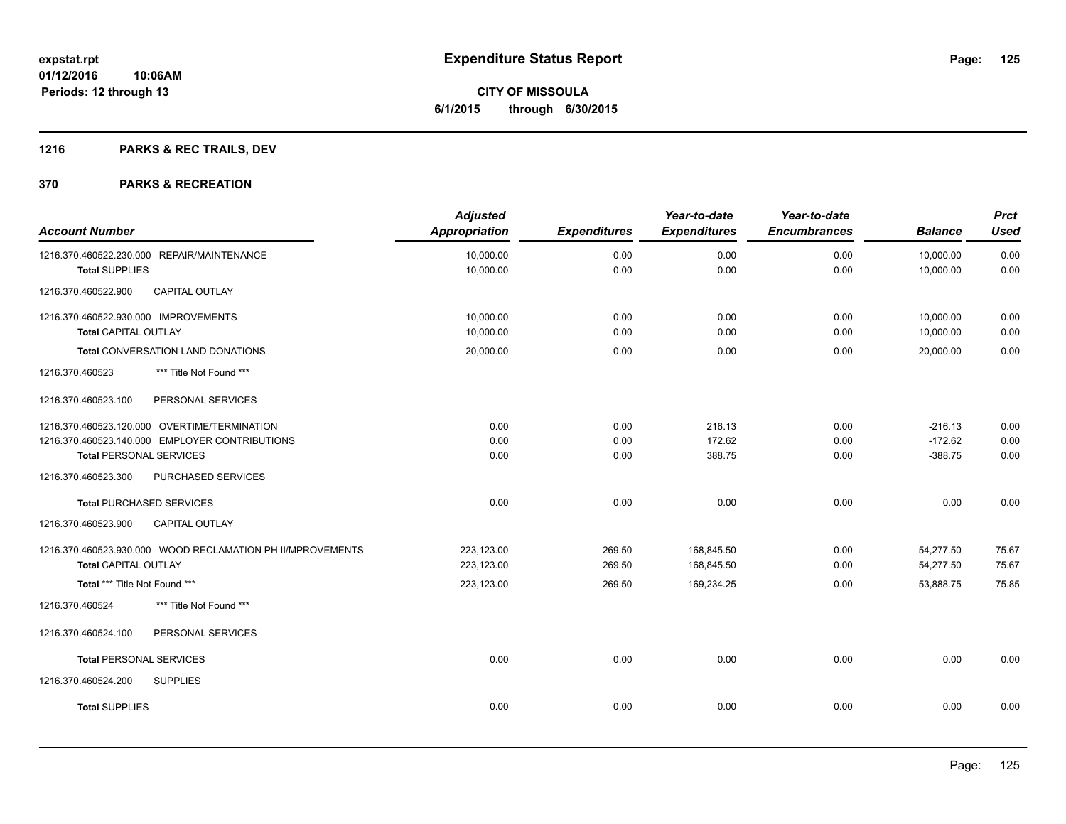**CITY OF MISSOULA 6/1/2015 through 6/30/2015**

## **1216 PARKS & REC TRAILS, DEV**

| <b>Account Number</b>                                                                                                            | <b>Adjusted</b><br><b>Appropriation</b> | <b>Expenditures</b>  | Year-to-date<br><b>Expenditures</b> | Year-to-date<br><b>Encumbrances</b> | <b>Balance</b>                      | <b>Prct</b><br><b>Used</b> |
|----------------------------------------------------------------------------------------------------------------------------------|-----------------------------------------|----------------------|-------------------------------------|-------------------------------------|-------------------------------------|----------------------------|
| 1216.370.460522.230.000 REPAIR/MAINTENANCE<br><b>Total SUPPLIES</b>                                                              | 10,000.00<br>10,000.00                  | 0.00<br>0.00         | 0.00<br>0.00                        | 0.00<br>0.00                        | 10,000.00<br>10,000.00              | 0.00<br>0.00               |
| 1216.370.460522.900<br><b>CAPITAL OUTLAY</b>                                                                                     |                                         |                      |                                     |                                     |                                     |                            |
| 1216.370.460522.930.000 IMPROVEMENTS<br><b>Total CAPITAL OUTLAY</b>                                                              | 10,000.00<br>10,000.00                  | 0.00<br>0.00         | 0.00<br>0.00                        | 0.00<br>0.00                        | 10,000.00<br>10,000.00              | 0.00<br>0.00               |
| <b>Total CONVERSATION LAND DONATIONS</b>                                                                                         | 20,000.00                               | 0.00                 | 0.00                                | 0.00                                | 20,000.00                           | 0.00                       |
| *** Title Not Found ***<br>1216.370.460523                                                                                       |                                         |                      |                                     |                                     |                                     |                            |
| 1216.370.460523.100<br>PERSONAL SERVICES                                                                                         |                                         |                      |                                     |                                     |                                     |                            |
| 1216.370.460523.120.000 OVERTIME/TERMINATION<br>1216.370.460523.140.000 EMPLOYER CONTRIBUTIONS<br><b>Total PERSONAL SERVICES</b> | 0.00<br>0.00<br>0.00                    | 0.00<br>0.00<br>0.00 | 216.13<br>172.62<br>388.75          | 0.00<br>0.00<br>0.00                | $-216.13$<br>$-172.62$<br>$-388.75$ | 0.00<br>0.00<br>0.00       |
| 1216.370.460523.300<br>PURCHASED SERVICES                                                                                        |                                         |                      |                                     |                                     |                                     |                            |
| <b>Total PURCHASED SERVICES</b>                                                                                                  | 0.00                                    | 0.00                 | 0.00                                | 0.00                                | 0.00                                | 0.00                       |
| CAPITAL OUTLAY<br>1216.370.460523.900                                                                                            |                                         |                      |                                     |                                     |                                     |                            |
| 1216.370.460523.930.000 WOOD RECLAMATION PH II/MPROVEMENTS<br><b>Total CAPITAL OUTLAY</b>                                        | 223,123.00<br>223,123.00                | 269.50<br>269.50     | 168,845.50<br>168,845.50            | 0.00<br>0.00                        | 54,277.50<br>54,277.50              | 75.67<br>75.67             |
| Total *** Title Not Found ***                                                                                                    | 223,123.00                              | 269.50               | 169,234.25                          | 0.00                                | 53,888.75                           | 75.85                      |
| 1216.370.460524<br>*** Title Not Found ***                                                                                       |                                         |                      |                                     |                                     |                                     |                            |
| 1216.370.460524.100<br>PERSONAL SERVICES                                                                                         |                                         |                      |                                     |                                     |                                     |                            |
| <b>Total PERSONAL SERVICES</b>                                                                                                   | 0.00                                    | 0.00                 | 0.00                                | 0.00                                | 0.00                                | 0.00                       |
| 1216.370.460524.200<br><b>SUPPLIES</b>                                                                                           |                                         |                      |                                     |                                     |                                     |                            |
| <b>Total SUPPLIES</b>                                                                                                            | 0.00                                    | 0.00                 | 0.00                                | 0.00                                | 0.00                                | 0.00                       |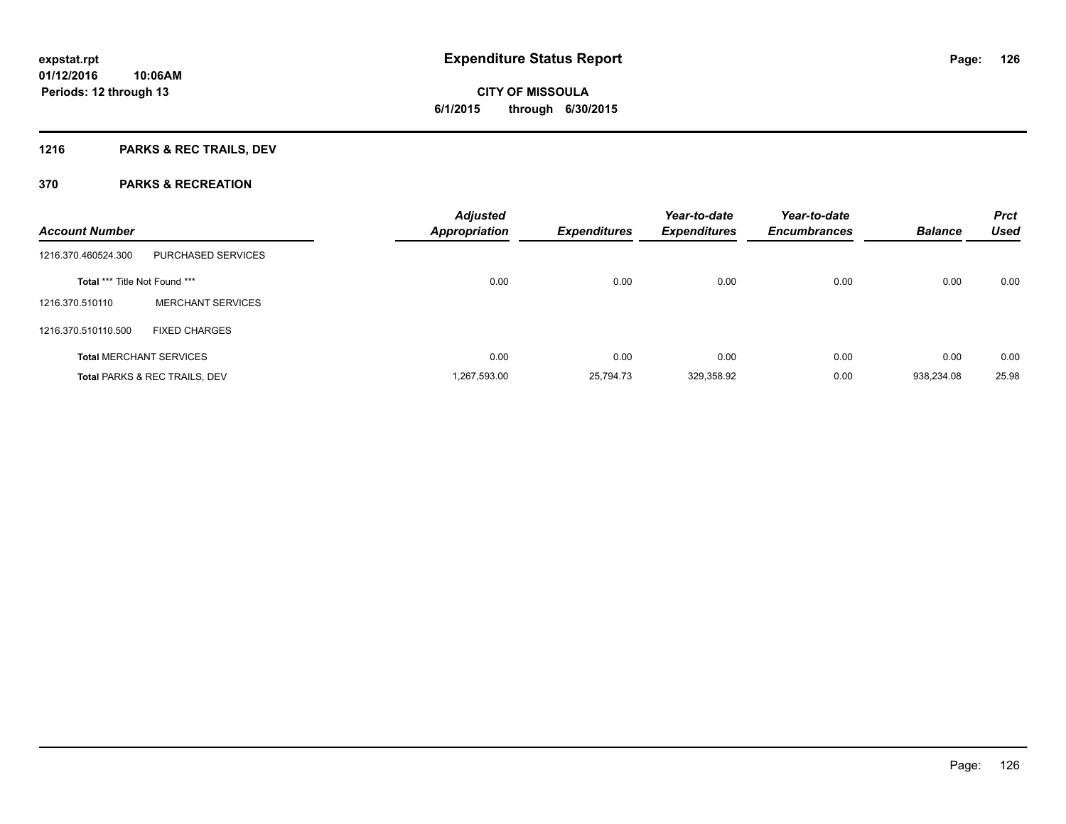**Periods: 12 through 13**

**CITY OF MISSOULA 6/1/2015 through 6/30/2015**

## **1216 PARKS & REC TRAILS, DEV**

| <b>Account Number</b>                |                                          | <b>Adjusted</b><br><b>Appropriation</b> | <b>Expenditures</b> | Year-to-date<br><b>Expenditures</b> | Year-to-date<br><b>Encumbrances</b> | <b>Balance</b> | <b>Prct</b><br><b>Used</b> |
|--------------------------------------|------------------------------------------|-----------------------------------------|---------------------|-------------------------------------|-------------------------------------|----------------|----------------------------|
| 1216.370.460524.300                  | PURCHASED SERVICES                       |                                         |                     |                                     |                                     |                |                            |
| <b>Total *** Title Not Found ***</b> |                                          | 0.00                                    | 0.00                | 0.00                                | 0.00                                | 0.00           | 0.00                       |
| 1216.370.510110                      | <b>MERCHANT SERVICES</b>                 |                                         |                     |                                     |                                     |                |                            |
| 1216.370.510110.500                  | <b>FIXED CHARGES</b>                     |                                         |                     |                                     |                                     |                |                            |
|                                      | <b>Total MERCHANT SERVICES</b>           | 0.00                                    | 0.00                | 0.00                                | 0.00                                | 0.00           | 0.00                       |
|                                      | <b>Total PARKS &amp; REC TRAILS, DEV</b> | 1.267.593.00                            | 25.794.73           | 329,358.92                          | 0.00                                | 938.234.08     | 25.98                      |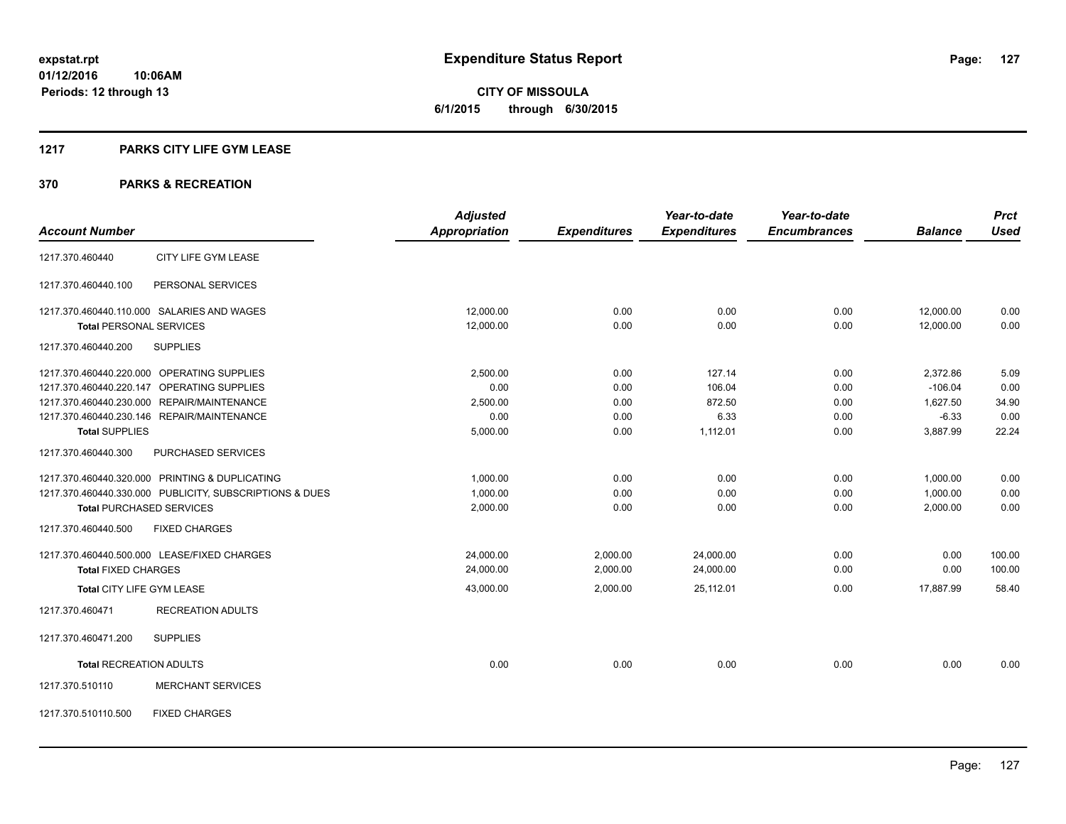**CITY OF MISSOULA 6/1/2015 through 6/30/2015**

#### **1217 PARKS CITY LIFE GYM LEASE**

|                                                         | <b>Adjusted</b>      |                     | Year-to-date        | Year-to-date        |                | <b>Prct</b> |
|---------------------------------------------------------|----------------------|---------------------|---------------------|---------------------|----------------|-------------|
| <b>Account Number</b>                                   | <b>Appropriation</b> | <b>Expenditures</b> | <b>Expenditures</b> | <b>Encumbrances</b> | <b>Balance</b> | <b>Used</b> |
| CITY LIFE GYM LEASE<br>1217.370.460440                  |                      |                     |                     |                     |                |             |
| PERSONAL SERVICES<br>1217.370.460440.100                |                      |                     |                     |                     |                |             |
| 1217.370.460440.110.000 SALARIES AND WAGES              | 12,000.00            | 0.00                | 0.00                | 0.00                | 12,000.00      | 0.00        |
| <b>Total PERSONAL SERVICES</b>                          | 12,000.00            | 0.00                | 0.00                | 0.00                | 12,000.00      | 0.00        |
| 1217.370.460440.200<br><b>SUPPLIES</b>                  |                      |                     |                     |                     |                |             |
| 1217.370.460440.220.000 OPERATING SUPPLIES              | 2,500.00             | 0.00                | 127.14              | 0.00                | 2,372.86       | 5.09        |
| 1217.370.460440.220.147 OPERATING SUPPLIES              | 0.00                 | 0.00                | 106.04              | 0.00                | $-106.04$      | 0.00        |
| 1217.370.460440.230.000 REPAIR/MAINTENANCE              | 2,500.00             | 0.00                | 872.50              | 0.00                | 1,627.50       | 34.90       |
| 1217.370.460440.230.146 REPAIR/MAINTENANCE              | 0.00                 | 0.00                | 6.33                | 0.00                | $-6.33$        | 0.00        |
| <b>Total SUPPLIES</b>                                   | 5,000.00             | 0.00                | 1,112.01            | 0.00                | 3,887.99       | 22.24       |
| 1217.370.460440.300<br>PURCHASED SERVICES               |                      |                     |                     |                     |                |             |
| 1217.370.460440.320.000 PRINTING & DUPLICATING          | 1,000.00             | 0.00                | 0.00                | 0.00                | 1,000.00       | 0.00        |
| 1217.370.460440.330.000 PUBLICITY, SUBSCRIPTIONS & DUES | 1,000.00             | 0.00                | 0.00                | 0.00                | 1,000.00       | 0.00        |
| <b>Total PURCHASED SERVICES</b>                         | 2,000.00             | 0.00                | 0.00                | 0.00                | 2,000.00       | 0.00        |
| 1217.370.460440.500<br><b>FIXED CHARGES</b>             |                      |                     |                     |                     |                |             |
| 1217.370.460440.500.000 LEASE/FIXED CHARGES             | 24,000.00            | 2,000.00            | 24,000.00           | 0.00                | 0.00           | 100.00      |
| <b>Total FIXED CHARGES</b>                              | 24,000.00            | 2,000.00            | 24,000.00           | 0.00                | 0.00           | 100.00      |
| Total CITY LIFE GYM LEASE                               | 43,000.00            | 2,000.00            | 25.112.01           | 0.00                | 17.887.99      | 58.40       |
| <b>RECREATION ADULTS</b><br>1217.370.460471             |                      |                     |                     |                     |                |             |
| <b>SUPPLIES</b><br>1217.370.460471.200                  |                      |                     |                     |                     |                |             |
| <b>Total RECREATION ADULTS</b>                          | 0.00                 | 0.00                | 0.00                | 0.00                | 0.00           | 0.00        |
| <b>MERCHANT SERVICES</b><br>1217.370.510110             |                      |                     |                     |                     |                |             |
| <b>FIXED CHARGES</b><br>1217.370.510110.500             |                      |                     |                     |                     |                |             |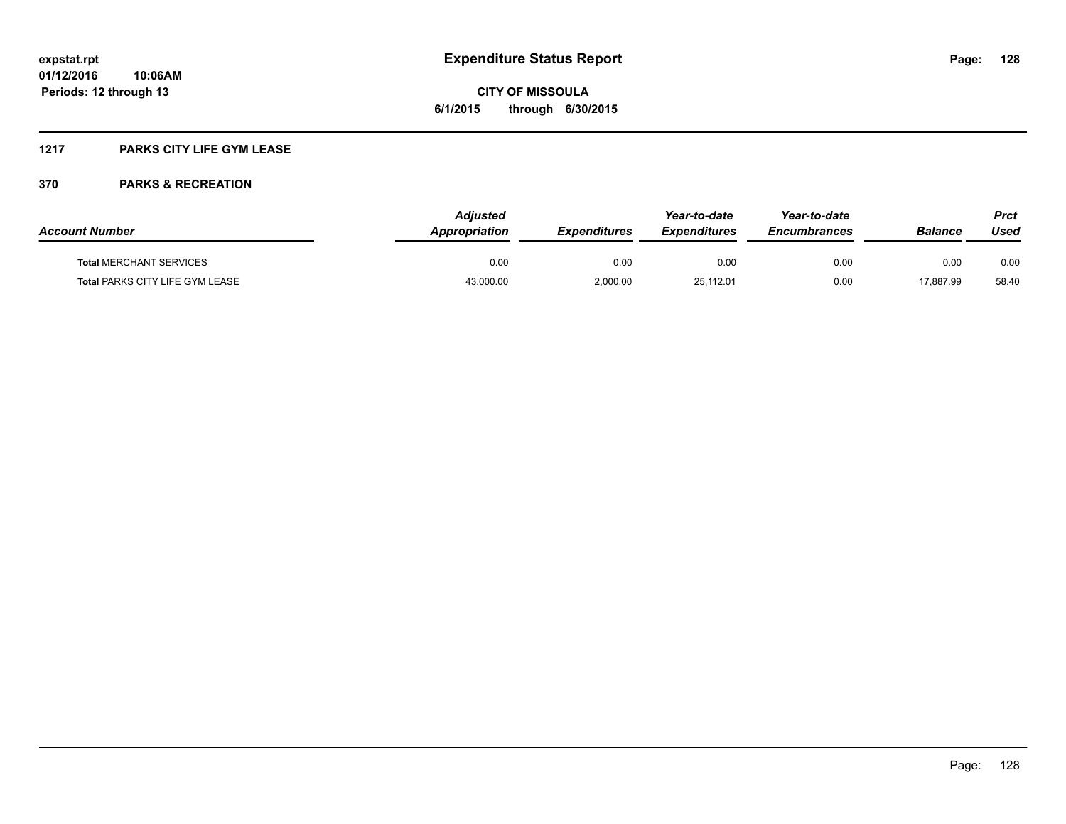### **1217 PARKS CITY LIFE GYM LEASE**

| <b>Account Number</b>                  | <b>Adiusted</b><br>Appropriation | <b>Expenditures</b> | Year-to-date<br><b>Expenditures</b> | Year-to-date<br><b>Encumbrances</b> | <b>Balance</b> | Prct<br>Used |
|----------------------------------------|----------------------------------|---------------------|-------------------------------------|-------------------------------------|----------------|--------------|
| <b>Total MERCHANT SERVICES</b>         | 0.00                             | 0.00                | 0.00                                | 0.00                                | 0.00           | 0.00         |
| <b>Total PARKS CITY LIFE GYM LEASE</b> | 43,000.00                        | 2,000.00            | 25,112.01                           | 0.00                                | 17.887.99      | 58.40        |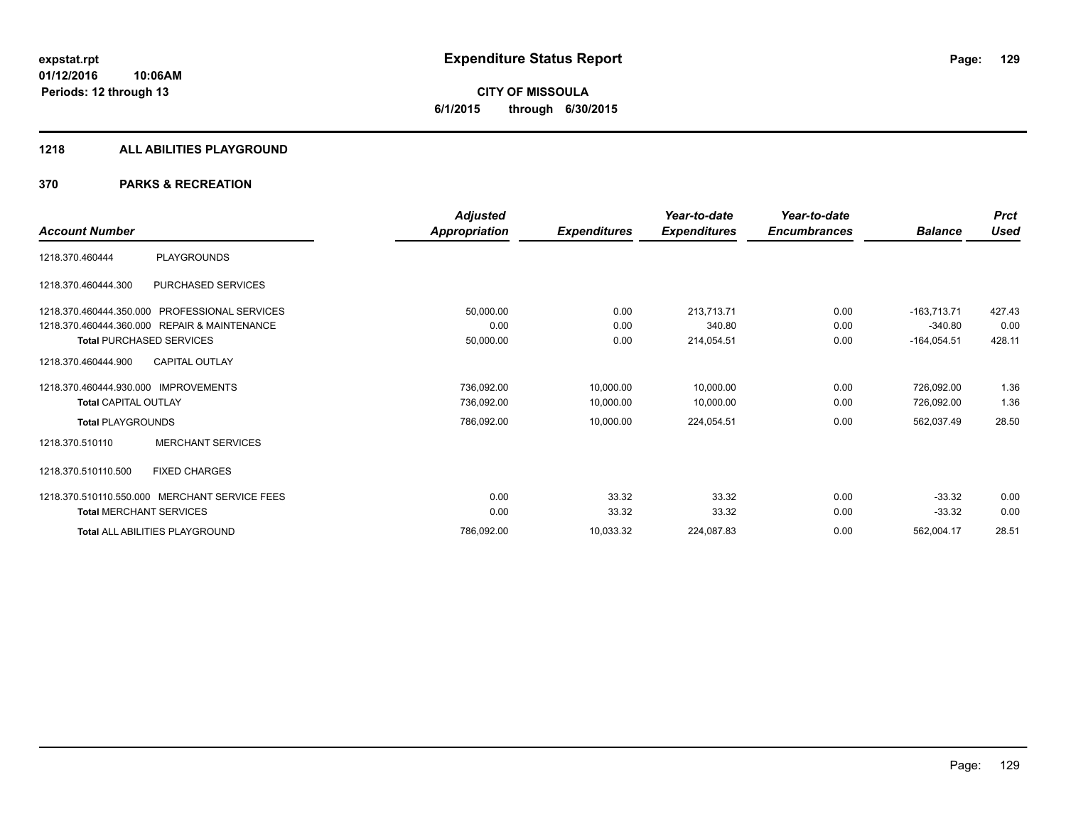**CITY OF MISSOULA 6/1/2015 through 6/30/2015**

#### **1218 ALL ABILITIES PLAYGROUND**

|                                      |                                               | <b>Adjusted</b>      |                     | Year-to-date        | Year-to-date        |                | <b>Prct</b> |
|--------------------------------------|-----------------------------------------------|----------------------|---------------------|---------------------|---------------------|----------------|-------------|
| <b>Account Number</b>                |                                               | <b>Appropriation</b> | <b>Expenditures</b> | <b>Expenditures</b> | <b>Encumbrances</b> | <b>Balance</b> | Used        |
| 1218.370.460444                      | <b>PLAYGROUNDS</b>                            |                      |                     |                     |                     |                |             |
| 1218.370.460444.300                  | PURCHASED SERVICES                            |                      |                     |                     |                     |                |             |
|                                      | 1218.370.460444.350.000 PROFESSIONAL SERVICES | 50,000.00            | 0.00                | 213,713.71          | 0.00                | $-163,713.71$  | 427.43      |
|                                      | 1218.370.460444.360.000 REPAIR & MAINTENANCE  | 0.00                 | 0.00                | 340.80              | 0.00                | $-340.80$      | 0.00        |
|                                      | <b>Total PURCHASED SERVICES</b>               | 50,000.00            | 0.00                | 214,054.51          | 0.00                | $-164,054.51$  | 428.11      |
| 1218.370.460444.900                  | <b>CAPITAL OUTLAY</b>                         |                      |                     |                     |                     |                |             |
| 1218.370.460444.930.000 IMPROVEMENTS |                                               | 736,092.00           | 10,000.00           | 10,000.00           | 0.00                | 726,092.00     | 1.36        |
| <b>Total CAPITAL OUTLAY</b>          |                                               | 736,092.00           | 10,000.00           | 10,000.00           | 0.00                | 726,092.00     | 1.36        |
| <b>Total PLAYGROUNDS</b>             |                                               | 786,092.00           | 10,000.00           | 224,054.51          | 0.00                | 562,037.49     | 28.50       |
| 1218.370.510110                      | <b>MERCHANT SERVICES</b>                      |                      |                     |                     |                     |                |             |
| 1218.370.510110.500                  | <b>FIXED CHARGES</b>                          |                      |                     |                     |                     |                |             |
|                                      | 1218.370.510110.550.000 MERCHANT SERVICE FEES | 0.00                 | 33.32               | 33.32               | 0.00                | $-33.32$       | 0.00        |
| <b>Total MERCHANT SERVICES</b>       |                                               | 0.00                 | 33.32               | 33.32               | 0.00                | $-33.32$       | 0.00        |
|                                      | Total ALL ABILITIES PLAYGROUND                | 786,092.00           | 10,033.32           | 224,087.83          | 0.00                | 562,004.17     | 28.51       |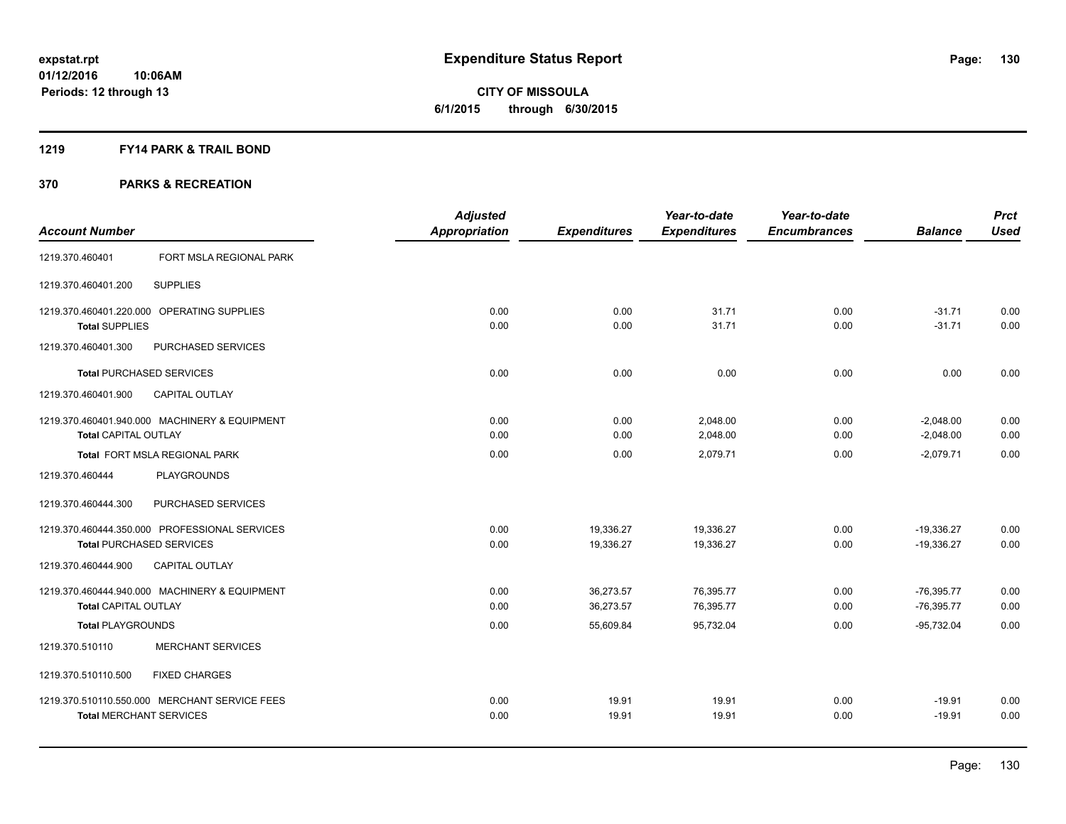**CITY OF MISSOULA 6/1/2015 through 6/30/2015**

#### **1219 FY14 PARK & TRAIL BOND**

|                                |                                               | <b>Adjusted</b>      |                     | Year-to-date        | Year-to-date        |                | <b>Prct</b> |
|--------------------------------|-----------------------------------------------|----------------------|---------------------|---------------------|---------------------|----------------|-------------|
| <b>Account Number</b>          |                                               | <b>Appropriation</b> | <b>Expenditures</b> | <b>Expenditures</b> | <b>Encumbrances</b> | <b>Balance</b> | <b>Used</b> |
| 1219.370.460401                | FORT MSLA REGIONAL PARK                       |                      |                     |                     |                     |                |             |
| 1219.370.460401.200            | <b>SUPPLIES</b>                               |                      |                     |                     |                     |                |             |
|                                | 1219.370.460401.220.000 OPERATING SUPPLIES    | 0.00                 | 0.00                | 31.71               | 0.00                | $-31.71$       | 0.00        |
| <b>Total SUPPLIES</b>          |                                               | 0.00                 | 0.00                | 31.71               | 0.00                | $-31.71$       | 0.00        |
| 1219.370.460401.300            | PURCHASED SERVICES                            |                      |                     |                     |                     |                |             |
|                                | <b>Total PURCHASED SERVICES</b>               | 0.00                 | 0.00                | 0.00                | 0.00                | 0.00           | 0.00        |
| 1219.370.460401.900            | CAPITAL OUTLAY                                |                      |                     |                     |                     |                |             |
|                                | 1219.370.460401.940.000 MACHINERY & EQUIPMENT | 0.00                 | 0.00                | 2,048.00            | 0.00                | $-2,048.00$    | 0.00        |
| Total CAPITAL OUTLAY           |                                               | 0.00                 | 0.00                | 2,048.00            | 0.00                | $-2,048.00$    | 0.00        |
|                                | Total FORT MSLA REGIONAL PARK                 | 0.00                 | 0.00                | 2,079.71            | 0.00                | $-2,079.71$    | 0.00        |
| 1219.370.460444                | PLAYGROUNDS                                   |                      |                     |                     |                     |                |             |
| 1219.370.460444.300            | PURCHASED SERVICES                            |                      |                     |                     |                     |                |             |
|                                | 1219.370.460444.350.000 PROFESSIONAL SERVICES | 0.00                 | 19,336.27           | 19,336.27           | 0.00                | $-19,336.27$   | 0.00        |
|                                | <b>Total PURCHASED SERVICES</b>               | 0.00                 | 19,336.27           | 19,336.27           | 0.00                | $-19,336.27$   | 0.00        |
| 1219.370.460444.900            | <b>CAPITAL OUTLAY</b>                         |                      |                     |                     |                     |                |             |
|                                | 1219.370.460444.940.000 MACHINERY & EQUIPMENT | 0.00                 | 36,273.57           | 76,395.77           | 0.00                | $-76,395.77$   | 0.00        |
| <b>Total CAPITAL OUTLAY</b>    |                                               | 0.00                 | 36,273.57           | 76,395.77           | 0.00                | $-76,395.77$   | 0.00        |
| <b>Total PLAYGROUNDS</b>       |                                               | 0.00                 | 55,609.84           | 95,732.04           | 0.00                | $-95,732.04$   | 0.00        |
| 1219.370.510110                | <b>MERCHANT SERVICES</b>                      |                      |                     |                     |                     |                |             |
| 1219.370.510110.500            | <b>FIXED CHARGES</b>                          |                      |                     |                     |                     |                |             |
|                                | 1219.370.510110.550.000 MERCHANT SERVICE FEES | 0.00                 | 19.91               | 19.91               | 0.00                | $-19.91$       | 0.00        |
| <b>Total MERCHANT SERVICES</b> |                                               | 0.00                 | 19.91               | 19.91               | 0.00                | $-19.91$       | 0.00        |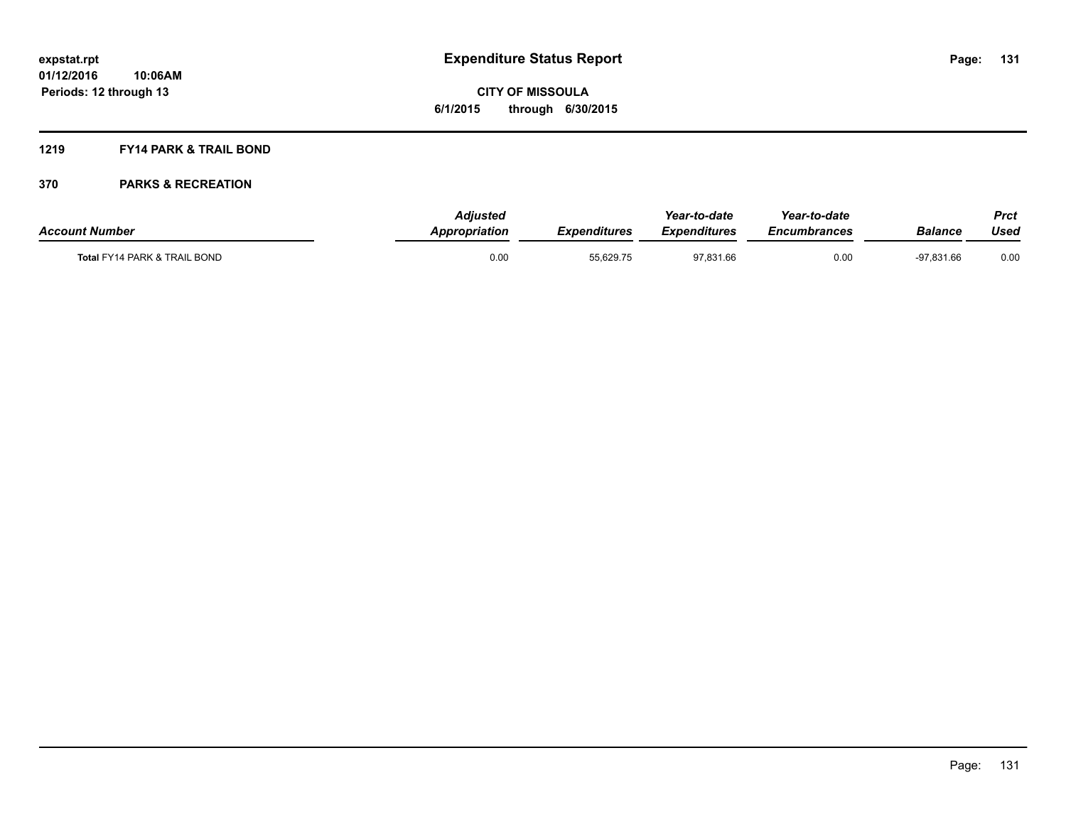# **CITY OF MISSOULA 6/1/2015 through 6/30/2015**

#### **1219 FY14 PARK & TRAIL BOND**

| <b>Account Number</b>                   | Adiusted<br><b>Appropriation</b> | <b>Expenditures</b> | Year-to-date<br><b>Expenditures</b> | Year-to-date<br><b>Encumbrances</b> | Balance      | <b>Prct</b><br>Used |
|-----------------------------------------|----------------------------------|---------------------|-------------------------------------|-------------------------------------|--------------|---------------------|
| <b>Total FY14 PARK &amp; TRAIL BOND</b> | 0.00                             | 55.629.75           | 97.831.66                           | 0.00                                | $-97.831.66$ | 0.00                |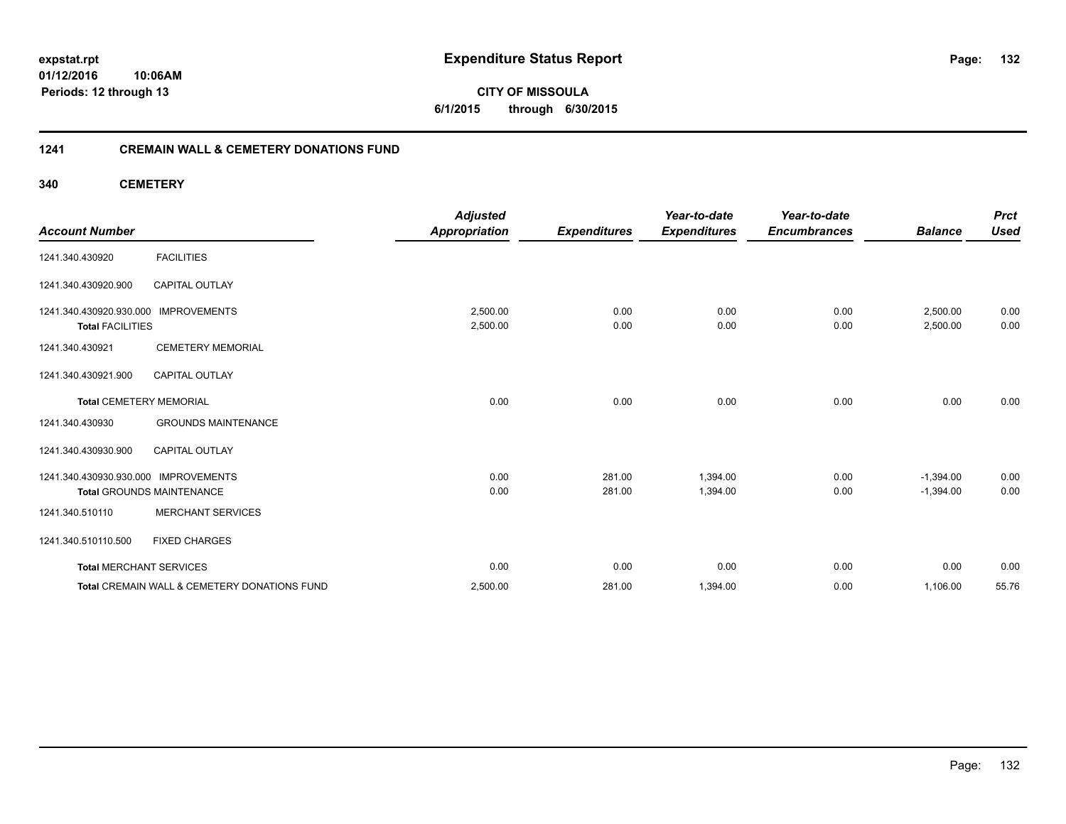**CITY OF MISSOULA 6/1/2015 through 6/30/2015**

#### **1241 CREMAIN WALL & CEMETERY DONATIONS FUND**

**340 CEMETERY**

| <b>Account Number</b>                              |                                              | <b>Adjusted</b><br><b>Appropriation</b> | <b>Expenditures</b> | Year-to-date<br><b>Expenditures</b> | Year-to-date<br><b>Encumbrances</b> | <b>Balance</b>       | <b>Prct</b><br><b>Used</b> |
|----------------------------------------------------|----------------------------------------------|-----------------------------------------|---------------------|-------------------------------------|-------------------------------------|----------------------|----------------------------|
| 1241.340.430920                                    | <b>FACILITIES</b>                            |                                         |                     |                                     |                                     |                      |                            |
| 1241.340.430920.900                                | <b>CAPITAL OUTLAY</b>                        |                                         |                     |                                     |                                     |                      |                            |
| 1241.340.430920.930.000<br><b>Total FACILITIES</b> | <b>IMPROVEMENTS</b>                          | 2,500.00<br>2,500.00                    | 0.00<br>0.00        | 0.00<br>0.00                        | 0.00<br>0.00                        | 2,500.00<br>2,500.00 | 0.00<br>0.00               |
| 1241.340.430921                                    | <b>CEMETERY MEMORIAL</b>                     |                                         |                     |                                     |                                     |                      |                            |
| 1241.340.430921.900                                | <b>CAPITAL OUTLAY</b>                        |                                         |                     |                                     |                                     |                      |                            |
| <b>Total CEMETERY MEMORIAL</b>                     |                                              | 0.00                                    | 0.00                | 0.00                                | 0.00                                | 0.00                 | 0.00                       |
| 1241.340.430930                                    | <b>GROUNDS MAINTENANCE</b>                   |                                         |                     |                                     |                                     |                      |                            |
| 1241.340.430930.900                                | <b>CAPITAL OUTLAY</b>                        |                                         |                     |                                     |                                     |                      |                            |
| 1241.340.430930.930.000                            | <b>IMPROVEMENTS</b>                          | 0.00                                    | 281.00              | 1,394.00                            | 0.00                                | $-1,394.00$          | 0.00                       |
|                                                    | <b>Total GROUNDS MAINTENANCE</b>             | 0.00                                    | 281.00              | 1,394.00                            | 0.00                                | $-1,394.00$          | 0.00                       |
| 1241.340.510110                                    | <b>MERCHANT SERVICES</b>                     |                                         |                     |                                     |                                     |                      |                            |
| 1241.340.510110.500                                | <b>FIXED CHARGES</b>                         |                                         |                     |                                     |                                     |                      |                            |
| <b>Total MERCHANT SERVICES</b>                     |                                              | 0.00                                    | 0.00                | 0.00                                | 0.00                                | 0.00                 | 0.00                       |
|                                                    | Total CREMAIN WALL & CEMETERY DONATIONS FUND | 2,500.00                                | 281.00              | 1,394.00                            | 0.00                                | 1,106.00             | 55.76                      |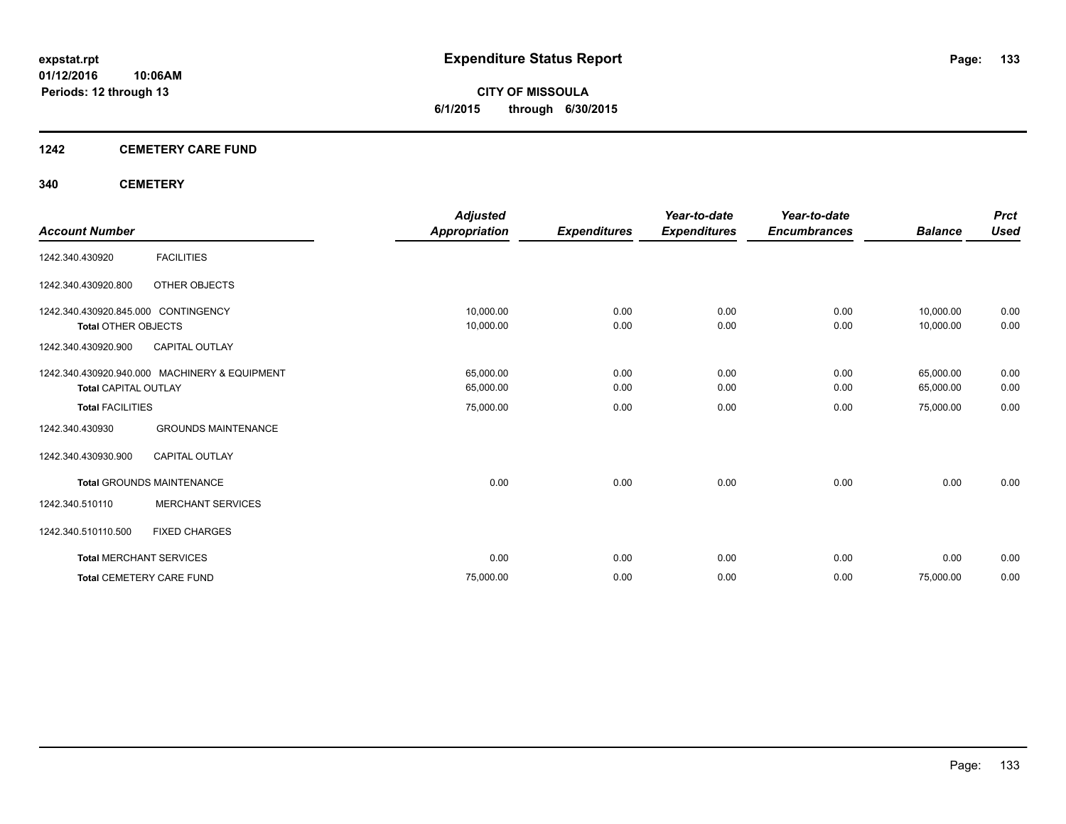**CITY OF MISSOULA 6/1/2015 through 6/30/2015**

#### **1242 CEMETERY CARE FUND**

#### **340 CEMETERY**

|                                     |                                               | <b>Adjusted</b>      |                     | Year-to-date        | Year-to-date        |                | <b>Prct</b> |
|-------------------------------------|-----------------------------------------------|----------------------|---------------------|---------------------|---------------------|----------------|-------------|
| <b>Account Number</b>               |                                               | <b>Appropriation</b> | <b>Expenditures</b> | <b>Expenditures</b> | <b>Encumbrances</b> | <b>Balance</b> | <b>Used</b> |
| 1242.340.430920                     | <b>FACILITIES</b>                             |                      |                     |                     |                     |                |             |
| 1242.340.430920.800                 | OTHER OBJECTS                                 |                      |                     |                     |                     |                |             |
| 1242.340.430920.845.000 CONTINGENCY |                                               | 10,000.00            | 0.00                | 0.00                | 0.00                | 10,000.00      | 0.00        |
| Total OTHER OBJECTS                 |                                               | 10,000.00            | 0.00                | 0.00                | 0.00                | 10,000.00      | 0.00        |
| 1242.340.430920.900                 | <b>CAPITAL OUTLAY</b>                         |                      |                     |                     |                     |                |             |
|                                     | 1242.340.430920.940.000 MACHINERY & EQUIPMENT | 65,000.00            | 0.00                | 0.00                | 0.00                | 65,000.00      | 0.00        |
| <b>Total CAPITAL OUTLAY</b>         |                                               | 65,000.00            | 0.00                | 0.00                | 0.00                | 65,000.00      | 0.00        |
| <b>Total FACILITIES</b>             |                                               | 75,000.00            | 0.00                | 0.00                | 0.00                | 75,000.00      | 0.00        |
| 1242.340.430930                     | <b>GROUNDS MAINTENANCE</b>                    |                      |                     |                     |                     |                |             |
| 1242.340.430930.900                 | <b>CAPITAL OUTLAY</b>                         |                      |                     |                     |                     |                |             |
|                                     | <b>Total GROUNDS MAINTENANCE</b>              | 0.00                 | 0.00                | 0.00                | 0.00                | 0.00           | 0.00        |
| 1242.340.510110                     | <b>MERCHANT SERVICES</b>                      |                      |                     |                     |                     |                |             |
| 1242.340.510110.500                 | <b>FIXED CHARGES</b>                          |                      |                     |                     |                     |                |             |
|                                     | <b>Total MERCHANT SERVICES</b>                | 0.00                 | 0.00                | 0.00                | 0.00                | 0.00           | 0.00        |
|                                     | <b>Total CEMETERY CARE FUND</b>               | 75,000.00            | 0.00                | 0.00                | 0.00                | 75,000.00      | 0.00        |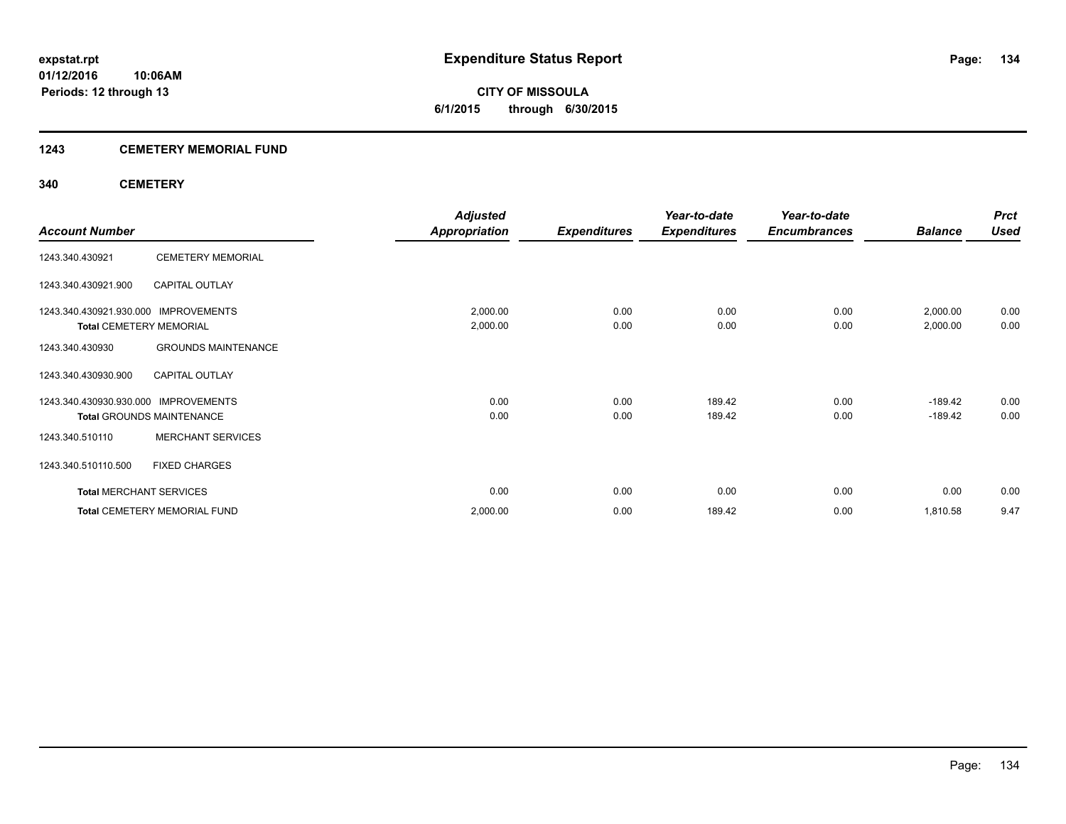#### **1243 CEMETERY MEMORIAL FUND**

#### **340 CEMETERY**

|                                |                                     | <b>Adjusted</b>      |                     | Year-to-date        | Year-to-date        |                | <b>Prct</b> |
|--------------------------------|-------------------------------------|----------------------|---------------------|---------------------|---------------------|----------------|-------------|
| <b>Account Number</b>          |                                     | <b>Appropriation</b> | <b>Expenditures</b> | <b>Expenditures</b> | <b>Encumbrances</b> | <b>Balance</b> | <b>Used</b> |
| 1243.340.430921                | <b>CEMETERY MEMORIAL</b>            |                      |                     |                     |                     |                |             |
| 1243.340.430921.900            | <b>CAPITAL OUTLAY</b>               |                      |                     |                     |                     |                |             |
| 1243.340.430921.930.000        | <b>IMPROVEMENTS</b>                 | 2,000.00             | 0.00                | 0.00                | 0.00                | 2,000.00       | 0.00        |
| <b>Total CEMETERY MEMORIAL</b> |                                     | 2,000.00             | 0.00                | 0.00                | 0.00                | 2,000.00       | 0.00        |
| 1243.340.430930                | <b>GROUNDS MAINTENANCE</b>          |                      |                     |                     |                     |                |             |
| 1243.340.430930.900            | <b>CAPITAL OUTLAY</b>               |                      |                     |                     |                     |                |             |
| 1243.340.430930.930.000        | <b>IMPROVEMENTS</b>                 | 0.00                 | 0.00                | 189.42              | 0.00                | $-189.42$      | 0.00        |
|                                | <b>Total GROUNDS MAINTENANCE</b>    | 0.00                 | 0.00                | 189.42              | 0.00                | $-189.42$      | 0.00        |
| 1243.340.510110                | <b>MERCHANT SERVICES</b>            |                      |                     |                     |                     |                |             |
| 1243.340.510110.500            | <b>FIXED CHARGES</b>                |                      |                     |                     |                     |                |             |
| <b>Total MERCHANT SERVICES</b> |                                     | 0.00                 | 0.00                | 0.00                | 0.00                | 0.00           | 0.00        |
|                                | <b>Total CEMETERY MEMORIAL FUND</b> | 2,000.00             | 0.00                | 189.42              | 0.00                | 1,810.58       | 9.47        |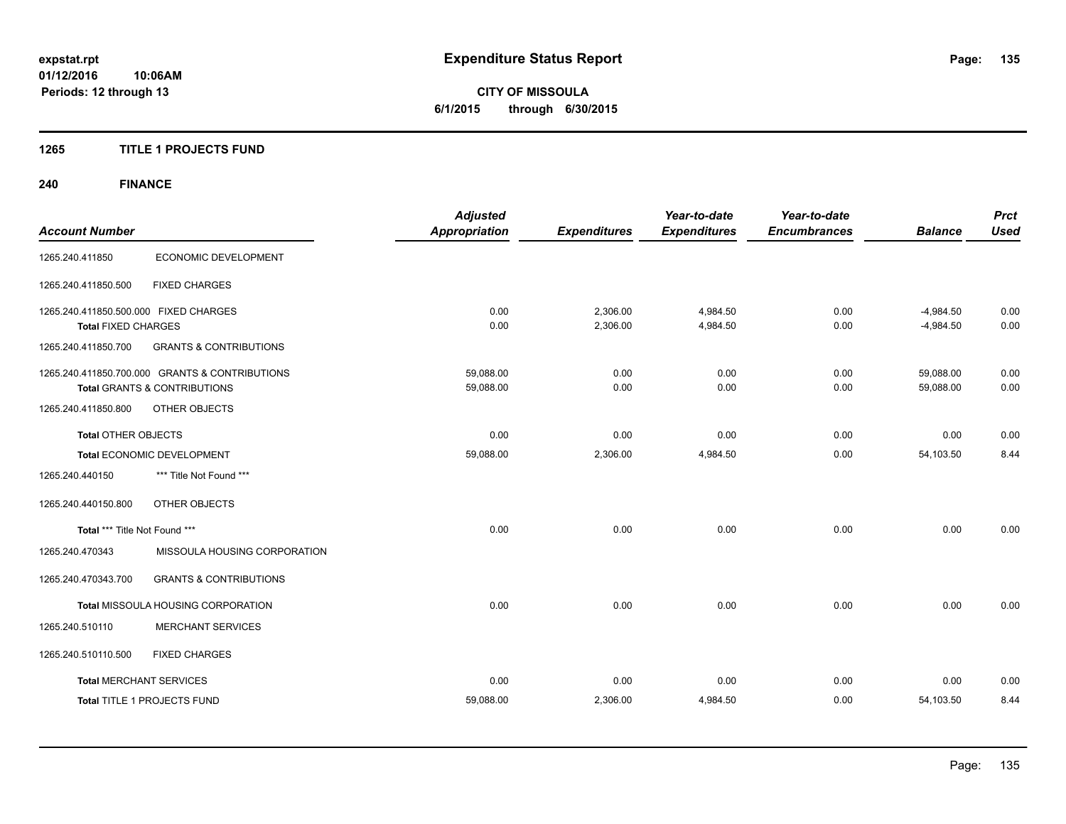#### **1265 TITLE 1 PROJECTS FUND**

## **240 FINANCE**

| <b>Account Number</b>                 |                                                | <b>Adjusted</b><br><b>Appropriation</b> | <b>Expenditures</b> | Year-to-date<br><b>Expenditures</b> | Year-to-date<br><b>Encumbrances</b> | <b>Balance</b> | <b>Prct</b><br><b>Used</b> |
|---------------------------------------|------------------------------------------------|-----------------------------------------|---------------------|-------------------------------------|-------------------------------------|----------------|----------------------------|
| 1265.240.411850                       | ECONOMIC DEVELOPMENT                           |                                         |                     |                                     |                                     |                |                            |
| 1265.240.411850.500                   | <b>FIXED CHARGES</b>                           |                                         |                     |                                     |                                     |                |                            |
| 1265.240.411850.500.000 FIXED CHARGES |                                                | 0.00                                    | 2,306.00            | 4,984.50                            | 0.00                                | $-4,984.50$    | 0.00                       |
| <b>Total FIXED CHARGES</b>            |                                                | 0.00                                    | 2,306.00            | 4,984.50                            | 0.00                                | $-4,984.50$    | 0.00                       |
| 1265.240.411850.700                   | <b>GRANTS &amp; CONTRIBUTIONS</b>              |                                         |                     |                                     |                                     |                |                            |
|                                       | 1265.240.411850.700.000 GRANTS & CONTRIBUTIONS | 59,088.00                               | 0.00                | 0.00                                | 0.00                                | 59,088.00      | 0.00                       |
|                                       | <b>Total GRANTS &amp; CONTRIBUTIONS</b>        | 59,088.00                               | 0.00                | 0.00                                | 0.00                                | 59,088.00      | 0.00                       |
| 1265.240.411850.800                   | OTHER OBJECTS                                  |                                         |                     |                                     |                                     |                |                            |
| Total OTHER OBJECTS                   |                                                | 0.00                                    | 0.00                | 0.00                                | 0.00                                | 0.00           | 0.00                       |
|                                       | Total ECONOMIC DEVELOPMENT                     | 59,088.00                               | 2,306.00            | 4,984.50                            | 0.00                                | 54,103.50      | 8.44                       |
| 1265.240.440150                       | *** Title Not Found ***                        |                                         |                     |                                     |                                     |                |                            |
| 1265.240.440150.800                   | OTHER OBJECTS                                  |                                         |                     |                                     |                                     |                |                            |
| Total *** Title Not Found ***         |                                                | 0.00                                    | 0.00                | 0.00                                | 0.00                                | 0.00           | 0.00                       |
| 1265.240.470343                       | MISSOULA HOUSING CORPORATION                   |                                         |                     |                                     |                                     |                |                            |
| 1265.240.470343.700                   | <b>GRANTS &amp; CONTRIBUTIONS</b>              |                                         |                     |                                     |                                     |                |                            |
|                                       | Total MISSOULA HOUSING CORPORATION             | 0.00                                    | 0.00                | 0.00                                | 0.00                                | 0.00           | 0.00                       |
| 1265.240.510110                       | <b>MERCHANT SERVICES</b>                       |                                         |                     |                                     |                                     |                |                            |
| 1265.240.510110.500                   | <b>FIXED CHARGES</b>                           |                                         |                     |                                     |                                     |                |                            |
| <b>Total MERCHANT SERVICES</b>        |                                                | 0.00                                    | 0.00                | 0.00                                | 0.00                                | 0.00           | 0.00                       |
|                                       | <b>Total TITLE 1 PROJECTS FUND</b>             | 59,088.00                               | 2,306.00            | 4,984.50                            | 0.00                                | 54,103.50      | 8.44                       |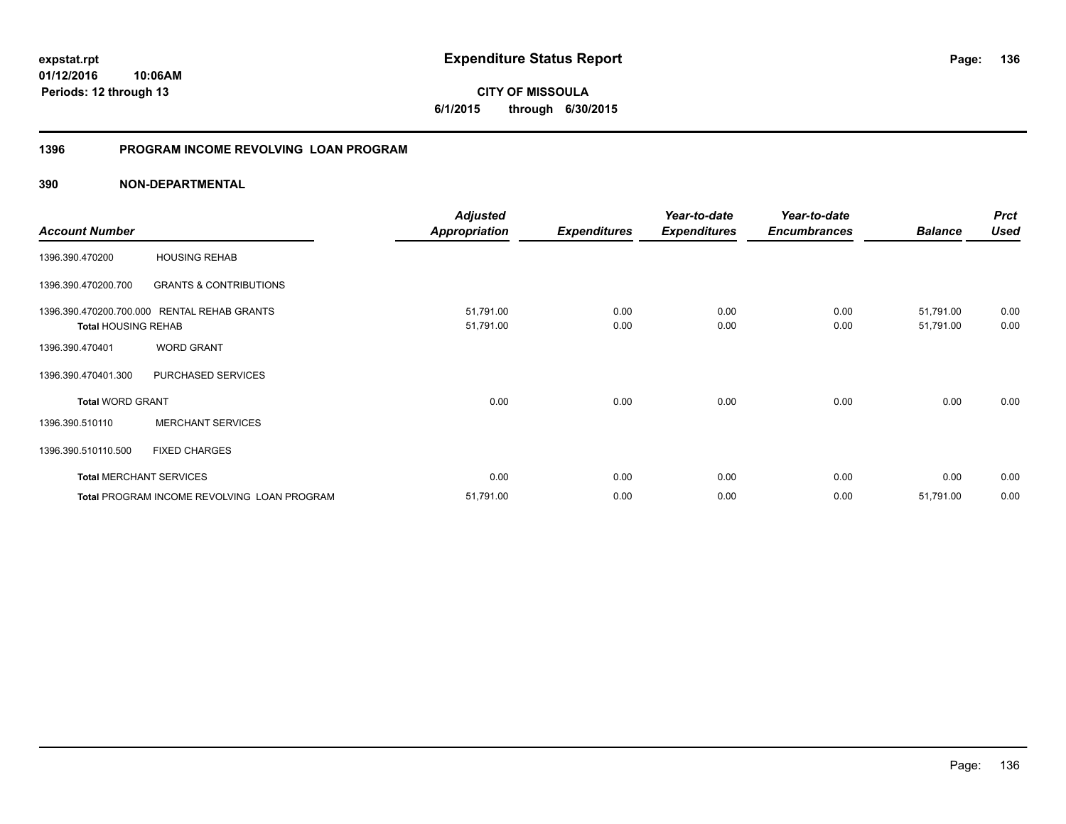**CITY OF MISSOULA 6/1/2015 through 6/30/2015**

#### **1396 PROGRAM INCOME REVOLVING LOAN PROGRAM**

|                                                       |                                             | <b>Adjusted</b>        |                     | Year-to-date        | Year-to-date        |                        | <b>Prct</b>  |
|-------------------------------------------------------|---------------------------------------------|------------------------|---------------------|---------------------|---------------------|------------------------|--------------|
| <b>Account Number</b>                                 |                                             | <b>Appropriation</b>   | <b>Expenditures</b> | <b>Expenditures</b> | <b>Encumbrances</b> | <b>Balance</b>         | <b>Used</b>  |
| 1396.390.470200                                       | <b>HOUSING REHAB</b>                        |                        |                     |                     |                     |                        |              |
| 1396.390.470200.700                                   | <b>GRANTS &amp; CONTRIBUTIONS</b>           |                        |                     |                     |                     |                        |              |
| 1396.390.470200.700.000<br><b>Total HOUSING REHAB</b> | <b>RENTAL REHAB GRANTS</b>                  | 51,791.00<br>51,791.00 | 0.00<br>0.00        | 0.00<br>0.00        | 0.00<br>0.00        | 51,791.00<br>51,791.00 | 0.00<br>0.00 |
| 1396.390.470401                                       | <b>WORD GRANT</b>                           |                        |                     |                     |                     |                        |              |
| 1396.390.470401.300                                   | PURCHASED SERVICES                          |                        |                     |                     |                     |                        |              |
| <b>Total WORD GRANT</b>                               |                                             | 0.00                   | 0.00                | 0.00                | 0.00                | 0.00                   | 0.00         |
| 1396.390.510110                                       | <b>MERCHANT SERVICES</b>                    |                        |                     |                     |                     |                        |              |
| 1396.390.510110.500                                   | <b>FIXED CHARGES</b>                        |                        |                     |                     |                     |                        |              |
| <b>Total MERCHANT SERVICES</b>                        |                                             | 0.00                   | 0.00                | 0.00                | 0.00                | 0.00                   | 0.00         |
|                                                       | Total PROGRAM INCOME REVOLVING LOAN PROGRAM | 51,791.00              | 0.00                | 0.00                | 0.00                | 51,791.00              | 0.00         |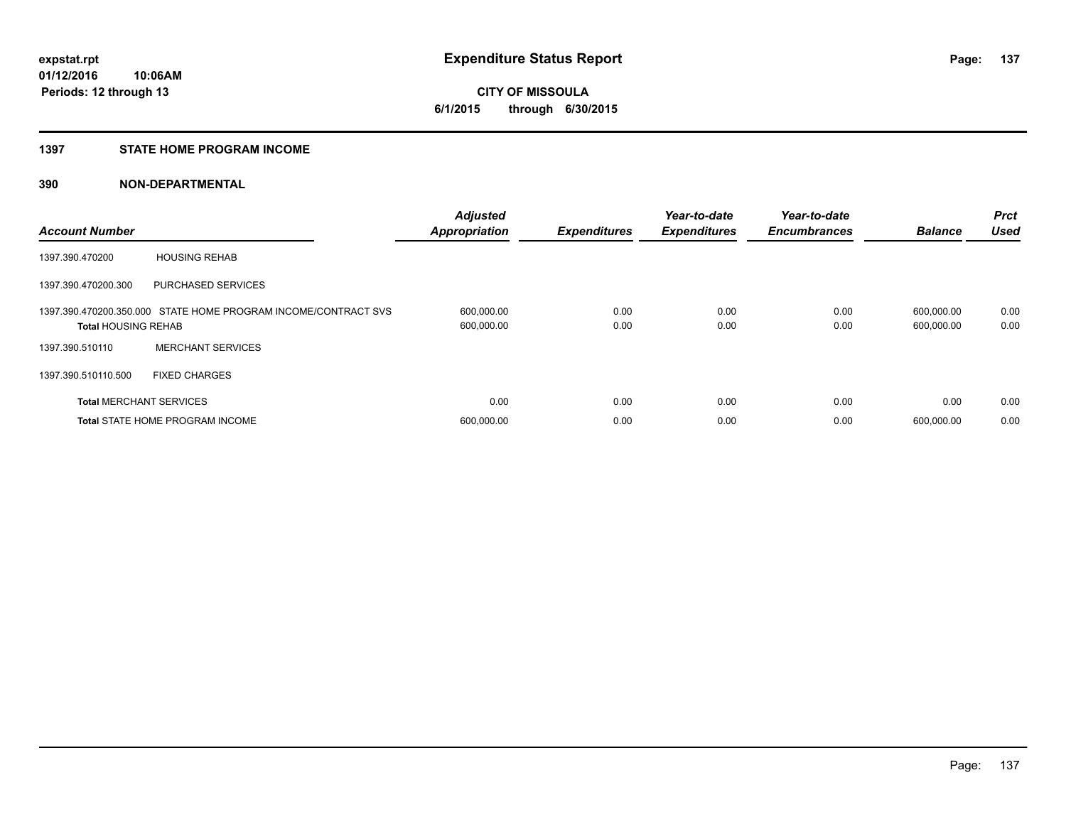#### **1397 STATE HOME PROGRAM INCOME**

| <b>Account Number</b>          |                                                                | <b>Adjusted</b><br><b>Appropriation</b> | <b>Expenditures</b> | Year-to-date<br><b>Expenditures</b> | Year-to-date<br><b>Encumbrances</b> | <b>Balance</b>           | <b>Prct</b><br><b>Used</b> |
|--------------------------------|----------------------------------------------------------------|-----------------------------------------|---------------------|-------------------------------------|-------------------------------------|--------------------------|----------------------------|
| 1397.390.470200                | <b>HOUSING REHAB</b>                                           |                                         |                     |                                     |                                     |                          |                            |
| 1397.390.470200.300            | <b>PURCHASED SERVICES</b>                                      |                                         |                     |                                     |                                     |                          |                            |
| <b>Total HOUSING REHAB</b>     | 1397.390.470200.350.000 STATE HOME PROGRAM INCOME/CONTRACT SVS | 600,000.00<br>600,000.00                | 0.00<br>0.00        | 0.00<br>0.00                        | 0.00<br>0.00                        | 600,000.00<br>600,000.00 | 0.00<br>0.00               |
| 1397.390.510110                | <b>MERCHANT SERVICES</b>                                       |                                         |                     |                                     |                                     |                          |                            |
| 1397.390.510110.500            | <b>FIXED CHARGES</b>                                           |                                         |                     |                                     |                                     |                          |                            |
| <b>Total MERCHANT SERVICES</b> |                                                                | 0.00                                    | 0.00                | 0.00                                | 0.00                                | 0.00                     | 0.00                       |
|                                | <b>Total STATE HOME PROGRAM INCOME</b>                         | 600,000.00                              | 0.00                | 0.00                                | 0.00                                | 600.000.00               | 0.00                       |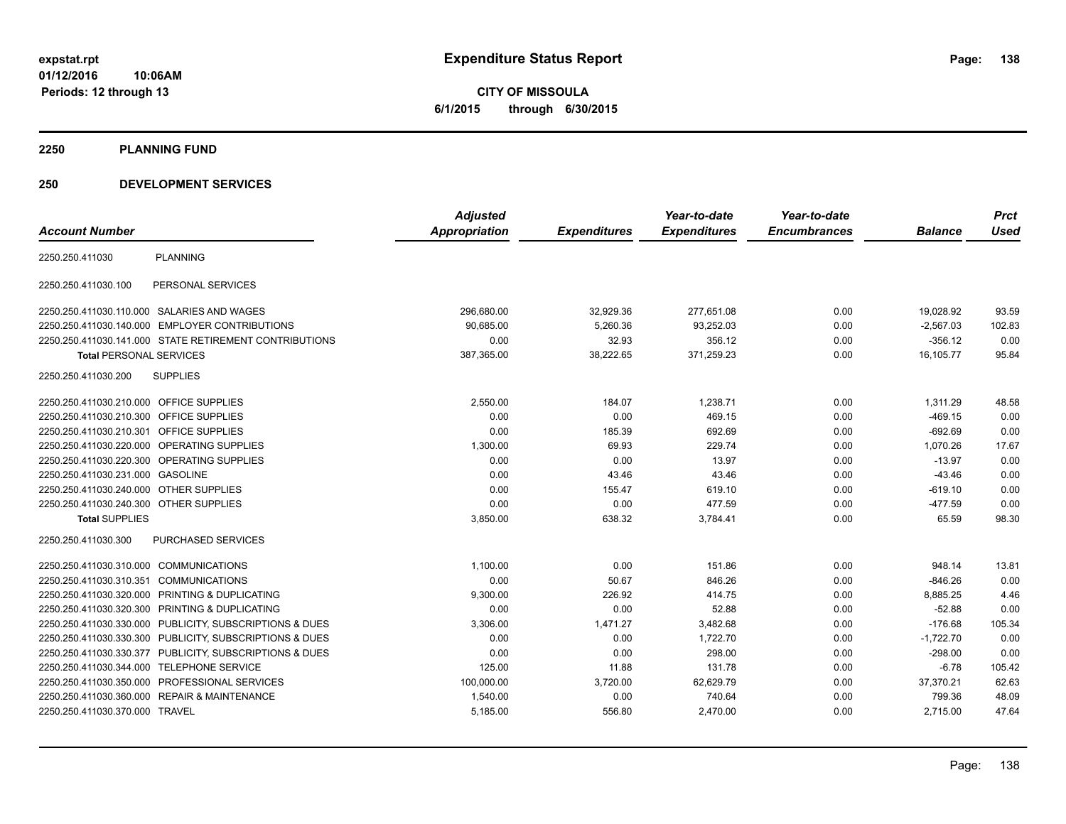**CITY OF MISSOULA 6/1/2015 through 6/30/2015**

**2250 PLANNING FUND**

#### **250 DEVELOPMENT SERVICES**

|                                         |                                                         | <b>Adjusted</b>      |                     | Year-to-date        | Year-to-date        |                | <b>Prct</b> |
|-----------------------------------------|---------------------------------------------------------|----------------------|---------------------|---------------------|---------------------|----------------|-------------|
| <b>Account Number</b>                   |                                                         | <b>Appropriation</b> | <b>Expenditures</b> | <b>Expenditures</b> | <b>Encumbrances</b> | <b>Balance</b> | <b>Used</b> |
| 2250.250.411030                         | <b>PLANNING</b>                                         |                      |                     |                     |                     |                |             |
| 2250.250.411030.100                     | PERSONAL SERVICES                                       |                      |                     |                     |                     |                |             |
|                                         | 2250.250.411030.110.000 SALARIES AND WAGES              | 296,680.00           | 32,929.36           | 277,651.08          | 0.00                | 19,028.92      | 93.59       |
|                                         | 2250.250.411030.140.000 EMPLOYER CONTRIBUTIONS          | 90.685.00            | 5,260.36            | 93,252.03           | 0.00                | $-2,567.03$    | 102.83      |
|                                         | 2250.250.411030.141.000 STATE RETIREMENT CONTRIBUTIONS  | 0.00                 | 32.93               | 356.12              | 0.00                | $-356.12$      | 0.00        |
| <b>Total PERSONAL SERVICES</b>          |                                                         | 387,365.00           | 38,222.65           | 371,259.23          | 0.00                | 16,105.77      | 95.84       |
| 2250.250.411030.200                     | <b>SUPPLIES</b>                                         |                      |                     |                     |                     |                |             |
| 2250.250.411030.210.000 OFFICE SUPPLIES |                                                         | 2,550.00             | 184.07              | 1,238.71            | 0.00                | 1,311.29       | 48.58       |
| 2250.250.411030.210.300 OFFICE SUPPLIES |                                                         | 0.00                 | 0.00                | 469.15              | 0.00                | $-469.15$      | 0.00        |
| 2250.250.411030.210.301 OFFICE SUPPLIES |                                                         | 0.00                 | 185.39              | 692.69              | 0.00                | $-692.69$      | 0.00        |
|                                         | 2250.250.411030.220.000 OPERATING SUPPLIES              | 1,300.00             | 69.93               | 229.74              | 0.00                | 1,070.26       | 17.67       |
|                                         | 2250.250.411030.220.300 OPERATING SUPPLIES              | 0.00                 | 0.00                | 13.97               | 0.00                | $-13.97$       | 0.00        |
| 2250.250.411030.231.000 GASOLINE        |                                                         | 0.00                 | 43.46               | 43.46               | 0.00                | $-43.46$       | 0.00        |
| 2250.250.411030.240.000 OTHER SUPPLIES  |                                                         | 0.00                 | 155.47              | 619.10              | 0.00                | $-619.10$      | 0.00        |
| 2250.250.411030.240.300 OTHER SUPPLIES  |                                                         | 0.00                 | 0.00                | 477.59              | 0.00                | $-477.59$      | 0.00        |
| <b>Total SUPPLIES</b>                   |                                                         | 3,850.00             | 638.32              | 3,784.41            | 0.00                | 65.59          | 98.30       |
| 2250.250.411030.300                     | PURCHASED SERVICES                                      |                      |                     |                     |                     |                |             |
| 2250.250.411030.310.000 COMMUNICATIONS  |                                                         | 1,100.00             | 0.00                | 151.86              | 0.00                | 948.14         | 13.81       |
| 2250.250.411030.310.351                 | <b>COMMUNICATIONS</b>                                   | 0.00                 | 50.67               | 846.26              | 0.00                | $-846.26$      | 0.00        |
| 2250.250.411030.320.000                 | PRINTING & DUPLICATING                                  | 9,300.00             | 226.92              | 414.75              | 0.00                | 8,885.25       | 4.46        |
| 2250.250.411030.320.300                 | PRINTING & DUPLICATING                                  | 0.00                 | 0.00                | 52.88               | 0.00                | $-52.88$       | 0.00        |
|                                         | 2250.250.411030.330.000 PUBLICITY, SUBSCRIPTIONS & DUES | 3,306.00             | 1,471.27            | 3,482.68            | 0.00                | $-176.68$      | 105.34      |
|                                         | 2250.250.411030.330.300 PUBLICITY, SUBSCRIPTIONS & DUES | 0.00                 | 0.00                | 1,722.70            | 0.00                | $-1,722.70$    | 0.00        |
|                                         | 2250.250.411030.330.377 PUBLICITY, SUBSCRIPTIONS & DUES | 0.00                 | 0.00                | 298.00              | 0.00                | $-298.00$      | 0.00        |
| 2250.250.411030.344.000                 | <b>TELEPHONE SERVICE</b>                                | 125.00               | 11.88               | 131.78              | 0.00                | $-6.78$        | 105.42      |
|                                         | 2250.250.411030.350.000 PROFESSIONAL SERVICES           | 100.000.00           | 3,720.00            | 62,629.79           | 0.00                | 37,370.21      | 62.63       |
| 2250.250.411030.360.000                 | <b>REPAIR &amp; MAINTENANCE</b>                         | 1,540.00             | 0.00                | 740.64              | 0.00                | 799.36         | 48.09       |
| 2250.250.411030.370.000 TRAVEL          |                                                         | 5,185.00             | 556.80              | 2,470.00            | 0.00                | 2,715.00       | 47.64       |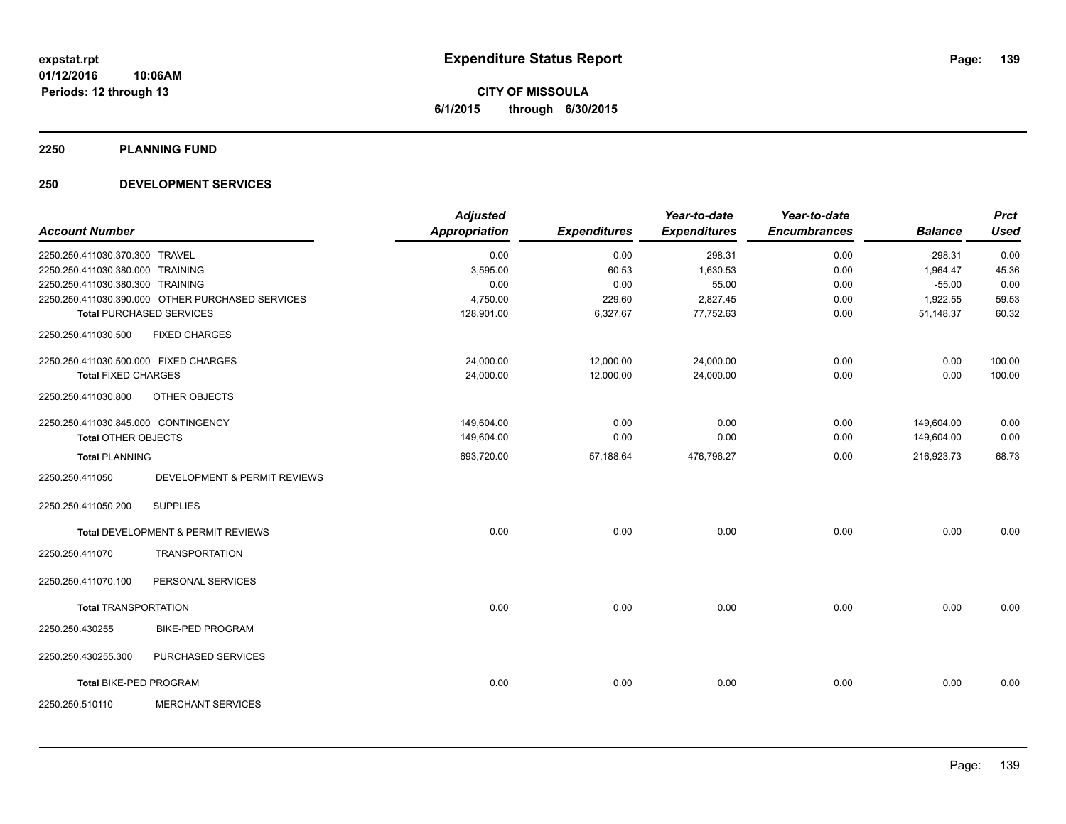**CITY OF MISSOULA 6/1/2015 through 6/30/2015**

#### **2250 PLANNING FUND**

#### **250 DEVELOPMENT SERVICES**

|                                       |                                                  | <b>Adjusted</b>      |                     | Year-to-date        | Year-to-date        |                | <b>Prct</b> |
|---------------------------------------|--------------------------------------------------|----------------------|---------------------|---------------------|---------------------|----------------|-------------|
| <b>Account Number</b>                 |                                                  | <b>Appropriation</b> | <b>Expenditures</b> | <b>Expenditures</b> | <b>Encumbrances</b> | <b>Balance</b> | <b>Used</b> |
| 2250.250.411030.370.300 TRAVEL        |                                                  | 0.00                 | 0.00                | 298.31              | 0.00                | $-298.31$      | 0.00        |
| 2250.250.411030.380.000 TRAINING      |                                                  | 3,595.00             | 60.53               | 1,630.53            | 0.00                | 1,964.47       | 45.36       |
| 2250.250.411030.380.300 TRAINING      |                                                  | 0.00                 | 0.00                | 55.00               | 0.00                | $-55.00$       | 0.00        |
|                                       | 2250.250.411030.390.000 OTHER PURCHASED SERVICES | 4,750.00             | 229.60              | 2,827.45            | 0.00                | 1,922.55       | 59.53       |
|                                       | <b>Total PURCHASED SERVICES</b>                  | 128,901.00           | 6,327.67            | 77,752.63           | 0.00                | 51,148.37      | 60.32       |
| 2250.250.411030.500                   | <b>FIXED CHARGES</b>                             |                      |                     |                     |                     |                |             |
| 2250.250.411030.500.000 FIXED CHARGES |                                                  | 24,000.00            | 12,000.00           | 24,000.00           | 0.00                | 0.00           | 100.00      |
| <b>Total FIXED CHARGES</b>            |                                                  | 24,000.00            | 12,000.00           | 24,000.00           | 0.00                | 0.00           | 100.00      |
| 2250.250.411030.800                   | OTHER OBJECTS                                    |                      |                     |                     |                     |                |             |
| 2250.250.411030.845.000 CONTINGENCY   |                                                  | 149,604.00           | 0.00                | 0.00                | 0.00                | 149,604.00     | 0.00        |
| <b>Total OTHER OBJECTS</b>            |                                                  | 149,604.00           | 0.00                | 0.00                | 0.00                | 149,604.00     | 0.00        |
| <b>Total PLANNING</b>                 |                                                  | 693,720.00           | 57,188.64           | 476,796.27          | 0.00                | 216,923.73     | 68.73       |
| 2250.250.411050                       | DEVELOPMENT & PERMIT REVIEWS                     |                      |                     |                     |                     |                |             |
| 2250.250.411050.200                   | <b>SUPPLIES</b>                                  |                      |                     |                     |                     |                |             |
|                                       | <b>Total DEVELOPMENT &amp; PERMIT REVIEWS</b>    | 0.00                 | 0.00                | 0.00                | 0.00                | 0.00           | 0.00        |
| 2250.250.411070                       | <b>TRANSPORTATION</b>                            |                      |                     |                     |                     |                |             |
| 2250.250.411070.100                   | PERSONAL SERVICES                                |                      |                     |                     |                     |                |             |
| <b>Total TRANSPORTATION</b>           |                                                  | 0.00                 | 0.00                | 0.00                | 0.00                | 0.00           | 0.00        |
| 2250.250.430255                       | <b>BIKE-PED PROGRAM</b>                          |                      |                     |                     |                     |                |             |
| 2250.250.430255.300                   | PURCHASED SERVICES                               |                      |                     |                     |                     |                |             |
| <b>Total BIKE-PED PROGRAM</b>         |                                                  | 0.00                 | 0.00                | 0.00                | 0.00                | 0.00           | 0.00        |
| 2250.250.510110                       | <b>MERCHANT SERVICES</b>                         |                      |                     |                     |                     |                |             |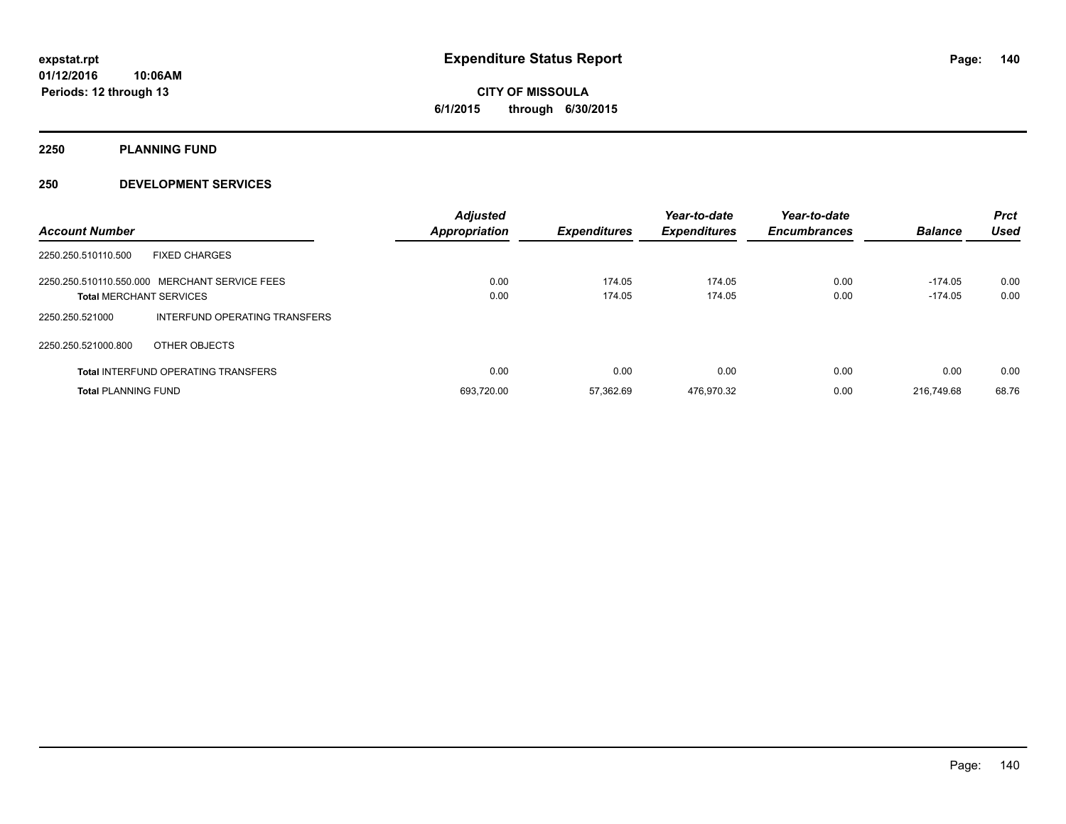**2250 PLANNING FUND**

#### **250 DEVELOPMENT SERVICES**

| <b>Account Number</b>                                                           |                               | <b>Adjusted</b><br><b>Appropriation</b> | <b>Expenditures</b> | Year-to-date<br><b>Expenditures</b> | Year-to-date<br><b>Encumbrances</b> | <b>Balance</b>         | <b>Prct</b><br>Used |
|---------------------------------------------------------------------------------|-------------------------------|-----------------------------------------|---------------------|-------------------------------------|-------------------------------------|------------------------|---------------------|
| <b>FIXED CHARGES</b><br>2250.250.510110.500                                     |                               |                                         |                     |                                     |                                     |                        |                     |
| 2250.250.510110.550.000 MERCHANT SERVICE FEES<br><b>Total MERCHANT SERVICES</b> |                               | 0.00<br>0.00                            | 174.05<br>174.05    | 174.05<br>174.05                    | 0.00<br>0.00                        | $-174.05$<br>$-174.05$ | 0.00<br>0.00        |
| 2250.250.521000                                                                 | INTERFUND OPERATING TRANSFERS |                                         |                     |                                     |                                     |                        |                     |
| 2250.250.521000.800<br>OTHER OBJECTS                                            |                               |                                         |                     |                                     |                                     |                        |                     |
| <b>Total INTERFUND OPERATING TRANSFERS</b>                                      |                               | 0.00                                    | 0.00                | 0.00                                | 0.00                                | 0.00                   | 0.00                |
| <b>Total PLANNING FUND</b>                                                      |                               | 693.720.00                              | 57.362.69           | 476.970.32                          | 0.00                                | 216.749.68             | 68.76               |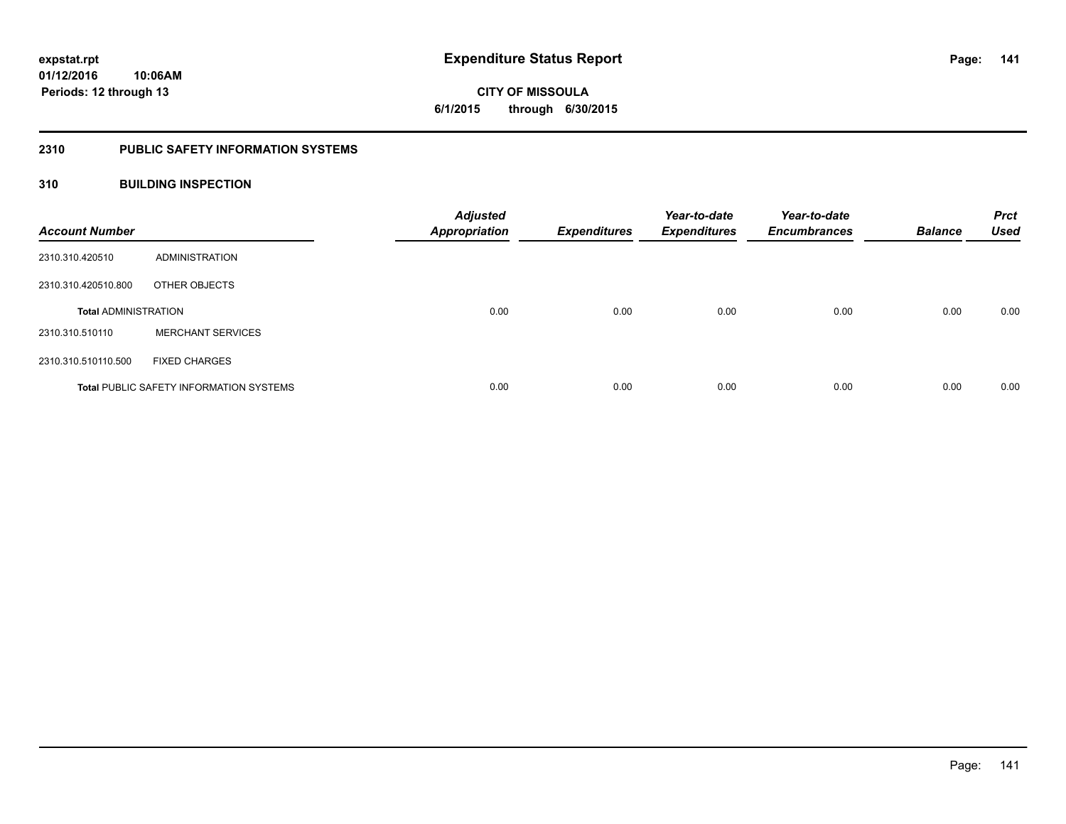**141**

**01/12/2016 10:06AM Periods: 12 through 13**

**CITY OF MISSOULA 6/1/2015 through 6/30/2015**

#### **2310 PUBLIC SAFETY INFORMATION SYSTEMS**

#### **310 BUILDING INSPECTION**

| <b>Account Number</b>       |                                                | <b>Adjusted</b><br><b>Appropriation</b> | <b>Expenditures</b> | Year-to-date<br><b>Expenditures</b> | Year-to-date<br><b>Encumbrances</b> | <b>Balance</b> | <b>Prct</b><br><b>Used</b> |
|-----------------------------|------------------------------------------------|-----------------------------------------|---------------------|-------------------------------------|-------------------------------------|----------------|----------------------------|
| 2310.310.420510             | ADMINISTRATION                                 |                                         |                     |                                     |                                     |                |                            |
| 2310.310.420510.800         | OTHER OBJECTS                                  |                                         |                     |                                     |                                     |                |                            |
| <b>Total ADMINISTRATION</b> |                                                | 0.00                                    | 0.00                | 0.00                                | 0.00                                | 0.00           | 0.00                       |
| 2310.310.510110             | <b>MERCHANT SERVICES</b>                       |                                         |                     |                                     |                                     |                |                            |
| 2310.310.510110.500         | <b>FIXED CHARGES</b>                           |                                         |                     |                                     |                                     |                |                            |
|                             | <b>Total PUBLIC SAFETY INFORMATION SYSTEMS</b> | 0.00                                    | 0.00                | 0.00                                | 0.00                                | 0.00           | 0.00                       |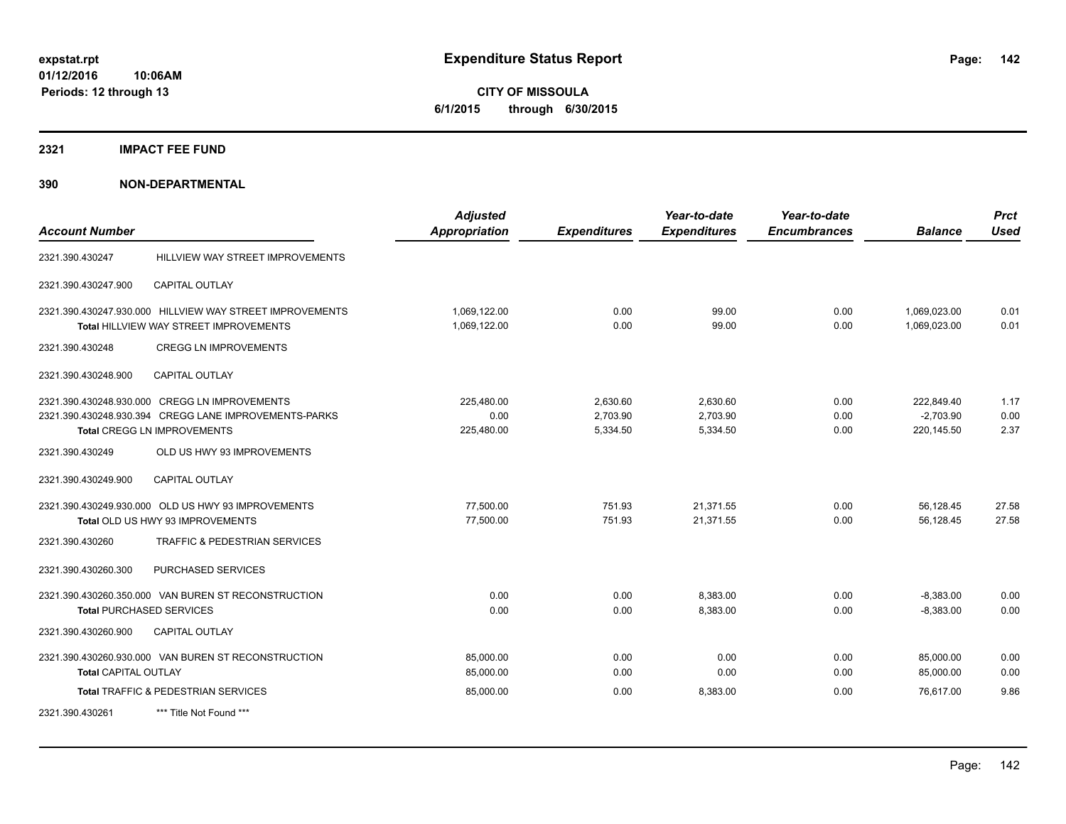**CITY OF MISSOULA 6/1/2015 through 6/30/2015**

#### **2321 IMPACT FEE FUND**

| <b>Account Number</b> |                                                                                                                                              | <b>Adjusted</b><br><b>Appropriation</b> | <b>Expenditures</b>              | Year-to-date<br><b>Expenditures</b> | Year-to-date<br><b>Encumbrances</b> | <b>Balance</b>                          | <b>Prct</b><br><b>Used</b> |
|-----------------------|----------------------------------------------------------------------------------------------------------------------------------------------|-----------------------------------------|----------------------------------|-------------------------------------|-------------------------------------|-----------------------------------------|----------------------------|
| 2321.390.430247       | HILLVIEW WAY STREET IMPROVEMENTS                                                                                                             |                                         |                                  |                                     |                                     |                                         |                            |
| 2321.390.430247.900   | <b>CAPITAL OUTLAY</b>                                                                                                                        |                                         |                                  |                                     |                                     |                                         |                            |
|                       | 2321.390.430247.930.000 HILLVIEW WAY STREET IMPROVEMENTS<br>Total HILLVIEW WAY STREET IMPROVEMENTS                                           | 1,069,122.00<br>1,069,122.00            | 0.00<br>0.00                     | 99.00<br>99.00                      | 0.00<br>0.00                        | 1,069,023.00<br>1,069,023.00            | 0.01<br>0.01               |
| 2321.390.430248       | <b>CREGG LN IMPROVEMENTS</b>                                                                                                                 |                                         |                                  |                                     |                                     |                                         |                            |
| 2321.390.430248.900   | CAPITAL OUTLAY                                                                                                                               |                                         |                                  |                                     |                                     |                                         |                            |
|                       | 2321.390.430248.930.000 CREGG LN IMPROVEMENTS<br>2321.390.430248.930.394 CREGG LANE IMPROVEMENTS-PARKS<br><b>Total CREGG LN IMPROVEMENTS</b> | 225,480.00<br>0.00<br>225,480.00        | 2,630.60<br>2,703.90<br>5,334.50 | 2,630.60<br>2,703.90<br>5,334.50    | 0.00<br>0.00<br>0.00                | 222,849.40<br>$-2,703.90$<br>220,145.50 | 1.17<br>0.00<br>2.37       |
| 2321.390.430249       | OLD US HWY 93 IMPROVEMENTS                                                                                                                   |                                         |                                  |                                     |                                     |                                         |                            |
| 2321.390.430249.900   | <b>CAPITAL OUTLAY</b>                                                                                                                        |                                         |                                  |                                     |                                     |                                         |                            |
|                       | 2321.390.430249.930.000 OLD US HWY 93 IMPROVEMENTS<br>Total OLD US HWY 93 IMPROVEMENTS                                                       | 77,500.00<br>77,500.00                  | 751.93<br>751.93                 | 21,371.55<br>21,371.55              | 0.00<br>0.00                        | 56,128.45<br>56,128.45                  | 27.58<br>27.58             |
| 2321.390.430260       | <b>TRAFFIC &amp; PEDESTRIAN SERVICES</b>                                                                                                     |                                         |                                  |                                     |                                     |                                         |                            |
| 2321.390.430260.300   | PURCHASED SERVICES                                                                                                                           |                                         |                                  |                                     |                                     |                                         |                            |
|                       | 2321.390.430260.350.000 VAN BUREN ST RECONSTRUCTION<br><b>Total PURCHASED SERVICES</b>                                                       | 0.00<br>0.00                            | 0.00<br>0.00                     | 8,383.00<br>8,383.00                | 0.00<br>0.00                        | $-8,383.00$<br>$-8,383.00$              | 0.00<br>0.00               |
| 2321.390.430260.900   | <b>CAPITAL OUTLAY</b>                                                                                                                        |                                         |                                  |                                     |                                     |                                         |                            |
| Total CAPITAL OUTLAY  | 2321.390.430260.930.000 VAN BUREN ST RECONSTRUCTION                                                                                          | 85,000.00<br>85,000.00                  | 0.00<br>0.00                     | 0.00<br>0.00                        | 0.00<br>0.00                        | 85,000.00<br>85,000.00                  | 0.00<br>0.00               |
|                       | Total TRAFFIC & PEDESTRIAN SERVICES                                                                                                          | 85,000.00                               | 0.00                             | 8,383.00                            | 0.00                                | 76.617.00                               | 9.86                       |
| 2321.390.430261       | *** Title Not Found ***                                                                                                                      |                                         |                                  |                                     |                                     |                                         |                            |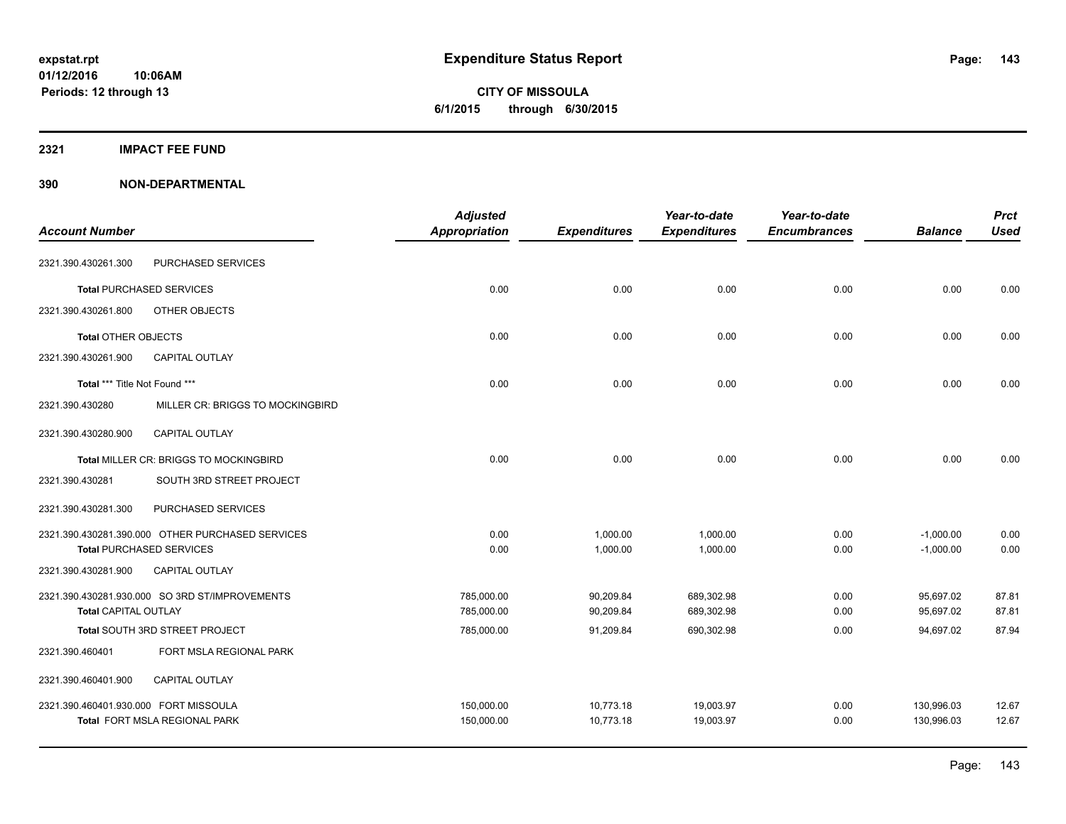#### **2321 IMPACT FEE FUND**

|                                       |                                                  | <b>Adjusted</b>      |                     | Year-to-date        | Year-to-date        |                | <b>Prct</b> |
|---------------------------------------|--------------------------------------------------|----------------------|---------------------|---------------------|---------------------|----------------|-------------|
| <b>Account Number</b>                 |                                                  | <b>Appropriation</b> | <b>Expenditures</b> | <b>Expenditures</b> | <b>Encumbrances</b> | <b>Balance</b> | <b>Used</b> |
| 2321.390.430261.300                   | PURCHASED SERVICES                               |                      |                     |                     |                     |                |             |
|                                       | <b>Total PURCHASED SERVICES</b>                  | 0.00                 | 0.00                | 0.00                | 0.00                | 0.00           | 0.00        |
| 2321.390.430261.800                   | OTHER OBJECTS                                    |                      |                     |                     |                     |                |             |
| <b>Total OTHER OBJECTS</b>            |                                                  | 0.00                 | 0.00                | 0.00                | 0.00                | 0.00           | 0.00        |
| 2321.390.430261.900                   | <b>CAPITAL OUTLAY</b>                            |                      |                     |                     |                     |                |             |
| Total *** Title Not Found ***         |                                                  | 0.00                 | 0.00                | 0.00                | 0.00                | 0.00           | 0.00        |
| 2321.390.430280                       | MILLER CR: BRIGGS TO MOCKINGBIRD                 |                      |                     |                     |                     |                |             |
| 2321.390.430280.900                   | <b>CAPITAL OUTLAY</b>                            |                      |                     |                     |                     |                |             |
|                                       | Total MILLER CR: BRIGGS TO MOCKINGBIRD           | 0.00                 | 0.00                | 0.00                | 0.00                | 0.00           | 0.00        |
| 2321.390.430281                       | SOUTH 3RD STREET PROJECT                         |                      |                     |                     |                     |                |             |
| 2321.390.430281.300                   | PURCHASED SERVICES                               |                      |                     |                     |                     |                |             |
|                                       | 2321.390.430281.390.000 OTHER PURCHASED SERVICES | 0.00                 | 1,000.00            | 1,000.00            | 0.00                | $-1,000.00$    | 0.00        |
|                                       | <b>Total PURCHASED SERVICES</b>                  | 0.00                 | 1,000.00            | 1,000.00            | 0.00                | $-1,000.00$    | 0.00        |
| 2321.390.430281.900                   | <b>CAPITAL OUTLAY</b>                            |                      |                     |                     |                     |                |             |
|                                       | 2321.390.430281.930.000 SO 3RD ST/IMPROVEMENTS   | 785,000.00           | 90,209.84           | 689,302.98          | 0.00                | 95,697.02      | 87.81       |
| <b>Total CAPITAL OUTLAY</b>           |                                                  | 785,000.00           | 90,209.84           | 689,302.98          | 0.00                | 95,697.02      | 87.81       |
|                                       | Total SOUTH 3RD STREET PROJECT                   | 785,000.00           | 91,209.84           | 690,302.98          | 0.00                | 94,697.02      | 87.94       |
| 2321.390.460401                       | FORT MSLA REGIONAL PARK                          |                      |                     |                     |                     |                |             |
| 2321.390.460401.900                   | <b>CAPITAL OUTLAY</b>                            |                      |                     |                     |                     |                |             |
| 2321.390.460401.930.000 FORT MISSOULA |                                                  | 150,000.00           | 10,773.18           | 19,003.97           | 0.00                | 130,996.03     | 12.67       |
|                                       | Total FORT MSLA REGIONAL PARK                    | 150,000.00           | 10,773.18           | 19,003.97           | 0.00                | 130,996.03     | 12.67       |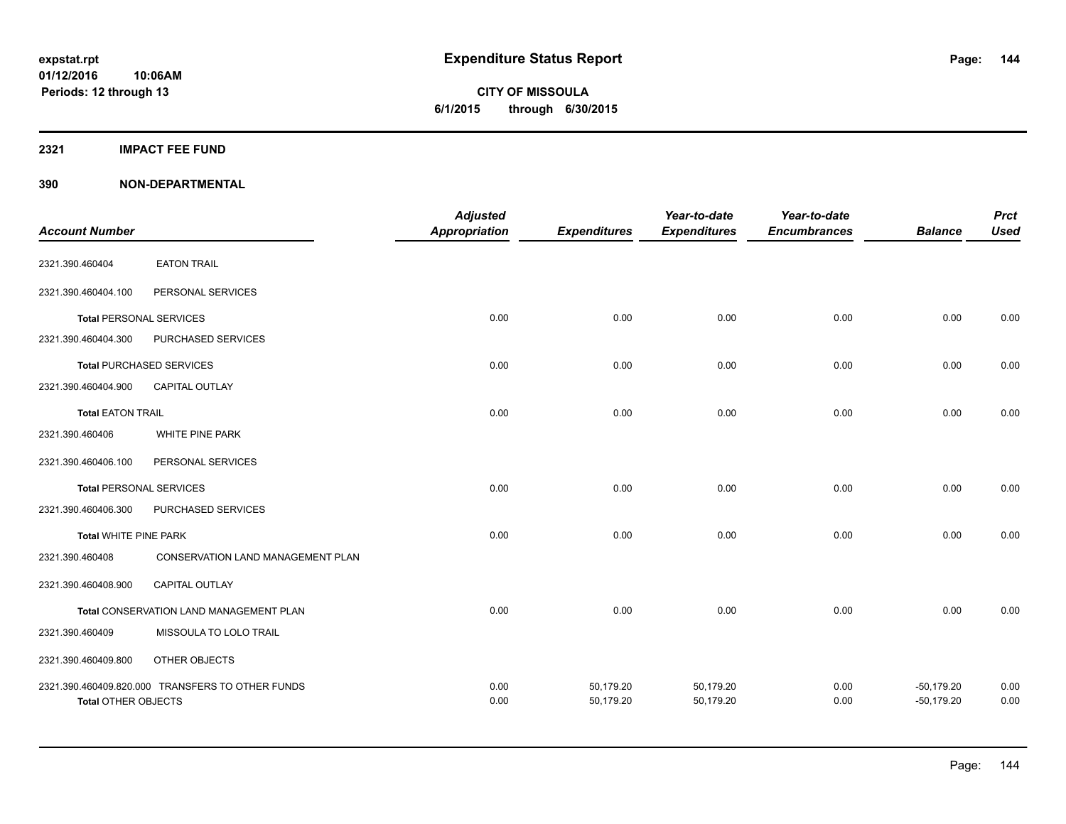#### **2321 IMPACT FEE FUND**

| <b>Account Number</b>          |                                                  | <b>Adjusted</b><br>Appropriation | <b>Expenditures</b>    | Year-to-date<br><b>Expenditures</b> | Year-to-date<br><b>Encumbrances</b> | <b>Balance</b>               | <b>Prct</b><br><b>Used</b> |
|--------------------------------|--------------------------------------------------|----------------------------------|------------------------|-------------------------------------|-------------------------------------|------------------------------|----------------------------|
| 2321.390.460404                | <b>EATON TRAIL</b>                               |                                  |                        |                                     |                                     |                              |                            |
| 2321.390.460404.100            | PERSONAL SERVICES                                |                                  |                        |                                     |                                     |                              |                            |
| <b>Total PERSONAL SERVICES</b> |                                                  | 0.00                             | 0.00                   | 0.00                                | 0.00                                | 0.00                         | 0.00                       |
| 2321.390.460404.300            | PURCHASED SERVICES                               |                                  |                        |                                     |                                     |                              |                            |
|                                | <b>Total PURCHASED SERVICES</b>                  | 0.00                             | 0.00                   | 0.00                                | 0.00                                | 0.00                         | 0.00                       |
| 2321.390.460404.900            | <b>CAPITAL OUTLAY</b>                            |                                  |                        |                                     |                                     |                              |                            |
| <b>Total EATON TRAIL</b>       |                                                  | 0.00                             | 0.00                   | 0.00                                | 0.00                                | 0.00                         | 0.00                       |
| 2321.390.460406                | WHITE PINE PARK                                  |                                  |                        |                                     |                                     |                              |                            |
| 2321.390.460406.100            | PERSONAL SERVICES                                |                                  |                        |                                     |                                     |                              |                            |
| <b>Total PERSONAL SERVICES</b> |                                                  | 0.00                             | 0.00                   | 0.00                                | 0.00                                | 0.00                         | 0.00                       |
| 2321.390.460406.300            | PURCHASED SERVICES                               |                                  |                        |                                     |                                     |                              |                            |
| <b>Total WHITE PINE PARK</b>   |                                                  | 0.00                             | 0.00                   | 0.00                                | 0.00                                | 0.00                         | 0.00                       |
| 2321.390.460408                | CONSERVATION LAND MANAGEMENT PLAN                |                                  |                        |                                     |                                     |                              |                            |
| 2321.390.460408.900            | <b>CAPITAL OUTLAY</b>                            |                                  |                        |                                     |                                     |                              |                            |
|                                | Total CONSERVATION LAND MANAGEMENT PLAN          | 0.00                             | 0.00                   | 0.00                                | 0.00                                | 0.00                         | 0.00                       |
| 2321.390.460409                | MISSOULA TO LOLO TRAIL                           |                                  |                        |                                     |                                     |                              |                            |
| 2321.390.460409.800            | OTHER OBJECTS                                    |                                  |                        |                                     |                                     |                              |                            |
| <b>Total OTHER OBJECTS</b>     | 2321.390.460409.820.000 TRANSFERS TO OTHER FUNDS | 0.00<br>0.00                     | 50,179.20<br>50,179.20 | 50,179.20<br>50,179.20              | 0.00<br>0.00                        | $-50,179.20$<br>$-50,179.20$ | 0.00<br>0.00               |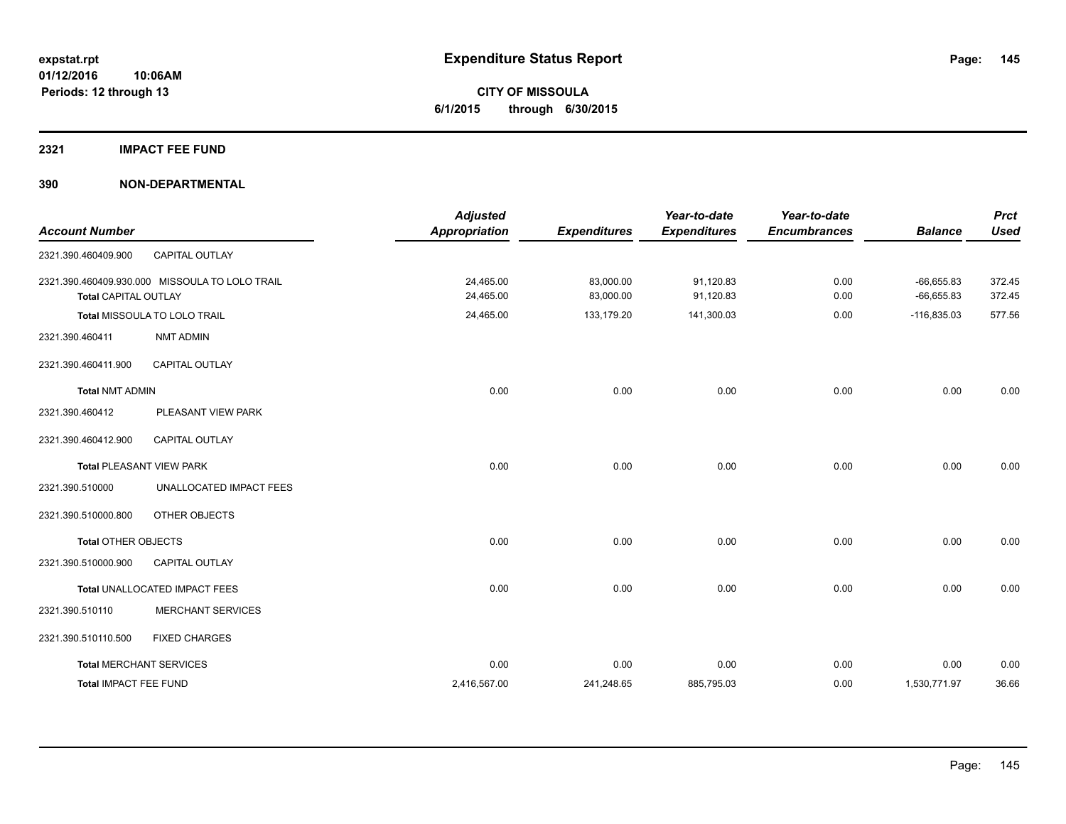**Periods: 12 through 13**

**CITY OF MISSOULA 6/1/2015 through 6/30/2015**

**2321 IMPACT FEE FUND**

**390 NON-DEPARTMENTAL**

**10:06AM**

| <b>Account Number</b>           |                                                | <b>Adjusted</b><br>Appropriation | <b>Expenditures</b>    | Year-to-date<br><b>Expenditures</b> | Year-to-date<br><b>Encumbrances</b> | <b>Balance</b>               | <b>Prct</b><br><b>Used</b> |
|---------------------------------|------------------------------------------------|----------------------------------|------------------------|-------------------------------------|-------------------------------------|------------------------------|----------------------------|
| 2321.390.460409.900             | <b>CAPITAL OUTLAY</b>                          |                                  |                        |                                     |                                     |                              |                            |
| <b>Total CAPITAL OUTLAY</b>     | 2321.390.460409.930.000 MISSOULA TO LOLO TRAIL | 24,465.00<br>24,465.00           | 83,000.00<br>83,000.00 | 91,120.83<br>91,120.83              | 0.00<br>0.00                        | $-66,655.83$<br>$-66,655.83$ | 372.45<br>372.45           |
|                                 | Total MISSOULA TO LOLO TRAIL                   | 24,465.00                        | 133,179.20             | 141,300.03                          | 0.00                                | $-116,835.03$                | 577.56                     |
| 2321.390.460411                 | <b>NMT ADMIN</b>                               |                                  |                        |                                     |                                     |                              |                            |
| 2321.390.460411.900             | <b>CAPITAL OUTLAY</b>                          |                                  |                        |                                     |                                     |                              |                            |
| <b>Total NMT ADMIN</b>          |                                                | 0.00                             | 0.00                   | 0.00                                | 0.00                                | 0.00                         | 0.00                       |
| 2321.390.460412                 | PLEASANT VIEW PARK                             |                                  |                        |                                     |                                     |                              |                            |
| 2321.390.460412.900             | CAPITAL OUTLAY                                 |                                  |                        |                                     |                                     |                              |                            |
| <b>Total PLEASANT VIEW PARK</b> |                                                | 0.00                             | 0.00                   | 0.00                                | 0.00                                | 0.00                         | 0.00                       |
| 2321.390.510000                 | UNALLOCATED IMPACT FEES                        |                                  |                        |                                     |                                     |                              |                            |
| 2321.390.510000.800             | OTHER OBJECTS                                  |                                  |                        |                                     |                                     |                              |                            |
| <b>Total OTHER OBJECTS</b>      |                                                | 0.00                             | 0.00                   | 0.00                                | 0.00                                | 0.00                         | 0.00                       |
| 2321.390.510000.900             | <b>CAPITAL OUTLAY</b>                          |                                  |                        |                                     |                                     |                              |                            |
|                                 | Total UNALLOCATED IMPACT FEES                  | 0.00                             | 0.00                   | 0.00                                | 0.00                                | 0.00                         | 0.00                       |
| 2321.390.510110                 | <b>MERCHANT SERVICES</b>                       |                                  |                        |                                     |                                     |                              |                            |
| 2321.390.510110.500             | <b>FIXED CHARGES</b>                           |                                  |                        |                                     |                                     |                              |                            |
| <b>Total MERCHANT SERVICES</b>  |                                                | 0.00                             | 0.00                   | 0.00                                | 0.00                                | 0.00                         | 0.00                       |
| <b>Total IMPACT FEE FUND</b>    |                                                | 2,416,567.00                     | 241,248.65             | 885,795.03                          | 0.00                                | 1,530,771.97                 | 36.66                      |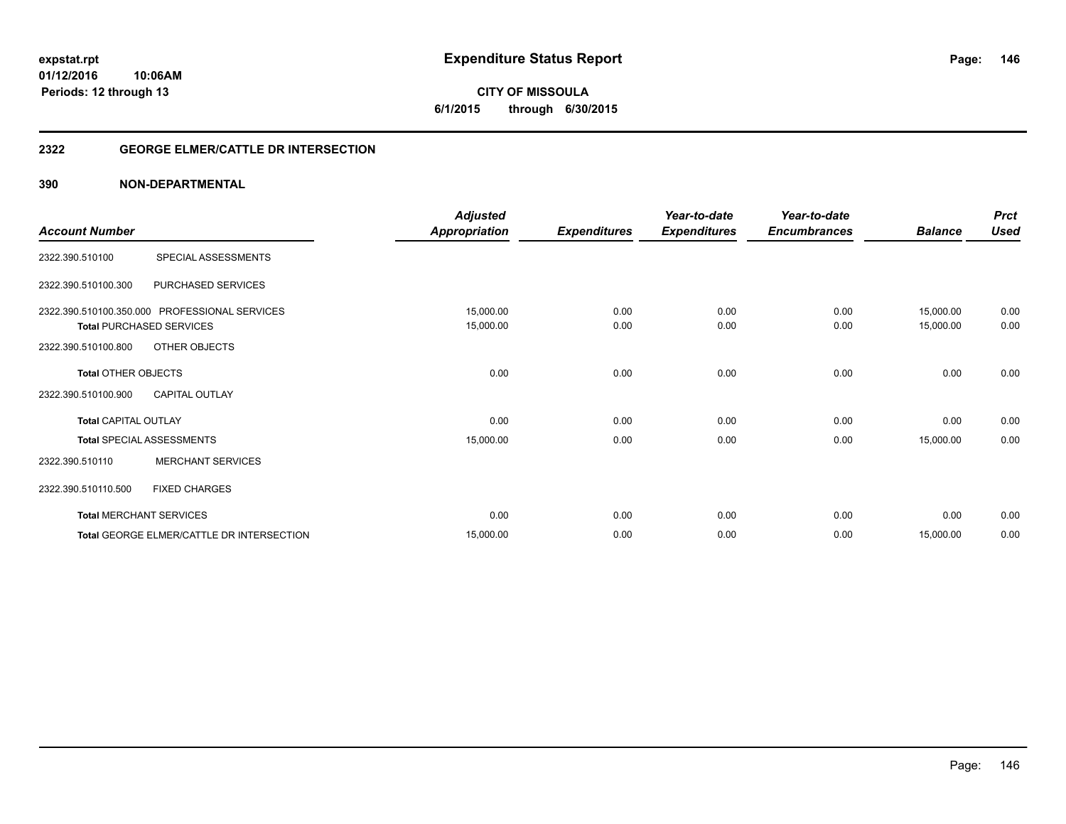**146**

**01/12/2016 10:06AM Periods: 12 through 13**

**CITY OF MISSOULA 6/1/2015 through 6/30/2015**

# **2322 GEORGE ELMER/CATTLE DR INTERSECTION**

|                             |                                               | <b>Adjusted</b>      |                     | Year-to-date        | Year-to-date        |                | <b>Prct</b> |
|-----------------------------|-----------------------------------------------|----------------------|---------------------|---------------------|---------------------|----------------|-------------|
| <b>Account Number</b>       |                                               | <b>Appropriation</b> | <b>Expenditures</b> | <b>Expenditures</b> | <b>Encumbrances</b> | <b>Balance</b> | <b>Used</b> |
| 2322.390.510100             | SPECIAL ASSESSMENTS                           |                      |                     |                     |                     |                |             |
| 2322.390.510100.300         | PURCHASED SERVICES                            |                      |                     |                     |                     |                |             |
|                             | 2322.390.510100.350.000 PROFESSIONAL SERVICES | 15,000.00            | 0.00                | 0.00                | 0.00                | 15,000.00      | 0.00        |
|                             | <b>Total PURCHASED SERVICES</b>               | 15,000.00            | 0.00                | 0.00                | 0.00                | 15,000.00      | 0.00        |
| 2322.390.510100.800         | OTHER OBJECTS                                 |                      |                     |                     |                     |                |             |
| <b>Total OTHER OBJECTS</b>  |                                               | 0.00                 | 0.00                | 0.00                | 0.00                | 0.00           | 0.00        |
| 2322.390.510100.900         | <b>CAPITAL OUTLAY</b>                         |                      |                     |                     |                     |                |             |
| <b>Total CAPITAL OUTLAY</b> |                                               | 0.00                 | 0.00                | 0.00                | 0.00                | 0.00           | 0.00        |
|                             | <b>Total SPECIAL ASSESSMENTS</b>              | 15,000.00            | 0.00                | 0.00                | 0.00                | 15,000.00      | 0.00        |
| 2322.390.510110             | <b>MERCHANT SERVICES</b>                      |                      |                     |                     |                     |                |             |
| 2322.390.510110.500         | <b>FIXED CHARGES</b>                          |                      |                     |                     |                     |                |             |
|                             | <b>Total MERCHANT SERVICES</b>                | 0.00                 | 0.00                | 0.00                | 0.00                | 0.00           | 0.00        |
|                             | Total GEORGE ELMER/CATTLE DR INTERSECTION     | 15,000.00            | 0.00                | 0.00                | 0.00                | 15,000.00      | 0.00        |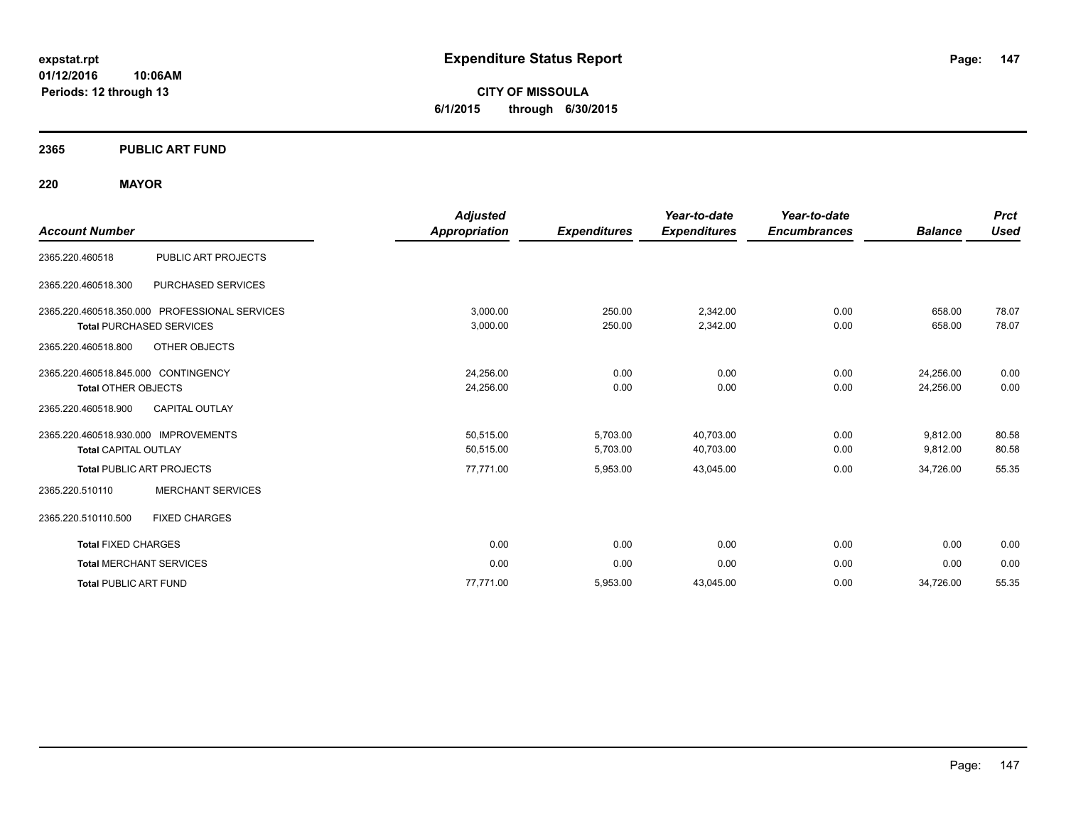**CITY OF MISSOULA 6/1/2015 through 6/30/2015**

# **2365 PUBLIC ART FUND**

# **220 MAYOR**

|                                               | <b>Adjusted</b>      |                     | Year-to-date        | Year-to-date        |                | <b>Prct</b> |
|-----------------------------------------------|----------------------|---------------------|---------------------|---------------------|----------------|-------------|
| <b>Account Number</b>                         | <b>Appropriation</b> | <b>Expenditures</b> | <b>Expenditures</b> | <b>Encumbrances</b> | <b>Balance</b> | Used        |
| PUBLIC ART PROJECTS<br>2365.220.460518        |                      |                     |                     |                     |                |             |
| PURCHASED SERVICES<br>2365.220.460518.300     |                      |                     |                     |                     |                |             |
| 2365.220.460518.350.000 PROFESSIONAL SERVICES | 3.000.00             | 250.00              | 2,342.00            | 0.00                | 658.00         | 78.07       |
| <b>Total PURCHASED SERVICES</b>               | 3,000.00             | 250.00              | 2,342.00            | 0.00                | 658.00         | 78.07       |
| OTHER OBJECTS<br>2365.220.460518.800          |                      |                     |                     |                     |                |             |
| 2365.220.460518.845.000 CONTINGENCY           | 24.256.00            | 0.00                | 0.00                | 0.00                | 24.256.00      | 0.00        |
| <b>Total OTHER OBJECTS</b>                    | 24,256.00            | 0.00                | 0.00                | 0.00                | 24,256.00      | 0.00        |
| <b>CAPITAL OUTLAY</b><br>2365.220.460518.900  |                      |                     |                     |                     |                |             |
| 2365.220.460518.930.000 IMPROVEMENTS          | 50.515.00            | 5,703.00            | 40.703.00           | 0.00                | 9,812.00       | 80.58       |
| <b>Total CAPITAL OUTLAY</b>                   | 50,515.00            | 5,703.00            | 40,703.00           | 0.00                | 9,812.00       | 80.58       |
| <b>Total PUBLIC ART PROJECTS</b>              | 77,771.00            | 5,953.00            | 43,045.00           | 0.00                | 34,726.00      | 55.35       |
| 2365.220.510110<br><b>MERCHANT SERVICES</b>   |                      |                     |                     |                     |                |             |
| <b>FIXED CHARGES</b><br>2365.220.510110.500   |                      |                     |                     |                     |                |             |
| <b>Total FIXED CHARGES</b>                    | 0.00                 | 0.00                | 0.00                | 0.00                | 0.00           | 0.00        |
| <b>Total MERCHANT SERVICES</b>                | 0.00                 | 0.00                | 0.00                | 0.00                | 0.00           | 0.00        |
| <b>Total PUBLIC ART FUND</b>                  | 77,771.00            | 5,953.00            | 43,045.00           | 0.00                | 34,726.00      | 55.35       |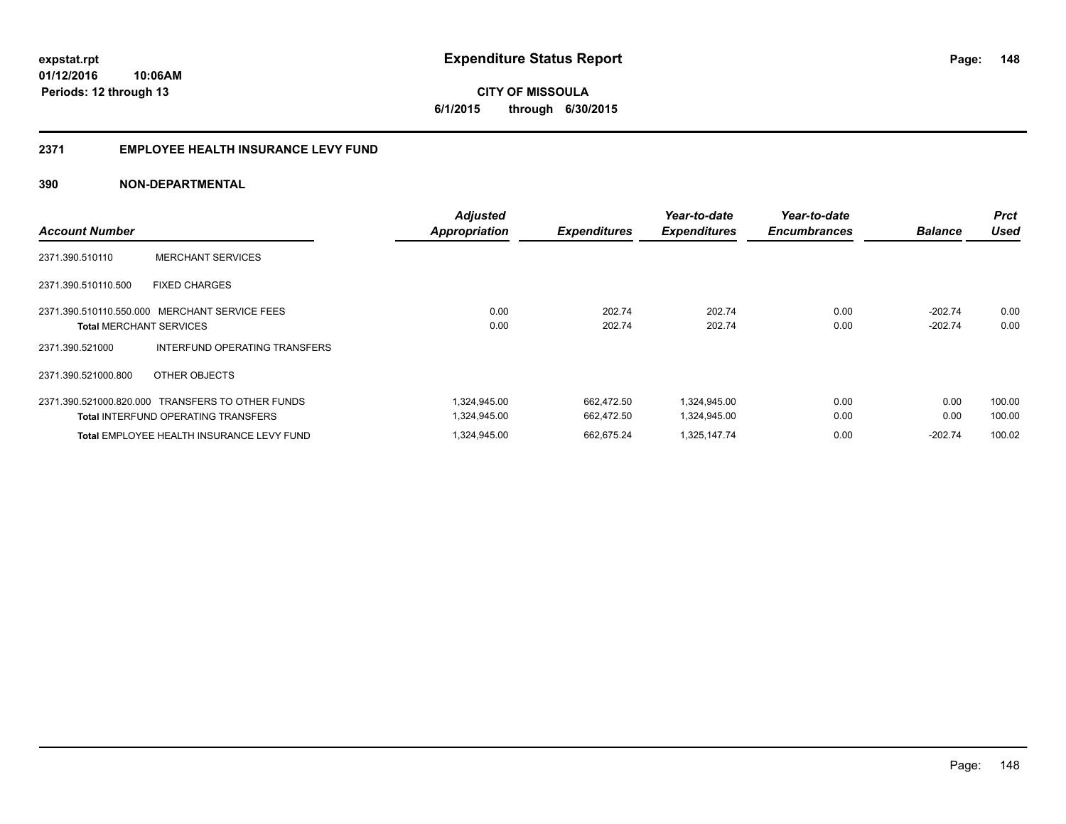**148**

**01/12/2016 10:06AM Periods: 12 through 13**

**CITY OF MISSOULA 6/1/2015 through 6/30/2015**

# **2371 EMPLOYEE HEALTH INSURANCE LEVY FUND**

| <b>Account Number</b>          |                                                  | <b>Adjusted</b><br><b>Appropriation</b> | <b>Expenditures</b> | Year-to-date<br><b>Expenditures</b> | Year-to-date<br><b>Encumbrances</b> | <b>Balance</b> | <b>Prct</b><br><b>Used</b> |
|--------------------------------|--------------------------------------------------|-----------------------------------------|---------------------|-------------------------------------|-------------------------------------|----------------|----------------------------|
|                                |                                                  |                                         |                     |                                     |                                     |                |                            |
| 2371.390.510110                | <b>MERCHANT SERVICES</b>                         |                                         |                     |                                     |                                     |                |                            |
| 2371.390.510110.500            | <b>FIXED CHARGES</b>                             |                                         |                     |                                     |                                     |                |                            |
|                                | 2371.390.510110.550.000 MERCHANT SERVICE FEES    | 0.00                                    | 202.74              | 202.74                              | 0.00                                | $-202.74$      | 0.00                       |
| <b>Total MERCHANT SERVICES</b> |                                                  | 0.00                                    | 202.74              | 202.74                              | 0.00                                | $-202.74$      | 0.00                       |
| 2371.390.521000                | INTERFUND OPERATING TRANSFERS                    |                                         |                     |                                     |                                     |                |                            |
| 2371.390.521000.800            | OTHER OBJECTS                                    |                                         |                     |                                     |                                     |                |                            |
|                                | 2371.390.521000.820.000 TRANSFERS TO OTHER FUNDS | 1.324.945.00                            | 662.472.50          | 1.324.945.00                        | 0.00                                | 0.00           | 100.00                     |
|                                | <b>Total INTERFUND OPERATING TRANSFERS</b>       | 1.324.945.00                            | 662.472.50          | 1.324.945.00                        | 0.00                                | 0.00           | 100.00                     |
|                                | Total EMPLOYEE HEALTH INSURANCE LEVY FUND        | 1,324,945.00                            | 662.675.24          | 1,325,147.74                        | 0.00                                | $-202.74$      | 100.02                     |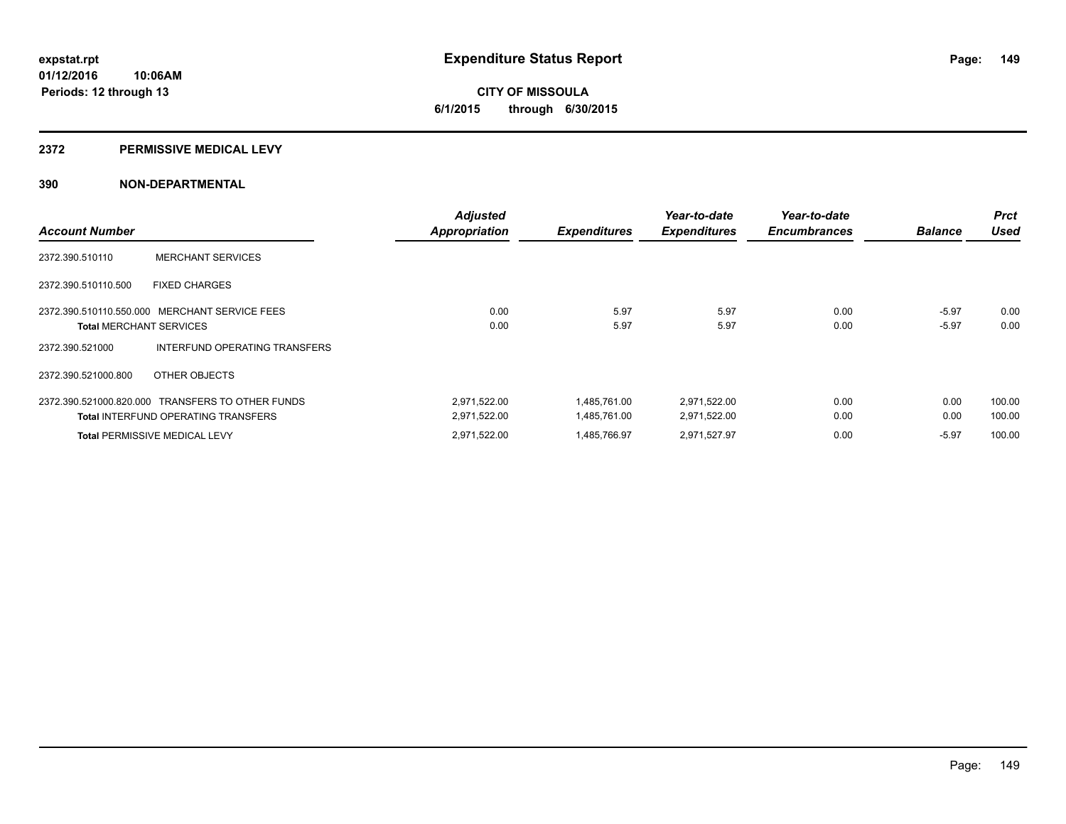**Periods: 12 through 13**

# **CITY OF MISSOULA 6/1/2015 through 6/30/2015**

#### **2372 PERMISSIVE MEDICAL LEVY**

**10:06AM**

|                                |                                                  | Adjusted      |                     | Year-to-date        | Year-to-date        |                | <b>Prct</b> |
|--------------------------------|--------------------------------------------------|---------------|---------------------|---------------------|---------------------|----------------|-------------|
| <b>Account Number</b>          |                                                  | Appropriation | <b>Expenditures</b> | <b>Expenditures</b> | <b>Encumbrances</b> | <b>Balance</b> | <b>Used</b> |
| 2372.390.510110                | <b>MERCHANT SERVICES</b>                         |               |                     |                     |                     |                |             |
| 2372.390.510110.500            | <b>FIXED CHARGES</b>                             |               |                     |                     |                     |                |             |
|                                | 2372.390.510110.550.000 MERCHANT SERVICE FEES    | 0.00          | 5.97                | 5.97                | 0.00                | $-5.97$        | 0.00        |
| <b>Total MERCHANT SERVICES</b> |                                                  | 0.00          | 5.97                | 5.97                | 0.00                | $-5.97$        | 0.00        |
| 2372.390.521000                | INTERFUND OPERATING TRANSFERS                    |               |                     |                     |                     |                |             |
| 2372.390.521000.800            | OTHER OBJECTS                                    |               |                     |                     |                     |                |             |
|                                | 2372.390.521000.820.000 TRANSFERS TO OTHER FUNDS | 2,971,522.00  | 1,485,761.00        | 2,971,522.00        | 0.00                | 0.00           | 100.00      |
|                                | <b>Total INTERFUND OPERATING TRANSFERS</b>       | 2,971,522.00  | 1,485,761.00        | 2,971,522.00        | 0.00                | 0.00           | 100.00      |
|                                | <b>Total PERMISSIVE MEDICAL LEVY</b>             | 2,971,522.00  | 1.485.766.97        | 2,971,527.97        | 0.00                | $-5.97$        | 100.00      |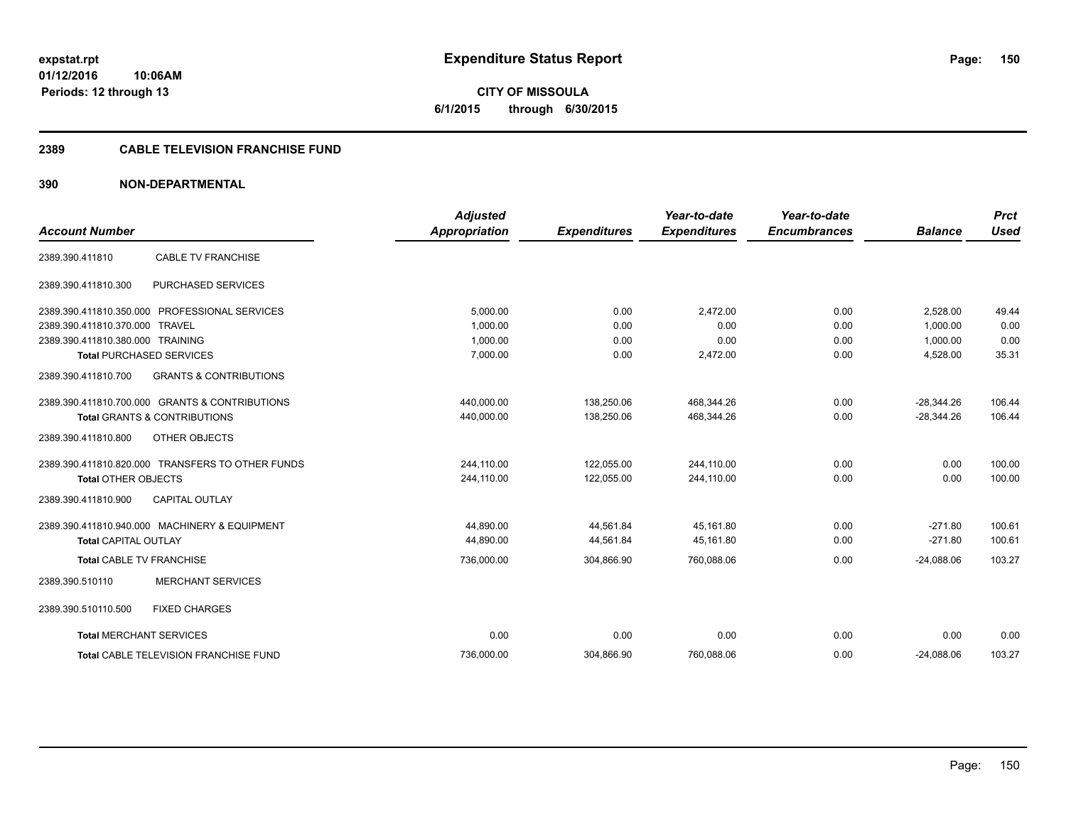**CITY OF MISSOULA 6/1/2015 through 6/30/2015**

#### **2389 CABLE TELEVISION FRANCHISE FUND**

| <b>Account Number</b>            |                                                  | <b>Adjusted</b>      |                     | Year-to-date        | Year-to-date<br><b>Encumbrances</b> | <b>Balance</b> | <b>Prct</b><br><b>Used</b> |
|----------------------------------|--------------------------------------------------|----------------------|---------------------|---------------------|-------------------------------------|----------------|----------------------------|
|                                  |                                                  | <b>Appropriation</b> | <b>Expenditures</b> | <b>Expenditures</b> |                                     |                |                            |
| 2389.390.411810                  | <b>CABLE TV FRANCHISE</b>                        |                      |                     |                     |                                     |                |                            |
| 2389.390.411810.300              | PURCHASED SERVICES                               |                      |                     |                     |                                     |                |                            |
|                                  | 2389.390.411810.350.000 PROFESSIONAL SERVICES    | 5,000.00             | 0.00                | 2,472.00            | 0.00                                | 2,528.00       | 49.44                      |
| 2389.390.411810.370.000 TRAVEL   |                                                  | 1.000.00             | 0.00                | 0.00                | 0.00                                | 1.000.00       | 0.00                       |
| 2389.390.411810.380.000 TRAINING |                                                  | 1,000.00             | 0.00                | 0.00                | 0.00                                | 1,000.00       | 0.00                       |
|                                  | <b>Total PURCHASED SERVICES</b>                  | 7,000.00             | 0.00                | 2,472.00            | 0.00                                | 4,528.00       | 35.31                      |
| 2389.390.411810.700              | <b>GRANTS &amp; CONTRIBUTIONS</b>                |                      |                     |                     |                                     |                |                            |
|                                  | 2389.390.411810.700.000 GRANTS & CONTRIBUTIONS   | 440,000.00           | 138,250.06          | 468,344.26          | 0.00                                | $-28,344.26$   | 106.44                     |
|                                  | <b>Total GRANTS &amp; CONTRIBUTIONS</b>          | 440,000.00           | 138,250.06          | 468,344.26          | 0.00                                | $-28,344.26$   | 106.44                     |
| 2389.390.411810.800              | <b>OTHER OBJECTS</b>                             |                      |                     |                     |                                     |                |                            |
|                                  | 2389.390.411810.820.000 TRANSFERS TO OTHER FUNDS | 244,110.00           | 122,055.00          | 244,110.00          | 0.00                                | 0.00           | 100.00                     |
| <b>Total OTHER OBJECTS</b>       |                                                  | 244,110.00           | 122,055.00          | 244,110.00          | 0.00                                | 0.00           | 100.00                     |
| 2389.390.411810.900              | <b>CAPITAL OUTLAY</b>                            |                      |                     |                     |                                     |                |                            |
|                                  | 2389.390.411810.940.000 MACHINERY & EQUIPMENT    | 44.890.00            | 44,561.84           | 45.161.80           | 0.00                                | $-271.80$      | 100.61                     |
| <b>Total CAPITAL OUTLAY</b>      |                                                  | 44,890.00            | 44,561.84           | 45,161.80           | 0.00                                | $-271.80$      | 100.61                     |
| <b>Total CABLE TV FRANCHISE</b>  |                                                  | 736,000.00           | 304,866.90          | 760,088.06          | 0.00                                | $-24,088.06$   | 103.27                     |
| 2389.390.510110                  | <b>MERCHANT SERVICES</b>                         |                      |                     |                     |                                     |                |                            |
| 2389.390.510110.500              | <b>FIXED CHARGES</b>                             |                      |                     |                     |                                     |                |                            |
| <b>Total MERCHANT SERVICES</b>   |                                                  | 0.00                 | 0.00                | 0.00                | 0.00                                | 0.00           | 0.00                       |
|                                  | <b>Total CABLE TELEVISION FRANCHISE FUND</b>     | 736,000.00           | 304,866.90          | 760,088.06          | 0.00                                | $-24,088.06$   | 103.27                     |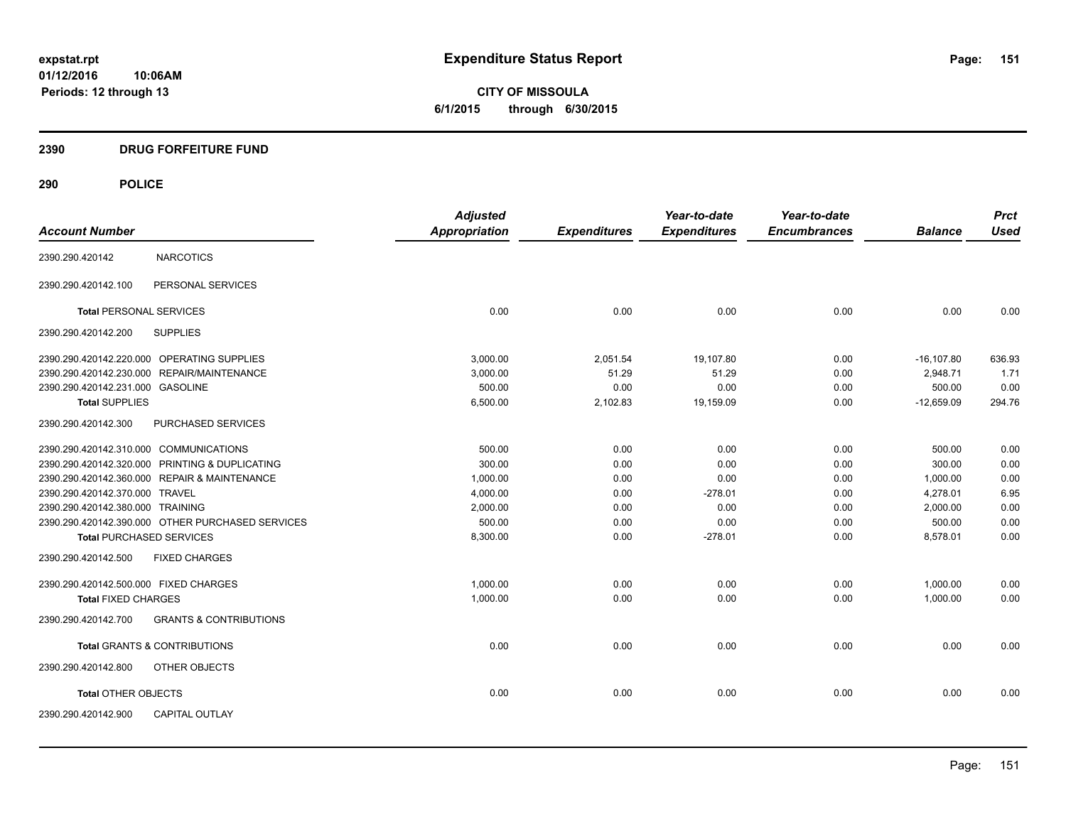**CITY OF MISSOULA 6/1/2015 through 6/30/2015**

# **2390 DRUG FORFEITURE FUND**

|                                            |                                                  | <b>Adjusted</b> |                     | Year-to-date        | Year-to-date        |                | <b>Prct</b><br><b>Used</b> |
|--------------------------------------------|--------------------------------------------------|-----------------|---------------------|---------------------|---------------------|----------------|----------------------------|
| <b>Account Number</b>                      |                                                  | Appropriation   | <b>Expenditures</b> | <b>Expenditures</b> | <b>Encumbrances</b> | <b>Balance</b> |                            |
| 2390.290.420142                            | <b>NARCOTICS</b>                                 |                 |                     |                     |                     |                |                            |
| 2390.290.420142.100                        | PERSONAL SERVICES                                |                 |                     |                     |                     |                |                            |
| <b>Total PERSONAL SERVICES</b>             |                                                  | 0.00            | 0.00                | 0.00                | 0.00                | 0.00           | 0.00                       |
| 2390.290.420142.200                        | <b>SUPPLIES</b>                                  |                 |                     |                     |                     |                |                            |
| 2390.290.420142.220.000 OPERATING SUPPLIES |                                                  | 3,000.00        | 2,051.54            | 19,107.80           | 0.00                | $-16, 107.80$  | 636.93                     |
| 2390.290.420142.230.000 REPAIR/MAINTENANCE |                                                  | 3,000.00        | 51.29               | 51.29               | 0.00                | 2,948.71       | 1.71                       |
| 2390.290.420142.231.000 GASOLINE           |                                                  | 500.00          | 0.00                | 0.00                | 0.00                | 500.00         | 0.00                       |
| <b>Total SUPPLIES</b>                      |                                                  | 6,500.00        | 2,102.83            | 19,159.09           | 0.00                | $-12,659.09$   | 294.76                     |
| 2390.290.420142.300                        | PURCHASED SERVICES                               |                 |                     |                     |                     |                |                            |
| 2390.290.420142.310.000 COMMUNICATIONS     |                                                  | 500.00          | 0.00                | 0.00                | 0.00                | 500.00         | 0.00                       |
|                                            | 2390.290.420142.320.000 PRINTING & DUPLICATING   | 300.00          | 0.00                | 0.00                | 0.00                | 300.00         | 0.00                       |
|                                            | 2390.290.420142.360.000 REPAIR & MAINTENANCE     | 1,000.00        | 0.00                | 0.00                | 0.00                | 1,000.00       | 0.00                       |
| 2390.290.420142.370.000 TRAVEL             |                                                  | 4,000.00        | 0.00                | $-278.01$           | 0.00                | 4,278.01       | 6.95                       |
| 2390.290.420142.380.000 TRAINING           |                                                  | 2,000.00        | 0.00                | 0.00                | 0.00                | 2.000.00       | 0.00                       |
|                                            | 2390.290.420142.390.000 OTHER PURCHASED SERVICES | 500.00          | 0.00                | 0.00                | 0.00                | 500.00         | 0.00                       |
| <b>Total PURCHASED SERVICES</b>            |                                                  | 8,300.00        | 0.00                | $-278.01$           | 0.00                | 8,578.01       | 0.00                       |
| 2390.290.420142.500                        | <b>FIXED CHARGES</b>                             |                 |                     |                     |                     |                |                            |
| 2390.290.420142.500.000 FIXED CHARGES      |                                                  | 1,000.00        | 0.00                | 0.00                | 0.00                | 1,000.00       | 0.00                       |
| <b>Total FIXED CHARGES</b>                 |                                                  | 1,000.00        | 0.00                | 0.00                | 0.00                | 1,000.00       | 0.00                       |
| 2390.290.420142.700                        | <b>GRANTS &amp; CONTRIBUTIONS</b>                |                 |                     |                     |                     |                |                            |
|                                            | <b>Total GRANTS &amp; CONTRIBUTIONS</b>          | 0.00            | 0.00                | 0.00                | 0.00                | 0.00           | 0.00                       |
| 2390.290.420142.800                        | OTHER OBJECTS                                    |                 |                     |                     |                     |                |                            |
| <b>Total OTHER OBJECTS</b>                 |                                                  | 0.00            | 0.00                | 0.00                | 0.00                | 0.00           | 0.00                       |
| 2390.290.420142.900                        | <b>CAPITAL OUTLAY</b>                            |                 |                     |                     |                     |                |                            |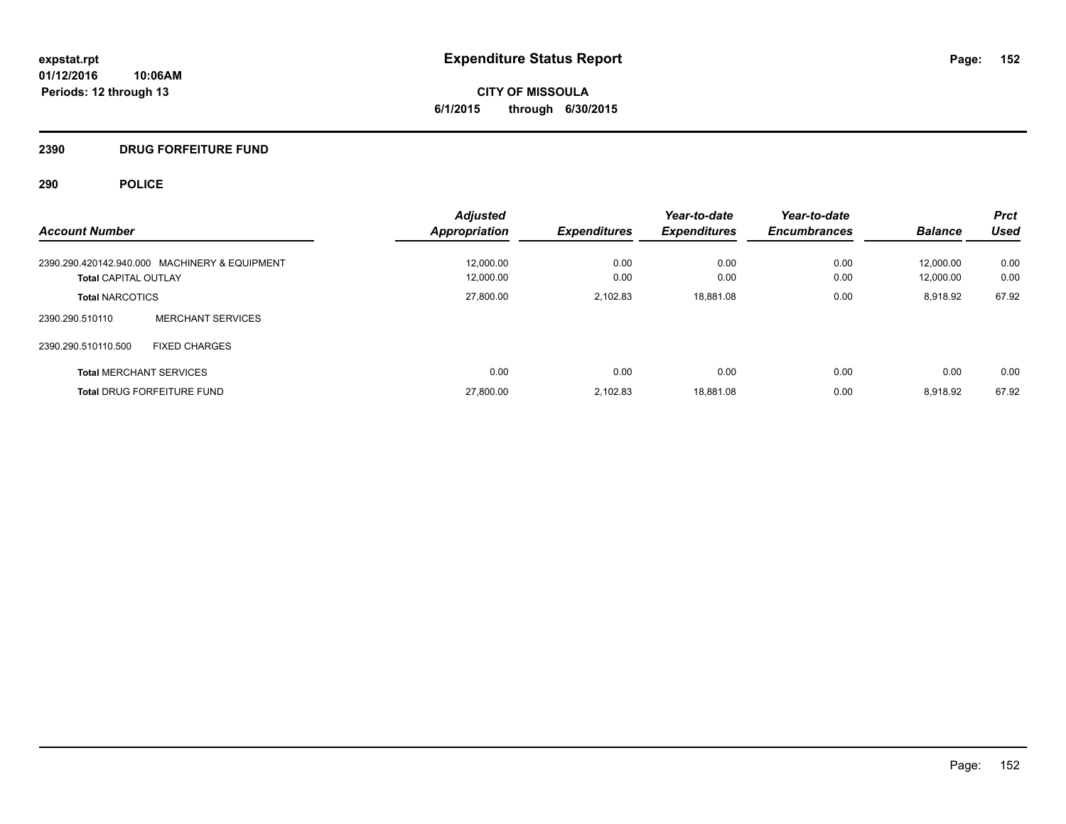**CITY OF MISSOULA 6/1/2015 through 6/30/2015**

# **2390 DRUG FORFEITURE FUND**

| <b>Account Number</b>                         | <b>Adjusted</b><br><b>Appropriation</b> | <b>Expenditures</b> | Year-to-date<br><b>Expenditures</b> | Year-to-date<br><b>Encumbrances</b> | <b>Balance</b> | <b>Prct</b><br><b>Used</b> |
|-----------------------------------------------|-----------------------------------------|---------------------|-------------------------------------|-------------------------------------|----------------|----------------------------|
| 2390.290.420142.940.000 MACHINERY & EQUIPMENT | 12.000.00                               | 0.00                | 0.00                                | 0.00                                | 12.000.00      | 0.00                       |
| <b>Total CAPITAL OUTLAY</b>                   | 12,000.00                               | 0.00                | 0.00                                | 0.00                                | 12.000.00      | 0.00                       |
| <b>Total NARCOTICS</b>                        | 27,800.00                               | 2.102.83            | 18,881.08                           | 0.00                                | 8,918.92       | 67.92                      |
| <b>MERCHANT SERVICES</b><br>2390.290.510110   |                                         |                     |                                     |                                     |                |                            |
| 2390.290.510110.500<br><b>FIXED CHARGES</b>   |                                         |                     |                                     |                                     |                |                            |
| <b>Total MERCHANT SERVICES</b>                | 0.00                                    | 0.00                | 0.00                                | 0.00                                | 0.00           | 0.00                       |
| <b>Total DRUG FORFEITURE FUND</b>             | 27.800.00                               | 2.102.83            | 18.881.08                           | 0.00                                | 8.918.92       | 67.92                      |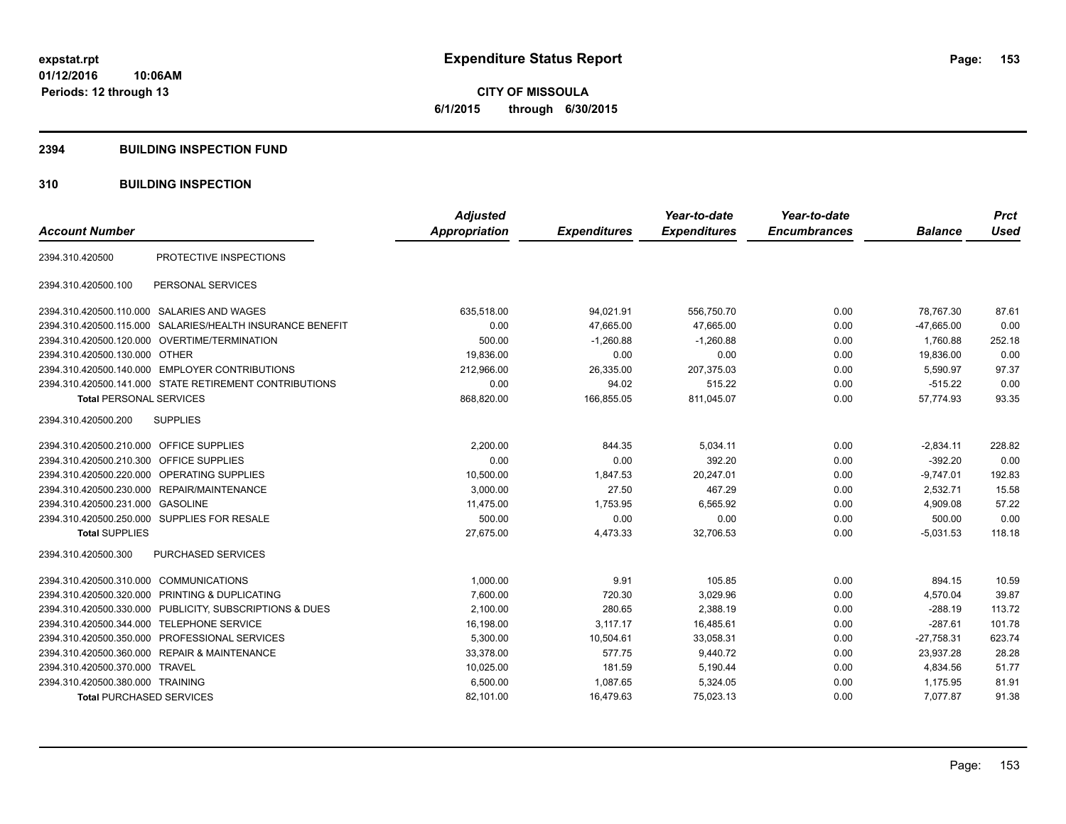**CITY OF MISSOULA 6/1/2015 through 6/30/2015**

#### **2394 BUILDING INSPECTION FUND**

# **310 BUILDING INSPECTION**

|                                         |                                                         | <b>Adjusted</b>      |                     | Year-to-date        | Year-to-date        |                | <b>Prct</b> |
|-----------------------------------------|---------------------------------------------------------|----------------------|---------------------|---------------------|---------------------|----------------|-------------|
| <b>Account Number</b>                   |                                                         | <b>Appropriation</b> | <b>Expenditures</b> | <b>Expenditures</b> | <b>Encumbrances</b> | <b>Balance</b> | <b>Used</b> |
| 2394.310.420500                         | PROTECTIVE INSPECTIONS                                  |                      |                     |                     |                     |                |             |
| 2394.310.420500.100                     | PERSONAL SERVICES                                       |                      |                     |                     |                     |                |             |
|                                         | 2394.310.420500.110.000 SALARIES AND WAGES              | 635,518.00           | 94,021.91           | 556,750.70          | 0.00                | 78.767.30      | 87.61       |
| 2394.310.420500.115.000                 | SALARIES/HEALTH INSURANCE BENEFIT                       | 0.00                 | 47,665.00           | 47,665.00           | 0.00                | $-47,665.00$   | 0.00        |
|                                         | 2394.310.420500.120.000 OVERTIME/TERMINATION            | 500.00               | $-1,260.88$         | $-1,260.88$         | 0.00                | 1,760.88       | 252.18      |
| 2394.310.420500.130.000 OTHER           |                                                         | 19,836.00            | 0.00                | 0.00                | 0.00                | 19,836.00      | 0.00        |
|                                         | 2394.310.420500.140.000 EMPLOYER CONTRIBUTIONS          | 212,966.00           | 26,335.00           | 207,375.03          | 0.00                | 5,590.97       | 97.37       |
|                                         | 2394.310.420500.141.000 STATE RETIREMENT CONTRIBUTIONS  | 0.00                 | 94.02               | 515.22              | 0.00                | $-515.22$      | 0.00        |
| <b>Total PERSONAL SERVICES</b>          |                                                         | 868,820.00           | 166,855.05          | 811,045.07          | 0.00                | 57,774.93      | 93.35       |
| 2394.310.420500.200                     | <b>SUPPLIES</b>                                         |                      |                     |                     |                     |                |             |
| 2394.310.420500.210.000 OFFICE SUPPLIES |                                                         | 2,200.00             | 844.35              | 5,034.11            | 0.00                | $-2,834.11$    | 228.82      |
| 2394.310.420500.210.300 OFFICE SUPPLIES |                                                         | 0.00                 | 0.00                | 392.20              | 0.00                | $-392.20$      | 0.00        |
|                                         | 2394.310.420500.220.000 OPERATING SUPPLIES              | 10,500.00            | 1,847.53            | 20,247.01           | 0.00                | $-9,747.01$    | 192.83      |
|                                         | 2394.310.420500.230.000 REPAIR/MAINTENANCE              | 3,000.00             | 27.50               | 467.29              | 0.00                | 2,532.71       | 15.58       |
| 2394.310.420500.231.000 GASOLINE        |                                                         | 11,475.00            | 1,753.95            | 6,565.92            | 0.00                | 4,909.08       | 57.22       |
|                                         | 2394.310.420500.250.000 SUPPLIES FOR RESALE             | 500.00               | 0.00                | 0.00                | 0.00                | 500.00         | 0.00        |
| <b>Total SUPPLIES</b>                   |                                                         | 27,675.00            | 4,473.33            | 32,706.53           | 0.00                | $-5,031.53$    | 118.18      |
| 2394.310.420500.300                     | <b>PURCHASED SERVICES</b>                               |                      |                     |                     |                     |                |             |
| 2394.310.420500.310.000 COMMUNICATIONS  |                                                         | 1,000.00             | 9.91                | 105.85              | 0.00                | 894.15         | 10.59       |
|                                         | 2394.310.420500.320.000 PRINTING & DUPLICATING          | 7,600.00             | 720.30              | 3,029.96            | 0.00                | 4,570.04       | 39.87       |
|                                         | 2394.310.420500.330.000 PUBLICITY, SUBSCRIPTIONS & DUES | 2,100.00             | 280.65              | 2,388.19            | 0.00                | $-288.19$      | 113.72      |
| 2394.310.420500.344.000                 | <b>TELEPHONE SERVICE</b>                                | 16,198.00            | 3,117.17            | 16,485.61           | 0.00                | $-287.61$      | 101.78      |
|                                         | 2394.310.420500.350.000 PROFESSIONAL SERVICES           | 5,300.00             | 10,504.61           | 33,058.31           | 0.00                | $-27,758.31$   | 623.74      |
|                                         | 2394.310.420500.360.000 REPAIR & MAINTENANCE            | 33,378.00            | 577.75              | 9,440.72            | 0.00                | 23,937.28      | 28.28       |
| 2394.310.420500.370.000 TRAVEL          |                                                         | 10,025.00            | 181.59              | 5,190.44            | 0.00                | 4,834.56       | 51.77       |
| 2394.310.420500.380.000 TRAINING        |                                                         | 6,500.00             | 1,087.65            | 5,324.05            | 0.00                | 1,175.95       | 81.91       |
| <b>Total PURCHASED SERVICES</b>         |                                                         | 82.101.00            | 16.479.63           | 75.023.13           | 0.00                | 7.077.87       | 91.38       |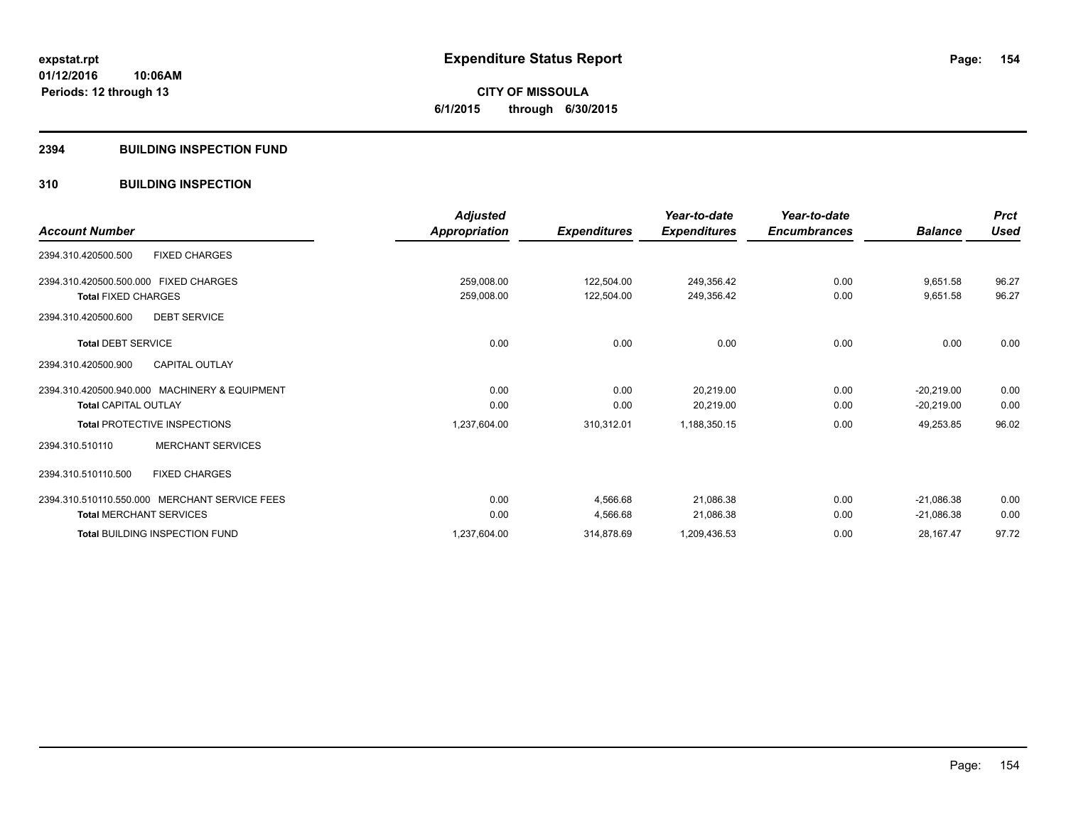# **CITY OF MISSOULA 6/1/2015 through 6/30/2015**

#### **2394 BUILDING INSPECTION FUND**

# **310 BUILDING INSPECTION**

|                                               | <b>Adjusted</b> |                     | Year-to-date        | Year-to-date        |                | <b>Prct</b> |
|-----------------------------------------------|-----------------|---------------------|---------------------|---------------------|----------------|-------------|
| <b>Account Number</b>                         | Appropriation   | <b>Expenditures</b> | <b>Expenditures</b> | <b>Encumbrances</b> | <b>Balance</b> | <b>Used</b> |
| <b>FIXED CHARGES</b><br>2394.310.420500.500   |                 |                     |                     |                     |                |             |
| 2394.310.420500.500.000 FIXED CHARGES         | 259,008.00      | 122,504.00          | 249,356.42          | 0.00                | 9,651.58       | 96.27       |
| <b>Total FIXED CHARGES</b>                    | 259,008.00      | 122,504.00          | 249,356.42          | 0.00                | 9,651.58       | 96.27       |
| 2394.310.420500.600<br><b>DEBT SERVICE</b>    |                 |                     |                     |                     |                |             |
| <b>Total DEBT SERVICE</b>                     | 0.00            | 0.00                | 0.00                | 0.00                | 0.00           | 0.00        |
| <b>CAPITAL OUTLAY</b><br>2394.310.420500.900  |                 |                     |                     |                     |                |             |
| 2394.310.420500.940.000 MACHINERY & EQUIPMENT | 0.00            | 0.00                | 20,219.00           | 0.00                | $-20,219.00$   | 0.00        |
| <b>Total CAPITAL OUTLAY</b>                   | 0.00            | 0.00                | 20,219.00           | 0.00                | $-20,219.00$   | 0.00        |
| <b>Total PROTECTIVE INSPECTIONS</b>           | 1,237,604.00    | 310,312.01          | 1,188,350.15        | 0.00                | 49,253.85      | 96.02       |
| <b>MERCHANT SERVICES</b><br>2394.310.510110   |                 |                     |                     |                     |                |             |
| 2394.310.510110.500<br><b>FIXED CHARGES</b>   |                 |                     |                     |                     |                |             |
| 2394.310.510110.550.000 MERCHANT SERVICE FEES | 0.00            | 4,566.68            | 21,086.38           | 0.00                | $-21,086.38$   | 0.00        |
| <b>Total MERCHANT SERVICES</b>                | 0.00            | 4,566.68            | 21,086.38           | 0.00                | $-21,086.38$   | 0.00        |
| <b>Total BUILDING INSPECTION FUND</b>         | 1,237,604.00    | 314,878.69          | 1,209,436.53        | 0.00                | 28,167.47      | 97.72       |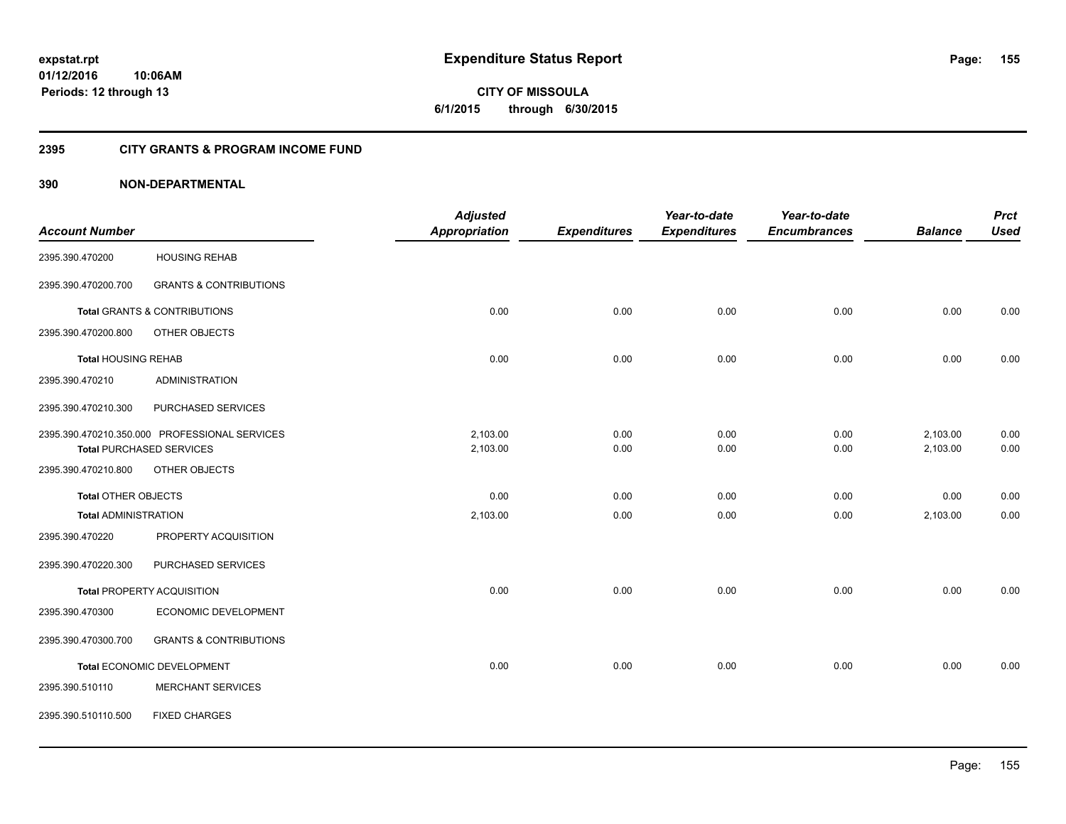**155**

**01/12/2016 10:06AM Periods: 12 through 13**

**CITY OF MISSOULA 6/1/2015 through 6/30/2015**

# **2395 CITY GRANTS & PROGRAM INCOME FUND**

|                             |                                               | <b>Adjusted</b>      |                     | Year-to-date        | Year-to-date        |                | <b>Prct</b> |
|-----------------------------|-----------------------------------------------|----------------------|---------------------|---------------------|---------------------|----------------|-------------|
| <b>Account Number</b>       |                                               | <b>Appropriation</b> | <b>Expenditures</b> | <b>Expenditures</b> | <b>Encumbrances</b> | <b>Balance</b> | <b>Used</b> |
| 2395.390.470200             | <b>HOUSING REHAB</b>                          |                      |                     |                     |                     |                |             |
| 2395.390.470200.700         | <b>GRANTS &amp; CONTRIBUTIONS</b>             |                      |                     |                     |                     |                |             |
|                             | <b>Total GRANTS &amp; CONTRIBUTIONS</b>       | 0.00                 | 0.00                | 0.00                | 0.00                | 0.00           | 0.00        |
| 2395.390.470200.800         | OTHER OBJECTS                                 |                      |                     |                     |                     |                |             |
| <b>Total HOUSING REHAB</b>  |                                               | 0.00                 | 0.00                | 0.00                | 0.00                | 0.00           | 0.00        |
| 2395.390.470210             | <b>ADMINISTRATION</b>                         |                      |                     |                     |                     |                |             |
| 2395.390.470210.300         | PURCHASED SERVICES                            |                      |                     |                     |                     |                |             |
|                             | 2395.390.470210.350.000 PROFESSIONAL SERVICES | 2,103.00             | 0.00                | 0.00                | 0.00                | 2,103.00       | 0.00        |
|                             | <b>Total PURCHASED SERVICES</b>               | 2,103.00             | 0.00                | 0.00                | 0.00                | 2,103.00       | 0.00        |
| 2395.390.470210.800         | OTHER OBJECTS                                 |                      |                     |                     |                     |                |             |
| <b>Total OTHER OBJECTS</b>  |                                               | 0.00                 | 0.00                | 0.00                | 0.00                | 0.00           | 0.00        |
| <b>Total ADMINISTRATION</b> |                                               | 2,103.00             | 0.00                | 0.00                | 0.00                | 2,103.00       | 0.00        |
| 2395.390.470220             | PROPERTY ACQUISITION                          |                      |                     |                     |                     |                |             |
| 2395.390.470220.300         | PURCHASED SERVICES                            |                      |                     |                     |                     |                |             |
|                             | <b>Total PROPERTY ACQUISITION</b>             | 0.00                 | 0.00                | 0.00                | 0.00                | 0.00           | 0.00        |
| 2395.390.470300             | ECONOMIC DEVELOPMENT                          |                      |                     |                     |                     |                |             |
| 2395.390.470300.700         | <b>GRANTS &amp; CONTRIBUTIONS</b>             |                      |                     |                     |                     |                |             |
|                             | Total ECONOMIC DEVELOPMENT                    | 0.00                 | 0.00                | 0.00                | 0.00                | 0.00           | 0.00        |
| 2395.390.510110             | <b>MERCHANT SERVICES</b>                      |                      |                     |                     |                     |                |             |
| 2395.390.510110.500         | <b>FIXED CHARGES</b>                          |                      |                     |                     |                     |                |             |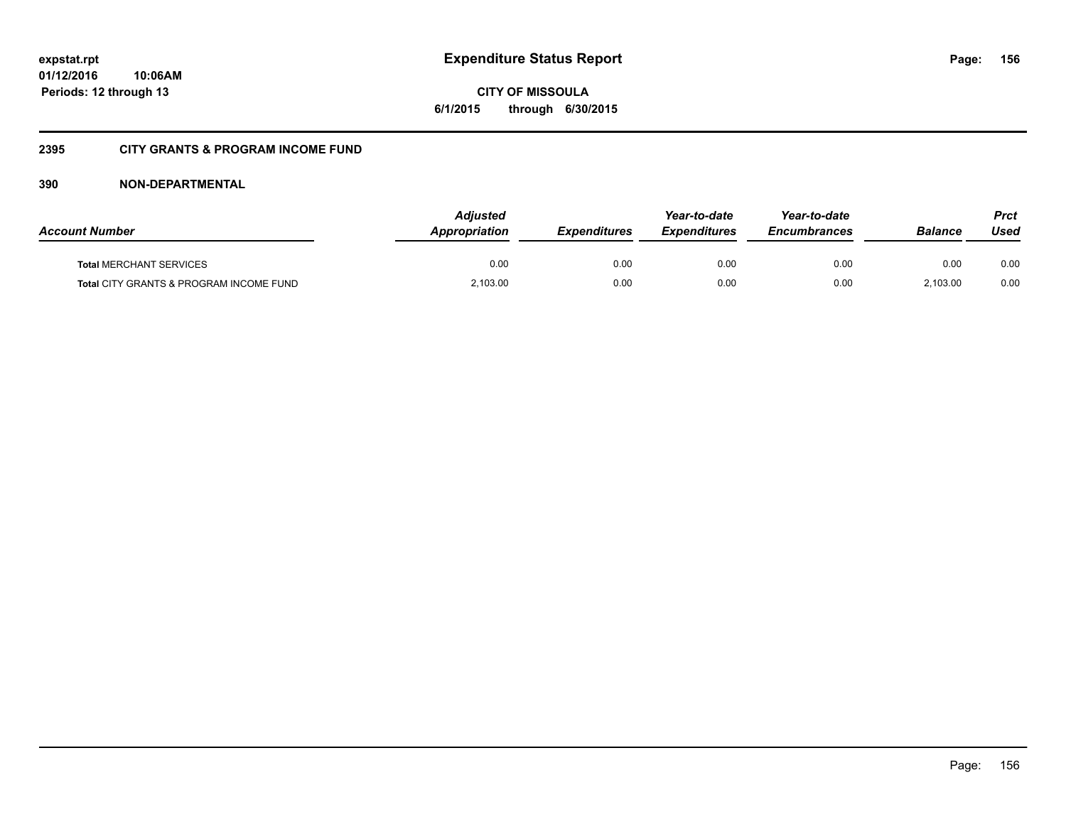**CITY OF MISSOULA 6/1/2015 through 6/30/2015**

# **2395 CITY GRANTS & PROGRAM INCOME FUND**

| <b>Account Number</b>                   | <b>Adjusted</b><br>Appropriation | <b>Expenditures</b> | Year-to-date<br><b>Expenditures</b> | Year-to-date<br><b>Encumbrances</b> | <b>Balance</b> | <b>Prct</b><br>Used |
|-----------------------------------------|----------------------------------|---------------------|-------------------------------------|-------------------------------------|----------------|---------------------|
| <b>Total MERCHANT SERVICES</b>          | 0.00                             | 0.00                | 0.00                                | 0.00                                | 0.00           | 0.00                |
| Total CITY GRANTS & PROGRAM INCOME FUND | 2,103.00                         | 0.00                | 0.00                                | 0.00                                | 2.103.00       | 0.00                |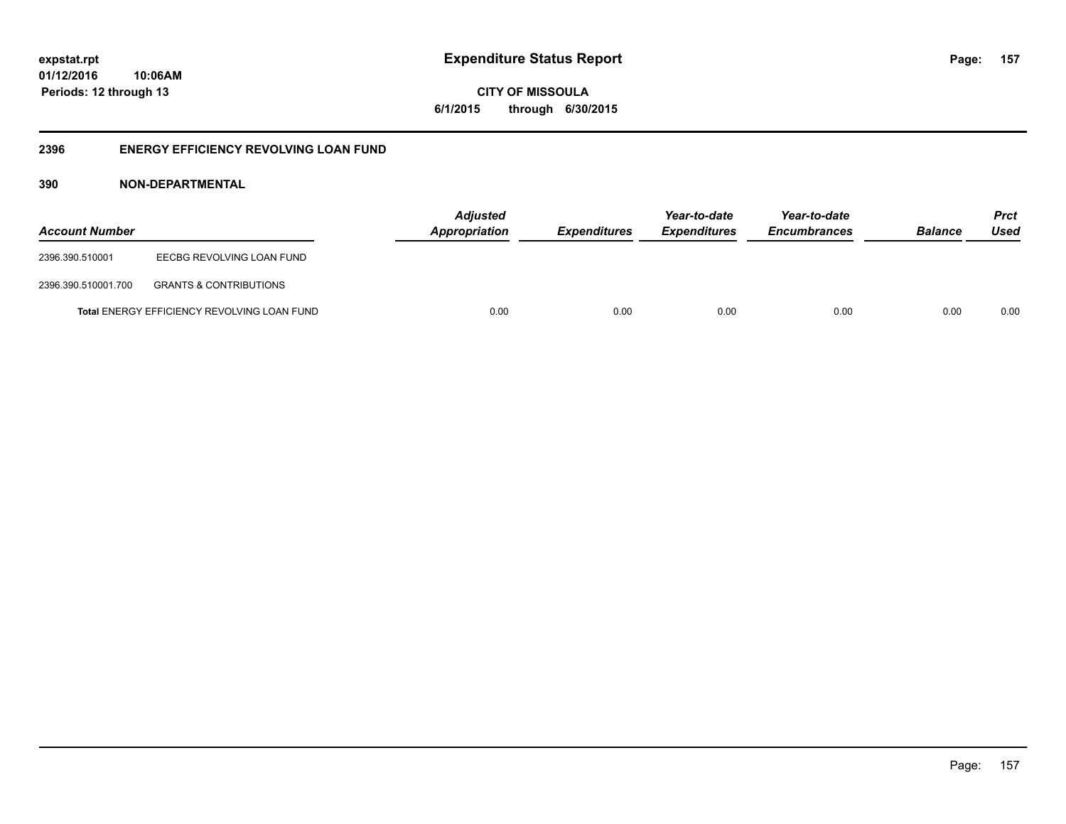**CITY OF MISSOULA 6/1/2015 through 6/30/2015**

# **2396 ENERGY EFFICIENCY REVOLVING LOAN FUND**

| <b>Account Number</b> |                                             | <b>Adjusted</b><br>Appropriation | <b>Expenditures</b> | Year-to-date<br><b>Expenditures</b> | Year-to-date<br><b>Encumbrances</b> | <b>Balance</b> | <b>Prct</b><br>Used |
|-----------------------|---------------------------------------------|----------------------------------|---------------------|-------------------------------------|-------------------------------------|----------------|---------------------|
| 2396.390.510001       | EECBG REVOLVING LOAN FUND                   |                                  |                     |                                     |                                     |                |                     |
| 2396.390.510001.700   | <b>GRANTS &amp; CONTRIBUTIONS</b>           |                                  |                     |                                     |                                     |                |                     |
|                       | Total ENERGY EFFICIENCY REVOLVING LOAN FUND | 0.00                             | 0.00                | 0.00                                | 0.00                                | 0.00           | 0.00                |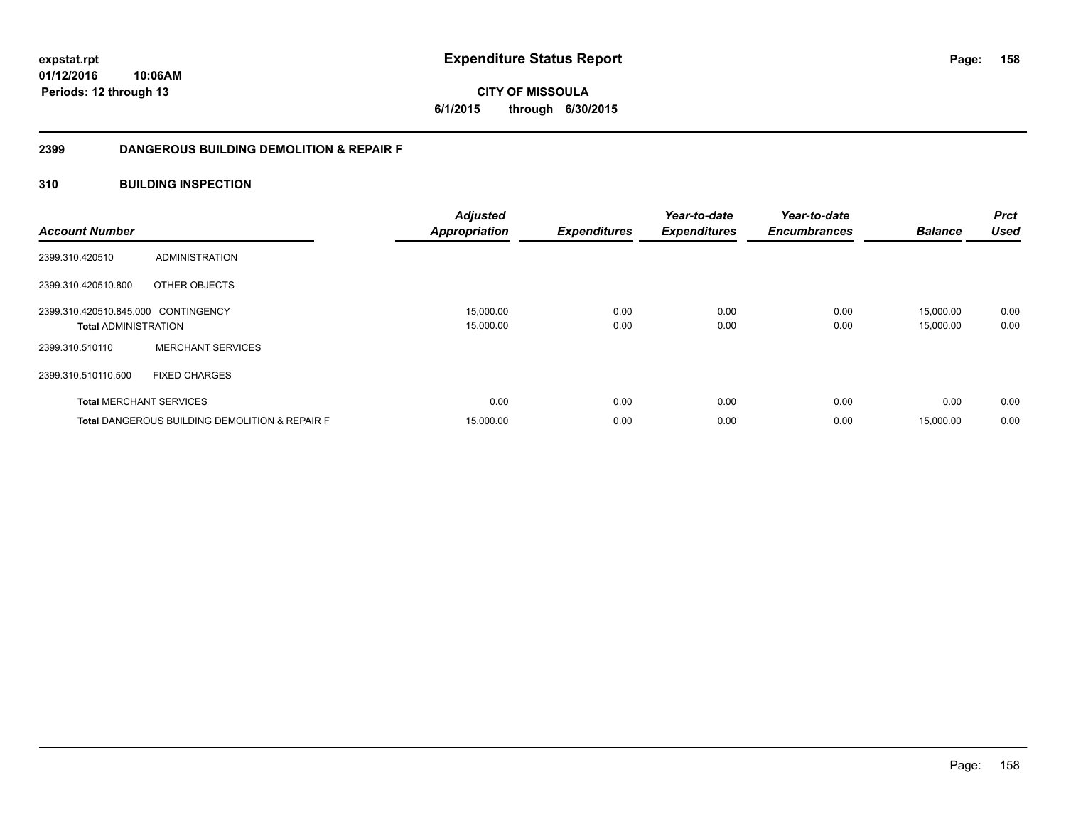**158**

**01/12/2016 10:06AM Periods: 12 through 13**

**CITY OF MISSOULA 6/1/2015 through 6/30/2015**

# **2399 DANGEROUS BUILDING DEMOLITION & REPAIR F**

# **310 BUILDING INSPECTION**

| <b>Account Number</b>                                              |                                                           | <b>Adjusted</b><br><b>Appropriation</b> | <b>Expenditures</b> | Year-to-date<br><b>Expenditures</b> | Year-to-date<br><b>Encumbrances</b> | <b>Balance</b>         | <b>Prct</b><br><b>Used</b> |
|--------------------------------------------------------------------|-----------------------------------------------------------|-----------------------------------------|---------------------|-------------------------------------|-------------------------------------|------------------------|----------------------------|
| 2399.310.420510                                                    | ADMINISTRATION                                            |                                         |                     |                                     |                                     |                        |                            |
| 2399.310.420510.800                                                | OTHER OBJECTS                                             |                                         |                     |                                     |                                     |                        |                            |
| 2399.310.420510.845.000 CONTINGENCY<br><b>Total ADMINISTRATION</b> |                                                           | 15,000.00<br>15,000.00                  | 0.00<br>0.00        | 0.00<br>0.00                        | 0.00<br>0.00                        | 15.000.00<br>15,000.00 | 0.00<br>0.00               |
| 2399.310.510110                                                    | <b>MERCHANT SERVICES</b>                                  |                                         |                     |                                     |                                     |                        |                            |
| 2399.310.510110.500                                                | <b>FIXED CHARGES</b>                                      |                                         |                     |                                     |                                     |                        |                            |
|                                                                    | <b>Total MERCHANT SERVICES</b>                            | 0.00                                    | 0.00                | 0.00                                | 0.00                                | 0.00                   | 0.00                       |
|                                                                    | <b>Total DANGEROUS BUILDING DEMOLITION &amp; REPAIR F</b> | 15,000.00                               | 0.00                | 0.00                                | 0.00                                | 15,000.00              | 0.00                       |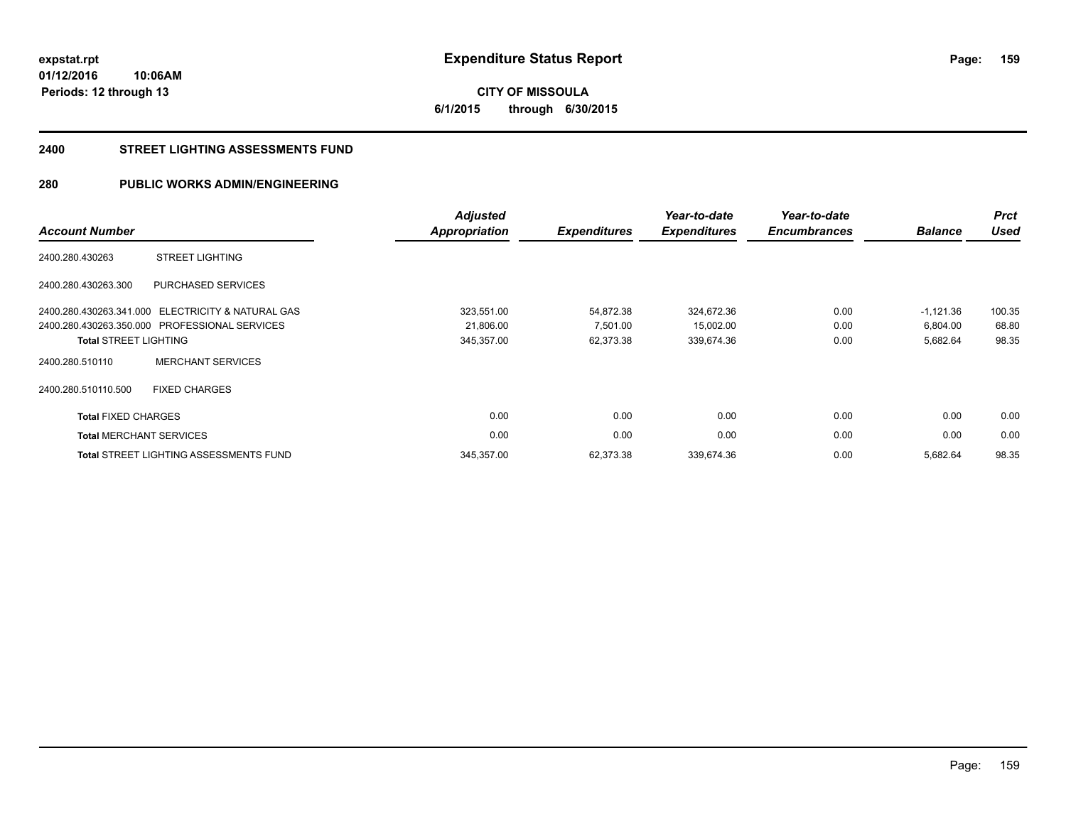**159**

**01/12/2016 10:06AM Periods: 12 through 13**

**CITY OF MISSOULA 6/1/2015 through 6/30/2015**

#### **2400 STREET LIGHTING ASSESSMENTS FUND**

# **280 PUBLIC WORKS ADMIN/ENGINEERING**

| <b>Account Number</b>        |                                                   | <b>Adjusted</b><br><b>Appropriation</b> | <b>Expenditures</b> | Year-to-date<br><b>Expenditures</b> | Year-to-date<br><b>Encumbrances</b> | <b>Balance</b> | <b>Prct</b><br><b>Used</b> |
|------------------------------|---------------------------------------------------|-----------------------------------------|---------------------|-------------------------------------|-------------------------------------|----------------|----------------------------|
| 2400.280.430263              | <b>STREET LIGHTING</b>                            |                                         |                     |                                     |                                     |                |                            |
| 2400.280.430263.300          | <b>PURCHASED SERVICES</b>                         |                                         |                     |                                     |                                     |                |                            |
|                              | 2400.280.430263.341.000 ELECTRICITY & NATURAL GAS | 323,551.00                              | 54,872.38           | 324,672.36                          | 0.00                                | $-1,121.36$    | 100.35                     |
|                              | 2400.280.430263.350.000 PROFESSIONAL SERVICES     | 21,806.00                               | 7,501.00            | 15,002.00                           | 0.00                                | 6,804.00       | 68.80                      |
| <b>Total STREET LIGHTING</b> |                                                   | 345,357.00                              | 62,373.38           | 339,674.36                          | 0.00                                | 5,682.64       | 98.35                      |
| 2400.280.510110              | <b>MERCHANT SERVICES</b>                          |                                         |                     |                                     |                                     |                |                            |
| 2400.280.510110.500          | <b>FIXED CHARGES</b>                              |                                         |                     |                                     |                                     |                |                            |
| <b>Total FIXED CHARGES</b>   |                                                   | 0.00                                    | 0.00                | 0.00                                | 0.00                                | 0.00           | 0.00                       |
|                              | <b>Total MERCHANT SERVICES</b>                    | 0.00                                    | 0.00                | 0.00                                | 0.00                                | 0.00           | 0.00                       |
|                              | <b>Total STREET LIGHTING ASSESSMENTS FUND</b>     | 345,357.00                              | 62,373.38           | 339,674.36                          | 0.00                                | 5,682.64       | 98.35                      |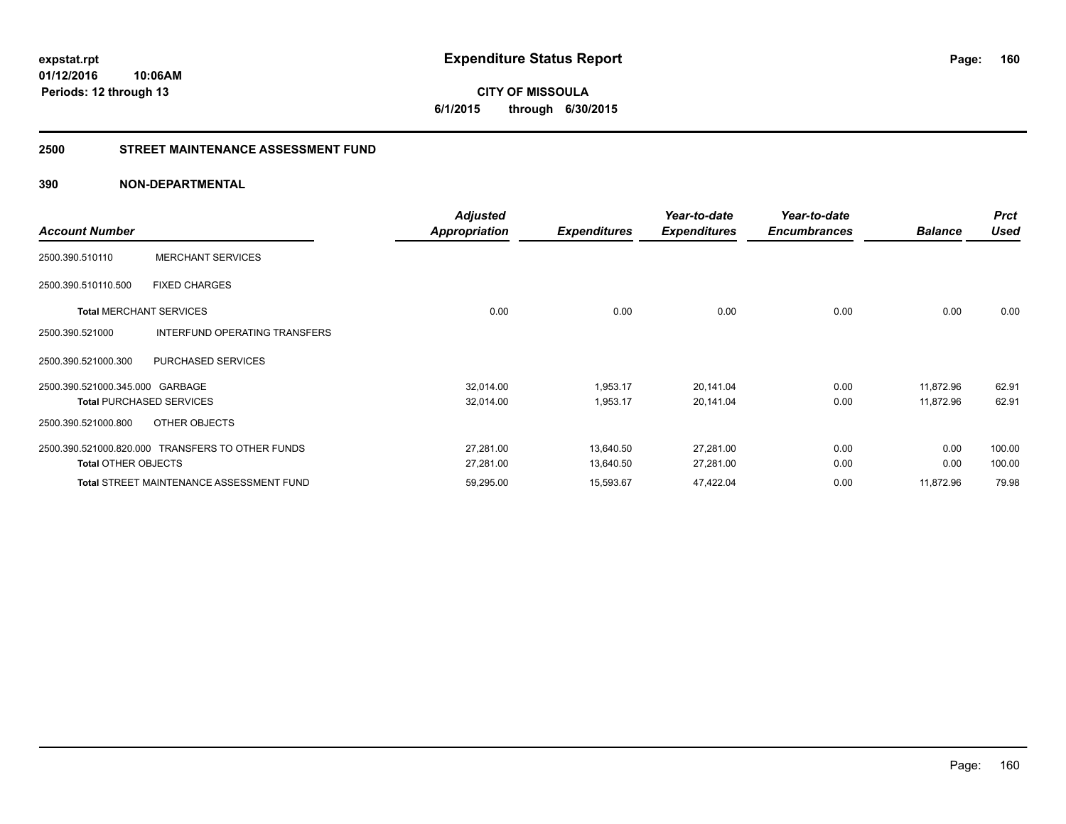#### **2500 STREET MAINTENANCE ASSESSMENT FUND**

| <b>Account Number</b>           |                                                  | <b>Adjusted</b><br>Appropriation | <b>Expenditures</b> | Year-to-date<br><b>Expenditures</b> | Year-to-date<br><b>Encumbrances</b> | <b>Balance</b> | <b>Prct</b><br>Used |
|---------------------------------|--------------------------------------------------|----------------------------------|---------------------|-------------------------------------|-------------------------------------|----------------|---------------------|
| 2500.390.510110                 | <b>MERCHANT SERVICES</b>                         |                                  |                     |                                     |                                     |                |                     |
| 2500.390.510110.500             | <b>FIXED CHARGES</b>                             |                                  |                     |                                     |                                     |                |                     |
|                                 | <b>Total MERCHANT SERVICES</b>                   | 0.00                             | 0.00                | 0.00                                | 0.00                                | 0.00           | 0.00                |
| 2500.390.521000                 | INTERFUND OPERATING TRANSFERS                    |                                  |                     |                                     |                                     |                |                     |
| 2500.390.521000.300             | PURCHASED SERVICES                               |                                  |                     |                                     |                                     |                |                     |
| 2500.390.521000.345.000 GARBAGE |                                                  | 32,014.00                        | 1,953.17            | 20,141.04                           | 0.00                                | 11,872.96      | 62.91               |
|                                 | <b>Total PURCHASED SERVICES</b>                  | 32,014.00                        | 1,953.17            | 20,141.04                           | 0.00                                | 11,872.96      | 62.91               |
| 2500.390.521000.800             | OTHER OBJECTS                                    |                                  |                     |                                     |                                     |                |                     |
|                                 | 2500.390.521000.820.000 TRANSFERS TO OTHER FUNDS | 27,281.00                        | 13,640.50           | 27,281.00                           | 0.00                                | 0.00           | 100.00              |
| <b>Total OTHER OBJECTS</b>      |                                                  | 27,281.00                        | 13,640.50           | 27,281.00                           | 0.00                                | 0.00           | 100.00              |
|                                 | <b>Total STREET MAINTENANCE ASSESSMENT FUND</b>  | 59,295.00                        | 15,593.67           | 47,422.04                           | 0.00                                | 11,872.96      | 79.98               |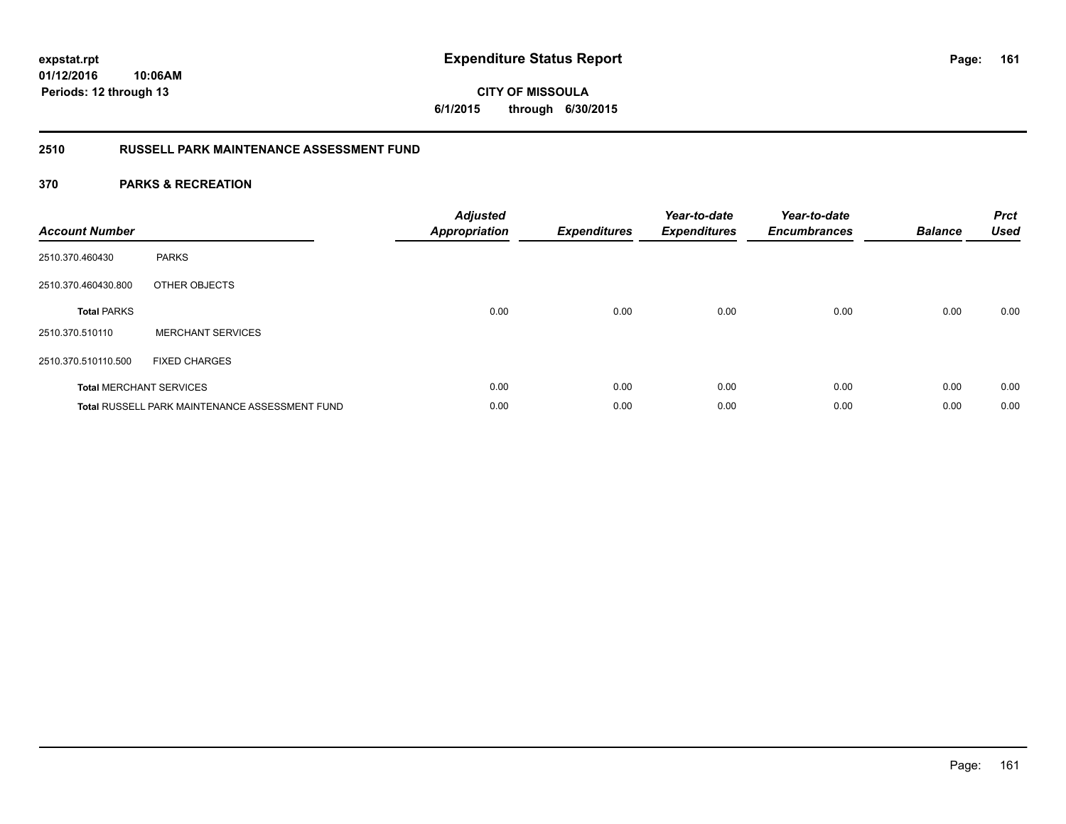**CITY OF MISSOULA 6/1/2015 through 6/30/2015**

# **2510 RUSSELL PARK MAINTENANCE ASSESSMENT FUND**

| <b>Account Number</b> |                                                       | <b>Adjusted</b><br><b>Appropriation</b> | <b>Expenditures</b> | Year-to-date<br><b>Expenditures</b> | Year-to-date<br><b>Encumbrances</b> | <b>Balance</b> | <b>Prct</b><br><b>Used</b> |
|-----------------------|-------------------------------------------------------|-----------------------------------------|---------------------|-------------------------------------|-------------------------------------|----------------|----------------------------|
| 2510.370.460430       | <b>PARKS</b>                                          |                                         |                     |                                     |                                     |                |                            |
| 2510.370.460430.800   | OTHER OBJECTS                                         |                                         |                     |                                     |                                     |                |                            |
| <b>Total PARKS</b>    |                                                       | 0.00                                    | 0.00                | 0.00                                | 0.00                                | 0.00           | 0.00                       |
| 2510.370.510110       | <b>MERCHANT SERVICES</b>                              |                                         |                     |                                     |                                     |                |                            |
| 2510.370.510110.500   | <b>FIXED CHARGES</b>                                  |                                         |                     |                                     |                                     |                |                            |
|                       | <b>Total MERCHANT SERVICES</b>                        | 0.00                                    | 0.00                | 0.00                                | 0.00                                | 0.00           | 0.00                       |
|                       | <b>Total RUSSELL PARK MAINTENANCE ASSESSMENT FUND</b> | 0.00                                    | 0.00                | 0.00                                | 0.00                                | 0.00           | 0.00                       |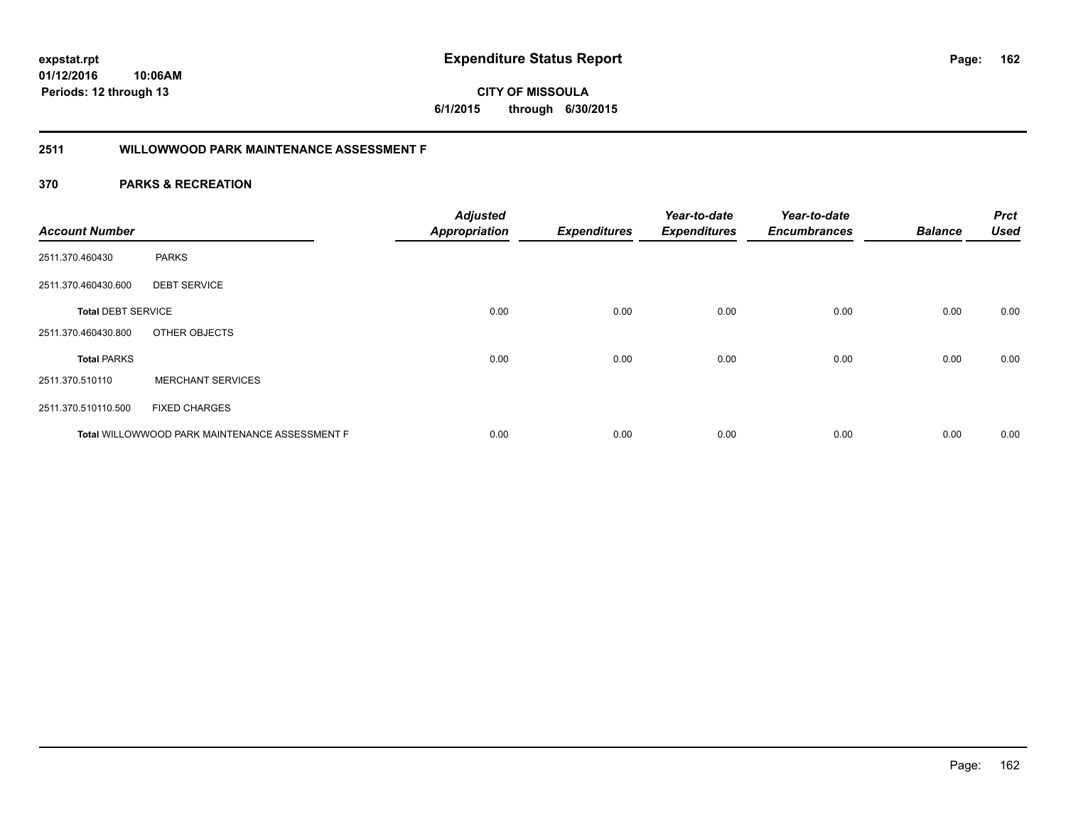**CITY OF MISSOULA 6/1/2015 through 6/30/2015**

# **2511 WILLOWWOOD PARK MAINTENANCE ASSESSMENT F**

| <b>Account Number</b>     |                                                | <b>Adjusted</b><br><b>Appropriation</b> | <b>Expenditures</b> | Year-to-date<br><b>Expenditures</b> | Year-to-date<br><b>Encumbrances</b> | <b>Balance</b> | <b>Prct</b><br><b>Used</b> |
|---------------------------|------------------------------------------------|-----------------------------------------|---------------------|-------------------------------------|-------------------------------------|----------------|----------------------------|
| 2511.370.460430           | <b>PARKS</b>                                   |                                         |                     |                                     |                                     |                |                            |
| 2511.370.460430.600       | <b>DEBT SERVICE</b>                            |                                         |                     |                                     |                                     |                |                            |
| <b>Total DEBT SERVICE</b> |                                                | 0.00                                    | 0.00                | 0.00                                | 0.00                                | 0.00           | 0.00                       |
| 2511.370.460430.800       | OTHER OBJECTS                                  |                                         |                     |                                     |                                     |                |                            |
| <b>Total PARKS</b>        |                                                | 0.00                                    | 0.00                | 0.00                                | 0.00                                | 0.00           | 0.00                       |
| 2511.370.510110           | <b>MERCHANT SERVICES</b>                       |                                         |                     |                                     |                                     |                |                            |
| 2511.370.510110.500       | <b>FIXED CHARGES</b>                           |                                         |                     |                                     |                                     |                |                            |
|                           | Total WILLOWWOOD PARK MAINTENANCE ASSESSMENT F | 0.00                                    | 0.00                | 0.00                                | 0.00                                | 0.00           | 0.00                       |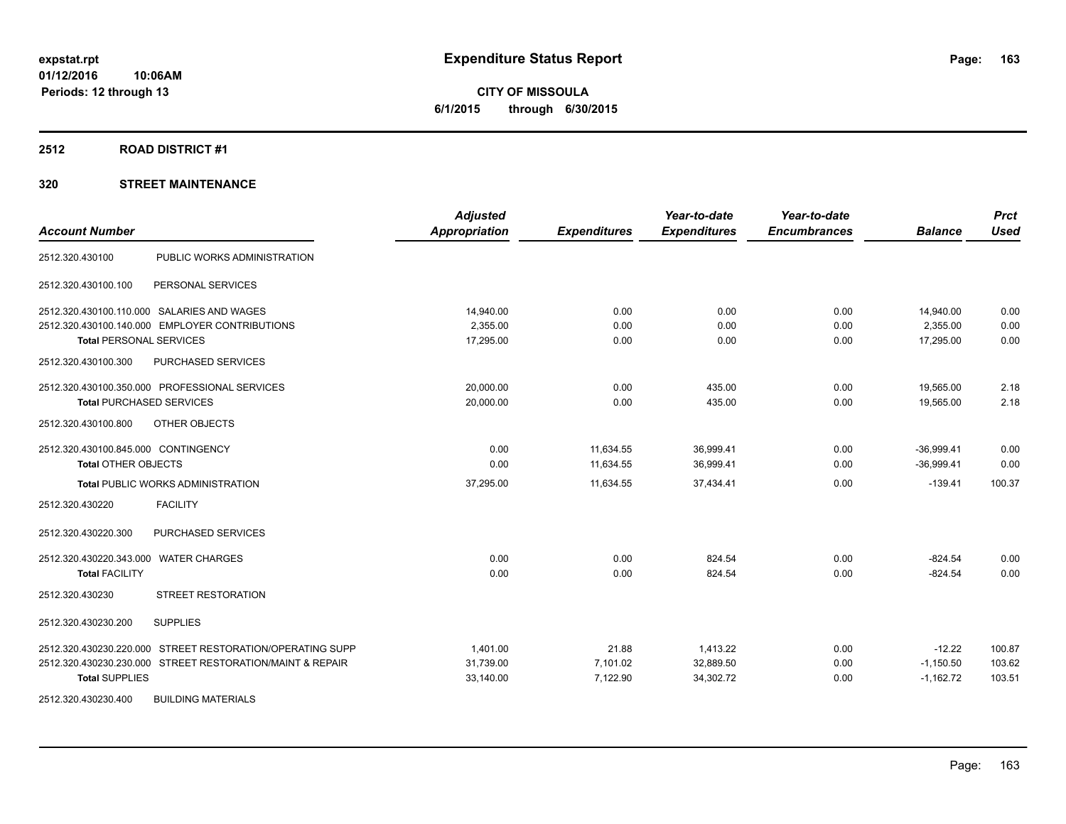**CITY OF MISSOULA 6/1/2015 through 6/30/2015**

#### **2512 ROAD DISTRICT #1**

| <b>Account Number</b>                                     | <b>Adjusted</b><br><b>Appropriation</b> | <b>Expenditures</b> | Year-to-date<br><b>Expenditures</b> | Year-to-date<br><b>Encumbrances</b> | <b>Balance</b> | <b>Prct</b><br><b>Used</b> |
|-----------------------------------------------------------|-----------------------------------------|---------------------|-------------------------------------|-------------------------------------|----------------|----------------------------|
| PUBLIC WORKS ADMINISTRATION<br>2512.320.430100            |                                         |                     |                                     |                                     |                |                            |
| 2512.320.430100.100<br>PERSONAL SERVICES                  |                                         |                     |                                     |                                     |                |                            |
| 2512.320.430100.110.000 SALARIES AND WAGES                | 14,940.00                               | 0.00                | 0.00                                | 0.00                                | 14,940.00      | 0.00                       |
| 2512.320.430100.140.000 EMPLOYER CONTRIBUTIONS            | 2,355.00                                | 0.00                | 0.00                                | 0.00                                | 2,355.00       | 0.00                       |
| <b>Total PERSONAL SERVICES</b>                            | 17,295.00                               | 0.00                | 0.00                                | 0.00                                | 17,295.00      | 0.00                       |
| <b>PURCHASED SERVICES</b><br>2512.320.430100.300          |                                         |                     |                                     |                                     |                |                            |
| 2512.320.430100.350.000 PROFESSIONAL SERVICES             | 20,000.00                               | 0.00                | 435.00                              | 0.00                                | 19,565.00      | 2.18                       |
| <b>Total PURCHASED SERVICES</b>                           | 20,000.00                               | 0.00                | 435.00                              | 0.00                                | 19.565.00      | 2.18                       |
| 2512.320.430100.800<br>OTHER OBJECTS                      |                                         |                     |                                     |                                     |                |                            |
| 2512.320.430100.845.000 CONTINGENCY                       | 0.00                                    | 11,634.55           | 36,999.41                           | 0.00                                | $-36,999.41$   | 0.00                       |
| <b>Total OTHER OBJECTS</b>                                | 0.00                                    | 11.634.55           | 36,999.41                           | 0.00                                | $-36.999.41$   | 0.00                       |
| <b>Total PUBLIC WORKS ADMINISTRATION</b>                  | 37,295.00                               | 11,634.55           | 37,434.41                           | 0.00                                | $-139.41$      | 100.37                     |
| 2512.320.430220<br><b>FACILITY</b>                        |                                         |                     |                                     |                                     |                |                            |
| <b>PURCHASED SERVICES</b><br>2512.320.430220.300          |                                         |                     |                                     |                                     |                |                            |
| 2512.320.430220.343.000 WATER CHARGES                     | 0.00                                    | 0.00                | 824.54                              | 0.00                                | $-824.54$      | 0.00                       |
| <b>Total FACILITY</b>                                     | 0.00                                    | 0.00                | 824.54                              | 0.00                                | $-824.54$      | 0.00                       |
| <b>STREET RESTORATION</b><br>2512.320.430230              |                                         |                     |                                     |                                     |                |                            |
| 2512.320.430230.200<br><b>SUPPLIES</b>                    |                                         |                     |                                     |                                     |                |                            |
| 2512.320.430230.220.000 STREET RESTORATION/OPERATING SUPP | 1,401.00                                | 21.88               | 1,413.22                            | 0.00                                | $-12.22$       | 100.87                     |
| 2512.320.430230.230.000 STREET RESTORATION/MAINT & REPAIR | 31,739.00                               | 7,101.02            | 32,889.50                           | 0.00                                | $-1,150.50$    | 103.62                     |
| <b>Total SUPPLIES</b>                                     | 33,140.00                               | 7,122.90            | 34,302.72                           | 0.00                                | $-1,162.72$    | 103.51                     |
| 2512.320.430230.400<br><b>BUILDING MATERIALS</b>          |                                         |                     |                                     |                                     |                |                            |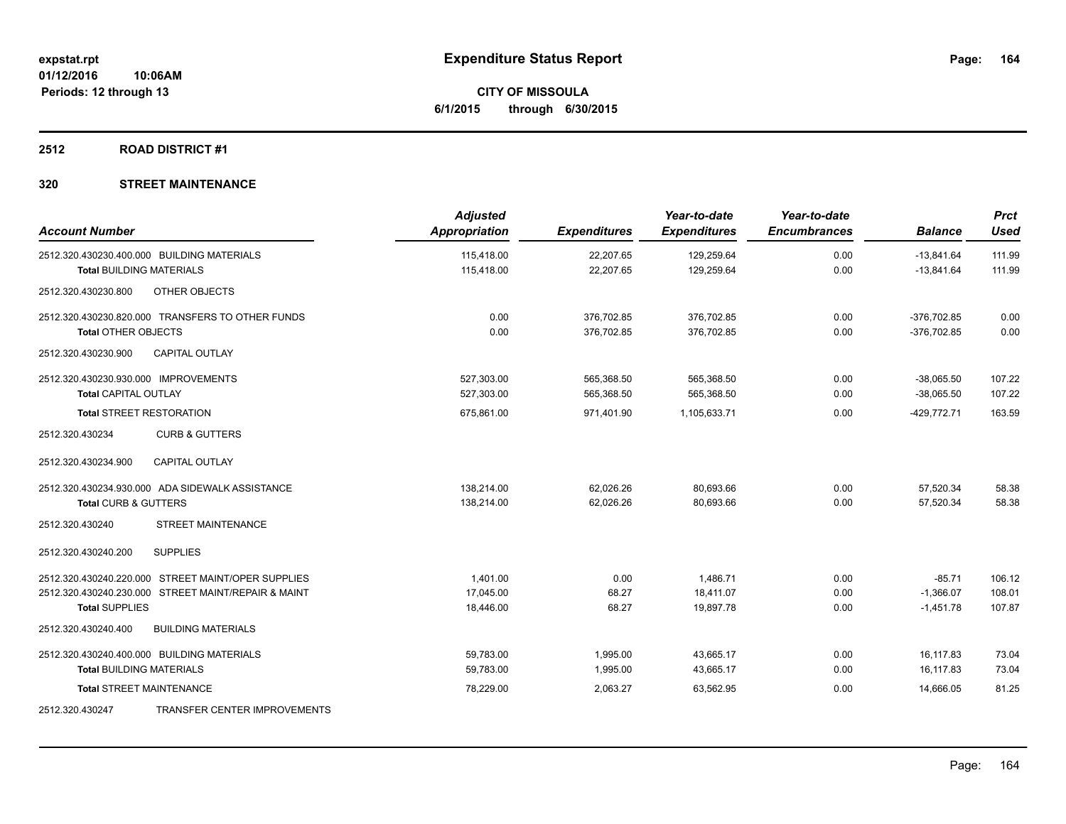**CITY OF MISSOULA 6/1/2015 through 6/30/2015**

# **2512 ROAD DISTRICT #1**

| <b>Account Number</b>                      |                                                     | <b>Adjusted</b><br><b>Appropriation</b> | <b>Expenditures</b>    | Year-to-date<br><b>Expenditures</b> | Year-to-date<br><b>Encumbrances</b> | <b>Balance</b>               | <b>Prct</b><br><b>Used</b> |
|--------------------------------------------|-----------------------------------------------------|-----------------------------------------|------------------------|-------------------------------------|-------------------------------------|------------------------------|----------------------------|
| 2512.320.430230.400.000 BUILDING MATERIALS |                                                     | 115.418.00<br>115,418.00                | 22,207.65<br>22,207.65 | 129,259.64<br>129,259.64            | 0.00<br>0.00                        | $-13.841.64$<br>$-13,841.64$ | 111.99<br>111.99           |
| <b>Total BUILDING MATERIALS</b>            |                                                     |                                         |                        |                                     |                                     |                              |                            |
| 2512.320.430230.800                        | OTHER OBJECTS                                       |                                         |                        |                                     |                                     |                              |                            |
|                                            | 2512.320.430230.820.000 TRANSFERS TO OTHER FUNDS    | 0.00                                    | 376,702.85             | 376,702.85                          | 0.00                                | $-376,702.85$                | 0.00                       |
| <b>Total OTHER OBJECTS</b>                 |                                                     | 0.00                                    | 376,702.85             | 376,702.85                          | 0.00                                | $-376,702.85$                | 0.00                       |
| 2512.320.430230.900                        | <b>CAPITAL OUTLAY</b>                               |                                         |                        |                                     |                                     |                              |                            |
| 2512.320.430230.930.000 IMPROVEMENTS       |                                                     | 527,303.00                              | 565,368.50             | 565,368.50                          | 0.00                                | $-38,065.50$                 | 107.22                     |
| <b>Total CAPITAL OUTLAY</b>                |                                                     | 527,303.00                              | 565,368.50             | 565,368.50                          | 0.00                                | $-38,065.50$                 | 107.22                     |
| <b>Total STREET RESTORATION</b>            |                                                     | 675,861.00                              | 971,401.90             | 1,105,633.71                        | 0.00                                | $-429,772.71$                | 163.59                     |
| 2512.320.430234                            | <b>CURB &amp; GUTTERS</b>                           |                                         |                        |                                     |                                     |                              |                            |
| 2512.320.430234.900                        | <b>CAPITAL OUTLAY</b>                               |                                         |                        |                                     |                                     |                              |                            |
|                                            | 2512.320.430234.930.000 ADA SIDEWALK ASSISTANCE     | 138,214.00                              | 62,026.26              | 80,693.66                           | 0.00                                | 57,520.34                    | 58.38                      |
| <b>Total CURB &amp; GUTTERS</b>            |                                                     | 138,214.00                              | 62,026.26              | 80,693.66                           | 0.00                                | 57,520.34                    | 58.38                      |
| 2512.320.430240                            | <b>STREET MAINTENANCE</b>                           |                                         |                        |                                     |                                     |                              |                            |
| 2512.320.430240.200                        | <b>SUPPLIES</b>                                     |                                         |                        |                                     |                                     |                              |                            |
|                                            | 2512.320.430240.220.000 STREET MAINT/OPER SUPPLIES  | 1.401.00                                | 0.00                   | 1.486.71                            | 0.00                                | $-85.71$                     | 106.12                     |
|                                            | 2512.320.430240.230.000 STREET MAINT/REPAIR & MAINT | 17,045.00                               | 68.27                  | 18,411.07                           | 0.00                                | $-1,366.07$                  | 108.01                     |
| <b>Total SUPPLIES</b>                      |                                                     | 18,446.00                               | 68.27                  | 19,897.78                           | 0.00                                | $-1,451.78$                  | 107.87                     |
| 2512.320.430240.400                        | <b>BUILDING MATERIALS</b>                           |                                         |                        |                                     |                                     |                              |                            |
| 2512.320.430240.400.000 BUILDING MATERIALS |                                                     | 59,783.00                               | 1,995.00               | 43,665.17                           | 0.00                                | 16,117.83                    | 73.04                      |
| <b>Total BUILDING MATERIALS</b>            |                                                     | 59,783.00                               | 1,995.00               | 43,665.17                           | 0.00                                | 16,117.83                    | 73.04                      |
| <b>Total STREET MAINTENANCE</b>            |                                                     | 78,229.00                               | 2,063.27               | 63,562.95                           | 0.00                                | 14,666.05                    | 81.25                      |
| 2512.320.430247                            | TRANSFER CENTER IMPROVEMENTS                        |                                         |                        |                                     |                                     |                              |                            |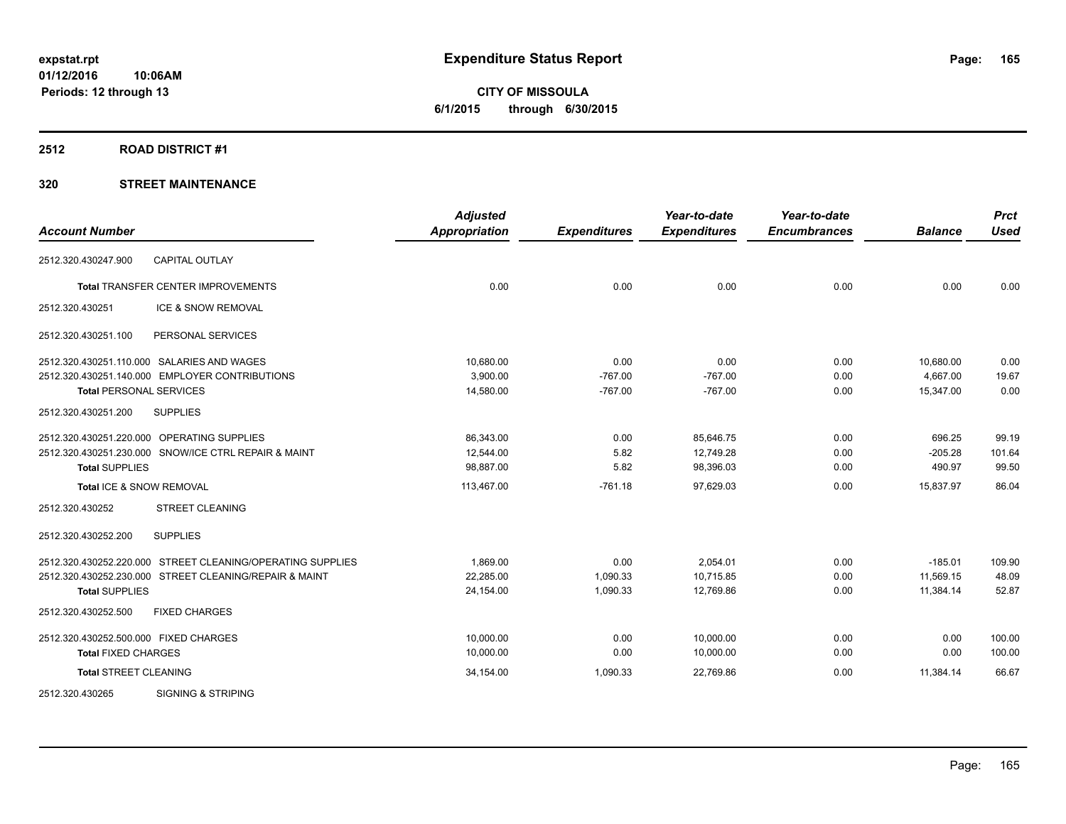**CITY OF MISSOULA 6/1/2015 through 6/30/2015**

#### **2512 ROAD DISTRICT #1**

| <b>Account Number</b>                 |                                                            | <b>Adjusted</b><br><b>Appropriation</b> | <b>Expenditures</b> | Year-to-date<br><b>Expenditures</b> | Year-to-date<br><b>Encumbrances</b> | <b>Balance</b> | <b>Prct</b><br><b>Used</b> |
|---------------------------------------|------------------------------------------------------------|-----------------------------------------|---------------------|-------------------------------------|-------------------------------------|----------------|----------------------------|
| 2512.320.430247.900                   | <b>CAPITAL OUTLAY</b>                                      |                                         |                     |                                     |                                     |                |                            |
|                                       | <b>Total TRANSFER CENTER IMPROVEMENTS</b>                  | 0.00                                    | 0.00                | 0.00                                | 0.00                                | 0.00           | 0.00                       |
| 2512.320.430251                       | ICE & SNOW REMOVAL                                         |                                         |                     |                                     |                                     |                |                            |
| 2512.320.430251.100                   | PERSONAL SERVICES                                          |                                         |                     |                                     |                                     |                |                            |
|                                       | 2512.320.430251.110.000 SALARIES AND WAGES                 | 10,680.00                               | 0.00                | 0.00                                | 0.00                                | 10,680.00      | 0.00                       |
|                                       | 2512.320.430251.140.000 EMPLOYER CONTRIBUTIONS             | 3.900.00                                | $-767.00$           | $-767.00$                           | 0.00                                | 4.667.00       | 19.67                      |
| <b>Total PERSONAL SERVICES</b>        |                                                            | 14,580.00                               | $-767.00$           | $-767.00$                           | 0.00                                | 15.347.00      | 0.00                       |
| 2512.320.430251.200                   | <b>SUPPLIES</b>                                            |                                         |                     |                                     |                                     |                |                            |
|                                       | 2512.320.430251.220.000 OPERATING SUPPLIES                 | 86,343.00                               | 0.00                | 85,646.75                           | 0.00                                | 696.25         | 99.19                      |
|                                       | 2512.320.430251.230.000 SNOW/ICE CTRL REPAIR & MAINT       | 12,544.00                               | 5.82                | 12,749.28                           | 0.00                                | $-205.28$      | 101.64                     |
| <b>Total SUPPLIES</b>                 |                                                            | 98,887.00                               | 5.82                | 98,396.03                           | 0.00                                | 490.97         | 99.50                      |
| Total ICE & SNOW REMOVAL              |                                                            | 113,467.00                              | $-761.18$           | 97,629.03                           | 0.00                                | 15,837.97      | 86.04                      |
| 2512.320.430252                       | <b>STREET CLEANING</b>                                     |                                         |                     |                                     |                                     |                |                            |
| 2512.320.430252.200                   | <b>SUPPLIES</b>                                            |                                         |                     |                                     |                                     |                |                            |
|                                       | 2512.320.430252.220.000 STREET CLEANING/OPERATING SUPPLIES | 1,869.00                                | 0.00                | 2,054.01                            | 0.00                                | $-185.01$      | 109.90                     |
|                                       | 2512.320.430252.230.000 STREET CLEANING/REPAIR & MAINT     | 22,285.00                               | 1,090.33            | 10,715.85                           | 0.00                                | 11,569.15      | 48.09                      |
| <b>Total SUPPLIES</b>                 |                                                            | 24,154.00                               | 1,090.33            | 12,769.86                           | 0.00                                | 11,384.14      | 52.87                      |
| 2512.320.430252.500                   | <b>FIXED CHARGES</b>                                       |                                         |                     |                                     |                                     |                |                            |
| 2512.320.430252.500.000 FIXED CHARGES |                                                            | 10,000.00                               | 0.00                | 10,000.00                           | 0.00                                | 0.00           | 100.00                     |
| <b>Total FIXED CHARGES</b>            |                                                            | 10,000.00                               | 0.00                | 10,000.00                           | 0.00                                | 0.00           | 100.00                     |
| <b>Total STREET CLEANING</b>          |                                                            | 34,154.00                               | 1,090.33            | 22,769.86                           | 0.00                                | 11,384.14      | 66.67                      |
| 2512.320.430265                       | <b>SIGNING &amp; STRIPING</b>                              |                                         |                     |                                     |                                     |                |                            |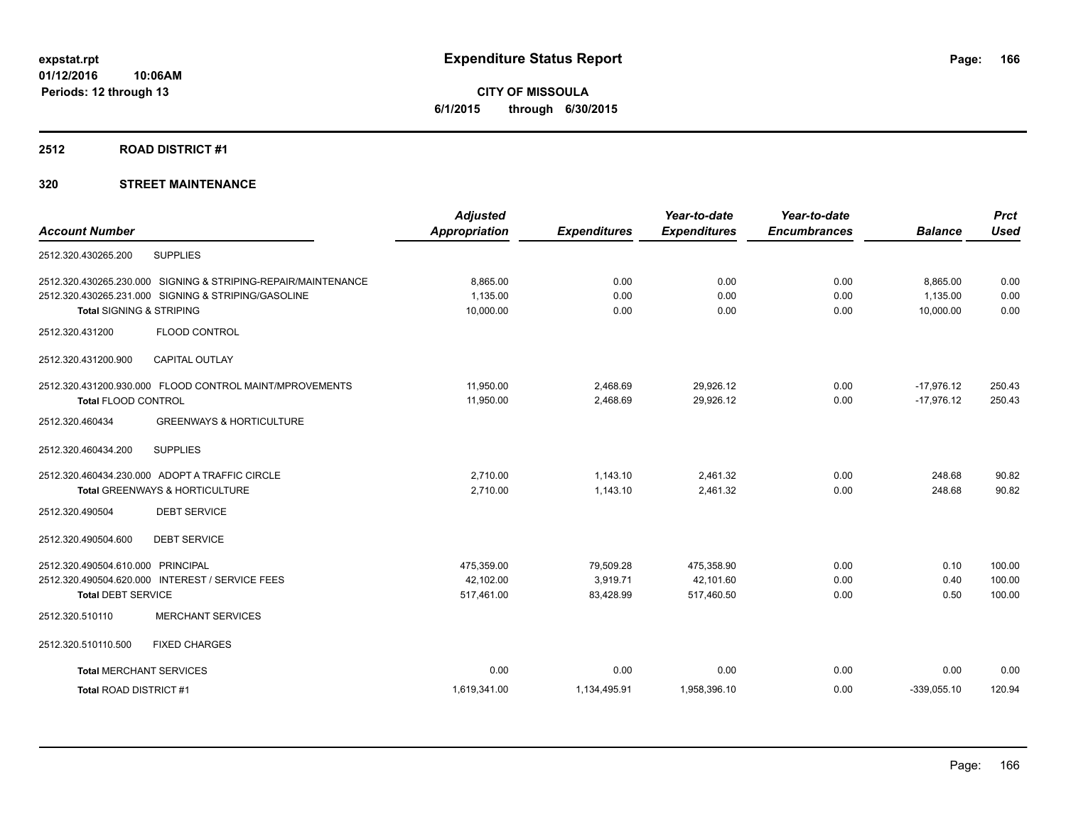**CITY OF MISSOULA 6/1/2015 through 6/30/2015**

#### **2512 ROAD DISTRICT #1**

| <b>Account Number</b>               |                                                               | <b>Adjusted</b><br><b>Appropriation</b> | <b>Expenditures</b> | Year-to-date<br><b>Expenditures</b> | Year-to-date<br><b>Encumbrances</b> | <b>Balance</b> | <b>Prct</b><br><b>Used</b> |
|-------------------------------------|---------------------------------------------------------------|-----------------------------------------|---------------------|-------------------------------------|-------------------------------------|----------------|----------------------------|
|                                     |                                                               |                                         |                     |                                     |                                     |                |                            |
| 2512.320.430265.200                 | <b>SUPPLIES</b>                                               |                                         |                     |                                     |                                     |                |                            |
|                                     | 2512.320.430265.230.000 SIGNING & STRIPING-REPAIR/MAINTENANCE | 8,865.00                                | 0.00                | 0.00                                | 0.00                                | 8,865.00       | 0.00                       |
|                                     | 2512.320.430265.231.000 SIGNING & STRIPING/GASOLINE           | 1,135.00                                | 0.00                | 0.00                                | 0.00                                | 1,135.00       | 0.00                       |
| <b>Total SIGNING &amp; STRIPING</b> |                                                               | 10,000.00                               | 0.00                | 0.00                                | 0.00                                | 10,000.00      | 0.00                       |
| 2512.320.431200                     | <b>FLOOD CONTROL</b>                                          |                                         |                     |                                     |                                     |                |                            |
| 2512.320.431200.900                 | <b>CAPITAL OUTLAY</b>                                         |                                         |                     |                                     |                                     |                |                            |
|                                     | 2512.320.431200.930.000 FLOOD CONTROL MAINT/MPROVEMENTS       | 11,950.00                               | 2,468.69            | 29,926.12                           | 0.00                                | $-17,976.12$   | 250.43                     |
| Total FLOOD CONTROL                 |                                                               | 11,950.00                               | 2,468.69            | 29,926.12                           | 0.00                                | $-17,976.12$   | 250.43                     |
| 2512.320.460434                     | <b>GREENWAYS &amp; HORTICULTURE</b>                           |                                         |                     |                                     |                                     |                |                            |
| 2512.320.460434.200                 | <b>SUPPLIES</b>                                               |                                         |                     |                                     |                                     |                |                            |
|                                     | 2512.320.460434.230.000 ADOPT A TRAFFIC CIRCLE                | 2.710.00                                | 1.143.10            | 2,461.32                            | 0.00                                | 248.68         | 90.82                      |
|                                     | Total GREENWAYS & HORTICULTURE                                | 2,710.00                                | 1,143.10            | 2.461.32                            | 0.00                                | 248.68         | 90.82                      |
| 2512.320.490504                     | <b>DEBT SERVICE</b>                                           |                                         |                     |                                     |                                     |                |                            |
| 2512.320.490504.600                 | <b>DEBT SERVICE</b>                                           |                                         |                     |                                     |                                     |                |                            |
| 2512.320.490504.610.000             | <b>PRINCIPAL</b>                                              | 475,359.00                              | 79,509.28           | 475,358.90                          | 0.00                                | 0.10           | 100.00                     |
|                                     | 2512.320.490504.620.000 INTEREST / SERVICE FEES               | 42,102.00                               | 3,919.71            | 42,101.60                           | 0.00                                | 0.40           | 100.00                     |
| <b>Total DEBT SERVICE</b>           |                                                               | 517,461.00                              | 83,428.99           | 517,460.50                          | 0.00                                | 0.50           | 100.00                     |
| 2512.320.510110                     | <b>MERCHANT SERVICES</b>                                      |                                         |                     |                                     |                                     |                |                            |
| 2512.320.510110.500                 | <b>FIXED CHARGES</b>                                          |                                         |                     |                                     |                                     |                |                            |
| <b>Total MERCHANT SERVICES</b>      |                                                               | 0.00                                    | 0.00                | 0.00                                | 0.00                                | 0.00           | 0.00                       |
| Total ROAD DISTRICT #1              |                                                               | 1,619,341.00                            | 1,134,495.91        | 1,958,396.10                        | 0.00                                | $-339,055.10$  | 120.94                     |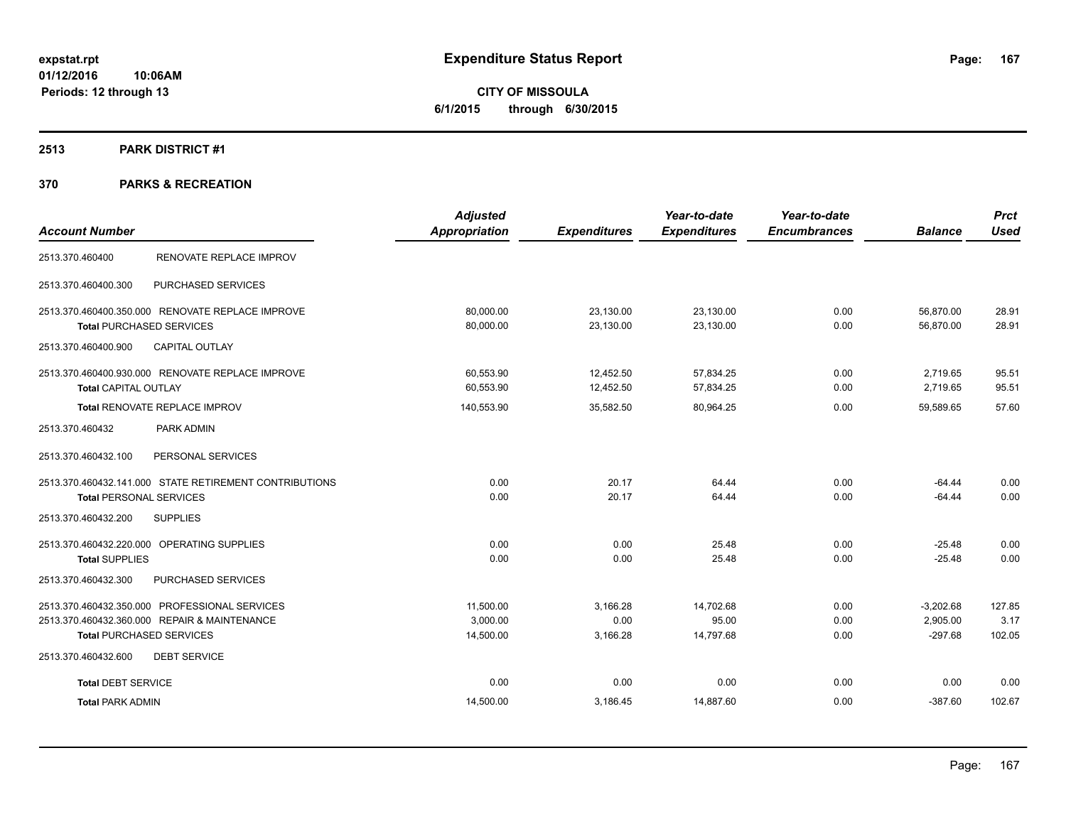**CITY OF MISSOULA 6/1/2015 through 6/30/2015**

#### **2513 PARK DISTRICT #1**

| <b>Account Number</b>                                  | <b>Adjusted</b><br>Appropriation | <b>Expenditures</b> | Year-to-date<br><b>Expenditures</b> | Year-to-date<br><b>Encumbrances</b> | <b>Balance</b> | <b>Prct</b><br><b>Used</b> |
|--------------------------------------------------------|----------------------------------|---------------------|-------------------------------------|-------------------------------------|----------------|----------------------------|
|                                                        |                                  |                     |                                     |                                     |                |                            |
| RENOVATE REPLACE IMPROV<br>2513.370.460400             |                                  |                     |                                     |                                     |                |                            |
| PURCHASED SERVICES<br>2513.370.460400.300              |                                  |                     |                                     |                                     |                |                            |
| 2513.370.460400.350.000 RENOVATE REPLACE IMPROVE       | 80,000.00                        | 23,130.00           | 23,130.00                           | 0.00                                | 56,870.00      | 28.91                      |
| <b>Total PURCHASED SERVICES</b>                        | 80,000.00                        | 23,130.00           | 23,130.00                           | 0.00                                | 56,870.00      | 28.91                      |
| CAPITAL OUTLAY<br>2513.370.460400.900                  |                                  |                     |                                     |                                     |                |                            |
| 2513.370.460400.930.000 RENOVATE REPLACE IMPROVE       | 60.553.90                        | 12,452.50           | 57,834.25                           | 0.00                                | 2,719.65       | 95.51                      |
| <b>Total CAPITAL OUTLAY</b>                            | 60,553.90                        | 12,452.50           | 57,834.25                           | 0.00                                | 2,719.65       | 95.51                      |
| Total RENOVATE REPLACE IMPROV                          | 140,553.90                       | 35,582.50           | 80,964.25                           | 0.00                                | 59,589.65      | 57.60                      |
| PARK ADMIN<br>2513.370.460432                          |                                  |                     |                                     |                                     |                |                            |
| 2513.370.460432.100<br>PERSONAL SERVICES               |                                  |                     |                                     |                                     |                |                            |
| 2513.370.460432.141.000 STATE RETIREMENT CONTRIBUTIONS | 0.00                             | 20.17               | 64.44                               | 0.00                                | $-64.44$       | 0.00                       |
| <b>Total PERSONAL SERVICES</b>                         | 0.00                             | 20.17               | 64.44                               | 0.00                                | $-64.44$       | 0.00                       |
| 2513.370.460432.200<br><b>SUPPLIES</b>                 |                                  |                     |                                     |                                     |                |                            |
| 2513.370.460432.220.000 OPERATING SUPPLIES             | 0.00                             | 0.00                | 25.48                               | 0.00                                | $-25.48$       | 0.00                       |
| <b>Total SUPPLIES</b>                                  | 0.00                             | 0.00                | 25.48                               | 0.00                                | $-25.48$       | 0.00                       |
| PURCHASED SERVICES<br>2513.370.460432.300              |                                  |                     |                                     |                                     |                |                            |
| 2513.370.460432.350.000 PROFESSIONAL SERVICES          | 11,500.00                        | 3,166.28            | 14,702.68                           | 0.00                                | $-3,202.68$    | 127.85                     |
| 2513.370.460432.360.000 REPAIR & MAINTENANCE           | 3,000.00                         | 0.00                | 95.00                               | 0.00                                | 2,905.00       | 3.17                       |
| <b>Total PURCHASED SERVICES</b>                        | 14,500.00                        | 3,166.28            | 14,797.68                           | 0.00                                | $-297.68$      | 102.05                     |
| <b>DEBT SERVICE</b><br>2513.370.460432.600             |                                  |                     |                                     |                                     |                |                            |
| <b>Total DEBT SERVICE</b>                              | 0.00                             | 0.00                | 0.00                                | 0.00                                | 0.00           | 0.00                       |
| <b>Total PARK ADMIN</b>                                | 14,500.00                        | 3,186.45            | 14,887.60                           | 0.00                                | $-387.60$      | 102.67                     |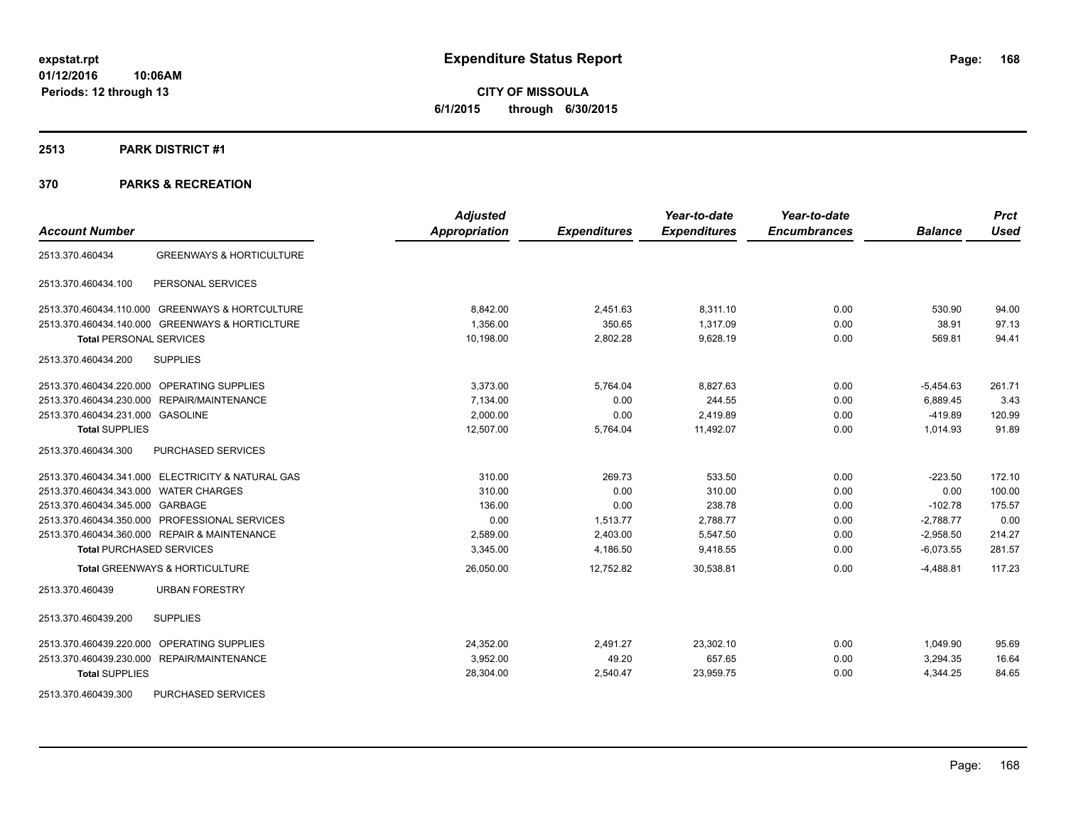**CITY OF MISSOULA 6/1/2015 through 6/30/2015**

#### **2513 PARK DISTRICT #1**

|                                                        | <b>Adjusted</b>      |                     | Year-to-date        | Year-to-date        |                | <b>Prct</b> |
|--------------------------------------------------------|----------------------|---------------------|---------------------|---------------------|----------------|-------------|
| <b>Account Number</b>                                  | <b>Appropriation</b> | <b>Expenditures</b> | <b>Expenditures</b> | <b>Encumbrances</b> | <b>Balance</b> | <b>Used</b> |
| <b>GREENWAYS &amp; HORTICULTURE</b><br>2513.370.460434 |                      |                     |                     |                     |                |             |
| 2513.370.460434.100<br>PERSONAL SERVICES               |                      |                     |                     |                     |                |             |
| 2513.370.460434.110.000 GREENWAYS & HORTCULTURE        | 8,842.00             | 2,451.63            | 8,311.10            | 0.00                | 530.90         | 94.00       |
| 2513.370.460434.140.000 GREENWAYS & HORTICLTURE        | 1.356.00             | 350.65              | 1.317.09            | 0.00                | 38.91          | 97.13       |
| <b>Total PERSONAL SERVICES</b>                         | 10,198.00            | 2,802.28            | 9,628.19            | 0.00                | 569.81         | 94.41       |
| 2513.370.460434.200<br><b>SUPPLIES</b>                 |                      |                     |                     |                     |                |             |
| 2513.370.460434.220.000 OPERATING SUPPLIES             | 3,373.00             | 5,764.04            | 8,827.63            | 0.00                | $-5,454.63$    | 261.71      |
| 2513.370.460434.230.000 REPAIR/MAINTENANCE             | 7,134.00             | 0.00                | 244.55              | 0.00                | 6,889.45       | 3.43        |
| 2513.370.460434.231.000 GASOLINE                       | 2,000.00             | 0.00                | 2,419.89            | 0.00                | $-419.89$      | 120.99      |
| <b>Total SUPPLIES</b>                                  | 12,507.00            | 5,764.04            | 11,492.07           | 0.00                | 1,014.93       | 91.89       |
| PURCHASED SERVICES<br>2513.370.460434.300              |                      |                     |                     |                     |                |             |
| 2513.370.460434.341.000 ELECTRICITY & NATURAL GAS      | 310.00               | 269.73              | 533.50              | 0.00                | $-223.50$      | 172.10      |
| 2513.370.460434.343.000 WATER CHARGES                  | 310.00               | 0.00                | 310.00              | 0.00                | 0.00           | 100.00      |
| 2513.370.460434.345.000 GARBAGE                        | 136.00               | 0.00                | 238.78              | 0.00                | $-102.78$      | 175.57      |
| 2513.370.460434.350.000 PROFESSIONAL SERVICES          | 0.00                 | 1,513.77            | 2,788.77            | 0.00                | $-2,788.77$    | 0.00        |
| 2513.370.460434.360.000 REPAIR & MAINTENANCE           | 2,589.00             | 2,403.00            | 5,547.50            | 0.00                | $-2,958.50$    | 214.27      |
| <b>Total PURCHASED SERVICES</b>                        | 3,345.00             | 4,186.50            | 9,418.55            | 0.00                | $-6,073.55$    | 281.57      |
| <b>Total GREENWAYS &amp; HORTICULTURE</b>              | 26,050.00            | 12,752.82           | 30,538.81           | 0.00                | $-4,488.81$    | 117.23      |
| <b>URBAN FORESTRY</b><br>2513.370.460439               |                      |                     |                     |                     |                |             |
| <b>SUPPLIES</b><br>2513.370.460439.200                 |                      |                     |                     |                     |                |             |
| OPERATING SUPPLIES<br>2513.370.460439.220.000          | 24,352.00            | 2,491.27            | 23,302.10           | 0.00                | 1,049.90       | 95.69       |
| 2513.370.460439.230.000 REPAIR/MAINTENANCE             | 3.952.00             | 49.20               | 657.65              | 0.00                | 3,294.35       | 16.64       |
| <b>Total SUPPLIES</b>                                  | 28,304.00            | 2,540.47            | 23,959.75           | 0.00                | 4,344.25       | 84.65       |
| PURCHASED SERVICES<br>2513.370.460439.300              |                      |                     |                     |                     |                |             |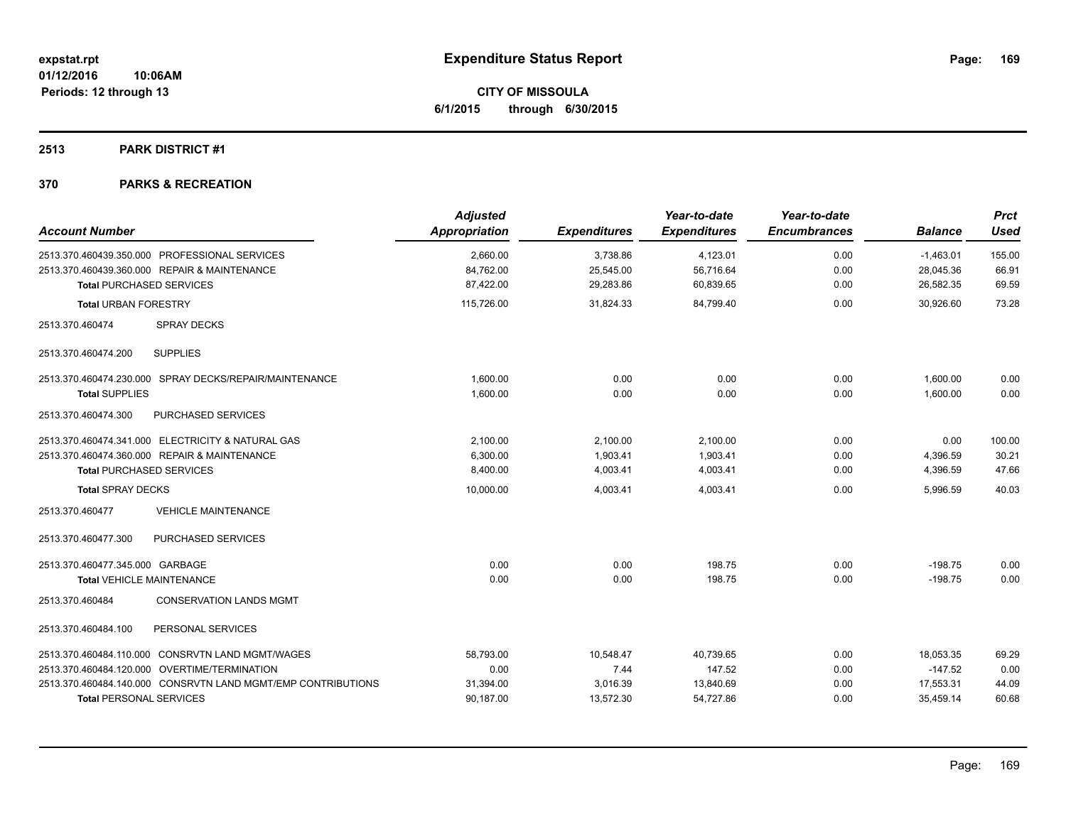**Periods: 12 through 13**

**CITY OF MISSOULA 6/1/2015 through 6/30/2015**

# **2513 PARK DISTRICT #1**

| <b>Account Number</b>                                        | <b>Adjusted</b><br><b>Appropriation</b> | <b>Expenditures</b> | Year-to-date<br><b>Expenditures</b> | Year-to-date<br><b>Encumbrances</b> | <b>Balance</b> | <b>Prct</b><br><b>Used</b> |
|--------------------------------------------------------------|-----------------------------------------|---------------------|-------------------------------------|-------------------------------------|----------------|----------------------------|
| 2513.370.460439.350.000 PROFESSIONAL SERVICES                | 2,660.00                                | 3,738.86            | 4,123.01                            | 0.00                                | $-1,463.01$    | 155.00                     |
| 2513.370.460439.360.000 REPAIR & MAINTENANCE                 | 84,762.00                               | 25,545.00           | 56,716.64                           | 0.00                                | 28,045.36      | 66.91                      |
| <b>Total PURCHASED SERVICES</b>                              | 87,422.00                               | 29,283.86           | 60,839.65                           | 0.00                                | 26,582.35      | 69.59                      |
| <b>Total URBAN FORESTRY</b>                                  | 115,726.00                              | 31,824.33           | 84,799.40                           | 0.00                                | 30,926.60      | 73.28                      |
| 2513.370.460474<br><b>SPRAY DECKS</b>                        |                                         |                     |                                     |                                     |                |                            |
| <b>SUPPLIES</b><br>2513.370.460474.200                       |                                         |                     |                                     |                                     |                |                            |
| 2513.370.460474.230.000 SPRAY DECKS/REPAIR/MAINTENANCE       | 1,600.00                                | 0.00                | 0.00                                | 0.00                                | 1,600.00       | 0.00                       |
| <b>Total SUPPLIES</b>                                        | 1,600.00                                | 0.00                | 0.00                                | 0.00                                | 1.600.00       | 0.00                       |
| PURCHASED SERVICES<br>2513.370.460474.300                    |                                         |                     |                                     |                                     |                |                            |
| 2513.370.460474.341.000 ELECTRICITY & NATURAL GAS            | 2,100.00                                | 2,100.00            | 2,100.00                            | 0.00                                | 0.00           | 100.00                     |
| 2513.370.460474.360.000 REPAIR & MAINTENANCE                 | 6,300.00                                | 1,903.41            | 1,903.41                            | 0.00                                | 4,396.59       | 30.21                      |
| <b>Total PURCHASED SERVICES</b>                              | 8,400.00                                | 4,003.41            | 4,003.41                            | 0.00                                | 4,396.59       | 47.66                      |
| <b>Total SPRAY DECKS</b>                                     | 10,000.00                               | 4,003.41            | 4,003.41                            | 0.00                                | 5,996.59       | 40.03                      |
| <b>VEHICLE MAINTENANCE</b><br>2513.370.460477                |                                         |                     |                                     |                                     |                |                            |
| PURCHASED SERVICES<br>2513.370.460477.300                    |                                         |                     |                                     |                                     |                |                            |
| 2513.370.460477.345.000 GARBAGE                              | 0.00                                    | 0.00                | 198.75                              | 0.00                                | $-198.75$      | 0.00                       |
| <b>Total VEHICLE MAINTENANCE</b>                             | 0.00                                    | 0.00                | 198.75                              | 0.00                                | $-198.75$      | 0.00                       |
| 2513.370.460484<br><b>CONSERVATION LANDS MGMT</b>            |                                         |                     |                                     |                                     |                |                            |
| PERSONAL SERVICES<br>2513.370.460484.100                     |                                         |                     |                                     |                                     |                |                            |
| 2513.370.460484.110.000 CONSRVTN LAND MGMT/WAGES             | 58,793.00                               | 10,548.47           | 40,739.65                           | 0.00                                | 18,053.35      | 69.29                      |
| 2513.370.460484.120.000 OVERTIME/TERMINATION                 | 0.00                                    | 7.44                | 147.52                              | 0.00                                | $-147.52$      | 0.00                       |
| 2513.370.460484.140.000 CONSRVTN LAND MGMT/EMP CONTRIBUTIONS | 31,394.00                               | 3,016.39            | 13,840.69                           | 0.00                                | 17,553.31      | 44.09                      |
| <b>Total PERSONAL SERVICES</b>                               | 90,187.00                               | 13,572.30           | 54,727.86                           | 0.00                                | 35,459.14      | 60.68                      |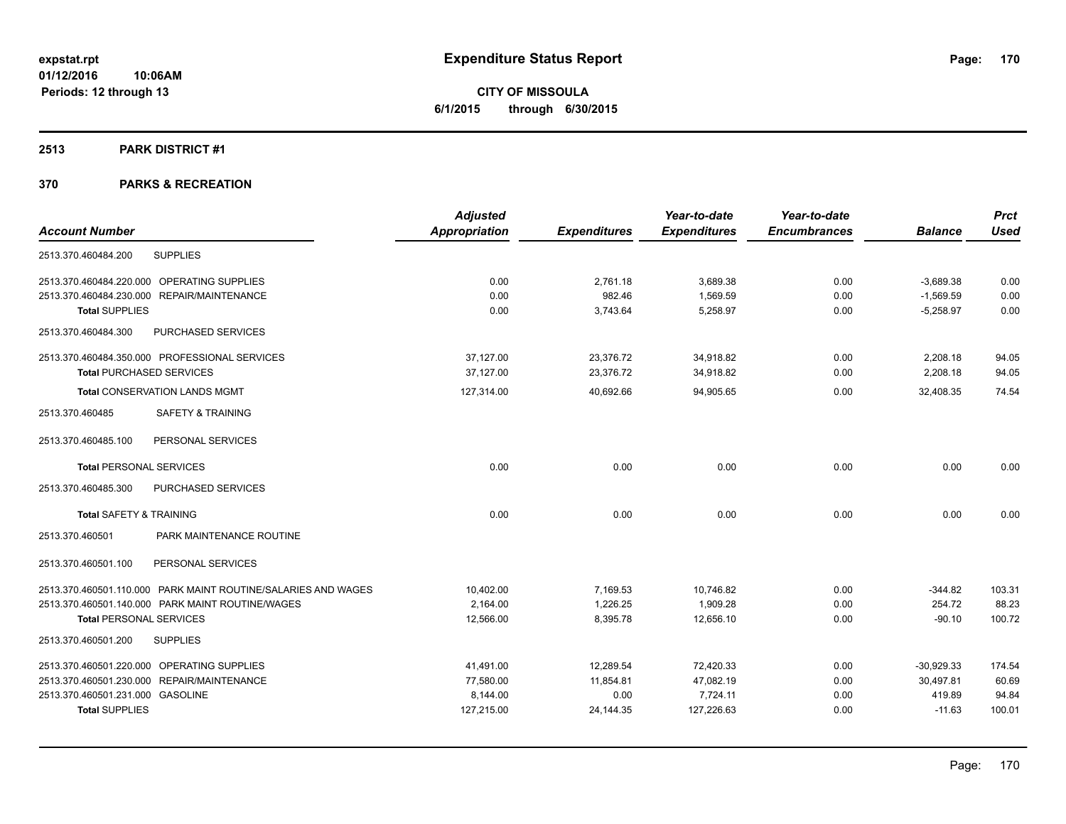**CITY OF MISSOULA 6/1/2015 through 6/30/2015**

#### **2513 PARK DISTRICT #1**

| <b>Adjusted</b>      |                     | Year-to-date        | Year-to-date        |                | <b>Prct</b> |
|----------------------|---------------------|---------------------|---------------------|----------------|-------------|
| <b>Appropriation</b> | <b>Expenditures</b> | <b>Expenditures</b> | <b>Encumbrances</b> | <b>Balance</b> | <b>Used</b> |
|                      |                     |                     |                     |                |             |
| 0.00                 | 2.761.18            | 3,689.38            | 0.00                | $-3,689.38$    | 0.00        |
| 0.00                 | 982.46              | 1.569.59            | 0.00                | $-1,569.59$    | 0.00        |
| 0.00                 | 3,743.64            | 5,258.97            | 0.00                | $-5,258.97$    | 0.00        |
|                      |                     |                     |                     |                |             |
| 37.127.00            | 23,376.72           | 34,918.82           | 0.00                | 2,208.18       | 94.05       |
| 37.127.00            | 23,376.72           | 34,918.82           | 0.00                | 2,208.18       | 94.05       |
| 127,314.00           | 40,692.66           | 94,905.65           | 0.00                | 32,408.35      | 74.54       |
|                      |                     |                     |                     |                |             |
|                      |                     |                     |                     |                |             |
| 0.00                 | 0.00                | 0.00                | 0.00                | 0.00           | 0.00        |
|                      |                     |                     |                     |                |             |
| 0.00                 | 0.00                | 0.00                | 0.00                | 0.00           | 0.00        |
|                      |                     |                     |                     |                |             |
|                      |                     |                     |                     |                |             |
| 10,402.00            | 7,169.53            | 10,746.82           | 0.00                | $-344.82$      | 103.31      |
| 2.164.00             | 1,226.25            | 1,909.28            | 0.00                | 254.72         | 88.23       |
| 12,566.00            | 8,395.78            | 12.656.10           | 0.00                | $-90.10$       | 100.72      |
|                      |                     |                     |                     |                |             |
| 41,491.00            | 12,289.54           | 72,420.33           | 0.00                | $-30,929.33$   | 174.54      |
| 77,580.00            | 11,854.81           | 47,082.19           | 0.00                | 30.497.81      | 60.69       |
| 8.144.00             | 0.00                | 7,724.11            | 0.00                | 419.89         | 94.84       |
| 127,215.00           | 24,144.35           | 127,226.63          | 0.00                | $-11.63$       | 100.01      |
|                      |                     |                     |                     |                |             |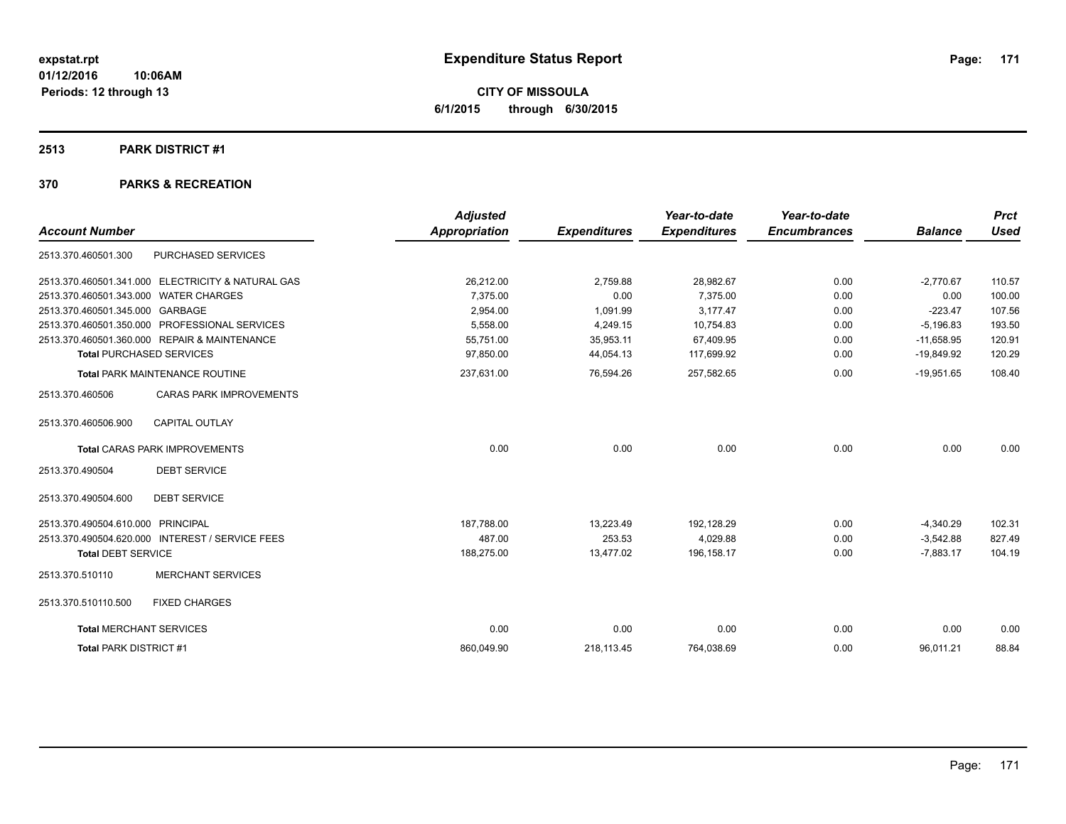**CITY OF MISSOULA 6/1/2015 through 6/30/2015**

#### **2513 PARK DISTRICT #1**

|                                       |                                                   | <b>Adjusted</b>      |                     | Year-to-date        | Year-to-date        |                | <b>Prct</b> |
|---------------------------------------|---------------------------------------------------|----------------------|---------------------|---------------------|---------------------|----------------|-------------|
| <b>Account Number</b>                 |                                                   | <b>Appropriation</b> | <b>Expenditures</b> | <b>Expenditures</b> | <b>Encumbrances</b> | <b>Balance</b> | <b>Used</b> |
| 2513.370.460501.300                   | PURCHASED SERVICES                                |                      |                     |                     |                     |                |             |
|                                       | 2513.370.460501.341.000 ELECTRICITY & NATURAL GAS | 26,212.00            | 2,759.88            | 28,982.67           | 0.00                | $-2,770.67$    | 110.57      |
| 2513.370.460501.343.000 WATER CHARGES |                                                   | 7.375.00             | 0.00                | 7.375.00            | 0.00                | 0.00           | 100.00      |
| 2513.370.460501.345.000 GARBAGE       |                                                   | 2,954.00             | 1,091.99            | 3.177.47            | 0.00                | $-223.47$      | 107.56      |
|                                       | 2513.370.460501.350.000 PROFESSIONAL SERVICES     | 5,558.00             | 4,249.15            | 10,754.83           | 0.00                | $-5,196.83$    | 193.50      |
|                                       | 2513.370.460501.360.000 REPAIR & MAINTENANCE      | 55,751.00            | 35,953.11           | 67,409.95           | 0.00                | $-11,658.95$   | 120.91      |
| <b>Total PURCHASED SERVICES</b>       |                                                   | 97,850.00            | 44,054.13           | 117,699.92          | 0.00                | $-19,849.92$   | 120.29      |
|                                       | Total PARK MAINTENANCE ROUTINE                    | 237,631.00           | 76,594.26           | 257,582.65          | 0.00                | $-19,951.65$   | 108.40      |
| 2513.370.460506                       | <b>CARAS PARK IMPROVEMENTS</b>                    |                      |                     |                     |                     |                |             |
| 2513.370.460506.900                   | <b>CAPITAL OUTLAY</b>                             |                      |                     |                     |                     |                |             |
|                                       | <b>Total CARAS PARK IMPROVEMENTS</b>              | 0.00                 | 0.00                | 0.00                | 0.00                | 0.00           | 0.00        |
| 2513.370.490504                       | <b>DEBT SERVICE</b>                               |                      |                     |                     |                     |                |             |
| 2513.370.490504.600                   | <b>DEBT SERVICE</b>                               |                      |                     |                     |                     |                |             |
| 2513.370.490504.610.000 PRINCIPAL     |                                                   | 187,788.00           | 13,223.49           | 192,128.29          | 0.00                | $-4,340.29$    | 102.31      |
|                                       | 2513.370.490504.620.000 INTEREST / SERVICE FEES   | 487.00               | 253.53              | 4,029.88            | 0.00                | $-3,542.88$    | 827.49      |
| <b>Total DEBT SERVICE</b>             |                                                   | 188,275.00           | 13,477.02           | 196,158.17          | 0.00                | $-7,883.17$    | 104.19      |
| 2513.370.510110                       | <b>MERCHANT SERVICES</b>                          |                      |                     |                     |                     |                |             |
| 2513.370.510110.500                   | <b>FIXED CHARGES</b>                              |                      |                     |                     |                     |                |             |
| <b>Total MERCHANT SERVICES</b>        |                                                   | 0.00                 | 0.00                | 0.00                | 0.00                | 0.00           | 0.00        |
| <b>Total PARK DISTRICT #1</b>         |                                                   | 860,049.90           | 218,113.45          | 764,038.69          | 0.00                | 96,011.21      | 88.84       |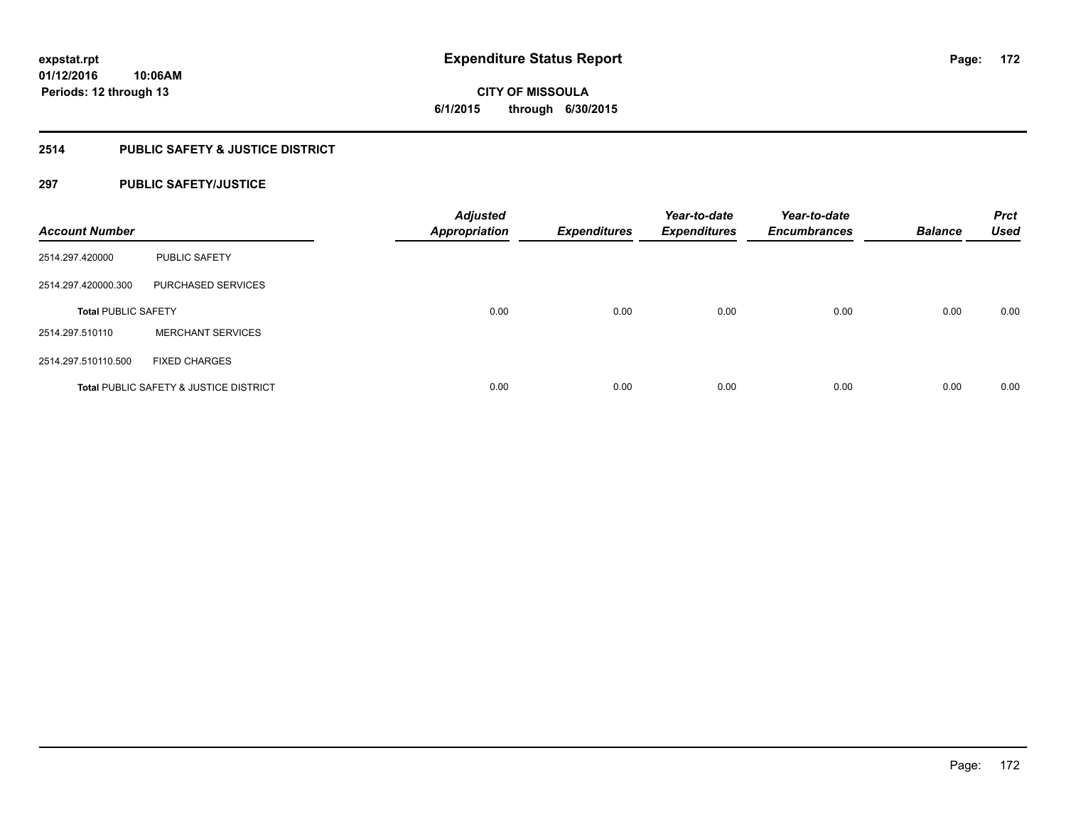**CITY OF MISSOULA 6/1/2015 through 6/30/2015**

# **2514 PUBLIC SAFETY & JUSTICE DISTRICT**

# **297 PUBLIC SAFETY/JUSTICE**

| <b>Account Number</b>      |                                                   | <b>Adjusted</b><br><b>Appropriation</b> | <b>Expenditures</b> | Year-to-date<br><b>Expenditures</b> | Year-to-date<br><b>Encumbrances</b> | <b>Balance</b> | <b>Prct</b><br><b>Used</b> |
|----------------------------|---------------------------------------------------|-----------------------------------------|---------------------|-------------------------------------|-------------------------------------|----------------|----------------------------|
| 2514.297.420000            | <b>PUBLIC SAFETY</b>                              |                                         |                     |                                     |                                     |                |                            |
| 2514.297.420000.300        | PURCHASED SERVICES                                |                                         |                     |                                     |                                     |                |                            |
| <b>Total PUBLIC SAFETY</b> |                                                   | 0.00                                    | 0.00                | 0.00                                | 0.00                                | 0.00           | 0.00                       |
| 2514.297.510110            | <b>MERCHANT SERVICES</b>                          |                                         |                     |                                     |                                     |                |                            |
| 2514.297.510110.500        | <b>FIXED CHARGES</b>                              |                                         |                     |                                     |                                     |                |                            |
|                            | <b>Total PUBLIC SAFETY &amp; JUSTICE DISTRICT</b> | 0.00                                    | 0.00                | 0.00                                | 0.00                                | 0.00           | 0.00                       |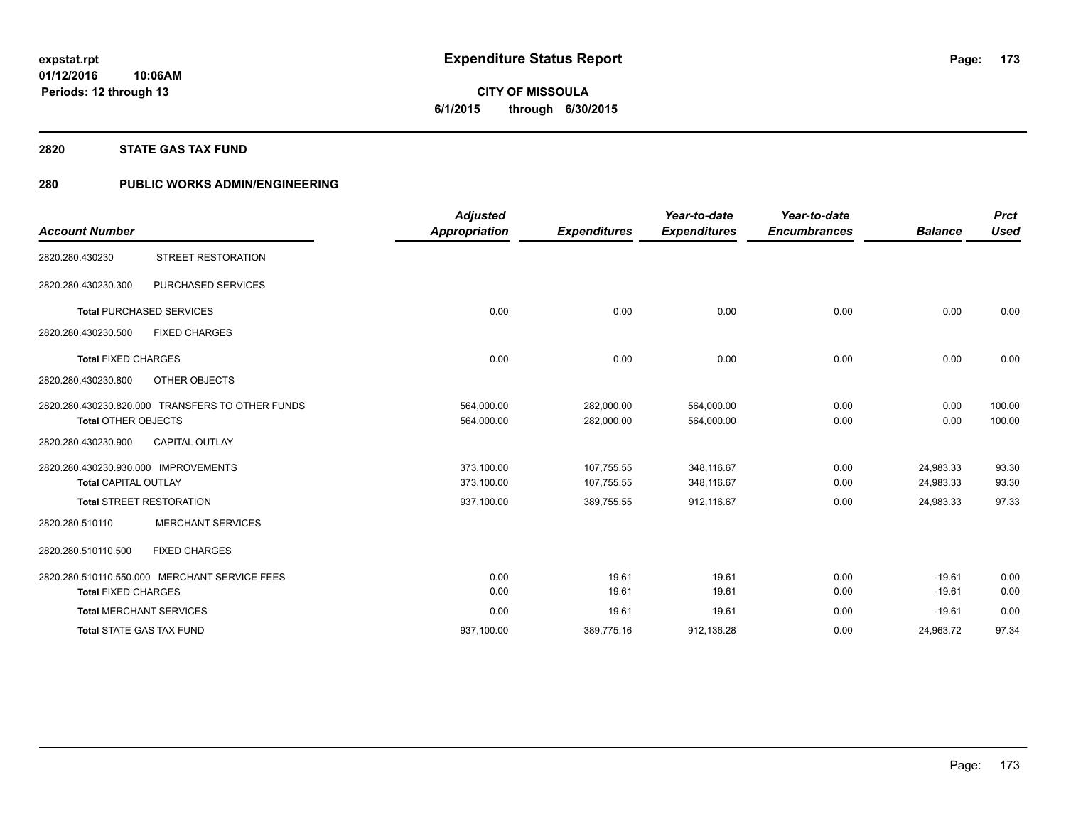**CITY OF MISSOULA 6/1/2015 through 6/30/2015**

#### **2820 STATE GAS TAX FUND**

# **280 PUBLIC WORKS ADMIN/ENGINEERING**

| <b>Account Number</b>                                               |                                                  | <b>Adjusted</b><br><b>Appropriation</b> | <b>Expenditures</b>      | Year-to-date<br><b>Expenditures</b> | Year-to-date<br><b>Encumbrances</b> | <b>Balance</b>         | <b>Prct</b><br><b>Used</b> |
|---------------------------------------------------------------------|--------------------------------------------------|-----------------------------------------|--------------------------|-------------------------------------|-------------------------------------|------------------------|----------------------------|
| 2820.280.430230                                                     | <b>STREET RESTORATION</b>                        |                                         |                          |                                     |                                     |                        |                            |
| 2820.280.430230.300                                                 | <b>PURCHASED SERVICES</b>                        |                                         |                          |                                     |                                     |                        |                            |
|                                                                     | <b>Total PURCHASED SERVICES</b>                  | 0.00                                    | 0.00                     | 0.00                                | 0.00                                | 0.00                   | 0.00                       |
| 2820.280.430230.500                                                 | <b>FIXED CHARGES</b>                             |                                         |                          |                                     |                                     |                        |                            |
| <b>Total FIXED CHARGES</b>                                          |                                                  | 0.00                                    | 0.00                     | 0.00                                | 0.00                                | 0.00                   | 0.00                       |
| 2820.280.430230.800                                                 | OTHER OBJECTS                                    |                                         |                          |                                     |                                     |                        |                            |
| <b>Total OTHER OBJECTS</b>                                          | 2820.280.430230.820.000 TRANSFERS TO OTHER FUNDS | 564,000.00<br>564,000.00                | 282.000.00<br>282,000.00 | 564.000.00<br>564,000.00            | 0.00<br>0.00                        | 0.00<br>0.00           | 100.00<br>100.00           |
| 2820.280.430230.900                                                 | <b>CAPITAL OUTLAY</b>                            |                                         |                          |                                     |                                     |                        |                            |
| 2820.280.430230.930.000 IMPROVEMENTS<br><b>Total CAPITAL OUTLAY</b> |                                                  | 373,100.00<br>373,100.00                | 107,755.55<br>107,755.55 | 348,116.67<br>348,116.67            | 0.00<br>0.00                        | 24,983.33<br>24,983.33 | 93.30<br>93.30             |
|                                                                     | <b>Total STREET RESTORATION</b>                  | 937,100.00                              | 389,755.55               | 912,116.67                          | 0.00                                | 24,983.33              | 97.33                      |
| 2820.280.510110                                                     | <b>MERCHANT SERVICES</b>                         |                                         |                          |                                     |                                     |                        |                            |
| 2820.280.510110.500                                                 | <b>FIXED CHARGES</b>                             |                                         |                          |                                     |                                     |                        |                            |
| <b>Total FIXED CHARGES</b>                                          | 2820.280.510110.550.000 MERCHANT SERVICE FEES    | 0.00<br>0.00                            | 19.61<br>19.61           | 19.61<br>19.61                      | 0.00<br>0.00                        | $-19.61$<br>$-19.61$   | 0.00<br>0.00               |
|                                                                     | <b>Total MERCHANT SERVICES</b>                   | 0.00                                    | 19.61                    | 19.61                               | 0.00                                | $-19.61$               | 0.00                       |
|                                                                     | <b>Total STATE GAS TAX FUND</b>                  | 937,100.00                              | 389,775.16               | 912,136.28                          | 0.00                                | 24,963.72              | 97.34                      |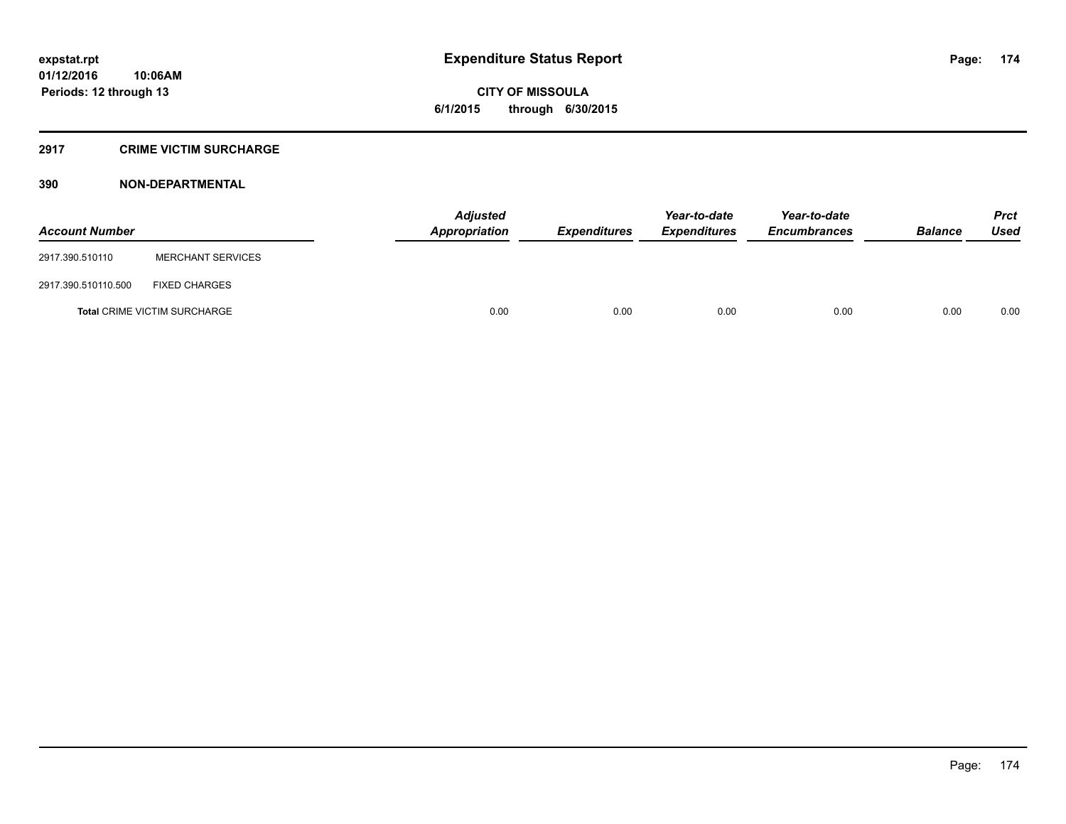# **CITY OF MISSOULA 6/1/2015 through 6/30/2015**

# **2917 CRIME VICTIM SURCHARGE**

| <b>Account Number</b> |                                     | <b>Adjusted</b><br>Appropriation | <b>Expenditures</b> | Year-to-date<br><b>Expenditures</b> | Year-to-date<br><b>Encumbrances</b> | <b>Balance</b> | Prct<br><b>Used</b> |
|-----------------------|-------------------------------------|----------------------------------|---------------------|-------------------------------------|-------------------------------------|----------------|---------------------|
| 2917.390.510110       | <b>MERCHANT SERVICES</b>            |                                  |                     |                                     |                                     |                |                     |
| 2917.390.510110.500   | <b>FIXED CHARGES</b>                |                                  |                     |                                     |                                     |                |                     |
|                       | <b>Total CRIME VICTIM SURCHARGE</b> | 0.00                             | 0.00                | 0.00                                | 0.00                                | 0.00           | 0.00                |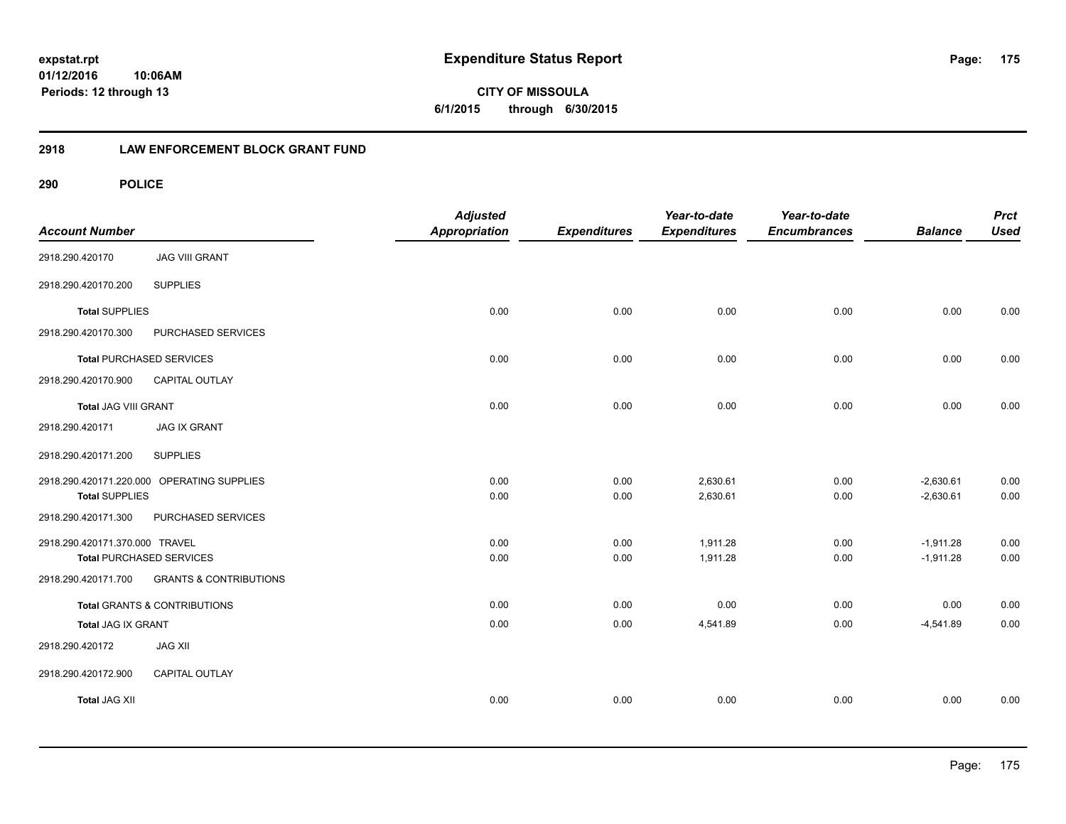**175**

**CITY OF MISSOULA 6/1/2015 through 6/30/2015**

# **2918 LAW ENFORCEMENT BLOCK GRANT FUND**

| <b>Account Number</b>           |                                            | <b>Adjusted</b><br><b>Appropriation</b> | <b>Expenditures</b> | Year-to-date<br><b>Expenditures</b> | Year-to-date<br><b>Encumbrances</b> | <b>Balance</b> | <b>Prct</b><br><b>Used</b> |
|---------------------------------|--------------------------------------------|-----------------------------------------|---------------------|-------------------------------------|-------------------------------------|----------------|----------------------------|
| 2918.290.420170                 | <b>JAG VIII GRANT</b>                      |                                         |                     |                                     |                                     |                |                            |
| 2918.290.420170.200             | <b>SUPPLIES</b>                            |                                         |                     |                                     |                                     |                |                            |
| <b>Total SUPPLIES</b>           |                                            | 0.00                                    | 0.00                | 0.00                                | 0.00                                | 0.00           | 0.00                       |
| 2918.290.420170.300             | PURCHASED SERVICES                         |                                         |                     |                                     |                                     |                |                            |
| <b>Total PURCHASED SERVICES</b> |                                            | 0.00                                    | 0.00                | 0.00                                | 0.00                                | 0.00           | 0.00                       |
| 2918.290.420170.900             | CAPITAL OUTLAY                             |                                         |                     |                                     |                                     |                |                            |
| <b>Total JAG VIII GRANT</b>     |                                            | 0.00                                    | 0.00                | 0.00                                | 0.00                                | 0.00           | 0.00                       |
| 2918.290.420171                 | <b>JAG IX GRANT</b>                        |                                         |                     |                                     |                                     |                |                            |
| 2918.290.420171.200             | <b>SUPPLIES</b>                            |                                         |                     |                                     |                                     |                |                            |
|                                 | 2918.290.420171.220.000 OPERATING SUPPLIES | 0.00                                    | 0.00                | 2,630.61                            | 0.00                                | $-2,630.61$    | 0.00                       |
| <b>Total SUPPLIES</b>           |                                            | 0.00                                    | 0.00                | 2,630.61                            | 0.00                                | $-2,630.61$    | 0.00                       |
| 2918.290.420171.300             | PURCHASED SERVICES                         |                                         |                     |                                     |                                     |                |                            |
| 2918.290.420171.370.000 TRAVEL  |                                            | 0.00                                    | 0.00                | 1,911.28                            | 0.00                                | $-1,911.28$    | 0.00                       |
| <b>Total PURCHASED SERVICES</b> |                                            | 0.00                                    | 0.00                | 1,911.28                            | 0.00                                | $-1,911.28$    | 0.00                       |
| 2918.290.420171.700             | <b>GRANTS &amp; CONTRIBUTIONS</b>          |                                         |                     |                                     |                                     |                |                            |
|                                 | <b>Total GRANTS &amp; CONTRIBUTIONS</b>    | 0.00                                    | 0.00                | 0.00                                | 0.00                                | 0.00           | 0.00                       |
| Total JAG IX GRANT              |                                            | 0.00                                    | 0.00                | 4,541.89                            | 0.00                                | $-4,541.89$    | 0.00                       |
| 2918.290.420172                 | <b>JAG XII</b>                             |                                         |                     |                                     |                                     |                |                            |
| 2918.290.420172.900             | <b>CAPITAL OUTLAY</b>                      |                                         |                     |                                     |                                     |                |                            |
| <b>Total JAG XII</b>            |                                            | 0.00                                    | 0.00                | 0.00                                | 0.00                                | 0.00           | 0.00                       |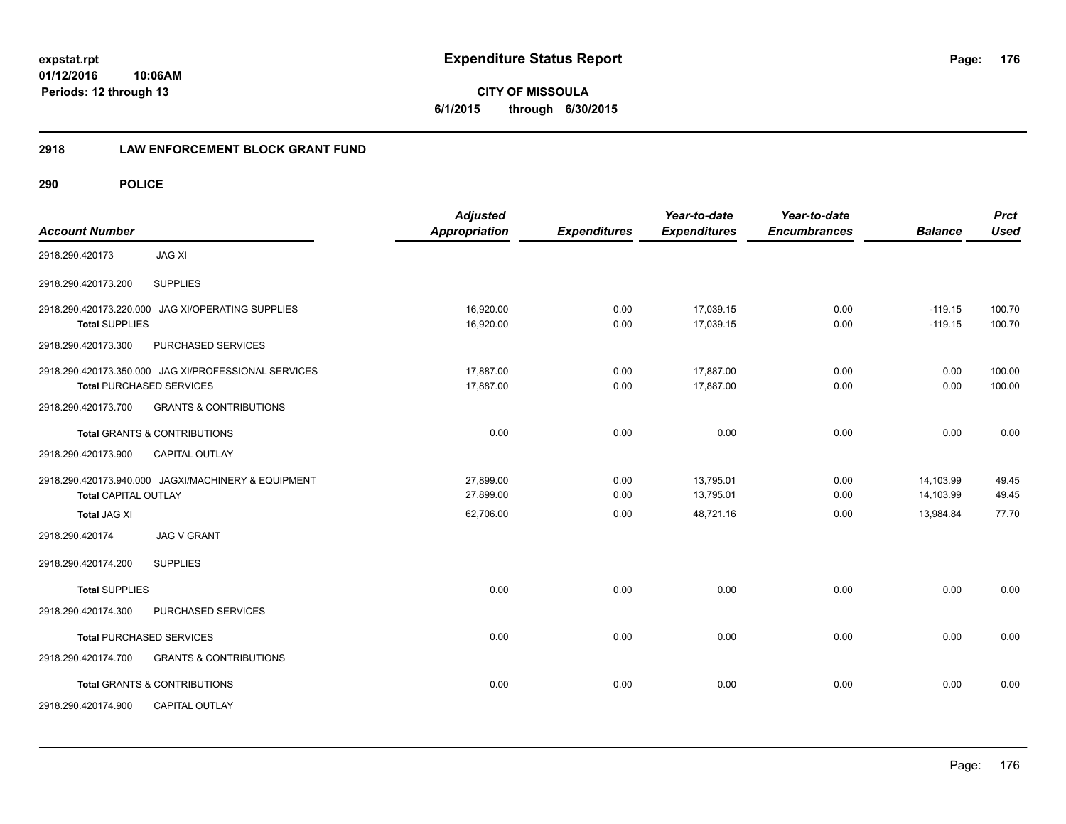# **2918 LAW ENFORCEMENT BLOCK GRANT FUND**

| <b>Account Number</b>                            |                                                                                         | <b>Adjusted</b><br><b>Appropriation</b> | <b>Expenditures</b> | Year-to-date<br><b>Expenditures</b> | Year-to-date<br><b>Encumbrances</b> | <b>Balance</b>         | <b>Prct</b><br><b>Used</b> |
|--------------------------------------------------|-----------------------------------------------------------------------------------------|-----------------------------------------|---------------------|-------------------------------------|-------------------------------------|------------------------|----------------------------|
| 2918.290.420173                                  | <b>JAG XI</b>                                                                           |                                         |                     |                                     |                                     |                        |                            |
| 2918.290.420173.200                              | <b>SUPPLIES</b>                                                                         |                                         |                     |                                     |                                     |                        |                            |
| 2918.290.420173.220.000<br><b>Total SUPPLIES</b> | <b>JAG XI/OPERATING SUPPLIES</b>                                                        | 16.920.00<br>16,920.00                  | 0.00<br>0.00        | 17.039.15<br>17,039.15              | 0.00<br>0.00                        | $-119.15$<br>$-119.15$ | 100.70<br>100.70           |
| 2918.290.420173.300                              | PURCHASED SERVICES                                                                      |                                         |                     |                                     |                                     |                        |                            |
|                                                  | 2918.290.420173.350.000 JAG XI/PROFESSIONAL SERVICES<br><b>Total PURCHASED SERVICES</b> | 17,887.00<br>17,887.00                  | 0.00<br>0.00        | 17,887.00<br>17,887.00              | 0.00<br>0.00                        | 0.00<br>0.00           | 100.00<br>100.00           |
| 2918.290.420173.700                              | <b>GRANTS &amp; CONTRIBUTIONS</b>                                                       |                                         |                     |                                     |                                     |                        |                            |
|                                                  | <b>Total GRANTS &amp; CONTRIBUTIONS</b>                                                 | 0.00                                    | 0.00                | 0.00                                | 0.00                                | 0.00                   | 0.00                       |
| 2918.290.420173.900                              | <b>CAPITAL OUTLAY</b>                                                                   |                                         |                     |                                     |                                     |                        |                            |
| <b>Total CAPITAL OUTLAY</b>                      | 2918.290.420173.940.000 JAGXI/MACHINERY & EQUIPMENT                                     | 27,899.00<br>27.899.00                  | 0.00<br>0.00        | 13,795.01<br>13,795.01              | 0.00<br>0.00                        | 14,103.99<br>14,103.99 | 49.45<br>49.45             |
| <b>Total JAG XI</b>                              |                                                                                         | 62,706.00                               | 0.00                | 48,721.16                           | 0.00                                | 13,984.84              | 77.70                      |
| 2918.290.420174                                  | <b>JAG V GRANT</b>                                                                      |                                         |                     |                                     |                                     |                        |                            |
| 2918.290.420174.200                              | <b>SUPPLIES</b>                                                                         |                                         |                     |                                     |                                     |                        |                            |
| <b>Total SUPPLIES</b>                            |                                                                                         | 0.00                                    | 0.00                | 0.00                                | 0.00                                | 0.00                   | 0.00                       |
| 2918.290.420174.300                              | PURCHASED SERVICES                                                                      |                                         |                     |                                     |                                     |                        |                            |
|                                                  | <b>Total PURCHASED SERVICES</b>                                                         | 0.00                                    | 0.00                | 0.00                                | 0.00                                | 0.00                   | 0.00                       |
| 2918.290.420174.700                              | <b>GRANTS &amp; CONTRIBUTIONS</b>                                                       |                                         |                     |                                     |                                     |                        |                            |
|                                                  | Total GRANTS & CONTRIBUTIONS                                                            | 0.00                                    | 0.00                | 0.00                                | 0.00                                | 0.00                   | 0.00                       |
| 2918.290.420174.900                              | <b>CAPITAL OUTLAY</b>                                                                   |                                         |                     |                                     |                                     |                        |                            |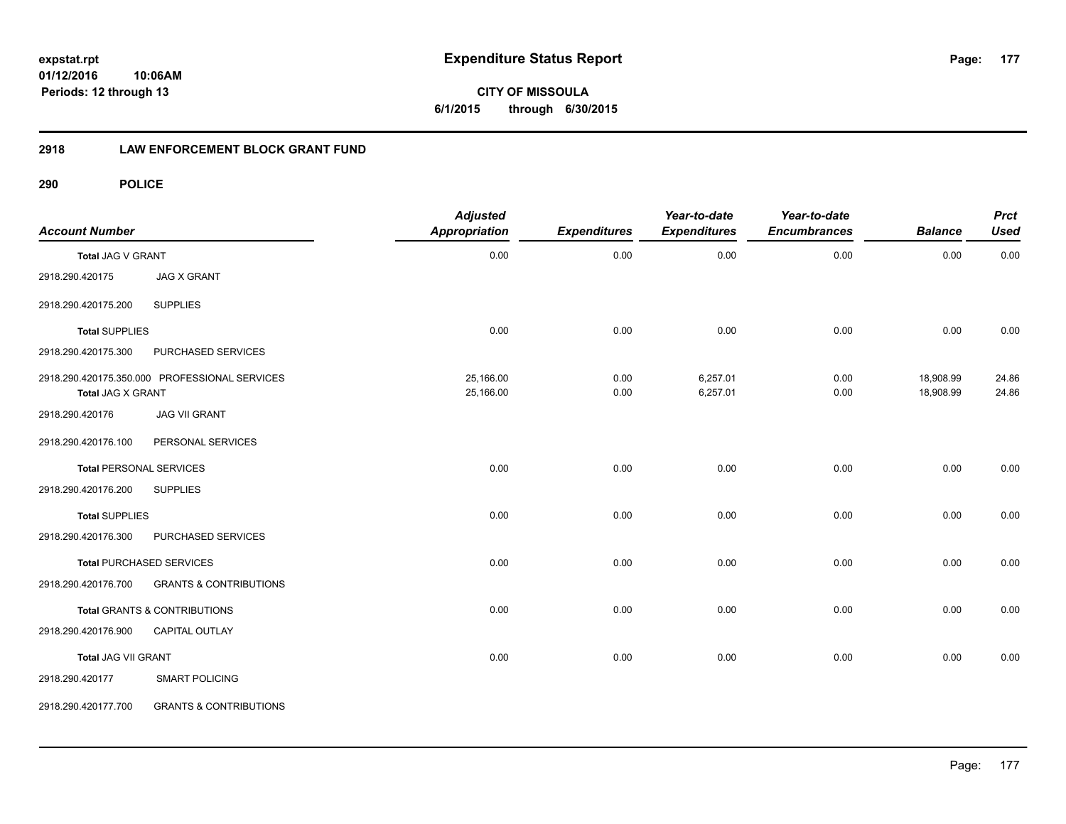# **2918 LAW ENFORCEMENT BLOCK GRANT FUND**

| <b>Account Number</b>      |                                               | <b>Adjusted</b><br><b>Appropriation</b> | <b>Expenditures</b> | Year-to-date<br><b>Expenditures</b> | Year-to-date<br><b>Encumbrances</b> | <b>Balance</b>         | <b>Prct</b><br><b>Used</b> |
|----------------------------|-----------------------------------------------|-----------------------------------------|---------------------|-------------------------------------|-------------------------------------|------------------------|----------------------------|
| Total JAG V GRANT          |                                               | 0.00                                    | 0.00                | 0.00                                | 0.00                                | 0.00                   | 0.00                       |
| 2918.290.420175            | <b>JAG X GRANT</b>                            |                                         |                     |                                     |                                     |                        |                            |
| 2918.290.420175.200        | <b>SUPPLIES</b>                               |                                         |                     |                                     |                                     |                        |                            |
| <b>Total SUPPLIES</b>      |                                               | 0.00                                    | 0.00                | 0.00                                | 0.00                                | 0.00                   | 0.00                       |
| 2918.290.420175.300        | PURCHASED SERVICES                            |                                         |                     |                                     |                                     |                        |                            |
| <b>Total JAG X GRANT</b>   | 2918.290.420175.350.000 PROFESSIONAL SERVICES | 25,166.00<br>25,166.00                  | 0.00<br>0.00        | 6,257.01<br>6,257.01                | 0.00<br>0.00                        | 18,908.99<br>18,908.99 | 24.86<br>24.86             |
| 2918.290.420176            | <b>JAG VII GRANT</b>                          |                                         |                     |                                     |                                     |                        |                            |
| 2918.290.420176.100        | PERSONAL SERVICES                             |                                         |                     |                                     |                                     |                        |                            |
|                            | <b>Total PERSONAL SERVICES</b>                | 0.00                                    | 0.00                | 0.00                                | 0.00                                | 0.00                   | 0.00                       |
| 2918.290.420176.200        | <b>SUPPLIES</b>                               |                                         |                     |                                     |                                     |                        |                            |
| <b>Total SUPPLIES</b>      |                                               | 0.00                                    | 0.00                | 0.00                                | 0.00                                | 0.00                   | 0.00                       |
| 2918.290.420176.300        | PURCHASED SERVICES                            |                                         |                     |                                     |                                     |                        |                            |
|                            | <b>Total PURCHASED SERVICES</b>               | 0.00                                    | 0.00                | 0.00                                | 0.00                                | 0.00                   | 0.00                       |
| 2918.290.420176.700        | <b>GRANTS &amp; CONTRIBUTIONS</b>             |                                         |                     |                                     |                                     |                        |                            |
|                            | Total GRANTS & CONTRIBUTIONS                  | 0.00                                    | 0.00                | 0.00                                | 0.00                                | 0.00                   | 0.00                       |
| 2918.290.420176.900        | CAPITAL OUTLAY                                |                                         |                     |                                     |                                     |                        |                            |
| <b>Total JAG VII GRANT</b> |                                               | 0.00                                    | 0.00                | 0.00                                | 0.00                                | 0.00                   | 0.00                       |
| 2918.290.420177            | <b>SMART POLICING</b>                         |                                         |                     |                                     |                                     |                        |                            |
| 2918.290.420177.700        | <b>GRANTS &amp; CONTRIBUTIONS</b>             |                                         |                     |                                     |                                     |                        |                            |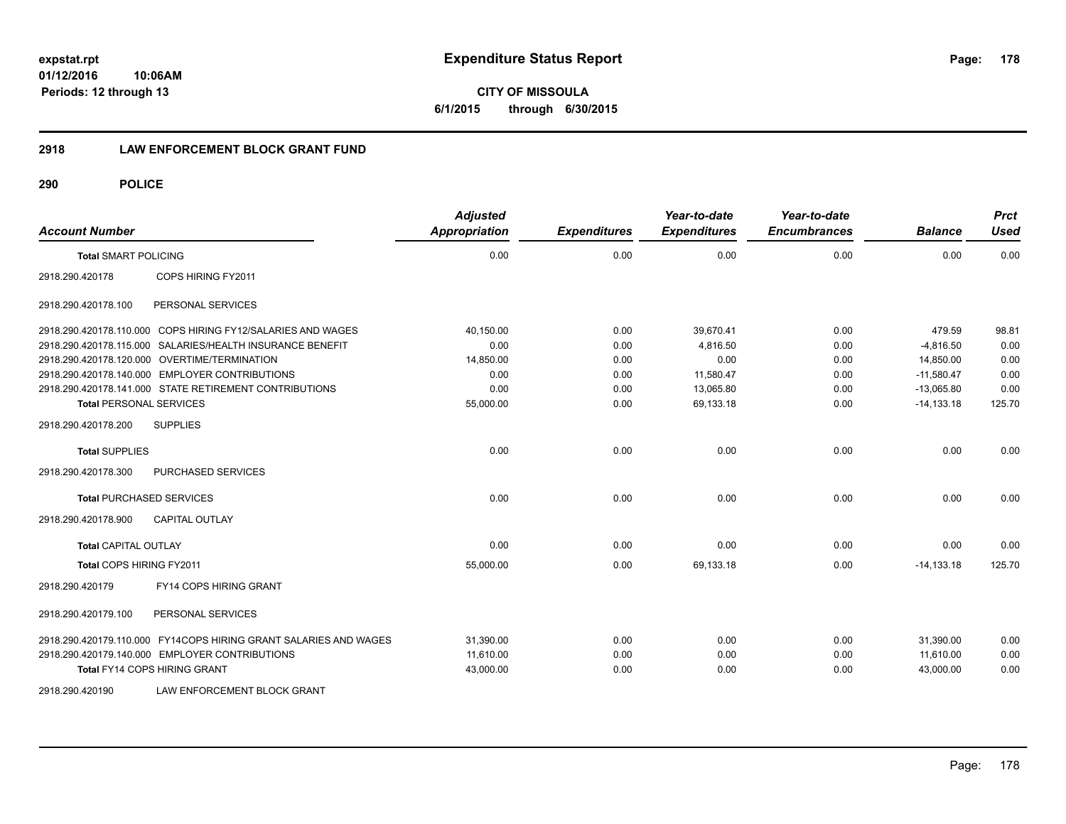**CITY OF MISSOULA 6/1/2015 through 6/30/2015**

#### **2918 LAW ENFORCEMENT BLOCK GRANT FUND**

| <b>Account Number</b>                                            | <b>Adjusted</b><br><b>Appropriation</b> | <b>Expenditures</b> | Year-to-date<br><b>Expenditures</b> | Year-to-date<br><b>Encumbrances</b> | <b>Balance</b> | <b>Prct</b><br><b>Used</b> |
|------------------------------------------------------------------|-----------------------------------------|---------------------|-------------------------------------|-------------------------------------|----------------|----------------------------|
| <b>Total SMART POLICING</b>                                      | 0.00                                    | 0.00                | 0.00                                | 0.00                                | 0.00           | 0.00                       |
| COPS HIRING FY2011<br>2918.290.420178                            |                                         |                     |                                     |                                     |                |                            |
| 2918.290.420178.100<br>PERSONAL SERVICES                         |                                         |                     |                                     |                                     |                |                            |
| 2918.290.420178.110.000 COPS HIRING FY12/SALARIES AND WAGES      | 40.150.00                               | 0.00                | 39.670.41                           | 0.00                                | 479.59         | 98.81                      |
| 2918.290.420178.115.000 SALARIES/HEALTH INSURANCE BENEFIT        | 0.00                                    | 0.00                | 4,816.50                            | 0.00                                | $-4,816.50$    | 0.00                       |
| 2918.290.420178.120.000 OVERTIME/TERMINATION                     | 14,850.00                               | 0.00                | 0.00                                | 0.00                                | 14,850.00      | 0.00                       |
| 2918.290.420178.140.000 EMPLOYER CONTRIBUTIONS                   | 0.00                                    | 0.00                | 11,580.47                           | 0.00                                | $-11,580.47$   | 0.00                       |
| 2918.290.420178.141.000 STATE RETIREMENT CONTRIBUTIONS           | 0.00                                    | 0.00                | 13.065.80                           | 0.00                                | $-13.065.80$   | 0.00                       |
| <b>Total PERSONAL SERVICES</b>                                   | 55,000.00                               | 0.00                | 69,133.18                           | 0.00                                | $-14, 133.18$  | 125.70                     |
| 2918.290.420178.200<br><b>SUPPLIES</b>                           |                                         |                     |                                     |                                     |                |                            |
| <b>Total SUPPLIES</b>                                            | 0.00                                    | 0.00                | 0.00                                | 0.00                                | 0.00           | 0.00                       |
| PURCHASED SERVICES<br>2918.290.420178.300                        |                                         |                     |                                     |                                     |                |                            |
| <b>Total PURCHASED SERVICES</b>                                  | 0.00                                    | 0.00                | 0.00                                | 0.00                                | 0.00           | 0.00                       |
| 2918.290.420178.900<br><b>CAPITAL OUTLAY</b>                     |                                         |                     |                                     |                                     |                |                            |
| <b>Total CAPITAL OUTLAY</b>                                      | 0.00                                    | 0.00                | 0.00                                | 0.00                                | 0.00           | 0.00                       |
| Total COPS HIRING FY2011                                         | 55.000.00                               | 0.00                | 69,133.18                           | 0.00                                | $-14, 133.18$  | 125.70                     |
| FY14 COPS HIRING GRANT<br>2918.290.420179                        |                                         |                     |                                     |                                     |                |                            |
| 2918.290.420179.100<br>PERSONAL SERVICES                         |                                         |                     |                                     |                                     |                |                            |
| 2918.290.420179.110.000 FY14COPS HIRING GRANT SALARIES AND WAGES | 31,390.00                               | 0.00                | 0.00                                | 0.00                                | 31,390.00      | 0.00                       |
| 2918.290.420179.140.000 EMPLOYER CONTRIBUTIONS                   | 11,610.00                               | 0.00                | 0.00                                | 0.00                                | 11,610.00      | 0.00                       |
| <b>Total FY14 COPS HIRING GRANT</b>                              | 43,000.00                               | 0.00                | 0.00                                | 0.00                                | 43,000.00      | 0.00                       |
| 2918.290.420190<br>LAW ENFORCEMENT BLOCK GRANT                   |                                         |                     |                                     |                                     |                |                            |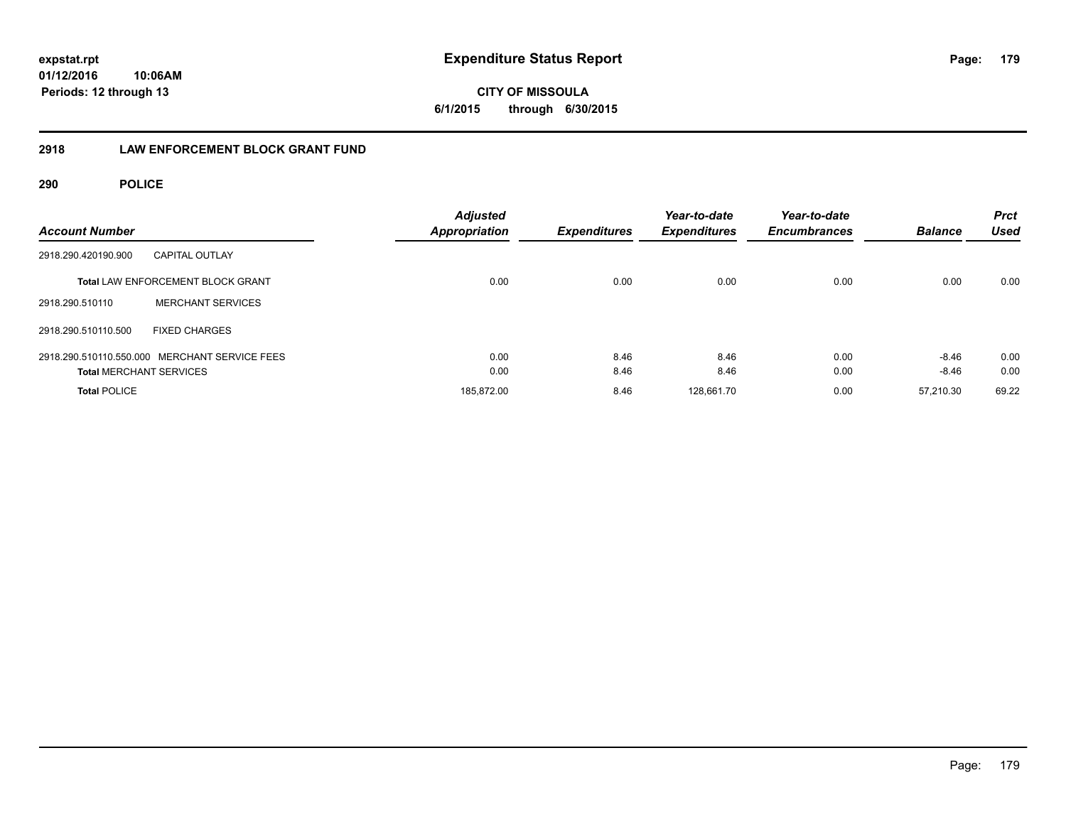**CITY OF MISSOULA 6/1/2015 through 6/30/2015**

# **2918 LAW ENFORCEMENT BLOCK GRANT FUND**

| <b>Account Number</b>                         |                                          | <b>Adjusted</b><br><b>Appropriation</b> | <b>Expenditures</b> | Year-to-date<br><b>Expenditures</b> | Year-to-date<br><b>Encumbrances</b> | <b>Balance</b> | <b>Prct</b><br><b>Used</b> |
|-----------------------------------------------|------------------------------------------|-----------------------------------------|---------------------|-------------------------------------|-------------------------------------|----------------|----------------------------|
| 2918.290.420190.900                           | <b>CAPITAL OUTLAY</b>                    |                                         |                     |                                     |                                     |                |                            |
|                                               | <b>Total LAW ENFORCEMENT BLOCK GRANT</b> | 0.00                                    | 0.00                | 0.00                                | 0.00                                | 0.00           | 0.00                       |
| 2918.290.510110                               | <b>MERCHANT SERVICES</b>                 |                                         |                     |                                     |                                     |                |                            |
| 2918.290.510110.500                           | <b>FIXED CHARGES</b>                     |                                         |                     |                                     |                                     |                |                            |
| 2918.290.510110.550.000 MERCHANT SERVICE FEES |                                          | 0.00                                    | 8.46                | 8.46                                | 0.00                                | $-8.46$        | 0.00                       |
| <b>Total MERCHANT SERVICES</b>                |                                          | 0.00                                    | 8.46                | 8.46                                | 0.00                                | $-8.46$        | 0.00                       |
| <b>Total POLICE</b>                           |                                          | 185.872.00                              | 8.46                | 128.661.70                          | 0.00                                | 57.210.30      | 69.22                      |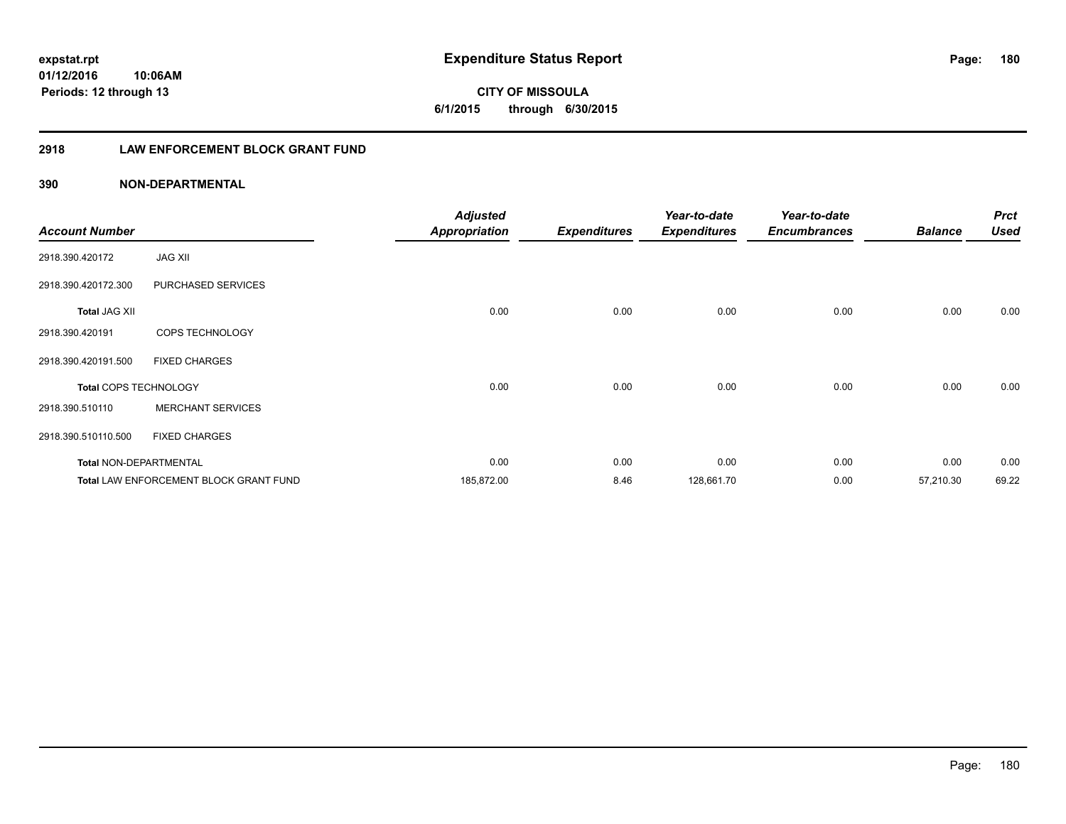**CITY OF MISSOULA 6/1/2015 through 6/30/2015**

# **2918 LAW ENFORCEMENT BLOCK GRANT FUND**

| <b>Account Number</b>         |                                        | <b>Adjusted</b><br><b>Appropriation</b> | <b>Expenditures</b> | Year-to-date<br><b>Expenditures</b> | Year-to-date<br><b>Encumbrances</b> | <b>Balance</b> | <b>Prct</b><br>Used |
|-------------------------------|----------------------------------------|-----------------------------------------|---------------------|-------------------------------------|-------------------------------------|----------------|---------------------|
| 2918.390.420172               | <b>JAG XII</b>                         |                                         |                     |                                     |                                     |                |                     |
| 2918.390.420172.300           | PURCHASED SERVICES                     |                                         |                     |                                     |                                     |                |                     |
| <b>Total JAG XII</b>          |                                        | 0.00                                    | 0.00                | 0.00                                | 0.00                                | 0.00           | 0.00                |
| 2918.390.420191               | COPS TECHNOLOGY                        |                                         |                     |                                     |                                     |                |                     |
| 2918.390.420191.500           | <b>FIXED CHARGES</b>                   |                                         |                     |                                     |                                     |                |                     |
| <b>Total COPS TECHNOLOGY</b>  |                                        | 0.00                                    | 0.00                | 0.00                                | 0.00                                | 0.00           | 0.00                |
| 2918.390.510110               | <b>MERCHANT SERVICES</b>               |                                         |                     |                                     |                                     |                |                     |
| 2918.390.510110.500           | <b>FIXED CHARGES</b>                   |                                         |                     |                                     |                                     |                |                     |
| <b>Total NON-DEPARTMENTAL</b> |                                        | 0.00                                    | 0.00                | 0.00                                | 0.00                                | 0.00           | 0.00                |
|                               | Total LAW ENFORCEMENT BLOCK GRANT FUND | 185,872.00                              | 8.46                | 128,661.70                          | 0.00                                | 57,210.30      | 69.22               |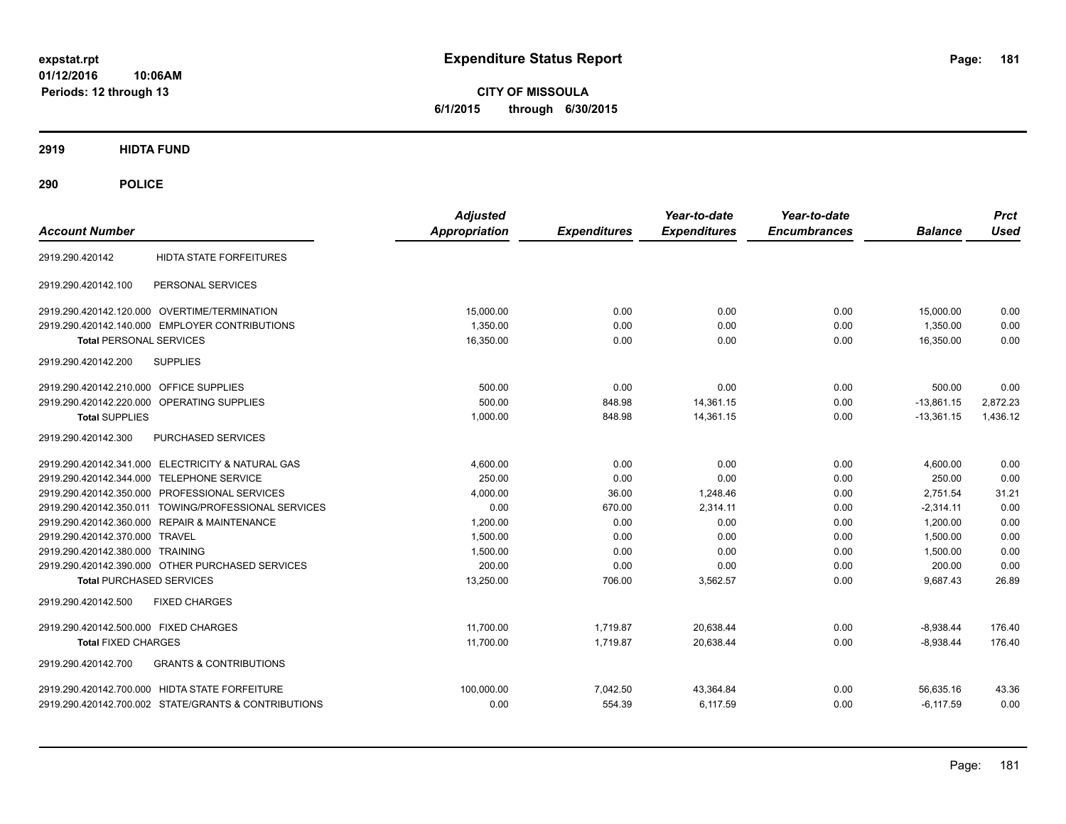**CITY OF MISSOULA 6/1/2015 through 6/30/2015**

**2919 HIDTA FUND**

**290 POLICE**

| <b>Account Number</b>                                    | <b>Adjusted</b><br><b>Appropriation</b> | <b>Expenditures</b> | Year-to-date<br><b>Expenditures</b> | Year-to-date<br><b>Encumbrances</b> | <b>Balance</b> | <b>Prct</b><br><b>Used</b> |
|----------------------------------------------------------|-----------------------------------------|---------------------|-------------------------------------|-------------------------------------|----------------|----------------------------|
| <b>HIDTA STATE FORFEITURES</b><br>2919.290.420142        |                                         |                     |                                     |                                     |                |                            |
| PERSONAL SERVICES<br>2919.290.420142.100                 |                                         |                     |                                     |                                     |                |                            |
| 2919.290.420142.120.000 OVERTIME/TERMINATION             | 15,000.00                               | 0.00                | 0.00                                | 0.00                                | 15,000.00      | 0.00                       |
| 2919.290.420142.140.000 EMPLOYER CONTRIBUTIONS           | 1.350.00                                | 0.00                | 0.00                                | 0.00                                | 1.350.00       | 0.00                       |
| <b>Total PERSONAL SERVICES</b>                           | 16,350.00                               | 0.00                | 0.00                                | 0.00                                | 16,350.00      | 0.00                       |
| <b>SUPPLIES</b><br>2919.290.420142.200                   |                                         |                     |                                     |                                     |                |                            |
| 2919.290.420142.210.000 OFFICE SUPPLIES                  | 500.00                                  | 0.00                | 0.00                                | 0.00                                | 500.00         | 0.00                       |
| 2919.290.420142.220.000 OPERATING SUPPLIES               | 500.00                                  | 848.98              | 14,361.15                           | 0.00                                | $-13,861.15$   | 2,872.23                   |
| <b>Total SUPPLIES</b>                                    | 1,000.00                                | 848.98              | 14,361.15                           | 0.00                                | $-13,361.15$   | 1,436.12                   |
| <b>PURCHASED SERVICES</b><br>2919.290.420142.300         |                                         |                     |                                     |                                     |                |                            |
| 2919.290.420142.341.000 ELECTRICITY & NATURAL GAS        | 4,600.00                                | 0.00                | 0.00                                | 0.00                                | 4,600.00       | 0.00                       |
| 2919.290.420142.344.000 TELEPHONE SERVICE                | 250.00                                  | 0.00                | 0.00                                | 0.00                                | 250.00         | 0.00                       |
| 2919.290.420142.350.000 PROFESSIONAL SERVICES            | 4,000.00                                | 36.00               | 1,248.46                            | 0.00                                | 2,751.54       | 31.21                      |
| 2919.290.420142.350.011 TOWING/PROFESSIONAL SERVICES     | 0.00                                    | 670.00              | 2,314.11                            | 0.00                                | $-2,314.11$    | 0.00                       |
| 2919.290.420142.360.000 REPAIR & MAINTENANCE             | 1.200.00                                | 0.00                | 0.00                                | 0.00                                | 1.200.00       | 0.00                       |
| 2919.290.420142.370.000 TRAVEL                           | 1.500.00                                | 0.00                | 0.00                                | 0.00                                | 1.500.00       | 0.00                       |
| 2919.290.420142.380.000 TRAINING                         | 1,500.00                                | 0.00                | 0.00                                | 0.00                                | 1,500.00       | 0.00                       |
| 2919.290.420142.390.000 OTHER PURCHASED SERVICES         | 200.00                                  | 0.00                | 0.00                                | 0.00                                | 200.00         | 0.00                       |
| <b>Total PURCHASED SERVICES</b>                          | 13,250.00                               | 706.00              | 3,562.57                            | 0.00                                | 9,687.43       | 26.89                      |
| 2919.290.420142.500<br><b>FIXED CHARGES</b>              |                                         |                     |                                     |                                     |                |                            |
| 2919.290.420142.500.000 FIXED CHARGES                    | 11,700.00                               | 1,719.87            | 20,638.44                           | 0.00                                | $-8,938.44$    | 176.40                     |
| <b>Total FIXED CHARGES</b>                               | 11,700.00                               | 1,719.87            | 20,638.44                           | 0.00                                | $-8,938.44$    | 176.40                     |
| 2919.290.420142.700<br><b>GRANTS &amp; CONTRIBUTIONS</b> |                                         |                     |                                     |                                     |                |                            |
| 2919.290.420142.700.000 HIDTA STATE FORFEITURE           | 100.000.00                              | 7,042.50            | 43,364.84                           | 0.00                                | 56,635.16      | 43.36                      |
| 2919.290.420142.700.002 STATE/GRANTS & CONTRIBUTIONS     | 0.00                                    | 554.39              | 6,117.59                            | 0.00                                | $-6, 117.59$   | 0.00                       |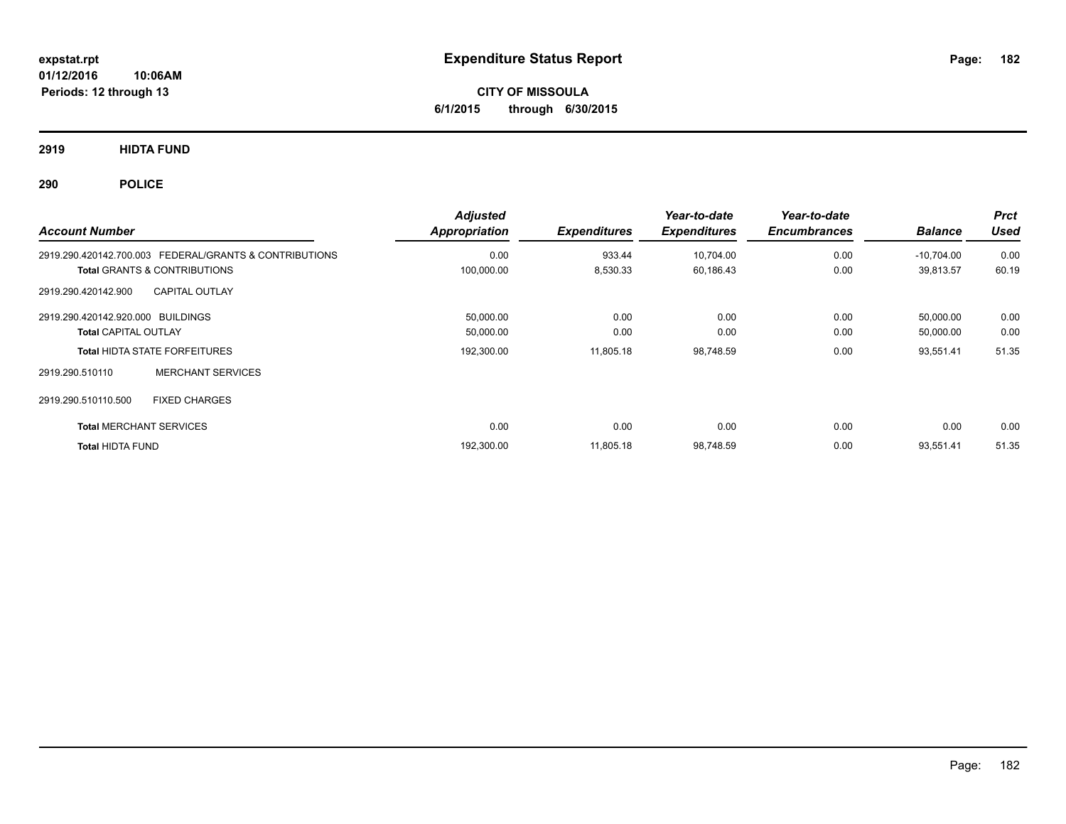**CITY OF MISSOULA 6/1/2015 through 6/30/2015**

**2919 HIDTA FUND**

**290 POLICE**

| <b>Account Number</b>                                                                             | <b>Adjusted</b><br>Appropriation | <b>Expenditures</b> | Year-to-date<br><b>Expenditures</b> | Year-to-date<br><b>Encumbrances</b> | <b>Balance</b>            | <b>Prct</b><br><b>Used</b> |
|---------------------------------------------------------------------------------------------------|----------------------------------|---------------------|-------------------------------------|-------------------------------------|---------------------------|----------------------------|
| 2919.290.420142.700.003 FEDERAL/GRANTS & CONTRIBUTIONS<br><b>Total GRANTS &amp; CONTRIBUTIONS</b> | 0.00<br>100,000.00               | 933.44<br>8,530.33  | 10,704.00<br>60,186.43              | 0.00<br>0.00                        | $-10.704.00$<br>39,813.57 | 0.00<br>60.19              |
| 2919.290.420142.900<br><b>CAPITAL OUTLAY</b>                                                      |                                  |                     |                                     |                                     |                           |                            |
| 2919.290.420142.920.000 BUILDINGS<br><b>Total CAPITAL OUTLAY</b>                                  | 50,000.00<br>50,000.00           | 0.00<br>0.00        | 0.00<br>0.00                        | 0.00<br>0.00                        | 50,000.00<br>50,000.00    | 0.00<br>0.00               |
| <b>Total HIDTA STATE FORFEITURES</b><br><b>MERCHANT SERVICES</b><br>2919.290.510110               | 192,300.00                       | 11,805.18           | 98,748.59                           | 0.00                                | 93,551.41                 | 51.35                      |
| <b>FIXED CHARGES</b><br>2919.290.510110.500                                                       |                                  |                     |                                     |                                     |                           |                            |
| <b>Total MERCHANT SERVICES</b>                                                                    | 0.00                             | 0.00                | 0.00                                | 0.00                                | 0.00                      | 0.00                       |
| <b>Total HIDTA FUND</b>                                                                           | 192,300.00                       | 11,805.18           | 98,748.59                           | 0.00                                | 93,551.41                 | 51.35                      |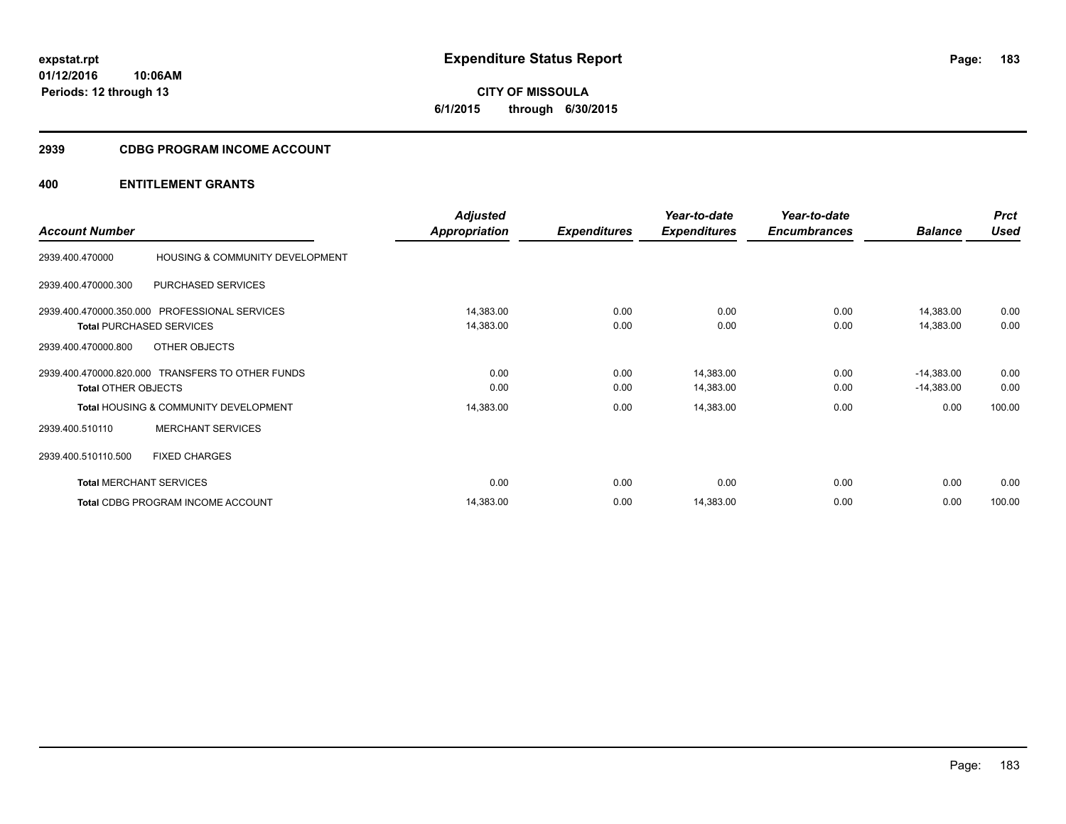**CITY OF MISSOULA 6/1/2015 through 6/30/2015**

# **2939 CDBG PROGRAM INCOME ACCOUNT**

|                            |                                                  | <b>Adjusted</b>      |                     | Year-to-date        | Year-to-date        |                | <b>Prct</b> |
|----------------------------|--------------------------------------------------|----------------------|---------------------|---------------------|---------------------|----------------|-------------|
| <b>Account Number</b>      |                                                  | <b>Appropriation</b> | <b>Expenditures</b> | <b>Expenditures</b> | <b>Encumbrances</b> | <b>Balance</b> | <b>Used</b> |
| 2939.400.470000            | HOUSING & COMMUNITY DEVELOPMENT                  |                      |                     |                     |                     |                |             |
| 2939.400.470000.300        | PURCHASED SERVICES                               |                      |                     |                     |                     |                |             |
|                            | 2939.400.470000.350.000 PROFESSIONAL SERVICES    | 14,383.00            | 0.00                | 0.00                | 0.00                | 14,383.00      | 0.00        |
|                            | <b>Total PURCHASED SERVICES</b>                  | 14,383.00            | 0.00                | 0.00                | 0.00                | 14,383.00      | 0.00        |
| 2939.400.470000.800        | OTHER OBJECTS                                    |                      |                     |                     |                     |                |             |
|                            | 2939.400.470000.820.000 TRANSFERS TO OTHER FUNDS | 0.00                 | 0.00                | 14,383.00           | 0.00                | $-14,383.00$   | 0.00        |
| <b>Total OTHER OBJECTS</b> |                                                  | 0.00                 | 0.00                | 14,383.00           | 0.00                | $-14,383.00$   | 0.00        |
|                            | <b>Total HOUSING &amp; COMMUNITY DEVELOPMENT</b> | 14,383.00            | 0.00                | 14,383.00           | 0.00                | 0.00           | 100.00      |
| 2939.400.510110            | <b>MERCHANT SERVICES</b>                         |                      |                     |                     |                     |                |             |
| 2939.400.510110.500        | <b>FIXED CHARGES</b>                             |                      |                     |                     |                     |                |             |
|                            | <b>Total MERCHANT SERVICES</b>                   | 0.00                 | 0.00                | 0.00                | 0.00                | 0.00           | 0.00        |
|                            | <b>Total CDBG PROGRAM INCOME ACCOUNT</b>         | 14,383.00            | 0.00                | 14,383.00           | 0.00                | 0.00           | 100.00      |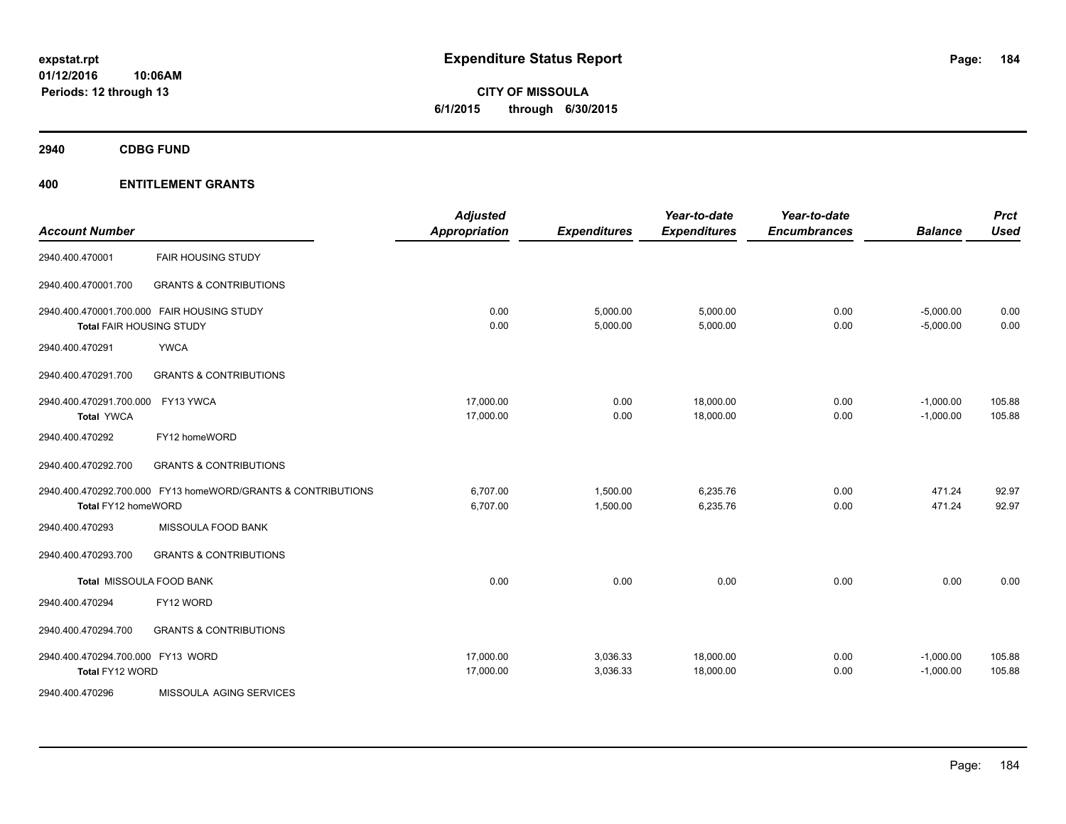**CITY OF MISSOULA 6/1/2015 through 6/30/2015**

**2940 CDBG FUND**

| <b>Account Number</b>                                  |                                                              | <b>Adjusted</b><br><b>Appropriation</b> | <b>Expenditures</b>  | Year-to-date<br><b>Expenditures</b> | Year-to-date<br><b>Encumbrances</b> | <b>Balance</b>             | <b>Prct</b><br><b>Used</b> |
|--------------------------------------------------------|--------------------------------------------------------------|-----------------------------------------|----------------------|-------------------------------------|-------------------------------------|----------------------------|----------------------------|
| 2940.400.470001                                        | <b>FAIR HOUSING STUDY</b>                                    |                                         |                      |                                     |                                     |                            |                            |
| 2940.400.470001.700                                    | <b>GRANTS &amp; CONTRIBUTIONS</b>                            |                                         |                      |                                     |                                     |                            |                            |
| <b>Total FAIR HOUSING STUDY</b>                        | 2940.400.470001.700.000 FAIR HOUSING STUDY                   | 0.00<br>0.00                            | 5,000.00<br>5,000.00 | 5,000.00<br>5,000.00                | 0.00<br>0.00                        | $-5,000.00$<br>$-5,000.00$ | 0.00<br>0.00               |
| 2940.400.470291                                        | <b>YWCA</b>                                                  |                                         |                      |                                     |                                     |                            |                            |
| 2940.400.470291.700                                    | <b>GRANTS &amp; CONTRIBUTIONS</b>                            |                                         |                      |                                     |                                     |                            |                            |
| 2940.400.470291.700.000 FY13 YWCA<br><b>Total YWCA</b> |                                                              | 17,000.00<br>17,000.00                  | 0.00<br>0.00         | 18,000.00<br>18,000.00              | 0.00<br>0.00                        | $-1,000.00$<br>$-1,000.00$ | 105.88<br>105.88           |
| 2940.400.470292                                        | FY12 homeWORD                                                |                                         |                      |                                     |                                     |                            |                            |
| 2940.400.470292.700                                    | <b>GRANTS &amp; CONTRIBUTIONS</b>                            |                                         |                      |                                     |                                     |                            |                            |
| Total FY12 homeWORD                                    | 2940.400.470292.700.000 FY13 homeWORD/GRANTS & CONTRIBUTIONS | 6,707.00<br>6,707.00                    | 1,500.00<br>1,500.00 | 6,235.76<br>6,235.76                | 0.00<br>0.00                        | 471.24<br>471.24           | 92.97<br>92.97             |
| 2940.400.470293                                        | MISSOULA FOOD BANK                                           |                                         |                      |                                     |                                     |                            |                            |
| 2940.400.470293.700                                    | <b>GRANTS &amp; CONTRIBUTIONS</b>                            |                                         |                      |                                     |                                     |                            |                            |
| Total MISSOULA FOOD BANK                               |                                                              | 0.00                                    | 0.00                 | 0.00                                | 0.00                                | 0.00                       | 0.00                       |
| 2940.400.470294                                        | FY12 WORD                                                    |                                         |                      |                                     |                                     |                            |                            |
| 2940.400.470294.700                                    | <b>GRANTS &amp; CONTRIBUTIONS</b>                            |                                         |                      |                                     |                                     |                            |                            |
| 2940.400.470294.700.000 FY13 WORD<br>Total FY12 WORD   |                                                              | 17,000.00<br>17,000.00                  | 3,036.33<br>3,036.33 | 18,000.00<br>18,000.00              | 0.00<br>0.00                        | $-1,000.00$<br>$-1,000.00$ | 105.88<br>105.88           |
| 2940.400.470296                                        | MISSOULA AGING SERVICES                                      |                                         |                      |                                     |                                     |                            |                            |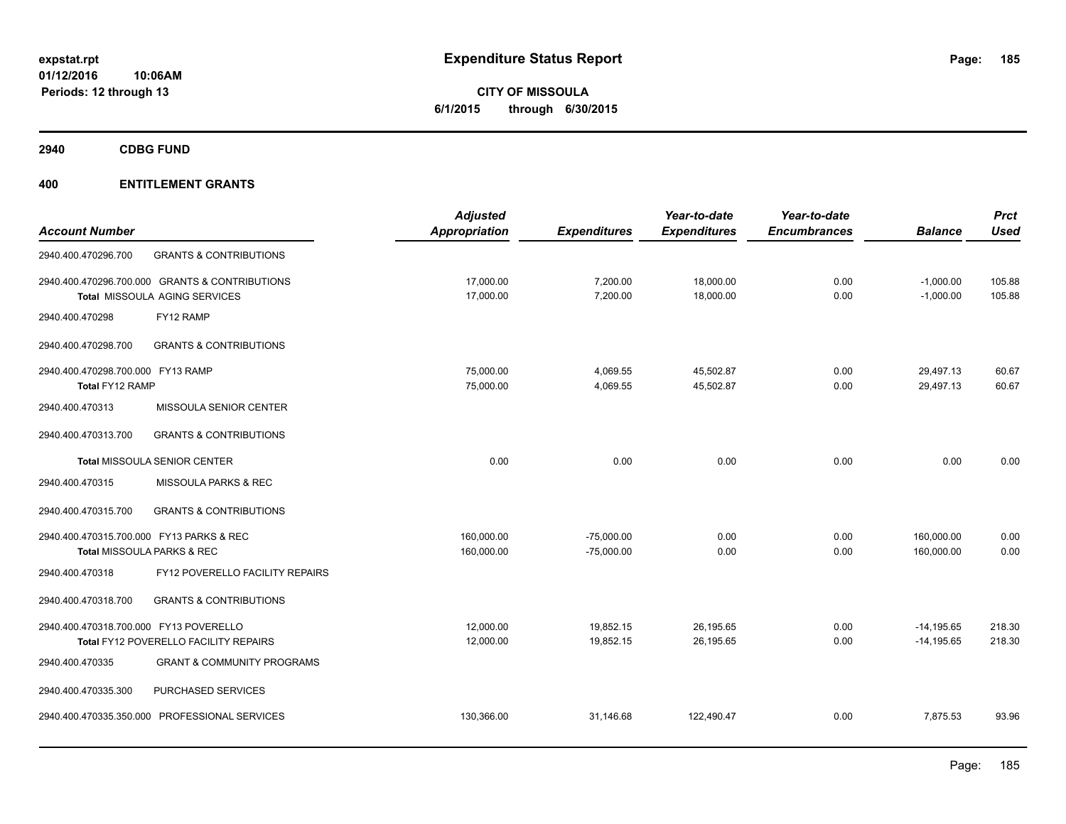**CITY OF MISSOULA 6/1/2015 through 6/30/2015**

**2940 CDBG FUND**

|                                                          | <b>Adjusted</b> |                     | Year-to-date        | Year-to-date        |                | <b>Prct</b> |
|----------------------------------------------------------|-----------------|---------------------|---------------------|---------------------|----------------|-------------|
| <b>Account Number</b>                                    | Appropriation   | <b>Expenditures</b> | <b>Expenditures</b> | <b>Encumbrances</b> | <b>Balance</b> | <b>Used</b> |
| 2940.400.470296.700<br><b>GRANTS &amp; CONTRIBUTIONS</b> |                 |                     |                     |                     |                |             |
| 2940.400.470296.700.000 GRANTS & CONTRIBUTIONS           | 17,000.00       | 7,200.00            | 18,000.00           | 0.00                | $-1,000.00$    | 105.88      |
| <b>Total MISSOULA AGING SERVICES</b>                     | 17,000.00       | 7,200.00            | 18,000.00           | 0.00                | $-1,000.00$    | 105.88      |
| 2940.400.470298<br>FY12 RAMP                             |                 |                     |                     |                     |                |             |
| <b>GRANTS &amp; CONTRIBUTIONS</b><br>2940.400.470298.700 |                 |                     |                     |                     |                |             |
| 2940.400.470298.700.000 FY13 RAMP                        | 75,000.00       | 4,069.55            | 45,502.87           | 0.00                | 29,497.13      | 60.67       |
| Total FY12 RAMP                                          | 75,000.00       | 4,069.55            | 45,502.87           | 0.00                | 29,497.13      | 60.67       |
| MISSOULA SENIOR CENTER<br>2940.400.470313                |                 |                     |                     |                     |                |             |
| <b>GRANTS &amp; CONTRIBUTIONS</b><br>2940.400.470313.700 |                 |                     |                     |                     |                |             |
| <b>Total MISSOULA SENIOR CENTER</b>                      | 0.00            | 0.00                | 0.00                | 0.00                | 0.00           | 0.00        |
| 2940.400.470315<br>MISSOULA PARKS & REC                  |                 |                     |                     |                     |                |             |
| <b>GRANTS &amp; CONTRIBUTIONS</b><br>2940.400.470315.700 |                 |                     |                     |                     |                |             |
| 2940.400.470315.700.000 FY13 PARKS & REC                 | 160,000.00      | $-75,000.00$        | 0.00                | 0.00                | 160,000.00     | 0.00        |
| Total MISSOULA PARKS & REC                               | 160,000.00      | $-75.000.00$        | 0.00                | 0.00                | 160.000.00     | 0.00        |
| FY12 POVERELLO FACILITY REPAIRS<br>2940.400.470318       |                 |                     |                     |                     |                |             |
| <b>GRANTS &amp; CONTRIBUTIONS</b><br>2940.400.470318.700 |                 |                     |                     |                     |                |             |
| 2940.400.470318.700.000 FY13 POVERELLO                   | 12,000.00       | 19,852.15           | 26,195.65           | 0.00                | $-14, 195.65$  | 218.30      |
| Total FY12 POVERELLO FACILITY REPAIRS                    | 12,000.00       | 19,852.15           | 26,195.65           | 0.00                | $-14, 195.65$  | 218.30      |
| <b>GRANT &amp; COMMUNITY PROGRAMS</b><br>2940.400.470335 |                 |                     |                     |                     |                |             |
| 2940.400.470335.300<br>PURCHASED SERVICES                |                 |                     |                     |                     |                |             |
| 2940.400.470335.350.000 PROFESSIONAL SERVICES            | 130,366.00      | 31.146.68           | 122,490.47          | 0.00                | 7.875.53       | 93.96       |
|                                                          |                 |                     |                     |                     |                |             |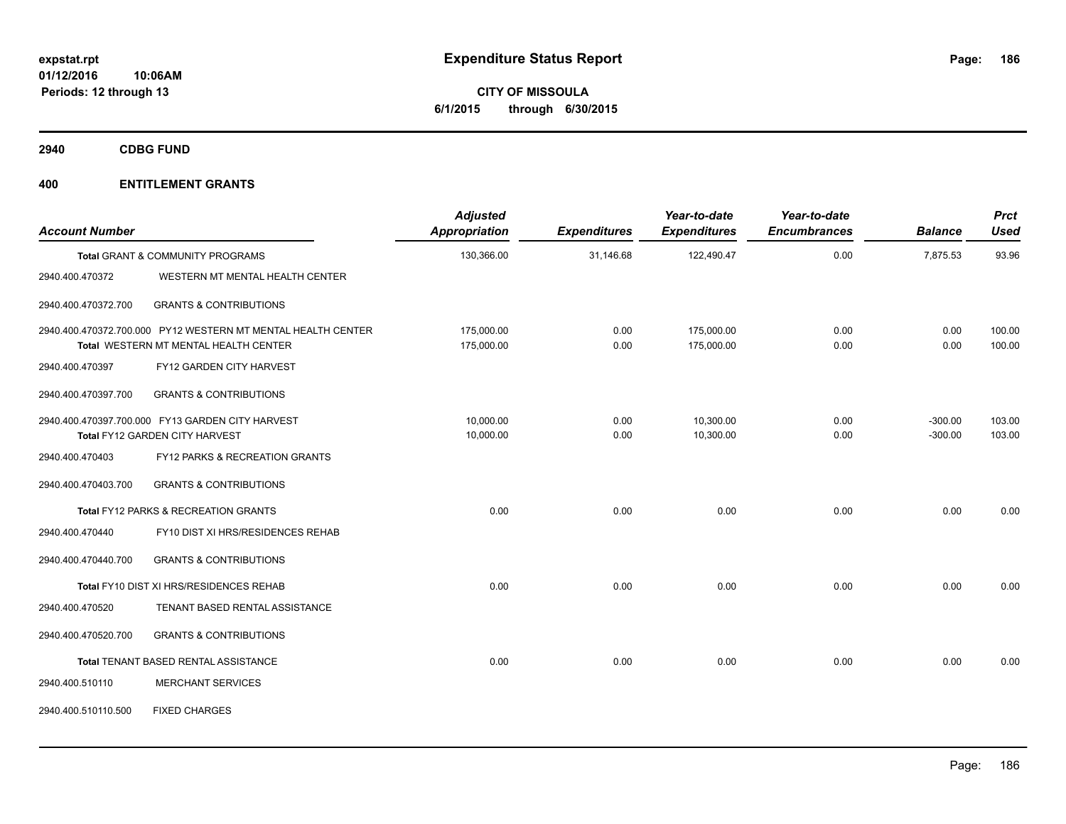**CITY OF MISSOULA 6/1/2015 through 6/30/2015**

**2940 CDBG FUND**

| <b>Account Number</b> |                                                              | <b>Adjusted</b><br><b>Appropriation</b> | <b>Expenditures</b> | Year-to-date<br><b>Expenditures</b> | Year-to-date<br><b>Encumbrances</b> | <b>Balance</b> | <b>Prct</b><br><b>Used</b> |
|-----------------------|--------------------------------------------------------------|-----------------------------------------|---------------------|-------------------------------------|-------------------------------------|----------------|----------------------------|
|                       | <b>Total GRANT &amp; COMMUNITY PROGRAMS</b>                  | 130,366.00                              | 31,146.68           | 122,490.47                          | 0.00                                | 7,875.53       | 93.96                      |
| 2940.400.470372       | WESTERN MT MENTAL HEALTH CENTER                              |                                         |                     |                                     |                                     |                |                            |
| 2940.400.470372.700   | <b>GRANTS &amp; CONTRIBUTIONS</b>                            |                                         |                     |                                     |                                     |                |                            |
|                       | 2940.400.470372.700.000 PY12 WESTERN MT MENTAL HEALTH CENTER | 175,000.00                              | 0.00                | 175,000.00                          | 0.00                                | 0.00           | 100.00                     |
|                       | Total WESTERN MT MENTAL HEALTH CENTER                        | 175,000.00                              | 0.00                | 175,000.00                          | 0.00                                | 0.00           | 100.00                     |
| 2940.400.470397       | FY12 GARDEN CITY HARVEST                                     |                                         |                     |                                     |                                     |                |                            |
| 2940.400.470397.700   | <b>GRANTS &amp; CONTRIBUTIONS</b>                            |                                         |                     |                                     |                                     |                |                            |
|                       | 2940.400.470397.700.000 FY13 GARDEN CITY HARVEST             | 10,000.00                               | 0.00                | 10,300.00                           | 0.00                                | $-300.00$      | 103.00                     |
|                       | Total FY12 GARDEN CITY HARVEST                               | 10,000.00                               | 0.00                | 10,300.00                           | 0.00                                | $-300.00$      | 103.00                     |
| 2940.400.470403       | FY12 PARKS & RECREATION GRANTS                               |                                         |                     |                                     |                                     |                |                            |
| 2940.400.470403.700   | <b>GRANTS &amp; CONTRIBUTIONS</b>                            |                                         |                     |                                     |                                     |                |                            |
|                       | Total FY12 PARKS & RECREATION GRANTS                         | 0.00                                    | 0.00                | 0.00                                | 0.00                                | 0.00           | 0.00                       |
| 2940.400.470440       | FY10 DIST XI HRS/RESIDENCES REHAB                            |                                         |                     |                                     |                                     |                |                            |
| 2940.400.470440.700   | <b>GRANTS &amp; CONTRIBUTIONS</b>                            |                                         |                     |                                     |                                     |                |                            |
|                       | Total FY10 DIST XI HRS/RESIDENCES REHAB                      | 0.00                                    | 0.00                | 0.00                                | 0.00                                | 0.00           | 0.00                       |
| 2940.400.470520       | TENANT BASED RENTAL ASSISTANCE                               |                                         |                     |                                     |                                     |                |                            |
| 2940.400.470520.700   | <b>GRANTS &amp; CONTRIBUTIONS</b>                            |                                         |                     |                                     |                                     |                |                            |
|                       | Total TENANT BASED RENTAL ASSISTANCE                         | 0.00                                    | 0.00                | 0.00                                | 0.00                                | 0.00           | 0.00                       |
| 2940.400.510110       | <b>MERCHANT SERVICES</b>                                     |                                         |                     |                                     |                                     |                |                            |
| 2940.400.510110.500   | <b>FIXED CHARGES</b>                                         |                                         |                     |                                     |                                     |                |                            |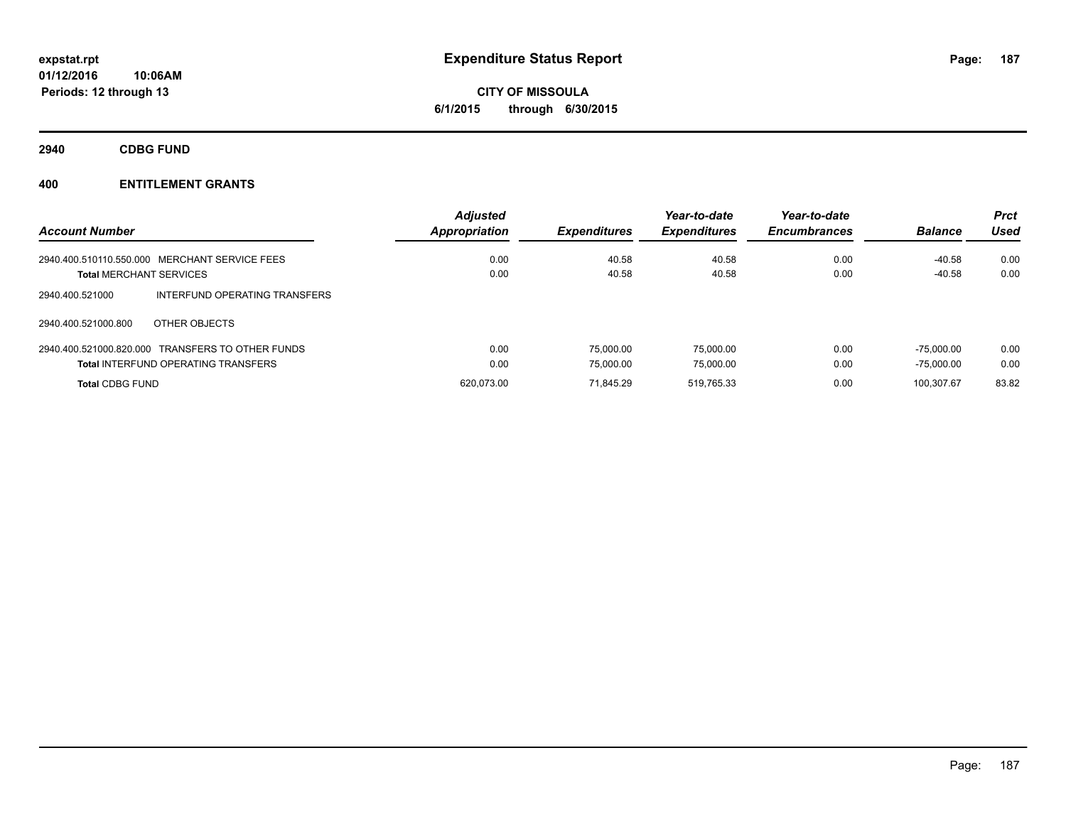**CITY OF MISSOULA 6/1/2015 through 6/30/2015**

**2940 CDBG FUND**

| <b>Account Number</b>                            | <b>Adjusted</b><br>Appropriation | <b>Expenditures</b> | Year-to-date<br><b>Expenditures</b> | Year-to-date<br><b>Encumbrances</b> | <b>Balance</b> | <b>Prct</b><br><b>Used</b> |
|--------------------------------------------------|----------------------------------|---------------------|-------------------------------------|-------------------------------------|----------------|----------------------------|
| 2940.400.510110.550.000 MERCHANT SERVICE FEES    | 0.00                             | 40.58               | 40.58                               | 0.00                                | $-40.58$       | 0.00                       |
| <b>Total MERCHANT SERVICES</b>                   | 0.00                             | 40.58               | 40.58                               | 0.00                                | $-40.58$       | 0.00                       |
| INTERFUND OPERATING TRANSFERS<br>2940.400.521000 |                                  |                     |                                     |                                     |                |                            |
| OTHER OBJECTS<br>2940.400.521000.800             |                                  |                     |                                     |                                     |                |                            |
| 2940.400.521000.820.000 TRANSFERS TO OTHER FUNDS | 0.00                             | 75.000.00           | 75.000.00                           | 0.00                                | $-75.000.00$   | 0.00                       |
| <b>Total INTERFUND OPERATING TRANSFERS</b>       | 0.00                             | 75.000.00           | 75.000.00                           | 0.00                                | $-75.000.00$   | 0.00                       |
| <b>Total CDBG FUND</b>                           | 620.073.00                       | 71.845.29           | 519.765.33                          | 0.00                                | 100.307.67     | 83.82                      |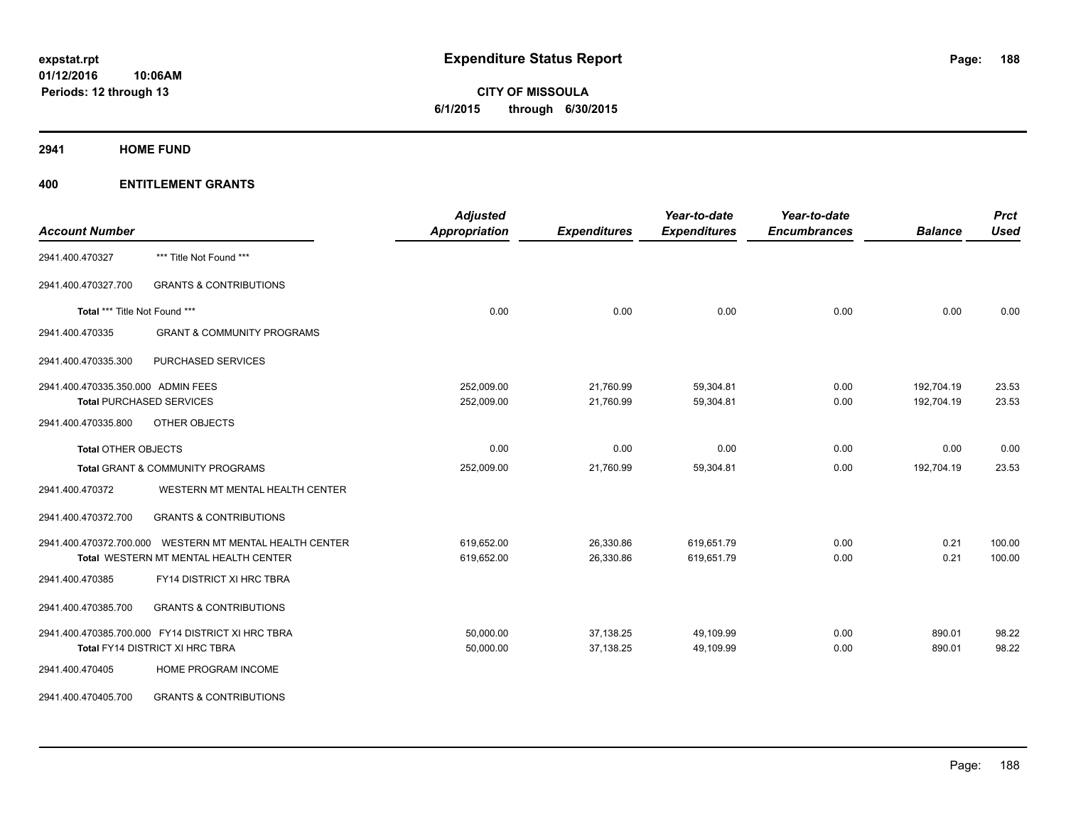**CITY OF MISSOULA 6/1/2015 through 6/30/2015**

**2941 HOME FUND**

| <b>Account Number</b>              |                                                         | <b>Adjusted</b><br><b>Appropriation</b> | <b>Expenditures</b> | Year-to-date<br><b>Expenditures</b> | Year-to-date<br><b>Encumbrances</b> | <b>Balance</b> | <b>Prct</b><br><b>Used</b> |
|------------------------------------|---------------------------------------------------------|-----------------------------------------|---------------------|-------------------------------------|-------------------------------------|----------------|----------------------------|
| 2941.400.470327                    | *** Title Not Found ***                                 |                                         |                     |                                     |                                     |                |                            |
| 2941.400.470327.700                | <b>GRANTS &amp; CONTRIBUTIONS</b>                       |                                         |                     |                                     |                                     |                |                            |
| Total *** Title Not Found ***      |                                                         | 0.00                                    | 0.00                | 0.00                                | 0.00                                | 0.00           | 0.00                       |
| 2941.400.470335                    | <b>GRANT &amp; COMMUNITY PROGRAMS</b>                   |                                         |                     |                                     |                                     |                |                            |
| 2941.400.470335.300                | PURCHASED SERVICES                                      |                                         |                     |                                     |                                     |                |                            |
| 2941.400.470335.350.000 ADMIN FEES |                                                         | 252,009.00                              | 21,760.99           | 59,304.81                           | 0.00                                | 192,704.19     | 23.53                      |
|                                    | <b>Total PURCHASED SERVICES</b>                         | 252,009.00                              | 21,760.99           | 59,304.81                           | 0.00                                | 192,704.19     | 23.53                      |
| 2941.400.470335.800                | OTHER OBJECTS                                           |                                         |                     |                                     |                                     |                |                            |
| <b>Total OTHER OBJECTS</b>         |                                                         | 0.00                                    | 0.00                | 0.00                                | 0.00                                | 0.00           | 0.00                       |
|                                    | <b>Total GRANT &amp; COMMUNITY PROGRAMS</b>             | 252,009.00                              | 21,760.99           | 59,304.81                           | 0.00                                | 192,704.19     | 23.53                      |
| 2941.400.470372                    | WESTERN MT MENTAL HEALTH CENTER                         |                                         |                     |                                     |                                     |                |                            |
| 2941.400.470372.700                | <b>GRANTS &amp; CONTRIBUTIONS</b>                       |                                         |                     |                                     |                                     |                |                            |
|                                    | 2941.400.470372.700.000 WESTERN MT MENTAL HEALTH CENTER | 619,652.00                              | 26,330.86           | 619,651.79                          | 0.00                                | 0.21           | 100.00                     |
|                                    | <b>Total WESTERN MT MENTAL HEALTH CENTER</b>            | 619,652.00                              | 26,330.86           | 619,651.79                          | 0.00                                | 0.21           | 100.00                     |
| 2941.400.470385                    | <b>FY14 DISTRICT XI HRC TBRA</b>                        |                                         |                     |                                     |                                     |                |                            |
| 2941.400.470385.700                | <b>GRANTS &amp; CONTRIBUTIONS</b>                       |                                         |                     |                                     |                                     |                |                            |
|                                    | 2941.400.470385.700.000 FY14 DISTRICT XI HRC TBRA       | 50,000.00                               | 37,138.25           | 49,109.99                           | 0.00                                | 890.01         | 98.22                      |
|                                    | Total FY14 DISTRICT XI HRC TBRA                         | 50,000.00                               | 37,138.25           | 49,109.99                           | 0.00                                | 890.01         | 98.22                      |
| 2941.400.470405                    | HOME PROGRAM INCOME                                     |                                         |                     |                                     |                                     |                |                            |
| 2941.400.470405.700                | <b>GRANTS &amp; CONTRIBUTIONS</b>                       |                                         |                     |                                     |                                     |                |                            |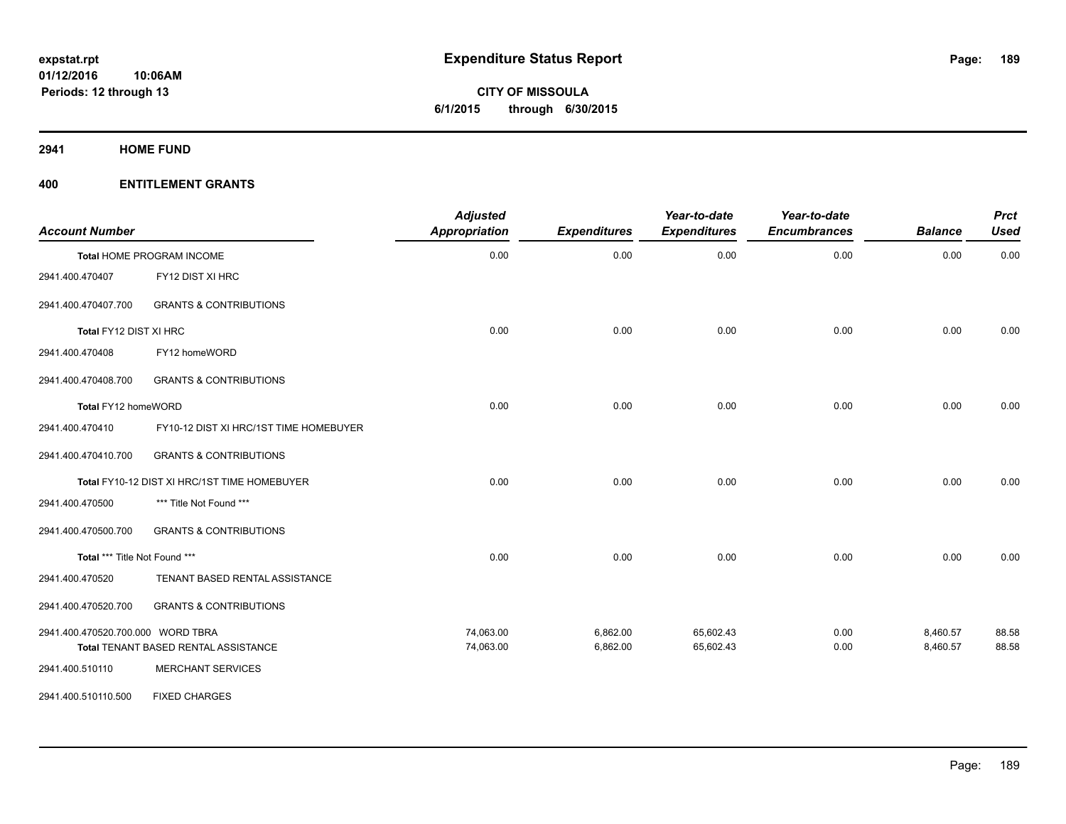**2941 HOME FUND**

| <b>Account Number</b>             |                                              | <b>Adjusted</b><br>Appropriation | <b>Expenditures</b> | Year-to-date<br><b>Expenditures</b> | Year-to-date<br><b>Encumbrances</b> | <b>Balance</b> | <b>Prct</b><br><b>Used</b> |
|-----------------------------------|----------------------------------------------|----------------------------------|---------------------|-------------------------------------|-------------------------------------|----------------|----------------------------|
|                                   | Total HOME PROGRAM INCOME                    | 0.00                             | 0.00                | 0.00                                | 0.00                                | 0.00           | 0.00                       |
| 2941.400.470407                   | FY12 DIST XI HRC                             |                                  |                     |                                     |                                     |                |                            |
| 2941.400.470407.700               | <b>GRANTS &amp; CONTRIBUTIONS</b>            |                                  |                     |                                     |                                     |                |                            |
| Total FY12 DIST XI HRC            |                                              | 0.00                             | 0.00                | 0.00                                | 0.00                                | 0.00           | 0.00                       |
| 2941.400.470408                   | FY12 homeWORD                                |                                  |                     |                                     |                                     |                |                            |
| 2941.400.470408.700               | <b>GRANTS &amp; CONTRIBUTIONS</b>            |                                  |                     |                                     |                                     |                |                            |
| Total FY12 homeWORD               |                                              | 0.00                             | 0.00                | 0.00                                | 0.00                                | 0.00           | 0.00                       |
| 2941.400.470410                   | FY10-12 DIST XI HRC/1ST TIME HOMEBUYER       |                                  |                     |                                     |                                     |                |                            |
| 2941.400.470410.700               | <b>GRANTS &amp; CONTRIBUTIONS</b>            |                                  |                     |                                     |                                     |                |                            |
|                                   | Total FY10-12 DIST XI HRC/1ST TIME HOMEBUYER | 0.00                             | 0.00                | 0.00                                | 0.00                                | 0.00           | 0.00                       |
| 2941.400.470500                   | *** Title Not Found ***                      |                                  |                     |                                     |                                     |                |                            |
| 2941.400.470500.700               | <b>GRANTS &amp; CONTRIBUTIONS</b>            |                                  |                     |                                     |                                     |                |                            |
| Total *** Title Not Found ***     |                                              | 0.00                             | 0.00                | 0.00                                | 0.00                                | 0.00           | 0.00                       |
| 2941.400.470520                   | TENANT BASED RENTAL ASSISTANCE               |                                  |                     |                                     |                                     |                |                            |
| 2941.400.470520.700               | <b>GRANTS &amp; CONTRIBUTIONS</b>            |                                  |                     |                                     |                                     |                |                            |
| 2941.400.470520.700.000 WORD TBRA |                                              | 74,063.00                        | 6,862.00            | 65,602.43                           | 0.00                                | 8,460.57       | 88.58                      |
|                                   | Total TENANT BASED RENTAL ASSISTANCE         | 74,063.00                        | 6,862.00            | 65,602.43                           | 0.00                                | 8,460.57       | 88.58                      |
| 2941.400.510110                   | <b>MERCHANT SERVICES</b>                     |                                  |                     |                                     |                                     |                |                            |
| 2941.400.510110.500               | <b>FIXED CHARGES</b>                         |                                  |                     |                                     |                                     |                |                            |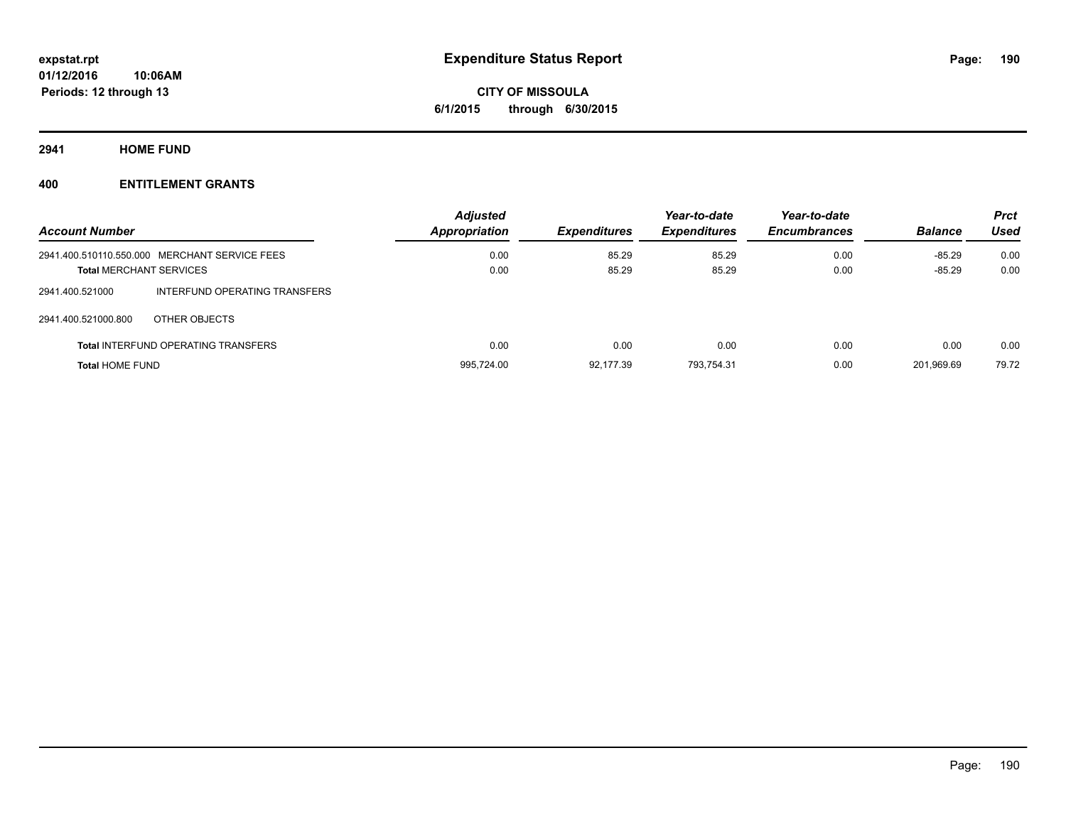**2941 HOME FUND**

**Periods: 12 through 13**

| <b>Account Number</b>  |                                               | <b>Adjusted</b><br>Appropriation | <b>Expenditures</b> | Year-to-date<br><b>Expenditures</b> | Year-to-date<br><b>Encumbrances</b> | <b>Balance</b> | <b>Prct</b><br>Used |
|------------------------|-----------------------------------------------|----------------------------------|---------------------|-------------------------------------|-------------------------------------|----------------|---------------------|
|                        | 2941.400.510110.550.000 MERCHANT SERVICE FEES | 0.00                             | 85.29               | 85.29                               | 0.00                                | $-85.29$       | 0.00                |
|                        | <b>Total MERCHANT SERVICES</b>                | 0.00                             | 85.29               | 85.29                               | 0.00                                | $-85.29$       | 0.00                |
| 2941.400.521000        | INTERFUND OPERATING TRANSFERS                 |                                  |                     |                                     |                                     |                |                     |
| 2941.400.521000.800    | OTHER OBJECTS                                 |                                  |                     |                                     |                                     |                |                     |
|                        | <b>Total INTERFUND OPERATING TRANSFERS</b>    | 0.00                             | 0.00                | 0.00                                | 0.00                                | 0.00           | 0.00                |
| <b>Total HOME FUND</b> |                                               | 995.724.00                       | 92.177.39           | 793.754.31                          | 0.00                                | 201.969.69     | 79.72               |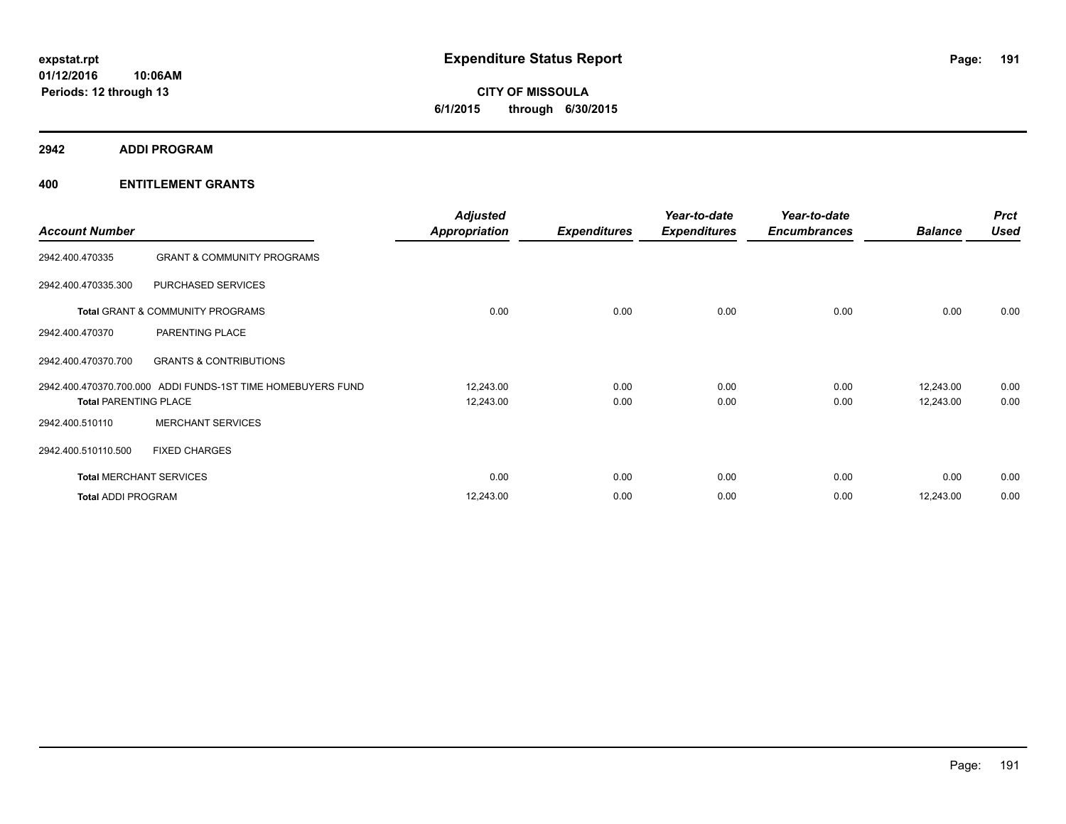**2942 ADDI PROGRAM**

| <b>Account Number</b>          |                                                             | <b>Adjusted</b><br><b>Appropriation</b> | <b>Expenditures</b> | Year-to-date<br><b>Expenditures</b> | Year-to-date<br><b>Encumbrances</b> | <b>Balance</b>         | <b>Prct</b><br><b>Used</b> |
|--------------------------------|-------------------------------------------------------------|-----------------------------------------|---------------------|-------------------------------------|-------------------------------------|------------------------|----------------------------|
| 2942.400.470335                | <b>GRANT &amp; COMMUNITY PROGRAMS</b>                       |                                         |                     |                                     |                                     |                        |                            |
| 2942.400.470335.300            | PURCHASED SERVICES                                          |                                         |                     |                                     |                                     |                        |                            |
|                                | Total GRANT & COMMUNITY PROGRAMS                            | 0.00                                    | 0.00                | 0.00                                | 0.00                                | 0.00                   | 0.00                       |
| 2942.400.470370                | PARENTING PLACE                                             |                                         |                     |                                     |                                     |                        |                            |
| 2942.400.470370.700            | <b>GRANTS &amp; CONTRIBUTIONS</b>                           |                                         |                     |                                     |                                     |                        |                            |
| <b>Total PARENTING PLACE</b>   | 2942.400.470370.700.000 ADDI FUNDS-1ST TIME HOMEBUYERS FUND | 12,243.00<br>12,243.00                  | 0.00<br>0.00        | 0.00<br>0.00                        | 0.00<br>0.00                        | 12,243.00<br>12,243.00 | 0.00<br>0.00               |
| 2942.400.510110                | <b>MERCHANT SERVICES</b>                                    |                                         |                     |                                     |                                     |                        |                            |
| 2942.400.510110.500            | <b>FIXED CHARGES</b>                                        |                                         |                     |                                     |                                     |                        |                            |
| <b>Total MERCHANT SERVICES</b> |                                                             | 0.00                                    | 0.00                | 0.00                                | 0.00                                | 0.00                   | 0.00                       |
| <b>Total ADDI PROGRAM</b>      |                                                             | 12,243.00                               | 0.00                | 0.00                                | 0.00                                | 12,243.00              | 0.00                       |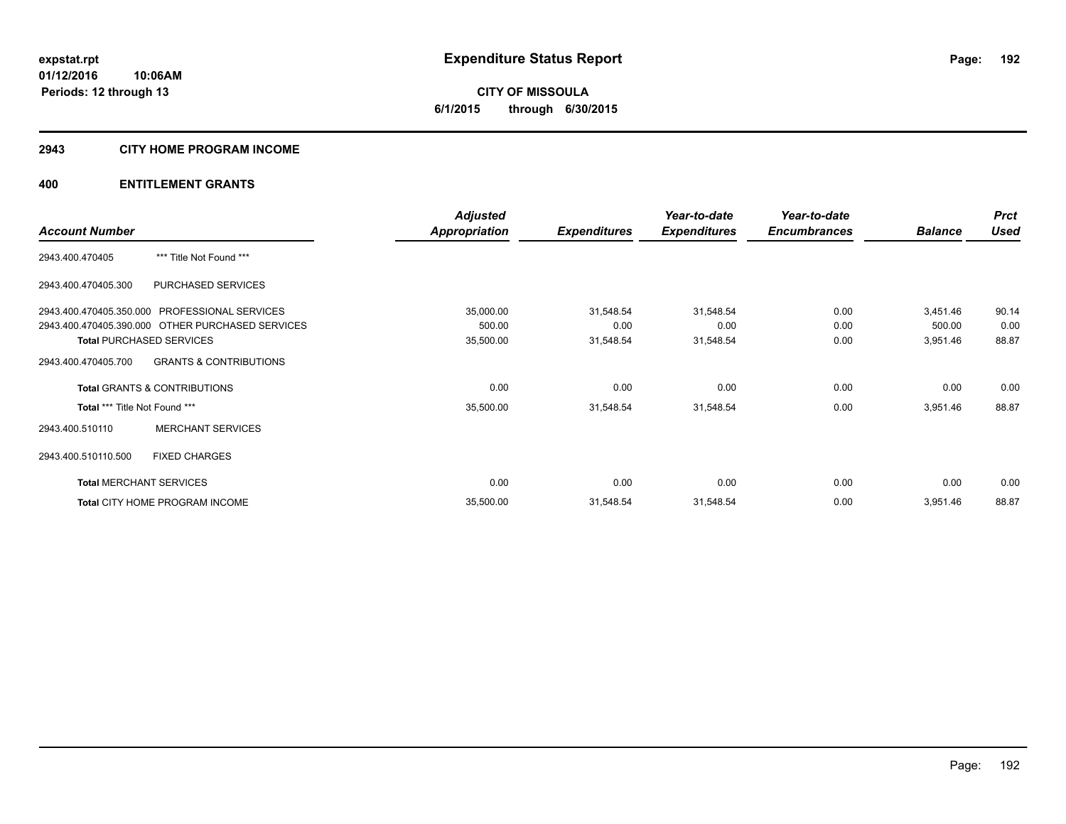**CITY OF MISSOULA 6/1/2015 through 6/30/2015**

#### **2943 CITY HOME PROGRAM INCOME**

|                                |                                                  | <b>Adjusted</b> |                     | Year-to-date        | Year-to-date        |                | <b>Prct</b> |
|--------------------------------|--------------------------------------------------|-----------------|---------------------|---------------------|---------------------|----------------|-------------|
| <b>Account Number</b>          |                                                  | Appropriation   | <b>Expenditures</b> | <b>Expenditures</b> | <b>Encumbrances</b> | <b>Balance</b> | <b>Used</b> |
| 2943.400.470405                | *** Title Not Found ***                          |                 |                     |                     |                     |                |             |
| 2943.400.470405.300            | PURCHASED SERVICES                               |                 |                     |                     |                     |                |             |
|                                | 2943.400.470405.350.000 PROFESSIONAL SERVICES    | 35,000.00       | 31,548.54           | 31,548.54           | 0.00                | 3,451.46       | 90.14       |
|                                | 2943.400.470405.390.000 OTHER PURCHASED SERVICES | 500.00          | 0.00                | 0.00                | 0.00                | 500.00         | 0.00        |
|                                | <b>Total PURCHASED SERVICES</b>                  | 35,500.00       | 31,548.54           | 31,548.54           | 0.00                | 3,951.46       | 88.87       |
| 2943.400.470405.700            | <b>GRANTS &amp; CONTRIBUTIONS</b>                |                 |                     |                     |                     |                |             |
|                                | <b>Total GRANTS &amp; CONTRIBUTIONS</b>          | 0.00            | 0.00                | 0.00                | 0.00                | 0.00           | 0.00        |
| Total *** Title Not Found ***  |                                                  | 35,500.00       | 31,548.54           | 31,548.54           | 0.00                | 3,951.46       | 88.87       |
| 2943.400.510110                | <b>MERCHANT SERVICES</b>                         |                 |                     |                     |                     |                |             |
| 2943.400.510110.500            | <b>FIXED CHARGES</b>                             |                 |                     |                     |                     |                |             |
| <b>Total MERCHANT SERVICES</b> |                                                  | 0.00            | 0.00                | 0.00                | 0.00                | 0.00           | 0.00        |
|                                | Total CITY HOME PROGRAM INCOME                   | 35,500.00       | 31,548.54           | 31,548.54           | 0.00                | 3,951.46       | 88.87       |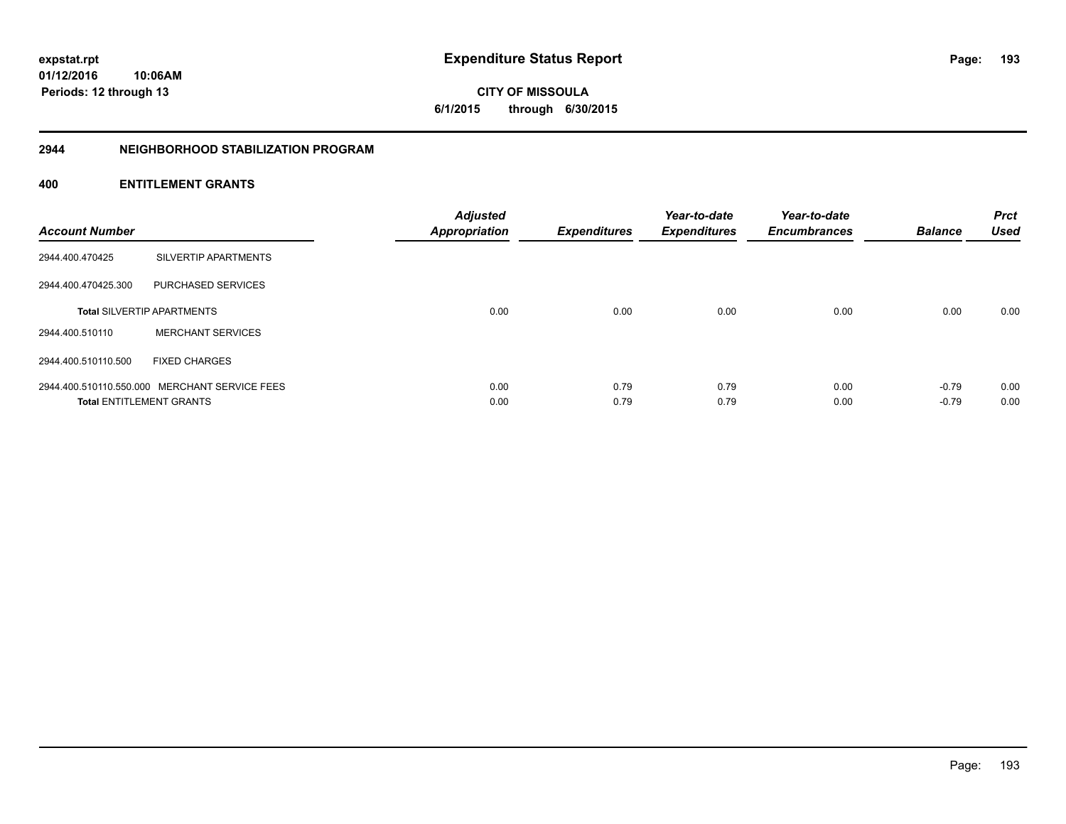**193**

**01/12/2016 10:06AM Periods: 12 through 13**

# **CITY OF MISSOULA 6/1/2015 through 6/30/2015**

#### **2944 NEIGHBORHOOD STABILIZATION PROGRAM**

| <b>Account Number</b> |                                               | <b>Adjusted</b><br><b>Appropriation</b> | <b>Expenditures</b> | Year-to-date<br><b>Expenditures</b> | Year-to-date<br><b>Encumbrances</b> | <b>Balance</b> | <b>Prct</b><br><b>Used</b> |
|-----------------------|-----------------------------------------------|-----------------------------------------|---------------------|-------------------------------------|-------------------------------------|----------------|----------------------------|
| 2944.400.470425       | SILVERTIP APARTMENTS                          |                                         |                     |                                     |                                     |                |                            |
| 2944.400.470425.300   | PURCHASED SERVICES                            |                                         |                     |                                     |                                     |                |                            |
|                       | <b>Total SILVERTIP APARTMENTS</b>             | 0.00                                    | 0.00                | 0.00                                | 0.00                                | 0.00           | 0.00                       |
| 2944.400.510110       | <b>MERCHANT SERVICES</b>                      |                                         |                     |                                     |                                     |                |                            |
| 2944.400.510110.500   | <b>FIXED CHARGES</b>                          |                                         |                     |                                     |                                     |                |                            |
|                       | 2944.400.510110.550.000 MERCHANT SERVICE FEES | 0.00                                    | 0.79                | 0.79                                | 0.00                                | $-0.79$        | 0.00                       |
|                       | <b>Total ENTITLEMENT GRANTS</b>               | 0.00                                    | 0.79                | 0.79                                | 0.00                                | $-0.79$        | 0.00                       |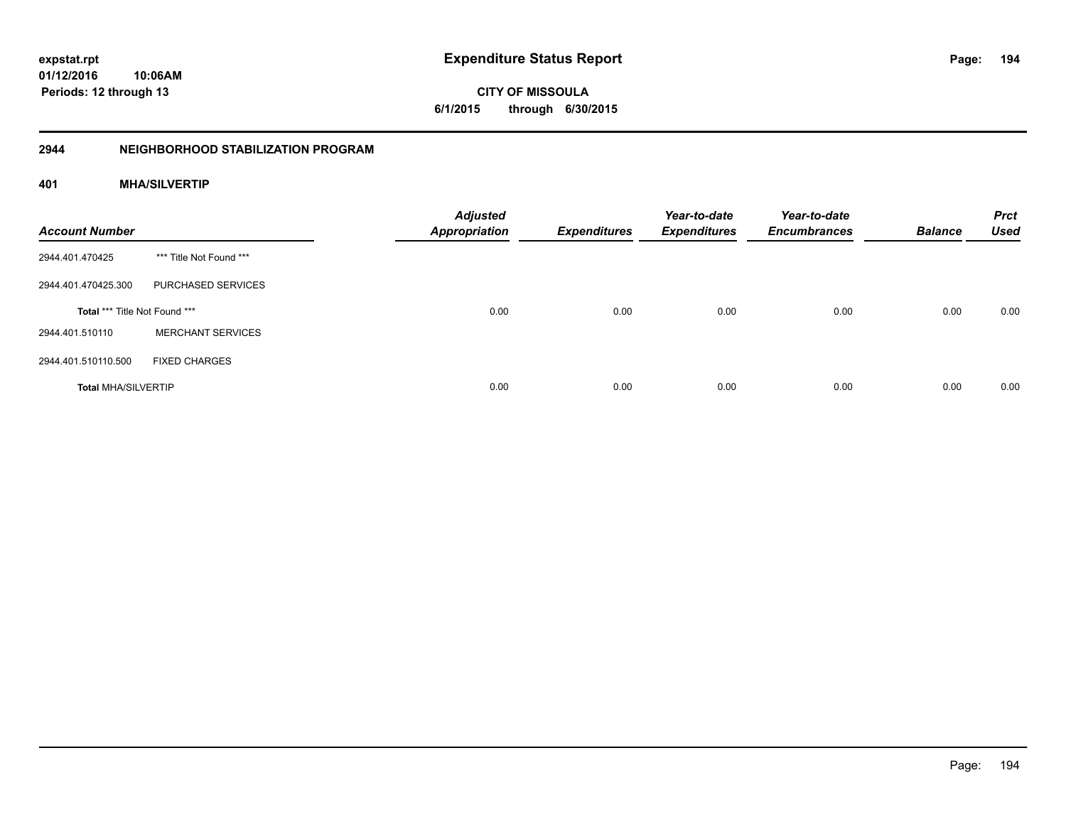# **2944 NEIGHBORHOOD STABILIZATION PROGRAM**

# **401 MHA/SILVERTIP**

| <b>Account Number</b>         |                          | <b>Adjusted</b><br><b>Appropriation</b> | <b>Expenditures</b> | Year-to-date<br><b>Expenditures</b> | Year-to-date<br><b>Encumbrances</b> | <b>Balance</b> | <b>Prct</b><br><b>Used</b> |
|-------------------------------|--------------------------|-----------------------------------------|---------------------|-------------------------------------|-------------------------------------|----------------|----------------------------|
| 2944.401.470425               | *** Title Not Found ***  |                                         |                     |                                     |                                     |                |                            |
| 2944.401.470425.300           | PURCHASED SERVICES       |                                         |                     |                                     |                                     |                |                            |
| Total *** Title Not Found *** |                          | 0.00                                    | 0.00                | 0.00                                | 0.00                                | 0.00           | 0.00                       |
| 2944.401.510110               | <b>MERCHANT SERVICES</b> |                                         |                     |                                     |                                     |                |                            |
| 2944.401.510110.500           | <b>FIXED CHARGES</b>     |                                         |                     |                                     |                                     |                |                            |
| <b>Total MHA/SILVERTIP</b>    |                          | 0.00                                    | 0.00                | 0.00                                | 0.00                                | 0.00           | 0.00                       |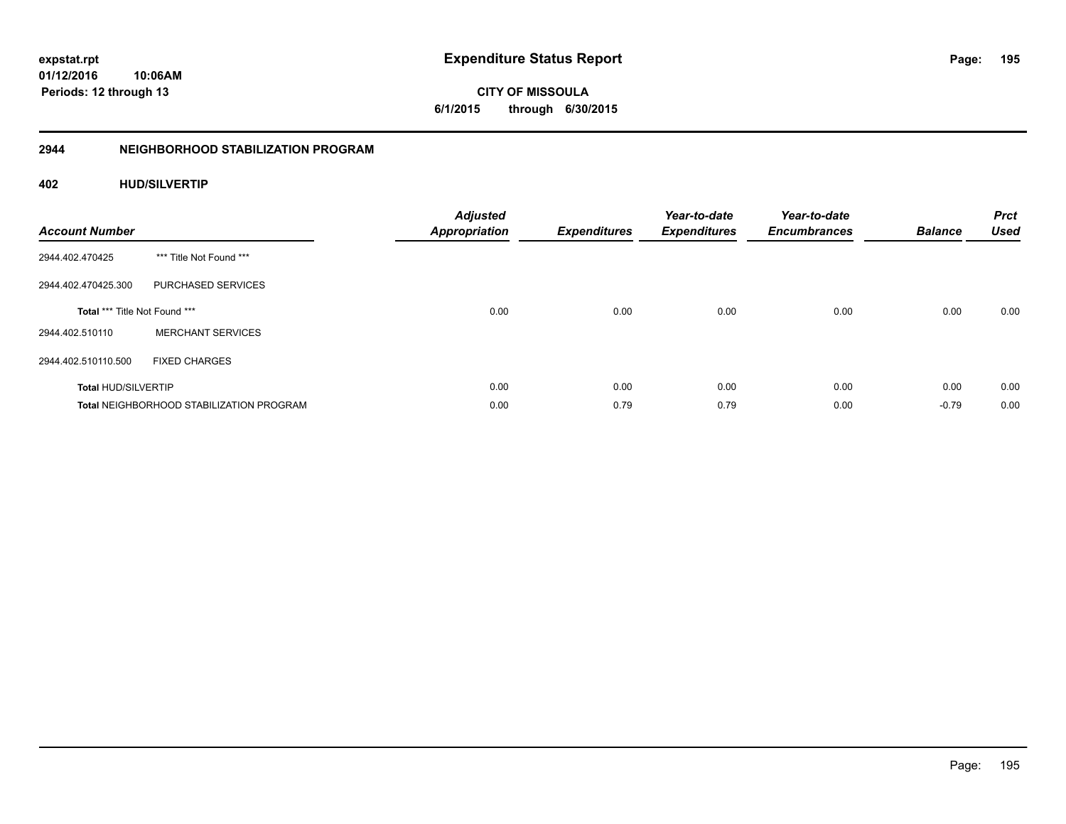**CITY OF MISSOULA 6/1/2015 through 6/30/2015**

# **2944 NEIGHBORHOOD STABILIZATION PROGRAM**

# **402 HUD/SILVERTIP**

| <b>Account Number</b>         |                                                 | <b>Adjusted</b><br><b>Appropriation</b> | <b>Expenditures</b> | Year-to-date<br><b>Expenditures</b> | Year-to-date<br><b>Encumbrances</b> | <b>Balance</b> | <b>Prct</b><br><b>Used</b> |
|-------------------------------|-------------------------------------------------|-----------------------------------------|---------------------|-------------------------------------|-------------------------------------|----------------|----------------------------|
| 2944.402.470425               | *** Title Not Found ***                         |                                         |                     |                                     |                                     |                |                            |
| 2944.402.470425.300           | PURCHASED SERVICES                              |                                         |                     |                                     |                                     |                |                            |
| Total *** Title Not Found *** |                                                 | 0.00                                    | 0.00                | 0.00                                | 0.00                                | 0.00           | 0.00                       |
| 2944.402.510110               | <b>MERCHANT SERVICES</b>                        |                                         |                     |                                     |                                     |                |                            |
| 2944.402.510110.500           | <b>FIXED CHARGES</b>                            |                                         |                     |                                     |                                     |                |                            |
| <b>Total HUD/SILVERTIP</b>    |                                                 | 0.00                                    | 0.00                | 0.00                                | 0.00                                | 0.00           | 0.00                       |
|                               | <b>Total NEIGHBORHOOD STABILIZATION PROGRAM</b> | 0.00                                    | 0.79                | 0.79                                | 0.00                                | $-0.79$        | 0.00                       |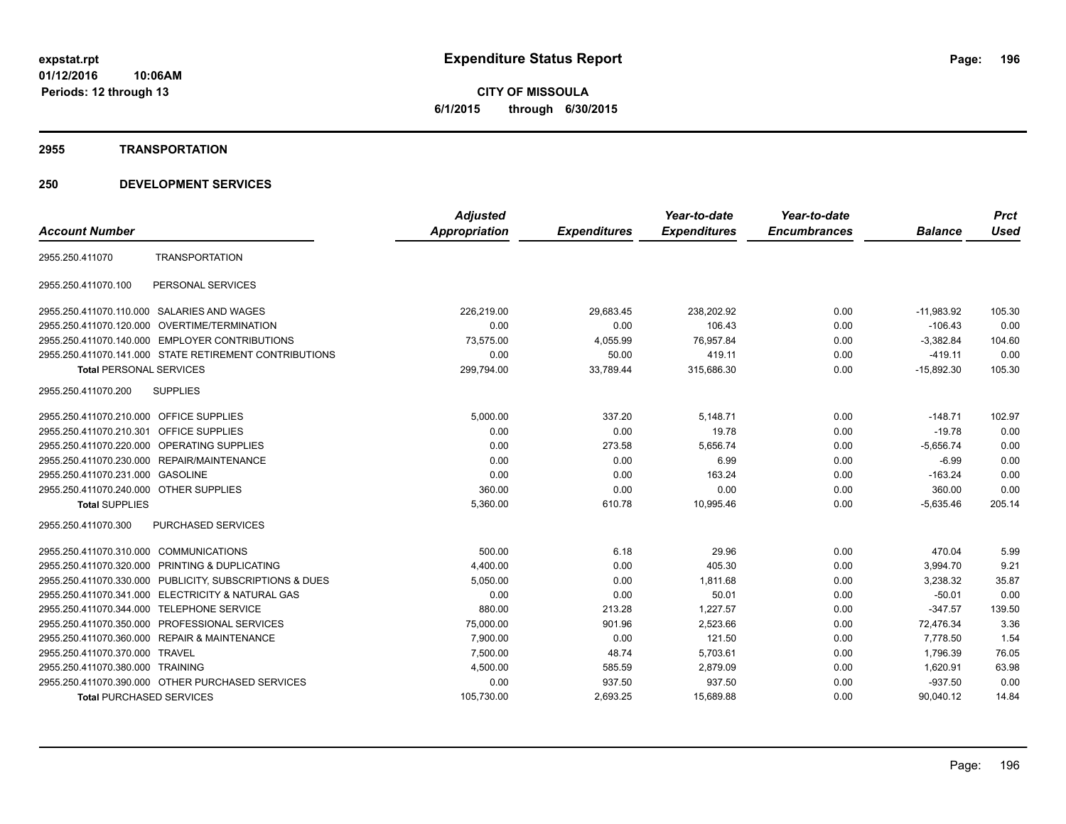**CITY OF MISSOULA 6/1/2015 through 6/30/2015**

#### **2955 TRANSPORTATION**

|                                         |                                                         | <b>Adjusted</b>      |                     | Year-to-date        | Year-to-date        |                | <b>Prct</b> |
|-----------------------------------------|---------------------------------------------------------|----------------------|---------------------|---------------------|---------------------|----------------|-------------|
| <b>Account Number</b>                   |                                                         | <b>Appropriation</b> | <b>Expenditures</b> | <b>Expenditures</b> | <b>Encumbrances</b> | <b>Balance</b> | <b>Used</b> |
| 2955.250.411070                         | <b>TRANSPORTATION</b>                                   |                      |                     |                     |                     |                |             |
| 2955.250.411070.100                     | PERSONAL SERVICES                                       |                      |                     |                     |                     |                |             |
|                                         | 2955.250.411070.110.000 SALARIES AND WAGES              | 226,219.00           | 29,683.45           | 238,202.92          | 0.00                | $-11,983.92$   | 105.30      |
| 2955.250.411070.120.000                 | OVERTIME/TERMINATION                                    | 0.00                 | 0.00                | 106.43              | 0.00                | $-106.43$      | 0.00        |
|                                         | 2955.250.411070.140.000 EMPLOYER CONTRIBUTIONS          | 73,575.00            | 4,055.99            | 76,957.84           | 0.00                | $-3,382.84$    | 104.60      |
|                                         | 2955.250.411070.141.000 STATE RETIREMENT CONTRIBUTIONS  | 0.00                 | 50.00               | 419.11              | 0.00                | $-419.11$      | 0.00        |
| <b>Total PERSONAL SERVICES</b>          |                                                         | 299,794.00           | 33,789.44           | 315,686.30          | 0.00                | $-15,892.30$   | 105.30      |
| 2955.250.411070.200                     | <b>SUPPLIES</b>                                         |                      |                     |                     |                     |                |             |
| 2955.250.411070.210.000 OFFICE SUPPLIES |                                                         | 5,000.00             | 337.20              | 5,148.71            | 0.00                | $-148.71$      | 102.97      |
| 2955.250.411070.210.301 OFFICE SUPPLIES |                                                         | 0.00                 | 0.00                | 19.78               | 0.00                | $-19.78$       | 0.00        |
|                                         | 2955.250.411070.220.000 OPERATING SUPPLIES              | 0.00                 | 273.58              | 5,656.74            | 0.00                | $-5,656.74$    | 0.00        |
|                                         | 2955.250.411070.230.000 REPAIR/MAINTENANCE              | 0.00                 | 0.00                | 6.99                | 0.00                | $-6.99$        | 0.00        |
| 2955.250.411070.231.000 GASOLINE        |                                                         | 0.00                 | 0.00                | 163.24              | 0.00                | $-163.24$      | 0.00        |
| 2955.250.411070.240.000 OTHER SUPPLIES  |                                                         | 360.00               | 0.00                | 0.00                | 0.00                | 360.00         | 0.00        |
| <b>Total SUPPLIES</b>                   |                                                         | 5,360.00             | 610.78              | 10,995.46           | 0.00                | $-5,635.46$    | 205.14      |
| 2955.250.411070.300                     | <b>PURCHASED SERVICES</b>                               |                      |                     |                     |                     |                |             |
| 2955.250.411070.310.000 COMMUNICATIONS  |                                                         | 500.00               | 6.18                | 29.96               | 0.00                | 470.04         | 5.99        |
|                                         | 2955.250.411070.320.000 PRINTING & DUPLICATING          | 4,400.00             | 0.00                | 405.30              | 0.00                | 3,994.70       | 9.21        |
|                                         | 2955.250.411070.330.000 PUBLICITY, SUBSCRIPTIONS & DUES | 5,050.00             | 0.00                | 1,811.68            | 0.00                | 3,238.32       | 35.87       |
| 2955.250.411070.341.000                 | <b>ELECTRICITY &amp; NATURAL GAS</b>                    | 0.00                 | 0.00                | 50.01               | 0.00                | $-50.01$       | 0.00        |
|                                         | 2955.250.411070.344.000 TELEPHONE SERVICE               | 880.00               | 213.28              | 1,227.57            | 0.00                | $-347.57$      | 139.50      |
| 2955.250.411070.350.000                 | PROFESSIONAL SERVICES                                   | 75,000.00            | 901.96              | 2,523.66            | 0.00                | 72,476.34      | 3.36        |
| 2955.250.411070.360.000                 | <b>REPAIR &amp; MAINTENANCE</b>                         | 7,900.00             | 0.00                | 121.50              | 0.00                | 7,778.50       | 1.54        |
| 2955.250.411070.370.000 TRAVEL          |                                                         | 7,500.00             | 48.74               | 5,703.61            | 0.00                | 1,796.39       | 76.05       |
| 2955.250.411070.380.000 TRAINING        |                                                         | 4,500.00             | 585.59              | 2,879.09            | 0.00                | 1,620.91       | 63.98       |
|                                         | 2955.250.411070.390.000 OTHER PURCHASED SERVICES        | 0.00                 | 937.50              | 937.50              | 0.00                | $-937.50$      | 0.00        |
| <b>Total PURCHASED SERVICES</b>         |                                                         | 105,730.00           | 2.693.25            | 15,689.88           | 0.00                | 90.040.12      | 14.84       |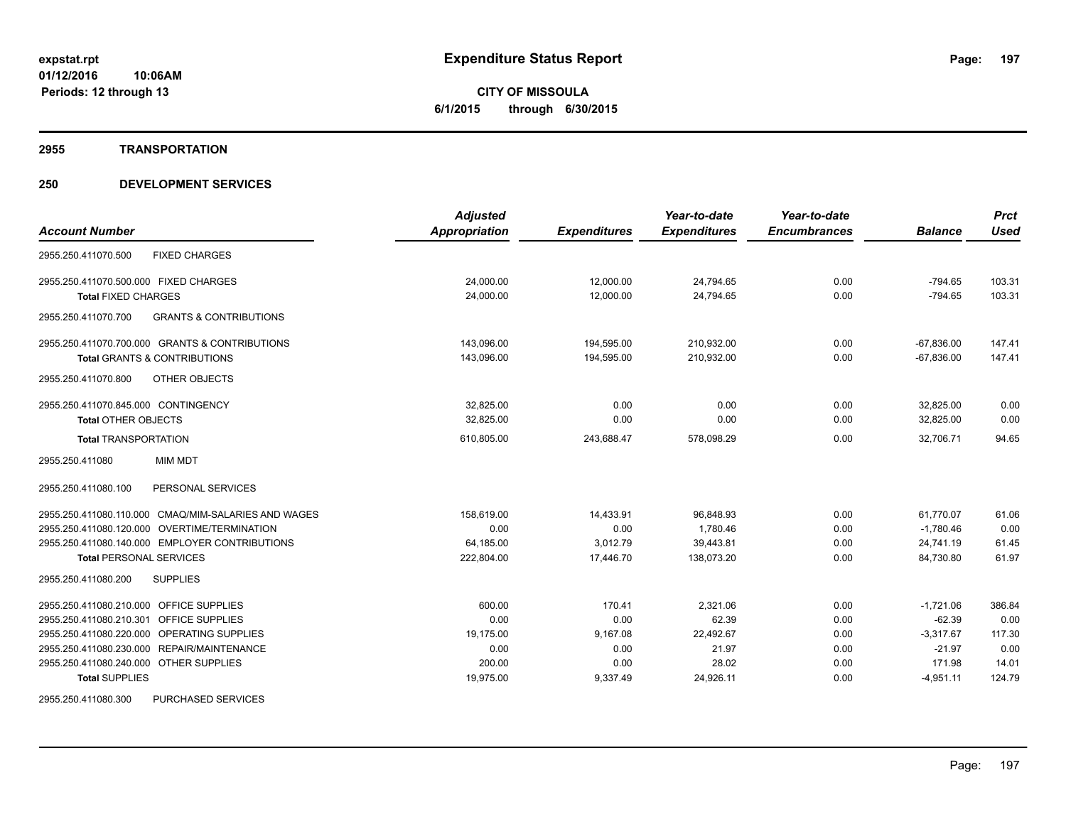#### **2955 TRANSPORTATION**

| <b>Account Number</b>                                    | <b>Adjusted</b><br>Appropriation | <b>Expenditures</b> | Year-to-date<br><b>Expenditures</b> | Year-to-date<br><b>Encumbrances</b> | <b>Balance</b> | <b>Prct</b><br><b>Used</b> |
|----------------------------------------------------------|----------------------------------|---------------------|-------------------------------------|-------------------------------------|----------------|----------------------------|
|                                                          |                                  |                     |                                     |                                     |                |                            |
| <b>FIXED CHARGES</b><br>2955.250.411070.500              |                                  |                     |                                     |                                     |                |                            |
| 2955.250.411070.500.000 FIXED CHARGES                    | 24,000.00                        | 12,000.00           | 24,794.65                           | 0.00                                | $-794.65$      | 103.31                     |
| <b>Total FIXED CHARGES</b>                               | 24,000.00                        | 12,000.00           | 24,794.65                           | 0.00                                | $-794.65$      | 103.31                     |
| 2955.250.411070.700<br><b>GRANTS &amp; CONTRIBUTIONS</b> |                                  |                     |                                     |                                     |                |                            |
| 2955.250.411070.700.000 GRANTS & CONTRIBUTIONS           | 143,096.00                       | 194,595.00          | 210,932.00                          | 0.00                                | $-67,836.00$   | 147.41                     |
| <b>Total GRANTS &amp; CONTRIBUTIONS</b>                  | 143,096.00                       | 194.595.00          | 210.932.00                          | 0.00                                | $-67.836.00$   | 147.41                     |
| 2955.250.411070.800<br><b>OTHER OBJECTS</b>              |                                  |                     |                                     |                                     |                |                            |
| 2955.250.411070.845.000 CONTINGENCY                      | 32,825.00                        | 0.00                | 0.00                                | 0.00                                | 32,825.00      | 0.00                       |
| <b>Total OTHER OBJECTS</b>                               | 32,825.00                        | 0.00                | 0.00                                | 0.00                                | 32,825.00      | 0.00                       |
| <b>Total TRANSPORTATION</b>                              | 610,805.00                       | 243,688.47          | 578,098.29                          | 0.00                                | 32.706.71      | 94.65                      |
| <b>MIM MDT</b><br>2955.250.411080                        |                                  |                     |                                     |                                     |                |                            |
| PERSONAL SERVICES<br>2955.250.411080.100                 |                                  |                     |                                     |                                     |                |                            |
| 2955.250.411080.110.000 CMAQ/MIM-SALARIES AND WAGES      | 158,619.00                       | 14,433.91           | 96,848.93                           | 0.00                                | 61,770.07      | 61.06                      |
| 2955.250.411080.120.000 OVERTIME/TERMINATION             | 0.00                             | 0.00                | 1.780.46                            | 0.00                                | $-1.780.46$    | 0.00                       |
| 2955.250.411080.140.000 EMPLOYER CONTRIBUTIONS           | 64,185.00                        | 3,012.79            | 39,443.81                           | 0.00                                | 24,741.19      | 61.45                      |
| <b>Total PERSONAL SERVICES</b>                           | 222,804.00                       | 17,446.70           | 138,073.20                          | 0.00                                | 84,730.80      | 61.97                      |
| 2955.250.411080.200<br><b>SUPPLIES</b>                   |                                  |                     |                                     |                                     |                |                            |
| 2955.250.411080.210.000 OFFICE SUPPLIES                  | 600.00                           | 170.41              | 2,321.06                            | 0.00                                | $-1,721.06$    | 386.84                     |
| 2955.250.411080.210.301 OFFICE SUPPLIES                  | 0.00                             | 0.00                | 62.39                               | 0.00                                | $-62.39$       | 0.00                       |
| 2955.250.411080.220.000 OPERATING SUPPLIES               | 19,175.00                        | 9,167.08            | 22,492.67                           | 0.00                                | $-3.317.67$    | 117.30                     |
| 2955.250.411080.230.000 REPAIR/MAINTENANCE               | 0.00                             | 0.00                | 21.97                               | 0.00                                | $-21.97$       | 0.00                       |
| 2955.250.411080.240.000 OTHER SUPPLIES                   | 200.00                           | 0.00                | 28.02                               | 0.00                                | 171.98         | 14.01                      |
| <b>Total SUPPLIES</b>                                    | 19,975.00                        | 9,337.49            | 24,926.11                           | 0.00                                | $-4,951.11$    | 124.79                     |
| 2955.250.411080.300<br><b>PURCHASED SERVICES</b>         |                                  |                     |                                     |                                     |                |                            |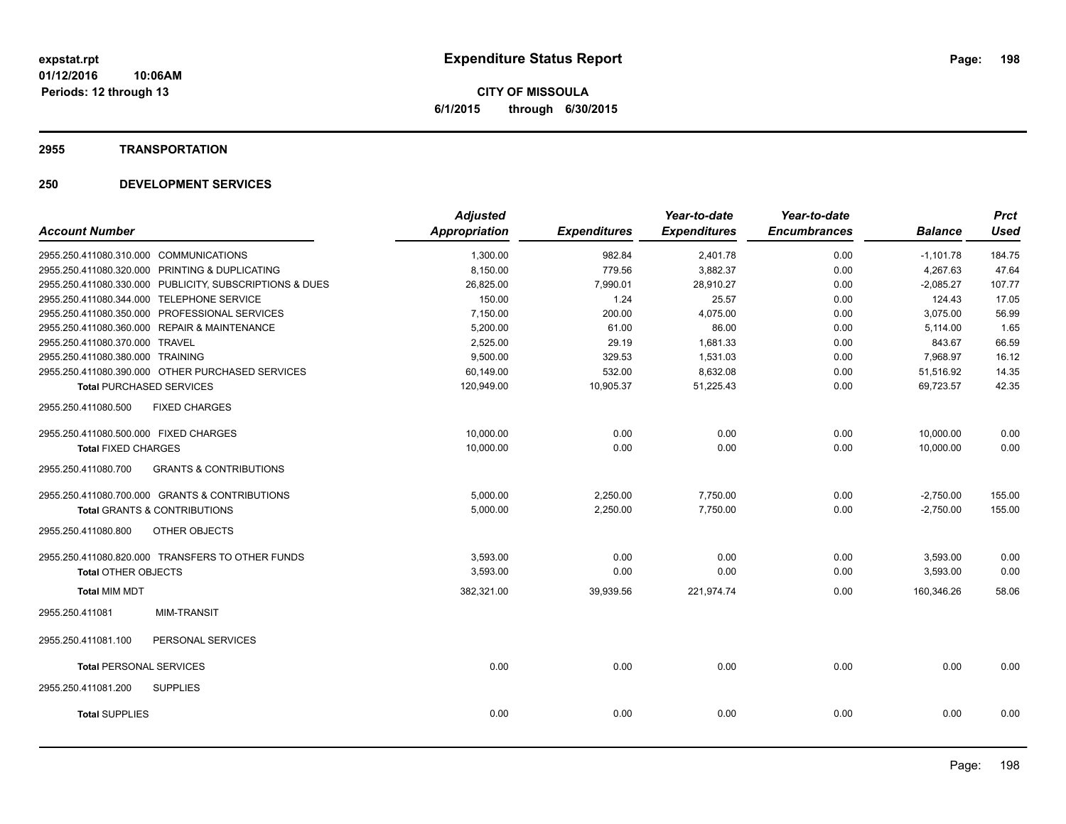**CITY OF MISSOULA 6/1/2015 through 6/30/2015**

#### **2955 TRANSPORTATION**

|                                                          | <b>Adjusted</b>      |                     | Year-to-date        | Year-to-date        |                | <b>Prct</b> |
|----------------------------------------------------------|----------------------|---------------------|---------------------|---------------------|----------------|-------------|
| <b>Account Number</b>                                    | <b>Appropriation</b> | <b>Expenditures</b> | <b>Expenditures</b> | <b>Encumbrances</b> | <b>Balance</b> | <b>Used</b> |
| 2955.250.411080.310.000 COMMUNICATIONS                   | 1,300.00             | 982.84              | 2,401.78            | 0.00                | $-1,101.78$    | 184.75      |
| 2955.250.411080.320.000 PRINTING & DUPLICATING           | 8,150.00             | 779.56              | 3,882.37            | 0.00                | 4,267.63       | 47.64       |
| 2955.250.411080.330.000 PUBLICITY, SUBSCRIPTIONS & DUES  | 26,825.00            | 7,990.01            | 28,910.27           | 0.00                | $-2,085.27$    | 107.77      |
| 2955.250.411080.344.000 TELEPHONE SERVICE                | 150.00               | 1.24                | 25.57               | 0.00                | 124.43         | 17.05       |
| 2955.250.411080.350.000 PROFESSIONAL SERVICES            | 7,150.00             | 200.00              | 4,075.00            | 0.00                | 3,075.00       | 56.99       |
| 2955.250.411080.360.000 REPAIR & MAINTENANCE             | 5,200.00             | 61.00               | 86.00               | 0.00                | 5,114.00       | 1.65        |
| 2955.250.411080.370.000 TRAVEL                           | 2,525.00             | 29.19               | 1,681.33            | 0.00                | 843.67         | 66.59       |
| 2955.250.411080.380.000 TRAINING                         | 9,500.00             | 329.53              | 1,531.03            | 0.00                | 7,968.97       | 16.12       |
| 2955.250.411080.390.000 OTHER PURCHASED SERVICES         | 60,149.00            | 532.00              | 8,632.08            | 0.00                | 51,516.92      | 14.35       |
| <b>Total PURCHASED SERVICES</b>                          | 120,949.00           | 10,905.37           | 51,225.43           | 0.00                | 69,723.57      | 42.35       |
| 2955.250.411080.500<br><b>FIXED CHARGES</b>              |                      |                     |                     |                     |                |             |
| 2955.250.411080.500.000 FIXED CHARGES                    | 10,000.00            | 0.00                | 0.00                | 0.00                | 10,000.00      | 0.00        |
| <b>Total FIXED CHARGES</b>                               | 10,000.00            | 0.00                | 0.00                | 0.00                | 10,000.00      | 0.00        |
| 2955.250.411080.700<br><b>GRANTS &amp; CONTRIBUTIONS</b> |                      |                     |                     |                     |                |             |
| 2955.250.411080.700.000 GRANTS & CONTRIBUTIONS           | 5,000.00             | 2,250.00            | 7,750.00            | 0.00                | $-2,750.00$    | 155.00      |
| <b>Total GRANTS &amp; CONTRIBUTIONS</b>                  | 5,000.00             | 2,250.00            | 7,750.00            | 0.00                | $-2,750.00$    | 155.00      |
| OTHER OBJECTS<br>2955.250.411080.800                     |                      |                     |                     |                     |                |             |
| 2955.250.411080.820.000 TRANSFERS TO OTHER FUNDS         | 3,593.00             | 0.00                | 0.00                | 0.00                | 3,593.00       | 0.00        |
| <b>Total OTHER OBJECTS</b>                               | 3,593.00             | 0.00                | 0.00                | 0.00                | 3,593.00       | 0.00        |
| <b>Total MIM MDT</b>                                     | 382,321.00           | 39,939.56           | 221,974.74          | 0.00                | 160,346.26     | 58.06       |
| 2955.250.411081<br><b>MIM-TRANSIT</b>                    |                      |                     |                     |                     |                |             |
| PERSONAL SERVICES<br>2955.250.411081.100                 |                      |                     |                     |                     |                |             |
| <b>Total PERSONAL SERVICES</b>                           | 0.00                 | 0.00                | 0.00                | 0.00                | 0.00           | 0.00        |
| 2955.250.411081.200<br><b>SUPPLIES</b>                   |                      |                     |                     |                     |                |             |
| <b>Total SUPPLIES</b>                                    | 0.00                 | 0.00                | 0.00                | 0.00                | 0.00           | 0.00        |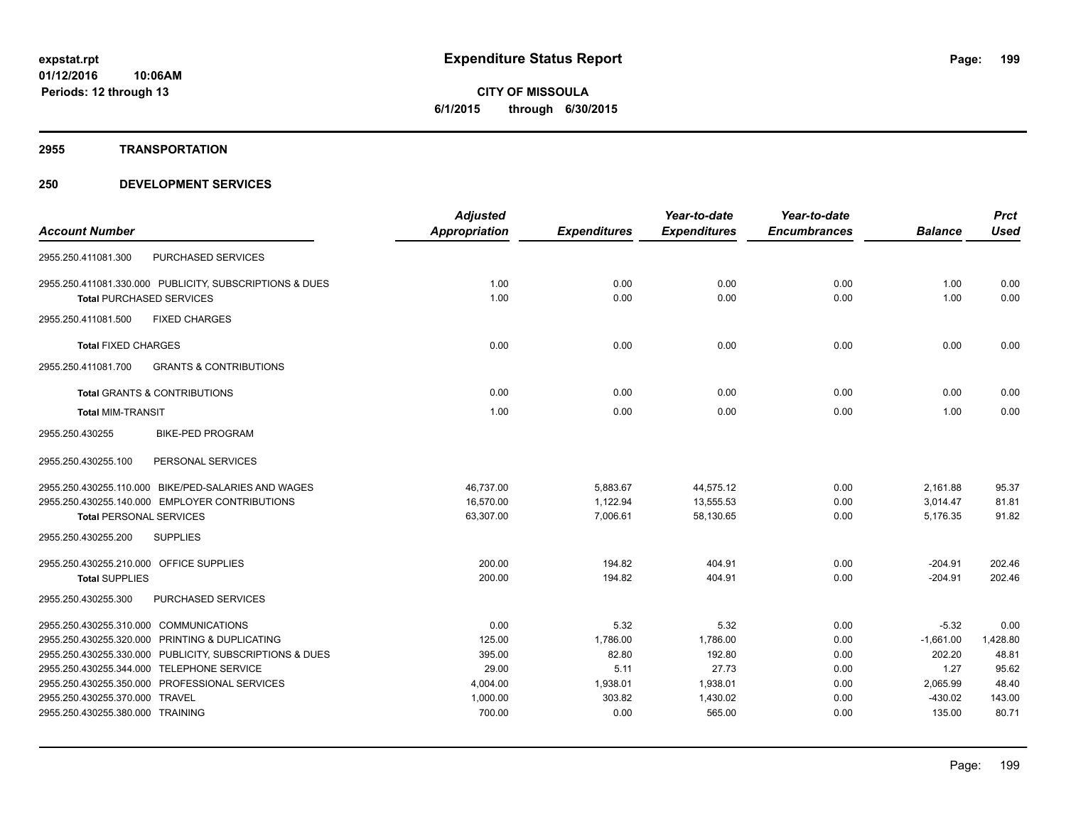#### **2955 TRANSPORTATION**

|                                                          | <b>Adjusted</b> |                     | Year-to-date        | Year-to-date        |                | <b>Prct</b> |
|----------------------------------------------------------|-----------------|---------------------|---------------------|---------------------|----------------|-------------|
| <b>Account Number</b>                                    | Appropriation   | <b>Expenditures</b> | <b>Expenditures</b> | <b>Encumbrances</b> | <b>Balance</b> | <b>Used</b> |
| PURCHASED SERVICES<br>2955.250.411081.300                |                 |                     |                     |                     |                |             |
| 2955.250.411081.330.000 PUBLICITY, SUBSCRIPTIONS & DUES  | 1.00            | 0.00                | 0.00                | 0.00                | 1.00           | 0.00        |
| <b>Total PURCHASED SERVICES</b>                          | 1.00            | 0.00                | 0.00                | 0.00                | 1.00           | 0.00        |
| <b>FIXED CHARGES</b><br>2955.250.411081.500              |                 |                     |                     |                     |                |             |
| <b>Total FIXED CHARGES</b>                               | 0.00            | 0.00                | 0.00                | 0.00                | 0.00           | 0.00        |
| <b>GRANTS &amp; CONTRIBUTIONS</b><br>2955.250.411081.700 |                 |                     |                     |                     |                |             |
| Total GRANTS & CONTRIBUTIONS                             | 0.00            | 0.00                | 0.00                | 0.00                | 0.00           | 0.00        |
| <b>Total MIM-TRANSIT</b>                                 | 1.00            | 0.00                | 0.00                | 0.00                | 1.00           | 0.00        |
| 2955.250.430255<br><b>BIKE-PED PROGRAM</b>               |                 |                     |                     |                     |                |             |
| 2955.250.430255.100<br>PERSONAL SERVICES                 |                 |                     |                     |                     |                |             |
| 2955.250.430255.110.000 BIKE/PED-SALARIES AND WAGES      | 46,737.00       | 5,883.67            | 44,575.12           | 0.00                | 2,161.88       | 95.37       |
| 2955.250.430255.140.000 EMPLOYER CONTRIBUTIONS           | 16,570.00       | 1.122.94            | 13,555.53           | 0.00                | 3.014.47       | 81.81       |
| <b>Total PERSONAL SERVICES</b>                           | 63,307.00       | 7,006.61            | 58,130.65           | 0.00                | 5,176.35       | 91.82       |
| <b>SUPPLIES</b><br>2955.250.430255.200                   |                 |                     |                     |                     |                |             |
| 2955.250.430255.210.000 OFFICE SUPPLIES                  | 200.00          | 194.82              | 404.91              | 0.00                | $-204.91$      | 202.46      |
| <b>Total SUPPLIES</b>                                    | 200.00          | 194.82              | 404.91              | 0.00                | $-204.91$      | 202.46      |
| PURCHASED SERVICES<br>2955.250.430255.300                |                 |                     |                     |                     |                |             |
| 2955.250.430255.310.000 COMMUNICATIONS                   | 0.00            | 5.32                | 5.32                | 0.00                | $-5.32$        | 0.00        |
| 2955.250.430255.320.000 PRINTING & DUPLICATING           | 125.00          | 1,786.00            | 1,786.00            | 0.00                | $-1,661.00$    | 1,428.80    |
| 2955.250.430255.330.000 PUBLICITY, SUBSCRIPTIONS & DUES  | 395.00          | 82.80               | 192.80              | 0.00                | 202.20         | 48.81       |
| 2955.250.430255.344.000 TELEPHONE SERVICE                | 29.00           | 5.11                | 27.73               | 0.00                | 1.27           | 95.62       |
| 2955.250.430255.350.000 PROFESSIONAL SERVICES            | 4,004.00        | 1,938.01            | 1,938.01            | 0.00                | 2,065.99       | 48.40       |
| 2955.250.430255.370.000 TRAVEL                           | 1,000.00        | 303.82              | 1,430.02            | 0.00                | $-430.02$      | 143.00      |
| 2955.250.430255.380.000 TRAINING                         | 700.00          | 0.00                | 565.00              | 0.00                | 135.00         | 80.71       |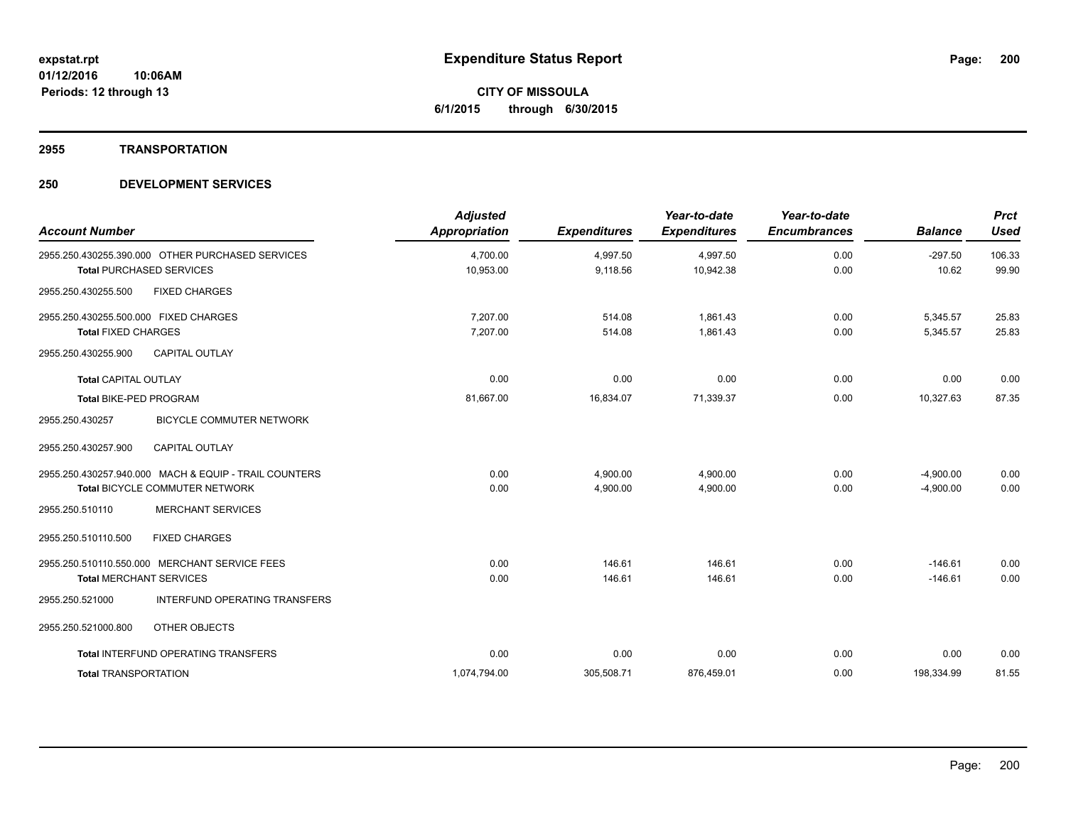#### **2955 TRANSPORTATION**

| <b>Account Number</b>                                                                   | <b>Adjusted</b><br><b>Appropriation</b> | <b>Expenditures</b>  | Year-to-date<br><b>Expenditures</b> | Year-to-date<br><b>Encumbrances</b> | <b>Balance</b>             | <b>Prct</b><br><b>Used</b> |
|-----------------------------------------------------------------------------------------|-----------------------------------------|----------------------|-------------------------------------|-------------------------------------|----------------------------|----------------------------|
| 2955.250.430255.390.000 OTHER PURCHASED SERVICES<br><b>Total PURCHASED SERVICES</b>     | 4,700.00<br>10,953.00                   | 4,997.50<br>9,118.56 | 4,997.50<br>10,942.38               | 0.00<br>0.00                        | $-297.50$<br>10.62         | 106.33<br>99.90            |
| 2955.250.430255.500<br><b>FIXED CHARGES</b>                                             |                                         |                      |                                     |                                     |                            |                            |
| 2955.250.430255.500.000 FIXED CHARGES<br><b>Total FIXED CHARGES</b>                     | 7,207.00<br>7,207.00                    | 514.08<br>514.08     | 1.861.43<br>1,861.43                | 0.00<br>0.00                        | 5,345.57<br>5,345.57       | 25.83<br>25.83             |
| <b>CAPITAL OUTLAY</b><br>2955.250.430255.900                                            |                                         |                      |                                     |                                     |                            |                            |
| <b>Total CAPITAL OUTLAY</b>                                                             | 0.00                                    | 0.00                 | 0.00                                | 0.00                                | 0.00                       | 0.00                       |
| Total BIKE-PED PROGRAM                                                                  | 81,667.00                               | 16,834.07            | 71,339.37                           | 0.00                                | 10,327.63                  | 87.35                      |
| <b>BICYCLE COMMUTER NETWORK</b><br>2955.250.430257                                      |                                         |                      |                                     |                                     |                            |                            |
| <b>CAPITAL OUTLAY</b><br>2955.250.430257.900                                            |                                         |                      |                                     |                                     |                            |                            |
| 2955.250.430257.940.000 MACH & EQUIP - TRAIL COUNTERS<br>Total BICYCLE COMMUTER NETWORK | 0.00<br>0.00                            | 4,900.00<br>4,900.00 | 4,900.00<br>4,900.00                | 0.00<br>0.00                        | $-4,900.00$<br>$-4,900.00$ | 0.00<br>0.00               |
| <b>MERCHANT SERVICES</b><br>2955.250.510110                                             |                                         |                      |                                     |                                     |                            |                            |
| 2955.250.510110.500<br><b>FIXED CHARGES</b>                                             |                                         |                      |                                     |                                     |                            |                            |
| 2955.250.510110.550.000 MERCHANT SERVICE FEES<br><b>Total MERCHANT SERVICES</b>         | 0.00<br>0.00                            | 146.61<br>146.61     | 146.61<br>146.61                    | 0.00<br>0.00                        | $-146.61$<br>$-146.61$     | 0.00<br>0.00               |
| INTERFUND OPERATING TRANSFERS<br>2955.250.521000                                        |                                         |                      |                                     |                                     |                            |                            |
| 2955.250.521000.800<br>OTHER OBJECTS                                                    |                                         |                      |                                     |                                     |                            |                            |
| Total INTERFUND OPERATING TRANSFERS                                                     | 0.00                                    | 0.00                 | 0.00                                | 0.00                                | 0.00                       | 0.00                       |
| <b>Total TRANSPORTATION</b>                                                             | 1,074,794.00                            | 305,508.71           | 876,459.01                          | 0.00                                | 198,334.99                 | 81.55                      |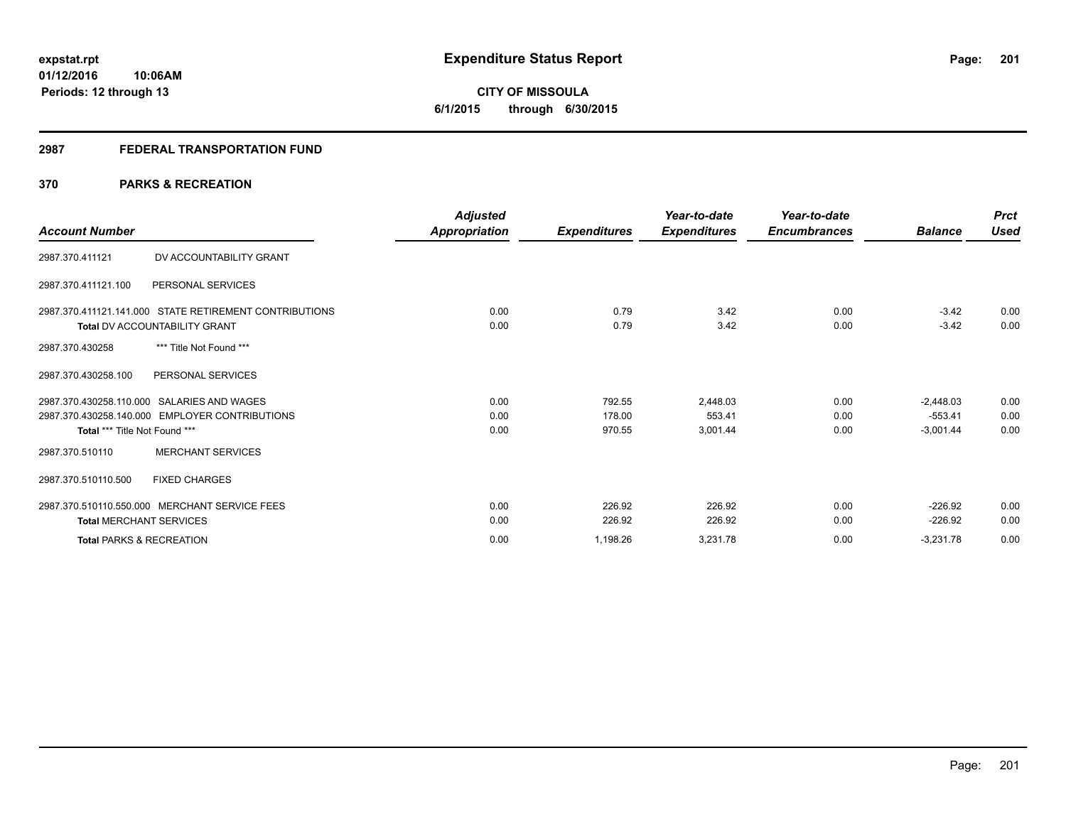# **CITY OF MISSOULA 6/1/2015 through 6/30/2015**

# **2987 FEDERAL TRANSPORTATION FUND**

# **370 PARKS & RECREATION**

|                                     |                                                        | <b>Adjusted</b> |                     | Year-to-date        | Year-to-date        |                | <b>Prct</b> |
|-------------------------------------|--------------------------------------------------------|-----------------|---------------------|---------------------|---------------------|----------------|-------------|
| <b>Account Number</b>               |                                                        | Appropriation   | <b>Expenditures</b> | <b>Expenditures</b> | <b>Encumbrances</b> | <b>Balance</b> | <b>Used</b> |
| 2987.370.411121                     | DV ACCOUNTABILITY GRANT                                |                 |                     |                     |                     |                |             |
| 2987.370.411121.100                 | PERSONAL SERVICES                                      |                 |                     |                     |                     |                |             |
|                                     | 2987.370.411121.141.000 STATE RETIREMENT CONTRIBUTIONS | 0.00            | 0.79                | 3.42                | 0.00                | $-3.42$        | 0.00        |
|                                     | <b>Total DV ACCOUNTABILITY GRANT</b>                   | 0.00            | 0.79                | 3.42                | 0.00                | $-3.42$        | 0.00        |
| 2987.370.430258                     | *** Title Not Found ***                                |                 |                     |                     |                     |                |             |
| 2987.370.430258.100                 | PERSONAL SERVICES                                      |                 |                     |                     |                     |                |             |
|                                     | 2987.370.430258.110.000 SALARIES AND WAGES             | 0.00            | 792.55              | 2.448.03            | 0.00                | $-2,448.03$    | 0.00        |
|                                     | 2987.370.430258.140.000 EMPLOYER CONTRIBUTIONS         | 0.00            | 178.00              | 553.41              | 0.00                | $-553.41$      | 0.00        |
| Total *** Title Not Found ***       |                                                        | 0.00            | 970.55              | 3,001.44            | 0.00                | $-3,001.44$    | 0.00        |
| 2987.370.510110                     | <b>MERCHANT SERVICES</b>                               |                 |                     |                     |                     |                |             |
| 2987.370.510110.500                 | <b>FIXED CHARGES</b>                                   |                 |                     |                     |                     |                |             |
|                                     | 2987.370.510110.550.000 MERCHANT SERVICE FEES          | 0.00            | 226.92              | 226.92              | 0.00                | $-226.92$      | 0.00        |
| <b>Total MERCHANT SERVICES</b>      |                                                        | 0.00            | 226.92              | 226.92              | 0.00                | $-226.92$      | 0.00        |
| <b>Total PARKS &amp; RECREATION</b> |                                                        | 0.00            | 1,198.26            | 3,231.78            | 0.00                | $-3,231.78$    | 0.00        |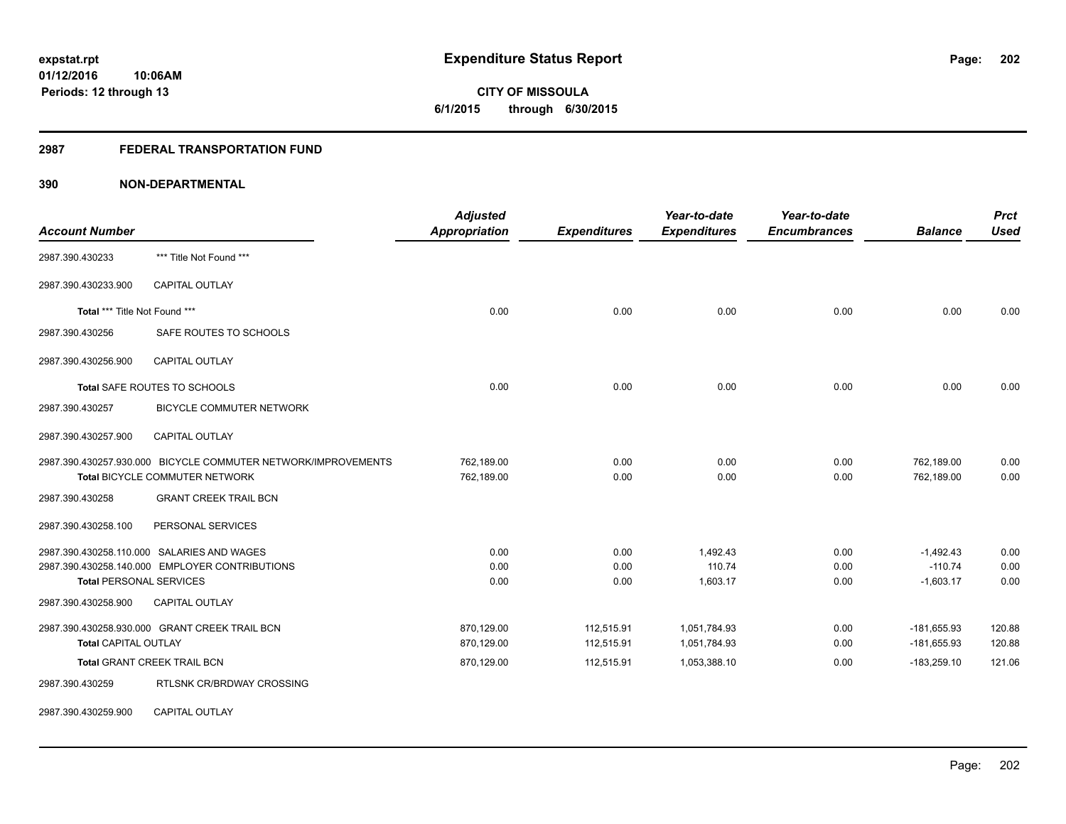**CITY OF MISSOULA 6/1/2015 through 6/30/2015**

#### **2987 FEDERAL TRANSPORTATION FUND**

# **390 NON-DEPARTMENTAL**

| <b>Account Number</b>                                 |                                                                                                                       | <b>Adjusted</b><br><b>Appropriation</b> | <b>Expenditures</b>      | Year-to-date<br><b>Expenditures</b> | Year-to-date<br><b>Encumbrances</b> | <b>Balance</b>                          | <b>Prct</b><br><b>Used</b> |
|-------------------------------------------------------|-----------------------------------------------------------------------------------------------------------------------|-----------------------------------------|--------------------------|-------------------------------------|-------------------------------------|-----------------------------------------|----------------------------|
| 2987.390.430233                                       | *** Title Not Found ***                                                                                               |                                         |                          |                                     |                                     |                                         |                            |
| 2987.390.430233.900                                   | <b>CAPITAL OUTLAY</b>                                                                                                 |                                         |                          |                                     |                                     |                                         |                            |
| Total *** Title Not Found ***                         |                                                                                                                       | 0.00                                    | 0.00                     | 0.00                                | 0.00                                | 0.00                                    | 0.00                       |
| 2987.390.430256                                       | SAFE ROUTES TO SCHOOLS                                                                                                |                                         |                          |                                     |                                     |                                         |                            |
| 2987.390.430256.900                                   | <b>CAPITAL OUTLAY</b>                                                                                                 |                                         |                          |                                     |                                     |                                         |                            |
|                                                       | Total SAFE ROUTES TO SCHOOLS                                                                                          | 0.00                                    | 0.00                     | 0.00                                | 0.00                                | 0.00                                    | 0.00                       |
| 2987.390.430257                                       | <b>BICYCLE COMMUTER NETWORK</b>                                                                                       |                                         |                          |                                     |                                     |                                         |                            |
| 2987.390.430257.900                                   | CAPITAL OUTLAY                                                                                                        |                                         |                          |                                     |                                     |                                         |                            |
|                                                       | 2987.390.430257.930.000 BICYCLE COMMUTER NETWORK/IMPROVEMENTS<br>Total BICYCLE COMMUTER NETWORK                       | 762,189.00<br>762,189.00                | 0.00<br>0.00             | 0.00<br>0.00                        | 0.00<br>0.00                        | 762,189.00<br>762,189.00                | 0.00<br>0.00               |
| 2987.390.430258                                       | <b>GRANT CREEK TRAIL BCN</b>                                                                                          |                                         |                          |                                     |                                     |                                         |                            |
| 2987.390.430258.100                                   | PERSONAL SERVICES                                                                                                     |                                         |                          |                                     |                                     |                                         |                            |
| <b>Total PERSONAL SERVICES</b><br>2987.390.430258.900 | 2987.390.430258.110.000 SALARIES AND WAGES<br>2987.390.430258.140.000 EMPLOYER CONTRIBUTIONS<br><b>CAPITAL OUTLAY</b> | 0.00<br>0.00<br>0.00                    | 0.00<br>0.00<br>0.00     | 1,492.43<br>110.74<br>1,603.17      | 0.00<br>0.00<br>0.00                | $-1,492.43$<br>$-110.74$<br>$-1,603.17$ | 0.00<br>0.00<br>0.00       |
|                                                       |                                                                                                                       |                                         |                          |                                     |                                     |                                         |                            |
| <b>Total CAPITAL OUTLAY</b>                           | 2987.390.430258.930.000 GRANT CREEK TRAIL BCN                                                                         | 870,129.00<br>870,129.00                | 112,515.91<br>112,515.91 | 1,051,784.93<br>1,051,784.93        | 0.00<br>0.00                        | $-181,655.93$<br>$-181,655.93$          | 120.88<br>120.88           |
|                                                       | <b>Total GRANT CREEK TRAIL BCN</b>                                                                                    | 870,129.00                              | 112,515.91               | 1,053,388.10                        | 0.00                                | $-183,259.10$                           | 121.06                     |
| 2987.390.430259                                       | RTLSNK CR/BRDWAY CROSSING                                                                                             |                                         |                          |                                     |                                     |                                         |                            |

2987.390.430259.900 CAPITAL OUTLAY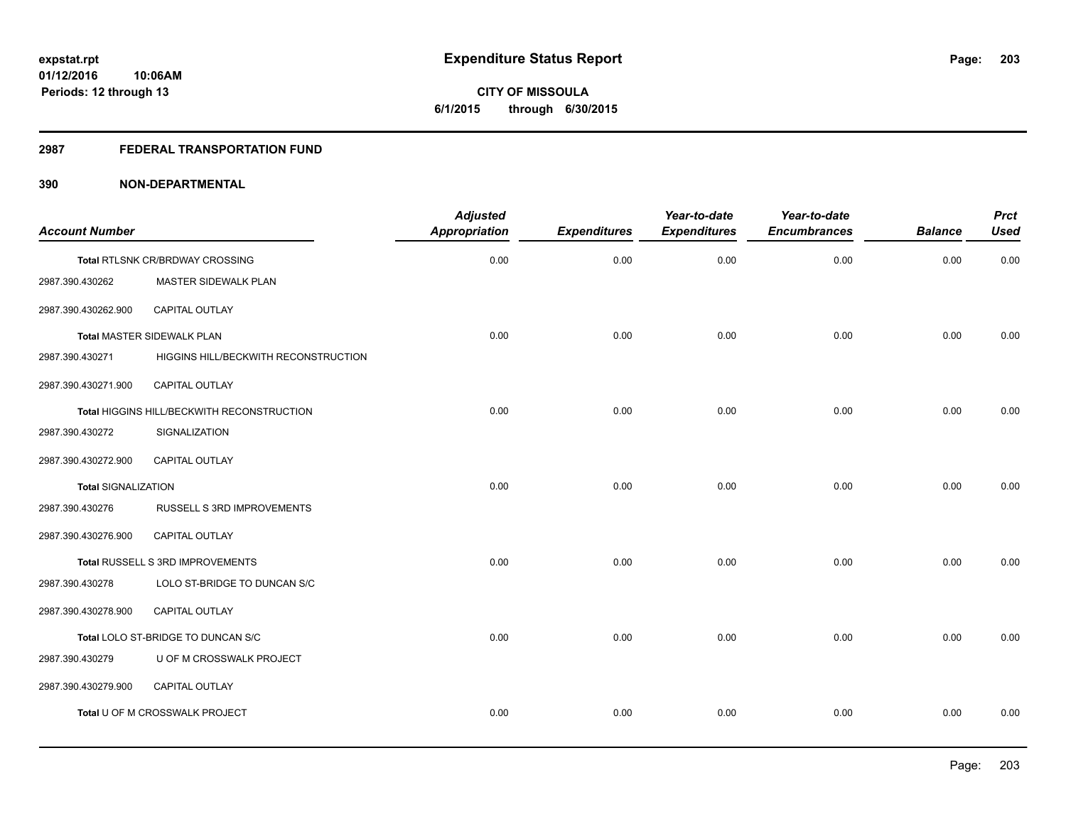**Periods: 12 through 13**

**CITY OF MISSOULA 6/1/2015 through 6/30/2015**

#### **2987 FEDERAL TRANSPORTATION FUND**

# **390 NON-DEPARTMENTAL**

**10:06AM**

| <b>Account Number</b>      |                                            | <b>Adjusted</b><br>Appropriation | <b>Expenditures</b> | Year-to-date<br><b>Expenditures</b> | Year-to-date<br><b>Encumbrances</b> | <b>Balance</b> | <b>Prct</b><br><b>Used</b> |
|----------------------------|--------------------------------------------|----------------------------------|---------------------|-------------------------------------|-------------------------------------|----------------|----------------------------|
|                            | Total RTLSNK CR/BRDWAY CROSSING            | 0.00                             | 0.00                | 0.00                                | 0.00                                | 0.00           | 0.00                       |
| 2987.390.430262            | MASTER SIDEWALK PLAN                       |                                  |                     |                                     |                                     |                |                            |
| 2987.390.430262.900        | <b>CAPITAL OUTLAY</b>                      |                                  |                     |                                     |                                     |                |                            |
|                            | Total MASTER SIDEWALK PLAN                 | 0.00                             | 0.00                | 0.00                                | 0.00                                | 0.00           | 0.00                       |
| 2987.390.430271            | HIGGINS HILL/BECKWITH RECONSTRUCTION       |                                  |                     |                                     |                                     |                |                            |
| 2987.390.430271.900        | CAPITAL OUTLAY                             |                                  |                     |                                     |                                     |                |                            |
|                            | Total HIGGINS HILL/BECKWITH RECONSTRUCTION | 0.00                             | 0.00                | 0.00                                | 0.00                                | 0.00           | 0.00                       |
| 2987.390.430272            | SIGNALIZATION                              |                                  |                     |                                     |                                     |                |                            |
| 2987.390.430272.900        | CAPITAL OUTLAY                             |                                  |                     |                                     |                                     |                |                            |
| <b>Total SIGNALIZATION</b> |                                            | 0.00                             | 0.00                | 0.00                                | 0.00                                | 0.00           | 0.00                       |
| 2987.390.430276            | RUSSELL S 3RD IMPROVEMENTS                 |                                  |                     |                                     |                                     |                |                            |
| 2987.390.430276.900        | CAPITAL OUTLAY                             |                                  |                     |                                     |                                     |                |                            |
|                            | Total RUSSELL S 3RD IMPROVEMENTS           | 0.00                             | 0.00                | 0.00                                | 0.00                                | 0.00           | 0.00                       |
| 2987.390.430278            | LOLO ST-BRIDGE TO DUNCAN S/C               |                                  |                     |                                     |                                     |                |                            |
| 2987.390.430278.900        | CAPITAL OUTLAY                             |                                  |                     |                                     |                                     |                |                            |
|                            | Total LOLO ST-BRIDGE TO DUNCAN S/C         | 0.00                             | 0.00                | 0.00                                | 0.00                                | 0.00           | 0.00                       |
| 2987.390.430279            | U OF M CROSSWALK PROJECT                   |                                  |                     |                                     |                                     |                |                            |
| 2987.390.430279.900        | <b>CAPITAL OUTLAY</b>                      |                                  |                     |                                     |                                     |                |                            |
|                            | Total U OF M CROSSWALK PROJECT             | 0.00                             | 0.00                | 0.00                                | 0.00                                | 0.00           | 0.00                       |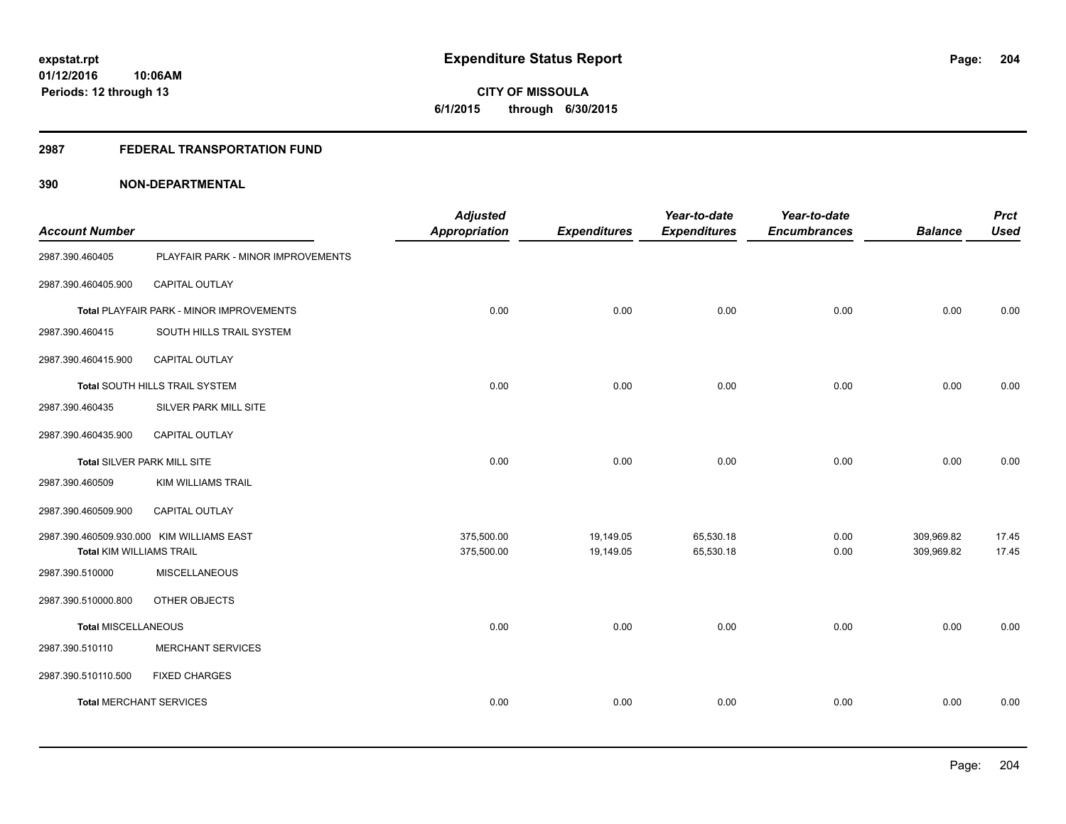**Periods: 12 through 13**

**CITY OF MISSOULA 6/1/2015 through 6/30/2015**

#### **2987 FEDERAL TRANSPORTATION FUND**

**10:06AM**

| <b>Account Number</b>           |                                           | <b>Adjusted</b><br><b>Appropriation</b> | <b>Expenditures</b> | Year-to-date<br><b>Expenditures</b> | Year-to-date<br><b>Encumbrances</b> | <b>Balance</b> | <b>Prct</b><br><b>Used</b> |
|---------------------------------|-------------------------------------------|-----------------------------------------|---------------------|-------------------------------------|-------------------------------------|----------------|----------------------------|
| 2987.390.460405                 | PLAYFAIR PARK - MINOR IMPROVEMENTS        |                                         |                     |                                     |                                     |                |                            |
| 2987.390.460405.900             | CAPITAL OUTLAY                            |                                         |                     |                                     |                                     |                |                            |
|                                 | Total PLAYFAIR PARK - MINOR IMPROVEMENTS  | 0.00                                    | 0.00                | 0.00                                | 0.00                                | 0.00           | 0.00                       |
| 2987.390.460415                 | SOUTH HILLS TRAIL SYSTEM                  |                                         |                     |                                     |                                     |                |                            |
| 2987.390.460415.900             | <b>CAPITAL OUTLAY</b>                     |                                         |                     |                                     |                                     |                |                            |
|                                 | Total SOUTH HILLS TRAIL SYSTEM            | 0.00                                    | 0.00                | 0.00                                | 0.00                                | 0.00           | 0.00                       |
| 2987.390.460435                 | SILVER PARK MILL SITE                     |                                         |                     |                                     |                                     |                |                            |
| 2987.390.460435.900             | CAPITAL OUTLAY                            |                                         |                     |                                     |                                     |                |                            |
| Total SILVER PARK MILL SITE     |                                           | 0.00                                    | 0.00                | 0.00                                | 0.00                                | 0.00           | 0.00                       |
| 2987.390.460509                 | <b>KIM WILLIAMS TRAIL</b>                 |                                         |                     |                                     |                                     |                |                            |
| 2987.390.460509.900             | <b>CAPITAL OUTLAY</b>                     |                                         |                     |                                     |                                     |                |                            |
|                                 | 2987.390.460509.930.000 KIM WILLIAMS EAST | 375,500.00                              | 19,149.05           | 65,530.18                           | 0.00                                | 309,969.82     | 17.45                      |
| <b>Total KIM WILLIAMS TRAIL</b> |                                           | 375,500.00                              | 19,149.05           | 65,530.18                           | 0.00                                | 309,969.82     | 17.45                      |
| 2987.390.510000                 | <b>MISCELLANEOUS</b>                      |                                         |                     |                                     |                                     |                |                            |
| 2987.390.510000.800             | OTHER OBJECTS                             |                                         |                     |                                     |                                     |                |                            |
| Total MISCELLANEOUS             |                                           | 0.00                                    | 0.00                | 0.00                                | 0.00                                | 0.00           | 0.00                       |
| 2987.390.510110                 | <b>MERCHANT SERVICES</b>                  |                                         |                     |                                     |                                     |                |                            |
| 2987.390.510110.500             | <b>FIXED CHARGES</b>                      |                                         |                     |                                     |                                     |                |                            |
| <b>Total MERCHANT SERVICES</b>  |                                           | 0.00                                    | 0.00                | 0.00                                | 0.00                                | 0.00           | 0.00                       |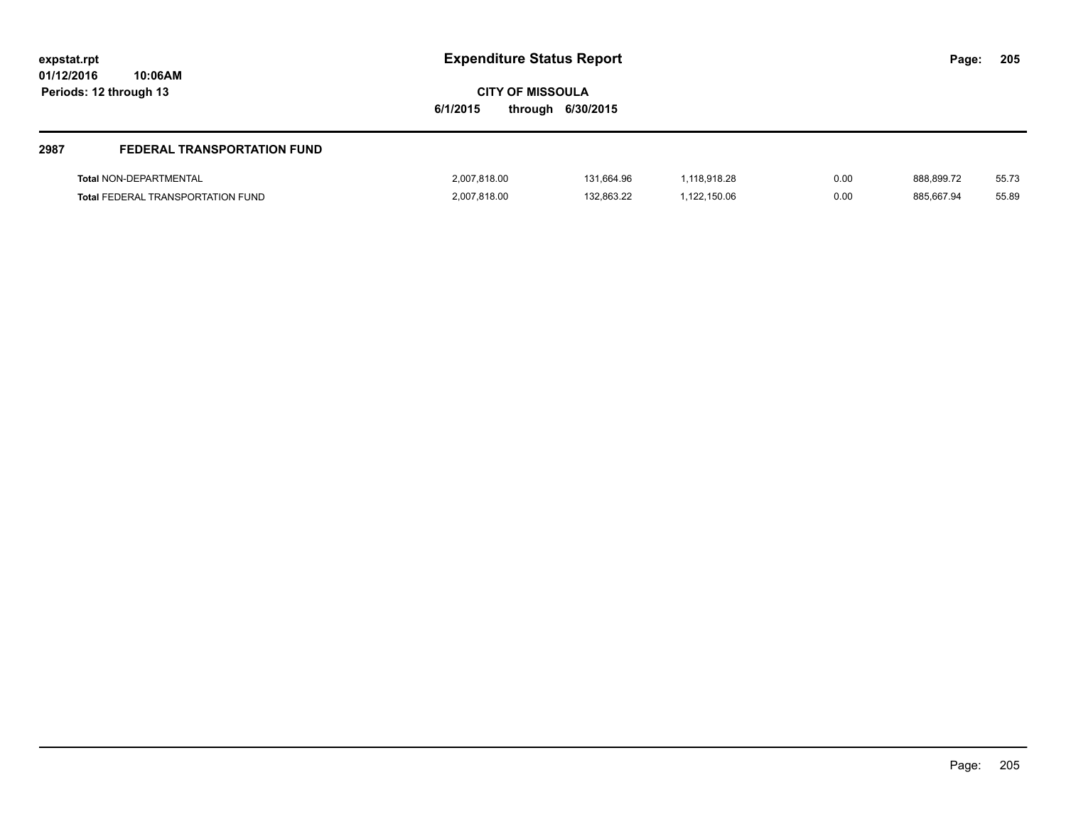| <b>Expenditure Status Report</b><br>expstat.rpt<br>01/12/2016<br>10:06AM  |                                     |                          |                              |              |                          | 205            |
|---------------------------------------------------------------------------|-------------------------------------|--------------------------|------------------------------|--------------|--------------------------|----------------|
| Periods: 12 through 13                                                    | <b>CITY OF MISSOULA</b><br>6/1/2015 | through 6/30/2015        |                              |              |                          |                |
| 2987<br><b>FEDERAL TRANSPORTATION FUND</b>                                |                                     |                          |                              |              |                          |                |
| <b>Total NON-DEPARTMENTAL</b><br><b>Total FEDERAL TRANSPORTATION FUND</b> | 2,007,818.00<br>2,007,818.00        | 131,664.96<br>132,863.22 | 1,118,918.28<br>1,122,150.06 | 0.00<br>0.00 | 888,899.72<br>885,667.94 | 55.73<br>55.89 |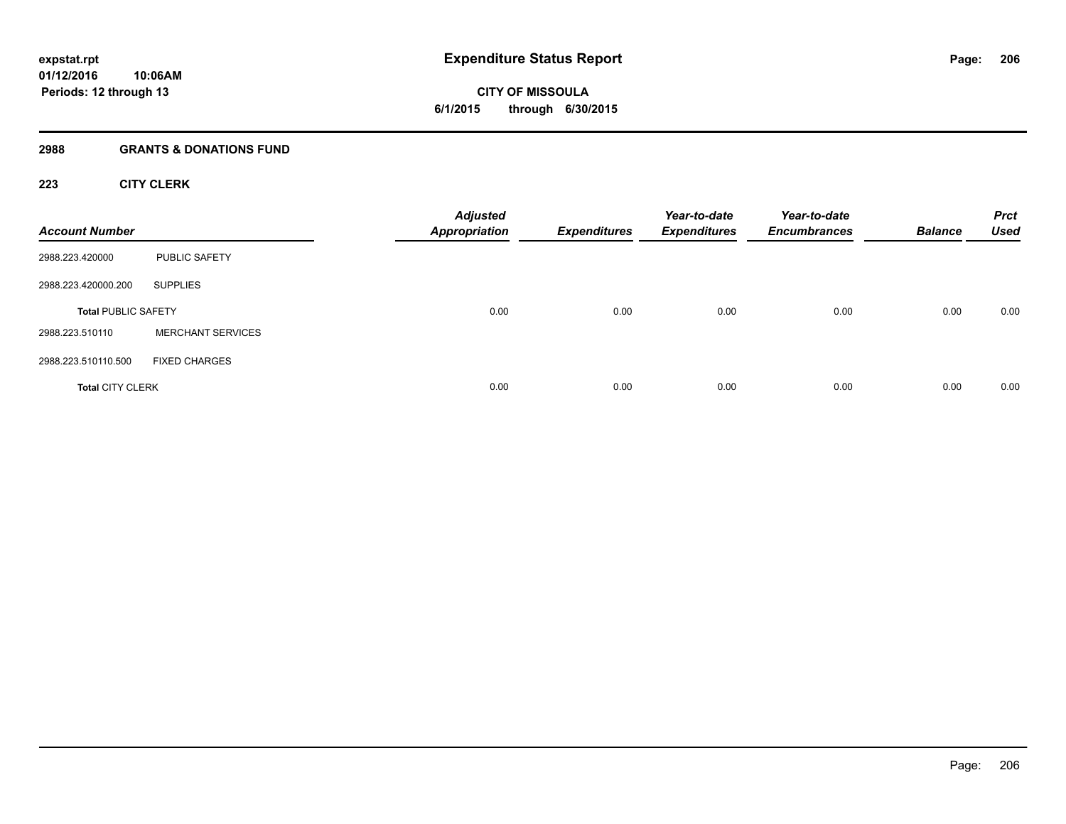**CITY OF MISSOULA 6/1/2015 through 6/30/2015**

#### **2988 GRANTS & DONATIONS FUND**

# **223 CITY CLERK**

| <b>Account Number</b>      |                          | <b>Adjusted</b><br><b>Appropriation</b> | <b>Expenditures</b> | Year-to-date<br><b>Expenditures</b> | Year-to-date<br><b>Encumbrances</b> | <b>Balance</b> | <b>Prct</b><br><b>Used</b> |
|----------------------------|--------------------------|-----------------------------------------|---------------------|-------------------------------------|-------------------------------------|----------------|----------------------------|
| 2988.223.420000            | <b>PUBLIC SAFETY</b>     |                                         |                     |                                     |                                     |                |                            |
| 2988.223.420000.200        | <b>SUPPLIES</b>          |                                         |                     |                                     |                                     |                |                            |
| <b>Total PUBLIC SAFETY</b> |                          | 0.00                                    | 0.00                | 0.00                                | 0.00                                | 0.00           | 0.00                       |
| 2988.223.510110            | <b>MERCHANT SERVICES</b> |                                         |                     |                                     |                                     |                |                            |
| 2988.223.510110.500        | <b>FIXED CHARGES</b>     |                                         |                     |                                     |                                     |                |                            |
| <b>Total CITY CLERK</b>    |                          | 0.00                                    | 0.00                | 0.00                                | 0.00                                | 0.00           | 0.00                       |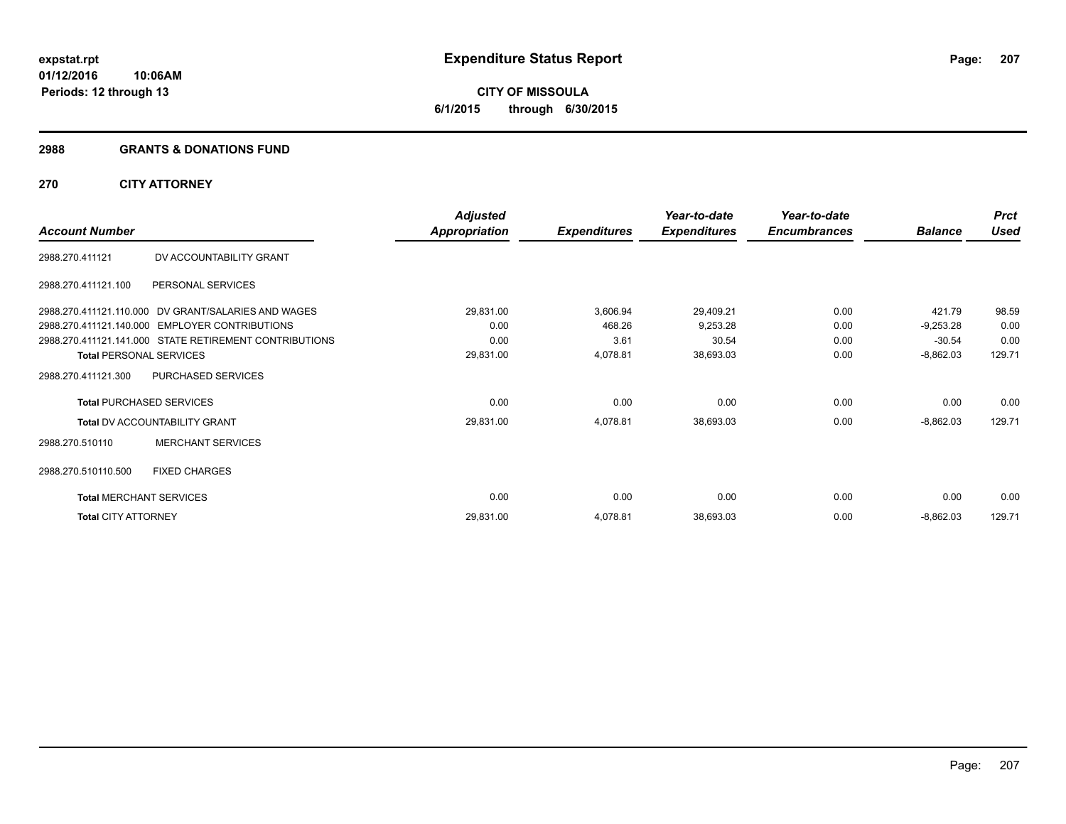#### **2988 GRANTS & DONATIONS FUND**

# **270 CITY ATTORNEY**

|                                |                                                        | <b>Adjusted</b>      |                     | Year-to-date        | Year-to-date        |                | <b>Prct</b> |
|--------------------------------|--------------------------------------------------------|----------------------|---------------------|---------------------|---------------------|----------------|-------------|
| <b>Account Number</b>          |                                                        | <b>Appropriation</b> | <b>Expenditures</b> | <b>Expenditures</b> | <b>Encumbrances</b> | <b>Balance</b> | <b>Used</b> |
| 2988.270.411121                | DV ACCOUNTABILITY GRANT                                |                      |                     |                     |                     |                |             |
| 2988.270.411121.100            | PERSONAL SERVICES                                      |                      |                     |                     |                     |                |             |
|                                | 2988.270.411121.110.000 DV GRANT/SALARIES AND WAGES    | 29,831.00            | 3,606.94            | 29,409.21           | 0.00                | 421.79         | 98.59       |
|                                | 2988.270.411121.140.000 EMPLOYER CONTRIBUTIONS         | 0.00                 | 468.26              | 9,253.28            | 0.00                | $-9,253.28$    | 0.00        |
|                                | 2988.270.411121.141.000 STATE RETIREMENT CONTRIBUTIONS | 0.00                 | 3.61                | 30.54               | 0.00                | $-30.54$       | 0.00        |
| <b>Total PERSONAL SERVICES</b> |                                                        | 29,831.00            | 4,078.81            | 38,693.03           | 0.00                | $-8,862.03$    | 129.71      |
| 2988.270.411121.300            | PURCHASED SERVICES                                     |                      |                     |                     |                     |                |             |
|                                | <b>Total PURCHASED SERVICES</b>                        | 0.00                 | 0.00                | 0.00                | 0.00                | 0.00           | 0.00        |
|                                | <b>Total DV ACCOUNTABILITY GRANT</b>                   | 29,831.00            | 4,078.81            | 38,693.03           | 0.00                | $-8,862.03$    | 129.71      |
| 2988.270.510110                | <b>MERCHANT SERVICES</b>                               |                      |                     |                     |                     |                |             |
| 2988.270.510110.500            | <b>FIXED CHARGES</b>                                   |                      |                     |                     |                     |                |             |
|                                | <b>Total MERCHANT SERVICES</b>                         | 0.00                 | 0.00                | 0.00                | 0.00                | 0.00           | 0.00        |
| <b>Total CITY ATTORNEY</b>     |                                                        | 29,831.00            | 4,078.81            | 38,693.03           | 0.00                | $-8,862.03$    | 129.71      |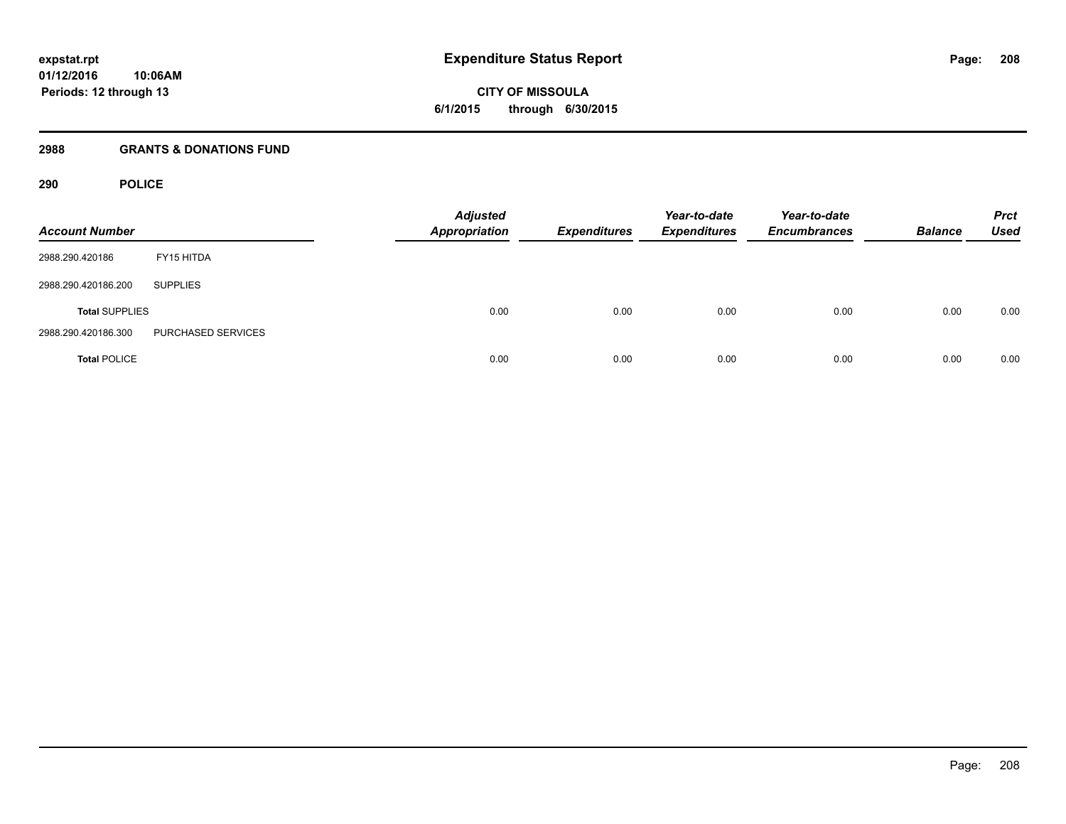**CITY OF MISSOULA 6/1/2015 through 6/30/2015**

#### **2988 GRANTS & DONATIONS FUND**

# **290 POLICE**

| <b>Account Number</b> |                    | <b>Adjusted</b><br><b>Appropriation</b> | <b>Expenditures</b> | Year-to-date<br><b>Expenditures</b> | Year-to-date<br><b>Encumbrances</b> | <b>Balance</b> | <b>Prct</b><br><b>Used</b> |
|-----------------------|--------------------|-----------------------------------------|---------------------|-------------------------------------|-------------------------------------|----------------|----------------------------|
| 2988.290.420186       | FY15 HITDA         |                                         |                     |                                     |                                     |                |                            |
| 2988.290.420186.200   | <b>SUPPLIES</b>    |                                         |                     |                                     |                                     |                |                            |
| <b>Total SUPPLIES</b> |                    | 0.00                                    | 0.00                | 0.00                                | 0.00                                | 0.00           | 0.00                       |
| 2988.290.420186.300   | PURCHASED SERVICES |                                         |                     |                                     |                                     |                |                            |
| <b>Total POLICE</b>   |                    | 0.00                                    | 0.00                | 0.00                                | 0.00                                | 0.00           | 0.00                       |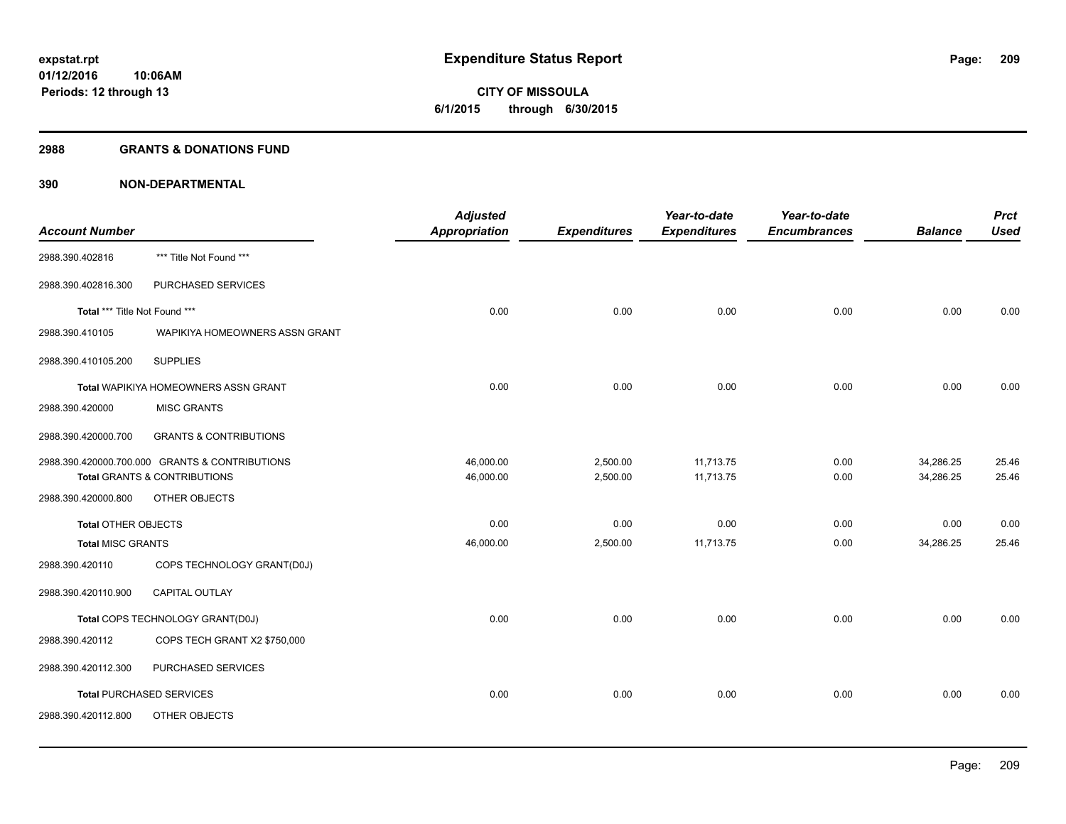# **CITY OF MISSOULA 6/1/2015 through 6/30/2015**

# **2988 GRANTS & DONATIONS FUND**

|                               |                                                          | <b>Adjusted</b> |                     | Year-to-date        | Year-to-date        |                | <b>Prct</b> |
|-------------------------------|----------------------------------------------------------|-----------------|---------------------|---------------------|---------------------|----------------|-------------|
| <b>Account Number</b>         |                                                          | Appropriation   | <b>Expenditures</b> | <b>Expenditures</b> | <b>Encumbrances</b> | <b>Balance</b> | <b>Used</b> |
| 2988.390.402816               | *** Title Not Found ***                                  |                 |                     |                     |                     |                |             |
| 2988.390.402816.300           | PURCHASED SERVICES                                       |                 |                     |                     |                     |                |             |
| Total *** Title Not Found *** |                                                          | 0.00            | 0.00                | 0.00                | 0.00                | 0.00           | 0.00        |
| 2988.390.410105               | WAPIKIYA HOMEOWNERS ASSN GRANT                           |                 |                     |                     |                     |                |             |
| 2988.390.410105.200           | <b>SUPPLIES</b>                                          |                 |                     |                     |                     |                |             |
|                               | Total WAPIKIYA HOMEOWNERS ASSN GRANT                     | 0.00            | 0.00                | 0.00                | 0.00                | 0.00           | 0.00        |
| 2988.390.420000               | <b>MISC GRANTS</b>                                       |                 |                     |                     |                     |                |             |
| 2988.390.420000.700           | <b>GRANTS &amp; CONTRIBUTIONS</b>                        |                 |                     |                     |                     |                |             |
|                               | 2988.390.420000.700.000 GRANTS & CONTRIBUTIONS           | 46,000.00       | 2,500.00            | 11,713.75           | 0.00                | 34,286.25      | 25.46       |
| 2988.390.420000.800           | <b>Total GRANTS &amp; CONTRIBUTIONS</b><br>OTHER OBJECTS | 46,000.00       | 2,500.00            | 11,713.75           | 0.00                | 34,286.25      | 25.46       |
|                               |                                                          |                 |                     |                     |                     |                |             |
| <b>Total OTHER OBJECTS</b>    |                                                          | 0.00            | 0.00                | 0.00                | 0.00                | 0.00           | 0.00        |
| <b>Total MISC GRANTS</b>      |                                                          | 46,000.00       | 2,500.00            | 11,713.75           | 0.00                | 34,286.25      | 25.46       |
| 2988.390.420110               | COPS TECHNOLOGY GRANT(D0J)                               |                 |                     |                     |                     |                |             |
| 2988.390.420110.900           | CAPITAL OUTLAY                                           |                 |                     |                     |                     |                |             |
|                               | Total COPS TECHNOLOGY GRANT(D0J)                         | 0.00            | 0.00                | 0.00                | 0.00                | 0.00           | 0.00        |
| 2988.390.420112               | COPS TECH GRANT X2 \$750,000                             |                 |                     |                     |                     |                |             |
| 2988.390.420112.300           | PURCHASED SERVICES                                       |                 |                     |                     |                     |                |             |
|                               | <b>Total PURCHASED SERVICES</b>                          | 0.00            | 0.00                | 0.00                | 0.00                | 0.00           | 0.00        |
| 2988.390.420112.800           | OTHER OBJECTS                                            |                 |                     |                     |                     |                |             |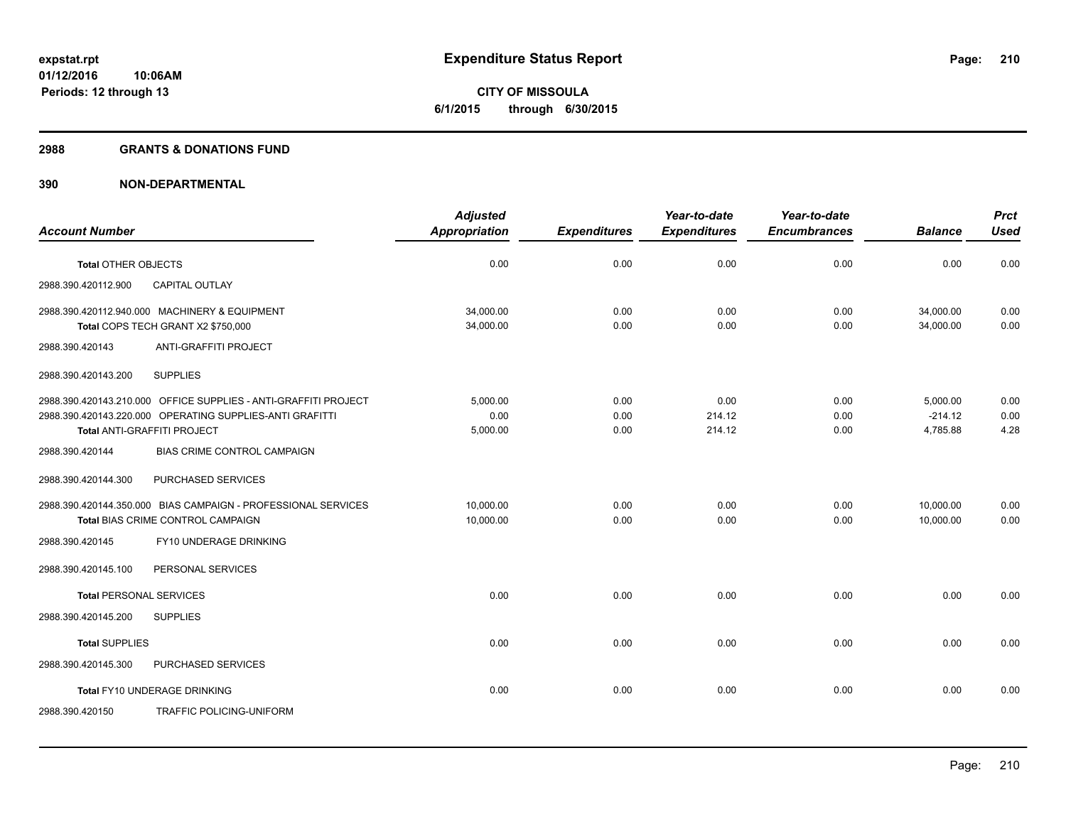# **CITY OF MISSOULA 6/1/2015 through 6/30/2015**

#### **2988 GRANTS & DONATIONS FUND**

|                                                                 | <b>Adjusted</b>        |                     | Year-to-date        | Year-to-date        |                        | <b>Prct</b>  |
|-----------------------------------------------------------------|------------------------|---------------------|---------------------|---------------------|------------------------|--------------|
| <b>Account Number</b>                                           | <b>Appropriation</b>   | <b>Expenditures</b> | <b>Expenditures</b> | <b>Encumbrances</b> | <b>Balance</b>         | <b>Used</b>  |
| <b>Total OTHER OBJECTS</b>                                      | 0.00                   | 0.00                | 0.00                | 0.00                | 0.00                   | 0.00         |
| 2988.390.420112.900<br><b>CAPITAL OUTLAY</b>                    |                        |                     |                     |                     |                        |              |
| 2988.390.420112.940.000 MACHINERY & EQUIPMENT                   | 34,000.00<br>34,000.00 | 0.00<br>0.00        | 0.00<br>0.00        | 0.00                | 34,000.00<br>34,000.00 | 0.00<br>0.00 |
| Total COPS TECH GRANT X2 \$750,000                              |                        |                     |                     | 0.00                |                        |              |
| ANTI-GRAFFITI PROJECT<br>2988.390.420143                        |                        |                     |                     |                     |                        |              |
| 2988.390.420143.200<br><b>SUPPLIES</b>                          |                        |                     |                     |                     |                        |              |
| 2988.390.420143.210.000 OFFICE SUPPLIES - ANTI-GRAFFITI PROJECT | 5.000.00               | 0.00                | 0.00                | 0.00                | 5.000.00               | 0.00         |
| 2988.390.420143.220.000 OPERATING SUPPLIES-ANTI GRAFITTI        | 0.00                   | 0.00                | 214.12              | 0.00                | $-214.12$              | 0.00         |
| Total ANTI-GRAFFITI PROJECT                                     | 5,000.00               | 0.00                | 214.12              | 0.00                | 4,785.88               | 4.28         |
| <b>BIAS CRIME CONTROL CAMPAIGN</b><br>2988.390.420144           |                        |                     |                     |                     |                        |              |
| 2988.390.420144.300<br>PURCHASED SERVICES                       |                        |                     |                     |                     |                        |              |
| 2988.390.420144.350.000 BIAS CAMPAIGN - PROFESSIONAL SERVICES   | 10,000.00              | 0.00                | 0.00                | 0.00                | 10,000.00              | 0.00         |
| Total BIAS CRIME CONTROL CAMPAIGN                               | 10,000.00              | 0.00                | 0.00                | 0.00                | 10,000.00              | 0.00         |
| FY10 UNDERAGE DRINKING<br>2988.390.420145                       |                        |                     |                     |                     |                        |              |
| 2988.390.420145.100<br>PERSONAL SERVICES                        |                        |                     |                     |                     |                        |              |
| <b>Total PERSONAL SERVICES</b>                                  | 0.00                   | 0.00                | 0.00                | 0.00                | 0.00                   | 0.00         |
| 2988.390.420145.200<br><b>SUPPLIES</b>                          |                        |                     |                     |                     |                        |              |
| <b>Total SUPPLIES</b>                                           | 0.00                   | 0.00                | 0.00                | 0.00                | 0.00                   | 0.00         |
| PURCHASED SERVICES<br>2988.390.420145.300                       |                        |                     |                     |                     |                        |              |
| Total FY10 UNDERAGE DRINKING                                    | 0.00                   | 0.00                | 0.00                | 0.00                | 0.00                   | 0.00         |
| 2988.390.420150<br>TRAFFIC POLICING-UNIFORM                     |                        |                     |                     |                     |                        |              |
|                                                                 |                        |                     |                     |                     |                        |              |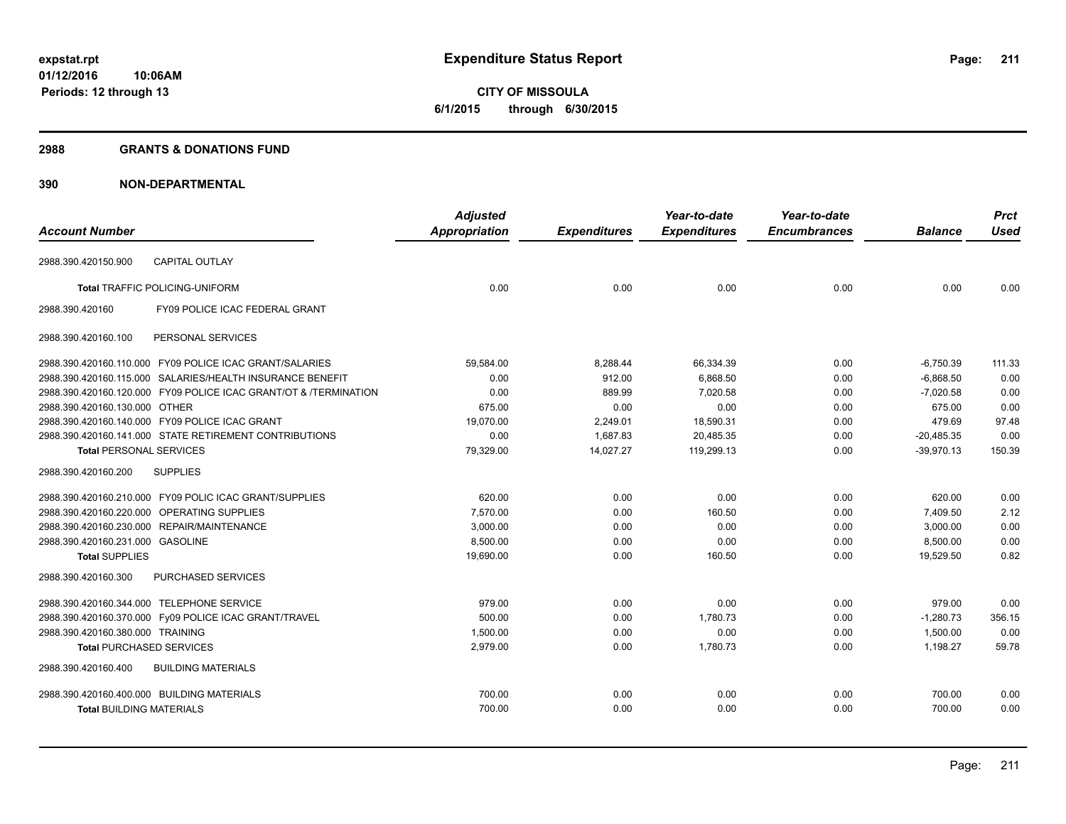**211**

**01/12/2016 10:06AM Periods: 12 through 13**

**CITY OF MISSOULA 6/1/2015 through 6/30/2015**

#### **2988 GRANTS & DONATIONS FUND**

|                                | <b>Adjusted</b>                                                                                                                                                                                                                                                                                                                                                                                                                                                                                                                                                                                                                                                                                                                                                                                                                                                                                   |                     | Year-to-date        | Year-to-date        |                | <b>Prct</b> |
|--------------------------------|---------------------------------------------------------------------------------------------------------------------------------------------------------------------------------------------------------------------------------------------------------------------------------------------------------------------------------------------------------------------------------------------------------------------------------------------------------------------------------------------------------------------------------------------------------------------------------------------------------------------------------------------------------------------------------------------------------------------------------------------------------------------------------------------------------------------------------------------------------------------------------------------------|---------------------|---------------------|---------------------|----------------|-------------|
|                                | <b>Appropriation</b>                                                                                                                                                                                                                                                                                                                                                                                                                                                                                                                                                                                                                                                                                                                                                                                                                                                                              | <b>Expenditures</b> | <b>Expenditures</b> | <b>Encumbrances</b> | <b>Balance</b> | <b>Used</b> |
| <b>CAPITAL OUTLAY</b>          |                                                                                                                                                                                                                                                                                                                                                                                                                                                                                                                                                                                                                                                                                                                                                                                                                                                                                                   |                     |                     |                     |                |             |
|                                | 0.00                                                                                                                                                                                                                                                                                                                                                                                                                                                                                                                                                                                                                                                                                                                                                                                                                                                                                              | 0.00                | 0.00                | 0.00                | 0.00           | 0.00        |
| FY09 POLICE ICAC FEDERAL GRANT |                                                                                                                                                                                                                                                                                                                                                                                                                                                                                                                                                                                                                                                                                                                                                                                                                                                                                                   |                     |                     |                     |                |             |
| PERSONAL SERVICES              |                                                                                                                                                                                                                                                                                                                                                                                                                                                                                                                                                                                                                                                                                                                                                                                                                                                                                                   |                     |                     |                     |                |             |
|                                | 59,584.00                                                                                                                                                                                                                                                                                                                                                                                                                                                                                                                                                                                                                                                                                                                                                                                                                                                                                         | 8,288.44            | 66,334.39           | 0.00                | $-6,750.39$    | 111.33      |
|                                | 0.00                                                                                                                                                                                                                                                                                                                                                                                                                                                                                                                                                                                                                                                                                                                                                                                                                                                                                              | 912.00              | 6.868.50            | 0.00                | $-6.868.50$    | 0.00        |
|                                | 0.00                                                                                                                                                                                                                                                                                                                                                                                                                                                                                                                                                                                                                                                                                                                                                                                                                                                                                              | 889.99              | 7,020.58            | 0.00                | $-7,020.58$    | 0.00        |
|                                | 675.00                                                                                                                                                                                                                                                                                                                                                                                                                                                                                                                                                                                                                                                                                                                                                                                                                                                                                            | 0.00                | 0.00                | 0.00                | 675.00         | 0.00        |
|                                | 19,070.00                                                                                                                                                                                                                                                                                                                                                                                                                                                                                                                                                                                                                                                                                                                                                                                                                                                                                         | 2,249.01            | 18,590.31           | 0.00                | 479.69         | 97.48       |
|                                | 0.00                                                                                                                                                                                                                                                                                                                                                                                                                                                                                                                                                                                                                                                                                                                                                                                                                                                                                              | 1,687.83            | 20,485.35           | 0.00                | $-20,485.35$   | 0.00        |
|                                | 79,329.00                                                                                                                                                                                                                                                                                                                                                                                                                                                                                                                                                                                                                                                                                                                                                                                                                                                                                         | 14,027.27           | 119,299.13          | 0.00                | $-39,970.13$   | 150.39      |
| <b>SUPPLIES</b>                |                                                                                                                                                                                                                                                                                                                                                                                                                                                                                                                                                                                                                                                                                                                                                                                                                                                                                                   |                     |                     |                     |                |             |
|                                | 620.00                                                                                                                                                                                                                                                                                                                                                                                                                                                                                                                                                                                                                                                                                                                                                                                                                                                                                            | 0.00                | 0.00                | 0.00                | 620.00         | 0.00        |
|                                | 7,570.00                                                                                                                                                                                                                                                                                                                                                                                                                                                                                                                                                                                                                                                                                                                                                                                                                                                                                          | 0.00                | 160.50              | 0.00                | 7,409.50       | 2.12        |
|                                | 3,000.00                                                                                                                                                                                                                                                                                                                                                                                                                                                                                                                                                                                                                                                                                                                                                                                                                                                                                          | 0.00                | 0.00                | 0.00                | 3,000.00       | 0.00        |
|                                | 8,500.00                                                                                                                                                                                                                                                                                                                                                                                                                                                                                                                                                                                                                                                                                                                                                                                                                                                                                          | 0.00                | 0.00                | 0.00                | 8,500.00       | 0.00        |
|                                | 19,690.00                                                                                                                                                                                                                                                                                                                                                                                                                                                                                                                                                                                                                                                                                                                                                                                                                                                                                         | 0.00                | 160.50              | 0.00                | 19,529.50      | 0.82        |
| <b>PURCHASED SERVICES</b>      |                                                                                                                                                                                                                                                                                                                                                                                                                                                                                                                                                                                                                                                                                                                                                                                                                                                                                                   |                     |                     |                     |                |             |
|                                | 979.00                                                                                                                                                                                                                                                                                                                                                                                                                                                                                                                                                                                                                                                                                                                                                                                                                                                                                            | 0.00                | 0.00                | 0.00                | 979.00         | 0.00        |
|                                | 500.00                                                                                                                                                                                                                                                                                                                                                                                                                                                                                                                                                                                                                                                                                                                                                                                                                                                                                            | 0.00                | 1,780.73            | 0.00                | $-1,280.73$    | 356.15      |
|                                | 1,500.00                                                                                                                                                                                                                                                                                                                                                                                                                                                                                                                                                                                                                                                                                                                                                                                                                                                                                          | 0.00                | 0.00                | 0.00                | 1,500.00       | 0.00        |
|                                | 2,979.00                                                                                                                                                                                                                                                                                                                                                                                                                                                                                                                                                                                                                                                                                                                                                                                                                                                                                          | 0.00                | 1,780.73            | 0.00                | 1,198.27       | 59.78       |
| <b>BUILDING MATERIALS</b>      |                                                                                                                                                                                                                                                                                                                                                                                                                                                                                                                                                                                                                                                                                                                                                                                                                                                                                                   |                     |                     |                     |                |             |
|                                | 700.00                                                                                                                                                                                                                                                                                                                                                                                                                                                                                                                                                                                                                                                                                                                                                                                                                                                                                            | 0.00                | 0.00                | 0.00                | 700.00         | 0.00        |
|                                | 700.00                                                                                                                                                                                                                                                                                                                                                                                                                                                                                                                                                                                                                                                                                                                                                                                                                                                                                            | 0.00                | 0.00                | 0.00                | 700.00         | 0.00        |
|                                | <b>Total TRAFFIC POLICING-UNIFORM</b><br>2988.390.420160.110.000 FY09 POLICE ICAC GRANT/SALARIES<br>2988.390.420160.115.000 SALARIES/HEALTH INSURANCE BENEFIT<br>2988.390.420160.120.000 FY09 POLICE ICAC GRANT/OT & /TERMINATION<br>2988.390.420160.130.000 OTHER<br>2988.390.420160.140.000 FY09 POLICE ICAC GRANT<br>2988.390.420160.141.000 STATE RETIREMENT CONTRIBUTIONS<br><b>Total PERSONAL SERVICES</b><br>2988.390.420160.210.000 FY09 POLIC ICAC GRANT/SUPPLIES<br>2988.390.420160.220.000 OPERATING SUPPLIES<br>2988.390.420160.230.000 REPAIR/MAINTENANCE<br>2988.390.420160.231.000 GASOLINE<br><b>Total SUPPLIES</b><br>2988.390.420160.344.000 TELEPHONE SERVICE<br>2988.390.420160.370.000 Fy09 POLICE ICAC GRANT/TRAVEL<br>2988.390.420160.380.000 TRAINING<br><b>Total PURCHASED SERVICES</b><br>2988.390.420160.400.000 BUILDING MATERIALS<br><b>Total BUILDING MATERIALS</b> |                     |                     |                     |                |             |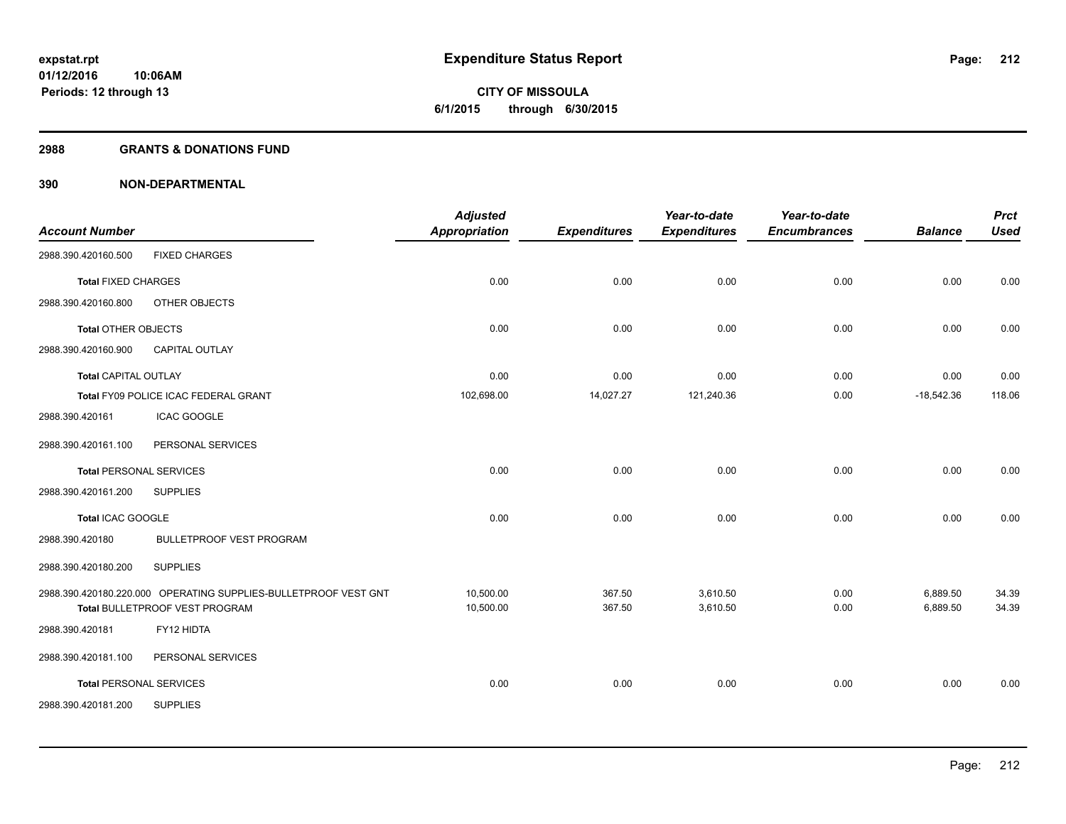**Periods: 12 through 13**

**CITY OF MISSOULA 6/1/2015 through 6/30/2015**

#### **2988 GRANTS & DONATIONS FUND**

|                                |                                                                                                   | <b>Adjusted</b>        |                     | Year-to-date         | Year-to-date        |                      | <b>Prct</b>    |
|--------------------------------|---------------------------------------------------------------------------------------------------|------------------------|---------------------|----------------------|---------------------|----------------------|----------------|
| <b>Account Number</b>          |                                                                                                   | <b>Appropriation</b>   | <b>Expenditures</b> | <b>Expenditures</b>  | <b>Encumbrances</b> | <b>Balance</b>       | <b>Used</b>    |
| 2988.390.420160.500            | <b>FIXED CHARGES</b>                                                                              |                        |                     |                      |                     |                      |                |
| <b>Total FIXED CHARGES</b>     |                                                                                                   | 0.00                   | 0.00                | 0.00                 | 0.00                | 0.00                 | 0.00           |
| 2988.390.420160.800            | OTHER OBJECTS                                                                                     |                        |                     |                      |                     |                      |                |
| <b>Total OTHER OBJECTS</b>     |                                                                                                   | 0.00                   | 0.00                | 0.00                 | 0.00                | 0.00                 | 0.00           |
| 2988.390.420160.900            | CAPITAL OUTLAY                                                                                    |                        |                     |                      |                     |                      |                |
| <b>Total CAPITAL OUTLAY</b>    |                                                                                                   | 0.00                   | 0.00                | 0.00                 | 0.00                | 0.00                 | 0.00           |
|                                | Total FY09 POLICE ICAC FEDERAL GRANT                                                              | 102,698.00             | 14,027.27           | 121,240.36           | 0.00                | $-18,542.36$         | 118.06         |
| 2988.390.420161                | <b>ICAC GOOGLE</b>                                                                                |                        |                     |                      |                     |                      |                |
| 2988.390.420161.100            | PERSONAL SERVICES                                                                                 |                        |                     |                      |                     |                      |                |
| <b>Total PERSONAL SERVICES</b> |                                                                                                   | 0.00                   | 0.00                | 0.00                 | 0.00                | 0.00                 | 0.00           |
| 2988.390.420161.200            | <b>SUPPLIES</b>                                                                                   |                        |                     |                      |                     |                      |                |
| Total ICAC GOOGLE              |                                                                                                   | 0.00                   | 0.00                | 0.00                 | 0.00                | 0.00                 | 0.00           |
| 2988.390.420180                | <b>BULLETPROOF VEST PROGRAM</b>                                                                   |                        |                     |                      |                     |                      |                |
| 2988.390.420180.200            | <b>SUPPLIES</b>                                                                                   |                        |                     |                      |                     |                      |                |
|                                | 2988.390.420180.220.000 OPERATING SUPPLIES-BULLETPROOF VEST GNT<br>Total BULLETPROOF VEST PROGRAM | 10,500.00<br>10,500.00 | 367.50<br>367.50    | 3,610.50<br>3,610.50 | 0.00<br>0.00        | 6,889.50<br>6,889.50 | 34.39<br>34.39 |
| 2988.390.420181                | FY12 HIDTA                                                                                        |                        |                     |                      |                     |                      |                |
| 2988.390.420181.100            | PERSONAL SERVICES                                                                                 |                        |                     |                      |                     |                      |                |
| <b>Total PERSONAL SERVICES</b> |                                                                                                   | 0.00                   | 0.00                | 0.00                 | 0.00                | 0.00                 | 0.00           |
| 2988.390.420181.200            | <b>SUPPLIES</b>                                                                                   |                        |                     |                      |                     |                      |                |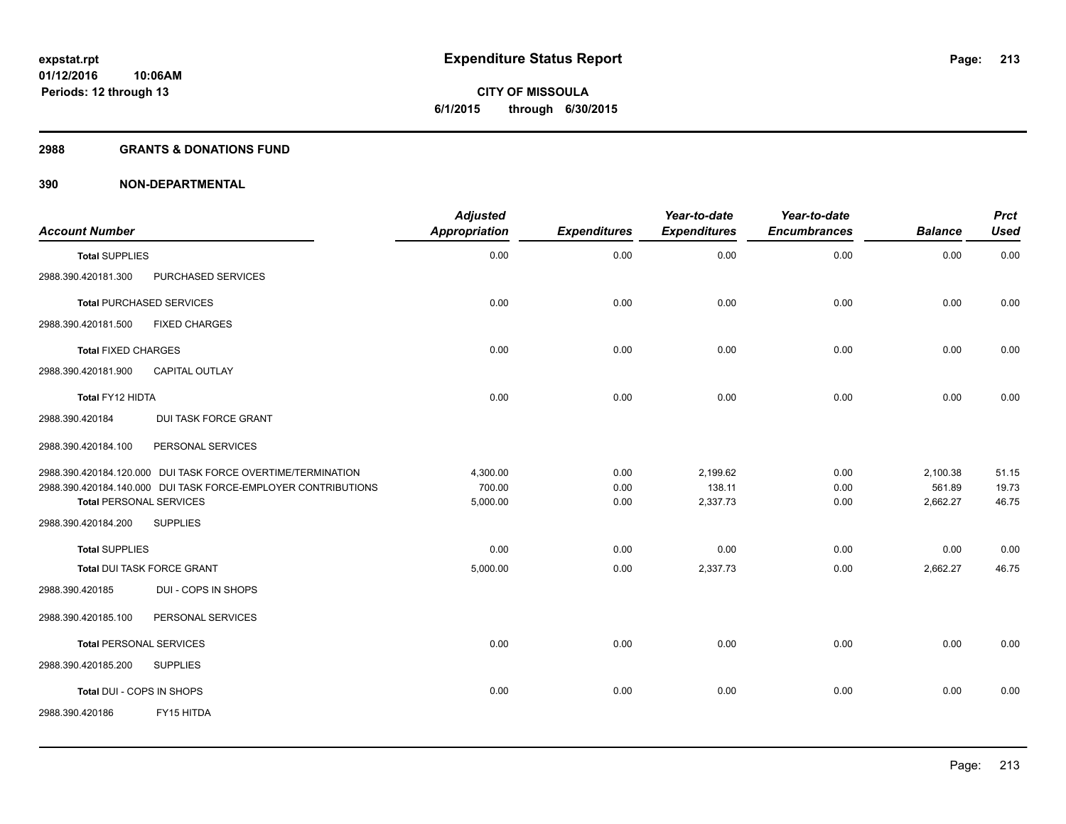#### **2988 GRANTS & DONATIONS FUND**

| <b>Account Number</b>                                         | <b>Adjusted</b><br><b>Appropriation</b> | <b>Expenditures</b> | Year-to-date<br><b>Expenditures</b> | Year-to-date<br><b>Encumbrances</b> | <b>Balance</b> | <b>Prct</b><br><b>Used</b> |
|---------------------------------------------------------------|-----------------------------------------|---------------------|-------------------------------------|-------------------------------------|----------------|----------------------------|
| <b>Total SUPPLIES</b>                                         | 0.00                                    | 0.00                | 0.00                                | 0.00                                | 0.00           | 0.00                       |
| 2988.390.420181.300<br>PURCHASED SERVICES                     |                                         |                     |                                     |                                     |                |                            |
| <b>Total PURCHASED SERVICES</b>                               | 0.00                                    | 0.00                | 0.00                                | 0.00                                | 0.00           | 0.00                       |
| 2988.390.420181.500<br><b>FIXED CHARGES</b>                   |                                         |                     |                                     |                                     |                |                            |
| <b>Total FIXED CHARGES</b>                                    | 0.00                                    | 0.00                | 0.00                                | 0.00                                | 0.00           | 0.00                       |
| 2988.390.420181.900<br><b>CAPITAL OUTLAY</b>                  |                                         |                     |                                     |                                     |                |                            |
| Total FY12 HIDTA                                              | 0.00                                    | 0.00                | 0.00                                | 0.00                                | 0.00           | 0.00                       |
| <b>DUI TASK FORCE GRANT</b><br>2988.390.420184                |                                         |                     |                                     |                                     |                |                            |
| PERSONAL SERVICES<br>2988.390.420184.100                      |                                         |                     |                                     |                                     |                |                            |
| 2988.390.420184.120.000 DUI TASK FORCE OVERTIME/TERMINATION   | 4,300.00                                | 0.00                | 2,199.62                            | 0.00                                | 2,100.38       | 51.15                      |
| 2988.390.420184.140.000 DUI TASK FORCE-EMPLOYER CONTRIBUTIONS | 700.00                                  | 0.00                | 138.11                              | 0.00                                | 561.89         | 19.73                      |
| <b>Total PERSONAL SERVICES</b>                                | 5,000.00                                | 0.00                | 2,337.73                            | 0.00                                | 2,662.27       | 46.75                      |
| 2988.390.420184.200<br><b>SUPPLIES</b>                        |                                         |                     |                                     |                                     |                |                            |
| <b>Total SUPPLIES</b>                                         | 0.00                                    | 0.00                | 0.00                                | 0.00                                | 0.00           | 0.00                       |
| <b>Total DUI TASK FORCE GRANT</b>                             | 5,000.00                                | 0.00                | 2,337.73                            | 0.00                                | 2,662.27       | 46.75                      |
| 2988.390.420185<br>DUI - COPS IN SHOPS                        |                                         |                     |                                     |                                     |                |                            |
| 2988.390.420185.100<br>PERSONAL SERVICES                      |                                         |                     |                                     |                                     |                |                            |
| <b>Total PERSONAL SERVICES</b>                                | 0.00                                    | 0.00                | 0.00                                | 0.00                                | 0.00           | 0.00                       |
| 2988.390.420185.200<br><b>SUPPLIES</b>                        |                                         |                     |                                     |                                     |                |                            |
| Total DUI - COPS IN SHOPS                                     | 0.00                                    | 0.00                | 0.00                                | 0.00                                | 0.00           | 0.00                       |
| 2988.390.420186<br>FY15 HITDA                                 |                                         |                     |                                     |                                     |                |                            |
|                                                               |                                         |                     |                                     |                                     |                |                            |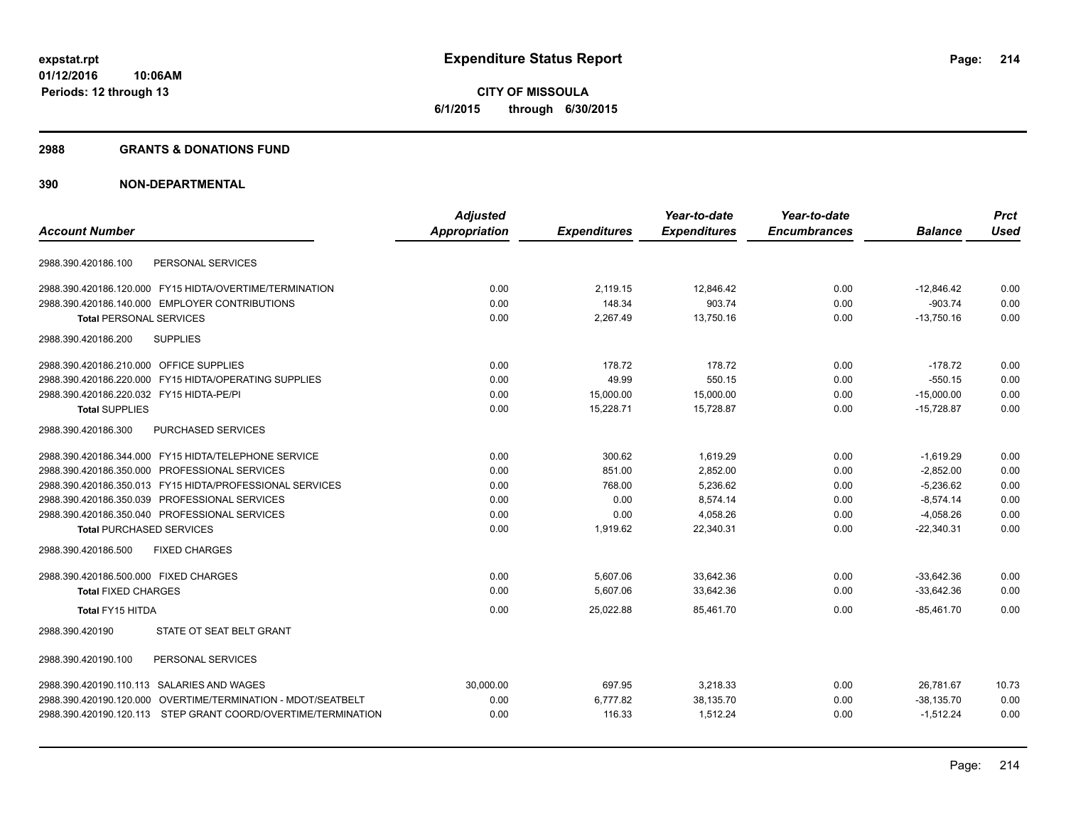**CITY OF MISSOULA 6/1/2015 through 6/30/2015**

#### **2988 GRANTS & DONATIONS FUND**

|                                                               | <b>Adjusted</b> |                     | Year-to-date        | Year-to-date        |                | <b>Prct</b> |
|---------------------------------------------------------------|-----------------|---------------------|---------------------|---------------------|----------------|-------------|
| <b>Account Number</b>                                         | Appropriation   | <b>Expenditures</b> | <b>Expenditures</b> | <b>Encumbrances</b> | <b>Balance</b> | <b>Used</b> |
| PERSONAL SERVICES<br>2988.390.420186.100                      |                 |                     |                     |                     |                |             |
| 2988.390.420186.120.000 FY15 HIDTA/OVERTIME/TERMINATION       | 0.00            | 2,119.15            | 12,846.42           | 0.00                | $-12,846.42$   | 0.00        |
| 2988.390.420186.140.000 EMPLOYER CONTRIBUTIONS                | 0.00            | 148.34              | 903.74              | 0.00                | $-903.74$      | 0.00        |
| <b>Total PERSONAL SERVICES</b>                                | 0.00            | 2,267.49            | 13,750.16           | 0.00                | $-13,750.16$   | 0.00        |
| <b>SUPPLIES</b><br>2988.390.420186.200                        |                 |                     |                     |                     |                |             |
| 2988.390.420186.210.000 OFFICE SUPPLIES                       | 0.00            | 178.72              | 178.72              | 0.00                | $-178.72$      | 0.00        |
| 2988.390.420186.220.000 FY15 HIDTA/OPERATING SUPPLIES         | 0.00            | 49.99               | 550.15              | 0.00                | $-550.15$      | 0.00        |
| 2988.390.420186.220.032 FY15 HIDTA-PE/PI                      | 0.00            | 15,000.00           | 15,000.00           | 0.00                | $-15,000.00$   | 0.00        |
| <b>Total SUPPLIES</b>                                         | 0.00            | 15,228.71           | 15,728.87           | 0.00                | $-15,728.87$   | 0.00        |
| 2988.390.420186.300<br>PURCHASED SERVICES                     |                 |                     |                     |                     |                |             |
| 2988.390.420186.344.000 FY15 HIDTA/TELEPHONE SERVICE          | 0.00            | 300.62              | 1,619.29            | 0.00                | $-1,619.29$    | 0.00        |
| 2988.390.420186.350.000 PROFESSIONAL SERVICES                 | 0.00            | 851.00              | 2,852.00            | 0.00                | $-2,852.00$    | 0.00        |
| 2988.390.420186.350.013 FY15 HIDTA/PROFESSIONAL SERVICES      | 0.00            | 768.00              | 5,236.62            | 0.00                | $-5,236.62$    | 0.00        |
| 2988.390.420186.350.039 PROFESSIONAL SERVICES                 | 0.00            | 0.00                | 8.574.14            | 0.00                | $-8.574.14$    | 0.00        |
| 2988.390.420186.350.040 PROFESSIONAL SERVICES                 | 0.00            | 0.00                | 4,058.26            | 0.00                | $-4,058.26$    | 0.00        |
| <b>Total PURCHASED SERVICES</b>                               | 0.00            | 1,919.62            | 22,340.31           | 0.00                | $-22,340.31$   | 0.00        |
| 2988.390.420186.500<br><b>FIXED CHARGES</b>                   |                 |                     |                     |                     |                |             |
| 2988.390.420186.500.000 FIXED CHARGES                         | 0.00            | 5,607.06            | 33,642.36           | 0.00                | $-33,642.36$   | 0.00        |
| <b>Total FIXED CHARGES</b>                                    | 0.00            | 5,607.06            | 33,642.36           | 0.00                | $-33,642.36$   | 0.00        |
| Total FY15 HITDA                                              | 0.00            | 25,022.88           | 85,461.70           | 0.00                | $-85,461.70$   | 0.00        |
| STATE OT SEAT BELT GRANT<br>2988.390.420190                   |                 |                     |                     |                     |                |             |
| PERSONAL SERVICES<br>2988.390.420190.100                      |                 |                     |                     |                     |                |             |
| 2988.390.420190.110.113 SALARIES AND WAGES                    | 30,000.00       | 697.95              | 3,218.33            | 0.00                | 26,781.67      | 10.73       |
| 2988.390.420190.120.000 OVERTIME/TERMINATION - MDOT/SEATBELT  | 0.00            | 6,777.82            | 38,135.70           | 0.00                | $-38,135.70$   | 0.00        |
| 2988.390.420190.120.113 STEP GRANT COORD/OVERTIME/TERMINATION | 0.00            | 116.33              | 1,512.24            | 0.00                | $-1,512.24$    | 0.00        |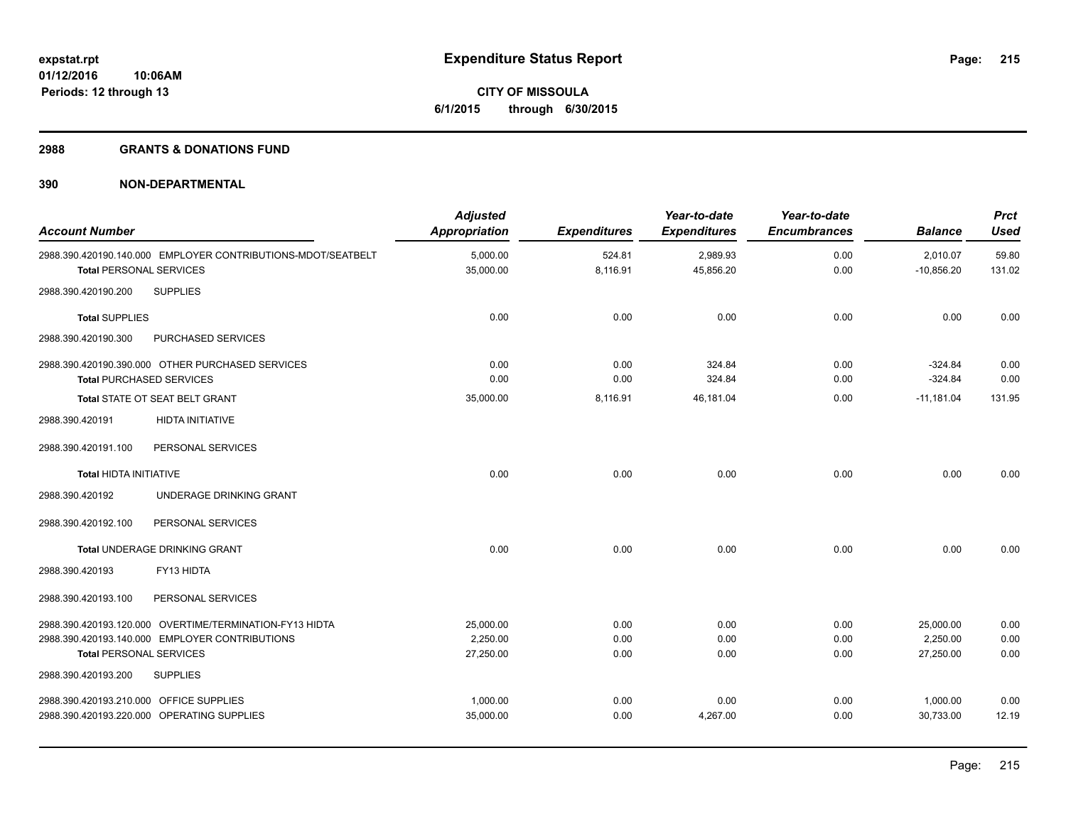**Periods: 12 through 13**

**CITY OF MISSOULA 6/1/2015 through 6/30/2015**

#### **2988 GRANTS & DONATIONS FUND**

| <b>Account Number</b>                                                                 |                                                                                                           | <b>Adjusted</b><br><b>Appropriation</b> | <b>Expenditures</b>  | Year-to-date<br><b>Expenditures</b> | Year-to-date<br><b>Encumbrances</b> | <b>Balance</b>                     | <b>Prct</b><br><b>Used</b> |
|---------------------------------------------------------------------------------------|-----------------------------------------------------------------------------------------------------------|-----------------------------------------|----------------------|-------------------------------------|-------------------------------------|------------------------------------|----------------------------|
| <b>Total PERSONAL SERVICES</b>                                                        | 2988.390.420190.140.000 EMPLOYER CONTRIBUTIONS-MDOT/SEATBELT                                              | 5,000.00<br>35,000.00                   | 524.81<br>8,116.91   | 2,989.93<br>45,856.20               | 0.00<br>0.00                        | 2,010.07<br>$-10,856.20$           | 59.80<br>131.02            |
| 2988.390.420190.200                                                                   | <b>SUPPLIES</b>                                                                                           |                                         |                      |                                     |                                     |                                    |                            |
| <b>Total SUPPLIES</b>                                                                 |                                                                                                           | 0.00                                    | 0.00                 | 0.00                                | 0.00                                | 0.00                               | 0.00                       |
| 2988.390.420190.300                                                                   | PURCHASED SERVICES                                                                                        |                                         |                      |                                     |                                     |                                    |                            |
| <b>Total PURCHASED SERVICES</b>                                                       | 2988.390.420190.390.000 OTHER PURCHASED SERVICES                                                          | 0.00<br>0.00                            | 0.00<br>0.00         | 324.84<br>324.84                    | 0.00<br>0.00                        | $-324.84$<br>$-324.84$             | 0.00<br>0.00               |
|                                                                                       | Total STATE OT SEAT BELT GRANT                                                                            | 35,000.00                               | 8,116.91             | 46,181.04                           | 0.00                                | $-11,181.04$                       | 131.95                     |
| 2988.390.420191                                                                       | <b>HIDTA INITIATIVE</b>                                                                                   |                                         |                      |                                     |                                     |                                    |                            |
| 2988.390.420191.100                                                                   | PERSONAL SERVICES                                                                                         |                                         |                      |                                     |                                     |                                    |                            |
| <b>Total HIDTA INITIATIVE</b>                                                         |                                                                                                           | 0.00                                    | 0.00                 | 0.00                                | 0.00                                | 0.00                               | 0.00                       |
| 2988.390.420192                                                                       | UNDERAGE DRINKING GRANT                                                                                   |                                         |                      |                                     |                                     |                                    |                            |
| 2988.390.420192.100                                                                   | PERSONAL SERVICES                                                                                         |                                         |                      |                                     |                                     |                                    |                            |
|                                                                                       | Total UNDERAGE DRINKING GRANT                                                                             | 0.00                                    | 0.00                 | 0.00                                | 0.00                                | 0.00                               | 0.00                       |
| 2988.390.420193                                                                       | FY13 HIDTA                                                                                                |                                         |                      |                                     |                                     |                                    |                            |
| 2988.390.420193.100                                                                   | PERSONAL SERVICES                                                                                         |                                         |                      |                                     |                                     |                                    |                            |
| <b>Total PERSONAL SERVICES</b>                                                        | 2988.390.420193.120.000 OVERTIME/TERMINATION-FY13 HIDTA<br>2988.390.420193.140.000 EMPLOYER CONTRIBUTIONS | 25,000.00<br>2,250.00<br>27,250.00      | 0.00<br>0.00<br>0.00 | 0.00<br>0.00<br>0.00                | 0.00<br>0.00<br>0.00                | 25,000.00<br>2,250.00<br>27,250.00 | 0.00<br>0.00<br>0.00       |
| 2988.390.420193.200                                                                   | <b>SUPPLIES</b>                                                                                           |                                         |                      |                                     |                                     |                                    |                            |
| 2988.390.420193.210.000 OFFICE SUPPLIES<br>2988.390.420193.220.000 OPERATING SUPPLIES |                                                                                                           | 1,000.00<br>35,000.00                   | 0.00<br>0.00         | 0.00<br>4,267.00                    | 0.00<br>0.00                        | 1,000.00<br>30,733.00              | 0.00<br>12.19              |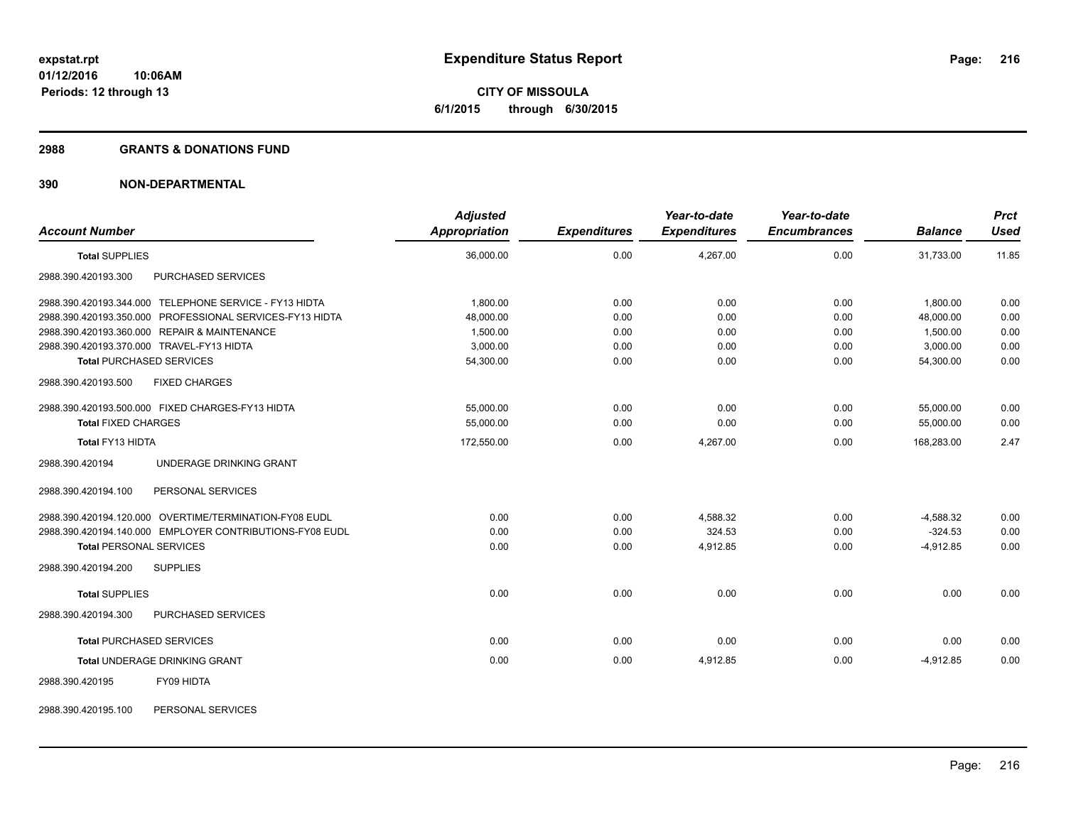**CITY OF MISSOULA 6/1/2015 through 6/30/2015**

#### **2988 GRANTS & DONATIONS FUND**

# **390 NON-DEPARTMENTAL**

| <b>Account Number</b>                                    | <b>Adjusted</b><br><b>Appropriation</b> | <b>Expenditures</b> | Year-to-date<br><b>Expenditures</b> | Year-to-date<br><b>Encumbrances</b> | <b>Balance</b> | <b>Prct</b><br>Used |
|----------------------------------------------------------|-----------------------------------------|---------------------|-------------------------------------|-------------------------------------|----------------|---------------------|
| <b>Total SUPPLIES</b>                                    | 36.000.00                               | 0.00                | 4.267.00                            | 0.00                                | 31.733.00      | 11.85               |
| PURCHASED SERVICES<br>2988.390.420193.300                |                                         |                     |                                     |                                     |                |                     |
| 2988.390.420193.344.000 TELEPHONE SERVICE - FY13 HIDTA   | 1.800.00                                | 0.00                | 0.00                                | 0.00                                | 1.800.00       | 0.00                |
| 2988.390.420193.350.000 PROFESSIONAL SERVICES-FY13 HIDTA | 48,000.00                               | 0.00                | 0.00                                | 0.00                                | 48,000.00      | 0.00                |
| 2988.390.420193.360.000 REPAIR & MAINTENANCE             | 1,500.00                                | 0.00                | 0.00                                | 0.00                                | 1,500.00       | 0.00                |
| 2988.390.420193.370.000 TRAVEL-FY13 HIDTA                | 3,000.00                                | 0.00                | 0.00                                | 0.00                                | 3,000.00       | 0.00                |
| <b>Total PURCHASED SERVICES</b>                          | 54,300.00                               | 0.00                | 0.00                                | 0.00                                | 54,300.00      | 0.00                |
| 2988.390.420193.500<br><b>FIXED CHARGES</b>              |                                         |                     |                                     |                                     |                |                     |
| 2988.390.420193.500.000 FIXED CHARGES-FY13 HIDTA         | 55.000.00                               | 0.00                | 0.00                                | 0.00                                | 55.000.00      | 0.00                |
| <b>Total FIXED CHARGES</b>                               | 55,000.00                               | 0.00                | 0.00                                | 0.00                                | 55,000.00      | 0.00                |
| Total FY13 HIDTA                                         | 172,550.00                              | 0.00                | 4,267.00                            | 0.00                                | 168,283.00     | 2.47                |
| UNDERAGE DRINKING GRANT<br>2988.390.420194               |                                         |                     |                                     |                                     |                |                     |
| 2988.390.420194.100<br>PERSONAL SERVICES                 |                                         |                     |                                     |                                     |                |                     |
| 2988.390.420194.120.000 OVERTIME/TERMINATION-FY08 EUDL   | 0.00                                    | 0.00                | 4,588.32                            | 0.00                                | $-4,588.32$    | 0.00                |
| 2988.390.420194.140.000 EMPLOYER CONTRIBUTIONS-FY08 EUDL | 0.00                                    | 0.00                | 324.53                              | 0.00                                | $-324.53$      | 0.00                |
| <b>Total PERSONAL SERVICES</b>                           | 0.00                                    | 0.00                | 4,912.85                            | 0.00                                | $-4,912.85$    | 0.00                |
| 2988.390.420194.200<br><b>SUPPLIES</b>                   |                                         |                     |                                     |                                     |                |                     |
| <b>Total SUPPLIES</b>                                    | 0.00                                    | 0.00                | 0.00                                | 0.00                                | 0.00           | 0.00                |
| PURCHASED SERVICES<br>2988.390.420194.300                |                                         |                     |                                     |                                     |                |                     |
| <b>Total PURCHASED SERVICES</b>                          | 0.00                                    | 0.00                | 0.00                                | 0.00                                | 0.00           | 0.00                |
| <b>Total UNDERAGE DRINKING GRANT</b>                     | 0.00                                    | 0.00                | 4,912.85                            | 0.00                                | $-4,912.85$    | 0.00                |
| FY09 HIDTA<br>2988.390.420195                            |                                         |                     |                                     |                                     |                |                     |

2988.390.420195.100 PERSONAL SERVICES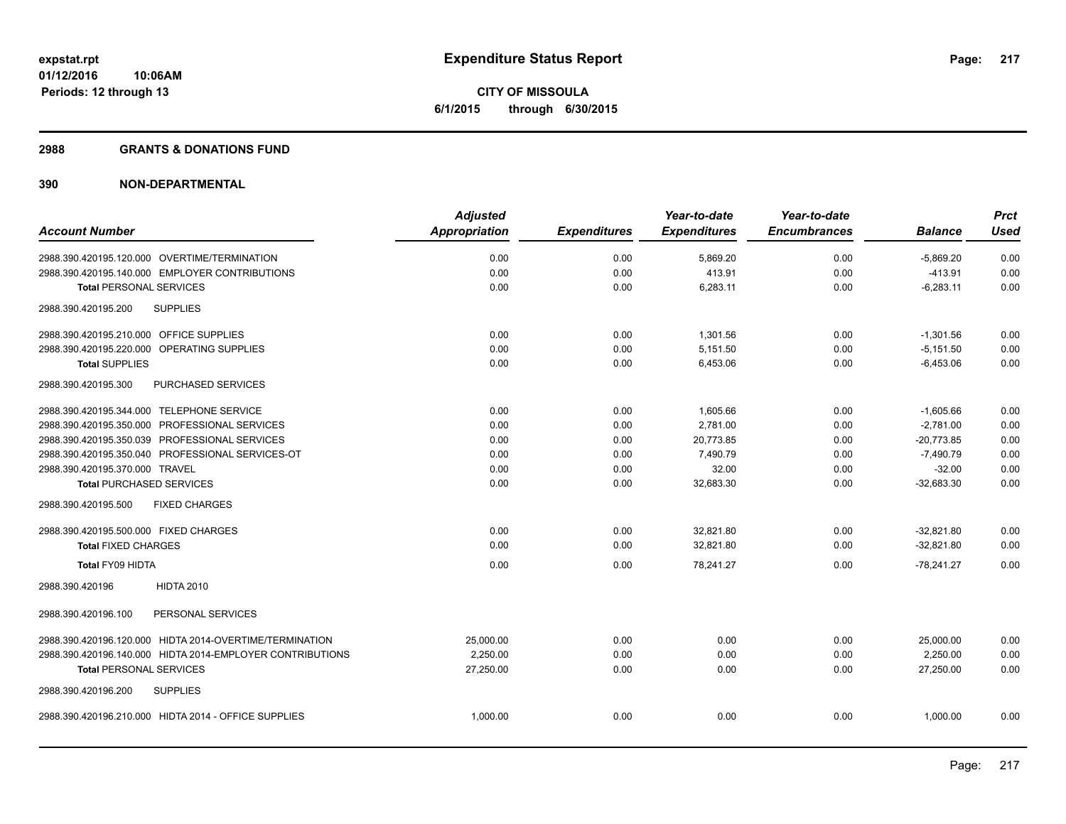#### **2988 GRANTS & DONATIONS FUND**

|                                                           | <b>Adjusted</b>      |                     | Year-to-date        | Year-to-date        |                | <b>Prct</b> |
|-----------------------------------------------------------|----------------------|---------------------|---------------------|---------------------|----------------|-------------|
| <b>Account Number</b>                                     | <b>Appropriation</b> | <b>Expenditures</b> | <b>Expenditures</b> | <b>Encumbrances</b> | <b>Balance</b> | <b>Used</b> |
| 2988.390.420195.120.000 OVERTIME/TERMINATION              | 0.00                 | 0.00                | 5,869.20            | 0.00                | $-5,869.20$    | 0.00        |
| 2988.390.420195.140.000 EMPLOYER CONTRIBUTIONS            | 0.00                 | 0.00                | 413.91              | 0.00                | $-413.91$      | 0.00        |
| <b>Total PERSONAL SERVICES</b>                            | 0.00                 | 0.00                | 6,283.11            | 0.00                | $-6,283.11$    | 0.00        |
| 2988.390.420195.200<br><b>SUPPLIES</b>                    |                      |                     |                     |                     |                |             |
| 2988.390.420195.210.000 OFFICE SUPPLIES                   | 0.00                 | 0.00                | 1,301.56            | 0.00                | $-1,301.56$    | 0.00        |
| 2988.390.420195.220.000 OPERATING SUPPLIES                | 0.00                 | 0.00                | 5,151.50            | 0.00                | $-5,151.50$    | 0.00        |
| <b>Total SUPPLIES</b>                                     | 0.00                 | 0.00                | 6,453.06            | 0.00                | $-6,453.06$    | 0.00        |
| PURCHASED SERVICES<br>2988.390.420195.300                 |                      |                     |                     |                     |                |             |
| 2988.390.420195.344.000 TELEPHONE SERVICE                 | 0.00                 | 0.00                | 1,605.66            | 0.00                | $-1,605.66$    | 0.00        |
| 2988.390.420195.350.000 PROFESSIONAL SERVICES             | 0.00                 | 0.00                | 2,781.00            | 0.00                | $-2,781.00$    | 0.00        |
| 2988.390.420195.350.039 PROFESSIONAL SERVICES             | 0.00                 | 0.00                | 20,773.85           | 0.00                | $-20,773.85$   | 0.00        |
| 2988.390.420195.350.040 PROFESSIONAL SERVICES-OT          | 0.00                 | 0.00                | 7,490.79            | 0.00                | $-7,490.79$    | 0.00        |
| 2988.390.420195.370.000 TRAVEL                            | 0.00                 | 0.00                | 32.00               | 0.00                | $-32.00$       | 0.00        |
| <b>Total PURCHASED SERVICES</b>                           | 0.00                 | 0.00                | 32,683.30           | 0.00                | $-32,683.30$   | 0.00        |
| 2988.390.420195.500<br><b>FIXED CHARGES</b>               |                      |                     |                     |                     |                |             |
| 2988.390.420195.500.000 FIXED CHARGES                     | 0.00                 | 0.00                | 32,821.80           | 0.00                | $-32,821.80$   | 0.00        |
| <b>Total FIXED CHARGES</b>                                | 0.00                 | 0.00                | 32,821.80           | 0.00                | $-32,821.80$   | 0.00        |
| <b>Total FY09 HIDTA</b>                                   | 0.00                 | 0.00                | 78,241.27           | 0.00                | $-78,241.27$   | 0.00        |
| <b>HIDTA 2010</b><br>2988.390.420196                      |                      |                     |                     |                     |                |             |
| PERSONAL SERVICES<br>2988.390.420196.100                  |                      |                     |                     |                     |                |             |
| 2988.390.420196.120.000 HIDTA 2014-OVERTIME/TERMINATION   | 25.000.00            | 0.00                | 0.00                | 0.00                | 25,000.00      | 0.00        |
| 2988.390.420196.140.000 HIDTA 2014-EMPLOYER CONTRIBUTIONS | 2,250.00             | 0.00                | 0.00                | 0.00                | 2,250.00       | 0.00        |
| <b>Total PERSONAL SERVICES</b>                            | 27,250.00            | 0.00                | 0.00                | 0.00                | 27,250.00      | 0.00        |
| 2988.390.420196.200<br><b>SUPPLIES</b>                    |                      |                     |                     |                     |                |             |
| 2988.390.420196.210.000 HIDTA 2014 - OFFICE SUPPLIES      | 1,000.00             | 0.00                | 0.00                | 0.00                | 1,000.00       | 0.00        |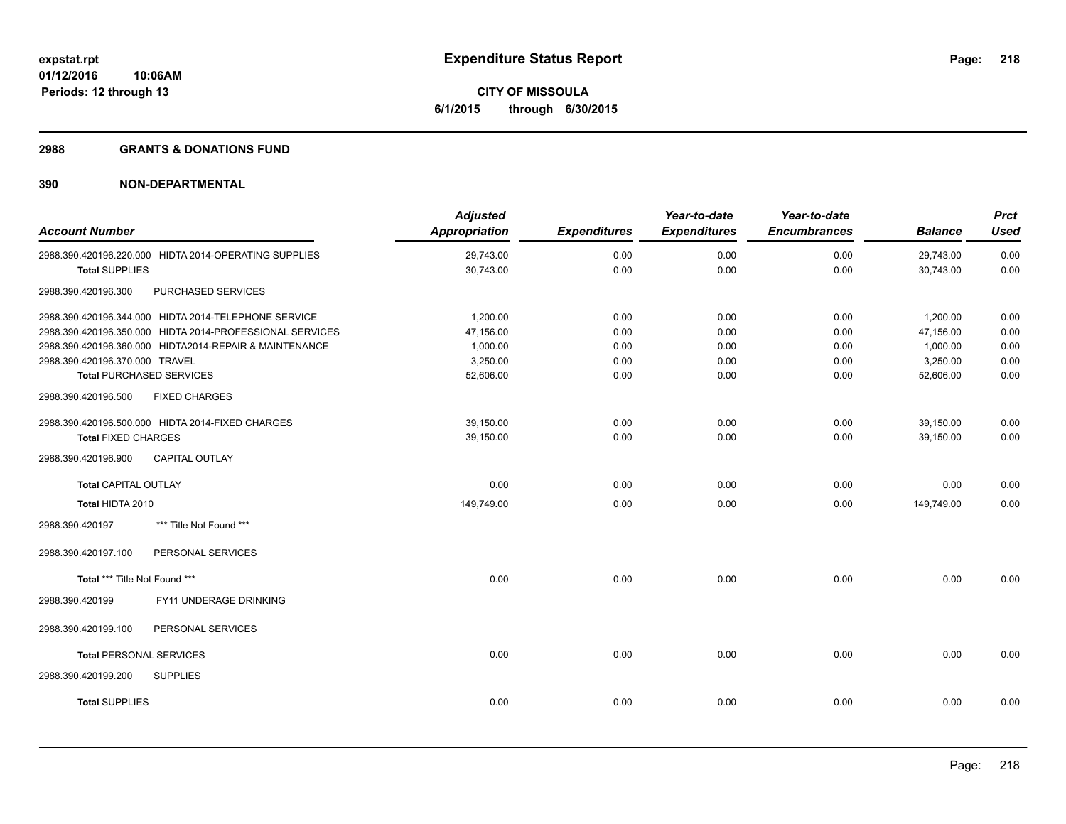**10:06AM Periods: 12 through 13**

**CITY OF MISSOULA 6/1/2015 through 6/30/2015**

#### **2988 GRANTS & DONATIONS FUND**

| <b>Account Number</b>          |                                                          | <b>Adjusted</b><br><b>Appropriation</b> | <b>Expenditures</b> | Year-to-date<br><b>Expenditures</b> | Year-to-date<br><b>Encumbrances</b> | <b>Balance</b> | <b>Prct</b><br><b>Used</b> |
|--------------------------------|----------------------------------------------------------|-----------------------------------------|---------------------|-------------------------------------|-------------------------------------|----------------|----------------------------|
|                                | 2988.390.420196.220.000 HIDTA 2014-OPERATING SUPPLIES    | 29,743.00                               | 0.00                | 0.00                                | 0.00                                | 29,743.00      | 0.00                       |
| <b>Total SUPPLIES</b>          |                                                          | 30,743.00                               | 0.00                | 0.00                                | 0.00                                | 30,743.00      | 0.00                       |
| 2988.390.420196.300            | PURCHASED SERVICES                                       |                                         |                     |                                     |                                     |                |                            |
|                                | 2988.390.420196.344.000 HIDTA 2014-TELEPHONE SERVICE     | 1,200.00                                | 0.00                | 0.00                                | 0.00                                | 1,200.00       | 0.00                       |
|                                | 2988.390.420196.350.000 HIDTA 2014-PROFESSIONAL SERVICES | 47,156.00                               | 0.00                | 0.00                                | 0.00                                | 47,156.00      | 0.00                       |
|                                | 2988.390.420196.360.000 HIDTA2014-REPAIR & MAINTENANCE   | 1,000.00                                | 0.00                | 0.00                                | 0.00                                | 1,000.00       | 0.00                       |
| 2988.390.420196.370.000 TRAVEL |                                                          | 3,250.00                                | 0.00                | 0.00                                | 0.00                                | 3,250.00       | 0.00                       |
|                                | <b>Total PURCHASED SERVICES</b>                          | 52,606.00                               | 0.00                | 0.00                                | 0.00                                | 52,606.00      | 0.00                       |
| 2988.390.420196.500            | <b>FIXED CHARGES</b>                                     |                                         |                     |                                     |                                     |                |                            |
|                                | 2988.390.420196.500.000 HIDTA 2014-FIXED CHARGES         | 39,150.00                               | 0.00                | 0.00                                | 0.00                                | 39,150.00      | 0.00                       |
| <b>Total FIXED CHARGES</b>     |                                                          | 39,150.00                               | 0.00                | 0.00                                | 0.00                                | 39,150.00      | 0.00                       |
| 2988.390.420196.900            | <b>CAPITAL OUTLAY</b>                                    |                                         |                     |                                     |                                     |                |                            |
| <b>Total CAPITAL OUTLAY</b>    |                                                          | 0.00                                    | 0.00                | 0.00                                | 0.00                                | 0.00           | 0.00                       |
| Total HIDTA 2010               |                                                          | 149,749.00                              | 0.00                | 0.00                                | 0.00                                | 149,749.00     | 0.00                       |
| 2988.390.420197                | *** Title Not Found ***                                  |                                         |                     |                                     |                                     |                |                            |
| 2988.390.420197.100            | PERSONAL SERVICES                                        |                                         |                     |                                     |                                     |                |                            |
| Total *** Title Not Found ***  |                                                          | 0.00                                    | 0.00                | 0.00                                | 0.00                                | 0.00           | 0.00                       |
| 2988.390.420199                | FY11 UNDERAGE DRINKING                                   |                                         |                     |                                     |                                     |                |                            |
| 2988.390.420199.100            | PERSONAL SERVICES                                        |                                         |                     |                                     |                                     |                |                            |
| <b>Total PERSONAL SERVICES</b> |                                                          | 0.00                                    | 0.00                | 0.00                                | 0.00                                | 0.00           | 0.00                       |
| 2988.390.420199.200            | <b>SUPPLIES</b>                                          |                                         |                     |                                     |                                     |                |                            |
| <b>Total SUPPLIES</b>          |                                                          | 0.00                                    | 0.00                | 0.00                                | 0.00                                | 0.00           | 0.00                       |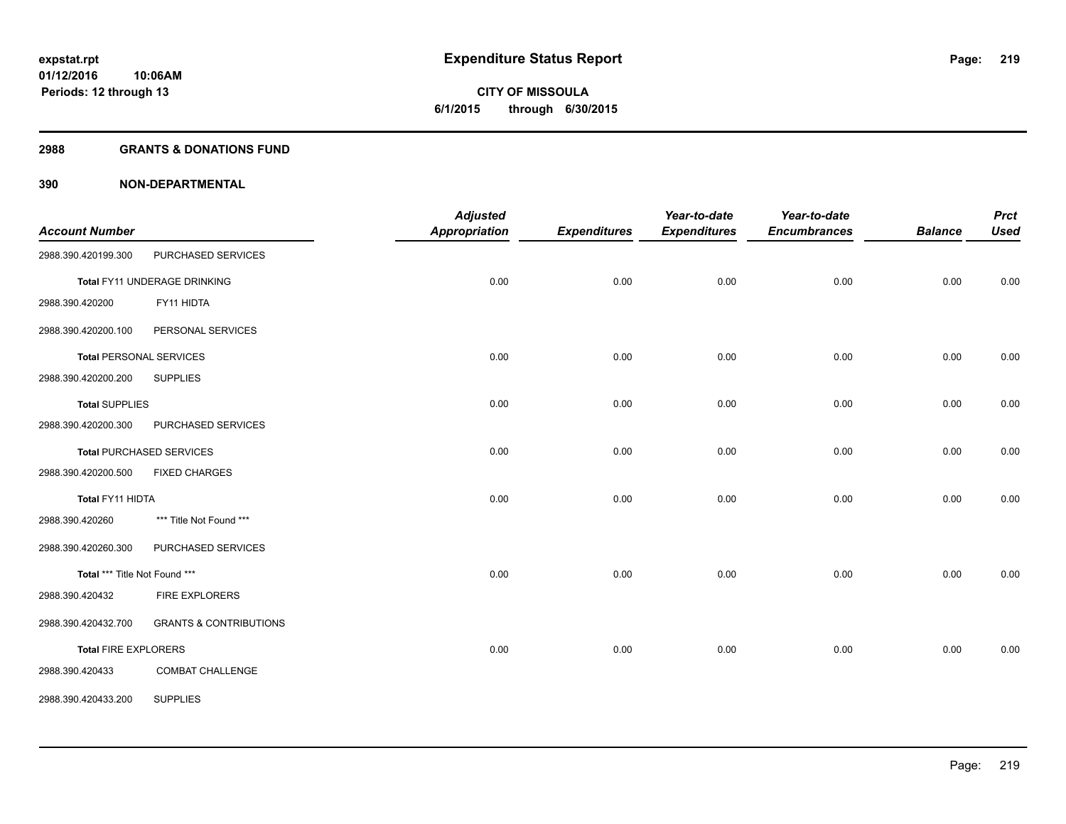#### **2988 GRANTS & DONATIONS FUND**

| <b>Account Number</b>          |                                   | <b>Adjusted</b><br><b>Appropriation</b> | <b>Expenditures</b> | Year-to-date<br><b>Expenditures</b> | Year-to-date<br><b>Encumbrances</b> | <b>Balance</b> | <b>Prct</b><br><b>Used</b> |
|--------------------------------|-----------------------------------|-----------------------------------------|---------------------|-------------------------------------|-------------------------------------|----------------|----------------------------|
| 2988.390.420199.300            | PURCHASED SERVICES                |                                         |                     |                                     |                                     |                |                            |
|                                | Total FY11 UNDERAGE DRINKING      | 0.00                                    | 0.00                | 0.00                                | 0.00                                | 0.00           | 0.00                       |
| 2988.390.420200                | FY11 HIDTA                        |                                         |                     |                                     |                                     |                |                            |
| 2988.390.420200.100            | PERSONAL SERVICES                 |                                         |                     |                                     |                                     |                |                            |
| <b>Total PERSONAL SERVICES</b> |                                   | 0.00                                    | 0.00                | 0.00                                | 0.00                                | 0.00           | 0.00                       |
| 2988.390.420200.200            | <b>SUPPLIES</b>                   |                                         |                     |                                     |                                     |                |                            |
| <b>Total SUPPLIES</b>          |                                   | 0.00                                    | 0.00                | 0.00                                | 0.00                                | 0.00           | 0.00                       |
| 2988.390.420200.300            | PURCHASED SERVICES                |                                         |                     |                                     |                                     |                |                            |
|                                | <b>Total PURCHASED SERVICES</b>   | 0.00                                    | 0.00                | 0.00                                | 0.00                                | 0.00           | 0.00                       |
| 2988.390.420200.500            | <b>FIXED CHARGES</b>              |                                         |                     |                                     |                                     |                |                            |
| Total FY11 HIDTA               |                                   | 0.00                                    | 0.00                | 0.00                                | 0.00                                | 0.00           | 0.00                       |
| 2988.390.420260                | *** Title Not Found ***           |                                         |                     |                                     |                                     |                |                            |
| 2988.390.420260.300            | PURCHASED SERVICES                |                                         |                     |                                     |                                     |                |                            |
| Total *** Title Not Found ***  |                                   | 0.00                                    | 0.00                | 0.00                                | 0.00                                | 0.00           | 0.00                       |
| 2988.390.420432                | <b>FIRE EXPLORERS</b>             |                                         |                     |                                     |                                     |                |                            |
| 2988.390.420432.700            | <b>GRANTS &amp; CONTRIBUTIONS</b> |                                         |                     |                                     |                                     |                |                            |
| <b>Total FIRE EXPLORERS</b>    |                                   | 0.00                                    | 0.00                | 0.00                                | 0.00                                | 0.00           | 0.00                       |
| 2988.390.420433                | COMBAT CHALLENGE                  |                                         |                     |                                     |                                     |                |                            |
| 2988.390.420433.200            | <b>SUPPLIES</b>                   |                                         |                     |                                     |                                     |                |                            |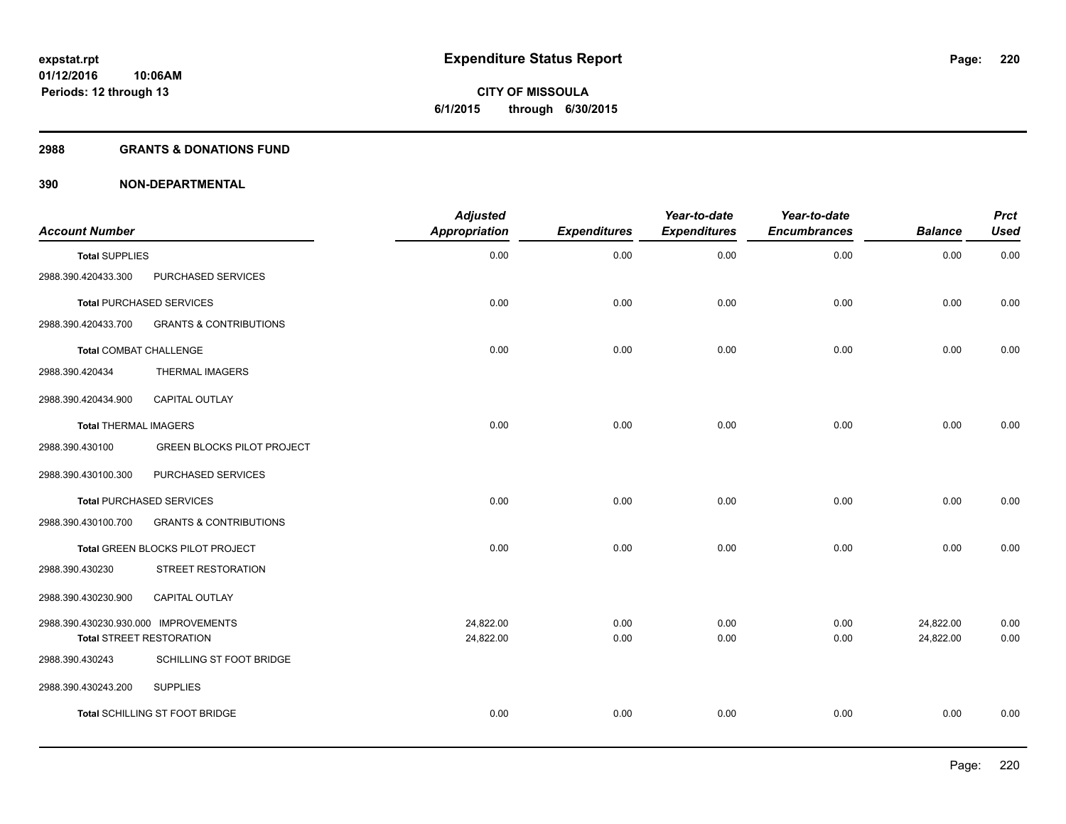#### **2988 GRANTS & DONATIONS FUND**

| <b>Account Number</b>                |                                   | <b>Adjusted</b><br><b>Appropriation</b> | <b>Expenditures</b> | Year-to-date<br><b>Expenditures</b> | Year-to-date<br><b>Encumbrances</b> | <b>Balance</b> | <b>Prct</b><br><b>Used</b> |
|--------------------------------------|-----------------------------------|-----------------------------------------|---------------------|-------------------------------------|-------------------------------------|----------------|----------------------------|
| <b>Total SUPPLIES</b>                |                                   | 0.00                                    | 0.00                | 0.00                                | 0.00                                | 0.00           | 0.00                       |
| 2988.390.420433.300                  | PURCHASED SERVICES                |                                         |                     |                                     |                                     |                |                            |
|                                      | <b>Total PURCHASED SERVICES</b>   | 0.00                                    | 0.00                | 0.00                                | 0.00                                | 0.00           | 0.00                       |
| 2988.390.420433.700                  | <b>GRANTS &amp; CONTRIBUTIONS</b> |                                         |                     |                                     |                                     |                |                            |
| <b>Total COMBAT CHALLENGE</b>        |                                   | 0.00                                    | 0.00                | 0.00                                | 0.00                                | 0.00           | 0.00                       |
| 2988.390.420434                      | <b>THERMAL IMAGERS</b>            |                                         |                     |                                     |                                     |                |                            |
| 2988.390.420434.900                  | CAPITAL OUTLAY                    |                                         |                     |                                     |                                     |                |                            |
| <b>Total THERMAL IMAGERS</b>         |                                   | 0.00                                    | 0.00                | 0.00                                | 0.00                                | 0.00           | 0.00                       |
| 2988.390.430100                      | <b>GREEN BLOCKS PILOT PROJECT</b> |                                         |                     |                                     |                                     |                |                            |
| 2988.390.430100.300                  | PURCHASED SERVICES                |                                         |                     |                                     |                                     |                |                            |
|                                      | <b>Total PURCHASED SERVICES</b>   | 0.00                                    | 0.00                | 0.00                                | 0.00                                | 0.00           | 0.00                       |
| 2988.390.430100.700                  | <b>GRANTS &amp; CONTRIBUTIONS</b> |                                         |                     |                                     |                                     |                |                            |
|                                      | Total GREEN BLOCKS PILOT PROJECT  | 0.00                                    | 0.00                | 0.00                                | 0.00                                | 0.00           | 0.00                       |
| 2988.390.430230                      | STREET RESTORATION                |                                         |                     |                                     |                                     |                |                            |
| 2988.390.430230.900                  | CAPITAL OUTLAY                    |                                         |                     |                                     |                                     |                |                            |
| 2988.390.430230.930.000 IMPROVEMENTS |                                   | 24,822.00                               | 0.00                | 0.00                                | 0.00                                | 24,822.00      | 0.00                       |
|                                      | <b>Total STREET RESTORATION</b>   | 24,822.00                               | 0.00                | 0.00                                | 0.00                                | 24,822.00      | 0.00                       |
| 2988.390.430243                      | SCHILLING ST FOOT BRIDGE          |                                         |                     |                                     |                                     |                |                            |
| 2988.390.430243.200                  | <b>SUPPLIES</b>                   |                                         |                     |                                     |                                     |                |                            |
|                                      | Total SCHILLING ST FOOT BRIDGE    | 0.00                                    | 0.00                | 0.00                                | 0.00                                | 0.00           | 0.00                       |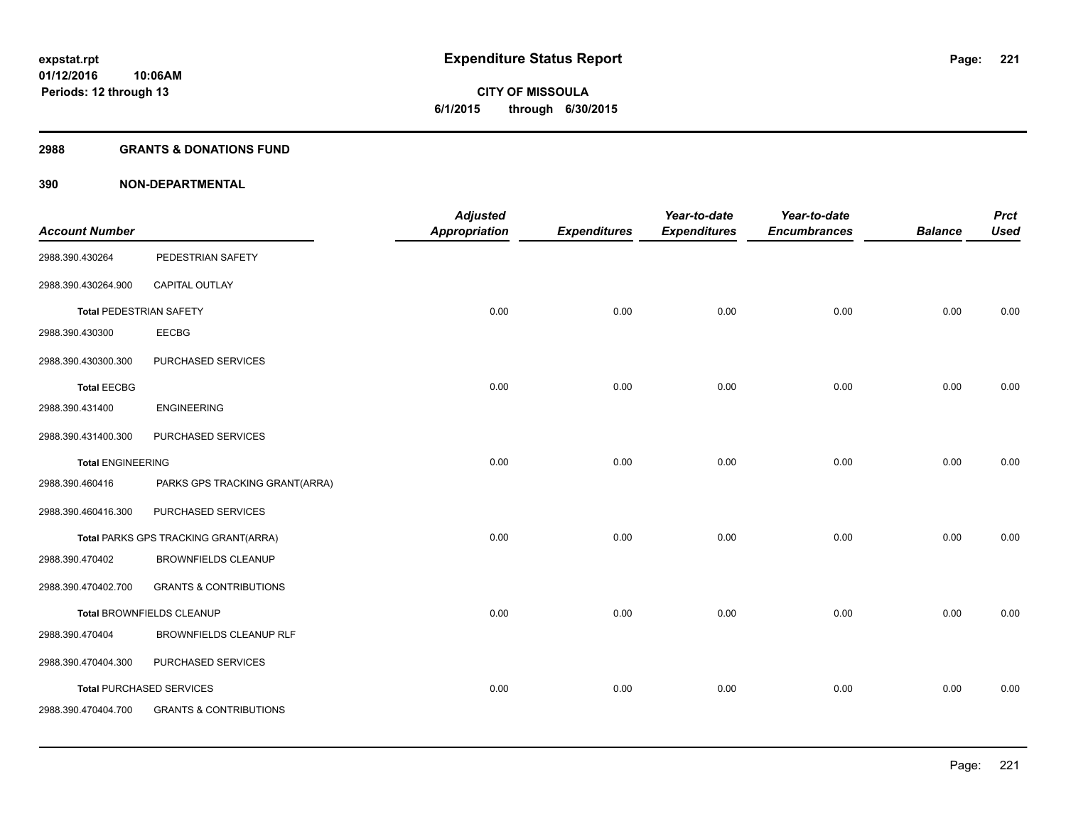**221**

**01/12/2016 10:06AM Periods: 12 through 13**

# **CITY OF MISSOULA 6/1/2015 through 6/30/2015**

## **2988 GRANTS & DONATIONS FUND**

| <b>Account Number</b>          |                                      | <b>Adjusted</b><br>Appropriation | <b>Expenditures</b> | Year-to-date<br><b>Expenditures</b> | Year-to-date<br><b>Encumbrances</b> | <b>Balance</b> | <b>Prct</b><br><b>Used</b> |
|--------------------------------|--------------------------------------|----------------------------------|---------------------|-------------------------------------|-------------------------------------|----------------|----------------------------|
| 2988.390.430264                | PEDESTRIAN SAFETY                    |                                  |                     |                                     |                                     |                |                            |
| 2988.390.430264.900            | CAPITAL OUTLAY                       |                                  |                     |                                     |                                     |                |                            |
| <b>Total PEDESTRIAN SAFETY</b> |                                      | 0.00                             | 0.00                | 0.00                                | 0.00                                | 0.00           | 0.00                       |
| 2988.390.430300                | EECBG                                |                                  |                     |                                     |                                     |                |                            |
| 2988.390.430300.300            | PURCHASED SERVICES                   |                                  |                     |                                     |                                     |                |                            |
| <b>Total EECBG</b>             |                                      | 0.00                             | 0.00                | 0.00                                | 0.00                                | 0.00           | 0.00                       |
| 2988.390.431400                | <b>ENGINEERING</b>                   |                                  |                     |                                     |                                     |                |                            |
| 2988.390.431400.300            | PURCHASED SERVICES                   |                                  |                     |                                     |                                     |                |                            |
| <b>Total ENGINEERING</b>       |                                      | 0.00                             | 0.00                | 0.00                                | 0.00                                | 0.00           | 0.00                       |
| 2988.390.460416                | PARKS GPS TRACKING GRANT(ARRA)       |                                  |                     |                                     |                                     |                |                            |
| 2988.390.460416.300            | PURCHASED SERVICES                   |                                  |                     |                                     |                                     |                |                            |
|                                | Total PARKS GPS TRACKING GRANT(ARRA) | 0.00                             | 0.00                | 0.00                                | 0.00                                | 0.00           | 0.00                       |
| 2988.390.470402                | <b>BROWNFIELDS CLEANUP</b>           |                                  |                     |                                     |                                     |                |                            |
| 2988.390.470402.700            | <b>GRANTS &amp; CONTRIBUTIONS</b>    |                                  |                     |                                     |                                     |                |                            |
|                                | Total BROWNFIELDS CLEANUP            | 0.00                             | 0.00                | 0.00                                | 0.00                                | 0.00           | 0.00                       |
| 2988.390.470404                | <b>BROWNFIELDS CLEANUP RLF</b>       |                                  |                     |                                     |                                     |                |                            |
| 2988.390.470404.300            | PURCHASED SERVICES                   |                                  |                     |                                     |                                     |                |                            |
|                                | <b>Total PURCHASED SERVICES</b>      | 0.00                             | 0.00                | 0.00                                | 0.00                                | 0.00           | 0.00                       |
| 2988.390.470404.700            | <b>GRANTS &amp; CONTRIBUTIONS</b>    |                                  |                     |                                     |                                     |                |                            |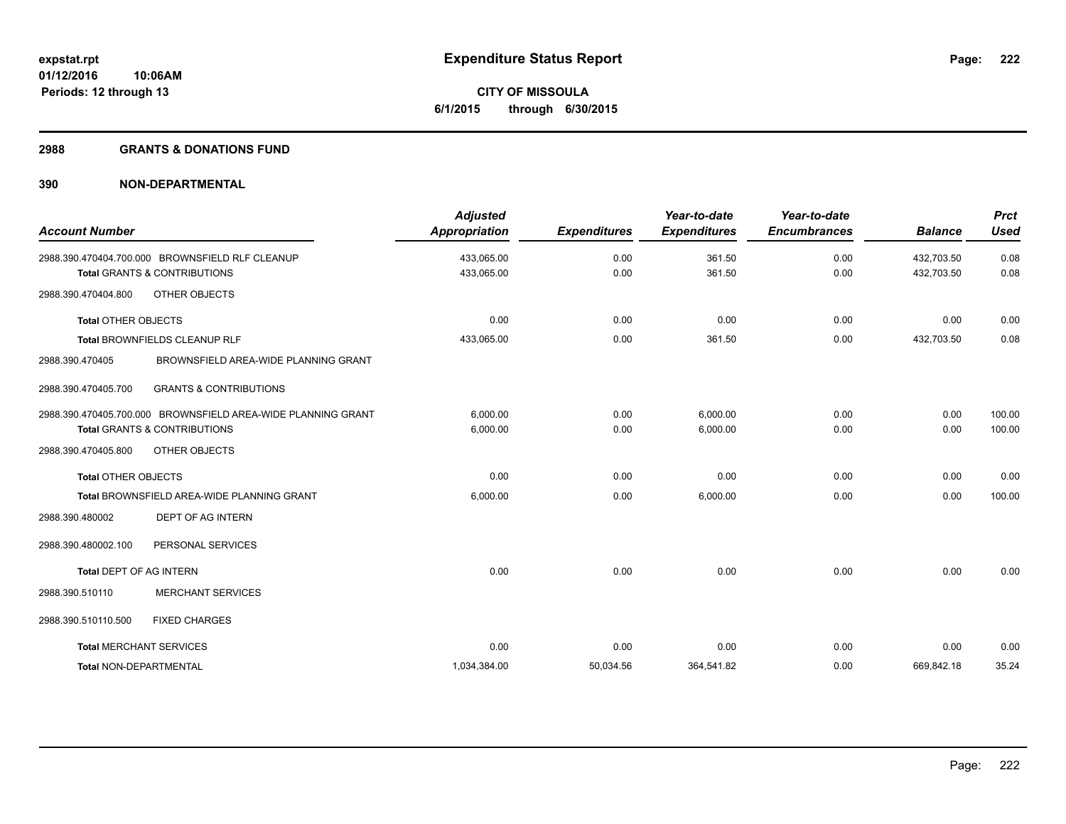#### **2988 GRANTS & DONATIONS FUND**

| <b>Account Number</b>      |                                                                                              | <b>Adjusted</b><br><b>Appropriation</b> | <b>Expenditures</b> | Year-to-date<br><b>Expenditures</b> | Year-to-date<br><b>Encumbrances</b> | <b>Balance</b>           | <b>Prct</b><br><b>Used</b> |
|----------------------------|----------------------------------------------------------------------------------------------|-----------------------------------------|---------------------|-------------------------------------|-------------------------------------|--------------------------|----------------------------|
|                            | 2988.390.470404.700.000 BROWNSFIELD RLF CLEANUP<br><b>Total GRANTS &amp; CONTRIBUTIONS</b>   | 433,065.00<br>433,065.00                | 0.00<br>0.00        | 361.50<br>361.50                    | 0.00<br>0.00                        | 432,703.50<br>432,703.50 | 0.08<br>0.08               |
| 2988.390.470404.800        | OTHER OBJECTS                                                                                |                                         |                     |                                     |                                     |                          |                            |
| <b>Total OTHER OBJECTS</b> |                                                                                              | 0.00                                    | 0.00                | 0.00                                | 0.00                                | 0.00                     | 0.00                       |
|                            | <b>Total BROWNFIELDS CLEANUP RLF</b>                                                         | 433,065.00                              | 0.00                | 361.50                              | 0.00                                | 432.703.50               | 0.08                       |
| 2988.390.470405            | BROWNSFIELD AREA-WIDE PLANNING GRANT                                                         |                                         |                     |                                     |                                     |                          |                            |
| 2988.390.470405.700        | <b>GRANTS &amp; CONTRIBUTIONS</b>                                                            |                                         |                     |                                     |                                     |                          |                            |
|                            | 2988.390.470405.700.000 BROWNSFIELD AREA-WIDE PLANNING GRANT<br>Total GRANTS & CONTRIBUTIONS | 6,000.00<br>6,000.00                    | 0.00<br>0.00        | 6,000.00<br>6,000.00                | 0.00<br>0.00                        | 0.00<br>0.00             | 100.00<br>100.00           |
| 2988.390.470405.800        | OTHER OBJECTS                                                                                |                                         |                     |                                     |                                     |                          |                            |
| <b>Total OTHER OBJECTS</b> |                                                                                              | 0.00                                    | 0.00                | 0.00                                | 0.00                                | 0.00                     | 0.00                       |
|                            | Total BROWNSFIELD AREA-WIDE PLANNING GRANT                                                   | 6,000.00                                | 0.00                | 6,000.00                            | 0.00                                | 0.00                     | 100.00                     |
| 2988.390.480002            | DEPT OF AG INTERN                                                                            |                                         |                     |                                     |                                     |                          |                            |
| 2988.390.480002.100        | PERSONAL SERVICES                                                                            |                                         |                     |                                     |                                     |                          |                            |
| Total DEPT OF AG INTERN    |                                                                                              | 0.00                                    | 0.00                | 0.00                                | 0.00                                | 0.00                     | 0.00                       |
| 2988.390.510110            | <b>MERCHANT SERVICES</b>                                                                     |                                         |                     |                                     |                                     |                          |                            |
| 2988.390.510110.500        | <b>FIXED CHARGES</b>                                                                         |                                         |                     |                                     |                                     |                          |                            |
|                            | <b>Total MERCHANT SERVICES</b>                                                               | 0.00                                    | 0.00                | 0.00                                | 0.00                                | 0.00                     | 0.00                       |
| Total NON-DEPARTMENTAL     |                                                                                              | 1,034,384.00                            | 50,034.56           | 364,541.82                          | 0.00                                | 669,842.18               | 35.24                      |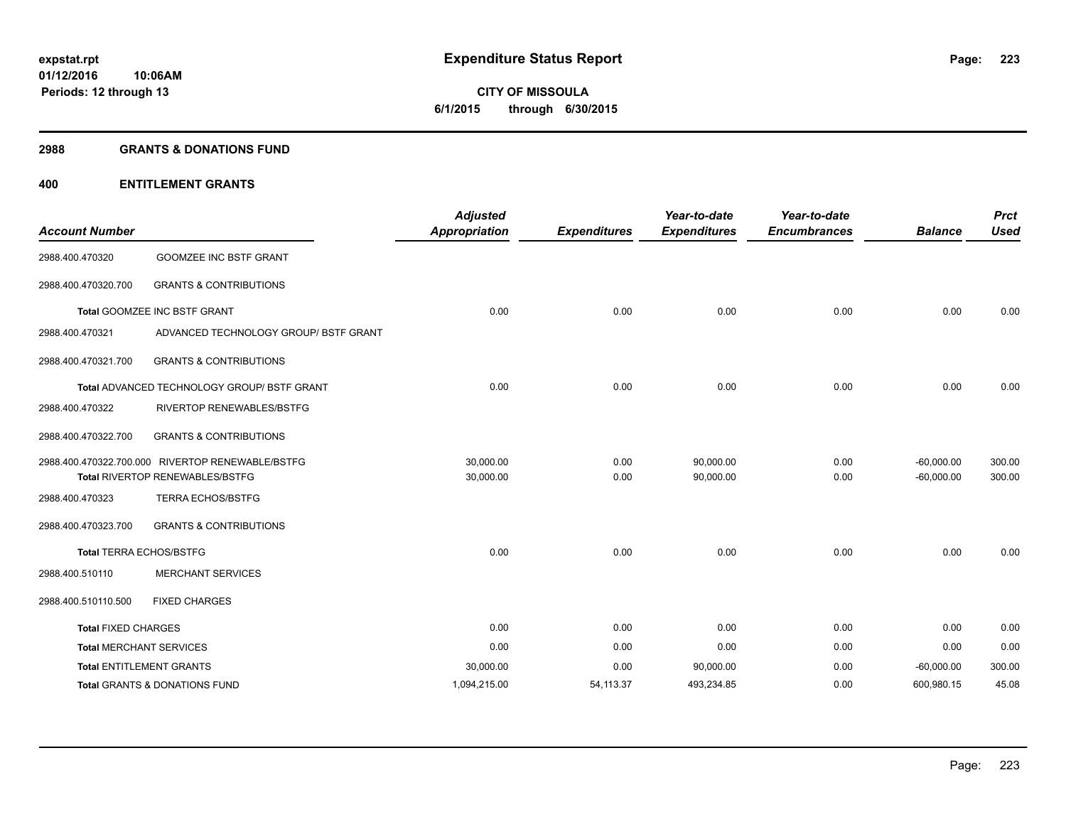# **CITY OF MISSOULA 6/1/2015 through 6/30/2015**

#### **2988 GRANTS & DONATIONS FUND**

## **400 ENTITLEMENT GRANTS**

| <b>Account Number</b>          |                                                  | <b>Adjusted</b><br><b>Appropriation</b> | <b>Expenditures</b> | Year-to-date<br><b>Expenditures</b> | Year-to-date<br><b>Encumbrances</b> | <b>Balance</b> | <b>Prct</b><br><b>Used</b> |
|--------------------------------|--------------------------------------------------|-----------------------------------------|---------------------|-------------------------------------|-------------------------------------|----------------|----------------------------|
| 2988.400.470320                | <b>GOOMZEE INC BSTF GRANT</b>                    |                                         |                     |                                     |                                     |                |                            |
| 2988.400.470320.700            | <b>GRANTS &amp; CONTRIBUTIONS</b>                |                                         |                     |                                     |                                     |                |                            |
|                                | Total GOOMZEE INC BSTF GRANT                     | 0.00                                    | 0.00                | 0.00                                | 0.00                                | 0.00           | 0.00                       |
| 2988.400.470321                | ADVANCED TECHNOLOGY GROUP/ BSTF GRANT            |                                         |                     |                                     |                                     |                |                            |
| 2988.400.470321.700            | <b>GRANTS &amp; CONTRIBUTIONS</b>                |                                         |                     |                                     |                                     |                |                            |
|                                | Total ADVANCED TECHNOLOGY GROUP/ BSTF GRANT      | 0.00                                    | 0.00                | 0.00                                | 0.00                                | 0.00           | 0.00                       |
| 2988.400.470322                | RIVERTOP RENEWABLES/BSTFG                        |                                         |                     |                                     |                                     |                |                            |
| 2988.400.470322.700            | <b>GRANTS &amp; CONTRIBUTIONS</b>                |                                         |                     |                                     |                                     |                |                            |
|                                | 2988.400.470322.700.000 RIVERTOP RENEWABLE/BSTFG | 30,000.00                               | 0.00                | 90,000.00                           | 0.00                                | $-60,000.00$   | 300.00                     |
|                                | Total RIVERTOP RENEWABLES/BSTFG                  | 30,000.00                               | 0.00                | 90,000.00                           | 0.00                                | $-60,000.00$   | 300.00                     |
| 2988.400.470323                | <b>TERRA ECHOS/BSTFG</b>                         |                                         |                     |                                     |                                     |                |                            |
| 2988.400.470323.700            | <b>GRANTS &amp; CONTRIBUTIONS</b>                |                                         |                     |                                     |                                     |                |                            |
| <b>Total TERRA ECHOS/BSTFG</b> |                                                  | 0.00                                    | 0.00                | 0.00                                | 0.00                                | 0.00           | 0.00                       |
| 2988.400.510110                | <b>MERCHANT SERVICES</b>                         |                                         |                     |                                     |                                     |                |                            |
| 2988.400.510110.500            | <b>FIXED CHARGES</b>                             |                                         |                     |                                     |                                     |                |                            |
| <b>Total FIXED CHARGES</b>     |                                                  | 0.00                                    | 0.00                | 0.00                                | 0.00                                | 0.00           | 0.00                       |
| <b>Total MERCHANT SERVICES</b> |                                                  | 0.00                                    | 0.00                | 0.00                                | 0.00                                | 0.00           | 0.00                       |
|                                | <b>Total ENTITLEMENT GRANTS</b>                  | 30,000.00                               | 0.00                | 90,000.00                           | 0.00                                | $-60,000.00$   | 300.00                     |
|                                | Total GRANTS & DONATIONS FUND                    | 1,094,215.00                            | 54, 113.37          | 493,234.85                          | 0.00                                | 600,980.15     | 45.08                      |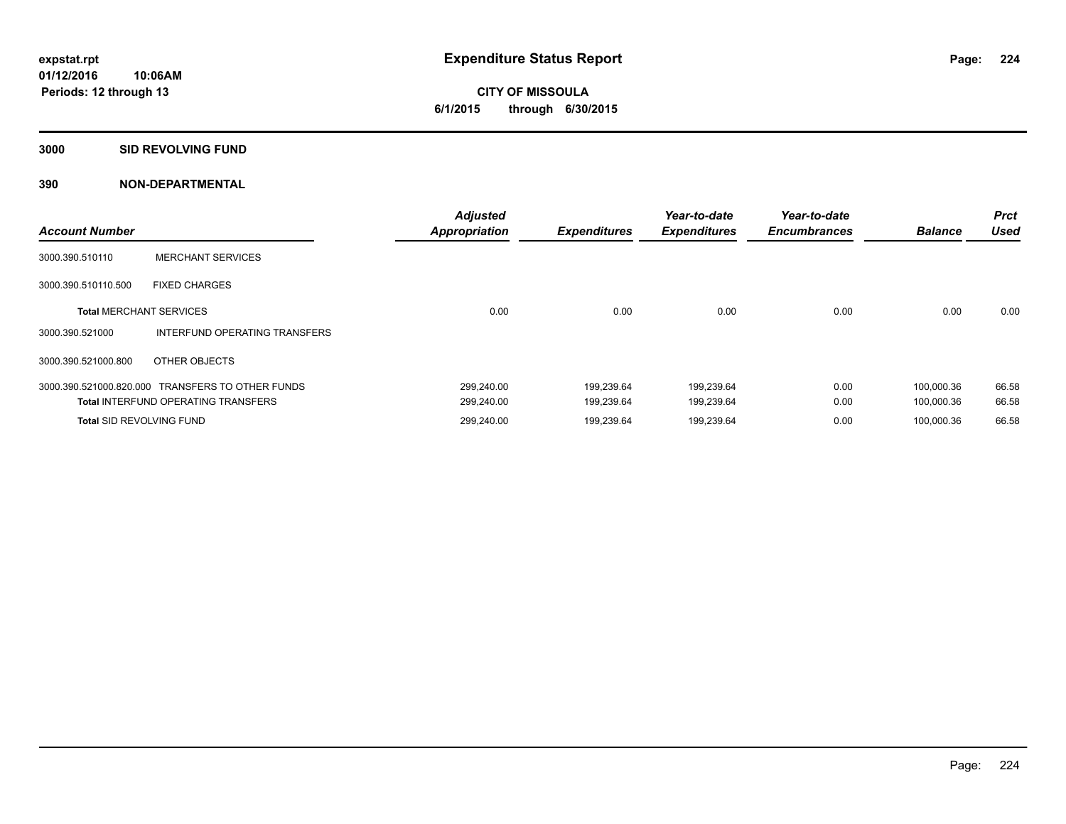#### **3000 SID REVOLVING FUND**

| <b>Account Number</b>           |                                                  | <b>Adjusted</b><br><b>Appropriation</b> | <b>Expenditures</b> | Year-to-date<br><b>Expenditures</b> | Year-to-date<br><b>Encumbrances</b> | <b>Balance</b> | <b>Prct</b><br><b>Used</b> |
|---------------------------------|--------------------------------------------------|-----------------------------------------|---------------------|-------------------------------------|-------------------------------------|----------------|----------------------------|
| 3000.390.510110                 | <b>MERCHANT SERVICES</b>                         |                                         |                     |                                     |                                     |                |                            |
| 3000.390.510110.500             | <b>FIXED CHARGES</b>                             |                                         |                     |                                     |                                     |                |                            |
| <b>Total MERCHANT SERVICES</b>  |                                                  | 0.00                                    | 0.00                | 0.00                                | 0.00                                | 0.00           | 0.00                       |
| 3000.390.521000                 | INTERFUND OPERATING TRANSFERS                    |                                         |                     |                                     |                                     |                |                            |
| 3000.390.521000.800             | OTHER OBJECTS                                    |                                         |                     |                                     |                                     |                |                            |
|                                 | 3000.390.521000.820.000 TRANSFERS TO OTHER FUNDS | 299,240.00                              | 199.239.64          | 199,239.64                          | 0.00                                | 100,000.36     | 66.58                      |
|                                 | <b>Total INTERFUND OPERATING TRANSFERS</b>       | 299,240.00                              | 199,239.64          | 199,239.64                          | 0.00                                | 100,000.36     | 66.58                      |
| <b>Total SID REVOLVING FUND</b> |                                                  | 299,240.00                              | 199,239.64          | 199,239.64                          | 0.00                                | 100,000.36     | 66.58                      |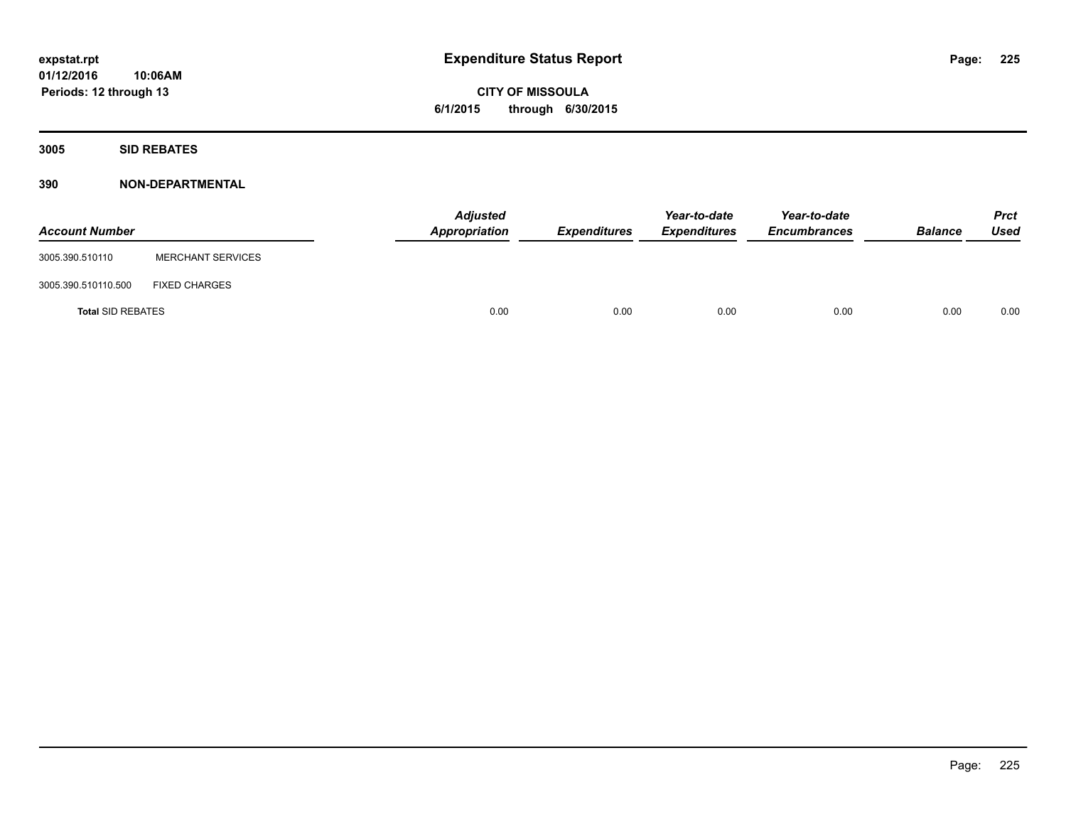**3005 SID REBATES**

| <b>Account Number</b>    |                          | <b>Adjusted</b><br>Appropriation | Expenditures | Year-to-date<br><b>Expenditures</b> | Year-to-date<br><b>Encumbrances</b> | <b>Balance</b> | <b>Prct</b><br>Used |
|--------------------------|--------------------------|----------------------------------|--------------|-------------------------------------|-------------------------------------|----------------|---------------------|
| 3005.390.510110          | <b>MERCHANT SERVICES</b> |                                  |              |                                     |                                     |                |                     |
| 3005.390.510110.500      | <b>FIXED CHARGES</b>     |                                  |              |                                     |                                     |                |                     |
| <b>Total SID REBATES</b> |                          | 0.00                             | 0.00         | 0.00                                | 0.00                                | 0.00           | 0.00                |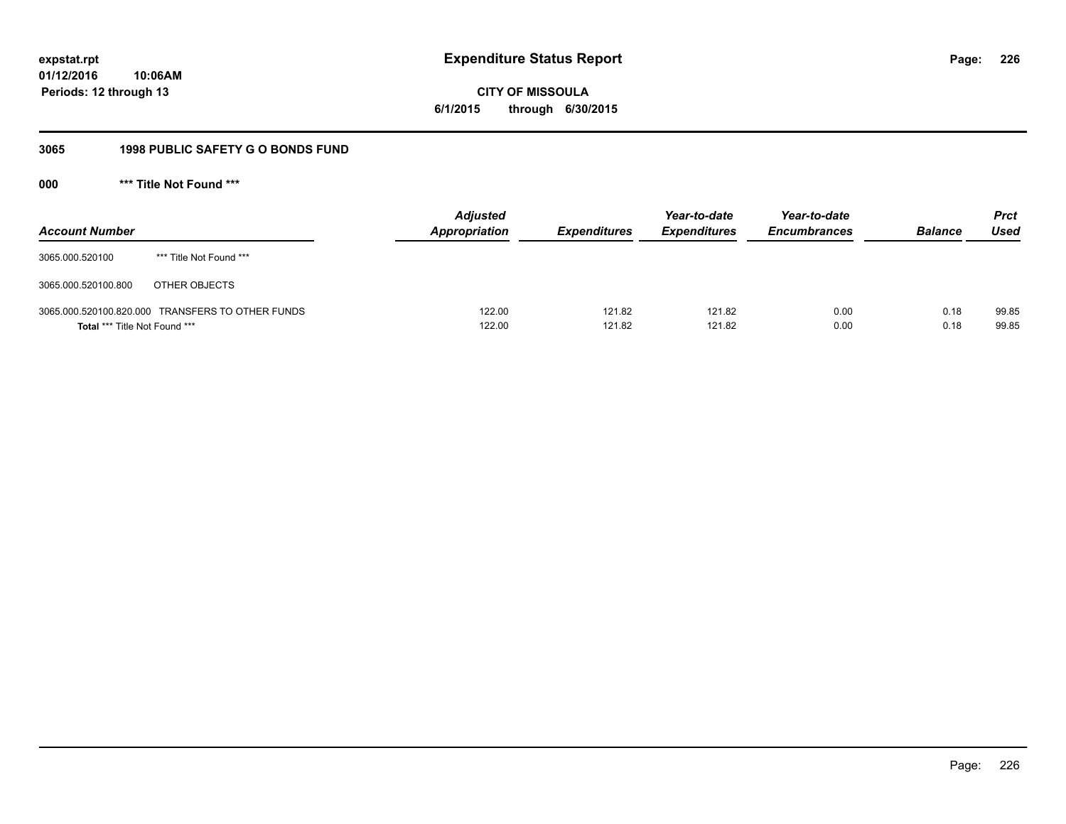# **CITY OF MISSOULA 6/1/2015 through 6/30/2015**

# **3065 1998 PUBLIC SAFETY G O BONDS FUND**

**000 \*\*\* Title Not Found \*\*\***

| <b>Account Number</b>         |                                                  | <b>Adjusted</b><br><b>Appropriation</b> | <b>Expenditures</b> | Year-to-date<br><b>Expenditures</b> | Year-to-date<br><b>Encumbrances</b> | <b>Balance</b> | <b>Prct</b><br>Used |
|-------------------------------|--------------------------------------------------|-----------------------------------------|---------------------|-------------------------------------|-------------------------------------|----------------|---------------------|
| 3065.000.520100               | *** Title Not Found ***                          |                                         |                     |                                     |                                     |                |                     |
| 3065.000.520100.800           | OTHER OBJECTS                                    |                                         |                     |                                     |                                     |                |                     |
| Total *** Title Not Found *** | 3065.000.520100.820.000 TRANSFERS TO OTHER FUNDS | 122.00<br>122.00                        | 121.82<br>121.82    | 121.82<br>121.82                    | 0.00<br>0.00                        | 0.18<br>0.18   | 99.85<br>99.85      |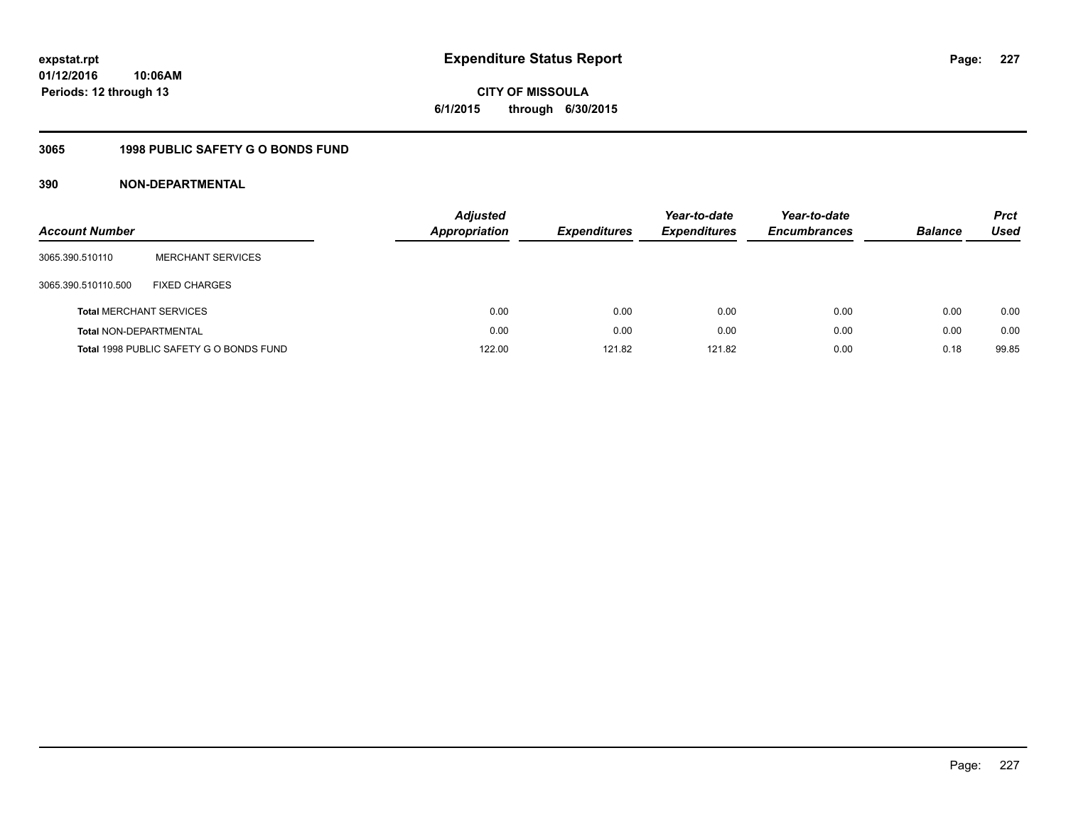**CITY OF MISSOULA 6/1/2015 through 6/30/2015**

# **3065 1998 PUBLIC SAFETY G O BONDS FUND**

| <b>Account Number</b>          |                                         | <b>Adjusted</b><br>Appropriation | <b>Expenditures</b> | Year-to-date<br><b>Expenditures</b> | Year-to-date<br><b>Encumbrances</b> | <b>Balance</b> | <b>Prct</b><br><b>Used</b> |
|--------------------------------|-----------------------------------------|----------------------------------|---------------------|-------------------------------------|-------------------------------------|----------------|----------------------------|
| 3065.390.510110                | <b>MERCHANT SERVICES</b>                |                                  |                     |                                     |                                     |                |                            |
| 3065.390.510110.500            | <b>FIXED CHARGES</b>                    |                                  |                     |                                     |                                     |                |                            |
| <b>Total MERCHANT SERVICES</b> |                                         | 0.00                             | 0.00                | 0.00                                | 0.00                                | 0.00           | 0.00                       |
| <b>Total NON-DEPARTMENTAL</b>  |                                         | 0.00                             | 0.00                | 0.00                                | 0.00                                | 0.00           | 0.00                       |
|                                | Total 1998 PUBLIC SAFETY G O BONDS FUND | 122.00                           | 121.82              | 121.82                              | 0.00                                | 0.18           | 99.85                      |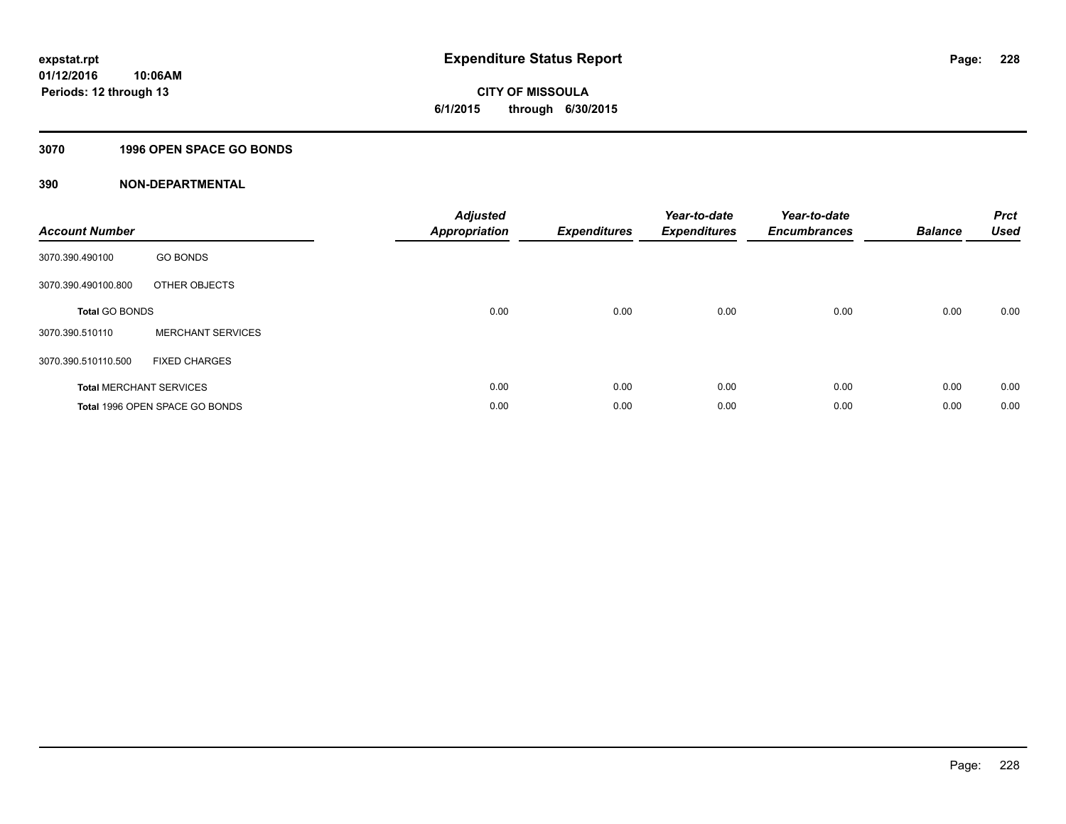**Periods: 12 through 13**

**CITY OF MISSOULA 6/1/2015 through 6/30/2015**

#### **3070 1996 OPEN SPACE GO BONDS**

**10:06AM**

| <b>Account Number</b>          |                                | <b>Adjusted</b><br><b>Appropriation</b> | <b>Expenditures</b> | Year-to-date<br><b>Expenditures</b> | Year-to-date<br><b>Encumbrances</b> | <b>Balance</b> | <b>Prct</b><br><b>Used</b> |
|--------------------------------|--------------------------------|-----------------------------------------|---------------------|-------------------------------------|-------------------------------------|----------------|----------------------------|
| 3070.390.490100                | <b>GO BONDS</b>                |                                         |                     |                                     |                                     |                |                            |
| 3070.390.490100.800            | OTHER OBJECTS                  |                                         |                     |                                     |                                     |                |                            |
| <b>Total GO BONDS</b>          |                                | 0.00                                    | 0.00                | 0.00                                | 0.00                                | 0.00           | 0.00                       |
| 3070.390.510110                | <b>MERCHANT SERVICES</b>       |                                         |                     |                                     |                                     |                |                            |
| 3070.390.510110.500            | <b>FIXED CHARGES</b>           |                                         |                     |                                     |                                     |                |                            |
| <b>Total MERCHANT SERVICES</b> |                                | 0.00                                    | 0.00                | 0.00                                | 0.00                                | 0.00           | 0.00                       |
|                                | Total 1996 OPEN SPACE GO BONDS | 0.00                                    | 0.00                | 0.00                                | 0.00                                | 0.00           | 0.00                       |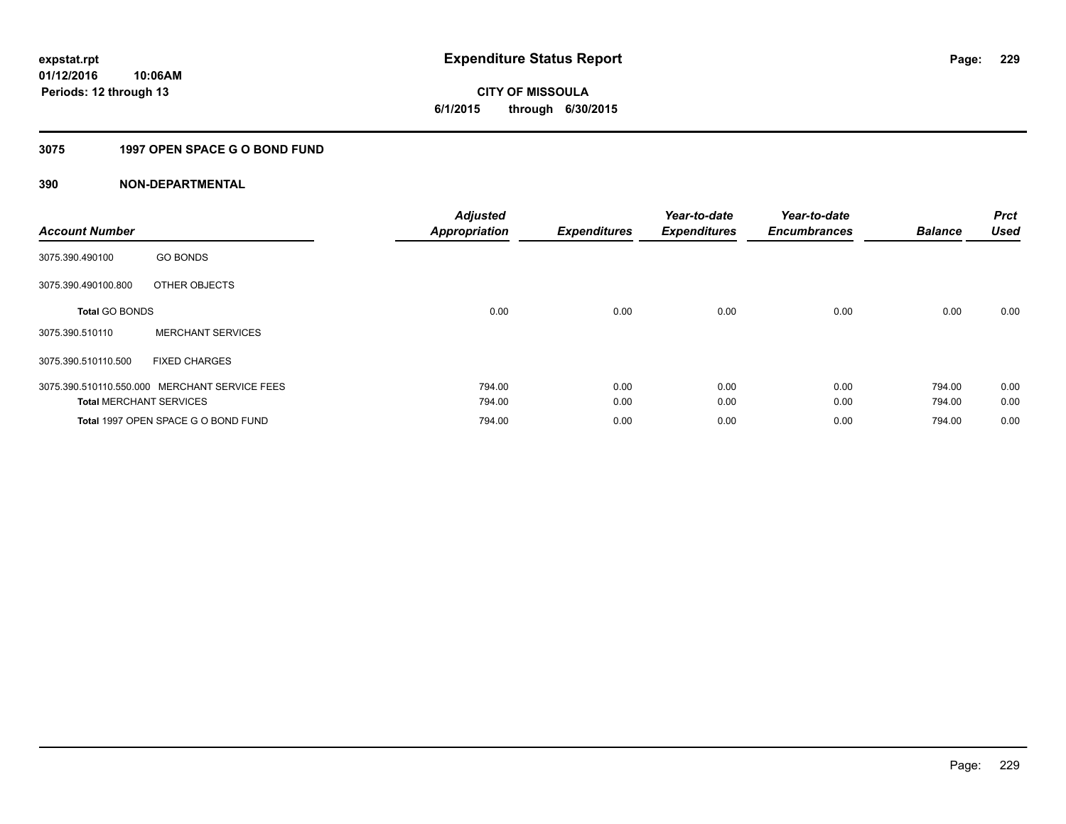# **CITY OF MISSOULA 6/1/2015 through 6/30/2015**

# **3075 1997 OPEN SPACE G O BOND FUND**

| <b>Account Number</b>          |                                               | <b>Adjusted</b><br><b>Appropriation</b> | <b>Expenditures</b> | Year-to-date<br><b>Expenditures</b> | Year-to-date<br><b>Encumbrances</b> | <b>Balance</b> | <b>Prct</b><br><b>Used</b> |
|--------------------------------|-----------------------------------------------|-----------------------------------------|---------------------|-------------------------------------|-------------------------------------|----------------|----------------------------|
| 3075.390.490100                | <b>GO BONDS</b>                               |                                         |                     |                                     |                                     |                |                            |
| 3075.390.490100.800            | OTHER OBJECTS                                 |                                         |                     |                                     |                                     |                |                            |
| <b>Total GO BONDS</b>          |                                               | 0.00                                    | 0.00                | 0.00                                | 0.00                                | 0.00           | 0.00                       |
| 3075.390.510110                | <b>MERCHANT SERVICES</b>                      |                                         |                     |                                     |                                     |                |                            |
| 3075.390.510110.500            | <b>FIXED CHARGES</b>                          |                                         |                     |                                     |                                     |                |                            |
|                                | 3075.390.510110.550.000 MERCHANT SERVICE FEES | 794.00                                  | 0.00                | 0.00                                | 0.00                                | 794.00         | 0.00                       |
| <b>Total MERCHANT SERVICES</b> |                                               | 794.00                                  | 0.00                | 0.00                                | 0.00                                | 794.00         | 0.00                       |
|                                | Total 1997 OPEN SPACE G O BOND FUND           | 794.00                                  | 0.00                | 0.00                                | 0.00                                | 794.00         | 0.00                       |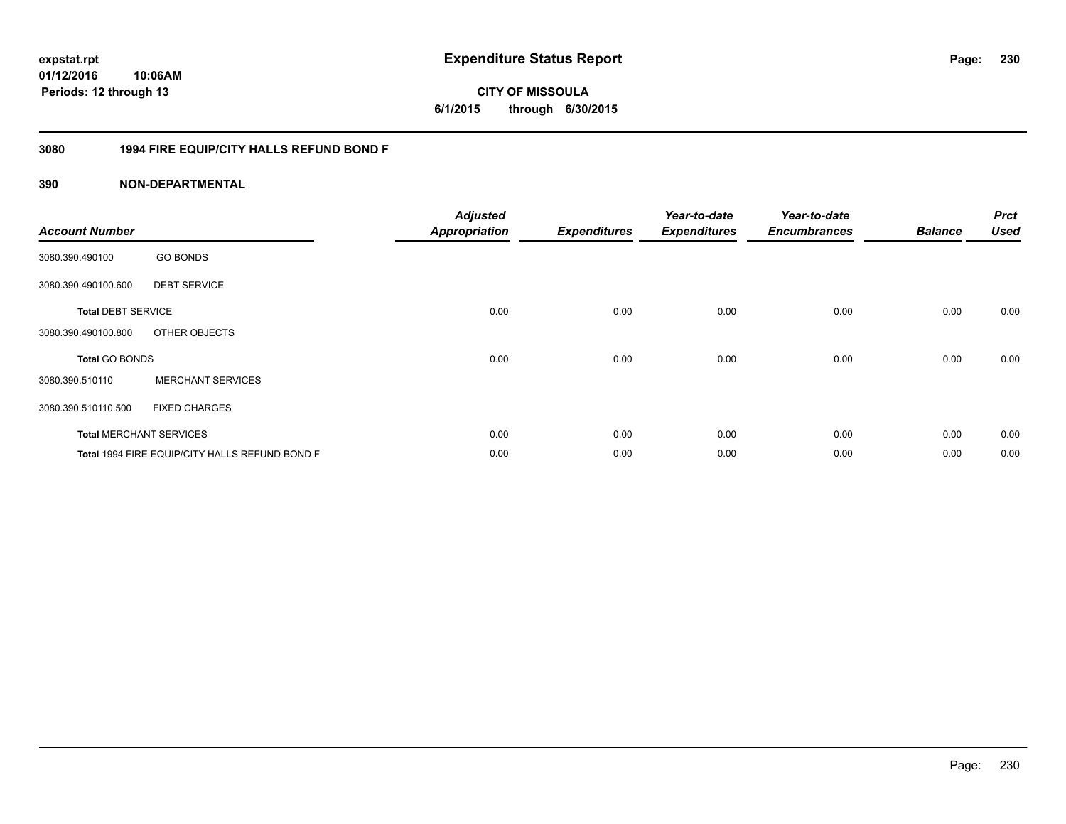## **3080 1994 FIRE EQUIP/CITY HALLS REFUND BOND F**

| <b>Account Number</b>     |                                                | <b>Adjusted</b><br><b>Appropriation</b> | <b>Expenditures</b> | Year-to-date<br><b>Expenditures</b> | Year-to-date<br><b>Encumbrances</b> | <b>Balance</b> | <b>Prct</b><br><b>Used</b> |
|---------------------------|------------------------------------------------|-----------------------------------------|---------------------|-------------------------------------|-------------------------------------|----------------|----------------------------|
| 3080.390.490100           | <b>GO BONDS</b>                                |                                         |                     |                                     |                                     |                |                            |
| 3080.390.490100.600       | <b>DEBT SERVICE</b>                            |                                         |                     |                                     |                                     |                |                            |
| <b>Total DEBT SERVICE</b> |                                                | 0.00                                    | 0.00                | 0.00                                | 0.00                                | 0.00           | 0.00                       |
| 3080.390.490100.800       | OTHER OBJECTS                                  |                                         |                     |                                     |                                     |                |                            |
| Total GO BONDS            |                                                | 0.00                                    | 0.00                | 0.00                                | 0.00                                | 0.00           | 0.00                       |
| 3080.390.510110           | <b>MERCHANT SERVICES</b>                       |                                         |                     |                                     |                                     |                |                            |
| 3080.390.510110.500       | <b>FIXED CHARGES</b>                           |                                         |                     |                                     |                                     |                |                            |
|                           | <b>Total MERCHANT SERVICES</b>                 | 0.00                                    | 0.00                | 0.00                                | 0.00                                | 0.00           | 0.00                       |
|                           | Total 1994 FIRE EQUIP/CITY HALLS REFUND BOND F | 0.00                                    | 0.00                | 0.00                                | 0.00                                | 0.00           | 0.00                       |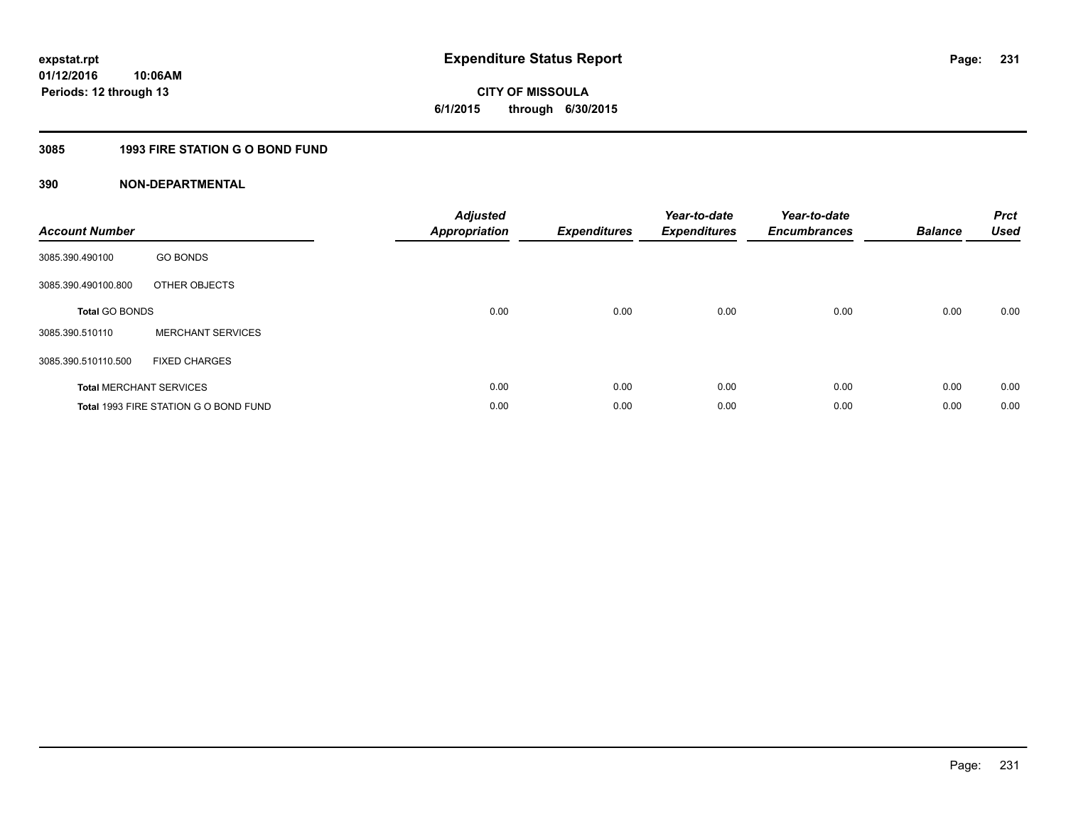# **CITY OF MISSOULA 6/1/2015 through 6/30/2015**

# **3085 1993 FIRE STATION G O BOND FUND**

| <b>Account Number</b>          |                                       | <b>Adjusted</b><br><b>Appropriation</b> | <b>Expenditures</b> | Year-to-date<br><b>Expenditures</b> | Year-to-date<br><b>Encumbrances</b> | <b>Balance</b> | <b>Prct</b><br><b>Used</b> |
|--------------------------------|---------------------------------------|-----------------------------------------|---------------------|-------------------------------------|-------------------------------------|----------------|----------------------------|
| 3085.390.490100                | <b>GO BONDS</b>                       |                                         |                     |                                     |                                     |                |                            |
| 3085.390.490100.800            | OTHER OBJECTS                         |                                         |                     |                                     |                                     |                |                            |
| <b>Total GO BONDS</b>          |                                       | 0.00                                    | 0.00                | 0.00                                | 0.00                                | 0.00           | 0.00                       |
| 3085.390.510110                | <b>MERCHANT SERVICES</b>              |                                         |                     |                                     |                                     |                |                            |
| 3085.390.510110.500            | <b>FIXED CHARGES</b>                  |                                         |                     |                                     |                                     |                |                            |
| <b>Total MERCHANT SERVICES</b> |                                       | 0.00                                    | 0.00                | 0.00                                | 0.00                                | 0.00           | 0.00                       |
|                                | Total 1993 FIRE STATION G O BOND FUND | 0.00                                    | 0.00                | 0.00                                | 0.00                                | 0.00           | 0.00                       |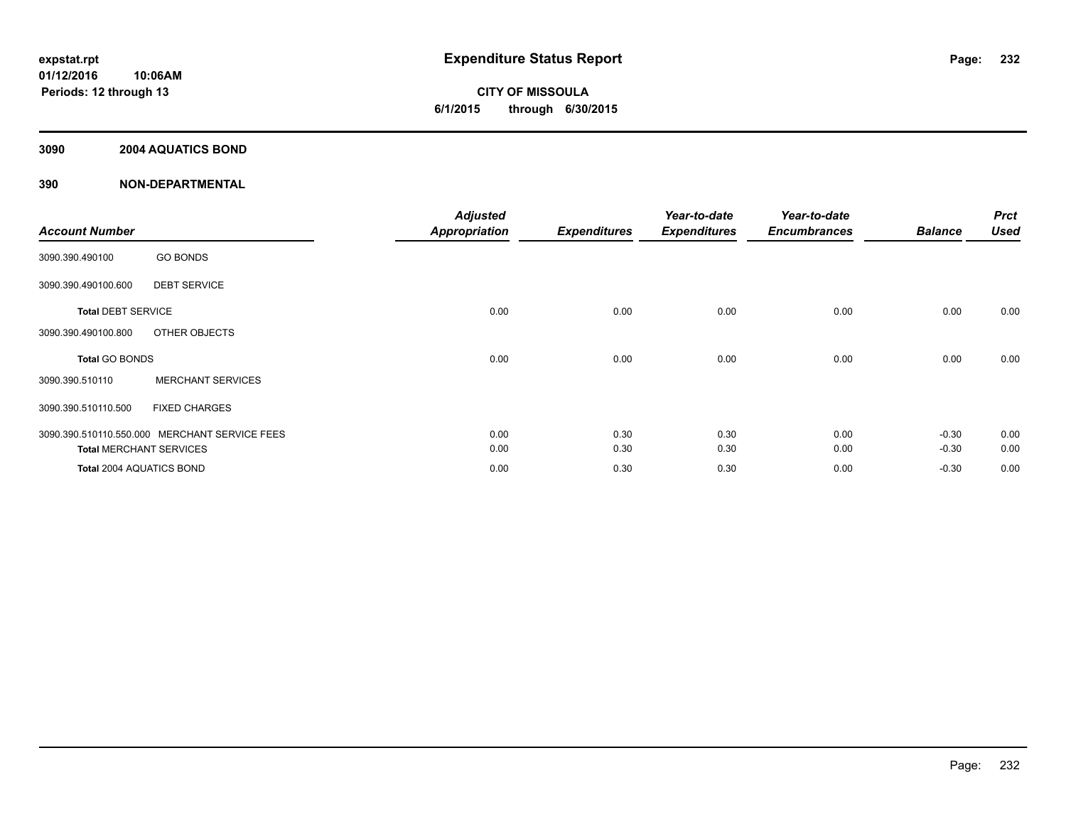## **3090 2004 AQUATICS BOND**

| <b>Account Number</b>     |                                               | <b>Adjusted</b><br>Appropriation | <b>Expenditures</b> | Year-to-date<br><b>Expenditures</b> | Year-to-date<br><b>Encumbrances</b> | <b>Balance</b> | <b>Prct</b><br><b>Used</b> |
|---------------------------|-----------------------------------------------|----------------------------------|---------------------|-------------------------------------|-------------------------------------|----------------|----------------------------|
| 3090.390.490100           | <b>GO BONDS</b>                               |                                  |                     |                                     |                                     |                |                            |
| 3090.390.490100.600       | <b>DEBT SERVICE</b>                           |                                  |                     |                                     |                                     |                |                            |
| <b>Total DEBT SERVICE</b> |                                               | 0.00                             | 0.00                | 0.00                                | 0.00                                | 0.00           | 0.00                       |
| 3090.390.490100.800       | OTHER OBJECTS                                 |                                  |                     |                                     |                                     |                |                            |
| <b>Total GO BONDS</b>     |                                               | 0.00                             | 0.00                | 0.00                                | 0.00                                | 0.00           | 0.00                       |
| 3090.390.510110           | <b>MERCHANT SERVICES</b>                      |                                  |                     |                                     |                                     |                |                            |
| 3090.390.510110.500       | <b>FIXED CHARGES</b>                          |                                  |                     |                                     |                                     |                |                            |
|                           | 3090.390.510110.550.000 MERCHANT SERVICE FEES | 0.00                             | 0.30                | 0.30                                | 0.00                                | $-0.30$        | 0.00                       |
|                           | <b>Total MERCHANT SERVICES</b>                | 0.00                             | 0.30                | 0.30                                | 0.00                                | $-0.30$        | 0.00                       |
| Total 2004 AQUATICS BOND  |                                               | 0.00                             | 0.30                | 0.30                                | 0.00                                | $-0.30$        | 0.00                       |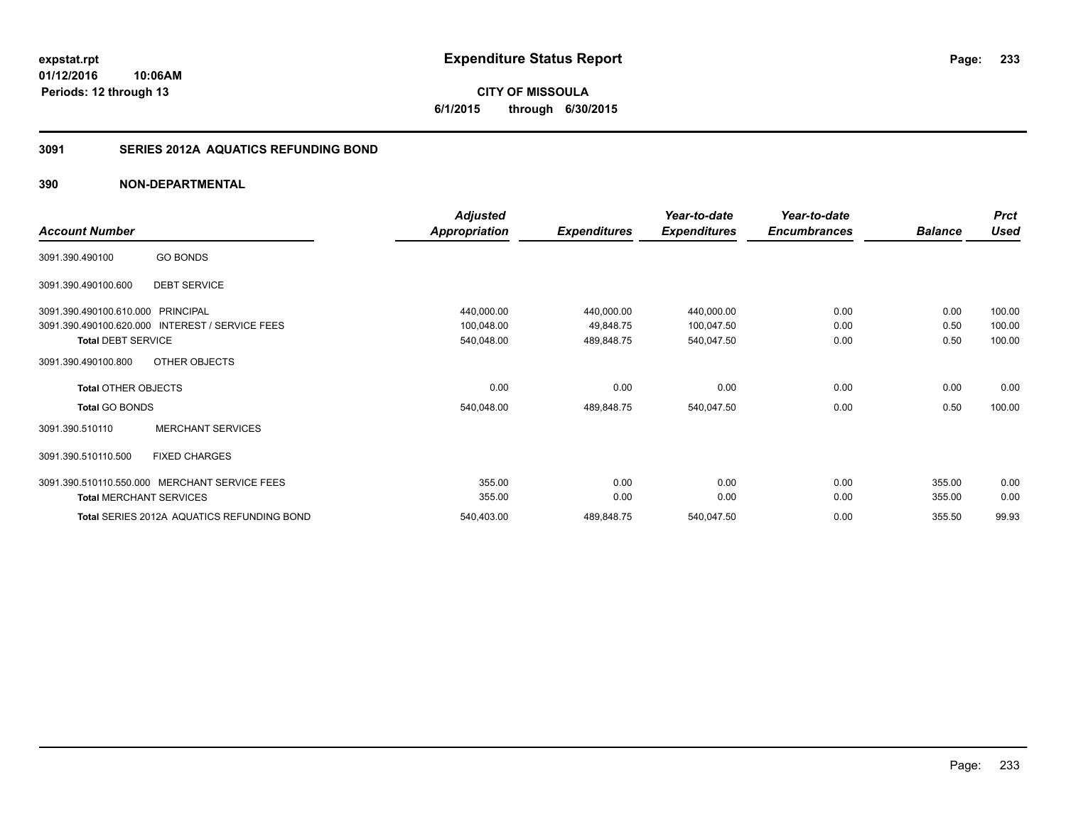## **3091 SERIES 2012A AQUATICS REFUNDING BOND**

|                                |                                               | <b>Adjusted</b> |                     | Year-to-date        | Year-to-date        |                | <b>Prct</b> |
|--------------------------------|-----------------------------------------------|-----------------|---------------------|---------------------|---------------------|----------------|-------------|
| <b>Account Number</b>          |                                               | Appropriation   | <b>Expenditures</b> | <b>Expenditures</b> | <b>Encumbrances</b> | <b>Balance</b> | <b>Used</b> |
| 3091.390.490100                | <b>GO BONDS</b>                               |                 |                     |                     |                     |                |             |
| 3091.390.490100.600            | <b>DEBT SERVICE</b>                           |                 |                     |                     |                     |                |             |
| 3091.390.490100.610.000        | PRINCIPAL                                     | 440,000.00      | 440,000.00          | 440,000.00          | 0.00                | 0.00           | 100.00      |
| 3091.390.490100.620.000        | <b>INTEREST / SERVICE FEES</b>                | 100,048.00      | 49,848.75           | 100,047.50          | 0.00                | 0.50           | 100.00      |
| <b>Total DEBT SERVICE</b>      |                                               | 540,048.00      | 489,848.75          | 540,047.50          | 0.00                | 0.50           | 100.00      |
| 3091.390.490100.800            | OTHER OBJECTS                                 |                 |                     |                     |                     |                |             |
| <b>Total OTHER OBJECTS</b>     |                                               | 0.00            | 0.00                | 0.00                | 0.00                | 0.00           | 0.00        |
| <b>Total GO BONDS</b>          |                                               | 540,048.00      | 489,848.75          | 540,047.50          | 0.00                | 0.50           | 100.00      |
| 3091.390.510110                | <b>MERCHANT SERVICES</b>                      |                 |                     |                     |                     |                |             |
| 3091.390.510110.500            | <b>FIXED CHARGES</b>                          |                 |                     |                     |                     |                |             |
|                                | 3091.390.510110.550.000 MERCHANT SERVICE FEES | 355.00          | 0.00                | 0.00                | 0.00                | 355.00         | 0.00        |
| <b>Total MERCHANT SERVICES</b> |                                               | 355.00          | 0.00                | 0.00                | 0.00                | 355.00         | 0.00        |
|                                | Total SERIES 2012A AQUATICS REFUNDING BOND    | 540,403.00      | 489,848.75          | 540,047.50          | 0.00                | 355.50         | 99.93       |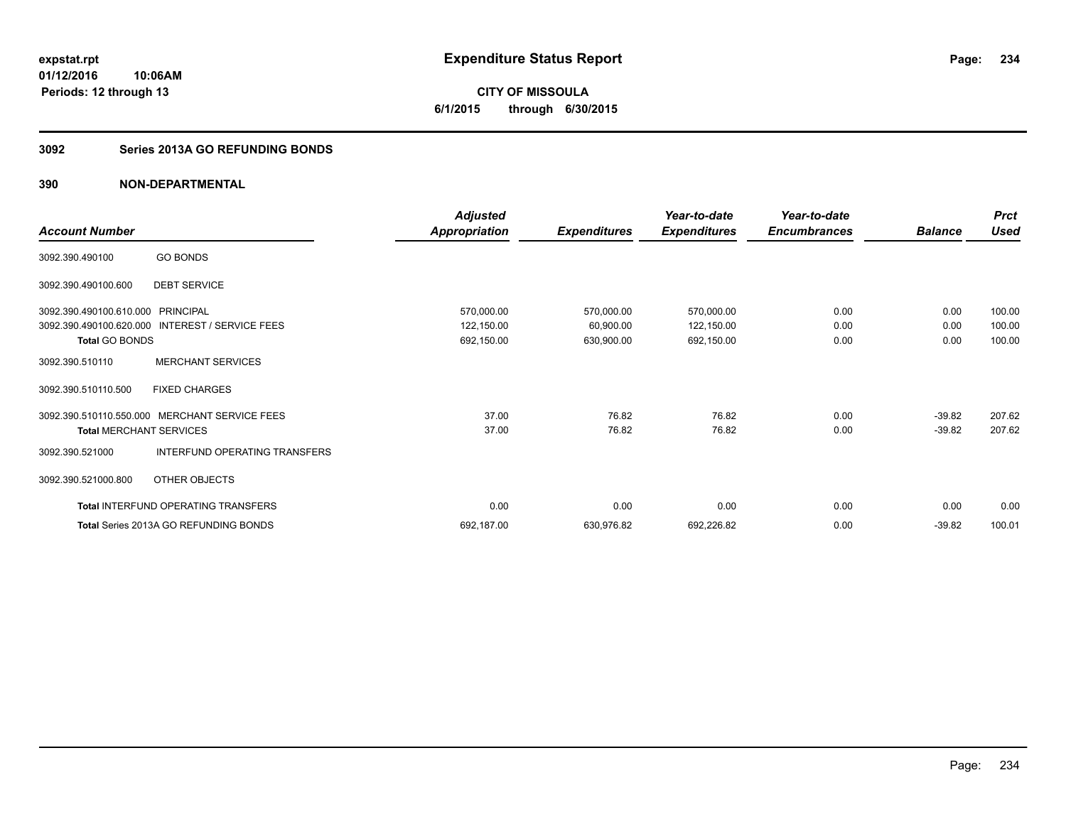**CITY OF MISSOULA 6/1/2015 through 6/30/2015**

#### **3092 Series 2013A GO REFUNDING BONDS**

|                                   |                                                 | <b>Adjusted</b>      |                     | Year-to-date        | Year-to-date        |                | <b>Prct</b> |
|-----------------------------------|-------------------------------------------------|----------------------|---------------------|---------------------|---------------------|----------------|-------------|
| <b>Account Number</b>             |                                                 | <b>Appropriation</b> | <b>Expenditures</b> | <b>Expenditures</b> | <b>Encumbrances</b> | <b>Balance</b> | <b>Used</b> |
| 3092.390.490100                   | <b>GO BONDS</b>                                 |                      |                     |                     |                     |                |             |
| 3092.390.490100.600               | <b>DEBT SERVICE</b>                             |                      |                     |                     |                     |                |             |
| 3092.390.490100.610.000 PRINCIPAL |                                                 | 570,000.00           | 570,000.00          | 570,000.00          | 0.00                | 0.00           | 100.00      |
|                                   | 3092.390.490100.620.000 INTEREST / SERVICE FEES | 122,150.00           | 60,900.00           | 122,150.00          | 0.00                | 0.00           | 100.00      |
| <b>Total GO BONDS</b>             |                                                 | 692,150.00           | 630,900.00          | 692,150.00          | 0.00                | 0.00           | 100.00      |
| 3092.390.510110                   | <b>MERCHANT SERVICES</b>                        |                      |                     |                     |                     |                |             |
| 3092.390.510110.500               | <b>FIXED CHARGES</b>                            |                      |                     |                     |                     |                |             |
| 3092.390.510110.550.000           | <b>MERCHANT SERVICE FEES</b>                    | 37.00                | 76.82               | 76.82               | 0.00                | $-39.82$       | 207.62      |
| <b>Total MERCHANT SERVICES</b>    |                                                 | 37.00                | 76.82               | 76.82               | 0.00                | $-39.82$       | 207.62      |
| 3092.390.521000                   | INTERFUND OPERATING TRANSFERS                   |                      |                     |                     |                     |                |             |
| 3092.390.521000.800               | OTHER OBJECTS                                   |                      |                     |                     |                     |                |             |
|                                   | Total INTERFUND OPERATING TRANSFERS             | 0.00                 | 0.00                | 0.00                | 0.00                | 0.00           | 0.00        |
|                                   | <b>Total Series 2013A GO REFUNDING BONDS</b>    | 692,187.00           | 630,976.82          | 692,226.82          | 0.00                | $-39.82$       | 100.01      |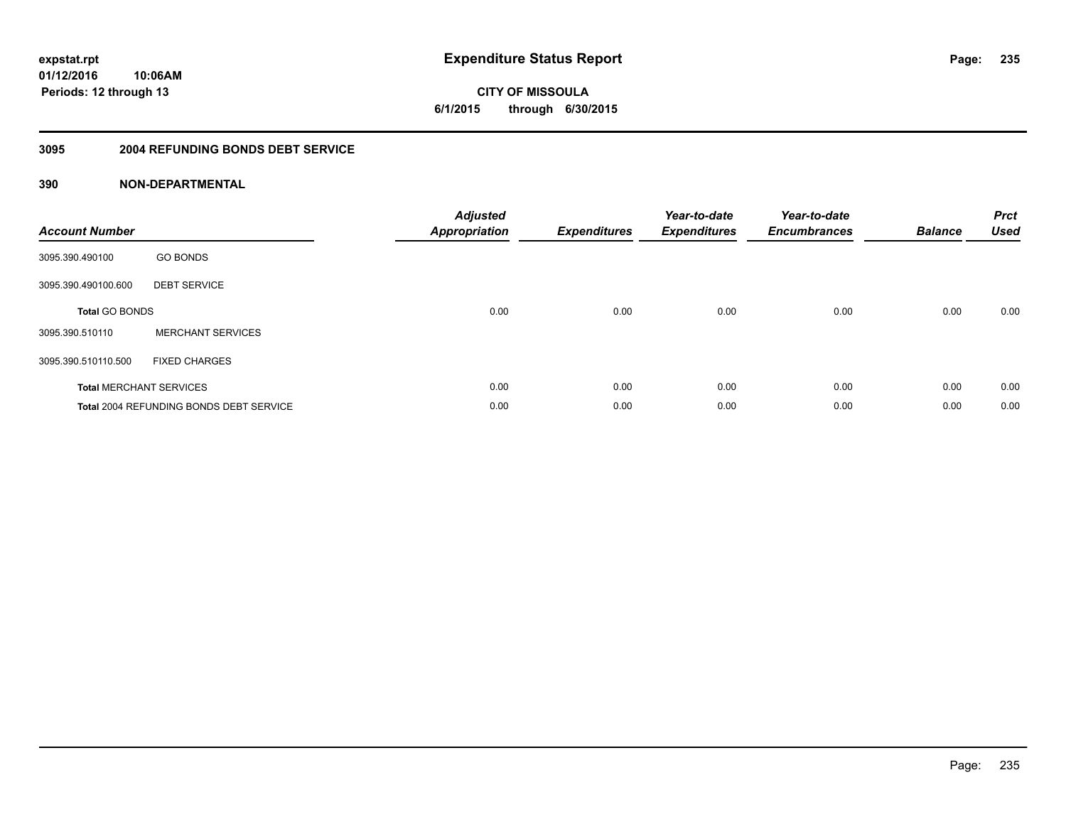**CITY OF MISSOULA 6/1/2015 through 6/30/2015**

#### **3095 2004 REFUNDING BONDS DEBT SERVICE**

| <b>Account Number</b>          |                                                | <b>Adjusted</b><br>Appropriation | <b>Expenditures</b> | Year-to-date<br><b>Expenditures</b> | Year-to-date<br><b>Encumbrances</b> | <b>Balance</b> | <b>Prct</b><br><b>Used</b> |
|--------------------------------|------------------------------------------------|----------------------------------|---------------------|-------------------------------------|-------------------------------------|----------------|----------------------------|
| 3095.390.490100                | <b>GO BONDS</b>                                |                                  |                     |                                     |                                     |                |                            |
| 3095.390.490100.600            | <b>DEBT SERVICE</b>                            |                                  |                     |                                     |                                     |                |                            |
| <b>Total GO BONDS</b>          |                                                | 0.00                             | 0.00                | 0.00                                | 0.00                                | 0.00           | 0.00                       |
| 3095.390.510110                | <b>MERCHANT SERVICES</b>                       |                                  |                     |                                     |                                     |                |                            |
| 3095.390.510110.500            | <b>FIXED CHARGES</b>                           |                                  |                     |                                     |                                     |                |                            |
| <b>Total MERCHANT SERVICES</b> |                                                | 0.00                             | 0.00                | 0.00                                | 0.00                                | 0.00           | 0.00                       |
|                                | <b>Total 2004 REFUNDING BONDS DEBT SERVICE</b> | 0.00                             | 0.00                | 0.00                                | 0.00                                | 0.00           | 0.00                       |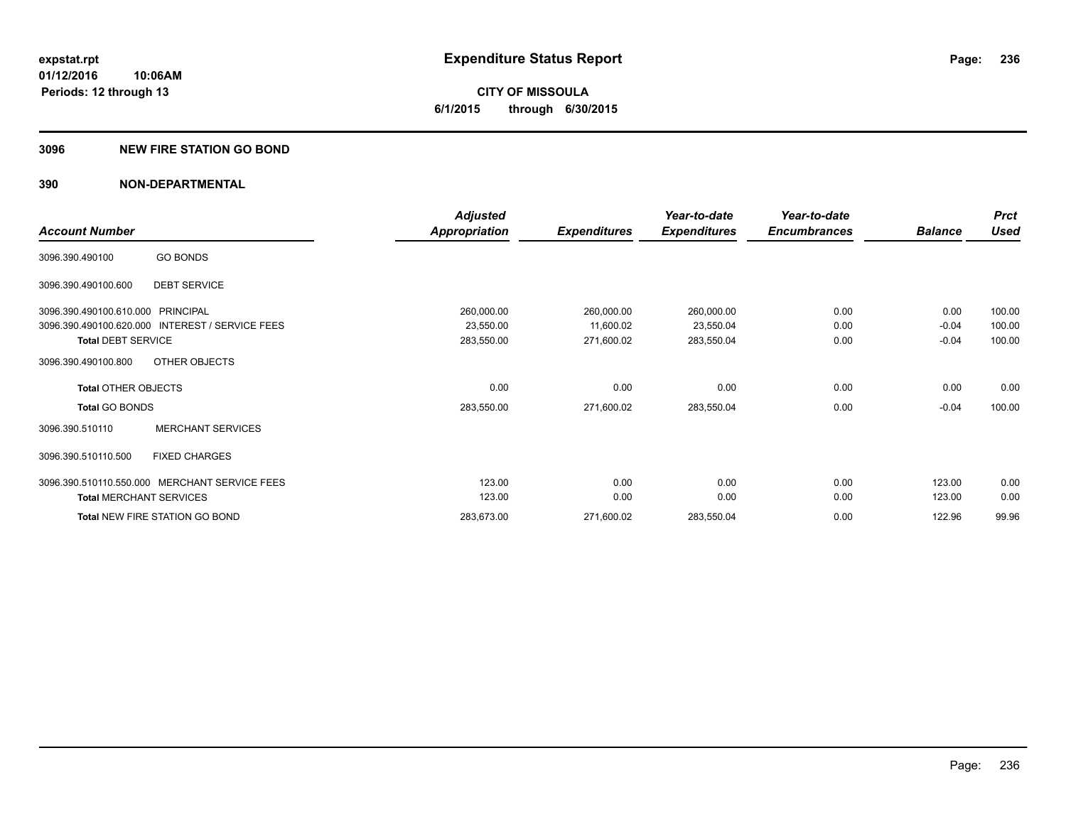**CITY OF MISSOULA 6/1/2015 through 6/30/2015**

#### **3096 NEW FIRE STATION GO BOND**

|                                   |                                               | <b>Adjusted</b>      |                     | Year-to-date        | Year-to-date        |                | <b>Prct</b> |
|-----------------------------------|-----------------------------------------------|----------------------|---------------------|---------------------|---------------------|----------------|-------------|
| <b>Account Number</b>             |                                               | <b>Appropriation</b> | <b>Expenditures</b> | <b>Expenditures</b> | <b>Encumbrances</b> | <b>Balance</b> | <b>Used</b> |
| 3096.390.490100                   | <b>GO BONDS</b>                               |                      |                     |                     |                     |                |             |
| 3096.390.490100.600               | <b>DEBT SERVICE</b>                           |                      |                     |                     |                     |                |             |
| 3096.390.490100.610.000 PRINCIPAL |                                               | 260,000.00           | 260,000.00          | 260,000.00          | 0.00                | 0.00           | 100.00      |
| 3096.390.490100.620.000           | <b>INTEREST / SERVICE FEES</b>                | 23,550.00            | 11,600.02           | 23,550.04           | 0.00                | $-0.04$        | 100.00      |
| <b>Total DEBT SERVICE</b>         |                                               | 283,550.00           | 271,600.02          | 283,550.04          | 0.00                | $-0.04$        | 100.00      |
| 3096.390.490100.800               | OTHER OBJECTS                                 |                      |                     |                     |                     |                |             |
| <b>Total OTHER OBJECTS</b>        |                                               | 0.00                 | 0.00                | 0.00                | 0.00                | 0.00           | 0.00        |
| <b>Total GO BONDS</b>             |                                               | 283,550.00           | 271,600.02          | 283,550.04          | 0.00                | $-0.04$        | 100.00      |
| 3096.390.510110                   | <b>MERCHANT SERVICES</b>                      |                      |                     |                     |                     |                |             |
| 3096.390.510110.500               | <b>FIXED CHARGES</b>                          |                      |                     |                     |                     |                |             |
|                                   | 3096.390.510110.550.000 MERCHANT SERVICE FEES | 123.00               | 0.00                | 0.00                | 0.00                | 123.00         | 0.00        |
| <b>Total MERCHANT SERVICES</b>    |                                               | 123.00               | 0.00                | 0.00                | 0.00                | 123.00         | 0.00        |
|                                   | Total NEW FIRE STATION GO BOND                | 283,673.00           | 271,600.02          | 283,550.04          | 0.00                | 122.96         | 99.96       |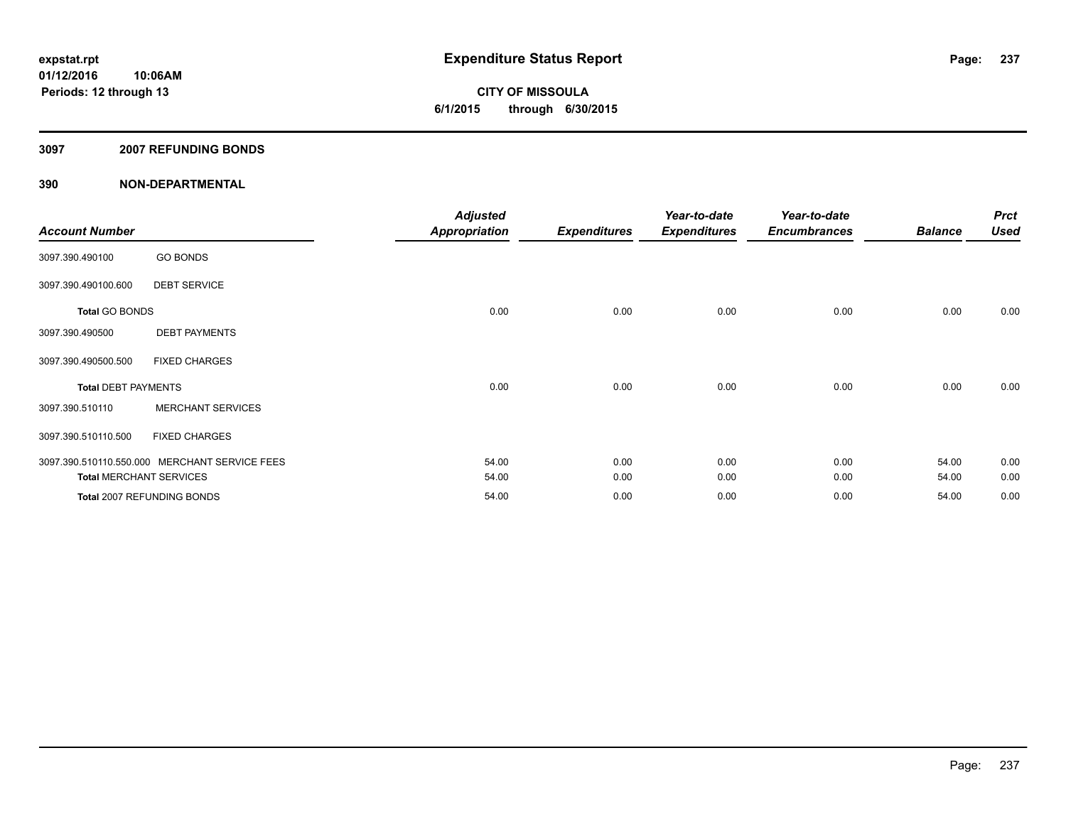#### **3097 2007 REFUNDING BONDS**

| <b>Account Number</b>          |                                               | <b>Adjusted</b><br><b>Appropriation</b> | <b>Expenditures</b> | Year-to-date<br><b>Expenditures</b> | Year-to-date<br><b>Encumbrances</b> | <b>Balance</b> | <b>Prct</b><br><b>Used</b> |
|--------------------------------|-----------------------------------------------|-----------------------------------------|---------------------|-------------------------------------|-------------------------------------|----------------|----------------------------|
| 3097.390.490100                | <b>GO BONDS</b>                               |                                         |                     |                                     |                                     |                |                            |
| 3097.390.490100.600            | <b>DEBT SERVICE</b>                           |                                         |                     |                                     |                                     |                |                            |
| <b>Total GO BONDS</b>          |                                               | 0.00                                    | 0.00                | 0.00                                | 0.00                                | 0.00           | 0.00                       |
| 3097.390.490500                | <b>DEBT PAYMENTS</b>                          |                                         |                     |                                     |                                     |                |                            |
| 3097.390.490500.500            | <b>FIXED CHARGES</b>                          |                                         |                     |                                     |                                     |                |                            |
| <b>Total DEBT PAYMENTS</b>     |                                               | 0.00                                    | 0.00                | 0.00                                | 0.00                                | 0.00           | 0.00                       |
| 3097.390.510110                | <b>MERCHANT SERVICES</b>                      |                                         |                     |                                     |                                     |                |                            |
| 3097.390.510110.500            | <b>FIXED CHARGES</b>                          |                                         |                     |                                     |                                     |                |                            |
|                                | 3097.390.510110.550.000 MERCHANT SERVICE FEES | 54.00                                   | 0.00                | 0.00                                | 0.00                                | 54.00          | 0.00                       |
| <b>Total MERCHANT SERVICES</b> |                                               | 54.00                                   | 0.00                | 0.00                                | 0.00                                | 54.00          | 0.00                       |
|                                | Total 2007 REFUNDING BONDS                    | 54.00                                   | 0.00                | 0.00                                | 0.00                                | 54.00          | 0.00                       |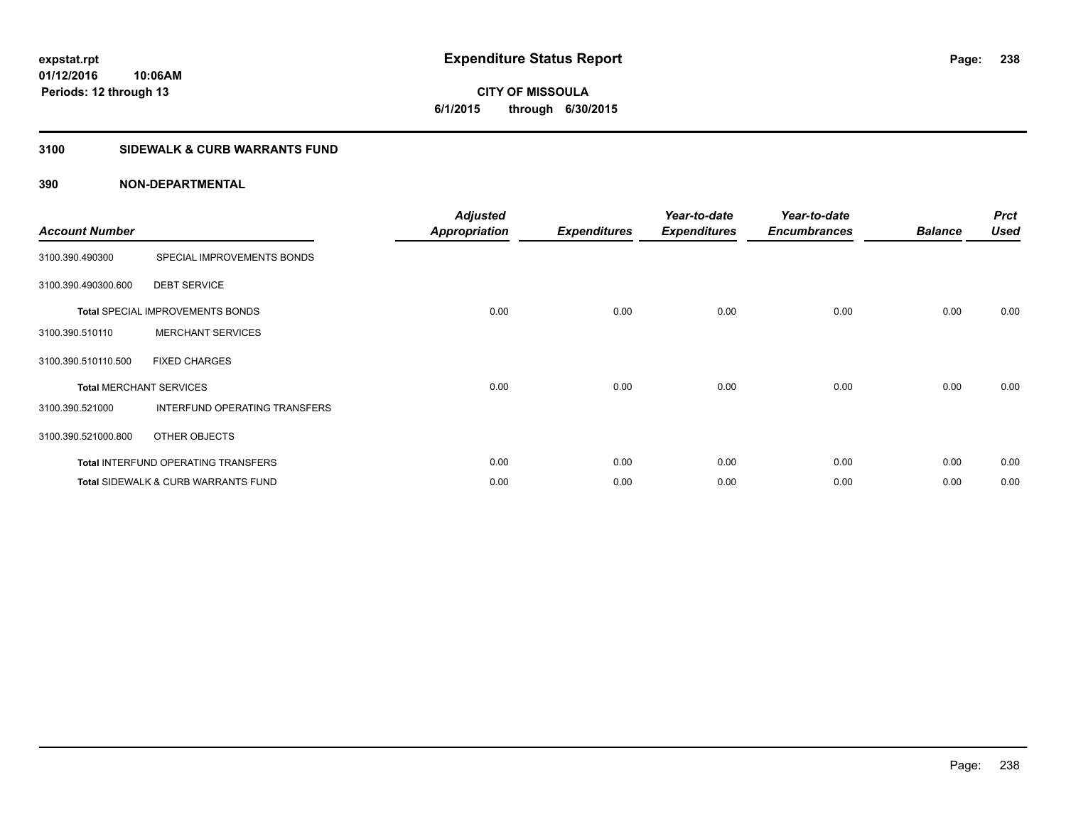# **CITY OF MISSOULA 6/1/2015 through 6/30/2015**

## **3100 SIDEWALK & CURB WARRANTS FUND**

| <b>Account Number</b>          |                                            | <b>Adjusted</b><br><b>Appropriation</b> | <b>Expenditures</b> | Year-to-date<br><b>Expenditures</b> | Year-to-date<br><b>Encumbrances</b> | <b>Balance</b> | <b>Prct</b><br><b>Used</b> |
|--------------------------------|--------------------------------------------|-----------------------------------------|---------------------|-------------------------------------|-------------------------------------|----------------|----------------------------|
| 3100.390.490300                | SPECIAL IMPROVEMENTS BONDS                 |                                         |                     |                                     |                                     |                |                            |
| 3100.390.490300.600            | <b>DEBT SERVICE</b>                        |                                         |                     |                                     |                                     |                |                            |
|                                | <b>Total SPECIAL IMPROVEMENTS BONDS</b>    | 0.00                                    | 0.00                | 0.00                                | 0.00                                | 0.00           | 0.00                       |
| 3100.390.510110                | <b>MERCHANT SERVICES</b>                   |                                         |                     |                                     |                                     |                |                            |
| 3100.390.510110.500            | <b>FIXED CHARGES</b>                       |                                         |                     |                                     |                                     |                |                            |
| <b>Total MERCHANT SERVICES</b> |                                            | 0.00                                    | 0.00                | 0.00                                | 0.00                                | 0.00           | 0.00                       |
| 3100.390.521000                | INTERFUND OPERATING TRANSFERS              |                                         |                     |                                     |                                     |                |                            |
| 3100.390.521000.800            | OTHER OBJECTS                              |                                         |                     |                                     |                                     |                |                            |
|                                | <b>Total INTERFUND OPERATING TRANSFERS</b> | 0.00                                    | 0.00                | 0.00                                | 0.00                                | 0.00           | 0.00                       |
|                                | Total SIDEWALK & CURB WARRANTS FUND        | 0.00                                    | 0.00                | 0.00                                | 0.00                                | 0.00           | 0.00                       |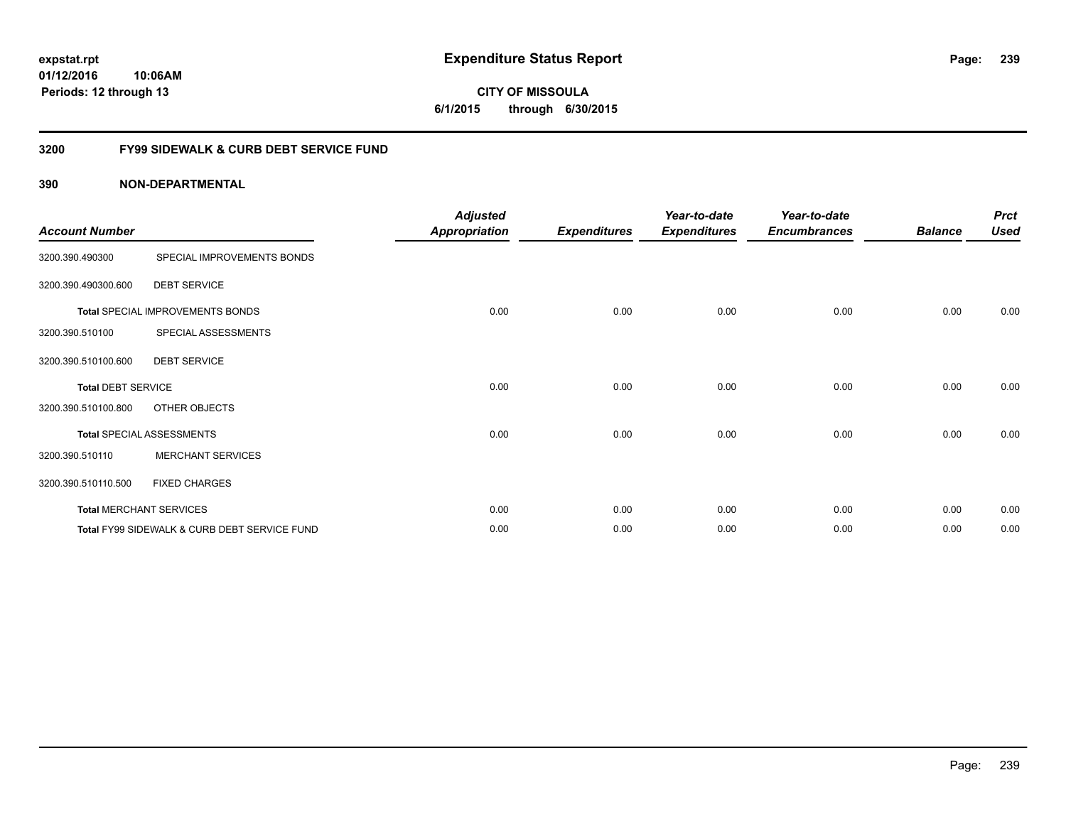**CITY OF MISSOULA 6/1/2015 through 6/30/2015**

## **3200 FY99 SIDEWALK & CURB DEBT SERVICE FUND**

| <b>Account Number</b>     |                                              | <b>Adjusted</b><br><b>Appropriation</b> | <b>Expenditures</b> | Year-to-date<br><b>Expenditures</b> | Year-to-date<br><b>Encumbrances</b> | <b>Balance</b> | <b>Prct</b><br><b>Used</b> |
|---------------------------|----------------------------------------------|-----------------------------------------|---------------------|-------------------------------------|-------------------------------------|----------------|----------------------------|
| 3200.390.490300           | SPECIAL IMPROVEMENTS BONDS                   |                                         |                     |                                     |                                     |                |                            |
| 3200.390.490300.600       | <b>DEBT SERVICE</b>                          |                                         |                     |                                     |                                     |                |                            |
|                           | Total SPECIAL IMPROVEMENTS BONDS             | 0.00                                    | 0.00                | 0.00                                | 0.00                                | 0.00           | 0.00                       |
| 3200.390.510100           | SPECIAL ASSESSMENTS                          |                                         |                     |                                     |                                     |                |                            |
| 3200.390.510100.600       | <b>DEBT SERVICE</b>                          |                                         |                     |                                     |                                     |                |                            |
| <b>Total DEBT SERVICE</b> |                                              | 0.00                                    | 0.00                | 0.00                                | 0.00                                | 0.00           | 0.00                       |
| 3200.390.510100.800       | OTHER OBJECTS                                |                                         |                     |                                     |                                     |                |                            |
|                           | <b>Total SPECIAL ASSESSMENTS</b>             | 0.00                                    | 0.00                | 0.00                                | 0.00                                | 0.00           | 0.00                       |
| 3200.390.510110           | <b>MERCHANT SERVICES</b>                     |                                         |                     |                                     |                                     |                |                            |
| 3200.390.510110.500       | <b>FIXED CHARGES</b>                         |                                         |                     |                                     |                                     |                |                            |
|                           | <b>Total MERCHANT SERVICES</b>               | 0.00                                    | 0.00                | 0.00                                | 0.00                                | 0.00           | 0.00                       |
|                           | Total FY99 SIDEWALK & CURB DEBT SERVICE FUND | 0.00                                    | 0.00                | 0.00                                | 0.00                                | 0.00           | 0.00                       |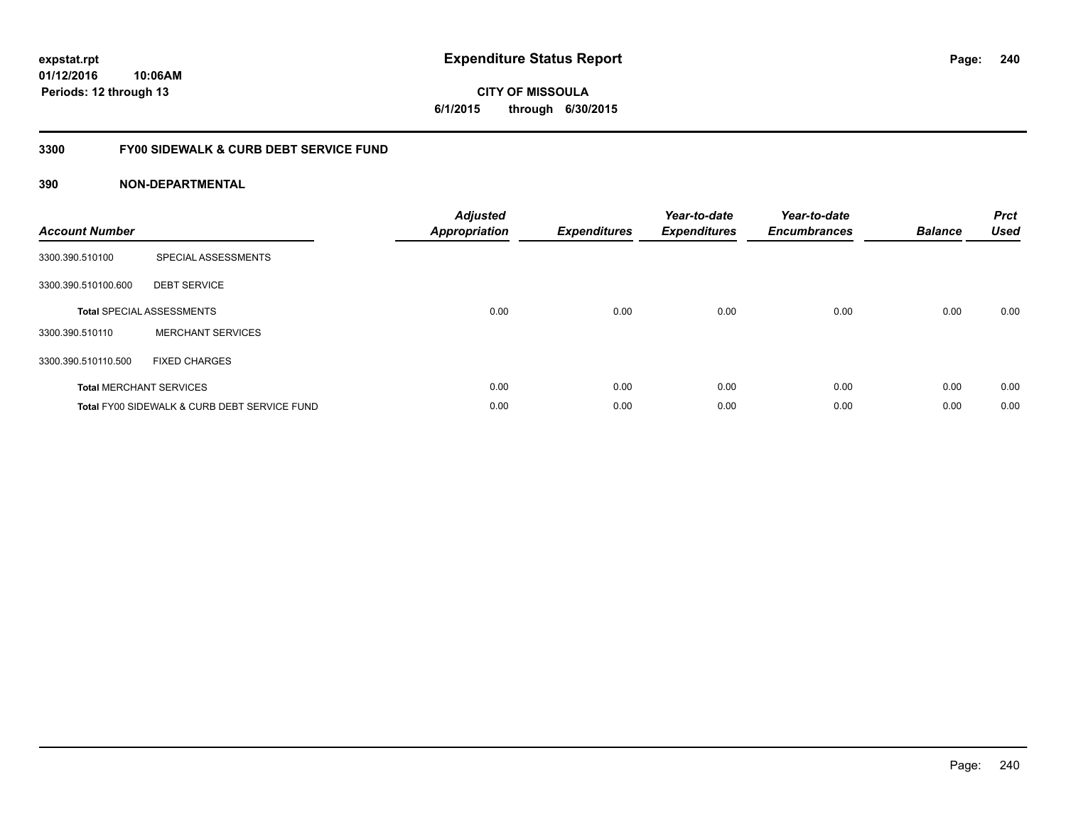## **3300 FY00 SIDEWALK & CURB DEBT SERVICE FUND**

| <b>Account Number</b> |                                              | <b>Adjusted</b><br><b>Appropriation</b> | <b>Expenditures</b> | Year-to-date<br><b>Expenditures</b> | Year-to-date<br><b>Encumbrances</b> | <b>Balance</b> | <b>Prct</b><br><b>Used</b> |
|-----------------------|----------------------------------------------|-----------------------------------------|---------------------|-------------------------------------|-------------------------------------|----------------|----------------------------|
| 3300.390.510100       | SPECIAL ASSESSMENTS                          |                                         |                     |                                     |                                     |                |                            |
| 3300.390.510100.600   | <b>DEBT SERVICE</b>                          |                                         |                     |                                     |                                     |                |                            |
|                       | <b>Total SPECIAL ASSESSMENTS</b>             | 0.00                                    | 0.00                | 0.00                                | 0.00                                | 0.00           | 0.00                       |
| 3300.390.510110       | <b>MERCHANT SERVICES</b>                     |                                         |                     |                                     |                                     |                |                            |
| 3300.390.510110.500   | <b>FIXED CHARGES</b>                         |                                         |                     |                                     |                                     |                |                            |
|                       | <b>Total MERCHANT SERVICES</b>               | 0.00                                    | 0.00                | 0.00                                | 0.00                                | 0.00           | 0.00                       |
|                       | Total FY00 SIDEWALK & CURB DEBT SERVICE FUND | 0.00                                    | 0.00                | 0.00                                | 0.00                                | 0.00           | 0.00                       |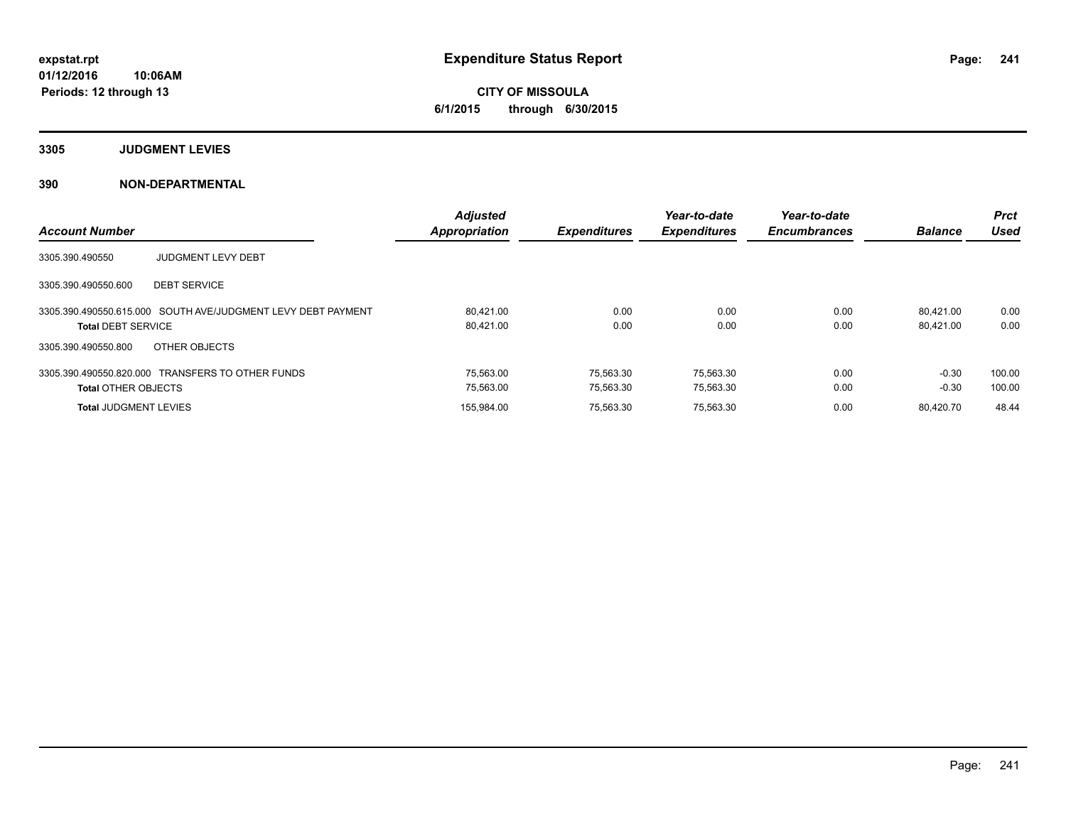**3305 JUDGMENT LEVIES**

|                                                              | <b>Adjusted</b>      |                     | Year-to-date        | Year-to-date        |                | <b>Prct</b> |
|--------------------------------------------------------------|----------------------|---------------------|---------------------|---------------------|----------------|-------------|
| <b>Account Number</b>                                        | <b>Appropriation</b> | <b>Expenditures</b> | <b>Expenditures</b> | <b>Encumbrances</b> | <b>Balance</b> | Used        |
| 3305.390.490550<br><b>JUDGMENT LEVY DEBT</b>                 |                      |                     |                     |                     |                |             |
| <b>DEBT SERVICE</b><br>3305.390.490550.600                   |                      |                     |                     |                     |                |             |
| 3305.390.490550.615.000 SOUTH AVE/JUDGMENT LEVY DEBT PAYMENT | 80.421.00            | 0.00                | 0.00                | 0.00                | 80.421.00      | 0.00        |
| <b>Total DEBT SERVICE</b>                                    | 80,421.00            | 0.00                | 0.00                | 0.00                | 80.421.00      | 0.00        |
| OTHER OBJECTS<br>3305.390.490550.800                         |                      |                     |                     |                     |                |             |
| 3305.390.490550.820.000 TRANSFERS TO OTHER FUNDS             | 75.563.00            | 75.563.30           | 75.563.30           | 0.00                | $-0.30$        | 100.00      |
| <b>Total OTHER OBJECTS</b>                                   | 75.563.00            | 75,563.30           | 75,563.30           | 0.00                | $-0.30$        | 100.00      |
| <b>Total JUDGMENT LEVIES</b>                                 | 155,984.00           | 75.563.30           | 75,563.30           | 0.00                | 80.420.70      | 48.44       |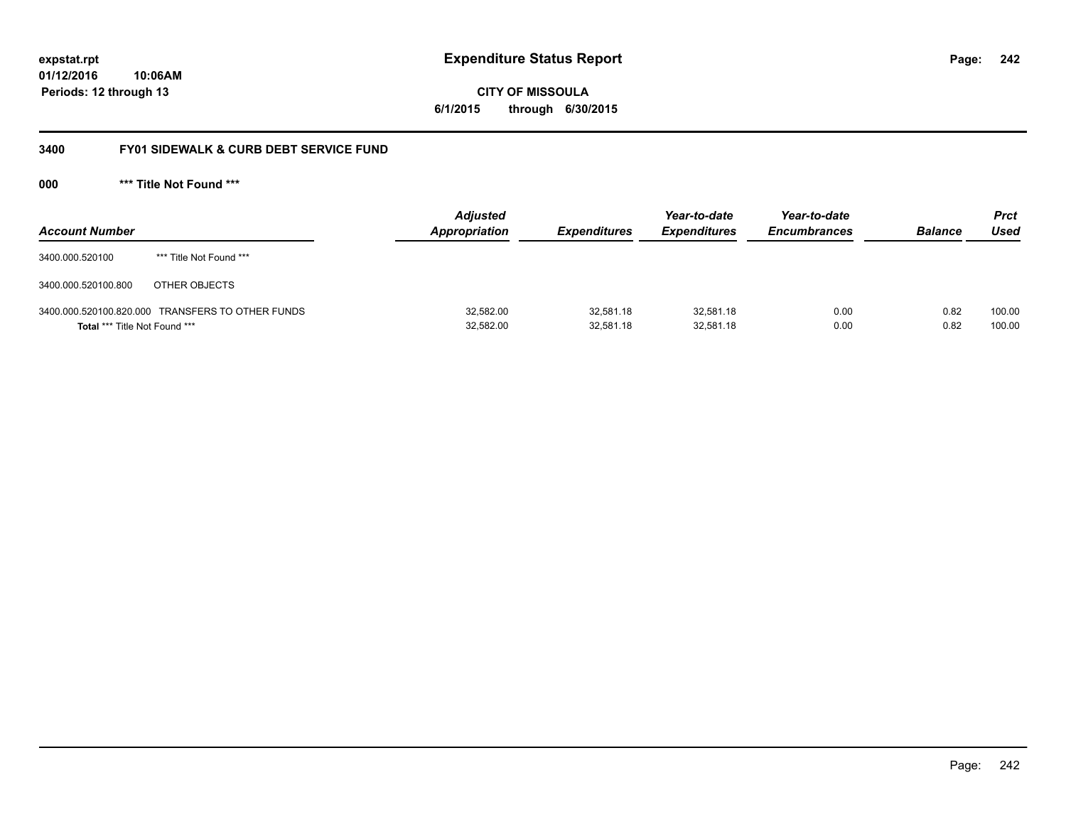**CITY OF MISSOULA 6/1/2015 through 6/30/2015**

## **3400 FY01 SIDEWALK & CURB DEBT SERVICE FUND**

**000 \*\*\* Title Not Found \*\*\***

| <b>Account Number</b>         |                                                  | <b>Adjusted</b><br><b>Appropriation</b> | <b>Expenditures</b>    | Year-to-date<br><b>Expenditures</b> | Year-to-date<br><b>Encumbrances</b> | <b>Balance</b> | Prct<br>Used     |
|-------------------------------|--------------------------------------------------|-----------------------------------------|------------------------|-------------------------------------|-------------------------------------|----------------|------------------|
| 3400.000.520100               | *** Title Not Found ***                          |                                         |                        |                                     |                                     |                |                  |
| 3400.000.520100.800           | OTHER OBJECTS                                    |                                         |                        |                                     |                                     |                |                  |
| Total *** Title Not Found *** | 3400.000.520100.820.000 TRANSFERS TO OTHER FUNDS | 32,582.00<br>32,582.00                  | 32,581.18<br>32,581.18 | 32,581.18<br>32,581.18              | 0.00<br>0.00                        | 0.82<br>0.82   | 100.00<br>100.00 |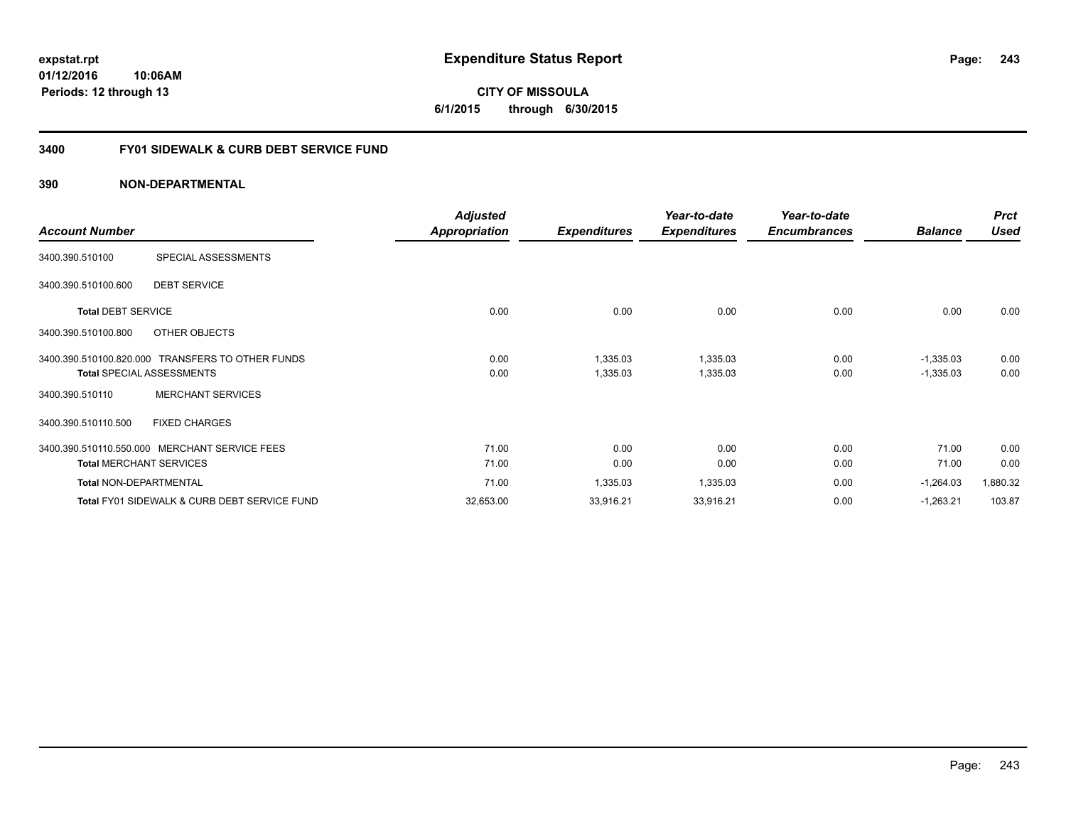## **3400 FY01 SIDEWALK & CURB DEBT SERVICE FUND**

|                               |                                                         | <b>Adjusted</b> |                     | Year-to-date        | Year-to-date        |                | <b>Prct</b> |
|-------------------------------|---------------------------------------------------------|-----------------|---------------------|---------------------|---------------------|----------------|-------------|
| <b>Account Number</b>         |                                                         | Appropriation   | <b>Expenditures</b> | <b>Expenditures</b> | <b>Encumbrances</b> | <b>Balance</b> | <b>Used</b> |
| 3400.390.510100               | SPECIAL ASSESSMENTS                                     |                 |                     |                     |                     |                |             |
| 3400.390.510100.600           | <b>DEBT SERVICE</b>                                     |                 |                     |                     |                     |                |             |
| <b>Total DEBT SERVICE</b>     |                                                         | 0.00            | 0.00                | 0.00                | 0.00                | 0.00           | 0.00        |
| 3400.390.510100.800           | OTHER OBJECTS                                           |                 |                     |                     |                     |                |             |
|                               | 3400.390.510100.820.000 TRANSFERS TO OTHER FUNDS        | 0.00            | 1,335.03            | 1,335.03            | 0.00                | $-1,335.03$    | 0.00        |
|                               | <b>Total SPECIAL ASSESSMENTS</b>                        | 0.00            | 1,335.03            | 1,335.03            | 0.00                | $-1,335.03$    | 0.00        |
| 3400.390.510110               | <b>MERCHANT SERVICES</b>                                |                 |                     |                     |                     |                |             |
| 3400.390.510110.500           | <b>FIXED CHARGES</b>                                    |                 |                     |                     |                     |                |             |
|                               | 3400.390.510110.550.000 MERCHANT SERVICE FEES           | 71.00           | 0.00                | 0.00                | 0.00                | 71.00          | 0.00        |
|                               | <b>Total MERCHANT SERVICES</b>                          | 71.00           | 0.00                | 0.00                | 0.00                | 71.00          | 0.00        |
| <b>Total NON-DEPARTMENTAL</b> |                                                         | 71.00           | 1,335.03            | 1,335.03            | 0.00                | $-1,264.03$    | 1,880.32    |
|                               | <b>Total FY01 SIDEWALK &amp; CURB DEBT SERVICE FUND</b> | 32,653.00       | 33,916.21           | 33,916.21           | 0.00                | $-1,263.21$    | 103.87      |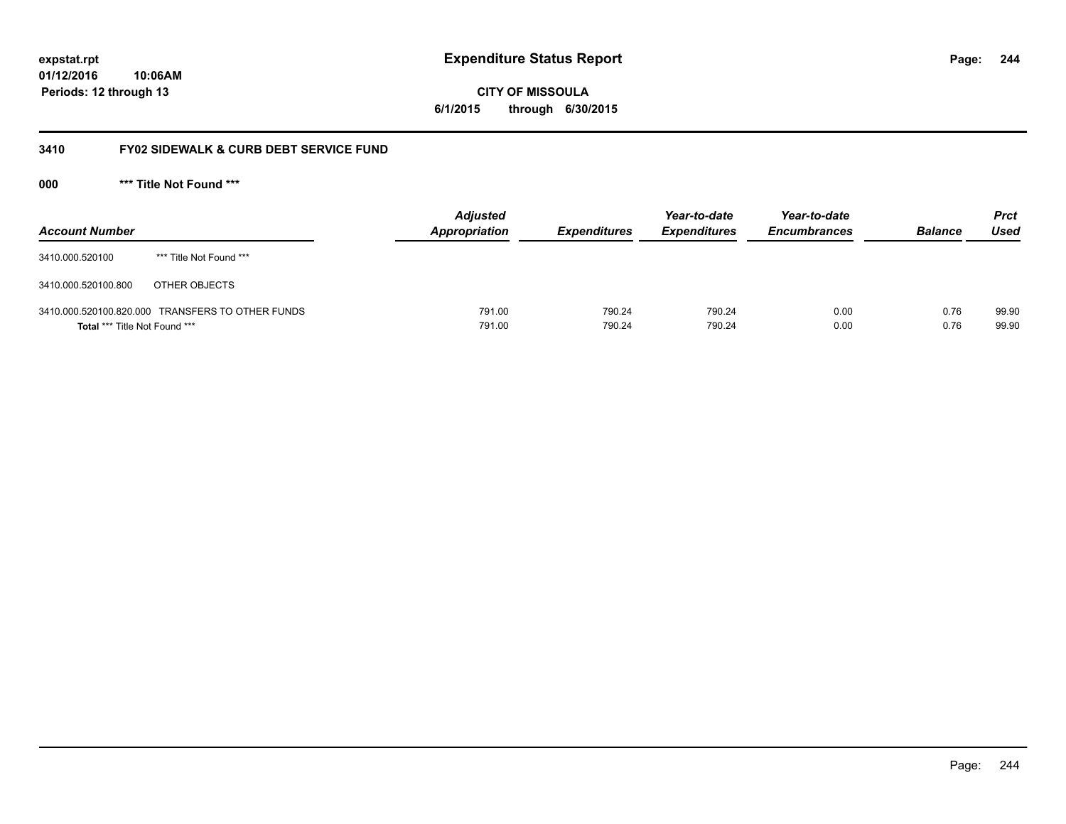**CITY OF MISSOULA 6/1/2015 through 6/30/2015**

## **3410 FY02 SIDEWALK & CURB DEBT SERVICE FUND**

**000 \*\*\* Title Not Found \*\*\***

| <b>Account Number</b>                |                                                  | <b>Adjusted</b><br>Appropriation | <i><b>Expenditures</b></i> | Year-to-date<br><b>Expenditures</b> | Year-to-date<br><b>Encumbrances</b> | <b>Balance</b> | <b>Prct</b><br>Used |
|--------------------------------------|--------------------------------------------------|----------------------------------|----------------------------|-------------------------------------|-------------------------------------|----------------|---------------------|
| 3410.000.520100                      | *** Title Not Found ***                          |                                  |                            |                                     |                                     |                |                     |
| 3410.000.520100.800                  | OTHER OBJECTS                                    |                                  |                            |                                     |                                     |                |                     |
| <b>Total *** Title Not Found ***</b> | 3410.000.520100.820.000 TRANSFERS TO OTHER FUNDS | 791.00<br>791.00                 | 790.24<br>790.24           | 790.24<br>790.24                    | 0.00<br>0.00                        | 0.76<br>0.76   | 99.90<br>99.90      |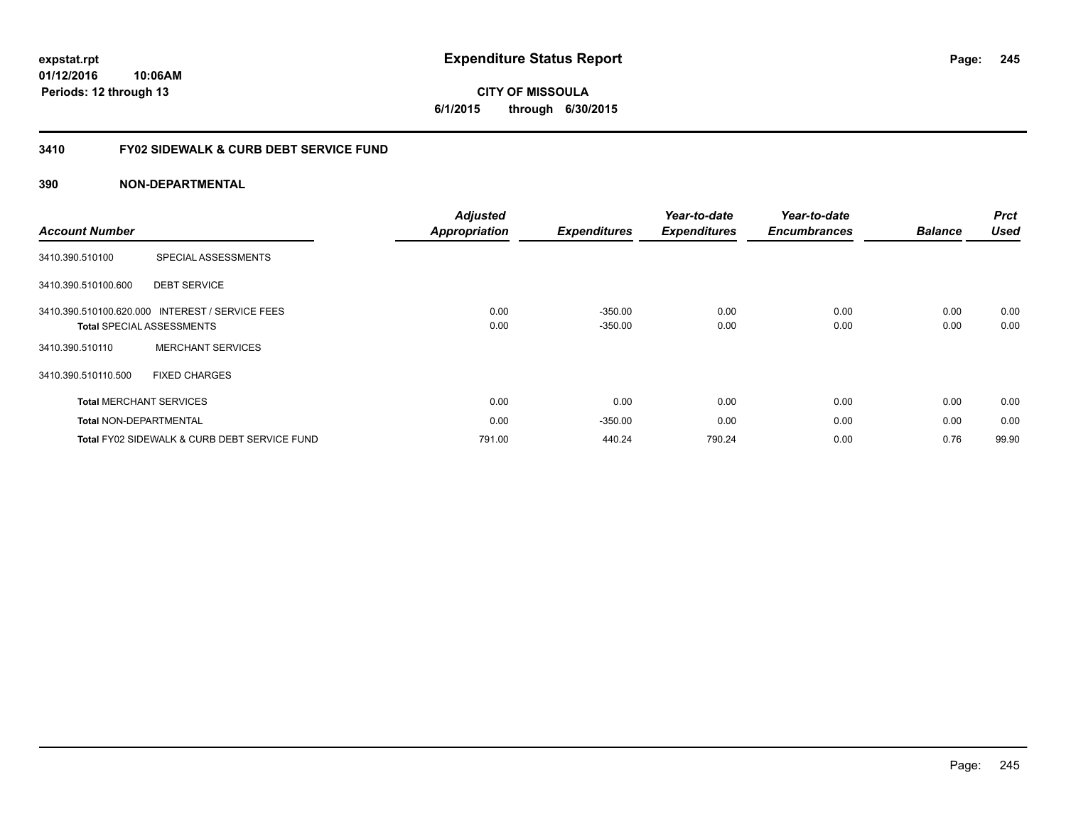## **3410 FY02 SIDEWALK & CURB DEBT SERVICE FUND**

## **390 NON-DEPARTMENTAL**

| <b>Account Number</b>          |                                                                                     | <b>Adjusted</b><br>Appropriation | <b>Expenditures</b>    | Year-to-date<br><b>Expenditures</b> | Year-to-date<br><b>Encumbrances</b> | <b>Balance</b> | <b>Prct</b><br><b>Used</b> |
|--------------------------------|-------------------------------------------------------------------------------------|----------------------------------|------------------------|-------------------------------------|-------------------------------------|----------------|----------------------------|
| 3410.390.510100                | SPECIAL ASSESSMENTS                                                                 |                                  |                        |                                     |                                     |                |                            |
| 3410.390.510100.600            | <b>DEBT SERVICE</b>                                                                 |                                  |                        |                                     |                                     |                |                            |
|                                | 3410.390.510100.620.000 INTEREST / SERVICE FEES<br><b>Total SPECIAL ASSESSMENTS</b> | 0.00<br>0.00                     | $-350.00$<br>$-350.00$ | 0.00<br>0.00                        | 0.00<br>0.00                        | 0.00<br>0.00   | 0.00<br>0.00               |
| 3410.390.510110                | <b>MERCHANT SERVICES</b>                                                            |                                  |                        |                                     |                                     |                |                            |
| 3410.390.510110.500            | <b>FIXED CHARGES</b>                                                                |                                  |                        |                                     |                                     |                |                            |
| <b>Total MERCHANT SERVICES</b> |                                                                                     | 0.00                             | 0.00                   | 0.00                                | 0.00                                | 0.00           | 0.00                       |
| <b>Total NON-DEPARTMENTAL</b>  |                                                                                     | 0.00                             | $-350.00$              | 0.00                                | 0.00                                | 0.00           | 0.00                       |
|                                | Total FY02 SIDEWALK & CURB DEBT SERVICE FUND                                        | 791.00                           | 440.24                 | 790.24                              | 0.00                                | 0.76           | 99.90                      |

**245**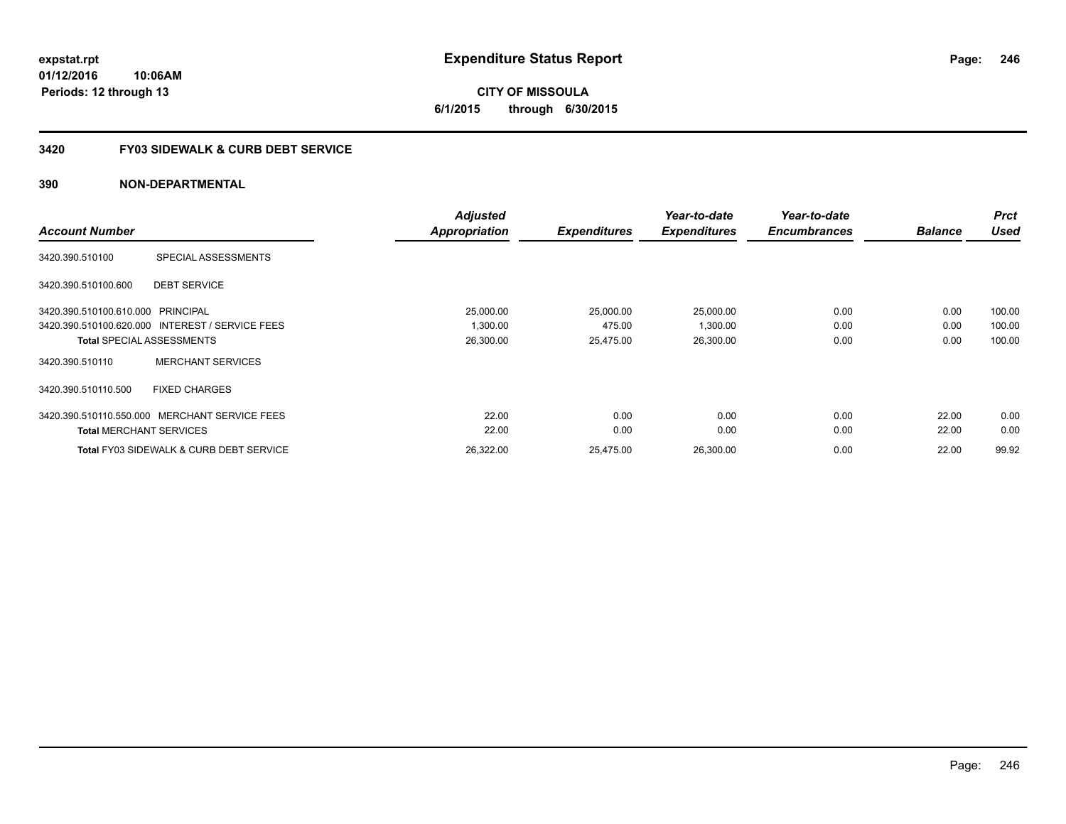## **3420 FY03 SIDEWALK & CURB DEBT SERVICE**

|                                   |                                                    | <b>Adjusted</b>      |                     | Year-to-date        | Year-to-date        |                | <b>Prct</b> |
|-----------------------------------|----------------------------------------------------|----------------------|---------------------|---------------------|---------------------|----------------|-------------|
| <b>Account Number</b>             |                                                    | <b>Appropriation</b> | <b>Expenditures</b> | <b>Expenditures</b> | <b>Encumbrances</b> | <b>Balance</b> | <b>Used</b> |
| 3420.390.510100                   | SPECIAL ASSESSMENTS                                |                      |                     |                     |                     |                |             |
| 3420.390.510100.600               | <b>DEBT SERVICE</b>                                |                      |                     |                     |                     |                |             |
| 3420.390.510100.610.000 PRINCIPAL |                                                    | 25,000.00            | 25,000.00           | 25,000.00           | 0.00                | 0.00           | 100.00      |
|                                   | 3420.390.510100.620.000 INTEREST / SERVICE FEES    | 1,300.00             | 475.00              | 1,300.00            | 0.00                | 0.00           | 100.00      |
|                                   | <b>Total SPECIAL ASSESSMENTS</b>                   | 26,300.00            | 25,475.00           | 26,300.00           | 0.00                | 0.00           | 100.00      |
| 3420.390.510110                   | <b>MERCHANT SERVICES</b>                           |                      |                     |                     |                     |                |             |
| 3420.390.510110.500               | <b>FIXED CHARGES</b>                               |                      |                     |                     |                     |                |             |
|                                   | 3420.390.510110.550.000 MERCHANT SERVICE FEES      | 22.00                | 0.00                | 0.00                | 0.00                | 22.00          | 0.00        |
| <b>Total MERCHANT SERVICES</b>    |                                                    | 22.00                | 0.00                | 0.00                | 0.00                | 22.00          | 0.00        |
|                                   | <b>Total FY03 SIDEWALK &amp; CURB DEBT SERVICE</b> | 26,322.00            | 25,475.00           | 26,300.00           | 0.00                | 22.00          | 99.92       |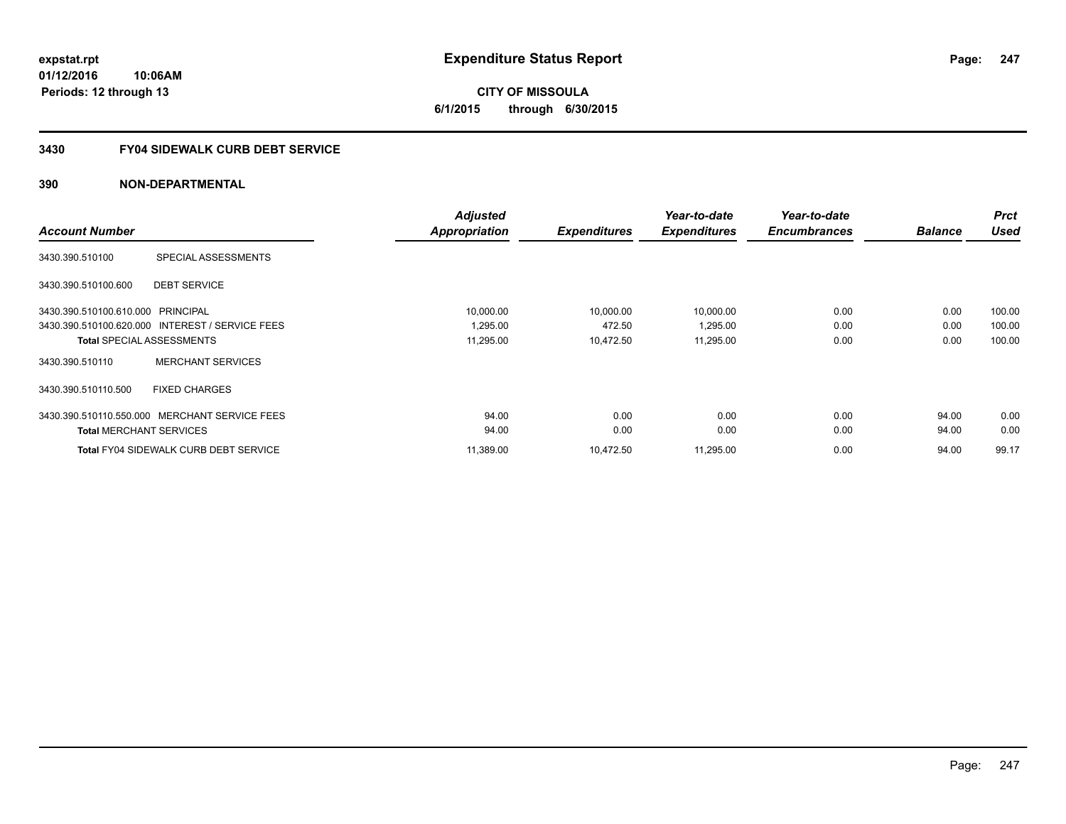# **CITY OF MISSOULA 6/1/2015 through 6/30/2015**

## **3430 FY04 SIDEWALK CURB DEBT SERVICE**

|                                   |                                                 | <b>Adjusted</b> |                     | Year-to-date        | Year-to-date        |                | <b>Prct</b> |
|-----------------------------------|-------------------------------------------------|-----------------|---------------------|---------------------|---------------------|----------------|-------------|
| <b>Account Number</b>             |                                                 | Appropriation   | <b>Expenditures</b> | <b>Expenditures</b> | <b>Encumbrances</b> | <b>Balance</b> | <b>Used</b> |
| 3430.390.510100                   | SPECIAL ASSESSMENTS                             |                 |                     |                     |                     |                |             |
| 3430.390.510100.600               | <b>DEBT SERVICE</b>                             |                 |                     |                     |                     |                |             |
| 3430.390.510100.610.000 PRINCIPAL |                                                 | 10,000.00       | 10,000.00           | 10,000.00           | 0.00                | 0.00           | 100.00      |
|                                   | 3430.390.510100.620.000 INTEREST / SERVICE FEES | 1,295.00        | 472.50              | 1,295.00            | 0.00                | 0.00           | 100.00      |
| <b>Total SPECIAL ASSESSMENTS</b>  |                                                 | 11,295.00       | 10,472.50           | 11,295.00           | 0.00                | 0.00           | 100.00      |
| 3430.390.510110                   | <b>MERCHANT SERVICES</b>                        |                 |                     |                     |                     |                |             |
| 3430.390.510110.500               | <b>FIXED CHARGES</b>                            |                 |                     |                     |                     |                |             |
|                                   | 3430.390.510110.550.000 MERCHANT SERVICE FEES   | 94.00           | 0.00                | 0.00                | 0.00                | 94.00          | 0.00        |
| <b>Total MERCHANT SERVICES</b>    |                                                 | 94.00           | 0.00                | 0.00                | 0.00                | 94.00          | 0.00        |
|                                   | <b>Total FY04 SIDEWALK CURB DEBT SERVICE</b>    | 11,389.00       | 10,472.50           | 11,295.00           | 0.00                | 94.00          | 99.17       |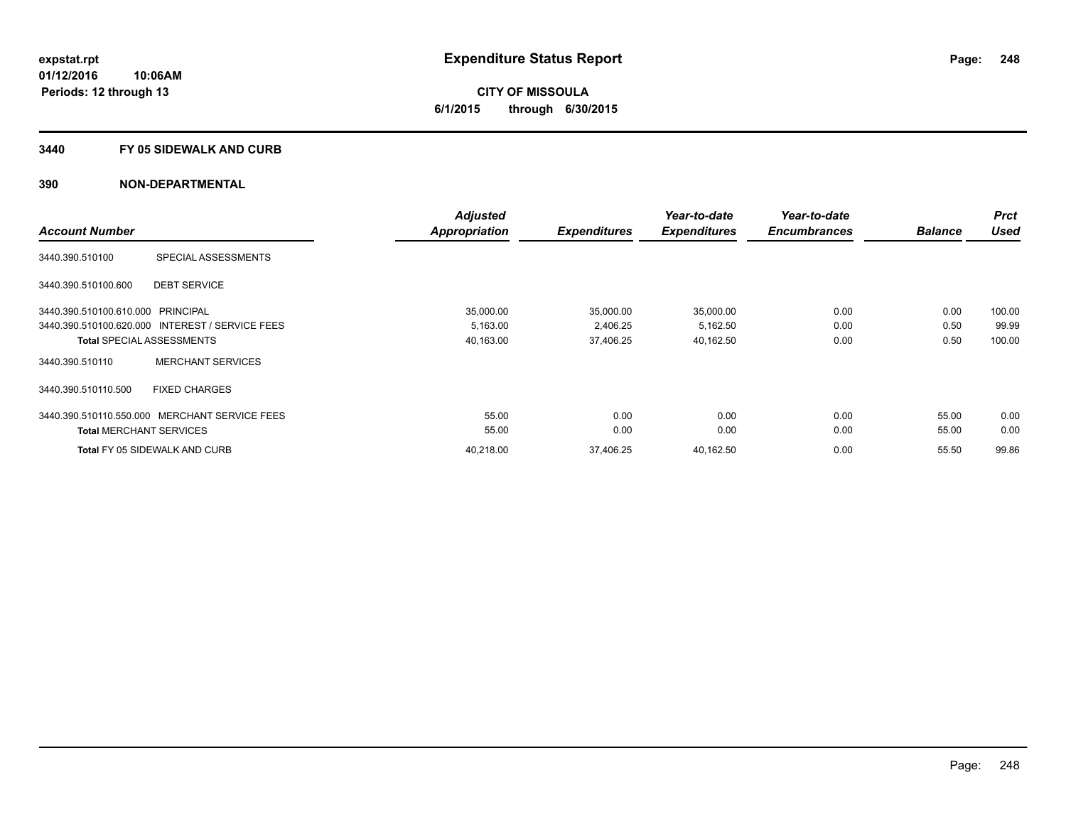#### **3440 FY 05 SIDEWALK AND CURB**

|                                   |                                                 | <b>Adjusted</b>      |                     | Year-to-date        | Year-to-date        |                | <b>Prct</b> |
|-----------------------------------|-------------------------------------------------|----------------------|---------------------|---------------------|---------------------|----------------|-------------|
| <b>Account Number</b>             |                                                 | <b>Appropriation</b> | <b>Expenditures</b> | <b>Expenditures</b> | <b>Encumbrances</b> | <b>Balance</b> | <b>Used</b> |
| 3440.390.510100                   | SPECIAL ASSESSMENTS                             |                      |                     |                     |                     |                |             |
| 3440.390.510100.600               | <b>DEBT SERVICE</b>                             |                      |                     |                     |                     |                |             |
| 3440.390.510100.610.000 PRINCIPAL |                                                 | 35,000.00            | 35,000.00           | 35,000.00           | 0.00                | 0.00           | 100.00      |
|                                   | 3440.390.510100.620.000 INTEREST / SERVICE FEES | 5,163.00             | 2,406.25            | 5,162.50            | 0.00                | 0.50           | 99.99       |
|                                   | <b>Total SPECIAL ASSESSMENTS</b>                | 40,163.00            | 37,406.25           | 40,162.50           | 0.00                | 0.50           | 100.00      |
| 3440.390.510110                   | <b>MERCHANT SERVICES</b>                        |                      |                     |                     |                     |                |             |
| 3440.390.510110.500               | <b>FIXED CHARGES</b>                            |                      |                     |                     |                     |                |             |
| 3440.390.510110.550.000           | MERCHANT SERVICE FEES                           | 55.00                | 0.00                | 0.00                | 0.00                | 55.00          | 0.00        |
| <b>Total MERCHANT SERVICES</b>    |                                                 | 55.00                | 0.00                | 0.00                | 0.00                | 55.00          | 0.00        |
|                                   | <b>Total FY 05 SIDEWALK AND CURB</b>            | 40.218.00            | 37.406.25           | 40,162.50           | 0.00                | 55.50          | 99.86       |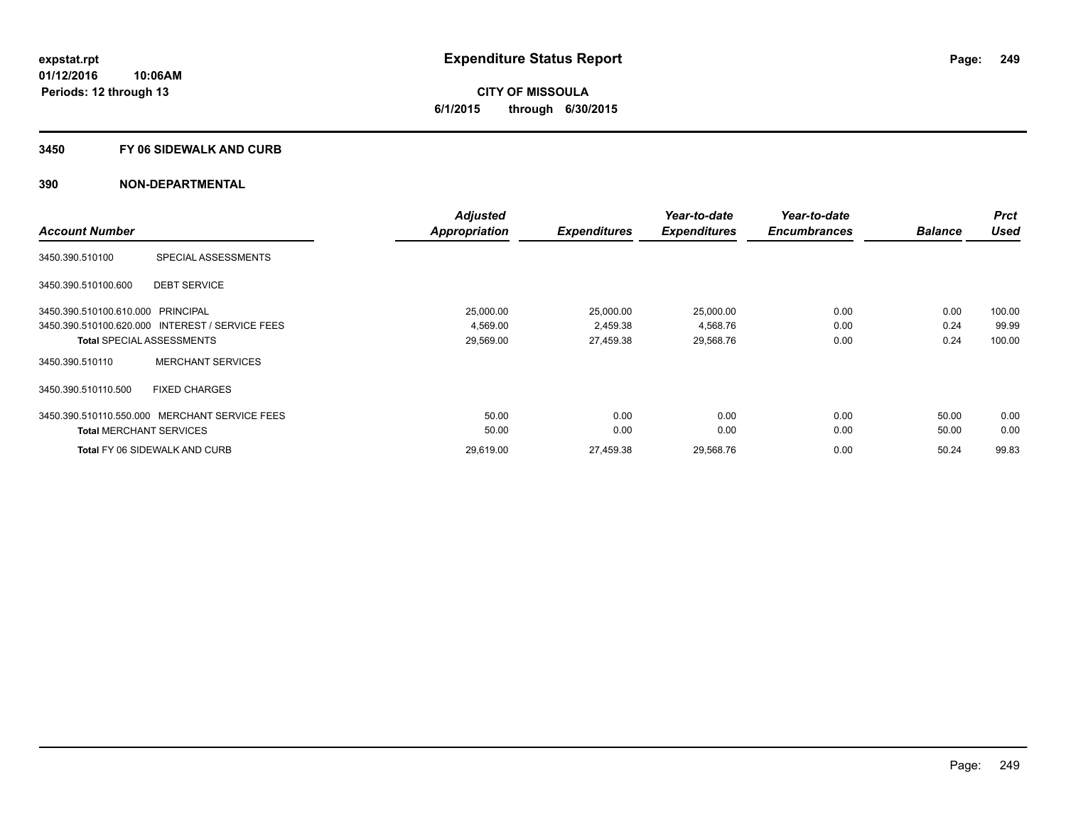## **3450 FY 06 SIDEWALK AND CURB**

|                                                 |                          | <b>Adjusted</b>      |                     | Year-to-date        | Year-to-date        |                | <b>Prct</b> |
|-------------------------------------------------|--------------------------|----------------------|---------------------|---------------------|---------------------|----------------|-------------|
| <b>Account Number</b>                           |                          | <b>Appropriation</b> | <b>Expenditures</b> | <b>Expenditures</b> | <b>Encumbrances</b> | <b>Balance</b> | <b>Used</b> |
| 3450.390.510100                                 | SPECIAL ASSESSMENTS      |                      |                     |                     |                     |                |             |
| 3450.390.510100.600                             | <b>DEBT SERVICE</b>      |                      |                     |                     |                     |                |             |
| 3450.390.510100.610.000 PRINCIPAL               |                          | 25,000.00            | 25,000.00           | 25,000.00           | 0.00                | 0.00           | 100.00      |
| 3450.390.510100.620.000 INTEREST / SERVICE FEES |                          | 4,569.00             | 2,459.38            | 4,568.76            | 0.00                | 0.24           | 99.99       |
| <b>Total SPECIAL ASSESSMENTS</b>                |                          | 29,569.00            | 27,459.38           | 29,568.76           | 0.00                | 0.24           | 100.00      |
| 3450.390.510110                                 | <b>MERCHANT SERVICES</b> |                      |                     |                     |                     |                |             |
| 3450.390.510110.500                             | <b>FIXED CHARGES</b>     |                      |                     |                     |                     |                |             |
| 3450.390.510110.550.000                         | MERCHANT SERVICE FEES    | 50.00                | 0.00                | 0.00                | 0.00                | 50.00          | 0.00        |
| <b>Total MERCHANT SERVICES</b>                  |                          | 50.00                | 0.00                | 0.00                | 0.00                | 50.00          | 0.00        |
| <b>Total FY 06 SIDEWALK AND CURB</b>            |                          | 29.619.00            | 27.459.38           | 29,568.76           | 0.00                | 50.24          | 99.83       |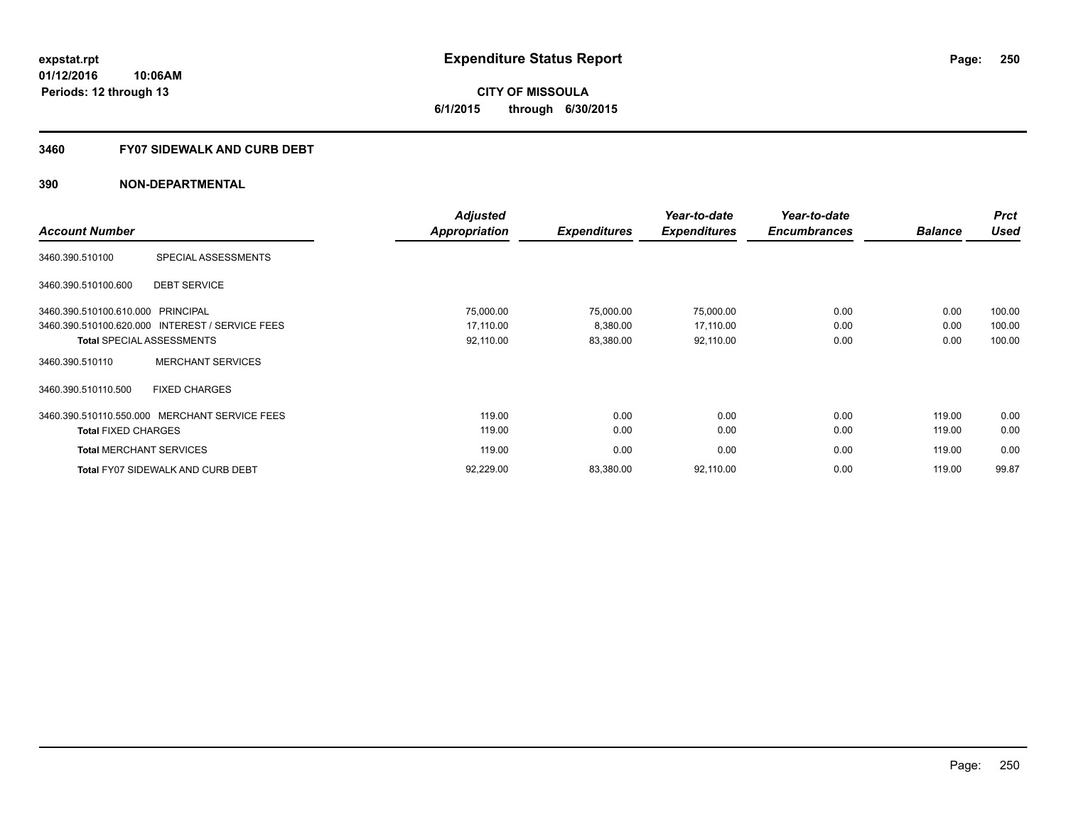**CITY OF MISSOULA 6/1/2015 through 6/30/2015**

#### **3460 FY07 SIDEWALK AND CURB DEBT**

|                                                 |                          | <b>Adjusted</b>      |                     | Year-to-date        | Year-to-date        |                | <b>Prct</b> |
|-------------------------------------------------|--------------------------|----------------------|---------------------|---------------------|---------------------|----------------|-------------|
| <b>Account Number</b>                           |                          | <b>Appropriation</b> | <b>Expenditures</b> | <b>Expenditures</b> | <b>Encumbrances</b> | <b>Balance</b> | <b>Used</b> |
| 3460.390.510100                                 | SPECIAL ASSESSMENTS      |                      |                     |                     |                     |                |             |
| 3460.390.510100.600                             | <b>DEBT SERVICE</b>      |                      |                     |                     |                     |                |             |
| 3460.390.510100.610.000 PRINCIPAL               |                          | 75,000.00            | 75,000.00           | 75,000.00           | 0.00                | 0.00           | 100.00      |
| 3460.390.510100.620.000 INTEREST / SERVICE FEES |                          | 17.110.00            | 8.380.00            | 17,110.00           | 0.00                | 0.00           | 100.00      |
| <b>Total SPECIAL ASSESSMENTS</b>                |                          | 92,110.00            | 83,380.00           | 92,110.00           | 0.00                | 0.00           | 100.00      |
| 3460.390.510110                                 | <b>MERCHANT SERVICES</b> |                      |                     |                     |                     |                |             |
| 3460.390.510110.500                             | <b>FIXED CHARGES</b>     |                      |                     |                     |                     |                |             |
| 3460.390.510110.550.000 MERCHANT SERVICE FEES   |                          | 119.00               | 0.00                | 0.00                | 0.00                | 119.00         | 0.00        |
| <b>Total FIXED CHARGES</b>                      |                          | 119.00               | 0.00                | 0.00                | 0.00                | 119.00         | 0.00        |
| <b>Total MERCHANT SERVICES</b>                  |                          | 119.00               | 0.00                | 0.00                | 0.00                | 119.00         | 0.00        |
| <b>Total FY07 SIDEWALK AND CURB DEBT</b>        |                          | 92,229.00            | 83,380.00           | 92,110.00           | 0.00                | 119.00         | 99.87       |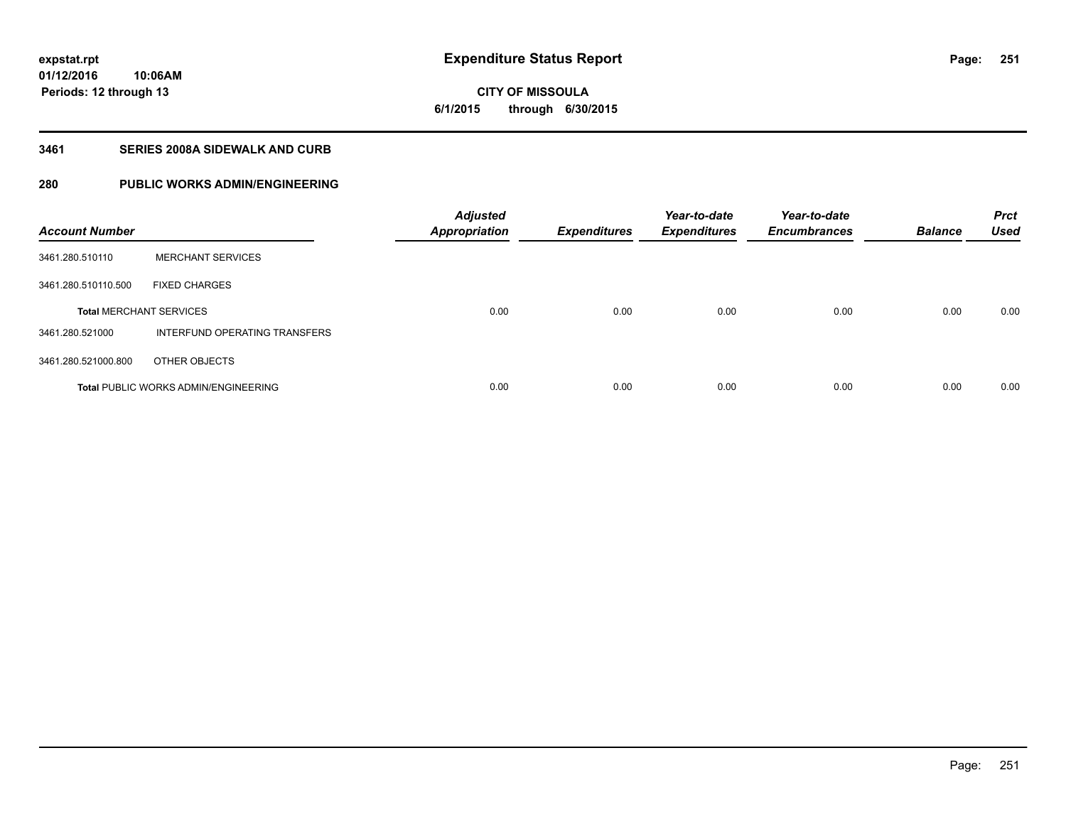**CITY OF MISSOULA 6/1/2015 through 6/30/2015**

## **3461 SERIES 2008A SIDEWALK AND CURB**

# **280 PUBLIC WORKS ADMIN/ENGINEERING**

| <b>Account Number</b>          |                                             | <b>Adjusted</b><br><b>Appropriation</b> | <b>Expenditures</b> | Year-to-date<br><b>Expenditures</b> | Year-to-date<br><b>Encumbrances</b> | <b>Balance</b> | <b>Prct</b><br><b>Used</b> |
|--------------------------------|---------------------------------------------|-----------------------------------------|---------------------|-------------------------------------|-------------------------------------|----------------|----------------------------|
| 3461.280.510110                | <b>MERCHANT SERVICES</b>                    |                                         |                     |                                     |                                     |                |                            |
| 3461.280.510110.500            | <b>FIXED CHARGES</b>                        |                                         |                     |                                     |                                     |                |                            |
| <b>Total MERCHANT SERVICES</b> |                                             | 0.00                                    | 0.00                | 0.00                                | 0.00                                | 0.00           | 0.00                       |
| 3461.280.521000                | INTERFUND OPERATING TRANSFERS               |                                         |                     |                                     |                                     |                |                            |
| 3461.280.521000.800            | OTHER OBJECTS                               |                                         |                     |                                     |                                     |                |                            |
|                                | <b>Total PUBLIC WORKS ADMIN/ENGINEERING</b> | 0.00                                    | 0.00                | 0.00                                | 0.00                                | 0.00           | 0.00                       |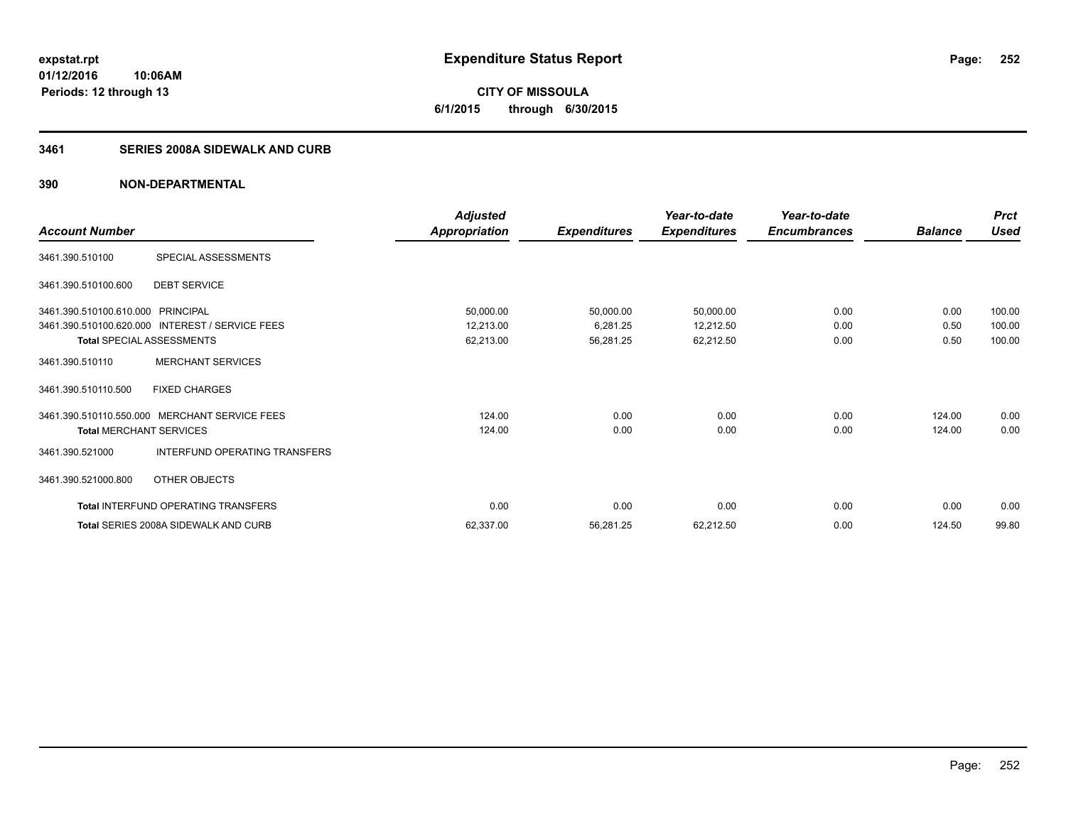**CITY OF MISSOULA 6/1/2015 through 6/30/2015**

## **3461 SERIES 2008A SIDEWALK AND CURB**

|                                   |                                                 | <b>Adjusted</b>      |                     | Year-to-date        | Year-to-date        |                | <b>Prct</b> |
|-----------------------------------|-------------------------------------------------|----------------------|---------------------|---------------------|---------------------|----------------|-------------|
| <b>Account Number</b>             |                                                 | <b>Appropriation</b> | <b>Expenditures</b> | <b>Expenditures</b> | <b>Encumbrances</b> | <b>Balance</b> | <b>Used</b> |
| 3461.390.510100                   | SPECIAL ASSESSMENTS                             |                      |                     |                     |                     |                |             |
| 3461.390.510100.600               | <b>DEBT SERVICE</b>                             |                      |                     |                     |                     |                |             |
| 3461.390.510100.610.000 PRINCIPAL |                                                 | 50,000.00            | 50,000.00           | 50,000.00           | 0.00                | 0.00           | 100.00      |
|                                   | 3461.390.510100.620.000 INTEREST / SERVICE FEES | 12,213.00            | 6,281.25            | 12,212.50           | 0.00                | 0.50           | 100.00      |
| <b>Total SPECIAL ASSESSMENTS</b>  |                                                 | 62,213.00            | 56,281.25           | 62,212.50           | 0.00                | 0.50           | 100.00      |
| 3461.390.510110                   | <b>MERCHANT SERVICES</b>                        |                      |                     |                     |                     |                |             |
| 3461.390.510110.500               | <b>FIXED CHARGES</b>                            |                      |                     |                     |                     |                |             |
| 3461.390.510110.550.000           | <b>MERCHANT SERVICE FEES</b>                    | 124.00               | 0.00                | 0.00                | 0.00                | 124.00         | 0.00        |
| <b>Total MERCHANT SERVICES</b>    |                                                 | 124.00               | 0.00                | 0.00                | 0.00                | 124.00         | 0.00        |
| 3461.390.521000                   | INTERFUND OPERATING TRANSFERS                   |                      |                     |                     |                     |                |             |
| 3461.390.521000.800               | OTHER OBJECTS                                   |                      |                     |                     |                     |                |             |
|                                   | <b>Total INTERFUND OPERATING TRANSFERS</b>      | 0.00                 | 0.00                | 0.00                | 0.00                | 0.00           | 0.00        |
|                                   | Total SERIES 2008A SIDEWALK AND CURB            | 62,337.00            | 56,281.25           | 62,212.50           | 0.00                | 124.50         | 99.80       |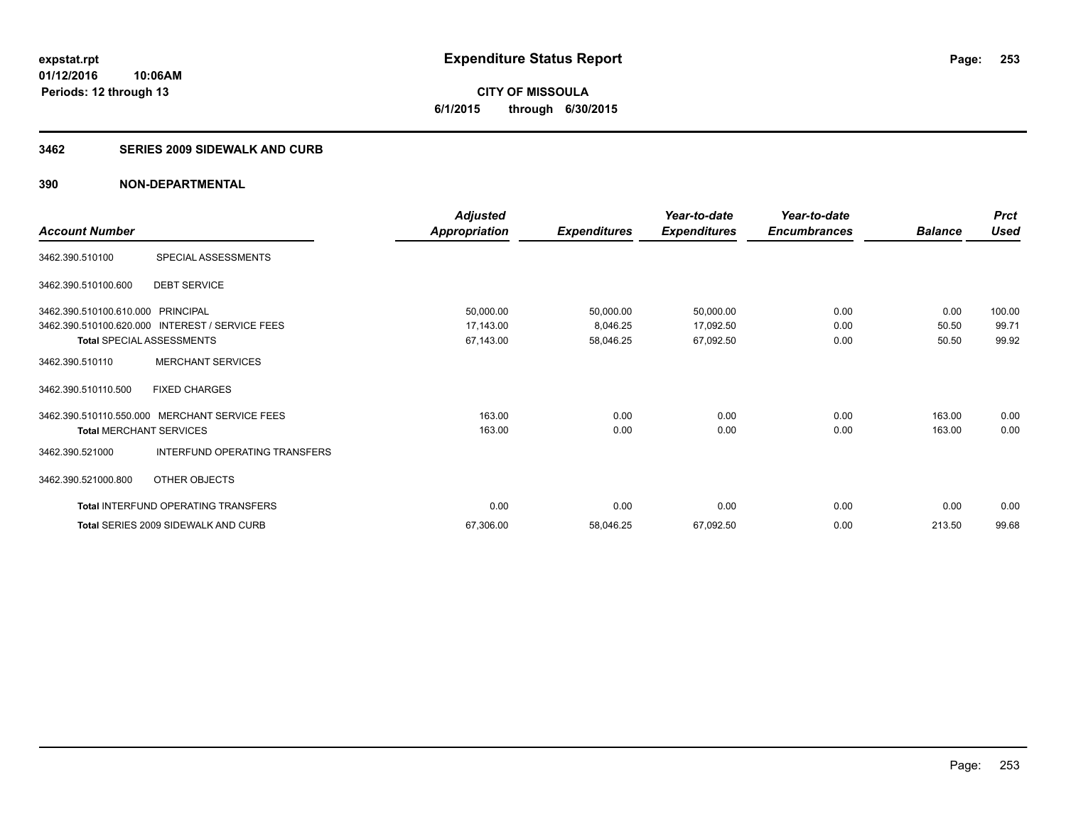**CITY OF MISSOULA 6/1/2015 through 6/30/2015**

#### **3462 SERIES 2009 SIDEWALK AND CURB**

|                                   |                                                 | <b>Adjusted</b>      |                     | Year-to-date        | Year-to-date        |                | <b>Prct</b> |
|-----------------------------------|-------------------------------------------------|----------------------|---------------------|---------------------|---------------------|----------------|-------------|
| <b>Account Number</b>             |                                                 | <b>Appropriation</b> | <b>Expenditures</b> | <b>Expenditures</b> | <b>Encumbrances</b> | <b>Balance</b> | <b>Used</b> |
| 3462.390.510100                   | SPECIAL ASSESSMENTS                             |                      |                     |                     |                     |                |             |
| 3462.390.510100.600               | <b>DEBT SERVICE</b>                             |                      |                     |                     |                     |                |             |
| 3462.390.510100.610.000 PRINCIPAL |                                                 | 50,000.00            | 50,000.00           | 50,000.00           | 0.00                | 0.00           | 100.00      |
|                                   | 3462.390.510100.620.000 INTEREST / SERVICE FEES | 17,143.00            | 8,046.25            | 17,092.50           | 0.00                | 50.50          | 99.71       |
| Total SPECIAL ASSESSMENTS         |                                                 | 67,143.00            | 58,046.25           | 67,092.50           | 0.00                | 50.50          | 99.92       |
| 3462.390.510110                   | <b>MERCHANT SERVICES</b>                        |                      |                     |                     |                     |                |             |
| 3462.390.510110.500               | <b>FIXED CHARGES</b>                            |                      |                     |                     |                     |                |             |
|                                   | 3462.390.510110.550.000 MERCHANT SERVICE FEES   | 163.00               | 0.00                | 0.00                | 0.00                | 163.00         | 0.00        |
| <b>Total MERCHANT SERVICES</b>    |                                                 | 163.00               | 0.00                | 0.00                | 0.00                | 163.00         | 0.00        |
| 3462.390.521000                   | INTERFUND OPERATING TRANSFERS                   |                      |                     |                     |                     |                |             |
| 3462.390.521000.800               | OTHER OBJECTS                                   |                      |                     |                     |                     |                |             |
|                                   | <b>Total INTERFUND OPERATING TRANSFERS</b>      | 0.00                 | 0.00                | 0.00                | 0.00                | 0.00           | 0.00        |
|                                   | Total SERIES 2009 SIDEWALK AND CURB             | 67,306.00            | 58,046.25           | 67,092.50           | 0.00                | 213.50         | 99.68       |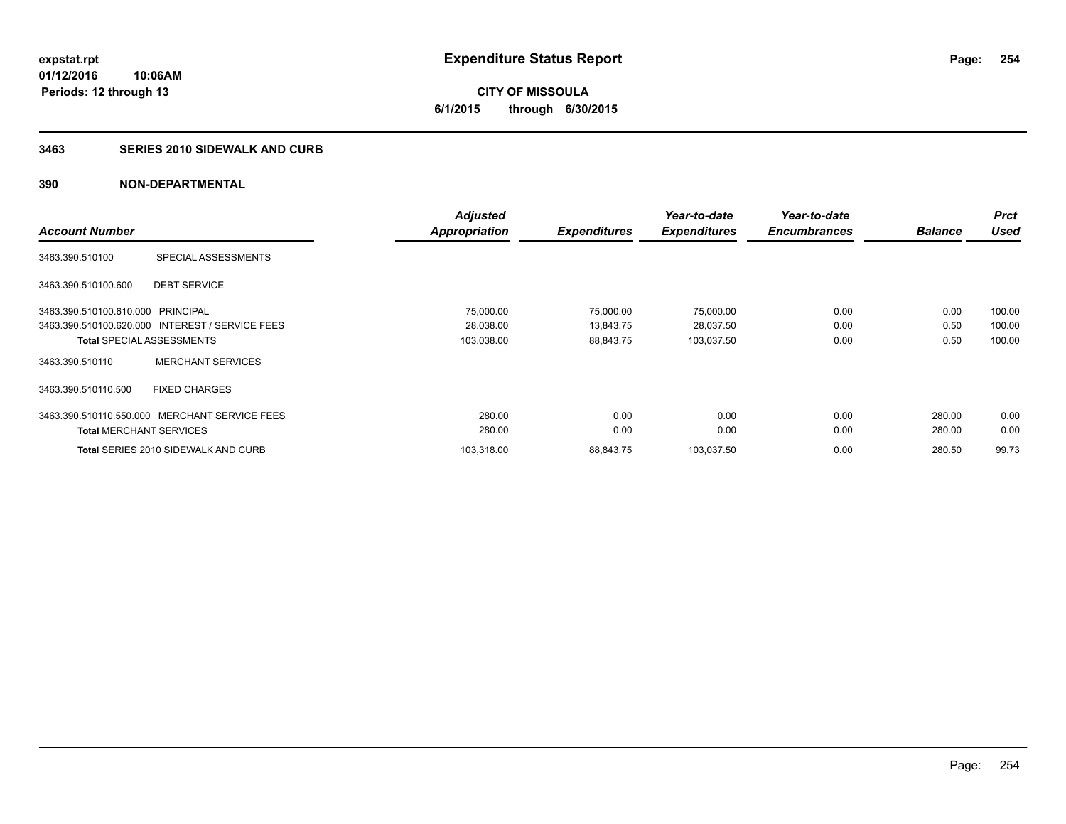**CITY OF MISSOULA 6/1/2015 through 6/30/2015**

#### **3463 SERIES 2010 SIDEWALK AND CURB**

| <b>Account Number</b>             |                                                 | <b>Adjusted</b> |                     | Year-to-date        | Year-to-date        |                | <b>Prct</b><br><b>Used</b> |
|-----------------------------------|-------------------------------------------------|-----------------|---------------------|---------------------|---------------------|----------------|----------------------------|
|                                   |                                                 | Appropriation   | <b>Expenditures</b> | <b>Expenditures</b> | <b>Encumbrances</b> | <b>Balance</b> |                            |
| 3463.390.510100                   | SPECIAL ASSESSMENTS                             |                 |                     |                     |                     |                |                            |
| 3463.390.510100.600               | <b>DEBT SERVICE</b>                             |                 |                     |                     |                     |                |                            |
| 3463.390.510100.610.000 PRINCIPAL |                                                 | 75,000.00       | 75,000.00           | 75,000.00           | 0.00                | 0.00           | 100.00                     |
|                                   | 3463.390.510100.620.000 INTEREST / SERVICE FEES | 28,038.00       | 13,843.75           | 28,037.50           | 0.00                | 0.50           | 100.00                     |
|                                   | <b>Total SPECIAL ASSESSMENTS</b>                | 103,038.00      | 88,843.75           | 103,037.50          | 0.00                | 0.50           | 100.00                     |
| 3463.390.510110                   | <b>MERCHANT SERVICES</b>                        |                 |                     |                     |                     |                |                            |
| 3463.390.510110.500               | <b>FIXED CHARGES</b>                            |                 |                     |                     |                     |                |                            |
|                                   | 3463.390.510110.550.000 MERCHANT SERVICE FEES   | 280.00          | 0.00                | 0.00                | 0.00                | 280.00         | 0.00                       |
| <b>Total MERCHANT SERVICES</b>    |                                                 | 280.00          | 0.00                | 0.00                | 0.00                | 280.00         | 0.00                       |
|                                   | Total SERIES 2010 SIDEWALK AND CURB             | 103.318.00      | 88,843.75           | 103,037.50          | 0.00                | 280.50         | 99.73                      |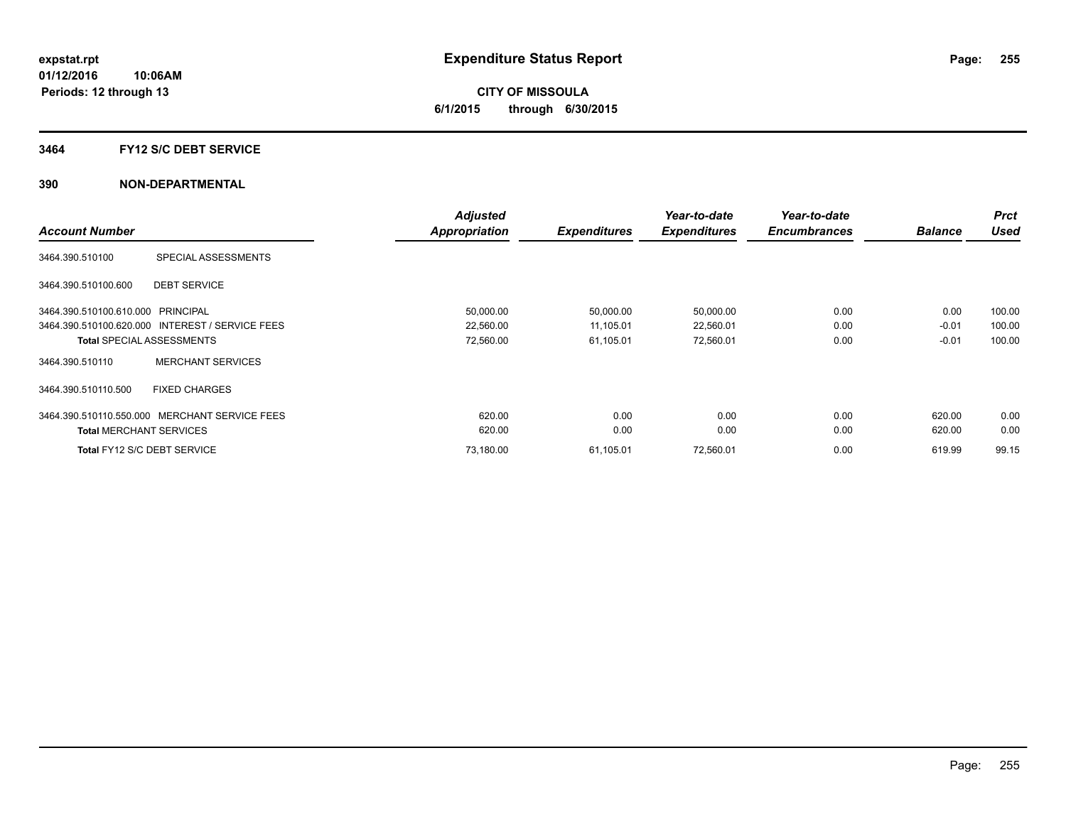# **CITY OF MISSOULA 6/1/2015 through 6/30/2015**

### **3464 FY12 S/C DEBT SERVICE**

|                                                 | <b>Adjusted</b>      |                     | Year-to-date        | Year-to-date        |                | <b>Prct</b> |
|-------------------------------------------------|----------------------|---------------------|---------------------|---------------------|----------------|-------------|
| <b>Account Number</b>                           | <b>Appropriation</b> | <b>Expenditures</b> | <b>Expenditures</b> | <b>Encumbrances</b> | <b>Balance</b> | <b>Used</b> |
| SPECIAL ASSESSMENTS<br>3464.390.510100          |                      |                     |                     |                     |                |             |
| 3464.390.510100.600<br><b>DEBT SERVICE</b>      |                      |                     |                     |                     |                |             |
| 3464.390.510100.610.000 PRINCIPAL               | 50,000.00            | 50,000.00           | 50,000.00           | 0.00                | 0.00           | 100.00      |
| 3464.390.510100.620.000 INTEREST / SERVICE FEES | 22,560.00            | 11,105.01           | 22,560.01           | 0.00                | $-0.01$        | 100.00      |
| <b>Total SPECIAL ASSESSMENTS</b>                | 72,560.00            | 61,105.01           | 72,560.01           | 0.00                | $-0.01$        | 100.00      |
| <b>MERCHANT SERVICES</b><br>3464.390.510110     |                      |                     |                     |                     |                |             |
| 3464.390.510110.500<br><b>FIXED CHARGES</b>     |                      |                     |                     |                     |                |             |
| 3464.390.510110.550.000 MERCHANT SERVICE FEES   | 620.00               | 0.00                | 0.00                | 0.00                | 620.00         | 0.00        |
| <b>Total MERCHANT SERVICES</b>                  | 620.00               | 0.00                | 0.00                | 0.00                | 620.00         | 0.00        |
| Total FY12 S/C DEBT SERVICE                     | 73.180.00            | 61,105.01           | 72,560.01           | 0.00                | 619.99         | 99.15       |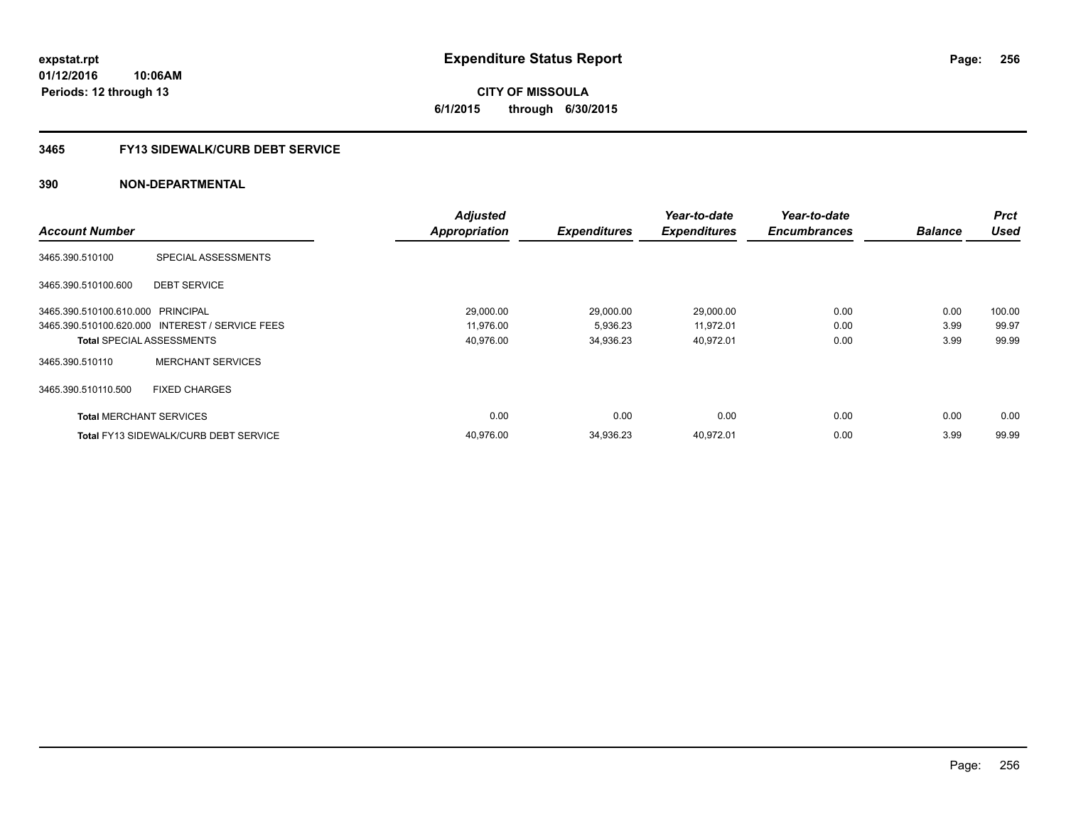**CITY OF MISSOULA 6/1/2015 through 6/30/2015**

### **3465 FY13 SIDEWALK/CURB DEBT SERVICE**

|                                   |                                                 | <b>Adjusted</b>      |                     | Year-to-date        | Year-to-date        |                | <b>Prct</b> |
|-----------------------------------|-------------------------------------------------|----------------------|---------------------|---------------------|---------------------|----------------|-------------|
| <b>Account Number</b>             |                                                 | <b>Appropriation</b> | <b>Expenditures</b> | <b>Expenditures</b> | <b>Encumbrances</b> | <b>Balance</b> | <b>Used</b> |
| 3465.390.510100                   | SPECIAL ASSESSMENTS                             |                      |                     |                     |                     |                |             |
| 3465.390.510100.600               | <b>DEBT SERVICE</b>                             |                      |                     |                     |                     |                |             |
| 3465.390.510100.610.000 PRINCIPAL |                                                 | 29,000.00            | 29,000.00           | 29,000.00           | 0.00                | 0.00           | 100.00      |
|                                   | 3465.390.510100.620.000 INTEREST / SERVICE FEES | 11,976.00            | 5,936.23            | 11,972.01           | 0.00                | 3.99           | 99.97       |
|                                   | <b>Total SPECIAL ASSESSMENTS</b>                | 40,976.00            | 34,936.23           | 40,972.01           | 0.00                | 3.99           | 99.99       |
| 3465.390.510110                   | <b>MERCHANT SERVICES</b>                        |                      |                     |                     |                     |                |             |
| 3465.390.510110.500               | <b>FIXED CHARGES</b>                            |                      |                     |                     |                     |                |             |
| <b>Total MERCHANT SERVICES</b>    |                                                 | 0.00                 | 0.00                | 0.00                | 0.00                | 0.00           | 0.00        |
|                                   | <b>Total FY13 SIDEWALK/CURB DEBT SERVICE</b>    | 40.976.00            | 34.936.23           | 40.972.01           | 0.00                | 3.99           | 99.99       |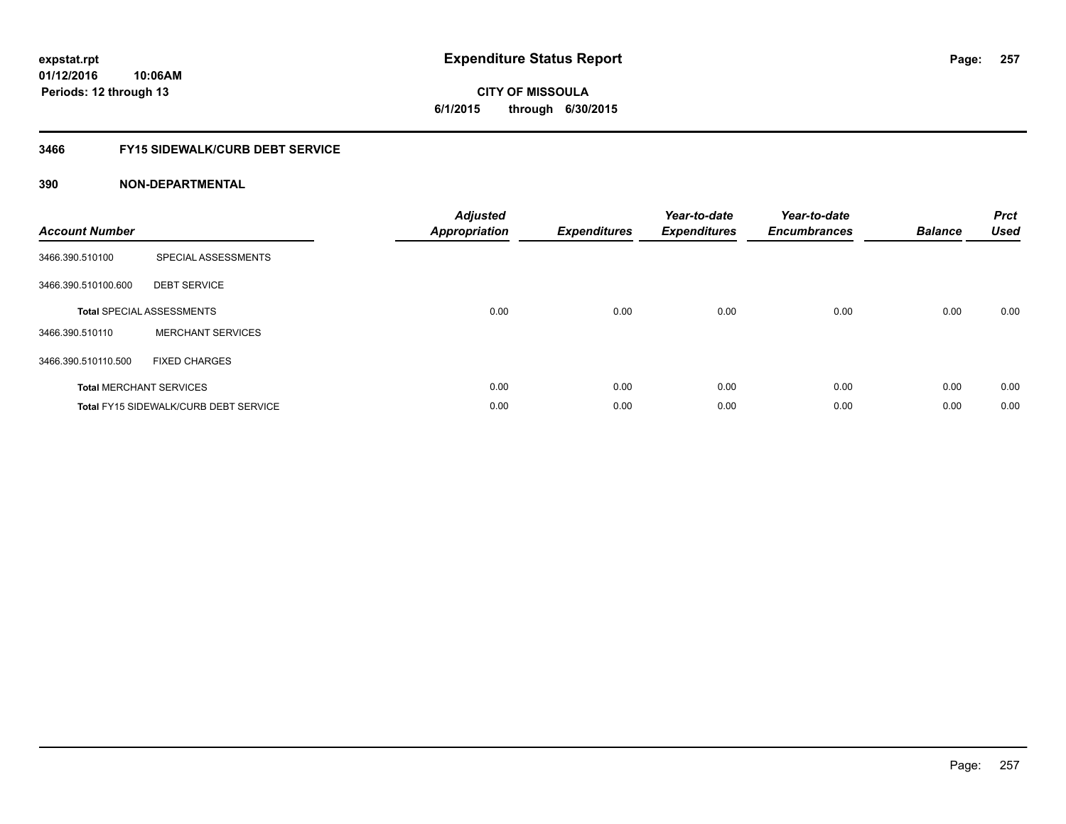# **CITY OF MISSOULA 6/1/2015 through 6/30/2015**

# **3466 FY15 SIDEWALK/CURB DEBT SERVICE**

| <b>Account Number</b> |                                              | <b>Adjusted</b><br>Appropriation | <b>Expenditures</b> | Year-to-date<br><b>Expenditures</b> | Year-to-date<br><b>Encumbrances</b> | <b>Balance</b> | <b>Prct</b><br><b>Used</b> |
|-----------------------|----------------------------------------------|----------------------------------|---------------------|-------------------------------------|-------------------------------------|----------------|----------------------------|
| 3466.390.510100       | SPECIAL ASSESSMENTS                          |                                  |                     |                                     |                                     |                |                            |
| 3466.390.510100.600   | <b>DEBT SERVICE</b>                          |                                  |                     |                                     |                                     |                |                            |
|                       | <b>Total SPECIAL ASSESSMENTS</b>             | 0.00                             | 0.00                | 0.00                                | 0.00                                | 0.00           | 0.00                       |
| 3466.390.510110       | <b>MERCHANT SERVICES</b>                     |                                  |                     |                                     |                                     |                |                            |
| 3466.390.510110.500   | <b>FIXED CHARGES</b>                         |                                  |                     |                                     |                                     |                |                            |
|                       | <b>Total MERCHANT SERVICES</b>               | 0.00                             | 0.00                | 0.00                                | 0.00                                | 0.00           | 0.00                       |
|                       | <b>Total FY15 SIDEWALK/CURB DEBT SERVICE</b> | 0.00                             | 0.00                | 0.00                                | 0.00                                | 0.00           | 0.00                       |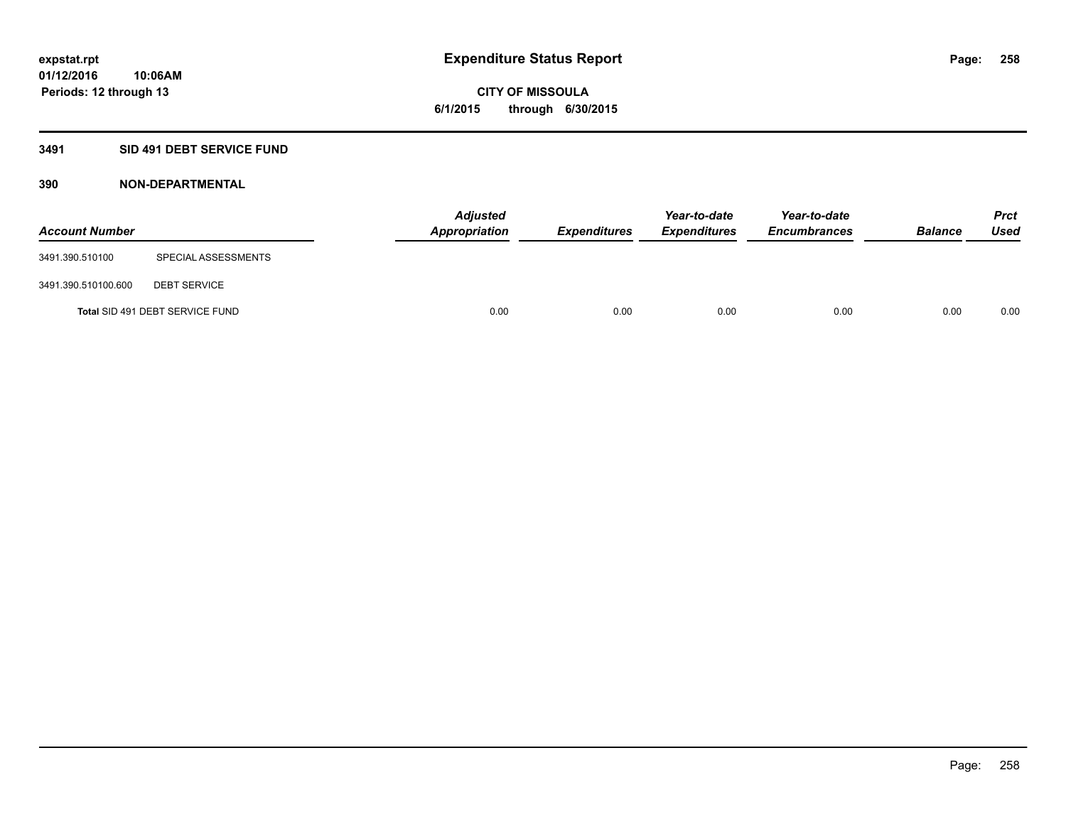**Periods: 12 through 13**

**CITY OF MISSOULA 6/1/2015 through 6/30/2015**

### **3491 SID 491 DEBT SERVICE FUND**

| <b>Account Number</b> |                                 | <b>Adjusted</b><br><b>Appropriation</b> | <b>Expenditures</b> | Year-to-date<br><b>Expenditures</b> | Year-to-date<br><b>Encumbrances</b> | <b>Balance</b> | <b>Prct</b><br><b>Used</b> |
|-----------------------|---------------------------------|-----------------------------------------|---------------------|-------------------------------------|-------------------------------------|----------------|----------------------------|
| 3491.390.510100       | SPECIAL ASSESSMENTS             |                                         |                     |                                     |                                     |                |                            |
| 3491.390.510100.600   | <b>DEBT SERVICE</b>             |                                         |                     |                                     |                                     |                |                            |
|                       | Total SID 491 DEBT SERVICE FUND | 0.00                                    | 0.00                | 0.00                                | 0.00                                | 0.00           | 0.00                       |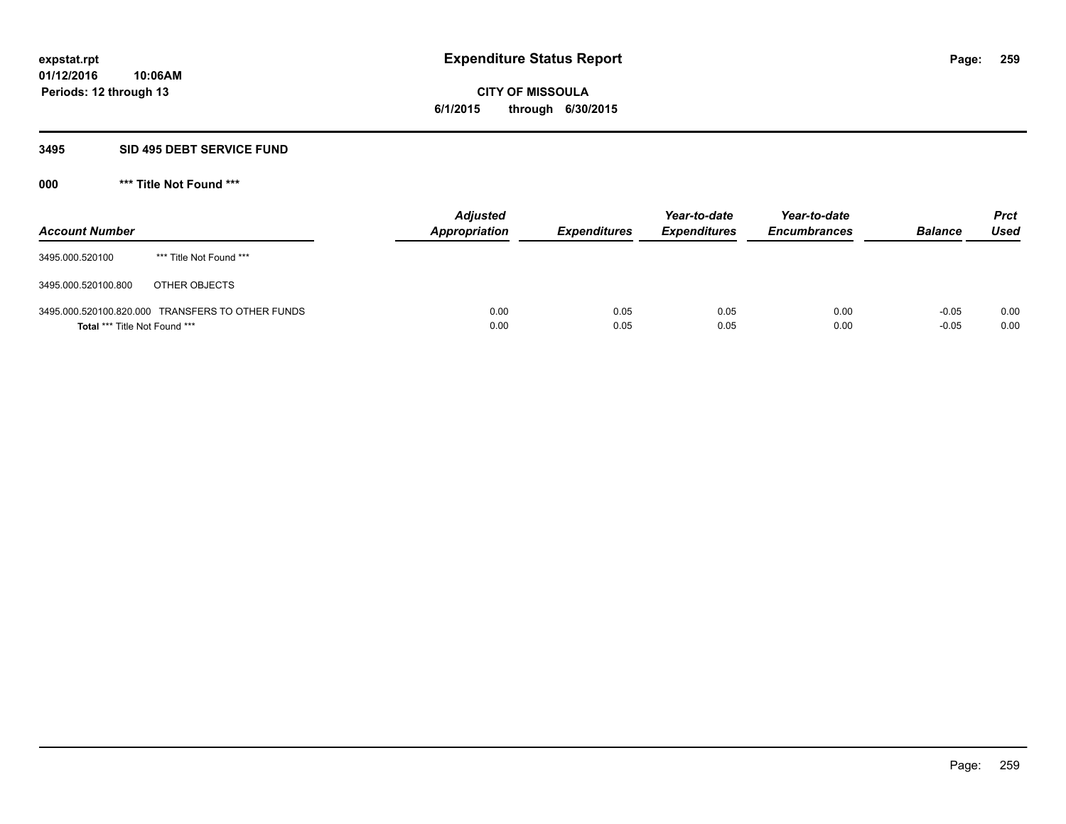# **CITY OF MISSOULA 6/1/2015 through 6/30/2015**

### **3495 SID 495 DEBT SERVICE FUND**

| <b>Account Number</b>         |                                                  | <b>Adjusted</b><br>Appropriation | <b>Expenditures</b> | Year-to-date<br><b>Expenditures</b> | Year-to-date<br><b>Encumbrances</b> | <b>Balance</b>     | <b>Prct</b><br><b>Used</b> |
|-------------------------------|--------------------------------------------------|----------------------------------|---------------------|-------------------------------------|-------------------------------------|--------------------|----------------------------|
| 3495.000.520100               | *** Title Not Found ***                          |                                  |                     |                                     |                                     |                    |                            |
| 3495.000.520100.800           | OTHER OBJECTS                                    |                                  |                     |                                     |                                     |                    |                            |
| Total *** Title Not Found *** | 3495.000.520100.820.000 TRANSFERS TO OTHER FUNDS | 0.00<br>0.00                     | 0.05<br>0.05        | 0.05<br>0.05                        | 0.00<br>0.00                        | $-0.05$<br>$-0.05$ | 0.00<br>0.00               |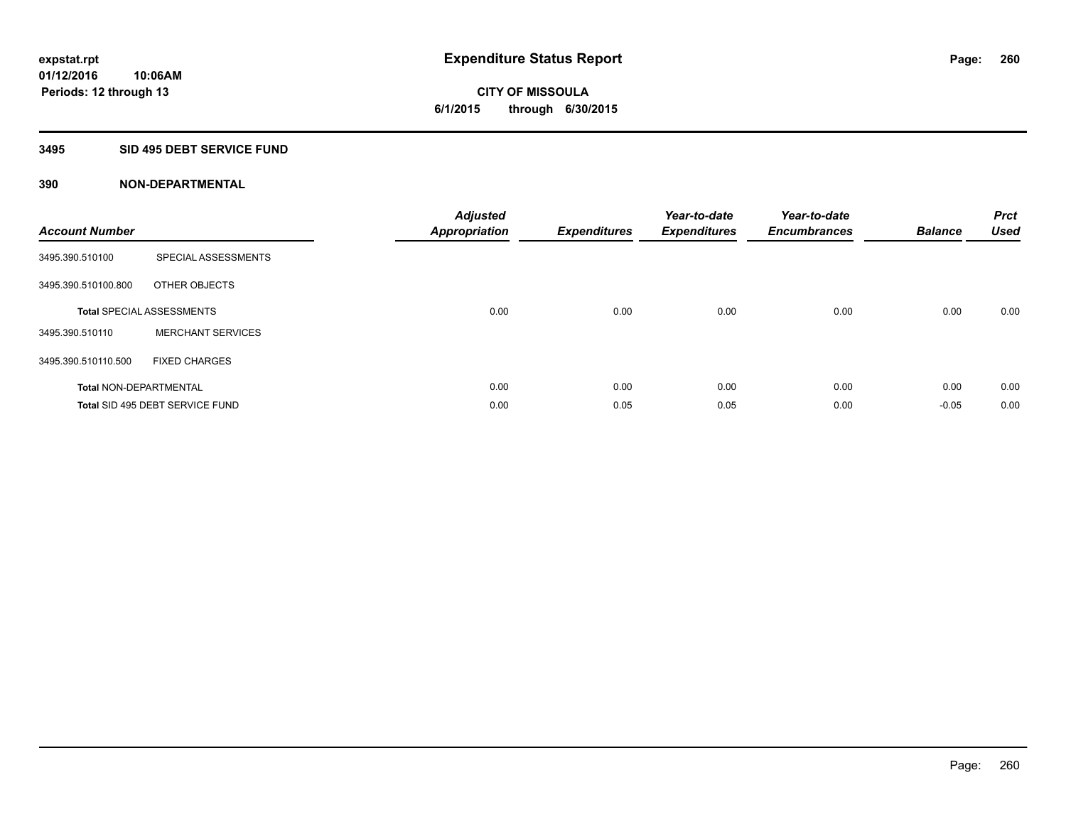# **CITY OF MISSOULA 6/1/2015 through 6/30/2015**

# **3495 SID 495 DEBT SERVICE FUND**

| <b>Account Number</b>         |                                  | <b>Adjusted</b><br><b>Appropriation</b> | <b>Expenditures</b> | Year-to-date<br><b>Expenditures</b> | Year-to-date<br><b>Encumbrances</b> | <b>Balance</b> | <b>Prct</b><br><b>Used</b> |
|-------------------------------|----------------------------------|-----------------------------------------|---------------------|-------------------------------------|-------------------------------------|----------------|----------------------------|
| 3495.390.510100               | SPECIAL ASSESSMENTS              |                                         |                     |                                     |                                     |                |                            |
| 3495.390.510100.800           | OTHER OBJECTS                    |                                         |                     |                                     |                                     |                |                            |
|                               | <b>Total SPECIAL ASSESSMENTS</b> | 0.00                                    | 0.00                | 0.00                                | 0.00                                | 0.00           | 0.00                       |
| 3495.390.510110               | <b>MERCHANT SERVICES</b>         |                                         |                     |                                     |                                     |                |                            |
| 3495.390.510110.500           | <b>FIXED CHARGES</b>             |                                         |                     |                                     |                                     |                |                            |
| <b>Total NON-DEPARTMENTAL</b> |                                  | 0.00                                    | 0.00                | 0.00                                | 0.00                                | 0.00           | 0.00                       |
|                               | Total SID 495 DEBT SERVICE FUND  | 0.00                                    | 0.05                | 0.05                                | 0.00                                | $-0.05$        | 0.00                       |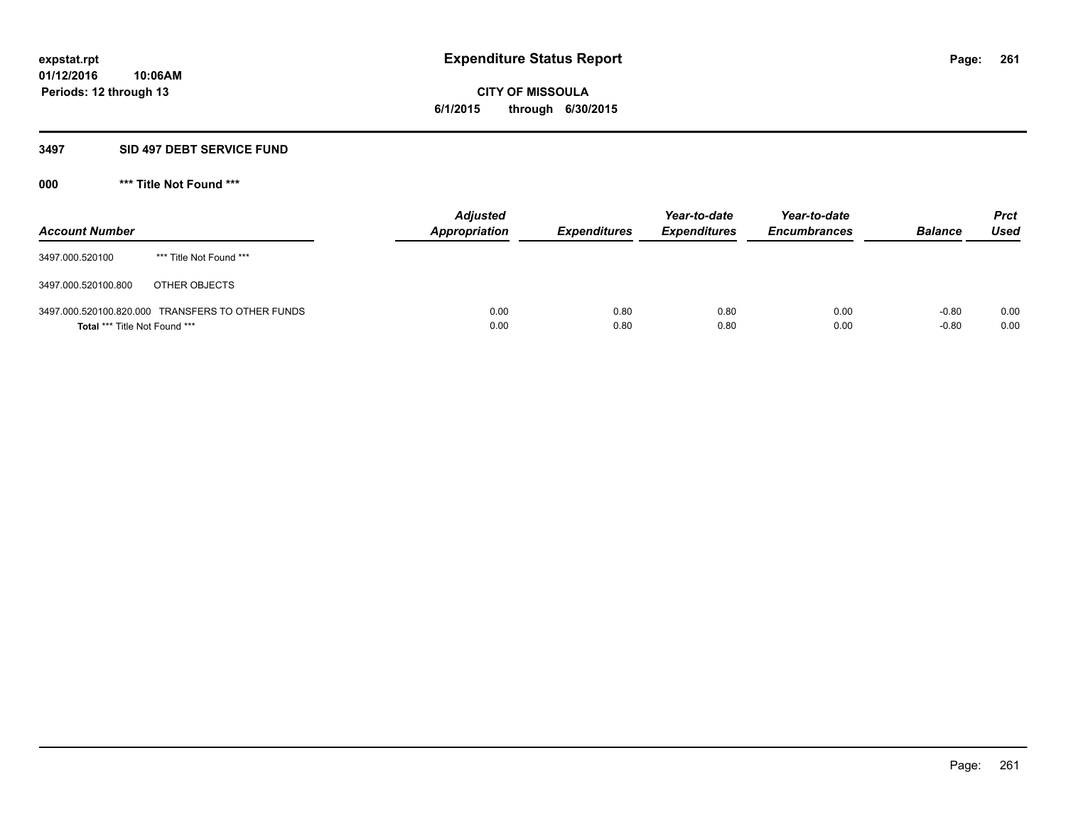**CITY OF MISSOULA 6/1/2015 through 6/30/2015**

### **3497 SID 497 DEBT SERVICE FUND**

| <b>Account Number</b>         |                                                  | <b>Adjusted</b><br>Appropriation | <b>Expenditures</b> | Year-to-date<br><b>Expenditures</b> | Year-to-date<br><b>Encumbrances</b> | <b>Balance</b>     | <b>Prct</b><br><b>Used</b> |
|-------------------------------|--------------------------------------------------|----------------------------------|---------------------|-------------------------------------|-------------------------------------|--------------------|----------------------------|
| 3497.000.520100               | *** Title Not Found ***                          |                                  |                     |                                     |                                     |                    |                            |
| 3497.000.520100.800           | OTHER OBJECTS                                    |                                  |                     |                                     |                                     |                    |                            |
| Total *** Title Not Found *** | 3497.000.520100.820.000 TRANSFERS TO OTHER FUNDS | 0.00<br>0.00                     | 0.80<br>0.80        | 0.80<br>0.80                        | 0.00<br>0.00                        | $-0.80$<br>$-0.80$ | 0.00<br>0.00               |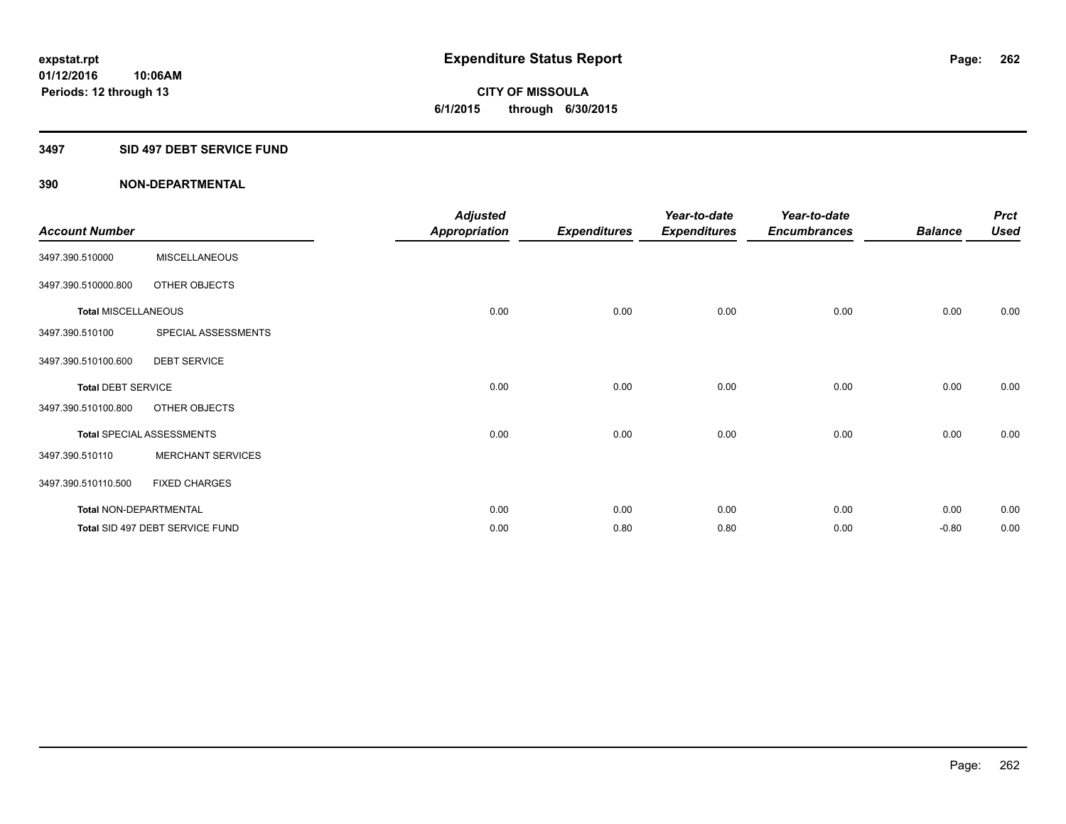**Periods: 12 through 13**

**CITY OF MISSOULA 6/1/2015 through 6/30/2015**

#### **3497 SID 497 DEBT SERVICE FUND**

**10:06AM**

| <b>Account Number</b>         |                                  | <b>Adjusted</b><br><b>Appropriation</b> | <b>Expenditures</b> | Year-to-date<br><b>Expenditures</b> | Year-to-date<br><b>Encumbrances</b> | <b>Balance</b> | <b>Prct</b><br><b>Used</b> |
|-------------------------------|----------------------------------|-----------------------------------------|---------------------|-------------------------------------|-------------------------------------|----------------|----------------------------|
| 3497.390.510000               | <b>MISCELLANEOUS</b>             |                                         |                     |                                     |                                     |                |                            |
| 3497.390.510000.800           | OTHER OBJECTS                    |                                         |                     |                                     |                                     |                |                            |
| <b>Total MISCELLANEOUS</b>    |                                  | 0.00                                    | 0.00                | 0.00                                | 0.00                                | 0.00           | 0.00                       |
| 3497.390.510100               | SPECIAL ASSESSMENTS              |                                         |                     |                                     |                                     |                |                            |
| 3497.390.510100.600           | <b>DEBT SERVICE</b>              |                                         |                     |                                     |                                     |                |                            |
| <b>Total DEBT SERVICE</b>     |                                  | 0.00                                    | 0.00                | 0.00                                | 0.00                                | 0.00           | 0.00                       |
| 3497.390.510100.800           | OTHER OBJECTS                    |                                         |                     |                                     |                                     |                |                            |
|                               | <b>Total SPECIAL ASSESSMENTS</b> | 0.00                                    | 0.00                | 0.00                                | 0.00                                | 0.00           | 0.00                       |
| 3497.390.510110               | <b>MERCHANT SERVICES</b>         |                                         |                     |                                     |                                     |                |                            |
| 3497.390.510110.500           | <b>FIXED CHARGES</b>             |                                         |                     |                                     |                                     |                |                            |
| <b>Total NON-DEPARTMENTAL</b> |                                  | 0.00                                    | 0.00                | 0.00                                | 0.00                                | 0.00           | 0.00                       |
|                               | Total SID 497 DEBT SERVICE FUND  | 0.00                                    | 0.80                | 0.80                                | 0.00                                | $-0.80$        | 0.00                       |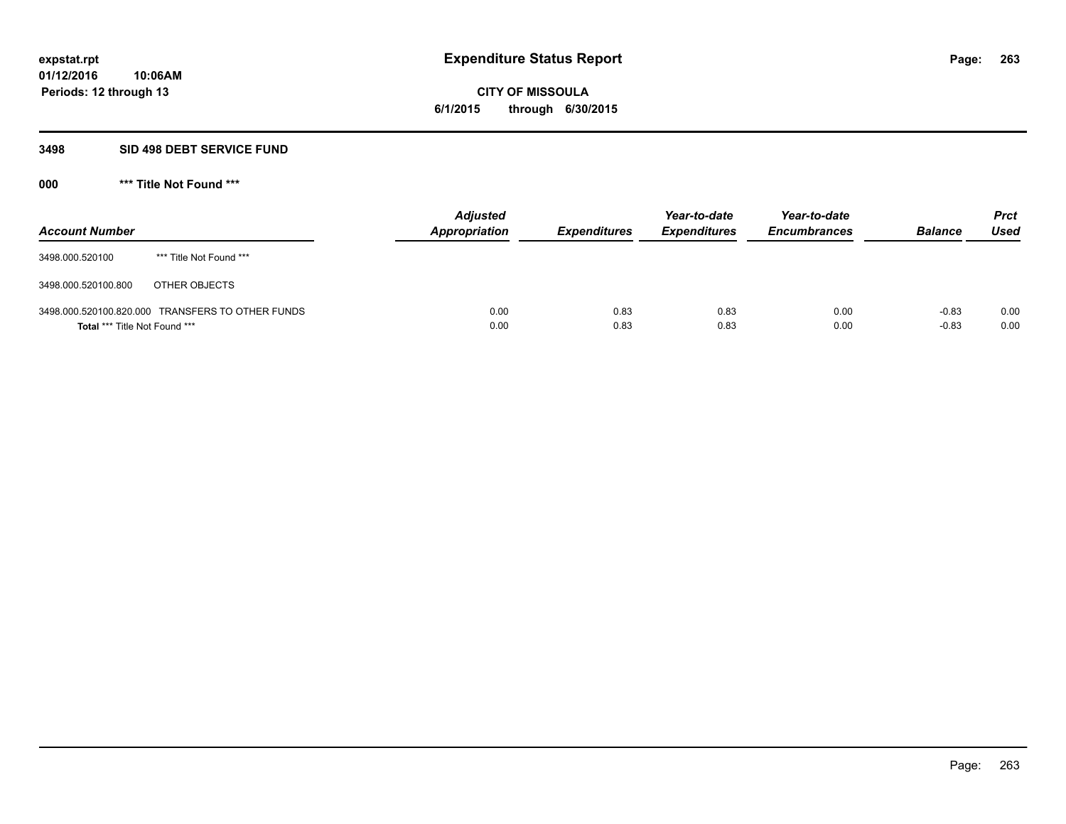# **CITY OF MISSOULA 6/1/2015 through 6/30/2015**

#### **3498 SID 498 DEBT SERVICE FUND**

| <b>Account Number</b>         |                                                  | <b>Adjusted</b><br>Appropriation | <b>Expenditures</b> | Year-to-date<br><b>Expenditures</b> | Year-to-date<br><b>Encumbrances</b> | <b>Balance</b>     | <b>Prct</b><br><b>Used</b> |
|-------------------------------|--------------------------------------------------|----------------------------------|---------------------|-------------------------------------|-------------------------------------|--------------------|----------------------------|
| 3498.000.520100               | *** Title Not Found ***                          |                                  |                     |                                     |                                     |                    |                            |
| 3498.000.520100.800           | OTHER OBJECTS                                    |                                  |                     |                                     |                                     |                    |                            |
| Total *** Title Not Found *** | 3498.000.520100.820.000 TRANSFERS TO OTHER FUNDS | 0.00<br>0.00                     | 0.83<br>0.83        | 0.83<br>0.83                        | 0.00<br>0.00                        | $-0.83$<br>$-0.83$ | 0.00<br>0.00               |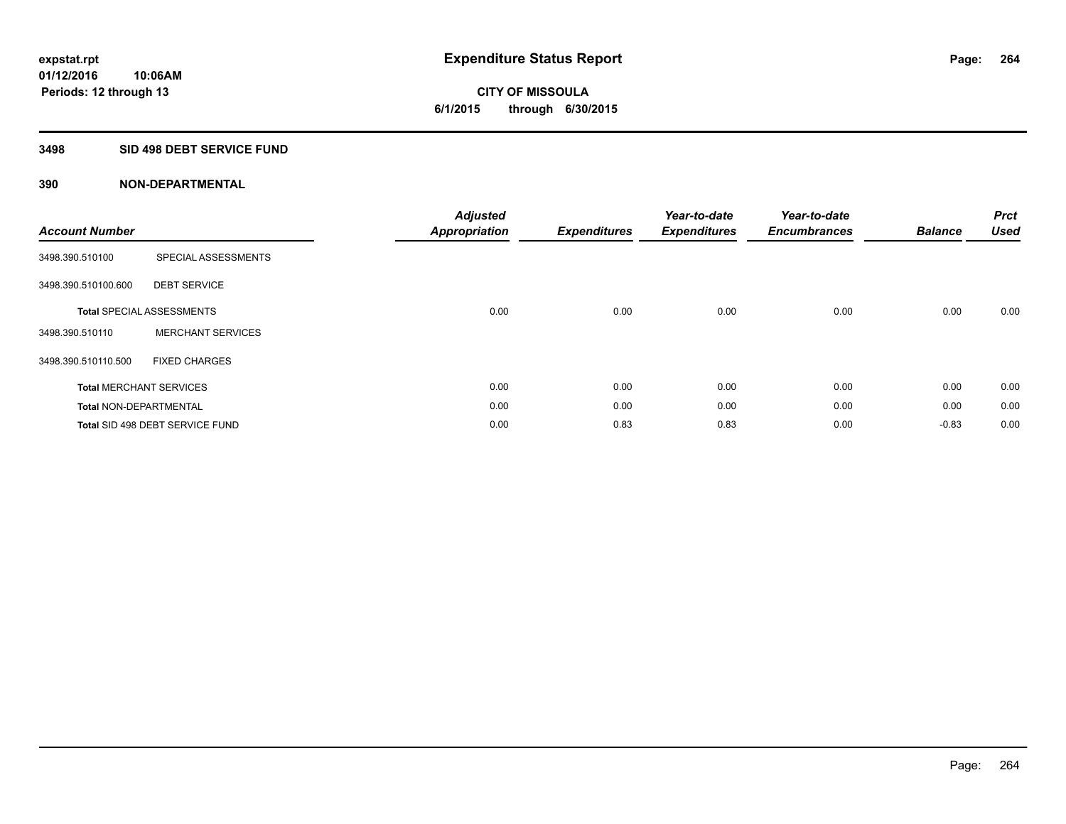**CITY OF MISSOULA 6/1/2015 through 6/30/2015**

### **3498 SID 498 DEBT SERVICE FUND**

| <b>Account Number</b>         |                                  | <b>Adjusted</b><br><b>Appropriation</b> | <b>Expenditures</b> | Year-to-date<br><b>Expenditures</b> | Year-to-date<br><b>Encumbrances</b> | <b>Balance</b> | <b>Prct</b><br><b>Used</b> |
|-------------------------------|----------------------------------|-----------------------------------------|---------------------|-------------------------------------|-------------------------------------|----------------|----------------------------|
| 3498.390.510100               | SPECIAL ASSESSMENTS              |                                         |                     |                                     |                                     |                |                            |
| 3498.390.510100.600           | <b>DEBT SERVICE</b>              |                                         |                     |                                     |                                     |                |                            |
|                               | <b>Total SPECIAL ASSESSMENTS</b> | 0.00                                    | 0.00                | 0.00                                | 0.00                                | 0.00           | 0.00                       |
| 3498.390.510110               | <b>MERCHANT SERVICES</b>         |                                         |                     |                                     |                                     |                |                            |
| 3498.390.510110.500           | <b>FIXED CHARGES</b>             |                                         |                     |                                     |                                     |                |                            |
|                               | <b>Total MERCHANT SERVICES</b>   | 0.00                                    | 0.00                | 0.00                                | 0.00                                | 0.00           | 0.00                       |
| <b>Total NON-DEPARTMENTAL</b> |                                  | 0.00                                    | 0.00                | 0.00                                | 0.00                                | 0.00           | 0.00                       |
|                               | Total SID 498 DEBT SERVICE FUND  | 0.00                                    | 0.83                | 0.83                                | 0.00                                | $-0.83$        | 0.00                       |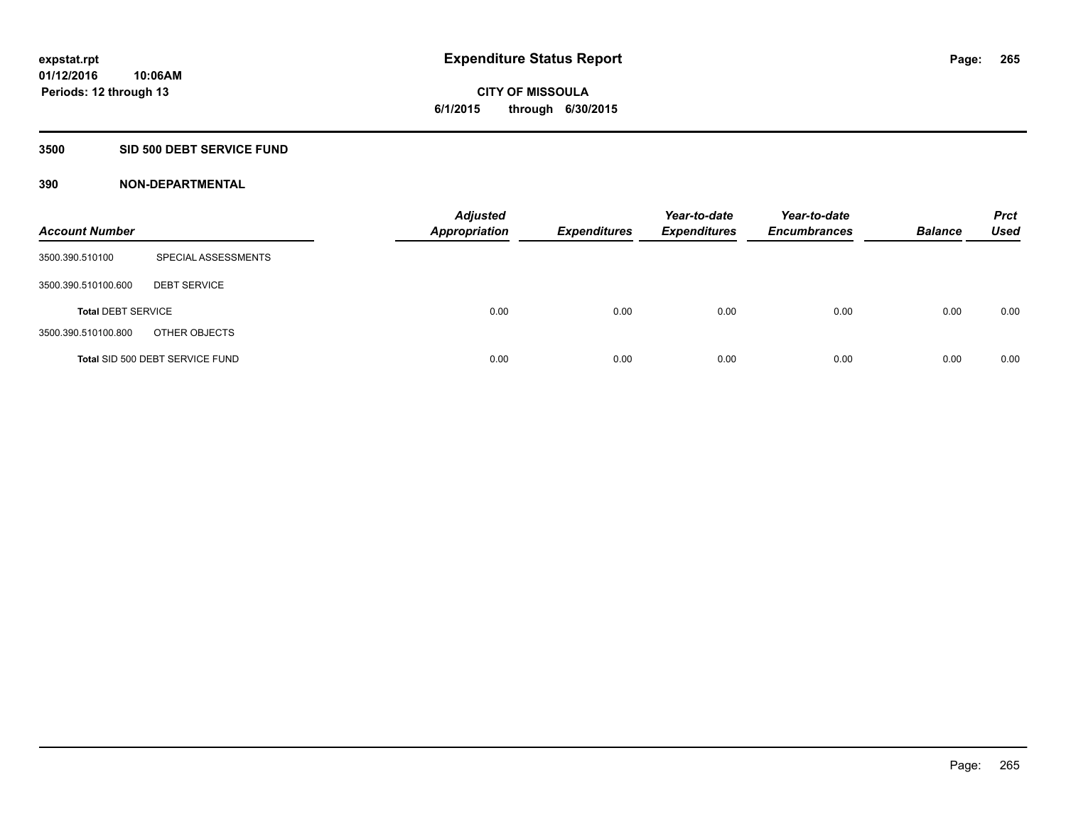**Periods: 12 through 13**

**CITY OF MISSOULA 6/1/2015 through 6/30/2015**

#### **3500 SID 500 DEBT SERVICE FUND**

**10:06AM**

| <b>Account Number</b>     |                                 | <b>Adjusted</b><br><b>Appropriation</b> | <b>Expenditures</b> | Year-to-date<br><b>Expenditures</b> | Year-to-date<br><b>Encumbrances</b> | <b>Balance</b> | <b>Prct</b><br>Used |
|---------------------------|---------------------------------|-----------------------------------------|---------------------|-------------------------------------|-------------------------------------|----------------|---------------------|
| 3500.390.510100           | SPECIAL ASSESSMENTS             |                                         |                     |                                     |                                     |                |                     |
| 3500.390.510100.600       | <b>DEBT SERVICE</b>             |                                         |                     |                                     |                                     |                |                     |
| <b>Total DEBT SERVICE</b> |                                 | 0.00                                    | 0.00                | 0.00                                | 0.00                                | 0.00           | 0.00                |
| 3500.390.510100.800       | OTHER OBJECTS                   |                                         |                     |                                     |                                     |                |                     |
|                           | Total SID 500 DEBT SERVICE FUND | 0.00                                    | 0.00                | 0.00                                | 0.00                                | 0.00           | 0.00                |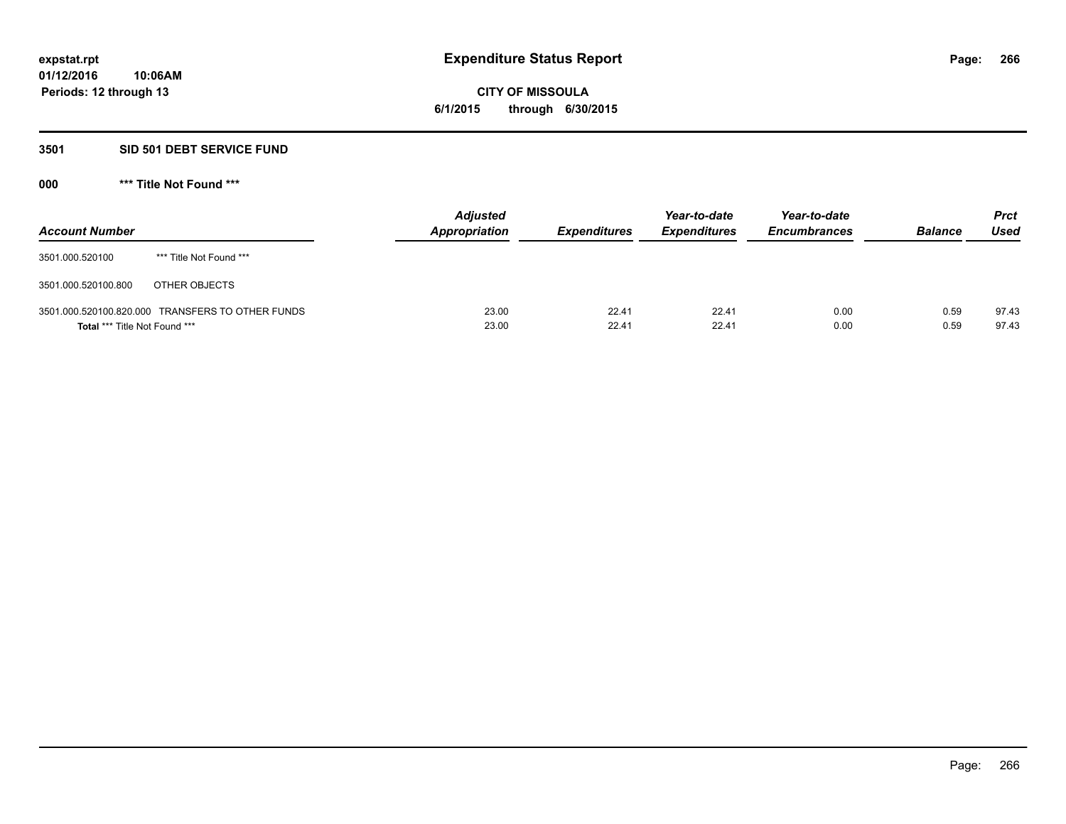**CITY OF MISSOULA 6/1/2015 through 6/30/2015**

#### **3501 SID 501 DEBT SERVICE FUND**

| <b>Account Number</b>                |                                                  | <b>Adjusted</b><br><b>Appropriation</b> | <b>Expenditures</b> | Year-to-date<br><b>Expenditures</b> | Year-to-date<br><b>Encumbrances</b> | <b>Balance</b> | <b>Prct</b><br><b>Used</b> |
|--------------------------------------|--------------------------------------------------|-----------------------------------------|---------------------|-------------------------------------|-------------------------------------|----------------|----------------------------|
| 3501.000.520100                      | *** Title Not Found ***                          |                                         |                     |                                     |                                     |                |                            |
| 3501.000.520100.800                  | OTHER OBJECTS                                    |                                         |                     |                                     |                                     |                |                            |
| <b>Total *** Title Not Found ***</b> | 3501.000.520100.820.000 TRANSFERS TO OTHER FUNDS | 23.00<br>23.00                          | 22.41<br>22.41      | 22.41<br>22.41                      | 0.00<br>0.00                        | 0.59<br>0.59   | 97.43<br>97.43             |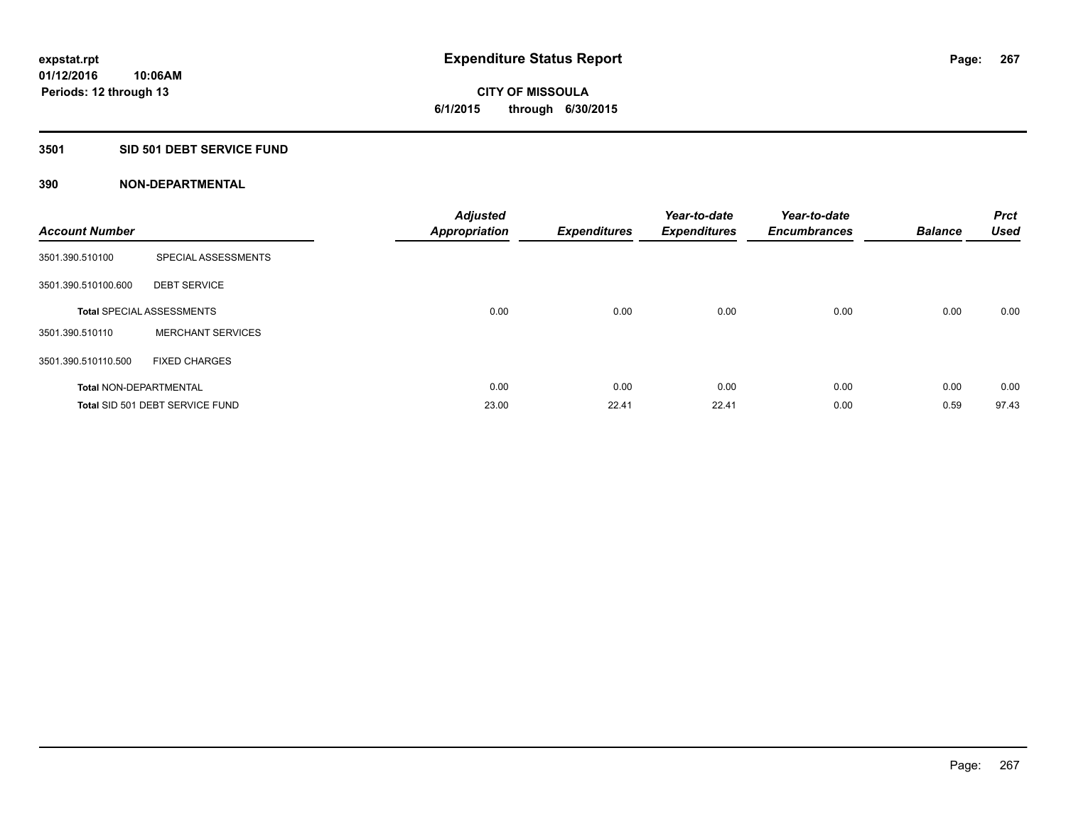**Periods: 12 through 13**

**CITY OF MISSOULA 6/1/2015 through 6/30/2015**

### **3501 SID 501 DEBT SERVICE FUND**

| <b>Account Number</b>         |                                  | <b>Adjusted</b><br><b>Appropriation</b> | <b>Expenditures</b> | Year-to-date<br><b>Expenditures</b> | Year-to-date<br><b>Encumbrances</b> | <b>Balance</b> | <b>Prct</b><br><b>Used</b> |
|-------------------------------|----------------------------------|-----------------------------------------|---------------------|-------------------------------------|-------------------------------------|----------------|----------------------------|
| 3501.390.510100               | SPECIAL ASSESSMENTS              |                                         |                     |                                     |                                     |                |                            |
| 3501.390.510100.600           | <b>DEBT SERVICE</b>              |                                         |                     |                                     |                                     |                |                            |
|                               | <b>Total SPECIAL ASSESSMENTS</b> | 0.00                                    | 0.00                | 0.00                                | 0.00                                | 0.00           | 0.00                       |
| 3501.390.510110               | <b>MERCHANT SERVICES</b>         |                                         |                     |                                     |                                     |                |                            |
| 3501.390.510110.500           | <b>FIXED CHARGES</b>             |                                         |                     |                                     |                                     |                |                            |
| <b>Total NON-DEPARTMENTAL</b> |                                  | 0.00                                    | 0.00                | 0.00                                | 0.00                                | 0.00           | 0.00                       |
|                               | Total SID 501 DEBT SERVICE FUND  | 23.00                                   | 22.41               | 22.41                               | 0.00                                | 0.59           | 97.43                      |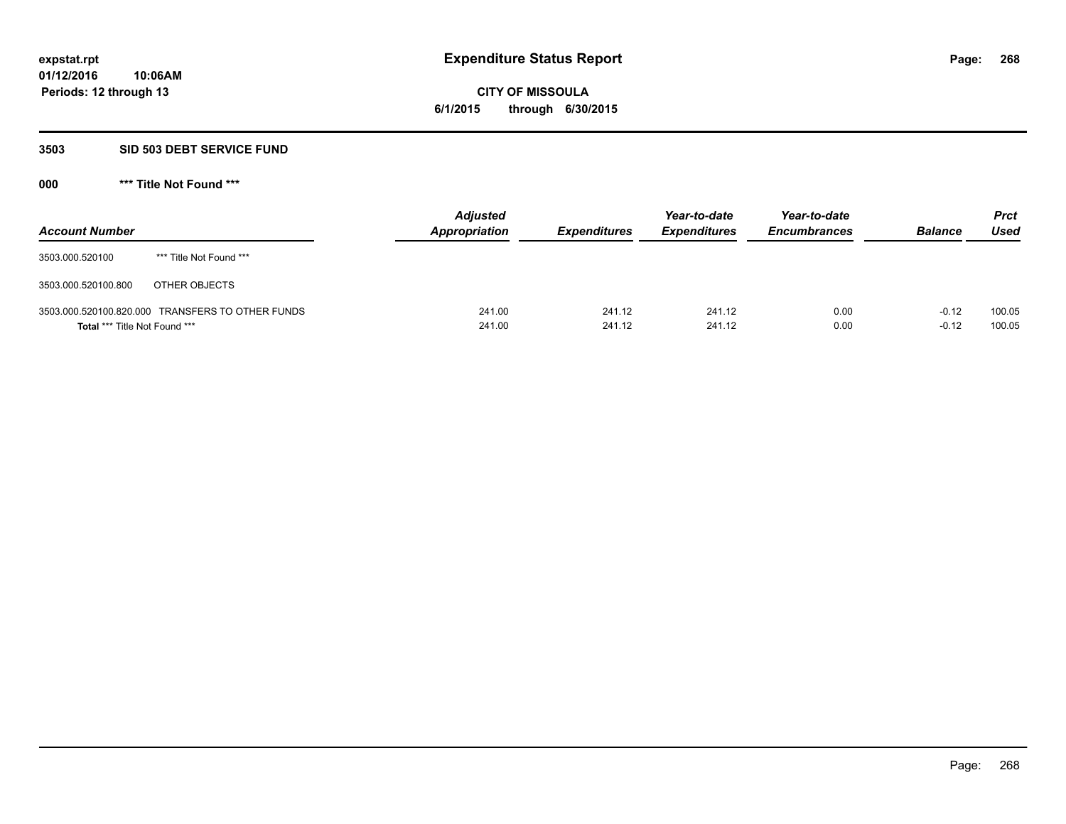# **CITY OF MISSOULA 6/1/2015 through 6/30/2015**

# **3503 SID 503 DEBT SERVICE FUND**

| <b>Account Number</b>                |                                                  | <b>Adjusted</b><br><b>Appropriation</b> | <b>Expenditures</b> | Year-to-date<br><b>Expenditures</b> | Year-to-date<br><b>Encumbrances</b> | <b>Balance</b>     | <b>Prct</b><br>Used |
|--------------------------------------|--------------------------------------------------|-----------------------------------------|---------------------|-------------------------------------|-------------------------------------|--------------------|---------------------|
| 3503.000.520100                      | *** Title Not Found ***                          |                                         |                     |                                     |                                     |                    |                     |
| 3503.000.520100.800                  | OTHER OBJECTS                                    |                                         |                     |                                     |                                     |                    |                     |
| <b>Total *** Title Not Found ***</b> | 3503.000.520100.820.000 TRANSFERS TO OTHER FUNDS | 241.00<br>241.00                        | 241.12<br>241.12    | 241.12<br>241.12                    | 0.00<br>0.00                        | $-0.12$<br>$-0.12$ | 100.05<br>100.05    |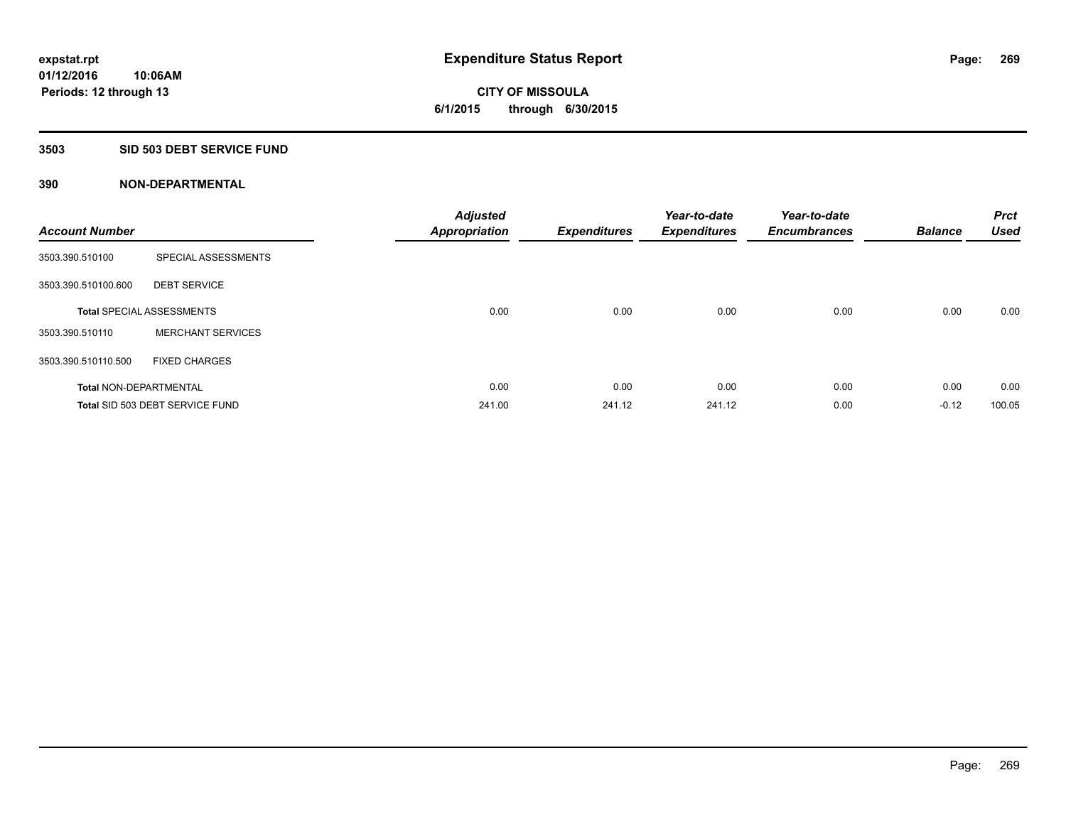**10:06AM Periods: 12 through 13**

# **CITY OF MISSOULA 6/1/2015 through 6/30/2015**

# **3503 SID 503 DEBT SERVICE FUND**

| <b>Account Number</b>         |                                  | <b>Adjusted</b><br><b>Appropriation</b> | <b>Expenditures</b> | Year-to-date<br><b>Expenditures</b> | Year-to-date<br><b>Encumbrances</b> | <b>Balance</b> | <b>Prct</b><br><b>Used</b> |
|-------------------------------|----------------------------------|-----------------------------------------|---------------------|-------------------------------------|-------------------------------------|----------------|----------------------------|
| 3503.390.510100               | SPECIAL ASSESSMENTS              |                                         |                     |                                     |                                     |                |                            |
| 3503.390.510100.600           | <b>DEBT SERVICE</b>              |                                         |                     |                                     |                                     |                |                            |
|                               | <b>Total SPECIAL ASSESSMENTS</b> | 0.00                                    | 0.00                | 0.00                                | 0.00                                | 0.00           | 0.00                       |
| 3503.390.510110               | <b>MERCHANT SERVICES</b>         |                                         |                     |                                     |                                     |                |                            |
| 3503.390.510110.500           | <b>FIXED CHARGES</b>             |                                         |                     |                                     |                                     |                |                            |
| <b>Total NON-DEPARTMENTAL</b> |                                  | 0.00                                    | 0.00                | 0.00                                | 0.00                                | 0.00           | 0.00                       |
|                               | Total SID 503 DEBT SERVICE FUND  | 241.00                                  | 241.12              | 241.12                              | 0.00                                | $-0.12$        | 100.05                     |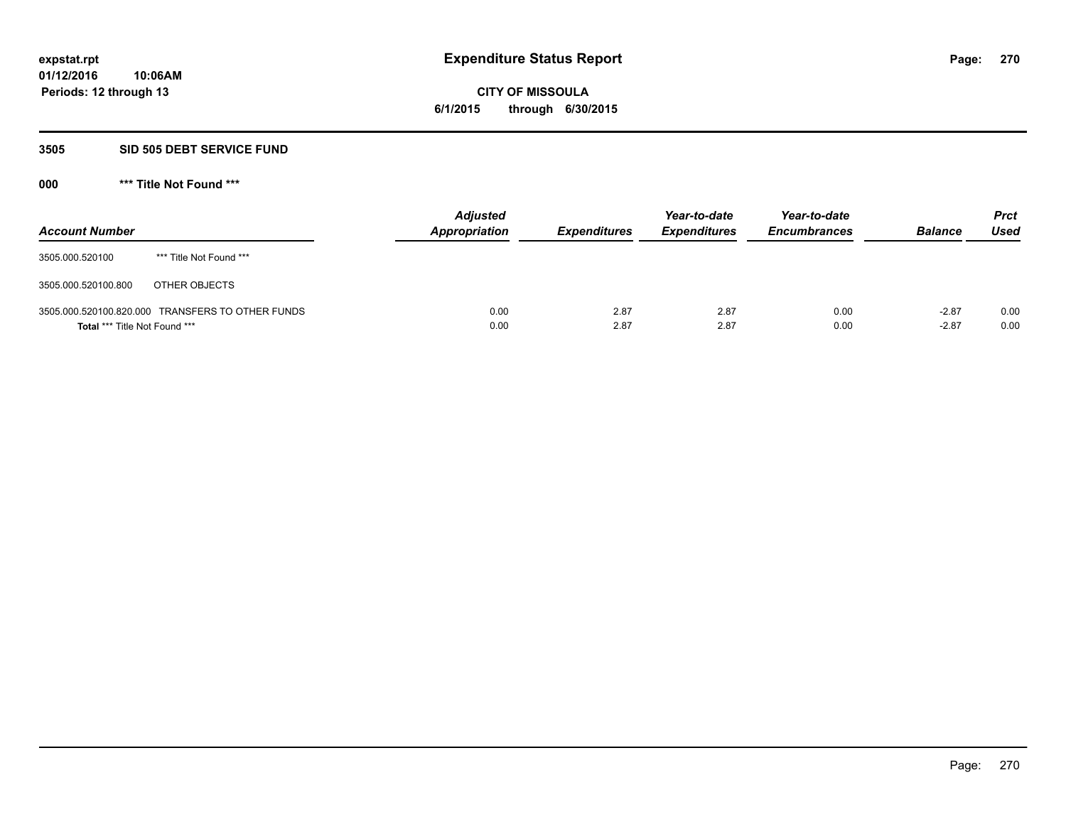# **CITY OF MISSOULA 6/1/2015 through 6/30/2015**

### **3505 SID 505 DEBT SERVICE FUND**

| <b>Account Number</b>                |                                                  | <b>Adjusted</b><br><b>Appropriation</b> | <b>Expenditures</b> | Year-to-date<br><b>Expenditures</b> | Year-to-date<br><b>Encumbrances</b> | <b>Balance</b>     | <b>Prct</b><br><b>Used</b> |
|--------------------------------------|--------------------------------------------------|-----------------------------------------|---------------------|-------------------------------------|-------------------------------------|--------------------|----------------------------|
| 3505.000.520100                      | *** Title Not Found ***                          |                                         |                     |                                     |                                     |                    |                            |
| 3505.000.520100.800                  | OTHER OBJECTS                                    |                                         |                     |                                     |                                     |                    |                            |
| <b>Total *** Title Not Found ***</b> | 3505.000.520100.820.000 TRANSFERS TO OTHER FUNDS | 0.00<br>0.00                            | 2.87<br>2.87        | 2.87<br>2.87                        | 0.00<br>0.00                        | $-2.87$<br>$-2.87$ | 0.00<br>0.00               |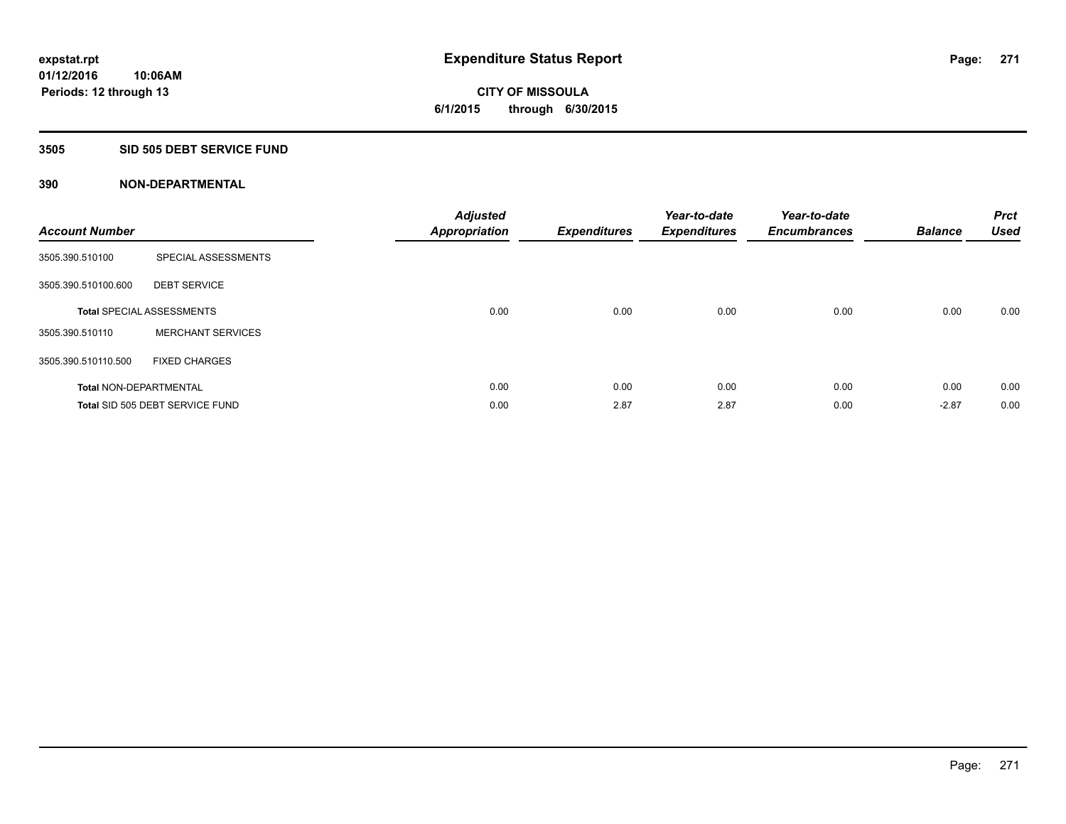**Periods: 12 through 13**

**CITY OF MISSOULA 6/1/2015 through 6/30/2015**

#### **3505 SID 505 DEBT SERVICE FUND**

**10:06AM**

| <b>Account Number</b>         |                                  | <b>Adjusted</b><br><b>Appropriation</b> | <b>Expenditures</b> | Year-to-date<br><b>Expenditures</b> | Year-to-date<br><b>Encumbrances</b> | <b>Balance</b> | <b>Prct</b><br><b>Used</b> |
|-------------------------------|----------------------------------|-----------------------------------------|---------------------|-------------------------------------|-------------------------------------|----------------|----------------------------|
| 3505.390.510100               | SPECIAL ASSESSMENTS              |                                         |                     |                                     |                                     |                |                            |
| 3505.390.510100.600           | <b>DEBT SERVICE</b>              |                                         |                     |                                     |                                     |                |                            |
|                               | <b>Total SPECIAL ASSESSMENTS</b> | 0.00                                    | 0.00                | 0.00                                | 0.00                                | 0.00           | 0.00                       |
| 3505.390.510110               | <b>MERCHANT SERVICES</b>         |                                         |                     |                                     |                                     |                |                            |
| 3505.390.510110.500           | <b>FIXED CHARGES</b>             |                                         |                     |                                     |                                     |                |                            |
| <b>Total NON-DEPARTMENTAL</b> |                                  | 0.00                                    | 0.00                | 0.00                                | 0.00                                | 0.00           | 0.00                       |
|                               | Total SID 505 DEBT SERVICE FUND  | 0.00                                    | 2.87                | 2.87                                | 0.00                                | $-2.87$        | 0.00                       |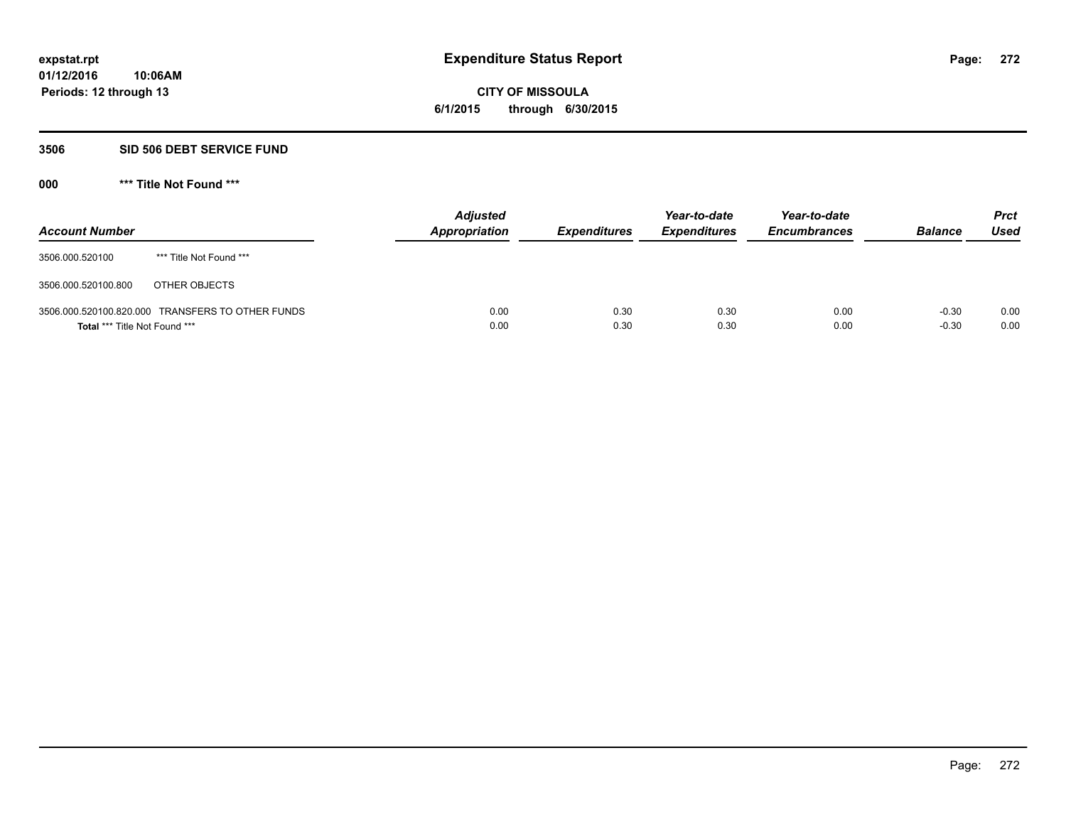**CITY OF MISSOULA 6/1/2015 through 6/30/2015**

#### **3506 SID 506 DEBT SERVICE FUND**

| <b>Account Number</b>         |                                                  | <b>Adjusted</b><br>Appropriation | <b>Expenditures</b> | Year-to-date<br><b>Expenditures</b> | Year-to-date<br><b>Encumbrances</b> | <b>Balance</b>     | <b>Prct</b><br><b>Used</b> |
|-------------------------------|--------------------------------------------------|----------------------------------|---------------------|-------------------------------------|-------------------------------------|--------------------|----------------------------|
| 3506.000.520100               | *** Title Not Found ***                          |                                  |                     |                                     |                                     |                    |                            |
| 3506.000.520100.800           | OTHER OBJECTS                                    |                                  |                     |                                     |                                     |                    |                            |
| Total *** Title Not Found *** | 3506.000.520100.820.000 TRANSFERS TO OTHER FUNDS | 0.00<br>0.00                     | 0.30<br>0.30        | 0.30<br>0.30                        | 0.00<br>0.00                        | $-0.30$<br>$-0.30$ | 0.00<br>0.00               |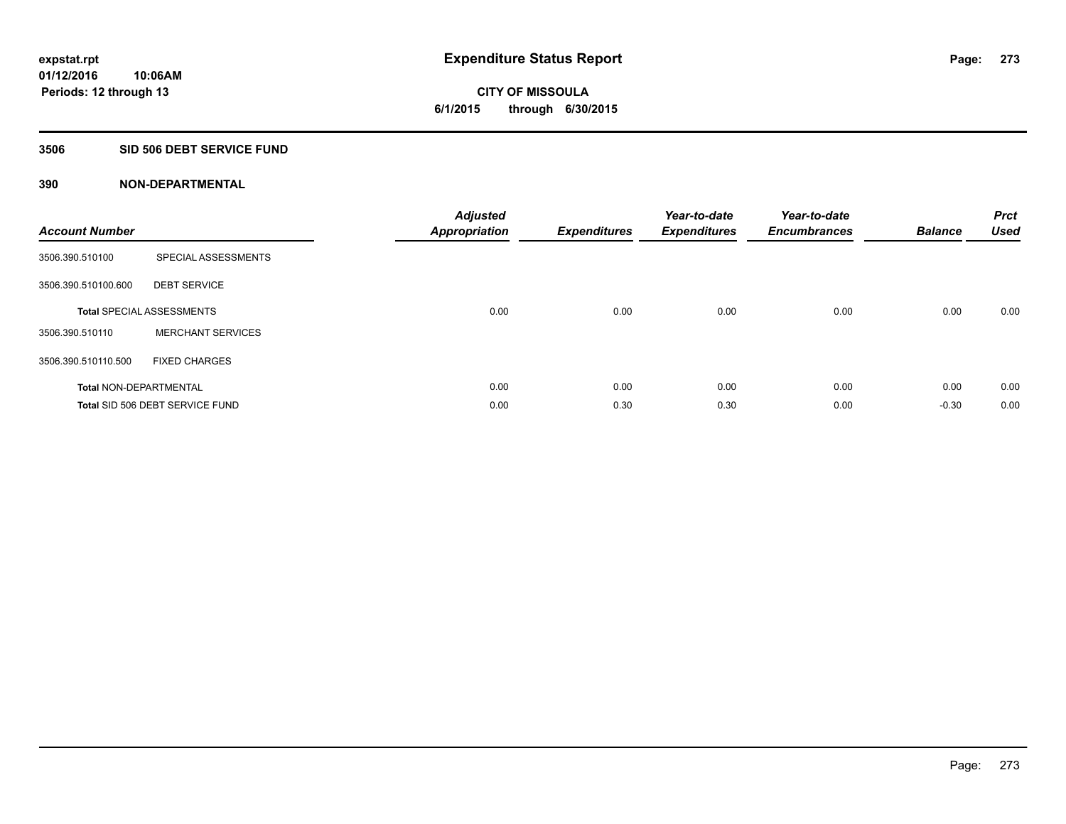# **CITY OF MISSOULA 6/1/2015 through 6/30/2015**

# **3506 SID 506 DEBT SERVICE FUND**

| <b>Account Number</b>         |                                  | <b>Adjusted</b><br><b>Appropriation</b> | <b>Expenditures</b> | Year-to-date<br><b>Expenditures</b> | Year-to-date<br><b>Encumbrances</b> | <b>Balance</b> | <b>Prct</b><br><b>Used</b> |
|-------------------------------|----------------------------------|-----------------------------------------|---------------------|-------------------------------------|-------------------------------------|----------------|----------------------------|
| 3506.390.510100               | SPECIAL ASSESSMENTS              |                                         |                     |                                     |                                     |                |                            |
| 3506.390.510100.600           | <b>DEBT SERVICE</b>              |                                         |                     |                                     |                                     |                |                            |
|                               | <b>Total SPECIAL ASSESSMENTS</b> | 0.00                                    | 0.00                | 0.00                                | 0.00                                | 0.00           | 0.00                       |
| 3506.390.510110               | <b>MERCHANT SERVICES</b>         |                                         |                     |                                     |                                     |                |                            |
| 3506.390.510110.500           | <b>FIXED CHARGES</b>             |                                         |                     |                                     |                                     |                |                            |
| <b>Total NON-DEPARTMENTAL</b> |                                  | 0.00                                    | 0.00                | 0.00                                | 0.00                                | 0.00           | 0.00                       |
|                               | Total SID 506 DEBT SERVICE FUND  | 0.00                                    | 0.30                | 0.30                                | 0.00                                | $-0.30$        | 0.00                       |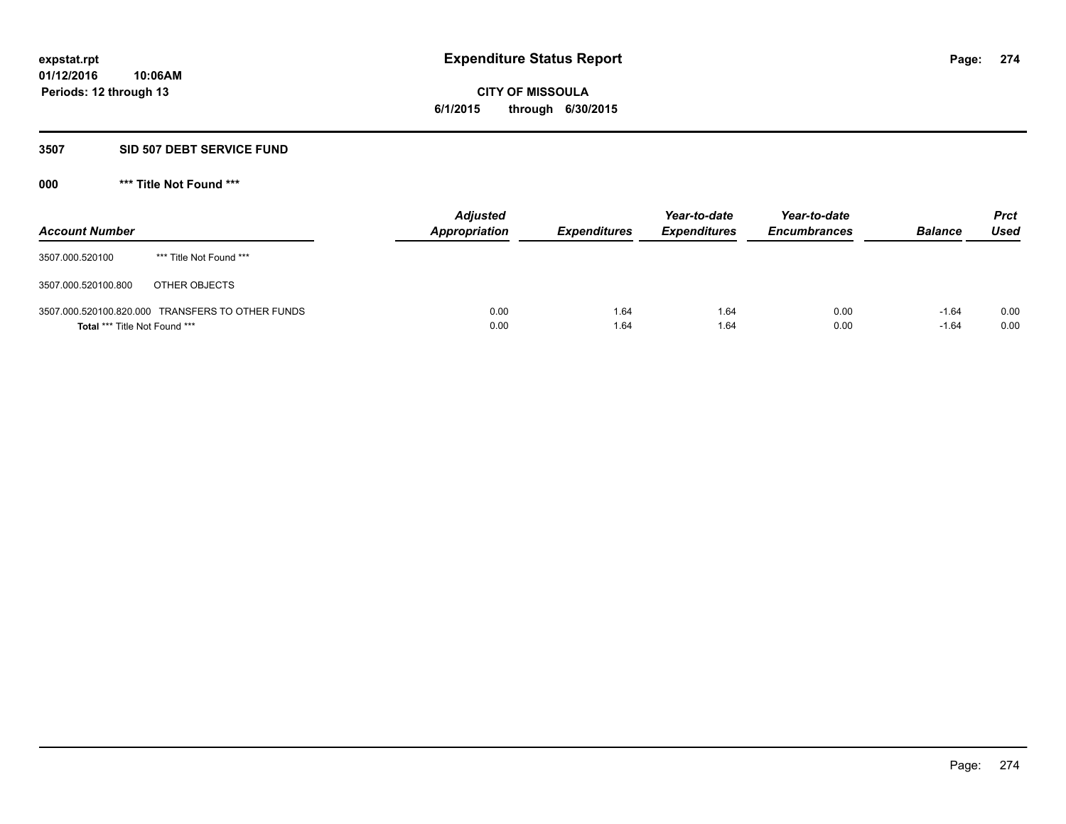**CITY OF MISSOULA 6/1/2015 through 6/30/2015**

#### **3507 SID 507 DEBT SERVICE FUND**

| <b>Account Number</b>         |                                                  | <b>Adjusted</b><br>Appropriation | <b>Expenditures</b> | Year-to-date<br><b>Expenditures</b> | Year-to-date<br><b>Encumbrances</b> | <b>Balance</b>     | <b>Prct</b><br><b>Used</b> |
|-------------------------------|--------------------------------------------------|----------------------------------|---------------------|-------------------------------------|-------------------------------------|--------------------|----------------------------|
| 3507.000.520100               | *** Title Not Found ***                          |                                  |                     |                                     |                                     |                    |                            |
| 3507.000.520100.800           | OTHER OBJECTS                                    |                                  |                     |                                     |                                     |                    |                            |
| Total *** Title Not Found *** | 3507.000.520100.820.000 TRANSFERS TO OTHER FUNDS | 0.00<br>0.00                     | 1.64<br>1.64        | 1.64<br>1.64                        | 0.00<br>0.00                        | $-1.64$<br>$-1.64$ | 0.00<br>0.00               |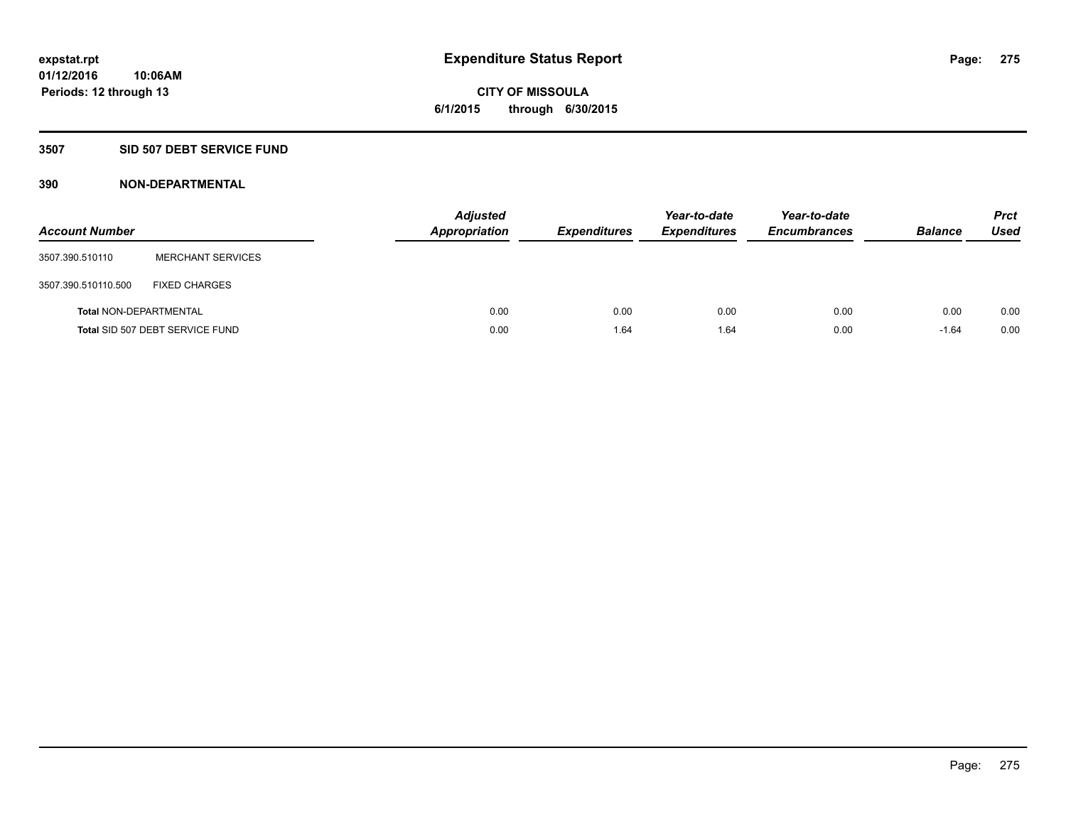# **CITY OF MISSOULA 6/1/2015 through 6/30/2015**

# **3507 SID 507 DEBT SERVICE FUND**

| <b>Account Number</b>         |                                 | <b>Adjusted</b><br><b>Appropriation</b> | <b>Expenditures</b> | Year-to-date<br><b>Expenditures</b> | Year-to-date<br><b>Encumbrances</b> | <b>Balance</b> | <b>Prct</b><br>Used |
|-------------------------------|---------------------------------|-----------------------------------------|---------------------|-------------------------------------|-------------------------------------|----------------|---------------------|
| 3507.390.510110               | <b>MERCHANT SERVICES</b>        |                                         |                     |                                     |                                     |                |                     |
| 3507.390.510110.500           | <b>FIXED CHARGES</b>            |                                         |                     |                                     |                                     |                |                     |
| <b>Total NON-DEPARTMENTAL</b> |                                 | 0.00                                    | 0.00                | 0.00                                | 0.00                                | 0.00           | 0.00                |
|                               | Total SID 507 DEBT SERVICE FUND | 0.00                                    | 1.64                | 1.64                                | 0.00                                | $-1.64$        | 0.00                |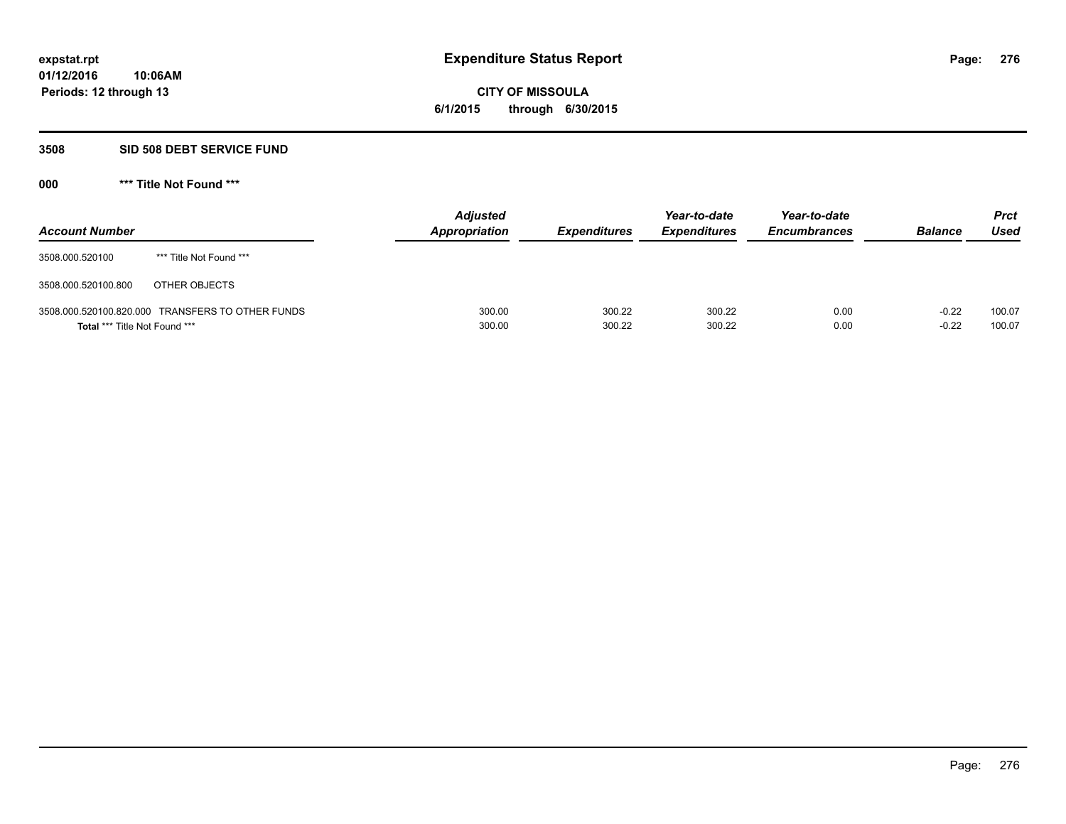# **CITY OF MISSOULA 6/1/2015 through 6/30/2015**

### **3508 SID 508 DEBT SERVICE FUND**

| <b>Account Number</b>                |                                                  | <b>Adjusted</b><br><b>Appropriation</b> | <b>Expenditures</b> | Year-to-date<br><b>Expenditures</b> | Year-to-date<br><b>Encumbrances</b> | <b>Balance</b>     | <b>Prct</b><br><b>Used</b> |
|--------------------------------------|--------------------------------------------------|-----------------------------------------|---------------------|-------------------------------------|-------------------------------------|--------------------|----------------------------|
| 3508.000.520100                      | *** Title Not Found ***                          |                                         |                     |                                     |                                     |                    |                            |
| 3508.000.520100.800                  | OTHER OBJECTS                                    |                                         |                     |                                     |                                     |                    |                            |
| <b>Total *** Title Not Found ***</b> | 3508.000.520100.820.000 TRANSFERS TO OTHER FUNDS | 300.00<br>300.00                        | 300.22<br>300.22    | 300.22<br>300.22                    | 0.00<br>0.00                        | $-0.22$<br>$-0.22$ | 100.07<br>100.07           |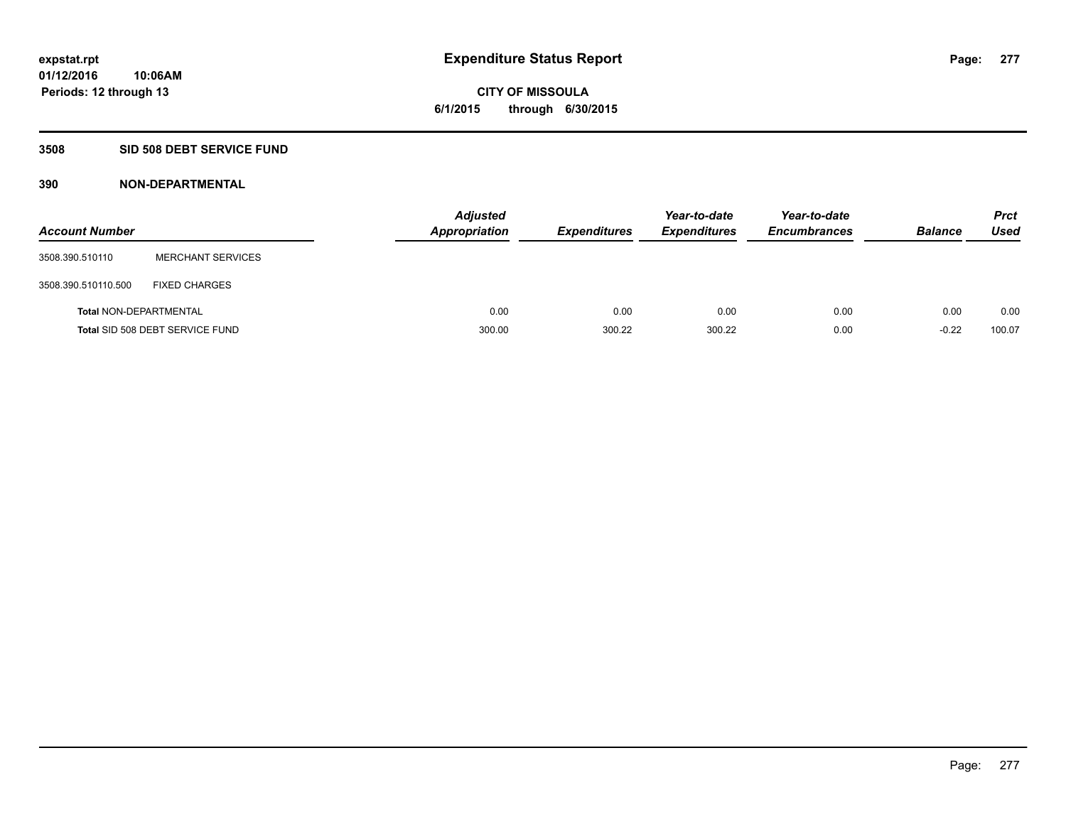**CITY OF MISSOULA 6/1/2015 through 6/30/2015**

# **3508 SID 508 DEBT SERVICE FUND**

| <b>Account Number</b>         |                                 | <b>Appropriation</b> | <b>Adjusted</b> | <b>Expenditures</b> | Year-to-date<br><b>Expenditures</b> | Year-to-date<br><b>Encumbrances</b> | <b>Balance</b> | <b>Prct</b><br>Used |
|-------------------------------|---------------------------------|----------------------|-----------------|---------------------|-------------------------------------|-------------------------------------|----------------|---------------------|
| 3508.390.510110               | <b>MERCHANT SERVICES</b>        |                      |                 |                     |                                     |                                     |                |                     |
| 3508.390.510110.500           | <b>FIXED CHARGES</b>            |                      |                 |                     |                                     |                                     |                |                     |
| <b>Total NON-DEPARTMENTAL</b> |                                 |                      | 0.00            | 0.00                | 0.00                                | 0.00                                | 0.00           | 0.00                |
|                               | Total SID 508 DEBT SERVICE FUND |                      | 300.00          | 300.22              | 300.22                              | 0.00                                | $-0.22$        | 100.07              |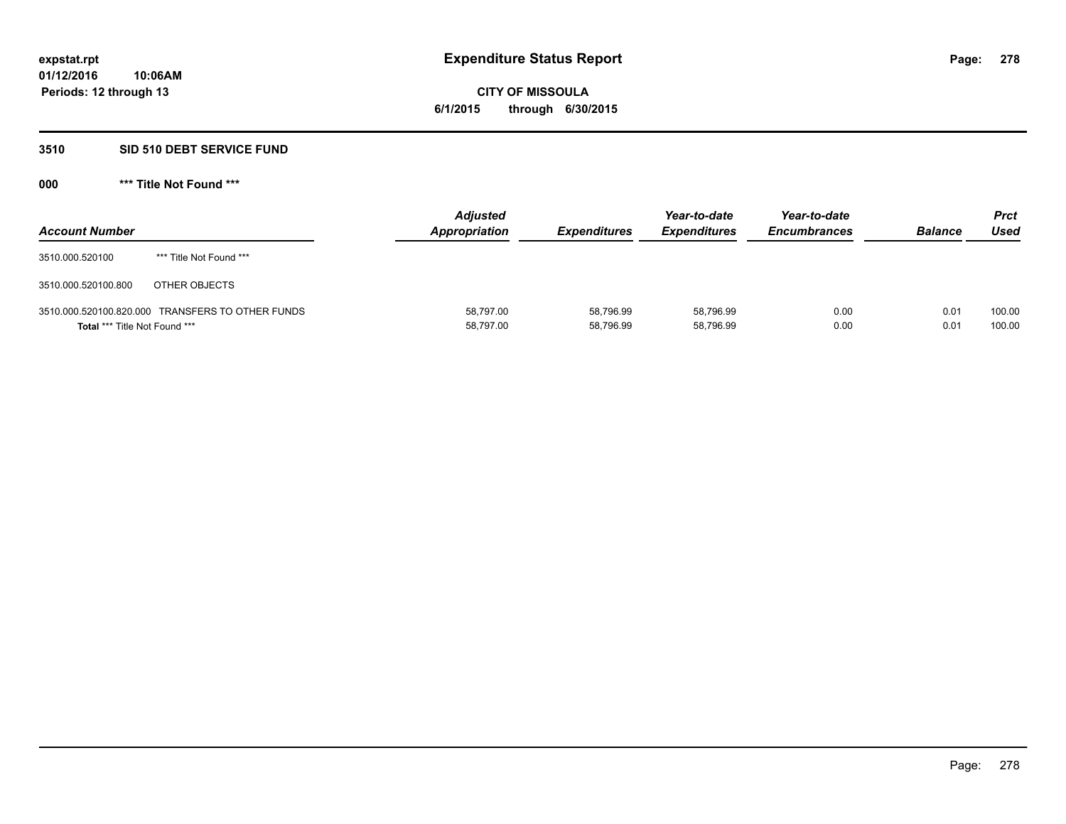# **CITY OF MISSOULA 6/1/2015 through 6/30/2015**

# **3510 SID 510 DEBT SERVICE FUND**

| <b>Account Number</b>                |                                                  | <b>Adjusted</b><br>Appropriation | <b>Expenditures</b>    | Year-to-date<br><b>Expenditures</b> | Year-to-date<br><b>Encumbrances</b> | <b>Balance</b> | Prct<br>Used     |
|--------------------------------------|--------------------------------------------------|----------------------------------|------------------------|-------------------------------------|-------------------------------------|----------------|------------------|
| 3510.000.520100                      | *** Title Not Found ***                          |                                  |                        |                                     |                                     |                |                  |
| 3510.000.520100.800                  | OTHER OBJECTS                                    |                                  |                        |                                     |                                     |                |                  |
| <b>Total *** Title Not Found ***</b> | 3510.000.520100.820.000 TRANSFERS TO OTHER FUNDS | 58,797.00<br>58,797.00           | 58,796.99<br>58,796.99 | 58,796.99<br>58,796.99              | 0.00<br>0.00                        | 0.01<br>0.01   | 100.00<br>100.00 |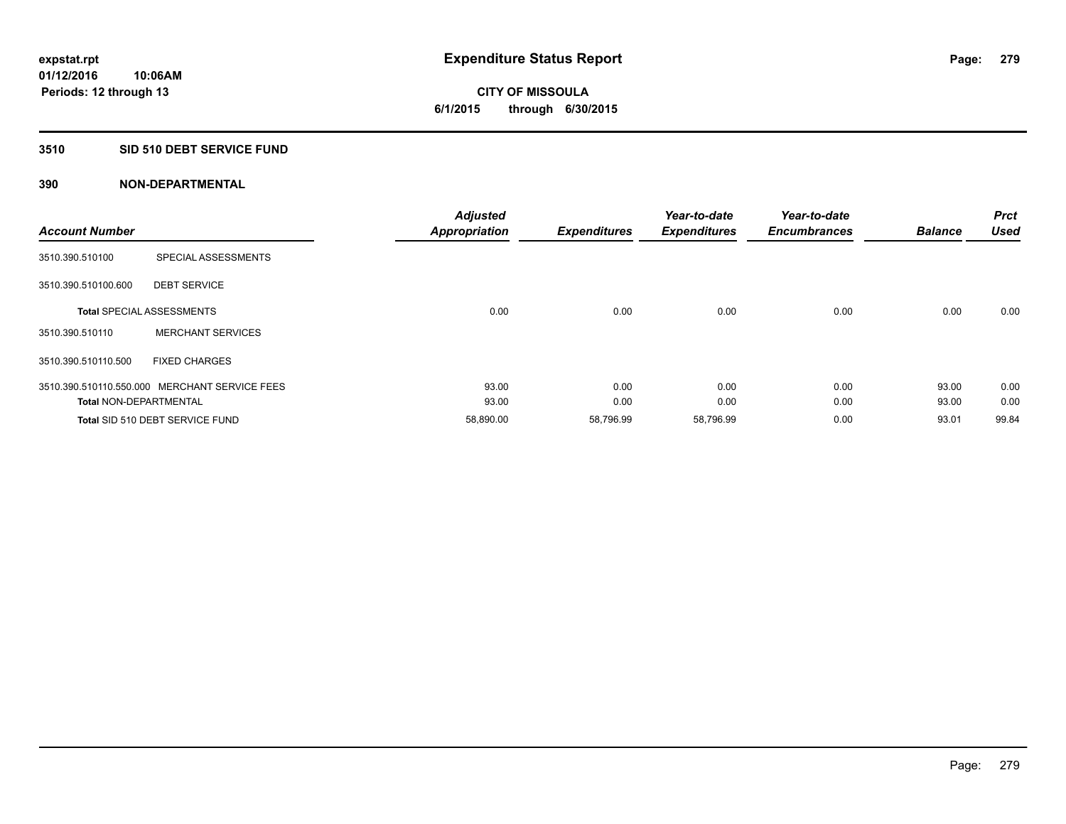**Periods: 12 through 13**

**CITY OF MISSOULA 6/1/2015 through 6/30/2015**

#### **3510 SID 510 DEBT SERVICE FUND**

**10:06AM**

| <b>Account Number</b>         |                                               | <b>Adjusted</b><br><b>Appropriation</b> | <b>Expenditures</b> | Year-to-date<br><b>Expenditures</b> | Year-to-date<br><b>Encumbrances</b> | <b>Balance</b> | <b>Prct</b><br><b>Used</b> |
|-------------------------------|-----------------------------------------------|-----------------------------------------|---------------------|-------------------------------------|-------------------------------------|----------------|----------------------------|
| 3510.390.510100               | SPECIAL ASSESSMENTS                           |                                         |                     |                                     |                                     |                |                            |
| 3510.390.510100.600           | <b>DEBT SERVICE</b>                           |                                         |                     |                                     |                                     |                |                            |
|                               | <b>Total SPECIAL ASSESSMENTS</b>              | 0.00                                    | 0.00                | 0.00                                | 0.00                                | 0.00           | 0.00                       |
| 3510.390.510110               | <b>MERCHANT SERVICES</b>                      |                                         |                     |                                     |                                     |                |                            |
| 3510.390.510110.500           | <b>FIXED CHARGES</b>                          |                                         |                     |                                     |                                     |                |                            |
|                               | 3510.390.510110.550.000 MERCHANT SERVICE FEES | 93.00                                   | 0.00                | 0.00                                | 0.00                                | 93.00          | 0.00                       |
| <b>Total NON-DEPARTMENTAL</b> |                                               | 93.00                                   | 0.00                | 0.00                                | 0.00                                | 93.00          | 0.00                       |
|                               | Total SID 510 DEBT SERVICE FUND               | 58,890.00                               | 58,796.99           | 58,796.99                           | 0.00                                | 93.01          | 99.84                      |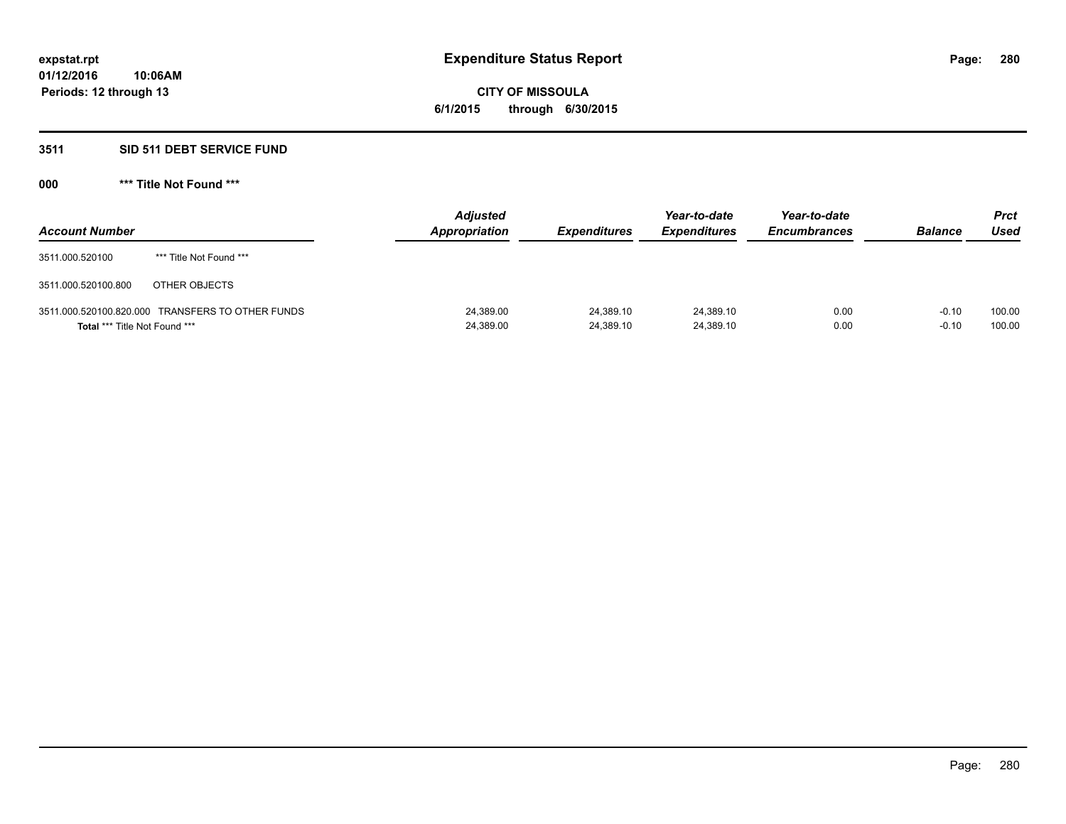# **CITY OF MISSOULA 6/1/2015 through 6/30/2015**

# **3511 SID 511 DEBT SERVICE FUND**

| <b>Account Number</b>                |                                                  | <b>Adjusted</b><br>Appropriation | <b>Expenditures</b>    | Year-to-date<br><b>Expenditures</b> | Year-to-date<br><b>Encumbrances</b> | <b>Balance</b>     | <b>Prct</b><br><b>Used</b> |
|--------------------------------------|--------------------------------------------------|----------------------------------|------------------------|-------------------------------------|-------------------------------------|--------------------|----------------------------|
| 3511.000.520100                      | *** Title Not Found ***                          |                                  |                        |                                     |                                     |                    |                            |
| 3511.000.520100.800                  | OTHER OBJECTS                                    |                                  |                        |                                     |                                     |                    |                            |
| <b>Total *** Title Not Found ***</b> | 3511.000.520100.820.000 TRANSFERS TO OTHER FUNDS | 24,389.00<br>24,389.00           | 24.389.10<br>24,389.10 | 24,389.10<br>24,389.10              | 0.00<br>0.00                        | $-0.10$<br>$-0.10$ | 100.00<br>100.00           |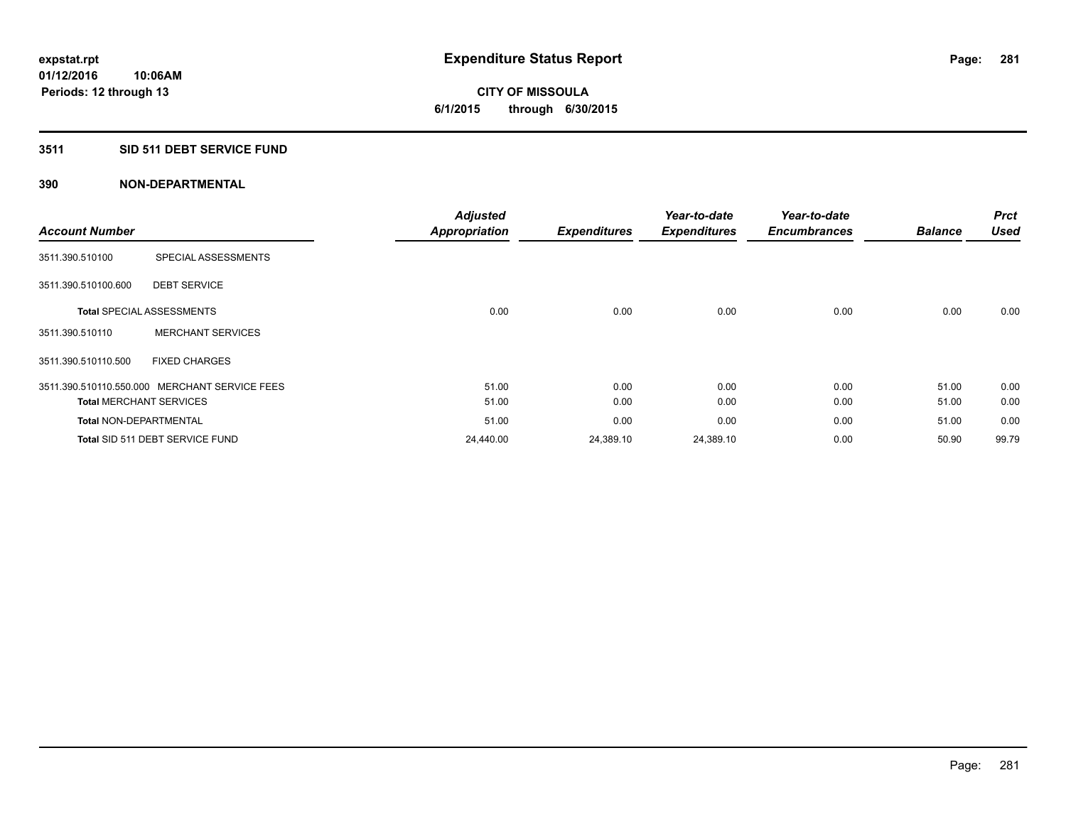**Periods: 12 through 13**

**CITY OF MISSOULA 6/1/2015 through 6/30/2015**

### **3511 SID 511 DEBT SERVICE FUND**

|                               |                                               | <b>Adjusted</b>      |                     | Year-to-date        | Year-to-date        |                | <b>Prct</b> |
|-------------------------------|-----------------------------------------------|----------------------|---------------------|---------------------|---------------------|----------------|-------------|
| <b>Account Number</b>         |                                               | <b>Appropriation</b> | <b>Expenditures</b> | <b>Expenditures</b> | <b>Encumbrances</b> | <b>Balance</b> | Used        |
| 3511.390.510100               | SPECIAL ASSESSMENTS                           |                      |                     |                     |                     |                |             |
| 3511.390.510100.600           | <b>DEBT SERVICE</b>                           |                      |                     |                     |                     |                |             |
|                               | <b>Total SPECIAL ASSESSMENTS</b>              | 0.00                 | 0.00                | 0.00                | 0.00                | 0.00           | 0.00        |
| 3511.390.510110               | <b>MERCHANT SERVICES</b>                      |                      |                     |                     |                     |                |             |
| 3511.390.510110.500           | <b>FIXED CHARGES</b>                          |                      |                     |                     |                     |                |             |
|                               | 3511.390.510110.550.000 MERCHANT SERVICE FEES | 51.00                | 0.00                | 0.00                | 0.00                | 51.00          | 0.00        |
|                               | <b>Total MERCHANT SERVICES</b>                | 51.00                | 0.00                | 0.00                | 0.00                | 51.00          | 0.00        |
| <b>Total NON-DEPARTMENTAL</b> |                                               | 51.00                | 0.00                | 0.00                | 0.00                | 51.00          | 0.00        |
|                               | Total SID 511 DEBT SERVICE FUND               | 24,440.00            | 24,389.10           | 24,389.10           | 0.00                | 50.90          | 99.79       |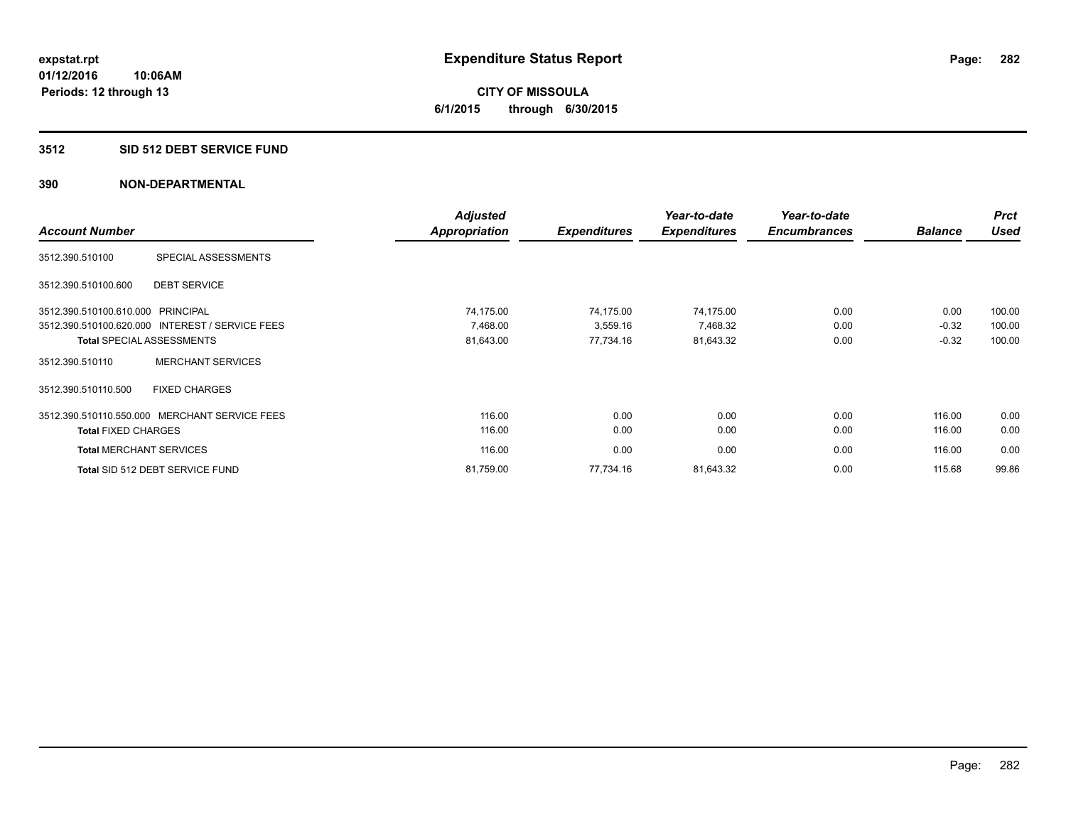**CITY OF MISSOULA 6/1/2015 through 6/30/2015**

### **3512 SID 512 DEBT SERVICE FUND**

|                                   |                                                 | <b>Adjusted</b> |                     | Year-to-date        | Year-to-date        |                | <b>Prct</b> |
|-----------------------------------|-------------------------------------------------|-----------------|---------------------|---------------------|---------------------|----------------|-------------|
| <b>Account Number</b>             |                                                 | Appropriation   | <b>Expenditures</b> | <b>Expenditures</b> | <b>Encumbrances</b> | <b>Balance</b> | <b>Used</b> |
| 3512.390.510100                   | SPECIAL ASSESSMENTS                             |                 |                     |                     |                     |                |             |
| 3512.390.510100.600               | <b>DEBT SERVICE</b>                             |                 |                     |                     |                     |                |             |
| 3512.390.510100.610.000 PRINCIPAL |                                                 | 74.175.00       | 74,175.00           | 74,175.00           | 0.00                | 0.00           | 100.00      |
|                                   | 3512.390.510100.620.000 INTEREST / SERVICE FEES | 7,468.00        | 3,559.16            | 7,468.32            | 0.00                | $-0.32$        | 100.00      |
|                                   | <b>Total SPECIAL ASSESSMENTS</b>                | 81,643.00       | 77,734.16           | 81,643.32           | 0.00                | $-0.32$        | 100.00      |
| 3512.390.510110                   | <b>MERCHANT SERVICES</b>                        |                 |                     |                     |                     |                |             |
| 3512.390.510110.500               | <b>FIXED CHARGES</b>                            |                 |                     |                     |                     |                |             |
|                                   | 3512.390.510110.550.000 MERCHANT SERVICE FEES   | 116.00          | 0.00                | 0.00                | 0.00                | 116.00         | 0.00        |
| <b>Total FIXED CHARGES</b>        |                                                 | 116.00          | 0.00                | 0.00                | 0.00                | 116.00         | 0.00        |
| <b>Total MERCHANT SERVICES</b>    |                                                 | 116.00          | 0.00                | 0.00                | 0.00                | 116.00         | 0.00        |
|                                   | Total SID 512 DEBT SERVICE FUND                 | 81,759.00       | 77,734.16           | 81,643.32           | 0.00                | 115.68         | 99.86       |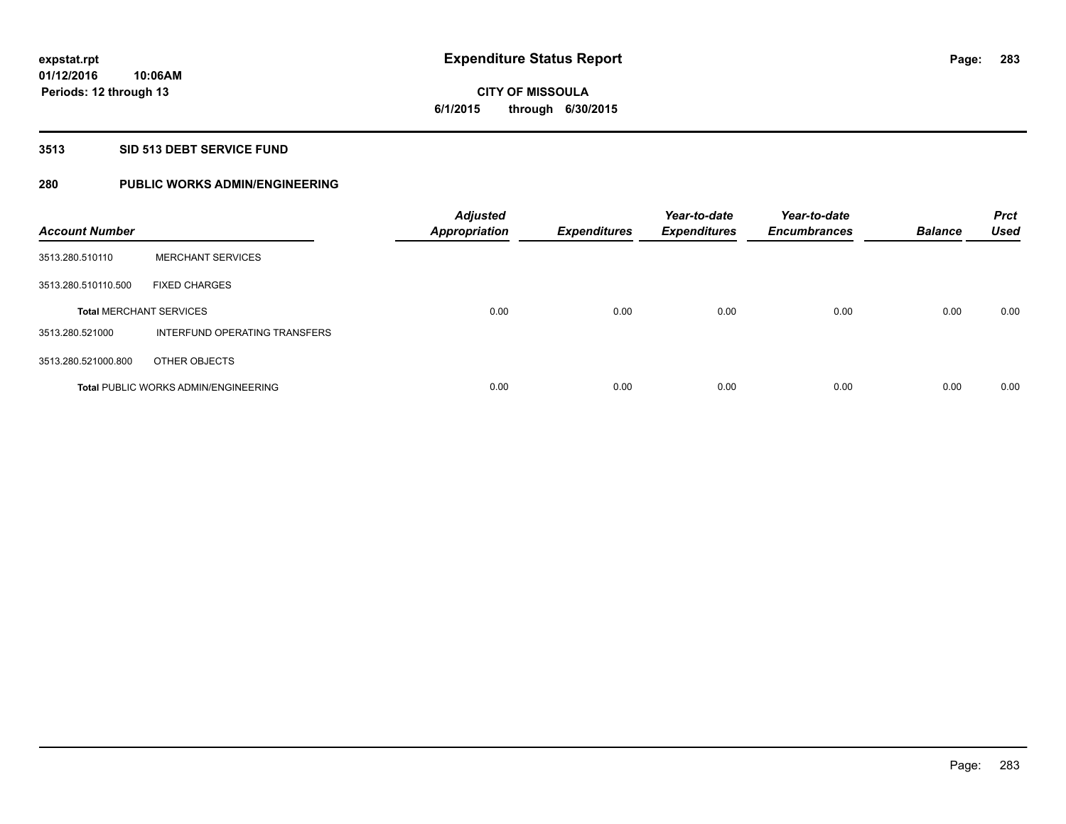**CITY OF MISSOULA 6/1/2015 through 6/30/2015**

#### **3513 SID 513 DEBT SERVICE FUND**

# **280 PUBLIC WORKS ADMIN/ENGINEERING**

| <b>Account Number</b>          |                                             | <b>Adjusted</b><br><b>Appropriation</b> | <b>Expenditures</b> | Year-to-date<br><b>Expenditures</b> | Year-to-date<br><b>Encumbrances</b> | <b>Balance</b> | <b>Prct</b><br><b>Used</b> |
|--------------------------------|---------------------------------------------|-----------------------------------------|---------------------|-------------------------------------|-------------------------------------|----------------|----------------------------|
| 3513.280.510110                | <b>MERCHANT SERVICES</b>                    |                                         |                     |                                     |                                     |                |                            |
| 3513.280.510110.500            | <b>FIXED CHARGES</b>                        |                                         |                     |                                     |                                     |                |                            |
| <b>Total MERCHANT SERVICES</b> |                                             | 0.00                                    | 0.00                | 0.00                                | 0.00                                | 0.00           | 0.00                       |
| 3513.280.521000                | INTERFUND OPERATING TRANSFERS               |                                         |                     |                                     |                                     |                |                            |
| 3513.280.521000.800            | OTHER OBJECTS                               |                                         |                     |                                     |                                     |                |                            |
|                                | <b>Total PUBLIC WORKS ADMIN/ENGINEERING</b> | 0.00                                    | 0.00                | 0.00                                | 0.00                                | 0.00           | 0.00                       |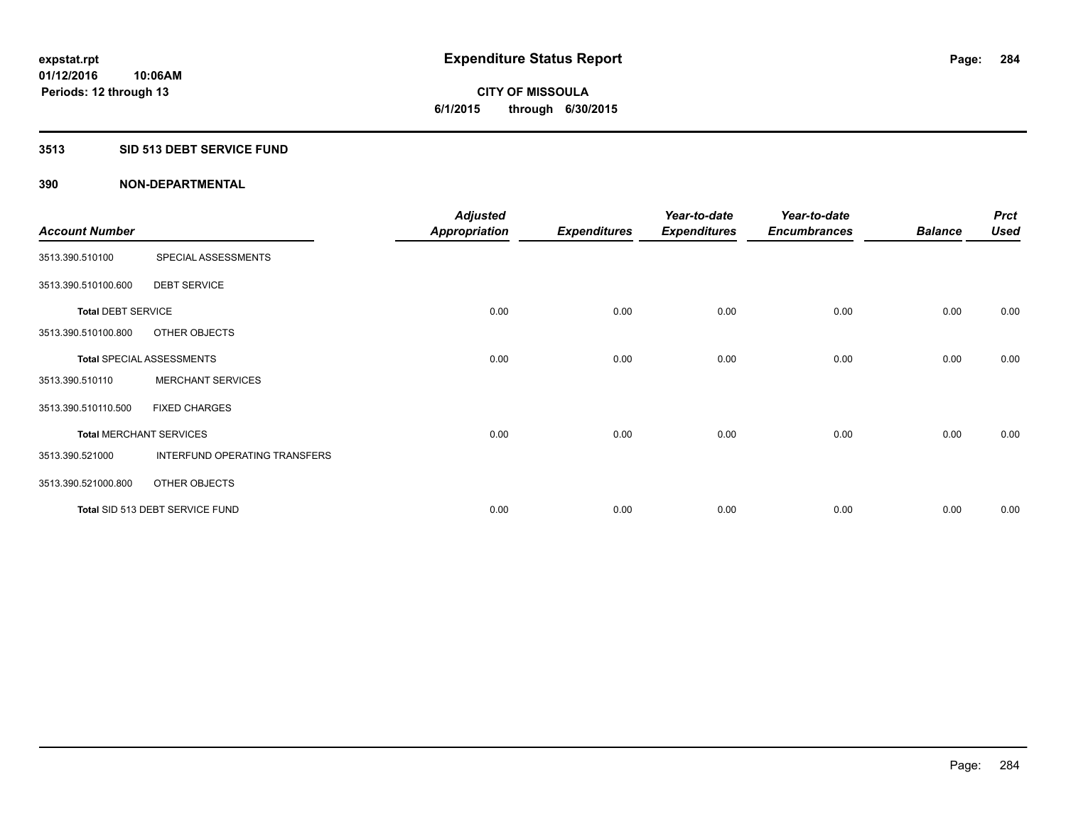**CITY OF MISSOULA 6/1/2015 through 6/30/2015**

### **3513 SID 513 DEBT SERVICE FUND**

| <b>Account Number</b>     |                                  | <b>Adjusted</b><br><b>Appropriation</b> | <b>Expenditures</b> | Year-to-date<br><b>Expenditures</b> | Year-to-date<br><b>Encumbrances</b> | <b>Balance</b> | <b>Prct</b><br><b>Used</b> |
|---------------------------|----------------------------------|-----------------------------------------|---------------------|-------------------------------------|-------------------------------------|----------------|----------------------------|
| 3513.390.510100           | SPECIAL ASSESSMENTS              |                                         |                     |                                     |                                     |                |                            |
| 3513.390.510100.600       | <b>DEBT SERVICE</b>              |                                         |                     |                                     |                                     |                |                            |
| <b>Total DEBT SERVICE</b> |                                  | 0.00                                    | 0.00                | 0.00                                | 0.00                                | 0.00           | 0.00                       |
| 3513.390.510100.800       | OTHER OBJECTS                    |                                         |                     |                                     |                                     |                |                            |
|                           | <b>Total SPECIAL ASSESSMENTS</b> | 0.00                                    | 0.00                | 0.00                                | 0.00                                | 0.00           | 0.00                       |
| 3513.390.510110           | <b>MERCHANT SERVICES</b>         |                                         |                     |                                     |                                     |                |                            |
| 3513.390.510110.500       | <b>FIXED CHARGES</b>             |                                         |                     |                                     |                                     |                |                            |
|                           | <b>Total MERCHANT SERVICES</b>   | 0.00                                    | 0.00                | 0.00                                | 0.00                                | 0.00           | 0.00                       |
| 3513.390.521000           | INTERFUND OPERATING TRANSFERS    |                                         |                     |                                     |                                     |                |                            |
| 3513.390.521000.800       | OTHER OBJECTS                    |                                         |                     |                                     |                                     |                |                            |
|                           | Total SID 513 DEBT SERVICE FUND  | 0.00                                    | 0.00                | 0.00                                | 0.00                                | 0.00           | 0.00                       |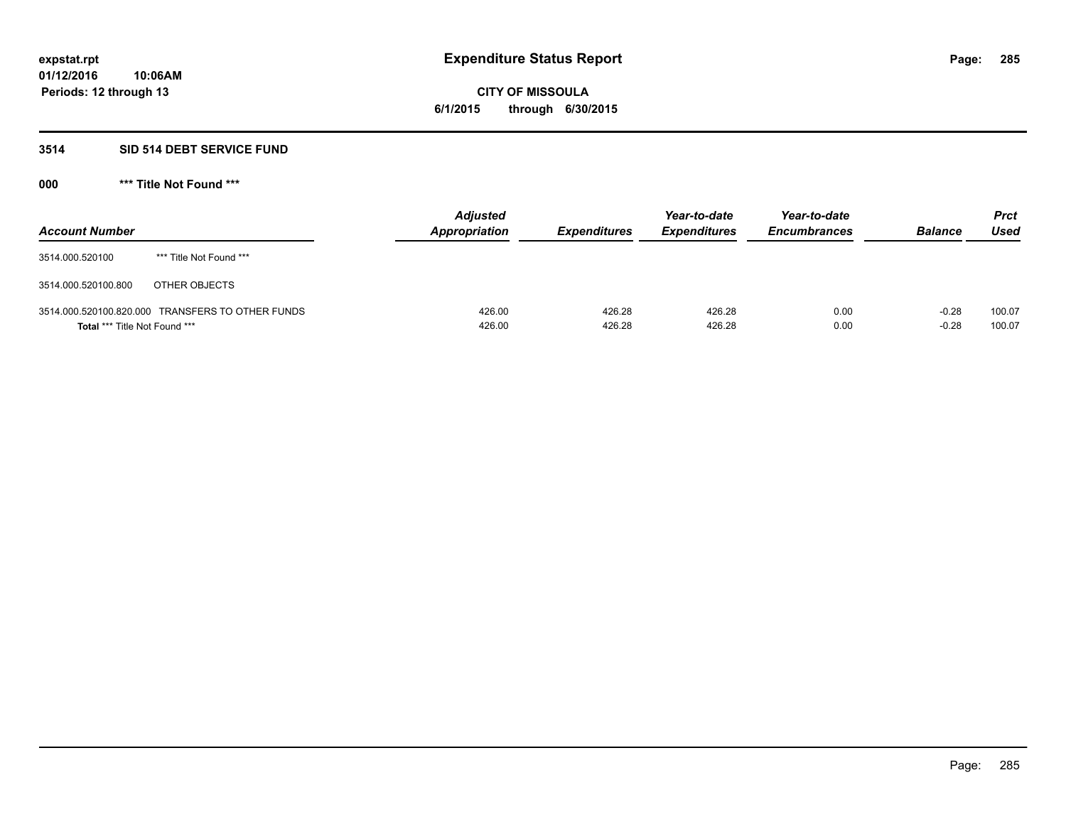# **CITY OF MISSOULA 6/1/2015 through 6/30/2015**

# **3514 SID 514 DEBT SERVICE FUND**

| <b>Account Number</b>                |                                                  | <b>Adjusted</b><br><b>Appropriation</b> | <b>Expenditures</b> | Year-to-date<br><b>Expenditures</b> | Year-to-date<br><b>Encumbrances</b> | <b>Balance</b>     | <b>Prct</b><br>Used |
|--------------------------------------|--------------------------------------------------|-----------------------------------------|---------------------|-------------------------------------|-------------------------------------|--------------------|---------------------|
| 3514.000.520100                      | *** Title Not Found ***                          |                                         |                     |                                     |                                     |                    |                     |
| 3514.000.520100.800                  | OTHER OBJECTS                                    |                                         |                     |                                     |                                     |                    |                     |
| <b>Total *** Title Not Found ***</b> | 3514.000.520100.820.000 TRANSFERS TO OTHER FUNDS | 426.00<br>426.00                        | 426.28<br>426.28    | 426.28<br>426.28                    | 0.00<br>0.00                        | $-0.28$<br>$-0.28$ | 100.07<br>100.07    |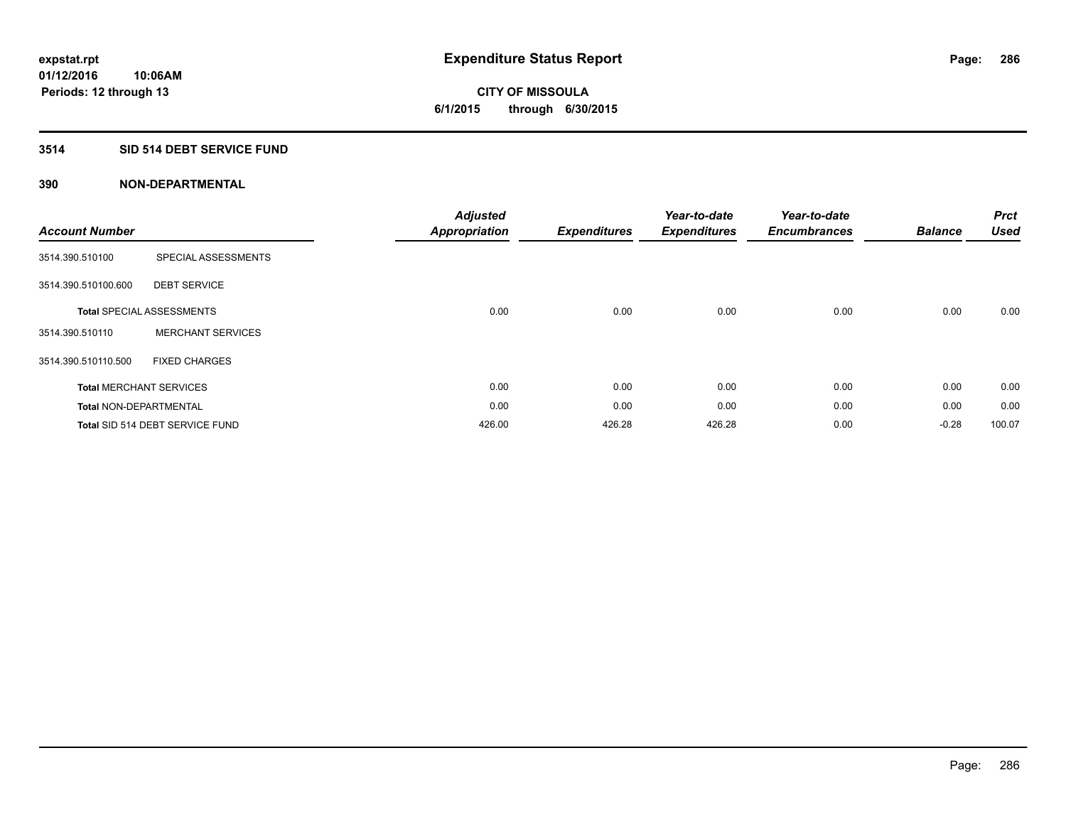# **CITY OF MISSOULA 6/1/2015 through 6/30/2015**

# **3514 SID 514 DEBT SERVICE FUND**

| <b>Account Number</b>         |                                  | <b>Adjusted</b><br><b>Appropriation</b> | <b>Expenditures</b> | Year-to-date<br><b>Expenditures</b> | Year-to-date<br><b>Encumbrances</b> | <b>Balance</b> | <b>Prct</b><br><b>Used</b> |
|-------------------------------|----------------------------------|-----------------------------------------|---------------------|-------------------------------------|-------------------------------------|----------------|----------------------------|
| 3514.390.510100               | SPECIAL ASSESSMENTS              |                                         |                     |                                     |                                     |                |                            |
| 3514.390.510100.600           | <b>DEBT SERVICE</b>              |                                         |                     |                                     |                                     |                |                            |
|                               | <b>Total SPECIAL ASSESSMENTS</b> | 0.00                                    | 0.00                | 0.00                                | 0.00                                | 0.00           | 0.00                       |
| 3514.390.510110               | <b>MERCHANT SERVICES</b>         |                                         |                     |                                     |                                     |                |                            |
| 3514.390.510110.500           | <b>FIXED CHARGES</b>             |                                         |                     |                                     |                                     |                |                            |
|                               | <b>Total MERCHANT SERVICES</b>   | 0.00                                    | 0.00                | 0.00                                | 0.00                                | 0.00           | 0.00                       |
| <b>Total NON-DEPARTMENTAL</b> |                                  | 0.00                                    | 0.00                | 0.00                                | 0.00                                | 0.00           | 0.00                       |
|                               | Total SID 514 DEBT SERVICE FUND  | 426.00                                  | 426.28              | 426.28                              | 0.00                                | $-0.28$        | 100.07                     |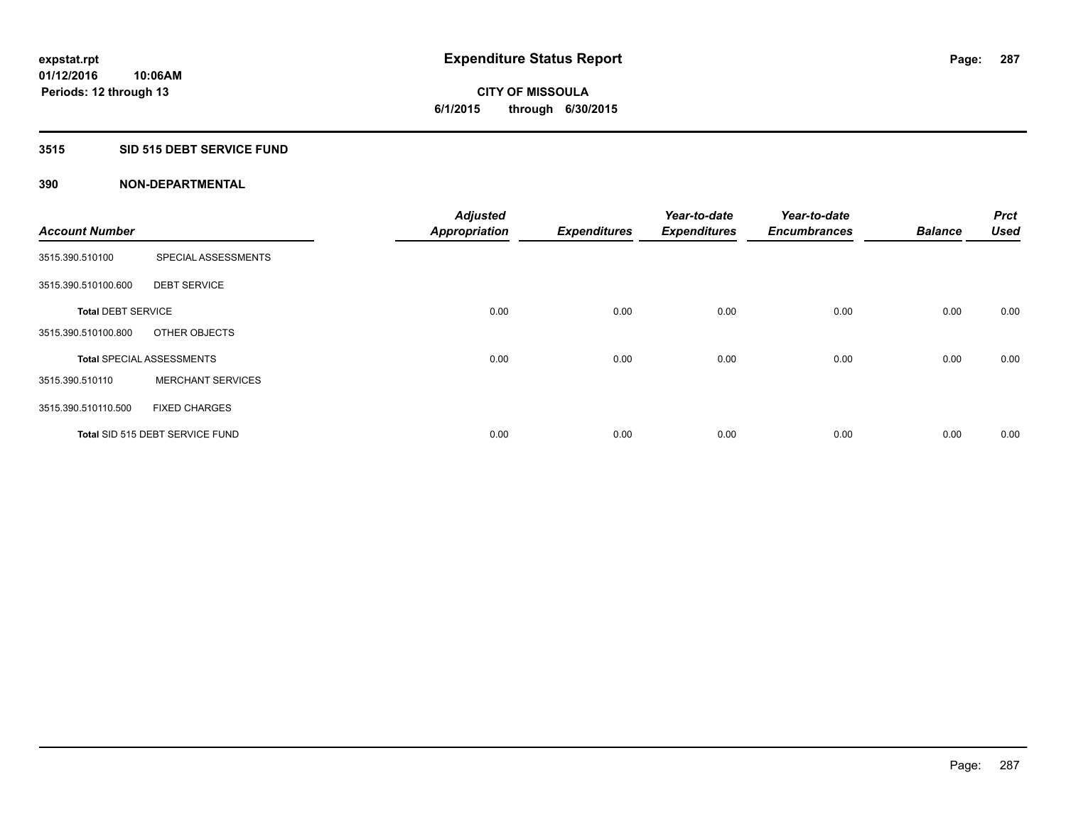# **CITY OF MISSOULA 6/1/2015 through 6/30/2015**

# **3515 SID 515 DEBT SERVICE FUND**

| <b>Account Number</b>     |                                  | <b>Adjusted</b><br><b>Appropriation</b> | <b>Expenditures</b> | Year-to-date<br><b>Expenditures</b> | Year-to-date<br><b>Encumbrances</b> | <b>Balance</b> | <b>Prct</b><br><b>Used</b> |
|---------------------------|----------------------------------|-----------------------------------------|---------------------|-------------------------------------|-------------------------------------|----------------|----------------------------|
| 3515.390.510100           | SPECIAL ASSESSMENTS              |                                         |                     |                                     |                                     |                |                            |
| 3515.390.510100.600       | <b>DEBT SERVICE</b>              |                                         |                     |                                     |                                     |                |                            |
| <b>Total DEBT SERVICE</b> |                                  | 0.00                                    | 0.00                | 0.00                                | 0.00                                | 0.00           | 0.00                       |
| 3515.390.510100.800       | OTHER OBJECTS                    |                                         |                     |                                     |                                     |                |                            |
|                           | <b>Total SPECIAL ASSESSMENTS</b> | 0.00                                    | 0.00                | 0.00                                | 0.00                                | 0.00           | 0.00                       |
| 3515.390.510110           | <b>MERCHANT SERVICES</b>         |                                         |                     |                                     |                                     |                |                            |
| 3515.390.510110.500       | <b>FIXED CHARGES</b>             |                                         |                     |                                     |                                     |                |                            |
|                           | Total SID 515 DEBT SERVICE FUND  | 0.00                                    | 0.00                | 0.00                                | 0.00                                | 0.00           | 0.00                       |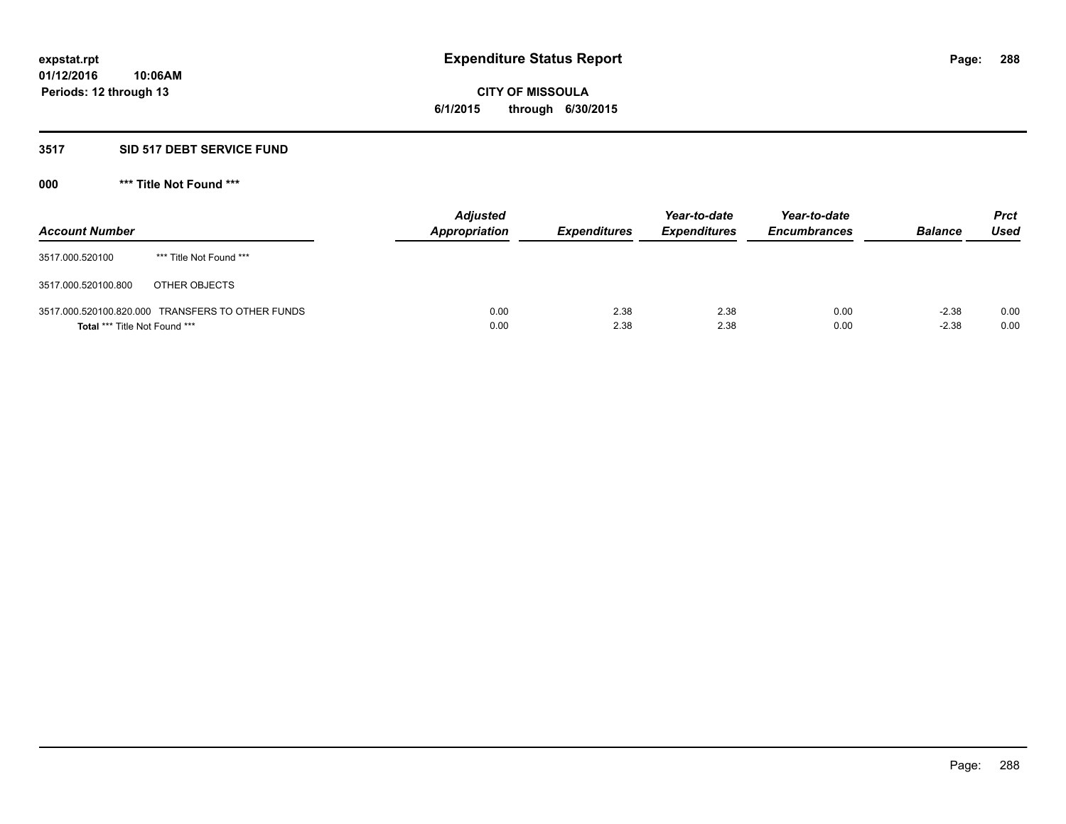# **CITY OF MISSOULA 6/1/2015 through 6/30/2015**

# **3517 SID 517 DEBT SERVICE FUND**

| <b>Account Number</b>                |                                                  | <b>Adjusted</b><br><b>Appropriation</b> | <b>Expenditures</b> | Year-to-date<br><b>Expenditures</b> | Year-to-date<br><b>Encumbrances</b> | <b>Balance</b>     | Prct<br><b>Used</b> |
|--------------------------------------|--------------------------------------------------|-----------------------------------------|---------------------|-------------------------------------|-------------------------------------|--------------------|---------------------|
| 3517.000.520100                      | *** Title Not Found ***                          |                                         |                     |                                     |                                     |                    |                     |
| 3517.000.520100.800                  | OTHER OBJECTS                                    |                                         |                     |                                     |                                     |                    |                     |
| <b>Total *** Title Not Found ***</b> | 3517.000.520100.820.000 TRANSFERS TO OTHER FUNDS | 0.00<br>0.00                            | 2.38<br>2.38        | 2.38<br>2.38                        | 0.00<br>0.00                        | $-2.38$<br>$-2.38$ | 0.00<br>0.00        |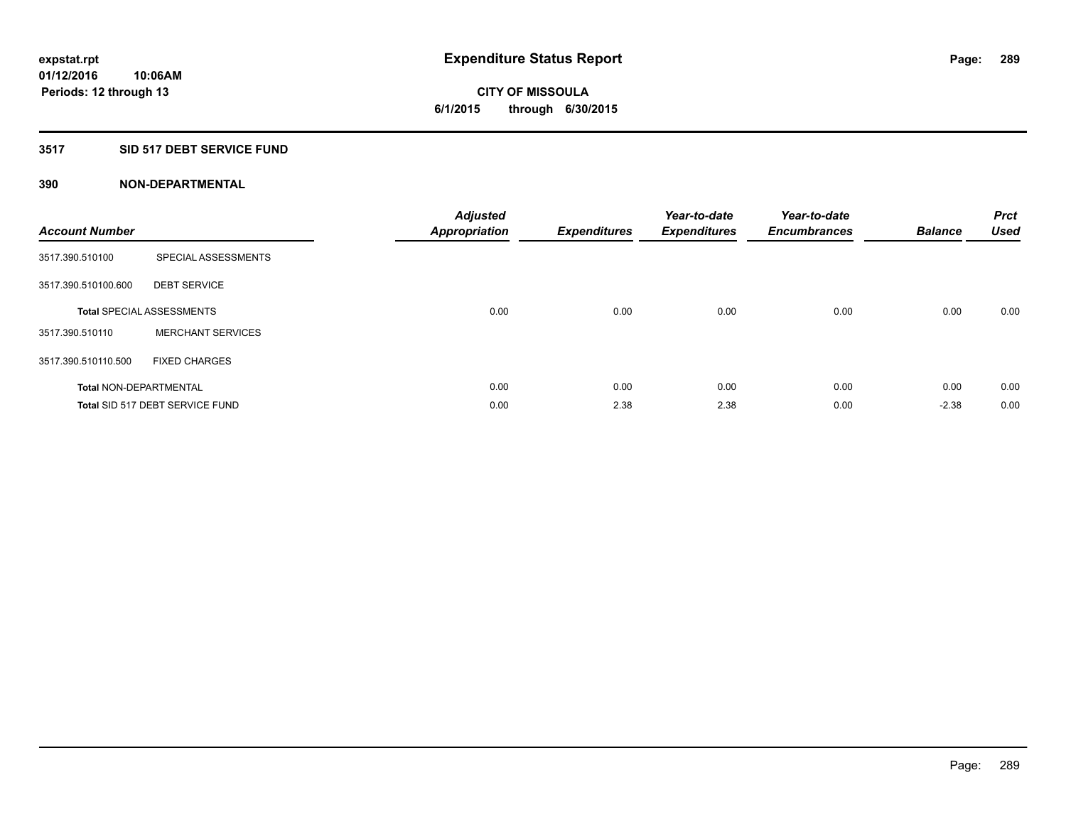#### **3517 SID 517 DEBT SERVICE FUND**

| <b>Account Number</b>         |                                  | <b>Adjusted</b><br><b>Appropriation</b> | <b>Expenditures</b> | Year-to-date<br><b>Expenditures</b> | Year-to-date<br><b>Encumbrances</b> | <b>Balance</b> | <b>Prct</b><br><b>Used</b> |
|-------------------------------|----------------------------------|-----------------------------------------|---------------------|-------------------------------------|-------------------------------------|----------------|----------------------------|
| 3517.390.510100               | SPECIAL ASSESSMENTS              |                                         |                     |                                     |                                     |                |                            |
| 3517.390.510100.600           | <b>DEBT SERVICE</b>              |                                         |                     |                                     |                                     |                |                            |
|                               | <b>Total SPECIAL ASSESSMENTS</b> | 0.00                                    | 0.00                | 0.00                                | 0.00                                | 0.00           | 0.00                       |
| 3517.390.510110               | <b>MERCHANT SERVICES</b>         |                                         |                     |                                     |                                     |                |                            |
| 3517.390.510110.500           | <b>FIXED CHARGES</b>             |                                         |                     |                                     |                                     |                |                            |
| <b>Total NON-DEPARTMENTAL</b> |                                  | 0.00                                    | 0.00                | 0.00                                | 0.00                                | 0.00           | 0.00                       |
|                               | Total SID 517 DEBT SERVICE FUND  | 0.00                                    | 2.38                | 2.38                                | 0.00                                | $-2.38$        | 0.00                       |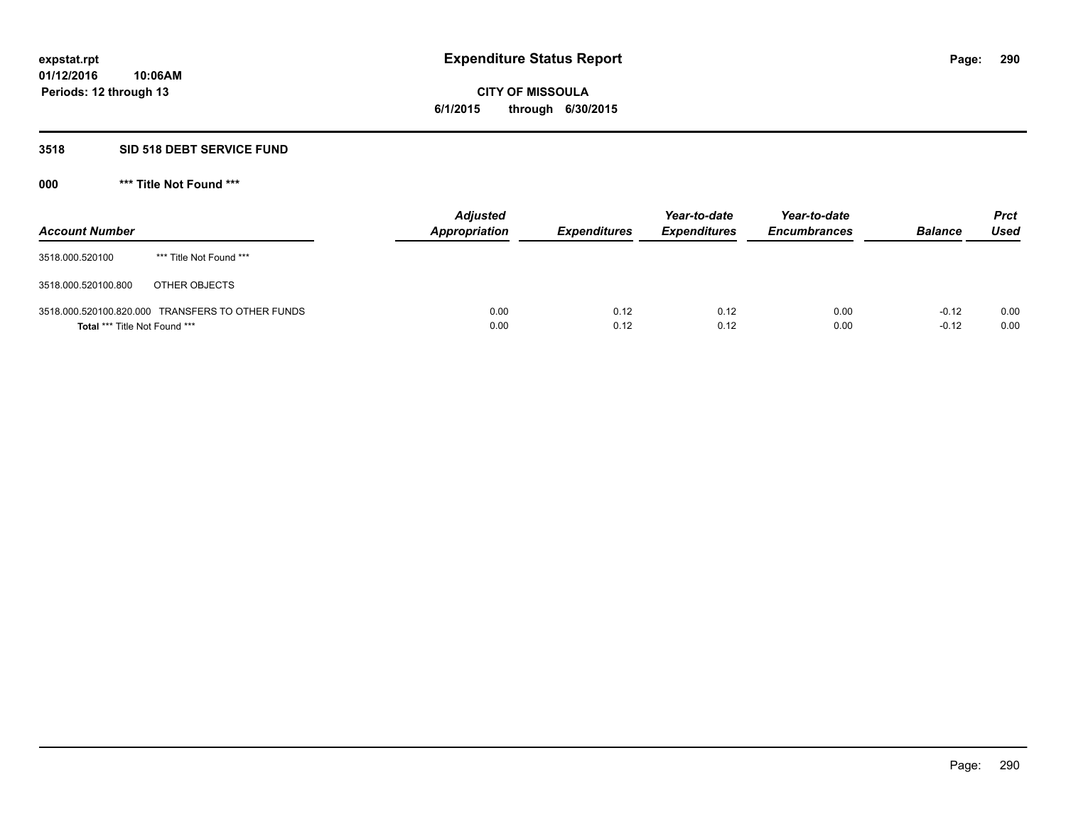# **CITY OF MISSOULA 6/1/2015 through 6/30/2015**

#### **3518 SID 518 DEBT SERVICE FUND**

**000 \*\*\* Title Not Found \*\*\***

| <b>Account Number</b>         |                                                  | <b>Adjusted</b><br>Appropriation | <b>Expenditures</b> | Year-to-date<br><b>Expenditures</b> | Year-to-date<br><b>Encumbrances</b> | <b>Balance</b>     | <b>Prct</b><br><b>Used</b> |
|-------------------------------|--------------------------------------------------|----------------------------------|---------------------|-------------------------------------|-------------------------------------|--------------------|----------------------------|
| 3518.000.520100               | *** Title Not Found ***                          |                                  |                     |                                     |                                     |                    |                            |
| 3518.000.520100.800           | OTHER OBJECTS                                    |                                  |                     |                                     |                                     |                    |                            |
| Total *** Title Not Found *** | 3518.000.520100.820.000 TRANSFERS TO OTHER FUNDS | 0.00<br>0.00                     | 0.12<br>0.12        | 0.12<br>0.12                        | 0.00<br>0.00                        | $-0.12$<br>$-0.12$ | 0.00<br>0.00               |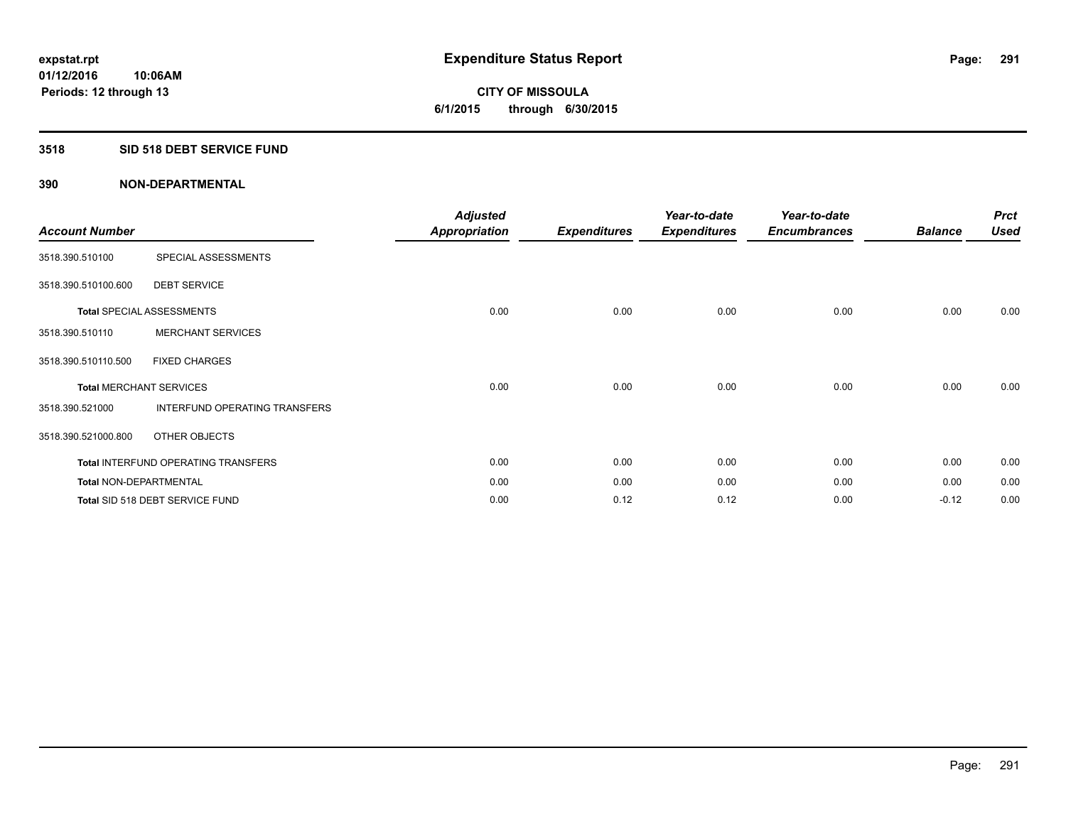# **3518 SID 518 DEBT SERVICE FUND**

| <b>Account Number</b>  |                                     | <b>Adjusted</b><br>Appropriation | <b>Expenditures</b> | Year-to-date<br><b>Expenditures</b> | Year-to-date<br><b>Encumbrances</b> | <b>Balance</b> | <b>Prct</b><br><b>Used</b> |
|------------------------|-------------------------------------|----------------------------------|---------------------|-------------------------------------|-------------------------------------|----------------|----------------------------|
| 3518.390.510100        | SPECIAL ASSESSMENTS                 |                                  |                     |                                     |                                     |                |                            |
| 3518.390.510100.600    | <b>DEBT SERVICE</b>                 |                                  |                     |                                     |                                     |                |                            |
|                        | <b>Total SPECIAL ASSESSMENTS</b>    | 0.00                             | 0.00                | 0.00                                | 0.00                                | 0.00           | 0.00                       |
| 3518.390.510110        | <b>MERCHANT SERVICES</b>            |                                  |                     |                                     |                                     |                |                            |
| 3518.390.510110.500    | <b>FIXED CHARGES</b>                |                                  |                     |                                     |                                     |                |                            |
|                        | <b>Total MERCHANT SERVICES</b>      | 0.00                             | 0.00                | 0.00                                | 0.00                                | 0.00           | 0.00                       |
| 3518.390.521000        | INTERFUND OPERATING TRANSFERS       |                                  |                     |                                     |                                     |                |                            |
| 3518.390.521000.800    | OTHER OBJECTS                       |                                  |                     |                                     |                                     |                |                            |
|                        | Total INTERFUND OPERATING TRANSFERS | 0.00                             | 0.00                | 0.00                                | 0.00                                | 0.00           | 0.00                       |
| Total NON-DEPARTMENTAL |                                     | 0.00                             | 0.00                | 0.00                                | 0.00                                | 0.00           | 0.00                       |
|                        | Total SID 518 DEBT SERVICE FUND     | 0.00                             | 0.12                | 0.12                                | 0.00                                | $-0.12$        | 0.00                       |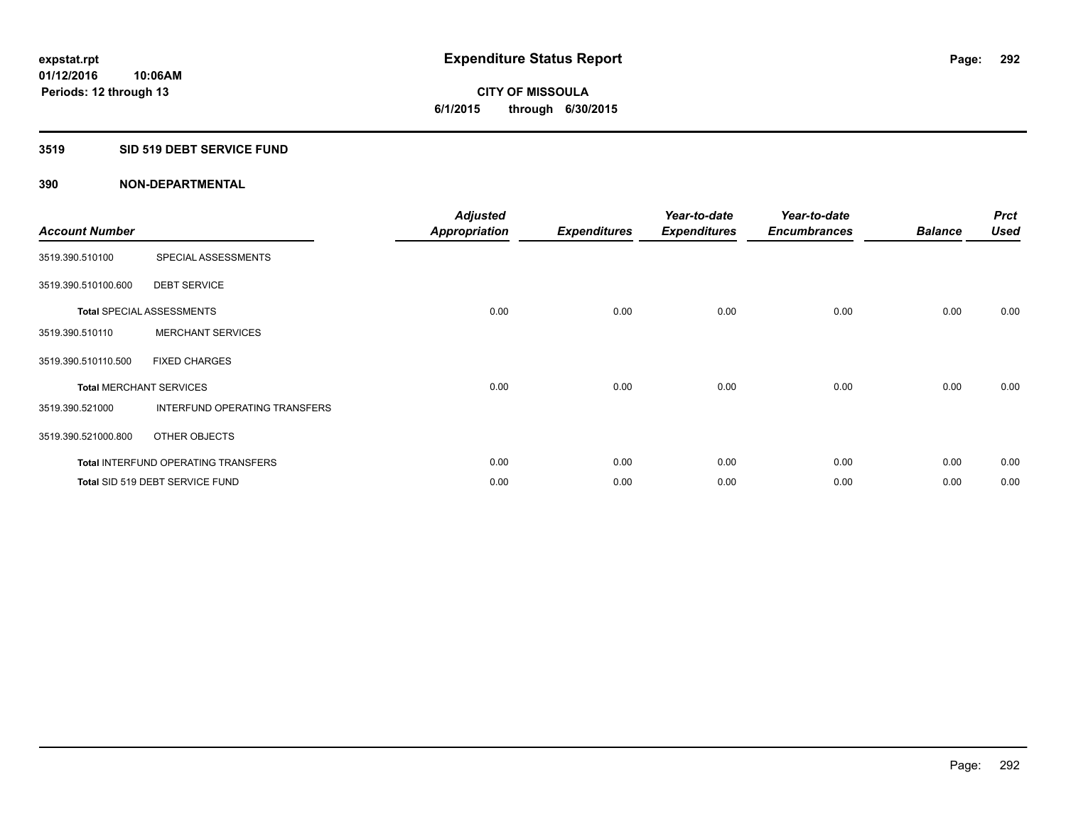#### **3519 SID 519 DEBT SERVICE FUND**

| <b>Account Number</b> |                                            | <b>Adjusted</b><br><b>Appropriation</b> | <b>Expenditures</b> | Year-to-date<br><b>Expenditures</b> | Year-to-date<br><b>Encumbrances</b> | <b>Balance</b> | <b>Prct</b><br><b>Used</b> |
|-----------------------|--------------------------------------------|-----------------------------------------|---------------------|-------------------------------------|-------------------------------------|----------------|----------------------------|
| 3519.390.510100       | SPECIAL ASSESSMENTS                        |                                         |                     |                                     |                                     |                |                            |
| 3519.390.510100.600   | <b>DEBT SERVICE</b>                        |                                         |                     |                                     |                                     |                |                            |
|                       | <b>Total SPECIAL ASSESSMENTS</b>           | 0.00                                    | 0.00                | 0.00                                | 0.00                                | 0.00           | 0.00                       |
| 3519.390.510110       | <b>MERCHANT SERVICES</b>                   |                                         |                     |                                     |                                     |                |                            |
| 3519.390.510110.500   | <b>FIXED CHARGES</b>                       |                                         |                     |                                     |                                     |                |                            |
|                       | <b>Total MERCHANT SERVICES</b>             | 0.00                                    | 0.00                | 0.00                                | 0.00                                | 0.00           | 0.00                       |
| 3519.390.521000       | <b>INTERFUND OPERATING TRANSFERS</b>       |                                         |                     |                                     |                                     |                |                            |
| 3519.390.521000.800   | OTHER OBJECTS                              |                                         |                     |                                     |                                     |                |                            |
|                       | <b>Total INTERFUND OPERATING TRANSFERS</b> | 0.00                                    | 0.00                | 0.00                                | 0.00                                | 0.00           | 0.00                       |
|                       | Total SID 519 DEBT SERVICE FUND            | 0.00                                    | 0.00                | 0.00                                | 0.00                                | 0.00           | 0.00                       |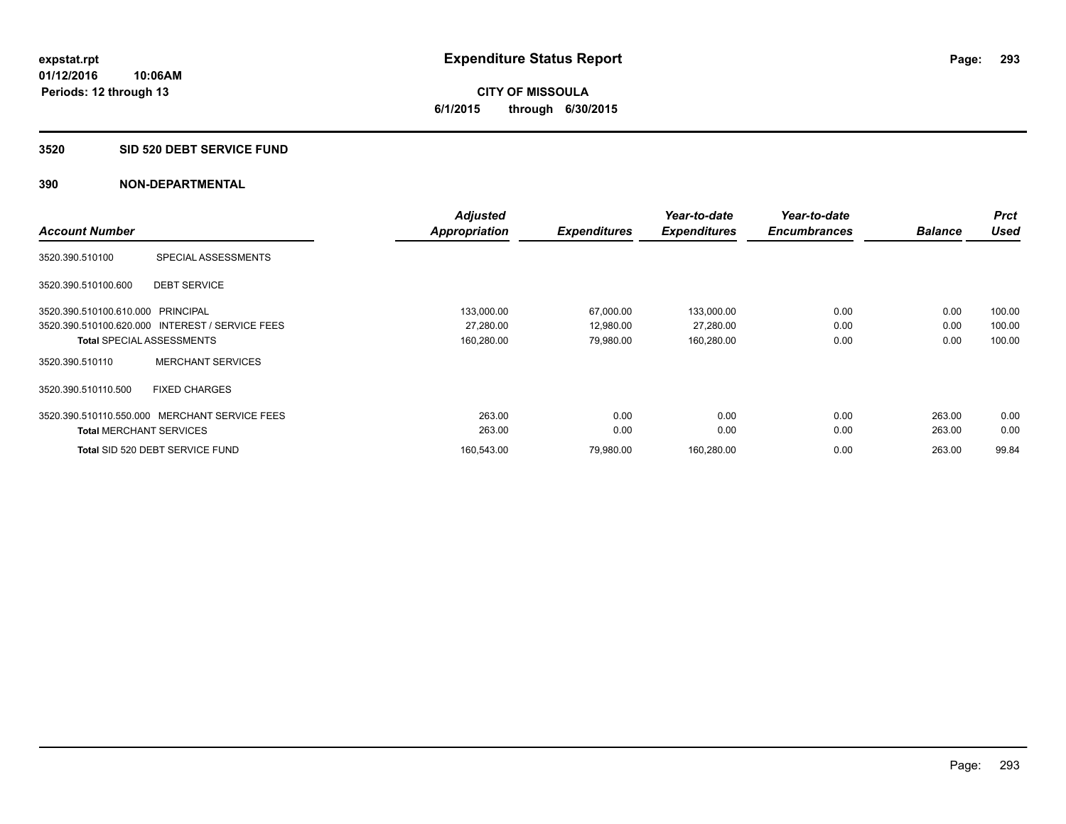**CITY OF MISSOULA 6/1/2015 through 6/30/2015**

#### **3520 SID 520 DEBT SERVICE FUND**

|                                   |                                                 | <b>Adjusted</b>      |                     | Year-to-date        | Year-to-date        |                | <b>Prct</b> |
|-----------------------------------|-------------------------------------------------|----------------------|---------------------|---------------------|---------------------|----------------|-------------|
| <b>Account Number</b>             |                                                 | <b>Appropriation</b> | <b>Expenditures</b> | <b>Expenditures</b> | <b>Encumbrances</b> | <b>Balance</b> | <b>Used</b> |
| 3520.390.510100                   | SPECIAL ASSESSMENTS                             |                      |                     |                     |                     |                |             |
| 3520.390.510100.600               | <b>DEBT SERVICE</b>                             |                      |                     |                     |                     |                |             |
| 3520.390.510100.610.000 PRINCIPAL |                                                 | 133,000.00           | 67,000.00           | 133,000.00          | 0.00                | 0.00           | 100.00      |
|                                   | 3520.390.510100.620.000 INTEREST / SERVICE FEES | 27,280.00            | 12,980.00           | 27,280.00           | 0.00                | 0.00           | 100.00      |
|                                   | <b>Total SPECIAL ASSESSMENTS</b>                | 160,280.00           | 79.980.00           | 160,280.00          | 0.00                | 0.00           | 100.00      |
| 3520.390.510110                   | <b>MERCHANT SERVICES</b>                        |                      |                     |                     |                     |                |             |
| 3520.390.510110.500               | <b>FIXED CHARGES</b>                            |                      |                     |                     |                     |                |             |
| 3520.390.510110.550.000           | MERCHANT SERVICE FEES                           | 263.00               | 0.00                | 0.00                | 0.00                | 263.00         | 0.00        |
|                                   | <b>Total MERCHANT SERVICES</b>                  | 263.00               | 0.00                | 0.00                | 0.00                | 263.00         | 0.00        |
|                                   | Total SID 520 DEBT SERVICE FUND                 | 160.543.00           | 79.980.00           | 160,280.00          | 0.00                | 263.00         | 99.84       |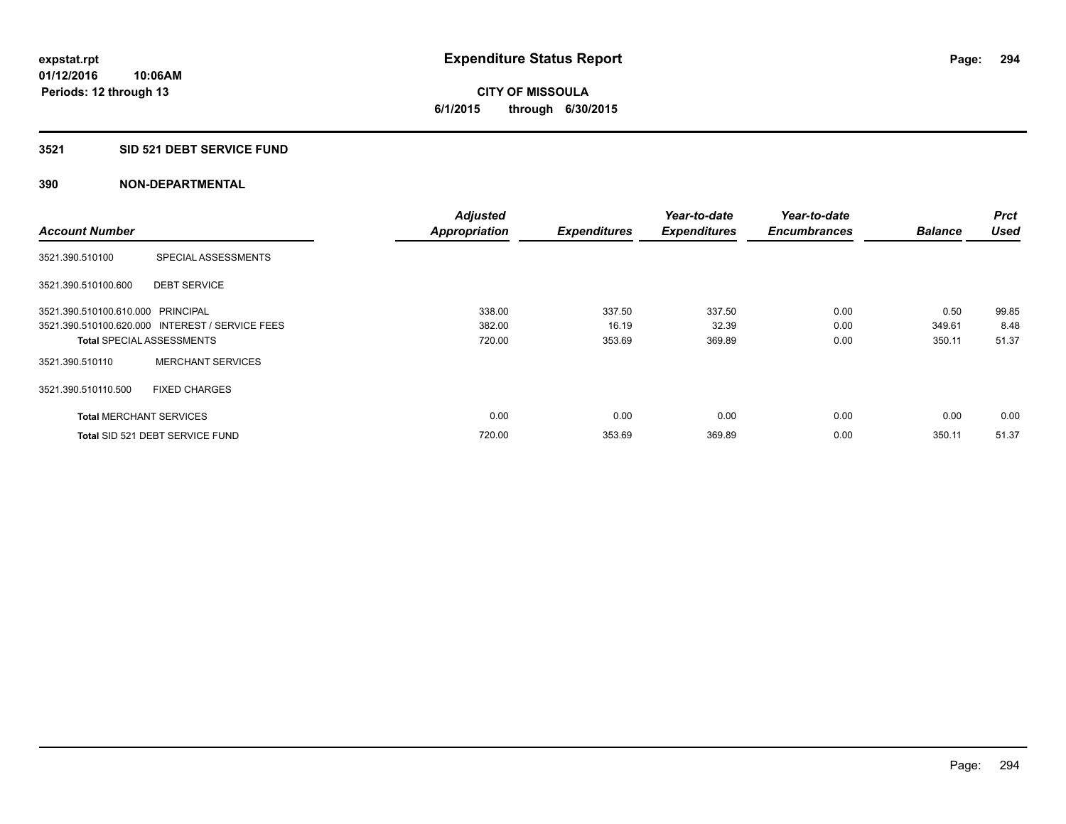**CITY OF MISSOULA 6/1/2015 through 6/30/2015**

#### **3521 SID 521 DEBT SERVICE FUND**

|                                   |                                                 | <b>Adjusted</b>      |                     | Year-to-date        | Year-to-date        |                | <b>Prct</b> |
|-----------------------------------|-------------------------------------------------|----------------------|---------------------|---------------------|---------------------|----------------|-------------|
| <b>Account Number</b>             |                                                 | <b>Appropriation</b> | <b>Expenditures</b> | <b>Expenditures</b> | <b>Encumbrances</b> | <b>Balance</b> | <b>Used</b> |
| 3521.390.510100                   | SPECIAL ASSESSMENTS                             |                      |                     |                     |                     |                |             |
| 3521.390.510100.600               | <b>DEBT SERVICE</b>                             |                      |                     |                     |                     |                |             |
| 3521.390.510100.610.000 PRINCIPAL |                                                 | 338.00               | 337.50              | 337.50              | 0.00                | 0.50           | 99.85       |
|                                   | 3521.390.510100.620.000 INTEREST / SERVICE FEES | 382.00               | 16.19               | 32.39               | 0.00                | 349.61         | 8.48        |
| <b>Total SPECIAL ASSESSMENTS</b>  |                                                 | 720.00               | 353.69              | 369.89              | 0.00                | 350.11         | 51.37       |
| 3521.390.510110                   | <b>MERCHANT SERVICES</b>                        |                      |                     |                     |                     |                |             |
| 3521.390.510110.500               | <b>FIXED CHARGES</b>                            |                      |                     |                     |                     |                |             |
| <b>Total MERCHANT SERVICES</b>    |                                                 | 0.00                 | 0.00                | 0.00                | 0.00                | 0.00           | 0.00        |
|                                   | Total SID 521 DEBT SERVICE FUND                 | 720.00               | 353.69              | 369.89              | 0.00                | 350.11         | 51.37       |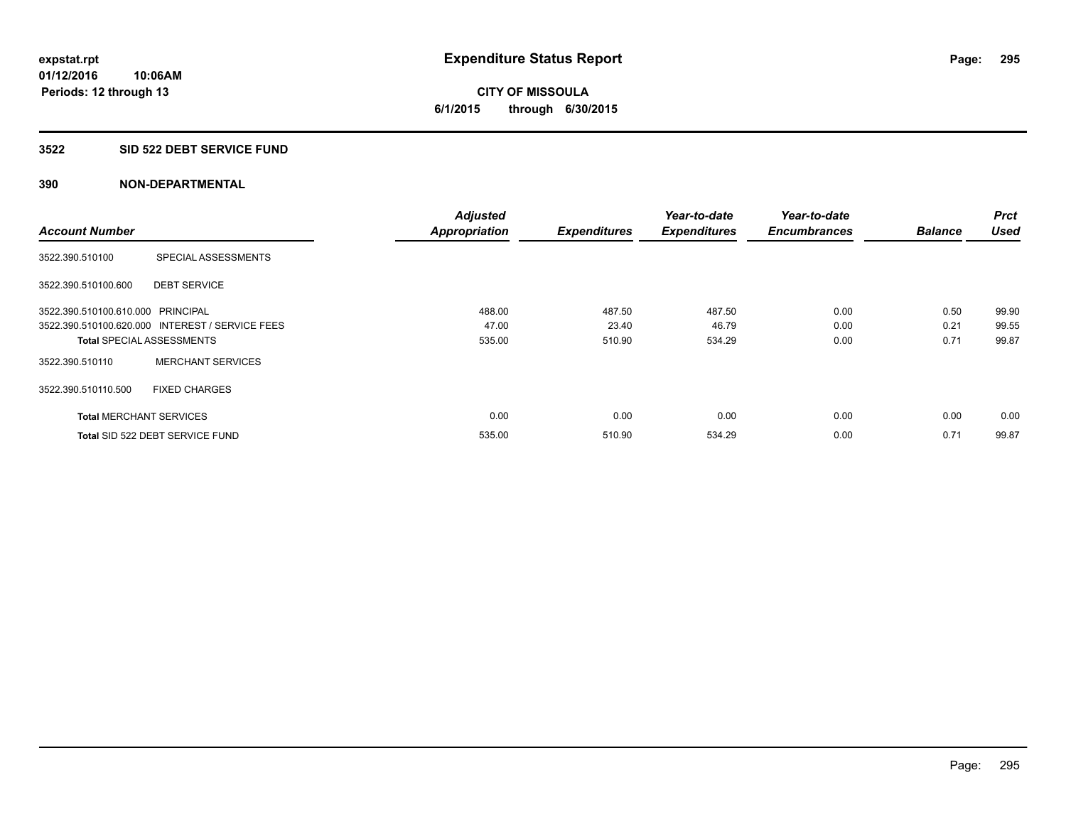**CITY OF MISSOULA 6/1/2015 through 6/30/2015**

#### **3522 SID 522 DEBT SERVICE FUND**

|                                   |                                                 | <b>Adjusted</b>      |                     | Year-to-date        | Year-to-date        |                | <b>Prct</b> |
|-----------------------------------|-------------------------------------------------|----------------------|---------------------|---------------------|---------------------|----------------|-------------|
| <b>Account Number</b>             |                                                 | <b>Appropriation</b> | <b>Expenditures</b> | <b>Expenditures</b> | <b>Encumbrances</b> | <b>Balance</b> | <b>Used</b> |
| 3522.390.510100                   | SPECIAL ASSESSMENTS                             |                      |                     |                     |                     |                |             |
| 3522.390.510100.600               | <b>DEBT SERVICE</b>                             |                      |                     |                     |                     |                |             |
| 3522.390.510100.610.000 PRINCIPAL |                                                 | 488.00               | 487.50              | 487.50              | 0.00                | 0.50           | 99.90       |
|                                   | 3522.390.510100.620.000 INTEREST / SERVICE FEES | 47.00                | 23.40               | 46.79               | 0.00                | 0.21           | 99.55       |
| <b>Total SPECIAL ASSESSMENTS</b>  |                                                 | 535.00               | 510.90              | 534.29              | 0.00                | 0.71           | 99.87       |
| 3522.390.510110                   | <b>MERCHANT SERVICES</b>                        |                      |                     |                     |                     |                |             |
| 3522.390.510110.500               | <b>FIXED CHARGES</b>                            |                      |                     |                     |                     |                |             |
| <b>Total MERCHANT SERVICES</b>    |                                                 | 0.00                 | 0.00                | 0.00                | 0.00                | 0.00           | 0.00        |
|                                   | Total SID 522 DEBT SERVICE FUND                 | 535.00               | 510.90              | 534.29              | 0.00                | 0.71           | 99.87       |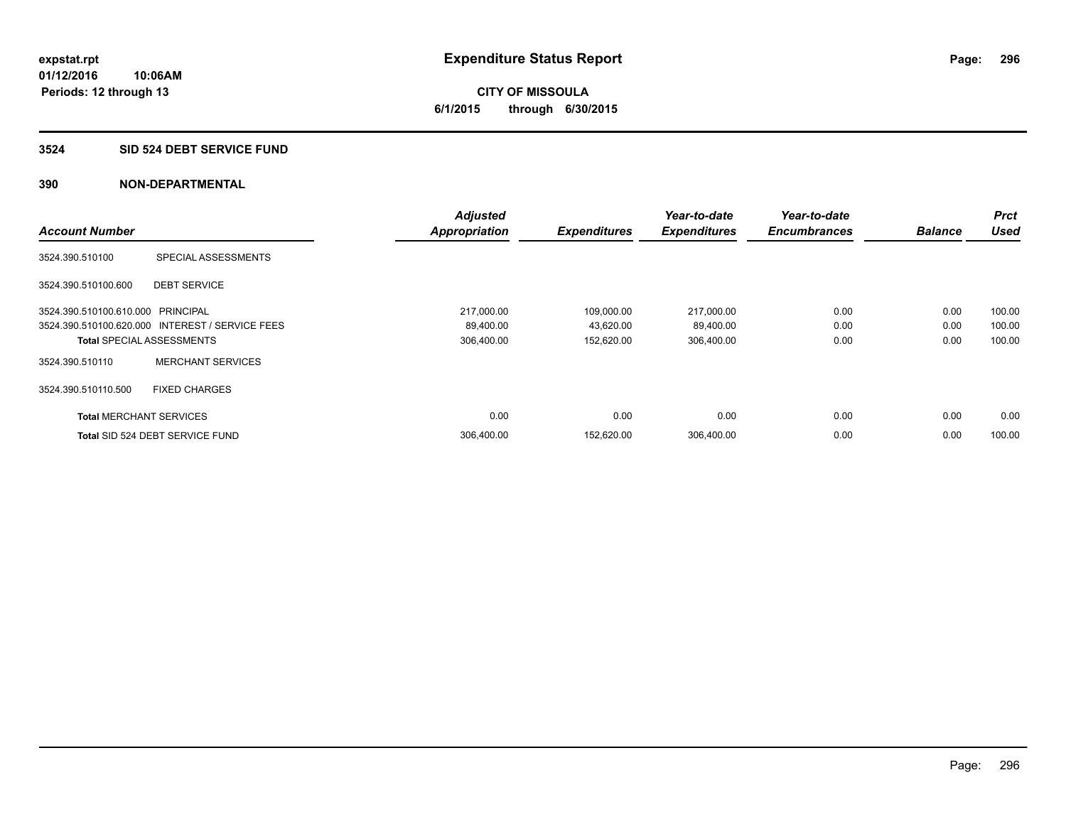# **CITY OF MISSOULA 6/1/2015 through 6/30/2015**

#### **3524 SID 524 DEBT SERVICE FUND**

|                                   |                                                 | <b>Adjusted</b>      |                     | Year-to-date        | Year-to-date        |                | <b>Prct</b> |
|-----------------------------------|-------------------------------------------------|----------------------|---------------------|---------------------|---------------------|----------------|-------------|
| <b>Account Number</b>             |                                                 | <b>Appropriation</b> | <b>Expenditures</b> | <b>Expenditures</b> | <b>Encumbrances</b> | <b>Balance</b> | <b>Used</b> |
| 3524.390.510100                   | SPECIAL ASSESSMENTS                             |                      |                     |                     |                     |                |             |
| 3524.390.510100.600               | <b>DEBT SERVICE</b>                             |                      |                     |                     |                     |                |             |
| 3524.390.510100.610.000 PRINCIPAL |                                                 | 217,000.00           | 109,000.00          | 217,000.00          | 0.00                | 0.00           | 100.00      |
|                                   | 3524.390.510100.620.000 INTEREST / SERVICE FEES | 89,400.00            | 43,620.00           | 89,400.00           | 0.00                | 0.00           | 100.00      |
| <b>Total SPECIAL ASSESSMENTS</b>  |                                                 | 306,400.00           | 152,620.00          | 306,400.00          | 0.00                | 0.00           | 100.00      |
| 3524.390.510110                   | <b>MERCHANT SERVICES</b>                        |                      |                     |                     |                     |                |             |
| 3524.390.510110.500               | <b>FIXED CHARGES</b>                            |                      |                     |                     |                     |                |             |
| <b>Total MERCHANT SERVICES</b>    |                                                 | 0.00                 | 0.00                | 0.00                | 0.00                | 0.00           | 0.00        |
|                                   | Total SID 524 DEBT SERVICE FUND                 | 306.400.00           | 152.620.00          | 306.400.00          | 0.00                | 0.00           | 100.00      |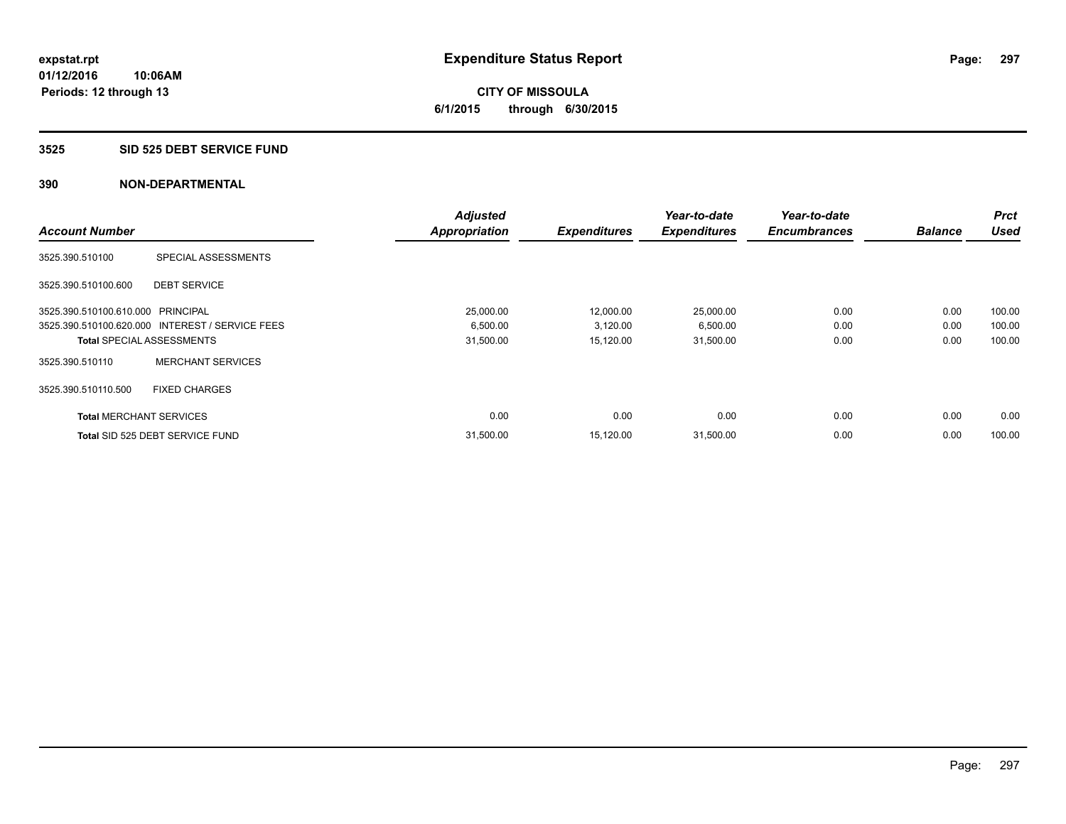**CITY OF MISSOULA 6/1/2015 through 6/30/2015**

#### **3525 SID 525 DEBT SERVICE FUND**

|                                   |                                                 | <b>Adjusted</b>      |                     | Year-to-date        | Year-to-date        |                | <b>Prct</b> |
|-----------------------------------|-------------------------------------------------|----------------------|---------------------|---------------------|---------------------|----------------|-------------|
| <b>Account Number</b>             |                                                 | <b>Appropriation</b> | <b>Expenditures</b> | <b>Expenditures</b> | <b>Encumbrances</b> | <b>Balance</b> | <b>Used</b> |
| 3525.390.510100                   | SPECIAL ASSESSMENTS                             |                      |                     |                     |                     |                |             |
| 3525.390.510100.600               | <b>DEBT SERVICE</b>                             |                      |                     |                     |                     |                |             |
| 3525.390.510100.610.000 PRINCIPAL |                                                 | 25,000.00            | 12,000.00           | 25,000.00           | 0.00                | 0.00           | 100.00      |
|                                   | 3525.390.510100.620.000 INTEREST / SERVICE FEES | 6,500.00             | 3,120.00            | 6,500.00            | 0.00                | 0.00           | 100.00      |
| <b>Total SPECIAL ASSESSMENTS</b>  |                                                 | 31,500.00            | 15,120.00           | 31,500.00           | 0.00                | 0.00           | 100.00      |
| 3525.390.510110                   | <b>MERCHANT SERVICES</b>                        |                      |                     |                     |                     |                |             |
| 3525.390.510110.500               | <b>FIXED CHARGES</b>                            |                      |                     |                     |                     |                |             |
| <b>Total MERCHANT SERVICES</b>    |                                                 | 0.00                 | 0.00                | 0.00                | 0.00                | 0.00           | 0.00        |
|                                   | Total SID 525 DEBT SERVICE FUND                 | 31,500.00            | 15,120.00           | 31,500.00           | 0.00                | 0.00           | 100.00      |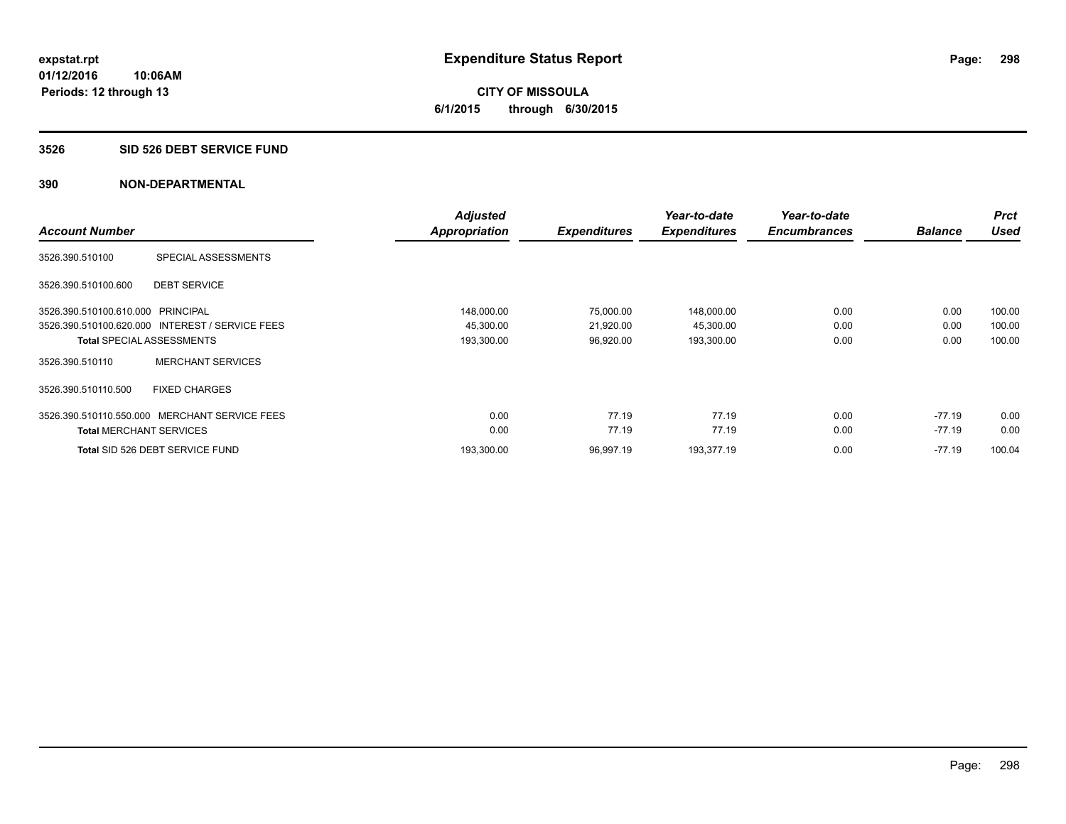# **CITY OF MISSOULA 6/1/2015 through 6/30/2015**

#### **3526 SID 526 DEBT SERVICE FUND**

|                                   |                                                 | <b>Adjusted</b>      |                     | Year-to-date        | Year-to-date        |                | <b>Prct</b> |
|-----------------------------------|-------------------------------------------------|----------------------|---------------------|---------------------|---------------------|----------------|-------------|
| <b>Account Number</b>             |                                                 | <b>Appropriation</b> | <b>Expenditures</b> | <b>Expenditures</b> | <b>Encumbrances</b> | <b>Balance</b> | <b>Used</b> |
| 3526.390.510100                   | SPECIAL ASSESSMENTS                             |                      |                     |                     |                     |                |             |
| 3526.390.510100.600               | <b>DEBT SERVICE</b>                             |                      |                     |                     |                     |                |             |
| 3526.390.510100.610.000 PRINCIPAL |                                                 | 148,000.00           | 75,000.00           | 148,000.00          | 0.00                | 0.00           | 100.00      |
|                                   | 3526.390.510100.620.000 INTEREST / SERVICE FEES | 45,300.00            | 21,920.00           | 45,300.00           | 0.00                | 0.00           | 100.00      |
|                                   | <b>Total SPECIAL ASSESSMENTS</b>                | 193,300.00           | 96,920.00           | 193,300.00          | 0.00                | 0.00           | 100.00      |
| 3526.390.510110                   | <b>MERCHANT SERVICES</b>                        |                      |                     |                     |                     |                |             |
| 3526.390.510110.500               | <b>FIXED CHARGES</b>                            |                      |                     |                     |                     |                |             |
| 3526.390.510110.550.000           | MERCHANT SERVICE FEES                           | 0.00                 | 77.19               | 77.19               | 0.00                | $-77.19$       | 0.00        |
| <b>Total MERCHANT SERVICES</b>    |                                                 | 0.00                 | 77.19               | 77.19               | 0.00                | $-77.19$       | 0.00        |
|                                   | Total SID 526 DEBT SERVICE FUND                 | 193.300.00           | 96,997.19           | 193,377.19          | 0.00                | $-77.19$       | 100.04      |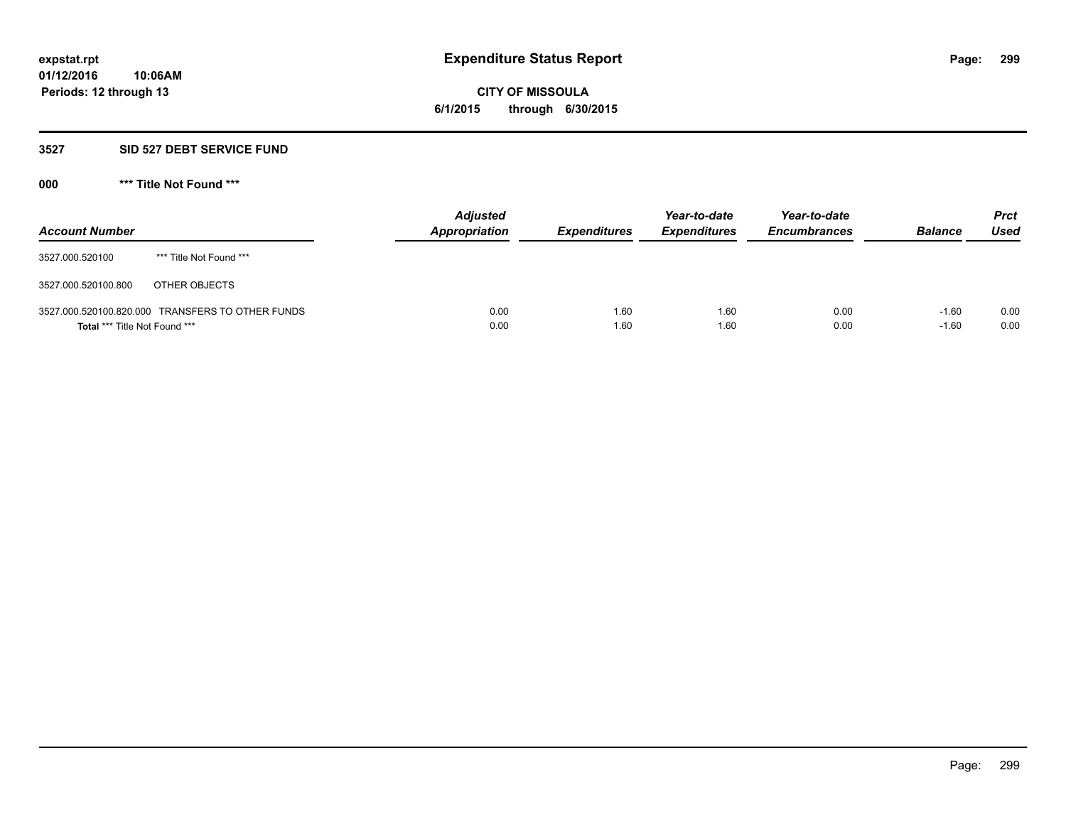**CITY OF MISSOULA 6/1/2015 through 6/30/2015**

#### **3527 SID 527 DEBT SERVICE FUND**

**000 \*\*\* Title Not Found \*\*\***

| <b>Account Number</b>         |                                                  | <b>Adjusted</b><br>Appropriation | <b>Expenditures</b> | Year-to-date<br><b>Expenditures</b> | Year-to-date<br><b>Encumbrances</b> | <b>Balance</b>     | <b>Prct</b><br><b>Used</b> |
|-------------------------------|--------------------------------------------------|----------------------------------|---------------------|-------------------------------------|-------------------------------------|--------------------|----------------------------|
| 3527.000.520100               | *** Title Not Found ***                          |                                  |                     |                                     |                                     |                    |                            |
| 3527.000.520100.800           | OTHER OBJECTS                                    |                                  |                     |                                     |                                     |                    |                            |
| Total *** Title Not Found *** | 3527.000.520100.820.000 TRANSFERS TO OTHER FUNDS | 0.00<br>0.00                     | 1.60<br>1.60        | 1.60<br>1.60                        | 0.00<br>0.00                        | $-1.60$<br>$-1.60$ | 0.00<br>0.00               |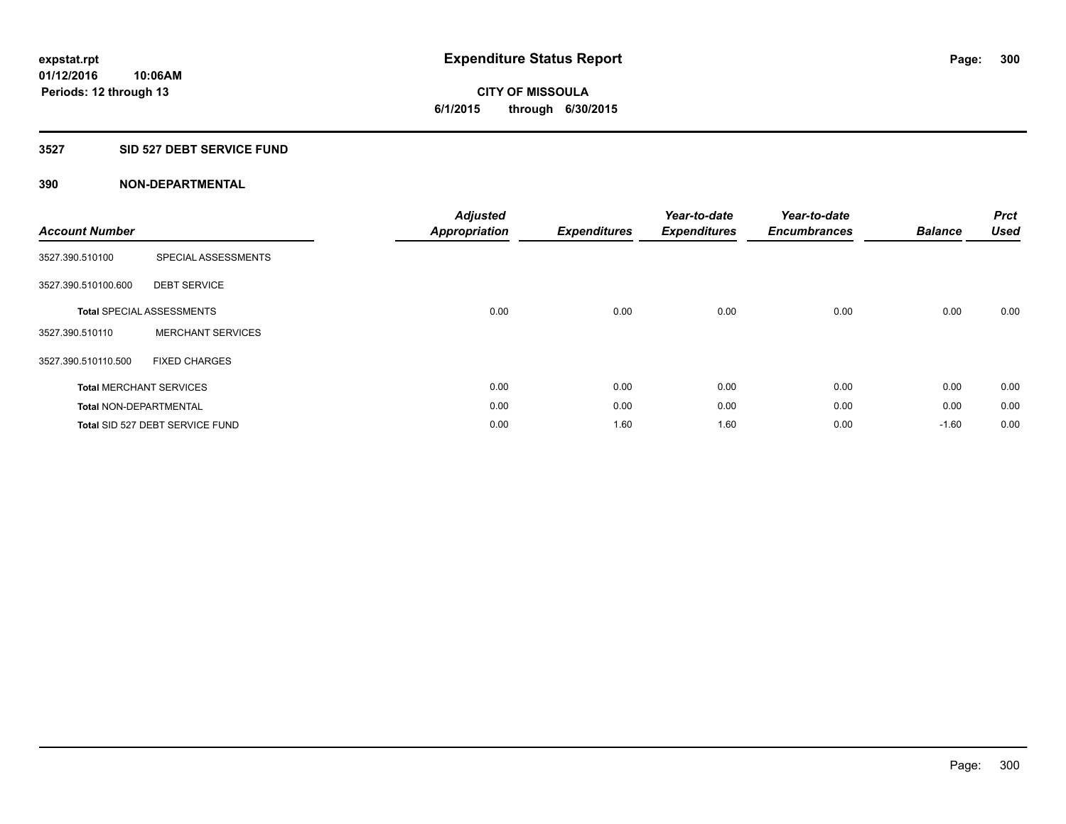# **CITY OF MISSOULA 6/1/2015 through 6/30/2015**

# **3527 SID 527 DEBT SERVICE FUND**

| <b>Account Number</b>         |                                  | <b>Adjusted</b><br><b>Appropriation</b> | <b>Expenditures</b> | Year-to-date<br><b>Expenditures</b> | Year-to-date<br><b>Encumbrances</b> | <b>Balance</b> | <b>Prct</b><br><b>Used</b> |
|-------------------------------|----------------------------------|-----------------------------------------|---------------------|-------------------------------------|-------------------------------------|----------------|----------------------------|
| 3527.390.510100               | SPECIAL ASSESSMENTS              |                                         |                     |                                     |                                     |                |                            |
| 3527.390.510100.600           | <b>DEBT SERVICE</b>              |                                         |                     |                                     |                                     |                |                            |
|                               | <b>Total SPECIAL ASSESSMENTS</b> | 0.00                                    | 0.00                | 0.00                                | 0.00                                | 0.00           | 0.00                       |
| 3527.390.510110               | <b>MERCHANT SERVICES</b>         |                                         |                     |                                     |                                     |                |                            |
| 3527.390.510110.500           | <b>FIXED CHARGES</b>             |                                         |                     |                                     |                                     |                |                            |
|                               | <b>Total MERCHANT SERVICES</b>   | 0.00                                    | 0.00                | 0.00                                | 0.00                                | 0.00           | 0.00                       |
| <b>Total NON-DEPARTMENTAL</b> |                                  | 0.00                                    | 0.00                | 0.00                                | 0.00                                | 0.00           | 0.00                       |
|                               | Total SID 527 DEBT SERVICE FUND  | 0.00                                    | 1.60                | 1.60                                | 0.00                                | $-1.60$        | 0.00                       |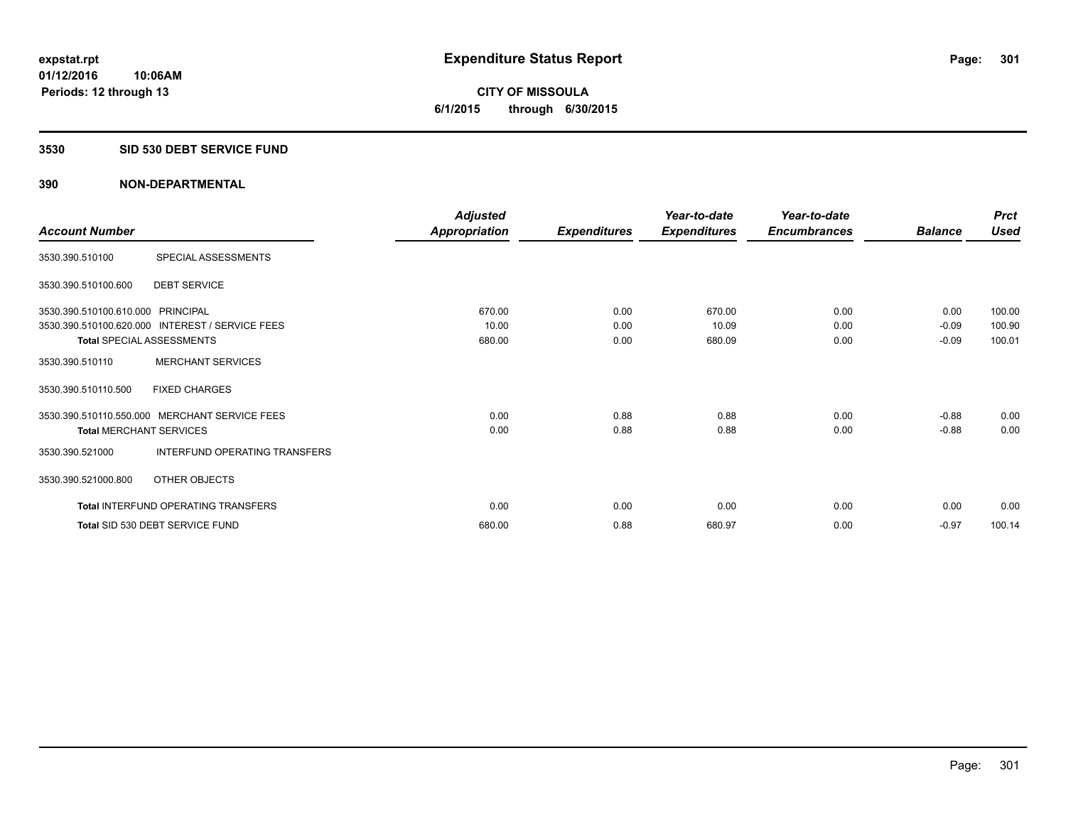**CITY OF MISSOULA 6/1/2015 through 6/30/2015**

#### **3530 SID 530 DEBT SERVICE FUND**

|                                   |                                                 | <b>Adjusted</b>      |                     | Year-to-date        | Year-to-date        |                | <b>Prct</b> |
|-----------------------------------|-------------------------------------------------|----------------------|---------------------|---------------------|---------------------|----------------|-------------|
| <b>Account Number</b>             |                                                 | <b>Appropriation</b> | <b>Expenditures</b> | <b>Expenditures</b> | <b>Encumbrances</b> | <b>Balance</b> | <b>Used</b> |
| 3530.390.510100                   | SPECIAL ASSESSMENTS                             |                      |                     |                     |                     |                |             |
| 3530.390.510100.600               | <b>DEBT SERVICE</b>                             |                      |                     |                     |                     |                |             |
| 3530.390.510100.610.000 PRINCIPAL |                                                 | 670.00               | 0.00                | 670.00              | 0.00                | 0.00           | 100.00      |
|                                   | 3530.390.510100.620.000 INTEREST / SERVICE FEES | 10.00                | 0.00                | 10.09               | 0.00                | $-0.09$        | 100.90      |
| <b>Total SPECIAL ASSESSMENTS</b>  |                                                 | 680.00               | 0.00                | 680.09              | 0.00                | $-0.09$        | 100.01      |
| 3530.390.510110                   | <b>MERCHANT SERVICES</b>                        |                      |                     |                     |                     |                |             |
| 3530.390.510110.500               | <b>FIXED CHARGES</b>                            |                      |                     |                     |                     |                |             |
|                                   | 3530.390.510110.550.000 MERCHANT SERVICE FEES   | 0.00                 | 0.88                | 0.88                | 0.00                | $-0.88$        | 0.00        |
| <b>Total MERCHANT SERVICES</b>    |                                                 | 0.00                 | 0.88                | 0.88                | 0.00                | $-0.88$        | 0.00        |
| 3530.390.521000                   | INTERFUND OPERATING TRANSFERS                   |                      |                     |                     |                     |                |             |
| 3530.390.521000.800               | OTHER OBJECTS                                   |                      |                     |                     |                     |                |             |
|                                   | Total INTERFUND OPERATING TRANSFERS             | 0.00                 | 0.00                | 0.00                | 0.00                | 0.00           | 0.00        |
|                                   | Total SID 530 DEBT SERVICE FUND                 | 680.00               | 0.88                | 680.97              | 0.00                | $-0.97$        | 100.14      |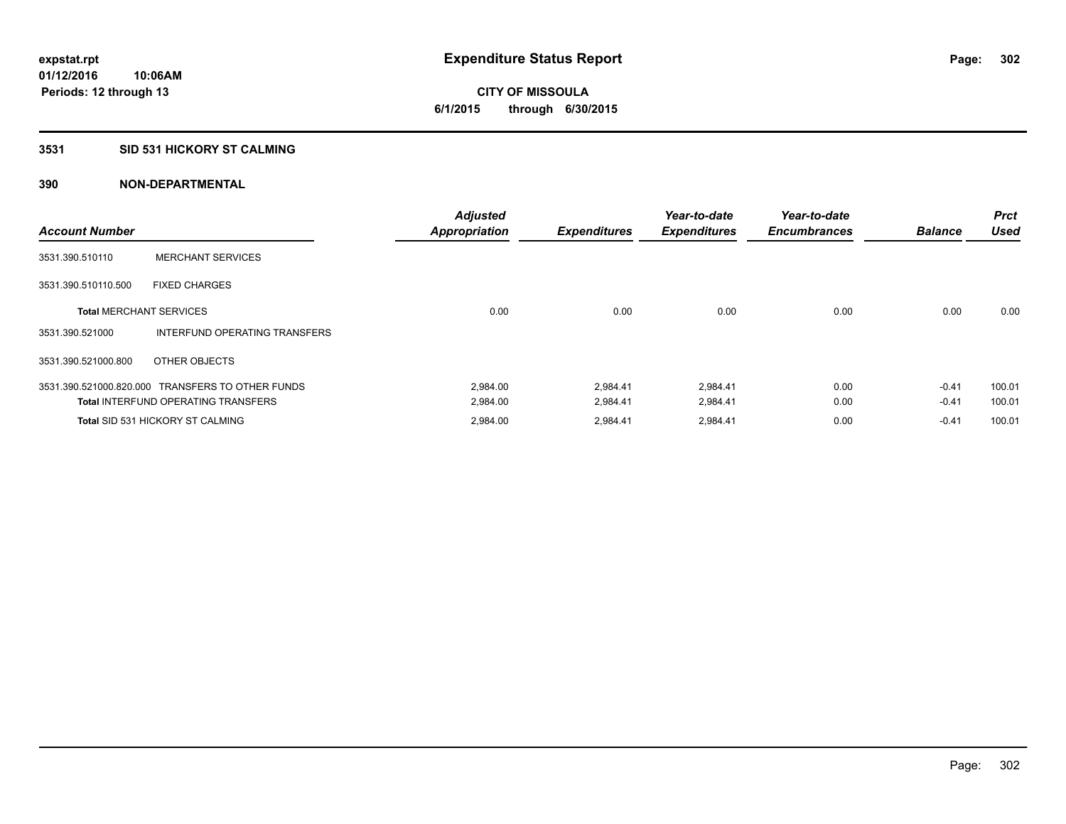# **3531 SID 531 HICKORY ST CALMING**

| <b>Account Number</b>          |                                                  | <b>Adjusted</b><br><b>Appropriation</b> | <b>Expenditures</b> | Year-to-date<br><b>Expenditures</b> | Year-to-date<br><b>Encumbrances</b> | <b>Balance</b> | <b>Prct</b><br><b>Used</b> |
|--------------------------------|--------------------------------------------------|-----------------------------------------|---------------------|-------------------------------------|-------------------------------------|----------------|----------------------------|
| 3531.390.510110                | <b>MERCHANT SERVICES</b>                         |                                         |                     |                                     |                                     |                |                            |
| 3531.390.510110.500            | <b>FIXED CHARGES</b>                             |                                         |                     |                                     |                                     |                |                            |
| <b>Total MERCHANT SERVICES</b> |                                                  | 0.00                                    | 0.00                | 0.00                                | 0.00                                | 0.00           | 0.00                       |
| 3531.390.521000                | INTERFUND OPERATING TRANSFERS                    |                                         |                     |                                     |                                     |                |                            |
| 3531.390.521000.800            | OTHER OBJECTS                                    |                                         |                     |                                     |                                     |                |                            |
|                                | 3531.390.521000.820.000 TRANSFERS TO OTHER FUNDS | 2,984.00                                | 2,984.41            | 2,984.41                            | 0.00                                | $-0.41$        | 100.01                     |
|                                | <b>Total INTERFUND OPERATING TRANSFERS</b>       | 2,984.00                                | 2,984.41            | 2,984.41                            | 0.00                                | $-0.41$        | 100.01                     |
|                                | <b>Total SID 531 HICKORY ST CALMING</b>          | 2,984.00                                | 2,984.41            | 2,984.41                            | 0.00                                | $-0.41$        | 100.01                     |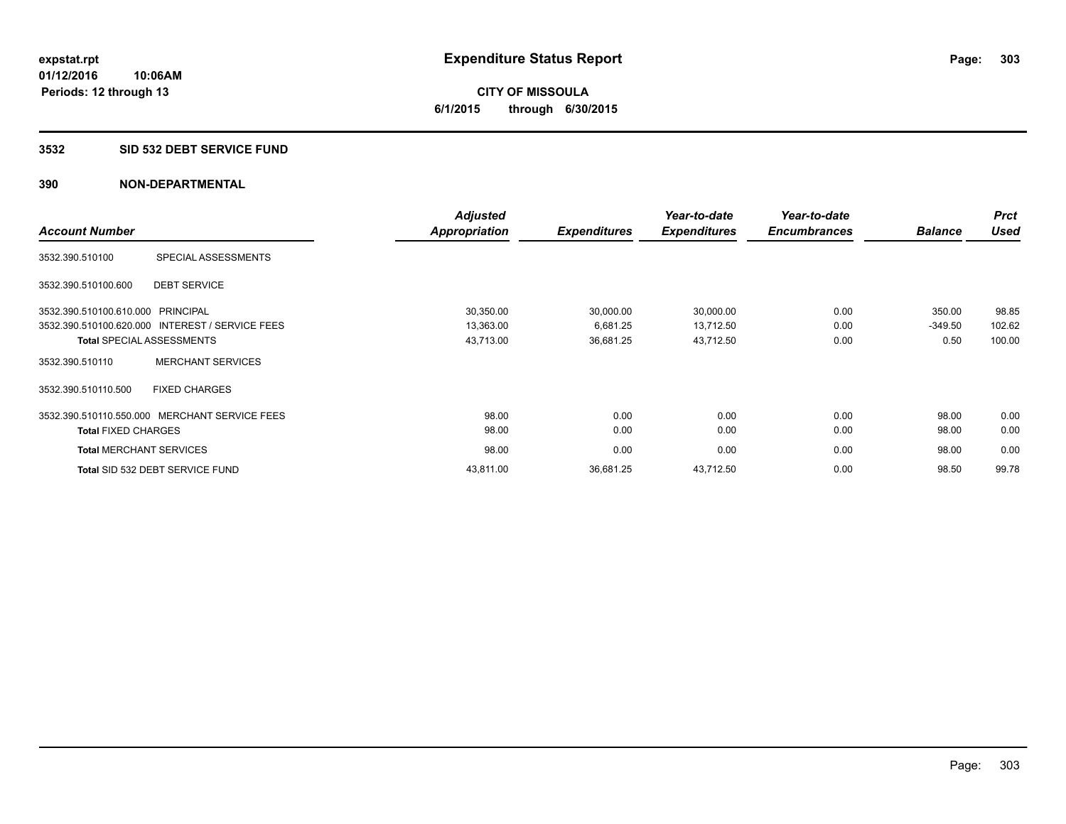**CITY OF MISSOULA 6/1/2015 through 6/30/2015**

#### **3532 SID 532 DEBT SERVICE FUND**

|                                                 |                          | <b>Adjusted</b>      |                     | Year-to-date        | Year-to-date        |                | <b>Prct</b> |
|-------------------------------------------------|--------------------------|----------------------|---------------------|---------------------|---------------------|----------------|-------------|
| <b>Account Number</b>                           |                          | <b>Appropriation</b> | <b>Expenditures</b> | <b>Expenditures</b> | <b>Encumbrances</b> | <b>Balance</b> | <b>Used</b> |
| 3532.390.510100                                 | SPECIAL ASSESSMENTS      |                      |                     |                     |                     |                |             |
| 3532.390.510100.600                             | <b>DEBT SERVICE</b>      |                      |                     |                     |                     |                |             |
| 3532.390.510100.610.000 PRINCIPAL               |                          | 30,350.00            | 30,000.00           | 30,000.00           | 0.00                | 350.00         | 98.85       |
| 3532.390.510100.620.000 INTEREST / SERVICE FEES |                          | 13,363.00            | 6,681.25            | 13,712.50           | 0.00                | $-349.50$      | 102.62      |
| <b>Total SPECIAL ASSESSMENTS</b>                |                          | 43,713.00            | 36,681.25           | 43,712.50           | 0.00                | 0.50           | 100.00      |
| 3532.390.510110                                 | <b>MERCHANT SERVICES</b> |                      |                     |                     |                     |                |             |
| 3532.390.510110.500                             | <b>FIXED CHARGES</b>     |                      |                     |                     |                     |                |             |
| 3532.390.510110.550.000 MERCHANT SERVICE FEES   |                          | 98.00                | 0.00                | 0.00                | 0.00                | 98.00          | 0.00        |
| <b>Total FIXED CHARGES</b>                      |                          | 98.00                | 0.00                | 0.00                | 0.00                | 98.00          | 0.00        |
| <b>Total MERCHANT SERVICES</b>                  |                          | 98.00                | 0.00                | 0.00                | 0.00                | 98.00          | 0.00        |
| Total SID 532 DEBT SERVICE FUND                 |                          | 43,811.00            | 36,681.25           | 43,712.50           | 0.00                | 98.50          | 99.78       |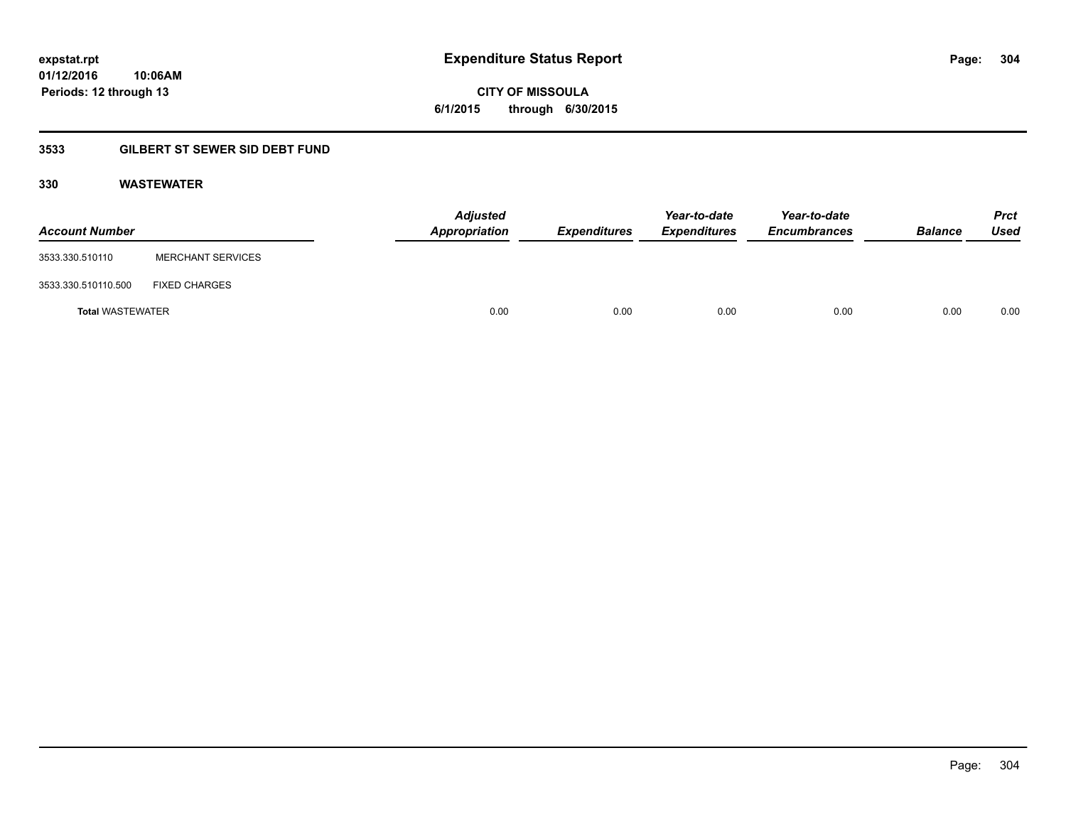**CITY OF MISSOULA 6/1/2015 through 6/30/2015**

# **3533 GILBERT ST SEWER SID DEBT FUND**

# **330 WASTEWATER**

| <b>Account Number</b>   |                          | <b>Adjusted</b><br>Appropriation | <b>Expenditures</b> | Year-to-date<br><b>Expenditures</b> | Year-to-date<br><b>Encumbrances</b> | <b>Balance</b> | <b>Prct</b><br>Used |
|-------------------------|--------------------------|----------------------------------|---------------------|-------------------------------------|-------------------------------------|----------------|---------------------|
| 3533.330.510110         | <b>MERCHANT SERVICES</b> |                                  |                     |                                     |                                     |                |                     |
| 3533.330.510110.500     | <b>FIXED CHARGES</b>     |                                  |                     |                                     |                                     |                |                     |
| <b>Total WASTEWATER</b> |                          | 0.00                             | 0.00                | 0.00                                | 0.00                                | 0.00           | 0.00                |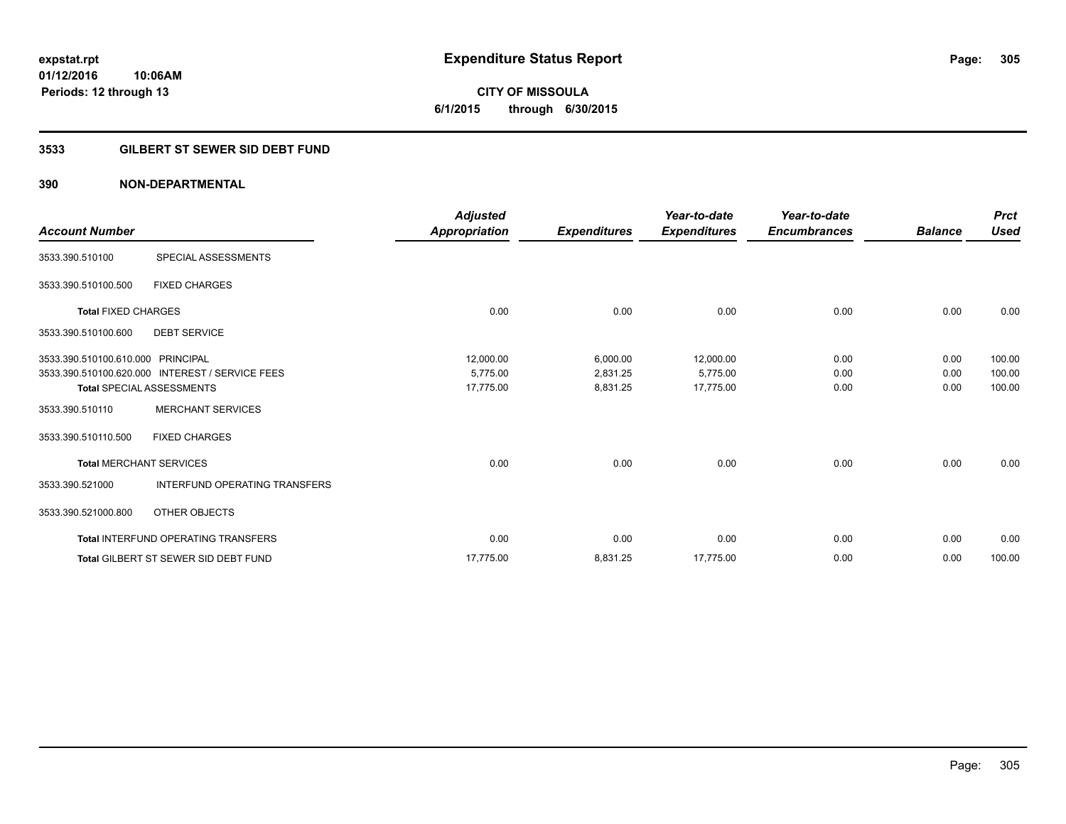**CITY OF MISSOULA 6/1/2015 through 6/30/2015**

# **3533 GILBERT ST SEWER SID DEBT FUND**

| <b>Account Number</b>             |                                                 | <b>Adjusted</b><br>Appropriation | <b>Expenditures</b> | Year-to-date<br><b>Expenditures</b> | Year-to-date<br><b>Encumbrances</b> | <b>Balance</b> | <b>Prct</b><br><b>Used</b> |
|-----------------------------------|-------------------------------------------------|----------------------------------|---------------------|-------------------------------------|-------------------------------------|----------------|----------------------------|
|                                   |                                                 |                                  |                     |                                     |                                     |                |                            |
| 3533.390.510100                   | SPECIAL ASSESSMENTS                             |                                  |                     |                                     |                                     |                |                            |
| 3533.390.510100.500               | <b>FIXED CHARGES</b>                            |                                  |                     |                                     |                                     |                |                            |
| <b>Total FIXED CHARGES</b>        |                                                 | 0.00                             | 0.00                | 0.00                                | 0.00                                | 0.00           | 0.00                       |
| 3533.390.510100.600               | <b>DEBT SERVICE</b>                             |                                  |                     |                                     |                                     |                |                            |
| 3533.390.510100.610.000 PRINCIPAL |                                                 | 12,000.00                        | 6,000.00            | 12,000.00                           | 0.00                                | 0.00           | 100.00                     |
|                                   | 3533.390.510100.620.000 INTEREST / SERVICE FEES | 5.775.00                         | 2,831.25            | 5,775.00                            | 0.00                                | 0.00           | 100.00                     |
|                                   | <b>Total SPECIAL ASSESSMENTS</b>                | 17,775.00                        | 8,831.25            | 17,775.00                           | 0.00                                | 0.00           | 100.00                     |
| 3533.390.510110                   | <b>MERCHANT SERVICES</b>                        |                                  |                     |                                     |                                     |                |                            |
| 3533.390.510110.500               | <b>FIXED CHARGES</b>                            |                                  |                     |                                     |                                     |                |                            |
| <b>Total MERCHANT SERVICES</b>    |                                                 | 0.00                             | 0.00                | 0.00                                | 0.00                                | 0.00           | 0.00                       |
| 3533.390.521000                   | <b>INTERFUND OPERATING TRANSFERS</b>            |                                  |                     |                                     |                                     |                |                            |
| 3533.390.521000.800               | OTHER OBJECTS                                   |                                  |                     |                                     |                                     |                |                            |
|                                   | <b>Total INTERFUND OPERATING TRANSFERS</b>      | 0.00                             | 0.00                | 0.00                                | 0.00                                | 0.00           | 0.00                       |
|                                   | <b>Total GILBERT ST SEWER SID DEBT FUND</b>     | 17,775.00                        | 8,831.25            | 17,775.00                           | 0.00                                | 0.00           | 100.00                     |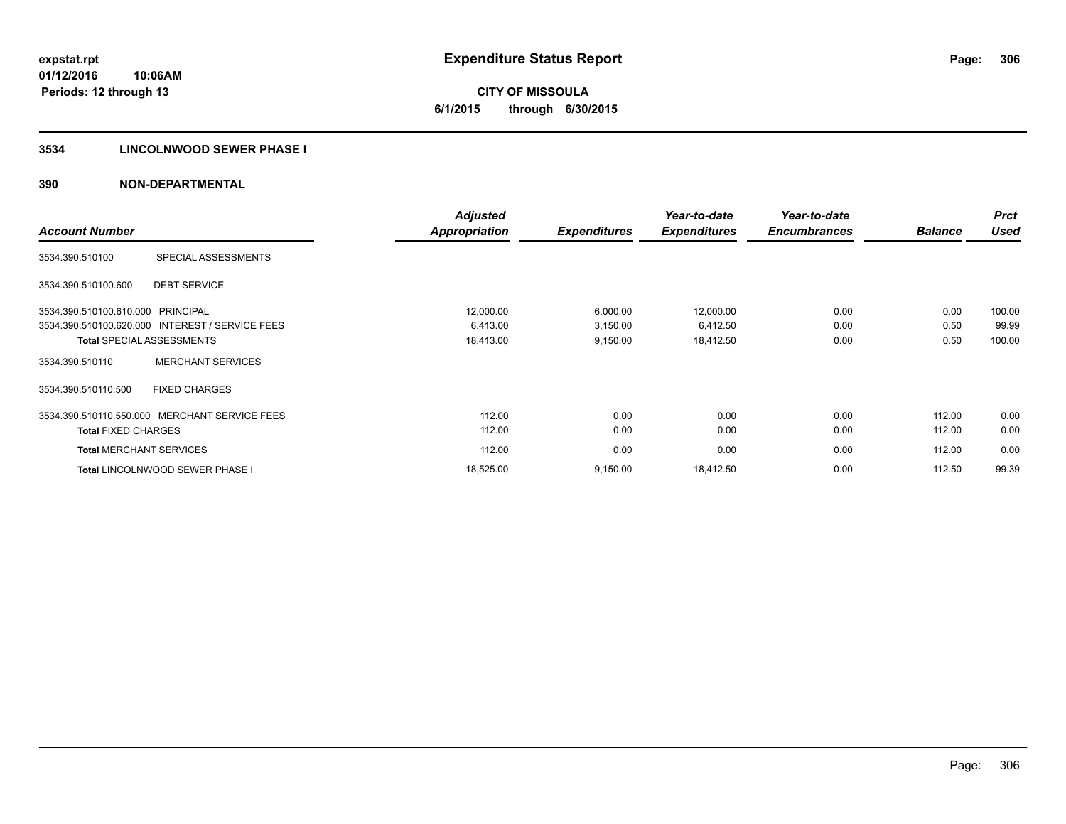**CITY OF MISSOULA 6/1/2015 through 6/30/2015**

# **3534 LINCOLNWOOD SEWER PHASE I**

|                                |                                                 | <b>Adjusted</b>      |                     | Year-to-date        | Year-to-date        |                | <b>Prct</b> |
|--------------------------------|-------------------------------------------------|----------------------|---------------------|---------------------|---------------------|----------------|-------------|
| <b>Account Number</b>          |                                                 | <b>Appropriation</b> | <b>Expenditures</b> | <b>Expenditures</b> | <b>Encumbrances</b> | <b>Balance</b> | <b>Used</b> |
| 3534.390.510100                | SPECIAL ASSESSMENTS                             |                      |                     |                     |                     |                |             |
| 3534.390.510100.600            | <b>DEBT SERVICE</b>                             |                      |                     |                     |                     |                |             |
| 3534.390.510100.610.000        | <b>PRINCIPAL</b>                                | 12,000.00            | 6,000.00            | 12,000.00           | 0.00                | 0.00           | 100.00      |
|                                | 3534.390.510100.620.000 INTEREST / SERVICE FEES | 6,413.00             | 3,150.00            | 6,412.50            | 0.00                | 0.50           | 99.99       |
|                                | <b>Total SPECIAL ASSESSMENTS</b>                | 18,413.00            | 9,150.00            | 18,412.50           | 0.00                | 0.50           | 100.00      |
| 3534.390.510110                | <b>MERCHANT SERVICES</b>                        |                      |                     |                     |                     |                |             |
| 3534.390.510110.500            | <b>FIXED CHARGES</b>                            |                      |                     |                     |                     |                |             |
|                                | 3534.390.510110.550.000 MERCHANT SERVICE FEES   | 112.00               | 0.00                | 0.00                | 0.00                | 112.00         | 0.00        |
| <b>Total FIXED CHARGES</b>     |                                                 | 112.00               | 0.00                | 0.00                | 0.00                | 112.00         | 0.00        |
| <b>Total MERCHANT SERVICES</b> |                                                 | 112.00               | 0.00                | 0.00                | 0.00                | 112.00         | 0.00        |
|                                | <b>Total LINCOLNWOOD SEWER PHASE I</b>          | 18,525.00            | 9,150.00            | 18,412.50           | 0.00                | 112.50         | 99.39       |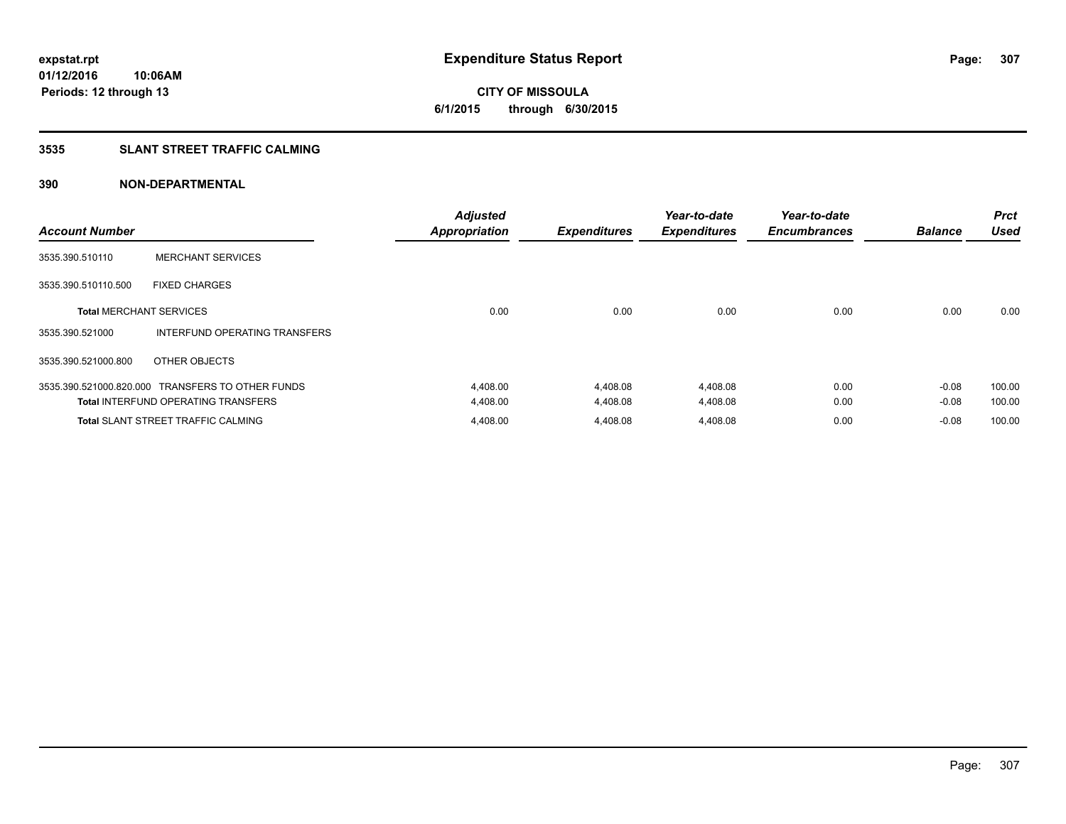**CITY OF MISSOULA 6/1/2015 through 6/30/2015**

# **3535 SLANT STREET TRAFFIC CALMING**

| <b>Account Number</b>          |                                                  | <b>Adjusted</b><br><b>Appropriation</b> | <b>Expenditures</b> | Year-to-date<br><b>Expenditures</b> | Year-to-date<br><b>Encumbrances</b> | <b>Balance</b> | <b>Prct</b><br><b>Used</b> |
|--------------------------------|--------------------------------------------------|-----------------------------------------|---------------------|-------------------------------------|-------------------------------------|----------------|----------------------------|
| 3535.390.510110                | <b>MERCHANT SERVICES</b>                         |                                         |                     |                                     |                                     |                |                            |
| 3535.390.510110.500            | <b>FIXED CHARGES</b>                             |                                         |                     |                                     |                                     |                |                            |
| <b>Total MERCHANT SERVICES</b> |                                                  | 0.00                                    | 0.00                | 0.00                                | 0.00                                | 0.00           | 0.00                       |
| 3535.390.521000                | INTERFUND OPERATING TRANSFERS                    |                                         |                     |                                     |                                     |                |                            |
| 3535.390.521000.800            | OTHER OBJECTS                                    |                                         |                     |                                     |                                     |                |                            |
|                                | 3535.390.521000.820.000 TRANSFERS TO OTHER FUNDS | 4,408.00                                | 4,408.08            | 4,408.08                            | 0.00                                | $-0.08$        | 100.00                     |
|                                | <b>Total INTERFUND OPERATING TRANSFERS</b>       | 4,408.00                                | 4,408.08            | 4,408.08                            | 0.00                                | $-0.08$        | 100.00                     |
|                                | <b>Total SLANT STREET TRAFFIC CALMING</b>        | 4,408.00                                | 4.408.08            | 4,408.08                            | 0.00                                | $-0.08$        | 100.00                     |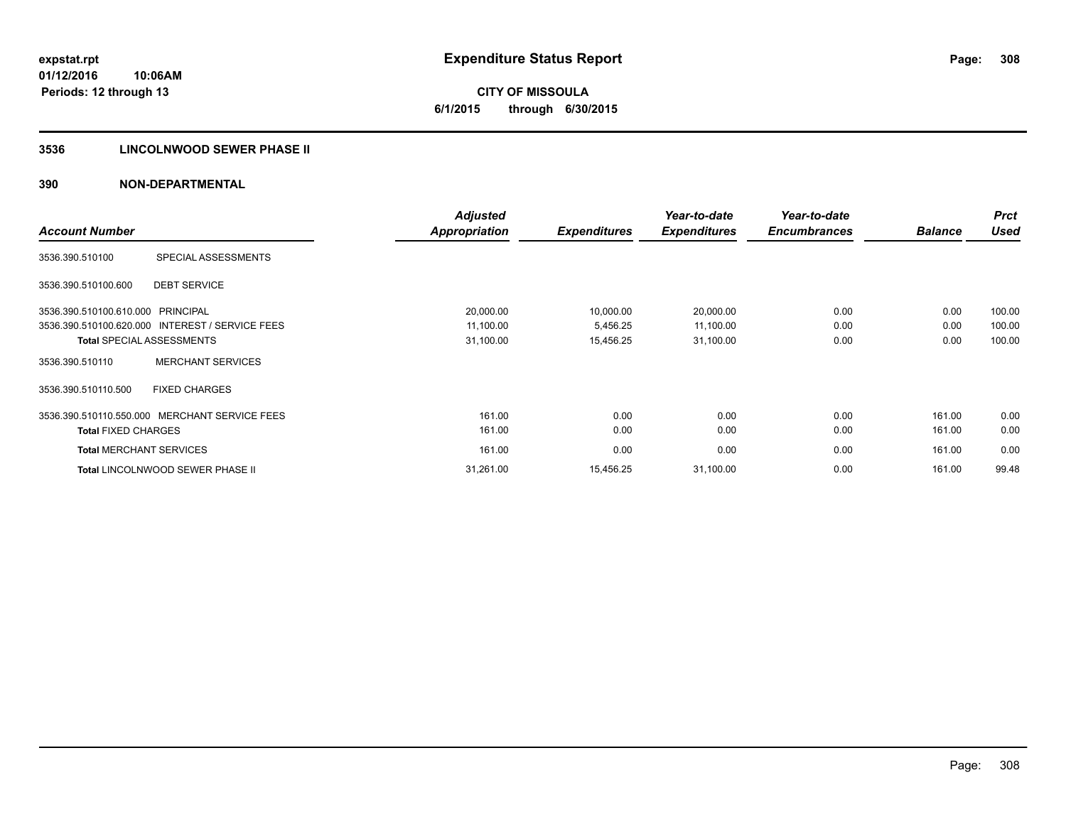**CITY OF MISSOULA 6/1/2015 through 6/30/2015**

# **3536 LINCOLNWOOD SEWER PHASE II**

|                                |                                                 | <b>Adjusted</b>      |                     | Year-to-date        | Year-to-date        |                | <b>Prct</b> |
|--------------------------------|-------------------------------------------------|----------------------|---------------------|---------------------|---------------------|----------------|-------------|
| <b>Account Number</b>          |                                                 | <b>Appropriation</b> | <b>Expenditures</b> | <b>Expenditures</b> | <b>Encumbrances</b> | <b>Balance</b> | <b>Used</b> |
| 3536.390.510100                | SPECIAL ASSESSMENTS                             |                      |                     |                     |                     |                |             |
| 3536.390.510100.600            | <b>DEBT SERVICE</b>                             |                      |                     |                     |                     |                |             |
| 3536.390.510100.610.000        | <b>PRINCIPAL</b>                                | 20,000.00            | 10,000.00           | 20,000.00           | 0.00                | 0.00           | 100.00      |
|                                | 3536.390.510100.620.000 INTEREST / SERVICE FEES | 11,100.00            | 5,456.25            | 11,100.00           | 0.00                | 0.00           | 100.00      |
|                                | <b>Total SPECIAL ASSESSMENTS</b>                | 31,100.00            | 15,456.25           | 31,100.00           | 0.00                | 0.00           | 100.00      |
| 3536.390.510110                | <b>MERCHANT SERVICES</b>                        |                      |                     |                     |                     |                |             |
| 3536.390.510110.500            | <b>FIXED CHARGES</b>                            |                      |                     |                     |                     |                |             |
|                                | 3536.390.510110.550.000 MERCHANT SERVICE FEES   | 161.00               | 0.00                | 0.00                | 0.00                | 161.00         | 0.00        |
| <b>Total FIXED CHARGES</b>     |                                                 | 161.00               | 0.00                | 0.00                | 0.00                | 161.00         | 0.00        |
| <b>Total MERCHANT SERVICES</b> |                                                 | 161.00               | 0.00                | 0.00                | 0.00                | 161.00         | 0.00        |
|                                | <b>Total LINCOLNWOOD SEWER PHASE II</b>         | 31,261.00            | 15,456.25           | 31,100.00           | 0.00                | 161.00         | 99.48       |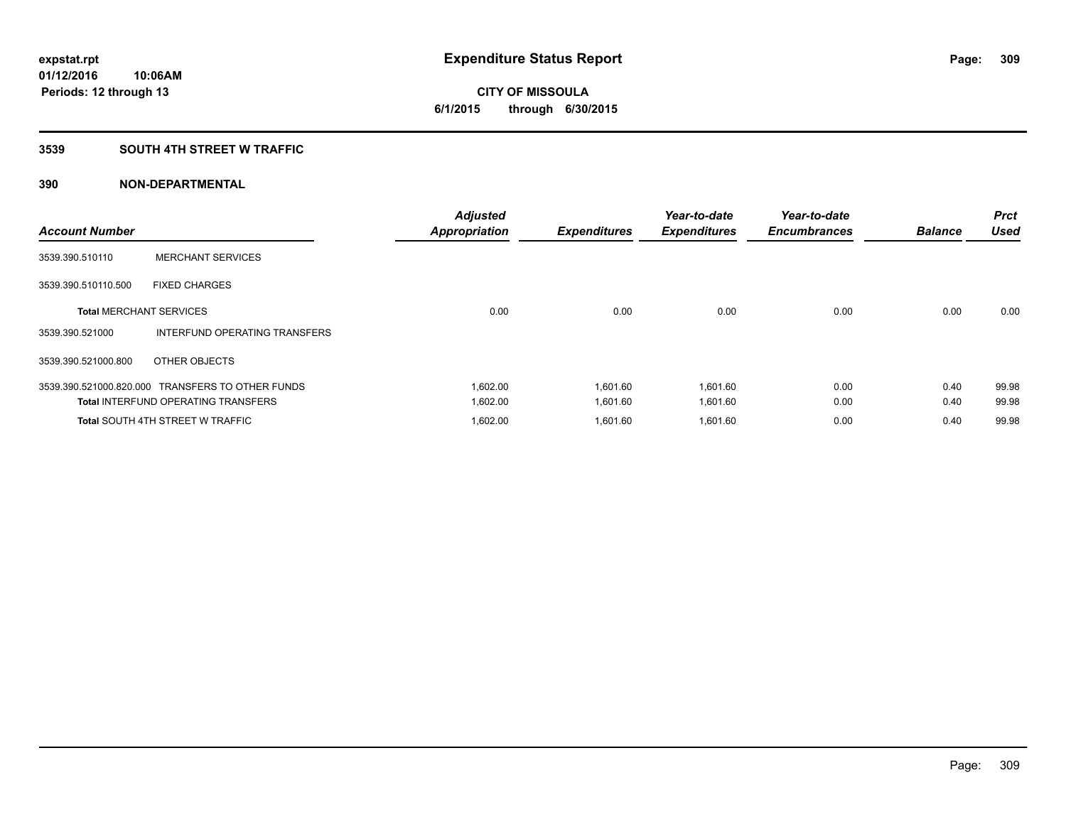**Periods: 12 through 13**

**CITY OF MISSOULA 6/1/2015 through 6/30/2015**

#### **3539 SOUTH 4TH STREET W TRAFFIC**

| <b>Account Number</b>          |                                                  | <b>Adjusted</b><br><b>Appropriation</b> | <b>Expenditures</b> | Year-to-date<br><b>Expenditures</b> | Year-to-date<br><b>Encumbrances</b> | <b>Balance</b> | <b>Prct</b><br><b>Used</b> |
|--------------------------------|--------------------------------------------------|-----------------------------------------|---------------------|-------------------------------------|-------------------------------------|----------------|----------------------------|
| 3539.390.510110                | <b>MERCHANT SERVICES</b>                         |                                         |                     |                                     |                                     |                |                            |
| 3539.390.510110.500            | <b>FIXED CHARGES</b>                             |                                         |                     |                                     |                                     |                |                            |
| <b>Total MERCHANT SERVICES</b> |                                                  | 0.00                                    | 0.00                | 0.00                                | 0.00                                | 0.00           | 0.00                       |
| 3539.390.521000                | <b>INTERFUND OPERATING TRANSFERS</b>             |                                         |                     |                                     |                                     |                |                            |
| 3539.390.521000.800            | OTHER OBJECTS                                    |                                         |                     |                                     |                                     |                |                            |
|                                | 3539.390.521000.820.000 TRANSFERS TO OTHER FUNDS | 1,602.00                                | 1,601.60            | 1,601.60                            | 0.00                                | 0.40           | 99.98                      |
|                                | <b>Total INTERFUND OPERATING TRANSFERS</b>       | 1,602.00                                | 1,601.60            | 1,601.60                            | 0.00                                | 0.40           | 99.98                      |
|                                | <b>Total SOUTH 4TH STREET W TRAFFIC</b>          | 1,602.00                                | 1.601.60            | 1,601.60                            | 0.00                                | 0.40           | 99.98                      |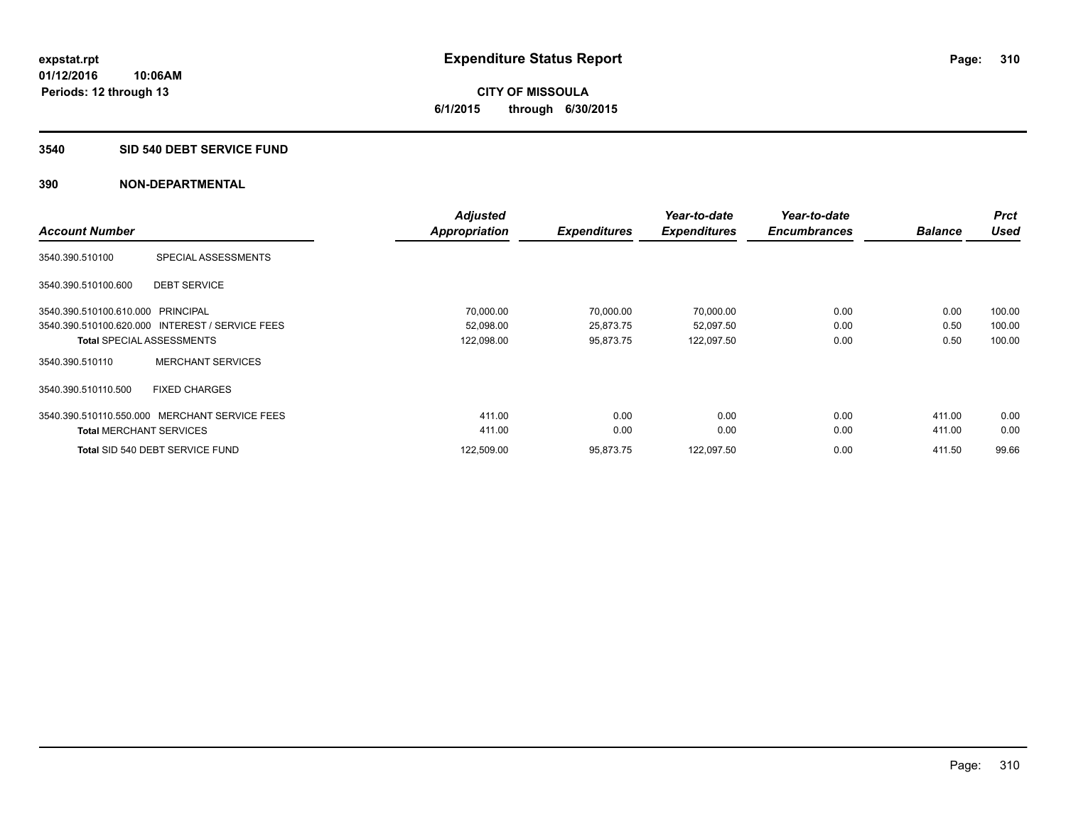**CITY OF MISSOULA 6/1/2015 through 6/30/2015**

#### **3540 SID 540 DEBT SERVICE FUND**

|                                   |                                                 | <b>Adjusted</b>      |                     | Year-to-date        | Year-to-date        |                | <b>Prct</b> |
|-----------------------------------|-------------------------------------------------|----------------------|---------------------|---------------------|---------------------|----------------|-------------|
| <b>Account Number</b>             |                                                 | <b>Appropriation</b> | <b>Expenditures</b> | <b>Expenditures</b> | <b>Encumbrances</b> | <b>Balance</b> | <b>Used</b> |
| 3540.390.510100                   | SPECIAL ASSESSMENTS                             |                      |                     |                     |                     |                |             |
| 3540.390.510100.600               | <b>DEBT SERVICE</b>                             |                      |                     |                     |                     |                |             |
| 3540.390.510100.610.000 PRINCIPAL |                                                 | 70,000.00            | 70,000.00           | 70,000.00           | 0.00                | 0.00           | 100.00      |
|                                   | 3540.390.510100.620.000 INTEREST / SERVICE FEES | 52,098.00            | 25,873.75           | 52,097.50           | 0.00                | 0.50           | 100.00      |
|                                   | <b>Total SPECIAL ASSESSMENTS</b>                | 122,098.00           | 95,873.75           | 122,097.50          | 0.00                | 0.50           | 100.00      |
| 3540.390.510110                   | <b>MERCHANT SERVICES</b>                        |                      |                     |                     |                     |                |             |
| 3540.390.510110.500               | <b>FIXED CHARGES</b>                            |                      |                     |                     |                     |                |             |
| 3540.390.510110.550.000           | MERCHANT SERVICE FEES                           | 411.00               | 0.00                | 0.00                | 0.00                | 411.00         | 0.00        |
| <b>Total MERCHANT SERVICES</b>    |                                                 | 411.00               | 0.00                | 0.00                | 0.00                | 411.00         | 0.00        |
|                                   | Total SID 540 DEBT SERVICE FUND                 | 122.509.00           | 95,873.75           | 122,097.50          | 0.00                | 411.50         | 99.66       |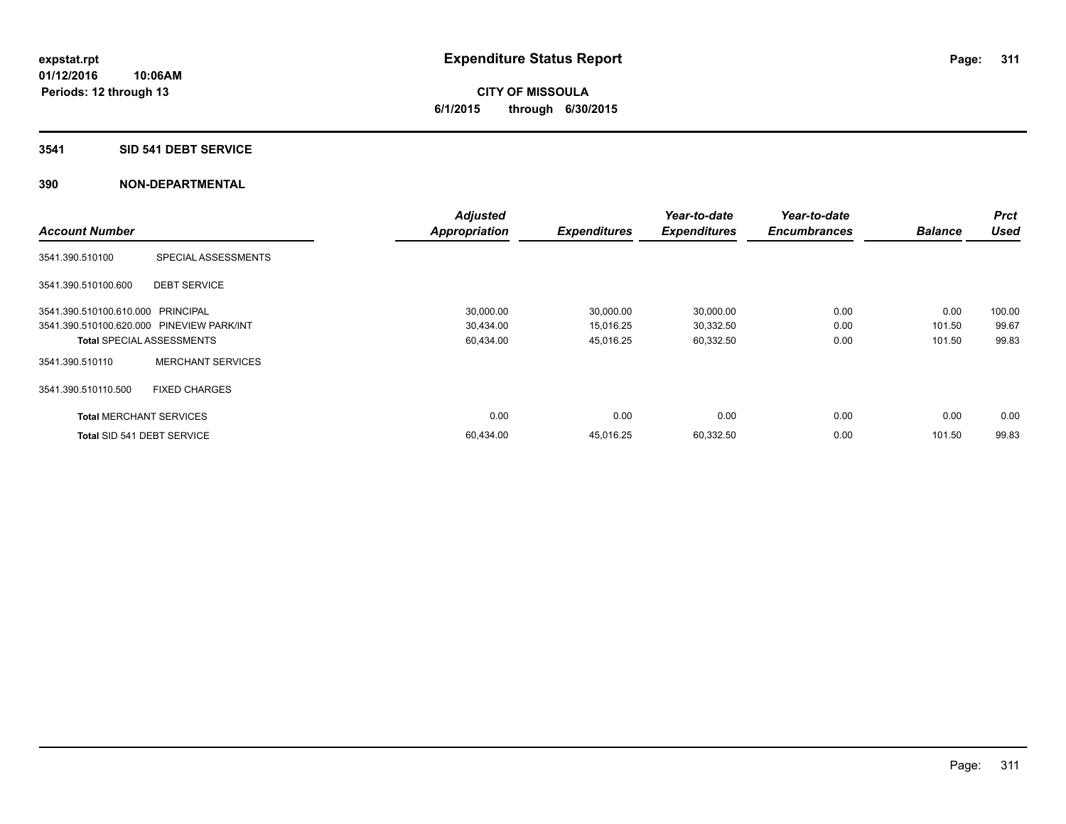# **3541 SID 541 DEBT SERVICE**

|                                           |                          | <b>Adjusted</b>      |                     | Year-to-date        | Year-to-date        |                | <b>Prct</b> |
|-------------------------------------------|--------------------------|----------------------|---------------------|---------------------|---------------------|----------------|-------------|
| <b>Account Number</b>                     |                          | <b>Appropriation</b> | <b>Expenditures</b> | <b>Expenditures</b> | <b>Encumbrances</b> | <b>Balance</b> | <b>Used</b> |
| 3541.390.510100                           | SPECIAL ASSESSMENTS      |                      |                     |                     |                     |                |             |
| 3541.390.510100.600                       | <b>DEBT SERVICE</b>      |                      |                     |                     |                     |                |             |
| 3541.390.510100.610.000 PRINCIPAL         |                          | 30,000.00            | 30,000.00           | 30,000.00           | 0.00                | 0.00           | 100.00      |
| 3541.390.510100.620.000 PINEVIEW PARK/INT |                          | 30,434.00            | 15,016.25           | 30,332.50           | 0.00                | 101.50         | 99.67       |
| <b>Total SPECIAL ASSESSMENTS</b>          |                          | 60,434.00            | 45,016.25           | 60,332.50           | 0.00                | 101.50         | 99.83       |
| 3541.390.510110                           | <b>MERCHANT SERVICES</b> |                      |                     |                     |                     |                |             |
| 3541.390.510110.500                       | <b>FIXED CHARGES</b>     |                      |                     |                     |                     |                |             |
| <b>Total MERCHANT SERVICES</b>            |                          | 0.00                 | 0.00                | 0.00                | 0.00                | 0.00           | 0.00        |
| Total SID 541 DEBT SERVICE                |                          | 60,434.00            | 45.016.25           | 60,332.50           | 0.00                | 101.50         | 99.83       |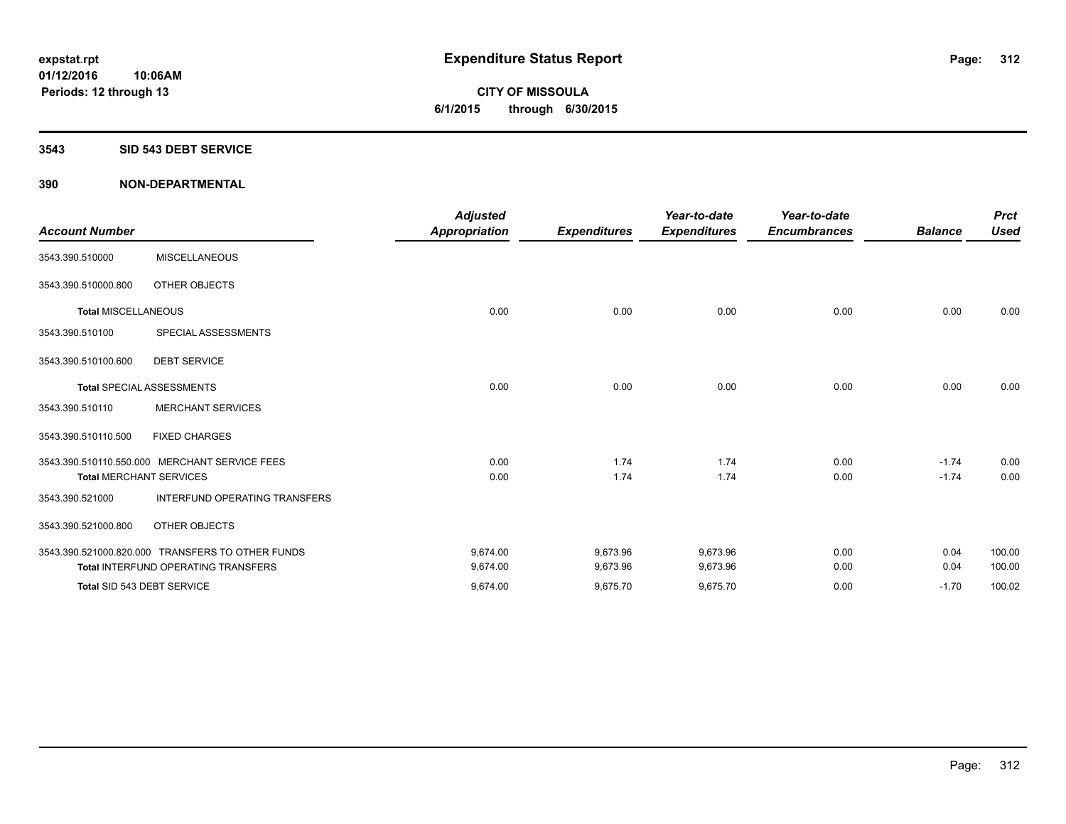#### **3543 SID 543 DEBT SERVICE**

|                                |                                                  | <b>Adjusted</b>      |                     | Year-to-date        | Year-to-date        |                | <b>Prct</b> |
|--------------------------------|--------------------------------------------------|----------------------|---------------------|---------------------|---------------------|----------------|-------------|
| <b>Account Number</b>          |                                                  | <b>Appropriation</b> | <b>Expenditures</b> | <b>Expenditures</b> | <b>Encumbrances</b> | <b>Balance</b> | <b>Used</b> |
| 3543.390.510000                | <b>MISCELLANEOUS</b>                             |                      |                     |                     |                     |                |             |
| 3543.390.510000.800            | OTHER OBJECTS                                    |                      |                     |                     |                     |                |             |
| <b>Total MISCELLANEOUS</b>     |                                                  | 0.00                 | 0.00                | 0.00                | 0.00                | 0.00           | 0.00        |
| 3543.390.510100                | SPECIAL ASSESSMENTS                              |                      |                     |                     |                     |                |             |
| 3543.390.510100.600            | <b>DEBT SERVICE</b>                              |                      |                     |                     |                     |                |             |
|                                | <b>Total SPECIAL ASSESSMENTS</b>                 | 0.00                 | 0.00                | 0.00                | 0.00                | 0.00           | 0.00        |
| 3543.390.510110                | <b>MERCHANT SERVICES</b>                         |                      |                     |                     |                     |                |             |
| 3543.390.510110.500            | <b>FIXED CHARGES</b>                             |                      |                     |                     |                     |                |             |
|                                | 3543.390.510110.550.000 MERCHANT SERVICE FEES    | 0.00                 | 1.74                | 1.74                | 0.00                | $-1.74$        | 0.00        |
| <b>Total MERCHANT SERVICES</b> |                                                  | 0.00                 | 1.74                | 1.74                | 0.00                | $-1.74$        | 0.00        |
| 3543.390.521000                | <b>INTERFUND OPERATING TRANSFERS</b>             |                      |                     |                     |                     |                |             |
| 3543.390.521000.800            | OTHER OBJECTS                                    |                      |                     |                     |                     |                |             |
|                                | 3543.390.521000.820.000 TRANSFERS TO OTHER FUNDS | 9,674.00             | 9,673.96            | 9,673.96            | 0.00                | 0.04           | 100.00      |
|                                | Total INTERFUND OPERATING TRANSFERS              | 9,674.00             | 9,673.96            | 9,673.96            | 0.00                | 0.04           | 100.00      |
| Total SID 543 DEBT SERVICE     |                                                  | 9,674.00             | 9,675.70            | 9,675.70            | 0.00                | $-1.70$        | 100.02      |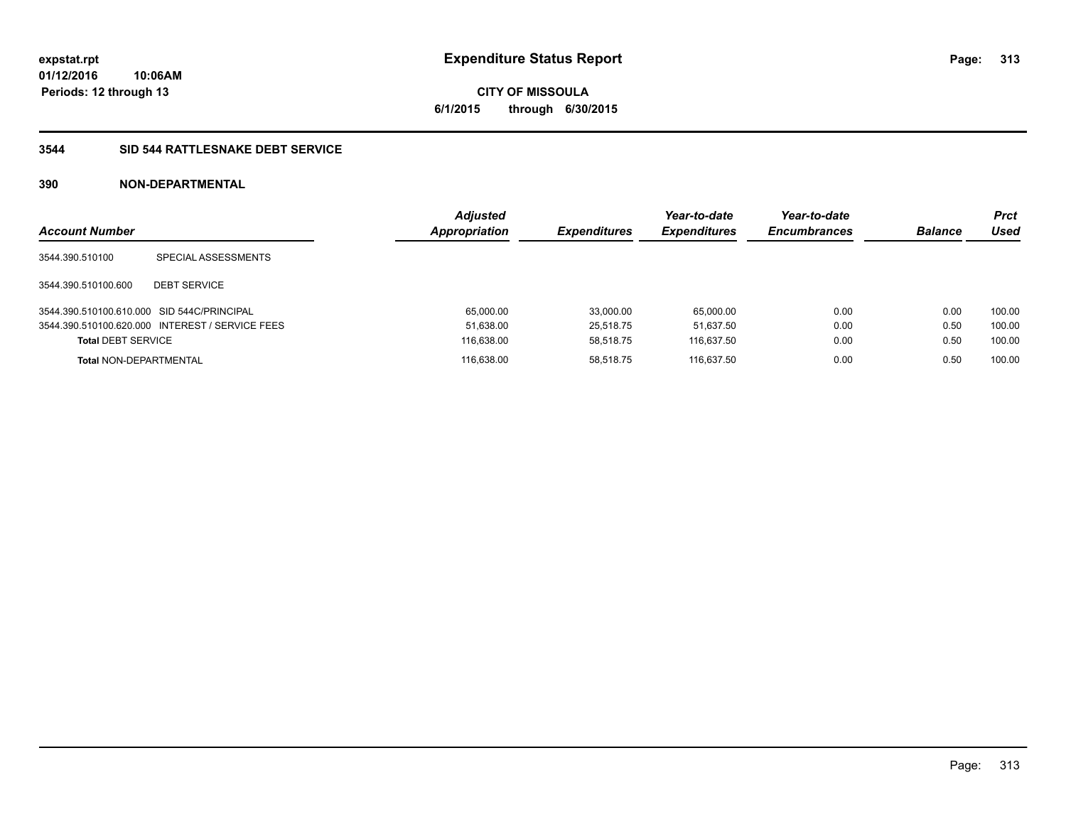**CITY OF MISSOULA 6/1/2015 through 6/30/2015**

# **3544 SID 544 RATTLESNAKE DEBT SERVICE**

| <b>Account Number</b>                      |                                                 | <b>Adjusted</b><br>Appropriation | <b>Expenditures</b> | Year-to-date<br><b>Expenditures</b> | Year-to-date<br><b>Encumbrances</b> | <b>Balance</b> | <b>Prct</b><br>Used |
|--------------------------------------------|-------------------------------------------------|----------------------------------|---------------------|-------------------------------------|-------------------------------------|----------------|---------------------|
| 3544.390.510100                            | SPECIAL ASSESSMENTS                             |                                  |                     |                                     |                                     |                |                     |
| 3544.390.510100.600                        | <b>DEBT SERVICE</b>                             |                                  |                     |                                     |                                     |                |                     |
| 3544.390.510100.610.000 SID 544C/PRINCIPAL |                                                 | 65,000.00                        | 33,000.00           | 65.000.00                           | 0.00                                | 0.00           | 100.00              |
|                                            | 3544.390.510100.620.000 INTEREST / SERVICE FEES | 51,638.00                        | 25.518.75           | 51.637.50                           | 0.00                                | 0.50           | 100.00              |
| <b>Total DEBT SERVICE</b>                  |                                                 | 116.638.00                       | 58.518.75           | 116.637.50                          | 0.00                                | 0.50           | 100.00              |
| <b>Total NON-DEPARTMENTAL</b>              |                                                 | 116.638.00                       | 58.518.75           | 116.637.50                          | 0.00                                | 0.50           | 100.00              |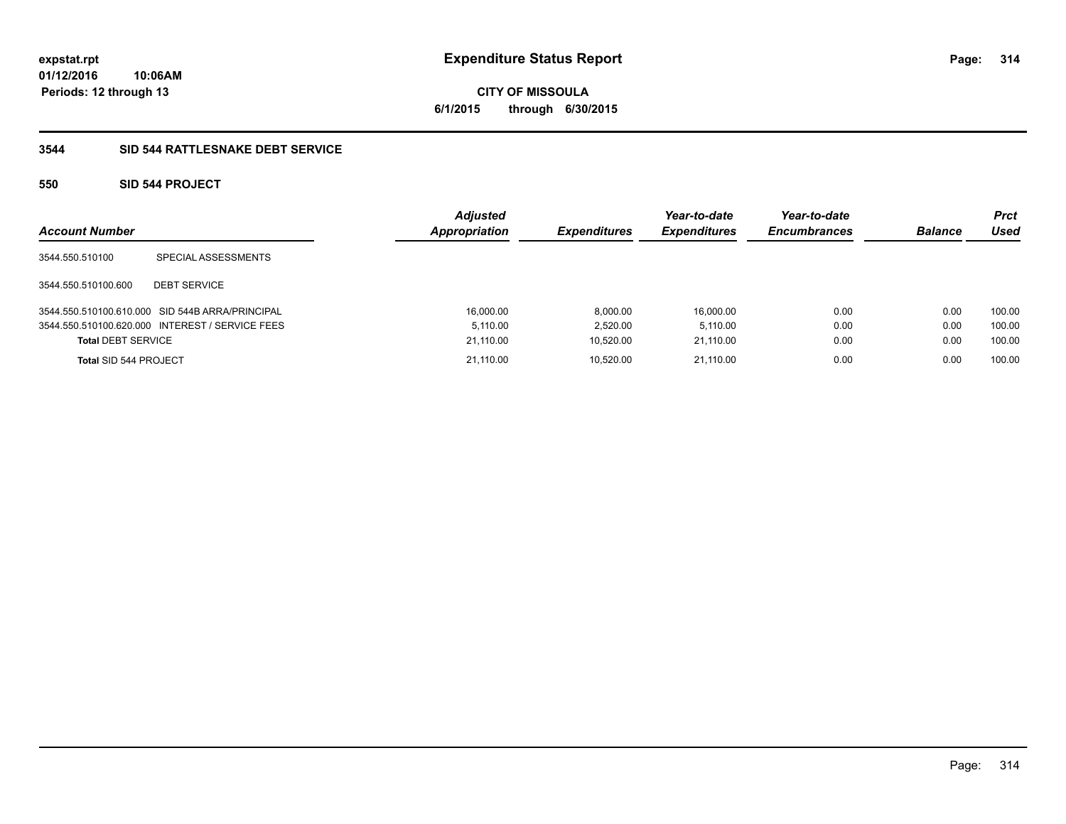**CITY OF MISSOULA 6/1/2015 through 6/30/2015**

# **3544 SID 544 RATTLESNAKE DEBT SERVICE**

# **550 SID 544 PROJECT**

| <b>Account Number</b>     |                                                 | <b>Adjusted</b><br><b>Appropriation</b> | <b>Expenditures</b> | Year-to-date<br><b>Expenditures</b> | Year-to-date<br><b>Encumbrances</b> | <b>Balance</b> | <b>Prct</b><br>Used |
|---------------------------|-------------------------------------------------|-----------------------------------------|---------------------|-------------------------------------|-------------------------------------|----------------|---------------------|
| 3544.550.510100           | SPECIAL ASSESSMENTS                             |                                         |                     |                                     |                                     |                |                     |
| 3544.550.510100.600       | <b>DEBT SERVICE</b>                             |                                         |                     |                                     |                                     |                |                     |
|                           | 3544.550.510100.610.000 SID 544B ARRA/PRINCIPAL | 16,000.00                               | 8,000.00            | 16,000.00                           | 0.00                                | 0.00           | 100.00              |
|                           | 3544.550.510100.620.000 INTEREST / SERVICE FEES | 5.110.00                                | 2,520.00            | 5.110.00                            | 0.00                                | 0.00           | 100.00              |
| <b>Total DEBT SERVICE</b> |                                                 | 21.110.00                               | 10.520.00           | 21.110.00                           | 0.00                                | 0.00           | 100.00              |
| Total SID 544 PROJECT     |                                                 | 21.110.00                               | 10,520.00           | 21.110.00                           | 0.00                                | 0.00           | 100.00              |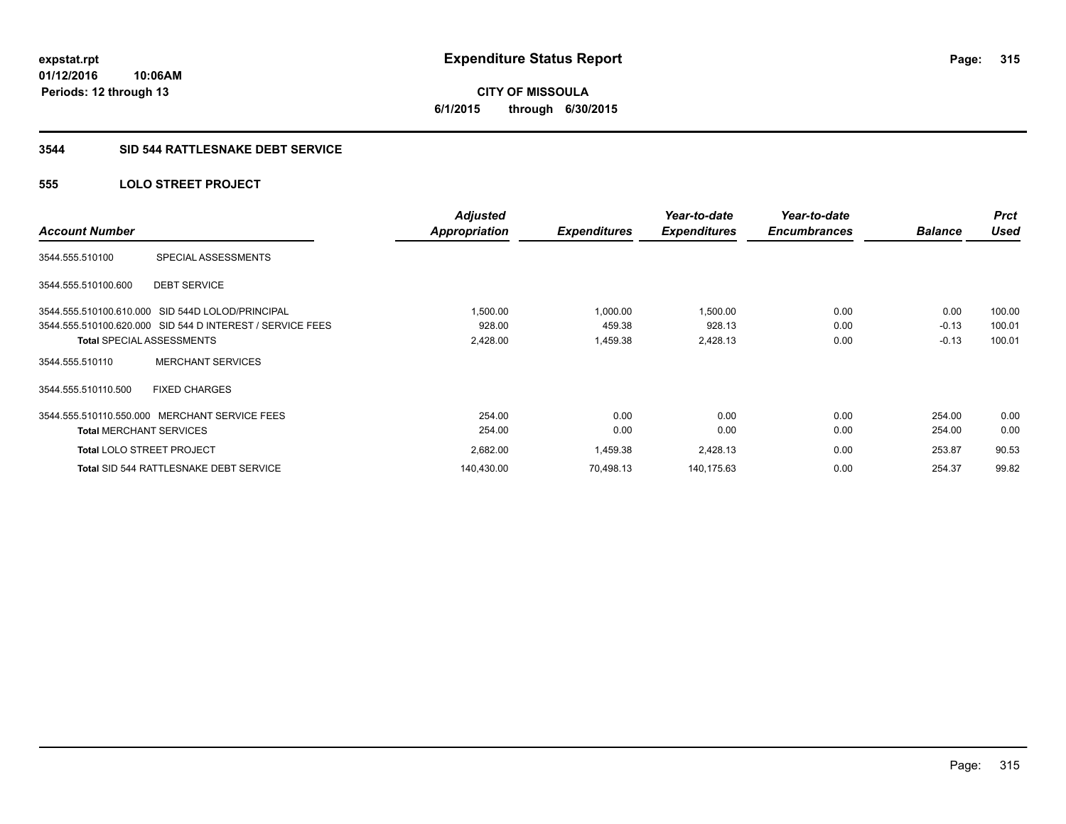**CITY OF MISSOULA 6/1/2015 through 6/30/2015**

#### **3544 SID 544 RATTLESNAKE DEBT SERVICE**

# **555 LOLO STREET PROJECT**

|                                                  |                                                           | <b>Adjusted</b>      |                     | Year-to-date        | Year-to-date        |                | <b>Prct</b> |
|--------------------------------------------------|-----------------------------------------------------------|----------------------|---------------------|---------------------|---------------------|----------------|-------------|
| <b>Account Number</b>                            |                                                           | <b>Appropriation</b> | <b>Expenditures</b> | <b>Expenditures</b> | <b>Encumbrances</b> | <b>Balance</b> | Used        |
| 3544.555.510100                                  | SPECIAL ASSESSMENTS                                       |                      |                     |                     |                     |                |             |
| 3544.555.510100.600                              | <b>DEBT SERVICE</b>                                       |                      |                     |                     |                     |                |             |
| 3544.555.510100.610.000 SID 544D LOLOD/PRINCIPAL |                                                           | 1,500.00             | 1,000.00            | 1,500.00            | 0.00                | 0.00           | 100.00      |
|                                                  | 3544.555.510100.620.000 SID 544 D INTEREST / SERVICE FEES | 928.00               | 459.38              | 928.13              | 0.00                | $-0.13$        | 100.01      |
| <b>Total SPECIAL ASSESSMENTS</b>                 |                                                           | 2,428.00             | 1,459.38            | 2,428.13            | 0.00                | $-0.13$        | 100.01      |
| 3544.555.510110                                  | <b>MERCHANT SERVICES</b>                                  |                      |                     |                     |                     |                |             |
| 3544.555.510110.500                              | <b>FIXED CHARGES</b>                                      |                      |                     |                     |                     |                |             |
| 3544.555.510110.550.000 MERCHANT SERVICE FEES    |                                                           | 254.00               | 0.00                | 0.00                | 0.00                | 254.00         | 0.00        |
| <b>Total MERCHANT SERVICES</b>                   |                                                           | 254.00               | 0.00                | 0.00                | 0.00                | 254.00         | 0.00        |
| <b>Total LOLO STREET PROJECT</b>                 |                                                           | 2,682.00             | 1,459.38            | 2,428.13            | 0.00                | 253.87         | 90.53       |
|                                                  | Total SID 544 RATTLESNAKE DEBT SERVICE                    | 140,430.00           | 70,498.13           | 140,175.63          | 0.00                | 254.37         | 99.82       |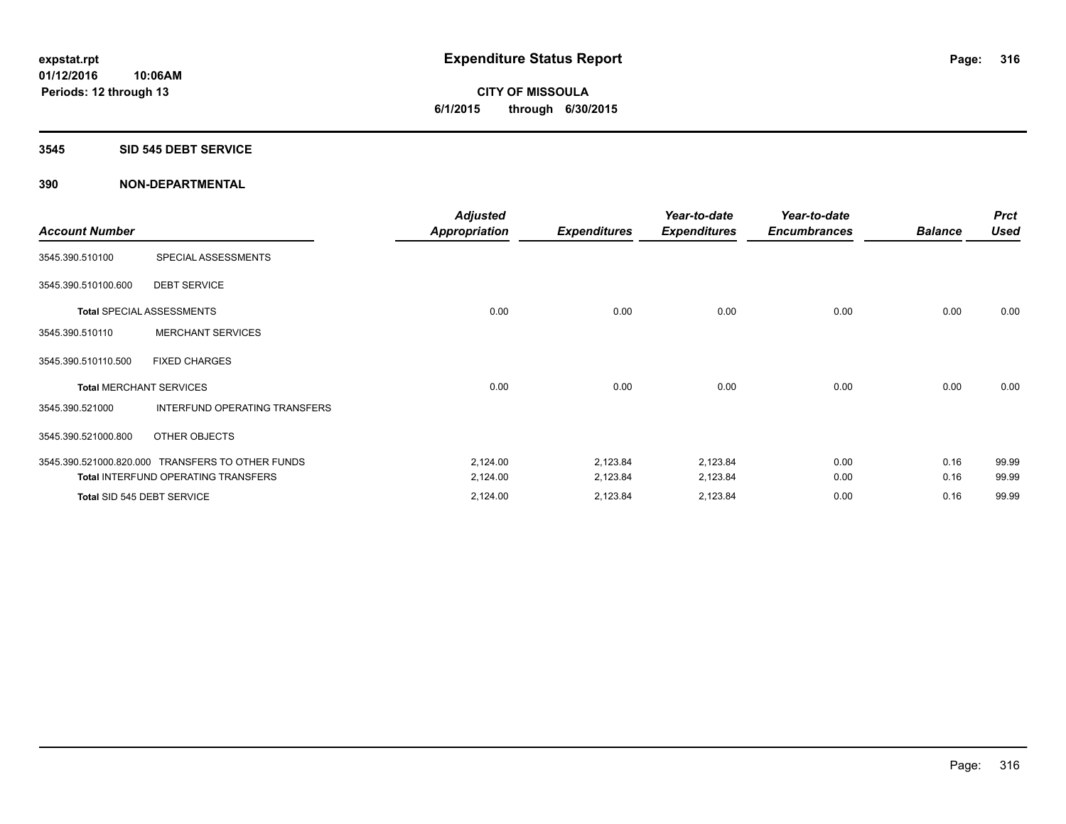# **CITY OF MISSOULA 6/1/2015 through 6/30/2015**

#### **3545 SID 545 DEBT SERVICE**

|                       |                                                  | <b>Adjusted</b>      |                     | Year-to-date        | Year-to-date        |                | <b>Prct</b> |
|-----------------------|--------------------------------------------------|----------------------|---------------------|---------------------|---------------------|----------------|-------------|
| <b>Account Number</b> |                                                  | <b>Appropriation</b> | <b>Expenditures</b> | <b>Expenditures</b> | <b>Encumbrances</b> | <b>Balance</b> | <b>Used</b> |
| 3545.390.510100       | SPECIAL ASSESSMENTS                              |                      |                     |                     |                     |                |             |
| 3545.390.510100.600   | <b>DEBT SERVICE</b>                              |                      |                     |                     |                     |                |             |
|                       | <b>Total SPECIAL ASSESSMENTS</b>                 | 0.00                 | 0.00                | 0.00                | 0.00                | 0.00           | 0.00        |
| 3545.390.510110       | <b>MERCHANT SERVICES</b>                         |                      |                     |                     |                     |                |             |
| 3545.390.510110.500   | <b>FIXED CHARGES</b>                             |                      |                     |                     |                     |                |             |
|                       | <b>Total MERCHANT SERVICES</b>                   | 0.00                 | 0.00                | 0.00                | 0.00                | 0.00           | 0.00        |
| 3545.390.521000       | INTERFUND OPERATING TRANSFERS                    |                      |                     |                     |                     |                |             |
| 3545.390.521000.800   | OTHER OBJECTS                                    |                      |                     |                     |                     |                |             |
|                       | 3545.390.521000.820.000 TRANSFERS TO OTHER FUNDS | 2,124.00             | 2,123.84            | 2,123.84            | 0.00                | 0.16           | 99.99       |
|                       | <b>Total INTERFUND OPERATING TRANSFERS</b>       | 2,124.00             | 2,123.84            | 2,123.84            | 0.00                | 0.16           | 99.99       |
|                       | Total SID 545 DEBT SERVICE                       | 2,124.00             | 2,123.84            | 2,123.84            | 0.00                | 0.16           | 99.99       |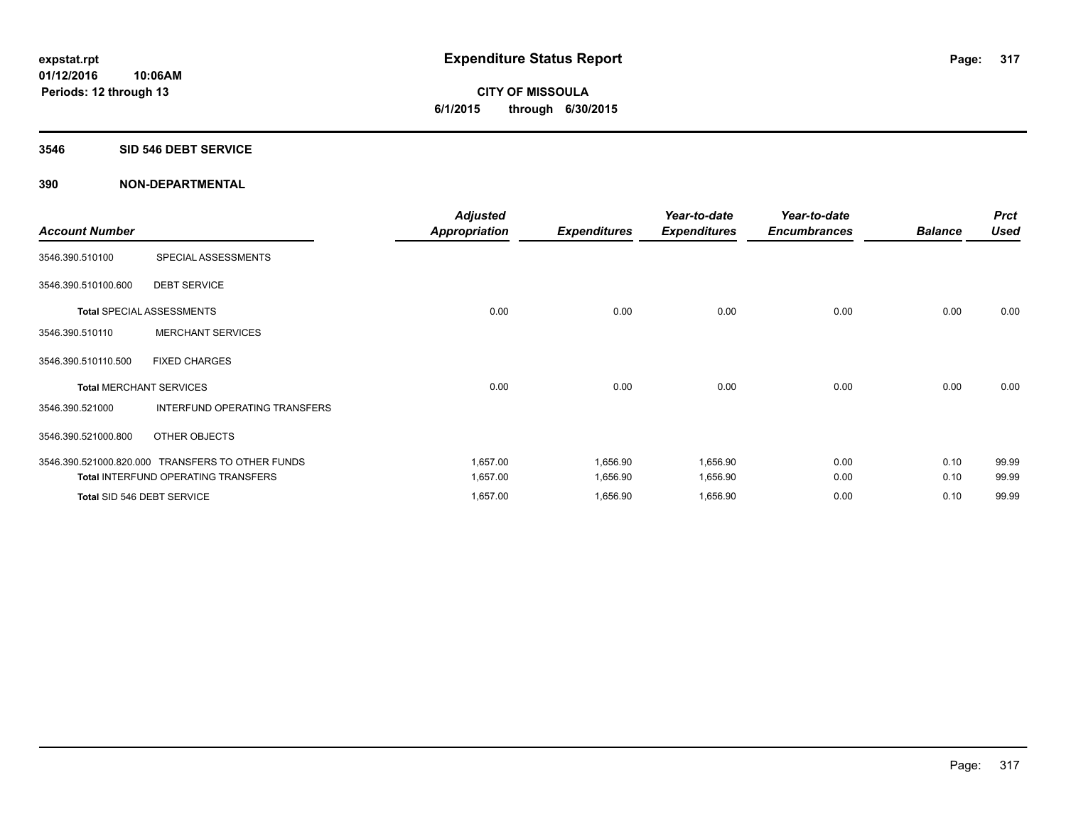# **CITY OF MISSOULA 6/1/2015 through 6/30/2015**

#### **3546 SID 546 DEBT SERVICE**

| <b>Account Number</b> |                                                  | <b>Adjusted</b><br><b>Appropriation</b> | <b>Expenditures</b> | Year-to-date<br><b>Expenditures</b> | Year-to-date<br><b>Encumbrances</b> | <b>Balance</b> | <b>Prct</b><br><b>Used</b> |
|-----------------------|--------------------------------------------------|-----------------------------------------|---------------------|-------------------------------------|-------------------------------------|----------------|----------------------------|
| 3546.390.510100       | SPECIAL ASSESSMENTS                              |                                         |                     |                                     |                                     |                |                            |
| 3546.390.510100.600   | <b>DEBT SERVICE</b>                              |                                         |                     |                                     |                                     |                |                            |
|                       | <b>Total SPECIAL ASSESSMENTS</b>                 | 0.00                                    | 0.00                | 0.00                                | 0.00                                | 0.00           | 0.00                       |
| 3546.390.510110       | <b>MERCHANT SERVICES</b>                         |                                         |                     |                                     |                                     |                |                            |
| 3546.390.510110.500   | <b>FIXED CHARGES</b>                             |                                         |                     |                                     |                                     |                |                            |
|                       | <b>Total MERCHANT SERVICES</b>                   | 0.00                                    | 0.00                | 0.00                                | 0.00                                | 0.00           | 0.00                       |
| 3546.390.521000       | INTERFUND OPERATING TRANSFERS                    |                                         |                     |                                     |                                     |                |                            |
| 3546.390.521000.800   | OTHER OBJECTS                                    |                                         |                     |                                     |                                     |                |                            |
|                       | 3546.390.521000.820.000 TRANSFERS TO OTHER FUNDS | 1,657.00                                | 1,656.90            | 1,656.90                            | 0.00                                | 0.10           | 99.99                      |
|                       | <b>Total INTERFUND OPERATING TRANSFERS</b>       | 1,657.00                                | 1,656.90            | 1,656.90                            | 0.00                                | 0.10           | 99.99                      |
|                       | Total SID 546 DEBT SERVICE                       | 1,657.00                                | 1,656.90            | 1,656.90                            | 0.00                                | 0.10           | 99.99                      |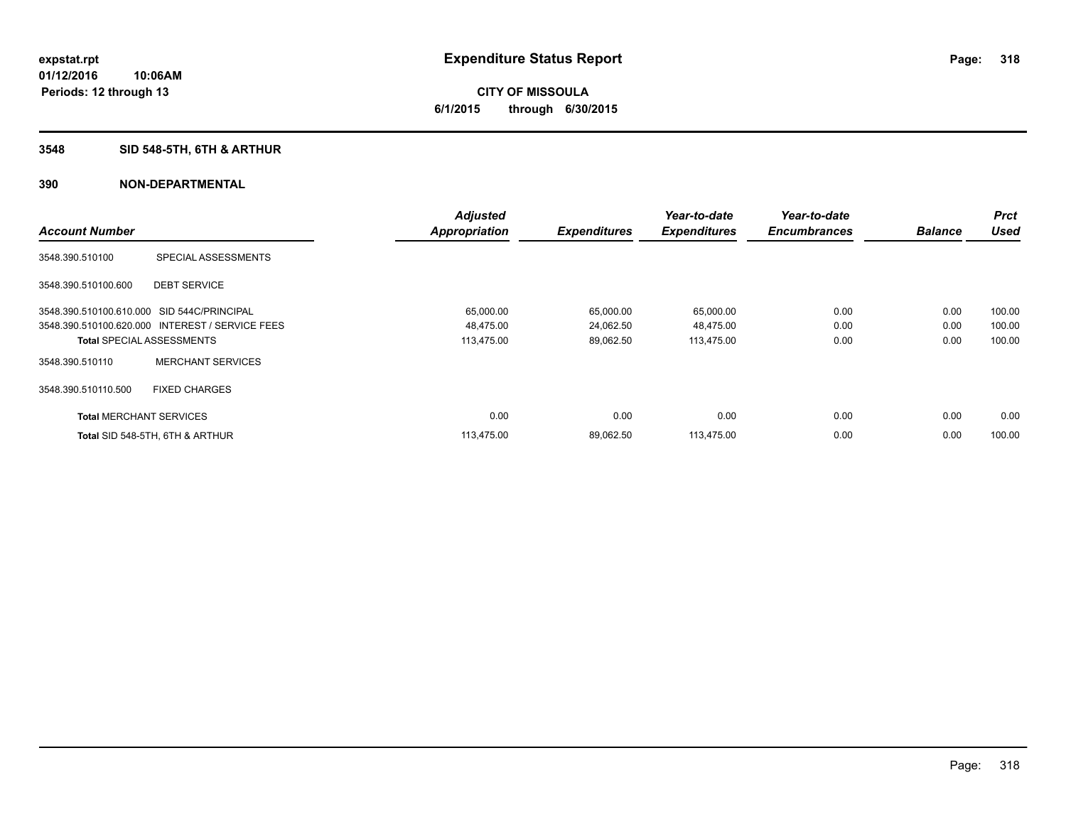# **CITY OF MISSOULA 6/1/2015 through 6/30/2015**

# **3548 SID 548-5TH, 6TH & ARTHUR**

|                                            |                                                 | <b>Adjusted</b>      |                     | Year-to-date        | Year-to-date        |                | Prct        |
|--------------------------------------------|-------------------------------------------------|----------------------|---------------------|---------------------|---------------------|----------------|-------------|
| <b>Account Number</b>                      |                                                 | <b>Appropriation</b> | <b>Expenditures</b> | <b>Expenditures</b> | <b>Encumbrances</b> | <b>Balance</b> | <b>Used</b> |
| 3548.390.510100                            | SPECIAL ASSESSMENTS                             |                      |                     |                     |                     |                |             |
| 3548.390.510100.600                        | <b>DEBT SERVICE</b>                             |                      |                     |                     |                     |                |             |
| 3548.390.510100.610.000 SID 544C/PRINCIPAL |                                                 | 65,000.00            | 65,000.00           | 65,000.00           | 0.00                | 0.00           | 100.00      |
|                                            | 3548.390.510100.620.000 INTEREST / SERVICE FEES | 48,475.00            | 24,062.50           | 48,475.00           | 0.00                | 0.00           | 100.00      |
|                                            | <b>Total SPECIAL ASSESSMENTS</b>                | 113,475.00           | 89,062.50           | 113,475.00          | 0.00                | 0.00           | 100.00      |
| 3548.390.510110                            | <b>MERCHANT SERVICES</b>                        |                      |                     |                     |                     |                |             |
| 3548.390.510110.500                        | <b>FIXED CHARGES</b>                            |                      |                     |                     |                     |                |             |
| <b>Total MERCHANT SERVICES</b>             |                                                 | 0.00                 | 0.00                | 0.00                | 0.00                | 0.00           | 0.00        |
|                                            | Total SID 548-5TH, 6TH & ARTHUR                 | 113,475.00           | 89,062.50           | 113.475.00          | 0.00                | 0.00           | 100.00      |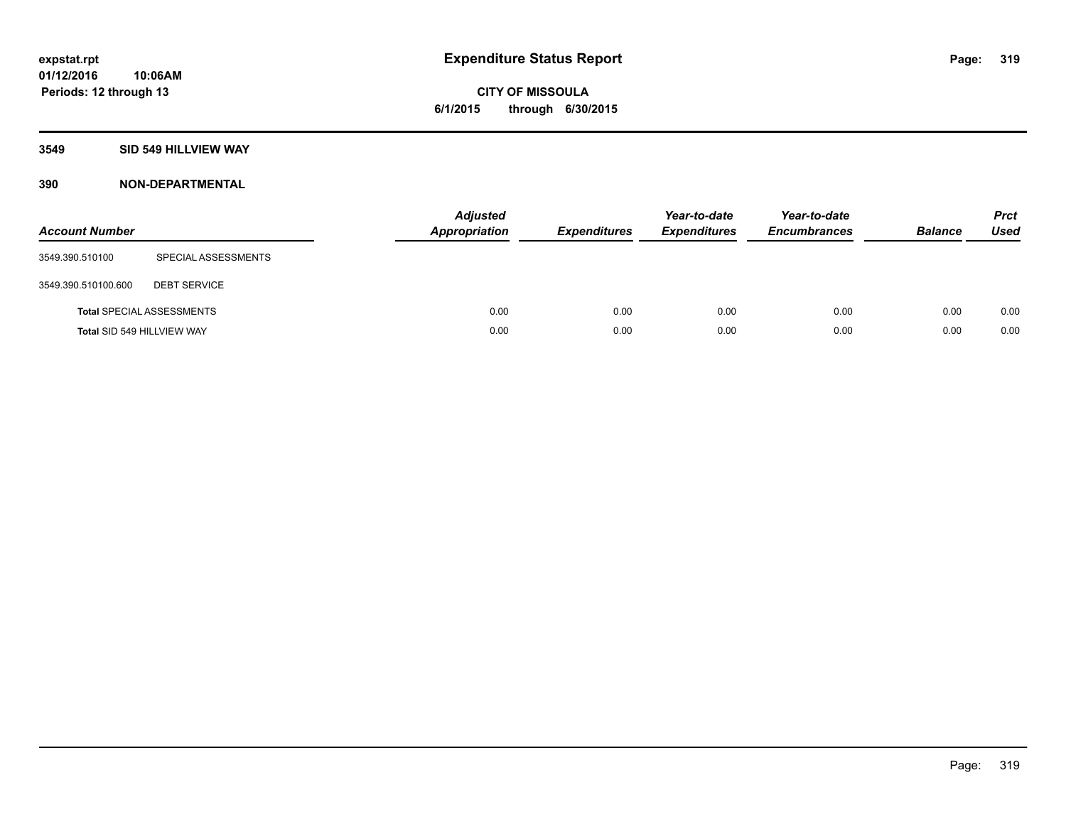# **3549 SID 549 HILLVIEW WAY**

| <b>Account Number</b>      |                                  | <b>Adjusted</b><br><b>Appropriation</b> | <b>Expenditures</b> | Year-to-date<br><b>Expenditures</b> | Year-to-date<br><b>Encumbrances</b> | <b>Balance</b> | <b>Prct</b><br><b>Used</b> |
|----------------------------|----------------------------------|-----------------------------------------|---------------------|-------------------------------------|-------------------------------------|----------------|----------------------------|
| 3549.390.510100            | SPECIAL ASSESSMENTS              |                                         |                     |                                     |                                     |                |                            |
| 3549.390.510100.600        | <b>DEBT SERVICE</b>              |                                         |                     |                                     |                                     |                |                            |
|                            | <b>Total SPECIAL ASSESSMENTS</b> | 0.00                                    | 0.00                | 0.00                                | 0.00                                | 0.00           | 0.00                       |
| Total SID 549 HILLVIEW WAY |                                  | 0.00                                    | 0.00                | 0.00                                | 0.00                                | 0.00           | 0.00                       |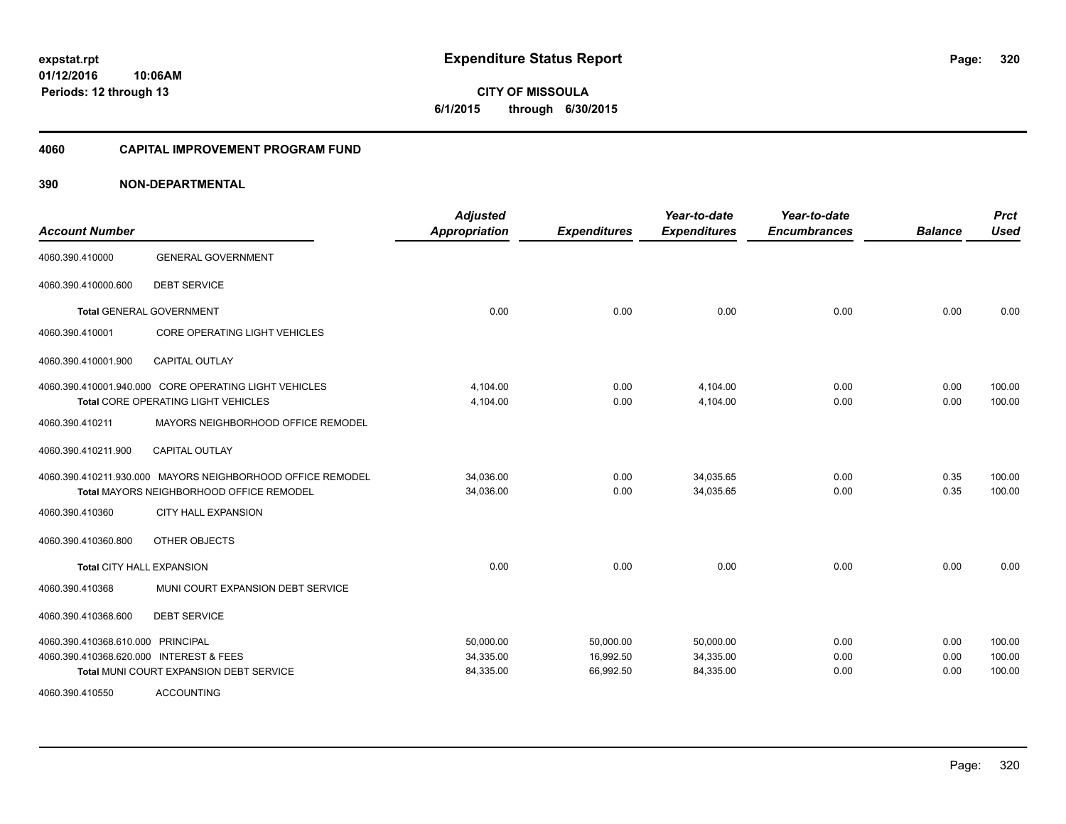**CITY OF MISSOULA 6/1/2015 through 6/30/2015**

#### **4060 CAPITAL IMPROVEMENT PROGRAM FUND**

| <b>Account Number</b>                   |                                                            | <b>Adjusted</b><br><b>Appropriation</b> | <b>Expenditures</b> | Year-to-date<br><b>Expenditures</b> | Year-to-date<br><b>Encumbrances</b> | <b>Balance</b> | <b>Prct</b><br><b>Used</b> |
|-----------------------------------------|------------------------------------------------------------|-----------------------------------------|---------------------|-------------------------------------|-------------------------------------|----------------|----------------------------|
| 4060.390.410000                         | <b>GENERAL GOVERNMENT</b>                                  |                                         |                     |                                     |                                     |                |                            |
| 4060.390.410000.600                     | <b>DEBT SERVICE</b>                                        |                                         |                     |                                     |                                     |                |                            |
|                                         | <b>Total GENERAL GOVERNMENT</b>                            | 0.00                                    | 0.00                | 0.00                                | 0.00                                | 0.00           | 0.00                       |
| 4060.390.410001                         | CORE OPERATING LIGHT VEHICLES                              |                                         |                     |                                     |                                     |                |                            |
| 4060.390.410001.900                     | <b>CAPITAL OUTLAY</b>                                      |                                         |                     |                                     |                                     |                |                            |
|                                         | 4060.390.410001.940.000 CORE OPERATING LIGHT VEHICLES      | 4,104.00                                | 0.00                | 4,104.00                            | 0.00                                | 0.00           | 100.00                     |
|                                         | Total CORE OPERATING LIGHT VEHICLES                        | 4,104.00                                | 0.00                | 4,104.00                            | 0.00                                | 0.00           | 100.00                     |
| 4060.390.410211                         | MAYORS NEIGHBORHOOD OFFICE REMODEL                         |                                         |                     |                                     |                                     |                |                            |
| 4060.390.410211.900                     | <b>CAPITAL OUTLAY</b>                                      |                                         |                     |                                     |                                     |                |                            |
|                                         | 4060.390.410211.930.000 MAYORS NEIGHBORHOOD OFFICE REMODEL | 34,036.00                               | 0.00                | 34,035.65                           | 0.00                                | 0.35           | 100.00                     |
|                                         | <b>Total MAYORS NEIGHBORHOOD OFFICE REMODEL</b>            | 34,036.00                               | 0.00                | 34,035.65                           | 0.00                                | 0.35           | 100.00                     |
| 4060.390.410360                         | <b>CITY HALL EXPANSION</b>                                 |                                         |                     |                                     |                                     |                |                            |
| 4060.390.410360.800                     | OTHER OBJECTS                                              |                                         |                     |                                     |                                     |                |                            |
| <b>Total CITY HALL EXPANSION</b>        |                                                            | 0.00                                    | 0.00                | 0.00                                | 0.00                                | 0.00           | 0.00                       |
| 4060.390.410368                         | MUNI COURT EXPANSION DEBT SERVICE                          |                                         |                     |                                     |                                     |                |                            |
| 4060.390.410368.600                     | <b>DEBT SERVICE</b>                                        |                                         |                     |                                     |                                     |                |                            |
| 4060.390.410368.610.000 PRINCIPAL       |                                                            | 50,000.00                               | 50,000.00           | 50,000.00                           | 0.00                                | 0.00           | 100.00                     |
| 4060.390.410368.620.000 INTEREST & FEES |                                                            | 34,335.00                               | 16,992.50           | 34,335.00                           | 0.00                                | 0.00           | 100.00                     |
|                                         | Total MUNI COURT EXPANSION DEBT SERVICE                    | 84,335.00                               | 66,992.50           | 84,335.00                           | 0.00                                | 0.00           | 100.00                     |
| 4060.390.410550                         | <b>ACCOUNTING</b>                                          |                                         |                     |                                     |                                     |                |                            |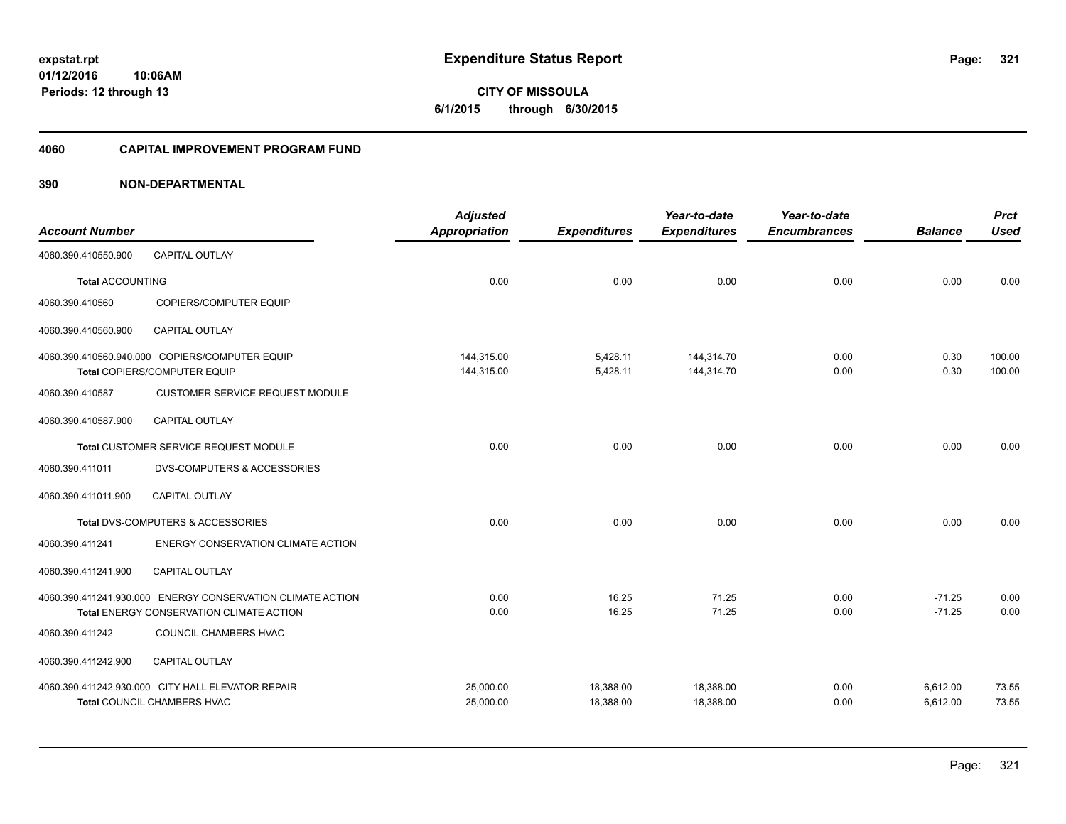**321**

**01/12/2016 10:06AM Periods: 12 through 13**

**CITY OF MISSOULA 6/1/2015 through 6/30/2015**

#### **4060 CAPITAL IMPROVEMENT PROGRAM FUND**

| <b>Account Number</b>   |                                                                                                        | <b>Adjusted</b><br><b>Appropriation</b> | <b>Expenditures</b>    | Year-to-date<br><b>Expenditures</b> | Year-to-date<br><b>Encumbrances</b> | <b>Balance</b>       | <b>Prct</b><br><b>Used</b> |
|-------------------------|--------------------------------------------------------------------------------------------------------|-----------------------------------------|------------------------|-------------------------------------|-------------------------------------|----------------------|----------------------------|
| 4060.390.410550.900     | <b>CAPITAL OUTLAY</b>                                                                                  |                                         |                        |                                     |                                     |                      |                            |
| <b>Total ACCOUNTING</b> |                                                                                                        | 0.00                                    | 0.00                   | 0.00                                | 0.00                                | 0.00                 | 0.00                       |
| 4060.390.410560         | COPIERS/COMPUTER EQUIP                                                                                 |                                         |                        |                                     |                                     |                      |                            |
| 4060.390.410560.900     | <b>CAPITAL OUTLAY</b>                                                                                  |                                         |                        |                                     |                                     |                      |                            |
|                         | 4060.390.410560.940.000 COPIERS/COMPUTER EQUIP<br>Total COPIERS/COMPUTER EQUIP                         | 144,315.00<br>144,315.00                | 5,428.11<br>5,428.11   | 144,314.70<br>144,314.70            | 0.00<br>0.00                        | 0.30<br>0.30         | 100.00<br>100.00           |
| 4060.390.410587         | <b>CUSTOMER SERVICE REQUEST MODULE</b>                                                                 |                                         |                        |                                     |                                     |                      |                            |
| 4060.390.410587.900     | <b>CAPITAL OUTLAY</b>                                                                                  |                                         |                        |                                     |                                     |                      |                            |
|                         | Total CUSTOMER SERVICE REQUEST MODULE                                                                  | 0.00                                    | 0.00                   | 0.00                                | 0.00                                | 0.00                 | 0.00                       |
| 4060.390.411011         | <b>DVS-COMPUTERS &amp; ACCESSORIES</b>                                                                 |                                         |                        |                                     |                                     |                      |                            |
| 4060.390.411011.900     | CAPITAL OUTLAY                                                                                         |                                         |                        |                                     |                                     |                      |                            |
|                         | Total DVS-COMPUTERS & ACCESSORIES                                                                      | 0.00                                    | 0.00                   | 0.00                                | 0.00                                | 0.00                 | 0.00                       |
| 4060.390.411241         | ENERGY CONSERVATION CLIMATE ACTION                                                                     |                                         |                        |                                     |                                     |                      |                            |
| 4060.390.411241.900     | <b>CAPITAL OUTLAY</b>                                                                                  |                                         |                        |                                     |                                     |                      |                            |
|                         | 4060.390.411241.930.000 ENERGY CONSERVATION CLIMATE ACTION<br>Total ENERGY CONSERVATION CLIMATE ACTION | 0.00<br>0.00                            | 16.25<br>16.25         | 71.25<br>71.25                      | 0.00<br>0.00                        | $-71.25$<br>$-71.25$ | 0.00<br>0.00               |
| 4060.390.411242         | COUNCIL CHAMBERS HVAC                                                                                  |                                         |                        |                                     |                                     |                      |                            |
| 4060.390.411242.900     | <b>CAPITAL OUTLAY</b>                                                                                  |                                         |                        |                                     |                                     |                      |                            |
|                         | 4060.390.411242.930.000 CITY HALL ELEVATOR REPAIR<br>Total COUNCIL CHAMBERS HVAC                       | 25,000.00<br>25,000.00                  | 18,388.00<br>18,388.00 | 18,388.00<br>18,388.00              | 0.00<br>0.00                        | 6,612.00<br>6,612.00 | 73.55<br>73.55             |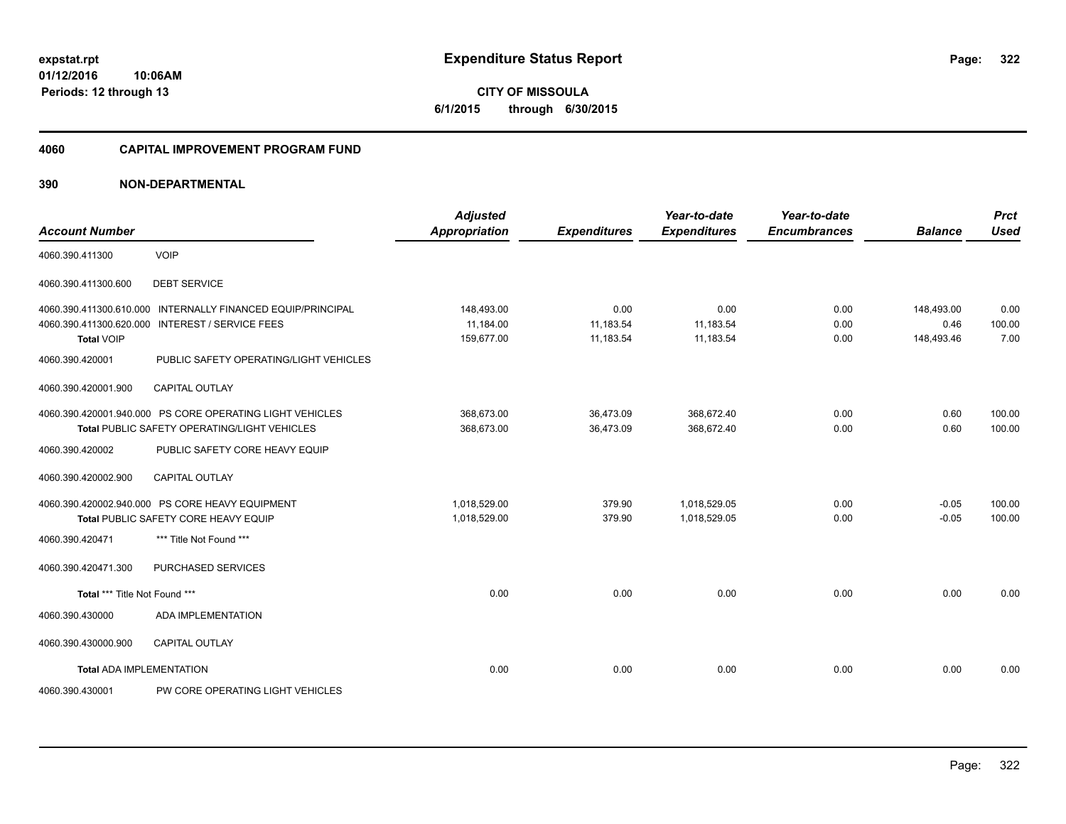#### **4060 CAPITAL IMPROVEMENT PROGRAM FUND**

| <b>Account Number</b>                        |                                                                                                                 | <b>Adjusted</b><br><b>Appropriation</b> | <b>Expenditures</b>            | Year-to-date<br><b>Expenditures</b> | Year-to-date<br><b>Encumbrances</b> | <b>Balance</b>                   | <b>Prct</b><br><b>Used</b> |
|----------------------------------------------|-----------------------------------------------------------------------------------------------------------------|-----------------------------------------|--------------------------------|-------------------------------------|-------------------------------------|----------------------------------|----------------------------|
| 4060.390.411300                              | <b>VOIP</b>                                                                                                     |                                         |                                |                                     |                                     |                                  |                            |
| 4060.390.411300.600                          | <b>DEBT SERVICE</b>                                                                                             |                                         |                                |                                     |                                     |                                  |                            |
| 4060.390.411300.620.000<br><b>Total VOIP</b> | 4060.390.411300.610.000 INTERNALLY FINANCED EQUIP/PRINCIPAL<br><b>INTEREST / SERVICE FEES</b>                   | 148,493.00<br>11,184.00<br>159,677.00   | 0.00<br>11,183.54<br>11,183.54 | 0.00<br>11,183.54<br>11,183.54      | 0.00<br>0.00<br>0.00                | 148,493.00<br>0.46<br>148,493.46 | 0.00<br>100.00<br>7.00     |
| 4060.390.420001                              | PUBLIC SAFETY OPERATING/LIGHT VEHICLES                                                                          |                                         |                                |                                     |                                     |                                  |                            |
| 4060.390.420001.900                          | <b>CAPITAL OUTLAY</b>                                                                                           |                                         |                                |                                     |                                     |                                  |                            |
|                                              | 4060.390.420001.940.000 PS CORE OPERATING LIGHT VEHICLES<br><b>Total PUBLIC SAFETY OPERATING/LIGHT VEHICLES</b> | 368.673.00<br>368,673.00                | 36,473.09<br>36.473.09         | 368,672.40<br>368,672.40            | 0.00<br>0.00                        | 0.60<br>0.60                     | 100.00<br>100.00           |
| 4060.390.420002                              | PUBLIC SAFETY CORE HEAVY EQUIP                                                                                  |                                         |                                |                                     |                                     |                                  |                            |
| 4060.390.420002.900                          | <b>CAPITAL OUTLAY</b>                                                                                           |                                         |                                |                                     |                                     |                                  |                            |
|                                              | 4060.390.420002.940.000 PS CORE HEAVY EQUIPMENT<br>Total PUBLIC SAFETY CORE HEAVY EQUIP                         | 1,018,529.00<br>1,018,529.00            | 379.90<br>379.90               | 1,018,529.05<br>1,018,529.05        | 0.00<br>0.00                        | $-0.05$<br>$-0.05$               | 100.00<br>100.00           |
| 4060.390.420471                              | *** Title Not Found ***                                                                                         |                                         |                                |                                     |                                     |                                  |                            |
| 4060.390.420471.300                          | PURCHASED SERVICES                                                                                              |                                         |                                |                                     |                                     |                                  |                            |
| Total *** Title Not Found ***                |                                                                                                                 | 0.00                                    | 0.00                           | 0.00                                | 0.00                                | 0.00                             | 0.00                       |
| 4060.390.430000                              | ADA IMPLEMENTATION                                                                                              |                                         |                                |                                     |                                     |                                  |                            |
| 4060.390.430000.900                          | <b>CAPITAL OUTLAY</b>                                                                                           |                                         |                                |                                     |                                     |                                  |                            |
| <b>Total ADA IMPLEMENTATION</b>              |                                                                                                                 | 0.00                                    | 0.00                           | 0.00                                | 0.00                                | 0.00                             | 0.00                       |
| 4060.390.430001                              | PW CORE OPERATING LIGHT VEHICLES                                                                                |                                         |                                |                                     |                                     |                                  |                            |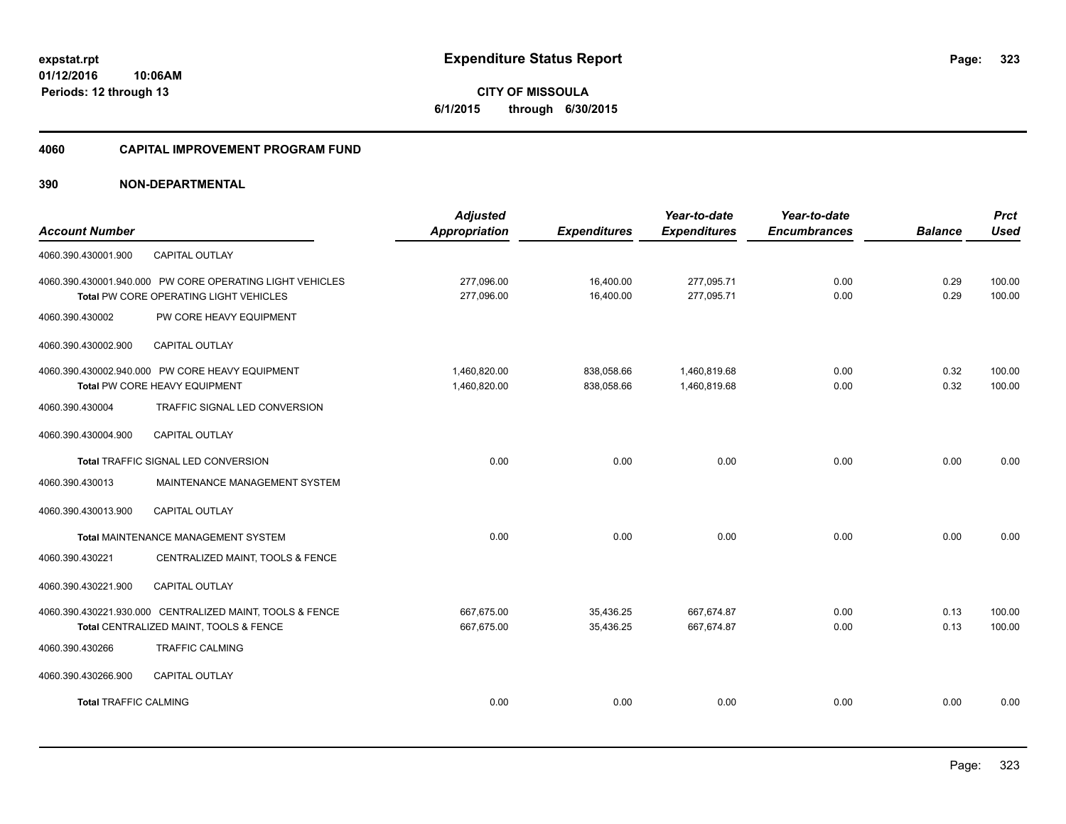**Periods: 12 through 13**

**CITY OF MISSOULA 6/1/2015 through 6/30/2015**

#### **4060 CAPITAL IMPROVEMENT PROGRAM FUND**

# **390 NON-DEPARTMENTAL**

**10:06AM**

| <b>Account Number</b>        |                                                                                                                   | <b>Adjusted</b><br>Appropriation | <b>Expenditures</b>      | Year-to-date<br><b>Expenditures</b> | Year-to-date<br><b>Encumbrances</b> | <b>Balance</b> | <b>Prct</b><br><b>Used</b> |
|------------------------------|-------------------------------------------------------------------------------------------------------------------|----------------------------------|--------------------------|-------------------------------------|-------------------------------------|----------------|----------------------------|
| 4060.390.430001.900          | <b>CAPITAL OUTLAY</b>                                                                                             |                                  |                          |                                     |                                     |                |                            |
|                              | 4060.390.430001.940.000 PW CORE OPERATING LIGHT VEHICLES<br><b>Total PW CORE OPERATING LIGHT VEHICLES</b>         | 277,096.00<br>277,096.00         | 16,400.00<br>16,400.00   | 277,095.71<br>277,095.71            | 0.00<br>0.00                        | 0.29<br>0.29   | 100.00<br>100.00           |
| 4060.390.430002              | PW CORE HEAVY EQUIPMENT                                                                                           |                                  |                          |                                     |                                     |                |                            |
| 4060.390.430002.900          | CAPITAL OUTLAY                                                                                                    |                                  |                          |                                     |                                     |                |                            |
| 4060.390.430004              | 4060.390.430002.940.000 PW CORE HEAVY EQUIPMENT<br>Total PW CORE HEAVY EQUIPMENT<br>TRAFFIC SIGNAL LED CONVERSION | 1,460,820.00<br>1,460,820.00     | 838,058.66<br>838,058.66 | 1,460,819.68<br>1,460,819.68        | 0.00<br>0.00                        | 0.32<br>0.32   | 100.00<br>100.00           |
| 4060.390.430004.900          | <b>CAPITAL OUTLAY</b>                                                                                             |                                  |                          |                                     |                                     |                |                            |
|                              | Total TRAFFIC SIGNAL LED CONVERSION                                                                               | 0.00                             | 0.00                     | 0.00                                | 0.00                                | 0.00           | 0.00                       |
| 4060.390.430013              | MAINTENANCE MANAGEMENT SYSTEM                                                                                     |                                  |                          |                                     |                                     |                |                            |
| 4060.390.430013.900          | CAPITAL OUTLAY                                                                                                    |                                  |                          |                                     |                                     |                |                            |
|                              | <b>Total MAINTENANCE MANAGEMENT SYSTEM</b>                                                                        | 0.00                             | 0.00                     | 0.00                                | 0.00                                | 0.00           | 0.00                       |
| 4060.390.430221              | CENTRALIZED MAINT, TOOLS & FENCE                                                                                  |                                  |                          |                                     |                                     |                |                            |
| 4060.390.430221.900          | CAPITAL OUTLAY                                                                                                    |                                  |                          |                                     |                                     |                |                            |
|                              | 4060.390.430221.930.000 CENTRALIZED MAINT, TOOLS & FENCE<br>Total CENTRALIZED MAINT, TOOLS & FENCE                | 667,675.00<br>667,675.00         | 35,436.25<br>35,436.25   | 667.674.87<br>667,674.87            | 0.00<br>0.00                        | 0.13<br>0.13   | 100.00<br>100.00           |
| 4060.390.430266              | <b>TRAFFIC CALMING</b>                                                                                            |                                  |                          |                                     |                                     |                |                            |
| 4060.390.430266.900          | <b>CAPITAL OUTLAY</b>                                                                                             |                                  |                          |                                     |                                     |                |                            |
| <b>Total TRAFFIC CALMING</b> |                                                                                                                   | 0.00                             | 0.00                     | 0.00                                | 0.00                                | 0.00           | 0.00                       |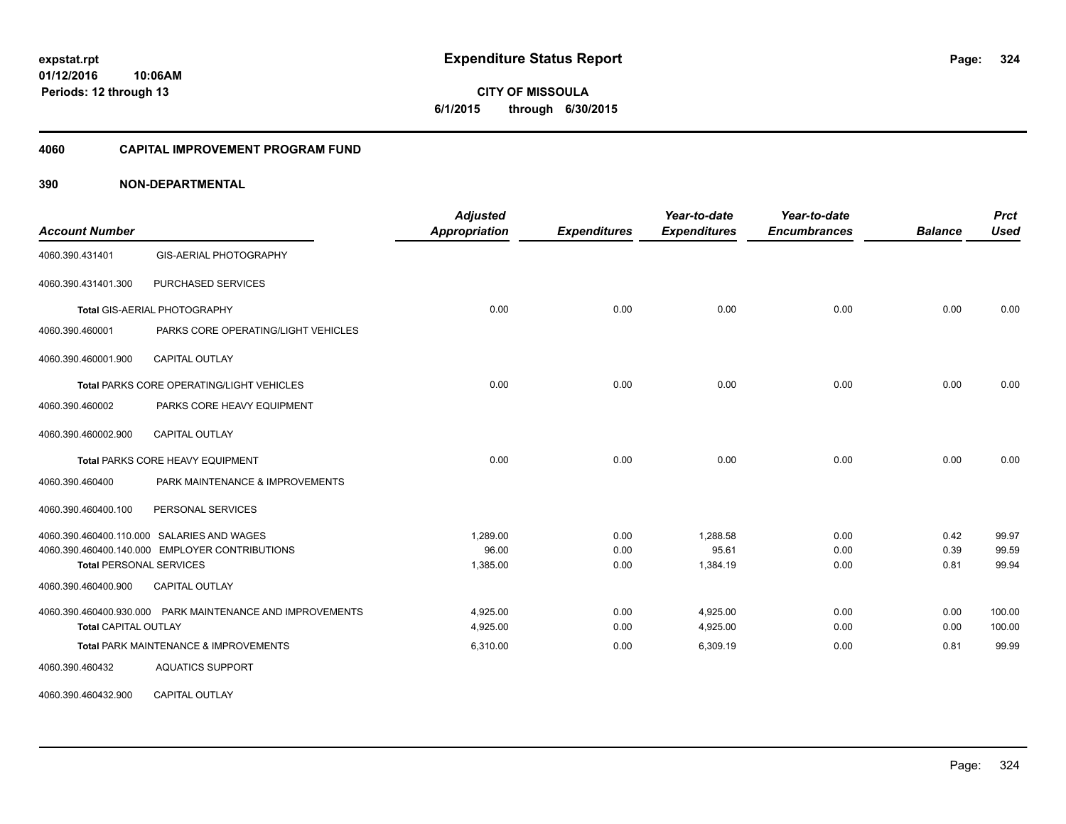**Periods: 12 through 13**

**324**

**CITY OF MISSOULA 6/1/2015 through 6/30/2015**

#### **4060 CAPITAL IMPROVEMENT PROGRAM FUND**

# **390 NON-DEPARTMENTAL**

**10:06AM**

| <b>Account Number</b>          |                                                           | <b>Adjusted</b><br><b>Appropriation</b> | <b>Expenditures</b> | Year-to-date<br><b>Expenditures</b> | Year-to-date<br><b>Encumbrances</b> | <b>Balance</b> | <b>Prct</b><br><b>Used</b> |
|--------------------------------|-----------------------------------------------------------|-----------------------------------------|---------------------|-------------------------------------|-------------------------------------|----------------|----------------------------|
|                                |                                                           |                                         |                     |                                     |                                     |                |                            |
| 4060.390.431401                | GIS-AERIAL PHOTOGRAPHY                                    |                                         |                     |                                     |                                     |                |                            |
| 4060.390.431401.300            | PURCHASED SERVICES                                        |                                         |                     |                                     |                                     |                |                            |
|                                | Total GIS-AERIAL PHOTOGRAPHY                              | 0.00                                    | 0.00                | 0.00                                | 0.00                                | 0.00           | 0.00                       |
| 4060.390.460001                | PARKS CORE OPERATING/LIGHT VEHICLES                       |                                         |                     |                                     |                                     |                |                            |
| 4060.390.460001.900            | <b>CAPITAL OUTLAY</b>                                     |                                         |                     |                                     |                                     |                |                            |
|                                | <b>Total PARKS CORE OPERATING/LIGHT VEHICLES</b>          | 0.00                                    | 0.00                | 0.00                                | 0.00                                | 0.00           | 0.00                       |
| 4060.390.460002                | PARKS CORE HEAVY EQUIPMENT                                |                                         |                     |                                     |                                     |                |                            |
| 4060.390.460002.900            | <b>CAPITAL OUTLAY</b>                                     |                                         |                     |                                     |                                     |                |                            |
|                                | <b>Total PARKS CORE HEAVY EQUIPMENT</b>                   | 0.00                                    | 0.00                | 0.00                                | 0.00                                | 0.00           | 0.00                       |
| 4060.390.460400                | PARK MAINTENANCE & IMPROVEMENTS                           |                                         |                     |                                     |                                     |                |                            |
| 4060.390.460400.100            | PERSONAL SERVICES                                         |                                         |                     |                                     |                                     |                |                            |
|                                | 4060.390.460400.110.000 SALARIES AND WAGES                | 1.289.00                                | 0.00                | 1.288.58                            | 0.00                                | 0.42           | 99.97                      |
| <b>Total PERSONAL SERVICES</b> | 4060.390.460400.140.000 EMPLOYER CONTRIBUTIONS            | 96.00<br>1,385.00                       | 0.00<br>0.00        | 95.61<br>1,384.19                   | 0.00<br>0.00                        | 0.39<br>0.81   | 99.59<br>99.94             |
| 4060.390.460400.900            | <b>CAPITAL OUTLAY</b>                                     |                                         |                     |                                     |                                     |                |                            |
|                                | 4060.390.460400.930.000 PARK MAINTENANCE AND IMPROVEMENTS | 4,925.00                                | 0.00                | 4,925.00                            | 0.00                                | 0.00           | 100.00                     |
| <b>Total CAPITAL OUTLAY</b>    |                                                           | 4,925.00                                | 0.00                | 4,925.00                            | 0.00                                | 0.00           | 100.00                     |
|                                | Total PARK MAINTENANCE & IMPROVEMENTS                     | 6,310.00                                | 0.00                | 6,309.19                            | 0.00                                | 0.81           | 99.99                      |
| 4060.390.460432                | <b>AQUATICS SUPPORT</b>                                   |                                         |                     |                                     |                                     |                |                            |

4060.390.460432.900 CAPITAL OUTLAY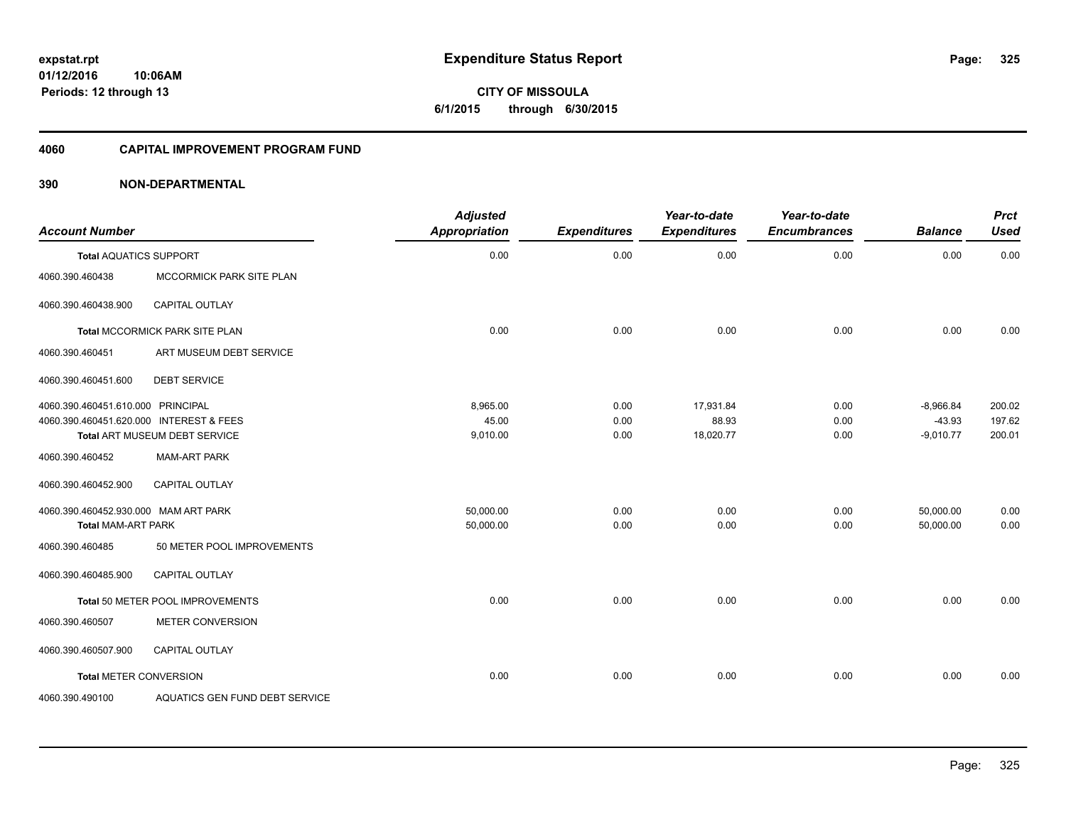**01/12/2016 10:06AM Periods: 12 through 13**

**CITY OF MISSOULA 6/1/2015 through 6/30/2015**

### **4060 CAPITAL IMPROVEMENT PROGRAM FUND**

| <b>Account Number</b>                   |                                  | <b>Adjusted</b><br>Appropriation | <b>Expenditures</b> | Year-to-date<br><b>Expenditures</b> | Year-to-date<br><b>Encumbrances</b> | <b>Balance</b> | <b>Prct</b><br><b>Used</b> |
|-----------------------------------------|----------------------------------|----------------------------------|---------------------|-------------------------------------|-------------------------------------|----------------|----------------------------|
| <b>Total AQUATICS SUPPORT</b>           |                                  | 0.00                             | 0.00                | 0.00                                | 0.00                                | 0.00           | 0.00                       |
| 4060.390.460438                         | MCCORMICK PARK SITE PLAN         |                                  |                     |                                     |                                     |                |                            |
| 4060.390.460438.900                     | <b>CAPITAL OUTLAY</b>            |                                  |                     |                                     |                                     |                |                            |
|                                         | Total MCCORMICK PARK SITE PLAN   | 0.00                             | 0.00                | 0.00                                | 0.00                                | 0.00           | 0.00                       |
| 4060.390.460451                         | ART MUSEUM DEBT SERVICE          |                                  |                     |                                     |                                     |                |                            |
| 4060.390.460451.600                     | <b>DEBT SERVICE</b>              |                                  |                     |                                     |                                     |                |                            |
| 4060.390.460451.610.000 PRINCIPAL       |                                  | 8,965.00                         | 0.00                | 17,931.84                           | 0.00                                | $-8,966.84$    | 200.02                     |
| 4060.390.460451.620.000 INTEREST & FEES |                                  | 45.00                            | 0.00                | 88.93                               | 0.00                                | $-43.93$       | 197.62                     |
|                                         | Total ART MUSEUM DEBT SERVICE    | 9,010.00                         | 0.00                | 18,020.77                           | 0.00                                | $-9,010.77$    | 200.01                     |
| 4060.390.460452                         | <b>MAM-ART PARK</b>              |                                  |                     |                                     |                                     |                |                            |
| 4060.390.460452.900                     | <b>CAPITAL OUTLAY</b>            |                                  |                     |                                     |                                     |                |                            |
| 4060.390.460452.930.000 MAM ART PARK    |                                  | 50,000.00                        | 0.00                | 0.00                                | 0.00                                | 50,000.00      | 0.00                       |
| <b>Total MAM-ART PARK</b>               |                                  | 50,000.00                        | 0.00                | 0.00                                | 0.00                                | 50,000.00      | 0.00                       |
| 4060.390.460485                         | 50 METER POOL IMPROVEMENTS       |                                  |                     |                                     |                                     |                |                            |
| 4060.390.460485.900                     | <b>CAPITAL OUTLAY</b>            |                                  |                     |                                     |                                     |                |                            |
|                                         | Total 50 METER POOL IMPROVEMENTS | 0.00                             | 0.00                | 0.00                                | 0.00                                | 0.00           | 0.00                       |
| 4060.390.460507                         | <b>METER CONVERSION</b>          |                                  |                     |                                     |                                     |                |                            |
| 4060.390.460507.900                     | <b>CAPITAL OUTLAY</b>            |                                  |                     |                                     |                                     |                |                            |
| <b>Total METER CONVERSION</b>           |                                  | 0.00                             | 0.00                | 0.00                                | 0.00                                | 0.00           | 0.00                       |
| 4060.390.490100                         | AQUATICS GEN FUND DEBT SERVICE   |                                  |                     |                                     |                                     |                |                            |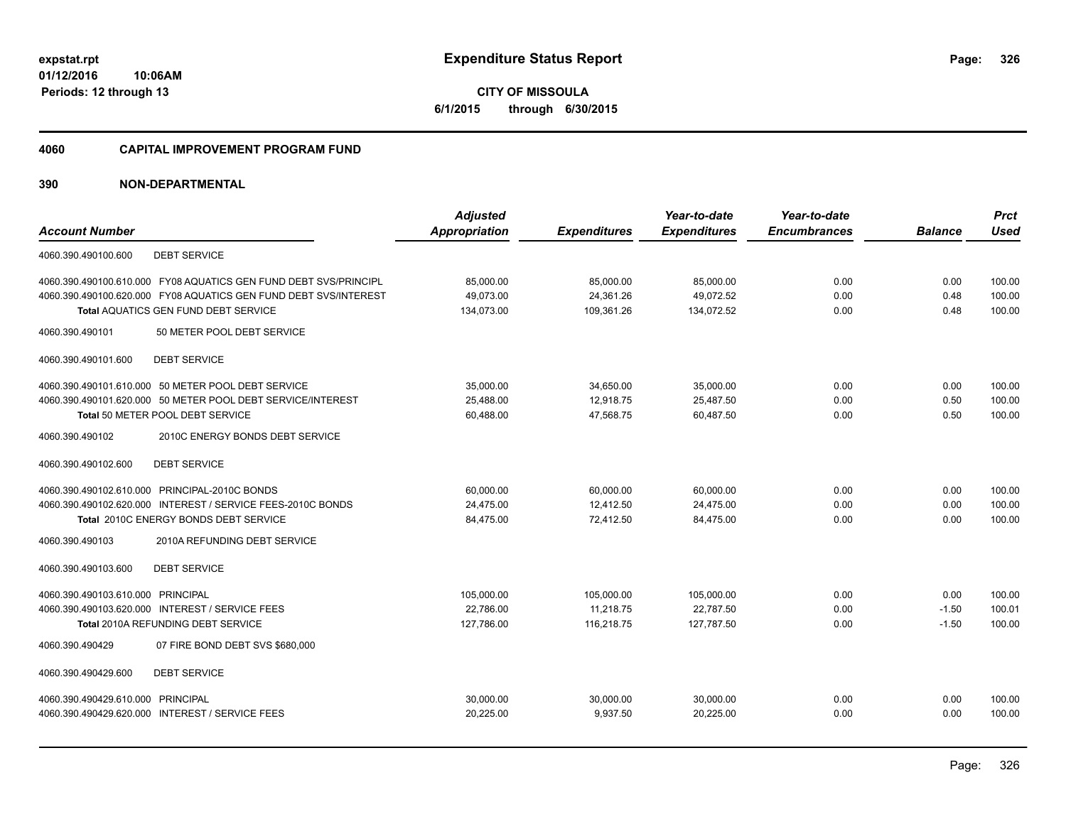**01/12/2016 10:06AM Periods: 12 through 13**

**CITY OF MISSOULA 6/1/2015 through 6/30/2015**

#### **4060 CAPITAL IMPROVEMENT PROGRAM FUND**

|                                                                  | <b>Adjusted</b>      |                     | Year-to-date        | Year-to-date        |                | <b>Prct</b> |
|------------------------------------------------------------------|----------------------|---------------------|---------------------|---------------------|----------------|-------------|
| <b>Account Number</b>                                            | <b>Appropriation</b> | <b>Expenditures</b> | <b>Expenditures</b> | <b>Encumbrances</b> | <b>Balance</b> | <b>Used</b> |
| <b>DEBT SERVICE</b><br>4060.390.490100.600                       |                      |                     |                     |                     |                |             |
| 4060.390.490100.610.000 FY08 AQUATICS GEN FUND DEBT SVS/PRINCIPL | 85,000.00            | 85,000.00           | 85,000.00           | 0.00                | 0.00           | 100.00      |
| 4060.390.490100.620.000 FY08 AQUATICS GEN FUND DEBT SVS/INTEREST | 49,073.00            | 24,361.26           | 49.072.52           | 0.00                | 0.48           | 100.00      |
| Total AQUATICS GEN FUND DEBT SERVICE                             | 134,073.00           | 109,361.26          | 134,072.52          | 0.00                | 0.48           | 100.00      |
| 50 METER POOL DEBT SERVICE<br>4060.390.490101                    |                      |                     |                     |                     |                |             |
| <b>DEBT SERVICE</b><br>4060.390.490101.600                       |                      |                     |                     |                     |                |             |
| 4060.390.490101.610.000 50 METER POOL DEBT SERVICE               | 35,000.00            | 34,650.00           | 35,000.00           | 0.00                | 0.00           | 100.00      |
| 4060.390.490101.620.000 50 METER POOL DEBT SERVICE/INTEREST      | 25,488.00            | 12,918.75           | 25,487.50           | 0.00                | 0.50           | 100.00      |
| Total 50 METER POOL DEBT SERVICE                                 | 60,488.00            | 47,568.75           | 60,487.50           | 0.00                | 0.50           | 100.00      |
| 4060.390.490102<br>2010C ENERGY BONDS DEBT SERVICE               |                      |                     |                     |                     |                |             |
| <b>DEBT SERVICE</b><br>4060.390.490102.600                       |                      |                     |                     |                     |                |             |
| 4060.390.490102.610.000 PRINCIPAL-2010C BONDS                    | 60,000.00            | 60,000.00           | 60,000.00           | 0.00                | 0.00           | 100.00      |
| 4060.390.490102.620.000 INTEREST / SERVICE FEES-2010C BONDS      | 24,475.00            | 12,412.50           | 24,475.00           | 0.00                | 0.00           | 100.00      |
| Total 2010C ENERGY BONDS DEBT SERVICE                            | 84,475.00            | 72,412.50           | 84,475.00           | 0.00                | 0.00           | 100.00      |
| 2010A REFUNDING DEBT SERVICE<br>4060.390.490103                  |                      |                     |                     |                     |                |             |
| <b>DEBT SERVICE</b><br>4060.390.490103.600                       |                      |                     |                     |                     |                |             |
| 4060.390.490103.610.000 PRINCIPAL                                | 105,000.00           | 105,000.00          | 105,000.00          | 0.00                | 0.00           | 100.00      |
| 4060.390.490103.620.000 INTEREST / SERVICE FEES                  | 22.786.00            | 11,218.75           | 22.787.50           | 0.00                | $-1.50$        | 100.01      |
| Total 2010A REFUNDING DEBT SERVICE                               | 127,786.00           | 116,218.75          | 127,787.50          | 0.00                | $-1.50$        | 100.00      |
| 4060.390.490429<br>07 FIRE BOND DEBT SVS \$680,000               |                      |                     |                     |                     |                |             |
| <b>DEBT SERVICE</b><br>4060.390.490429.600                       |                      |                     |                     |                     |                |             |
| 4060.390.490429.610.000 PRINCIPAL                                | 30,000.00            | 30,000.00           | 30,000.00           | 0.00                | 0.00           | 100.00      |
| 4060.390.490429.620.000 INTEREST / SERVICE FEES                  | 20,225.00            | 9,937.50            | 20,225.00           | 0.00                | 0.00           | 100.00      |
|                                                                  |                      |                     |                     |                     |                |             |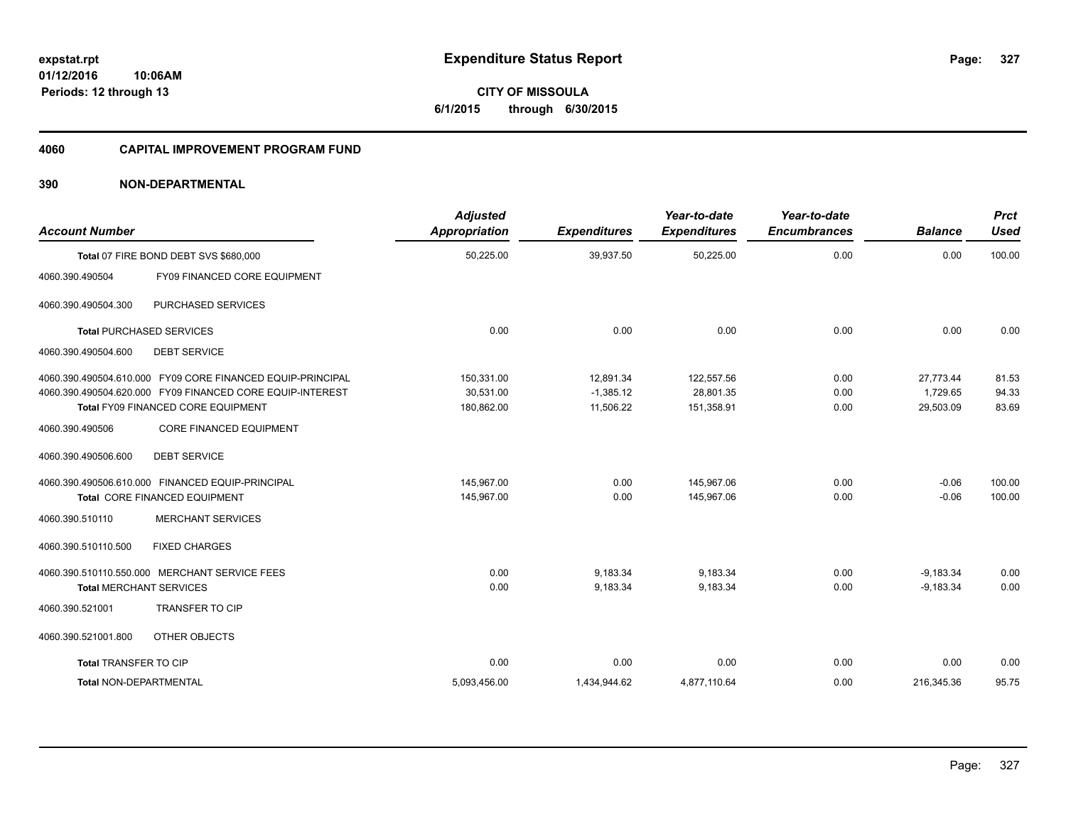**Periods: 12 through 13**

# **CITY OF MISSOULA 6/1/2015 through 6/30/2015**

#### **4060 CAPITAL IMPROVEMENT PROGRAM FUND**

# **390 NON-DEPARTMENTAL**

**10:06AM**

| <b>Account Number</b>          |                                                                                                                                                               | <b>Adjusted</b><br><b>Appropriation</b> | <b>Expenditures</b>                   | Year-to-date<br><b>Expenditures</b>   | Year-to-date<br><b>Encumbrances</b> | <b>Balance</b>                     | <b>Prct</b><br><b>Used</b> |
|--------------------------------|---------------------------------------------------------------------------------------------------------------------------------------------------------------|-----------------------------------------|---------------------------------------|---------------------------------------|-------------------------------------|------------------------------------|----------------------------|
|                                | Total 07 FIRE BOND DEBT SVS \$680,000                                                                                                                         | 50,225.00                               | 39,937.50                             | 50,225.00                             | 0.00                                | 0.00                               | 100.00                     |
| 4060.390.490504                | FY09 FINANCED CORE EQUIPMENT                                                                                                                                  |                                         |                                       |                                       |                                     |                                    |                            |
| 4060.390.490504.300            | PURCHASED SERVICES                                                                                                                                            |                                         |                                       |                                       |                                     |                                    |                            |
|                                | <b>Total PURCHASED SERVICES</b>                                                                                                                               | 0.00                                    | 0.00                                  | 0.00                                  | 0.00                                | 0.00                               | 0.00                       |
| 4060.390.490504.600            | <b>DEBT SERVICE</b>                                                                                                                                           |                                         |                                       |                                       |                                     |                                    |                            |
|                                | 4060.390.490504.610.000 FY09 CORE FINANCED EQUIP-PRINCIPAL<br>4060.390.490504.620.000 FY09 FINANCED CORE EQUIP-INTEREST<br>Total FY09 FINANCED CORE EQUIPMENT | 150,331.00<br>30,531.00<br>180,862.00   | 12,891.34<br>$-1,385.12$<br>11,506.22 | 122,557.56<br>28,801.35<br>151,358.91 | 0.00<br>0.00<br>0.00                | 27,773.44<br>1,729.65<br>29,503.09 | 81.53<br>94.33<br>83.69    |
| 4060.390.490506                | <b>CORE FINANCED EQUIPMENT</b>                                                                                                                                |                                         |                                       |                                       |                                     |                                    |                            |
| 4060.390.490506.600            | <b>DEBT SERVICE</b>                                                                                                                                           |                                         |                                       |                                       |                                     |                                    |                            |
| 4060.390.510110                | 4060.390.490506.610.000 FINANCED EQUIP-PRINCIPAL<br>Total CORE FINANCED EQUIPMENT<br><b>MERCHANT SERVICES</b>                                                 | 145.967.00<br>145,967.00                | 0.00<br>0.00                          | 145,967.06<br>145,967.06              | 0.00<br>0.00                        | $-0.06$<br>$-0.06$                 | 100.00<br>100.00           |
| 4060.390.510110.500            | <b>FIXED CHARGES</b>                                                                                                                                          |                                         |                                       |                                       |                                     |                                    |                            |
| <b>Total MERCHANT SERVICES</b> | 4060.390.510110.550.000 MERCHANT SERVICE FEES                                                                                                                 | 0.00<br>0.00                            | 9.183.34<br>9,183.34                  | 9.183.34<br>9,183.34                  | 0.00<br>0.00                        | $-9,183.34$<br>$-9,183.34$         | 0.00<br>0.00               |
| 4060.390.521001                | <b>TRANSFER TO CIP</b>                                                                                                                                        |                                         |                                       |                                       |                                     |                                    |                            |
| 4060.390.521001.800            | OTHER OBJECTS                                                                                                                                                 |                                         |                                       |                                       |                                     |                                    |                            |
| Total TRANSFER TO CIP          |                                                                                                                                                               | 0.00                                    | 0.00                                  | 0.00                                  | 0.00                                | 0.00                               | 0.00                       |
| <b>Total NON-DEPARTMENTAL</b>  |                                                                                                                                                               | 5,093,456.00                            | 1,434,944.62                          | 4,877,110.64                          | 0.00                                | 216.345.36                         | 95.75                      |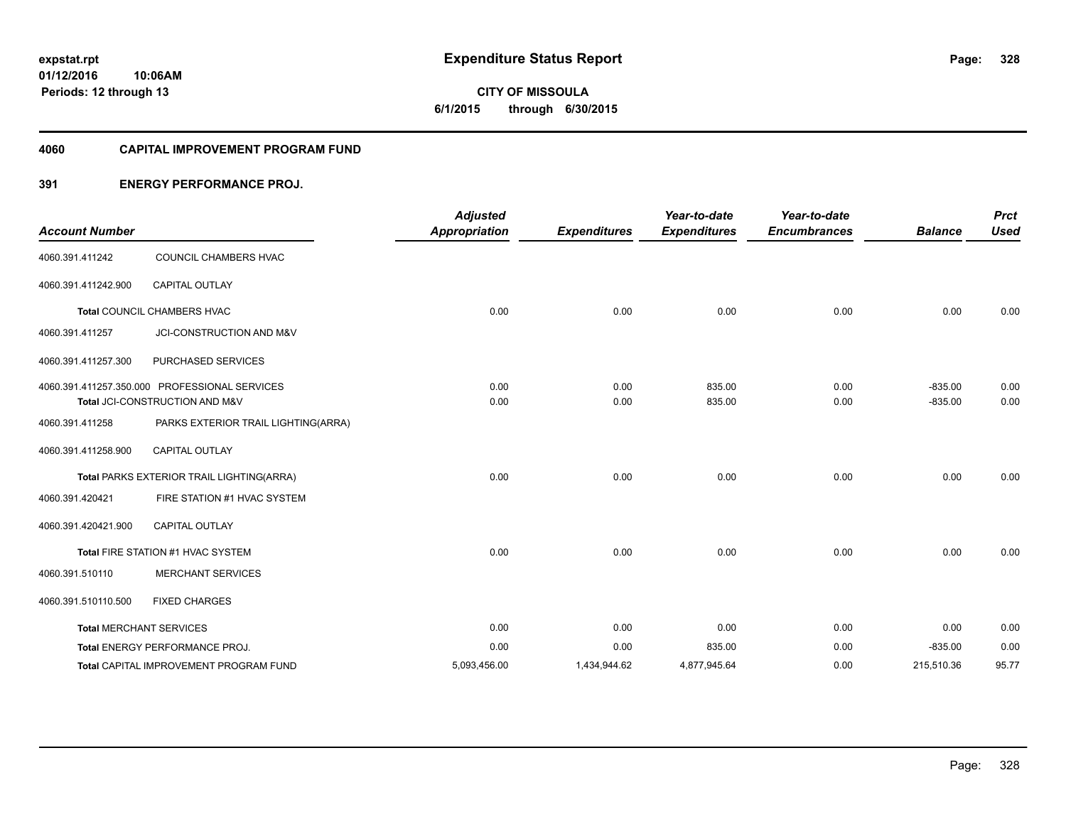**01/12/2016 10:06AM Periods: 12 through 13**

# **CITY OF MISSOULA 6/1/2015 through 6/30/2015**

### **4060 CAPITAL IMPROVEMENT PROGRAM FUND**

# **391 ENERGY PERFORMANCE PROJ.**

| <b>Account Number</b> |                                                                                 | <b>Adjusted</b><br><b>Appropriation</b> | <b>Expenditures</b> | Year-to-date<br><b>Expenditures</b> | Year-to-date<br><b>Encumbrances</b> | <b>Balance</b>         | <b>Prct</b><br><b>Used</b> |
|-----------------------|---------------------------------------------------------------------------------|-----------------------------------------|---------------------|-------------------------------------|-------------------------------------|------------------------|----------------------------|
| 4060.391.411242       | COUNCIL CHAMBERS HVAC                                                           |                                         |                     |                                     |                                     |                        |                            |
| 4060.391.411242.900   | <b>CAPITAL OUTLAY</b>                                                           |                                         |                     |                                     |                                     |                        |                            |
|                       | Total COUNCIL CHAMBERS HVAC                                                     | 0.00                                    | 0.00                | 0.00                                | 0.00                                | 0.00                   | 0.00                       |
| 4060.391.411257       | JCI-CONSTRUCTION AND M&V                                                        |                                         |                     |                                     |                                     |                        |                            |
| 4060.391.411257.300   | PURCHASED SERVICES                                                              |                                         |                     |                                     |                                     |                        |                            |
|                       | 4060.391.411257.350.000 PROFESSIONAL SERVICES<br>Total JCI-CONSTRUCTION AND M&V | 0.00<br>0.00                            | 0.00<br>0.00        | 835.00<br>835.00                    | 0.00<br>0.00                        | $-835.00$<br>$-835.00$ | 0.00<br>0.00               |
| 4060.391.411258       | PARKS EXTERIOR TRAIL LIGHTING(ARRA)                                             |                                         |                     |                                     |                                     |                        |                            |
| 4060.391.411258.900   | <b>CAPITAL OUTLAY</b>                                                           |                                         |                     |                                     |                                     |                        |                            |
|                       | Total PARKS EXTERIOR TRAIL LIGHTING(ARRA)                                       | 0.00                                    | 0.00                | 0.00                                | 0.00                                | 0.00                   | 0.00                       |
| 4060.391.420421       | FIRE STATION #1 HVAC SYSTEM                                                     |                                         |                     |                                     |                                     |                        |                            |
| 4060.391.420421.900   | CAPITAL OUTLAY                                                                  |                                         |                     |                                     |                                     |                        |                            |
|                       | Total FIRE STATION #1 HVAC SYSTEM                                               | 0.00                                    | 0.00                | 0.00                                | 0.00                                | 0.00                   | 0.00                       |
| 4060.391.510110       | <b>MERCHANT SERVICES</b>                                                        |                                         |                     |                                     |                                     |                        |                            |
| 4060.391.510110.500   | <b>FIXED CHARGES</b>                                                            |                                         |                     |                                     |                                     |                        |                            |
|                       | <b>Total MERCHANT SERVICES</b>                                                  | 0.00                                    | 0.00                | 0.00                                | 0.00                                | 0.00                   | 0.00                       |
|                       | Total ENERGY PERFORMANCE PROJ.                                                  | 0.00                                    | 0.00                | 835.00                              | 0.00                                | $-835.00$              | 0.00                       |
|                       | <b>Total CAPITAL IMPROVEMENT PROGRAM FUND</b>                                   | 5,093,456.00                            | 1,434,944.62        | 4,877,945.64                        | 0.00                                | 215,510.36             | 95.77                      |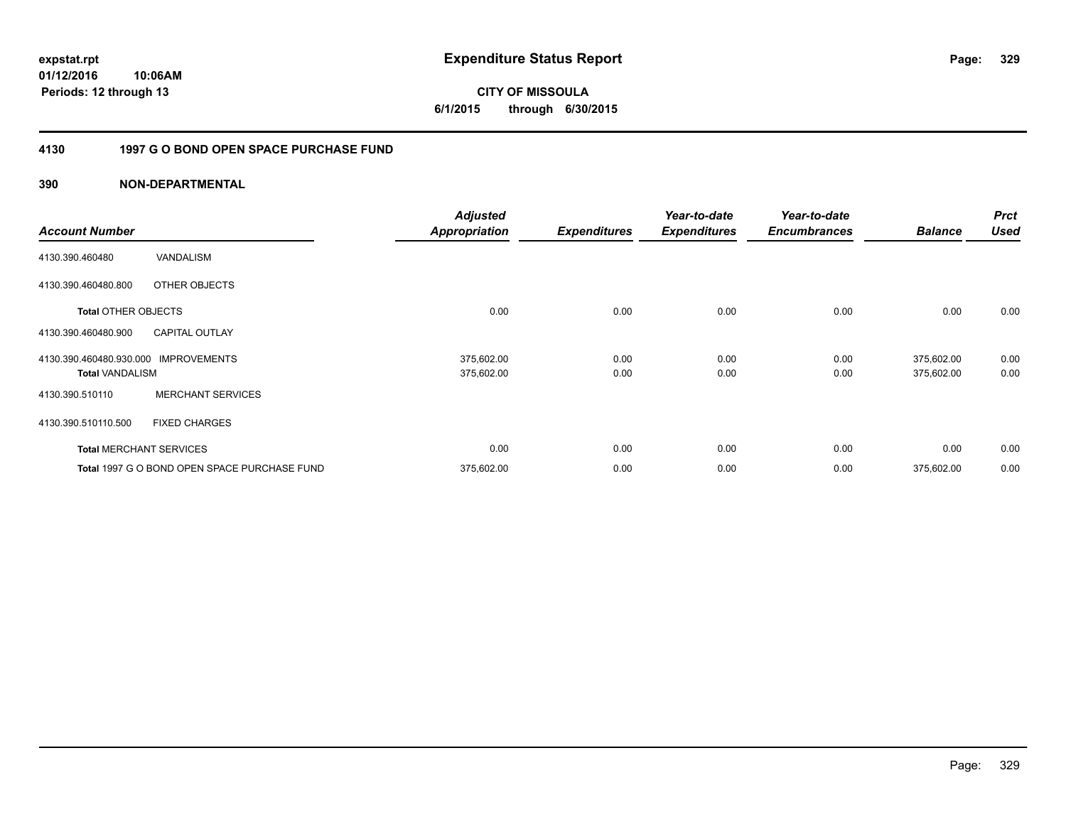**CITY OF MISSOULA 6/1/2015 through 6/30/2015**

# **4130 1997 G O BOND OPEN SPACE PURCHASE FUND**

| <b>Account Number</b>                             |                                              | <b>Adjusted</b><br><b>Appropriation</b> | <b>Expenditures</b> | Year-to-date<br><b>Expenditures</b> | Year-to-date<br><b>Encumbrances</b> | <b>Balance</b>           | <b>Prct</b><br><b>Used</b> |
|---------------------------------------------------|----------------------------------------------|-----------------------------------------|---------------------|-------------------------------------|-------------------------------------|--------------------------|----------------------------|
| 4130.390.460480                                   | VANDALISM                                    |                                         |                     |                                     |                                     |                          |                            |
| 4130.390.460480.800                               | OTHER OBJECTS                                |                                         |                     |                                     |                                     |                          |                            |
| <b>Total OTHER OBJECTS</b>                        |                                              | 0.00                                    | 0.00                | 0.00                                | 0.00                                | 0.00                     | 0.00                       |
| 4130.390.460480.900                               | <b>CAPITAL OUTLAY</b>                        |                                         |                     |                                     |                                     |                          |                            |
| 4130.390.460480.930.000<br><b>Total VANDALISM</b> | <b>IMPROVEMENTS</b>                          | 375,602.00<br>375,602.00                | 0.00<br>0.00        | 0.00<br>0.00                        | 0.00<br>0.00                        | 375,602.00<br>375,602.00 | 0.00<br>0.00               |
| 4130.390.510110                                   | <b>MERCHANT SERVICES</b>                     |                                         |                     |                                     |                                     |                          |                            |
| 4130.390.510110.500                               | <b>FIXED CHARGES</b>                         |                                         |                     |                                     |                                     |                          |                            |
|                                                   | <b>Total MERCHANT SERVICES</b>               | 0.00                                    | 0.00                | 0.00                                | 0.00                                | 0.00                     | 0.00                       |
|                                                   | Total 1997 G O BOND OPEN SPACE PURCHASE FUND | 375,602.00                              | 0.00                | 0.00                                | 0.00                                | 375,602.00               | 0.00                       |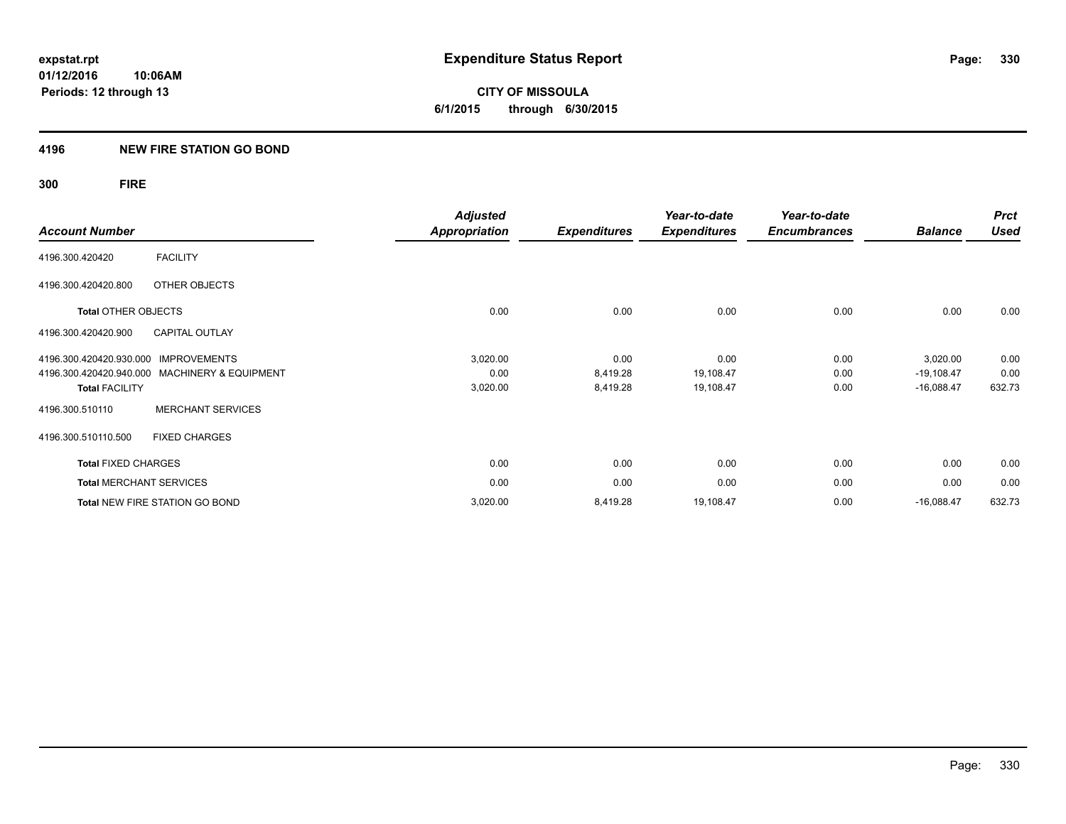**01/12/2016 10:06AM Periods: 12 through 13**

**CITY OF MISSOULA 6/1/2015 through 6/30/2015**

### **4196 NEW FIRE STATION GO BOND**

**300 FIRE**

|                                                | <b>Adjusted</b>      |                     | Year-to-date        | Year-to-date        |                | <b>Prct</b> |
|------------------------------------------------|----------------------|---------------------|---------------------|---------------------|----------------|-------------|
| <b>Account Number</b>                          | <b>Appropriation</b> | <b>Expenditures</b> | <b>Expenditures</b> | <b>Encumbrances</b> | <b>Balance</b> | <b>Used</b> |
| <b>FACILITY</b><br>4196.300.420420             |                      |                     |                     |                     |                |             |
| OTHER OBJECTS<br>4196.300.420420.800           |                      |                     |                     |                     |                |             |
| <b>Total OTHER OBJECTS</b>                     | 0.00                 | 0.00                | 0.00                | 0.00                | 0.00           | 0.00        |
| <b>CAPITAL OUTLAY</b><br>4196.300.420420.900   |                      |                     |                     |                     |                |             |
| <b>IMPROVEMENTS</b><br>4196.300.420420.930.000 | 3,020.00             | 0.00                | 0.00                | 0.00                | 3,020.00       | 0.00        |
| 4196.300.420420.940.000 MACHINERY & EQUIPMENT  | 0.00                 | 8,419.28            | 19,108.47           | 0.00                | $-19,108.47$   | 0.00        |
| <b>Total FACILITY</b>                          | 3,020.00             | 8,419.28            | 19,108.47           | 0.00                | $-16,088.47$   | 632.73      |
| <b>MERCHANT SERVICES</b><br>4196.300.510110    |                      |                     |                     |                     |                |             |
| 4196.300.510110.500<br><b>FIXED CHARGES</b>    |                      |                     |                     |                     |                |             |
| <b>Total FIXED CHARGES</b>                     | 0.00                 | 0.00                | 0.00                | 0.00                | 0.00           | 0.00        |
| <b>Total MERCHANT SERVICES</b>                 | 0.00                 | 0.00                | 0.00                | 0.00                | 0.00           | 0.00        |
| Total NEW FIRE STATION GO BOND                 | 3,020.00             | 8,419.28            | 19,108.47           | 0.00                | $-16,088.47$   | 632.73      |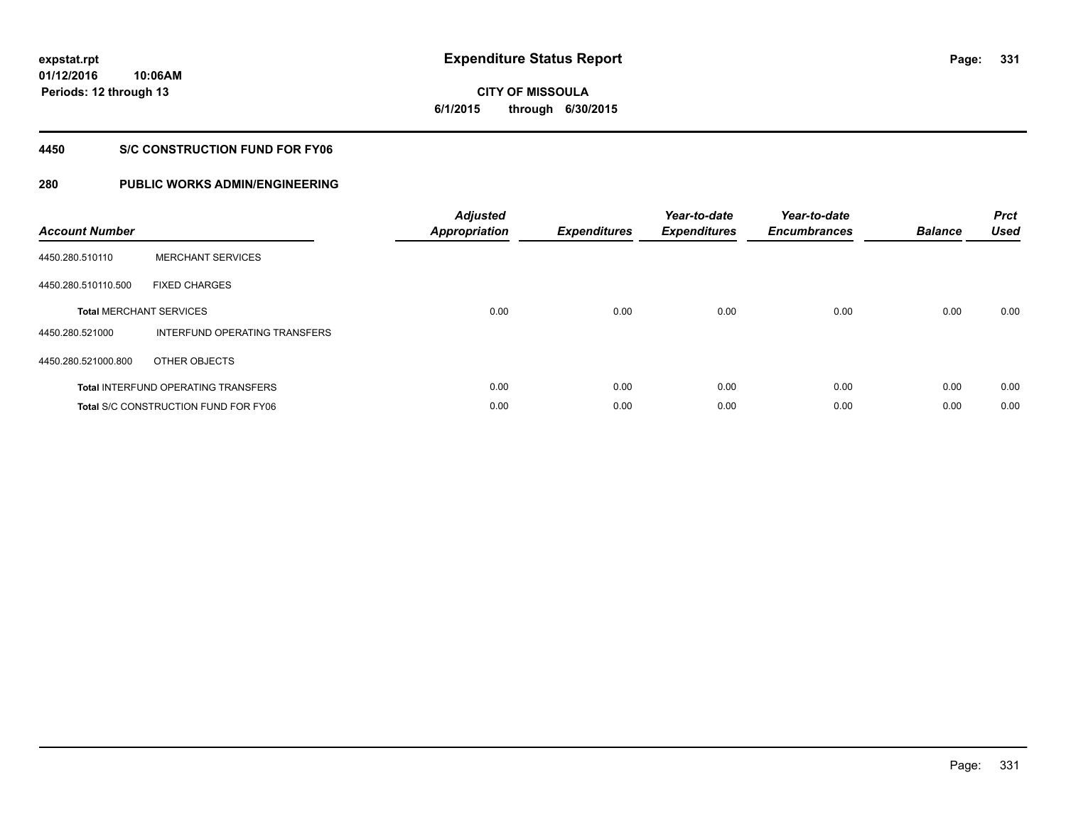**01/12/2016 10:06AM Periods: 12 through 13**

# **CITY OF MISSOULA 6/1/2015 through 6/30/2015**

# **4450 S/C CONSTRUCTION FUND FOR FY06**

| <b>Account Number</b> |                                             | <b>Adjusted</b><br><b>Appropriation</b> | <b>Expenditures</b> | Year-to-date<br><b>Expenditures</b> | Year-to-date<br><b>Encumbrances</b> | <b>Balance</b> | <b>Prct</b><br><b>Used</b> |
|-----------------------|---------------------------------------------|-----------------------------------------|---------------------|-------------------------------------|-------------------------------------|----------------|----------------------------|
| 4450.280.510110       | <b>MERCHANT SERVICES</b>                    |                                         |                     |                                     |                                     |                |                            |
| 4450.280.510110.500   | <b>FIXED CHARGES</b>                        |                                         |                     |                                     |                                     |                |                            |
|                       | <b>Total MERCHANT SERVICES</b>              | 0.00                                    | 0.00                | 0.00                                | 0.00                                | 0.00           | 0.00                       |
| 4450.280.521000       | INTERFUND OPERATING TRANSFERS               |                                         |                     |                                     |                                     |                |                            |
| 4450.280.521000.800   | OTHER OBJECTS                               |                                         |                     |                                     |                                     |                |                            |
|                       | <b>Total INTERFUND OPERATING TRANSFERS</b>  | 0.00                                    | 0.00                | 0.00                                | 0.00                                | 0.00           | 0.00                       |
|                       | <b>Total S/C CONSTRUCTION FUND FOR FY06</b> | 0.00                                    | 0.00                | 0.00                                | 0.00                                | 0.00           | 0.00                       |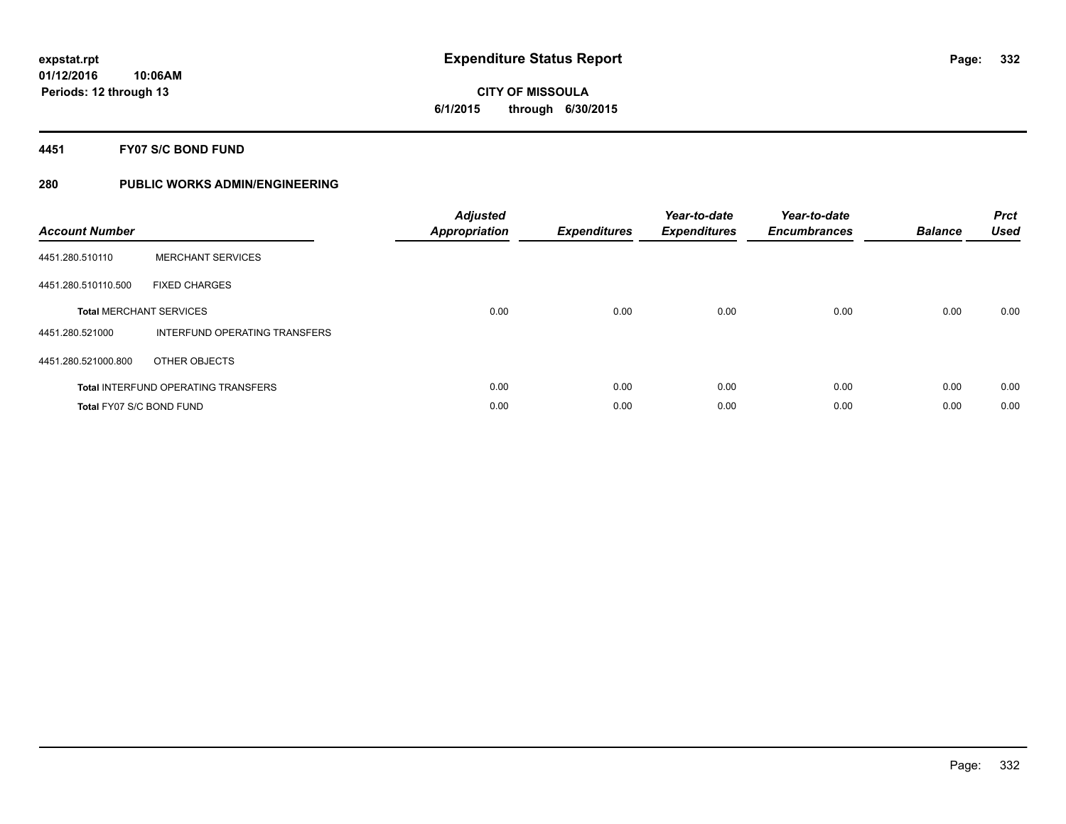**CITY OF MISSOULA 6/1/2015 through 6/30/2015**

### **4451 FY07 S/C BOND FUND**

| <b>Account Number</b>    |                                            | <b>Adjusted</b><br>Appropriation | <b>Expenditures</b> | Year-to-date<br><b>Expenditures</b> | Year-to-date<br><b>Encumbrances</b> | <b>Balance</b> | <b>Prct</b><br><b>Used</b> |
|--------------------------|--------------------------------------------|----------------------------------|---------------------|-------------------------------------|-------------------------------------|----------------|----------------------------|
| 4451.280.510110          | <b>MERCHANT SERVICES</b>                   |                                  |                     |                                     |                                     |                |                            |
| 4451.280.510110.500      | <b>FIXED CHARGES</b>                       |                                  |                     |                                     |                                     |                |                            |
|                          | <b>Total MERCHANT SERVICES</b>             | 0.00                             | 0.00                | 0.00                                | 0.00                                | 0.00           | 0.00                       |
| 4451.280.521000          | INTERFUND OPERATING TRANSFERS              |                                  |                     |                                     |                                     |                |                            |
| 4451.280.521000.800      | OTHER OBJECTS                              |                                  |                     |                                     |                                     |                |                            |
|                          | <b>Total INTERFUND OPERATING TRANSFERS</b> | 0.00                             | 0.00                | 0.00                                | 0.00                                | 0.00           | 0.00                       |
| Total FY07 S/C BOND FUND |                                            | 0.00                             | 0.00                | 0.00                                | 0.00                                | 0.00           | 0.00                       |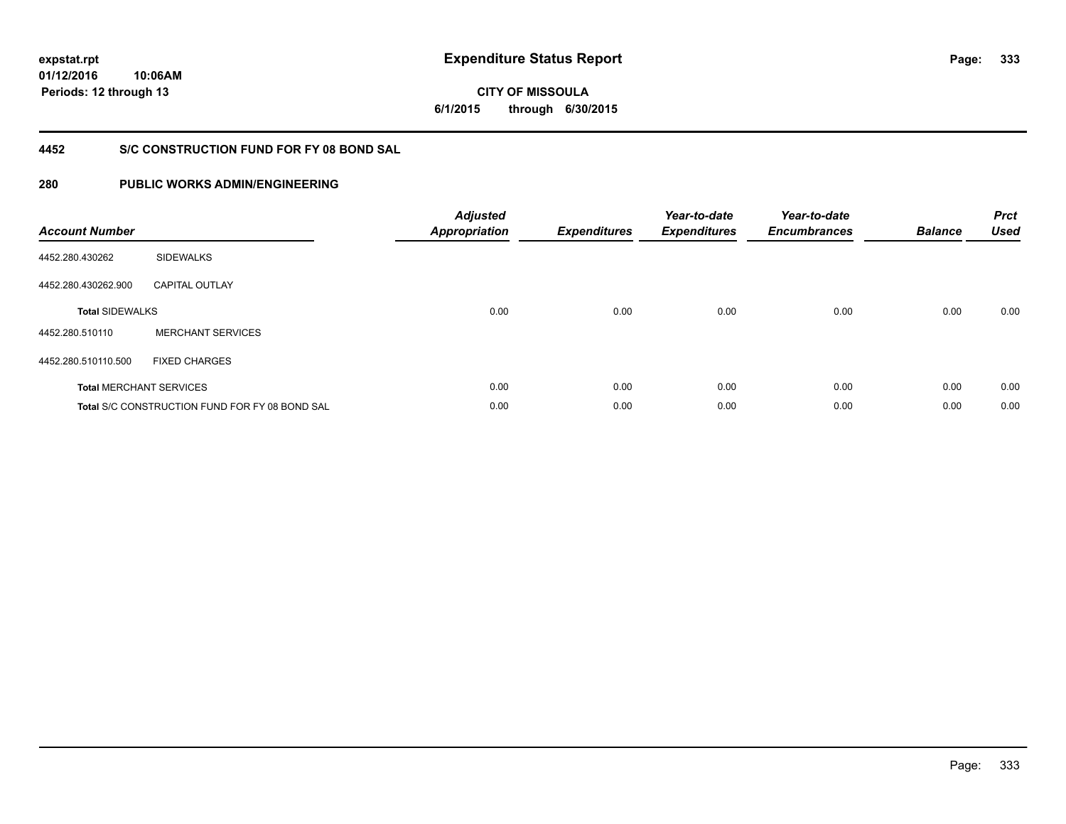**01/12/2016 10:06AM Periods: 12 through 13**

**CITY OF MISSOULA 6/1/2015 through 6/30/2015**

# **4452 S/C CONSTRUCTION FUND FOR FY 08 BOND SAL**

| <b>Account Number</b>  |                                                       | <b>Adjusted</b><br><b>Appropriation</b> | <b>Expenditures</b> | Year-to-date<br><b>Expenditures</b> | Year-to-date<br><b>Encumbrances</b> | <b>Balance</b> | <b>Prct</b><br><b>Used</b> |
|------------------------|-------------------------------------------------------|-----------------------------------------|---------------------|-------------------------------------|-------------------------------------|----------------|----------------------------|
| 4452.280.430262        | <b>SIDEWALKS</b>                                      |                                         |                     |                                     |                                     |                |                            |
| 4452.280.430262.900    | <b>CAPITAL OUTLAY</b>                                 |                                         |                     |                                     |                                     |                |                            |
| <b>Total SIDEWALKS</b> |                                                       | 0.00                                    | 0.00                | 0.00                                | 0.00                                | 0.00           | 0.00                       |
| 4452.280.510110        | <b>MERCHANT SERVICES</b>                              |                                         |                     |                                     |                                     |                |                            |
| 4452.280.510110.500    | <b>FIXED CHARGES</b>                                  |                                         |                     |                                     |                                     |                |                            |
|                        | <b>Total MERCHANT SERVICES</b>                        | 0.00                                    | 0.00                | 0.00                                | 0.00                                | 0.00           | 0.00                       |
|                        | <b>Total S/C CONSTRUCTION FUND FOR FY 08 BOND SAL</b> | 0.00                                    | 0.00                | 0.00                                | 0.00                                | 0.00           | 0.00                       |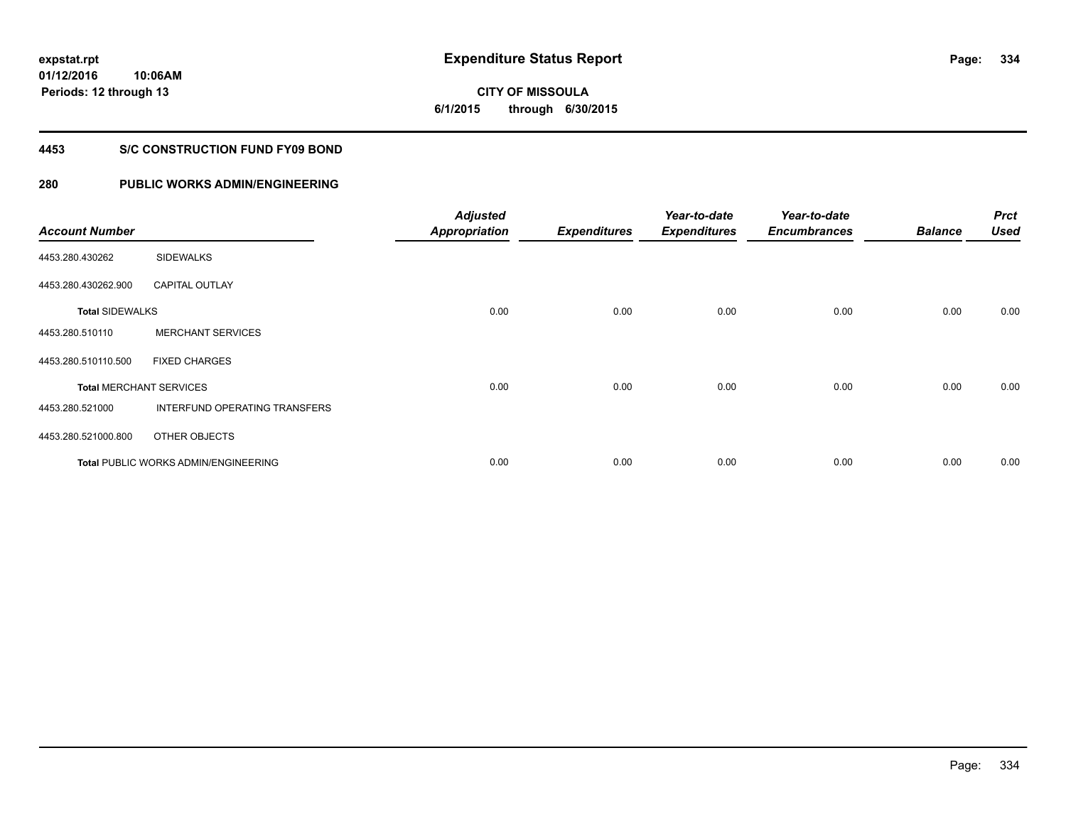**01/12/2016 10:06AM Periods: 12 through 13**

# **CITY OF MISSOULA 6/1/2015 through 6/30/2015**

# **4453 S/C CONSTRUCTION FUND FY09 BOND**

| <b>Account Number</b>  |                                             | <b>Adjusted</b><br><b>Appropriation</b> | <b>Expenditures</b> | Year-to-date<br><b>Expenditures</b> | Year-to-date<br><b>Encumbrances</b> | <b>Balance</b> | <b>Prct</b><br><b>Used</b> |
|------------------------|---------------------------------------------|-----------------------------------------|---------------------|-------------------------------------|-------------------------------------|----------------|----------------------------|
| 4453.280.430262        | <b>SIDEWALKS</b>                            |                                         |                     |                                     |                                     |                |                            |
| 4453.280.430262.900    | <b>CAPITAL OUTLAY</b>                       |                                         |                     |                                     |                                     |                |                            |
| <b>Total SIDEWALKS</b> |                                             | 0.00                                    | 0.00                | 0.00                                | 0.00                                | 0.00           | 0.00                       |
| 4453.280.510110        | <b>MERCHANT SERVICES</b>                    |                                         |                     |                                     |                                     |                |                            |
| 4453.280.510110.500    | <b>FIXED CHARGES</b>                        |                                         |                     |                                     |                                     |                |                            |
|                        | <b>Total MERCHANT SERVICES</b>              | 0.00                                    | 0.00                | 0.00                                | 0.00                                | 0.00           | 0.00                       |
| 4453.280.521000        | INTERFUND OPERATING TRANSFERS               |                                         |                     |                                     |                                     |                |                            |
| 4453.280.521000.800    | OTHER OBJECTS                               |                                         |                     |                                     |                                     |                |                            |
|                        | <b>Total PUBLIC WORKS ADMIN/ENGINEERING</b> | 0.00                                    | 0.00                | 0.00                                | 0.00                                | 0.00           | 0.00                       |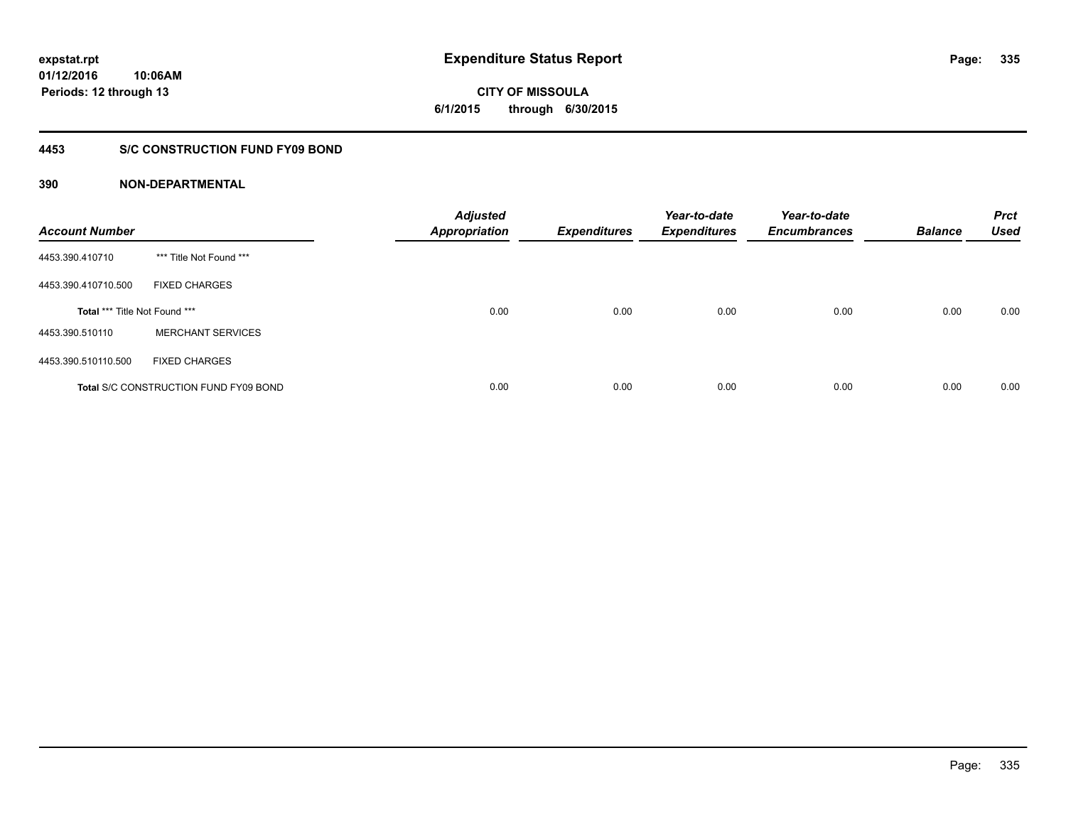**CITY OF MISSOULA 6/1/2015 through 6/30/2015**

# **4453 S/C CONSTRUCTION FUND FY09 BOND**

| <b>Account Number</b>         |                                              | <b>Adjusted</b><br><b>Appropriation</b> | <b>Expenditures</b> | Year-to-date<br><b>Expenditures</b> | Year-to-date<br><b>Encumbrances</b> | <b>Balance</b> | <b>Prct</b><br><b>Used</b> |
|-------------------------------|----------------------------------------------|-----------------------------------------|---------------------|-------------------------------------|-------------------------------------|----------------|----------------------------|
| 4453.390.410710               | *** Title Not Found ***                      |                                         |                     |                                     |                                     |                |                            |
| 4453.390.410710.500           | <b>FIXED CHARGES</b>                         |                                         |                     |                                     |                                     |                |                            |
| Total *** Title Not Found *** |                                              | 0.00                                    | 0.00                | 0.00                                | 0.00                                | 0.00           | 0.00                       |
| 4453.390.510110               | <b>MERCHANT SERVICES</b>                     |                                         |                     |                                     |                                     |                |                            |
| 4453.390.510110.500           | <b>FIXED CHARGES</b>                         |                                         |                     |                                     |                                     |                |                            |
|                               | <b>Total S/C CONSTRUCTION FUND FY09 BOND</b> | 0.00                                    | 0.00                | 0.00                                | 0.00                                | 0.00           | 0.00                       |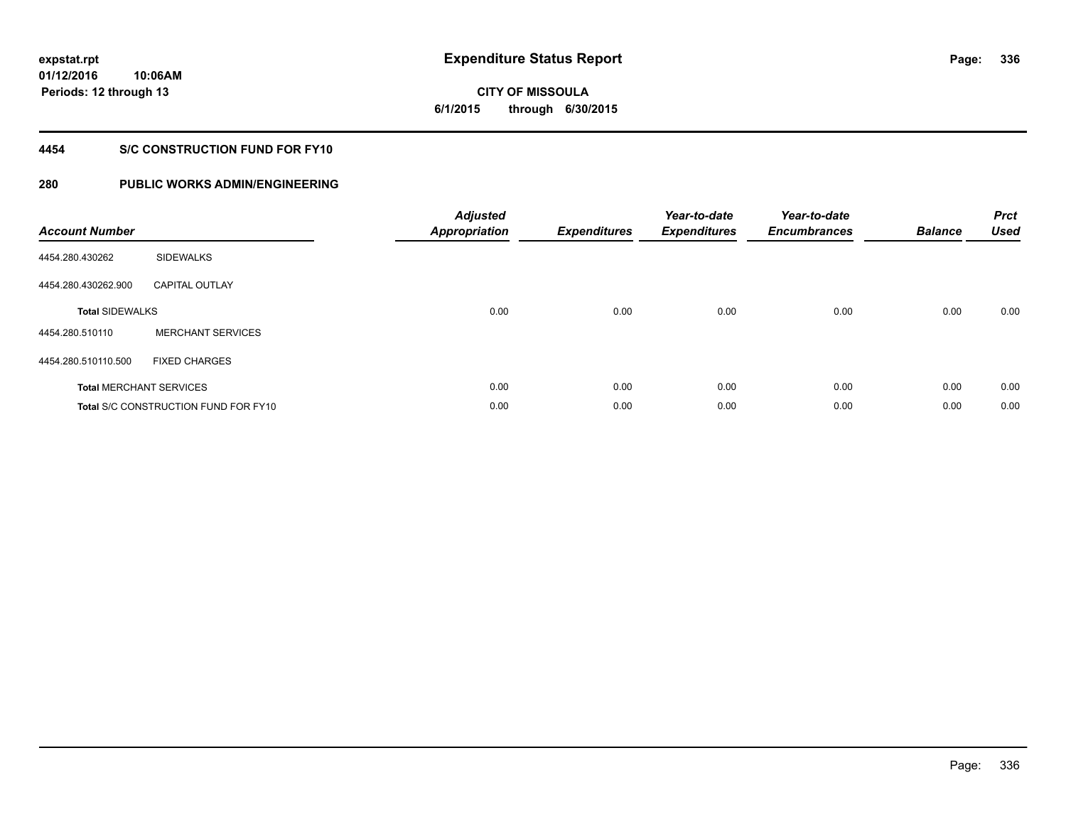**01/12/2016 10:06AM Periods: 12 through 13**

# **CITY OF MISSOULA 6/1/2015 through 6/30/2015**

# **4454 S/C CONSTRUCTION FUND FOR FY10**

| <b>Account Number</b>  |                                             | <b>Adjusted</b><br>Appropriation | <b>Expenditures</b> | Year-to-date<br><b>Expenditures</b> | Year-to-date<br><b>Encumbrances</b> | <b>Balance</b> | <b>Prct</b><br><b>Used</b> |
|------------------------|---------------------------------------------|----------------------------------|---------------------|-------------------------------------|-------------------------------------|----------------|----------------------------|
| 4454.280.430262        | <b>SIDEWALKS</b>                            |                                  |                     |                                     |                                     |                |                            |
| 4454.280.430262.900    | <b>CAPITAL OUTLAY</b>                       |                                  |                     |                                     |                                     |                |                            |
| <b>Total SIDEWALKS</b> |                                             | 0.00                             | 0.00                | 0.00                                | 0.00                                | 0.00           | 0.00                       |
| 4454.280.510110        | <b>MERCHANT SERVICES</b>                    |                                  |                     |                                     |                                     |                |                            |
| 4454.280.510110.500    | <b>FIXED CHARGES</b>                        |                                  |                     |                                     |                                     |                |                            |
|                        | <b>Total MERCHANT SERVICES</b>              | 0.00                             | 0.00                | 0.00                                | 0.00                                | 0.00           | 0.00                       |
|                        | <b>Total S/C CONSTRUCTION FUND FOR FY10</b> | 0.00                             | 0.00                | 0.00                                | 0.00                                | 0.00           | 0.00                       |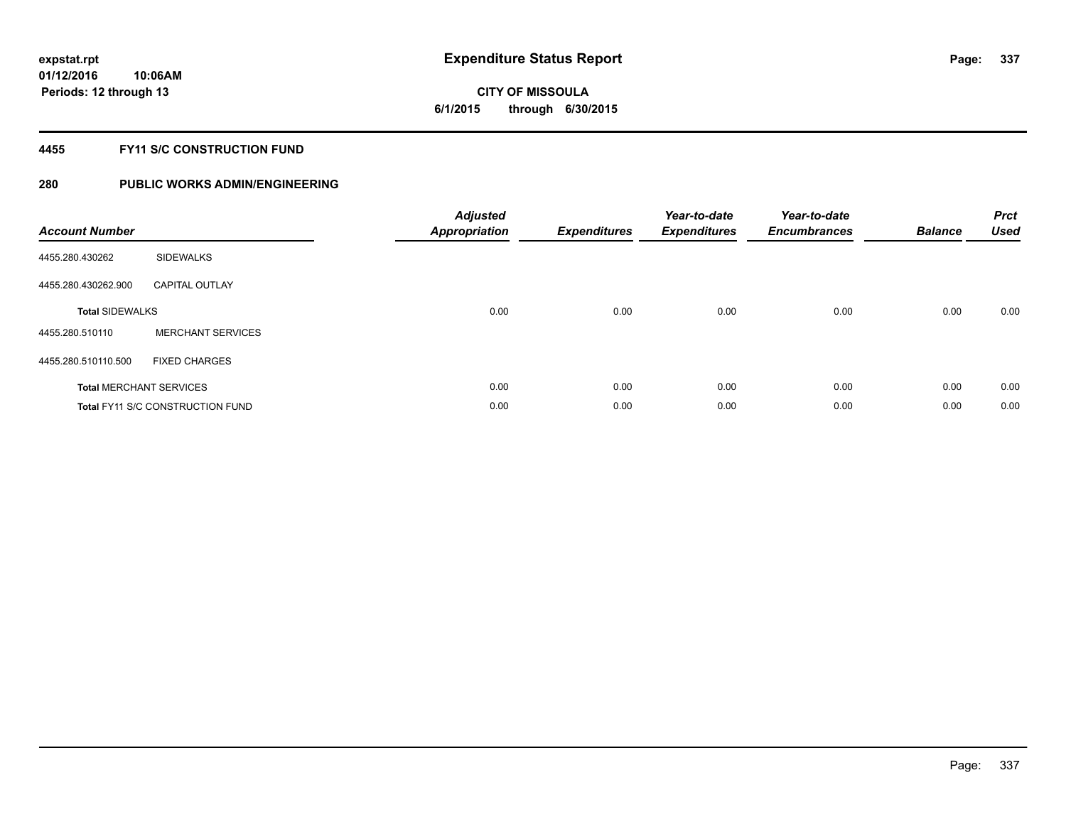# **CITY OF MISSOULA 6/1/2015 through 6/30/2015**

# **4455 FY11 S/C CONSTRUCTION FUND**

| <b>Account Number</b>  |                                         | <b>Adjusted</b><br><b>Appropriation</b> | <b>Expenditures</b> | Year-to-date<br><b>Expenditures</b> | Year-to-date<br><b>Encumbrances</b> | <b>Balance</b> | <b>Prct</b><br><b>Used</b> |
|------------------------|-----------------------------------------|-----------------------------------------|---------------------|-------------------------------------|-------------------------------------|----------------|----------------------------|
| 4455.280.430262        | <b>SIDEWALKS</b>                        |                                         |                     |                                     |                                     |                |                            |
| 4455.280.430262.900    | <b>CAPITAL OUTLAY</b>                   |                                         |                     |                                     |                                     |                |                            |
| <b>Total SIDEWALKS</b> |                                         | 0.00                                    | 0.00                | 0.00                                | 0.00                                | 0.00           | 0.00                       |
| 4455.280.510110        | <b>MERCHANT SERVICES</b>                |                                         |                     |                                     |                                     |                |                            |
| 4455.280.510110.500    | <b>FIXED CHARGES</b>                    |                                         |                     |                                     |                                     |                |                            |
|                        | <b>Total MERCHANT SERVICES</b>          | 0.00                                    | 0.00                | 0.00                                | 0.00                                | 0.00           | 0.00                       |
|                        | <b>Total FY11 S/C CONSTRUCTION FUND</b> | 0.00                                    | 0.00                | 0.00                                | 0.00                                | 0.00           | 0.00                       |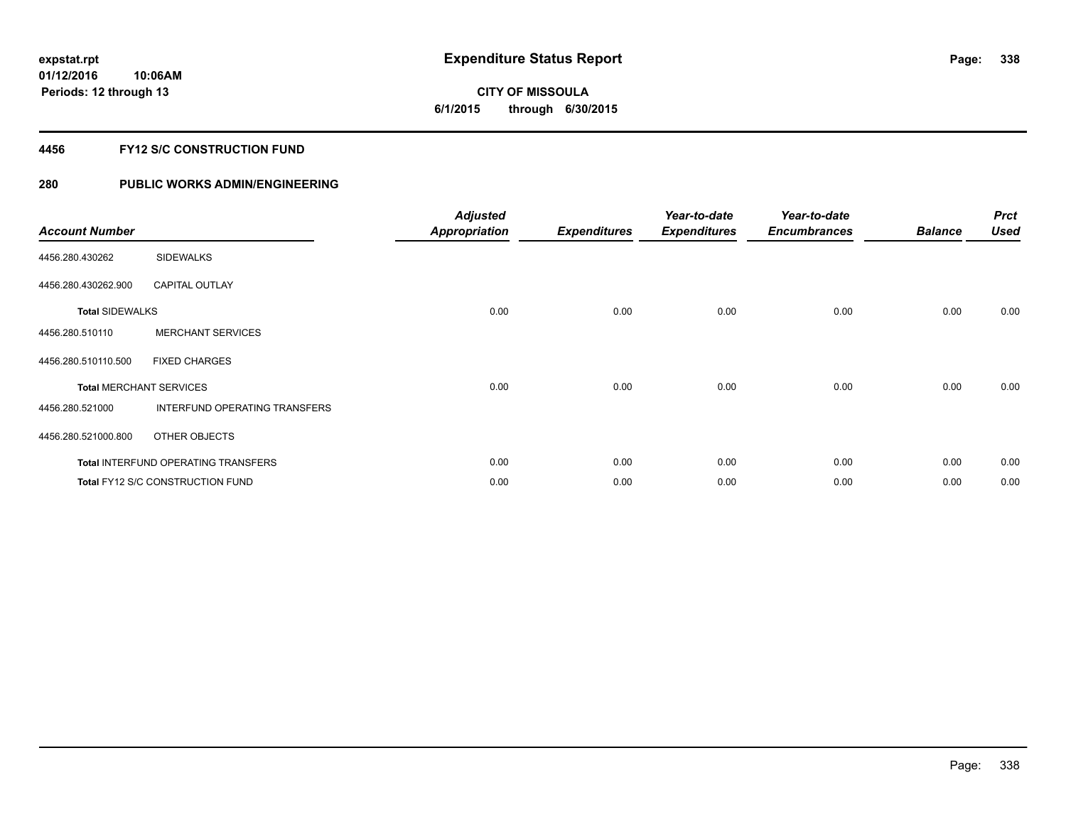# **CITY OF MISSOULA 6/1/2015 through 6/30/2015**

# **4456 FY12 S/C CONSTRUCTION FUND**

| <b>Account Number</b>  |                                            | <b>Adjusted</b><br>Appropriation | <b>Expenditures</b> | Year-to-date<br><b>Expenditures</b> | Year-to-date<br><b>Encumbrances</b> | <b>Balance</b> | <b>Prct</b><br><b>Used</b> |
|------------------------|--------------------------------------------|----------------------------------|---------------------|-------------------------------------|-------------------------------------|----------------|----------------------------|
| 4456.280.430262        | <b>SIDEWALKS</b>                           |                                  |                     |                                     |                                     |                |                            |
| 4456.280.430262.900    | <b>CAPITAL OUTLAY</b>                      |                                  |                     |                                     |                                     |                |                            |
| <b>Total SIDEWALKS</b> |                                            | 0.00                             | 0.00                | 0.00                                | 0.00                                | 0.00           | 0.00                       |
| 4456.280.510110        | <b>MERCHANT SERVICES</b>                   |                                  |                     |                                     |                                     |                |                            |
| 4456.280.510110.500    | <b>FIXED CHARGES</b>                       |                                  |                     |                                     |                                     |                |                            |
|                        | <b>Total MERCHANT SERVICES</b>             | 0.00                             | 0.00                | 0.00                                | 0.00                                | 0.00           | 0.00                       |
| 4456.280.521000        | <b>INTERFUND OPERATING TRANSFERS</b>       |                                  |                     |                                     |                                     |                |                            |
| 4456.280.521000.800    | OTHER OBJECTS                              |                                  |                     |                                     |                                     |                |                            |
|                        | <b>Total INTERFUND OPERATING TRANSFERS</b> | 0.00                             | 0.00                | 0.00                                | 0.00                                | 0.00           | 0.00                       |
|                        | <b>Total FY12 S/C CONSTRUCTION FUND</b>    | 0.00                             | 0.00                | 0.00                                | 0.00                                | 0.00           | 0.00                       |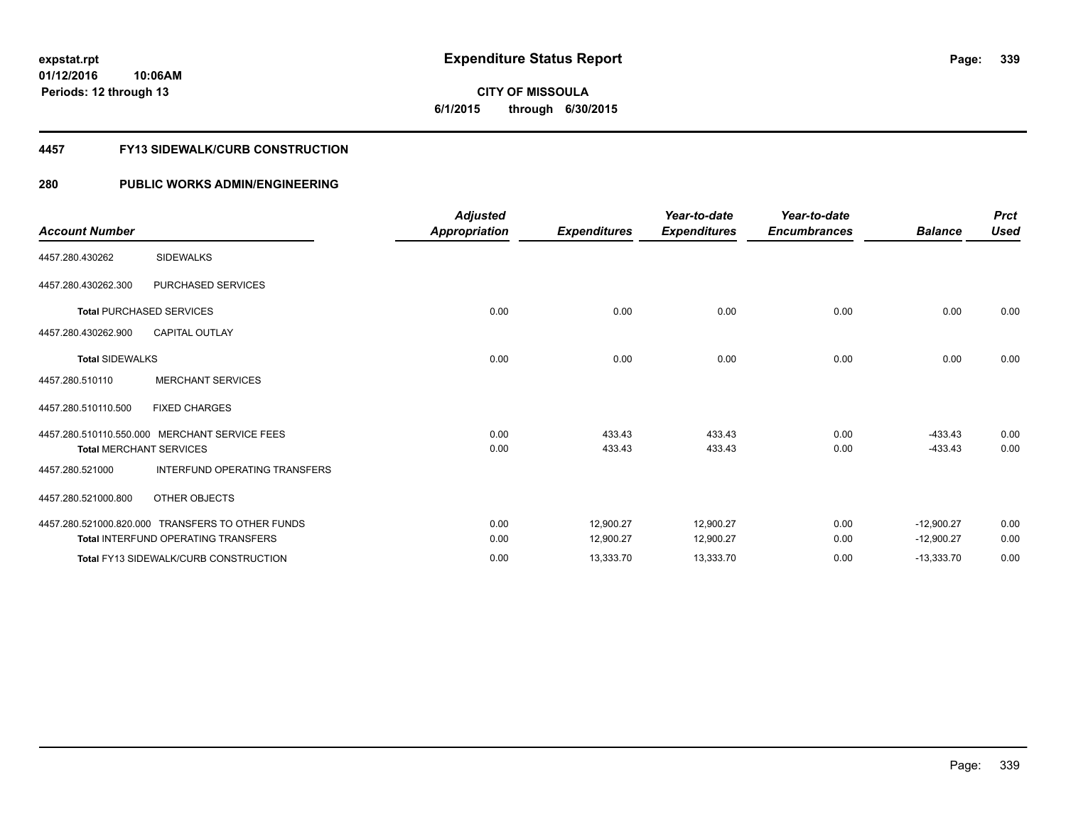**01/12/2016 10:06AM Periods: 12 through 13**

# **CITY OF MISSOULA 6/1/2015 through 6/30/2015**

### **4457 FY13 SIDEWALK/CURB CONSTRUCTION**

| <b>Account Number</b>  |                                                                                                | <b>Adjusted</b><br>Appropriation | <b>Expenditures</b>    | Year-to-date<br><b>Expenditures</b> | Year-to-date<br><b>Encumbrances</b> | <b>Balance</b>               | <b>Prct</b><br>Used |
|------------------------|------------------------------------------------------------------------------------------------|----------------------------------|------------------------|-------------------------------------|-------------------------------------|------------------------------|---------------------|
| 4457.280.430262        | <b>SIDEWALKS</b>                                                                               |                                  |                        |                                     |                                     |                              |                     |
| 4457.280.430262.300    | PURCHASED SERVICES                                                                             |                                  |                        |                                     |                                     |                              |                     |
|                        | Total PURCHASED SERVICES                                                                       | 0.00                             | 0.00                   | 0.00                                | 0.00                                | 0.00                         | 0.00                |
| 4457.280.430262.900    | <b>CAPITAL OUTLAY</b>                                                                          |                                  |                        |                                     |                                     |                              |                     |
| <b>Total SIDEWALKS</b> |                                                                                                | 0.00                             | 0.00                   | 0.00                                | 0.00                                | 0.00                         | 0.00                |
| 4457.280.510110        | <b>MERCHANT SERVICES</b>                                                                       |                                  |                        |                                     |                                     |                              |                     |
| 4457.280.510110.500    | <b>FIXED CHARGES</b>                                                                           |                                  |                        |                                     |                                     |                              |                     |
|                        | 4457.280.510110.550.000 MERCHANT SERVICE FEES<br><b>Total MERCHANT SERVICES</b>                | 0.00<br>0.00                     | 433.43<br>433.43       | 433.43<br>433.43                    | 0.00<br>0.00                        | $-433.43$<br>$-433.43$       | 0.00<br>0.00        |
| 4457.280.521000        | <b>INTERFUND OPERATING TRANSFERS</b>                                                           |                                  |                        |                                     |                                     |                              |                     |
| 4457.280.521000.800    | OTHER OBJECTS                                                                                  |                                  |                        |                                     |                                     |                              |                     |
|                        | 4457.280.521000.820.000 TRANSFERS TO OTHER FUNDS<br><b>Total INTERFUND OPERATING TRANSFERS</b> | 0.00<br>0.00                     | 12.900.27<br>12,900.27 | 12,900.27<br>12,900.27              | 0.00<br>0.00                        | $-12,900.27$<br>$-12,900.27$ | 0.00<br>0.00        |
|                        | <b>Total FY13 SIDEWALK/CURB CONSTRUCTION</b>                                                   | 0.00                             | 13,333.70              | 13,333.70                           | 0.00                                | $-13,333.70$                 | 0.00                |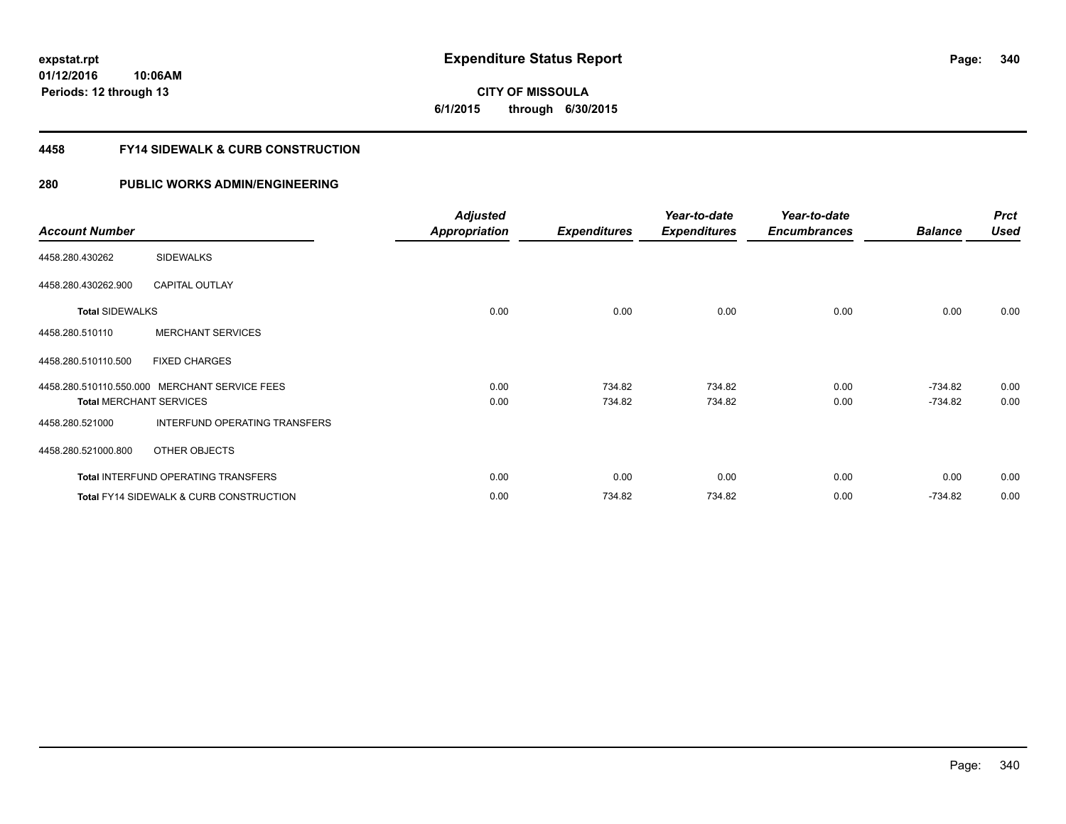**01/12/2016 10:06AM Periods: 12 through 13**

# **CITY OF MISSOULA 6/1/2015 through 6/30/2015**

# **4458 FY14 SIDEWALK & CURB CONSTRUCTION**

|                                |                                                    | <b>Adjusted</b>      |                     | Year-to-date        | Year-to-date        |                | <b>Prct</b> |
|--------------------------------|----------------------------------------------------|----------------------|---------------------|---------------------|---------------------|----------------|-------------|
| <b>Account Number</b>          |                                                    | <b>Appropriation</b> | <b>Expenditures</b> | <b>Expenditures</b> | <b>Encumbrances</b> | <b>Balance</b> | <b>Used</b> |
| 4458.280.430262                | <b>SIDEWALKS</b>                                   |                      |                     |                     |                     |                |             |
| 4458.280.430262.900            | <b>CAPITAL OUTLAY</b>                              |                      |                     |                     |                     |                |             |
| <b>Total SIDEWALKS</b>         |                                                    | 0.00                 | 0.00                | 0.00                | 0.00                | 0.00           | 0.00        |
| 4458.280.510110                | <b>MERCHANT SERVICES</b>                           |                      |                     |                     |                     |                |             |
| 4458.280.510110.500            | <b>FIXED CHARGES</b>                               |                      |                     |                     |                     |                |             |
|                                | 4458.280.510110.550.000 MERCHANT SERVICE FEES      | 0.00                 | 734.82              | 734.82              | 0.00                | $-734.82$      | 0.00        |
| <b>Total MERCHANT SERVICES</b> |                                                    | 0.00                 | 734.82              | 734.82              | 0.00                | $-734.82$      | 0.00        |
| 4458.280.521000                | INTERFUND OPERATING TRANSFERS                      |                      |                     |                     |                     |                |             |
| 4458.280.521000.800            | OTHER OBJECTS                                      |                      |                     |                     |                     |                |             |
|                                | <b>Total INTERFUND OPERATING TRANSFERS</b>         | 0.00                 | 0.00                | 0.00                | 0.00                | 0.00           | 0.00        |
|                                | <b>Total FY14 SIDEWALK &amp; CURB CONSTRUCTION</b> | 0.00                 | 734.82              | 734.82              | 0.00                | $-734.82$      | 0.00        |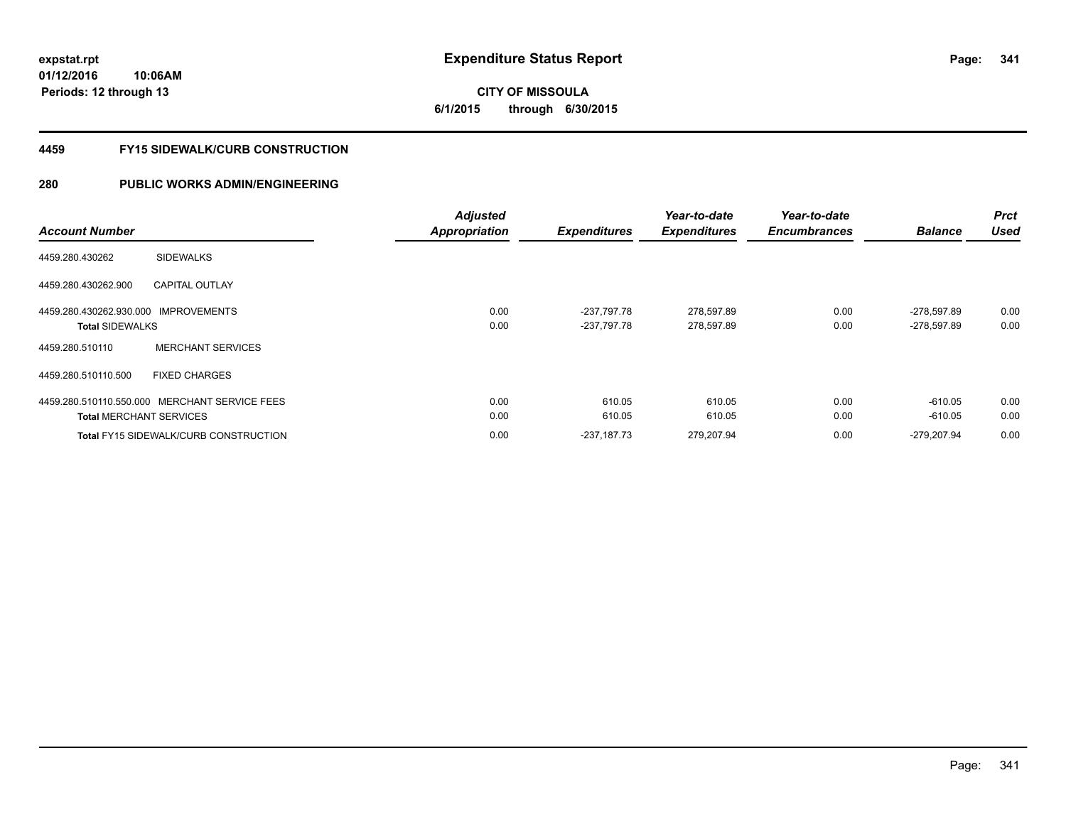**01/12/2016 10:06AM Periods: 12 through 13**

# **CITY OF MISSOULA 6/1/2015 through 6/30/2015**

# **4459 FY15 SIDEWALK/CURB CONSTRUCTION**

|                                               | <b>Adjusted</b> |                     | Year-to-date        | Year-to-date        |                | <b>Prct</b> |
|-----------------------------------------------|-----------------|---------------------|---------------------|---------------------|----------------|-------------|
| <b>Account Number</b>                         | Appropriation   | <b>Expenditures</b> | <b>Expenditures</b> | <b>Encumbrances</b> | <b>Balance</b> | <b>Used</b> |
| <b>SIDEWALKS</b><br>4459.280.430262           |                 |                     |                     |                     |                |             |
| <b>CAPITAL OUTLAY</b><br>4459.280.430262.900  |                 |                     |                     |                     |                |             |
| 4459.280.430262.930.000 IMPROVEMENTS          | 0.00            | -237.797.78         | 278,597.89          | 0.00                | $-278.597.89$  | 0.00        |
| <b>Total SIDEWALKS</b>                        | 0.00            | -237,797.78         | 278,597.89          | 0.00                | -278,597.89    | 0.00        |
| <b>MERCHANT SERVICES</b><br>4459.280.510110   |                 |                     |                     |                     |                |             |
| 4459.280.510110.500<br><b>FIXED CHARGES</b>   |                 |                     |                     |                     |                |             |
| 4459.280.510110.550.000 MERCHANT SERVICE FEES | 0.00            | 610.05              | 610.05              | 0.00                | $-610.05$      | 0.00        |
| <b>Total MERCHANT SERVICES</b>                | 0.00            | 610.05              | 610.05              | 0.00                | $-610.05$      | 0.00        |
| <b>Total FY15 SIDEWALK/CURB CONSTRUCTION</b>  | 0.00            | $-237.187.73$       | 279.207.94          | 0.00                | -279.207.94    | 0.00        |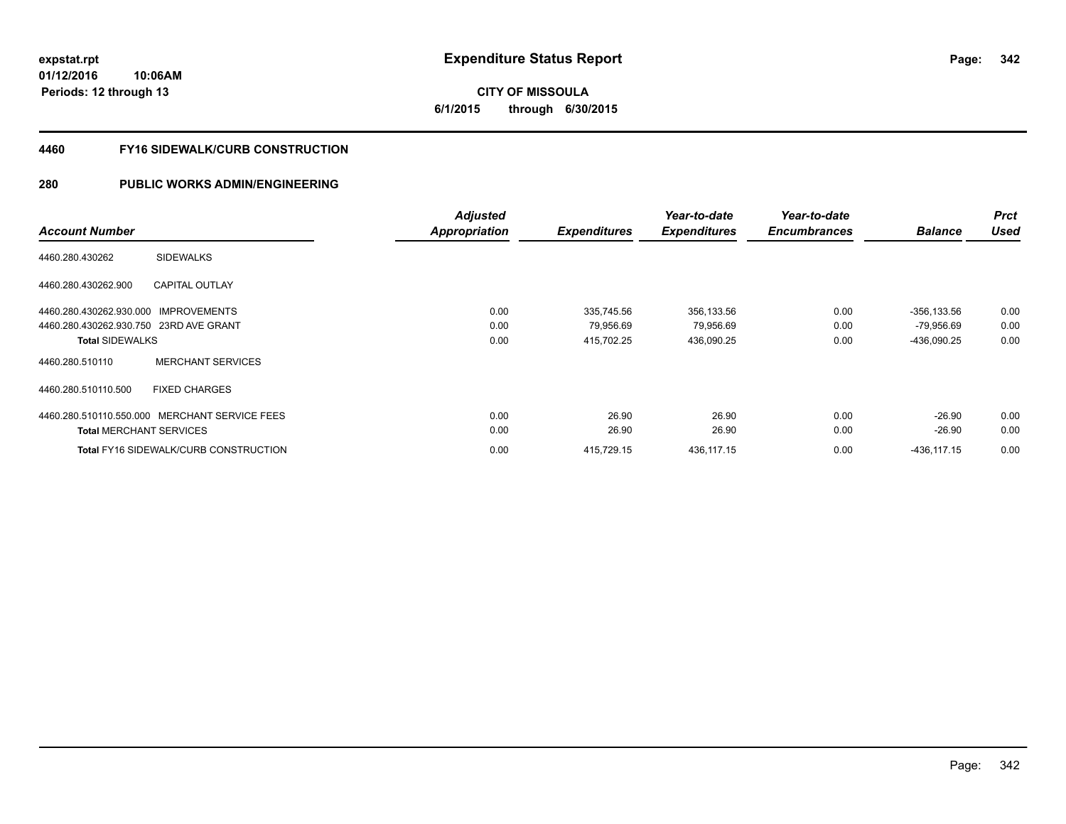**01/12/2016 10:06AM Periods: 12 through 13**

# **CITY OF MISSOULA 6/1/2015 through 6/30/2015**

# **4460 FY16 SIDEWALK/CURB CONSTRUCTION**

|                                               | <b>Adjusted</b> |                     | Year-to-date        | Year-to-date        |                | <b>Prct</b> |
|-----------------------------------------------|-----------------|---------------------|---------------------|---------------------|----------------|-------------|
| <b>Account Number</b>                         | Appropriation   | <b>Expenditures</b> | <b>Expenditures</b> | <b>Encumbrances</b> | <b>Balance</b> | <b>Used</b> |
| <b>SIDEWALKS</b><br>4460.280.430262           |                 |                     |                     |                     |                |             |
| <b>CAPITAL OUTLAY</b><br>4460.280.430262.900  |                 |                     |                     |                     |                |             |
| 4460.280.430262.930.000 IMPROVEMENTS          | 0.00            | 335,745.56          | 356,133.56          | 0.00                | $-356, 133.56$ | 0.00        |
| 4460.280.430262.930.750 23RD AVE GRANT        | 0.00            | 79,956.69           | 79,956.69           | 0.00                | $-79,956.69$   | 0.00        |
| <b>Total SIDEWALKS</b>                        | 0.00            | 415,702.25          | 436,090.25          | 0.00                | -436,090.25    | 0.00        |
| <b>MERCHANT SERVICES</b><br>4460.280.510110   |                 |                     |                     |                     |                |             |
| <b>FIXED CHARGES</b><br>4460.280.510110.500   |                 |                     |                     |                     |                |             |
| 4460.280.510110.550.000 MERCHANT SERVICE FEES | 0.00            | 26.90               | 26.90               | 0.00                | $-26.90$       | 0.00        |
| <b>Total MERCHANT SERVICES</b>                | 0.00            | 26.90               | 26.90               | 0.00                | $-26.90$       | 0.00        |
| <b>Total FY16 SIDEWALK/CURB CONSTRUCTION</b>  | 0.00            | 415,729.15          | 436.117.15          | 0.00                | $-436.117.15$  | 0.00        |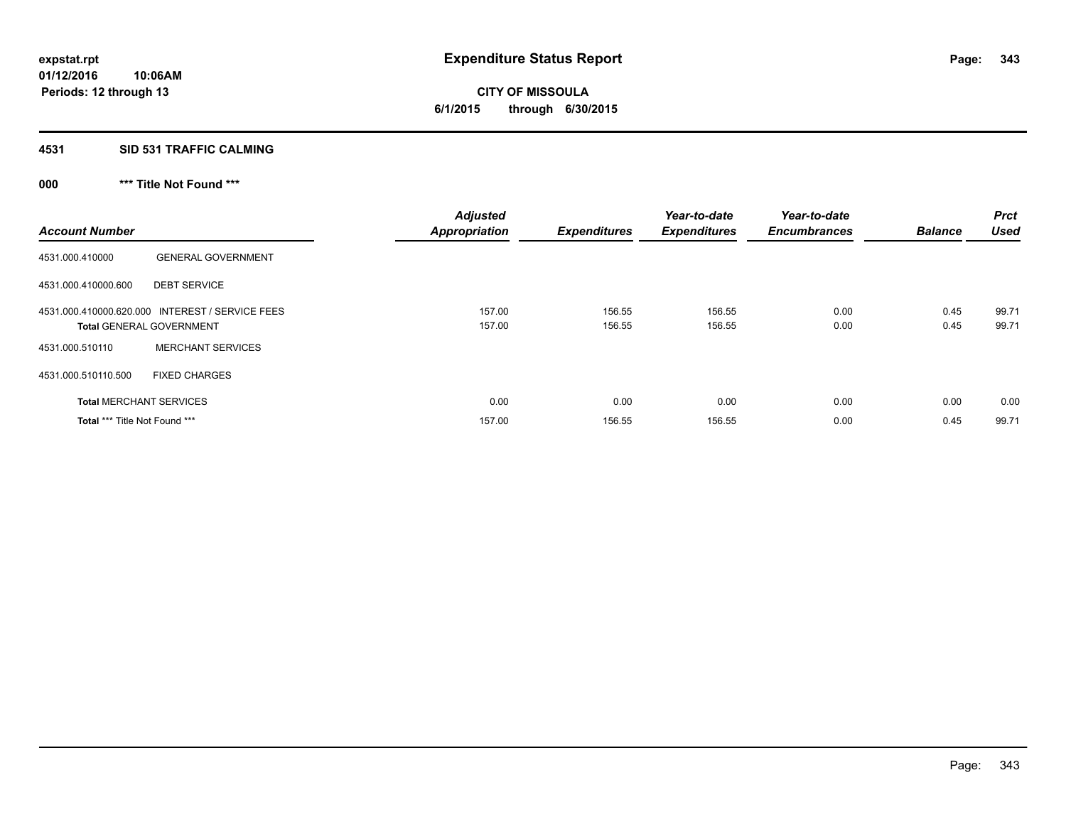**4531 SID 531 TRAFFIC CALMING**

**000 \*\*\* Title Not Found \*\*\***

| <b>Account Number</b>                |                                                                                    | <b>Adjusted</b><br><b>Appropriation</b> | <b>Expenditures</b> | Year-to-date<br><b>Expenditures</b> | Year-to-date<br><b>Encumbrances</b> | <b>Balance</b> | <b>Prct</b><br><b>Used</b> |
|--------------------------------------|------------------------------------------------------------------------------------|-----------------------------------------|---------------------|-------------------------------------|-------------------------------------|----------------|----------------------------|
| 4531.000.410000                      | <b>GENERAL GOVERNMENT</b>                                                          |                                         |                     |                                     |                                     |                |                            |
| 4531.000.410000.600                  | <b>DEBT SERVICE</b>                                                                |                                         |                     |                                     |                                     |                |                            |
|                                      | 4531.000.410000.620.000 INTEREST / SERVICE FEES<br><b>Total GENERAL GOVERNMENT</b> | 157.00<br>157.00                        | 156.55<br>156.55    | 156.55<br>156.55                    | 0.00<br>0.00                        | 0.45<br>0.45   | 99.71<br>99.71             |
| 4531.000.510110                      | <b>MERCHANT SERVICES</b>                                                           |                                         |                     |                                     |                                     |                |                            |
| 4531.000.510110.500                  | <b>FIXED CHARGES</b>                                                               |                                         |                     |                                     |                                     |                |                            |
|                                      | <b>Total MERCHANT SERVICES</b>                                                     | 0.00                                    | 0.00                | 0.00                                | 0.00                                | 0.00           | 0.00                       |
| <b>Total *** Title Not Found ***</b> |                                                                                    | 157.00                                  | 156.55              | 156.55                              | 0.00                                | 0.45           | 99.71                      |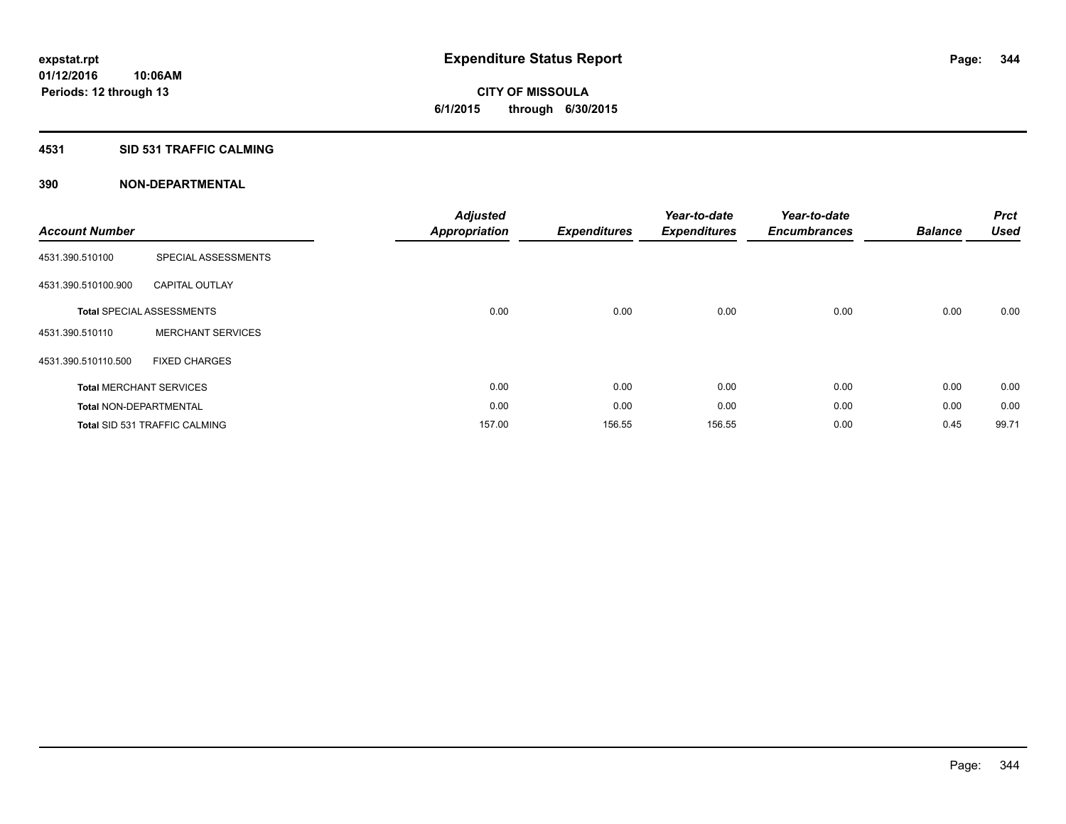# **CITY OF MISSOULA 6/1/2015 through 6/30/2015**

# **4531 SID 531 TRAFFIC CALMING**

| <b>Account Number</b>         |                                      | <b>Adjusted</b><br><b>Appropriation</b> | <b>Expenditures</b> | Year-to-date<br><b>Expenditures</b> | Year-to-date<br><b>Encumbrances</b> | <b>Balance</b> | <b>Prct</b><br><b>Used</b> |
|-------------------------------|--------------------------------------|-----------------------------------------|---------------------|-------------------------------------|-------------------------------------|----------------|----------------------------|
| 4531.390.510100               | SPECIAL ASSESSMENTS                  |                                         |                     |                                     |                                     |                |                            |
| 4531.390.510100.900           | <b>CAPITAL OUTLAY</b>                |                                         |                     |                                     |                                     |                |                            |
|                               | <b>Total SPECIAL ASSESSMENTS</b>     | 0.00                                    | 0.00                | 0.00                                | 0.00                                | 0.00           | 0.00                       |
| 4531.390.510110               | <b>MERCHANT SERVICES</b>             |                                         |                     |                                     |                                     |                |                            |
| 4531.390.510110.500           | <b>FIXED CHARGES</b>                 |                                         |                     |                                     |                                     |                |                            |
|                               | <b>Total MERCHANT SERVICES</b>       | 0.00                                    | 0.00                | 0.00                                | 0.00                                | 0.00           | 0.00                       |
| <b>Total NON-DEPARTMENTAL</b> |                                      | 0.00                                    | 0.00                | 0.00                                | 0.00                                | 0.00           | 0.00                       |
|                               | <b>Total SID 531 TRAFFIC CALMING</b> | 157.00                                  | 156.55              | 156.55                              | 0.00                                | 0.45           | 99.71                      |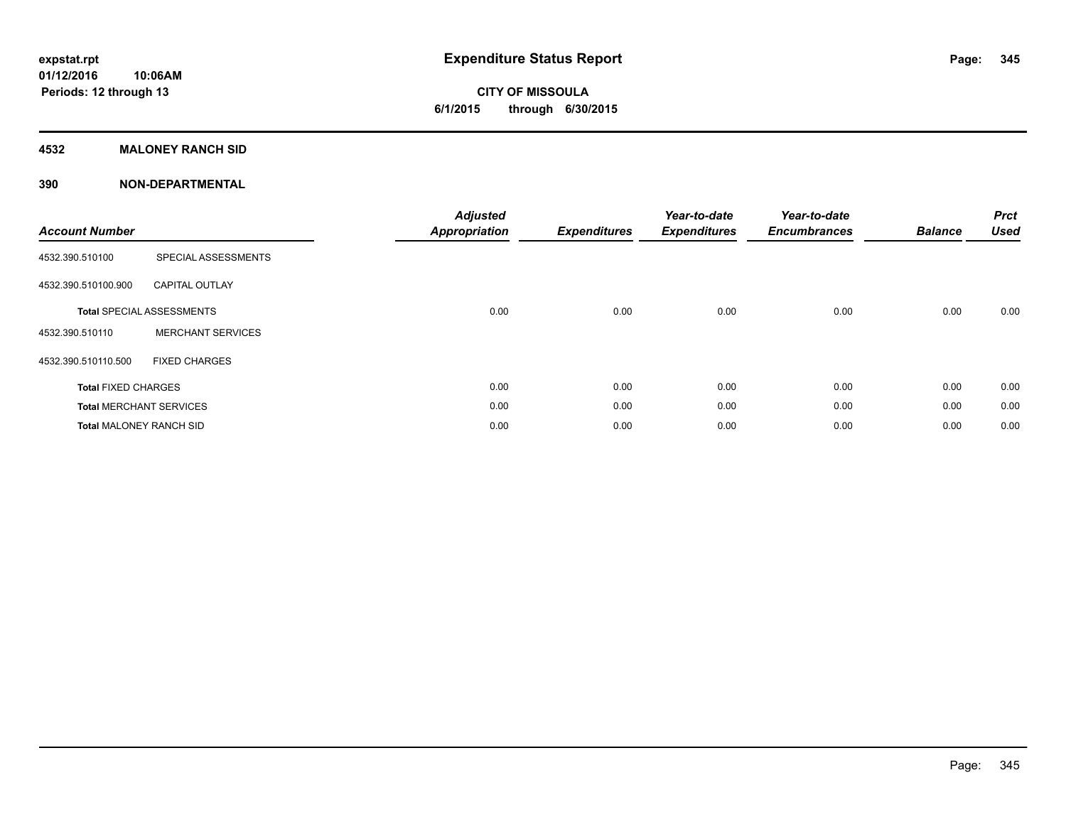# **CITY OF MISSOULA 6/1/2015 through 6/30/2015**

# **4532 MALONEY RANCH SID**

| <b>Account Number</b>          |                                  | <b>Adjusted</b><br><b>Appropriation</b> | <b>Expenditures</b> | Year-to-date<br><b>Expenditures</b> | Year-to-date<br><b>Encumbrances</b> | <b>Balance</b> | <b>Prct</b><br><b>Used</b> |
|--------------------------------|----------------------------------|-----------------------------------------|---------------------|-------------------------------------|-------------------------------------|----------------|----------------------------|
| 4532.390.510100                | SPECIAL ASSESSMENTS              |                                         |                     |                                     |                                     |                |                            |
| 4532.390.510100.900            | <b>CAPITAL OUTLAY</b>            |                                         |                     |                                     |                                     |                |                            |
|                                | <b>Total SPECIAL ASSESSMENTS</b> | 0.00                                    | 0.00                | 0.00                                | 0.00                                | 0.00           | 0.00                       |
| 4532.390.510110                | <b>MERCHANT SERVICES</b>         |                                         |                     |                                     |                                     |                |                            |
| 4532.390.510110.500            | <b>FIXED CHARGES</b>             |                                         |                     |                                     |                                     |                |                            |
| <b>Total FIXED CHARGES</b>     |                                  | 0.00                                    | 0.00                | 0.00                                | 0.00                                | 0.00           | 0.00                       |
|                                | <b>Total MERCHANT SERVICES</b>   | 0.00                                    | 0.00                | 0.00                                | 0.00                                | 0.00           | 0.00                       |
| <b>Total MALONEY RANCH SID</b> |                                  | 0.00                                    | 0.00                | 0.00                                | 0.00                                | 0.00           | 0.00                       |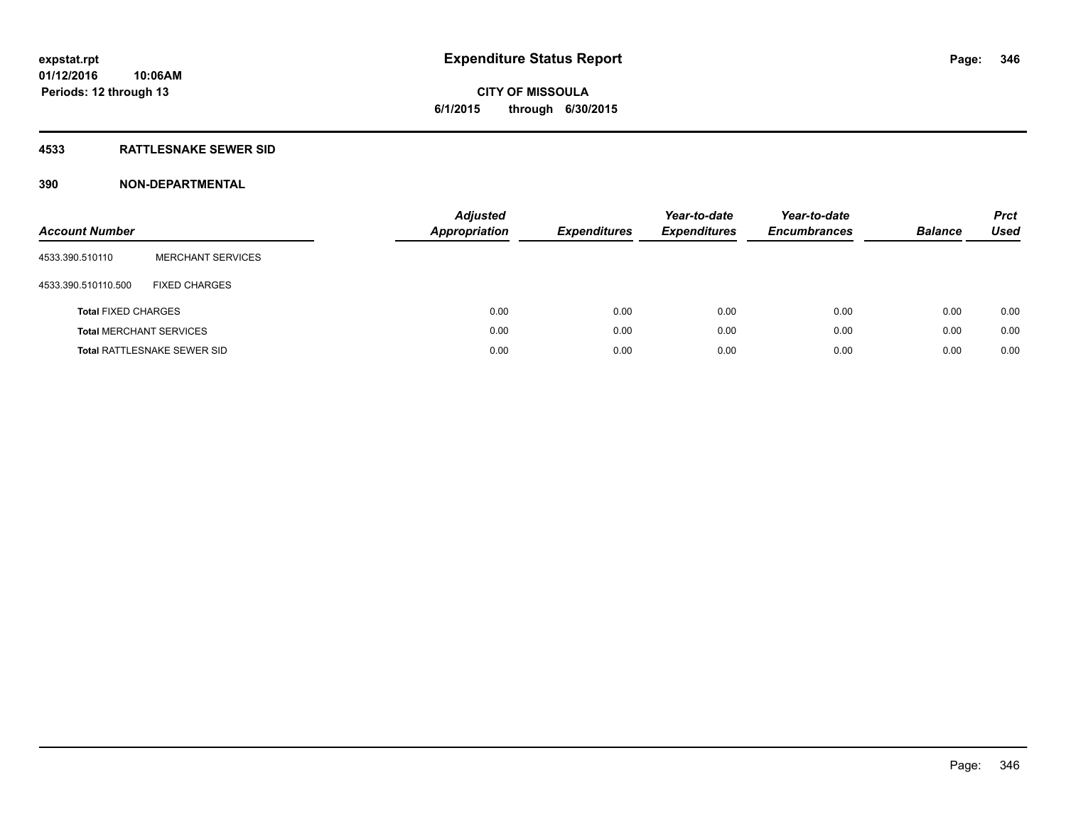# **CITY OF MISSOULA 6/1/2015 through 6/30/2015**

# **4533 RATTLESNAKE SEWER SID**

| <b>Account Number</b>          |                                    | <b>Adjusted</b><br><b>Appropriation</b> | <b>Expenditures</b> | Year-to-date<br><b>Expenditures</b> | Year-to-date<br><b>Encumbrances</b> | <b>Balance</b> | <b>Prct</b><br>Used |
|--------------------------------|------------------------------------|-----------------------------------------|---------------------|-------------------------------------|-------------------------------------|----------------|---------------------|
| 4533.390.510110                | <b>MERCHANT SERVICES</b>           |                                         |                     |                                     |                                     |                |                     |
| 4533.390.510110.500            | <b>FIXED CHARGES</b>               |                                         |                     |                                     |                                     |                |                     |
| <b>Total FIXED CHARGES</b>     |                                    | 0.00                                    | 0.00                | 0.00                                | 0.00                                | 0.00           | 0.00                |
| <b>Total MERCHANT SERVICES</b> |                                    | 0.00                                    | 0.00                | 0.00                                | 0.00                                | 0.00           | 0.00                |
|                                | <b>Total RATTLESNAKE SEWER SID</b> | 0.00                                    | 0.00                | 0.00                                | 0.00                                | 0.00           | 0.00                |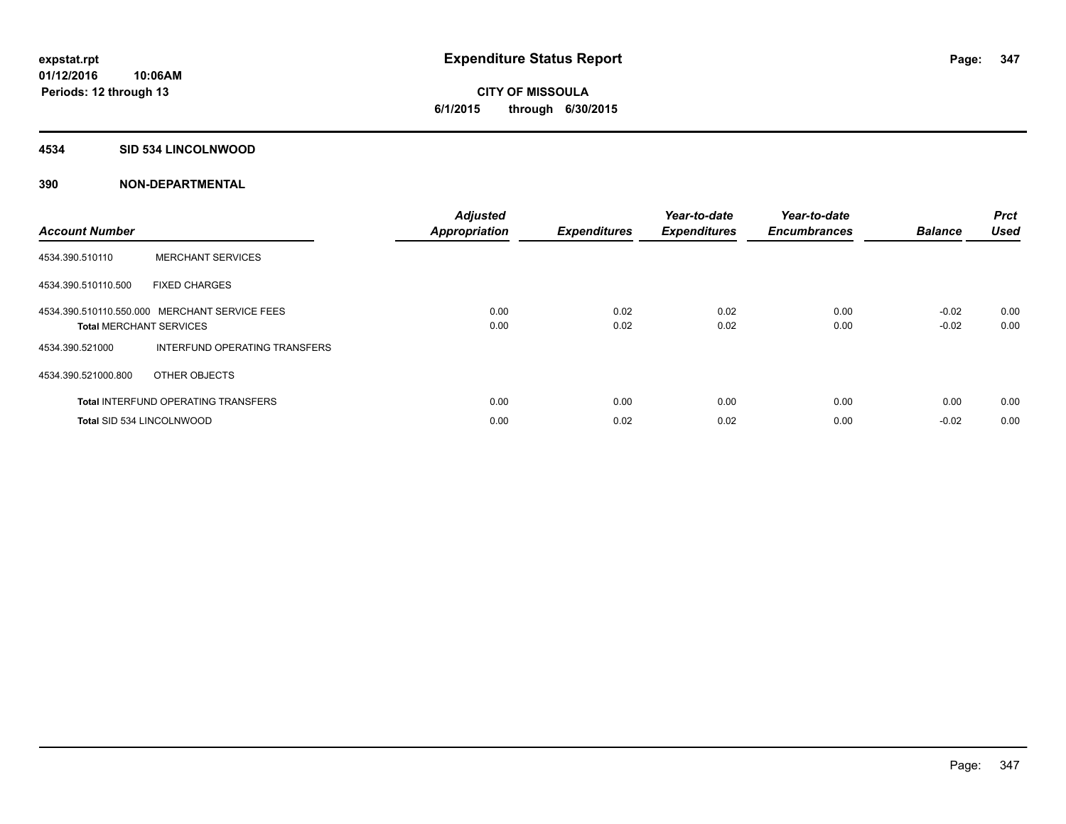**CITY OF MISSOULA 6/1/2015 through 6/30/2015**

#### **4534 SID 534 LINCOLNWOOD**

| <b>Account Number</b>          |                                               | <b>Adjusted</b><br><b>Appropriation</b> | <b>Expenditures</b> | Year-to-date<br><b>Expenditures</b> | Year-to-date<br><b>Encumbrances</b> | <b>Balance</b> | <b>Prct</b><br><b>Used</b> |
|--------------------------------|-----------------------------------------------|-----------------------------------------|---------------------|-------------------------------------|-------------------------------------|----------------|----------------------------|
| 4534.390.510110                | <b>MERCHANT SERVICES</b>                      |                                         |                     |                                     |                                     |                |                            |
| 4534.390.510110.500            | <b>FIXED CHARGES</b>                          |                                         |                     |                                     |                                     |                |                            |
|                                | 4534.390.510110.550.000 MERCHANT SERVICE FEES | 0.00                                    | 0.02                | 0.02                                | 0.00                                | $-0.02$        | 0.00                       |
| <b>Total MERCHANT SERVICES</b> |                                               | 0.00                                    | 0.02                | 0.02                                | 0.00                                | $-0.02$        | 0.00                       |
| 4534.390.521000                | <b>INTERFUND OPERATING TRANSFERS</b>          |                                         |                     |                                     |                                     |                |                            |
| 4534.390.521000.800            | OTHER OBJECTS                                 |                                         |                     |                                     |                                     |                |                            |
|                                | <b>Total INTERFUND OPERATING TRANSFERS</b>    | 0.00                                    | 0.00                | 0.00                                | 0.00                                | 0.00           | 0.00                       |
|                                | Total SID 534 LINCOLNWOOD                     | 0.00                                    | 0.02                | 0.02                                | 0.00                                | $-0.02$        | 0.00                       |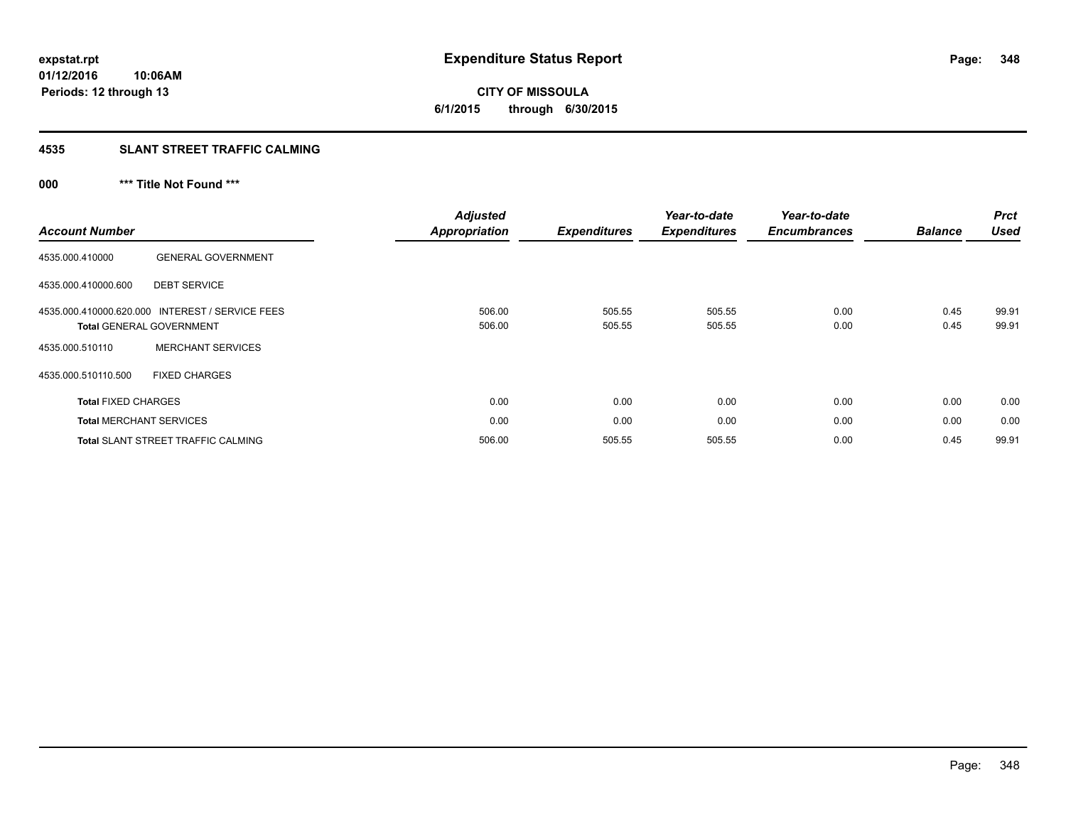**CITY OF MISSOULA 6/1/2015 through 6/30/2015**

# **4535 SLANT STREET TRAFFIC CALMING**

# **000 \*\*\* Title Not Found \*\*\***

|                                 |                                                 | <b>Adjusted</b>      |                     | Year-to-date        | Year-to-date        |                | <b>Prct</b> |
|---------------------------------|-------------------------------------------------|----------------------|---------------------|---------------------|---------------------|----------------|-------------|
| <b>Account Number</b>           |                                                 | <b>Appropriation</b> | <b>Expenditures</b> | <b>Expenditures</b> | <b>Encumbrances</b> | <b>Balance</b> | <b>Used</b> |
| 4535.000.410000                 | <b>GENERAL GOVERNMENT</b>                       |                      |                     |                     |                     |                |             |
| 4535.000.410000.600             | <b>DEBT SERVICE</b>                             |                      |                     |                     |                     |                |             |
|                                 | 4535.000.410000.620.000 INTEREST / SERVICE FEES | 506.00               | 505.55              | 505.55              | 0.00                | 0.45           | 99.91       |
| <b>Total GENERAL GOVERNMENT</b> |                                                 | 506.00               | 505.55              | 505.55              | 0.00                | 0.45           | 99.91       |
| 4535.000.510110                 | <b>MERCHANT SERVICES</b>                        |                      |                     |                     |                     |                |             |
| 4535.000.510110.500             | <b>FIXED CHARGES</b>                            |                      |                     |                     |                     |                |             |
| <b>Total FIXED CHARGES</b>      |                                                 | 0.00                 | 0.00                | 0.00                | 0.00                | 0.00           | 0.00        |
| <b>Total MERCHANT SERVICES</b>  |                                                 | 0.00                 | 0.00                | 0.00                | 0.00                | 0.00           | 0.00        |
|                                 | <b>Total SLANT STREET TRAFFIC CALMING</b>       | 506.00               | 505.55              | 505.55              | 0.00                | 0.45           | 99.91       |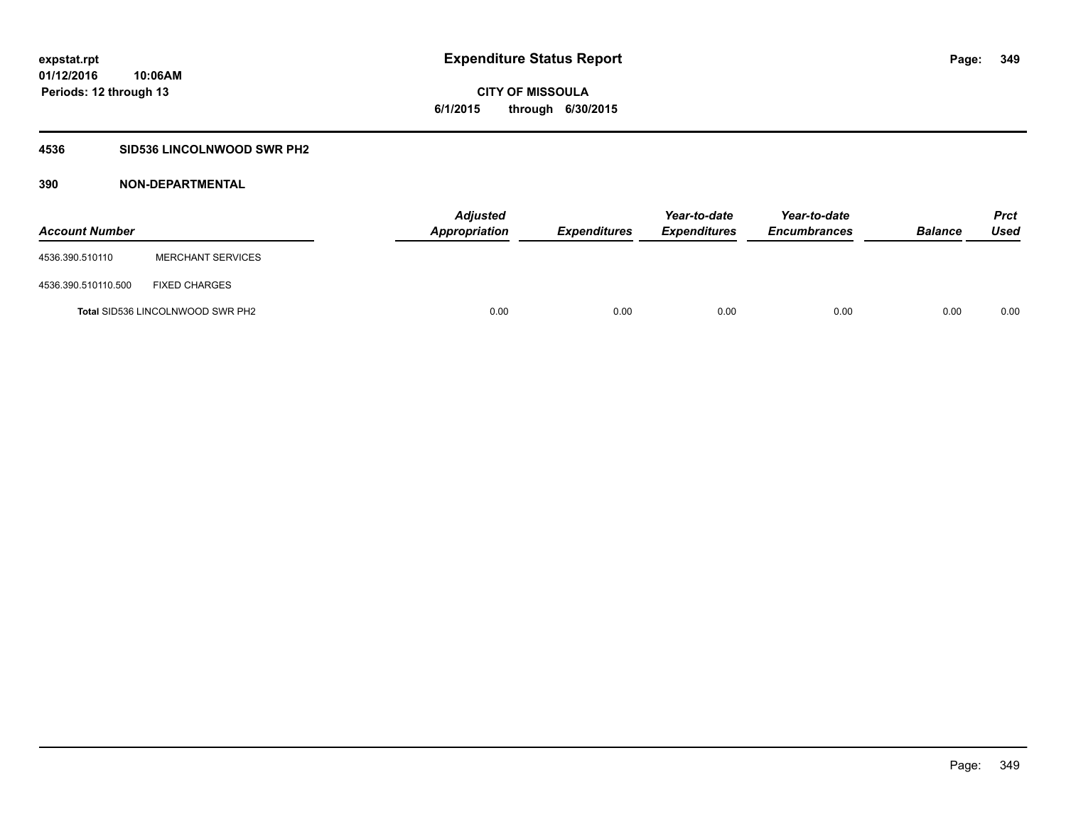**Periods: 12 through 13**

**CITY OF MISSOULA 6/1/2015 through 6/30/2015**

# **4536 SID536 LINCOLNWOOD SWR PH2**

| <b>Account Number</b> |                                         | <b>Adjusted</b><br><b>Appropriation</b> | <b>Expenditures</b> | Year-to-date<br><b>Expenditures</b> | Year-to-date<br><b>Encumbrances</b> | <b>Balance</b> | Prct<br><b>Used</b> |
|-----------------------|-----------------------------------------|-----------------------------------------|---------------------|-------------------------------------|-------------------------------------|----------------|---------------------|
| 4536.390.510110       | <b>MERCHANT SERVICES</b>                |                                         |                     |                                     |                                     |                |                     |
| 4536.390.510110.500   | <b>FIXED CHARGES</b>                    |                                         |                     |                                     |                                     |                |                     |
|                       | <b>Total SID536 LINCOLNWOOD SWR PH2</b> | 0.00                                    | 0.00                | 0.00                                | 0.00                                | 0.00           | 0.00                |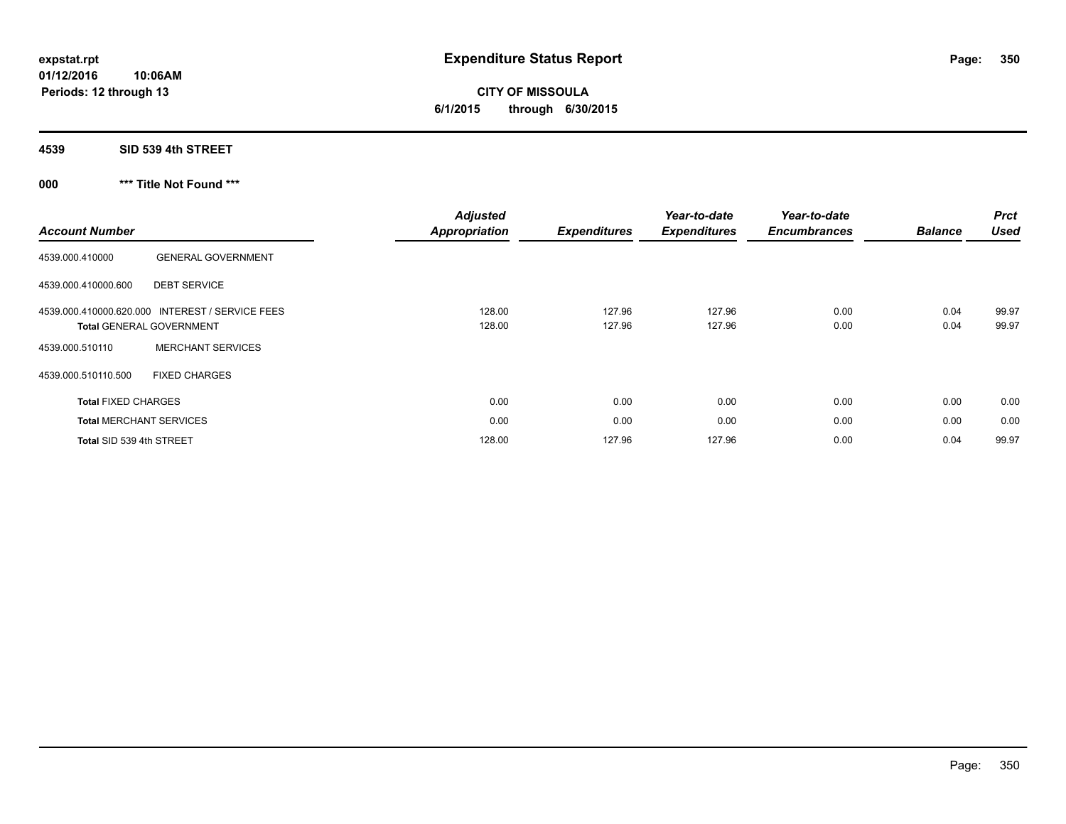**CITY OF MISSOULA 6/1/2015 through 6/30/2015**

**4539 SID 539 4th STREET**

**000 \*\*\* Title Not Found \*\*\***

|                                                           | <b>Adjusted</b>      |                     | Year-to-date        | Year-to-date        |                | <b>Prct</b> |
|-----------------------------------------------------------|----------------------|---------------------|---------------------|---------------------|----------------|-------------|
| <b>Account Number</b>                                     | <b>Appropriation</b> | <b>Expenditures</b> | <b>Expenditures</b> | <b>Encumbrances</b> | <b>Balance</b> | <b>Used</b> |
| <b>GENERAL GOVERNMENT</b><br>4539.000.410000              |                      |                     |                     |                     |                |             |
| 4539.000.410000.600<br><b>DEBT SERVICE</b>                |                      |                     |                     |                     |                |             |
| 4539.000.410000.620.000<br><b>INTEREST / SERVICE FEES</b> | 128.00               | 127.96              | 127.96              | 0.00                | 0.04           | 99.97       |
| <b>Total GENERAL GOVERNMENT</b>                           | 128.00               | 127.96              | 127.96              | 0.00                | 0.04           | 99.97       |
| <b>MERCHANT SERVICES</b><br>4539.000.510110               |                      |                     |                     |                     |                |             |
| 4539.000.510110.500<br><b>FIXED CHARGES</b>               |                      |                     |                     |                     |                |             |
| <b>Total FIXED CHARGES</b>                                | 0.00                 | 0.00                | 0.00                | 0.00                | 0.00           | 0.00        |
| <b>Total MERCHANT SERVICES</b>                            | 0.00                 | 0.00                | 0.00                | 0.00                | 0.00           | 0.00        |
| Total SID 539 4th STREET                                  | 128.00               | 127.96              | 127.96              | 0.00                | 0.04           | 99.97       |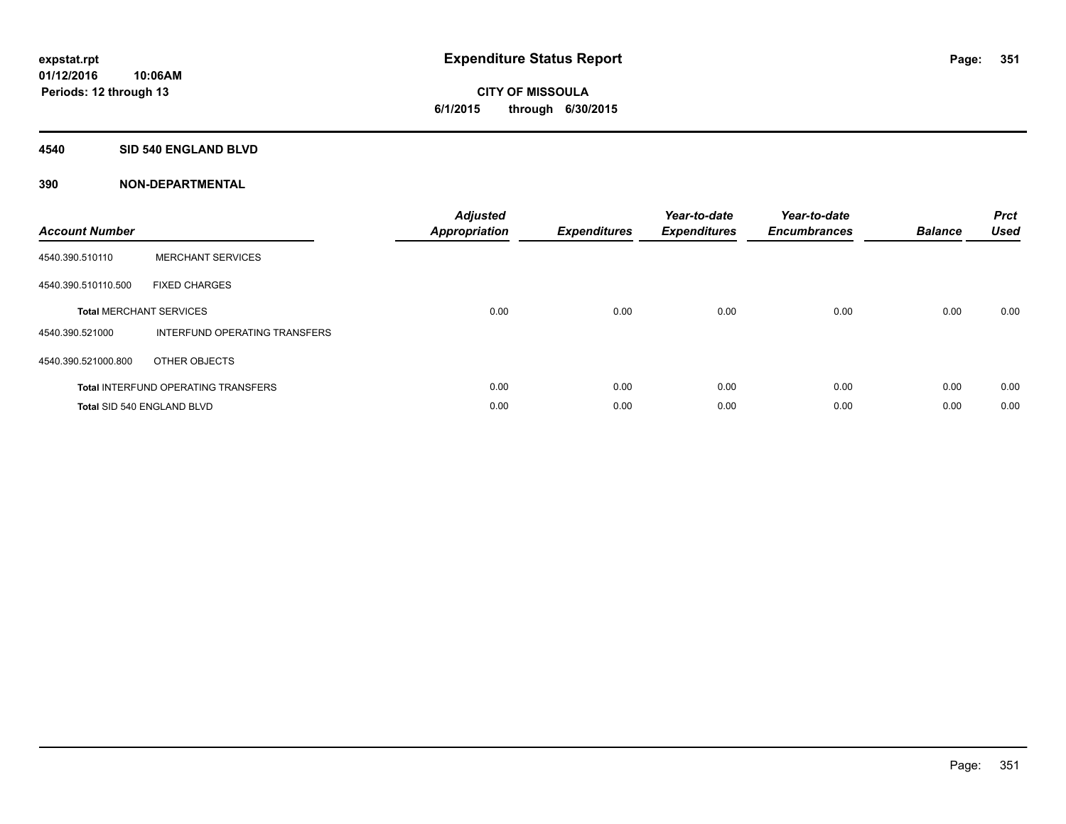# **CITY OF MISSOULA 6/1/2015 through 6/30/2015**

## **4540 SID 540 ENGLAND BLVD**

| <b>Account Number</b> |                                            | <b>Adjusted</b><br>Appropriation | <b>Expenditures</b> | Year-to-date<br><b>Expenditures</b> | Year-to-date<br><b>Encumbrances</b> | <b>Balance</b> | <b>Prct</b><br><b>Used</b> |
|-----------------------|--------------------------------------------|----------------------------------|---------------------|-------------------------------------|-------------------------------------|----------------|----------------------------|
| 4540.390.510110       | <b>MERCHANT SERVICES</b>                   |                                  |                     |                                     |                                     |                |                            |
| 4540.390.510110.500   | <b>FIXED CHARGES</b>                       |                                  |                     |                                     |                                     |                |                            |
|                       | <b>Total MERCHANT SERVICES</b>             | 0.00                             | 0.00                | 0.00                                | 0.00                                | 0.00           | 0.00                       |
| 4540.390.521000       | INTERFUND OPERATING TRANSFERS              |                                  |                     |                                     |                                     |                |                            |
| 4540.390.521000.800   | OTHER OBJECTS                              |                                  |                     |                                     |                                     |                |                            |
|                       | <b>Total INTERFUND OPERATING TRANSFERS</b> | 0.00                             | 0.00                | 0.00                                | 0.00                                | 0.00           | 0.00                       |
|                       | Total SID 540 ENGLAND BLVD                 | 0.00                             | 0.00                | 0.00                                | 0.00                                | 0.00           | 0.00                       |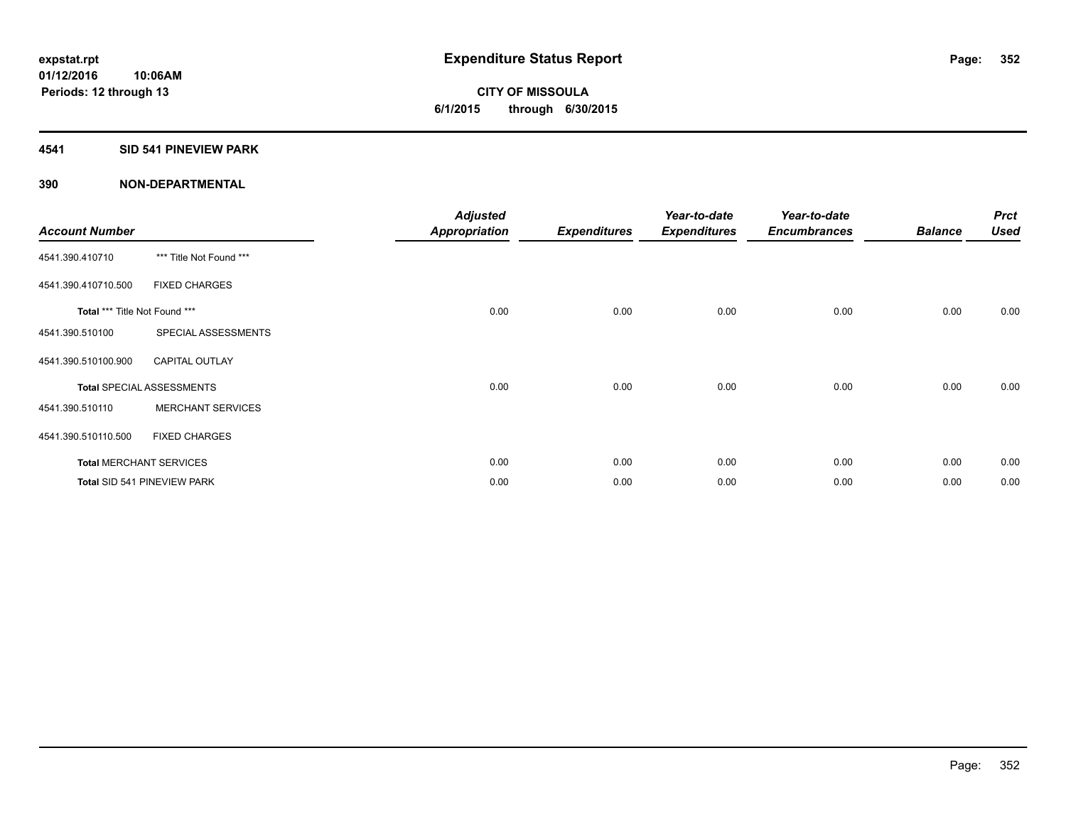**Periods: 12 through 13**

**CITY OF MISSOULA 6/1/2015 through 6/30/2015**

# **4541 SID 541 PINEVIEW PARK**

| <b>Account Number</b>         |                                  | <b>Adjusted</b><br><b>Appropriation</b> | <b>Expenditures</b> | Year-to-date<br><b>Expenditures</b> | Year-to-date<br><b>Encumbrances</b> | <b>Balance</b> | <b>Prct</b><br><b>Used</b> |
|-------------------------------|----------------------------------|-----------------------------------------|---------------------|-------------------------------------|-------------------------------------|----------------|----------------------------|
| 4541.390.410710               | *** Title Not Found ***          |                                         |                     |                                     |                                     |                |                            |
| 4541.390.410710.500           | <b>FIXED CHARGES</b>             |                                         |                     |                                     |                                     |                |                            |
| Total *** Title Not Found *** |                                  | 0.00                                    | 0.00                | 0.00                                | 0.00                                | 0.00           | 0.00                       |
| 4541.390.510100               | SPECIAL ASSESSMENTS              |                                         |                     |                                     |                                     |                |                            |
| 4541.390.510100.900           | <b>CAPITAL OUTLAY</b>            |                                         |                     |                                     |                                     |                |                            |
|                               | <b>Total SPECIAL ASSESSMENTS</b> | 0.00                                    | 0.00                | 0.00                                | 0.00                                | 0.00           | 0.00                       |
| 4541.390.510110               | <b>MERCHANT SERVICES</b>         |                                         |                     |                                     |                                     |                |                            |
| 4541.390.510110.500           | <b>FIXED CHARGES</b>             |                                         |                     |                                     |                                     |                |                            |
|                               | <b>Total MERCHANT SERVICES</b>   | 0.00                                    | 0.00                | 0.00                                | 0.00                                | 0.00           | 0.00                       |
|                               | Total SID 541 PINEVIEW PARK      | 0.00                                    | 0.00                | 0.00                                | 0.00                                | 0.00           | 0.00                       |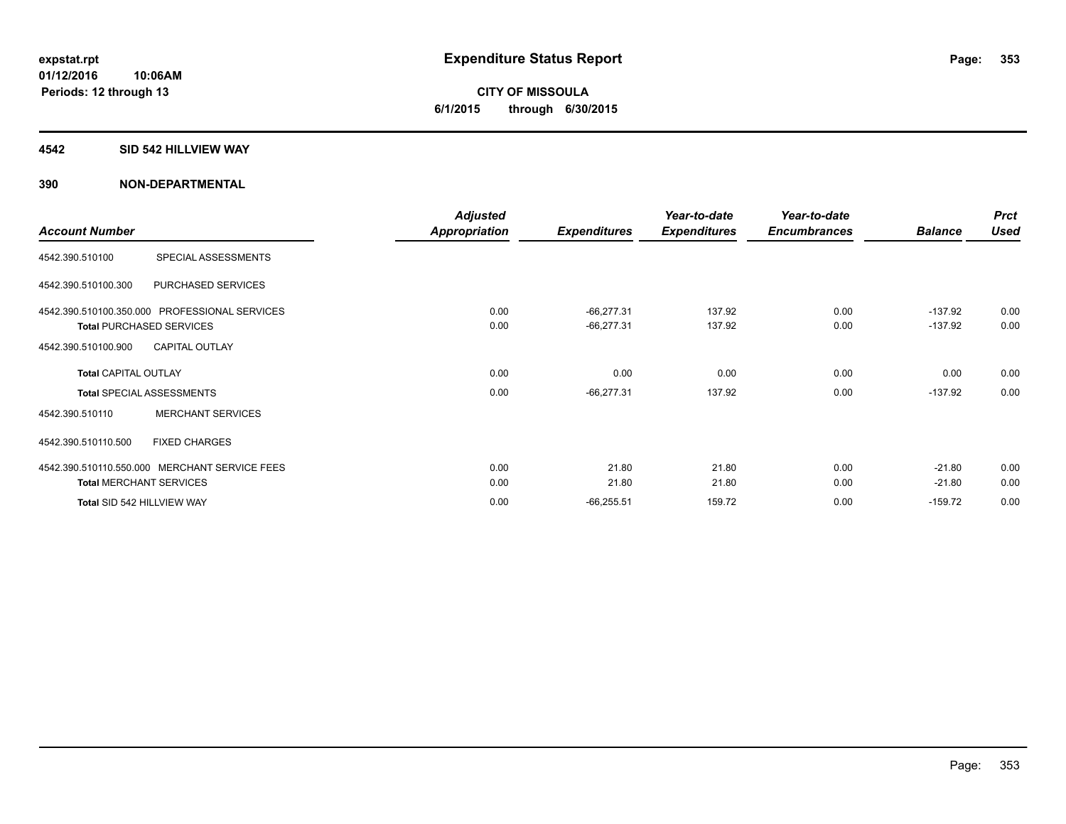# **CITY OF MISSOULA 6/1/2015 through 6/30/2015**

### **4542 SID 542 HILLVIEW WAY**

|                                |                                               | <b>Adjusted</b>      |                     | Year-to-date        | Year-to-date        |                | <b>Prct</b> |
|--------------------------------|-----------------------------------------------|----------------------|---------------------|---------------------|---------------------|----------------|-------------|
| <b>Account Number</b>          |                                               | <b>Appropriation</b> | <b>Expenditures</b> | <b>Expenditures</b> | <b>Encumbrances</b> | <b>Balance</b> | <b>Used</b> |
| 4542.390.510100                | SPECIAL ASSESSMENTS                           |                      |                     |                     |                     |                |             |
| 4542.390.510100.300            | PURCHASED SERVICES                            |                      |                     |                     |                     |                |             |
|                                | 4542.390.510100.350.000 PROFESSIONAL SERVICES | 0.00                 | $-66,277.31$        | 137.92              | 0.00                | $-137.92$      | 0.00        |
|                                | <b>Total PURCHASED SERVICES</b>               | 0.00                 | $-66,277.31$        | 137.92              | 0.00                | $-137.92$      | 0.00        |
| 4542.390.510100.900            | <b>CAPITAL OUTLAY</b>                         |                      |                     |                     |                     |                |             |
| <b>Total CAPITAL OUTLAY</b>    |                                               | 0.00                 | 0.00                | 0.00                | 0.00                | 0.00           | 0.00        |
|                                | <b>Total SPECIAL ASSESSMENTS</b>              | 0.00                 | $-66,277.31$        | 137.92              | 0.00                | $-137.92$      | 0.00        |
| 4542.390.510110                | <b>MERCHANT SERVICES</b>                      |                      |                     |                     |                     |                |             |
| 4542.390.510110.500            | <b>FIXED CHARGES</b>                          |                      |                     |                     |                     |                |             |
|                                | 4542.390.510110.550.000 MERCHANT SERVICE FEES | 0.00                 | 21.80               | 21.80               | 0.00                | $-21.80$       | 0.00        |
| <b>Total MERCHANT SERVICES</b> |                                               | 0.00                 | 21.80               | 21.80               | 0.00                | $-21.80$       | 0.00        |
| Total SID 542 HILLVIEW WAY     |                                               | 0.00                 | $-66,255.51$        | 159.72              | 0.00                | $-159.72$      | 0.00        |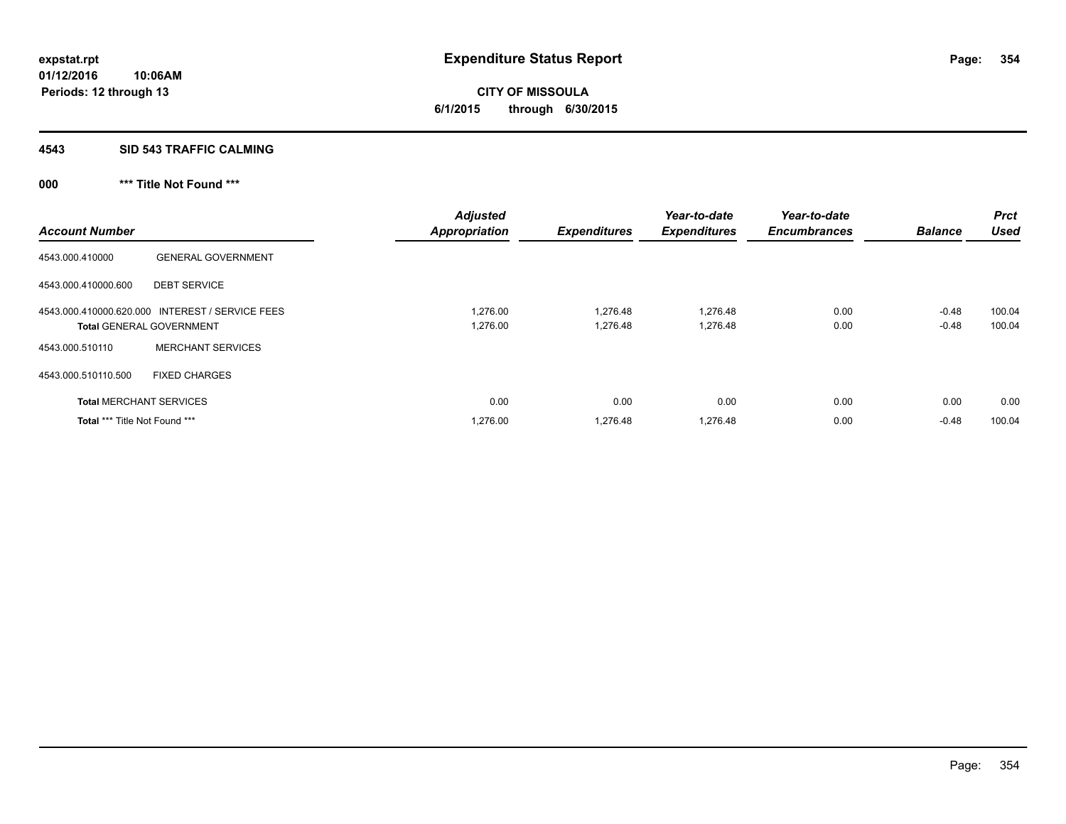**CITY OF MISSOULA 6/1/2015 through 6/30/2015**

#### **4543 SID 543 TRAFFIC CALMING**

# **000 \*\*\* Title Not Found \*\*\***

| <b>Account Number</b>                |                                                 | <b>Adjusted</b><br><b>Appropriation</b> | <b>Expenditures</b> | Year-to-date<br><b>Expenditures</b> | Year-to-date<br><b>Encumbrances</b> | <b>Balance</b> | <b>Prct</b><br><b>Used</b> |
|--------------------------------------|-------------------------------------------------|-----------------------------------------|---------------------|-------------------------------------|-------------------------------------|----------------|----------------------------|
| 4543.000.410000                      | <b>GENERAL GOVERNMENT</b>                       |                                         |                     |                                     |                                     |                |                            |
| 4543.000.410000.600                  | <b>DEBT SERVICE</b>                             |                                         |                     |                                     |                                     |                |                            |
|                                      | 4543.000.410000.620.000 INTEREST / SERVICE FEES | 1,276.00                                | 1.276.48            | 1,276.48                            | 0.00                                | $-0.48$        | 100.04                     |
|                                      | <b>Total GENERAL GOVERNMENT</b>                 | 1,276.00                                | 1.276.48            | 1,276.48                            | 0.00                                | $-0.48$        | 100.04                     |
| 4543.000.510110                      | <b>MERCHANT SERVICES</b>                        |                                         |                     |                                     |                                     |                |                            |
| 4543.000.510110.500                  | <b>FIXED CHARGES</b>                            |                                         |                     |                                     |                                     |                |                            |
| <b>Total MERCHANT SERVICES</b>       |                                                 | 0.00                                    | 0.00                | 0.00                                | 0.00                                | 0.00           | 0.00                       |
| <b>Total *** Title Not Found ***</b> |                                                 | 1,276.00                                | 1,276.48            | 1,276.48                            | 0.00                                | $-0.48$        | 100.04                     |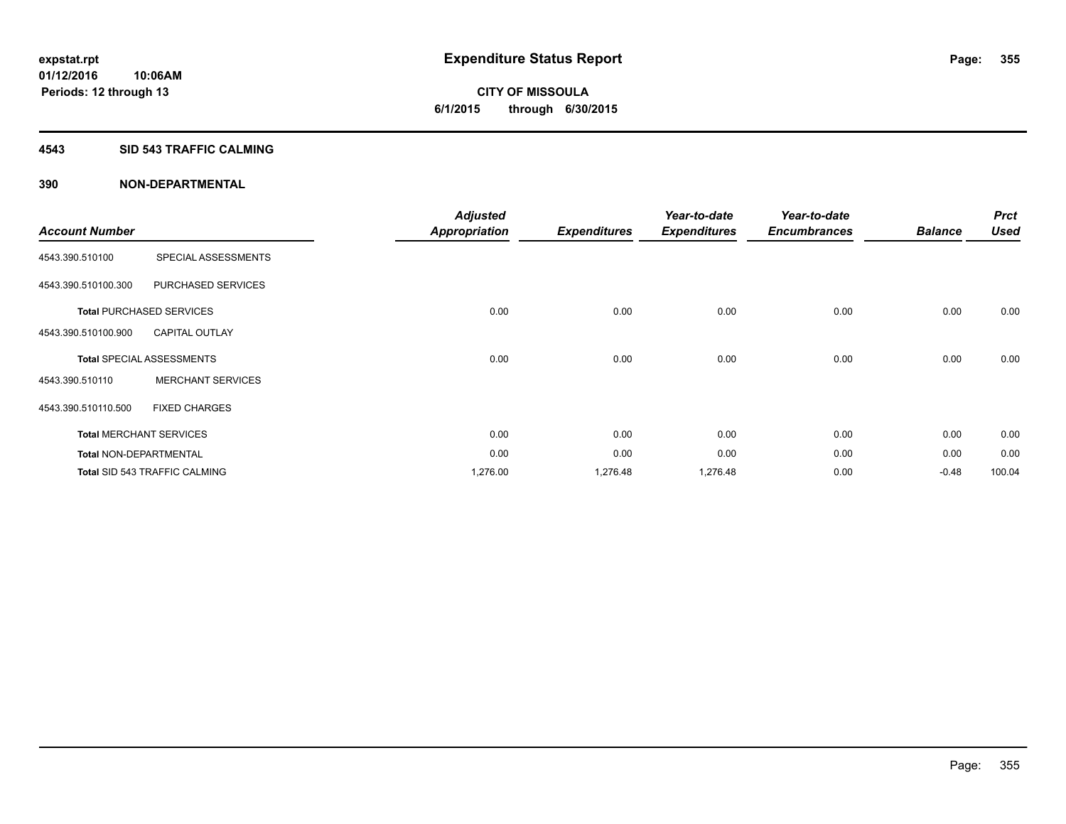**CITY OF MISSOULA 6/1/2015 through 6/30/2015**

### **4543 SID 543 TRAFFIC CALMING**

|                               |                                      | <b>Adjusted</b>      |                     | Year-to-date        | Year-to-date        |                | <b>Prct</b> |
|-------------------------------|--------------------------------------|----------------------|---------------------|---------------------|---------------------|----------------|-------------|
| <b>Account Number</b>         |                                      | <b>Appropriation</b> | <b>Expenditures</b> | <b>Expenditures</b> | <b>Encumbrances</b> | <b>Balance</b> | <b>Used</b> |
| 4543.390.510100               | SPECIAL ASSESSMENTS                  |                      |                     |                     |                     |                |             |
| 4543.390.510100.300           | PURCHASED SERVICES                   |                      |                     |                     |                     |                |             |
|                               | <b>Total PURCHASED SERVICES</b>      | 0.00                 | 0.00                | 0.00                | 0.00                | 0.00           | 0.00        |
| 4543.390.510100.900           | <b>CAPITAL OUTLAY</b>                |                      |                     |                     |                     |                |             |
|                               | <b>Total SPECIAL ASSESSMENTS</b>     | 0.00                 | 0.00                | 0.00                | 0.00                | 0.00           | 0.00        |
| 4543.390.510110               | <b>MERCHANT SERVICES</b>             |                      |                     |                     |                     |                |             |
| 4543.390.510110.500           | <b>FIXED CHARGES</b>                 |                      |                     |                     |                     |                |             |
|                               | <b>Total MERCHANT SERVICES</b>       | 0.00                 | 0.00                | 0.00                | 0.00                | 0.00           | 0.00        |
| <b>Total NON-DEPARTMENTAL</b> |                                      | 0.00                 | 0.00                | 0.00                | 0.00                | 0.00           | 0.00        |
|                               | <b>Total SID 543 TRAFFIC CALMING</b> | 1,276.00             | 1,276.48            | 1,276.48            | 0.00                | $-0.48$        | 100.04      |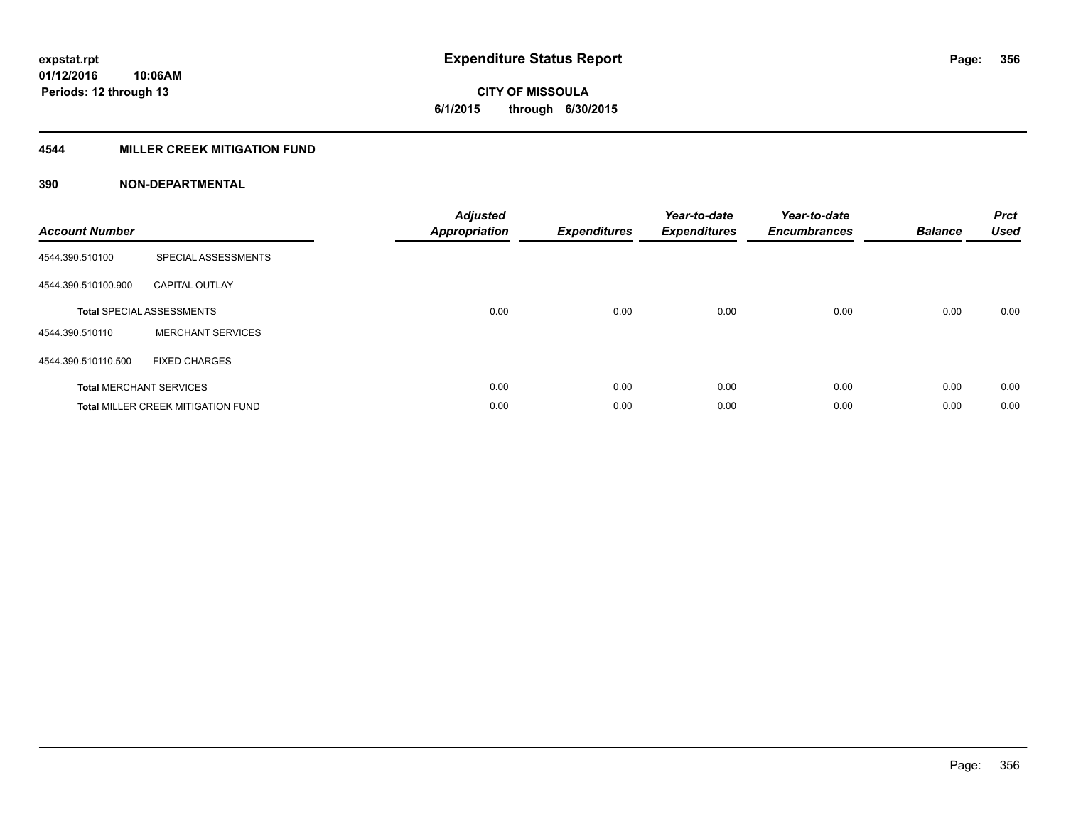**Periods: 12 through 13**

**CITY OF MISSOULA 6/1/2015 through 6/30/2015**

# **4544 MILLER CREEK MITIGATION FUND**

| <b>Account Number</b> |                                           | <b>Adjusted</b><br><b>Appropriation</b> | <b>Expenditures</b> | Year-to-date<br><b>Expenditures</b> | Year-to-date<br><b>Encumbrances</b> | <b>Balance</b> | <b>Prct</b><br><b>Used</b> |
|-----------------------|-------------------------------------------|-----------------------------------------|---------------------|-------------------------------------|-------------------------------------|----------------|----------------------------|
| 4544.390.510100       | SPECIAL ASSESSMENTS                       |                                         |                     |                                     |                                     |                |                            |
| 4544.390.510100.900   | <b>CAPITAL OUTLAY</b>                     |                                         |                     |                                     |                                     |                |                            |
|                       | <b>Total SPECIAL ASSESSMENTS</b>          | 0.00                                    | 0.00                | 0.00                                | 0.00                                | 0.00           | 0.00                       |
| 4544.390.510110       | <b>MERCHANT SERVICES</b>                  |                                         |                     |                                     |                                     |                |                            |
| 4544.390.510110.500   | <b>FIXED CHARGES</b>                      |                                         |                     |                                     |                                     |                |                            |
|                       | <b>Total MERCHANT SERVICES</b>            | 0.00                                    | 0.00                | 0.00                                | 0.00                                | 0.00           | 0.00                       |
|                       | <b>Total MILLER CREEK MITIGATION FUND</b> | 0.00                                    | 0.00                | 0.00                                | 0.00                                | 0.00           | 0.00                       |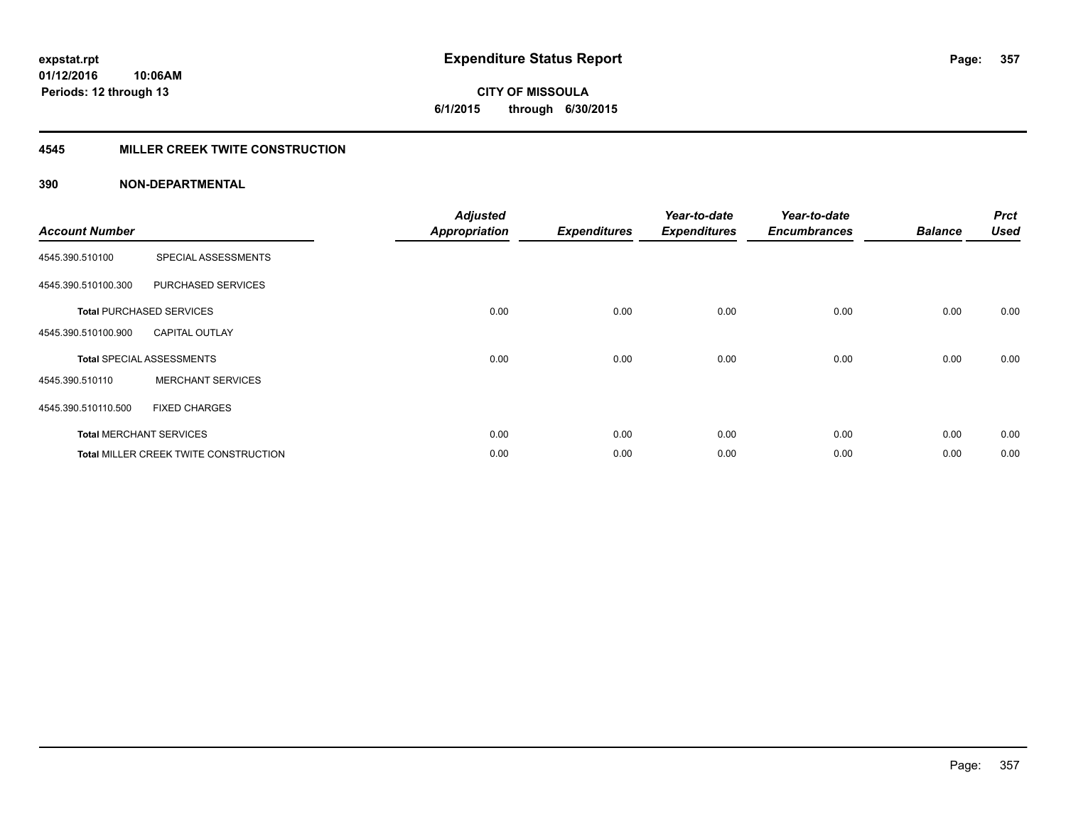# **CITY OF MISSOULA 6/1/2015 through 6/30/2015**

# **4545 MILLER CREEK TWITE CONSTRUCTION**

| <b>Account Number</b> |                                       | <b>Adjusted</b><br><b>Appropriation</b> | <b>Expenditures</b> | Year-to-date<br><b>Expenditures</b> | Year-to-date<br><b>Encumbrances</b> | <b>Balance</b> | <b>Prct</b><br><b>Used</b> |
|-----------------------|---------------------------------------|-----------------------------------------|---------------------|-------------------------------------|-------------------------------------|----------------|----------------------------|
| 4545.390.510100       | SPECIAL ASSESSMENTS                   |                                         |                     |                                     |                                     |                |                            |
| 4545.390.510100.300   | PURCHASED SERVICES                    |                                         |                     |                                     |                                     |                |                            |
|                       | <b>Total PURCHASED SERVICES</b>       | 0.00                                    | 0.00                | 0.00                                | 0.00                                | 0.00           | 0.00                       |
| 4545.390.510100.900   | <b>CAPITAL OUTLAY</b>                 |                                         |                     |                                     |                                     |                |                            |
|                       | <b>Total SPECIAL ASSESSMENTS</b>      | 0.00                                    | 0.00                | 0.00                                | 0.00                                | 0.00           | 0.00                       |
| 4545.390.510110       | <b>MERCHANT SERVICES</b>              |                                         |                     |                                     |                                     |                |                            |
| 4545.390.510110.500   | <b>FIXED CHARGES</b>                  |                                         |                     |                                     |                                     |                |                            |
|                       | <b>Total MERCHANT SERVICES</b>        | 0.00                                    | 0.00                | 0.00                                | 0.00                                | 0.00           | 0.00                       |
|                       | Total MILLER CREEK TWITE CONSTRUCTION | 0.00                                    | 0.00                | 0.00                                | 0.00                                | 0.00           | 0.00                       |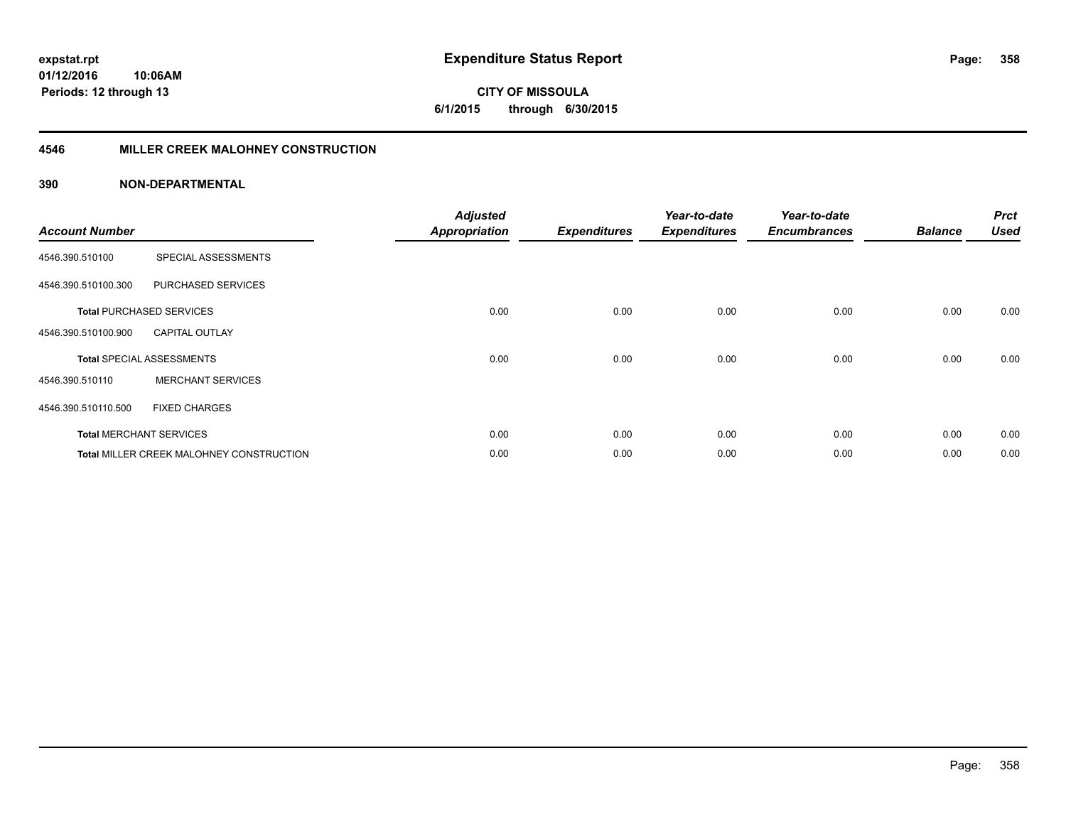**CITY OF MISSOULA 6/1/2015 through 6/30/2015**

### **4546 MILLER CREEK MALOHNEY CONSTRUCTION**

| <b>Account Number</b> |                                          | <b>Adjusted</b><br><b>Appropriation</b> | <b>Expenditures</b> | Year-to-date<br><b>Expenditures</b> | Year-to-date<br><b>Encumbrances</b> | <b>Balance</b> | <b>Prct</b><br><b>Used</b> |
|-----------------------|------------------------------------------|-----------------------------------------|---------------------|-------------------------------------|-------------------------------------|----------------|----------------------------|
| 4546.390.510100       | SPECIAL ASSESSMENTS                      |                                         |                     |                                     |                                     |                |                            |
| 4546.390.510100.300   | PURCHASED SERVICES                       |                                         |                     |                                     |                                     |                |                            |
|                       | <b>Total PURCHASED SERVICES</b>          | 0.00                                    | 0.00                | 0.00                                | 0.00                                | 0.00           | 0.00                       |
| 4546.390.510100.900   | <b>CAPITAL OUTLAY</b>                    |                                         |                     |                                     |                                     |                |                            |
|                       | <b>Total SPECIAL ASSESSMENTS</b>         | 0.00                                    | 0.00                | 0.00                                | 0.00                                | 0.00           | 0.00                       |
| 4546.390.510110       | <b>MERCHANT SERVICES</b>                 |                                         |                     |                                     |                                     |                |                            |
| 4546.390.510110.500   | <b>FIXED CHARGES</b>                     |                                         |                     |                                     |                                     |                |                            |
|                       | <b>Total MERCHANT SERVICES</b>           | 0.00                                    | 0.00                | 0.00                                | 0.00                                | 0.00           | 0.00                       |
|                       | Total MILLER CREEK MALOHNEY CONSTRUCTION | 0.00                                    | 0.00                | 0.00                                | 0.00                                | 0.00           | 0.00                       |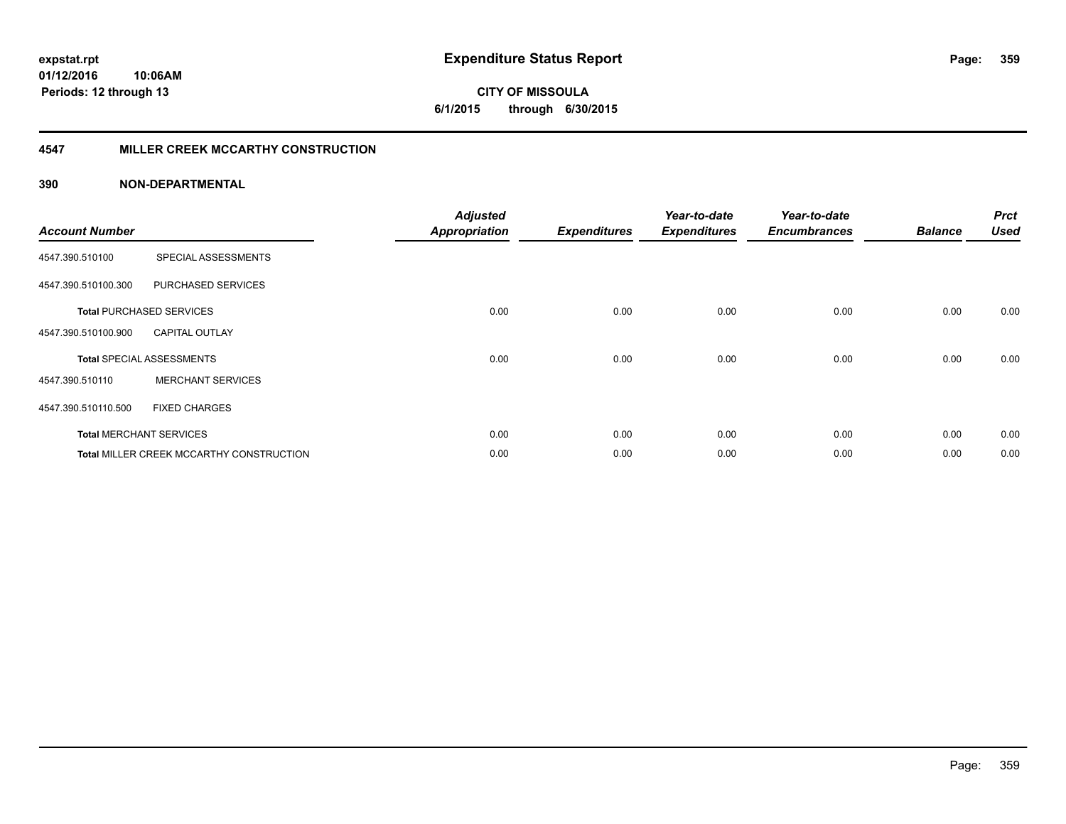**01/12/2016 10:06AM Periods: 12 through 13**

# **CITY OF MISSOULA 6/1/2015 through 6/30/2015**

# **4547 MILLER CREEK MCCARTHY CONSTRUCTION**

| <b>Account Number</b> |                                                 | <b>Adjusted</b><br><b>Appropriation</b> | <b>Expenditures</b> | Year-to-date<br><b>Expenditures</b> | Year-to-date<br><b>Encumbrances</b> | <b>Balance</b> | <b>Prct</b><br><b>Used</b> |
|-----------------------|-------------------------------------------------|-----------------------------------------|---------------------|-------------------------------------|-------------------------------------|----------------|----------------------------|
| 4547.390.510100       | SPECIAL ASSESSMENTS                             |                                         |                     |                                     |                                     |                |                            |
| 4547.390.510100.300   | PURCHASED SERVICES                              |                                         |                     |                                     |                                     |                |                            |
|                       | <b>Total PURCHASED SERVICES</b>                 | 0.00                                    | 0.00                | 0.00                                | 0.00                                | 0.00           | 0.00                       |
| 4547.390.510100.900   | <b>CAPITAL OUTLAY</b>                           |                                         |                     |                                     |                                     |                |                            |
|                       | <b>Total SPECIAL ASSESSMENTS</b>                | 0.00                                    | 0.00                | 0.00                                | 0.00                                | 0.00           | 0.00                       |
| 4547.390.510110       | <b>MERCHANT SERVICES</b>                        |                                         |                     |                                     |                                     |                |                            |
| 4547.390.510110.500   | <b>FIXED CHARGES</b>                            |                                         |                     |                                     |                                     |                |                            |
|                       | <b>Total MERCHANT SERVICES</b>                  | 0.00                                    | 0.00                | 0.00                                | 0.00                                | 0.00           | 0.00                       |
|                       | <b>Total MILLER CREEK MCCARTHY CONSTRUCTION</b> | 0.00                                    | 0.00                | 0.00                                | 0.00                                | 0.00           | 0.00                       |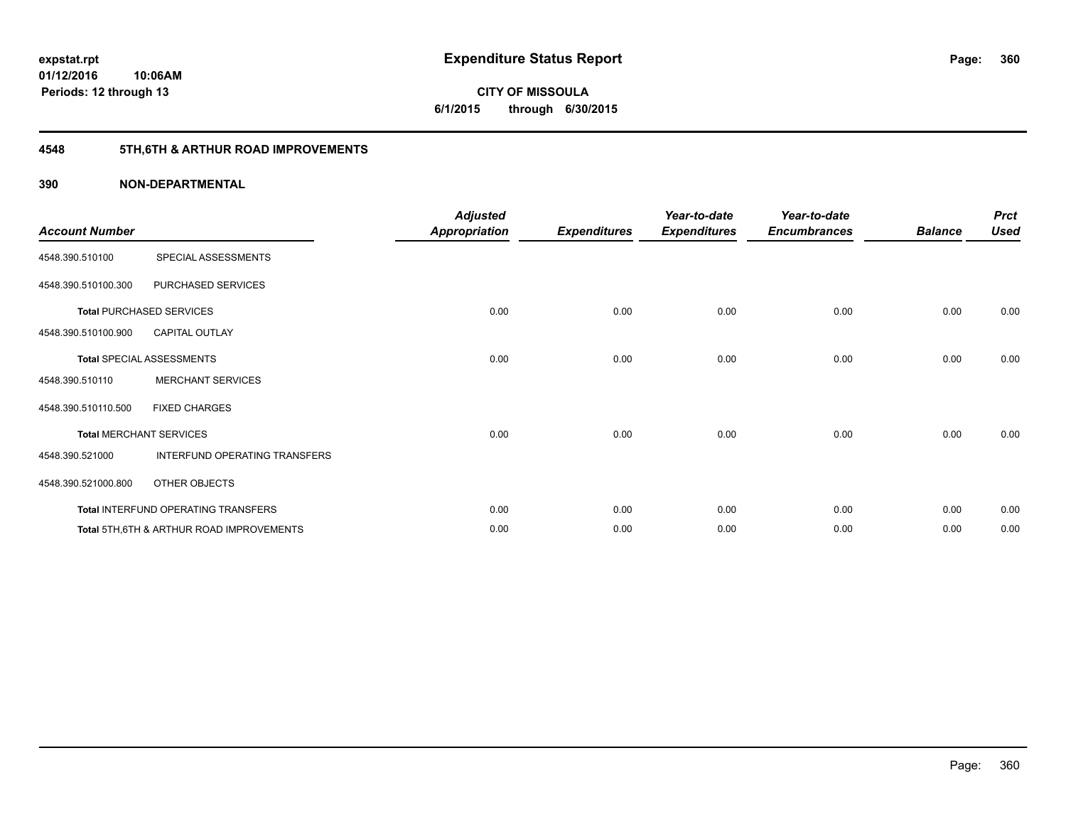**01/12/2016 10:06AM Periods: 12 through 13**

# **CITY OF MISSOULA 6/1/2015 through 6/30/2015**

# **4548 5TH,6TH & ARTHUR ROAD IMPROVEMENTS**

| <b>Account Number</b> |                                          | <b>Adjusted</b><br><b>Appropriation</b> | <b>Expenditures</b> | Year-to-date<br><b>Expenditures</b> | Year-to-date<br><b>Encumbrances</b> | <b>Balance</b> | <b>Prct</b><br><b>Used</b> |
|-----------------------|------------------------------------------|-----------------------------------------|---------------------|-------------------------------------|-------------------------------------|----------------|----------------------------|
| 4548.390.510100       | SPECIAL ASSESSMENTS                      |                                         |                     |                                     |                                     |                |                            |
| 4548.390.510100.300   | PURCHASED SERVICES                       |                                         |                     |                                     |                                     |                |                            |
|                       | <b>Total PURCHASED SERVICES</b>          | 0.00                                    | 0.00                | 0.00                                | 0.00                                | 0.00           | 0.00                       |
| 4548.390.510100.900   | <b>CAPITAL OUTLAY</b>                    |                                         |                     |                                     |                                     |                |                            |
|                       | Total SPECIAL ASSESSMENTS                | 0.00                                    | 0.00                | 0.00                                | 0.00                                | 0.00           | 0.00                       |
| 4548.390.510110       | <b>MERCHANT SERVICES</b>                 |                                         |                     |                                     |                                     |                |                            |
| 4548.390.510110.500   | <b>FIXED CHARGES</b>                     |                                         |                     |                                     |                                     |                |                            |
|                       | <b>Total MERCHANT SERVICES</b>           | 0.00                                    | 0.00                | 0.00                                | 0.00                                | 0.00           | 0.00                       |
| 4548.390.521000       | INTERFUND OPERATING TRANSFERS            |                                         |                     |                                     |                                     |                |                            |
| 4548.390.521000.800   | OTHER OBJECTS                            |                                         |                     |                                     |                                     |                |                            |
|                       | Total INTERFUND OPERATING TRANSFERS      | 0.00                                    | 0.00                | 0.00                                | 0.00                                | 0.00           | 0.00                       |
|                       | Total 5TH.6TH & ARTHUR ROAD IMPROVEMENTS | 0.00                                    | 0.00                | 0.00                                | 0.00                                | 0.00           | 0.00                       |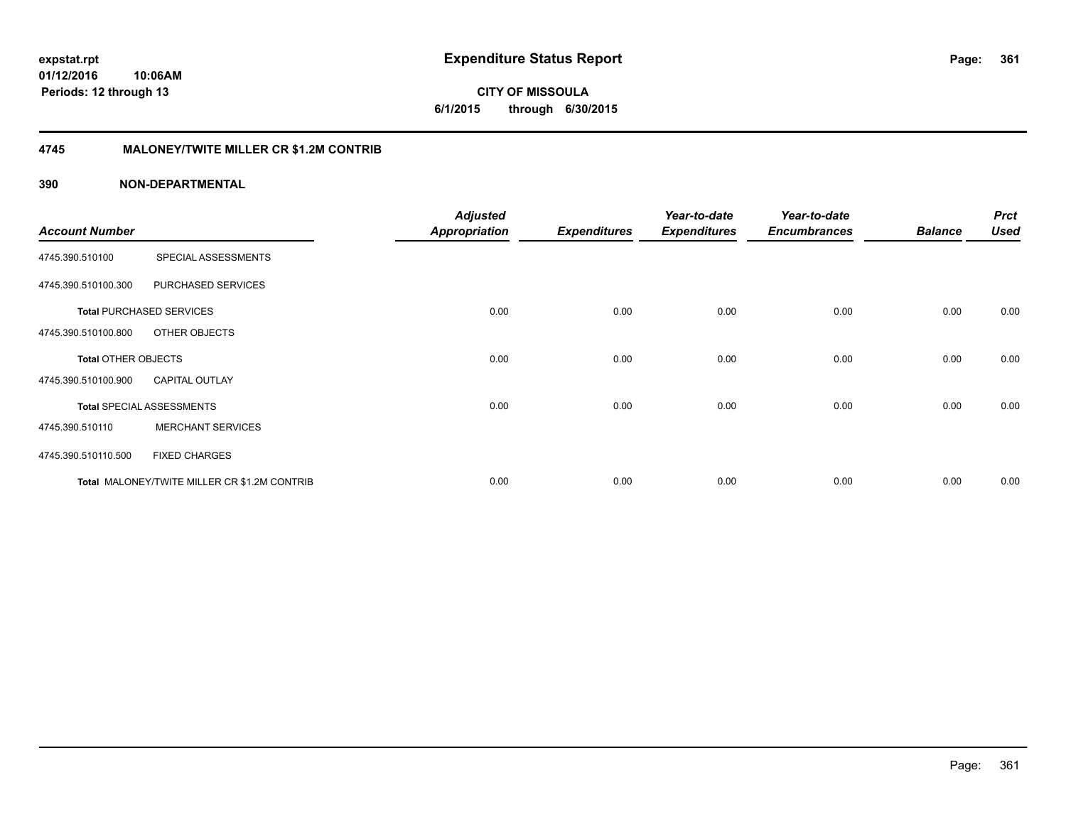**CITY OF MISSOULA 6/1/2015 through 6/30/2015**

### **4745 MALONEY/TWITE MILLER CR \$1.2M CONTRIB**

| <b>Account Number</b>      |                                              | <b>Adjusted</b><br><b>Appropriation</b> | <b>Expenditures</b> | Year-to-date<br><b>Expenditures</b> | Year-to-date<br><b>Encumbrances</b> | <b>Balance</b> | <b>Prct</b><br><b>Used</b> |
|----------------------------|----------------------------------------------|-----------------------------------------|---------------------|-------------------------------------|-------------------------------------|----------------|----------------------------|
|                            |                                              |                                         |                     |                                     |                                     |                |                            |
| 4745.390.510100            | SPECIAL ASSESSMENTS                          |                                         |                     |                                     |                                     |                |                            |
| 4745.390.510100.300        | PURCHASED SERVICES                           |                                         |                     |                                     |                                     |                |                            |
|                            | <b>Total PURCHASED SERVICES</b>              | 0.00                                    | 0.00                | 0.00                                | 0.00                                | 0.00           | 0.00                       |
| 4745.390.510100.800        | OTHER OBJECTS                                |                                         |                     |                                     |                                     |                |                            |
| <b>Total OTHER OBJECTS</b> |                                              | 0.00                                    | 0.00                | 0.00                                | 0.00                                | 0.00           | 0.00                       |
| 4745.390.510100.900        | <b>CAPITAL OUTLAY</b>                        |                                         |                     |                                     |                                     |                |                            |
|                            | <b>Total SPECIAL ASSESSMENTS</b>             | 0.00                                    | 0.00                | 0.00                                | 0.00                                | 0.00           | 0.00                       |
| 4745.390.510110            | <b>MERCHANT SERVICES</b>                     |                                         |                     |                                     |                                     |                |                            |
| 4745.390.510110.500        | <b>FIXED CHARGES</b>                         |                                         |                     |                                     |                                     |                |                            |
|                            | Total MALONEY/TWITE MILLER CR \$1.2M CONTRIB | 0.00                                    | 0.00                | 0.00                                | 0.00                                | 0.00           | 0.00                       |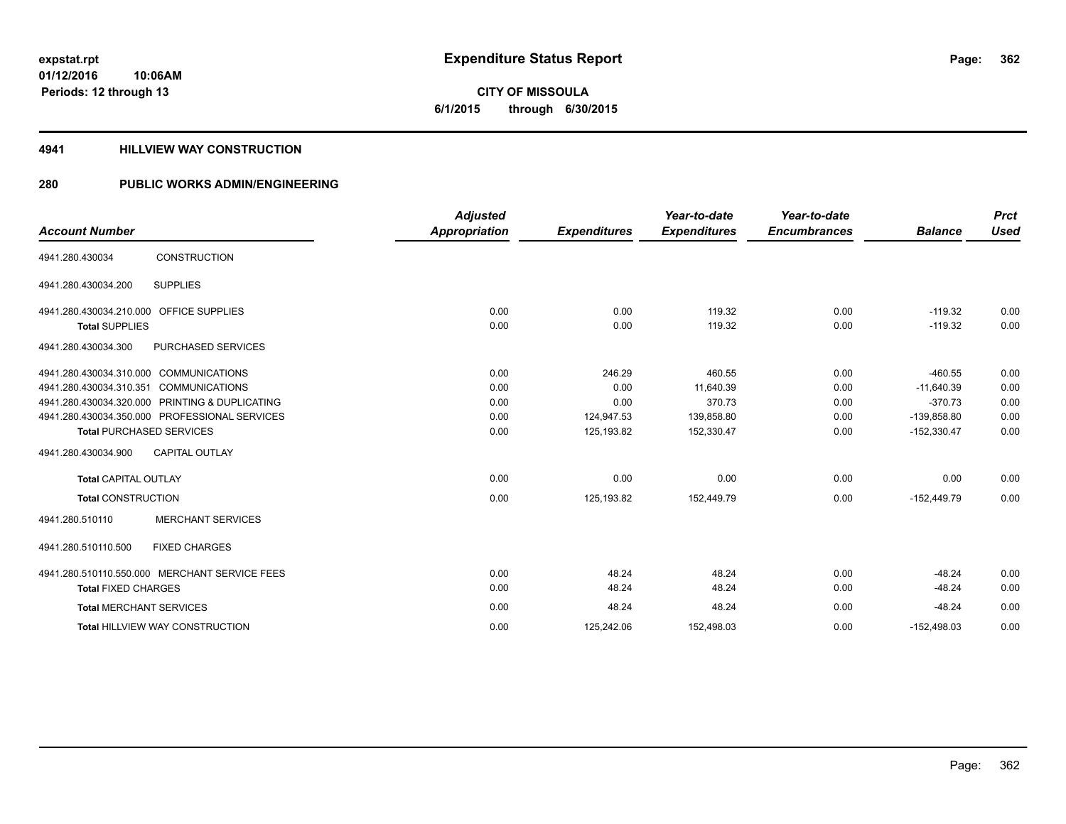**CITY OF MISSOULA 6/1/2015 through 6/30/2015**

#### **4941 HILLVIEW WAY CONSTRUCTION**

### **280 PUBLIC WORKS ADMIN/ENGINEERING**

| <b>Account Number</b>                   |                                               | <b>Adjusted</b><br><b>Appropriation</b> | <b>Expenditures</b> | Year-to-date<br><b>Expenditures</b> | Year-to-date<br><b>Encumbrances</b> | <b>Balance</b> | <b>Prct</b><br><b>Used</b> |
|-----------------------------------------|-----------------------------------------------|-----------------------------------------|---------------------|-------------------------------------|-------------------------------------|----------------|----------------------------|
| 4941.280.430034                         | <b>CONSTRUCTION</b>                           |                                         |                     |                                     |                                     |                |                            |
| 4941.280.430034.200                     | <b>SUPPLIES</b>                               |                                         |                     |                                     |                                     |                |                            |
| 4941.280.430034.210.000 OFFICE SUPPLIES |                                               | 0.00                                    | 0.00                | 119.32                              | 0.00                                | $-119.32$      | 0.00                       |
| <b>Total SUPPLIES</b>                   |                                               | 0.00                                    | 0.00                | 119.32                              | 0.00                                | $-119.32$      | 0.00                       |
| 4941.280.430034.300                     | <b>PURCHASED SERVICES</b>                     |                                         |                     |                                     |                                     |                |                            |
| 4941.280.430034.310.000 COMMUNICATIONS  |                                               | 0.00                                    | 246.29              | 460.55                              | 0.00                                | $-460.55$      | 0.00                       |
| 4941.280.430034.310.351 COMMUNICATIONS  |                                               | 0.00                                    | 0.00                | 11,640.39                           | 0.00                                | $-11,640.39$   | 0.00                       |
| 4941.280.430034.320.000                 | PRINTING & DUPLICATING                        | 0.00                                    | 0.00                | 370.73                              | 0.00                                | $-370.73$      | 0.00                       |
|                                         | 4941.280.430034.350.000 PROFESSIONAL SERVICES | 0.00                                    | 124,947.53          | 139,858.80                          | 0.00                                | -139,858.80    | 0.00                       |
|                                         | <b>Total PURCHASED SERVICES</b>               | 0.00                                    | 125,193.82          | 152,330.47                          | 0.00                                | $-152,330.47$  | 0.00                       |
| 4941.280.430034.900                     | <b>CAPITAL OUTLAY</b>                         |                                         |                     |                                     |                                     |                |                            |
| <b>Total CAPITAL OUTLAY</b>             |                                               | 0.00                                    | 0.00                | 0.00                                | 0.00                                | 0.00           | 0.00                       |
| <b>Total CONSTRUCTION</b>               |                                               | 0.00                                    | 125,193.82          | 152,449.79                          | 0.00                                | $-152,449.79$  | 0.00                       |
| 4941.280.510110                         | <b>MERCHANT SERVICES</b>                      |                                         |                     |                                     |                                     |                |                            |
| 4941.280.510110.500                     | <b>FIXED CHARGES</b>                          |                                         |                     |                                     |                                     |                |                            |
|                                         | 4941.280.510110.550.000 MERCHANT SERVICE FEES | 0.00                                    | 48.24               | 48.24                               | 0.00                                | $-48.24$       | 0.00                       |
| <b>Total FIXED CHARGES</b>              |                                               | 0.00                                    | 48.24               | 48.24                               | 0.00                                | $-48.24$       | 0.00                       |
| <b>Total MERCHANT SERVICES</b>          |                                               | 0.00                                    | 48.24               | 48.24                               | 0.00                                | $-48.24$       | 0.00                       |
|                                         | Total HILLVIEW WAY CONSTRUCTION               | 0.00                                    | 125,242.06          | 152,498.03                          | 0.00                                | $-152,498.03$  | 0.00                       |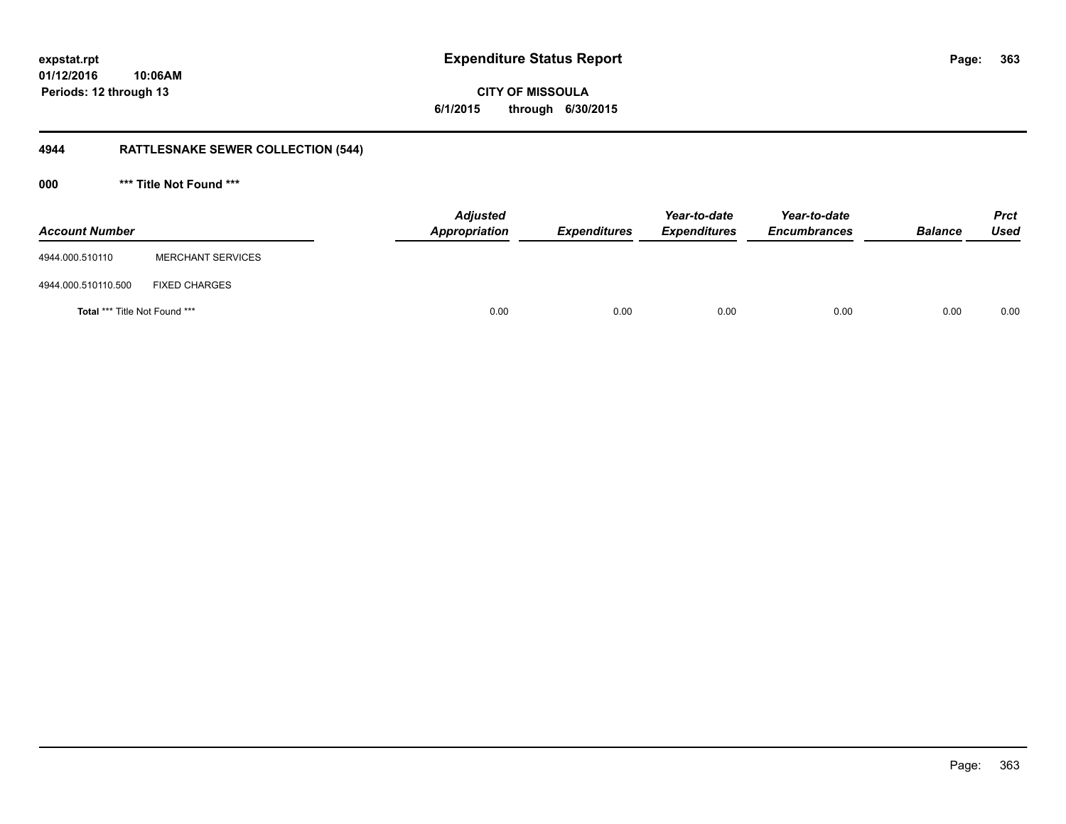**363**

**01/12/2016 10:06AM Periods: 12 through 13**

**CITY OF MISSOULA 6/1/2015 through 6/30/2015**

## **4944 RATTLESNAKE SEWER COLLECTION (544)**

**000 \*\*\* Title Not Found \*\*\***

| <b>Account Number</b>         |                          | <b>Adjusted</b><br>Appropriation | <b>Expenditures</b> | Year-to-date<br><b>Expenditures</b> | Year-to-date<br><b>Encumbrances</b> | <b>Balance</b> | <b>Prct</b><br>Used |
|-------------------------------|--------------------------|----------------------------------|---------------------|-------------------------------------|-------------------------------------|----------------|---------------------|
| 4944.000.510110               | <b>MERCHANT SERVICES</b> |                                  |                     |                                     |                                     |                |                     |
| 4944.000.510110.500           | <b>FIXED CHARGES</b>     |                                  |                     |                                     |                                     |                |                     |
| Total *** Title Not Found *** |                          | 0.00                             | 0.00                | 0.00                                | 0.00                                | 0.00           | 0.00                |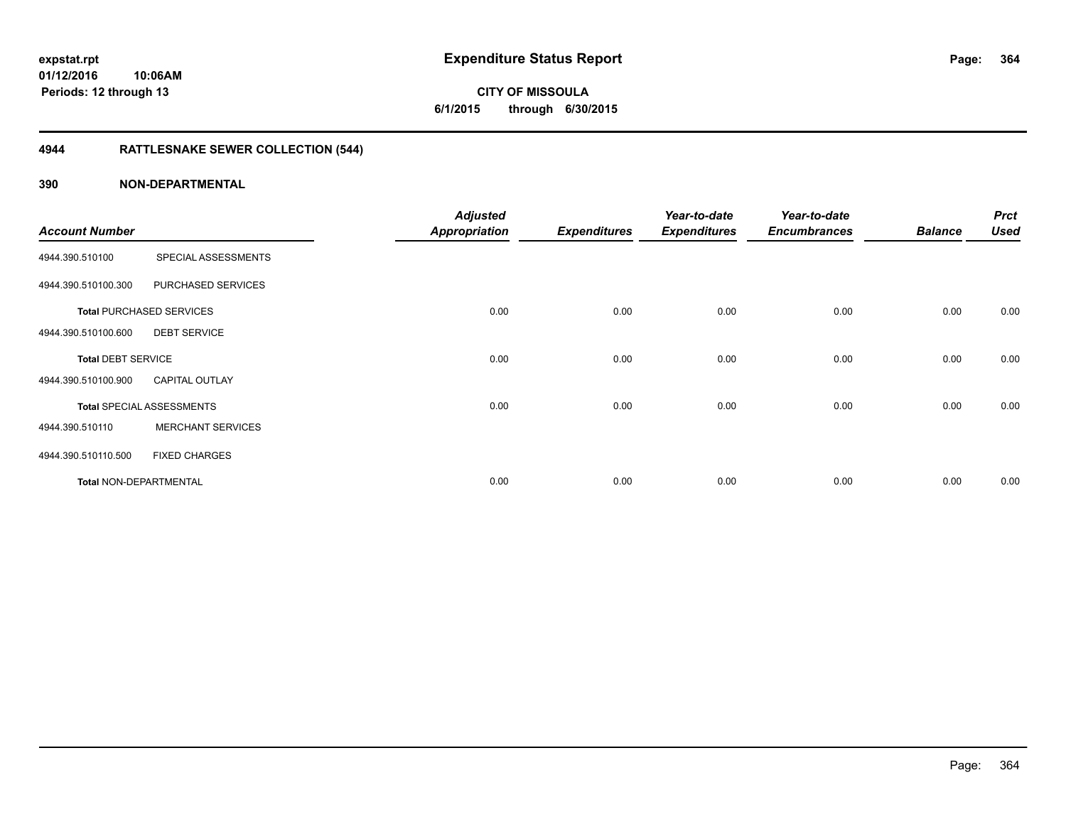**CITY OF MISSOULA 6/1/2015 through 6/30/2015**

## **4944 RATTLESNAKE SEWER COLLECTION (544)**

| <b>Account Number</b>     |                                  | <b>Adjusted</b><br><b>Appropriation</b> | <b>Expenditures</b> | Year-to-date<br><b>Expenditures</b> | Year-to-date<br><b>Encumbrances</b> | <b>Balance</b> | <b>Prct</b><br><b>Used</b> |
|---------------------------|----------------------------------|-----------------------------------------|---------------------|-------------------------------------|-------------------------------------|----------------|----------------------------|
| 4944.390.510100           | SPECIAL ASSESSMENTS              |                                         |                     |                                     |                                     |                |                            |
| 4944.390.510100.300       | PURCHASED SERVICES               |                                         |                     |                                     |                                     |                |                            |
|                           | <b>Total PURCHASED SERVICES</b>  | 0.00                                    | 0.00                | 0.00                                | 0.00                                | 0.00           | 0.00                       |
| 4944.390.510100.600       | <b>DEBT SERVICE</b>              |                                         |                     |                                     |                                     |                |                            |
| <b>Total DEBT SERVICE</b> |                                  | 0.00                                    | 0.00                | 0.00                                | 0.00                                | 0.00           | 0.00                       |
| 4944.390.510100.900       | <b>CAPITAL OUTLAY</b>            |                                         |                     |                                     |                                     |                |                            |
|                           | <b>Total SPECIAL ASSESSMENTS</b> | 0.00                                    | 0.00                | 0.00                                | 0.00                                | 0.00           | 0.00                       |
| 4944.390.510110           | <b>MERCHANT SERVICES</b>         |                                         |                     |                                     |                                     |                |                            |
| 4944.390.510110.500       | <b>FIXED CHARGES</b>             |                                         |                     |                                     |                                     |                |                            |
| Total NON-DEPARTMENTAL    |                                  | 0.00                                    | 0.00                | 0.00                                | 0.00                                | 0.00           | 0.00                       |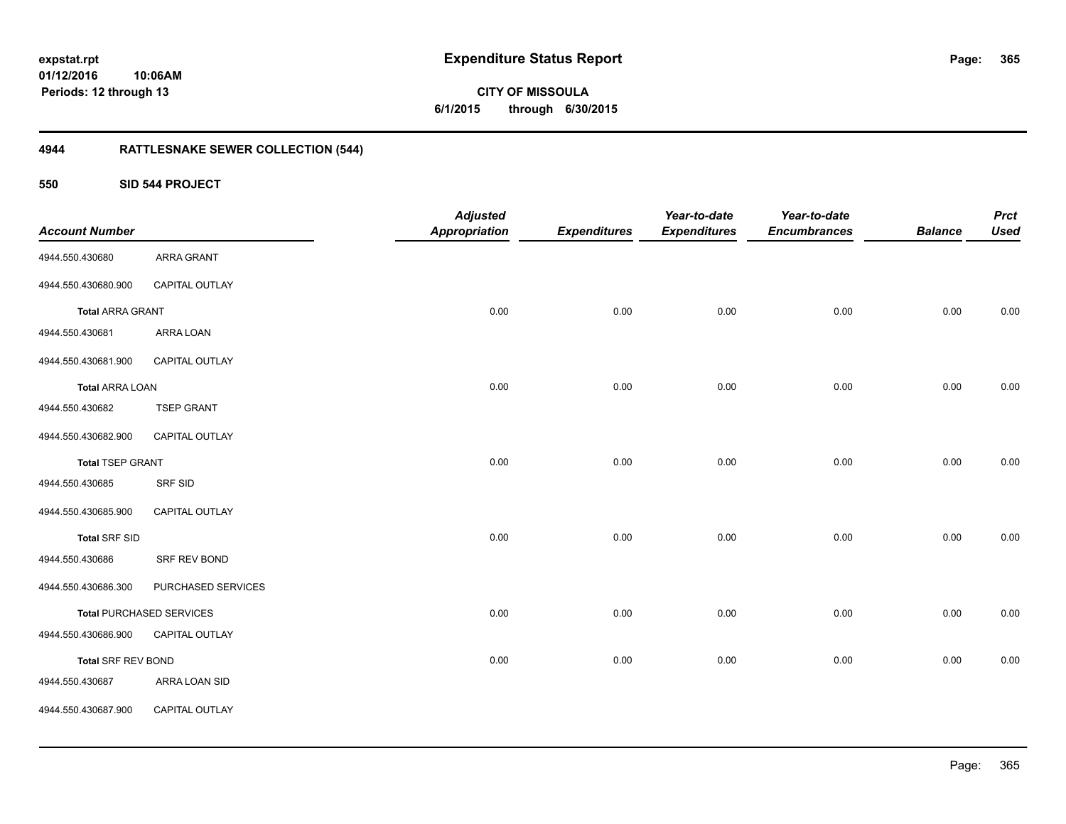## **4944 RATTLESNAKE SEWER COLLECTION (544)**

### **550 SID 544 PROJECT**

| <b>Account Number</b>     |                                 | <b>Adjusted</b><br><b>Appropriation</b> | <b>Expenditures</b> | Year-to-date<br><b>Expenditures</b> | Year-to-date<br><b>Encumbrances</b> | <b>Balance</b> | <b>Prct</b><br><b>Used</b> |
|---------------------------|---------------------------------|-----------------------------------------|---------------------|-------------------------------------|-------------------------------------|----------------|----------------------------|
| 4944.550.430680           | ARRA GRANT                      |                                         |                     |                                     |                                     |                |                            |
| 4944.550.430680.900       | CAPITAL OUTLAY                  |                                         |                     |                                     |                                     |                |                            |
| <b>Total ARRA GRANT</b>   |                                 | 0.00                                    | 0.00                | 0.00                                | 0.00                                | 0.00           | 0.00                       |
| 4944.550.430681           | ARRA LOAN                       |                                         |                     |                                     |                                     |                |                            |
| 4944.550.430681.900       | CAPITAL OUTLAY                  |                                         |                     |                                     |                                     |                |                            |
| <b>Total ARRA LOAN</b>    |                                 | 0.00                                    | 0.00                | 0.00                                | 0.00                                | 0.00           | 0.00                       |
| 4944.550.430682           | <b>TSEP GRANT</b>               |                                         |                     |                                     |                                     |                |                            |
| 4944.550.430682.900       | CAPITAL OUTLAY                  |                                         |                     |                                     |                                     |                |                            |
| <b>Total TSEP GRANT</b>   |                                 | 0.00                                    | 0.00                | 0.00                                | 0.00                                | 0.00           | 0.00                       |
| 4944.550.430685           | SRF SID                         |                                         |                     |                                     |                                     |                |                            |
| 4944.550.430685.900       | CAPITAL OUTLAY                  |                                         |                     |                                     |                                     |                |                            |
| <b>Total SRF SID</b>      |                                 | 0.00                                    | 0.00                | 0.00                                | 0.00                                | 0.00           | 0.00                       |
| 4944.550.430686           | SRF REV BOND                    |                                         |                     |                                     |                                     |                |                            |
| 4944.550.430686.300       | PURCHASED SERVICES              |                                         |                     |                                     |                                     |                |                            |
|                           | <b>Total PURCHASED SERVICES</b> | 0.00                                    | 0.00                | 0.00                                | 0.00                                | 0.00           | 0.00                       |
| 4944.550.430686.900       | CAPITAL OUTLAY                  |                                         |                     |                                     |                                     |                |                            |
| <b>Total SRF REV BOND</b> |                                 | 0.00                                    | 0.00                | 0.00                                | 0.00                                | 0.00           | 0.00                       |
| 4944.550.430687           | ARRA LOAN SID                   |                                         |                     |                                     |                                     |                |                            |
| 4944.550.430687.900       | CAPITAL OUTLAY                  |                                         |                     |                                     |                                     |                |                            |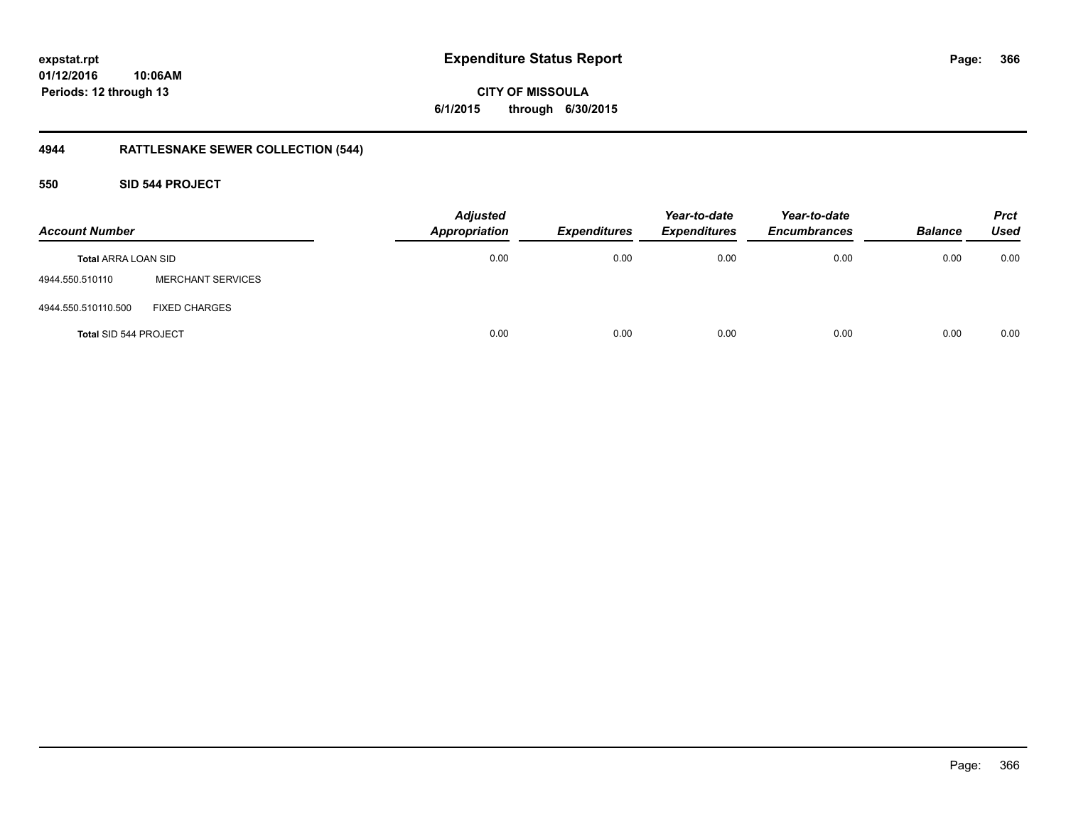**CITY OF MISSOULA 6/1/2015 through 6/30/2015**

## **4944 RATTLESNAKE SEWER COLLECTION (544)**

### **550 SID 544 PROJECT**

| <b>Account Number</b>        |                          | <b>Adjusted</b><br><b>Appropriation</b> | <b>Expenditures</b> | Year-to-date<br><b>Expenditures</b> | Year-to-date<br><b>Encumbrances</b> | <b>Balance</b> | <b>Prct</b><br><b>Used</b> |
|------------------------------|--------------------------|-----------------------------------------|---------------------|-------------------------------------|-------------------------------------|----------------|----------------------------|
| <b>Total ARRA LOAN SID</b>   |                          | 0.00                                    | 0.00                | 0.00                                | 0.00                                | 0.00           | 0.00                       |
| 4944.550.510110              | <b>MERCHANT SERVICES</b> |                                         |                     |                                     |                                     |                |                            |
| 4944.550.510110.500          | <b>FIXED CHARGES</b>     |                                         |                     |                                     |                                     |                |                            |
| <b>Total SID 544 PROJECT</b> |                          | 0.00                                    | 0.00                | 0.00                                | 0.00                                | 0.00           | 0.00                       |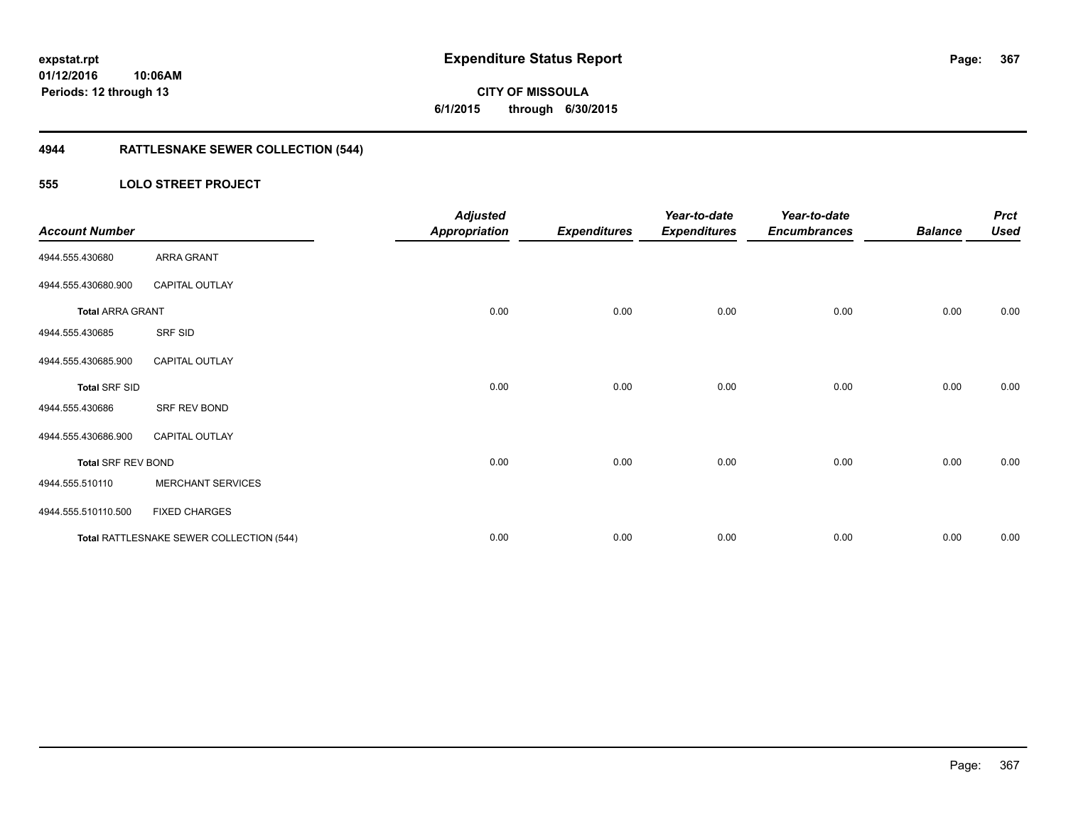**367**

**01/12/2016 10:06AM Periods: 12 through 13**

# **CITY OF MISSOULA 6/1/2015 through 6/30/2015**

## **4944 RATTLESNAKE SEWER COLLECTION (544)**

### **555 LOLO STREET PROJECT**

| <b>Account Number</b>     |                                          | <b>Adjusted</b><br><b>Appropriation</b> | <b>Expenditures</b> | Year-to-date<br><b>Expenditures</b> | Year-to-date<br><b>Encumbrances</b> | <b>Balance</b> | <b>Prct</b><br><b>Used</b> |
|---------------------------|------------------------------------------|-----------------------------------------|---------------------|-------------------------------------|-------------------------------------|----------------|----------------------------|
| 4944.555.430680           | ARRA GRANT                               |                                         |                     |                                     |                                     |                |                            |
| 4944.555.430680.900       | <b>CAPITAL OUTLAY</b>                    |                                         |                     |                                     |                                     |                |                            |
| <b>Total ARRA GRANT</b>   |                                          | 0.00                                    | 0.00                | 0.00                                | 0.00                                | 0.00           | 0.00                       |
| 4944.555.430685           | SRF SID                                  |                                         |                     |                                     |                                     |                |                            |
| 4944.555.430685.900       | <b>CAPITAL OUTLAY</b>                    |                                         |                     |                                     |                                     |                |                            |
| <b>Total SRF SID</b>      |                                          | 0.00                                    | 0.00                | 0.00                                | 0.00                                | 0.00           | 0.00                       |
| 4944.555.430686           | SRF REV BOND                             |                                         |                     |                                     |                                     |                |                            |
| 4944.555.430686.900       | <b>CAPITAL OUTLAY</b>                    |                                         |                     |                                     |                                     |                |                            |
| <b>Total SRF REV BOND</b> |                                          | 0.00                                    | 0.00                | 0.00                                | 0.00                                | 0.00           | 0.00                       |
| 4944.555.510110           | <b>MERCHANT SERVICES</b>                 |                                         |                     |                                     |                                     |                |                            |
| 4944.555.510110.500       | <b>FIXED CHARGES</b>                     |                                         |                     |                                     |                                     |                |                            |
|                           | Total RATTLESNAKE SEWER COLLECTION (544) | 0.00                                    | 0.00                | 0.00                                | 0.00                                | 0.00           | 0.00                       |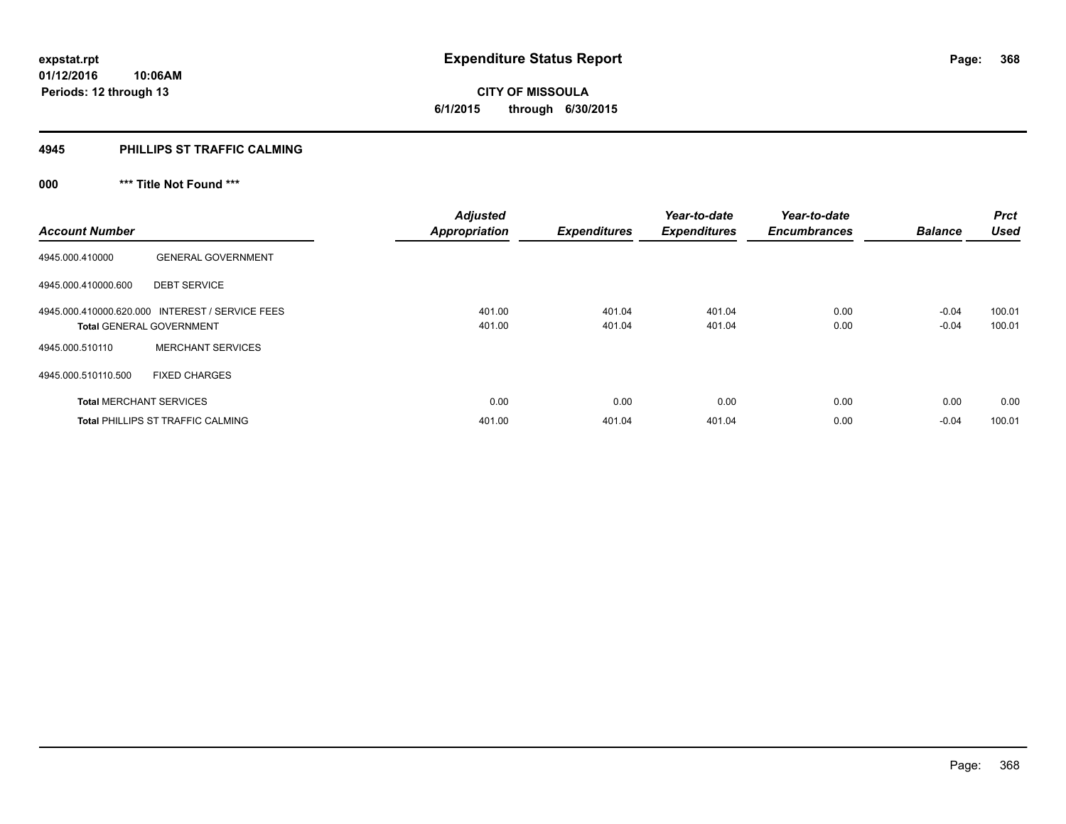**368**

**01/12/2016 10:06AM Periods: 12 through 13**

**CITY OF MISSOULA 6/1/2015 through 6/30/2015**

#### **4945 PHILLIPS ST TRAFFIC CALMING**

## **000 \*\*\* Title Not Found \*\*\***

| <b>Account Number</b>          |                                                                                    | <b>Adjusted</b><br><b>Appropriation</b> | <b>Expenditures</b> | Year-to-date<br><b>Expenditures</b> | Year-to-date<br><b>Encumbrances</b> | <b>Balance</b>     | <b>Prct</b><br><b>Used</b> |
|--------------------------------|------------------------------------------------------------------------------------|-----------------------------------------|---------------------|-------------------------------------|-------------------------------------|--------------------|----------------------------|
| 4945.000.410000                | <b>GENERAL GOVERNMENT</b>                                                          |                                         |                     |                                     |                                     |                    |                            |
| 4945.000.410000.600            | <b>DEBT SERVICE</b>                                                                |                                         |                     |                                     |                                     |                    |                            |
|                                | 4945.000.410000.620.000 INTEREST / SERVICE FEES<br><b>Total GENERAL GOVERNMENT</b> | 401.00<br>401.00                        | 401.04<br>401.04    | 401.04<br>401.04                    | 0.00<br>0.00                        | $-0.04$<br>$-0.04$ | 100.01<br>100.01           |
| 4945.000.510110                | <b>MERCHANT SERVICES</b>                                                           |                                         |                     |                                     |                                     |                    |                            |
| 4945.000.510110.500            | <b>FIXED CHARGES</b>                                                               |                                         |                     |                                     |                                     |                    |                            |
| <b>Total MERCHANT SERVICES</b> |                                                                                    | 0.00                                    | 0.00                | 0.00                                | 0.00                                | 0.00               | 0.00                       |
|                                | <b>Total PHILLIPS ST TRAFFIC CALMING</b>                                           | 401.00                                  | 401.04              | 401.04                              | 0.00                                | $-0.04$            | 100.01                     |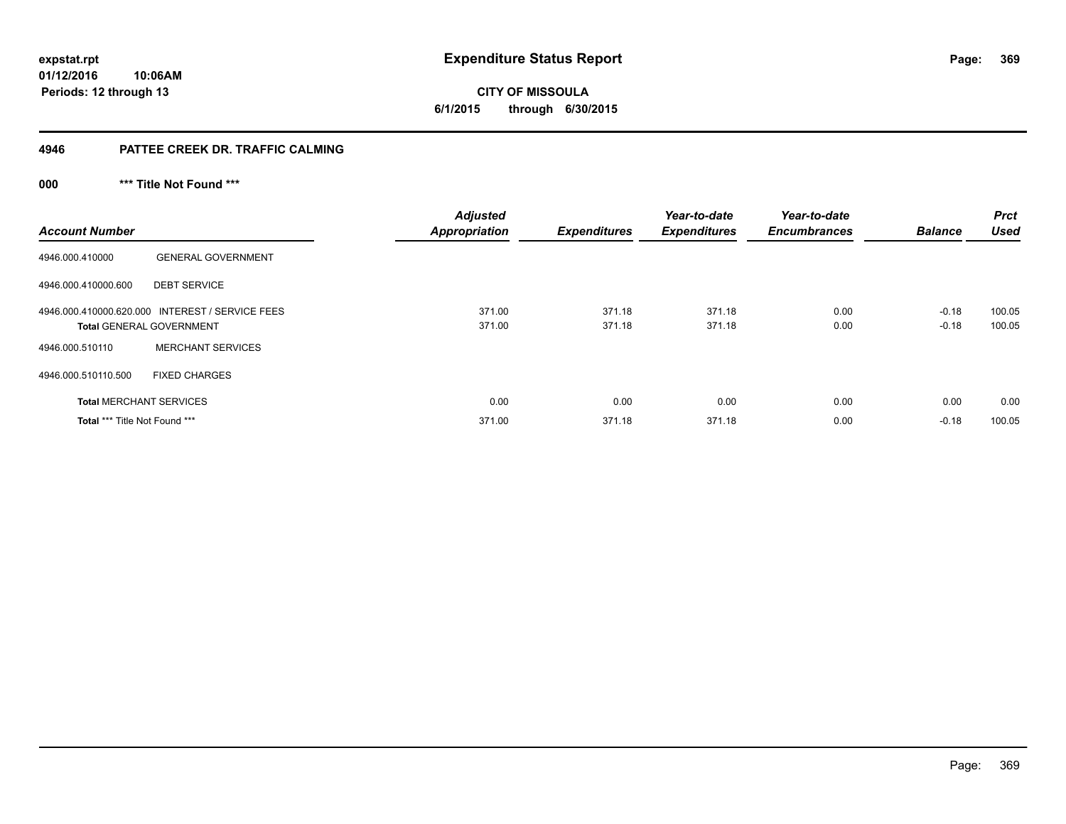# **CITY OF MISSOULA 6/1/2015 through 6/30/2015**

### **4946 PATTEE CREEK DR. TRAFFIC CALMING**

## **000 \*\*\* Title Not Found \*\*\***

| <b>Account Number</b>                |                                                                                    | <b>Adjusted</b><br><b>Appropriation</b> | <b>Expenditures</b> | Year-to-date<br><b>Expenditures</b> | Year-to-date<br><b>Encumbrances</b> | <b>Balance</b>     | <b>Prct</b><br><b>Used</b> |
|--------------------------------------|------------------------------------------------------------------------------------|-----------------------------------------|---------------------|-------------------------------------|-------------------------------------|--------------------|----------------------------|
| 4946.000.410000                      | <b>GENERAL GOVERNMENT</b>                                                          |                                         |                     |                                     |                                     |                    |                            |
| 4946.000.410000.600                  | <b>DEBT SERVICE</b>                                                                |                                         |                     |                                     |                                     |                    |                            |
|                                      | 4946.000.410000.620.000 INTEREST / SERVICE FEES<br><b>Total GENERAL GOVERNMENT</b> | 371.00<br>371.00                        | 371.18<br>371.18    | 371.18<br>371.18                    | 0.00<br>0.00                        | $-0.18$<br>$-0.18$ | 100.05<br>100.05           |
| 4946.000.510110                      | <b>MERCHANT SERVICES</b>                                                           |                                         |                     |                                     |                                     |                    |                            |
| 4946.000.510110.500                  | <b>FIXED CHARGES</b>                                                               |                                         |                     |                                     |                                     |                    |                            |
| <b>Total MERCHANT SERVICES</b>       |                                                                                    | 0.00                                    | 0.00                | 0.00                                | 0.00                                | 0.00               | 0.00                       |
| <b>Total *** Title Not Found ***</b> |                                                                                    | 371.00                                  | 371.18              | 371.18                              | 0.00                                | $-0.18$            | 100.05                     |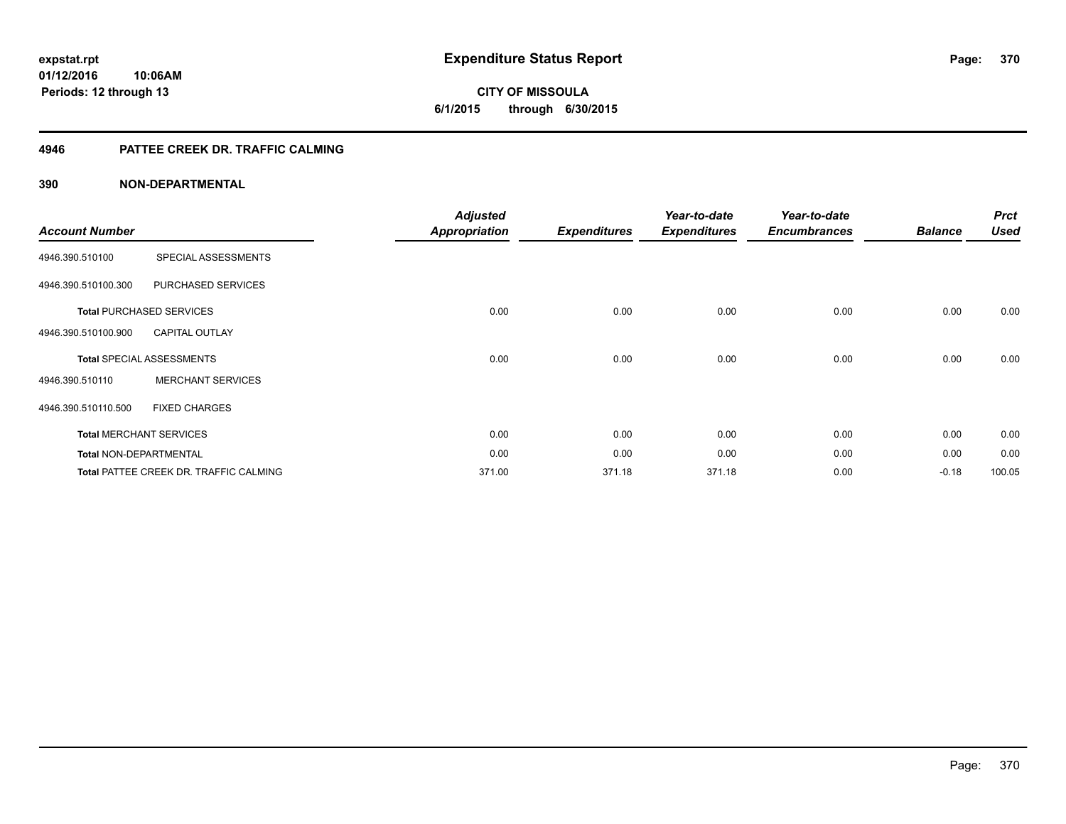**CITY OF MISSOULA 6/1/2015 through 6/30/2015**

#### **4946 PATTEE CREEK DR. TRAFFIC CALMING**

|                               |                                        | <b>Adjusted</b>      |                     | Year-to-date        | Year-to-date        |                | <b>Prct</b> |
|-------------------------------|----------------------------------------|----------------------|---------------------|---------------------|---------------------|----------------|-------------|
| <b>Account Number</b>         |                                        | <b>Appropriation</b> | <b>Expenditures</b> | <b>Expenditures</b> | <b>Encumbrances</b> | <b>Balance</b> | <b>Used</b> |
| 4946.390.510100               | SPECIAL ASSESSMENTS                    |                      |                     |                     |                     |                |             |
| 4946.390.510100.300           | PURCHASED SERVICES                     |                      |                     |                     |                     |                |             |
|                               | <b>Total PURCHASED SERVICES</b>        | 0.00                 | 0.00                | 0.00                | 0.00                | 0.00           | 0.00        |
| 4946.390.510100.900           | <b>CAPITAL OUTLAY</b>                  |                      |                     |                     |                     |                |             |
|                               | <b>Total SPECIAL ASSESSMENTS</b>       | 0.00                 | 0.00                | 0.00                | 0.00                | 0.00           | 0.00        |
| 4946.390.510110               | <b>MERCHANT SERVICES</b>               |                      |                     |                     |                     |                |             |
| 4946.390.510110.500           | <b>FIXED CHARGES</b>                   |                      |                     |                     |                     |                |             |
|                               | <b>Total MERCHANT SERVICES</b>         | 0.00                 | 0.00                | 0.00                | 0.00                | 0.00           | 0.00        |
| <b>Total NON-DEPARTMENTAL</b> |                                        | 0.00                 | 0.00                | 0.00                | 0.00                | 0.00           | 0.00        |
|                               | Total PATTEE CREEK DR. TRAFFIC CALMING | 371.00               | 371.18              | 371.18              | 0.00                | $-0.18$        | 100.05      |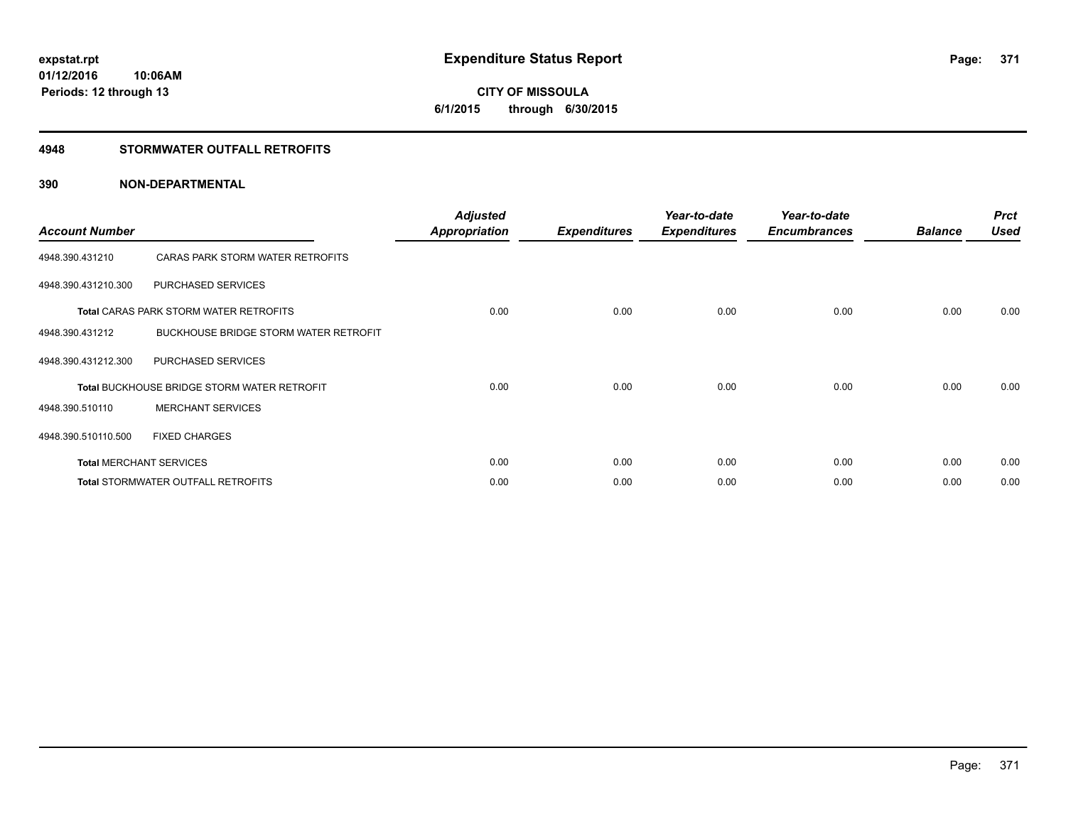# **CITY OF MISSOULA 6/1/2015 through 6/30/2015**

### **4948 STORMWATER OUTFALL RETROFITS**

| <b>Account Number</b> |                                                    | <b>Adjusted</b><br><b>Appropriation</b> | <b>Expenditures</b> | Year-to-date<br><b>Expenditures</b> | Year-to-date<br><b>Encumbrances</b> | <b>Balance</b> | <b>Prct</b><br><b>Used</b> |
|-----------------------|----------------------------------------------------|-----------------------------------------|---------------------|-------------------------------------|-------------------------------------|----------------|----------------------------|
| 4948.390.431210       | CARAS PARK STORM WATER RETROFITS                   |                                         |                     |                                     |                                     |                |                            |
| 4948.390.431210.300   | PURCHASED SERVICES                                 |                                         |                     |                                     |                                     |                |                            |
|                       | <b>Total CARAS PARK STORM WATER RETROFITS</b>      | 0.00                                    | 0.00                | 0.00                                | 0.00                                | 0.00           | 0.00                       |
| 4948.390.431212       | <b>BUCKHOUSE BRIDGE STORM WATER RETROFIT</b>       |                                         |                     |                                     |                                     |                |                            |
| 4948.390.431212.300   | PURCHASED SERVICES                                 |                                         |                     |                                     |                                     |                |                            |
|                       | <b>Total BUCKHOUSE BRIDGE STORM WATER RETROFIT</b> | 0.00                                    | 0.00                | 0.00                                | 0.00                                | 0.00           | 0.00                       |
| 4948.390.510110       | <b>MERCHANT SERVICES</b>                           |                                         |                     |                                     |                                     |                |                            |
| 4948.390.510110.500   | <b>FIXED CHARGES</b>                               |                                         |                     |                                     |                                     |                |                            |
|                       | <b>Total MERCHANT SERVICES</b>                     | 0.00                                    | 0.00                | 0.00                                | 0.00                                | 0.00           | 0.00                       |
|                       | Total STORMWATER OUTFALL RETROFITS                 | 0.00                                    | 0.00                | 0.00                                | 0.00                                | 0.00           | 0.00                       |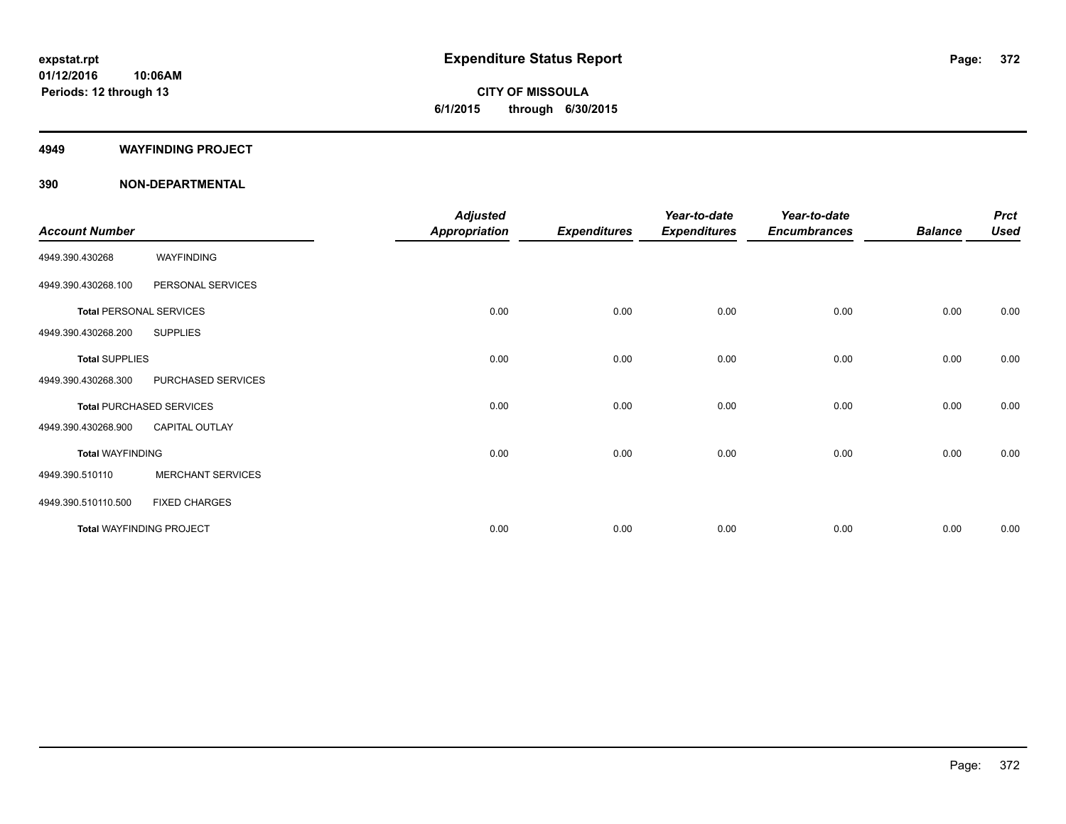**CITY OF MISSOULA 6/1/2015 through 6/30/2015**

#### **4949 WAYFINDING PROJECT**

| <b>Account Number</b>   |                                 | <b>Adjusted</b><br><b>Appropriation</b> | <b>Expenditures</b> | Year-to-date<br><b>Expenditures</b> | Year-to-date<br><b>Encumbrances</b> | <b>Balance</b> | <b>Prct</b><br><b>Used</b> |
|-------------------------|---------------------------------|-----------------------------------------|---------------------|-------------------------------------|-------------------------------------|----------------|----------------------------|
| 4949.390.430268         | WAYFINDING                      |                                         |                     |                                     |                                     |                |                            |
| 4949.390.430268.100     | PERSONAL SERVICES               |                                         |                     |                                     |                                     |                |                            |
|                         | <b>Total PERSONAL SERVICES</b>  | 0.00                                    | 0.00                | 0.00                                | 0.00                                | 0.00           | 0.00                       |
| 4949.390.430268.200     | <b>SUPPLIES</b>                 |                                         |                     |                                     |                                     |                |                            |
| <b>Total SUPPLIES</b>   |                                 | 0.00                                    | 0.00                | 0.00                                | 0.00                                | 0.00           | 0.00                       |
| 4949.390.430268.300     | PURCHASED SERVICES              |                                         |                     |                                     |                                     |                |                            |
|                         | <b>Total PURCHASED SERVICES</b> | 0.00                                    | 0.00                | 0.00                                | 0.00                                | 0.00           | 0.00                       |
| 4949.390.430268.900     | <b>CAPITAL OUTLAY</b>           |                                         |                     |                                     |                                     |                |                            |
| <b>Total WAYFINDING</b> |                                 | 0.00                                    | 0.00                | 0.00                                | 0.00                                | 0.00           | 0.00                       |
| 4949.390.510110         | <b>MERCHANT SERVICES</b>        |                                         |                     |                                     |                                     |                |                            |
| 4949.390.510110.500     | <b>FIXED CHARGES</b>            |                                         |                     |                                     |                                     |                |                            |
|                         | <b>Total WAYFINDING PROJECT</b> | 0.00                                    | 0.00                | 0.00                                | 0.00                                | 0.00           | 0.00                       |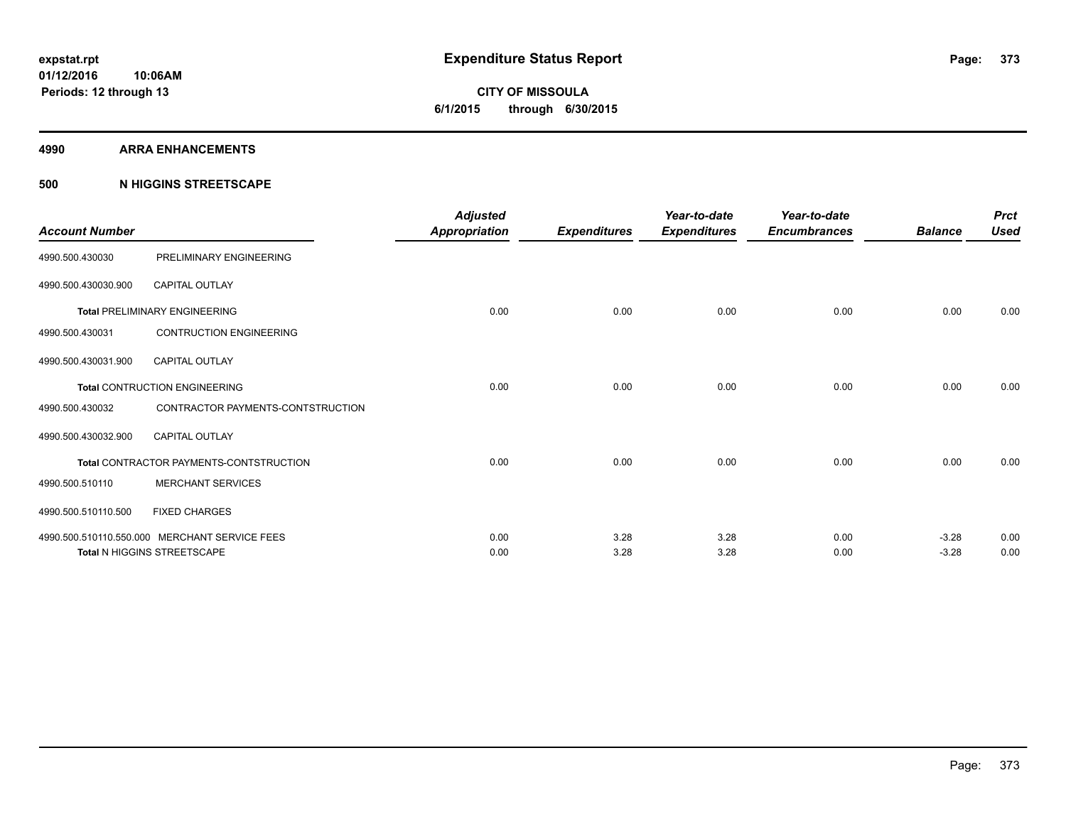**Periods: 12 through 13**

**CITY OF MISSOULA 6/1/2015 through 6/30/2015**

#### **4990 ARRA ENHANCEMENTS**

### **500 N HIGGINS STREETSCAPE**

| <b>Account Number</b>                |                                                                                     | <b>Adjusted</b><br>Appropriation | <b>Expenditures</b> | Year-to-date<br><b>Expenditures</b> | Year-to-date<br><b>Encumbrances</b> | <b>Balance</b>     | <b>Prct</b><br><b>Used</b> |
|--------------------------------------|-------------------------------------------------------------------------------------|----------------------------------|---------------------|-------------------------------------|-------------------------------------|--------------------|----------------------------|
| 4990.500.430030                      | PRELIMINARY ENGINEERING                                                             |                                  |                     |                                     |                                     |                    |                            |
| 4990.500.430030.900                  | <b>CAPITAL OUTLAY</b>                                                               |                                  |                     |                                     |                                     |                    |                            |
| <b>Total PRELIMINARY ENGINEERING</b> |                                                                                     | 0.00                             | 0.00                | 0.00                                | 0.00                                | 0.00               | 0.00                       |
| 4990.500.430031                      | <b>CONTRUCTION ENGINEERING</b>                                                      |                                  |                     |                                     |                                     |                    |                            |
| 4990.500.430031.900                  | <b>CAPITAL OUTLAY</b>                                                               |                                  |                     |                                     |                                     |                    |                            |
|                                      | <b>Total CONTRUCTION ENGINEERING</b>                                                | 0.00                             | 0.00                | 0.00                                | 0.00                                | 0.00               | 0.00                       |
| 4990.500.430032                      | CONTRACTOR PAYMENTS-CONTSTRUCTION                                                   |                                  |                     |                                     |                                     |                    |                            |
| 4990.500.430032.900                  | <b>CAPITAL OUTLAY</b>                                                               |                                  |                     |                                     |                                     |                    |                            |
|                                      | Total CONTRACTOR PAYMENTS-CONTSTRUCTION                                             | 0.00                             | 0.00                | 0.00                                | 0.00                                | 0.00               | 0.00                       |
| 4990.500.510110                      | <b>MERCHANT SERVICES</b>                                                            |                                  |                     |                                     |                                     |                    |                            |
| 4990.500.510110.500                  | <b>FIXED CHARGES</b>                                                                |                                  |                     |                                     |                                     |                    |                            |
|                                      | 4990.500.510110.550.000 MERCHANT SERVICE FEES<br><b>Total N HIGGINS STREETSCAPE</b> | 0.00<br>0.00                     | 3.28<br>3.28        | 3.28<br>3.28                        | 0.00<br>0.00                        | $-3.28$<br>$-3.28$ | 0.00<br>0.00               |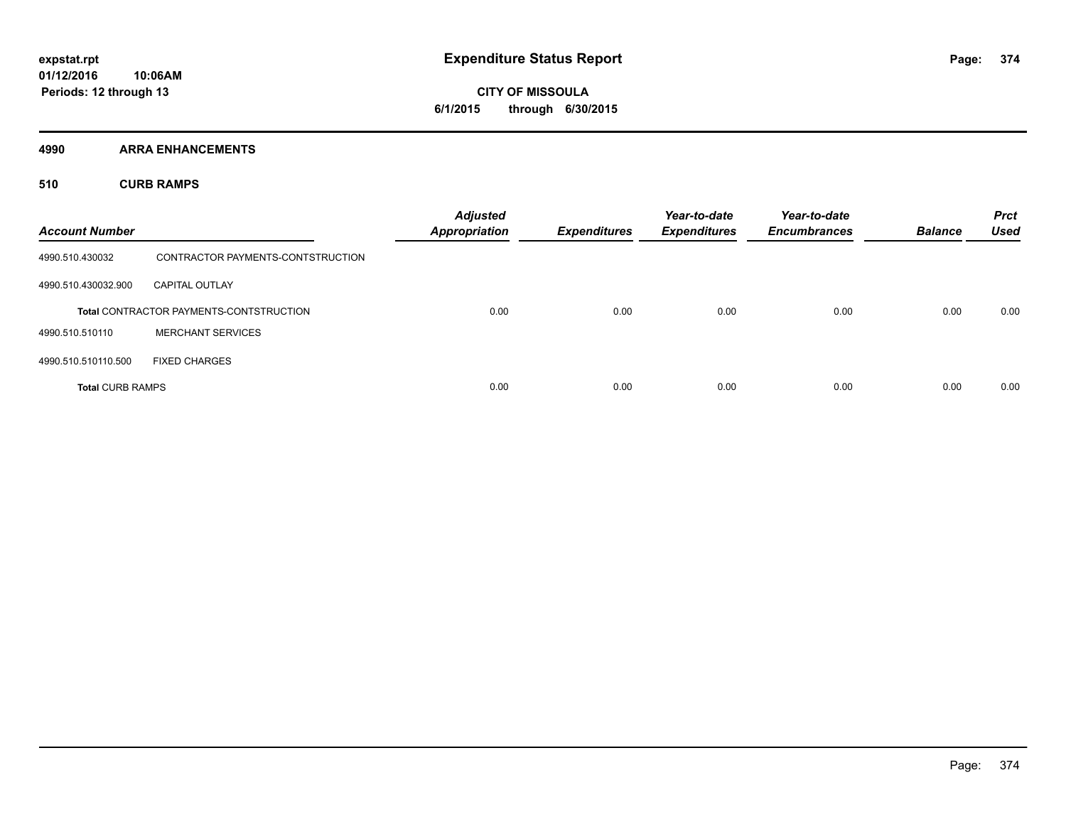**CITY OF MISSOULA 6/1/2015 through 6/30/2015**

**4990 ARRA ENHANCEMENTS**

**510 CURB RAMPS**

| <b>Account Number</b>   |                                                | <b>Adjusted</b><br><b>Appropriation</b> | <b>Expenditures</b> | Year-to-date<br><b>Expenditures</b> | Year-to-date<br><b>Encumbrances</b> | <b>Balance</b> | <b>Prct</b><br><b>Used</b> |
|-------------------------|------------------------------------------------|-----------------------------------------|---------------------|-------------------------------------|-------------------------------------|----------------|----------------------------|
| 4990.510.430032         | CONTRACTOR PAYMENTS-CONTSTRUCTION              |                                         |                     |                                     |                                     |                |                            |
| 4990.510.430032.900     | <b>CAPITAL OUTLAY</b>                          |                                         |                     |                                     |                                     |                |                            |
|                         | <b>Total CONTRACTOR PAYMENTS-CONTSTRUCTION</b> | 0.00                                    | 0.00                | 0.00                                | 0.00                                | 0.00           | 0.00                       |
| 4990.510.510110         | <b>MERCHANT SERVICES</b>                       |                                         |                     |                                     |                                     |                |                            |
| 4990.510.510110.500     | <b>FIXED CHARGES</b>                           |                                         |                     |                                     |                                     |                |                            |
| <b>Total CURB RAMPS</b> |                                                | 0.00                                    | 0.00                | 0.00                                | 0.00                                | 0.00           | 0.00                       |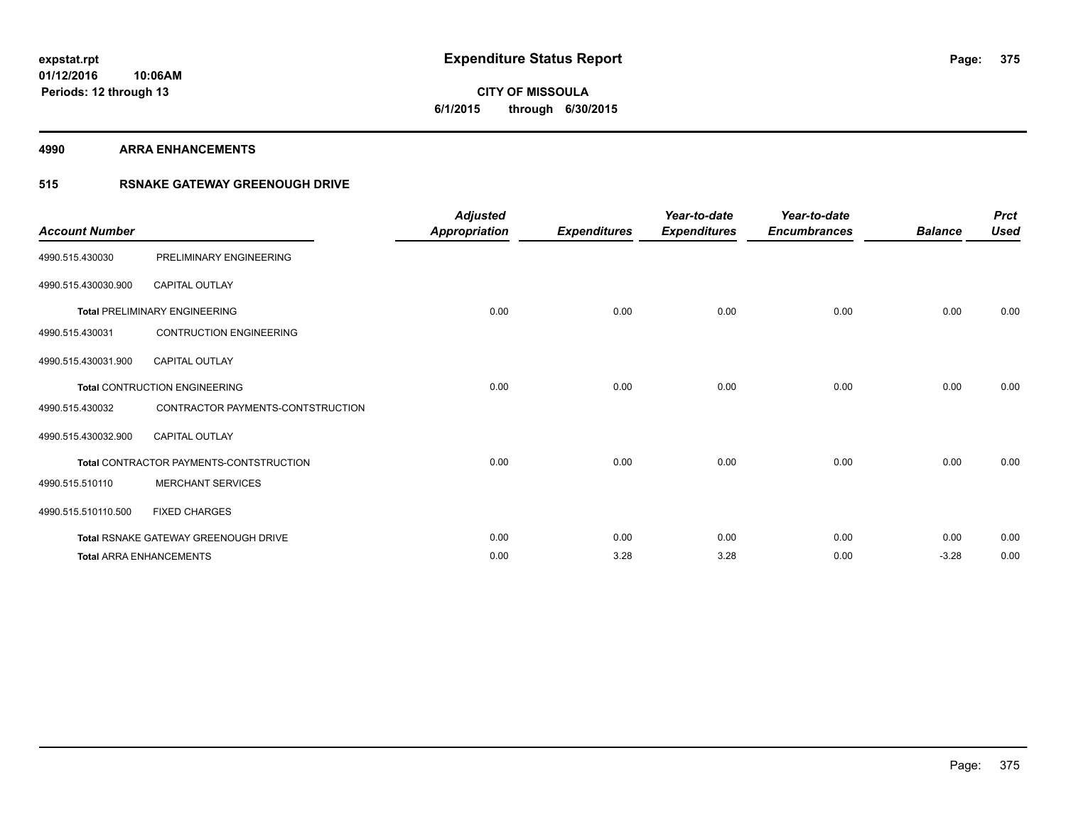**CITY OF MISSOULA 6/1/2015 through 6/30/2015**

#### **4990 ARRA ENHANCEMENTS**

### **515 RSNAKE GATEWAY GREENOUGH DRIVE**

| <b>Account Number</b> |                                                | <b>Adjusted</b><br><b>Appropriation</b> | <b>Expenditures</b> | Year-to-date<br><b>Expenditures</b> | Year-to-date<br><b>Encumbrances</b> | <b>Balance</b> | <b>Prct</b><br><b>Used</b> |
|-----------------------|------------------------------------------------|-----------------------------------------|---------------------|-------------------------------------|-------------------------------------|----------------|----------------------------|
| 4990.515.430030       | PRELIMINARY ENGINEERING                        |                                         |                     |                                     |                                     |                |                            |
| 4990.515.430030.900   | <b>CAPITAL OUTLAY</b>                          |                                         |                     |                                     |                                     |                |                            |
|                       | <b>Total PRELIMINARY ENGINEERING</b>           | 0.00                                    | 0.00                | 0.00                                | 0.00                                | 0.00           | 0.00                       |
| 4990.515.430031       | <b>CONTRUCTION ENGINEERING</b>                 |                                         |                     |                                     |                                     |                |                            |
| 4990.515.430031.900   | <b>CAPITAL OUTLAY</b>                          |                                         |                     |                                     |                                     |                |                            |
|                       | <b>Total CONTRUCTION ENGINEERING</b>           | 0.00                                    | 0.00                | 0.00                                | 0.00                                | 0.00           | 0.00                       |
| 4990.515.430032       | CONTRACTOR PAYMENTS-CONTSTRUCTION              |                                         |                     |                                     |                                     |                |                            |
| 4990.515.430032.900   | <b>CAPITAL OUTLAY</b>                          |                                         |                     |                                     |                                     |                |                            |
|                       | <b>Total CONTRACTOR PAYMENTS-CONTSTRUCTION</b> | 0.00                                    | 0.00                | 0.00                                | 0.00                                | 0.00           | 0.00                       |
| 4990.515.510110       | <b>MERCHANT SERVICES</b>                       |                                         |                     |                                     |                                     |                |                            |
| 4990.515.510110.500   | <b>FIXED CHARGES</b>                           |                                         |                     |                                     |                                     |                |                            |
|                       | <b>Total RSNAKE GATEWAY GREENOUGH DRIVE</b>    | 0.00                                    | 0.00                | 0.00                                | 0.00                                | 0.00           | 0.00                       |
|                       | <b>Total ARRA ENHANCEMENTS</b>                 | 0.00                                    | 3.28                | 3.28                                | 0.00                                | $-3.28$        | 0.00                       |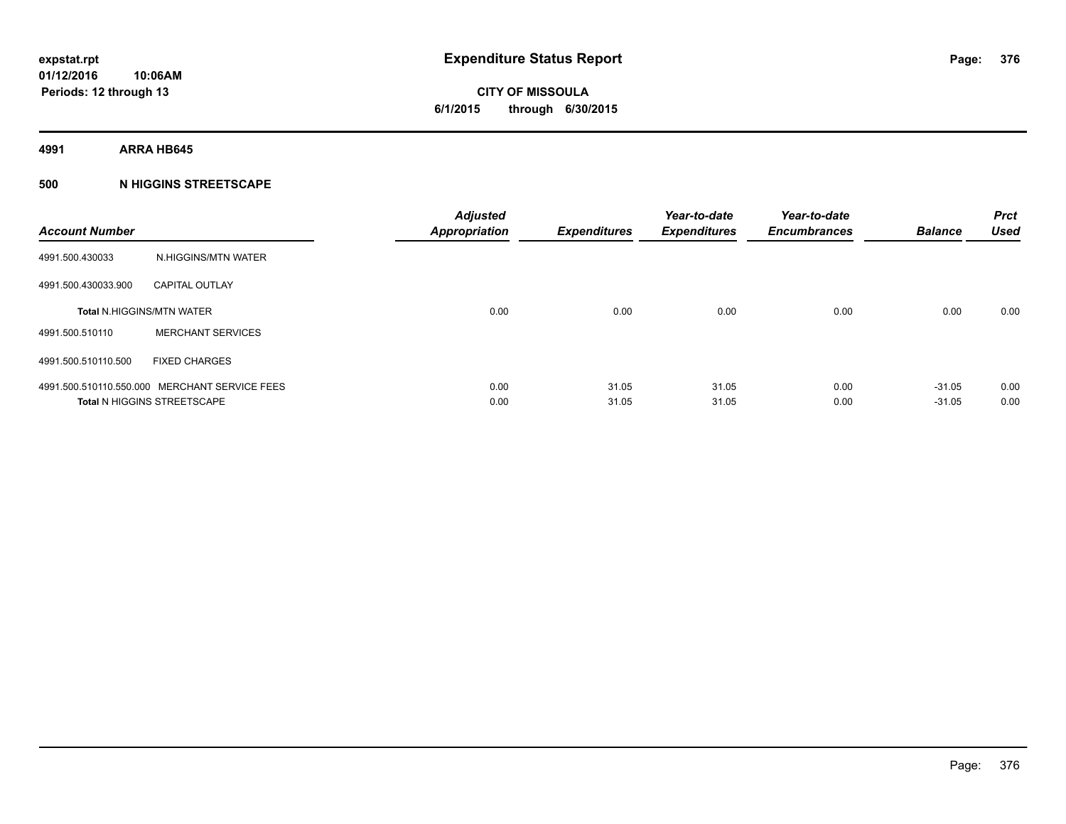**4991 ARRA HB645**

### **500 N HIGGINS STREETSCAPE**

|                                               | <b>Adjusted</b><br><b>Appropriation</b> | <b>Expenditures</b> | Year-to-date<br><b>Expenditures</b> | Year-to-date<br><b>Encumbrances</b> | <b>Balance</b> | <b>Prct</b><br><b>Used</b> |
|-----------------------------------------------|-----------------------------------------|---------------------|-------------------------------------|-------------------------------------|----------------|----------------------------|
| N.HIGGINS/MTN WATER                           |                                         |                     |                                     |                                     |                |                            |
| <b>CAPITAL OUTLAY</b>                         |                                         |                     |                                     |                                     |                |                            |
| <b>Total N.HIGGINS/MTN WATER</b>              | 0.00                                    | 0.00                | 0.00                                | 0.00                                | 0.00           | 0.00                       |
| <b>MERCHANT SERVICES</b>                      |                                         |                     |                                     |                                     |                |                            |
| <b>FIXED CHARGES</b>                          |                                         |                     |                                     |                                     |                |                            |
| 4991.500.510110.550.000 MERCHANT SERVICE FEES | 0.00                                    | 31.05               | 31.05                               | 0.00                                | $-31.05$       | 0.00<br>0.00               |
|                                               | <b>Total N HIGGINS STREETSCAPE</b>      | 0.00                | 31.05                               | 31.05                               | 0.00           | $-31.05$                   |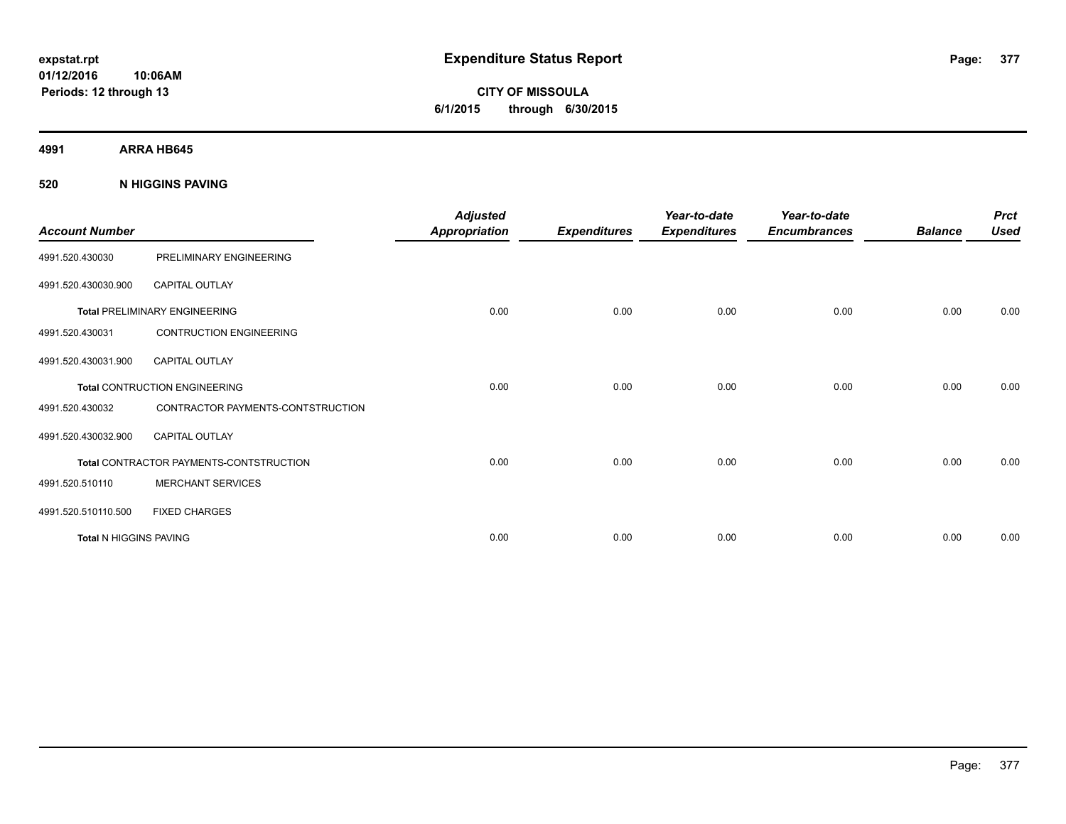**CITY OF MISSOULA 6/1/2015 through 6/30/2015**

**4991 ARRA HB645**

**520 N HIGGINS PAVING**

| <b>Account Number</b>         |                                         | <b>Adjusted</b><br><b>Appropriation</b> | <b>Expenditures</b> | Year-to-date<br><b>Expenditures</b> | Year-to-date<br><b>Encumbrances</b> | <b>Balance</b> | <b>Prct</b><br><b>Used</b> |
|-------------------------------|-----------------------------------------|-----------------------------------------|---------------------|-------------------------------------|-------------------------------------|----------------|----------------------------|
| 4991.520.430030               | PRELIMINARY ENGINEERING                 |                                         |                     |                                     |                                     |                |                            |
| 4991.520.430030.900           | <b>CAPITAL OUTLAY</b>                   |                                         |                     |                                     |                                     |                |                            |
|                               | <b>Total PRELIMINARY ENGINEERING</b>    | 0.00                                    | 0.00                | 0.00                                | 0.00                                | 0.00           | 0.00                       |
| 4991.520.430031               | <b>CONTRUCTION ENGINEERING</b>          |                                         |                     |                                     |                                     |                |                            |
| 4991.520.430031.900           | <b>CAPITAL OUTLAY</b>                   |                                         |                     |                                     |                                     |                |                            |
|                               | <b>Total CONTRUCTION ENGINEERING</b>    | 0.00                                    | 0.00                | 0.00                                | 0.00                                | 0.00           | 0.00                       |
| 4991.520.430032               | CONTRACTOR PAYMENTS-CONTSTRUCTION       |                                         |                     |                                     |                                     |                |                            |
| 4991.520.430032.900           | <b>CAPITAL OUTLAY</b>                   |                                         |                     |                                     |                                     |                |                            |
|                               | Total CONTRACTOR PAYMENTS-CONTSTRUCTION | 0.00                                    | 0.00                | 0.00                                | 0.00                                | 0.00           | 0.00                       |
| 4991.520.510110               | <b>MERCHANT SERVICES</b>                |                                         |                     |                                     |                                     |                |                            |
| 4991.520.510110.500           | <b>FIXED CHARGES</b>                    |                                         |                     |                                     |                                     |                |                            |
| <b>Total N HIGGINS PAVING</b> |                                         | 0.00                                    | 0.00                | 0.00                                | 0.00                                | 0.00           | 0.00                       |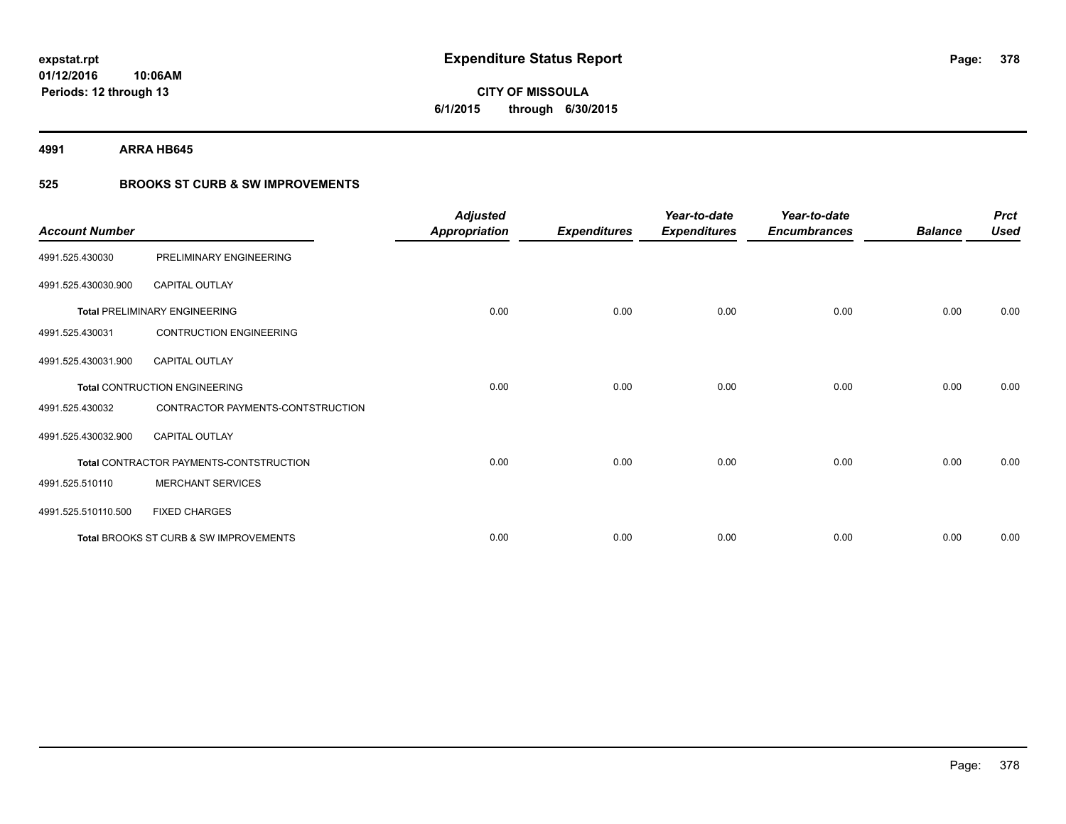**CITY OF MISSOULA 6/1/2015 through 6/30/2015**

**4991 ARRA HB645**

### **525 BROOKS ST CURB & SW IMPROVEMENTS**

| <b>Account Number</b> |                                         | <b>Adjusted</b><br><b>Appropriation</b> | <b>Expenditures</b> | Year-to-date<br><b>Expenditures</b> | Year-to-date<br><b>Encumbrances</b> | <b>Balance</b> | <b>Prct</b><br><b>Used</b> |
|-----------------------|-----------------------------------------|-----------------------------------------|---------------------|-------------------------------------|-------------------------------------|----------------|----------------------------|
| 4991.525.430030       | PRELIMINARY ENGINEERING                 |                                         |                     |                                     |                                     |                |                            |
| 4991.525.430030.900   | <b>CAPITAL OUTLAY</b>                   |                                         |                     |                                     |                                     |                |                            |
|                       | <b>Total PRELIMINARY ENGINEERING</b>    | 0.00                                    | 0.00                | 0.00                                | 0.00                                | 0.00           | 0.00                       |
| 4991.525.430031       | <b>CONTRUCTION ENGINEERING</b>          |                                         |                     |                                     |                                     |                |                            |
| 4991.525.430031.900   | <b>CAPITAL OUTLAY</b>                   |                                         |                     |                                     |                                     |                |                            |
|                       | <b>Total CONTRUCTION ENGINEERING</b>    | 0.00                                    | 0.00                | 0.00                                | 0.00                                | 0.00           | 0.00                       |
| 4991.525.430032       | CONTRACTOR PAYMENTS-CONTSTRUCTION       |                                         |                     |                                     |                                     |                |                            |
| 4991.525.430032.900   | <b>CAPITAL OUTLAY</b>                   |                                         |                     |                                     |                                     |                |                            |
|                       | Total CONTRACTOR PAYMENTS-CONTSTRUCTION | 0.00                                    | 0.00                | 0.00                                | 0.00                                | 0.00           | 0.00                       |
| 4991.525.510110       | <b>MERCHANT SERVICES</b>                |                                         |                     |                                     |                                     |                |                            |
| 4991.525.510110.500   | <b>FIXED CHARGES</b>                    |                                         |                     |                                     |                                     |                |                            |
|                       | Total BROOKS ST CURB & SW IMPROVEMENTS  | 0.00                                    | 0.00                | 0.00                                | 0.00                                | 0.00           | 0.00                       |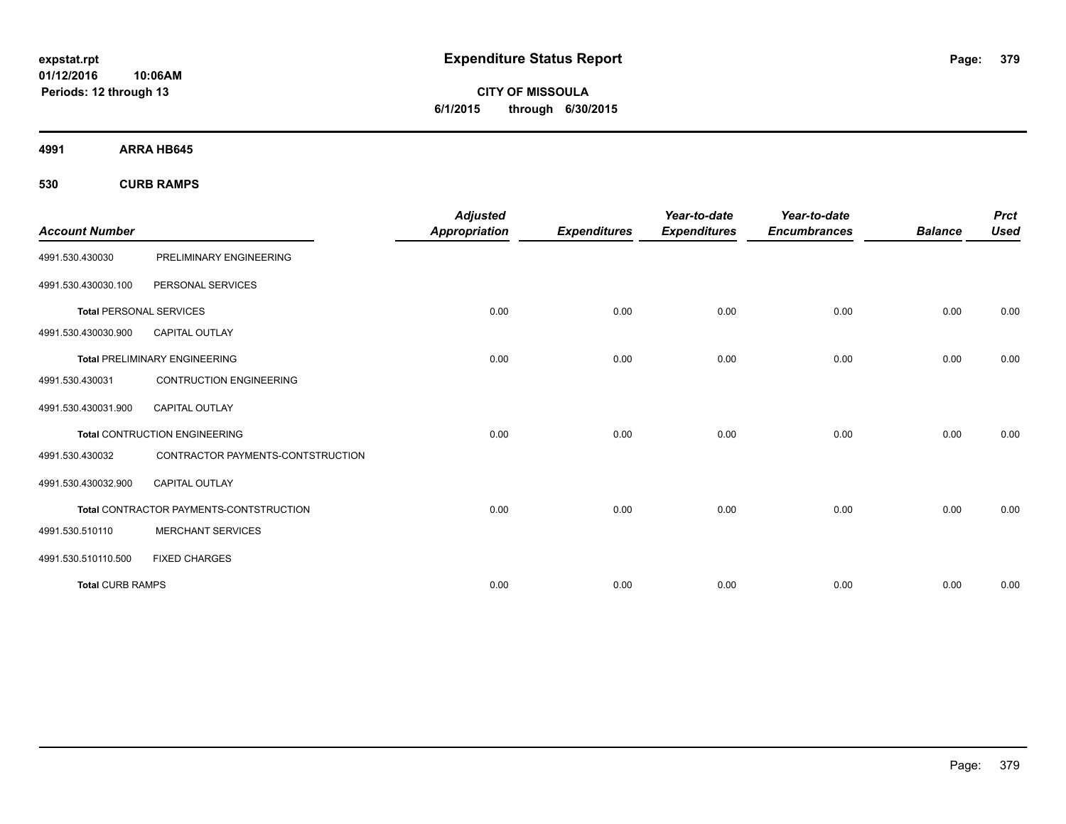**CITY OF MISSOULA 6/1/2015 through 6/30/2015**

**4991 ARRA HB645**

**530 CURB RAMPS**

| <b>Account Number</b>          |                                                | <b>Adjusted</b><br><b>Appropriation</b> | <b>Expenditures</b> | Year-to-date<br><b>Expenditures</b> | Year-to-date<br><b>Encumbrances</b> | <b>Balance</b> | <b>Prct</b><br><b>Used</b> |
|--------------------------------|------------------------------------------------|-----------------------------------------|---------------------|-------------------------------------|-------------------------------------|----------------|----------------------------|
|                                |                                                |                                         |                     |                                     |                                     |                |                            |
| 4991.530.430030                | PRELIMINARY ENGINEERING                        |                                         |                     |                                     |                                     |                |                            |
| 4991.530.430030.100            | PERSONAL SERVICES                              |                                         |                     |                                     |                                     |                |                            |
| <b>Total PERSONAL SERVICES</b> |                                                | 0.00                                    | 0.00                | 0.00                                | 0.00                                | 0.00           | 0.00                       |
| 4991.530.430030.900            | <b>CAPITAL OUTLAY</b>                          |                                         |                     |                                     |                                     |                |                            |
|                                | <b>Total PRELIMINARY ENGINEERING</b>           | 0.00                                    | 0.00                | 0.00                                | 0.00                                | 0.00           | 0.00                       |
| 4991.530.430031                | <b>CONTRUCTION ENGINEERING</b>                 |                                         |                     |                                     |                                     |                |                            |
| 4991.530.430031.900            | <b>CAPITAL OUTLAY</b>                          |                                         |                     |                                     |                                     |                |                            |
|                                | <b>Total CONTRUCTION ENGINEERING</b>           | 0.00                                    | 0.00                | 0.00                                | 0.00                                | 0.00           | 0.00                       |
| 4991.530.430032                | CONTRACTOR PAYMENTS-CONTSTRUCTION              |                                         |                     |                                     |                                     |                |                            |
| 4991.530.430032.900            | <b>CAPITAL OUTLAY</b>                          |                                         |                     |                                     |                                     |                |                            |
|                                | <b>Total CONTRACTOR PAYMENTS-CONTSTRUCTION</b> | 0.00                                    | 0.00                | 0.00                                | 0.00                                | 0.00           | 0.00                       |
| 4991.530.510110                | <b>MERCHANT SERVICES</b>                       |                                         |                     |                                     |                                     |                |                            |
| 4991.530.510110.500            | <b>FIXED CHARGES</b>                           |                                         |                     |                                     |                                     |                |                            |
| <b>Total CURB RAMPS</b>        |                                                | 0.00                                    | 0.00                | 0.00                                | 0.00                                | 0.00           | 0.00                       |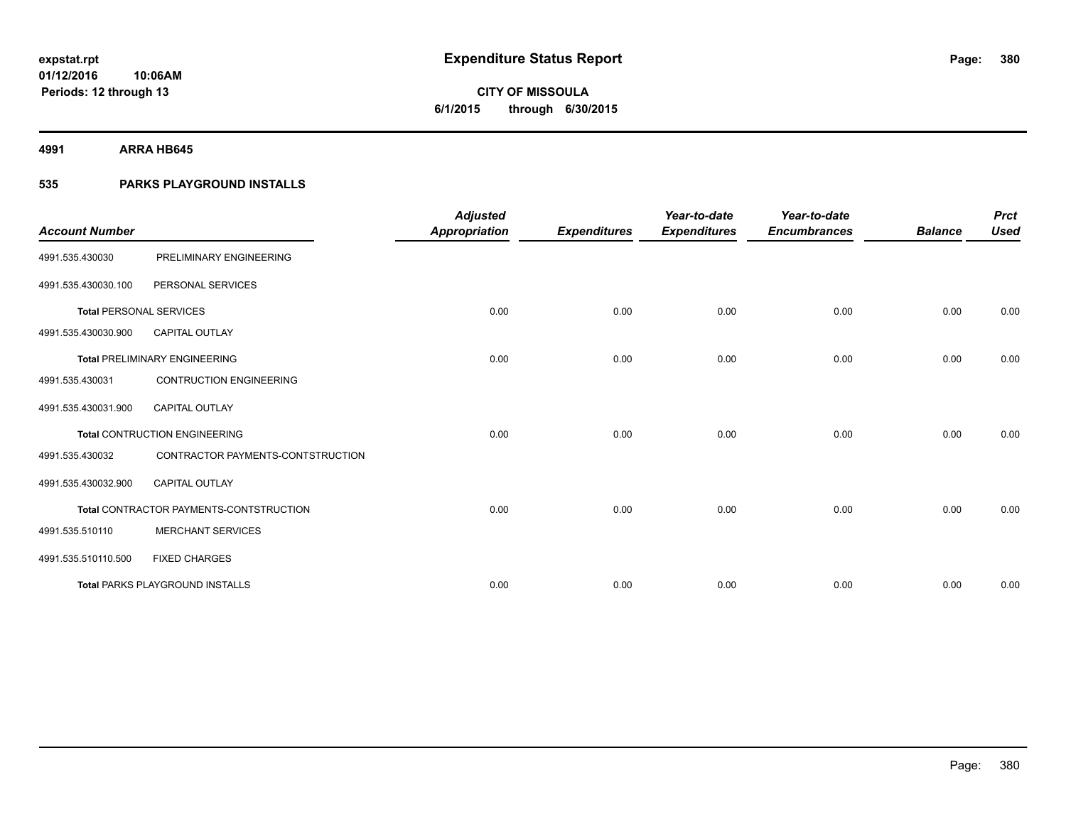**4991 ARRA HB645**

**Periods: 12 through 13**

### **535 PARKS PLAYGROUND INSTALLS**

**10:06AM**

|                                |                                         | <b>Adjusted</b>      |                     | Year-to-date        | Year-to-date        |                | <b>Prct</b> |
|--------------------------------|-----------------------------------------|----------------------|---------------------|---------------------|---------------------|----------------|-------------|
| <b>Account Number</b>          |                                         | <b>Appropriation</b> | <b>Expenditures</b> | <b>Expenditures</b> | <b>Encumbrances</b> | <b>Balance</b> | <b>Used</b> |
| 4991.535.430030                | PRELIMINARY ENGINEERING                 |                      |                     |                     |                     |                |             |
| 4991.535.430030.100            | PERSONAL SERVICES                       |                      |                     |                     |                     |                |             |
| <b>Total PERSONAL SERVICES</b> |                                         | 0.00                 | 0.00                | 0.00                | 0.00                | 0.00           | 0.00        |
| 4991.535.430030.900            | <b>CAPITAL OUTLAY</b>                   |                      |                     |                     |                     |                |             |
|                                | <b>Total PRELIMINARY ENGINEERING</b>    | 0.00                 | 0.00                | 0.00                | 0.00                | 0.00           | 0.00        |
| 4991.535.430031                | <b>CONTRUCTION ENGINEERING</b>          |                      |                     |                     |                     |                |             |
| 4991.535.430031.900            | CAPITAL OUTLAY                          |                      |                     |                     |                     |                |             |
|                                | <b>Total CONTRUCTION ENGINEERING</b>    | 0.00                 | 0.00                | 0.00                | 0.00                | 0.00           | 0.00        |
| 4991.535.430032                | CONTRACTOR PAYMENTS-CONTSTRUCTION       |                      |                     |                     |                     |                |             |
| 4991.535.430032.900            | <b>CAPITAL OUTLAY</b>                   |                      |                     |                     |                     |                |             |
|                                | Total CONTRACTOR PAYMENTS-CONTSTRUCTION | 0.00                 | 0.00                | 0.00                | 0.00                | 0.00           | 0.00        |
| 4991.535.510110                | <b>MERCHANT SERVICES</b>                |                      |                     |                     |                     |                |             |
| 4991.535.510110.500            | <b>FIXED CHARGES</b>                    |                      |                     |                     |                     |                |             |
|                                | <b>Total PARKS PLAYGROUND INSTALLS</b>  | 0.00                 | 0.00                | 0.00                | 0.00                | 0.00           | 0.00        |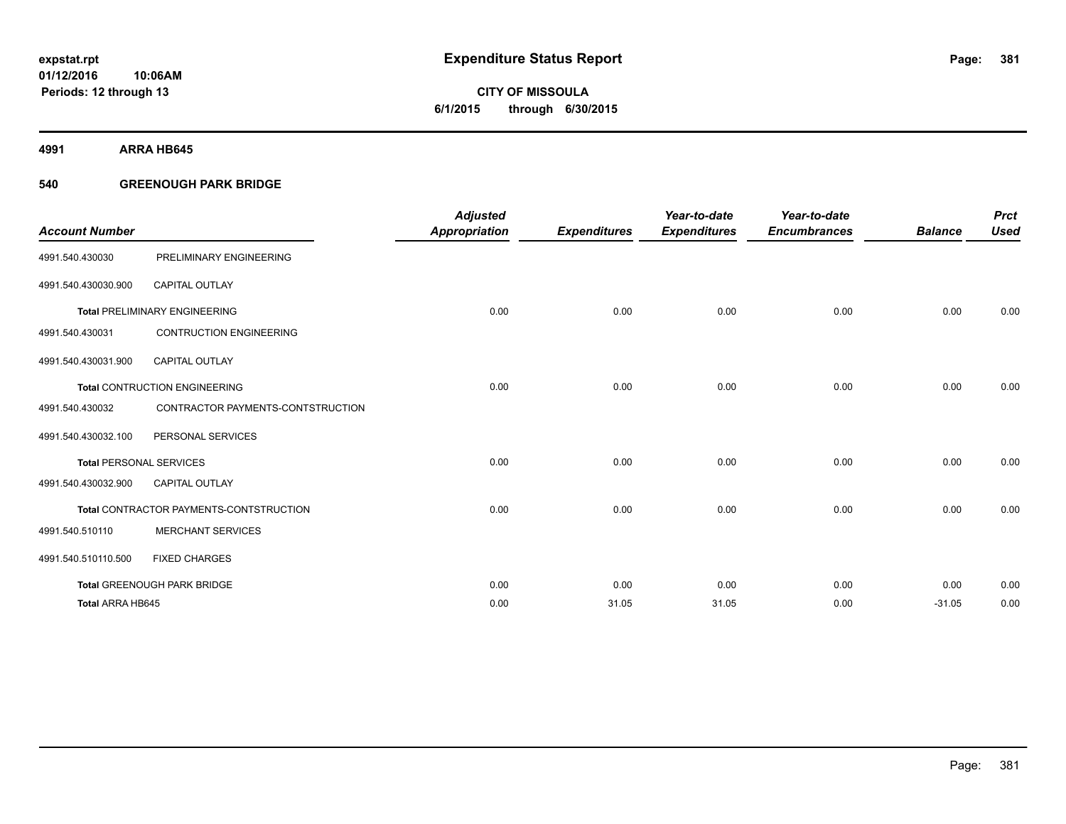**4991 ARRA HB645**

### **540 GREENOUGH PARK BRIDGE**

| <b>Account Number</b>          |                                         | <b>Adjusted</b><br><b>Appropriation</b> | <b>Expenditures</b> | Year-to-date<br><b>Expenditures</b> | Year-to-date<br><b>Encumbrances</b> | <b>Balance</b> | <b>Prct</b><br><b>Used</b> |
|--------------------------------|-----------------------------------------|-----------------------------------------|---------------------|-------------------------------------|-------------------------------------|----------------|----------------------------|
| 4991.540.430030                | PRELIMINARY ENGINEERING                 |                                         |                     |                                     |                                     |                |                            |
| 4991.540.430030.900            | <b>CAPITAL OUTLAY</b>                   |                                         |                     |                                     |                                     |                |                            |
|                                | <b>Total PRELIMINARY ENGINEERING</b>    | 0.00                                    | 0.00                | 0.00                                | 0.00                                | 0.00           | 0.00                       |
| 4991.540.430031                | <b>CONTRUCTION ENGINEERING</b>          |                                         |                     |                                     |                                     |                |                            |
| 4991.540.430031.900            | <b>CAPITAL OUTLAY</b>                   |                                         |                     |                                     |                                     |                |                            |
|                                | <b>Total CONTRUCTION ENGINEERING</b>    | 0.00                                    | 0.00                | 0.00                                | 0.00                                | 0.00           | 0.00                       |
| 4991.540.430032                | CONTRACTOR PAYMENTS-CONTSTRUCTION       |                                         |                     |                                     |                                     |                |                            |
| 4991.540.430032.100            | PERSONAL SERVICES                       |                                         |                     |                                     |                                     |                |                            |
| <b>Total PERSONAL SERVICES</b> |                                         | 0.00                                    | 0.00                | 0.00                                | 0.00                                | 0.00           | 0.00                       |
| 4991.540.430032.900            | <b>CAPITAL OUTLAY</b>                   |                                         |                     |                                     |                                     |                |                            |
|                                | Total CONTRACTOR PAYMENTS-CONTSTRUCTION | 0.00                                    | 0.00                | 0.00                                | 0.00                                | 0.00           | 0.00                       |
| 4991.540.510110                | <b>MERCHANT SERVICES</b>                |                                         |                     |                                     |                                     |                |                            |
| 4991.540.510110.500            | <b>FIXED CHARGES</b>                    |                                         |                     |                                     |                                     |                |                            |
|                                | <b>Total GREENOUGH PARK BRIDGE</b>      | 0.00                                    | 0.00                | 0.00                                | 0.00                                | 0.00           | 0.00                       |
| Total ARRA HB645               |                                         | 0.00                                    | 31.05               | 31.05                               | 0.00                                | $-31.05$       | 0.00                       |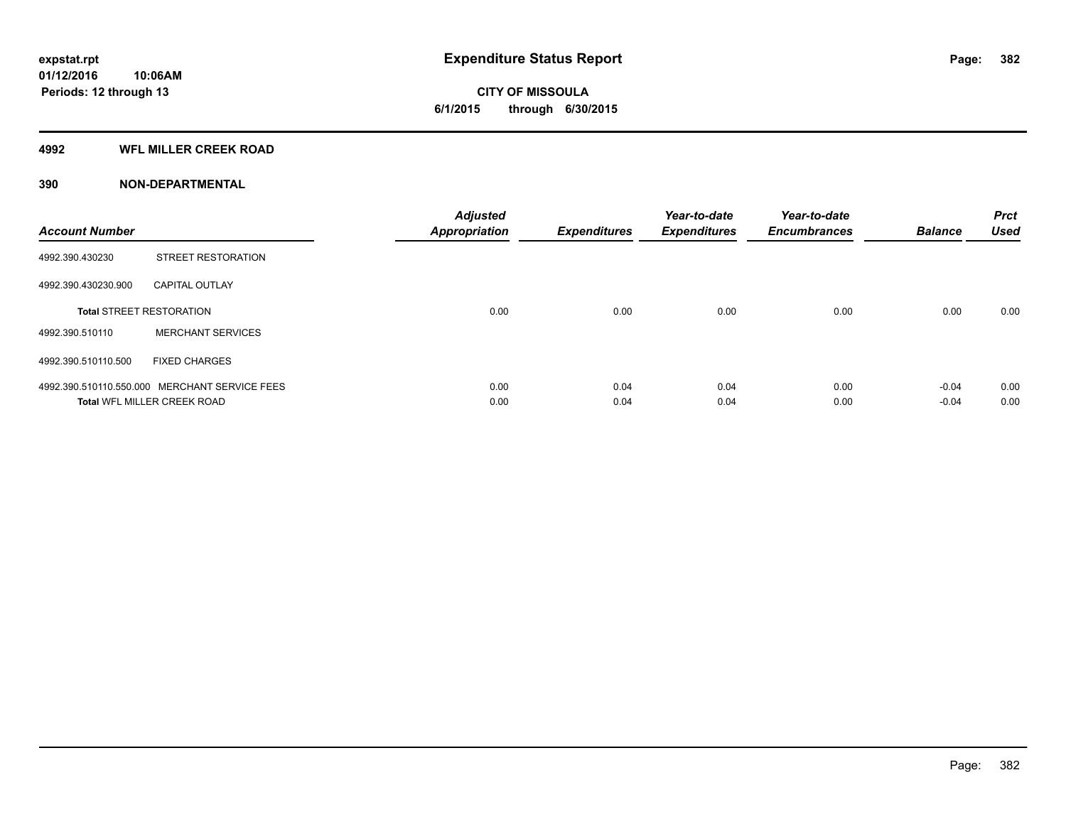**Periods: 12 through 13**

**CITY OF MISSOULA 6/1/2015 through 6/30/2015**

#### **4992 WFL MILLER CREEK ROAD**

**10:06AM**

| <b>Account Number</b> |                                               | <b>Adjusted</b><br><b>Appropriation</b> | <b>Expenditures</b> | Year-to-date<br><b>Expenditures</b> | Year-to-date<br><b>Encumbrances</b> | <b>Balance</b> | <b>Prct</b><br><b>Used</b> |
|-----------------------|-----------------------------------------------|-----------------------------------------|---------------------|-------------------------------------|-------------------------------------|----------------|----------------------------|
| 4992.390.430230       | STREET RESTORATION                            |                                         |                     |                                     |                                     |                |                            |
| 4992.390.430230.900   | <b>CAPITAL OUTLAY</b>                         |                                         |                     |                                     |                                     |                |                            |
|                       | <b>Total STREET RESTORATION</b>               | 0.00                                    | 0.00                | 0.00                                | 0.00                                | 0.00           | 0.00                       |
| 4992.390.510110       | <b>MERCHANT SERVICES</b>                      |                                         |                     |                                     |                                     |                |                            |
| 4992.390.510110.500   | <b>FIXED CHARGES</b>                          |                                         |                     |                                     |                                     |                |                            |
|                       | 4992.390.510110.550.000 MERCHANT SERVICE FEES | 0.00                                    | 0.04                | 0.04                                | 0.00                                | $-0.04$        | 0.00                       |
|                       | <b>Total WFL MILLER CREEK ROAD</b>            | 0.00                                    | 0.04                | 0.04                                | 0.00                                | $-0.04$        | 0.00                       |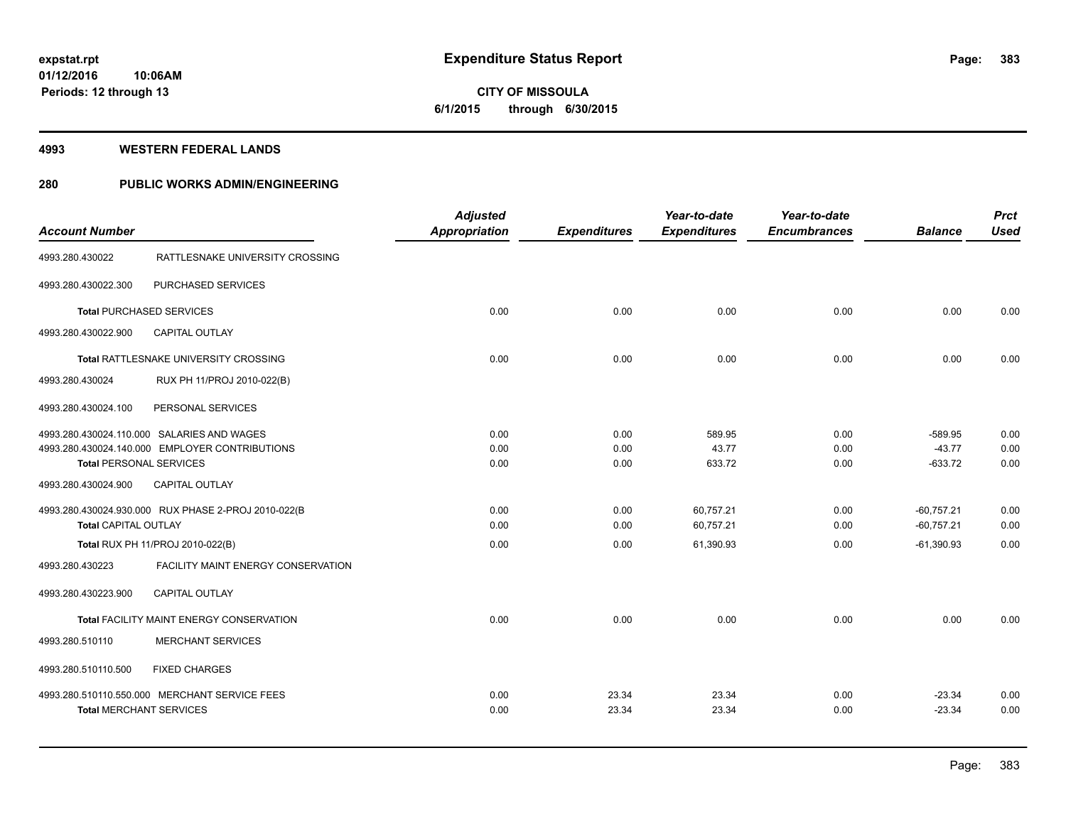# **CITY OF MISSOULA 6/1/2015 through 6/30/2015**

#### **4993 WESTERN FEDERAL LANDS**

### **280 PUBLIC WORKS ADMIN/ENGINEERING**

|                                |                                                     | <b>Adjusted</b>      |                     | Year-to-date        | Year-to-date        |                       | <b>Prct</b>  |
|--------------------------------|-----------------------------------------------------|----------------------|---------------------|---------------------|---------------------|-----------------------|--------------|
| <b>Account Number</b>          |                                                     | <b>Appropriation</b> | <b>Expenditures</b> | <b>Expenditures</b> | <b>Encumbrances</b> | <b>Balance</b>        | <b>Used</b>  |
| 4993.280.430022                | RATTLESNAKE UNIVERSITY CROSSING                     |                      |                     |                     |                     |                       |              |
| 4993.280.430022.300            | PURCHASED SERVICES                                  |                      |                     |                     |                     |                       |              |
|                                | <b>Total PURCHASED SERVICES</b>                     | 0.00                 | 0.00                | 0.00                | 0.00                | 0.00                  | 0.00         |
| 4993.280.430022.900            | <b>CAPITAL OUTLAY</b>                               |                      |                     |                     |                     |                       |              |
|                                | Total RATTLESNAKE UNIVERSITY CROSSING               | 0.00                 | 0.00                | 0.00                | 0.00                | 0.00                  | 0.00         |
| 4993.280.430024                | RUX PH 11/PROJ 2010-022(B)                          |                      |                     |                     |                     |                       |              |
| 4993.280.430024.100            | PERSONAL SERVICES                                   |                      |                     |                     |                     |                       |              |
|                                | 4993.280.430024.110.000 SALARIES AND WAGES          | 0.00                 | 0.00                | 589.95              | 0.00                | $-589.95$             | 0.00         |
|                                | 4993.280.430024.140.000 EMPLOYER CONTRIBUTIONS      | 0.00<br>0.00         | 0.00                | 43.77<br>633.72     | 0.00<br>0.00        | $-43.77$<br>$-633.72$ | 0.00<br>0.00 |
| <b>Total PERSONAL SERVICES</b> |                                                     |                      | 0.00                |                     |                     |                       |              |
| 4993.280.430024.900            | CAPITAL OUTLAY                                      |                      |                     |                     |                     |                       |              |
|                                | 4993.280.430024.930.000 RUX PHASE 2-PROJ 2010-022(B | 0.00                 | 0.00                | 60,757.21           | 0.00                | $-60,757.21$          | 0.00         |
| <b>Total CAPITAL OUTLAY</b>    |                                                     | 0.00                 | 0.00                | 60,757.21           | 0.00                | $-60,757.21$          | 0.00         |
|                                | Total RUX PH 11/PROJ 2010-022(B)                    | 0.00                 | 0.00                | 61,390.93           | 0.00                | $-61,390.93$          | 0.00         |
| 4993.280.430223                | FACILITY MAINT ENERGY CONSERVATION                  |                      |                     |                     |                     |                       |              |
| 4993.280.430223.900            | <b>CAPITAL OUTLAY</b>                               |                      |                     |                     |                     |                       |              |
|                                | Total FACILITY MAINT ENERGY CONSERVATION            | 0.00                 | 0.00                | 0.00                | 0.00                | 0.00                  | 0.00         |
| 4993.280.510110                | <b>MERCHANT SERVICES</b>                            |                      |                     |                     |                     |                       |              |
| 4993.280.510110.500            | <b>FIXED CHARGES</b>                                |                      |                     |                     |                     |                       |              |
|                                | 4993.280.510110.550.000 MERCHANT SERVICE FEES       | 0.00                 | 23.34               | 23.34               | 0.00                | $-23.34$              | 0.00         |
| <b>Total MERCHANT SERVICES</b> |                                                     | 0.00                 | 23.34               | 23.34               | 0.00                | $-23.34$              | 0.00         |
|                                |                                                     |                      |                     |                     |                     |                       |              |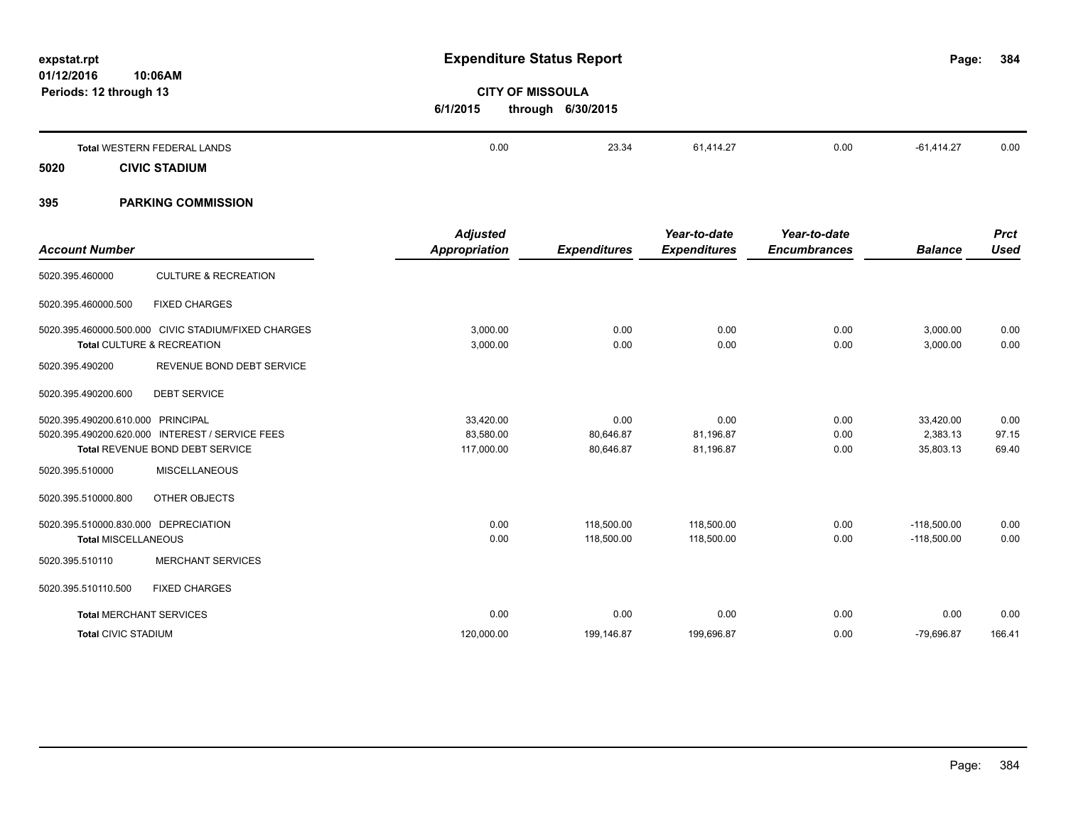| Periods: 12 through 13 |                                                                                                                         | 6/1/2015                                | <b>CITY OF MISSOULA</b><br>through 6/30/2015 |                                     |                                     |                                    |                        |
|------------------------|-------------------------------------------------------------------------------------------------------------------------|-----------------------------------------|----------------------------------------------|-------------------------------------|-------------------------------------|------------------------------------|------------------------|
|                        | <b>Total WESTERN FEDERAL LANDS</b>                                                                                      | 0.00                                    | 23.34                                        | 61,414.27                           | 0.00                                | $-61,414.27$                       | 0.00                   |
| 5020                   | <b>CIVIC STADIUM</b>                                                                                                    |                                         |                                              |                                     |                                     |                                    |                        |
| 395                    | <b>PARKING COMMISSION</b>                                                                                               |                                         |                                              |                                     |                                     |                                    |                        |
| <b>Account Number</b>  |                                                                                                                         | <b>Adjusted</b><br><b>Appropriation</b> | <b>Expenditures</b>                          | Year-to-date<br><b>Expenditures</b> | Year-to-date<br><b>Encumbrances</b> | <b>Balance</b>                     | <b>Prct</b><br>Used    |
| 5020.395.460000        | <b>CULTURE &amp; RECREATION</b>                                                                                         |                                         |                                              |                                     |                                     |                                    |                        |
| 5020.395.460000.500    | <b>FIXED CHARGES</b>                                                                                                    |                                         |                                              |                                     |                                     |                                    |                        |
|                        | 5020.395.460000.500.000 CIVIC STADIUM/FIXED CHARGES<br>Total CULTURE & RECREATION                                       | 3,000.00<br>3,000.00                    | 0.00<br>0.00                                 | 0.00<br>0.00                        | 0.00<br>0.00                        | 3,000.00<br>3,000.00               | 0.00<br>0.00           |
| 5020.395.490200        | REVENUE BOND DEBT SERVICE                                                                                               |                                         |                                              |                                     |                                     |                                    |                        |
| 5020.395.490200.600    | <b>DEBT SERVICE</b>                                                                                                     |                                         |                                              |                                     |                                     |                                    |                        |
|                        | 5020.395.490200.610.000 PRINCIPAL<br>5020.395.490200.620.000 INTEREST / SERVICE FEES<br>Total REVENUE BOND DEBT SERVICE | 33,420.00<br>83,580.00<br>117,000.00    | 0.00<br>80,646.87<br>80,646.87               | 0.00<br>81,196.87<br>81,196.87      | 0.00<br>0.00<br>0.00                | 33,420.00<br>2,383.13<br>35,803.13 | 0.00<br>97.15<br>69.40 |
| 5020.395.510000        | <b>MISCELLANEOUS</b>                                                                                                    |                                         |                                              |                                     |                                     |                                    |                        |
| 5020.395.510000.800    | OTHER OBJECTS                                                                                                           |                                         |                                              |                                     |                                     |                                    |                        |
|                        | 5020.395.510000.830.000 DEPRECIATION<br>Total MISCELLANEOUS                                                             | 0.00<br>0.00                            | 118,500.00<br>118,500.00                     | 118,500.00<br>118,500.00            | 0.00<br>0.00                        | $-118,500.00$<br>$-118,500.00$     | 0.00<br>0.00           |
| 5020.395.510110        | <b>MERCHANT SERVICES</b>                                                                                                |                                         |                                              |                                     |                                     |                                    |                        |
| 5020.395.510110.500    | <b>FIXED CHARGES</b>                                                                                                    |                                         |                                              |                                     |                                     |                                    |                        |
|                        | <b>Total MERCHANT SERVICES</b>                                                                                          | 0.00                                    | 0.00                                         | 0.00                                | 0.00                                | 0.00                               | 0.00                   |
|                        | <b>Total CIVIC STADIUM</b>                                                                                              | 120.000.00                              | 199.146.87                                   | 199.696.87                          | 0.00                                | -79,696.87                         | 166.41                 |

# **expstat.rpt Expenditure Status Report Page:**

**01/12/2016**

**10:06AM**

**384**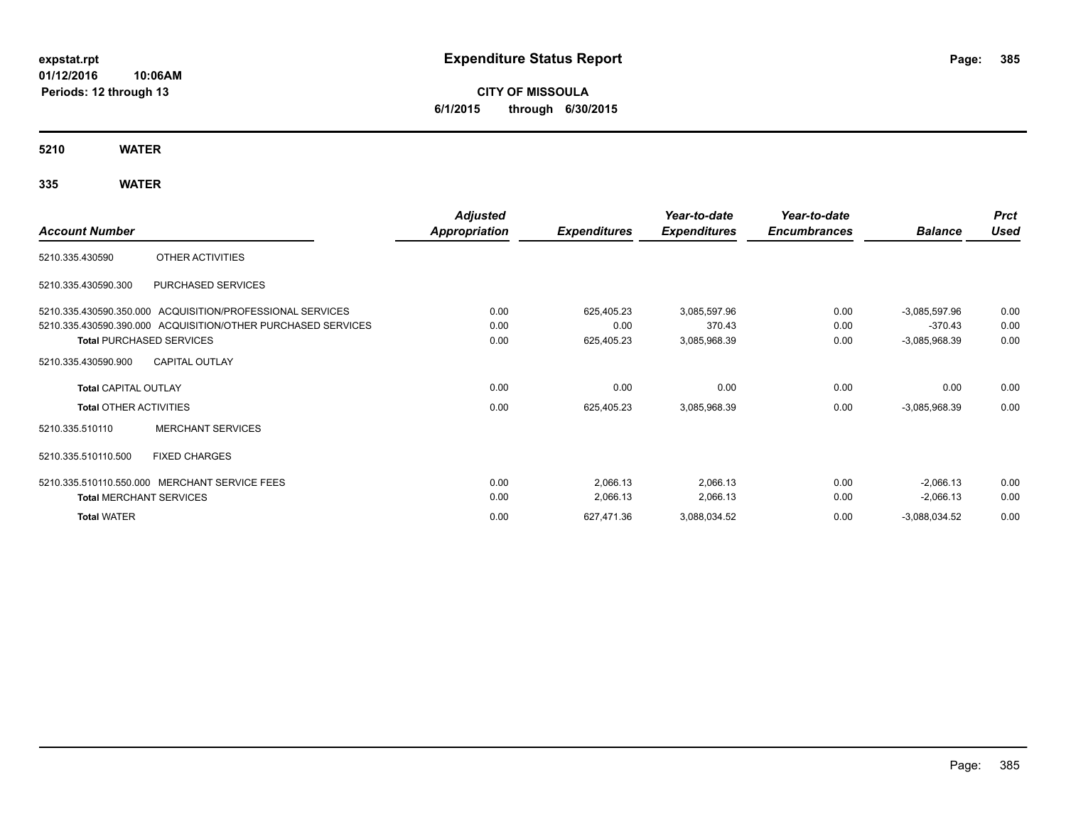**CITY OF MISSOULA 6/1/2015 through 6/30/2015**

**5210 WATER**

**335 WATER**

|                                 |                                                              | <b>Adjusted</b> |                     | Year-to-date        | Year-to-date        |                 | <b>Prct</b> |
|---------------------------------|--------------------------------------------------------------|-----------------|---------------------|---------------------|---------------------|-----------------|-------------|
| <b>Account Number</b>           |                                                              | Appropriation   | <b>Expenditures</b> | <b>Expenditures</b> | <b>Encumbrances</b> | <b>Balance</b>  | <b>Used</b> |
| 5210.335.430590                 | OTHER ACTIVITIES                                             |                 |                     |                     |                     |                 |             |
| 5210.335.430590.300             | PURCHASED SERVICES                                           |                 |                     |                     |                     |                 |             |
|                                 | 5210.335.430590.350.000 ACQUISITION/PROFESSIONAL SERVICES    | 0.00            | 625,405.23          | 3,085,597.96        | 0.00                | $-3.085,597.96$ | 0.00        |
|                                 | 5210.335.430590.390.000 ACQUISITION/OTHER PURCHASED SERVICES | 0.00            | 0.00                | 370.43              | 0.00                | $-370.43$       | 0.00        |
| <b>Total PURCHASED SERVICES</b> |                                                              | 0.00            | 625,405.23          | 3,085,968.39        | 0.00                | $-3,085,968.39$ | 0.00        |
| 5210.335.430590.900             | <b>CAPITAL OUTLAY</b>                                        |                 |                     |                     |                     |                 |             |
| <b>Total CAPITAL OUTLAY</b>     |                                                              | 0.00            | 0.00                | 0.00                | 0.00                | 0.00            | 0.00        |
| <b>Total OTHER ACTIVITIES</b>   |                                                              | 0.00            | 625,405.23          | 3,085,968.39        | 0.00                | $-3,085,968.39$ | 0.00        |
| 5210.335.510110                 | <b>MERCHANT SERVICES</b>                                     |                 |                     |                     |                     |                 |             |
| 5210.335.510110.500             | <b>FIXED CHARGES</b>                                         |                 |                     |                     |                     |                 |             |
|                                 | 5210.335.510110.550.000 MERCHANT SERVICE FEES                | 0.00            | 2,066.13            | 2,066.13            | 0.00                | $-2,066.13$     | 0.00        |
| <b>Total MERCHANT SERVICES</b>  |                                                              | 0.00            | 2,066.13            | 2,066.13            | 0.00                | $-2,066.13$     | 0.00        |
| <b>Total WATER</b>              |                                                              | 0.00            | 627,471.36          | 3,088,034.52        | 0.00                | $-3,088,034.52$ | 0.00        |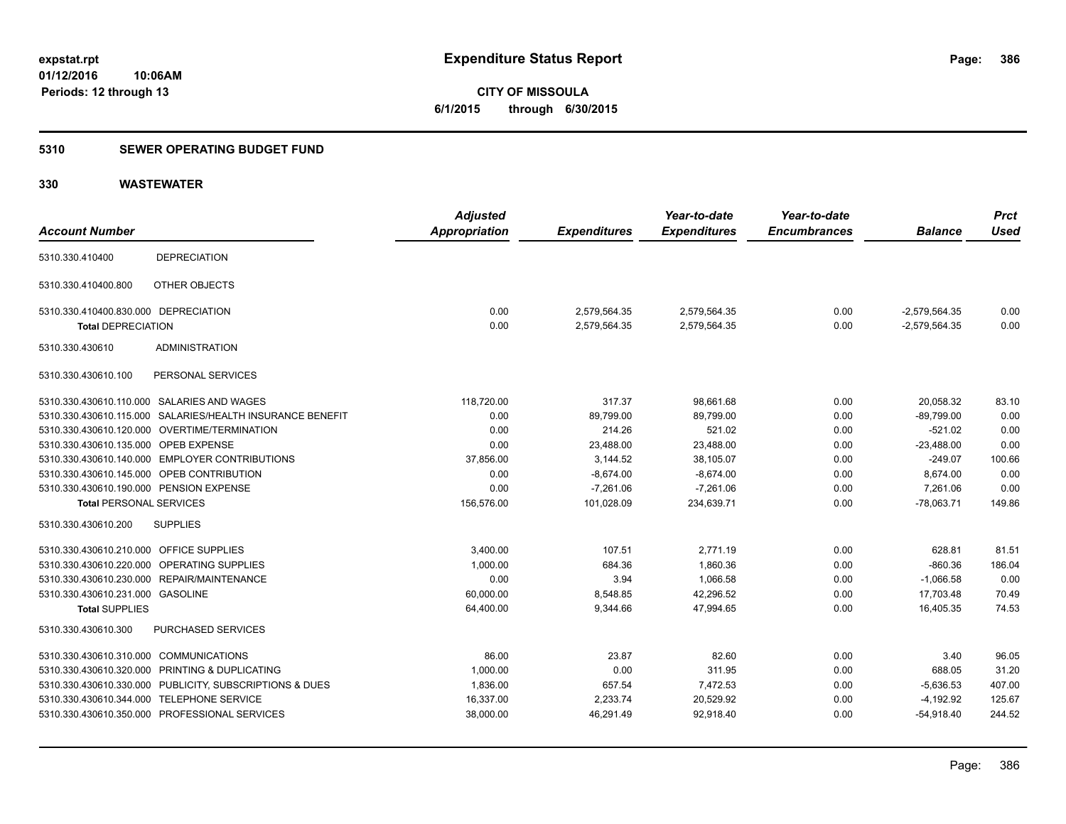**386**

**01/12/2016 10:06AM Periods: 12 through 13**

**CITY OF MISSOULA 6/1/2015 through 6/30/2015**

#### **5310 SEWER OPERATING BUDGET FUND**

| <b>Account Number</b>                   |                                                           | <b>Adjusted</b><br><b>Appropriation</b> | <b>Expenditures</b> | Year-to-date<br><b>Expenditures</b> | Year-to-date<br><b>Encumbrances</b> | <b>Balance</b>  | <b>Prct</b><br><b>Used</b> |
|-----------------------------------------|-----------------------------------------------------------|-----------------------------------------|---------------------|-------------------------------------|-------------------------------------|-----------------|----------------------------|
|                                         |                                                           |                                         |                     |                                     |                                     |                 |                            |
| 5310.330.410400                         | <b>DEPRECIATION</b>                                       |                                         |                     |                                     |                                     |                 |                            |
| 5310.330.410400.800                     | OTHER OBJECTS                                             |                                         |                     |                                     |                                     |                 |                            |
| 5310.330.410400.830.000 DEPRECIATION    |                                                           | 0.00                                    | 2,579,564.35        | 2,579,564.35                        | 0.00                                | $-2,579,564.35$ | 0.00                       |
| <b>Total DEPRECIATION</b>               |                                                           | 0.00                                    | 2,579,564.35        | 2,579,564.35                        | 0.00                                | $-2,579,564.35$ | 0.00                       |
| 5310.330.430610                         | <b>ADMINISTRATION</b>                                     |                                         |                     |                                     |                                     |                 |                            |
| 5310.330.430610.100                     | PERSONAL SERVICES                                         |                                         |                     |                                     |                                     |                 |                            |
|                                         | 5310.330.430610.110.000 SALARIES AND WAGES                | 118,720.00                              | 317.37              | 98,661.68                           | 0.00                                | 20,058.32       | 83.10                      |
|                                         | 5310.330.430610.115.000 SALARIES/HEALTH INSURANCE BENEFIT | 0.00                                    | 89,799.00           | 89,799.00                           | 0.00                                | $-89,799.00$    | 0.00                       |
|                                         | 5310.330.430610.120.000 OVERTIME/TERMINATION              | 0.00                                    | 214.26              | 521.02                              | 0.00                                | $-521.02$       | 0.00                       |
| 5310.330.430610.135.000 OPEB EXPENSE    |                                                           | 0.00                                    | 23,488.00           | 23,488.00                           | 0.00                                | $-23,488.00$    | 0.00                       |
|                                         | 5310.330.430610.140.000 EMPLOYER CONTRIBUTIONS            | 37,856.00                               | 3,144.52            | 38,105.07                           | 0.00                                | $-249.07$       | 100.66                     |
|                                         | 5310.330.430610.145.000 OPEB CONTRIBUTION                 | 0.00                                    | $-8,674.00$         | $-8,674.00$                         | 0.00                                | 8,674.00        | 0.00                       |
| 5310.330.430610.190.000 PENSION EXPENSE |                                                           | 0.00                                    | $-7,261.06$         | $-7,261.06$                         | 0.00                                | 7,261.06        | 0.00                       |
| <b>Total PERSONAL SERVICES</b>          |                                                           | 156,576.00                              | 101,028.09          | 234,639.71                          | 0.00                                | $-78,063.71$    | 149.86                     |
| 5310.330.430610.200                     | <b>SUPPLIES</b>                                           |                                         |                     |                                     |                                     |                 |                            |
| 5310.330.430610.210.000 OFFICE SUPPLIES |                                                           | 3,400.00                                | 107.51              | 2.771.19                            | 0.00                                | 628.81          | 81.51                      |
|                                         | 5310.330.430610.220.000 OPERATING SUPPLIES                | 1,000.00                                | 684.36              | 1,860.36                            | 0.00                                | $-860.36$       | 186.04                     |
|                                         | 5310.330.430610.230.000 REPAIR/MAINTENANCE                | 0.00                                    | 3.94                | 1.066.58                            | 0.00                                | $-1,066.58$     | 0.00                       |
| 5310.330.430610.231.000 GASOLINE        |                                                           | 60,000.00                               | 8,548.85            | 42,296.52                           | 0.00                                | 17,703.48       | 70.49                      |
| <b>Total SUPPLIES</b>                   |                                                           | 64,400.00                               | 9,344.66            | 47.994.65                           | 0.00                                | 16.405.35       | 74.53                      |
| 5310.330.430610.300                     | PURCHASED SERVICES                                        |                                         |                     |                                     |                                     |                 |                            |
| 5310.330.430610.310.000 COMMUNICATIONS  |                                                           | 86.00                                   | 23.87               | 82.60                               | 0.00                                | 3.40            | 96.05                      |
|                                         | 5310.330.430610.320.000 PRINTING & DUPLICATING            | 1,000.00                                | 0.00                | 311.95                              | 0.00                                | 688.05          | 31.20                      |
|                                         | 5310.330.430610.330.000 PUBLICITY, SUBSCRIPTIONS & DUES   | 1,836.00                                | 657.54              | 7,472.53                            | 0.00                                | $-5,636.53$     | 407.00                     |
| 5310.330.430610.344.000                 | <b>TELEPHONE SERVICE</b>                                  | 16,337.00                               | 2,233.74            | 20,529.92                           | 0.00                                | $-4,192.92$     | 125.67                     |
|                                         | 5310.330.430610.350.000 PROFESSIONAL SERVICES             | 38,000.00                               | 46,291.49           | 92,918.40                           | 0.00                                | $-54,918.40$    | 244.52                     |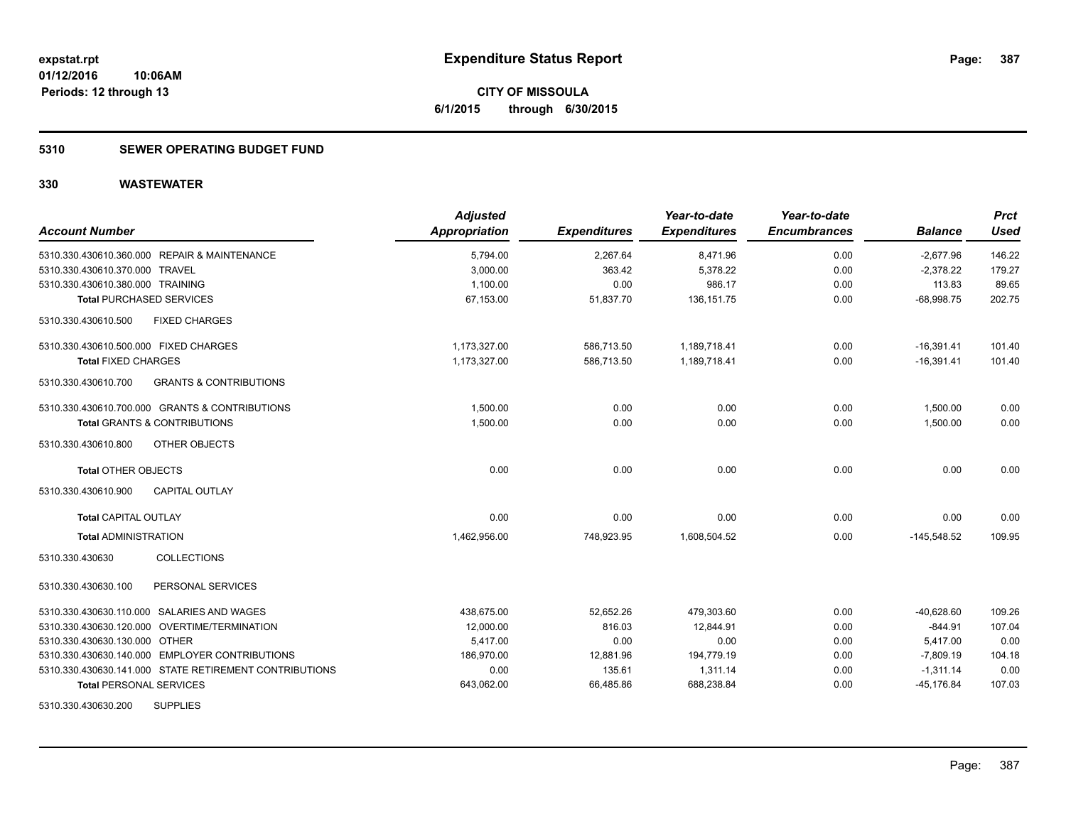### **5310 SEWER OPERATING BUDGET FUND**

| <b>Account Number</b>                                    | <b>Adjusted</b><br>Appropriation | <b>Expenditures</b> | Year-to-date<br><b>Expenditures</b> | Year-to-date<br><b>Encumbrances</b> | <b>Balance</b> | <b>Prct</b><br><b>Used</b> |
|----------------------------------------------------------|----------------------------------|---------------------|-------------------------------------|-------------------------------------|----------------|----------------------------|
| 5310.330.430610.360.000 REPAIR & MAINTENANCE             | 5,794.00                         | 2,267.64            | 8,471.96                            | 0.00                                | $-2,677.96$    | 146.22                     |
| 5310.330.430610.370.000 TRAVEL                           | 3,000.00                         | 363.42              | 5,378.22                            | 0.00                                | $-2,378.22$    | 179.27                     |
| 5310.330.430610.380.000 TRAINING                         | 1,100.00                         | 0.00                | 986.17                              | 0.00                                | 113.83         | 89.65                      |
| <b>Total PURCHASED SERVICES</b>                          | 67,153.00                        | 51,837.70           | 136, 151.75                         | 0.00                                | $-68,998.75$   | 202.75                     |
| 5310.330.430610.500<br><b>FIXED CHARGES</b>              |                                  |                     |                                     |                                     |                |                            |
| 5310.330.430610.500.000 FIXED CHARGES                    | 1.173.327.00                     | 586,713.50          | 1,189,718.41                        | 0.00                                | $-16,391.41$   | 101.40                     |
| <b>Total FIXED CHARGES</b>                               | 1,173,327.00                     | 586,713.50          | 1,189,718.41                        | 0.00                                | $-16,391.41$   | 101.40                     |
| 5310.330.430610.700<br><b>GRANTS &amp; CONTRIBUTIONS</b> |                                  |                     |                                     |                                     |                |                            |
| 5310.330.430610.700.000 GRANTS & CONTRIBUTIONS           | 1.500.00                         | 0.00                | 0.00                                | 0.00                                | 1,500.00       | 0.00                       |
| <b>Total GRANTS &amp; CONTRIBUTIONS</b>                  | 1,500.00                         | 0.00                | 0.00                                | 0.00                                | 1,500.00       | 0.00                       |
| 5310.330.430610.800<br>OTHER OBJECTS                     |                                  |                     |                                     |                                     |                |                            |
| <b>Total OTHER OBJECTS</b>                               | 0.00                             | 0.00                | 0.00                                | 0.00                                | 0.00           | 0.00                       |
| <b>CAPITAL OUTLAY</b><br>5310.330.430610.900             |                                  |                     |                                     |                                     |                |                            |
| <b>Total CAPITAL OUTLAY</b>                              | 0.00                             | 0.00                | 0.00                                | 0.00                                | 0.00           | 0.00                       |
| <b>Total ADMINISTRATION</b>                              | 1,462,956.00                     | 748,923.95          | 1,608,504.52                        | 0.00                                | $-145,548.52$  | 109.95                     |
| 5310.330.430630<br>COLLECTIONS                           |                                  |                     |                                     |                                     |                |                            |
| 5310.330.430630.100<br>PERSONAL SERVICES                 |                                  |                     |                                     |                                     |                |                            |
| 5310.330.430630.110.000 SALARIES AND WAGES               | 438,675.00                       | 52,652.26           | 479,303.60                          | 0.00                                | $-40,628.60$   | 109.26                     |
| 5310.330.430630.120.000 OVERTIME/TERMINATION             | 12,000.00                        | 816.03              | 12,844.91                           | 0.00                                | $-844.91$      | 107.04                     |
| 5310.330.430630.130.000 OTHER                            | 5,417.00                         | 0.00                | 0.00                                | 0.00                                | 5,417.00       | 0.00                       |
| 5310.330.430630.140.000 EMPLOYER CONTRIBUTIONS           | 186,970.00                       | 12,881.96           | 194,779.19                          | 0.00                                | $-7,809.19$    | 104.18                     |
| 5310.330.430630.141.000 STATE RETIREMENT CONTRIBUTIONS   | 0.00                             | 135.61              | 1,311.14                            | 0.00                                | $-1,311.14$    | 0.00                       |
| <b>Total PERSONAL SERVICES</b>                           | 643,062.00                       | 66,485.86           | 688,238.84                          | 0.00                                | $-45, 176.84$  | 107.03                     |
| <b>SUPPLIES</b><br>5310.330.430630.200                   |                                  |                     |                                     |                                     |                |                            |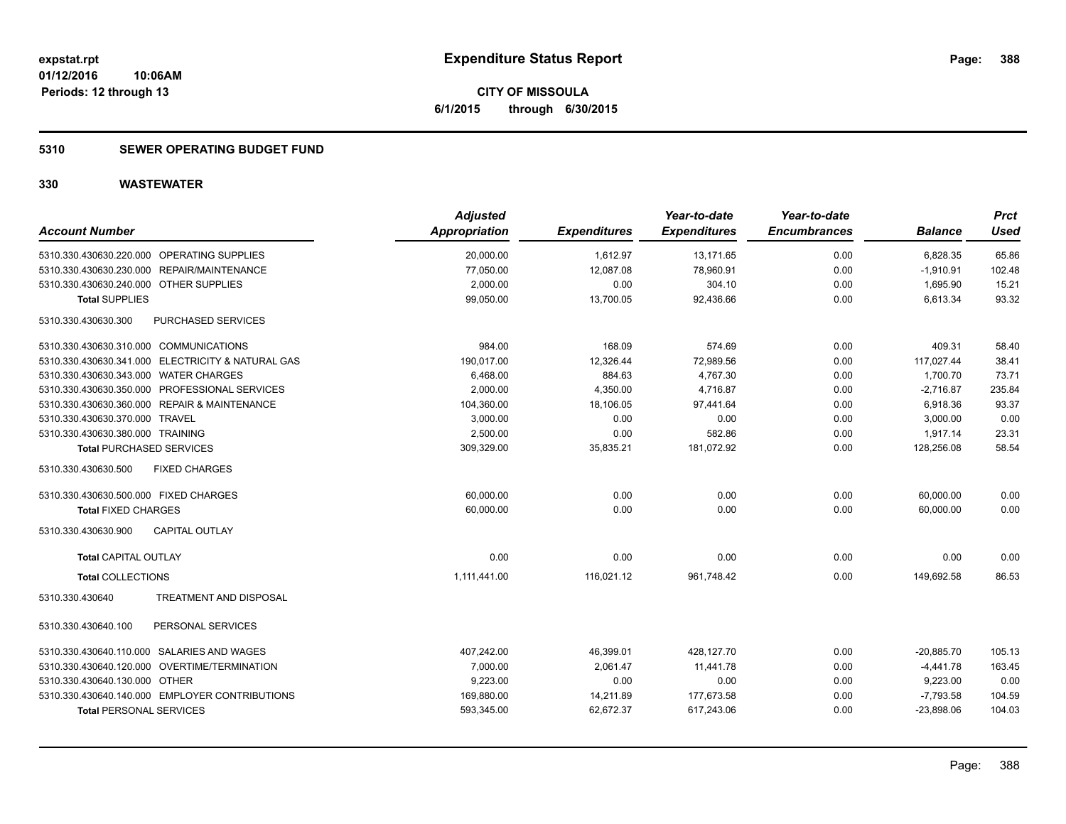### **5310 SEWER OPERATING BUDGET FUND**

| <b>Account Number</b>                             | <b>Adjusted</b><br>Appropriation | <b>Expenditures</b> | Year-to-date<br><b>Expenditures</b> | Year-to-date<br><b>Encumbrances</b> | <b>Balance</b> | <b>Prct</b><br><b>Used</b> |
|---------------------------------------------------|----------------------------------|---------------------|-------------------------------------|-------------------------------------|----------------|----------------------------|
| 5310.330.430630.220.000 OPERATING SUPPLIES        | 20,000.00                        | 1,612.97            | 13,171.65                           | 0.00                                | 6,828.35       | 65.86                      |
| 5310.330.430630.230.000 REPAIR/MAINTENANCE        | 77,050.00                        | 12,087.08           | 78,960.91                           | 0.00                                | $-1,910.91$    | 102.48                     |
| 5310.330.430630.240.000 OTHER SUPPLIES            | 2,000.00                         | 0.00                | 304.10                              | 0.00                                | 1,695.90       | 15.21                      |
| <b>Total SUPPLIES</b>                             | 99,050.00                        | 13,700.05           | 92,436.66                           | 0.00                                | 6,613.34       | 93.32                      |
| 5310.330.430630.300<br>PURCHASED SERVICES         |                                  |                     |                                     |                                     |                |                            |
| 5310.330.430630.310.000 COMMUNICATIONS            | 984.00                           | 168.09              | 574.69                              | 0.00                                | 409.31         | 58.40                      |
| 5310.330.430630.341.000 ELECTRICITY & NATURAL GAS | 190,017.00                       | 12,326.44           | 72,989.56                           | 0.00                                | 117,027.44     | 38.41                      |
| 5310.330.430630.343.000 WATER CHARGES             | 6,468.00                         | 884.63              | 4,767.30                            | 0.00                                | 1,700.70       | 73.71                      |
| 5310.330.430630.350.000 PROFESSIONAL SERVICES     | 2,000.00                         | 4,350.00            | 4,716.87                            | 0.00                                | $-2,716.87$    | 235.84                     |
| 5310.330.430630.360.000 REPAIR & MAINTENANCE      | 104,360.00                       | 18,106.05           | 97,441.64                           | 0.00                                | 6,918.36       | 93.37                      |
| 5310.330.430630.370.000 TRAVEL                    | 3,000.00                         | 0.00                | 0.00                                | 0.00                                | 3,000.00       | 0.00                       |
| 5310.330.430630.380.000 TRAINING                  | 2,500.00                         | 0.00                | 582.86                              | 0.00                                | 1,917.14       | 23.31                      |
| <b>Total PURCHASED SERVICES</b>                   | 309,329.00                       | 35,835.21           | 181,072.92                          | 0.00                                | 128,256.08     | 58.54                      |
| 5310.330.430630.500<br><b>FIXED CHARGES</b>       |                                  |                     |                                     |                                     |                |                            |
| 5310.330.430630.500.000 FIXED CHARGES             | 60,000.00                        | 0.00                | 0.00                                | 0.00                                | 60,000.00      | 0.00                       |
| <b>Total FIXED CHARGES</b>                        | 60,000.00                        | 0.00                | 0.00                                | 0.00                                | 60.000.00      | 0.00                       |
| 5310.330.430630.900<br><b>CAPITAL OUTLAY</b>      |                                  |                     |                                     |                                     |                |                            |
| <b>Total CAPITAL OUTLAY</b>                       | 0.00                             | 0.00                | 0.00                                | 0.00                                | 0.00           | 0.00                       |
| <b>Total COLLECTIONS</b>                          | 1,111,441.00                     | 116,021.12          | 961,748.42                          | 0.00                                | 149,692.58     | 86.53                      |
| 5310.330.430640<br><b>TREATMENT AND DISPOSAL</b>  |                                  |                     |                                     |                                     |                |                            |
| 5310.330.430640.100<br>PERSONAL SERVICES          |                                  |                     |                                     |                                     |                |                            |
| 5310.330.430640.110.000 SALARIES AND WAGES        | 407,242.00                       | 46,399.01           | 428,127.70                          | 0.00                                | $-20,885.70$   | 105.13                     |
| 5310.330.430640.120.000 OVERTIME/TERMINATION      | 7,000.00                         | 2,061.47            | 11,441.78                           | 0.00                                | $-4,441.78$    | 163.45                     |
| 5310.330.430640.130.000 OTHER                     | 9,223.00                         | 0.00                | 0.00                                | 0.00                                | 9,223.00       | 0.00                       |
| 5310.330.430640.140.000 EMPLOYER CONTRIBUTIONS    | 169,880.00                       | 14,211.89           | 177,673.58                          | 0.00                                | $-7,793.58$    | 104.59                     |
| <b>Total PERSONAL SERVICES</b>                    | 593,345.00                       | 62,672.37           | 617,243.06                          | 0.00                                | $-23,898.06$   | 104.03                     |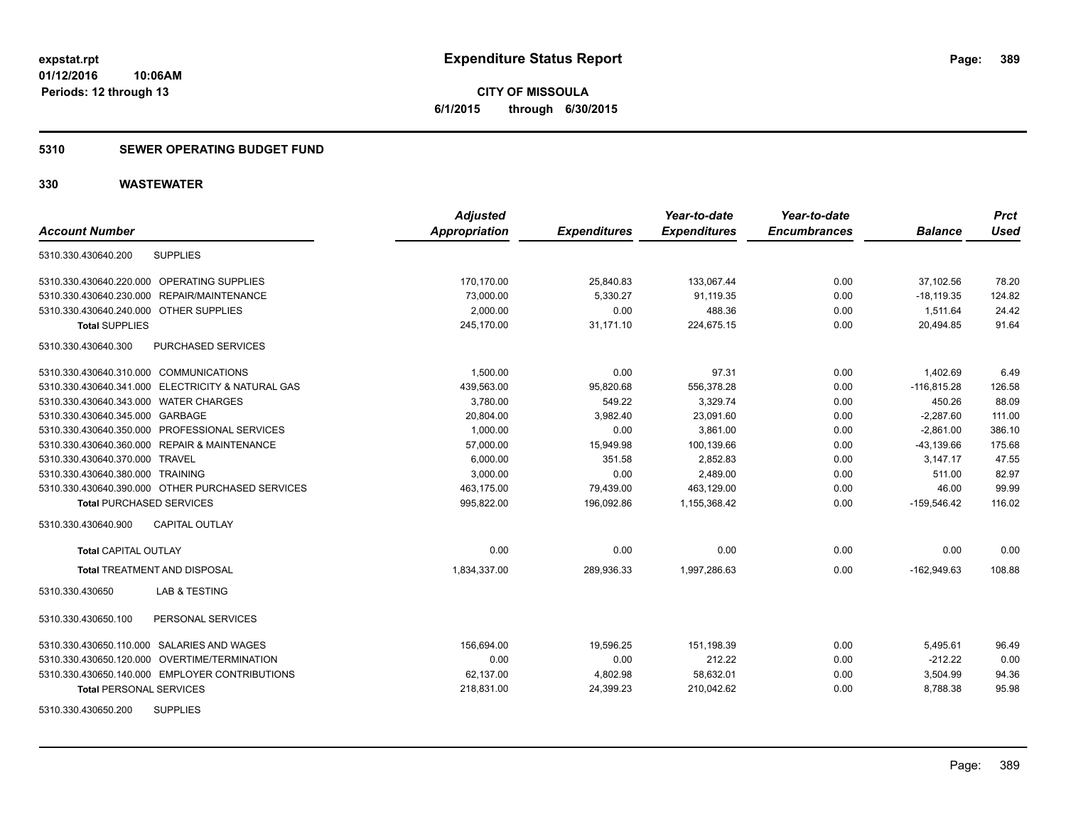### **5310 SEWER OPERATING BUDGET FUND**

| <b>Account Number</b>                             | <b>Adjusted</b><br><b>Appropriation</b> | <b>Expenditures</b> | Year-to-date<br><b>Expenditures</b> | Year-to-date<br><b>Encumbrances</b> | <b>Balance</b> | <b>Prct</b><br><b>Used</b> |
|---------------------------------------------------|-----------------------------------------|---------------------|-------------------------------------|-------------------------------------|----------------|----------------------------|
|                                                   |                                         |                     |                                     |                                     |                |                            |
| <b>SUPPLIES</b><br>5310.330.430640.200            |                                         |                     |                                     |                                     |                |                            |
| 5310.330.430640.220.000 OPERATING SUPPLIES        | 170,170.00                              | 25,840.83           | 133,067.44                          | 0.00                                | 37,102.56      | 78.20                      |
| 5310.330.430640.230.000 REPAIR/MAINTENANCE        | 73,000.00                               | 5,330.27            | 91,119.35                           | 0.00                                | $-18,119.35$   | 124.82                     |
| 5310.330.430640.240.000 OTHER SUPPLIES            | 2,000.00                                | 0.00                | 488.36                              | 0.00                                | 1,511.64       | 24.42                      |
| <b>Total SUPPLIES</b>                             | 245,170.00                              | 31,171.10           | 224,675.15                          | 0.00                                | 20,494.85      | 91.64                      |
| PURCHASED SERVICES<br>5310.330.430640.300         |                                         |                     |                                     |                                     |                |                            |
| 5310.330.430640.310.000 COMMUNICATIONS            | 1,500.00                                | 0.00                | 97.31                               | 0.00                                | 1,402.69       | 6.49                       |
| 5310.330.430640.341.000 ELECTRICITY & NATURAL GAS | 439.563.00                              | 95,820.68           | 556,378.28                          | 0.00                                | $-116.815.28$  | 126.58                     |
| 5310.330.430640.343.000 WATER CHARGES             | 3,780.00                                | 549.22              | 3,329.74                            | 0.00                                | 450.26         | 88.09                      |
| 5310.330.430640.345.000 GARBAGE                   | 20,804.00                               | 3,982.40            | 23,091.60                           | 0.00                                | $-2.287.60$    | 111.00                     |
| 5310.330.430640.350.000 PROFESSIONAL SERVICES     | 1,000.00                                | 0.00                | 3,861.00                            | 0.00                                | $-2,861.00$    | 386.10                     |
| 5310.330.430640.360.000 REPAIR & MAINTENANCE      | 57,000.00                               | 15,949.98           | 100,139.66                          | 0.00                                | $-43,139.66$   | 175.68                     |
| 5310.330.430640.370.000 TRAVEL                    | 6,000.00                                | 351.58              | 2,852.83                            | 0.00                                | 3.147.17       | 47.55                      |
| 5310.330.430640.380.000 TRAINING                  | 3,000.00                                | 0.00                | 2.489.00                            | 0.00                                | 511.00         | 82.97                      |
| 5310.330.430640.390.000 OTHER PURCHASED SERVICES  | 463,175.00                              | 79,439.00           | 463,129.00                          | 0.00                                | 46.00          | 99.99                      |
| <b>Total PURCHASED SERVICES</b>                   | 995,822.00                              | 196,092.86          | 1,155,368.42                        | 0.00                                | $-159,546.42$  | 116.02                     |
| 5310.330.430640.900<br><b>CAPITAL OUTLAY</b>      |                                         |                     |                                     |                                     |                |                            |
| <b>Total CAPITAL OUTLAY</b>                       | 0.00                                    | 0.00                | 0.00                                | 0.00                                | 0.00           | 0.00                       |
| <b>Total TREATMENT AND DISPOSAL</b>               | 1,834,337.00                            | 289,936.33          | 1,997,286.63                        | 0.00                                | $-162,949.63$  | 108.88                     |
| <b>LAB &amp; TESTING</b><br>5310.330.430650       |                                         |                     |                                     |                                     |                |                            |
| 5310.330.430650.100<br>PERSONAL SERVICES          |                                         |                     |                                     |                                     |                |                            |
| 5310.330.430650.110.000 SALARIES AND WAGES        | 156,694.00                              | 19,596.25           | 151,198.39                          | 0.00                                | 5,495.61       | 96.49                      |
| 5310.330.430650.120.000 OVERTIME/TERMINATION      | 0.00                                    | 0.00                | 212.22                              | 0.00                                | $-212.22$      | 0.00                       |
| 5310.330.430650.140.000 EMPLOYER CONTRIBUTIONS    | 62,137.00                               | 4,802.98            | 58,632.01                           | 0.00                                | 3,504.99       | 94.36                      |
| <b>Total PERSONAL SERVICES</b>                    | 218,831.00                              | 24,399.23           | 210,042.62                          | 0.00                                | 8,788.38       | 95.98                      |
| <b>SUPPLIES</b><br>5310.330.430650.200            |                                         |                     |                                     |                                     |                |                            |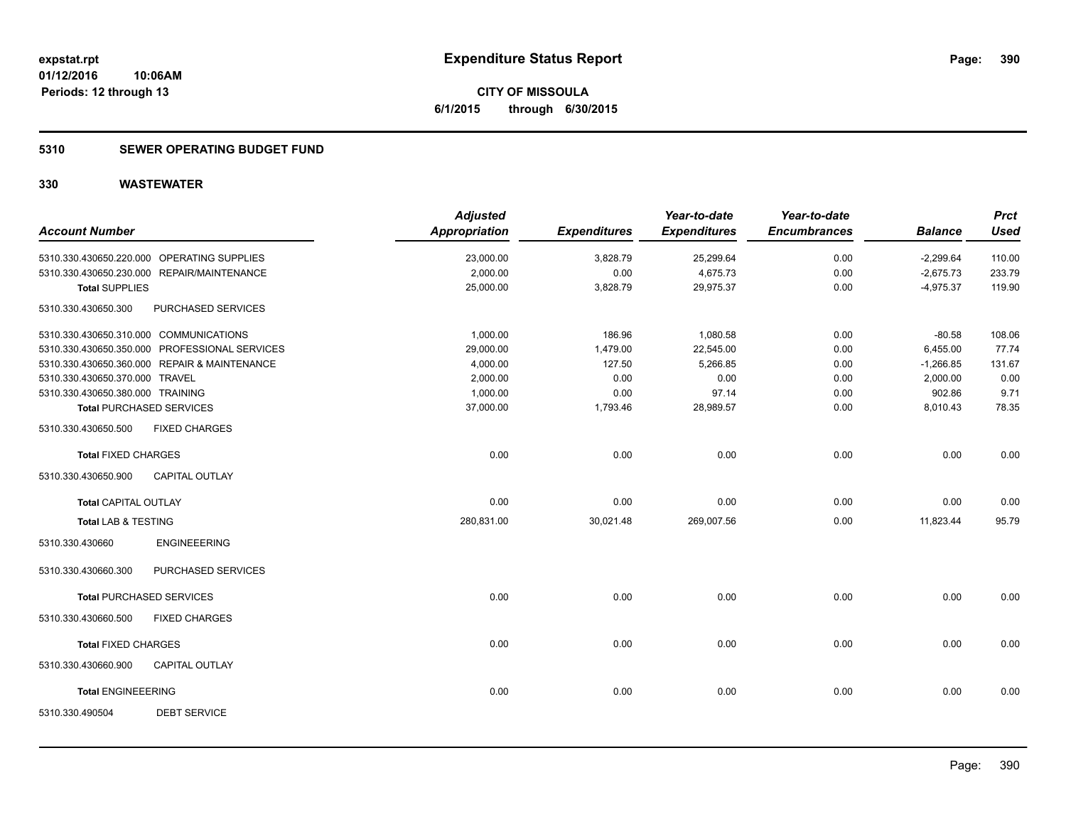### **5310 SEWER OPERATING BUDGET FUND**

| <b>Account Number</b>                  |                                               | <b>Adjusted</b><br><b>Appropriation</b> | <b>Expenditures</b> | Year-to-date<br><b>Expenditures</b> | Year-to-date<br><b>Encumbrances</b> | <b>Balance</b> | <b>Prct</b><br><b>Used</b> |
|----------------------------------------|-----------------------------------------------|-----------------------------------------|---------------------|-------------------------------------|-------------------------------------|----------------|----------------------------|
|                                        | 5310.330.430650.220.000 OPERATING SUPPLIES    | 23,000.00                               | 3,828.79            | 25,299.64                           | 0.00                                | $-2,299.64$    | 110.00                     |
|                                        | 5310.330.430650.230.000 REPAIR/MAINTENANCE    | 2,000.00                                | 0.00                | 4,675.73                            | 0.00                                | $-2,675.73$    | 233.79                     |
| <b>Total SUPPLIES</b>                  |                                               | 25,000.00                               | 3,828.79            | 29,975.37                           | 0.00                                | $-4,975.37$    | 119.90                     |
| 5310.330.430650.300                    | PURCHASED SERVICES                            |                                         |                     |                                     |                                     |                |                            |
| 5310.330.430650.310.000 COMMUNICATIONS |                                               | 1,000.00                                | 186.96              | 1,080.58                            | 0.00                                | $-80.58$       | 108.06                     |
|                                        | 5310.330.430650.350.000 PROFESSIONAL SERVICES | 29,000.00                               | 1,479.00            | 22,545.00                           | 0.00                                | 6,455.00       | 77.74                      |
|                                        | 5310.330.430650.360.000 REPAIR & MAINTENANCE  | 4,000.00                                | 127.50              | 5,266.85                            | 0.00                                | $-1,266.85$    | 131.67                     |
| 5310.330.430650.370.000 TRAVEL         |                                               | 2,000.00                                | 0.00                | 0.00                                | 0.00                                | 2,000.00       | 0.00                       |
| 5310.330.430650.380.000 TRAINING       |                                               | 1,000.00                                | 0.00                | 97.14                               | 0.00                                | 902.86         | 9.71                       |
| <b>Total PURCHASED SERVICES</b>        |                                               | 37,000.00                               | 1,793.46            | 28,989.57                           | 0.00                                | 8,010.43       | 78.35                      |
| 5310.330.430650.500                    | <b>FIXED CHARGES</b>                          |                                         |                     |                                     |                                     |                |                            |
| <b>Total FIXED CHARGES</b>             |                                               | 0.00                                    | 0.00                | 0.00                                | 0.00                                | 0.00           | 0.00                       |
| 5310.330.430650.900                    | CAPITAL OUTLAY                                |                                         |                     |                                     |                                     |                |                            |
| <b>Total CAPITAL OUTLAY</b>            |                                               | 0.00                                    | 0.00                | 0.00                                | 0.00                                | 0.00           | 0.00                       |
| <b>Total LAB &amp; TESTING</b>         |                                               | 280,831.00                              | 30,021.48           | 269,007.56                          | 0.00                                | 11,823.44      | 95.79                      |
| 5310.330.430660                        | <b>ENGINEEERING</b>                           |                                         |                     |                                     |                                     |                |                            |
| 5310.330.430660.300                    | PURCHASED SERVICES                            |                                         |                     |                                     |                                     |                |                            |
| <b>Total PURCHASED SERVICES</b>        |                                               | 0.00                                    | 0.00                | 0.00                                | 0.00                                | 0.00           | 0.00                       |
| 5310.330.430660.500                    | <b>FIXED CHARGES</b>                          |                                         |                     |                                     |                                     |                |                            |
| <b>Total FIXED CHARGES</b>             |                                               | 0.00                                    | 0.00                | 0.00                                | 0.00                                | 0.00           | 0.00                       |
| 5310.330.430660.900                    | <b>CAPITAL OUTLAY</b>                         |                                         |                     |                                     |                                     |                |                            |
| <b>Total ENGINEEERING</b>              |                                               | 0.00                                    | 0.00                | 0.00                                | 0.00                                | 0.00           | 0.00                       |
| 5310.330.490504                        | <b>DEBT SERVICE</b>                           |                                         |                     |                                     |                                     |                |                            |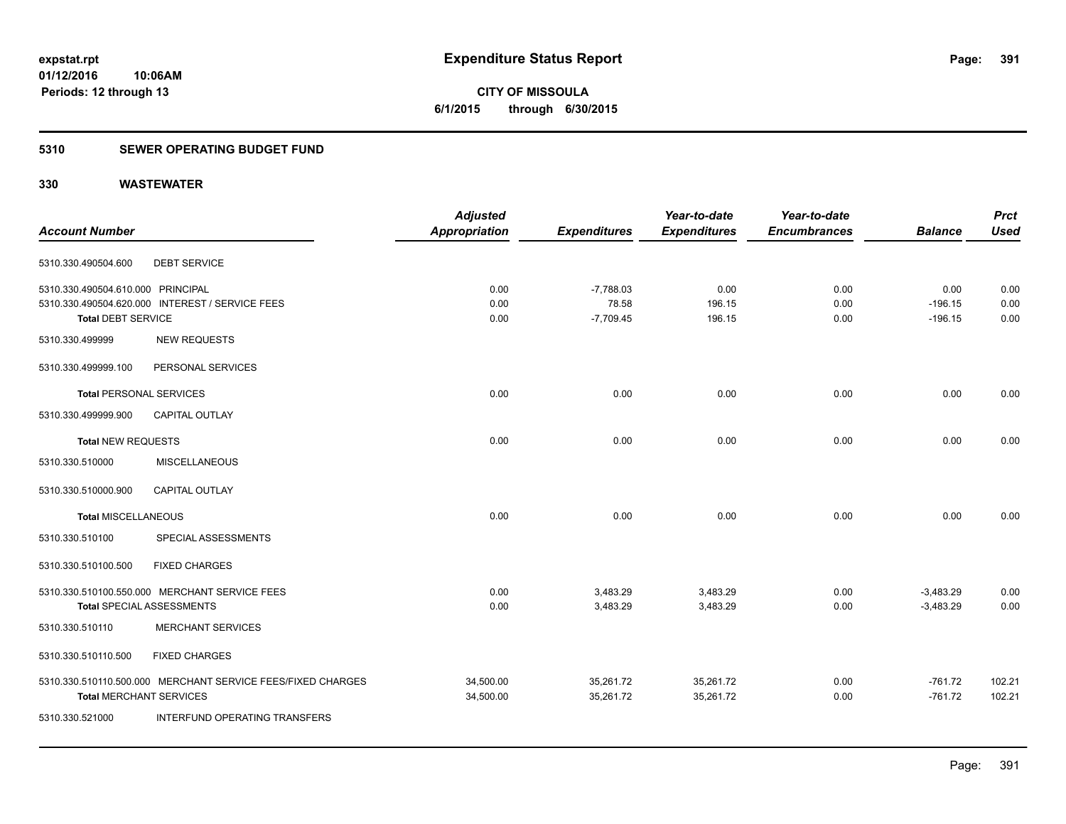**391**

**01/12/2016 10:06AM Periods: 12 through 13**

# **CITY OF MISSOULA 6/1/2015 through 6/30/2015**

#### **5310 SEWER OPERATING BUDGET FUND**

|                                   |                                                             | <b>Adjusted</b> |                     | Year-to-date        | Year-to-date        |                | <b>Prct</b> |
|-----------------------------------|-------------------------------------------------------------|-----------------|---------------------|---------------------|---------------------|----------------|-------------|
| <b>Account Number</b>             |                                                             | Appropriation   | <b>Expenditures</b> | <b>Expenditures</b> | <b>Encumbrances</b> | <b>Balance</b> | <b>Used</b> |
| 5310.330.490504.600               | <b>DEBT SERVICE</b>                                         |                 |                     |                     |                     |                |             |
| 5310.330.490504.610.000 PRINCIPAL |                                                             | 0.00            | $-7,788.03$         | 0.00                | 0.00                | 0.00           | 0.00        |
|                                   | 5310.330.490504.620.000 INTEREST / SERVICE FEES             | 0.00            | 78.58               | 196.15              | 0.00                | $-196.15$      | 0.00        |
| <b>Total DEBT SERVICE</b>         |                                                             | 0.00            | $-7,709.45$         | 196.15              | 0.00                | $-196.15$      | 0.00        |
| 5310.330.499999                   | <b>NEW REQUESTS</b>                                         |                 |                     |                     |                     |                |             |
| 5310.330.499999.100               | PERSONAL SERVICES                                           |                 |                     |                     |                     |                |             |
| <b>Total PERSONAL SERVICES</b>    |                                                             | 0.00            | 0.00                | 0.00                | 0.00                | 0.00           | 0.00        |
| 5310.330.499999.900               | <b>CAPITAL OUTLAY</b>                                       |                 |                     |                     |                     |                |             |
| <b>Total NEW REQUESTS</b>         |                                                             | 0.00            | 0.00                | 0.00                | 0.00                | 0.00           | 0.00        |
| 5310.330.510000                   | <b>MISCELLANEOUS</b>                                        |                 |                     |                     |                     |                |             |
| 5310.330.510000.900               | CAPITAL OUTLAY                                              |                 |                     |                     |                     |                |             |
| <b>Total MISCELLANEOUS</b>        |                                                             | 0.00            | 0.00                | 0.00                | 0.00                | 0.00           | 0.00        |
| 5310.330.510100                   | SPECIAL ASSESSMENTS                                         |                 |                     |                     |                     |                |             |
| 5310.330.510100.500               | <b>FIXED CHARGES</b>                                        |                 |                     |                     |                     |                |             |
|                                   | 5310.330.510100.550.000 MERCHANT SERVICE FEES               | 0.00            | 3,483.29            | 3,483.29            | 0.00                | $-3,483.29$    | 0.00        |
|                                   | <b>Total SPECIAL ASSESSMENTS</b>                            | 0.00            | 3,483.29            | 3,483.29            | 0.00                | $-3,483.29$    | 0.00        |
| 5310.330.510110                   | <b>MERCHANT SERVICES</b>                                    |                 |                     |                     |                     |                |             |
| 5310.330.510110.500               | <b>FIXED CHARGES</b>                                        |                 |                     |                     |                     |                |             |
|                                   | 5310.330.510110.500.000 MERCHANT SERVICE FEES/FIXED CHARGES | 34,500.00       | 35,261.72           | 35,261.72           | 0.00                | $-761.72$      | 102.21      |
| <b>Total MERCHANT SERVICES</b>    |                                                             | 34,500.00       | 35,261.72           | 35,261.72           | 0.00                | $-761.72$      | 102.21      |
| 5310.330.521000                   | INTERFUND OPERATING TRANSFERS                               |                 |                     |                     |                     |                |             |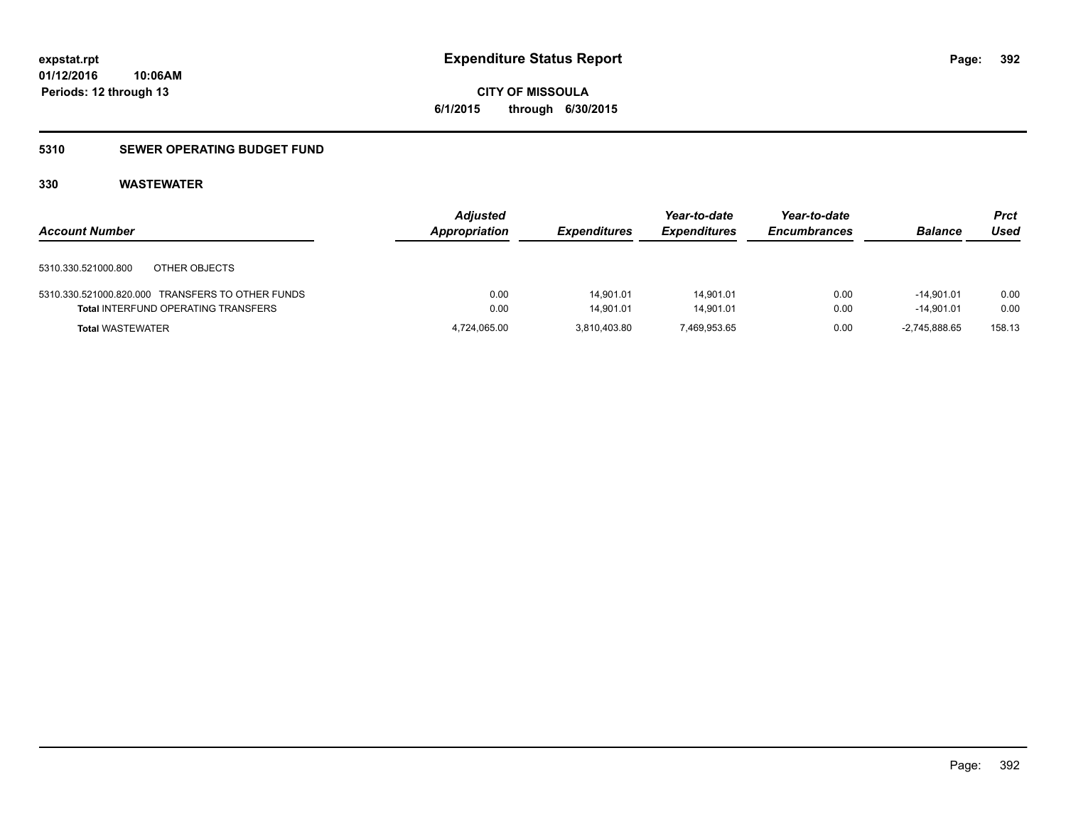**CITY OF MISSOULA 6/1/2015 through 6/30/2015**

### **5310 SEWER OPERATING BUDGET FUND**

| <b>Account Number</b>                            | <b>Adjusted</b><br>Appropriation | <b>Expenditures</b> | Year-to-date<br><b>Expenditures</b> | Year-to-date<br><b>Encumbrances</b> | <b>Balance</b> | Prct<br>Used |
|--------------------------------------------------|----------------------------------|---------------------|-------------------------------------|-------------------------------------|----------------|--------------|
| OTHER OBJECTS<br>5310.330.521000.800             |                                  |                     |                                     |                                     |                |              |
| 5310.330.521000.820.000 TRANSFERS TO OTHER FUNDS | 0.00                             | 14.901.01           | 14.901.01                           | 0.00                                | $-14.901.01$   | 0.00         |
| <b>Total INTERFUND OPERATING TRANSFERS</b>       | 0.00                             | 14.901.01           | 14.901.01                           | 0.00                                | $-14.901.01$   | 0.00         |
| <b>Total WASTEWATER</b>                          | 4,724,065.00                     | 3.810.403.80        | 7.469.953.65                        | 0.00                                | -2.745.888.65  | 158.13       |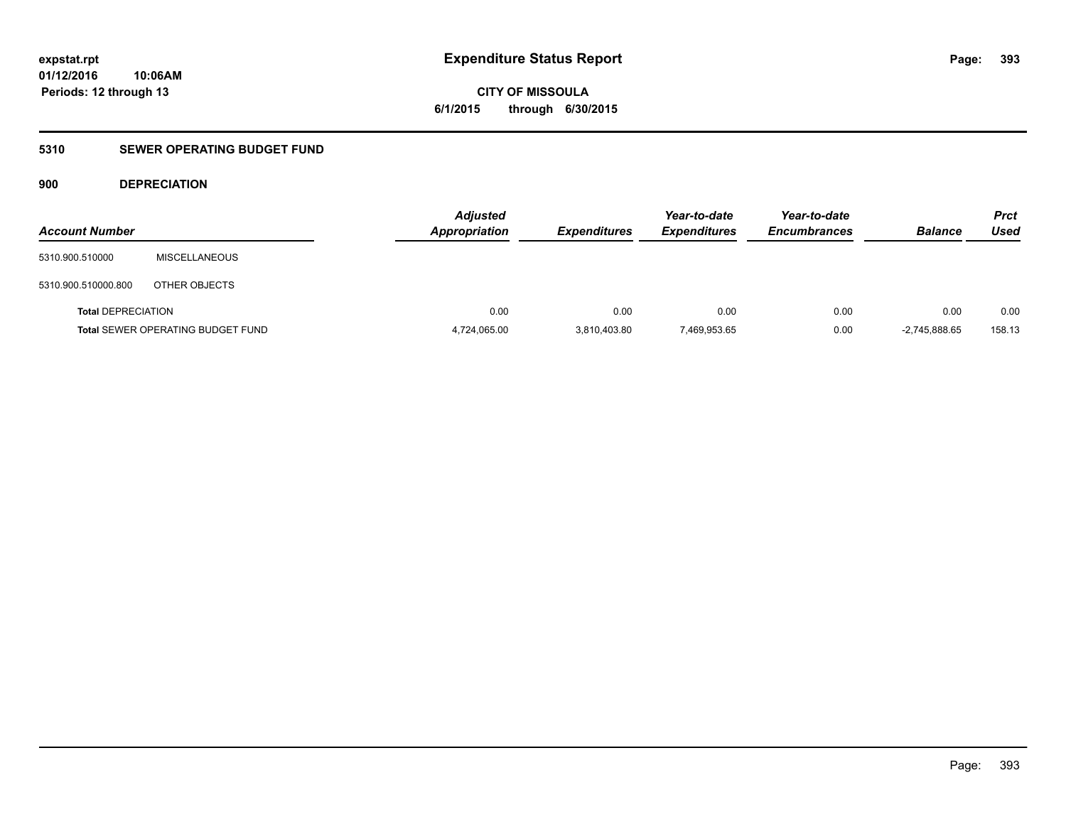**CITY OF MISSOULA 6/1/2015 through 6/30/2015**

### **5310 SEWER OPERATING BUDGET FUND**

### **900 DEPRECIATION**

| <b>Account Number</b>     |                                          | <b>Adjusted</b><br><b>Appropriation</b> | <b>Expenditures</b> | Year-to-date<br><b>Expenditures</b> | Year-to-date<br><b>Encumbrances</b> | <b>Balance</b>  | <b>Prct</b><br>Used |
|---------------------------|------------------------------------------|-----------------------------------------|---------------------|-------------------------------------|-------------------------------------|-----------------|---------------------|
| 5310.900.510000           | <b>MISCELLANEOUS</b>                     |                                         |                     |                                     |                                     |                 |                     |
| 5310.900.510000.800       | OTHER OBJECTS                            |                                         |                     |                                     |                                     |                 |                     |
| <b>Total DEPRECIATION</b> |                                          | 0.00                                    | 0.00                | 0.00                                | 0.00                                | 0.00            | 0.00                |
|                           | <b>Total SEWER OPERATING BUDGET FUND</b> | 4,724,065.00                            | 3,810,403.80        | 7,469,953.65                        | 0.00                                | $-2.745.888.65$ | 158.13              |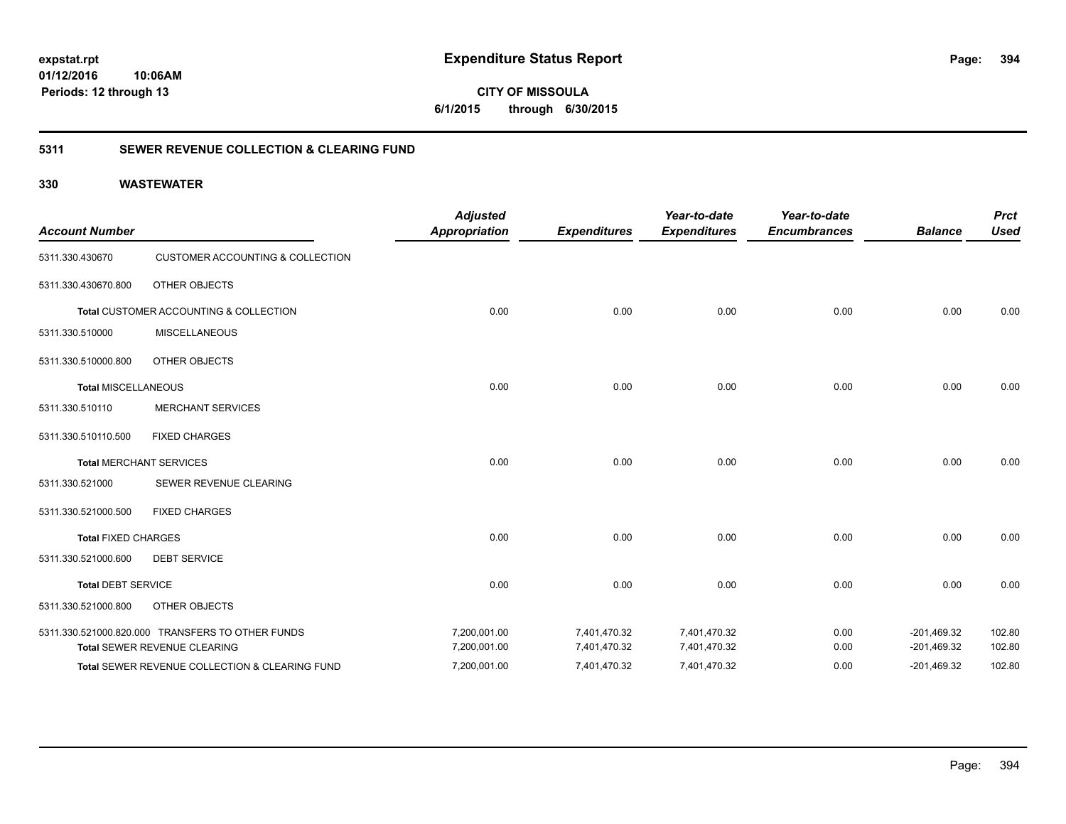**CITY OF MISSOULA 6/1/2015 through 6/30/2015**

### **5311 SEWER REVENUE COLLECTION & CLEARING FUND**

| <b>Account Number</b>      |                                                  | <b>Adjusted</b><br><b>Appropriation</b> | <b>Expenditures</b> | Year-to-date<br><b>Expenditures</b> | Year-to-date<br><b>Encumbrances</b> | <b>Balance</b> | <b>Prct</b><br><b>Used</b> |
|----------------------------|--------------------------------------------------|-----------------------------------------|---------------------|-------------------------------------|-------------------------------------|----------------|----------------------------|
| 5311.330.430670            | <b>CUSTOMER ACCOUNTING &amp; COLLECTION</b>      |                                         |                     |                                     |                                     |                |                            |
| 5311.330.430670.800        | <b>OTHER OBJECTS</b>                             |                                         |                     |                                     |                                     |                |                            |
|                            | Total CUSTOMER ACCOUNTING & COLLECTION           | 0.00                                    | 0.00                | 0.00                                | 0.00                                | 0.00           | 0.00                       |
| 5311.330.510000            | <b>MISCELLANEOUS</b>                             |                                         |                     |                                     |                                     |                |                            |
| 5311.330.510000.800        | <b>OTHER OBJECTS</b>                             |                                         |                     |                                     |                                     |                |                            |
| <b>Total MISCELLANEOUS</b> |                                                  | 0.00                                    | 0.00                | 0.00                                | 0.00                                | 0.00           | 0.00                       |
| 5311.330.510110            | <b>MERCHANT SERVICES</b>                         |                                         |                     |                                     |                                     |                |                            |
| 5311.330.510110.500        | <b>FIXED CHARGES</b>                             |                                         |                     |                                     |                                     |                |                            |
|                            | <b>Total MERCHANT SERVICES</b>                   | 0.00                                    | 0.00                | 0.00                                | 0.00                                | 0.00           | 0.00                       |
| 5311.330.521000            | SEWER REVENUE CLEARING                           |                                         |                     |                                     |                                     |                |                            |
| 5311.330.521000.500        | <b>FIXED CHARGES</b>                             |                                         |                     |                                     |                                     |                |                            |
| <b>Total FIXED CHARGES</b> |                                                  | 0.00                                    | 0.00                | 0.00                                | 0.00                                | 0.00           | 0.00                       |
| 5311.330.521000.600        | <b>DEBT SERVICE</b>                              |                                         |                     |                                     |                                     |                |                            |
| <b>Total DEBT SERVICE</b>  |                                                  | 0.00                                    | 0.00                | 0.00                                | 0.00                                | 0.00           | 0.00                       |
| 5311.330.521000.800        | <b>OTHER OBJECTS</b>                             |                                         |                     |                                     |                                     |                |                            |
|                            | 5311.330.521000.820.000 TRANSFERS TO OTHER FUNDS | 7,200,001.00                            | 7,401,470.32        | 7,401,470.32                        | 0.00                                | $-201,469.32$  | 102.80                     |
|                            | Total SEWER REVENUE CLEARING                     | 7,200,001.00                            | 7,401,470.32        | 7,401,470.32                        | 0.00                                | $-201,469.32$  | 102.80                     |
|                            | Total SEWER REVENUE COLLECTION & CLEARING FUND   | 7,200,001.00                            | 7,401,470.32        | 7,401,470.32                        | 0.00                                | $-201,469.32$  | 102.80                     |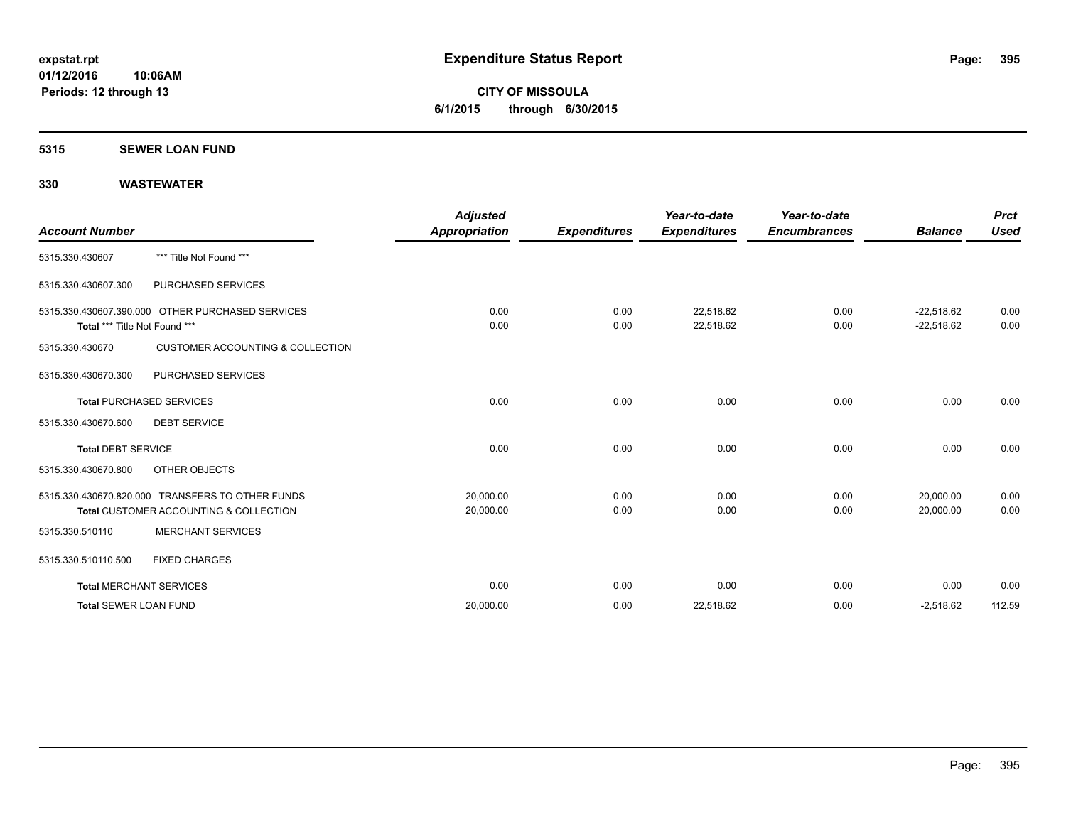**CITY OF MISSOULA 6/1/2015 through 6/30/2015**

#### **5315 SEWER LOAN FUND**

| <b>Account Number</b>          |                                                                                            | <b>Adjusted</b><br><b>Appropriation</b> | <b>Expenditures</b> | Year-to-date<br><b>Expenditures</b> | Year-to-date<br><b>Encumbrances</b> | <b>Balance</b>               | <b>Prct</b><br><b>Used</b> |
|--------------------------------|--------------------------------------------------------------------------------------------|-----------------------------------------|---------------------|-------------------------------------|-------------------------------------|------------------------------|----------------------------|
| 5315.330.430607                | *** Title Not Found ***                                                                    |                                         |                     |                                     |                                     |                              |                            |
| 5315.330.430607.300            | PURCHASED SERVICES                                                                         |                                         |                     |                                     |                                     |                              |                            |
| Total *** Title Not Found ***  | 5315.330.430607.390.000 OTHER PURCHASED SERVICES                                           | 0.00<br>0.00                            | 0.00<br>0.00        | 22,518.62<br>22,518.62              | 0.00<br>0.00                        | $-22,518.62$<br>$-22,518.62$ | 0.00<br>0.00               |
| 5315.330.430670                | <b>CUSTOMER ACCOUNTING &amp; COLLECTION</b>                                                |                                         |                     |                                     |                                     |                              |                            |
| 5315.330.430670.300            | PURCHASED SERVICES                                                                         |                                         |                     |                                     |                                     |                              |                            |
|                                | <b>Total PURCHASED SERVICES</b>                                                            | 0.00                                    | 0.00                | 0.00                                | 0.00                                | 0.00                         | 0.00                       |
| 5315.330.430670.600            | <b>DEBT SERVICE</b>                                                                        |                                         |                     |                                     |                                     |                              |                            |
| <b>Total DEBT SERVICE</b>      |                                                                                            | 0.00                                    | 0.00                | 0.00                                | 0.00                                | 0.00                         | 0.00                       |
| 5315.330.430670.800            | OTHER OBJECTS                                                                              |                                         |                     |                                     |                                     |                              |                            |
|                                | 5315.330.430670.820.000 TRANSFERS TO OTHER FUNDS<br>Total CUSTOMER ACCOUNTING & COLLECTION | 20,000.00<br>20,000.00                  | 0.00<br>0.00        | 0.00<br>0.00                        | 0.00<br>0.00                        | 20,000.00<br>20,000.00       | 0.00<br>0.00               |
| 5315.330.510110                | <b>MERCHANT SERVICES</b>                                                                   |                                         |                     |                                     |                                     |                              |                            |
| 5315.330.510110.500            | <b>FIXED CHARGES</b>                                                                       |                                         |                     |                                     |                                     |                              |                            |
| <b>Total MERCHANT SERVICES</b> |                                                                                            | 0.00                                    | 0.00                | 0.00                                | 0.00                                | 0.00                         | 0.00                       |
| <b>Total SEWER LOAN FUND</b>   |                                                                                            | 20,000.00                               | 0.00                | 22,518.62                           | 0.00                                | $-2,518.62$                  | 112.59                     |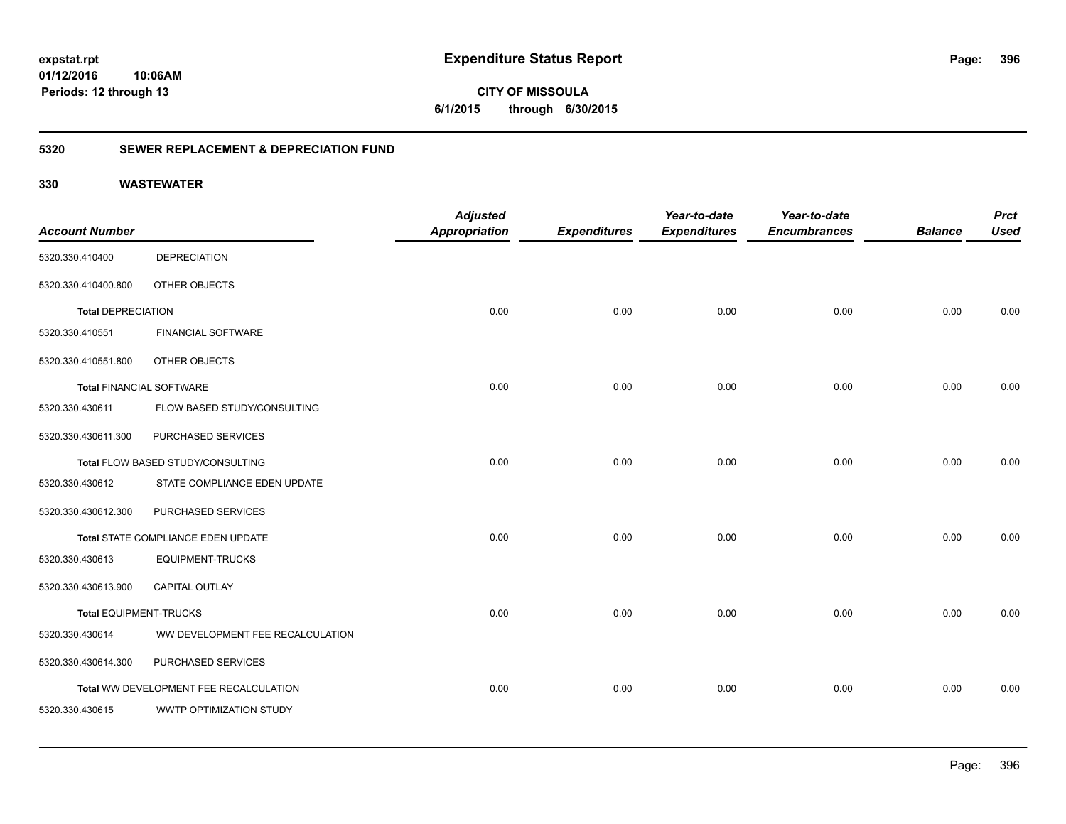**CITY OF MISSOULA 6/1/2015 through 6/30/2015**

### **5320 SEWER REPLACEMENT & DEPRECIATION FUND**

| <b>Account Number</b>           |                                        | <b>Adjusted</b><br><b>Appropriation</b> | <b>Expenditures</b> | Year-to-date<br><b>Expenditures</b> | Year-to-date<br><b>Encumbrances</b> | <b>Balance</b> | <b>Prct</b><br><b>Used</b> |
|---------------------------------|----------------------------------------|-----------------------------------------|---------------------|-------------------------------------|-------------------------------------|----------------|----------------------------|
| 5320.330.410400                 | <b>DEPRECIATION</b>                    |                                         |                     |                                     |                                     |                |                            |
| 5320.330.410400.800             | OTHER OBJECTS                          |                                         |                     |                                     |                                     |                |                            |
| <b>Total DEPRECIATION</b>       |                                        | 0.00                                    | 0.00                | 0.00                                | 0.00                                | 0.00           | 0.00                       |
| 5320.330.410551                 | <b>FINANCIAL SOFTWARE</b>              |                                         |                     |                                     |                                     |                |                            |
| 5320.330.410551.800             | OTHER OBJECTS                          |                                         |                     |                                     |                                     |                |                            |
| <b>Total FINANCIAL SOFTWARE</b> |                                        | 0.00                                    | 0.00                | 0.00                                | 0.00                                | 0.00           | 0.00                       |
| 5320.330.430611                 | FLOW BASED STUDY/CONSULTING            |                                         |                     |                                     |                                     |                |                            |
| 5320.330.430611.300             | PURCHASED SERVICES                     |                                         |                     |                                     |                                     |                |                            |
|                                 | Total FLOW BASED STUDY/CONSULTING      | 0.00                                    | 0.00                | 0.00                                | 0.00                                | 0.00           | 0.00                       |
| 5320.330.430612                 | STATE COMPLIANCE EDEN UPDATE           |                                         |                     |                                     |                                     |                |                            |
| 5320.330.430612.300             | PURCHASED SERVICES                     |                                         |                     |                                     |                                     |                |                            |
|                                 | Total STATE COMPLIANCE EDEN UPDATE     | 0.00                                    | 0.00                | 0.00                                | 0.00                                | 0.00           | 0.00                       |
| 5320.330.430613                 | <b>EQUIPMENT-TRUCKS</b>                |                                         |                     |                                     |                                     |                |                            |
| 5320.330.430613.900             | CAPITAL OUTLAY                         |                                         |                     |                                     |                                     |                |                            |
| <b>Total EQUIPMENT-TRUCKS</b>   |                                        | 0.00                                    | 0.00                | 0.00                                | 0.00                                | 0.00           | 0.00                       |
| 5320.330.430614                 | WW DEVELOPMENT FEE RECALCULATION       |                                         |                     |                                     |                                     |                |                            |
| 5320.330.430614.300             | PURCHASED SERVICES                     |                                         |                     |                                     |                                     |                |                            |
|                                 | Total WW DEVELOPMENT FEE RECALCULATION | 0.00                                    | 0.00                | 0.00                                | 0.00                                | 0.00           | 0.00                       |
| 5320.330.430615                 | WWTP OPTIMIZATION STUDY                |                                         |                     |                                     |                                     |                |                            |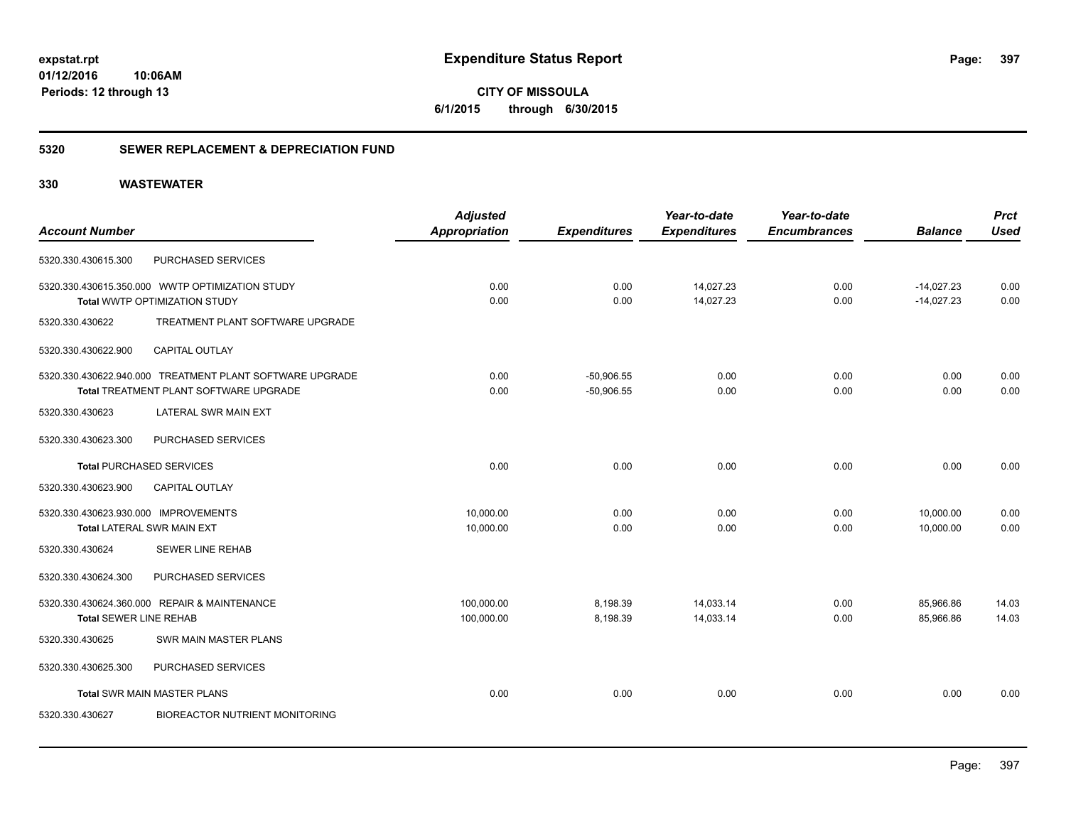**CITY OF MISSOULA 6/1/2015 through 6/30/2015**

### **5320 SEWER REPLACEMENT & DEPRECIATION FUND**

| <b>Used</b><br>0.00<br>0.00 |
|-----------------------------|
|                             |
|                             |
|                             |
|                             |
|                             |
|                             |
| 0.00                        |
| 0.00                        |
|                             |
|                             |
| 0.00                        |
|                             |
| 0.00                        |
| 0.00                        |
|                             |
|                             |
| 14.03                       |
| 14.03                       |
|                             |
|                             |
| 0.00                        |
|                             |
|                             |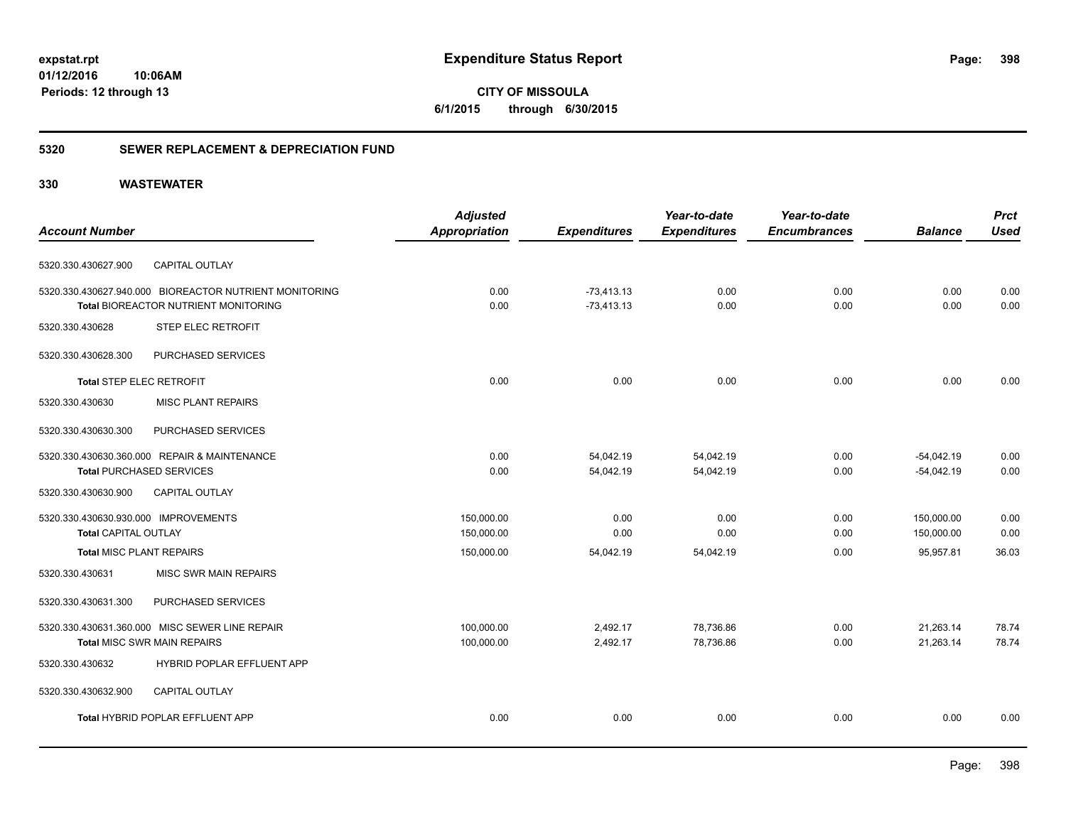**CITY OF MISSOULA 6/1/2015 through 6/30/2015**

### **5320 SEWER REPLACEMENT & DEPRECIATION FUND**

| <b>Account Number</b>                                  | <b>Adjusted</b><br><b>Appropriation</b> | <b>Expenditures</b> | Year-to-date<br><b>Expenditures</b> | Year-to-date<br><b>Encumbrances</b> | <b>Balance</b> | <b>Prct</b><br><b>Used</b> |
|--------------------------------------------------------|-----------------------------------------|---------------------|-------------------------------------|-------------------------------------|----------------|----------------------------|
|                                                        |                                         |                     |                                     |                                     |                |                            |
| <b>CAPITAL OUTLAY</b><br>5320.330.430627.900           |                                         |                     |                                     |                                     |                |                            |
| 5320.330.430627.940.000 BIOREACTOR NUTRIENT MONITORING | 0.00                                    | $-73,413.13$        | 0.00                                | 0.00                                | 0.00           | 0.00                       |
| Total BIOREACTOR NUTRIENT MONITORING                   | 0.00                                    | $-73,413.13$        | 0.00                                | 0.00                                | 0.00           | 0.00                       |
| 5320.330.430628<br>STEP ELEC RETROFIT                  |                                         |                     |                                     |                                     |                |                            |
| 5320.330.430628.300<br>PURCHASED SERVICES              |                                         |                     |                                     |                                     |                |                            |
| <b>Total STEP ELEC RETROFIT</b>                        | 0.00                                    | 0.00                | 0.00                                | 0.00                                | 0.00           | 0.00                       |
| <b>MISC PLANT REPAIRS</b><br>5320.330.430630           |                                         |                     |                                     |                                     |                |                            |
| PURCHASED SERVICES<br>5320.330.430630.300              |                                         |                     |                                     |                                     |                |                            |
| 5320.330.430630.360.000 REPAIR & MAINTENANCE           | 0.00                                    | 54,042.19           | 54,042.19                           | 0.00                                | $-54,042.19$   | 0.00                       |
| <b>Total PURCHASED SERVICES</b>                        | 0.00                                    | 54,042.19           | 54,042.19                           | 0.00                                | $-54,042.19$   | 0.00                       |
| <b>CAPITAL OUTLAY</b><br>5320.330.430630.900           |                                         |                     |                                     |                                     |                |                            |
| 5320.330.430630.930.000 IMPROVEMENTS                   | 150,000.00                              | 0.00                | 0.00                                | 0.00                                | 150,000.00     | 0.00                       |
| <b>Total CAPITAL OUTLAY</b>                            | 150,000.00                              | 0.00                | 0.00                                | 0.00                                | 150,000.00     | 0.00                       |
| <b>Total MISC PLANT REPAIRS</b>                        | 150,000.00                              | 54,042.19           | 54,042.19                           | 0.00                                | 95,957.81      | 36.03                      |
| 5320.330.430631<br>MISC SWR MAIN REPAIRS               |                                         |                     |                                     |                                     |                |                            |
| PURCHASED SERVICES<br>5320.330.430631.300              |                                         |                     |                                     |                                     |                |                            |
| 5320.330.430631.360.000 MISC SEWER LINE REPAIR         | 100,000.00                              | 2,492.17            | 78,736.86                           | 0.00                                | 21,263.14      | 78.74                      |
| <b>Total MISC SWR MAIN REPAIRS</b>                     | 100,000.00                              | 2,492.17            | 78,736.86                           | 0.00                                | 21,263.14      | 78.74                      |
| HYBRID POPLAR EFFLUENT APP<br>5320.330.430632          |                                         |                     |                                     |                                     |                |                            |
| <b>CAPITAL OUTLAY</b><br>5320.330.430632.900           |                                         |                     |                                     |                                     |                |                            |
| Total HYBRID POPLAR EFFLUENT APP                       | 0.00                                    | 0.00                | 0.00                                | 0.00                                | 0.00           | 0.00                       |
|                                                        |                                         |                     |                                     |                                     |                |                            |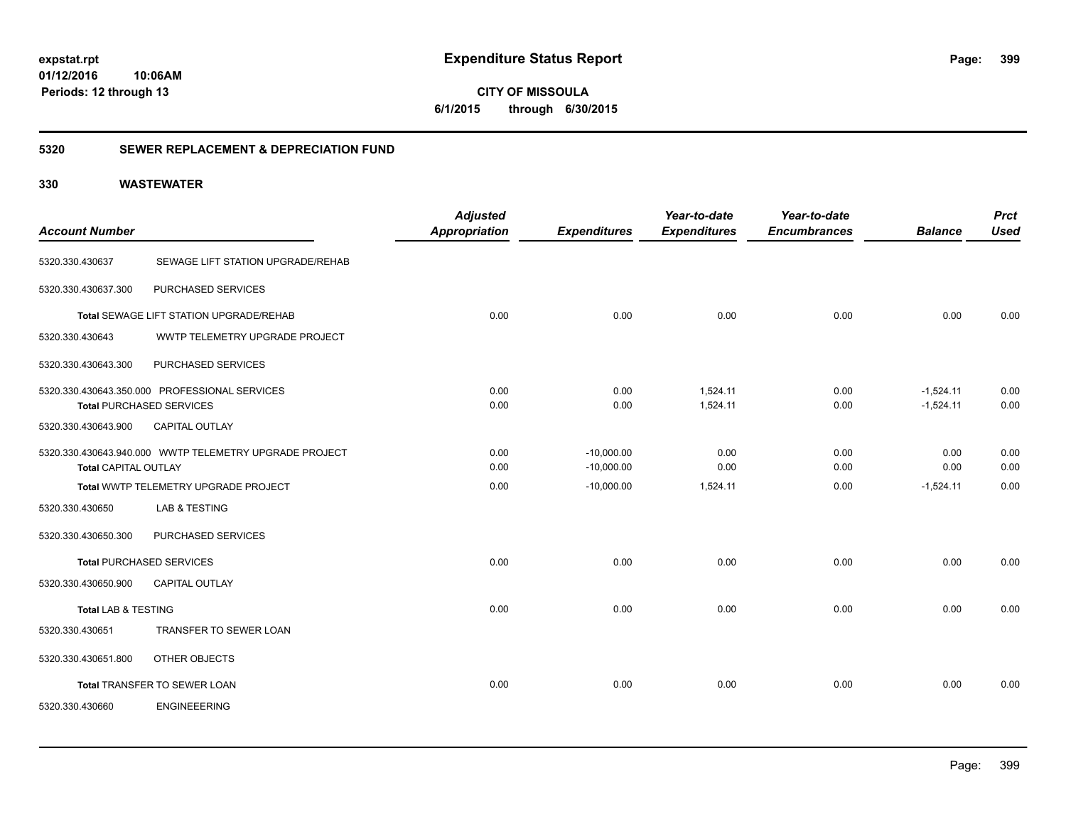**399**

**CITY OF MISSOULA 6/1/2015 through 6/30/2015**

### **5320 SEWER REPLACEMENT & DEPRECIATION FUND**

|                                |                                                        | <b>Adjusted</b>      |                     | Year-to-date        | Year-to-date        |                | <b>Prct</b> |
|--------------------------------|--------------------------------------------------------|----------------------|---------------------|---------------------|---------------------|----------------|-------------|
| <b>Account Number</b>          |                                                        | <b>Appropriation</b> | <b>Expenditures</b> | <b>Expenditures</b> | <b>Encumbrances</b> | <b>Balance</b> | <b>Used</b> |
| 5320.330.430637                | SEWAGE LIFT STATION UPGRADE/REHAB                      |                      |                     |                     |                     |                |             |
| 5320.330.430637.300            | PURCHASED SERVICES                                     |                      |                     |                     |                     |                |             |
|                                | Total SEWAGE LIFT STATION UPGRADE/REHAB                | 0.00                 | 0.00                | 0.00                | 0.00                | 0.00           | 0.00        |
| 5320.330.430643                | WWTP TELEMETRY UPGRADE PROJECT                         |                      |                     |                     |                     |                |             |
| 5320.330.430643.300            | PURCHASED SERVICES                                     |                      |                     |                     |                     |                |             |
|                                | 5320.330.430643.350.000 PROFESSIONAL SERVICES          | 0.00                 | 0.00                | 1.524.11            | 0.00                | $-1,524.11$    | 0.00        |
|                                | <b>Total PURCHASED SERVICES</b>                        | 0.00                 | 0.00                | 1,524.11            | 0.00                | $-1,524.11$    | 0.00        |
| 5320.330.430643.900            | CAPITAL OUTLAY                                         |                      |                     |                     |                     |                |             |
|                                | 5320.330.430643.940.000 WWTP TELEMETRY UPGRADE PROJECT | 0.00                 | $-10,000.00$        | 0.00                | 0.00                | 0.00           | 0.00        |
| <b>Total CAPITAL OUTLAY</b>    |                                                        | 0.00                 | $-10,000.00$        | 0.00                | 0.00                | 0.00           | 0.00        |
|                                | Total WWTP TELEMETRY UPGRADE PROJECT                   | 0.00                 | $-10,000.00$        | 1,524.11            | 0.00                | $-1,524.11$    | 0.00        |
| 5320.330.430650                | LAB & TESTING                                          |                      |                     |                     |                     |                |             |
| 5320.330.430650.300            | PURCHASED SERVICES                                     |                      |                     |                     |                     |                |             |
|                                | <b>Total PURCHASED SERVICES</b>                        | 0.00                 | 0.00                | 0.00                | 0.00                | 0.00           | 0.00        |
| 5320.330.430650.900            | CAPITAL OUTLAY                                         |                      |                     |                     |                     |                |             |
| <b>Total LAB &amp; TESTING</b> |                                                        | 0.00                 | 0.00                | 0.00                | 0.00                | 0.00           | 0.00        |
| 5320.330.430651                | TRANSFER TO SEWER LOAN                                 |                      |                     |                     |                     |                |             |
| 5320.330.430651.800            | OTHER OBJECTS                                          |                      |                     |                     |                     |                |             |
|                                | Total TRANSFER TO SEWER LOAN                           | 0.00                 | 0.00                | 0.00                | 0.00                | 0.00           | 0.00        |
| 5320.330.430660                | <b>ENGINEEERING</b>                                    |                      |                     |                     |                     |                |             |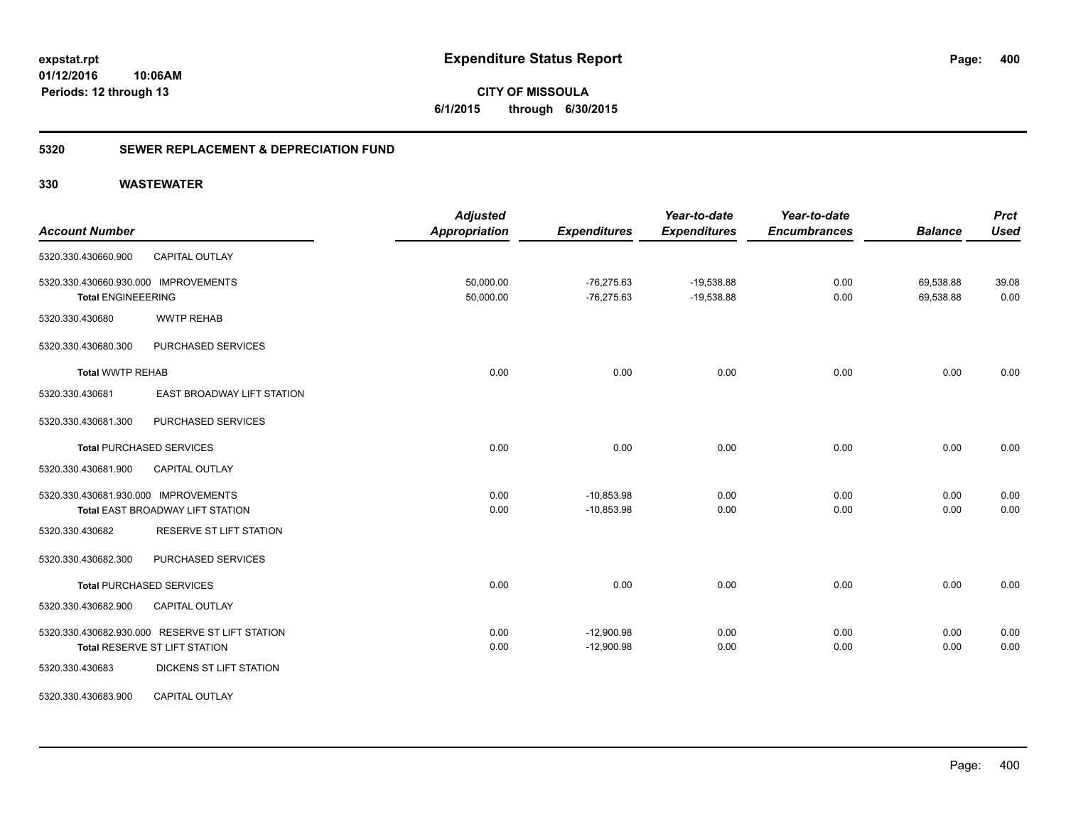### **5320 SEWER REPLACEMENT & DEPRECIATION FUND**

| <b>Account Number</b>                                             |                                                                                  | <b>Adjusted</b><br><b>Appropriation</b> | <b>Expenditures</b>          | Year-to-date<br><b>Expenditures</b> | Year-to-date<br><b>Encumbrances</b> | <b>Balance</b>         | <b>Prct</b><br><b>Used</b> |
|-------------------------------------------------------------------|----------------------------------------------------------------------------------|-----------------------------------------|------------------------------|-------------------------------------|-------------------------------------|------------------------|----------------------------|
| 5320.330.430660.900                                               | <b>CAPITAL OUTLAY</b>                                                            |                                         |                              |                                     |                                     |                        |                            |
| 5320.330.430660.930.000 IMPROVEMENTS<br><b>Total ENGINEEERING</b> |                                                                                  | 50,000.00<br>50,000.00                  | $-76,275.63$<br>$-76,275.63$ | $-19,538.88$<br>$-19,538.88$        | 0.00<br>0.00                        | 69,538.88<br>69,538.88 | 39.08<br>0.00              |
| 5320.330.430680                                                   | <b>WWTP REHAB</b>                                                                |                                         |                              |                                     |                                     |                        |                            |
| 5320.330.430680.300                                               | PURCHASED SERVICES                                                               |                                         |                              |                                     |                                     |                        |                            |
| <b>Total WWTP REHAB</b>                                           |                                                                                  | 0.00                                    | 0.00                         | 0.00                                | 0.00                                | 0.00                   | 0.00                       |
| 5320.330.430681                                                   | EAST BROADWAY LIFT STATION                                                       |                                         |                              |                                     |                                     |                        |                            |
| 5320.330.430681.300                                               | PURCHASED SERVICES                                                               |                                         |                              |                                     |                                     |                        |                            |
|                                                                   | <b>Total PURCHASED SERVICES</b>                                                  | 0.00                                    | 0.00                         | 0.00                                | 0.00                                | 0.00                   | 0.00                       |
| 5320.330.430681.900                                               | <b>CAPITAL OUTLAY</b>                                                            |                                         |                              |                                     |                                     |                        |                            |
| 5320.330.430681.930.000 IMPROVEMENTS                              | Total EAST BROADWAY LIFT STATION                                                 | 0.00<br>0.00                            | $-10,853.98$<br>$-10,853.98$ | 0.00<br>0.00                        | 0.00<br>0.00                        | 0.00<br>0.00           | 0.00<br>0.00               |
| 5320.330.430682                                                   | <b>RESERVE ST LIFT STATION</b>                                                   |                                         |                              |                                     |                                     |                        |                            |
| 5320.330.430682.300                                               | PURCHASED SERVICES                                                               |                                         |                              |                                     |                                     |                        |                            |
|                                                                   | <b>Total PURCHASED SERVICES</b>                                                  | 0.00                                    | 0.00                         | 0.00                                | 0.00                                | 0.00                   | 0.00                       |
| 5320.330.430682.900                                               | CAPITAL OUTLAY                                                                   |                                         |                              |                                     |                                     |                        |                            |
|                                                                   | 5320.330.430682.930.000 RESERVE ST LIFT STATION<br>Total RESERVE ST LIFT STATION | 0.00<br>0.00                            | $-12,900.98$<br>$-12,900.98$ | 0.00<br>0.00                        | 0.00<br>0.00                        | 0.00<br>0.00           | 0.00<br>0.00               |
| 5320.330.430683                                                   | DICKENS ST LIFT STATION                                                          |                                         |                              |                                     |                                     |                        |                            |
| 5320.330.430683.900                                               | <b>CAPITAL OUTLAY</b>                                                            |                                         |                              |                                     |                                     |                        |                            |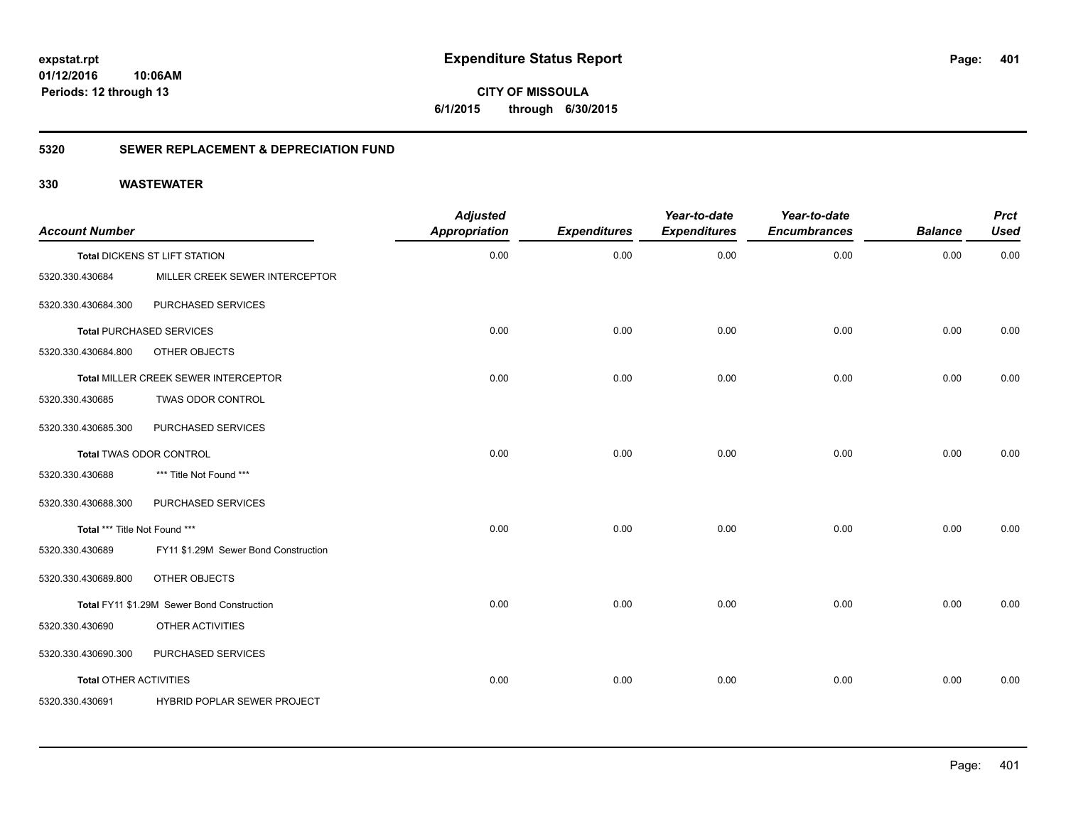**CITY OF MISSOULA 6/1/2015 through 6/30/2015**

### **5320 SEWER REPLACEMENT & DEPRECIATION FUND**

| <b>Account Number</b>         |                                            | <b>Adjusted</b><br><b>Appropriation</b> | <b>Expenditures</b> | Year-to-date<br><b>Expenditures</b> | Year-to-date<br><b>Encumbrances</b> | <b>Balance</b> | <b>Prct</b><br><b>Used</b> |
|-------------------------------|--------------------------------------------|-----------------------------------------|---------------------|-------------------------------------|-------------------------------------|----------------|----------------------------|
|                               | Total DICKENS ST LIFT STATION              | 0.00                                    | 0.00                | 0.00                                | 0.00                                | 0.00           | 0.00                       |
| 5320.330.430684               | MILLER CREEK SEWER INTERCEPTOR             |                                         |                     |                                     |                                     |                |                            |
| 5320.330.430684.300           | PURCHASED SERVICES                         |                                         |                     |                                     |                                     |                |                            |
|                               | <b>Total PURCHASED SERVICES</b>            | 0.00                                    | 0.00                | 0.00                                | 0.00                                | 0.00           | 0.00                       |
| 5320.330.430684.800           | OTHER OBJECTS                              |                                         |                     |                                     |                                     |                |                            |
|                               | Total MILLER CREEK SEWER INTERCEPTOR       | 0.00                                    | 0.00                | 0.00                                | 0.00                                | 0.00           | 0.00                       |
| 5320.330.430685               | TWAS ODOR CONTROL                          |                                         |                     |                                     |                                     |                |                            |
| 5320.330.430685.300           | PURCHASED SERVICES                         |                                         |                     |                                     |                                     |                |                            |
|                               | Total TWAS ODOR CONTROL                    | 0.00                                    | 0.00                | 0.00                                | 0.00                                | 0.00           | 0.00                       |
| 5320.330.430688               | *** Title Not Found ***                    |                                         |                     |                                     |                                     |                |                            |
| 5320.330.430688.300           | PURCHASED SERVICES                         |                                         |                     |                                     |                                     |                |                            |
| Total *** Title Not Found *** |                                            | 0.00                                    | 0.00                | 0.00                                | 0.00                                | 0.00           | 0.00                       |
| 5320.330.430689               | FY11 \$1.29M Sewer Bond Construction       |                                         |                     |                                     |                                     |                |                            |
| 5320.330.430689.800           | OTHER OBJECTS                              |                                         |                     |                                     |                                     |                |                            |
|                               | Total FY11 \$1.29M Sewer Bond Construction | 0.00                                    | 0.00                | 0.00                                | 0.00                                | 0.00           | 0.00                       |
| 5320.330.430690               | OTHER ACTIVITIES                           |                                         |                     |                                     |                                     |                |                            |
| 5320.330.430690.300           | PURCHASED SERVICES                         |                                         |                     |                                     |                                     |                |                            |
| <b>Total OTHER ACTIVITIES</b> |                                            | 0.00                                    | 0.00                | 0.00                                | 0.00                                | 0.00           | 0.00                       |
| 5320.330.430691               | HYBRID POPLAR SEWER PROJECT                |                                         |                     |                                     |                                     |                |                            |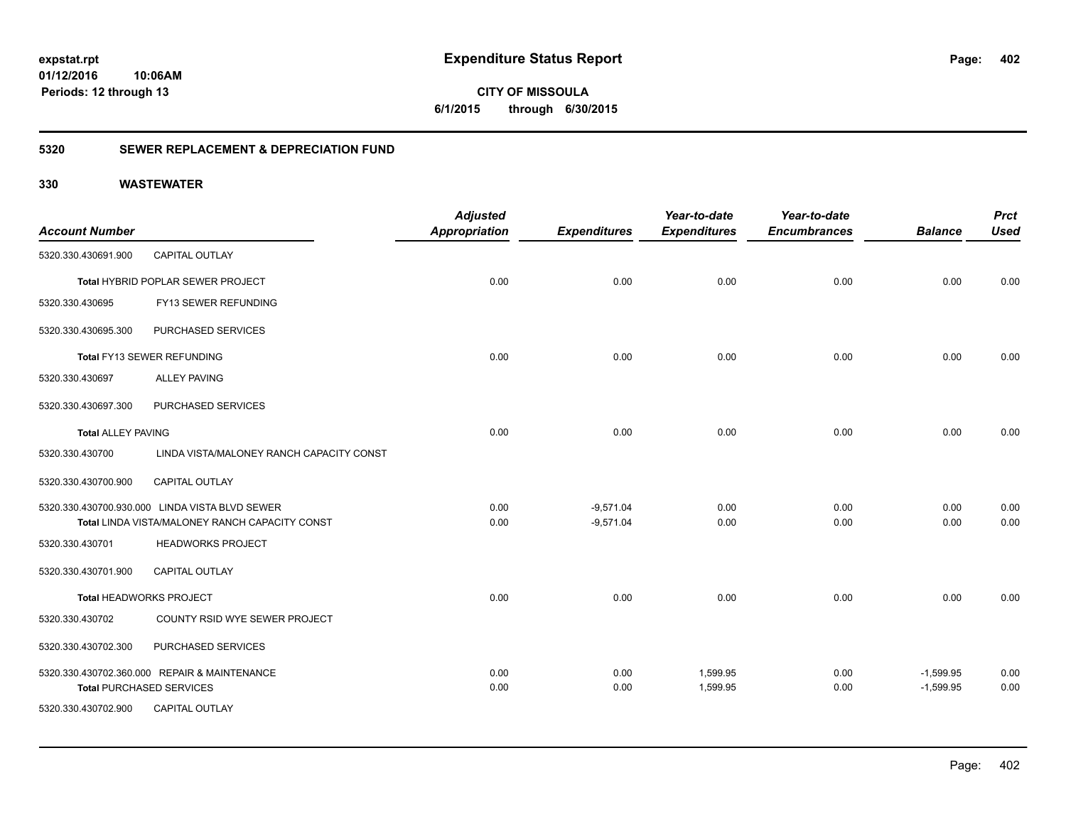**CITY OF MISSOULA 6/1/2015 through 6/30/2015**

### **5320 SEWER REPLACEMENT & DEPRECIATION FUND**

| <b>Account Number</b>     |                                                       | <b>Adjusted</b><br><b>Appropriation</b> | <b>Expenditures</b> | Year-to-date<br><b>Expenditures</b> | Year-to-date<br><b>Encumbrances</b> | <b>Balance</b> | <b>Prct</b><br><b>Used</b> |
|---------------------------|-------------------------------------------------------|-----------------------------------------|---------------------|-------------------------------------|-------------------------------------|----------------|----------------------------|
| 5320.330.430691.900       | <b>CAPITAL OUTLAY</b>                                 |                                         |                     |                                     |                                     |                |                            |
|                           | Total HYBRID POPLAR SEWER PROJECT                     | 0.00                                    | 0.00                | 0.00                                | 0.00                                | 0.00           | 0.00                       |
| 5320.330.430695           | FY13 SEWER REFUNDING                                  |                                         |                     |                                     |                                     |                |                            |
| 5320.330.430695.300       | PURCHASED SERVICES                                    |                                         |                     |                                     |                                     |                |                            |
|                           | Total FY13 SEWER REFUNDING                            | 0.00                                    | 0.00                | 0.00                                | 0.00                                | 0.00           | 0.00                       |
| 5320.330.430697           | <b>ALLEY PAVING</b>                                   |                                         |                     |                                     |                                     |                |                            |
| 5320.330.430697.300       | PURCHASED SERVICES                                    |                                         |                     |                                     |                                     |                |                            |
| <b>Total ALLEY PAVING</b> |                                                       | 0.00                                    | 0.00                | 0.00                                | 0.00                                | 0.00           | 0.00                       |
| 5320.330.430700           | LINDA VISTA/MALONEY RANCH CAPACITY CONST              |                                         |                     |                                     |                                     |                |                            |
| 5320.330.430700.900       | <b>CAPITAL OUTLAY</b>                                 |                                         |                     |                                     |                                     |                |                            |
|                           | 5320.330.430700.930.000 LINDA VISTA BLVD SEWER        | 0.00                                    | $-9,571.04$         | 0.00                                | 0.00                                | 0.00           | 0.00                       |
|                           | <b>Total LINDA VISTA/MALONEY RANCH CAPACITY CONST</b> | 0.00                                    | $-9,571.04$         | 0.00                                | 0.00                                | 0.00           | 0.00                       |
| 5320.330.430701           | <b>HEADWORKS PROJECT</b>                              |                                         |                     |                                     |                                     |                |                            |
| 5320.330.430701.900       | <b>CAPITAL OUTLAY</b>                                 |                                         |                     |                                     |                                     |                |                            |
|                           | Total HEADWORKS PROJECT                               | 0.00                                    | 0.00                | 0.00                                | 0.00                                | 0.00           | 0.00                       |
| 5320.330.430702           | COUNTY RSID WYE SEWER PROJECT                         |                                         |                     |                                     |                                     |                |                            |
| 5320.330.430702.300       | PURCHASED SERVICES                                    |                                         |                     |                                     |                                     |                |                            |
|                           | 5320.330.430702.360.000 REPAIR & MAINTENANCE          | 0.00                                    | 0.00                | 1,599.95                            | 0.00                                | $-1,599.95$    | 0.00                       |
|                           | <b>Total PURCHASED SERVICES</b>                       | 0.00                                    | 0.00                | 1,599.95                            | 0.00                                | $-1,599.95$    | 0.00                       |
| 5320.330.430702.900       | CAPITAL OUTLAY                                        |                                         |                     |                                     |                                     |                |                            |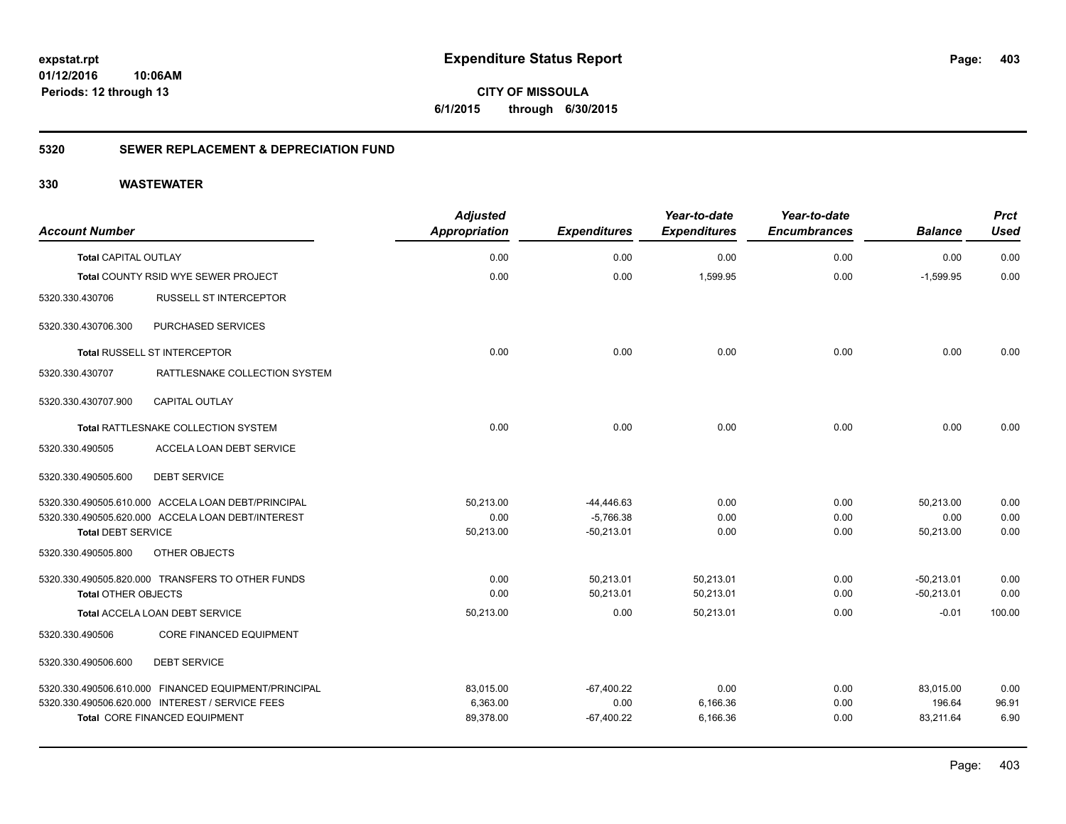**CITY OF MISSOULA 6/1/2015 through 6/30/2015**

### **5320 SEWER REPLACEMENT & DEPRECIATION FUND**

| <b>Account Number</b>       |                                                      | <b>Adjusted</b><br>Appropriation | <b>Expenditures</b> | Year-to-date<br><b>Expenditures</b> | Year-to-date<br><b>Encumbrances</b> | <b>Balance</b> | <b>Prct</b><br><b>Used</b> |
|-----------------------------|------------------------------------------------------|----------------------------------|---------------------|-------------------------------------|-------------------------------------|----------------|----------------------------|
| <b>Total CAPITAL OUTLAY</b> |                                                      | 0.00                             | 0.00                | 0.00                                | 0.00                                | 0.00           | 0.00                       |
|                             | Total COUNTY RSID WYE SEWER PROJECT                  | 0.00                             | 0.00                | 1.599.95                            | 0.00                                | $-1.599.95$    | 0.00                       |
| 5320.330.430706             | <b>RUSSELL ST INTERCEPTOR</b>                        |                                  |                     |                                     |                                     |                |                            |
| 5320.330.430706.300         | PURCHASED SERVICES                                   |                                  |                     |                                     |                                     |                |                            |
|                             | <b>Total RUSSELL ST INTERCEPTOR</b>                  | 0.00                             | 0.00                | 0.00                                | 0.00                                | 0.00           | 0.00                       |
| 5320.330.430707             | RATTLESNAKE COLLECTION SYSTEM                        |                                  |                     |                                     |                                     |                |                            |
| 5320.330.430707.900         | <b>CAPITAL OUTLAY</b>                                |                                  |                     |                                     |                                     |                |                            |
|                             | Total RATTLESNAKE COLLECTION SYSTEM                  | 0.00                             | 0.00                | 0.00                                | 0.00                                | 0.00           | 0.00                       |
| 5320.330.490505             | ACCELA LOAN DEBT SERVICE                             |                                  |                     |                                     |                                     |                |                            |
| 5320.330.490505.600         | <b>DEBT SERVICE</b>                                  |                                  |                     |                                     |                                     |                |                            |
|                             | 5320.330.490505.610.000 ACCELA LOAN DEBT/PRINCIPAL   | 50.213.00                        | $-44,446.63$        | 0.00                                | 0.00                                | 50,213.00      | 0.00                       |
|                             | 5320.330.490505.620.000 ACCELA LOAN DEBT/INTEREST    | 0.00                             | $-5,766.38$         | 0.00                                | 0.00                                | 0.00           | 0.00                       |
| <b>Total DEBT SERVICE</b>   |                                                      | 50,213.00                        | $-50,213.01$        | 0.00                                | 0.00                                | 50,213.00      | 0.00                       |
| 5320.330.490505.800         | <b>OTHER OBJECTS</b>                                 |                                  |                     |                                     |                                     |                |                            |
|                             | 5320.330.490505.820.000 TRANSFERS TO OTHER FUNDS     | 0.00                             | 50,213.01           | 50,213.01                           | 0.00                                | $-50,213.01$   | 0.00                       |
| <b>Total OTHER OBJECTS</b>  |                                                      | 0.00                             | 50,213.01           | 50,213.01                           | 0.00                                | $-50,213.01$   | 0.00                       |
|                             | Total ACCELA LOAN DEBT SERVICE                       | 50,213.00                        | 0.00                | 50,213.01                           | 0.00                                | $-0.01$        | 100.00                     |
| 5320.330.490506             | <b>CORE FINANCED EQUIPMENT</b>                       |                                  |                     |                                     |                                     |                |                            |
| 5320.330.490506.600         | <b>DEBT SERVICE</b>                                  |                                  |                     |                                     |                                     |                |                            |
|                             | 5320.330.490506.610.000 FINANCED EQUIPMENT/PRINCIPAL | 83.015.00                        | $-67,400.22$        | 0.00                                | 0.00                                | 83,015.00      | 0.00                       |
|                             | 5320.330.490506.620.000 INTEREST / SERVICE FEES      | 6,363.00                         | 0.00                | 6,166.36                            | 0.00                                | 196.64         | 96.91                      |
|                             | <b>Total CORE FINANCED EQUIPMENT</b>                 | 89,378.00                        | $-67,400.22$        | 6,166.36                            | 0.00                                | 83,211.64      | 6.90                       |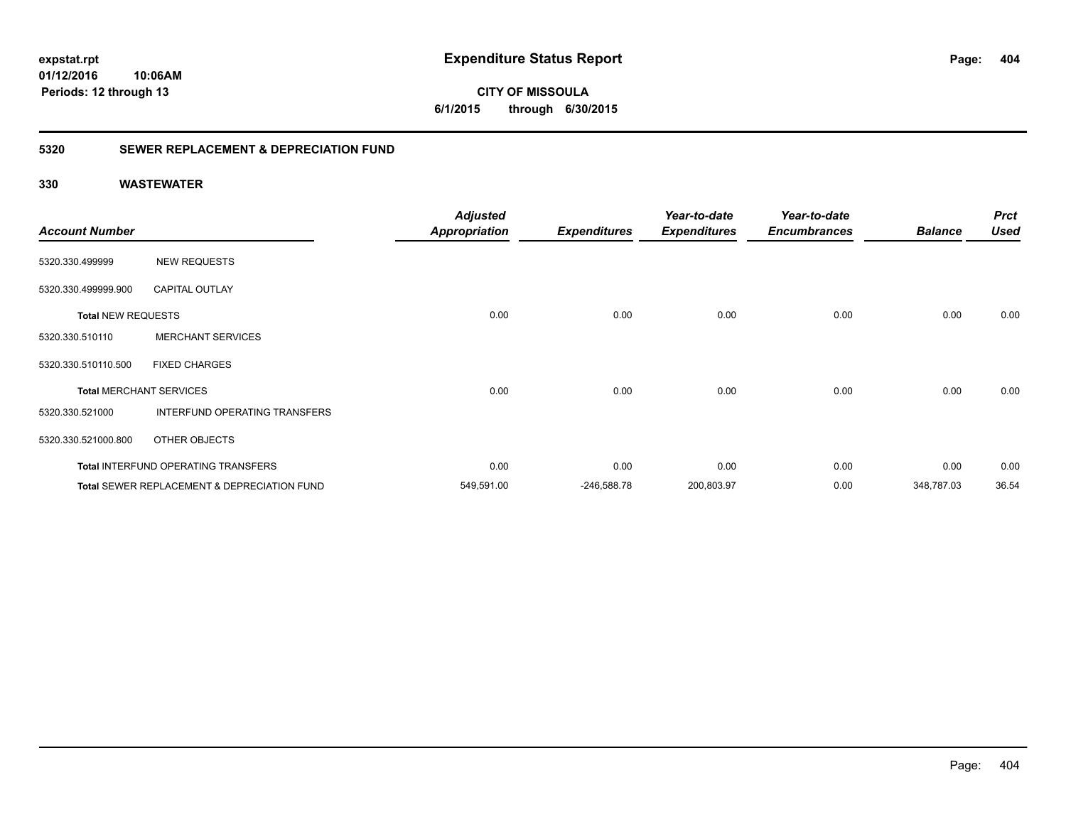**expstat.rpt Expenditure Status Report** 

**01/12/2016 10:06AM Periods: 12 through 13**

**CITY OF MISSOULA 6/1/2015 through 6/30/2015**

### **5320 SEWER REPLACEMENT & DEPRECIATION FUND**

| <b>Account Number</b>     |                                                        | <b>Adjusted</b><br><b>Appropriation</b> | <b>Expenditures</b> | Year-to-date<br><b>Expenditures</b> | Year-to-date<br><b>Encumbrances</b> | <b>Balance</b> | <b>Prct</b><br><b>Used</b> |
|---------------------------|--------------------------------------------------------|-----------------------------------------|---------------------|-------------------------------------|-------------------------------------|----------------|----------------------------|
| 5320.330.499999           | <b>NEW REQUESTS</b>                                    |                                         |                     |                                     |                                     |                |                            |
| 5320.330.499999.900       | <b>CAPITAL OUTLAY</b>                                  |                                         |                     |                                     |                                     |                |                            |
| <b>Total NEW REQUESTS</b> |                                                        | 0.00                                    | 0.00                | 0.00                                | 0.00                                | 0.00           | 0.00                       |
| 5320.330.510110           | <b>MERCHANT SERVICES</b>                               |                                         |                     |                                     |                                     |                |                            |
| 5320.330.510110.500       | <b>FIXED CHARGES</b>                                   |                                         |                     |                                     |                                     |                |                            |
|                           | <b>Total MERCHANT SERVICES</b>                         | 0.00                                    | 0.00                | 0.00                                | 0.00                                | 0.00           | 0.00                       |
| 5320.330.521000           | INTERFUND OPERATING TRANSFERS                          |                                         |                     |                                     |                                     |                |                            |
| 5320.330.521000.800       | OTHER OBJECTS                                          |                                         |                     |                                     |                                     |                |                            |
|                           | Total INTERFUND OPERATING TRANSFERS                    | 0.00                                    | 0.00                | 0.00                                | 0.00                                | 0.00           | 0.00                       |
|                           | <b>Total SEWER REPLACEMENT &amp; DEPRECIATION FUND</b> | 549,591.00                              | $-246,588.78$       | 200,803.97                          | 0.00                                | 348,787.03     | 36.54                      |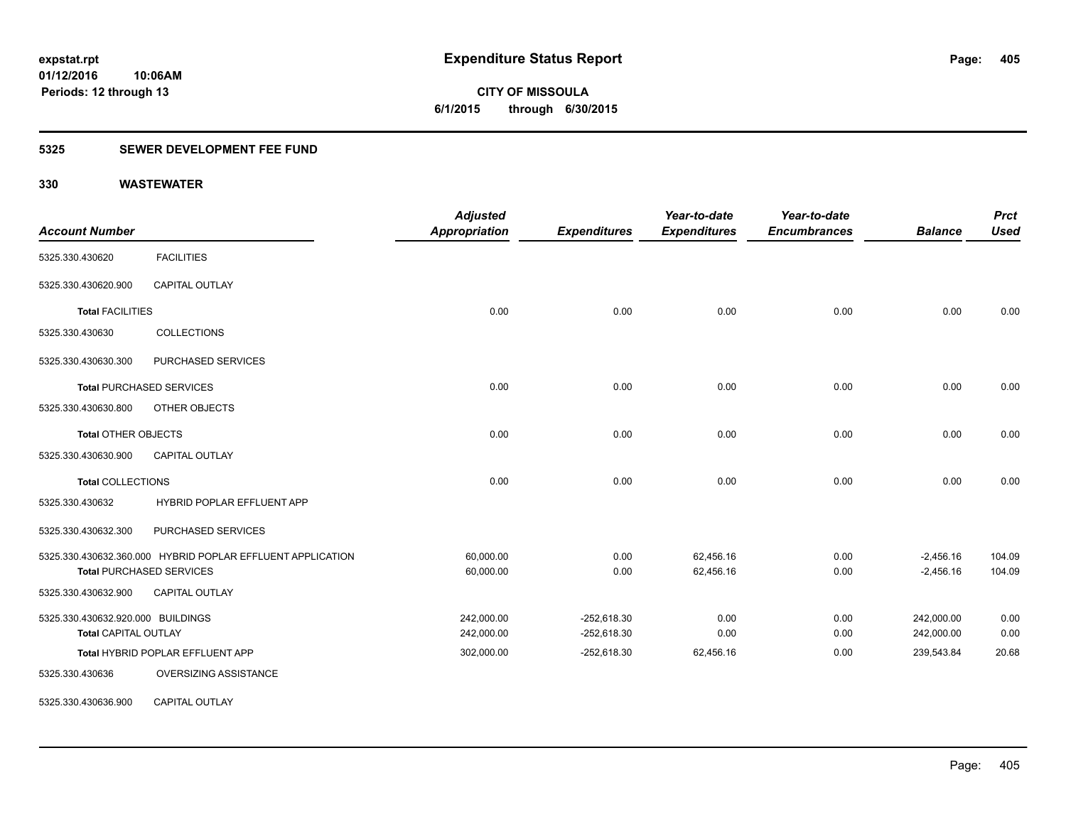**CITY OF MISSOULA 6/1/2015 through 6/30/2015**

### **5325 SEWER DEVELOPMENT FEE FUND**

**10:06AM**

### **330 WASTEWATER**

**Periods: 12 through 13**

| <b>Account Number</b>             |                                                            | <b>Adjusted</b><br>Appropriation | <b>Expenditures</b> | Year-to-date<br><b>Expenditures</b> | Year-to-date<br><b>Encumbrances</b> | <b>Balance</b> | <b>Prct</b><br><b>Used</b> |
|-----------------------------------|------------------------------------------------------------|----------------------------------|---------------------|-------------------------------------|-------------------------------------|----------------|----------------------------|
| 5325.330.430620                   | <b>FACILITIES</b>                                          |                                  |                     |                                     |                                     |                |                            |
| 5325.330.430620.900               | <b>CAPITAL OUTLAY</b>                                      |                                  |                     |                                     |                                     |                |                            |
| <b>Total FACILITIES</b>           |                                                            | 0.00                             | 0.00                | 0.00                                | 0.00                                | 0.00           | 0.00                       |
| 5325.330.430630                   | <b>COLLECTIONS</b>                                         |                                  |                     |                                     |                                     |                |                            |
| 5325.330.430630.300               | PURCHASED SERVICES                                         |                                  |                     |                                     |                                     |                |                            |
|                                   | <b>Total PURCHASED SERVICES</b>                            | 0.00                             | 0.00                | 0.00                                | 0.00                                | 0.00           | 0.00                       |
| 5325.330.430630.800               | OTHER OBJECTS                                              |                                  |                     |                                     |                                     |                |                            |
| <b>Total OTHER OBJECTS</b>        |                                                            | 0.00                             | 0.00                | 0.00                                | 0.00                                | 0.00           | 0.00                       |
| 5325.330.430630.900               | <b>CAPITAL OUTLAY</b>                                      |                                  |                     |                                     |                                     |                |                            |
| <b>Total COLLECTIONS</b>          |                                                            | 0.00                             | 0.00                | 0.00                                | 0.00                                | 0.00           | 0.00                       |
| 5325.330.430632                   | HYBRID POPLAR EFFLUENT APP                                 |                                  |                     |                                     |                                     |                |                            |
| 5325.330.430632.300               | PURCHASED SERVICES                                         |                                  |                     |                                     |                                     |                |                            |
|                                   | 5325.330.430632.360.000 HYBRID POPLAR EFFLUENT APPLICATION | 60,000.00                        | 0.00                | 62,456.16                           | 0.00                                | $-2,456.16$    | 104.09                     |
|                                   | <b>Total PURCHASED SERVICES</b>                            | 60,000.00                        | 0.00                | 62,456.16                           | 0.00                                | $-2,456.16$    | 104.09                     |
| 5325.330.430632.900               | <b>CAPITAL OUTLAY</b>                                      |                                  |                     |                                     |                                     |                |                            |
| 5325.330.430632.920.000 BUILDINGS |                                                            | 242,000.00                       | $-252,618.30$       | 0.00                                | 0.00                                | 242,000.00     | 0.00                       |
| <b>Total CAPITAL OUTLAY</b>       |                                                            | 242,000.00                       | $-252,618.30$       | 0.00                                | 0.00                                | 242,000.00     | 0.00                       |
|                                   | Total HYBRID POPLAR EFFLUENT APP                           | 302,000.00                       | $-252,618.30$       | 62,456.16                           | 0.00                                | 239,543.84     | 20.68                      |
| 5325.330.430636                   | OVERSIZING ASSISTANCE                                      |                                  |                     |                                     |                                     |                |                            |
| 5325.330.430636.900               | <b>CAPITAL OUTLAY</b>                                      |                                  |                     |                                     |                                     |                |                            |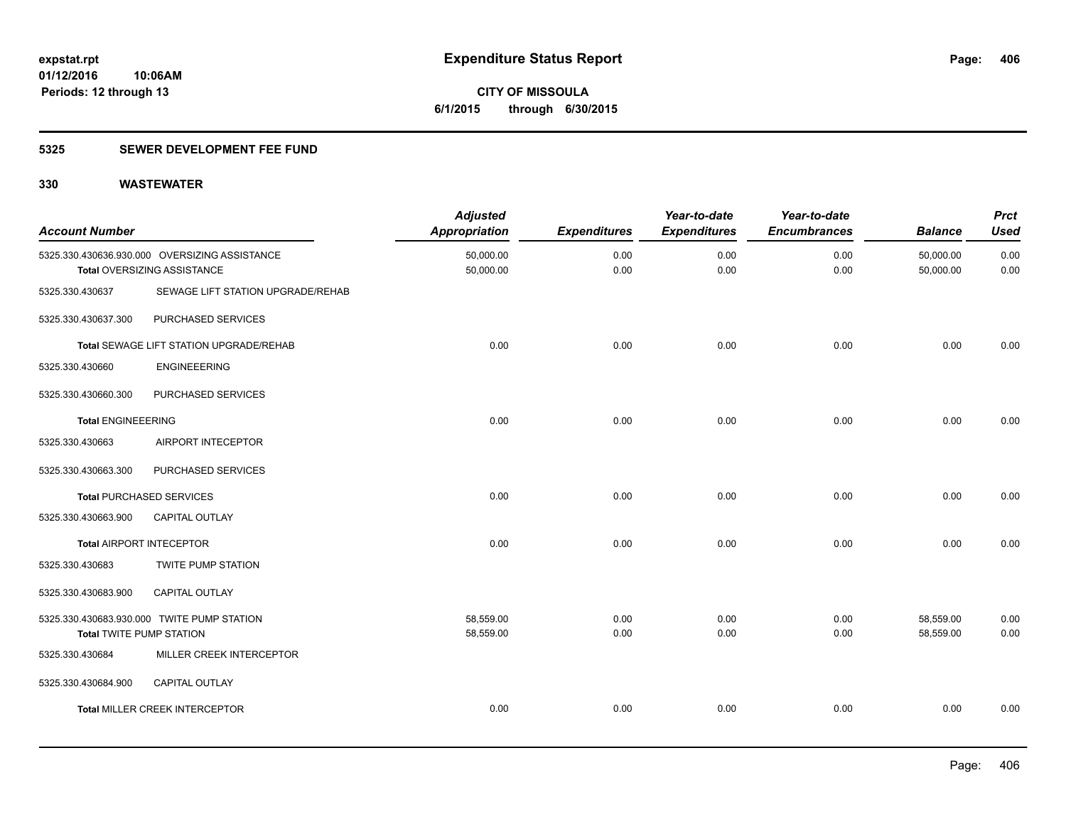**406**

**01/12/2016 10:06AM Periods: 12 through 13**

**CITY OF MISSOULA 6/1/2015 through 6/30/2015**

### **5325 SEWER DEVELOPMENT FEE FUND**

| <b>Account Number</b>           |                                                                              | <b>Adjusted</b><br><b>Appropriation</b> | <b>Expenditures</b> | Year-to-date<br><b>Expenditures</b> | Year-to-date<br><b>Encumbrances</b> | <b>Balance</b>         | <b>Prct</b><br><b>Used</b> |
|---------------------------------|------------------------------------------------------------------------------|-----------------------------------------|---------------------|-------------------------------------|-------------------------------------|------------------------|----------------------------|
|                                 | 5325.330.430636.930.000 OVERSIZING ASSISTANCE<br>Total OVERSIZING ASSISTANCE | 50,000.00<br>50,000.00                  | 0.00<br>0.00        | 0.00<br>0.00                        | 0.00<br>0.00                        | 50,000.00<br>50,000.00 | 0.00<br>0.00               |
| 5325.330.430637                 | SEWAGE LIFT STATION UPGRADE/REHAB                                            |                                         |                     |                                     |                                     |                        |                            |
| 5325.330.430637.300             | PURCHASED SERVICES                                                           |                                         |                     |                                     |                                     |                        |                            |
|                                 | Total SEWAGE LIFT STATION UPGRADE/REHAB                                      | 0.00                                    | 0.00                | 0.00                                | 0.00                                | 0.00                   | 0.00                       |
| 5325.330.430660                 | <b>ENGINEEERING</b>                                                          |                                         |                     |                                     |                                     |                        |                            |
| 5325.330.430660.300             | PURCHASED SERVICES                                                           |                                         |                     |                                     |                                     |                        |                            |
| <b>Total ENGINEEERING</b>       |                                                                              | 0.00                                    | 0.00                | 0.00                                | 0.00                                | 0.00                   | 0.00                       |
| 5325.330.430663                 | AIRPORT INTECEPTOR                                                           |                                         |                     |                                     |                                     |                        |                            |
| 5325.330.430663.300             | PURCHASED SERVICES                                                           |                                         |                     |                                     |                                     |                        |                            |
|                                 | <b>Total PURCHASED SERVICES</b>                                              | 0.00                                    | 0.00                | 0.00                                | 0.00                                | 0.00                   | 0.00                       |
| 5325.330.430663.900             | CAPITAL OUTLAY                                                               |                                         |                     |                                     |                                     |                        |                            |
|                                 | <b>Total AIRPORT INTECEPTOR</b>                                              | 0.00                                    | 0.00                | 0.00                                | 0.00                                | 0.00                   | 0.00                       |
| 5325.330.430683                 | TWITE PUMP STATION                                                           |                                         |                     |                                     |                                     |                        |                            |
| 5325.330.430683.900             | <b>CAPITAL OUTLAY</b>                                                        |                                         |                     |                                     |                                     |                        |                            |
| <b>Total TWITE PUMP STATION</b> | 5325.330.430683.930.000 TWITE PUMP STATION                                   | 58,559.00<br>58,559.00                  | 0.00<br>0.00        | 0.00<br>0.00                        | 0.00<br>0.00                        | 58,559.00<br>58,559.00 | 0.00<br>0.00               |
| 5325.330.430684                 | MILLER CREEK INTERCEPTOR                                                     |                                         |                     |                                     |                                     |                        |                            |
| 5325.330.430684.900             | CAPITAL OUTLAY                                                               |                                         |                     |                                     |                                     |                        |                            |
|                                 | <b>Total MILLER CREEK INTERCEPTOR</b>                                        | 0.00                                    | 0.00                | 0.00                                | 0.00                                | 0.00                   | 0.00                       |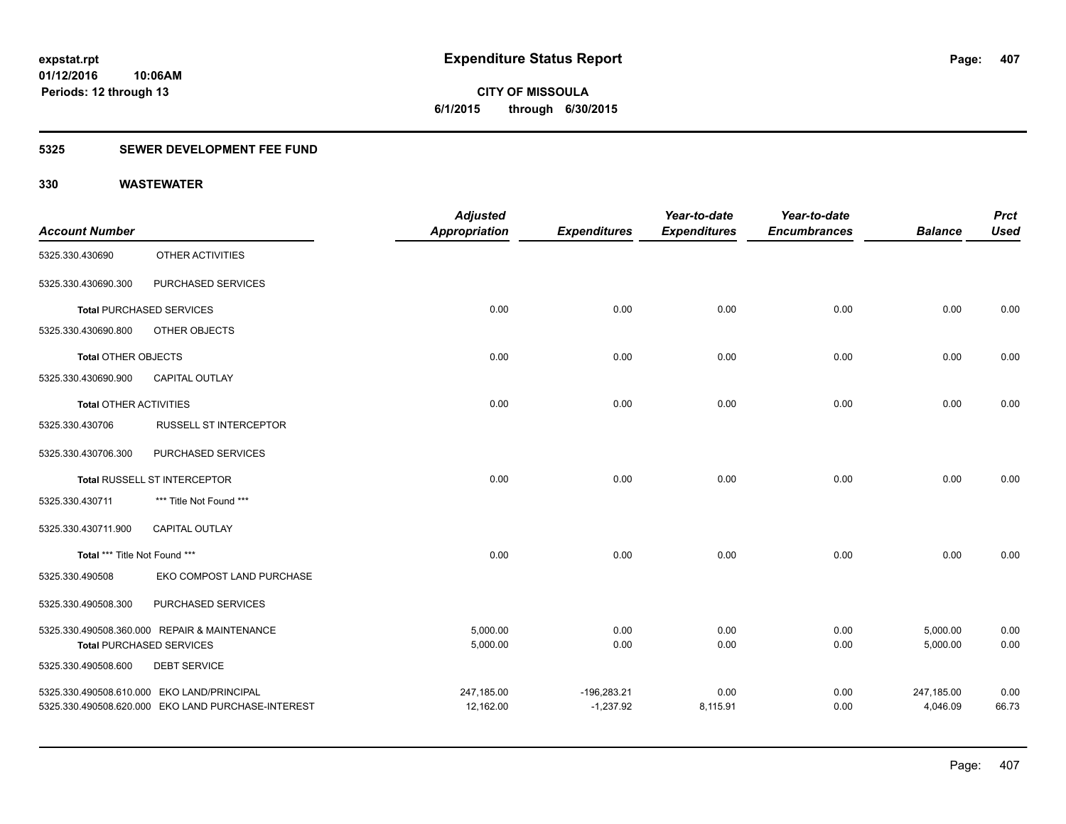**CITY OF MISSOULA 6/1/2015 through 6/30/2015**

### **5325 SEWER DEVELOPMENT FEE FUND**

**10:06AM**

### **330 WASTEWATER**

**Periods: 12 through 13**

|                               |                                                    | <b>Adjusted</b>      |                     | Year-to-date        | Year-to-date        |                | <b>Prct</b> |
|-------------------------------|----------------------------------------------------|----------------------|---------------------|---------------------|---------------------|----------------|-------------|
| <b>Account Number</b>         |                                                    | <b>Appropriation</b> | <b>Expenditures</b> | <b>Expenditures</b> | <b>Encumbrances</b> | <b>Balance</b> | <b>Used</b> |
| 5325.330.430690               | OTHER ACTIVITIES                                   |                      |                     |                     |                     |                |             |
| 5325.330.430690.300           | PURCHASED SERVICES                                 |                      |                     |                     |                     |                |             |
|                               | <b>Total PURCHASED SERVICES</b>                    | 0.00                 | 0.00                | 0.00                | 0.00                | 0.00           | 0.00        |
| 5325.330.430690.800           | OTHER OBJECTS                                      |                      |                     |                     |                     |                |             |
| Total OTHER OBJECTS           |                                                    | 0.00                 | 0.00                | 0.00                | 0.00                | 0.00           | 0.00        |
| 5325.330.430690.900           | <b>CAPITAL OUTLAY</b>                              |                      |                     |                     |                     |                |             |
| <b>Total OTHER ACTIVITIES</b> |                                                    | 0.00                 | 0.00                | 0.00                | 0.00                | 0.00           | 0.00        |
| 5325.330.430706               | <b>RUSSELL ST INTERCEPTOR</b>                      |                      |                     |                     |                     |                |             |
| 5325.330.430706.300           | PURCHASED SERVICES                                 |                      |                     |                     |                     |                |             |
|                               | Total RUSSELL ST INTERCEPTOR                       | 0.00                 | 0.00                | 0.00                | 0.00                | 0.00           | 0.00        |
| 5325.330.430711               | *** Title Not Found ***                            |                      |                     |                     |                     |                |             |
| 5325.330.430711.900           | <b>CAPITAL OUTLAY</b>                              |                      |                     |                     |                     |                |             |
| Total *** Title Not Found *** |                                                    | 0.00                 | 0.00                | 0.00                | 0.00                | 0.00           | 0.00        |
| 5325.330.490508               | EKO COMPOST LAND PURCHASE                          |                      |                     |                     |                     |                |             |
| 5325.330.490508.300           | PURCHASED SERVICES                                 |                      |                     |                     |                     |                |             |
|                               | 5325.330.490508.360.000 REPAIR & MAINTENANCE       | 5,000.00             | 0.00                | 0.00                | 0.00                | 5,000.00       | 0.00        |
|                               | <b>Total PURCHASED SERVICES</b>                    | 5,000.00             | 0.00                | 0.00                | 0.00                | 5,000.00       | 0.00        |
| 5325.330.490508.600           | <b>DEBT SERVICE</b>                                |                      |                     |                     |                     |                |             |
|                               | 5325.330.490508.610.000 EKO LAND/PRINCIPAL         | 247,185.00           | $-196,283.21$       | 0.00                | 0.00                | 247,185.00     | 0.00        |
|                               | 5325.330.490508.620.000 EKO LAND PURCHASE-INTEREST | 12,162.00            | $-1,237.92$         | 8,115.91            | 0.00                | 4,046.09       | 66.73       |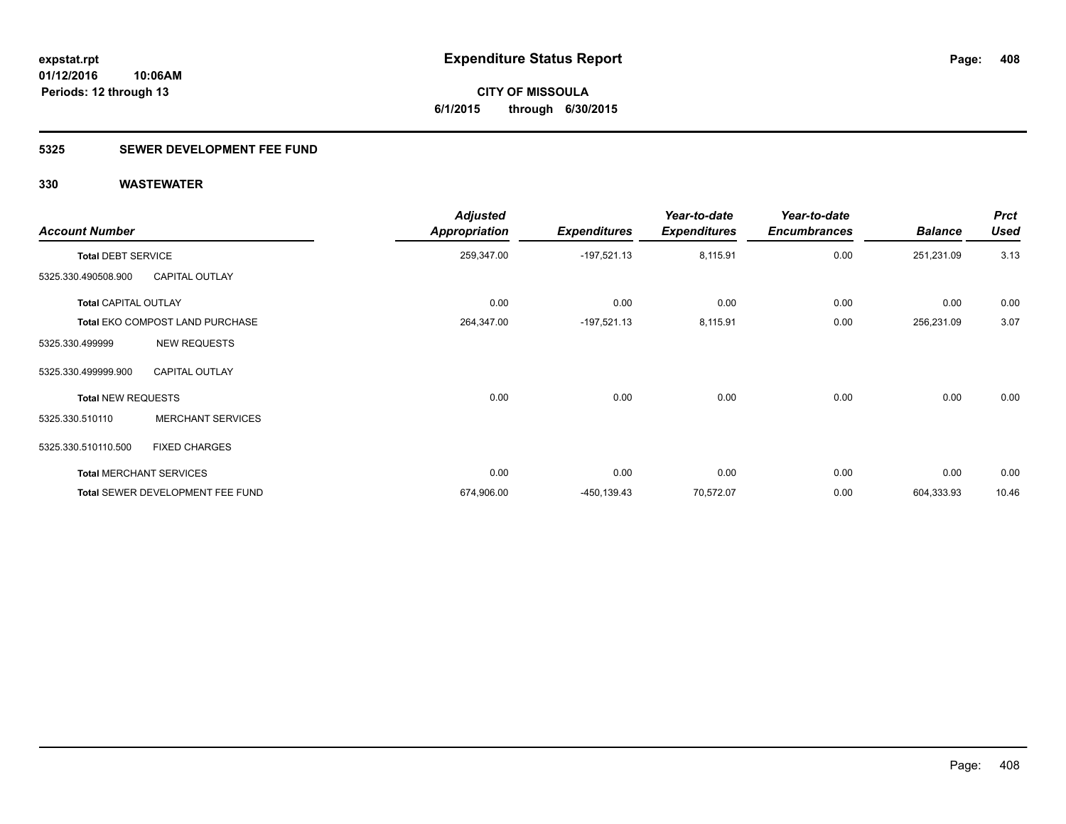**Periods: 12 through 13**

**CITY OF MISSOULA 6/1/2015 through 6/30/2015**

### **5325 SEWER DEVELOPMENT FEE FUND**

| <b>Account Number</b>       |                                  | <b>Adjusted</b><br><b>Appropriation</b> | <b>Expenditures</b> | Year-to-date<br><b>Expenditures</b> | Year-to-date<br><b>Encumbrances</b> | <b>Balance</b> | <b>Prct</b><br><b>Used</b> |
|-----------------------------|----------------------------------|-----------------------------------------|---------------------|-------------------------------------|-------------------------------------|----------------|----------------------------|
| <b>Total DEBT SERVICE</b>   |                                  | 259,347.00                              | $-197,521.13$       | 8,115.91                            | 0.00                                | 251,231.09     | 3.13                       |
| 5325.330.490508.900         | <b>CAPITAL OUTLAY</b>            |                                         |                     |                                     |                                     |                |                            |
| <b>Total CAPITAL OUTLAY</b> |                                  | 0.00                                    | 0.00                | 0.00                                | 0.00                                | 0.00           | 0.00                       |
|                             | Total EKO COMPOST LAND PURCHASE  | 264,347.00                              | $-197,521.13$       | 8,115.91                            | 0.00                                | 256,231.09     | 3.07                       |
| 5325.330.499999             | <b>NEW REQUESTS</b>              |                                         |                     |                                     |                                     |                |                            |
| 5325.330.499999.900         | <b>CAPITAL OUTLAY</b>            |                                         |                     |                                     |                                     |                |                            |
| <b>Total NEW REQUESTS</b>   |                                  | 0.00                                    | 0.00                | 0.00                                | 0.00                                | 0.00           | 0.00                       |
| 5325.330.510110             | <b>MERCHANT SERVICES</b>         |                                         |                     |                                     |                                     |                |                            |
| 5325.330.510110.500         | <b>FIXED CHARGES</b>             |                                         |                     |                                     |                                     |                |                            |
|                             | <b>Total MERCHANT SERVICES</b>   | 0.00                                    | 0.00                | 0.00                                | 0.00                                | 0.00           | 0.00                       |
|                             | Total SEWER DEVELOPMENT FEE FUND | 674,906.00                              | $-450, 139.43$      | 70,572.07                           | 0.00                                | 604,333.93     | 10.46                      |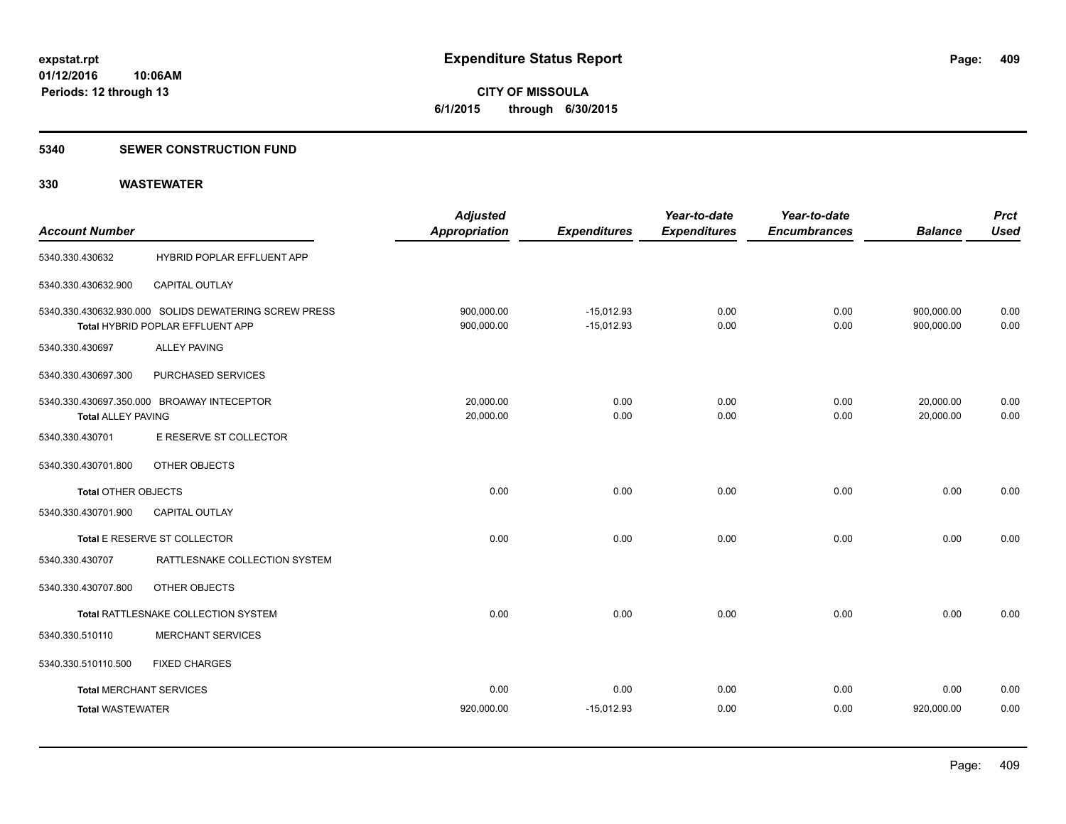**CITY OF MISSOULA 6/1/2015 through 6/30/2015**

#### **5340 SEWER CONSTRUCTION FUND**

| <b>Account Number</b>          |                                                                                           | <b>Adjusted</b><br><b>Appropriation</b> | <b>Expenditures</b>          | Year-to-date<br><b>Expenditures</b> | Year-to-date<br><b>Encumbrances</b> | <b>Balance</b>           | <b>Prct</b><br><b>Used</b> |
|--------------------------------|-------------------------------------------------------------------------------------------|-----------------------------------------|------------------------------|-------------------------------------|-------------------------------------|--------------------------|----------------------------|
| 5340.330.430632                | HYBRID POPLAR EFFLUENT APP                                                                |                                         |                              |                                     |                                     |                          |                            |
| 5340.330.430632.900            | CAPITAL OUTLAY                                                                            |                                         |                              |                                     |                                     |                          |                            |
|                                | 5340.330.430632.930.000 SOLIDS DEWATERING SCREW PRESS<br>Total HYBRID POPLAR EFFLUENT APP | 900,000.00<br>900,000.00                | $-15,012.93$<br>$-15,012.93$ | 0.00<br>0.00                        | 0.00<br>0.00                        | 900,000.00<br>900,000.00 | 0.00<br>0.00               |
| 5340.330.430697                | <b>ALLEY PAVING</b>                                                                       |                                         |                              |                                     |                                     |                          |                            |
| 5340.330.430697.300            | PURCHASED SERVICES                                                                        |                                         |                              |                                     |                                     |                          |                            |
| <b>Total ALLEY PAVING</b>      | 5340.330.430697.350.000 BROAWAY INTECEPTOR                                                | 20,000.00<br>20,000.00                  | 0.00<br>0.00                 | 0.00<br>0.00                        | 0.00<br>0.00                        | 20,000.00<br>20,000.00   | 0.00<br>0.00               |
| 5340.330.430701                | E RESERVE ST COLLECTOR                                                                    |                                         |                              |                                     |                                     |                          |                            |
| 5340.330.430701.800            | OTHER OBJECTS                                                                             |                                         |                              |                                     |                                     |                          |                            |
| <b>Total OTHER OBJECTS</b>     |                                                                                           | 0.00                                    | 0.00                         | 0.00                                | 0.00                                | 0.00                     | 0.00                       |
| 5340.330.430701.900            | <b>CAPITAL OUTLAY</b>                                                                     |                                         |                              |                                     |                                     |                          |                            |
|                                | Total E RESERVE ST COLLECTOR                                                              | 0.00                                    | 0.00                         | 0.00                                | 0.00                                | 0.00                     | 0.00                       |
| 5340.330.430707                | RATTLESNAKE COLLECTION SYSTEM                                                             |                                         |                              |                                     |                                     |                          |                            |
| 5340.330.430707.800            | OTHER OBJECTS                                                                             |                                         |                              |                                     |                                     |                          |                            |
|                                | Total RATTLESNAKE COLLECTION SYSTEM                                                       | 0.00                                    | 0.00                         | 0.00                                | 0.00                                | 0.00                     | 0.00                       |
| 5340.330.510110                | <b>MERCHANT SERVICES</b>                                                                  |                                         |                              |                                     |                                     |                          |                            |
| 5340.330.510110.500            | <b>FIXED CHARGES</b>                                                                      |                                         |                              |                                     |                                     |                          |                            |
| <b>Total MERCHANT SERVICES</b> |                                                                                           | 0.00                                    | 0.00                         | 0.00                                | 0.00                                | 0.00                     | 0.00                       |
| <b>Total WASTEWATER</b>        |                                                                                           | 920,000.00                              | $-15,012.93$                 | 0.00                                | 0.00                                | 920,000.00               | 0.00                       |
|                                |                                                                                           |                                         |                              |                                     |                                     |                          |                            |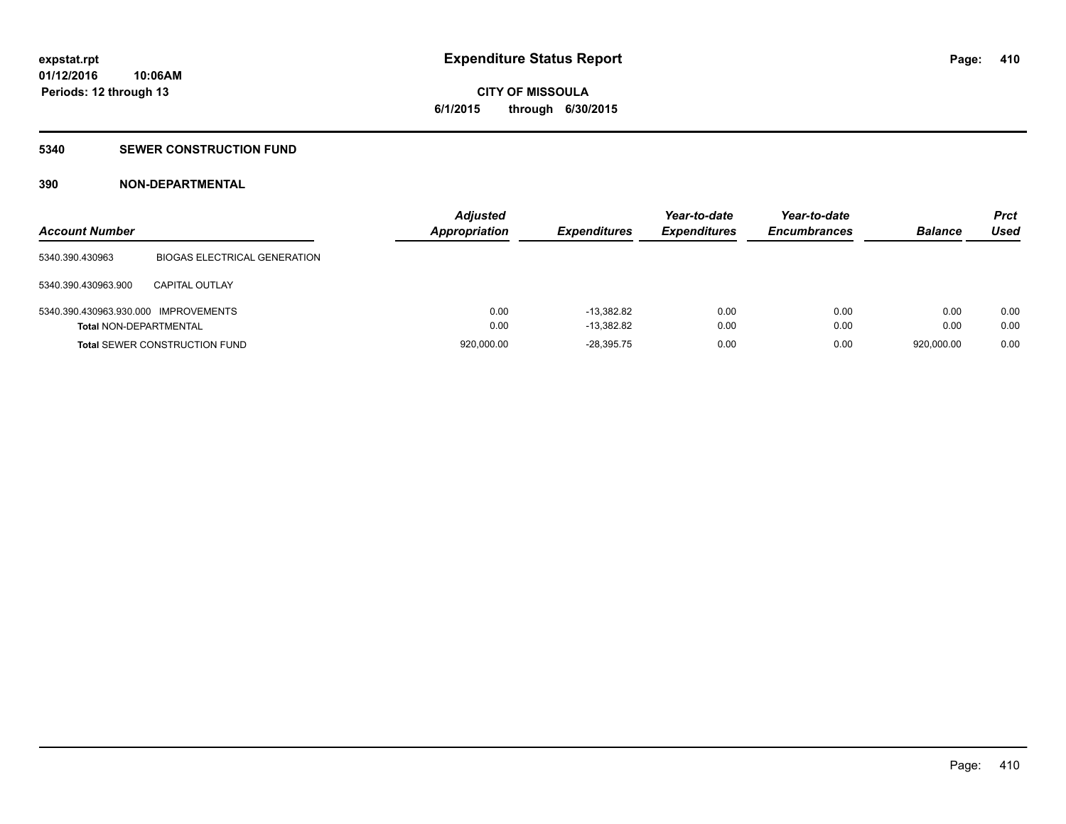# **CITY OF MISSOULA 6/1/2015 through 6/30/2015**

#### **5340 SEWER CONSTRUCTION FUND**

### **390 NON-DEPARTMENTAL**

| <b>Account Number</b>                |                                      | <b>Adjusted</b><br><b>Appropriation</b> | <b>Expenditures</b> | Year-to-date<br><b>Expenditures</b> | Year-to-date<br><b>Encumbrances</b> | <b>Balance</b> | <b>Prct</b><br>Used |
|--------------------------------------|--------------------------------------|-----------------------------------------|---------------------|-------------------------------------|-------------------------------------|----------------|---------------------|
| 5340.390.430963                      | <b>BIOGAS ELECTRICAL GENERATION</b>  |                                         |                     |                                     |                                     |                |                     |
| 5340.390.430963.900                  | <b>CAPITAL OUTLAY</b>                |                                         |                     |                                     |                                     |                |                     |
| 5340.390.430963.930.000 IMPROVEMENTS |                                      | 0.00                                    | $-13.382.82$        | 0.00                                | 0.00                                | 0.00           | 0.00                |
| Total NON-DEPARTMENTAL               |                                      | 0.00                                    | $-13.382.82$        | 0.00                                | 0.00                                | 0.00           | 0.00                |
|                                      | <b>Total SEWER CONSTRUCTION FUND</b> | 920,000.00                              | $-28.395.75$        | 0.00                                | 0.00                                | 920.000.00     | 0.00                |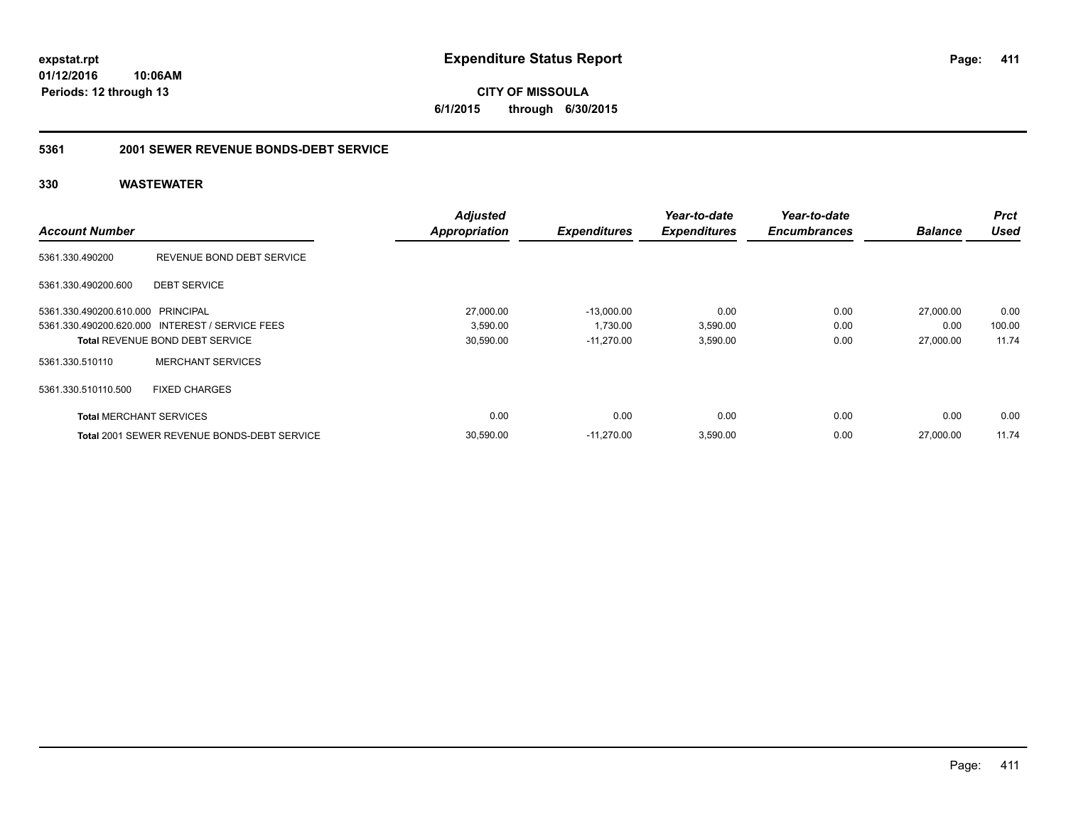**CITY OF MISSOULA 6/1/2015 through 6/30/2015**

#### **5361 2001 SEWER REVENUE BONDS-DEBT SERVICE**

|                                   |                                                    | <b>Adjusted</b>      |                     | Year-to-date        | Year-to-date        |                | <b>Prct</b> |
|-----------------------------------|----------------------------------------------------|----------------------|---------------------|---------------------|---------------------|----------------|-------------|
| <b>Account Number</b>             |                                                    | <b>Appropriation</b> | <b>Expenditures</b> | <b>Expenditures</b> | <b>Encumbrances</b> | <b>Balance</b> | <b>Used</b> |
| 5361.330.490200                   | REVENUE BOND DEBT SERVICE                          |                      |                     |                     |                     |                |             |
| 5361.330.490200.600               | <b>DEBT SERVICE</b>                                |                      |                     |                     |                     |                |             |
| 5361.330.490200.610.000 PRINCIPAL |                                                    | 27,000.00            | $-13.000.00$        | 0.00                | 0.00                | 27,000.00      | 0.00        |
|                                   | 5361.330.490200.620.000 INTEREST / SERVICE FEES    | 3,590.00             | 1,730.00            | 3,590.00            | 0.00                | 0.00           | 100.00      |
|                                   | <b>Total REVENUE BOND DEBT SERVICE</b>             | 30,590.00            | $-11.270.00$        | 3,590.00            | 0.00                | 27,000.00      | 11.74       |
| 5361.330.510110                   | <b>MERCHANT SERVICES</b>                           |                      |                     |                     |                     |                |             |
| 5361.330.510110.500               | <b>FIXED CHARGES</b>                               |                      |                     |                     |                     |                |             |
| <b>Total MERCHANT SERVICES</b>    |                                                    | 0.00                 | 0.00                | 0.00                | 0.00                | 0.00           | 0.00        |
|                                   | <b>Total 2001 SEWER REVENUE BONDS-DEBT SERVICE</b> | 30,590.00            | $-11.270.00$        | 3,590.00            | 0.00                | 27,000.00      | 11.74       |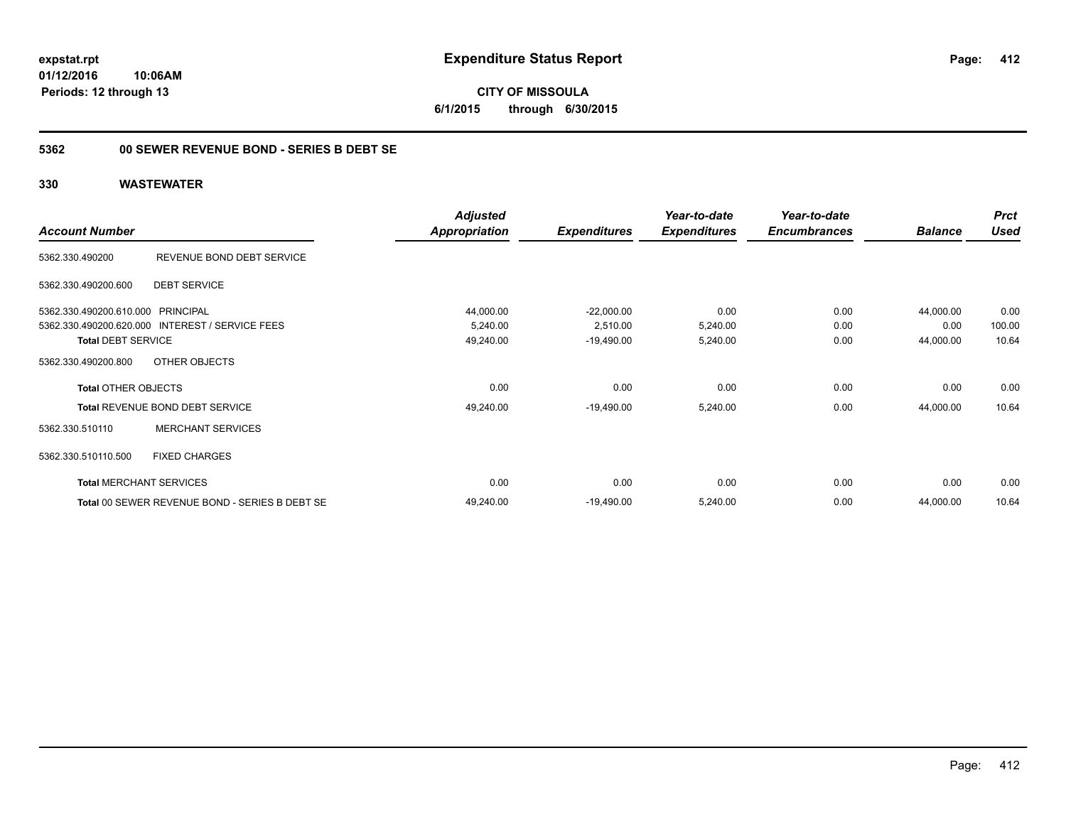### **5362 00 SEWER REVENUE BOND - SERIES B DEBT SE**

### **330 WASTEWATER**

|                                                 | <b>Adjusted</b>                                                                                                                                                                                                                                                                                                                                                                                                                          | Year-to-date        | Year-to-date   |             | <b>Prct</b> |
|-------------------------------------------------|------------------------------------------------------------------------------------------------------------------------------------------------------------------------------------------------------------------------------------------------------------------------------------------------------------------------------------------------------------------------------------------------------------------------------------------|---------------------|----------------|-------------|-------------|
| <b>Account Number</b>                           | Appropriation<br><b>Expenditures</b><br><b>Expenditures</b><br>REVENUE BOND DEBT SERVICE<br><b>DEBT SERVICE</b><br>44,000.00<br>$-22,000.00$<br>0.00<br>5,240.00<br>2,510.00<br>5,240.00<br>5,240.00<br>49,240.00<br>$-19,490.00$<br>OTHER OBJECTS<br>0.00<br>0.00<br>0.00<br>49,240.00<br>$-19,490.00$<br>5,240.00<br><b>MERCHANT SERVICES</b><br><b>FIXED CHARGES</b><br>0.00<br>0.00<br>0.00<br>49,240.00<br>$-19,490.00$<br>5,240.00 | <b>Encumbrances</b> | <b>Balance</b> | <b>Used</b> |             |
| 5362.330.490200                                 |                                                                                                                                                                                                                                                                                                                                                                                                                                          |                     |                |             |             |
| 5362.330.490200.600                             |                                                                                                                                                                                                                                                                                                                                                                                                                                          |                     |                |             |             |
| 5362.330.490200.610.000 PRINCIPAL               |                                                                                                                                                                                                                                                                                                                                                                                                                                          |                     | 0.00           | 44,000.00   | 0.00        |
| 5362.330.490200.620.000 INTEREST / SERVICE FEES |                                                                                                                                                                                                                                                                                                                                                                                                                                          |                     | 0.00           | 0.00        | 100.00      |
| <b>Total DEBT SERVICE</b>                       |                                                                                                                                                                                                                                                                                                                                                                                                                                          |                     | 0.00           | 44,000.00   | 10.64       |
| 5362.330.490200.800                             |                                                                                                                                                                                                                                                                                                                                                                                                                                          |                     |                |             |             |
| <b>Total OTHER OBJECTS</b>                      |                                                                                                                                                                                                                                                                                                                                                                                                                                          |                     | 0.00           | 0.00        | 0.00        |
| Total REVENUE BOND DEBT SERVICE                 |                                                                                                                                                                                                                                                                                                                                                                                                                                          |                     | 0.00           | 44,000.00   | 10.64       |
| 5362.330.510110                                 |                                                                                                                                                                                                                                                                                                                                                                                                                                          |                     |                |             |             |
| 5362.330.510110.500                             |                                                                                                                                                                                                                                                                                                                                                                                                                                          |                     |                |             |             |
| <b>Total MERCHANT SERVICES</b>                  |                                                                                                                                                                                                                                                                                                                                                                                                                                          |                     | 0.00           | 0.00        | 0.00        |
| Total 00 SEWER REVENUE BOND - SERIES B DEBT SE  |                                                                                                                                                                                                                                                                                                                                                                                                                                          |                     | 0.00           | 44,000.00   | 10.64       |

**412**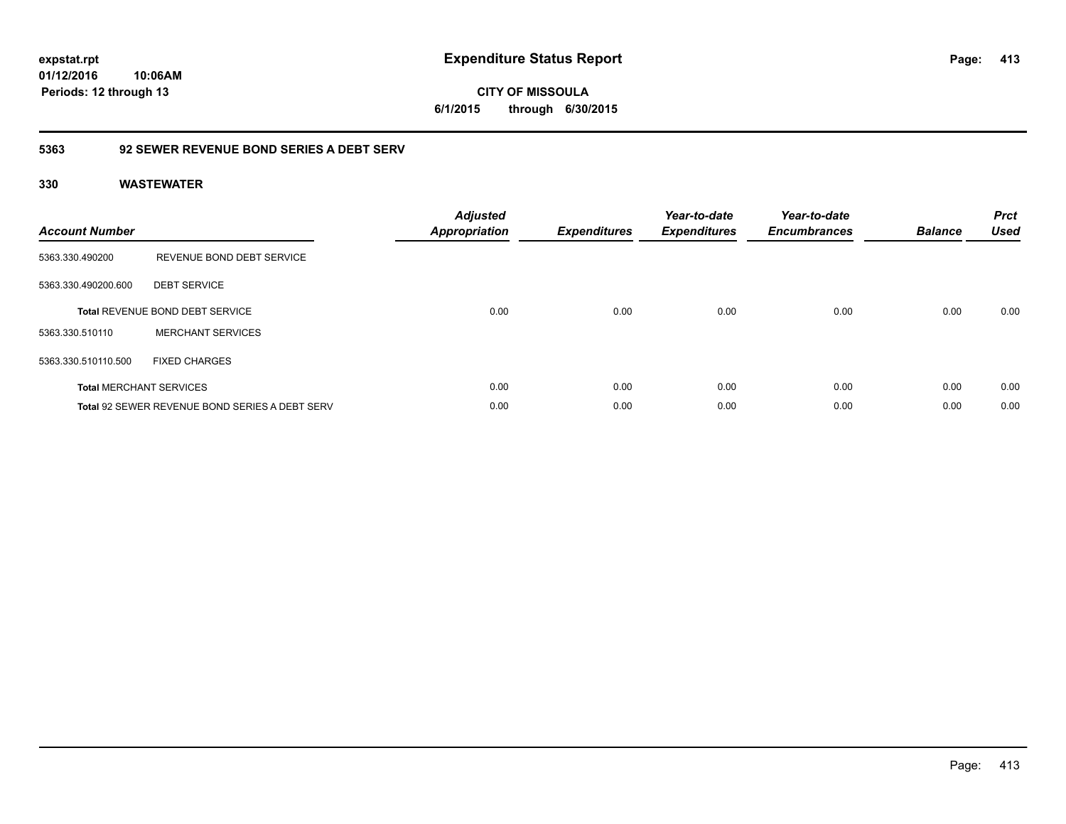**413**

**01/12/2016 10:06AM Periods: 12 through 13**

**CITY OF MISSOULA 6/1/2015 through 6/30/2015**

### **5363 92 SEWER REVENUE BOND SERIES A DEBT SERV**

| <b>Account Number</b> |                                                       | <b>Adjusted</b><br>Appropriation | <b>Expenditures</b> | Year-to-date<br><b>Expenditures</b> | Year-to-date<br><b>Encumbrances</b> | <b>Balance</b> | <b>Prct</b><br><b>Used</b> |
|-----------------------|-------------------------------------------------------|----------------------------------|---------------------|-------------------------------------|-------------------------------------|----------------|----------------------------|
| 5363.330.490200       | REVENUE BOND DEBT SERVICE                             |                                  |                     |                                     |                                     |                |                            |
| 5363.330.490200.600   | <b>DEBT SERVICE</b>                                   |                                  |                     |                                     |                                     |                |                            |
|                       | <b>Total REVENUE BOND DEBT SERVICE</b>                | 0.00                             | 0.00                | 0.00                                | 0.00                                | 0.00           | 0.00                       |
| 5363.330.510110       | <b>MERCHANT SERVICES</b>                              |                                  |                     |                                     |                                     |                |                            |
| 5363.330.510110.500   | <b>FIXED CHARGES</b>                                  |                                  |                     |                                     |                                     |                |                            |
|                       | <b>Total MERCHANT SERVICES</b>                        | 0.00                             | 0.00                | 0.00                                | 0.00                                | 0.00           | 0.00                       |
|                       | <b>Total 92 SEWER REVENUE BOND SERIES A DEBT SERV</b> | 0.00                             | 0.00                | 0.00                                | 0.00                                | 0.00           | 0.00                       |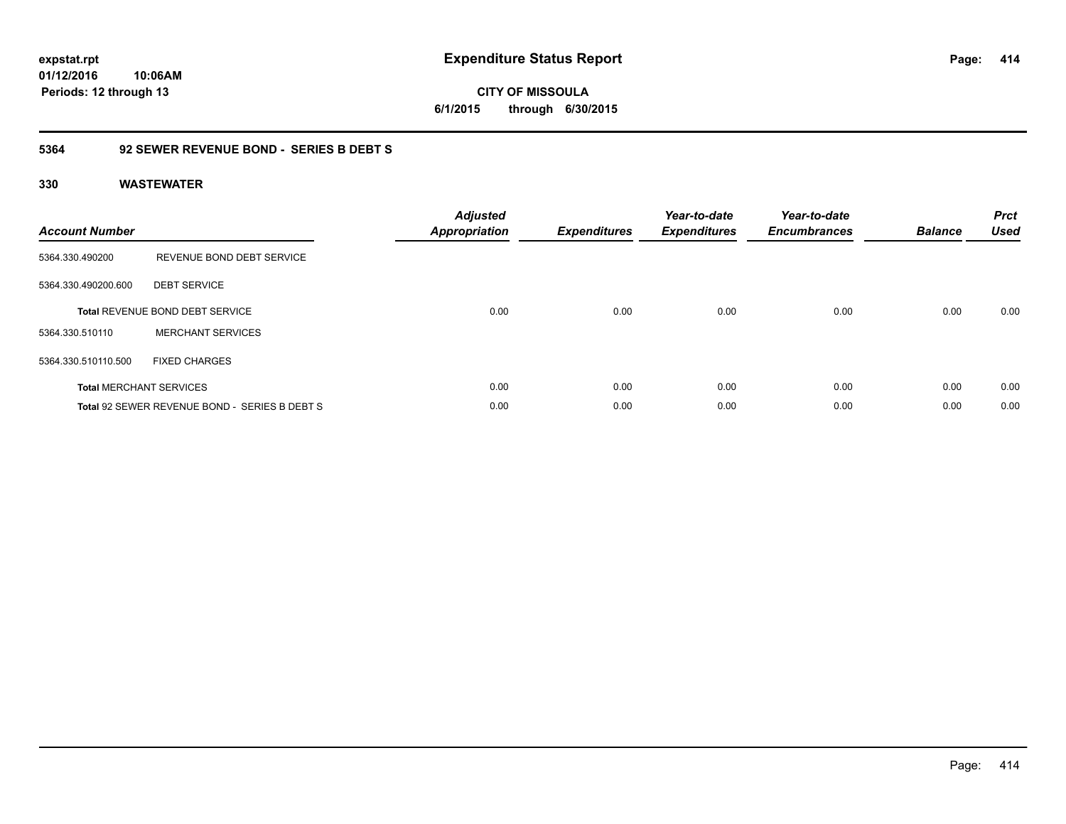**CITY OF MISSOULA 6/1/2015 through 6/30/2015**

### **5364 92 SEWER REVENUE BOND - SERIES B DEBT S**

| <b>Account Number</b> |                                               | <b>Adjusted</b><br><b>Appropriation</b> | <b>Expenditures</b> | Year-to-date<br><b>Expenditures</b> | Year-to-date<br><b>Encumbrances</b> | <b>Balance</b> | <b>Prct</b><br><b>Used</b> |
|-----------------------|-----------------------------------------------|-----------------------------------------|---------------------|-------------------------------------|-------------------------------------|----------------|----------------------------|
| 5364.330.490200       | REVENUE BOND DEBT SERVICE                     |                                         |                     |                                     |                                     |                |                            |
| 5364.330.490200.600   | <b>DEBT SERVICE</b>                           |                                         |                     |                                     |                                     |                |                            |
|                       | <b>Total REVENUE BOND DEBT SERVICE</b>        | 0.00                                    | 0.00                | 0.00                                | 0.00                                | 0.00           | 0.00                       |
| 5364.330.510110       | <b>MERCHANT SERVICES</b>                      |                                         |                     |                                     |                                     |                |                            |
| 5364.330.510110.500   | <b>FIXED CHARGES</b>                          |                                         |                     |                                     |                                     |                |                            |
|                       | <b>Total MERCHANT SERVICES</b>                | 0.00                                    | 0.00                | 0.00                                | 0.00                                | 0.00           | 0.00                       |
|                       | Total 92 SEWER REVENUE BOND - SERIES B DEBT S | 0.00                                    | 0.00                | 0.00                                | 0.00                                | 0.00           | 0.00                       |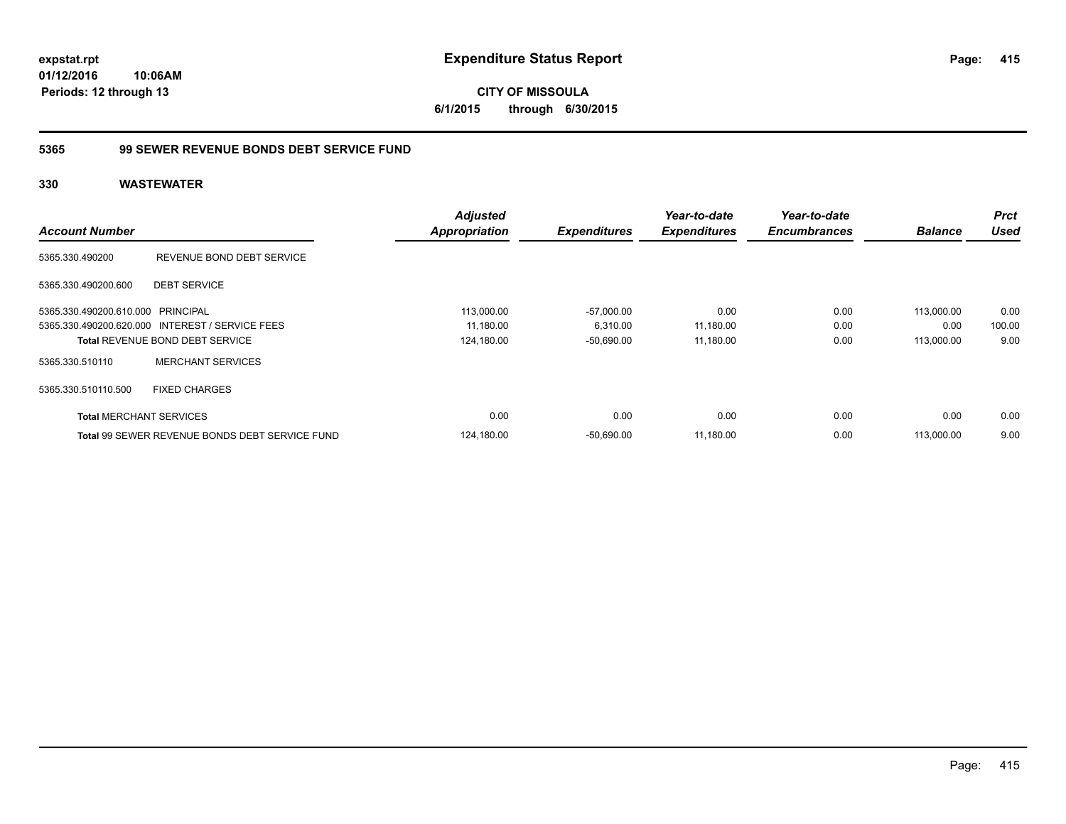### **5365 99 SEWER REVENUE BONDS DEBT SERVICE FUND**

| <b>Account Number</b>             |                                                 | <b>Adjusted</b><br><b>Appropriation</b> | <b>Expenditures</b> | Year-to-date<br><b>Expenditures</b> | Year-to-date<br><b>Encumbrances</b> | <b>Balance</b> | <b>Prct</b><br><b>Used</b> |
|-----------------------------------|-------------------------------------------------|-----------------------------------------|---------------------|-------------------------------------|-------------------------------------|----------------|----------------------------|
| 5365.330.490200                   | REVENUE BOND DEBT SERVICE                       |                                         |                     |                                     |                                     |                |                            |
| 5365.330.490200.600               | <b>DEBT SERVICE</b>                             |                                         |                     |                                     |                                     |                |                            |
| 5365.330.490200.610.000 PRINCIPAL |                                                 | 113,000.00                              | $-57,000.00$        | 0.00                                | 0.00                                | 113.000.00     | 0.00                       |
|                                   | 5365.330.490200.620.000 INTEREST / SERVICE FEES | 11,180.00                               | 6,310.00            | 11,180.00                           | 0.00                                | 0.00           | 100.00                     |
|                                   | <b>Total REVENUE BOND DEBT SERVICE</b>          | 124,180.00                              | $-50,690.00$        | 11,180.00                           | 0.00                                | 113,000.00     | 9.00                       |
| 5365.330.510110                   | <b>MERCHANT SERVICES</b>                        |                                         |                     |                                     |                                     |                |                            |
| 5365.330.510110.500               | <b>FIXED CHARGES</b>                            |                                         |                     |                                     |                                     |                |                            |
| <b>Total MERCHANT SERVICES</b>    |                                                 | 0.00                                    | 0.00                | 0.00                                | 0.00                                | 0.00           | 0.00                       |
|                                   | Total 99 SEWER REVENUE BONDS DEBT SERVICE FUND  | 124,180.00                              | $-50,690.00$        | 11,180.00                           | 0.00                                | 113,000.00     | 9.00                       |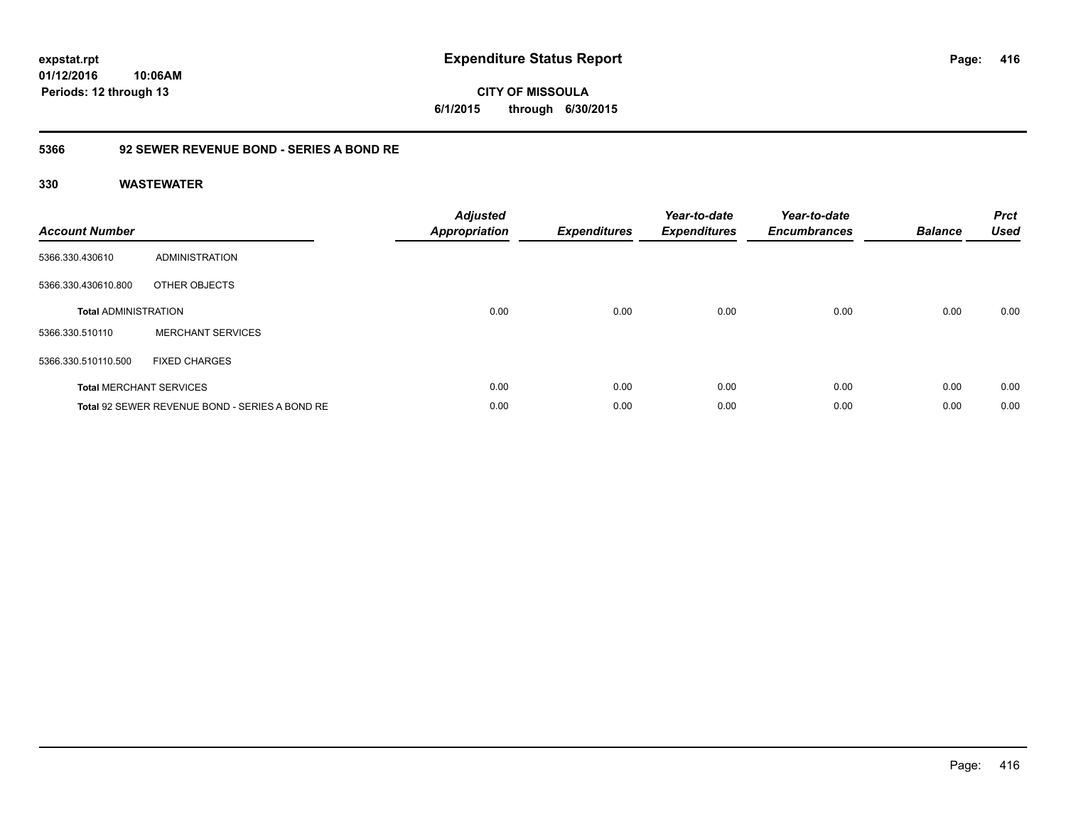**CITY OF MISSOULA 6/1/2015 through 6/30/2015**

### **5366 92 SEWER REVENUE BOND - SERIES A BOND RE**

| <b>Account Number</b>       |                                                | <b>Adjusted</b><br><b>Appropriation</b> | <b>Expenditures</b> | Year-to-date<br><b>Expenditures</b> | Year-to-date<br><b>Encumbrances</b> | <b>Balance</b> | <b>Prct</b><br><b>Used</b> |
|-----------------------------|------------------------------------------------|-----------------------------------------|---------------------|-------------------------------------|-------------------------------------|----------------|----------------------------|
| 5366.330.430610             | ADMINISTRATION                                 |                                         |                     |                                     |                                     |                |                            |
| 5366.330.430610.800         | OTHER OBJECTS                                  |                                         |                     |                                     |                                     |                |                            |
| <b>Total ADMINISTRATION</b> |                                                | 0.00                                    | 0.00                | 0.00                                | 0.00                                | 0.00           | 0.00                       |
| 5366.330.510110             | <b>MERCHANT SERVICES</b>                       |                                         |                     |                                     |                                     |                |                            |
| 5366.330.510110.500         | <b>FIXED CHARGES</b>                           |                                         |                     |                                     |                                     |                |                            |
|                             | <b>Total MERCHANT SERVICES</b>                 | 0.00                                    | 0.00                | 0.00                                | 0.00                                | 0.00           | 0.00                       |
|                             | Total 92 SEWER REVENUE BOND - SERIES A BOND RE | 0.00                                    | 0.00                | 0.00                                | 0.00                                | 0.00           | 0.00                       |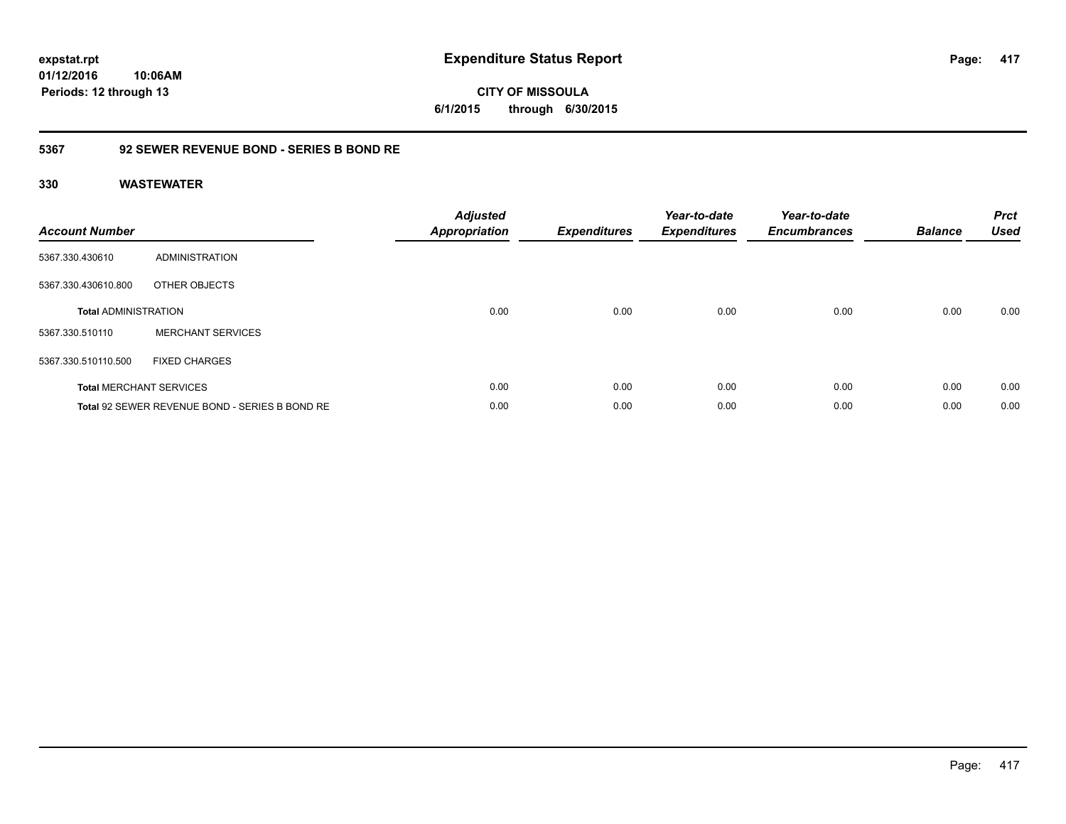### **5367 92 SEWER REVENUE BOND - SERIES B BOND RE**

| <b>Account Number</b>       |                                                | Adjusted<br><b>Appropriation</b> | <b>Expenditures</b> | Year-to-date<br><b>Expenditures</b> | Year-to-date<br><b>Encumbrances</b> | <b>Balance</b> | <b>Prct</b><br><b>Used</b> |
|-----------------------------|------------------------------------------------|----------------------------------|---------------------|-------------------------------------|-------------------------------------|----------------|----------------------------|
| 5367.330.430610             | ADMINISTRATION                                 |                                  |                     |                                     |                                     |                |                            |
| 5367.330.430610.800         | OTHER OBJECTS                                  |                                  |                     |                                     |                                     |                |                            |
| <b>Total ADMINISTRATION</b> |                                                | 0.00                             | 0.00                | 0.00                                | 0.00                                | 0.00           | 0.00                       |
| 5367.330.510110             | <b>MERCHANT SERVICES</b>                       |                                  |                     |                                     |                                     |                |                            |
| 5367.330.510110.500         | <b>FIXED CHARGES</b>                           |                                  |                     |                                     |                                     |                |                            |
|                             | <b>Total MERCHANT SERVICES</b>                 | 0.00                             | 0.00                | 0.00                                | 0.00                                | 0.00           | 0.00                       |
|                             | Total 92 SEWER REVENUE BOND - SERIES B BOND RE | 0.00                             | 0.00                | 0.00                                | 0.00                                | 0.00           | 0.00                       |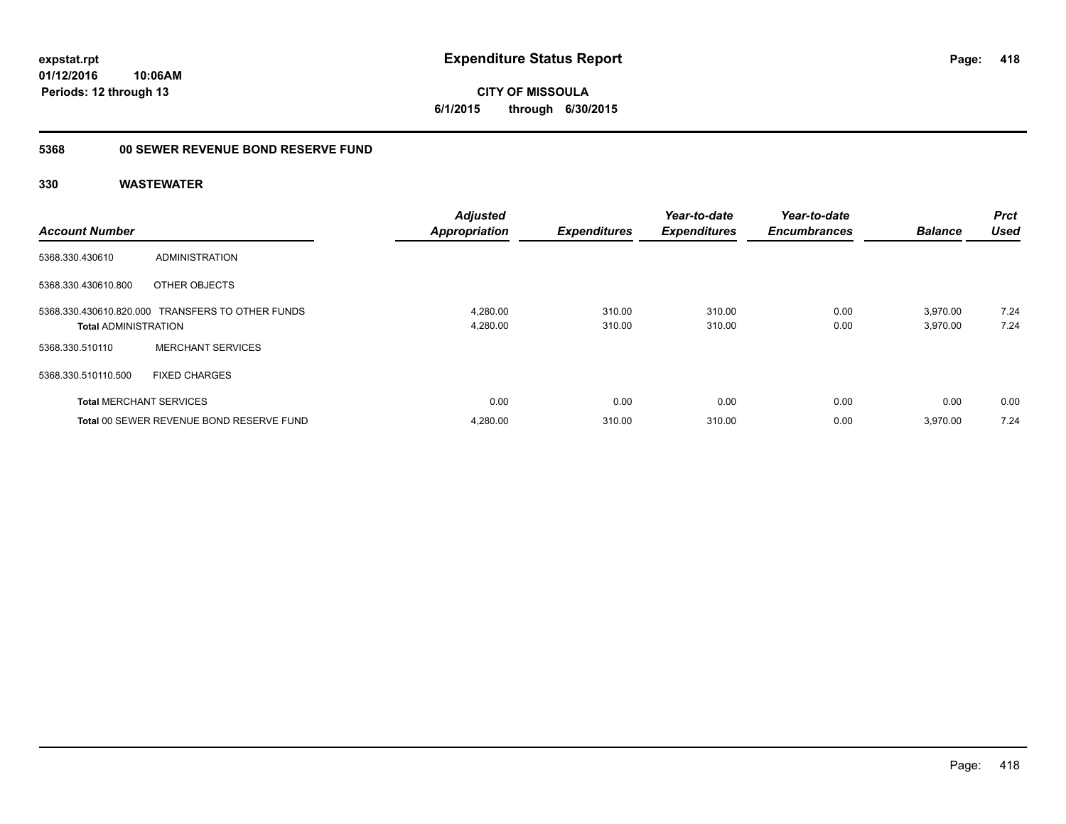# **5368 00 SEWER REVENUE BOND RESERVE FUND**

| <b>Account Number</b>          |                                                  | <b>Adjusted</b><br><b>Appropriation</b> | <b>Expenditures</b> | Year-to-date<br><b>Expenditures</b> | Year-to-date<br><b>Encumbrances</b> | <b>Balance</b>       | <b>Prct</b><br><b>Used</b> |
|--------------------------------|--------------------------------------------------|-----------------------------------------|---------------------|-------------------------------------|-------------------------------------|----------------------|----------------------------|
| 5368.330.430610                | ADMINISTRATION                                   |                                         |                     |                                     |                                     |                      |                            |
| 5368.330.430610.800            | OTHER OBJECTS                                    |                                         |                     |                                     |                                     |                      |                            |
| <b>Total ADMINISTRATION</b>    | 5368.330.430610.820.000 TRANSFERS TO OTHER FUNDS | 4.280.00<br>4,280.00                    | 310.00<br>310.00    | 310.00<br>310.00                    | 0.00<br>0.00                        | 3,970.00<br>3,970.00 | 7.24<br>7.24               |
| 5368.330.510110                | <b>MERCHANT SERVICES</b>                         |                                         |                     |                                     |                                     |                      |                            |
| 5368.330.510110.500            | <b>FIXED CHARGES</b>                             |                                         |                     |                                     |                                     |                      |                            |
| <b>Total MERCHANT SERVICES</b> |                                                  | 0.00                                    | 0.00                | 0.00                                | 0.00                                | 0.00                 | 0.00                       |
|                                | Total 00 SEWER REVENUE BOND RESERVE FUND         | 4,280.00                                | 310.00              | 310.00                              | 0.00                                | 3,970.00             | 7.24                       |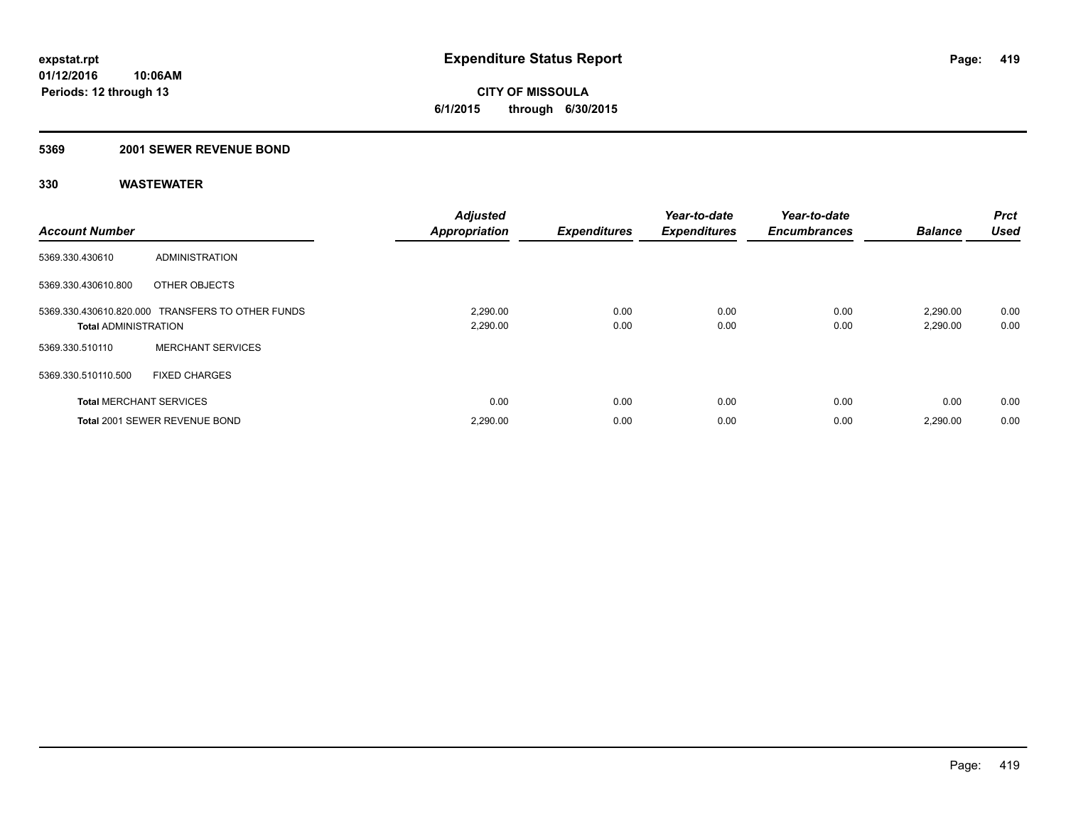**CITY OF MISSOULA 6/1/2015 through 6/30/2015**

### **5369 2001 SEWER REVENUE BOND**

| <b>Account Number</b>          |                                                  | <b>Adjusted</b><br><b>Appropriation</b> | <b>Expenditures</b> | Year-to-date<br><b>Expenditures</b> | Year-to-date<br><b>Encumbrances</b> | <b>Balance</b>       | Prct<br><b>Used</b> |
|--------------------------------|--------------------------------------------------|-----------------------------------------|---------------------|-------------------------------------|-------------------------------------|----------------------|---------------------|
| 5369.330.430610                | <b>ADMINISTRATION</b>                            |                                         |                     |                                     |                                     |                      |                     |
| 5369.330.430610.800            | OTHER OBJECTS                                    |                                         |                     |                                     |                                     |                      |                     |
| <b>Total ADMINISTRATION</b>    | 5369.330.430610.820.000 TRANSFERS TO OTHER FUNDS | 2,290.00<br>2,290.00                    | 0.00<br>0.00        | 0.00<br>0.00                        | 0.00<br>0.00                        | 2,290.00<br>2,290.00 | 0.00<br>0.00        |
| 5369.330.510110                | <b>MERCHANT SERVICES</b>                         |                                         |                     |                                     |                                     |                      |                     |
| 5369.330.510110.500            | <b>FIXED CHARGES</b>                             |                                         |                     |                                     |                                     |                      |                     |
| <b>Total MERCHANT SERVICES</b> |                                                  | 0.00                                    | 0.00                | 0.00                                | 0.00                                | 0.00                 | 0.00                |
|                                | <b>Total 2001 SEWER REVENUE BOND</b>             | 2,290.00                                | 0.00                | 0.00                                | 0.00                                | 2,290.00             | 0.00                |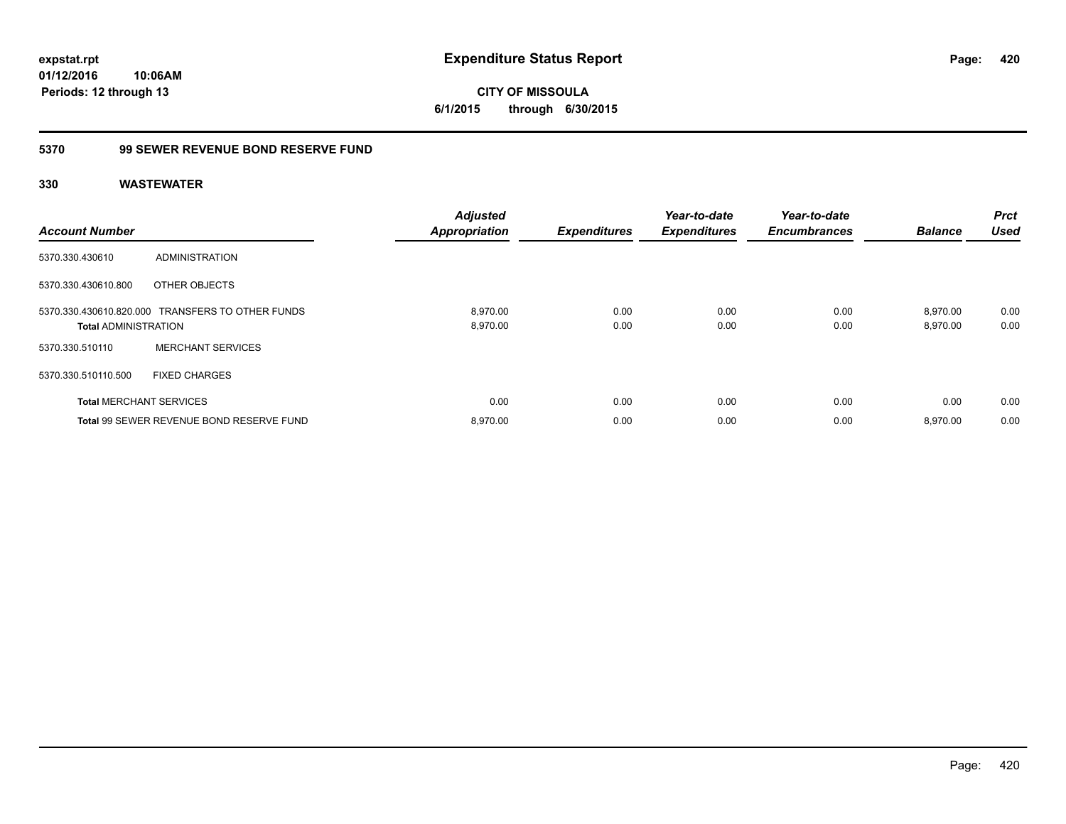### **5370 99 SEWER REVENUE BOND RESERVE FUND**

| <b>Account Number</b>          |                                                  | <b>Adjusted</b><br>Appropriation | <b>Expenditures</b> | Year-to-date<br><b>Expenditures</b> | Year-to-date<br><b>Encumbrances</b> | <b>Balance</b>       | <b>Prct</b><br><b>Used</b> |
|--------------------------------|--------------------------------------------------|----------------------------------|---------------------|-------------------------------------|-------------------------------------|----------------------|----------------------------|
| 5370.330.430610                | ADMINISTRATION                                   |                                  |                     |                                     |                                     |                      |                            |
| 5370.330.430610.800            | OTHER OBJECTS                                    |                                  |                     |                                     |                                     |                      |                            |
| <b>Total ADMINISTRATION</b>    | 5370.330.430610.820.000 TRANSFERS TO OTHER FUNDS | 8.970.00<br>8,970.00             | 0.00<br>0.00        | 0.00<br>0.00                        | 0.00<br>0.00                        | 8.970.00<br>8,970.00 | 0.00<br>0.00               |
| 5370.330.510110                | <b>MERCHANT SERVICES</b>                         |                                  |                     |                                     |                                     |                      |                            |
| 5370.330.510110.500            | <b>FIXED CHARGES</b>                             |                                  |                     |                                     |                                     |                      |                            |
| <b>Total MERCHANT SERVICES</b> |                                                  | 0.00                             | 0.00                | 0.00                                | 0.00                                | 0.00                 | 0.00                       |
|                                | Total 99 SEWER REVENUE BOND RESERVE FUND         | 8.970.00                         | 0.00                | 0.00                                | 0.00                                | 8.970.00             | 0.00                       |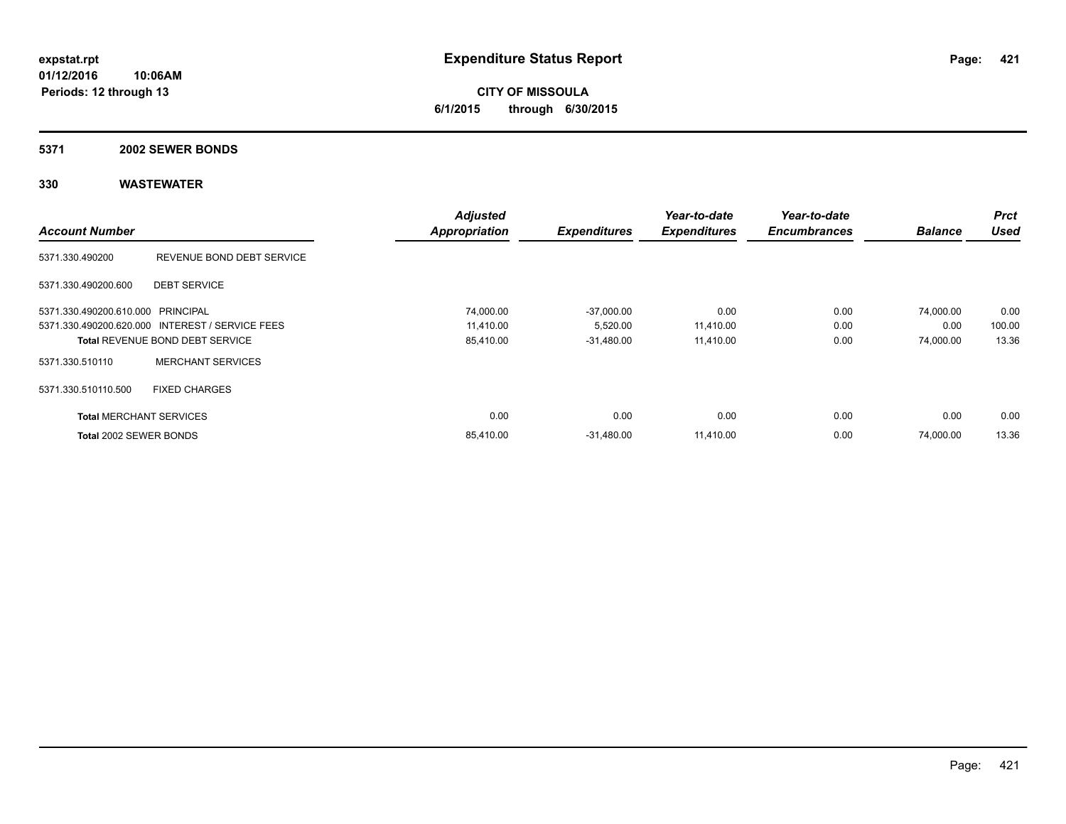**CITY OF MISSOULA 6/1/2015 through 6/30/2015**

#### **5371 2002 SEWER BONDS**

|                                   |                                                 | <b>Adjusted</b>      |                     | Year-to-date        | Year-to-date        |                | <b>Prct</b> |
|-----------------------------------|-------------------------------------------------|----------------------|---------------------|---------------------|---------------------|----------------|-------------|
| <b>Account Number</b>             |                                                 | <b>Appropriation</b> | <b>Expenditures</b> | <b>Expenditures</b> | <b>Encumbrances</b> | <b>Balance</b> | <b>Used</b> |
| 5371.330.490200                   | REVENUE BOND DEBT SERVICE                       |                      |                     |                     |                     |                |             |
| 5371.330.490200.600               | <b>DEBT SERVICE</b>                             |                      |                     |                     |                     |                |             |
| 5371.330.490200.610.000 PRINCIPAL |                                                 | 74,000.00            | $-37,000.00$        | 0.00                | 0.00                | 74,000.00      | 0.00        |
|                                   | 5371.330.490200.620.000 INTEREST / SERVICE FEES | 11,410.00            | 5,520.00            | 11,410.00           | 0.00                | 0.00           | 100.00      |
|                                   | <b>Total REVENUE BOND DEBT SERVICE</b>          | 85,410.00            | $-31,480.00$        | 11,410.00           | 0.00                | 74,000.00      | 13.36       |
| 5371.330.510110                   | <b>MERCHANT SERVICES</b>                        |                      |                     |                     |                     |                |             |
| 5371.330.510110.500               | <b>FIXED CHARGES</b>                            |                      |                     |                     |                     |                |             |
| <b>Total MERCHANT SERVICES</b>    |                                                 | 0.00                 | 0.00                | 0.00                | 0.00                | 0.00           | 0.00        |
| Total 2002 SEWER BONDS            |                                                 | 85.410.00            | $-31,480.00$        | 11,410.00           | 0.00                | 74,000.00      | 13.36       |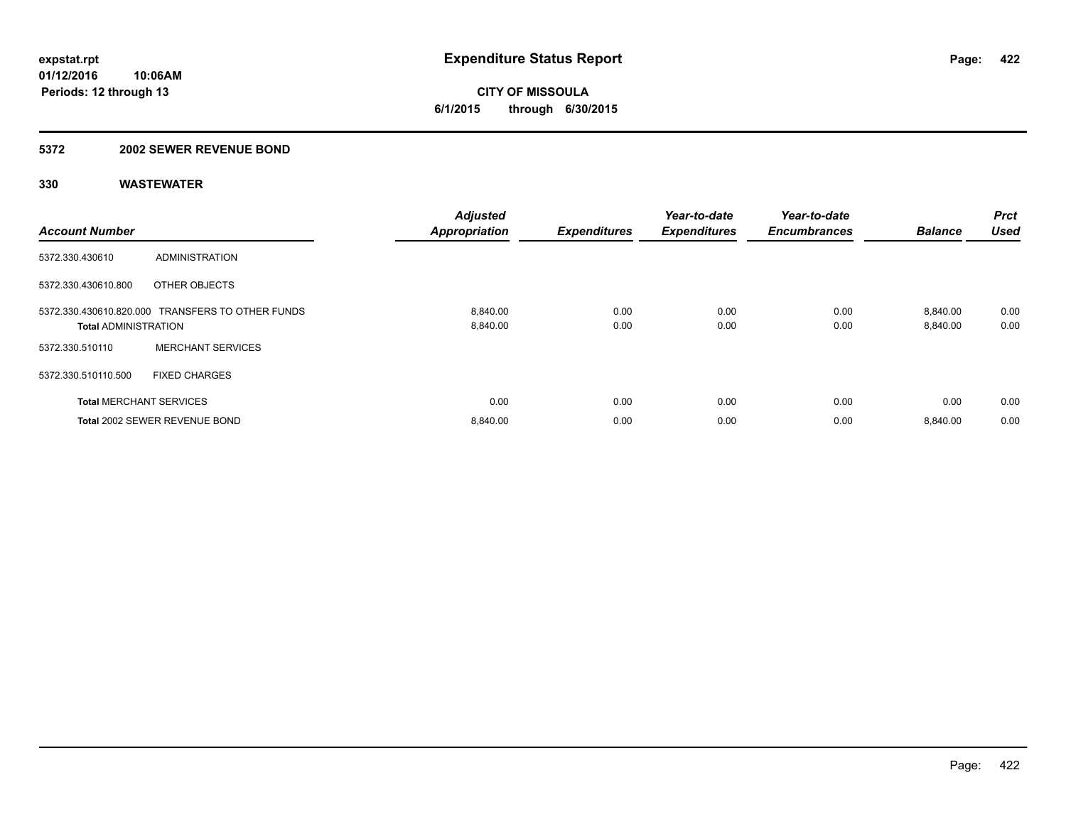**CITY OF MISSOULA 6/1/2015 through 6/30/2015**

#### **5372 2002 SEWER REVENUE BOND**

| <b>Account Number</b>          |                                                  | <b>Adjusted</b><br><b>Appropriation</b> | <b>Expenditures</b> | Year-to-date<br><b>Expenditures</b> | Year-to-date<br><b>Encumbrances</b> | <b>Balance</b>       | Prct<br><b>Used</b> |
|--------------------------------|--------------------------------------------------|-----------------------------------------|---------------------|-------------------------------------|-------------------------------------|----------------------|---------------------|
| 5372.330.430610                | ADMINISTRATION                                   |                                         |                     |                                     |                                     |                      |                     |
| 5372.330.430610.800            | OTHER OBJECTS                                    |                                         |                     |                                     |                                     |                      |                     |
| <b>Total ADMINISTRATION</b>    | 5372.330.430610.820.000 TRANSFERS TO OTHER FUNDS | 8,840.00<br>8,840.00                    | 0.00<br>0.00        | 0.00<br>0.00                        | 0.00<br>0.00                        | 8,840.00<br>8,840.00 | 0.00<br>0.00        |
| 5372.330.510110                | <b>MERCHANT SERVICES</b>                         |                                         |                     |                                     |                                     |                      |                     |
| 5372.330.510110.500            | <b>FIXED CHARGES</b>                             |                                         |                     |                                     |                                     |                      |                     |
| <b>Total MERCHANT SERVICES</b> |                                                  | 0.00                                    | 0.00                | 0.00                                | 0.00                                | 0.00                 | 0.00                |
|                                | Total 2002 SEWER REVENUE BOND                    | 8,840.00                                | 0.00                | 0.00                                | 0.00                                | 8,840.00             | 0.00                |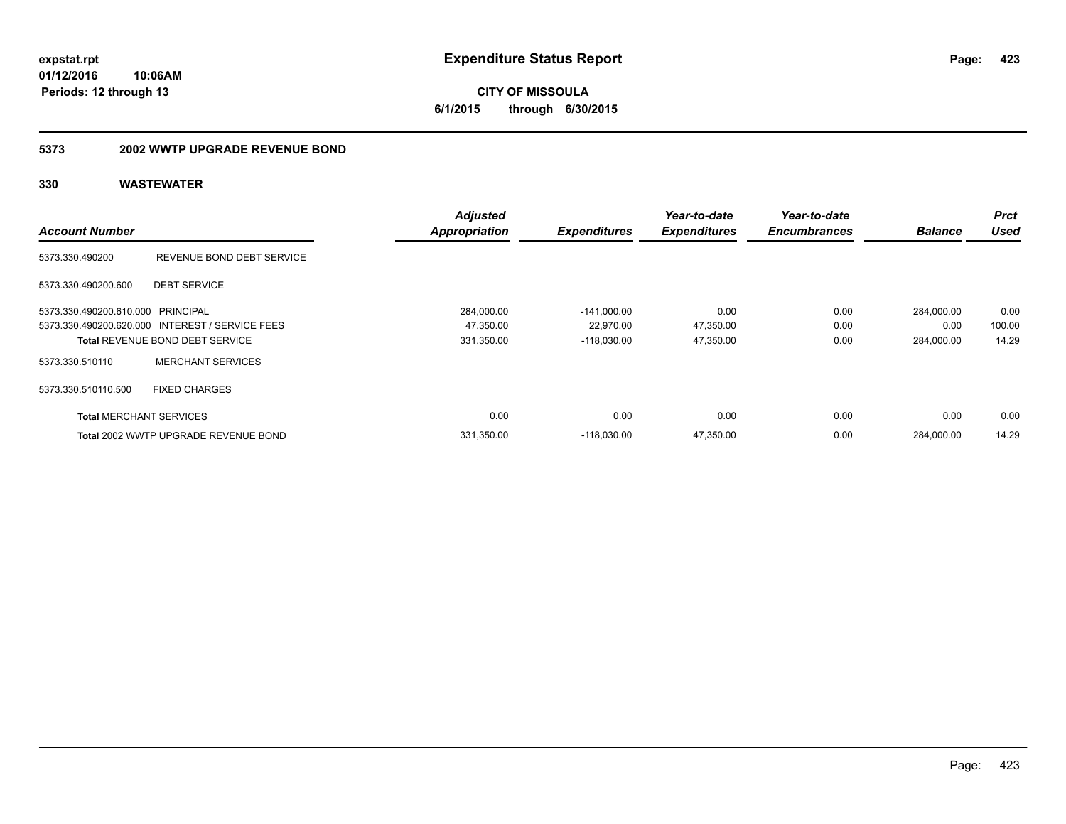**CITY OF MISSOULA 6/1/2015 through 6/30/2015**

#### **5373 2002 WWTP UPGRADE REVENUE BOND**

|                                   |                                                 | <b>Adjusted</b>      |                     | Year-to-date        | Year-to-date        |                | <b>Prct</b> |
|-----------------------------------|-------------------------------------------------|----------------------|---------------------|---------------------|---------------------|----------------|-------------|
| <b>Account Number</b>             |                                                 | <b>Appropriation</b> | <b>Expenditures</b> | <b>Expenditures</b> | <b>Encumbrances</b> | <b>Balance</b> | <b>Used</b> |
| 5373.330.490200                   | REVENUE BOND DEBT SERVICE                       |                      |                     |                     |                     |                |             |
| 5373.330.490200.600               | <b>DEBT SERVICE</b>                             |                      |                     |                     |                     |                |             |
| 5373.330.490200.610.000 PRINCIPAL |                                                 | 284,000.00           | $-141,000.00$       | 0.00                | 0.00                | 284.000.00     | 0.00        |
|                                   | 5373.330.490200.620.000 INTEREST / SERVICE FEES | 47,350.00            | 22,970.00           | 47,350.00           | 0.00                | 0.00           | 100.00      |
|                                   | <b>Total REVENUE BOND DEBT SERVICE</b>          | 331,350.00           | $-118,030.00$       | 47,350.00           | 0.00                | 284,000.00     | 14.29       |
| 5373.330.510110                   | <b>MERCHANT SERVICES</b>                        |                      |                     |                     |                     |                |             |
| 5373.330.510110.500               | <b>FIXED CHARGES</b>                            |                      |                     |                     |                     |                |             |
| <b>Total MERCHANT SERVICES</b>    |                                                 | 0.00                 | 0.00                | 0.00                | 0.00                | 0.00           | 0.00        |
|                                   | Total 2002 WWTP UPGRADE REVENUE BOND            | 331,350.00           | $-118.030.00$       | 47,350.00           | 0.00                | 284.000.00     | 14.29       |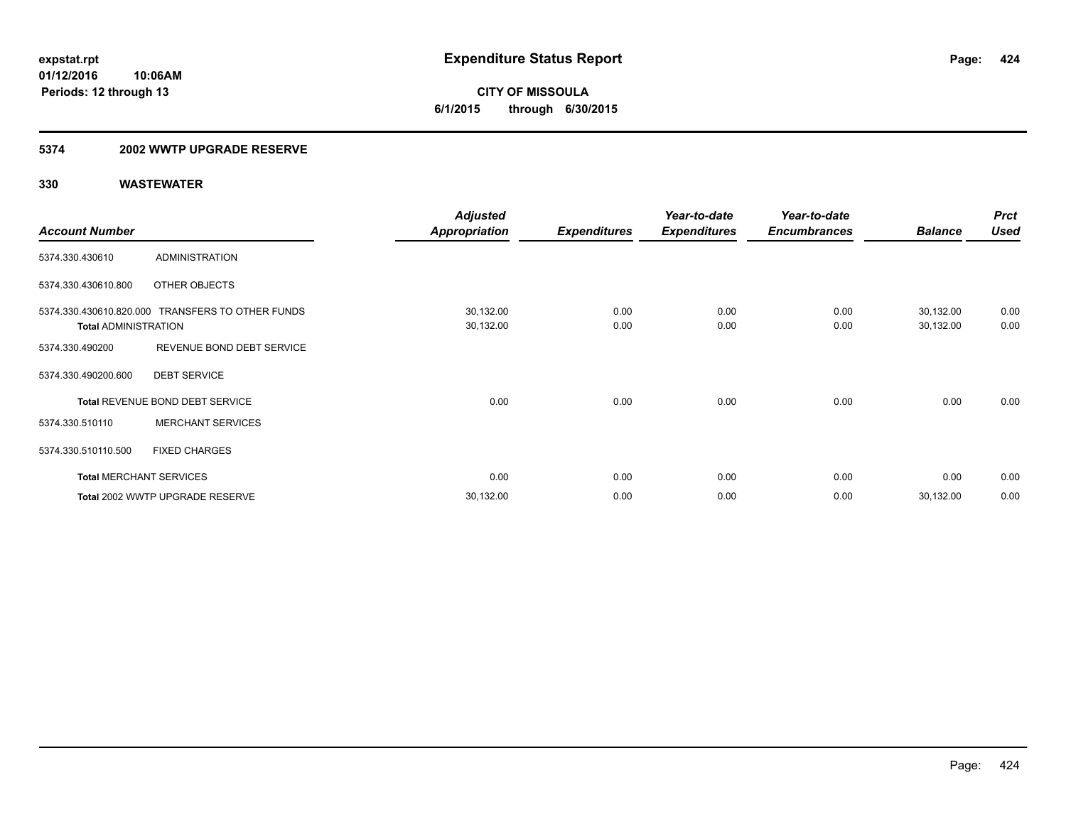### **5374 2002 WWTP UPGRADE RESERVE**

|                             |                                                  | <b>Adjusted</b>      |                     | Year-to-date        | Year-to-date        |                | <b>Prct</b> |
|-----------------------------|--------------------------------------------------|----------------------|---------------------|---------------------|---------------------|----------------|-------------|
| <b>Account Number</b>       |                                                  | <b>Appropriation</b> | <b>Expenditures</b> | <b>Expenditures</b> | <b>Encumbrances</b> | <b>Balance</b> | <b>Used</b> |
| 5374.330.430610             | <b>ADMINISTRATION</b>                            |                      |                     |                     |                     |                |             |
| 5374.330.430610.800         | OTHER OBJECTS                                    |                      |                     |                     |                     |                |             |
|                             | 5374.330.430610.820.000 TRANSFERS TO OTHER FUNDS | 30,132.00            | 0.00                | 0.00                | 0.00                | 30,132.00      | 0.00        |
| <b>Total ADMINISTRATION</b> |                                                  | 30,132.00            | 0.00                | 0.00                | 0.00                | 30,132.00      | 0.00        |
| 5374.330.490200             | REVENUE BOND DEBT SERVICE                        |                      |                     |                     |                     |                |             |
| 5374.330.490200.600         | <b>DEBT SERVICE</b>                              |                      |                     |                     |                     |                |             |
|                             | Total REVENUE BOND DEBT SERVICE                  | 0.00                 | 0.00                | 0.00                | 0.00                | 0.00           | 0.00        |
| 5374.330.510110             | <b>MERCHANT SERVICES</b>                         |                      |                     |                     |                     |                |             |
| 5374.330.510110.500         | <b>FIXED CHARGES</b>                             |                      |                     |                     |                     |                |             |
|                             | <b>Total MERCHANT SERVICES</b>                   | 0.00                 | 0.00                | 0.00                | 0.00                | 0.00           | 0.00        |
|                             | Total 2002 WWTP UPGRADE RESERVE                  | 30,132.00            | 0.00                | 0.00                | 0.00                | 30,132.00      | 0.00        |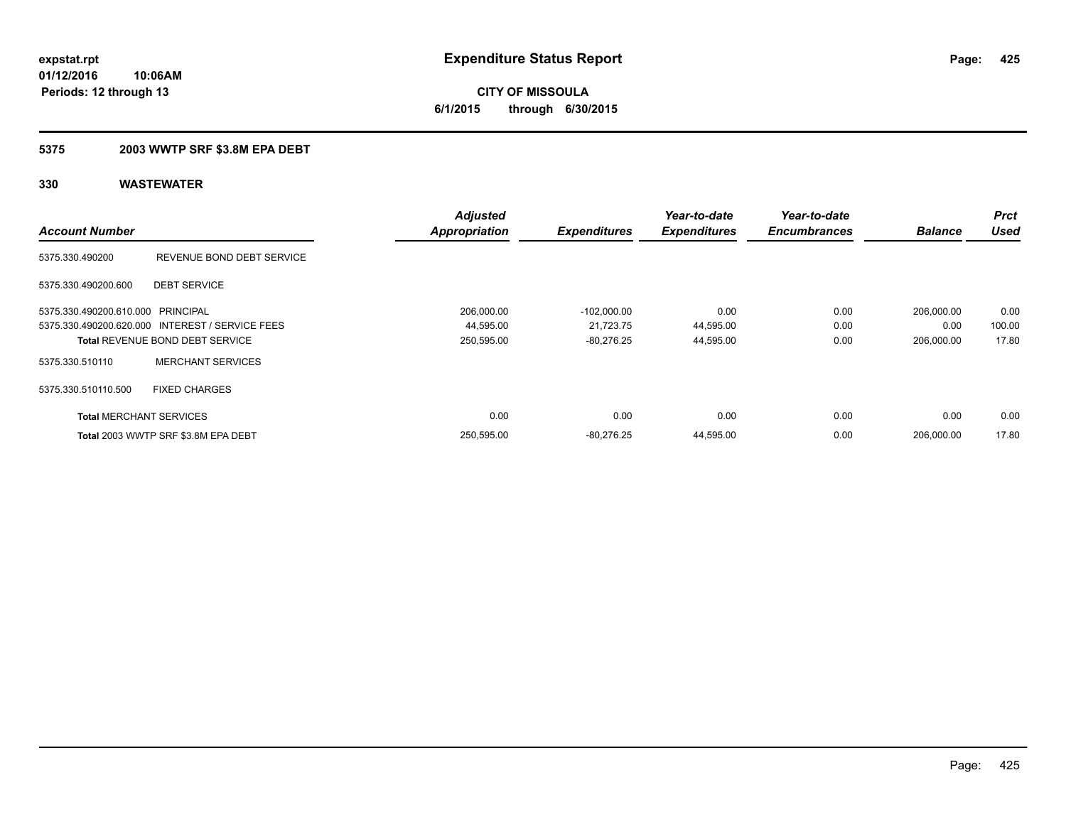**CITY OF MISSOULA 6/1/2015 through 6/30/2015**

### **5375 2003 WWTP SRF \$3.8M EPA DEBT**

|                                   |                                                 | <b>Adjusted</b>      |                     | Year-to-date        | Year-to-date        |                | <b>Prct</b> |
|-----------------------------------|-------------------------------------------------|----------------------|---------------------|---------------------|---------------------|----------------|-------------|
| <b>Account Number</b>             |                                                 | <b>Appropriation</b> | <b>Expenditures</b> | <b>Expenditures</b> | <b>Encumbrances</b> | <b>Balance</b> | <b>Used</b> |
| 5375.330.490200                   | REVENUE BOND DEBT SERVICE                       |                      |                     |                     |                     |                |             |
| 5375.330.490200.600               | <b>DEBT SERVICE</b>                             |                      |                     |                     |                     |                |             |
| 5375.330.490200.610.000 PRINCIPAL |                                                 | 206,000.00           | $-102,000.00$       | 0.00                | 0.00                | 206,000.00     | 0.00        |
|                                   | 5375.330.490200.620.000 INTEREST / SERVICE FEES | 44,595.00            | 21,723.75           | 44,595.00           | 0.00                | 0.00           | 100.00      |
|                                   | <b>Total REVENUE BOND DEBT SERVICE</b>          | 250,595.00           | $-80,276.25$        | 44,595.00           | 0.00                | 206.000.00     | 17.80       |
| 5375.330.510110                   | <b>MERCHANT SERVICES</b>                        |                      |                     |                     |                     |                |             |
| 5375.330.510110.500               | <b>FIXED CHARGES</b>                            |                      |                     |                     |                     |                |             |
| <b>Total MERCHANT SERVICES</b>    |                                                 | 0.00                 | 0.00                | 0.00                | 0.00                | 0.00           | 0.00        |
|                                   | Total 2003 WWTP SRF \$3.8M EPA DEBT             | 250.595.00           | $-80.276.25$        | 44.595.00           | 0.00                | 206.000.00     | 17.80       |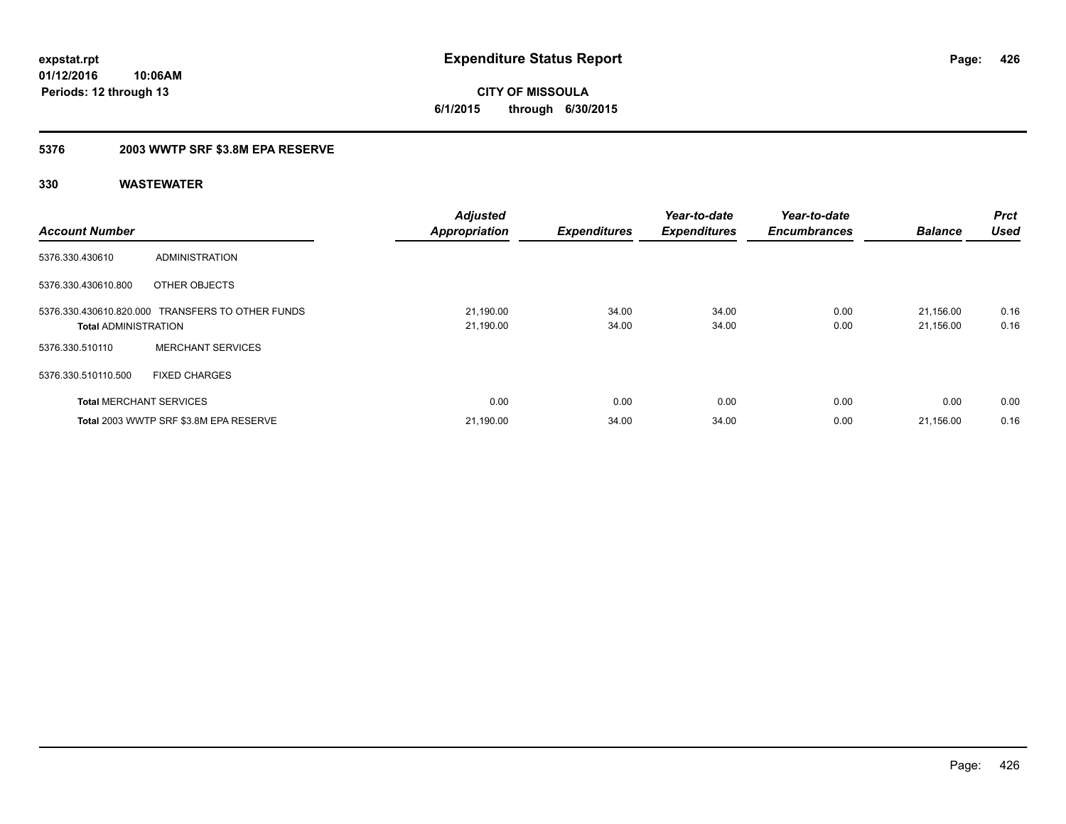**CITY OF MISSOULA 6/1/2015 through 6/30/2015**

### **5376 2003 WWTP SRF \$3.8M EPA RESERVE**

| <b>Account Number</b>          |                                                  | <b>Adjusted</b><br><b>Appropriation</b> | <b>Expenditures</b> | Year-to-date<br><b>Expenditures</b> | Year-to-date<br><b>Encumbrances</b> | <b>Balance</b>         | <b>Prct</b><br><b>Used</b> |
|--------------------------------|--------------------------------------------------|-----------------------------------------|---------------------|-------------------------------------|-------------------------------------|------------------------|----------------------------|
| 5376.330.430610                | ADMINISTRATION                                   |                                         |                     |                                     |                                     |                        |                            |
| 5376.330.430610.800            | OTHER OBJECTS                                    |                                         |                     |                                     |                                     |                        |                            |
| <b>Total ADMINISTRATION</b>    | 5376.330.430610.820.000 TRANSFERS TO OTHER FUNDS | 21,190.00<br>21,190.00                  | 34.00<br>34.00      | 34.00<br>34.00                      | 0.00<br>0.00                        | 21.156.00<br>21,156.00 | 0.16<br>0.16               |
| 5376.330.510110                | <b>MERCHANT SERVICES</b>                         |                                         |                     |                                     |                                     |                        |                            |
| 5376.330.510110.500            | <b>FIXED CHARGES</b>                             |                                         |                     |                                     |                                     |                        |                            |
| <b>Total MERCHANT SERVICES</b> |                                                  | 0.00                                    | 0.00                | 0.00                                | 0.00                                | 0.00                   | 0.00                       |
|                                | Total 2003 WWTP SRF \$3.8M EPA RESERVE           | 21,190.00                               | 34.00               | 34.00                               | 0.00                                | 21,156.00              | 0.16                       |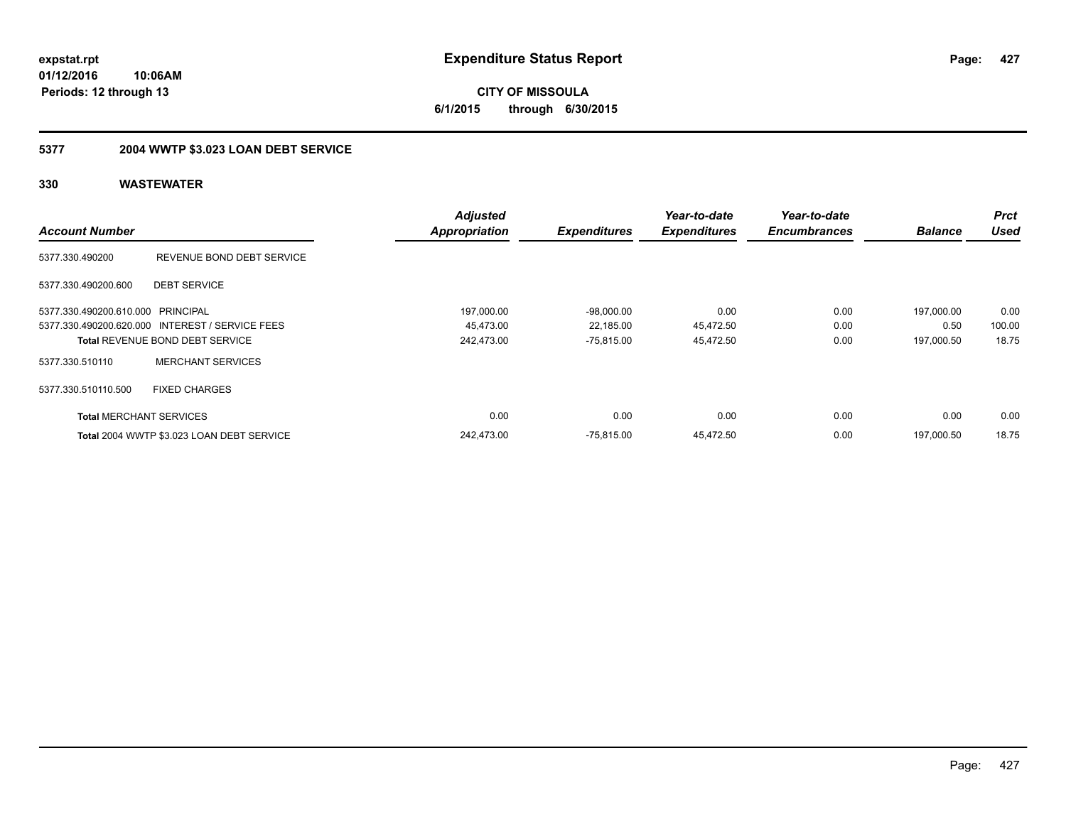**CITY OF MISSOULA 6/1/2015 through 6/30/2015**

# **5377 2004 WWTP \$3.023 LOAN DEBT SERVICE**

|                                   |                                                 | <b>Adjusted</b>      |                     | Year-to-date        | Year-to-date        |                | <b>Prct</b> |
|-----------------------------------|-------------------------------------------------|----------------------|---------------------|---------------------|---------------------|----------------|-------------|
| <b>Account Number</b>             |                                                 | <b>Appropriation</b> | <b>Expenditures</b> | <b>Expenditures</b> | <b>Encumbrances</b> | <b>Balance</b> | Used        |
| 5377.330.490200                   | REVENUE BOND DEBT SERVICE                       |                      |                     |                     |                     |                |             |
| 5377.330.490200.600               | <b>DEBT SERVICE</b>                             |                      |                     |                     |                     |                |             |
| 5377.330.490200.610.000 PRINCIPAL |                                                 | 197.000.00           | $-98.000.00$        | 0.00                | 0.00                | 197.000.00     | 0.00        |
|                                   | 5377.330.490200.620.000 INTEREST / SERVICE FEES | 45.473.00            | 22,185.00           | 45,472.50           | 0.00                | 0.50           | 100.00      |
|                                   | <b>Total REVENUE BOND DEBT SERVICE</b>          | 242,473.00           | $-75,815.00$        | 45,472.50           | 0.00                | 197,000.50     | 18.75       |
| 5377.330.510110                   | <b>MERCHANT SERVICES</b>                        |                      |                     |                     |                     |                |             |
| 5377.330.510110.500               | <b>FIXED CHARGES</b>                            |                      |                     |                     |                     |                |             |
| <b>Total MERCHANT SERVICES</b>    |                                                 | 0.00                 | 0.00                | 0.00                | 0.00                | 0.00           | 0.00        |
|                                   | Total 2004 WWTP \$3.023 LOAN DEBT SERVICE       | 242,473.00           | $-75,815.00$        | 45,472.50           | 0.00                | 197.000.50     | 18.75       |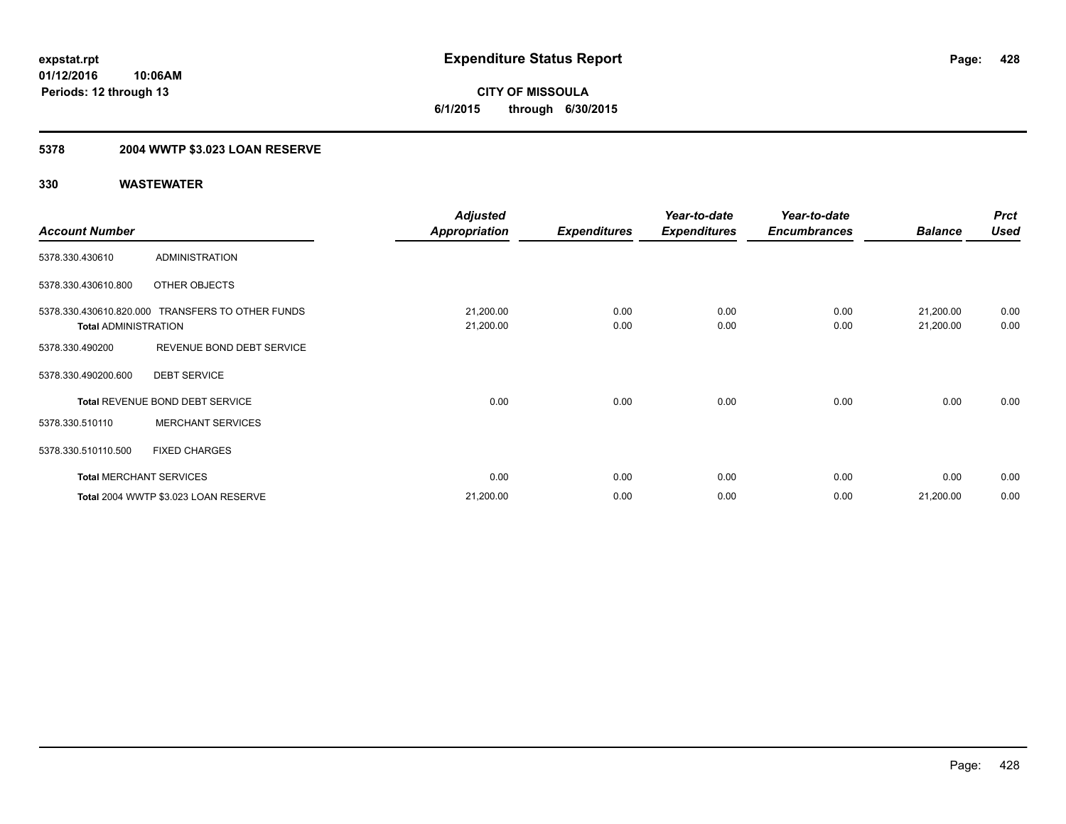**428**

**01/12/2016 10:06AM Periods: 12 through 13**

**CITY OF MISSOULA 6/1/2015 through 6/30/2015**

# **5378 2004 WWTP \$3.023 LOAN RESERVE**

|                             |                                                  | <b>Adjusted</b>      |                     | Year-to-date        | Year-to-date        |                | <b>Prct</b> |
|-----------------------------|--------------------------------------------------|----------------------|---------------------|---------------------|---------------------|----------------|-------------|
| <b>Account Number</b>       |                                                  | <b>Appropriation</b> | <b>Expenditures</b> | <b>Expenditures</b> | <b>Encumbrances</b> | <b>Balance</b> | <b>Used</b> |
| 5378.330.430610             | <b>ADMINISTRATION</b>                            |                      |                     |                     |                     |                |             |
| 5378.330.430610.800         | OTHER OBJECTS                                    |                      |                     |                     |                     |                |             |
|                             | 5378.330.430610.820.000 TRANSFERS TO OTHER FUNDS | 21,200.00            | 0.00                | 0.00                | 0.00                | 21,200.00      | 0.00        |
| <b>Total ADMINISTRATION</b> |                                                  | 21,200.00            | 0.00                | 0.00                | 0.00                | 21,200.00      | 0.00        |
| 5378.330.490200             | REVENUE BOND DEBT SERVICE                        |                      |                     |                     |                     |                |             |
| 5378.330.490200.600         | <b>DEBT SERVICE</b>                              |                      |                     |                     |                     |                |             |
|                             | Total REVENUE BOND DEBT SERVICE                  | 0.00                 | 0.00                | 0.00                | 0.00                | 0.00           | 0.00        |
| 5378.330.510110             | <b>MERCHANT SERVICES</b>                         |                      |                     |                     |                     |                |             |
| 5378.330.510110.500         | <b>FIXED CHARGES</b>                             |                      |                     |                     |                     |                |             |
|                             | <b>Total MERCHANT SERVICES</b>                   | 0.00                 | 0.00                | 0.00                | 0.00                | 0.00           | 0.00        |
|                             | Total 2004 WWTP \$3.023 LOAN RESERVE             | 21,200.00            | 0.00                | 0.00                | 0.00                | 21,200.00      | 0.00        |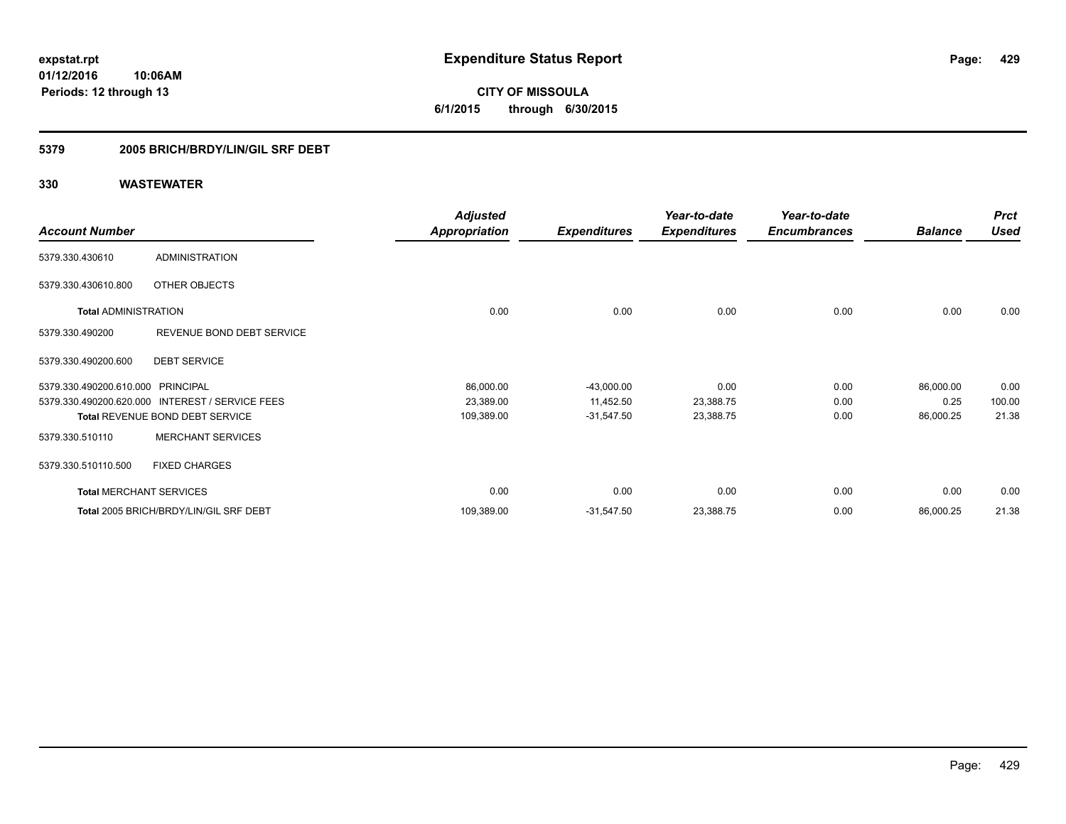**CITY OF MISSOULA 6/1/2015 through 6/30/2015**

### **5379 2005 BRICH/BRDY/LIN/GIL SRF DEBT**

| <b>Account Number</b>                                        |                                                                          | <b>Adjusted</b><br><b>Appropriation</b> | <b>Expenditures</b>                       | Year-to-date<br><b>Expenditures</b> | Year-to-date<br><b>Encumbrances</b> | <b>Balance</b>                 | <b>Prct</b><br><b>Used</b> |
|--------------------------------------------------------------|--------------------------------------------------------------------------|-----------------------------------------|-------------------------------------------|-------------------------------------|-------------------------------------|--------------------------------|----------------------------|
| 5379.330.430610                                              | <b>ADMINISTRATION</b>                                                    |                                         |                                           |                                     |                                     |                                |                            |
| 5379.330.430610.800                                          | OTHER OBJECTS                                                            |                                         |                                           |                                     |                                     |                                |                            |
| <b>Total ADMINISTRATION</b>                                  |                                                                          | 0.00                                    | 0.00                                      | 0.00                                | 0.00                                | 0.00                           | 0.00                       |
| 5379.330.490200                                              | REVENUE BOND DEBT SERVICE                                                |                                         |                                           |                                     |                                     |                                |                            |
| 5379.330.490200.600                                          | <b>DEBT SERVICE</b>                                                      |                                         |                                           |                                     |                                     |                                |                            |
| 5379.330.490200.610.000 PRINCIPAL<br>5379.330.490200.620.000 | <b>INTEREST / SERVICE FEES</b><br><b>Total REVENUE BOND DEBT SERVICE</b> | 86,000.00<br>23,389.00<br>109,389.00    | $-43,000.00$<br>11,452.50<br>$-31,547.50$ | 0.00<br>23,388.75<br>23,388.75      | 0.00<br>0.00<br>0.00                | 86,000.00<br>0.25<br>86,000.25 | 0.00<br>100.00<br>21.38    |
| 5379.330.510110                                              | <b>MERCHANT SERVICES</b>                                                 |                                         |                                           |                                     |                                     |                                |                            |
| 5379.330.510110.500                                          | <b>FIXED CHARGES</b>                                                     |                                         |                                           |                                     |                                     |                                |                            |
| <b>Total MERCHANT SERVICES</b>                               |                                                                          | 0.00                                    | 0.00                                      | 0.00                                | 0.00                                | 0.00                           | 0.00                       |
|                                                              | Total 2005 BRICH/BRDY/LIN/GIL SRF DEBT                                   | 109,389.00                              | $-31,547.50$                              | 23,388.75                           | 0.00                                | 86,000.25                      | 21.38                      |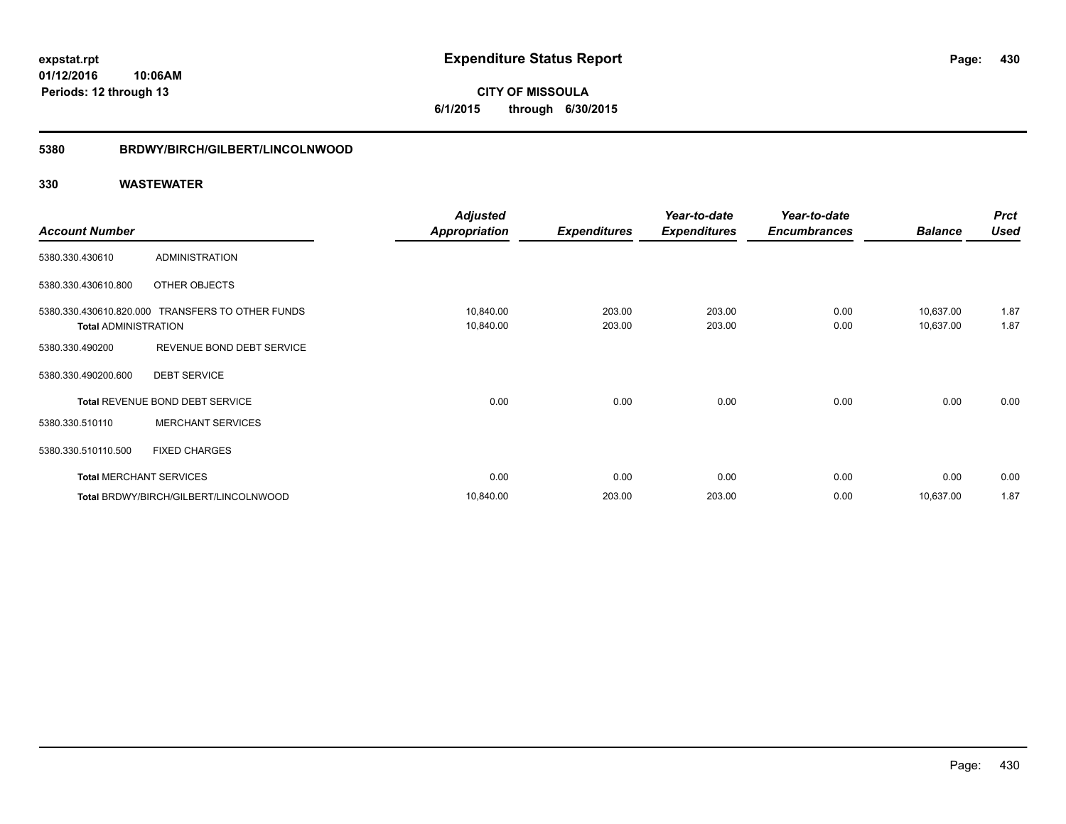**CITY OF MISSOULA 6/1/2015 through 6/30/2015**

#### **5380 BRDWY/BIRCH/GILBERT/LINCOLNWOOD**

|                                |                                                  | <b>Adjusted</b>        |                     | Year-to-date        | Year-to-date        |                        | <b>Prct</b>  |
|--------------------------------|--------------------------------------------------|------------------------|---------------------|---------------------|---------------------|------------------------|--------------|
| <b>Account Number</b>          |                                                  | Appropriation          | <b>Expenditures</b> | <b>Expenditures</b> | <b>Encumbrances</b> | <b>Balance</b>         | <b>Used</b>  |
| 5380.330.430610                | ADMINISTRATION                                   |                        |                     |                     |                     |                        |              |
| 5380.330.430610.800            | OTHER OBJECTS                                    |                        |                     |                     |                     |                        |              |
| <b>Total ADMINISTRATION</b>    | 5380.330.430610.820.000 TRANSFERS TO OTHER FUNDS | 10,840.00<br>10,840.00 | 203.00<br>203.00    | 203.00<br>203.00    | 0.00<br>0.00        | 10,637.00<br>10,637.00 | 1.87<br>1.87 |
| 5380.330.490200                | REVENUE BOND DEBT SERVICE                        |                        |                     |                     |                     |                        |              |
| 5380.330.490200.600            | <b>DEBT SERVICE</b>                              |                        |                     |                     |                     |                        |              |
|                                | Total REVENUE BOND DEBT SERVICE                  | 0.00                   | 0.00                | 0.00                | 0.00                | 0.00                   | 0.00         |
| 5380.330.510110                | <b>MERCHANT SERVICES</b>                         |                        |                     |                     |                     |                        |              |
| 5380.330.510110.500            | <b>FIXED CHARGES</b>                             |                        |                     |                     |                     |                        |              |
| <b>Total MERCHANT SERVICES</b> |                                                  | 0.00                   | 0.00                | 0.00                | 0.00                | 0.00                   | 0.00         |
|                                | Total BRDWY/BIRCH/GILBERT/LINCOLNWOOD            | 10,840.00              | 203.00              | 203.00              | 0.00                | 10,637.00              | 1.87         |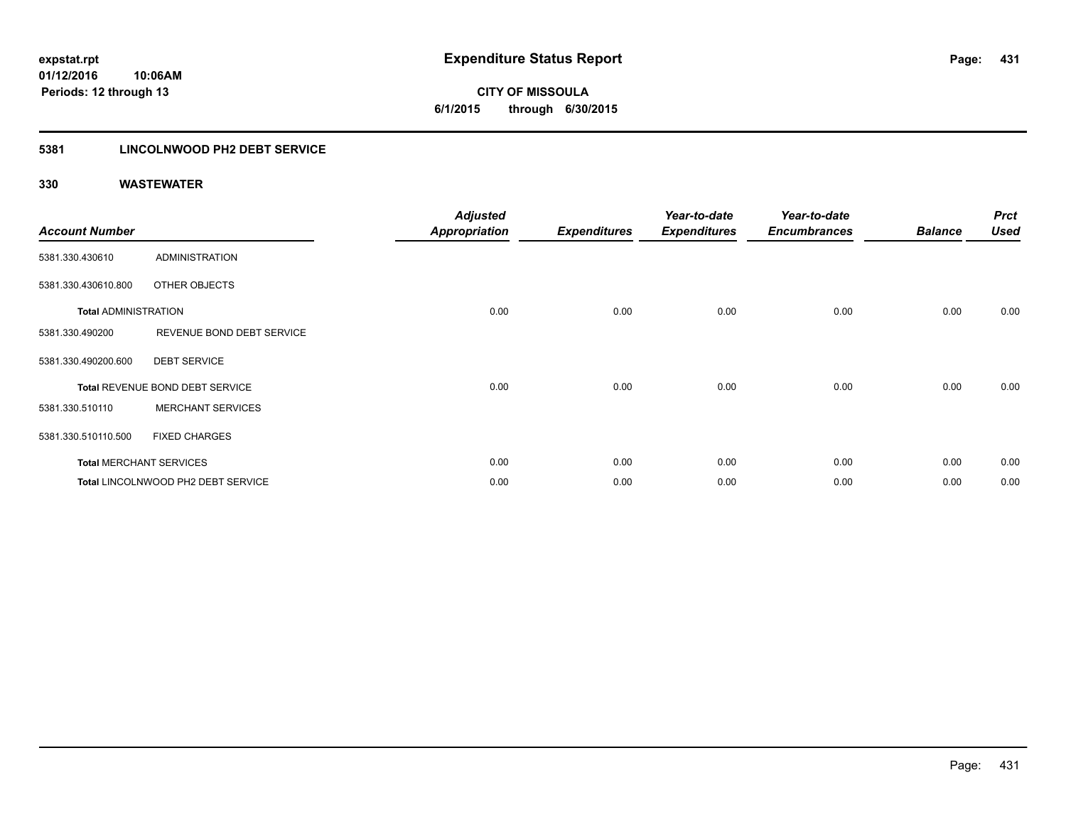# **CITY OF MISSOULA 6/1/2015 through 6/30/2015**

### **5381 LINCOLNWOOD PH2 DEBT SERVICE**

| <b>Account Number</b>       |                                    | <b>Adjusted</b><br><b>Appropriation</b> | <b>Expenditures</b> | Year-to-date<br><b>Expenditures</b> | Year-to-date<br><b>Encumbrances</b> | <b>Balance</b> | <b>Prct</b><br><b>Used</b> |
|-----------------------------|------------------------------------|-----------------------------------------|---------------------|-------------------------------------|-------------------------------------|----------------|----------------------------|
| 5381.330.430610             | ADMINISTRATION                     |                                         |                     |                                     |                                     |                |                            |
| 5381.330.430610.800         | OTHER OBJECTS                      |                                         |                     |                                     |                                     |                |                            |
| <b>Total ADMINISTRATION</b> |                                    | 0.00                                    | 0.00                | 0.00                                | 0.00                                | 0.00           | 0.00                       |
| 5381.330.490200             | REVENUE BOND DEBT SERVICE          |                                         |                     |                                     |                                     |                |                            |
| 5381.330.490200.600         | <b>DEBT SERVICE</b>                |                                         |                     |                                     |                                     |                |                            |
|                             | Total REVENUE BOND DEBT SERVICE    | 0.00                                    | 0.00                | 0.00                                | 0.00                                | 0.00           | 0.00                       |
| 5381.330.510110             | <b>MERCHANT SERVICES</b>           |                                         |                     |                                     |                                     |                |                            |
| 5381.330.510110.500         | <b>FIXED CHARGES</b>               |                                         |                     |                                     |                                     |                |                            |
|                             | <b>Total MERCHANT SERVICES</b>     | 0.00                                    | 0.00                | 0.00                                | 0.00                                | 0.00           | 0.00                       |
|                             | Total LINCOLNWOOD PH2 DEBT SERVICE | 0.00                                    | 0.00                | 0.00                                | 0.00                                | 0.00           | 0.00                       |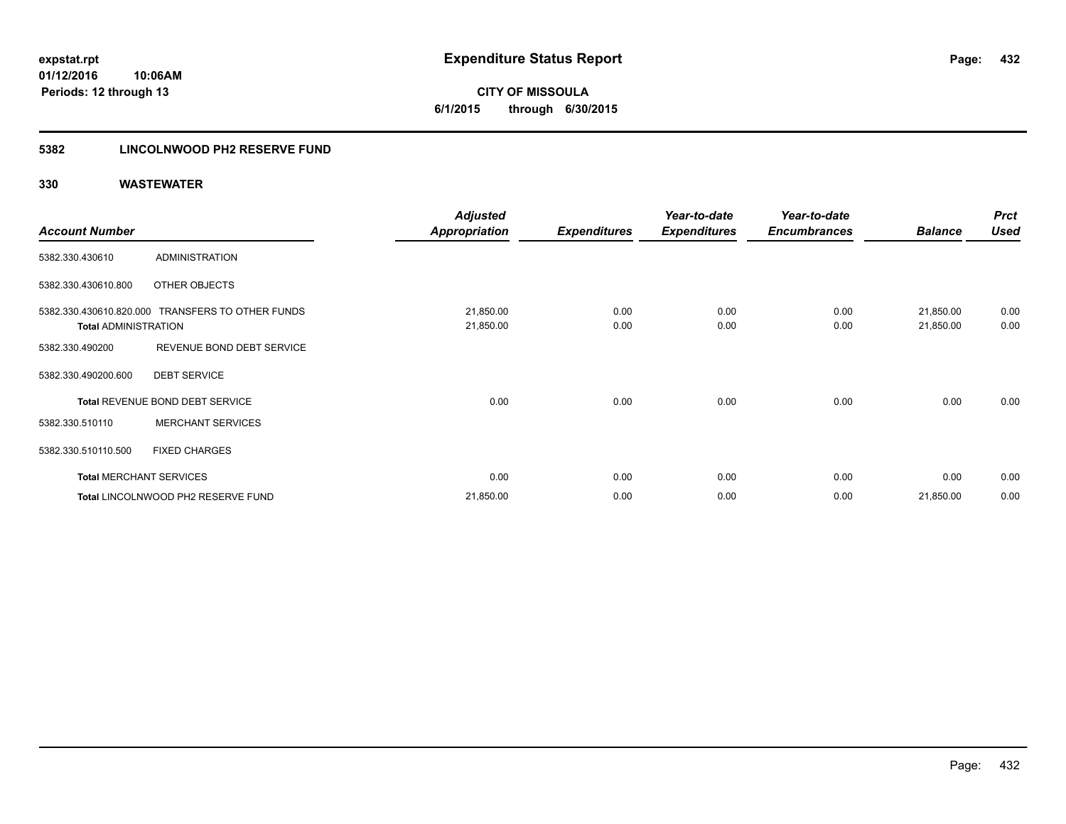**CITY OF MISSOULA 6/1/2015 through 6/30/2015**

### **5382 LINCOLNWOOD PH2 RESERVE FUND**

|                                |                                                  | <b>Adjusted</b>        |                     | Year-to-date        | Year-to-date        |                        | <b>Prct</b>  |
|--------------------------------|--------------------------------------------------|------------------------|---------------------|---------------------|---------------------|------------------------|--------------|
| <b>Account Number</b>          |                                                  | Appropriation          | <b>Expenditures</b> | <b>Expenditures</b> | <b>Encumbrances</b> | <b>Balance</b>         | <b>Used</b>  |
| 5382.330.430610                | ADMINISTRATION                                   |                        |                     |                     |                     |                        |              |
| 5382.330.430610.800            | OTHER OBJECTS                                    |                        |                     |                     |                     |                        |              |
| <b>Total ADMINISTRATION</b>    | 5382.330.430610.820.000 TRANSFERS TO OTHER FUNDS | 21,850.00<br>21,850.00 | 0.00<br>0.00        | 0.00<br>0.00        | 0.00<br>0.00        | 21,850.00<br>21,850.00 | 0.00<br>0.00 |
| 5382.330.490200                | REVENUE BOND DEBT SERVICE                        |                        |                     |                     |                     |                        |              |
| 5382.330.490200.600            | <b>DEBT SERVICE</b>                              |                        |                     |                     |                     |                        |              |
|                                | Total REVENUE BOND DEBT SERVICE                  | 0.00                   | 0.00                | 0.00                | 0.00                | 0.00                   | 0.00         |
| 5382.330.510110                | <b>MERCHANT SERVICES</b>                         |                        |                     |                     |                     |                        |              |
| 5382.330.510110.500            | <b>FIXED CHARGES</b>                             |                        |                     |                     |                     |                        |              |
| <b>Total MERCHANT SERVICES</b> |                                                  | 0.00                   | 0.00                | 0.00                | 0.00                | 0.00                   | 0.00         |
|                                | Total LINCOLNWOOD PH2 RESERVE FUND               | 21,850.00              | 0.00                | 0.00                | 0.00                | 21,850.00              | 0.00         |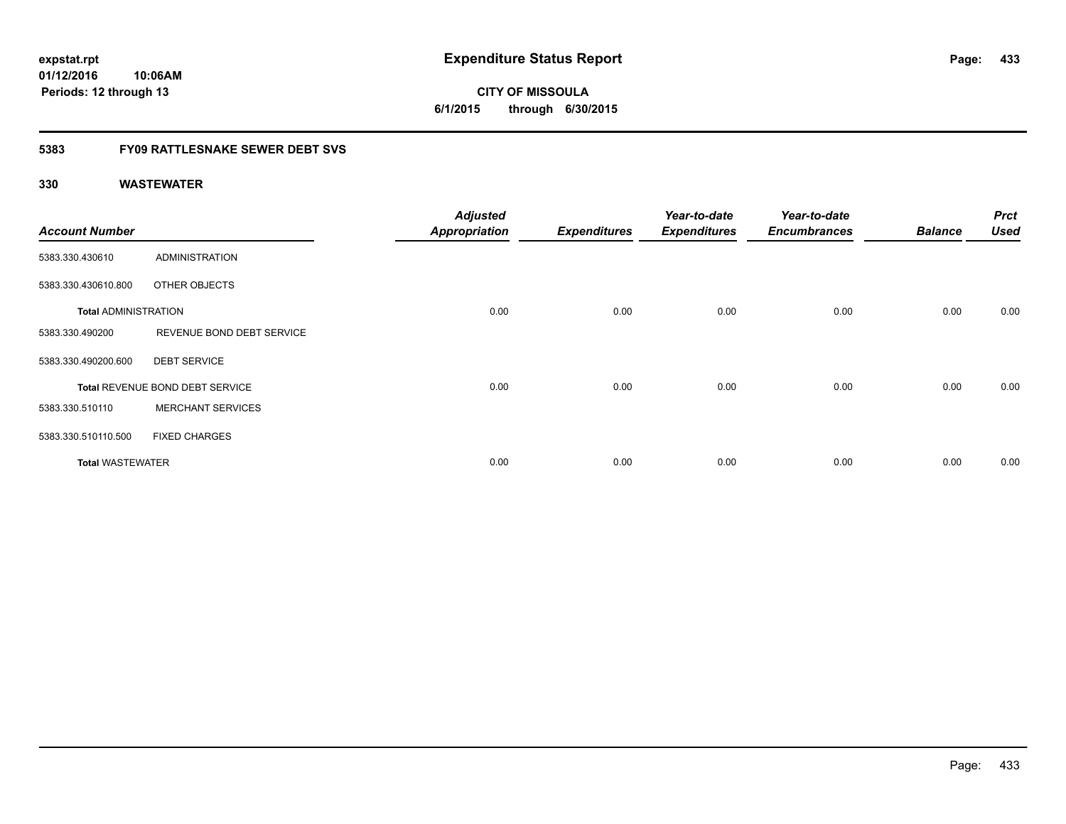**CITY OF MISSOULA 6/1/2015 through 6/30/2015**

## **5383 FY09 RATTLESNAKE SEWER DEBT SVS**

| <b>Account Number</b>       |                                        | <b>Adjusted</b><br><b>Appropriation</b> | <b>Expenditures</b> | Year-to-date<br><b>Expenditures</b> | Year-to-date<br><b>Encumbrances</b> | <b>Balance</b> | <b>Prct</b><br><b>Used</b> |
|-----------------------------|----------------------------------------|-----------------------------------------|---------------------|-------------------------------------|-------------------------------------|----------------|----------------------------|
| 5383.330.430610             | <b>ADMINISTRATION</b>                  |                                         |                     |                                     |                                     |                |                            |
| 5383.330.430610.800         | OTHER OBJECTS                          |                                         |                     |                                     |                                     |                |                            |
| <b>Total ADMINISTRATION</b> |                                        | 0.00                                    | 0.00                | 0.00                                | 0.00                                | 0.00           | 0.00                       |
| 5383.330.490200             | REVENUE BOND DEBT SERVICE              |                                         |                     |                                     |                                     |                |                            |
| 5383.330.490200.600         | <b>DEBT SERVICE</b>                    |                                         |                     |                                     |                                     |                |                            |
|                             | <b>Total REVENUE BOND DEBT SERVICE</b> | 0.00                                    | 0.00                | 0.00                                | 0.00                                | 0.00           | 0.00                       |
| 5383.330.510110             | <b>MERCHANT SERVICES</b>               |                                         |                     |                                     |                                     |                |                            |
| 5383.330.510110.500         | <b>FIXED CHARGES</b>                   |                                         |                     |                                     |                                     |                |                            |
| <b>Total WASTEWATER</b>     |                                        | 0.00                                    | 0.00                | 0.00                                | 0.00                                | 0.00           | 0.00                       |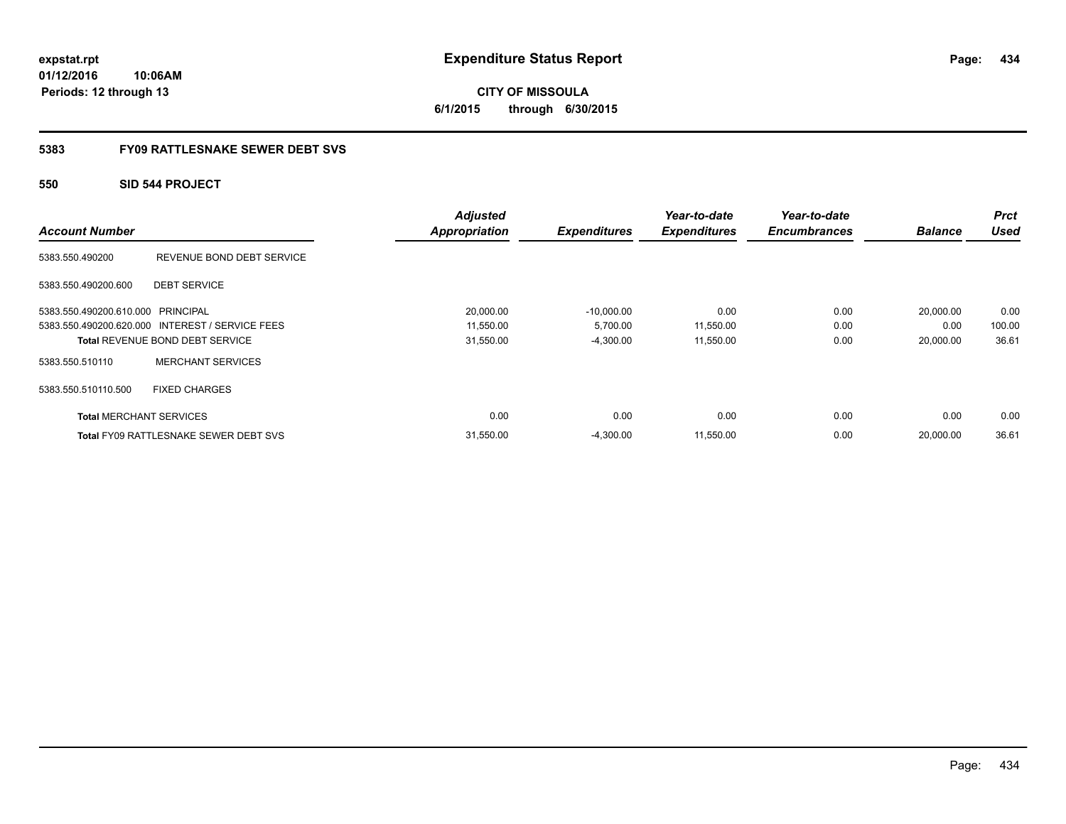**CITY OF MISSOULA 6/1/2015 through 6/30/2015**

### **5383 FY09 RATTLESNAKE SEWER DEBT SVS**

### **550 SID 544 PROJECT**

| <b>Account Number</b>             |                                                 | <b>Adjusted</b><br><b>Appropriation</b> | <b>Expenditures</b> | Year-to-date<br><b>Expenditures</b> | Year-to-date<br><b>Encumbrances</b> | <b>Balance</b> | <b>Prct</b><br><b>Used</b> |
|-----------------------------------|-------------------------------------------------|-----------------------------------------|---------------------|-------------------------------------|-------------------------------------|----------------|----------------------------|
| 5383.550.490200                   | REVENUE BOND DEBT SERVICE                       |                                         |                     |                                     |                                     |                |                            |
| 5383.550.490200.600               | <b>DEBT SERVICE</b>                             |                                         |                     |                                     |                                     |                |                            |
| 5383.550.490200.610.000 PRINCIPAL |                                                 | 20,000.00                               | $-10,000.00$        | 0.00                                | 0.00                                | 20,000.00      | 0.00                       |
|                                   | 5383.550.490200.620.000 INTEREST / SERVICE FEES | 11,550.00                               | 5,700.00            | 11,550.00                           | 0.00                                | 0.00           | 100.00                     |
|                                   | <b>Total REVENUE BOND DEBT SERVICE</b>          | 31,550.00                               | $-4,300.00$         | 11,550.00                           | 0.00                                | 20.000.00      | 36.61                      |
| 5383.550.510110                   | <b>MERCHANT SERVICES</b>                        |                                         |                     |                                     |                                     |                |                            |
| 5383.550.510110.500               | <b>FIXED CHARGES</b>                            |                                         |                     |                                     |                                     |                |                            |
| <b>Total MERCHANT SERVICES</b>    |                                                 | 0.00                                    | 0.00                | 0.00                                | 0.00                                | 0.00           | 0.00                       |
|                                   | <b>Total FY09 RATTLESNAKE SEWER DEBT SVS</b>    | 31,550.00                               | $-4.300.00$         | 11.550.00                           | 0.00                                | 20.000.00      | 36.61                      |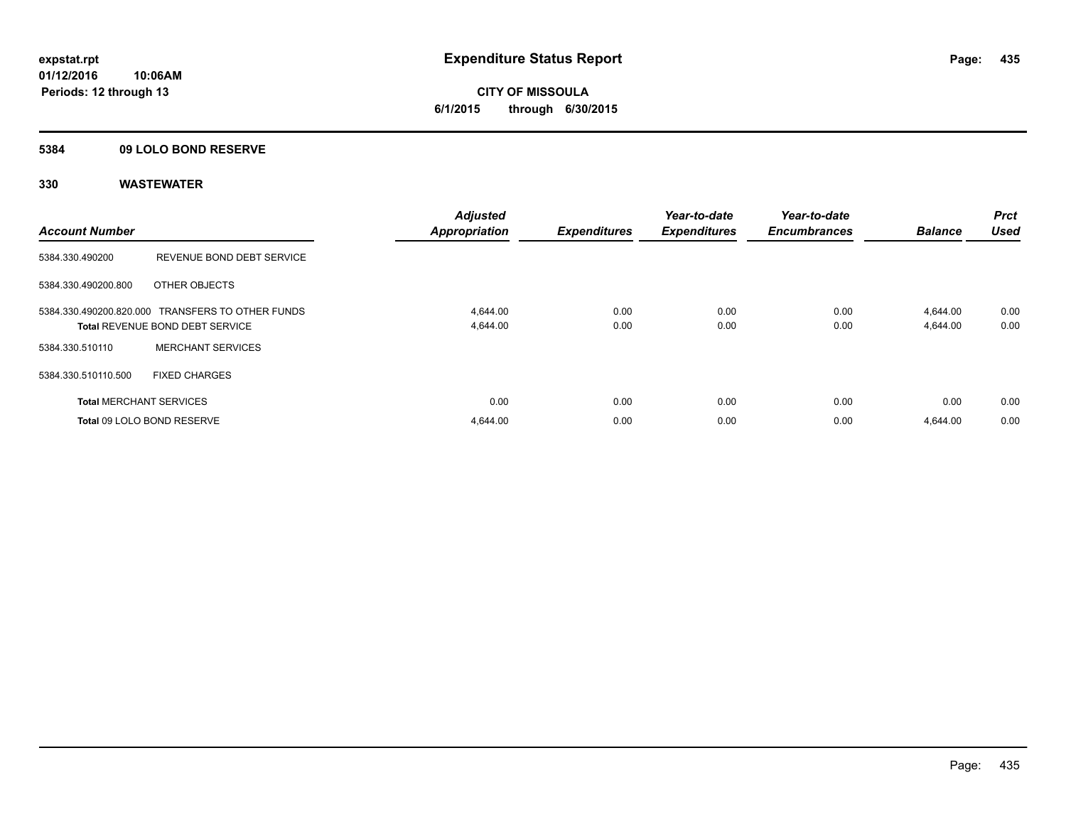**CITY OF MISSOULA 6/1/2015 through 6/30/2015**

### **5384 09 LOLO BOND RESERVE**

| <b>Account Number</b>          |                                                                                     | <b>Adjusted</b><br><b>Appropriation</b> | <b>Expenditures</b> | Year-to-date<br><b>Expenditures</b> | Year-to-date<br><b>Encumbrances</b> | <b>Balance</b>       | <b>Prct</b><br><b>Used</b> |
|--------------------------------|-------------------------------------------------------------------------------------|-----------------------------------------|---------------------|-------------------------------------|-------------------------------------|----------------------|----------------------------|
| 5384.330.490200                | REVENUE BOND DEBT SERVICE                                                           |                                         |                     |                                     |                                     |                      |                            |
| 5384.330.490200.800            | OTHER OBJECTS                                                                       |                                         |                     |                                     |                                     |                      |                            |
|                                | 5384.330.490200.820.000 TRANSFERS TO OTHER FUNDS<br>Total REVENUE BOND DEBT SERVICE | 4,644.00<br>4,644.00                    | 0.00<br>0.00        | 0.00<br>0.00                        | 0.00<br>0.00                        | 4,644.00<br>4,644.00 | 0.00<br>0.00               |
| 5384.330.510110                | <b>MERCHANT SERVICES</b>                                                            |                                         |                     |                                     |                                     |                      |                            |
| 5384.330.510110.500            | <b>FIXED CHARGES</b>                                                                |                                         |                     |                                     |                                     |                      |                            |
| <b>Total MERCHANT SERVICES</b> |                                                                                     | 0.00                                    | 0.00                | 0.00                                | 0.00                                | 0.00                 | 0.00                       |
|                                | Total 09 LOLO BOND RESERVE                                                          | 4,644.00                                | 0.00                | 0.00                                | 0.00                                | 4.644.00             | 0.00                       |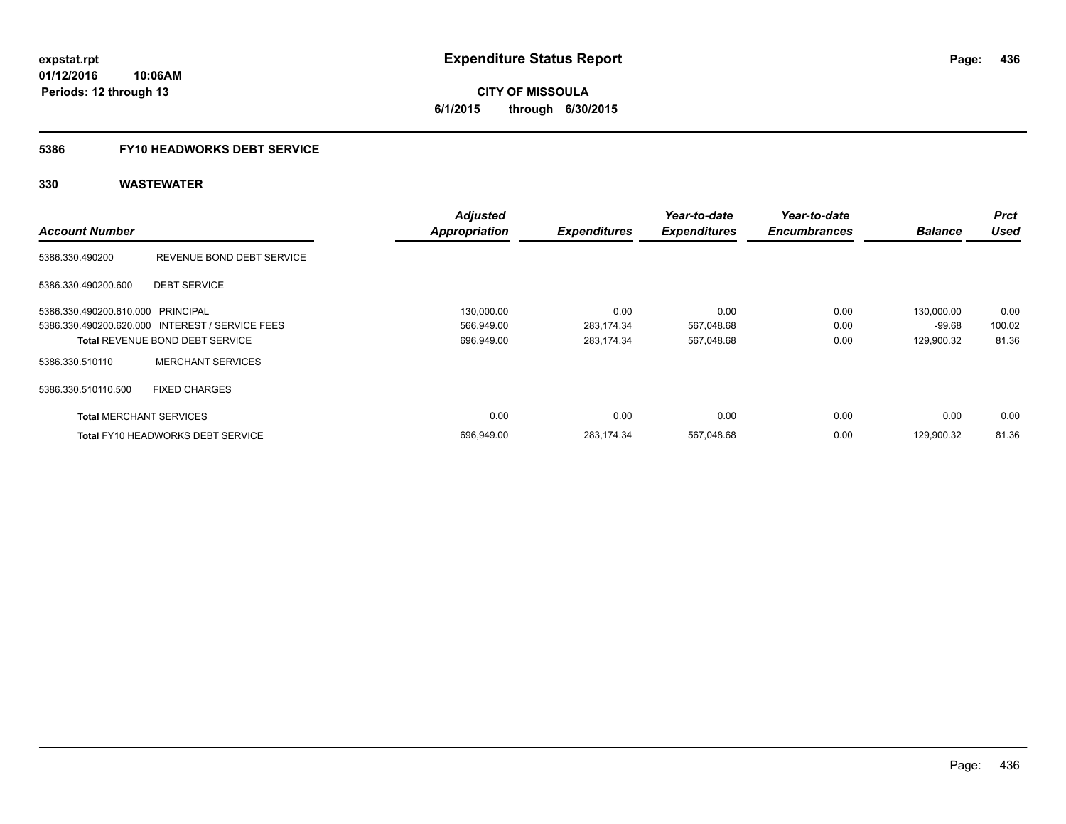**436**

**01/12/2016 10:06AM Periods: 12 through 13**

**CITY OF MISSOULA 6/1/2015 through 6/30/2015**

# **5386 FY10 HEADWORKS DEBT SERVICE**

|                                   |                                                 | <b>Adjusted</b>      |                     | Year-to-date        | Year-to-date        |                | <b>Prct</b> |
|-----------------------------------|-------------------------------------------------|----------------------|---------------------|---------------------|---------------------|----------------|-------------|
| <b>Account Number</b>             |                                                 | <b>Appropriation</b> | <b>Expenditures</b> | <b>Expenditures</b> | <b>Encumbrances</b> | <b>Balance</b> | <b>Used</b> |
| 5386.330.490200                   | REVENUE BOND DEBT SERVICE                       |                      |                     |                     |                     |                |             |
| 5386.330.490200.600               | <b>DEBT SERVICE</b>                             |                      |                     |                     |                     |                |             |
| 5386.330.490200.610.000 PRINCIPAL |                                                 | 130,000.00           | 0.00                | 0.00                | 0.00                | 130,000.00     | 0.00        |
|                                   | 5386.330.490200.620.000 INTEREST / SERVICE FEES | 566,949.00           | 283,174.34          | 567,048.68          | 0.00                | $-99.68$       | 100.02      |
|                                   | <b>Total REVENUE BOND DEBT SERVICE</b>          | 696,949.00           | 283,174.34          | 567,048.68          | 0.00                | 129,900.32     | 81.36       |
| 5386.330.510110                   | <b>MERCHANT SERVICES</b>                        |                      |                     |                     |                     |                |             |
| 5386.330.510110.500               | <b>FIXED CHARGES</b>                            |                      |                     |                     |                     |                |             |
| <b>Total MERCHANT SERVICES</b>    |                                                 | 0.00                 | 0.00                | 0.00                | 0.00                | 0.00           | 0.00        |
|                                   | <b>Total FY10 HEADWORKS DEBT SERVICE</b>        | 696,949.00           | 283,174.34          | 567,048.68          | 0.00                | 129,900.32     | 81.36       |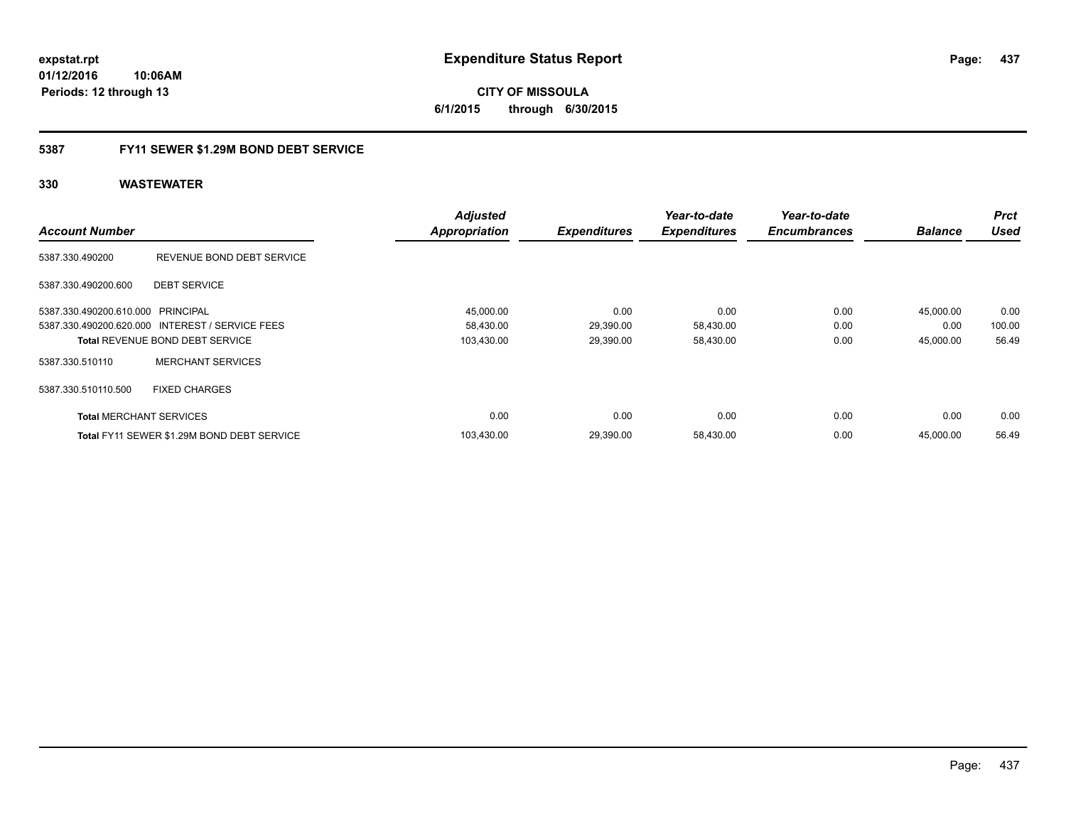## **5387 FY11 SEWER \$1.29M BOND DEBT SERVICE**

| <b>Account Number</b>             |                                                 | <b>Adjusted</b><br><b>Appropriation</b> | <b>Expenditures</b> | Year-to-date<br><b>Expenditures</b> | Year-to-date<br><b>Encumbrances</b> | <b>Balance</b> | <b>Prct</b><br><b>Used</b> |
|-----------------------------------|-------------------------------------------------|-----------------------------------------|---------------------|-------------------------------------|-------------------------------------|----------------|----------------------------|
| 5387.330.490200                   | REVENUE BOND DEBT SERVICE                       |                                         |                     |                                     |                                     |                |                            |
| 5387.330.490200.600               | <b>DEBT SERVICE</b>                             |                                         |                     |                                     |                                     |                |                            |
| 5387.330.490200.610.000 PRINCIPAL |                                                 | 45,000.00                               | 0.00                | 0.00                                | 0.00                                | 45,000.00      | 0.00                       |
|                                   | 5387.330.490200.620.000 INTEREST / SERVICE FEES | 58,430.00                               | 29,390.00           | 58,430.00                           | 0.00                                | 0.00           | 100.00                     |
|                                   | Total REVENUE BOND DEBT SERVICE                 | 103,430.00                              | 29,390.00           | 58,430.00                           | 0.00                                | 45,000.00      | 56.49                      |
| 5387.330.510110                   | <b>MERCHANT SERVICES</b>                        |                                         |                     |                                     |                                     |                |                            |
| 5387.330.510110.500               | <b>FIXED CHARGES</b>                            |                                         |                     |                                     |                                     |                |                            |
| <b>Total MERCHANT SERVICES</b>    |                                                 | 0.00                                    | 0.00                | 0.00                                | 0.00                                | 0.00           | 0.00                       |
|                                   | Total FY11 SEWER \$1.29M BOND DEBT SERVICE      | 103,430.00                              | 29,390.00           | 58,430.00                           | 0.00                                | 45,000.00      | 56.49                      |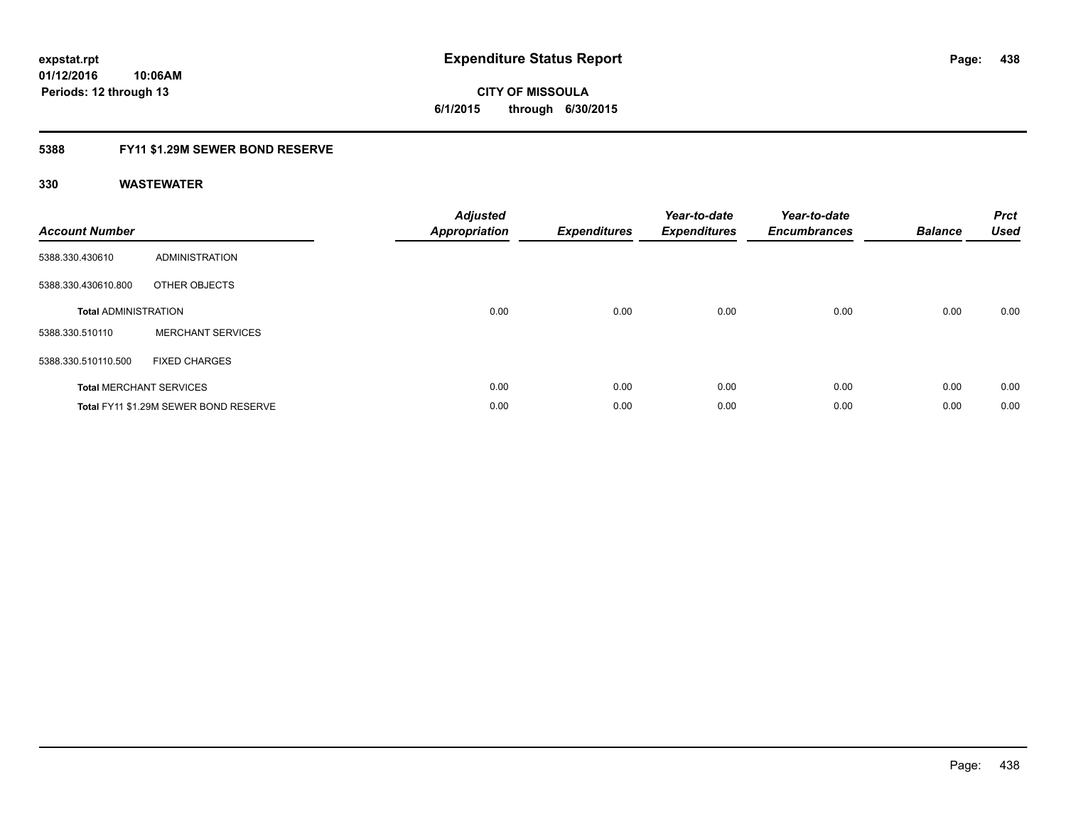**CITY OF MISSOULA 6/1/2015 through 6/30/2015**

### **5388 FY11 \$1.29M SEWER BOND RESERVE**

| <b>Account Number</b>       |                                       | <b>Adjusted</b><br><b>Appropriation</b> | <b>Expenditures</b> | Year-to-date<br><b>Expenditures</b> | Year-to-date<br><b>Encumbrances</b> | <b>Balance</b> | <b>Prct</b><br>Used |
|-----------------------------|---------------------------------------|-----------------------------------------|---------------------|-------------------------------------|-------------------------------------|----------------|---------------------|
| 5388.330.430610             | ADMINISTRATION                        |                                         |                     |                                     |                                     |                |                     |
| 5388.330.430610.800         | OTHER OBJECTS                         |                                         |                     |                                     |                                     |                |                     |
| <b>Total ADMINISTRATION</b> |                                       | 0.00                                    | 0.00                | 0.00                                | 0.00                                | 0.00           | 0.00                |
| 5388.330.510110             | <b>MERCHANT SERVICES</b>              |                                         |                     |                                     |                                     |                |                     |
| 5388.330.510110.500         | <b>FIXED CHARGES</b>                  |                                         |                     |                                     |                                     |                |                     |
|                             | <b>Total MERCHANT SERVICES</b>        | 0.00                                    | 0.00                | 0.00                                | 0.00                                | 0.00           | 0.00                |
|                             | Total FY11 \$1.29M SEWER BOND RESERVE | 0.00                                    | 0.00                | 0.00                                | 0.00                                | 0.00           | 0.00                |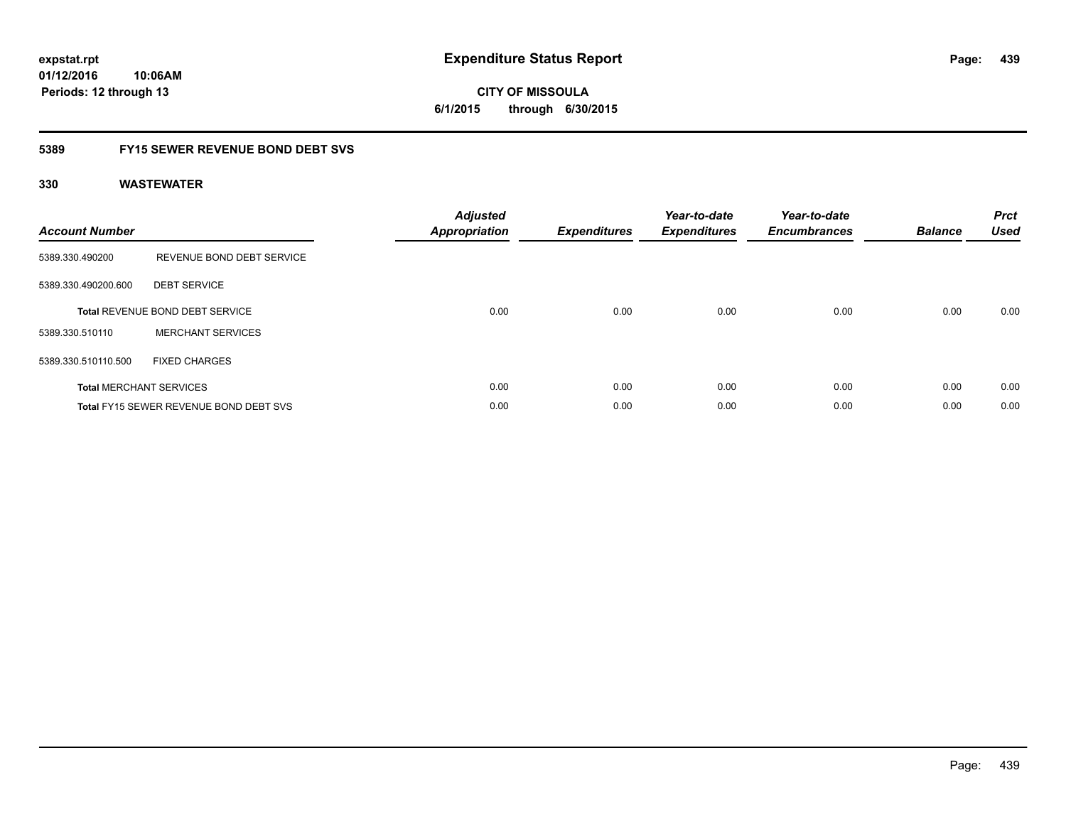**CITY OF MISSOULA 6/1/2015 through 6/30/2015**

### **5389 FY15 SEWER REVENUE BOND DEBT SVS**

| <b>Account Number</b> |                                               | <b>Adjusted</b><br>Appropriation | <b>Expenditures</b> | Year-to-date<br><b>Expenditures</b> | Year-to-date<br><b>Encumbrances</b> | <b>Balance</b> | <b>Prct</b><br><b>Used</b> |
|-----------------------|-----------------------------------------------|----------------------------------|---------------------|-------------------------------------|-------------------------------------|----------------|----------------------------|
| 5389.330.490200       | REVENUE BOND DEBT SERVICE                     |                                  |                     |                                     |                                     |                |                            |
| 5389.330.490200.600   | <b>DEBT SERVICE</b>                           |                                  |                     |                                     |                                     |                |                            |
|                       | <b>Total REVENUE BOND DEBT SERVICE</b>        | 0.00                             | 0.00                | 0.00                                | 0.00                                | 0.00           | 0.00                       |
| 5389.330.510110       | <b>MERCHANT SERVICES</b>                      |                                  |                     |                                     |                                     |                |                            |
| 5389.330.510110.500   | <b>FIXED CHARGES</b>                          |                                  |                     |                                     |                                     |                |                            |
|                       | <b>Total MERCHANT SERVICES</b>                | 0.00                             | 0.00                | 0.00                                | 0.00                                | 0.00           | 0.00                       |
|                       | <b>Total FY15 SEWER REVENUE BOND DEBT SVS</b> | 0.00                             | 0.00                | 0.00                                | 0.00                                | 0.00           | 0.00                       |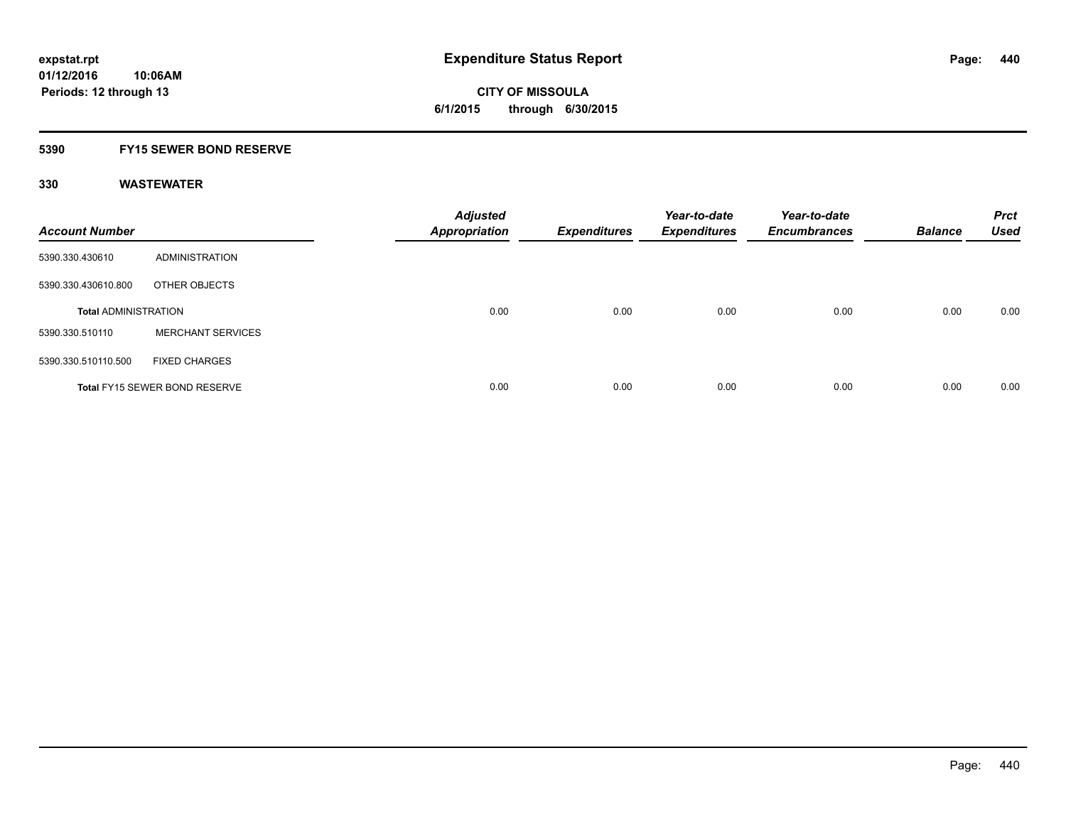**CITY OF MISSOULA 6/1/2015 through 6/30/2015**

#### **5390 FY15 SEWER BOND RESERVE**

| <b>Account Number</b>       |                                      | <b>Adjusted</b><br><b>Appropriation</b> | <b>Expenditures</b> | Year-to-date<br><b>Expenditures</b> | Year-to-date<br><b>Encumbrances</b> | <b>Balance</b> | <b>Prct</b><br><b>Used</b> |
|-----------------------------|--------------------------------------|-----------------------------------------|---------------------|-------------------------------------|-------------------------------------|----------------|----------------------------|
| 5390.330.430610             | ADMINISTRATION                       |                                         |                     |                                     |                                     |                |                            |
| 5390.330.430610.800         | OTHER OBJECTS                        |                                         |                     |                                     |                                     |                |                            |
| <b>Total ADMINISTRATION</b> |                                      | 0.00                                    | 0.00                | 0.00                                | 0.00                                | 0.00           | 0.00                       |
| 5390.330.510110             | <b>MERCHANT SERVICES</b>             |                                         |                     |                                     |                                     |                |                            |
| 5390.330.510110.500         | <b>FIXED CHARGES</b>                 |                                         |                     |                                     |                                     |                |                            |
|                             | <b>Total FY15 SEWER BOND RESERVE</b> | 0.00                                    | 0.00                | 0.00                                | 0.00                                | 0.00           | 0.00                       |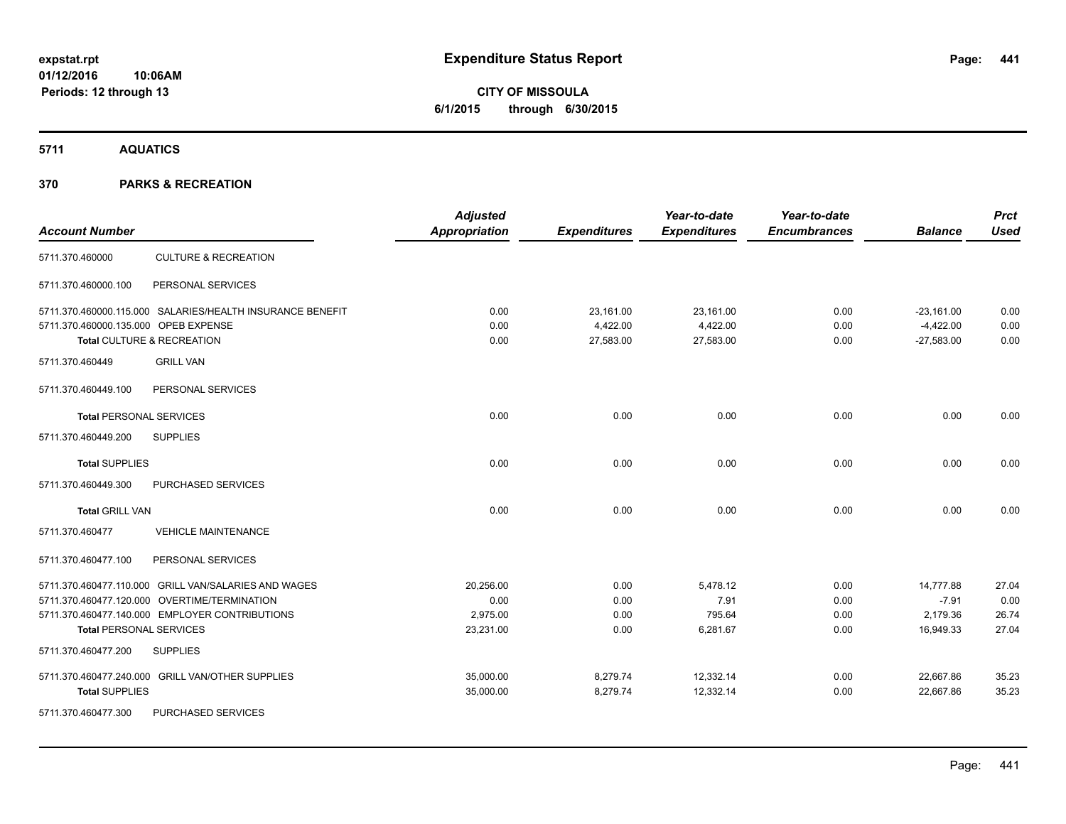# **CITY OF MISSOULA 6/1/2015 through 6/30/2015**

**5711 AQUATICS**

|                                      |                                                           | <b>Adjusted</b>      |                     | Year-to-date        | Year-to-date        |                | <b>Prct</b> |
|--------------------------------------|-----------------------------------------------------------|----------------------|---------------------|---------------------|---------------------|----------------|-------------|
| <b>Account Number</b>                |                                                           | <b>Appropriation</b> | <b>Expenditures</b> | <b>Expenditures</b> | <b>Encumbrances</b> | <b>Balance</b> | <b>Used</b> |
| 5711.370.460000                      | <b>CULTURE &amp; RECREATION</b>                           |                      |                     |                     |                     |                |             |
| 5711.370.460000.100                  | PERSONAL SERVICES                                         |                      |                     |                     |                     |                |             |
|                                      | 5711.370.460000.115.000 SALARIES/HEALTH INSURANCE BENEFIT | 0.00                 | 23,161.00           | 23,161.00           | 0.00                | $-23,161.00$   | 0.00        |
| 5711.370.460000.135.000 OPEB EXPENSE |                                                           | 0.00                 | 4,422.00            | 4,422.00            | 0.00                | $-4,422.00$    | 0.00        |
|                                      | Total CULTURE & RECREATION                                | 0.00                 | 27,583.00           | 27,583.00           | 0.00                | $-27,583.00$   | 0.00        |
| 5711.370.460449                      | <b>GRILL VAN</b>                                          |                      |                     |                     |                     |                |             |
| 5711.370.460449.100                  | PERSONAL SERVICES                                         |                      |                     |                     |                     |                |             |
| <b>Total PERSONAL SERVICES</b>       |                                                           | 0.00                 | 0.00                | 0.00                | 0.00                | 0.00           | 0.00        |
| 5711.370.460449.200                  | <b>SUPPLIES</b>                                           |                      |                     |                     |                     |                |             |
| <b>Total SUPPLIES</b>                |                                                           | 0.00                 | 0.00                | 0.00                | 0.00                | 0.00           | 0.00        |
| 5711.370.460449.300                  | PURCHASED SERVICES                                        |                      |                     |                     |                     |                |             |
| <b>Total GRILL VAN</b>               |                                                           | 0.00                 | 0.00                | 0.00                | 0.00                | 0.00           | 0.00        |
| 5711.370.460477                      | <b>VEHICLE MAINTENANCE</b>                                |                      |                     |                     |                     |                |             |
| 5711.370.460477.100                  | PERSONAL SERVICES                                         |                      |                     |                     |                     |                |             |
|                                      | 5711.370.460477.110.000 GRILL VAN/SALARIES AND WAGES      | 20,256.00            | 0.00                | 5,478.12            | 0.00                | 14,777.88      | 27.04       |
|                                      | 5711.370.460477.120.000 OVERTIME/TERMINATION              | 0.00                 | 0.00                | 7.91                | 0.00                | $-7.91$        | 0.00        |
|                                      | 5711.370.460477.140.000 EMPLOYER CONTRIBUTIONS            | 2,975.00             | 0.00                | 795.64              | 0.00                | 2,179.36       | 26.74       |
| <b>Total PERSONAL SERVICES</b>       |                                                           | 23,231.00            | 0.00                | 6,281.67            | 0.00                | 16,949.33      | 27.04       |
| 5711.370.460477.200                  | <b>SUPPLIES</b>                                           |                      |                     |                     |                     |                |             |
|                                      | 5711.370.460477.240.000 GRILL VAN/OTHER SUPPLIES          | 35,000.00            | 8,279.74            | 12,332.14           | 0.00                | 22,667.86      | 35.23       |
| <b>Total SUPPLIES</b>                |                                                           | 35,000.00            | 8,279.74            | 12,332.14           | 0.00                | 22,667.86      | 35.23       |
| 5711.370.460477.300                  | PURCHASED SERVICES                                        |                      |                     |                     |                     |                |             |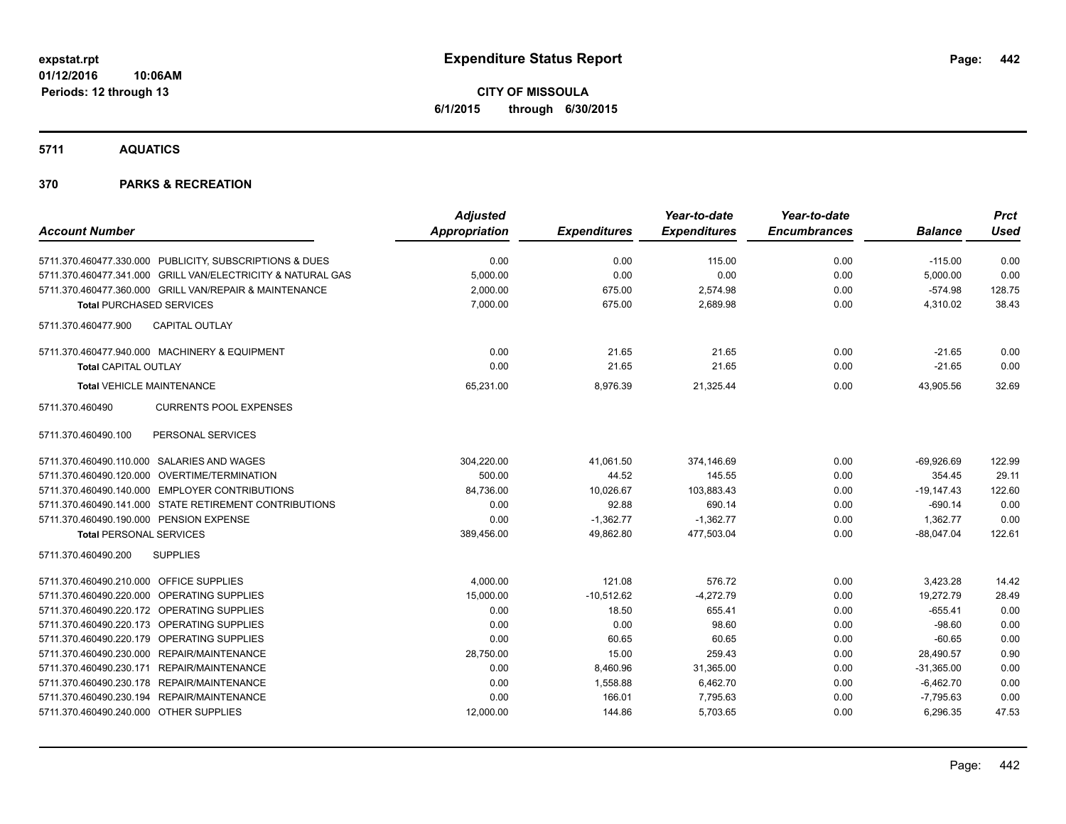**CITY OF MISSOULA 6/1/2015 through 6/30/2015**

**5711 AQUATICS**

|                                                             | <b>Adjusted</b>      |                     | Year-to-date        | Year-to-date        |                | <b>Prct</b> |
|-------------------------------------------------------------|----------------------|---------------------|---------------------|---------------------|----------------|-------------|
| <b>Account Number</b>                                       | <b>Appropriation</b> | <b>Expenditures</b> | <b>Expenditures</b> | <b>Encumbrances</b> | <b>Balance</b> | <b>Used</b> |
| 5711.370.460477.330.000 PUBLICITY, SUBSCRIPTIONS & DUES     | 0.00                 | 0.00                | 115.00              | 0.00                | $-115.00$      | 0.00        |
| 5711.370.460477.341.000 GRILL VAN/ELECTRICITY & NATURAL GAS | 5,000.00             | 0.00                | 0.00                | 0.00                | 5,000.00       | 0.00        |
| 5711.370.460477.360.000 GRILL VAN/REPAIR & MAINTENANCE      | 2,000.00             | 675.00              | 2,574.98            | 0.00                | $-574.98$      | 128.75      |
| <b>Total PURCHASED SERVICES</b>                             | 7,000.00             | 675.00              | 2,689.98            | 0.00                | 4,310.02       | 38.43       |
| CAPITAL OUTLAY<br>5711.370.460477.900                       |                      |                     |                     |                     |                |             |
| 5711.370.460477.940.000 MACHINERY & EQUIPMENT               | 0.00                 | 21.65               | 21.65               | 0.00                | $-21.65$       | 0.00        |
| <b>Total CAPITAL OUTLAY</b>                                 | 0.00                 | 21.65               | 21.65               | 0.00                | $-21.65$       | 0.00        |
| <b>Total VEHICLE MAINTENANCE</b>                            | 65,231.00            | 8,976.39            | 21,325.44           | 0.00                | 43,905.56      | 32.69       |
| <b>CURRENTS POOL EXPENSES</b><br>5711.370.460490            |                      |                     |                     |                     |                |             |
| PERSONAL SERVICES<br>5711.370.460490.100                    |                      |                     |                     |                     |                |             |
| 5711.370.460490.110.000 SALARIES AND WAGES                  | 304,220.00           | 41,061.50           | 374,146.69          | 0.00                | $-69,926.69$   | 122.99      |
| 5711.370.460490.120.000 OVERTIME/TERMINATION                | 500.00               | 44.52               | 145.55              | 0.00                | 354.45         | 29.11       |
| 5711.370.460490.140.000 EMPLOYER CONTRIBUTIONS              | 84,736.00            | 10,026.67           | 103,883.43          | 0.00                | $-19,147.43$   | 122.60      |
| 5711.370.460490.141.000 STATE RETIREMENT CONTRIBUTIONS      | 0.00                 | 92.88               | 690.14              | 0.00                | $-690.14$      | 0.00        |
| 5711.370.460490.190.000 PENSION EXPENSE                     | 0.00                 | $-1,362.77$         | $-1,362.77$         | 0.00                | 1,362.77       | 0.00        |
| <b>Total PERSONAL SERVICES</b>                              | 389,456.00           | 49.862.80           | 477.503.04          | 0.00                | $-88.047.04$   | 122.61      |
| 5711.370.460490.200<br><b>SUPPLIES</b>                      |                      |                     |                     |                     |                |             |
| 5711.370.460490.210.000 OFFICE SUPPLIES                     | 4,000.00             | 121.08              | 576.72              | 0.00                | 3,423.28       | 14.42       |
| 5711.370.460490.220.000 OPERATING SUPPLIES                  | 15,000.00            | $-10,512.62$        | $-4,272.79$         | 0.00                | 19,272.79      | 28.49       |
| 5711.370.460490.220.172 OPERATING SUPPLIES                  | 0.00                 | 18.50               | 655.41              | 0.00                | $-655.41$      | 0.00        |
| 5711.370.460490.220.173 OPERATING SUPPLIES                  | 0.00                 | 0.00                | 98.60               | 0.00                | $-98.60$       | 0.00        |
| 5711.370.460490.220.179 OPERATING SUPPLIES                  | 0.00                 | 60.65               | 60.65               | 0.00                | $-60.65$       | 0.00        |
| 5711.370.460490.230.000 REPAIR/MAINTENANCE                  | 28,750.00            | 15.00               | 259.43              | 0.00                | 28,490.57      | 0.90        |
| 5711.370.460490.230.171 REPAIR/MAINTENANCE                  | 0.00                 | 8,460.96            | 31,365.00           | 0.00                | $-31,365.00$   | 0.00        |
| 5711.370.460490.230.178 REPAIR/MAINTENANCE                  | 0.00                 | 1,558.88            | 6,462.70            | 0.00                | $-6,462.70$    | 0.00        |
| 5711.370.460490.230.194 REPAIR/MAINTENANCE                  | 0.00                 | 166.01              | 7,795.63            | 0.00                | $-7,795.63$    | 0.00        |
| 5711.370.460490.240.000 OTHER SUPPLIES                      | 12,000.00            | 144.86              | 5,703.65            | 0.00                | 6,296.35       | 47.53       |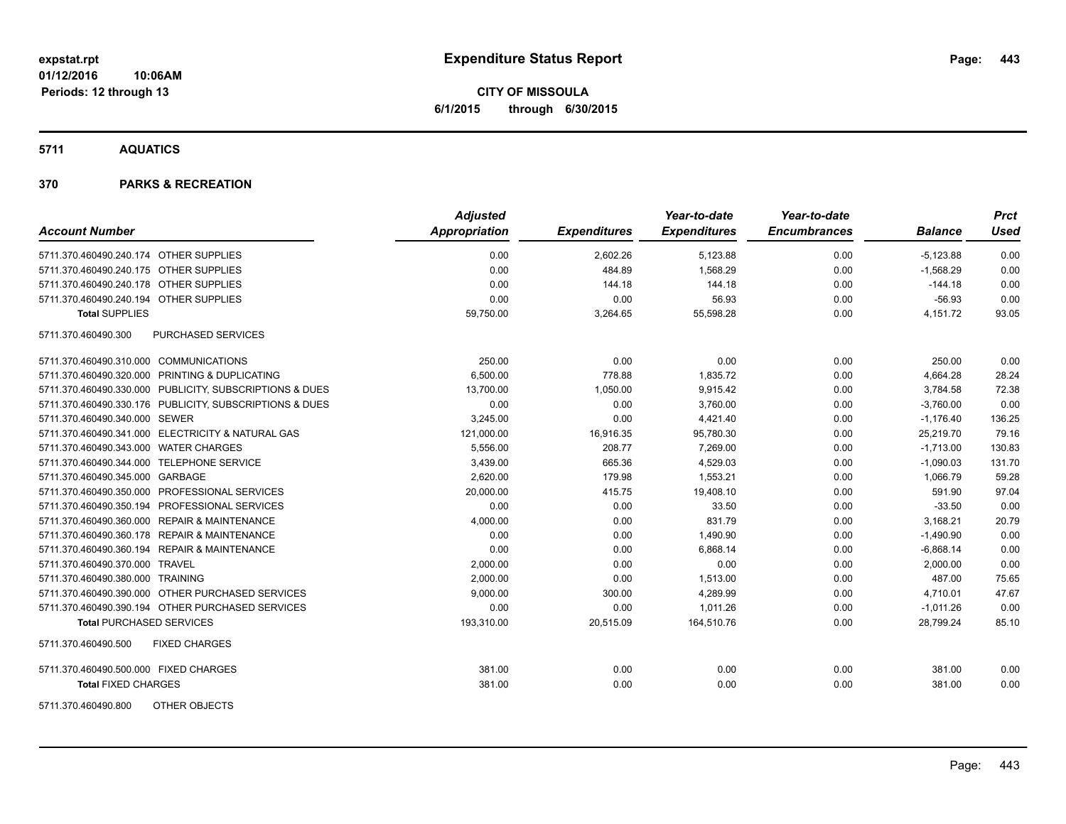**CITY OF MISSOULA 6/1/2015 through 6/30/2015**

**5711 AQUATICS**

| <b>Account Number</b>                                   | <b>Adjusted</b><br><b>Appropriation</b> | <b>Expenditures</b> | Year-to-date<br><b>Expenditures</b> | Year-to-date<br><b>Encumbrances</b> | <b>Balance</b> | <b>Prct</b><br><b>Used</b> |
|---------------------------------------------------------|-----------------------------------------|---------------------|-------------------------------------|-------------------------------------|----------------|----------------------------|
| 5711.370.460490.240.174 OTHER SUPPLIES                  | 0.00                                    | 2,602.26            | 5,123.88                            | 0.00                                | $-5,123.88$    | 0.00                       |
| 5711.370.460490.240.175 OTHER SUPPLIES                  | 0.00                                    | 484.89              | 1,568.29                            | 0.00                                | $-1,568.29$    | 0.00                       |
| 5711.370.460490.240.178 OTHER SUPPLIES                  | 0.00                                    | 144.18              | 144.18                              | 0.00                                | $-144.18$      | 0.00                       |
| 5711.370.460490.240.194 OTHER SUPPLIES                  | 0.00                                    | 0.00                | 56.93                               | 0.00                                | $-56.93$       | 0.00                       |
| <b>Total SUPPLIES</b>                                   | 59,750.00                               | 3,264.65            | 55,598.28                           | 0.00                                | 4,151.72       | 93.05                      |
| <b>PURCHASED SERVICES</b><br>5711.370.460490.300        |                                         |                     |                                     |                                     |                |                            |
| 5711.370.460490.310.000 COMMUNICATIONS                  | 250.00                                  | 0.00                | 0.00                                | 0.00                                | 250.00         | 0.00                       |
| 5711.370.460490.320.000 PRINTING & DUPLICATING          | 6,500.00                                | 778.88              | 1,835.72                            | 0.00                                | 4,664.28       | 28.24                      |
| 5711.370.460490.330.000 PUBLICITY, SUBSCRIPTIONS & DUES | 13,700.00                               | 1,050.00            | 9,915.42                            | 0.00                                | 3,784.58       | 72.38                      |
| 5711.370.460490.330.176 PUBLICITY, SUBSCRIPTIONS & DUES | 0.00                                    | 0.00                | 3,760.00                            | 0.00                                | $-3,760.00$    | 0.00                       |
| 5711.370.460490.340.000 SEWER                           | 3,245.00                                | 0.00                | 4,421.40                            | 0.00                                | $-1,176.40$    | 136.25                     |
| 5711.370.460490.341.000 ELECTRICITY & NATURAL GAS       | 121.000.00                              | 16,916.35           | 95,780.30                           | 0.00                                | 25,219.70      | 79.16                      |
| 5711.370.460490.343.000 WATER CHARGES                   | 5,556.00                                | 208.77              | 7,269.00                            | 0.00                                | $-1,713.00$    | 130.83                     |
| 5711.370.460490.344.000 TELEPHONE SERVICE               | 3,439.00                                | 665.36              | 4,529.03                            | 0.00                                | $-1,090.03$    | 131.70                     |
| 5711.370.460490.345.000 GARBAGE                         | 2,620.00                                | 179.98              | 1,553.21                            | 0.00                                | 1,066.79       | 59.28                      |
| 5711.370.460490.350.000 PROFESSIONAL SERVICES           | 20,000.00                               | 415.75              | 19,408.10                           | 0.00                                | 591.90         | 97.04                      |
| 5711.370.460490.350.194 PROFESSIONAL SERVICES           | 0.00                                    | 0.00                | 33.50                               | 0.00                                | $-33.50$       | 0.00                       |
| 5711.370.460490.360.000 REPAIR & MAINTENANCE            | 4,000.00                                | 0.00                | 831.79                              | 0.00                                | 3,168.21       | 20.79                      |
| 5711.370.460490.360.178 REPAIR & MAINTENANCE            | 0.00                                    | 0.00                | 1,490.90                            | 0.00                                | $-1,490.90$    | 0.00                       |
| 5711.370.460490.360.194 REPAIR & MAINTENANCE            | 0.00                                    | 0.00                | 6,868.14                            | 0.00                                | $-6,868.14$    | 0.00                       |
| 5711.370.460490.370.000 TRAVEL                          | 2,000.00                                | 0.00                | 0.00                                | 0.00                                | 2,000.00       | 0.00                       |
| 5711.370.460490.380.000 TRAINING                        | 2,000.00                                | 0.00                | 1,513.00                            | 0.00                                | 487.00         | 75.65                      |
| 5711.370.460490.390.000 OTHER PURCHASED SERVICES        | 9,000.00                                | 300.00              | 4,289.99                            | 0.00                                | 4,710.01       | 47.67                      |
| 5711.370.460490.390.194 OTHER PURCHASED SERVICES        | 0.00                                    | 0.00                | 1.011.26                            | 0.00                                | $-1,011.26$    | 0.00                       |
| <b>Total PURCHASED SERVICES</b>                         | 193,310.00                              | 20,515.09           | 164,510.76                          | 0.00                                | 28,799.24      | 85.10                      |
| 5711.370.460490.500<br><b>FIXED CHARGES</b>             |                                         |                     |                                     |                                     |                |                            |
| 5711.370.460490.500.000 FIXED CHARGES                   | 381.00                                  | 0.00                | 0.00                                | 0.00                                | 381.00         | 0.00                       |
| <b>Total FIXED CHARGES</b>                              | 381.00                                  | 0.00                | 0.00                                | 0.00                                | 381.00         | 0.00                       |
| <b>OTHER OBJECTS</b><br>5711.370.460490.800             |                                         |                     |                                     |                                     |                |                            |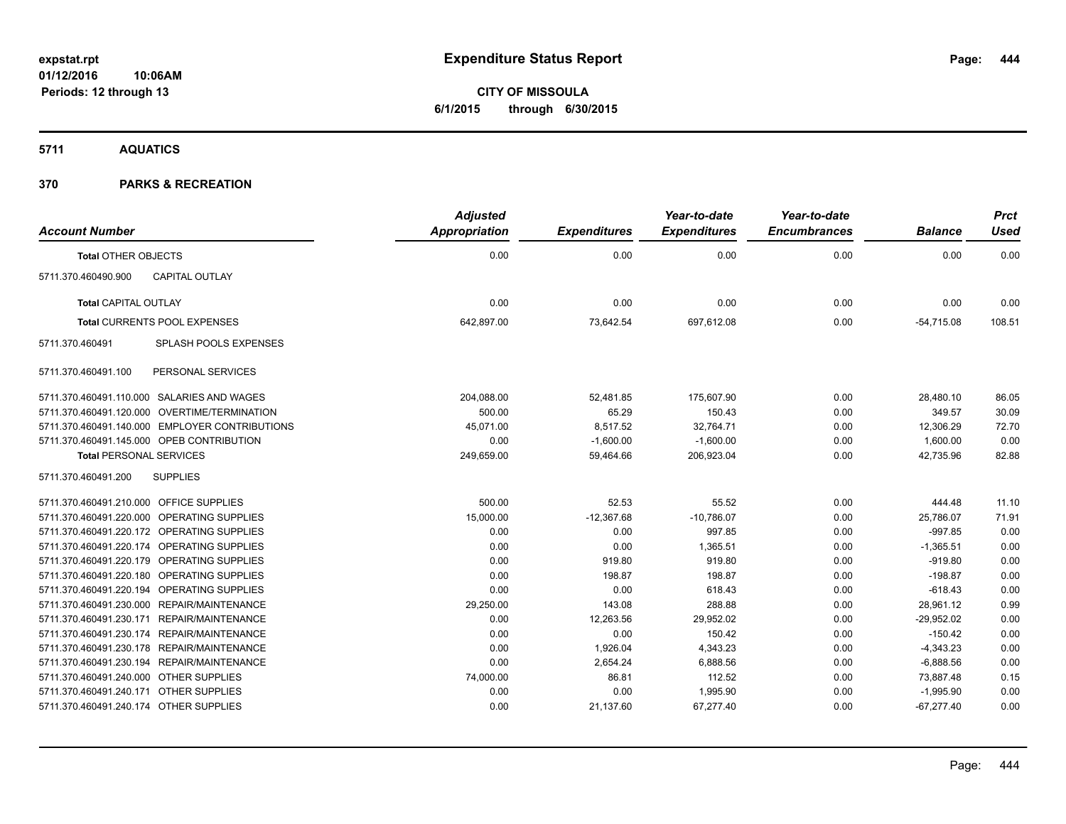**CITY OF MISSOULA 6/1/2015 through 6/30/2015**

**5711 AQUATICS**

| <b>Account Number</b>                   |                                                | <b>Adjusted</b><br><b>Appropriation</b> | <b>Expenditures</b> | Year-to-date<br><b>Expenditures</b> | Year-to-date<br><b>Encumbrances</b> | <b>Balance</b> | <b>Prct</b><br><b>Used</b> |
|-----------------------------------------|------------------------------------------------|-----------------------------------------|---------------------|-------------------------------------|-------------------------------------|----------------|----------------------------|
| <b>Total OTHER OBJECTS</b>              |                                                | 0.00                                    | 0.00                | 0.00                                | 0.00                                | 0.00           | 0.00                       |
| 5711.370.460490.900                     | <b>CAPITAL OUTLAY</b>                          |                                         |                     |                                     |                                     |                |                            |
| <b>Total CAPITAL OUTLAY</b>             |                                                | 0.00                                    | 0.00                | 0.00                                | 0.00                                | 0.00           | 0.00                       |
|                                         | <b>Total CURRENTS POOL EXPENSES</b>            | 642,897.00                              | 73,642.54           | 697,612.08                          | 0.00                                | $-54,715.08$   | 108.51                     |
| 5711.370.460491                         | <b>SPLASH POOLS EXPENSES</b>                   |                                         |                     |                                     |                                     |                |                            |
| 5711.370.460491.100                     | PERSONAL SERVICES                              |                                         |                     |                                     |                                     |                |                            |
|                                         | 5711.370.460491.110.000 SALARIES AND WAGES     | 204,088.00                              | 52,481.85           | 175,607.90                          | 0.00                                | 28,480.10      | 86.05                      |
|                                         | 5711.370.460491.120.000 OVERTIME/TERMINATION   | 500.00                                  | 65.29               | 150.43                              | 0.00                                | 349.57         | 30.09                      |
|                                         | 5711.370.460491.140.000 EMPLOYER CONTRIBUTIONS | 45,071.00                               | 8,517.52            | 32,764.71                           | 0.00                                | 12,306.29      | 72.70                      |
|                                         | 5711.370.460491.145.000 OPEB CONTRIBUTION      | 0.00                                    | $-1,600.00$         | $-1,600.00$                         | 0.00                                | 1,600.00       | 0.00                       |
| <b>Total PERSONAL SERVICES</b>          |                                                | 249,659.00                              | 59,464.66           | 206,923.04                          | 0.00                                | 42,735.96      | 82.88                      |
| 5711.370.460491.200                     | <b>SUPPLIES</b>                                |                                         |                     |                                     |                                     |                |                            |
| 5711.370.460491.210.000 OFFICE SUPPLIES |                                                | 500.00                                  | 52.53               | 55.52                               | 0.00                                | 444.48         | 11.10                      |
|                                         | 5711.370.460491.220.000 OPERATING SUPPLIES     | 15,000.00                               | $-12,367.68$        | $-10.786.07$                        | 0.00                                | 25.786.07      | 71.91                      |
|                                         | 5711.370.460491.220.172 OPERATING SUPPLIES     | 0.00                                    | 0.00                | 997.85                              | 0.00                                | $-997.85$      | 0.00                       |
|                                         | 5711.370.460491.220.174 OPERATING SUPPLIES     | 0.00                                    | 0.00                | 1,365.51                            | 0.00                                | $-1,365.51$    | 0.00                       |
|                                         | 5711.370.460491.220.179 OPERATING SUPPLIES     | 0.00                                    | 919.80              | 919.80                              | 0.00                                | $-919.80$      | 0.00                       |
|                                         | 5711.370.460491.220.180 OPERATING SUPPLIES     | 0.00                                    | 198.87              | 198.87                              | 0.00                                | $-198.87$      | 0.00                       |
|                                         | 5711.370.460491.220.194 OPERATING SUPPLIES     | 0.00                                    | 0.00                | 618.43                              | 0.00                                | $-618.43$      | 0.00                       |
|                                         | 5711.370.460491.230.000 REPAIR/MAINTENANCE     | 29,250.00                               | 143.08              | 288.88                              | 0.00                                | 28,961.12      | 0.99                       |
|                                         | 5711.370.460491.230.171 REPAIR/MAINTENANCE     | 0.00                                    | 12,263.56           | 29,952.02                           | 0.00                                | $-29,952.02$   | 0.00                       |
|                                         | 5711.370.460491.230.174 REPAIR/MAINTENANCE     | 0.00                                    | 0.00                | 150.42                              | 0.00                                | $-150.42$      | 0.00                       |
|                                         | 5711.370.460491.230.178 REPAIR/MAINTENANCE     | 0.00                                    | 1,926.04            | 4,343.23                            | 0.00                                | $-4,343.23$    | 0.00                       |
|                                         | 5711.370.460491.230.194 REPAIR/MAINTENANCE     | 0.00                                    | 2,654.24            | 6,888.56                            | 0.00                                | $-6,888.56$    | 0.00                       |
| 5711.370.460491.240.000 OTHER SUPPLIES  |                                                | 74,000.00                               | 86.81               | 112.52                              | 0.00                                | 73,887.48      | 0.15                       |
| 5711.370.460491.240.171 OTHER SUPPLIES  |                                                | 0.00                                    | 0.00                | 1,995.90                            | 0.00                                | $-1,995.90$    | 0.00                       |
| 5711.370.460491.240.174 OTHER SUPPLIES  |                                                | 0.00                                    | 21,137.60           | 67,277.40                           | 0.00                                | $-67,277.40$   | 0.00                       |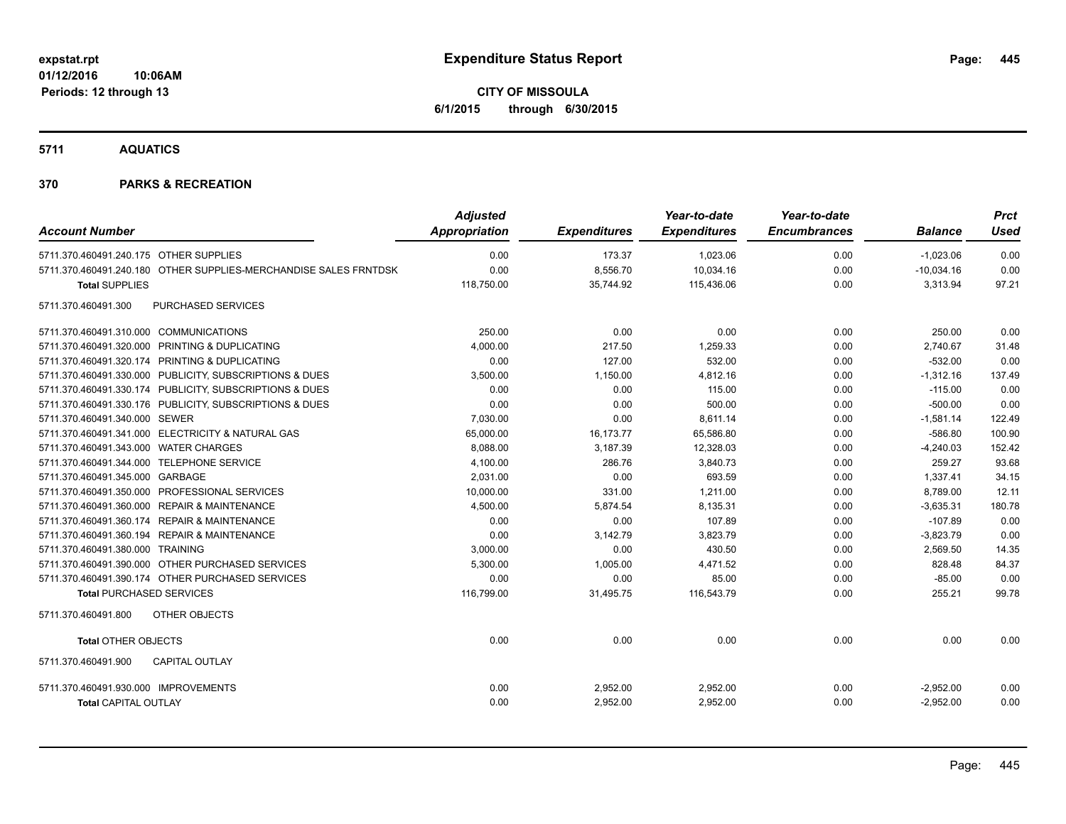**CITY OF MISSOULA 6/1/2015 through 6/30/2015**

**5711 AQUATICS**

| <b>Account Number</b>                                            | <b>Adjusted</b><br><b>Appropriation</b> | <b>Expenditures</b> | Year-to-date<br><b>Expenditures</b> | Year-to-date<br><b>Encumbrances</b> | <b>Balance</b> | <b>Prct</b><br>Used |
|------------------------------------------------------------------|-----------------------------------------|---------------------|-------------------------------------|-------------------------------------|----------------|---------------------|
| 5711.370.460491.240.175 OTHER SUPPLIES                           | 0.00                                    | 173.37              | 1,023.06                            | 0.00                                | $-1,023.06$    | 0.00                |
| 5711.370.460491.240.180 OTHER SUPPLIES-MERCHANDISE SALES FRNTDSK | 0.00                                    | 8,556.70            | 10,034.16                           | 0.00                                | $-10,034.16$   | 0.00                |
| <b>Total SUPPLIES</b>                                            | 118,750.00                              | 35,744.92           | 115,436.06                          | 0.00                                | 3,313.94       | 97.21               |
| 5711.370.460491.300<br><b>PURCHASED SERVICES</b>                 |                                         |                     |                                     |                                     |                |                     |
| 5711.370.460491.310.000 COMMUNICATIONS                           | 250.00                                  | 0.00                | 0.00                                | 0.00                                | 250.00         | 0.00                |
| 5711.370.460491.320.000 PRINTING & DUPLICATING                   | 4,000.00                                | 217.50              | 1,259.33                            | 0.00                                | 2,740.67       | 31.48               |
| 5711.370.460491.320.174 PRINTING & DUPLICATING                   | 0.00                                    | 127.00              | 532.00                              | 0.00                                | $-532.00$      | 0.00                |
| 5711.370.460491.330.000 PUBLICITY, SUBSCRIPTIONS & DUES          | 3,500.00                                | 1,150.00            | 4,812.16                            | 0.00                                | $-1,312.16$    | 137.49              |
| 5711.370.460491.330.174 PUBLICITY, SUBSCRIPTIONS & DUES          | 0.00                                    | 0.00                | 115.00                              | 0.00                                | $-115.00$      | 0.00                |
| 5711.370.460491.330.176 PUBLICITY, SUBSCRIPTIONS & DUES          | 0.00                                    | 0.00                | 500.00                              | 0.00                                | $-500.00$      | 0.00                |
| 5711.370.460491.340.000 SEWER                                    | 7,030.00                                | 0.00                | 8,611.14                            | 0.00                                | $-1,581.14$    | 122.49              |
| 5711.370.460491.341.000 ELECTRICITY & NATURAL GAS                | 65,000.00                               | 16,173.77           | 65,586.80                           | 0.00                                | $-586.80$      | 100.90              |
| 5711.370.460491.343.000 WATER CHARGES                            | 8,088.00                                | 3,187.39            | 12,328.03                           | 0.00                                | $-4,240.03$    | 152.42              |
| 5711.370.460491.344.000 TELEPHONE SERVICE                        | 4,100.00                                | 286.76              | 3,840.73                            | 0.00                                | 259.27         | 93.68               |
| 5711.370.460491.345.000 GARBAGE                                  | 2,031.00                                | 0.00                | 693.59                              | 0.00                                | 1,337.41       | 34.15               |
| 5711.370.460491.350.000 PROFESSIONAL SERVICES                    | 10,000.00                               | 331.00              | 1,211.00                            | 0.00                                | 8,789.00       | 12.11               |
| 5711.370.460491.360.000 REPAIR & MAINTENANCE                     | 4,500.00                                | 5,874.54            | 8,135.31                            | 0.00                                | $-3,635.31$    | 180.78              |
| 5711.370.460491.360.174 REPAIR & MAINTENANCE                     | 0.00                                    | 0.00                | 107.89                              | 0.00                                | $-107.89$      | 0.00                |
| 5711.370.460491.360.194 REPAIR & MAINTENANCE                     | 0.00                                    | 3,142.79            | 3,823.79                            | 0.00                                | $-3,823.79$    | 0.00                |
| 5711.370.460491.380.000 TRAINING                                 | 3,000.00                                | 0.00                | 430.50                              | 0.00                                | 2,569.50       | 14.35               |
| 5711.370.460491.390.000 OTHER PURCHASED SERVICES                 | 5,300.00                                | 1,005.00            | 4,471.52                            | 0.00                                | 828.48         | 84.37               |
| 5711.370.460491.390.174 OTHER PURCHASED SERVICES                 | 0.00                                    | 0.00                | 85.00                               | 0.00                                | $-85.00$       | 0.00                |
| <b>Total PURCHASED SERVICES</b>                                  | 116,799.00                              | 31,495.75           | 116,543.79                          | 0.00                                | 255.21         | 99.78               |
| OTHER OBJECTS<br>5711.370.460491.800                             |                                         |                     |                                     |                                     |                |                     |
| <b>Total OTHER OBJECTS</b>                                       | 0.00                                    | 0.00                | 0.00                                | 0.00                                | 0.00           | 0.00                |
| 5711.370.460491.900<br><b>CAPITAL OUTLAY</b>                     |                                         |                     |                                     |                                     |                |                     |
| 5711.370.460491.930.000 IMPROVEMENTS                             | 0.00                                    | 2,952.00            | 2,952.00                            | 0.00                                | $-2,952.00$    | 0.00                |
| <b>Total CAPITAL OUTLAY</b>                                      | 0.00                                    | 2,952.00            | 2,952.00                            | 0.00                                | $-2,952.00$    | 0.00                |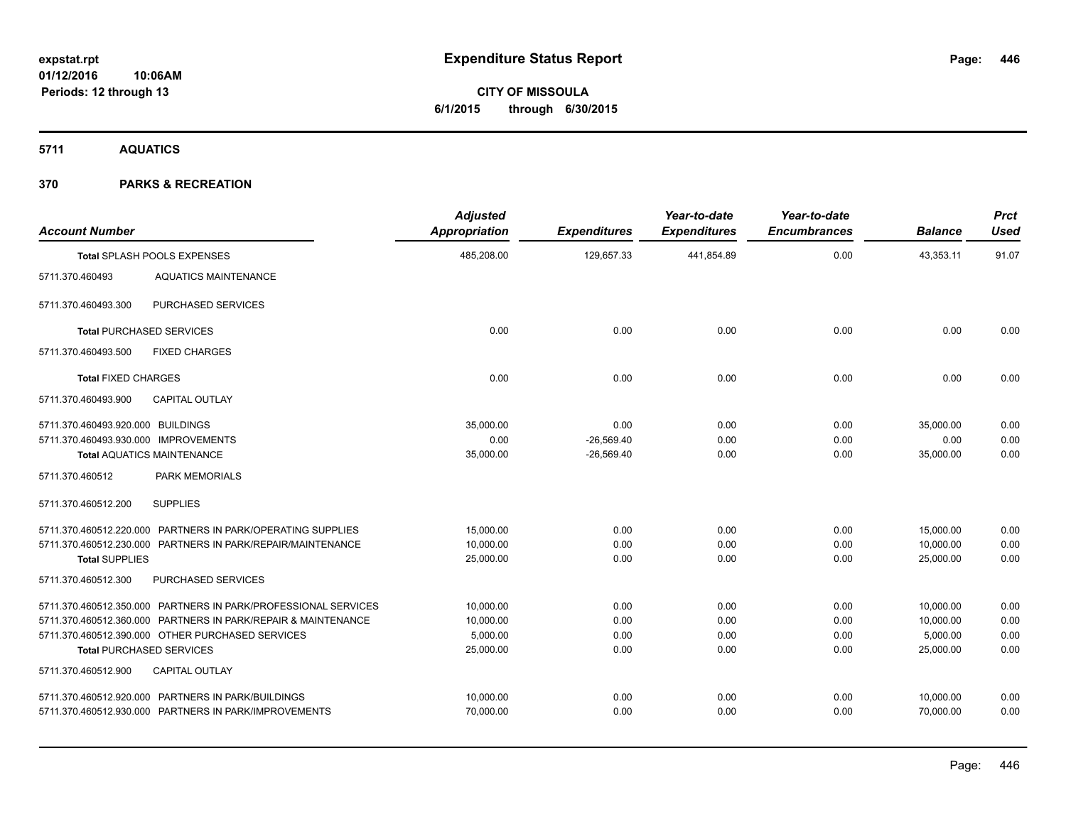**CITY OF MISSOULA 6/1/2015 through 6/30/2015**

**5711 AQUATICS**

| <b>Account Number</b>                                                     |                                                                                                                                                                                                                        | <b>Adjusted</b><br>Appropriation                | <b>Expenditures</b>                  | Year-to-date<br><b>Expenditures</b> | Year-to-date<br><b>Encumbrances</b> | <b>Balance</b>                                  | <b>Prct</b><br><b>Used</b>   |
|---------------------------------------------------------------------------|------------------------------------------------------------------------------------------------------------------------------------------------------------------------------------------------------------------------|-------------------------------------------------|--------------------------------------|-------------------------------------|-------------------------------------|-------------------------------------------------|------------------------------|
|                                                                           | Total SPLASH POOLS EXPENSES                                                                                                                                                                                            | 485,208.00                                      | 129,657.33                           | 441,854.89                          | 0.00                                | 43,353.11                                       | 91.07                        |
| 5711.370.460493                                                           | <b>AQUATICS MAINTENANCE</b>                                                                                                                                                                                            |                                                 |                                      |                                     |                                     |                                                 |                              |
| 5711.370.460493.300                                                       | PURCHASED SERVICES                                                                                                                                                                                                     |                                                 |                                      |                                     |                                     |                                                 |                              |
|                                                                           | <b>Total PURCHASED SERVICES</b>                                                                                                                                                                                        | 0.00                                            | 0.00                                 | 0.00                                | 0.00                                | 0.00                                            | 0.00                         |
| 5711.370.460493.500                                                       | <b>FIXED CHARGES</b>                                                                                                                                                                                                   |                                                 |                                      |                                     |                                     |                                                 |                              |
| <b>Total FIXED CHARGES</b>                                                |                                                                                                                                                                                                                        | 0.00                                            | 0.00                                 | 0.00                                | 0.00                                | 0.00                                            | 0.00                         |
| 5711.370.460493.900                                                       | <b>CAPITAL OUTLAY</b>                                                                                                                                                                                                  |                                                 |                                      |                                     |                                     |                                                 |                              |
| 5711.370.460493.920.000 BUILDINGS<br>5711.370.460493.930.000 IMPROVEMENTS | <b>Total AQUATICS MAINTENANCE</b>                                                                                                                                                                                      | 35,000.00<br>0.00<br>35,000.00                  | 0.00<br>$-26,569.40$<br>$-26,569.40$ | 0.00<br>0.00<br>0.00                | 0.00<br>0.00<br>0.00                | 35,000.00<br>0.00<br>35,000.00                  | 0.00<br>0.00<br>0.00         |
| 5711.370.460512                                                           | <b>PARK MEMORIALS</b>                                                                                                                                                                                                  |                                                 |                                      |                                     |                                     |                                                 |                              |
| 5711.370.460512.200                                                       | <b>SUPPLIES</b>                                                                                                                                                                                                        |                                                 |                                      |                                     |                                     |                                                 |                              |
| <b>Total SUPPLIES</b>                                                     | 5711.370.460512.220.000 PARTNERS IN PARK/OPERATING SUPPLIES<br>5711.370.460512.230.000 PARTNERS IN PARK/REPAIR/MAINTENANCE                                                                                             | 15,000.00<br>10,000.00<br>25,000.00             | 0.00<br>0.00<br>0.00                 | 0.00<br>0.00<br>0.00                | 0.00<br>0.00<br>0.00                | 15,000.00<br>10,000.00<br>25,000.00             | 0.00<br>0.00<br>0.00         |
| 5711.370.460512.300                                                       | PURCHASED SERVICES                                                                                                                                                                                                     |                                                 |                                      |                                     |                                     |                                                 |                              |
|                                                                           | 5711.370.460512.350.000 PARTNERS IN PARK/PROFESSIONAL SERVICES<br>5711.370.460512.360.000 PARTNERS IN PARK/REPAIR & MAINTENANCE<br>5711.370.460512.390.000 OTHER PURCHASED SERVICES<br><b>Total PURCHASED SERVICES</b> | 10,000.00<br>10,000.00<br>5,000.00<br>25,000.00 | 0.00<br>0.00<br>0.00<br>0.00         | 0.00<br>0.00<br>0.00<br>0.00        | 0.00<br>0.00<br>0.00<br>0.00        | 10,000.00<br>10,000.00<br>5,000.00<br>25,000.00 | 0.00<br>0.00<br>0.00<br>0.00 |
| 5711.370.460512.900                                                       | CAPITAL OUTLAY                                                                                                                                                                                                         |                                                 |                                      |                                     |                                     |                                                 |                              |
|                                                                           | 5711.370.460512.920.000 PARTNERS IN PARK/BUILDINGS<br>5711.370.460512.930.000 PARTNERS IN PARK/IMPROVEMENTS                                                                                                            | 10,000.00<br>70,000.00                          | 0.00<br>0.00                         | 0.00<br>0.00                        | 0.00<br>0.00                        | 10,000.00<br>70,000.00                          | 0.00<br>0.00                 |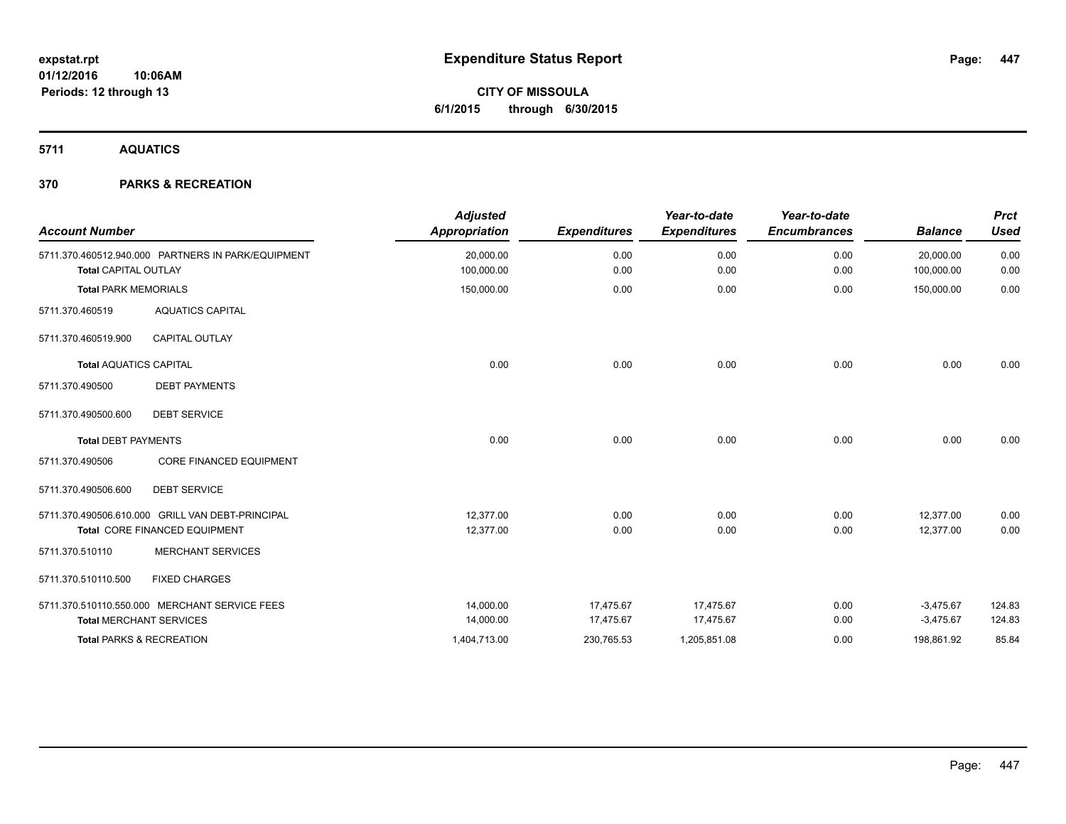**CITY OF MISSOULA 6/1/2015 through 6/30/2015**

**5711 AQUATICS**

| <b>Account Number</b>         |                                                    | <b>Adjusted</b><br>Appropriation | <b>Expenditures</b> | Year-to-date<br><b>Expenditures</b> | Year-to-date<br><b>Encumbrances</b> | <b>Balance</b> | <b>Prct</b><br><b>Used</b> |
|-------------------------------|----------------------------------------------------|----------------------------------|---------------------|-------------------------------------|-------------------------------------|----------------|----------------------------|
|                               | 5711.370.460512.940.000 PARTNERS IN PARK/EQUIPMENT | 20,000.00                        | 0.00                | 0.00                                | 0.00                                | 20,000.00      | 0.00                       |
| <b>Total CAPITAL OUTLAY</b>   |                                                    | 100,000.00                       | 0.00                | 0.00                                | 0.00                                | 100,000.00     | 0.00                       |
| <b>Total PARK MEMORIALS</b>   |                                                    | 150,000.00                       | 0.00                | 0.00                                | 0.00                                | 150,000.00     | 0.00                       |
| 5711.370.460519               | <b>AQUATICS CAPITAL</b>                            |                                  |                     |                                     |                                     |                |                            |
| 5711.370.460519.900           | <b>CAPITAL OUTLAY</b>                              |                                  |                     |                                     |                                     |                |                            |
| <b>Total AQUATICS CAPITAL</b> |                                                    | 0.00                             | 0.00                | 0.00                                | 0.00                                | 0.00           | 0.00                       |
| 5711.370.490500               | <b>DEBT PAYMENTS</b>                               |                                  |                     |                                     |                                     |                |                            |
| 5711.370.490500.600           | <b>DEBT SERVICE</b>                                |                                  |                     |                                     |                                     |                |                            |
| <b>Total DEBT PAYMENTS</b>    |                                                    | 0.00                             | 0.00                | 0.00                                | 0.00                                | 0.00           | 0.00                       |
| 5711.370.490506               | <b>CORE FINANCED EQUIPMENT</b>                     |                                  |                     |                                     |                                     |                |                            |
| 5711.370.490506.600           | <b>DEBT SERVICE</b>                                |                                  |                     |                                     |                                     |                |                            |
|                               | 5711.370.490506.610.000 GRILL VAN DEBT-PRINCIPAL   | 12.377.00                        | 0.00                | 0.00                                | 0.00                                | 12.377.00      | 0.00                       |
|                               | Total CORE FINANCED EQUIPMENT                      | 12,377.00                        | 0.00                | 0.00                                | 0.00                                | 12.377.00      | 0.00                       |
| 5711.370.510110               | <b>MERCHANT SERVICES</b>                           |                                  |                     |                                     |                                     |                |                            |
| 5711.370.510110.500           | <b>FIXED CHARGES</b>                               |                                  |                     |                                     |                                     |                |                            |
|                               | 5711.370.510110.550.000 MERCHANT SERVICE FEES      | 14,000.00                        | 17,475.67           | 17,475.67                           | 0.00                                | $-3,475.67$    | 124.83                     |
|                               | <b>Total MERCHANT SERVICES</b>                     | 14,000.00                        | 17,475.67           | 17,475.67                           | 0.00                                | $-3,475.67$    | 124.83                     |
|                               | <b>Total PARKS &amp; RECREATION</b>                | 1,404,713.00                     | 230,765.53          | 1,205,851.08                        | 0.00                                | 198,861.92     | 85.84                      |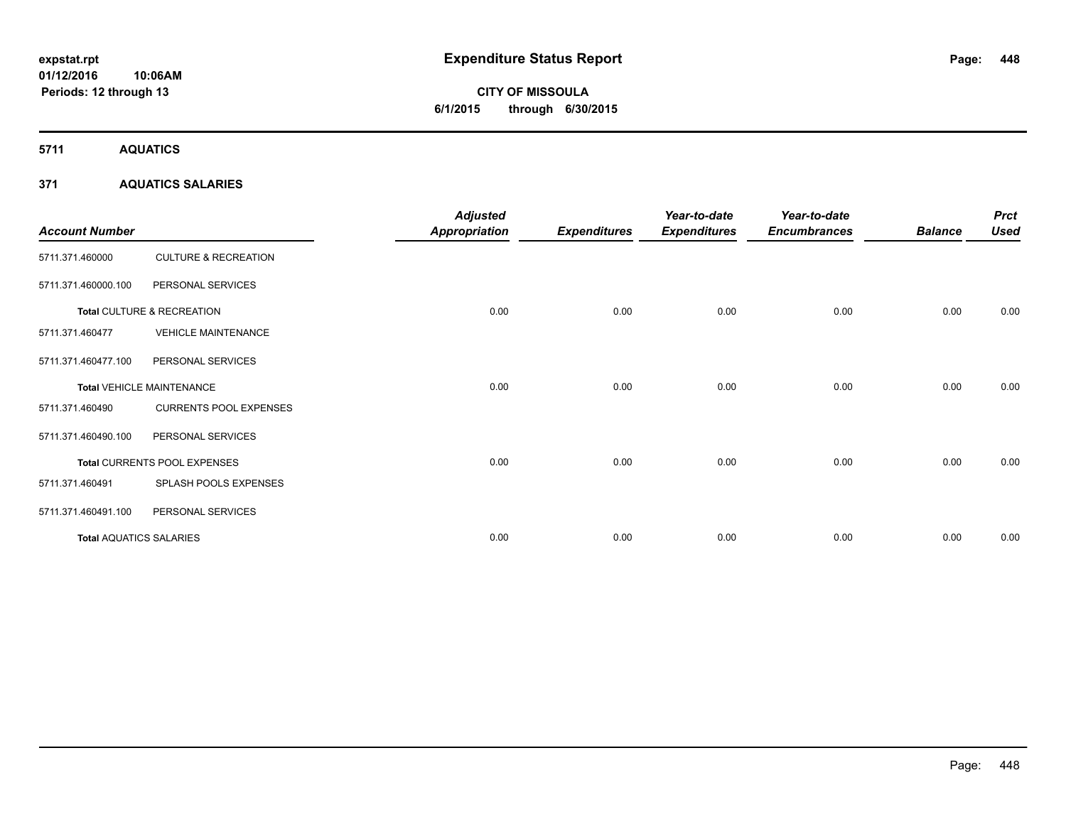# **CITY OF MISSOULA 6/1/2015 through 6/30/2015**

**5711 AQUATICS**

### **371 AQUATICS SALARIES**

| <b>Account Number</b>          |                                  | <b>Adjusted</b><br>Appropriation | <b>Expenditures</b> | Year-to-date<br><b>Expenditures</b> | Year-to-date<br><b>Encumbrances</b> | <b>Balance</b> | <b>Prct</b><br><b>Used</b> |
|--------------------------------|----------------------------------|----------------------------------|---------------------|-------------------------------------|-------------------------------------|----------------|----------------------------|
| 5711.371.460000                | <b>CULTURE &amp; RECREATION</b>  |                                  |                     |                                     |                                     |                |                            |
| 5711.371.460000.100            | PERSONAL SERVICES                |                                  |                     |                                     |                                     |                |                            |
|                                | Total CULTURE & RECREATION       | 0.00                             | 0.00                | 0.00                                | 0.00                                | 0.00           | 0.00                       |
| 5711.371.460477                | <b>VEHICLE MAINTENANCE</b>       |                                  |                     |                                     |                                     |                |                            |
| 5711.371.460477.100            | PERSONAL SERVICES                |                                  |                     |                                     |                                     |                |                            |
|                                | <b>Total VEHICLE MAINTENANCE</b> | 0.00                             | 0.00                | 0.00                                | 0.00                                | 0.00           | 0.00                       |
| 5711.371.460490                | <b>CURRENTS POOL EXPENSES</b>    |                                  |                     |                                     |                                     |                |                            |
| 5711.371.460490.100            | PERSONAL SERVICES                |                                  |                     |                                     |                                     |                |                            |
|                                | Total CURRENTS POOL EXPENSES     | 0.00                             | 0.00                | 0.00                                | 0.00                                | 0.00           | 0.00                       |
| 5711.371.460491                | SPLASH POOLS EXPENSES            |                                  |                     |                                     |                                     |                |                            |
| 5711.371.460491.100            | PERSONAL SERVICES                |                                  |                     |                                     |                                     |                |                            |
| <b>Total AQUATICS SALARIES</b> |                                  | 0.00                             | 0.00                | 0.00                                | 0.00                                | 0.00           | 0.00                       |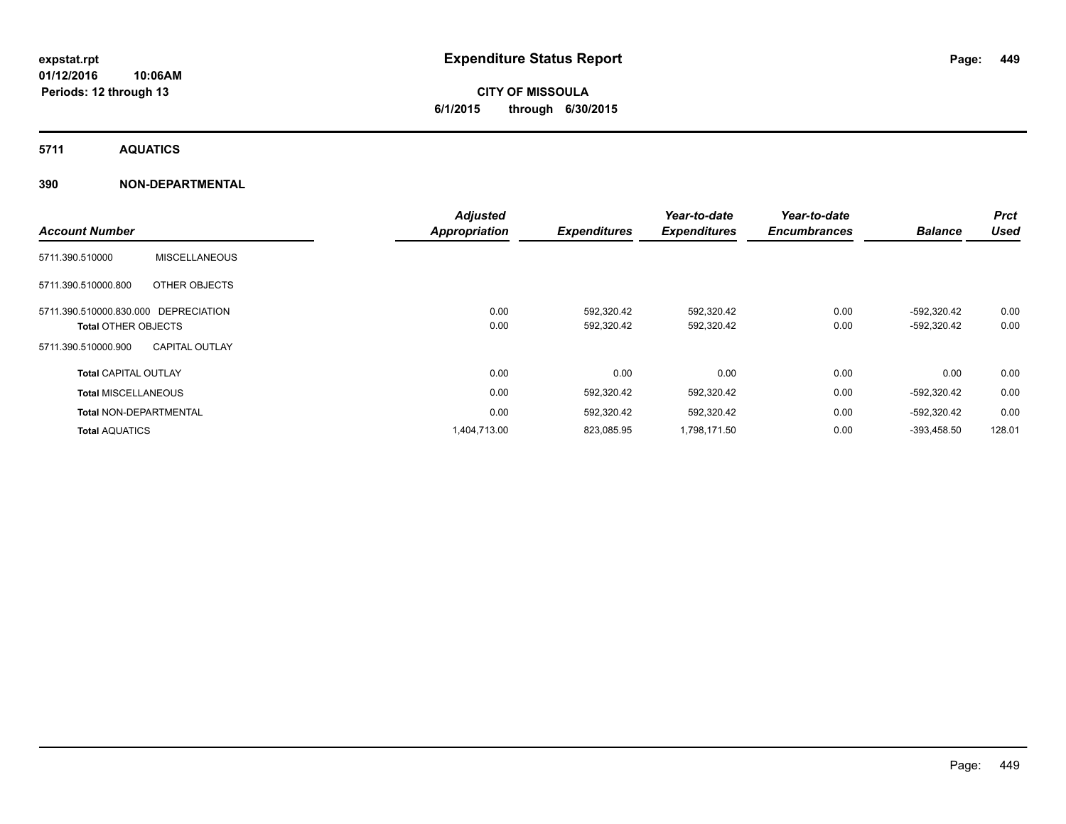# **CITY OF MISSOULA 6/1/2015 through 6/30/2015**

**5711 AQUATICS**

### **390 NON-DEPARTMENTAL**

|                                      |                       | <b>Adjusted</b>      |                     | Year-to-date        | Year-to-date        |                | <b>Prct</b> |
|--------------------------------------|-----------------------|----------------------|---------------------|---------------------|---------------------|----------------|-------------|
| <b>Account Number</b>                |                       | <b>Appropriation</b> | <b>Expenditures</b> | <b>Expenditures</b> | <b>Encumbrances</b> | <b>Balance</b> | <b>Used</b> |
| 5711.390.510000                      | <b>MISCELLANEOUS</b>  |                      |                     |                     |                     |                |             |
| 5711.390.510000.800                  | OTHER OBJECTS         |                      |                     |                     |                     |                |             |
| 5711.390.510000.830.000 DEPRECIATION |                       | 0.00                 | 592,320.42          | 592,320.42          | 0.00                | -592,320.42    | 0.00        |
| <b>Total OTHER OBJECTS</b>           |                       | 0.00                 | 592,320.42          | 592,320.42          | 0.00                | -592,320.42    | 0.00        |
| 5711.390.510000.900                  | <b>CAPITAL OUTLAY</b> |                      |                     |                     |                     |                |             |
| <b>Total CAPITAL OUTLAY</b>          |                       | 0.00                 | 0.00                | 0.00                | 0.00                | 0.00           | 0.00        |
| <b>Total MISCELLANEOUS</b>           |                       | 0.00                 | 592,320.42          | 592,320.42          | 0.00                | -592,320.42    | 0.00        |
| <b>Total NON-DEPARTMENTAL</b>        |                       | 0.00                 | 592,320.42          | 592,320.42          | 0.00                | -592,320.42    | 0.00        |
| <b>Total AQUATICS</b>                |                       | 1,404,713.00         | 823,085.95          | 1,798,171.50        | 0.00                | -393.458.50    | 128.01      |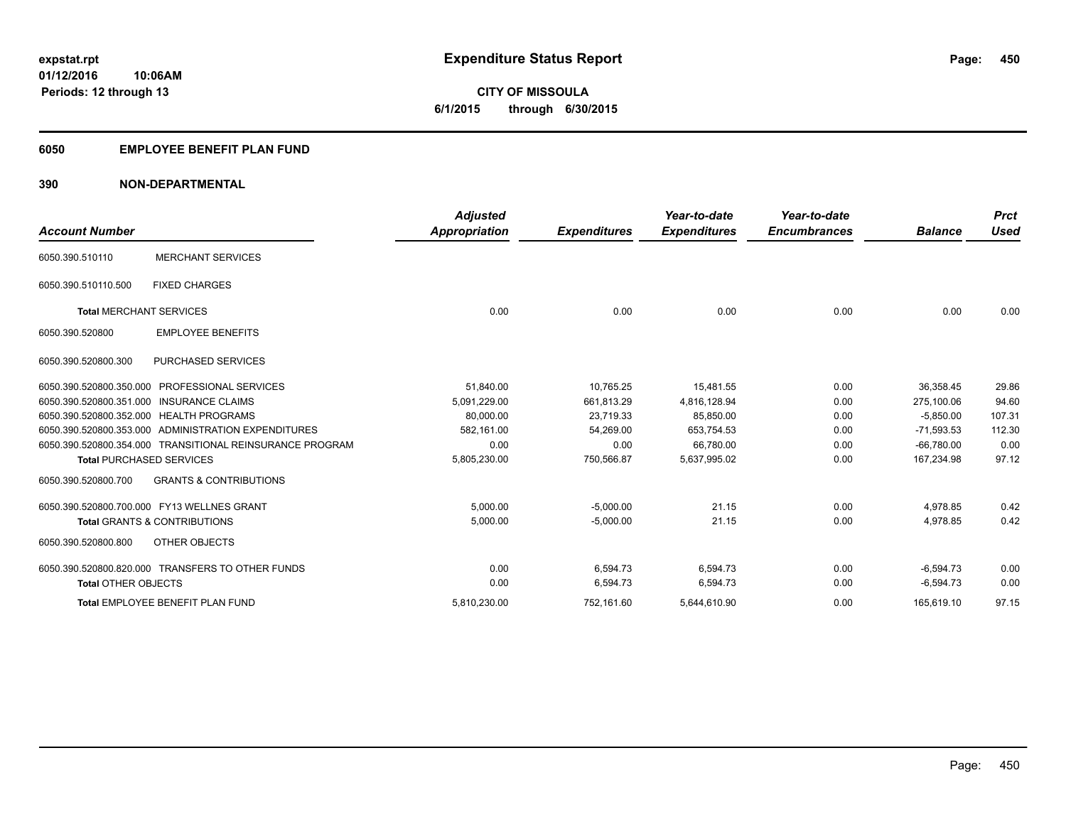**10:06AM Periods: 12 through 13**

**CITY OF MISSOULA 6/1/2015 through 6/30/2015**

#### **6050 EMPLOYEE BENEFIT PLAN FUND**

### **390 NON-DEPARTMENTAL**

|                                 |                                                          | <b>Adjusted</b>      |                     | Year-to-date        | Year-to-date        |                | <b>Prct</b> |
|---------------------------------|----------------------------------------------------------|----------------------|---------------------|---------------------|---------------------|----------------|-------------|
| <b>Account Number</b>           |                                                          | <b>Appropriation</b> | <b>Expenditures</b> | <b>Expenditures</b> | <b>Encumbrances</b> | <b>Balance</b> | <b>Used</b> |
| 6050.390.510110                 | <b>MERCHANT SERVICES</b>                                 |                      |                     |                     |                     |                |             |
| 6050.390.510110.500             | <b>FIXED CHARGES</b>                                     |                      |                     |                     |                     |                |             |
| <b>Total MERCHANT SERVICES</b>  |                                                          | 0.00                 | 0.00                | 0.00                | 0.00                | 0.00           | 0.00        |
| 6050.390.520800                 | <b>EMPLOYEE BENEFITS</b>                                 |                      |                     |                     |                     |                |             |
| 6050.390.520800.300             | <b>PURCHASED SERVICES</b>                                |                      |                     |                     |                     |                |             |
|                                 | 6050.390.520800.350.000 PROFESSIONAL SERVICES            | 51,840.00            | 10,765.25           | 15,481.55           | 0.00                | 36,358.45      | 29.86       |
| 6050.390.520800.351.000         | <b>INSURANCE CLAIMS</b>                                  | 5,091,229.00         | 661,813.29          | 4,816,128.94        | 0.00                | 275.100.06     | 94.60       |
|                                 | 6050.390.520800.352.000 HEALTH PROGRAMS                  | 80.000.00            | 23.719.33           | 85.850.00           | 0.00                | $-5.850.00$    | 107.31      |
|                                 | 6050.390.520800.353.000 ADMINISTRATION EXPENDITURES      | 582,161.00           | 54,269.00           | 653,754.53          | 0.00                | $-71,593.53$   | 112.30      |
|                                 | 6050.390.520800.354.000 TRANSITIONAL REINSURANCE PROGRAM | 0.00                 | 0.00                | 66,780.00           | 0.00                | $-66,780.00$   | 0.00        |
| <b>Total PURCHASED SERVICES</b> |                                                          | 5,805,230.00         | 750,566.87          | 5,637,995.02        | 0.00                | 167.234.98     | 97.12       |
| 6050.390.520800.700             | <b>GRANTS &amp; CONTRIBUTIONS</b>                        |                      |                     |                     |                     |                |             |
|                                 | 6050.390.520800.700.000 FY13 WELLNES GRANT               | 5.000.00             | $-5,000.00$         | 21.15               | 0.00                | 4,978.85       | 0.42        |
|                                 | <b>Total GRANTS &amp; CONTRIBUTIONS</b>                  | 5,000.00             | $-5,000.00$         | 21.15               | 0.00                | 4,978.85       | 0.42        |
| 6050.390.520800.800             | OTHER OBJECTS                                            |                      |                     |                     |                     |                |             |
|                                 | 6050.390.520800.820.000 TRANSFERS TO OTHER FUNDS         | 0.00                 | 6,594.73            | 6,594.73            | 0.00                | $-6,594.73$    | 0.00        |
| <b>Total OTHER OBJECTS</b>      |                                                          | 0.00                 | 6,594.73            | 6,594.73            | 0.00                | $-6,594.73$    | 0.00        |
|                                 | Total EMPLOYEE BENEFIT PLAN FUND                         | 5,810,230.00         | 752,161.60          | 5,644,610.90        | 0.00                | 165.619.10     | 97.15       |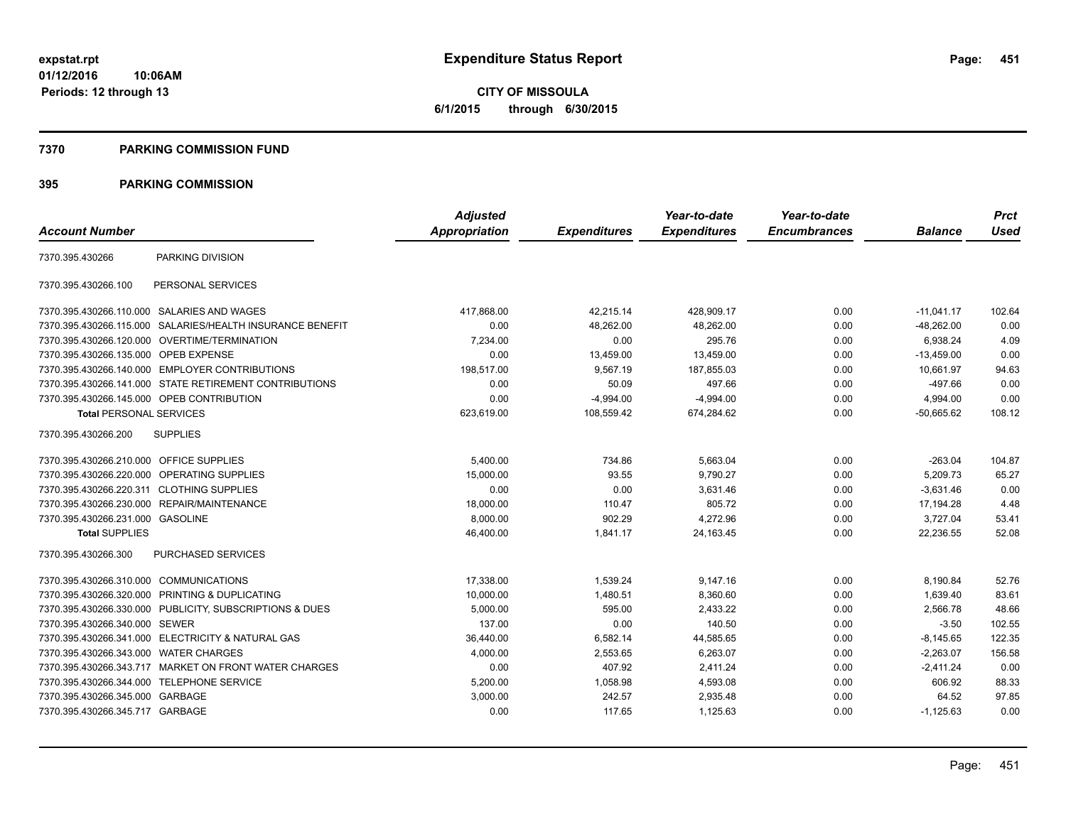**CITY OF MISSOULA 6/1/2015 through 6/30/2015**

#### **7370 PARKING COMMISSION FUND**

|                                            |                                                         | <b>Adjusted</b>      |                     | Year-to-date        | Year-to-date        |                | <b>Prct</b> |
|--------------------------------------------|---------------------------------------------------------|----------------------|---------------------|---------------------|---------------------|----------------|-------------|
| <b>Account Number</b>                      |                                                         | <b>Appropriation</b> | <b>Expenditures</b> | <b>Expenditures</b> | <b>Encumbrances</b> | <b>Balance</b> | <b>Used</b> |
| 7370.395.430266                            | PARKING DIVISION                                        |                      |                     |                     |                     |                |             |
| 7370.395.430266.100                        | PERSONAL SERVICES                                       |                      |                     |                     |                     |                |             |
| 7370.395.430266.110.000 SALARIES AND WAGES |                                                         | 417,868.00           | 42,215.14           | 428,909.17          | 0.00                | $-11,041.17$   | 102.64      |
| 7370.395.430266.115.000                    | SALARIES/HEALTH INSURANCE BENEFIT                       | 0.00                 | 48,262.00           | 48,262.00           | 0.00                | $-48,262.00$   | 0.00        |
|                                            | 7370.395.430266.120.000 OVERTIME/TERMINATION            | 7.234.00             | 0.00                | 295.76              | 0.00                | 6.938.24       | 4.09        |
| 7370.395.430266.135.000 OPEB EXPENSE       |                                                         | 0.00                 | 13,459.00           | 13,459.00           | 0.00                | $-13,459.00$   | 0.00        |
|                                            | 7370.395.430266.140.000 EMPLOYER CONTRIBUTIONS          | 198,517.00           | 9,567.19            | 187.855.03          | 0.00                | 10.661.97      | 94.63       |
|                                            | 7370.395.430266.141.000 STATE RETIREMENT CONTRIBUTIONS  | 0.00                 | 50.09               | 497.66              | 0.00                | $-497.66$      | 0.00        |
| 7370.395.430266.145.000 OPEB CONTRIBUTION  |                                                         | 0.00                 | $-4,994.00$         | $-4,994.00$         | 0.00                | 4,994.00       | 0.00        |
| <b>Total PERSONAL SERVICES</b>             |                                                         | 623,619.00           | 108,559.42          | 674,284.62          | 0.00                | $-50,665.62$   | 108.12      |
| 7370.395.430266.200                        | <b>SUPPLIES</b>                                         |                      |                     |                     |                     |                |             |
| 7370.395.430266.210.000 OFFICE SUPPLIES    |                                                         | 5,400.00             | 734.86              | 5,663.04            | 0.00                | $-263.04$      | 104.87      |
| 7370.395.430266.220.000 OPERATING SUPPLIES |                                                         | 15,000.00            | 93.55               | 9,790.27            | 0.00                | 5,209.73       | 65.27       |
| 7370.395.430266.220.311 CLOTHING SUPPLIES  |                                                         | 0.00                 | 0.00                | 3,631.46            | 0.00                | $-3,631.46$    | 0.00        |
|                                            | 7370.395.430266.230.000 REPAIR/MAINTENANCE              | 18,000.00            | 110.47              | 805.72              | 0.00                | 17,194.28      | 4.48        |
| 7370.395.430266.231.000 GASOLINE           |                                                         | 8,000.00             | 902.29              | 4,272.96            | 0.00                | 3,727.04       | 53.41       |
| <b>Total SUPPLIES</b>                      |                                                         | 46,400.00            | 1,841.17            | 24,163.45           | 0.00                | 22,236.55      | 52.08       |
| 7370.395.430266.300                        | <b>PURCHASED SERVICES</b>                               |                      |                     |                     |                     |                |             |
| 7370.395.430266.310.000 COMMUNICATIONS     |                                                         | 17,338.00            | 1,539.24            | 9,147.16            | 0.00                | 8,190.84       | 52.76       |
|                                            | 7370.395.430266.320.000 PRINTING & DUPLICATING          | 10,000.00            | 1,480.51            | 8,360.60            | 0.00                | 1,639.40       | 83.61       |
|                                            | 7370.395.430266.330.000 PUBLICITY, SUBSCRIPTIONS & DUES | 5,000.00             | 595.00              | 2,433.22            | 0.00                | 2,566.78       | 48.66       |
| 7370.395.430266.340.000 SEWER              |                                                         | 137.00               | 0.00                | 140.50              | 0.00                | $-3.50$        | 102.55      |
|                                            | 7370.395.430266.341.000 ELECTRICITY & NATURAL GAS       | 36,440.00            | 6,582.14            | 44,585.65           | 0.00                | $-8,145.65$    | 122.35      |
| 7370.395.430266.343.000 WATER CHARGES      |                                                         | 4,000.00             | 2,553.65            | 6,263.07            | 0.00                | $-2,263.07$    | 156.58      |
|                                            | 7370.395.430266.343.717 MARKET ON FRONT WATER CHARGES   | 0.00                 | 407.92              | 2,411.24            | 0.00                | $-2,411.24$    | 0.00        |
| 7370.395.430266.344.000 TELEPHONE SERVICE  |                                                         | 5,200.00             | 1,058.98            | 4,593.08            | 0.00                | 606.92         | 88.33       |
| 7370.395.430266.345.000 GARBAGE            |                                                         | 3,000.00             | 242.57              | 2,935.48            | 0.00                | 64.52          | 97.85       |
| 7370.395.430266.345.717 GARBAGE            |                                                         | 0.00                 | 117.65              | 1,125.63            | 0.00                | $-1,125.63$    | 0.00        |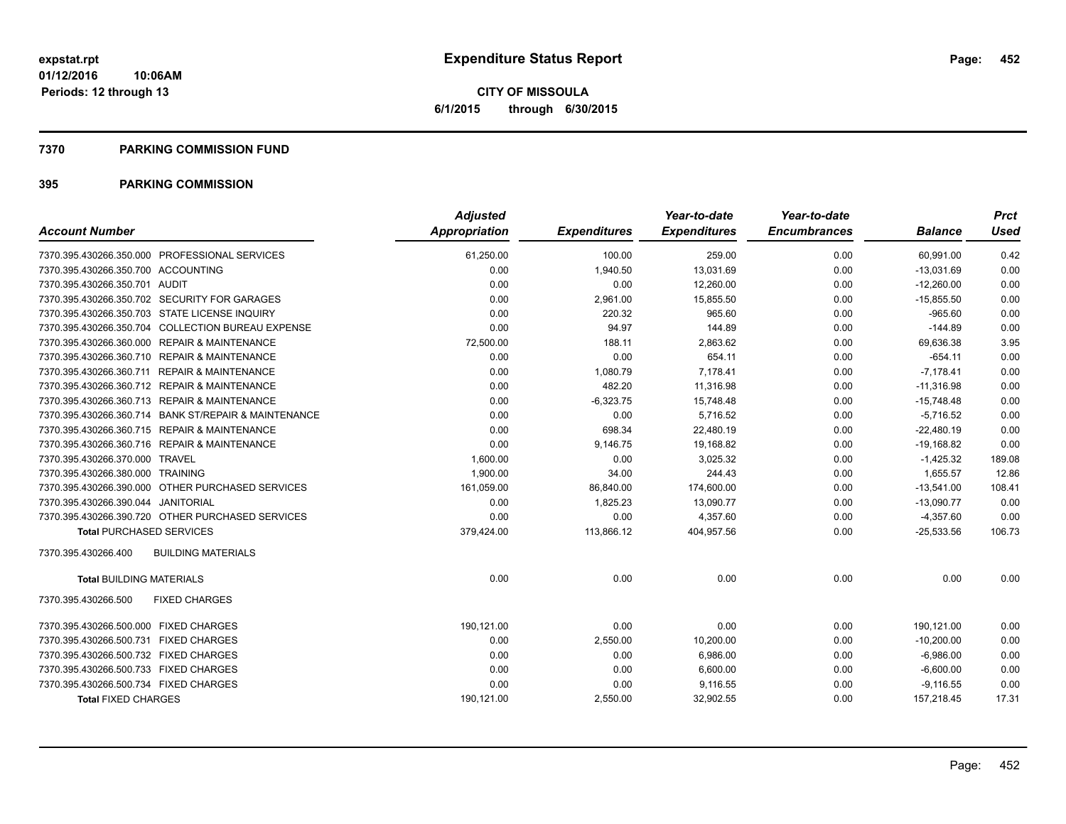**CITY OF MISSOULA 6/1/2015 through 6/30/2015**

#### **7370 PARKING COMMISSION FUND**

| <b>Account Number</b>                                | <b>Adjusted</b><br>Appropriation | <b>Expenditures</b> | Year-to-date<br><b>Expenditures</b> | Year-to-date<br><b>Encumbrances</b> | <b>Balance</b> | <b>Prct</b><br><b>Used</b> |
|------------------------------------------------------|----------------------------------|---------------------|-------------------------------------|-------------------------------------|----------------|----------------------------|
|                                                      |                                  |                     |                                     |                                     |                |                            |
| 7370.395.430266.350.000 PROFESSIONAL SERVICES        | 61,250.00                        | 100.00              | 259.00                              | 0.00                                | 60,991.00      | 0.42                       |
| 7370.395.430266.350.700 ACCOUNTING                   | 0.00                             | 1,940.50            | 13,031.69                           | 0.00                                | $-13,031.69$   | 0.00                       |
| 7370.395.430266.350.701 AUDIT                        | 0.00                             | 0.00                | 12,260.00                           | 0.00                                | $-12,260.00$   | 0.00                       |
| 7370.395.430266.350.702 SECURITY FOR GARAGES         | 0.00                             | 2,961.00            | 15,855.50                           | 0.00                                | $-15,855.50$   | 0.00                       |
| 7370.395.430266.350.703 STATE LICENSE INQUIRY        | 0.00                             | 220.32              | 965.60                              | 0.00                                | $-965.60$      | 0.00                       |
| 7370.395.430266.350.704 COLLECTION BUREAU EXPENSE    | 0.00                             | 94.97               | 144.89                              | 0.00                                | $-144.89$      | 0.00                       |
| 7370.395.430266.360.000 REPAIR & MAINTENANCE         | 72,500.00                        | 188.11              | 2,863.62                            | 0.00                                | 69,636.38      | 3.95                       |
| 7370.395.430266.360.710 REPAIR & MAINTENANCE         | 0.00                             | 0.00                | 654.11                              | 0.00                                | $-654.11$      | 0.00                       |
| 7370.395.430266.360.711 REPAIR & MAINTENANCE         | 0.00                             | 1,080.79            | 7,178.41                            | 0.00                                | $-7,178.41$    | 0.00                       |
| 7370.395.430266.360.712 REPAIR & MAINTENANCE         | 0.00                             | 482.20              | 11,316.98                           | 0.00                                | $-11,316.98$   | 0.00                       |
| 7370.395.430266.360.713 REPAIR & MAINTENANCE         | 0.00                             | $-6,323.75$         | 15,748.48                           | 0.00                                | $-15,748.48$   | 0.00                       |
| 7370.395.430266.360.714 BANK ST/REPAIR & MAINTENANCE | 0.00                             | 0.00                | 5,716.52                            | 0.00                                | $-5,716.52$    | 0.00                       |
| 7370.395.430266.360.715 REPAIR & MAINTENANCE         | 0.00                             | 698.34              | 22,480.19                           | 0.00                                | $-22,480.19$   | 0.00                       |
| 7370.395.430266.360.716 REPAIR & MAINTENANCE         | 0.00                             | 9,146.75            | 19,168.82                           | 0.00                                | $-19,168.82$   | 0.00                       |
| 7370.395.430266.370.000 TRAVEL                       | 1,600.00                         | 0.00                | 3,025.32                            | 0.00                                | $-1,425.32$    | 189.08                     |
| 7370.395.430266.380.000 TRAINING                     | 1,900.00                         | 34.00               | 244.43                              | 0.00                                | 1,655.57       | 12.86                      |
| 7370.395.430266.390.000 OTHER PURCHASED SERVICES     | 161,059.00                       | 86,840.00           | 174,600.00                          | 0.00                                | $-13,541.00$   | 108.41                     |
| 7370.395.430266.390.044 JANITORIAL                   | 0.00                             | 1,825.23            | 13,090.77                           | 0.00                                | $-13,090.77$   | 0.00                       |
| 7370.395.430266.390.720 OTHER PURCHASED SERVICES     | 0.00                             | 0.00                | 4,357.60                            | 0.00                                | $-4,357.60$    | 0.00                       |
| <b>Total PURCHASED SERVICES</b>                      | 379,424.00                       | 113,866.12          | 404,957.56                          | 0.00                                | $-25,533.56$   | 106.73                     |
| 7370.395.430266.400<br><b>BUILDING MATERIALS</b>     |                                  |                     |                                     |                                     |                |                            |
| <b>Total BUILDING MATERIALS</b>                      | 0.00                             | 0.00                | 0.00                                | 0.00                                | 0.00           | 0.00                       |
| 7370.395.430266.500<br><b>FIXED CHARGES</b>          |                                  |                     |                                     |                                     |                |                            |
| 7370.395.430266.500.000 FIXED CHARGES                | 190,121.00                       | 0.00                | 0.00                                | 0.00                                | 190,121.00     | 0.00                       |
| 7370.395.430266.500.731 FIXED CHARGES                | 0.00                             | 2,550.00            | 10,200.00                           | 0.00                                | $-10,200.00$   | 0.00                       |
| 7370.395.430266.500.732 FIXED CHARGES                | 0.00                             | 0.00                | 6,986.00                            | 0.00                                | $-6,986.00$    | 0.00                       |
| 7370.395.430266.500.733 FIXED CHARGES                | 0.00                             | 0.00                | 6,600.00                            | 0.00                                | $-6,600.00$    | 0.00                       |
| 7370.395.430266.500.734 FIXED CHARGES                | 0.00                             | 0.00                | 9,116.55                            | 0.00                                | $-9,116.55$    | 0.00                       |
| <b>Total FIXED CHARGES</b>                           | 190,121.00                       | 2,550.00            | 32,902.55                           | 0.00                                | 157,218.45     | 17.31                      |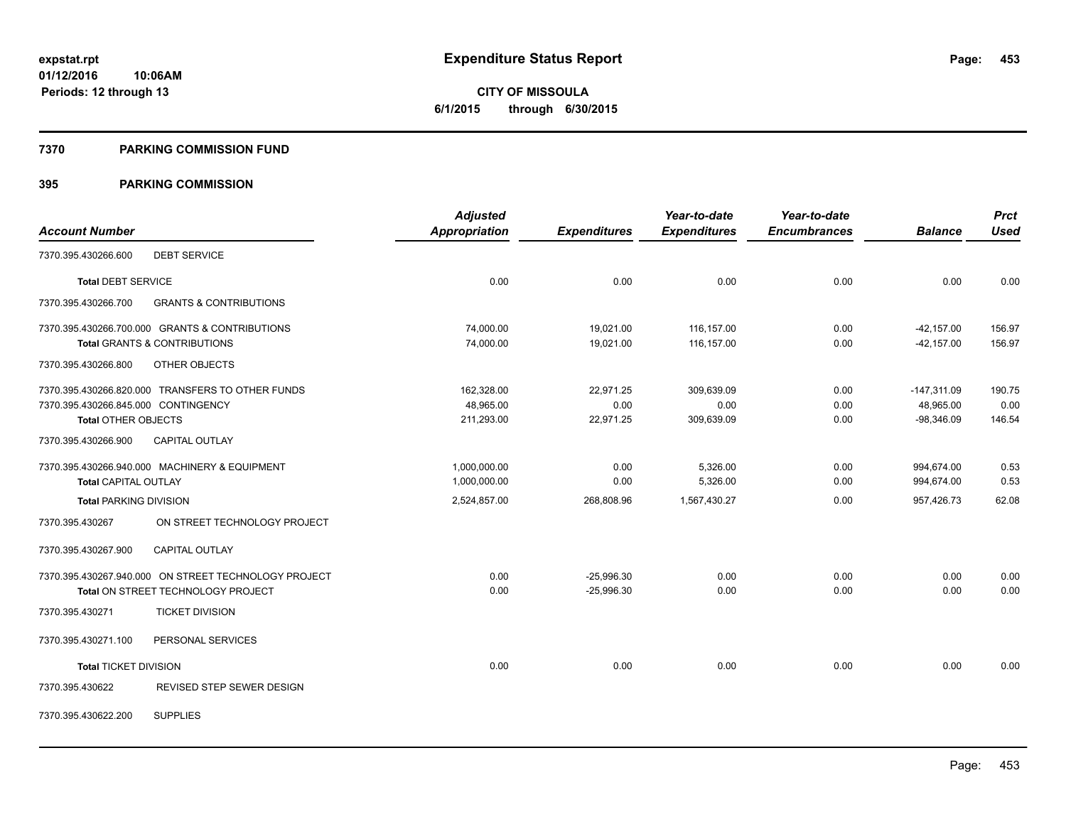**453**

**01/12/2016 10:06AM Periods: 12 through 13**

# **CITY OF MISSOULA 6/1/2015 through 6/30/2015**

#### **7370 PARKING COMMISSION FUND**

| <b>Account Number</b>                                                                                                 | <b>Adjusted</b><br>Appropriation      | <b>Expenditures</b>            | Year-to-date<br><b>Expenditures</b> | Year-to-date<br><b>Encumbrances</b> | <b>Balance</b>                             | <b>Prct</b><br><b>Used</b> |
|-----------------------------------------------------------------------------------------------------------------------|---------------------------------------|--------------------------------|-------------------------------------|-------------------------------------|--------------------------------------------|----------------------------|
| <b>DEBT SERVICE</b><br>7370.395.430266.600                                                                            |                                       |                                |                                     |                                     |                                            |                            |
| <b>Total DEBT SERVICE</b>                                                                                             | 0.00                                  | 0.00                           | 0.00                                | 0.00                                | 0.00                                       | 0.00                       |
| 7370.395.430266.700<br><b>GRANTS &amp; CONTRIBUTIONS</b>                                                              |                                       |                                |                                     |                                     |                                            |                            |
| 7370.395.430266.700.000 GRANTS & CONTRIBUTIONS<br><b>Total GRANTS &amp; CONTRIBUTIONS</b>                             | 74,000.00<br>74,000.00                | 19,021.00<br>19,021.00         | 116,157.00<br>116,157.00            | 0.00<br>0.00                        | $-42,157.00$<br>$-42, 157.00$              | 156.97<br>156.97           |
| 7370.395.430266.800<br>OTHER OBJECTS                                                                                  |                                       |                                |                                     |                                     |                                            |                            |
| 7370.395.430266.820.000 TRANSFERS TO OTHER FUNDS<br>7370.395.430266.845.000 CONTINGENCY<br><b>Total OTHER OBJECTS</b> | 162,328.00<br>48.965.00<br>211,293.00 | 22,971.25<br>0.00<br>22,971.25 | 309,639.09<br>0.00<br>309,639.09    | 0.00<br>0.00<br>0.00                | $-147,311.09$<br>48,965.00<br>$-98,346.09$ | 190.75<br>0.00<br>146.54   |
| 7370.395.430266.900<br><b>CAPITAL OUTLAY</b>                                                                          |                                       |                                |                                     |                                     |                                            |                            |
| 7370.395.430266.940.000 MACHINERY & EQUIPMENT<br><b>Total CAPITAL OUTLAY</b>                                          | 1,000,000.00<br>1,000,000.00          | 0.00<br>0.00                   | 5,326.00<br>5,326.00                | 0.00<br>0.00                        | 994,674.00<br>994,674.00                   | 0.53<br>0.53               |
| <b>Total PARKING DIVISION</b>                                                                                         | 2,524,857.00                          | 268,808.96                     | 1,567,430.27                        | 0.00                                | 957,426.73                                 | 62.08                      |
| ON STREET TECHNOLOGY PROJECT<br>7370.395.430267                                                                       |                                       |                                |                                     |                                     |                                            |                            |
| <b>CAPITAL OUTLAY</b><br>7370.395.430267.900                                                                          |                                       |                                |                                     |                                     |                                            |                            |
| 7370.395.430267.940.000 ON STREET TECHNOLOGY PROJECT<br>Total ON STREET TECHNOLOGY PROJECT                            | 0.00<br>0.00                          | $-25,996.30$<br>$-25.996.30$   | 0.00<br>0.00                        | 0.00<br>0.00                        | 0.00<br>0.00                               | 0.00<br>0.00               |
| <b>TICKET DIVISION</b><br>7370.395.430271                                                                             |                                       |                                |                                     |                                     |                                            |                            |
| 7370.395.430271.100<br>PERSONAL SERVICES                                                                              |                                       |                                |                                     |                                     |                                            |                            |
| <b>Total TICKET DIVISION</b>                                                                                          | 0.00                                  | 0.00                           | 0.00                                | 0.00                                | 0.00                                       | 0.00                       |
| REVISED STEP SEWER DESIGN<br>7370.395.430622                                                                          |                                       |                                |                                     |                                     |                                            |                            |
| <b>SUPPLIES</b><br>7370.395.430622.200                                                                                |                                       |                                |                                     |                                     |                                            |                            |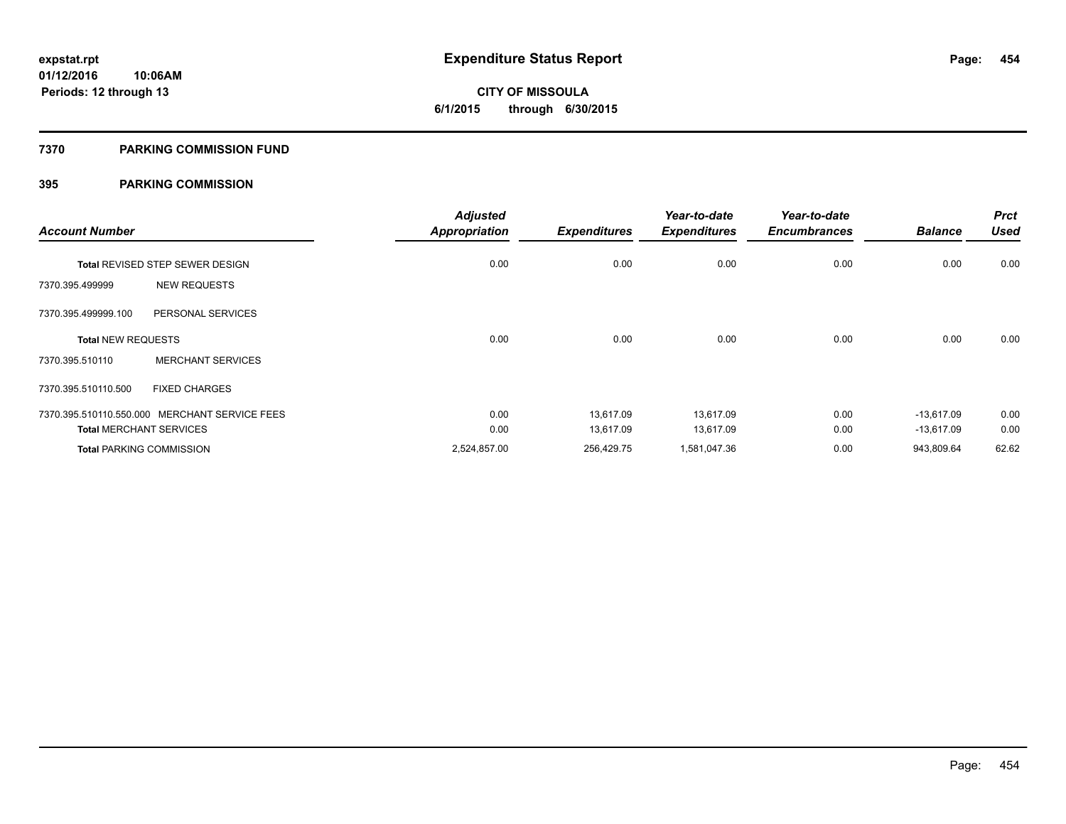**454**

**01/12/2016 10:06AM Periods: 12 through 13**

**CITY OF MISSOULA 6/1/2015 through 6/30/2015**

#### **7370 PARKING COMMISSION FUND**

| <b>Account Number</b>     |                                               | <b>Adjusted</b><br><b>Appropriation</b> | <b>Expenditures</b> | Year-to-date<br><b>Expenditures</b> | Year-to-date<br><b>Encumbrances</b> | <b>Balance</b> | <b>Prct</b><br><b>Used</b> |
|---------------------------|-----------------------------------------------|-----------------------------------------|---------------------|-------------------------------------|-------------------------------------|----------------|----------------------------|
|                           | Total REVISED STEP SEWER DESIGN               | 0.00                                    | 0.00                | 0.00                                | 0.00                                | 0.00           | 0.00                       |
| 7370.395.499999           | <b>NEW REQUESTS</b>                           |                                         |                     |                                     |                                     |                |                            |
| 7370.395.499999.100       | PERSONAL SERVICES                             |                                         |                     |                                     |                                     |                |                            |
| <b>Total NEW REQUESTS</b> |                                               | 0.00                                    | 0.00                | 0.00                                | 0.00                                | 0.00           | 0.00                       |
| 7370.395.510110           | <b>MERCHANT SERVICES</b>                      |                                         |                     |                                     |                                     |                |                            |
| 7370.395.510110.500       | <b>FIXED CHARGES</b>                          |                                         |                     |                                     |                                     |                |                            |
|                           | 7370.395.510110.550.000 MERCHANT SERVICE FEES | 0.00                                    | 13,617.09           | 13,617.09                           | 0.00                                | $-13,617.09$   | 0.00                       |
|                           | <b>Total MERCHANT SERVICES</b>                | 0.00                                    | 13.617.09           | 13,617.09                           | 0.00                                | $-13,617.09$   | 0.00                       |
|                           | <b>Total PARKING COMMISSION</b>               | 2,524,857.00                            | 256,429.75          | 1,581,047.36                        | 0.00                                | 943,809.64     | 62.62                      |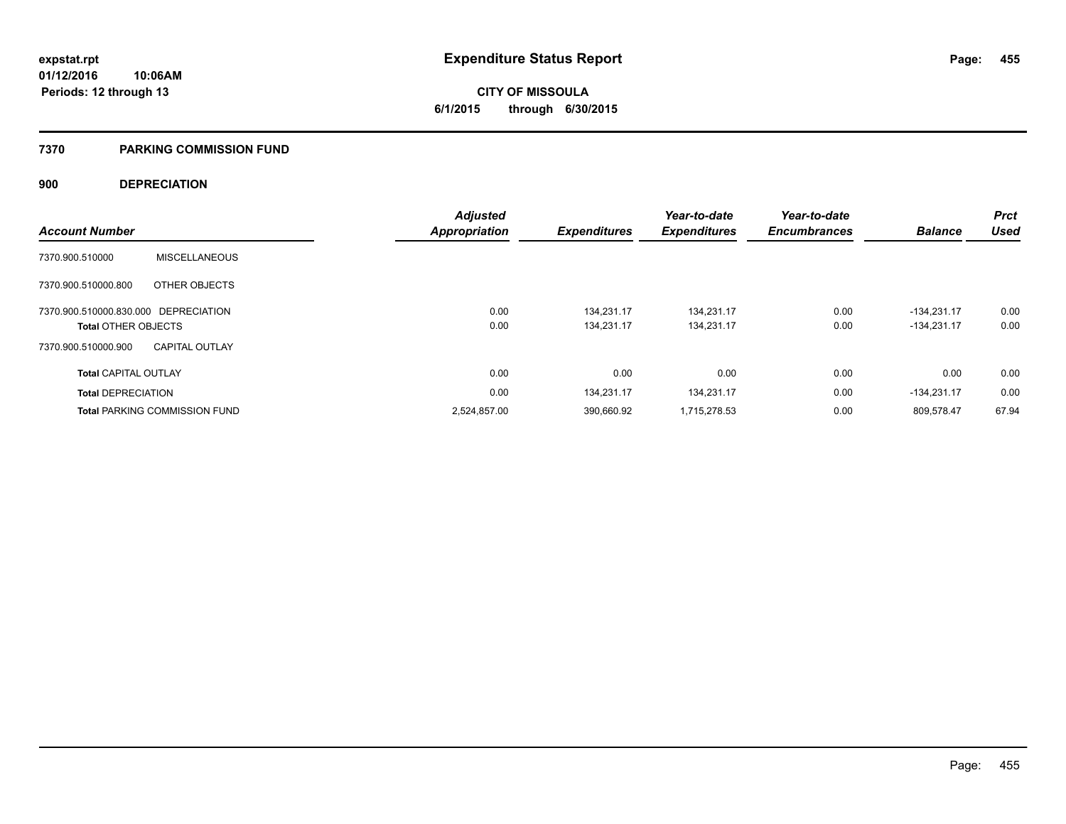**CITY OF MISSOULA 6/1/2015 through 6/30/2015**

#### **7370 PARKING COMMISSION FUND**

### **900 DEPRECIATION**

|                                      |                                      | <b>Adjusted</b> |                     | Year-to-date        | Year-to-date        |                | <b>Prct</b> |
|--------------------------------------|--------------------------------------|-----------------|---------------------|---------------------|---------------------|----------------|-------------|
| <b>Account Number</b>                |                                      | Appropriation   | <b>Expenditures</b> | <b>Expenditures</b> | <b>Encumbrances</b> | <b>Balance</b> | Used        |
| 7370.900.510000                      | <b>MISCELLANEOUS</b>                 |                 |                     |                     |                     |                |             |
| 7370.900.510000.800                  | OTHER OBJECTS                        |                 |                     |                     |                     |                |             |
| 7370.900.510000.830.000 DEPRECIATION |                                      | 0.00            | 134.231.17          | 134.231.17          | 0.00                | $-134.231.17$  | 0.00        |
| <b>Total OTHER OBJECTS</b>           |                                      | 0.00            | 134.231.17          | 134,231.17          | 0.00                | $-134.231.17$  | 0.00        |
| 7370.900.510000.900                  | <b>CAPITAL OUTLAY</b>                |                 |                     |                     |                     |                |             |
| <b>Total CAPITAL OUTLAY</b>          |                                      | 0.00            | 0.00                | 0.00                | 0.00                | 0.00           | 0.00        |
| <b>Total DEPRECIATION</b>            |                                      | 0.00            | 134,231.17          | 134,231.17          | 0.00                | $-134.231.17$  | 0.00        |
|                                      | <b>Total PARKING COMMISSION FUND</b> | 2,524,857.00    | 390,660.92          | 1,715,278.53        | 0.00                | 809,578.47     | 67.94       |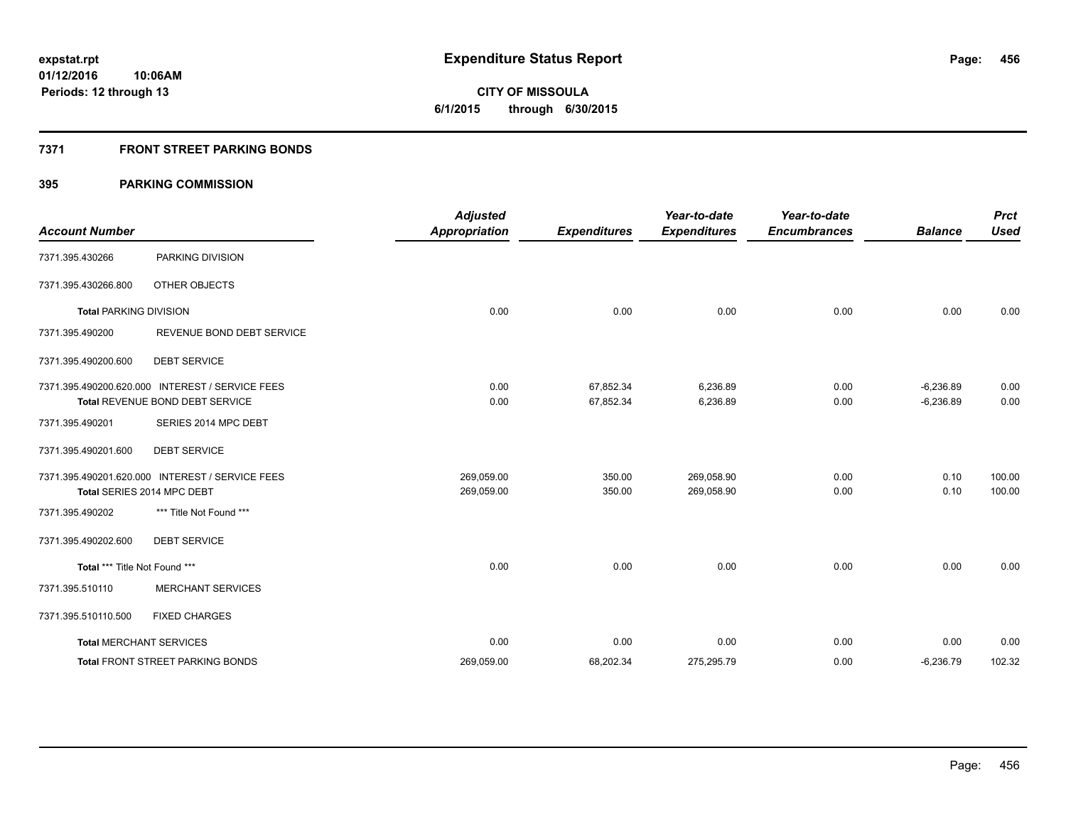**CITY OF MISSOULA 6/1/2015 through 6/30/2015**

## **7371 FRONT STREET PARKING BONDS**

| <b>Account Number</b>         |                                                                                    | <b>Adjusted</b><br><b>Appropriation</b> | <b>Expenditures</b>    | Year-to-date<br><b>Expenditures</b> | Year-to-date<br><b>Encumbrances</b> | <b>Balance</b>             | <b>Prct</b><br><b>Used</b> |
|-------------------------------|------------------------------------------------------------------------------------|-----------------------------------------|------------------------|-------------------------------------|-------------------------------------|----------------------------|----------------------------|
| 7371.395.430266               | PARKING DIVISION                                                                   |                                         |                        |                                     |                                     |                            |                            |
| 7371.395.430266.800           | OTHER OBJECTS                                                                      |                                         |                        |                                     |                                     |                            |                            |
| <b>Total PARKING DIVISION</b> |                                                                                    | 0.00                                    | 0.00                   | 0.00                                | 0.00                                | 0.00                       | 0.00                       |
| 7371.395.490200               | REVENUE BOND DEBT SERVICE                                                          |                                         |                        |                                     |                                     |                            |                            |
| 7371.395.490200.600           | <b>DEBT SERVICE</b>                                                                |                                         |                        |                                     |                                     |                            |                            |
|                               | 7371.395.490200.620.000 INTEREST / SERVICE FEES<br>Total REVENUE BOND DEBT SERVICE | 0.00<br>0.00                            | 67,852.34<br>67,852.34 | 6,236.89<br>6,236.89                | 0.00<br>0.00                        | $-6,236.89$<br>$-6,236.89$ | 0.00<br>0.00               |
| 7371.395.490201               | SERIES 2014 MPC DEBT                                                               |                                         |                        |                                     |                                     |                            |                            |
| 7371.395.490201.600           | <b>DEBT SERVICE</b>                                                                |                                         |                        |                                     |                                     |                            |                            |
|                               | 7371.395.490201.620.000 INTEREST / SERVICE FEES<br>Total SERIES 2014 MPC DEBT      | 269.059.00<br>269,059.00                | 350.00<br>350.00       | 269.058.90<br>269,058.90            | 0.00<br>0.00                        | 0.10<br>0.10               | 100.00<br>100.00           |
| 7371.395.490202               | *** Title Not Found ***                                                            |                                         |                        |                                     |                                     |                            |                            |
| 7371.395.490202.600           | <b>DEBT SERVICE</b>                                                                |                                         |                        |                                     |                                     |                            |                            |
| Total *** Title Not Found *** |                                                                                    | 0.00                                    | 0.00                   | 0.00                                | 0.00                                | 0.00                       | 0.00                       |
| 7371.395.510110               | <b>MERCHANT SERVICES</b>                                                           |                                         |                        |                                     |                                     |                            |                            |
| 7371.395.510110.500           | <b>FIXED CHARGES</b>                                                               |                                         |                        |                                     |                                     |                            |                            |
|                               | <b>Total MERCHANT SERVICES</b>                                                     | 0.00                                    | 0.00                   | 0.00                                | 0.00                                | 0.00                       | 0.00                       |
|                               | <b>Total FRONT STREET PARKING BONDS</b>                                            | 269,059.00                              | 68,202.34              | 275,295.79                          | 0.00                                | $-6,236.79$                | 102.32                     |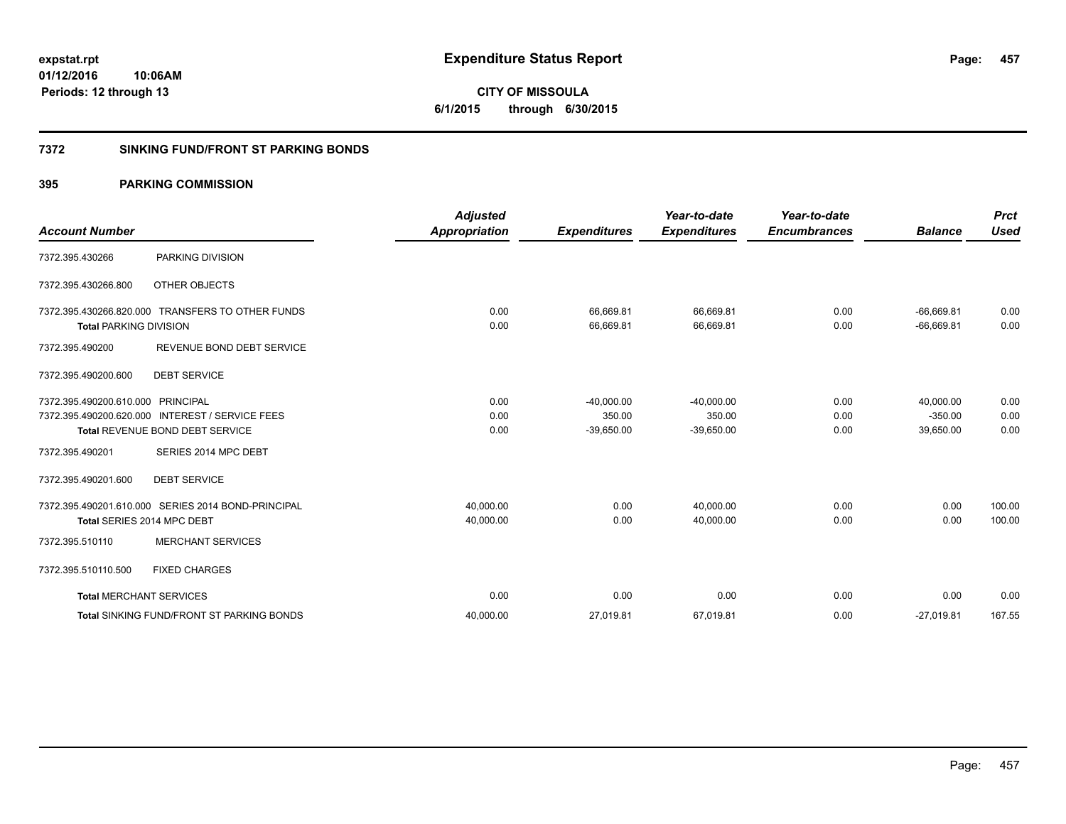**457**

**01/12/2016 10:06AM Periods: 12 through 13**

# **CITY OF MISSOULA 6/1/2015 through 6/30/2015**

### **7372 SINKING FUND/FRONT ST PARKING BONDS**

| <b>Account Number</b>         |                                                    | <b>Adjusted</b><br><b>Appropriation</b> | <b>Expenditures</b>    | Year-to-date<br><b>Expenditures</b> | Year-to-date<br><b>Encumbrances</b> | <b>Balance</b>               | <b>Prct</b><br><b>Used</b> |
|-------------------------------|----------------------------------------------------|-----------------------------------------|------------------------|-------------------------------------|-------------------------------------|------------------------------|----------------------------|
| 7372.395.430266               | PARKING DIVISION                                   |                                         |                        |                                     |                                     |                              |                            |
| 7372.395.430266.800           | <b>OTHER OBJECTS</b>                               |                                         |                        |                                     |                                     |                              |                            |
| <b>Total PARKING DIVISION</b> | 7372.395.430266.820.000 TRANSFERS TO OTHER FUNDS   | 0.00<br>0.00                            | 66,669.81<br>66,669.81 | 66,669.81<br>66,669.81              | 0.00<br>0.00                        | $-66,669.81$<br>$-66,669.81$ | 0.00<br>0.00               |
| 7372.395.490200               | REVENUE BOND DEBT SERVICE                          |                                         |                        |                                     |                                     |                              |                            |
| 7372.395.490200.600           | <b>DEBT SERVICE</b>                                |                                         |                        |                                     |                                     |                              |                            |
| 7372.395.490200.610.000       | <b>PRINCIPAL</b>                                   | 0.00                                    | $-40,000.00$           | $-40,000.00$                        | 0.00                                | 40,000.00                    | 0.00                       |
|                               | 7372.395.490200.620.000 INTEREST / SERVICE FEES    | 0.00                                    | 350.00                 | 350.00                              | 0.00                                | $-350.00$                    | 0.00                       |
|                               | Total REVENUE BOND DEBT SERVICE                    | 0.00                                    | $-39,650.00$           | $-39,650.00$                        | 0.00                                | 39,650.00                    | 0.00                       |
| 7372.395.490201               | SERIES 2014 MPC DEBT                               |                                         |                        |                                     |                                     |                              |                            |
| 7372.395.490201.600           | <b>DEBT SERVICE</b>                                |                                         |                        |                                     |                                     |                              |                            |
|                               | 7372.395.490201.610.000 SERIES 2014 BOND-PRINCIPAL | 40,000.00                               | 0.00                   | 40,000.00                           | 0.00                                | 0.00                         | 100.00                     |
|                               | Total SERIES 2014 MPC DEBT                         | 40,000.00                               | 0.00                   | 40,000.00                           | 0.00                                | 0.00                         | 100.00                     |
| 7372.395.510110               | <b>MERCHANT SERVICES</b>                           |                                         |                        |                                     |                                     |                              |                            |
| 7372.395.510110.500           | <b>FIXED CHARGES</b>                               |                                         |                        |                                     |                                     |                              |                            |
|                               | <b>Total MERCHANT SERVICES</b>                     | 0.00                                    | 0.00                   | 0.00                                | 0.00                                | 0.00                         | 0.00                       |
|                               | Total SINKING FUND/FRONT ST PARKING BONDS          | 40,000.00                               | 27,019.81              | 67,019.81                           | 0.00                                | $-27,019.81$                 | 167.55                     |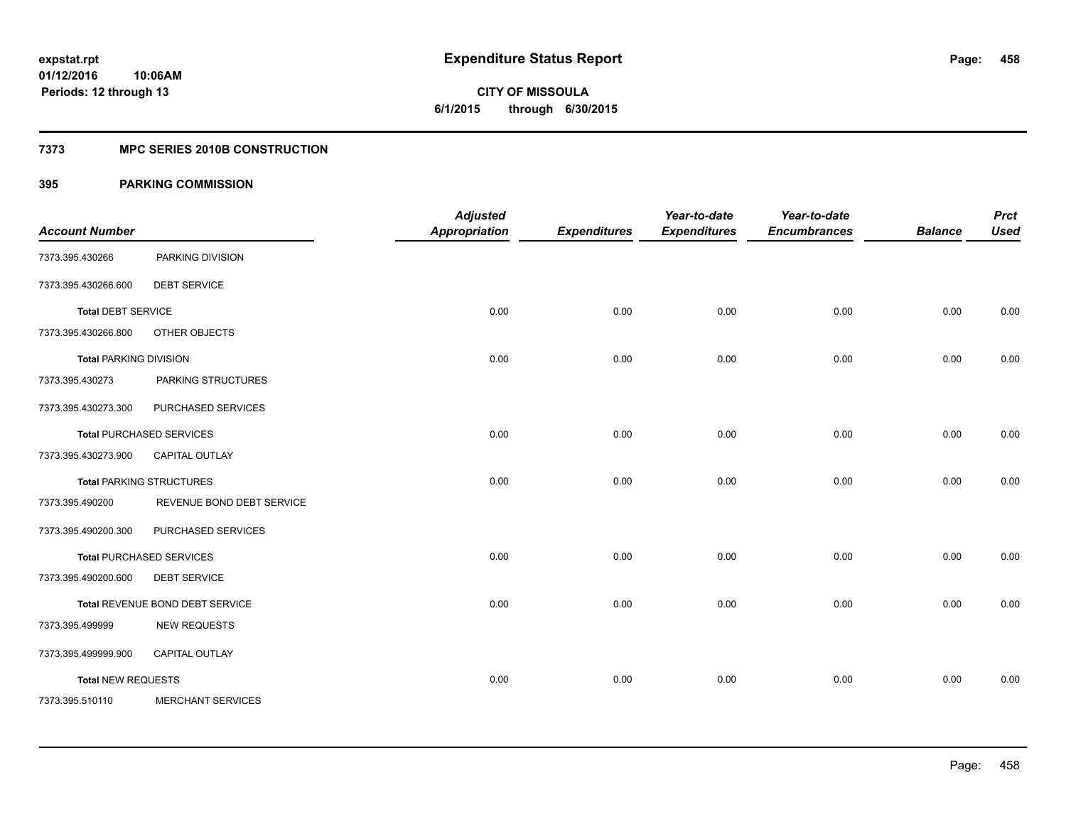**Periods: 12 through 13**

**CITY OF MISSOULA 6/1/2015 through 6/30/2015**

#### **7373 MPC SERIES 2010B CONSTRUCTION**

### **395 PARKING COMMISSION**

**10:06AM**

| <b>Account Number</b>         |                                 | <b>Adjusted</b><br><b>Appropriation</b> | <b>Expenditures</b> | Year-to-date<br><b>Expenditures</b> | Year-to-date<br><b>Encumbrances</b> | <b>Balance</b> | <b>Prct</b><br><b>Used</b> |
|-------------------------------|---------------------------------|-----------------------------------------|---------------------|-------------------------------------|-------------------------------------|----------------|----------------------------|
|                               |                                 |                                         |                     |                                     |                                     |                |                            |
| 7373.395.430266               | PARKING DIVISION                |                                         |                     |                                     |                                     |                |                            |
| 7373.395.430266.600           | <b>DEBT SERVICE</b>             |                                         |                     |                                     |                                     |                |                            |
| <b>Total DEBT SERVICE</b>     |                                 | 0.00                                    | 0.00                | 0.00                                | 0.00                                | 0.00           | 0.00                       |
| 7373.395.430266.800           | OTHER OBJECTS                   |                                         |                     |                                     |                                     |                |                            |
| <b>Total PARKING DIVISION</b> |                                 | 0.00                                    | 0.00                | 0.00                                | 0.00                                | 0.00           | 0.00                       |
| 7373.395.430273               | PARKING STRUCTURES              |                                         |                     |                                     |                                     |                |                            |
| 7373.395.430273.300           | PURCHASED SERVICES              |                                         |                     |                                     |                                     |                |                            |
|                               | <b>Total PURCHASED SERVICES</b> | 0.00                                    | 0.00                | 0.00                                | 0.00                                | 0.00           | 0.00                       |
| 7373.395.430273.900           | CAPITAL OUTLAY                  |                                         |                     |                                     |                                     |                |                            |
|                               | <b>Total PARKING STRUCTURES</b> | 0.00                                    | 0.00                | 0.00                                | 0.00                                | 0.00           | 0.00                       |
| 7373.395.490200               | REVENUE BOND DEBT SERVICE       |                                         |                     |                                     |                                     |                |                            |
| 7373.395.490200.300           | PURCHASED SERVICES              |                                         |                     |                                     |                                     |                |                            |
|                               | <b>Total PURCHASED SERVICES</b> | 0.00                                    | 0.00                | 0.00                                | 0.00                                | 0.00           | 0.00                       |
| 7373.395.490200.600           | <b>DEBT SERVICE</b>             |                                         |                     |                                     |                                     |                |                            |
|                               | Total REVENUE BOND DEBT SERVICE | 0.00                                    | 0.00                | 0.00                                | 0.00                                | 0.00           | 0.00                       |
| 7373.395.499999               | <b>NEW REQUESTS</b>             |                                         |                     |                                     |                                     |                |                            |
| 7373.395.499999.900           | CAPITAL OUTLAY                  |                                         |                     |                                     |                                     |                |                            |
| <b>Total NEW REQUESTS</b>     |                                 | 0.00                                    | 0.00                | 0.00                                | 0.00                                | 0.00           | 0.00                       |
| 7373.395.510110               | <b>MERCHANT SERVICES</b>        |                                         |                     |                                     |                                     |                |                            |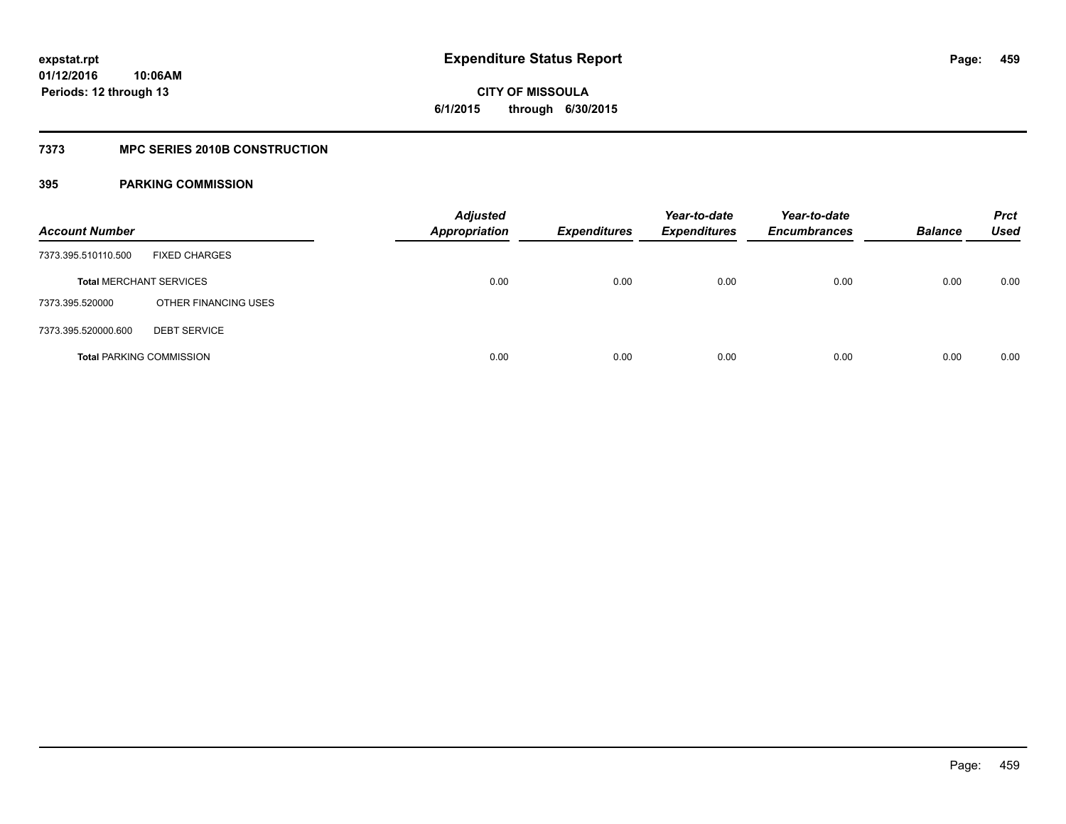**459**

**01/12/2016 10:06AM Periods: 12 through 13**

## **CITY OF MISSOULA 6/1/2015 through 6/30/2015**

### **7373 MPC SERIES 2010B CONSTRUCTION**

| <b>Account Number</b>           |                      | <b>Adjusted</b><br><b>Appropriation</b> | <b>Expenditures</b> | Year-to-date<br>Expenditures | Year-to-date<br><b>Encumbrances</b> | <b>Balance</b> | <b>Prct</b><br>Used |
|---------------------------------|----------------------|-----------------------------------------|---------------------|------------------------------|-------------------------------------|----------------|---------------------|
| 7373.395.510110.500             | <b>FIXED CHARGES</b> |                                         |                     |                              |                                     |                |                     |
| <b>Total MERCHANT SERVICES</b>  |                      | 0.00                                    | 0.00                | 0.00                         | 0.00                                | 0.00           | 0.00                |
| 7373.395.520000                 | OTHER FINANCING USES |                                         |                     |                              |                                     |                |                     |
| 7373.395.520000.600             | <b>DEBT SERVICE</b>  |                                         |                     |                              |                                     |                |                     |
| <b>Total PARKING COMMISSION</b> |                      | 0.00                                    | 0.00                | 0.00                         | 0.00                                | 0.00           | 0.00                |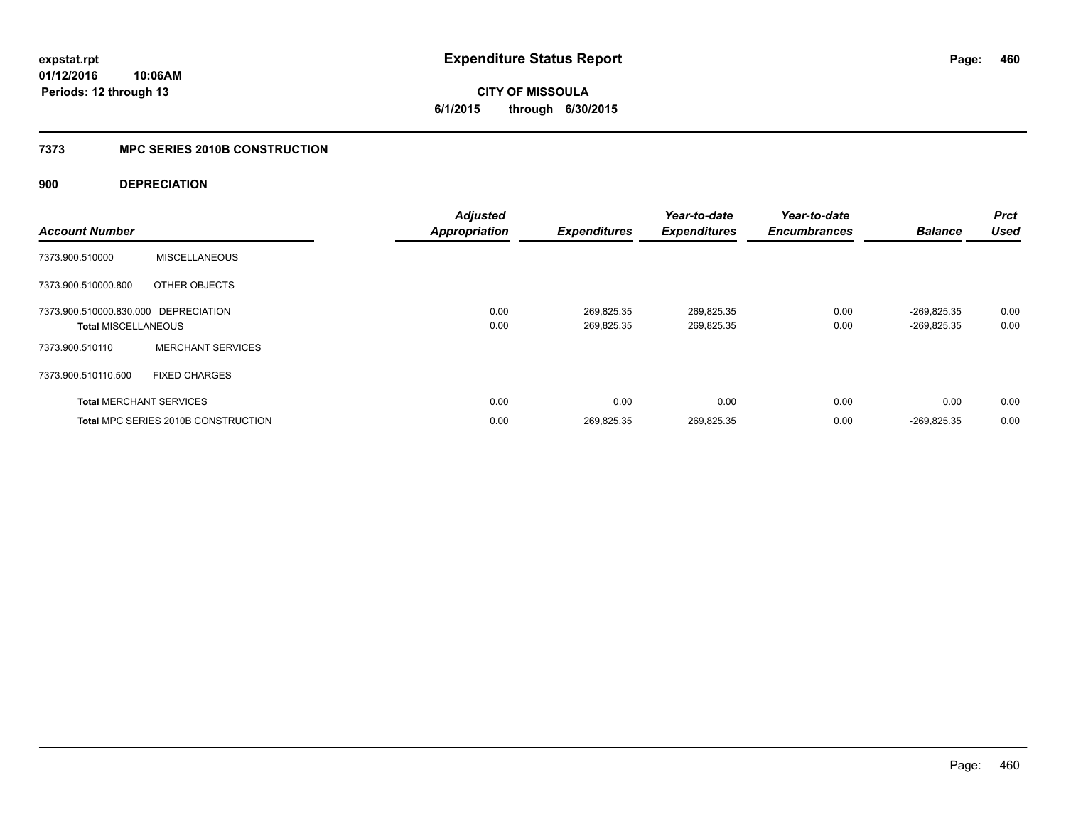**CITY OF MISSOULA 6/1/2015 through 6/30/2015**

### **7373 MPC SERIES 2010B CONSTRUCTION**

### **900 DEPRECIATION**

| <b>Account Number</b>                                              |                                            | <b>Adjusted</b><br><b>Appropriation</b> | <b>Expenditures</b>      | Year-to-date<br><b>Expenditures</b> | Year-to-date<br><b>Encumbrances</b> | <b>Balance</b>               | <b>Prct</b><br><b>Used</b> |
|--------------------------------------------------------------------|--------------------------------------------|-----------------------------------------|--------------------------|-------------------------------------|-------------------------------------|------------------------------|----------------------------|
| 7373.900.510000                                                    | <b>MISCELLANEOUS</b>                       |                                         |                          |                                     |                                     |                              |                            |
| 7373.900.510000.800                                                | OTHER OBJECTS                              |                                         |                          |                                     |                                     |                              |                            |
| 7373.900.510000.830.000 DEPRECIATION<br><b>Total MISCELLANEOUS</b> |                                            | 0.00<br>0.00                            | 269,825.35<br>269,825.35 | 269,825.35<br>269,825.35            | 0.00<br>0.00                        | -269.825.35<br>$-269,825.35$ | 0.00<br>0.00               |
| 7373.900.510110                                                    | <b>MERCHANT SERVICES</b>                   |                                         |                          |                                     |                                     |                              |                            |
| 7373.900.510110.500                                                | <b>FIXED CHARGES</b>                       |                                         |                          |                                     |                                     |                              |                            |
|                                                                    | <b>Total MERCHANT SERVICES</b>             | 0.00                                    | 0.00                     | 0.00                                | 0.00                                | 0.00                         | 0.00                       |
|                                                                    | <b>Total MPC SERIES 2010B CONSTRUCTION</b> | 0.00                                    | 269.825.35               | 269.825.35                          | 0.00                                | -269.825.35                  | 0.00                       |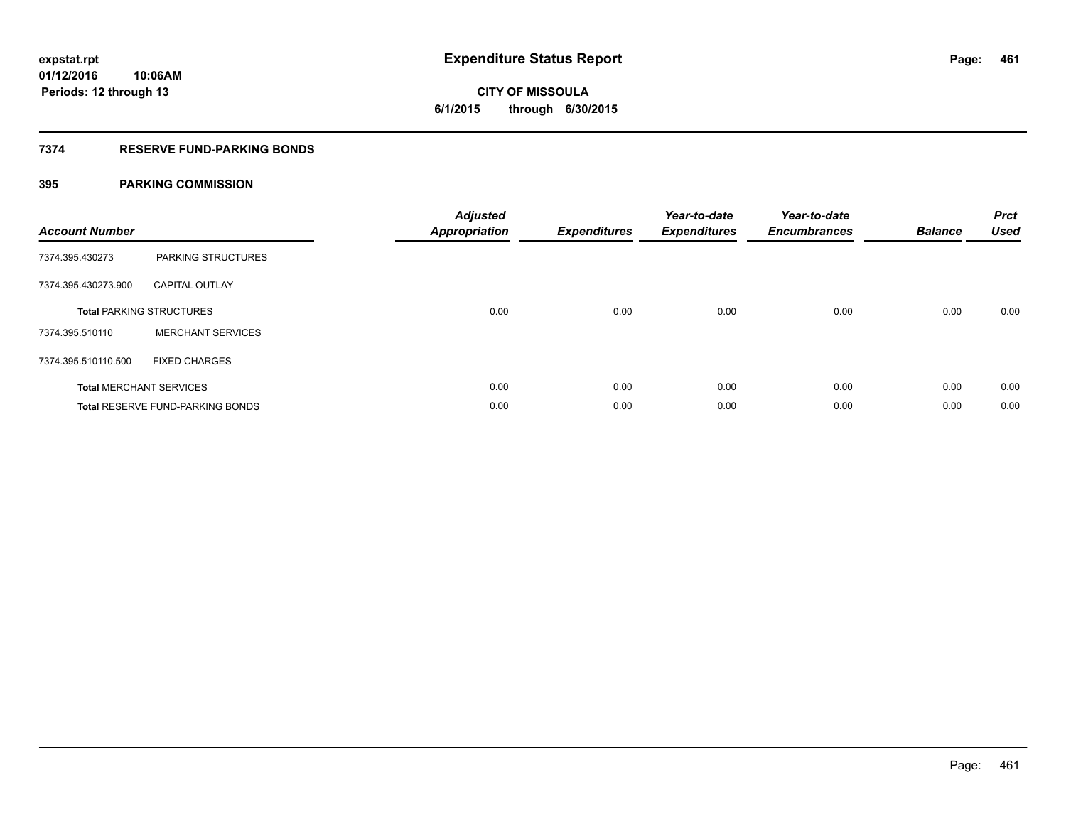# **CITY OF MISSOULA 6/1/2015 through 6/30/2015**

### **7374 RESERVE FUND-PARKING BONDS**

| <b>Account Number</b> |                                         | <b>Adjusted</b><br><b>Appropriation</b> | <b>Expenditures</b> | Year-to-date<br><b>Expenditures</b> | Year-to-date<br><b>Encumbrances</b> | <b>Balance</b> | <b>Prct</b><br><b>Used</b> |
|-----------------------|-----------------------------------------|-----------------------------------------|---------------------|-------------------------------------|-------------------------------------|----------------|----------------------------|
| 7374.395.430273       | PARKING STRUCTURES                      |                                         |                     |                                     |                                     |                |                            |
| 7374.395.430273.900   | <b>CAPITAL OUTLAY</b>                   |                                         |                     |                                     |                                     |                |                            |
|                       | <b>Total PARKING STRUCTURES</b>         | 0.00                                    | 0.00                | 0.00                                | 0.00                                | 0.00           | 0.00                       |
| 7374.395.510110       | <b>MERCHANT SERVICES</b>                |                                         |                     |                                     |                                     |                |                            |
| 7374.395.510110.500   | <b>FIXED CHARGES</b>                    |                                         |                     |                                     |                                     |                |                            |
|                       | <b>Total MERCHANT SERVICES</b>          | 0.00                                    | 0.00                | 0.00                                | 0.00                                | 0.00           | 0.00                       |
|                       | <b>Total RESERVE FUND-PARKING BONDS</b> | 0.00                                    | 0.00                | 0.00                                | 0.00                                | 0.00           | 0.00                       |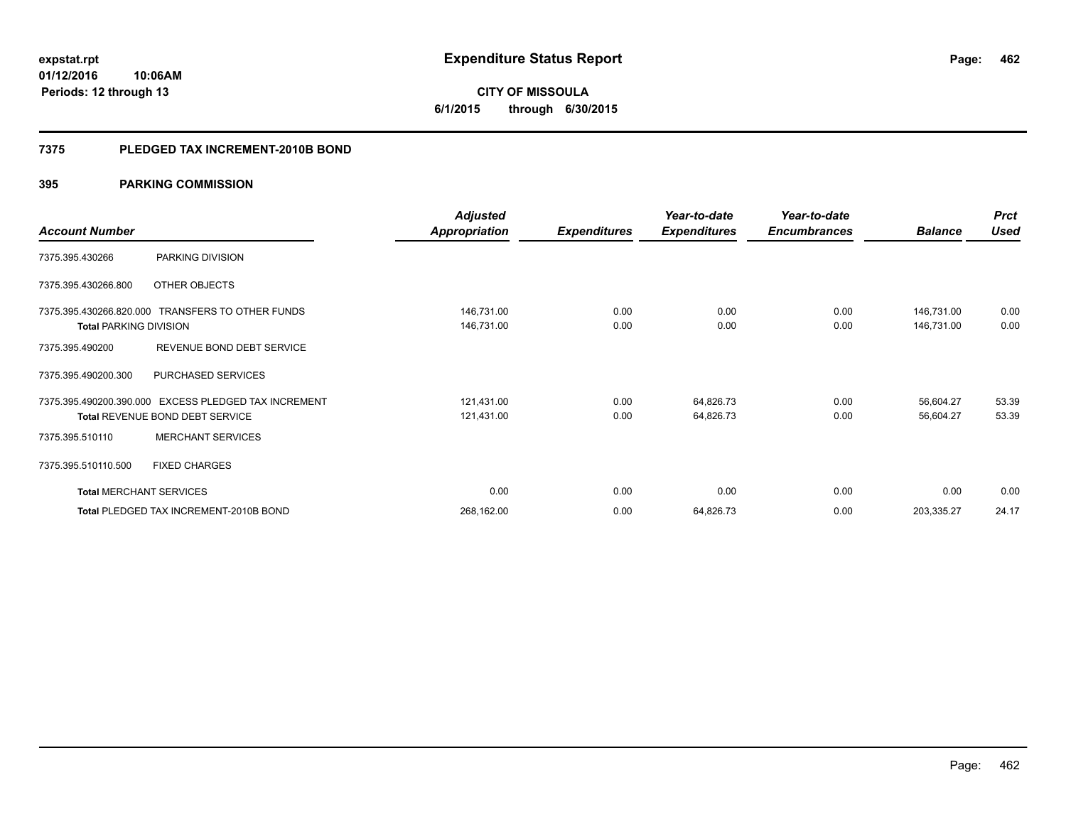**CITY OF MISSOULA 6/1/2015 through 6/30/2015**

#### **7375 PLEDGED TAX INCREMENT-2010B BOND**

|                                |                                                      | <b>Adjusted</b>      |                     | Year-to-date        | Year-to-date        |                | <b>Prct</b> |
|--------------------------------|------------------------------------------------------|----------------------|---------------------|---------------------|---------------------|----------------|-------------|
| <b>Account Number</b>          |                                                      | <b>Appropriation</b> | <b>Expenditures</b> | <b>Expenditures</b> | <b>Encumbrances</b> | <b>Balance</b> | <b>Used</b> |
| 7375.395.430266                | PARKING DIVISION                                     |                      |                     |                     |                     |                |             |
| 7375.395.430266.800            | OTHER OBJECTS                                        |                      |                     |                     |                     |                |             |
|                                | 7375.395.430266.820.000 TRANSFERS TO OTHER FUNDS     | 146,731.00           | 0.00                | 0.00                | 0.00                | 146,731.00     | 0.00        |
| <b>Total PARKING DIVISION</b>  |                                                      | 146,731.00           | 0.00                | 0.00                | 0.00                | 146,731.00     | 0.00        |
| 7375.395.490200                | REVENUE BOND DEBT SERVICE                            |                      |                     |                     |                     |                |             |
| 7375.395.490200.300            | <b>PURCHASED SERVICES</b>                            |                      |                     |                     |                     |                |             |
|                                | 7375.395.490200.390.000 EXCESS PLEDGED TAX INCREMENT | 121,431.00           | 0.00                | 64,826.73           | 0.00                | 56,604.27      | 53.39       |
|                                | <b>Total REVENUE BOND DEBT SERVICE</b>               | 121,431.00           | 0.00                | 64,826.73           | 0.00                | 56,604.27      | 53.39       |
| 7375.395.510110                | <b>MERCHANT SERVICES</b>                             |                      |                     |                     |                     |                |             |
| 7375.395.510110.500            | <b>FIXED CHARGES</b>                                 |                      |                     |                     |                     |                |             |
| <b>Total MERCHANT SERVICES</b> |                                                      | 0.00                 | 0.00                | 0.00                | 0.00                | 0.00           | 0.00        |
|                                | Total PLEDGED TAX INCREMENT-2010B BOND               | 268,162.00           | 0.00                | 64,826.73           | 0.00                | 203,335.27     | 24.17       |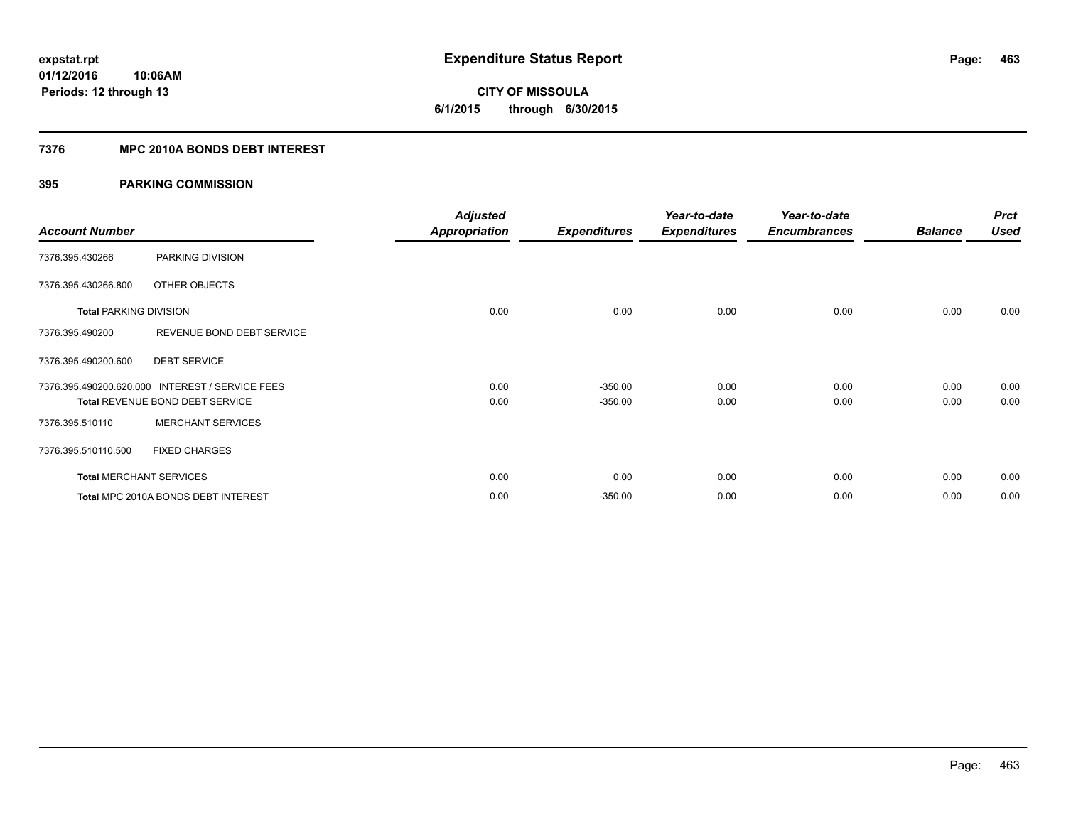# **CITY OF MISSOULA 6/1/2015 through 6/30/2015**

### **7376 MPC 2010A BONDS DEBT INTEREST**

|                                |                                                 | <b>Adjusted</b>      |                     | Year-to-date        | Year-to-date        |                | <b>Prct</b> |
|--------------------------------|-------------------------------------------------|----------------------|---------------------|---------------------|---------------------|----------------|-------------|
| <b>Account Number</b>          |                                                 | <b>Appropriation</b> | <b>Expenditures</b> | <b>Expenditures</b> | <b>Encumbrances</b> | <b>Balance</b> | <b>Used</b> |
| 7376.395.430266                | PARKING DIVISION                                |                      |                     |                     |                     |                |             |
| 7376.395.430266.800            | OTHER OBJECTS                                   |                      |                     |                     |                     |                |             |
| <b>Total PARKING DIVISION</b>  |                                                 | 0.00                 | 0.00                | 0.00                | 0.00                | 0.00           | 0.00        |
| 7376.395.490200                | REVENUE BOND DEBT SERVICE                       |                      |                     |                     |                     |                |             |
| 7376.395.490200.600            | <b>DEBT SERVICE</b>                             |                      |                     |                     |                     |                |             |
|                                | 7376.395.490200.620.000 INTEREST / SERVICE FEES | 0.00                 | $-350.00$           | 0.00                | 0.00                | 0.00           | 0.00        |
|                                | <b>Total REVENUE BOND DEBT SERVICE</b>          | 0.00                 | $-350.00$           | 0.00                | 0.00                | 0.00           | 0.00        |
| 7376.395.510110                | <b>MERCHANT SERVICES</b>                        |                      |                     |                     |                     |                |             |
| 7376.395.510110.500            | <b>FIXED CHARGES</b>                            |                      |                     |                     |                     |                |             |
| <b>Total MERCHANT SERVICES</b> |                                                 | 0.00                 | 0.00                | 0.00                | 0.00                | 0.00           | 0.00        |
|                                | Total MPC 2010A BONDS DEBT INTEREST             | 0.00                 | $-350.00$           | 0.00                | 0.00                | 0.00           | 0.00        |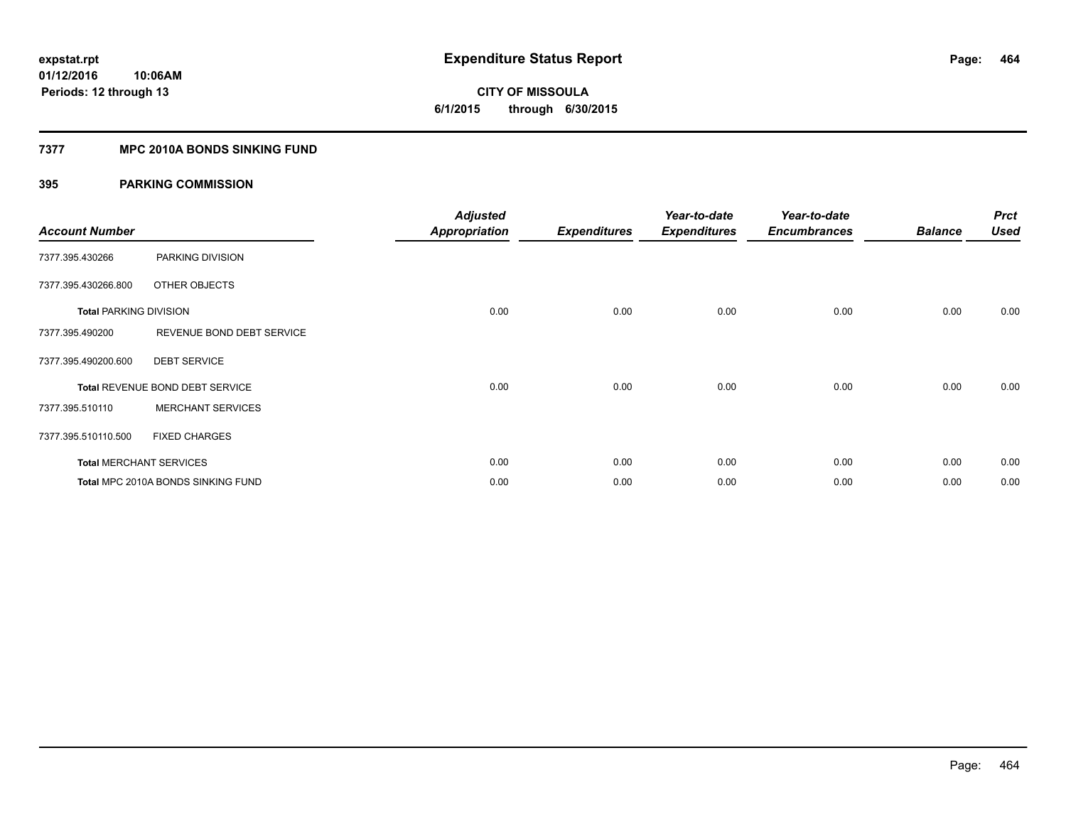**CITY OF MISSOULA 6/1/2015 through 6/30/2015**

#### **7377 MPC 2010A BONDS SINKING FUND**

| <b>Account Number</b>         |                                    | <b>Adjusted</b><br><b>Appropriation</b> | <b>Expenditures</b> | Year-to-date<br><b>Expenditures</b> | Year-to-date<br><b>Encumbrances</b> | <b>Balance</b> | <b>Prct</b><br><b>Used</b> |
|-------------------------------|------------------------------------|-----------------------------------------|---------------------|-------------------------------------|-------------------------------------|----------------|----------------------------|
| 7377.395.430266               | PARKING DIVISION                   |                                         |                     |                                     |                                     |                |                            |
| 7377.395.430266.800           | OTHER OBJECTS                      |                                         |                     |                                     |                                     |                |                            |
| <b>Total PARKING DIVISION</b> |                                    | 0.00                                    | 0.00                | 0.00                                | 0.00                                | 0.00           | 0.00                       |
| 7377.395.490200               | REVENUE BOND DEBT SERVICE          |                                         |                     |                                     |                                     |                |                            |
| 7377.395.490200.600           | <b>DEBT SERVICE</b>                |                                         |                     |                                     |                                     |                |                            |
|                               | Total REVENUE BOND DEBT SERVICE    | 0.00                                    | 0.00                | 0.00                                | 0.00                                | 0.00           | 0.00                       |
| 7377.395.510110               | <b>MERCHANT SERVICES</b>           |                                         |                     |                                     |                                     |                |                            |
| 7377.395.510110.500           | <b>FIXED CHARGES</b>               |                                         |                     |                                     |                                     |                |                            |
|                               | <b>Total MERCHANT SERVICES</b>     | 0.00                                    | 0.00                | 0.00                                | 0.00                                | 0.00           | 0.00                       |
|                               | Total MPC 2010A BONDS SINKING FUND | 0.00                                    | 0.00                | 0.00                                | 0.00                                | 0.00           | 0.00                       |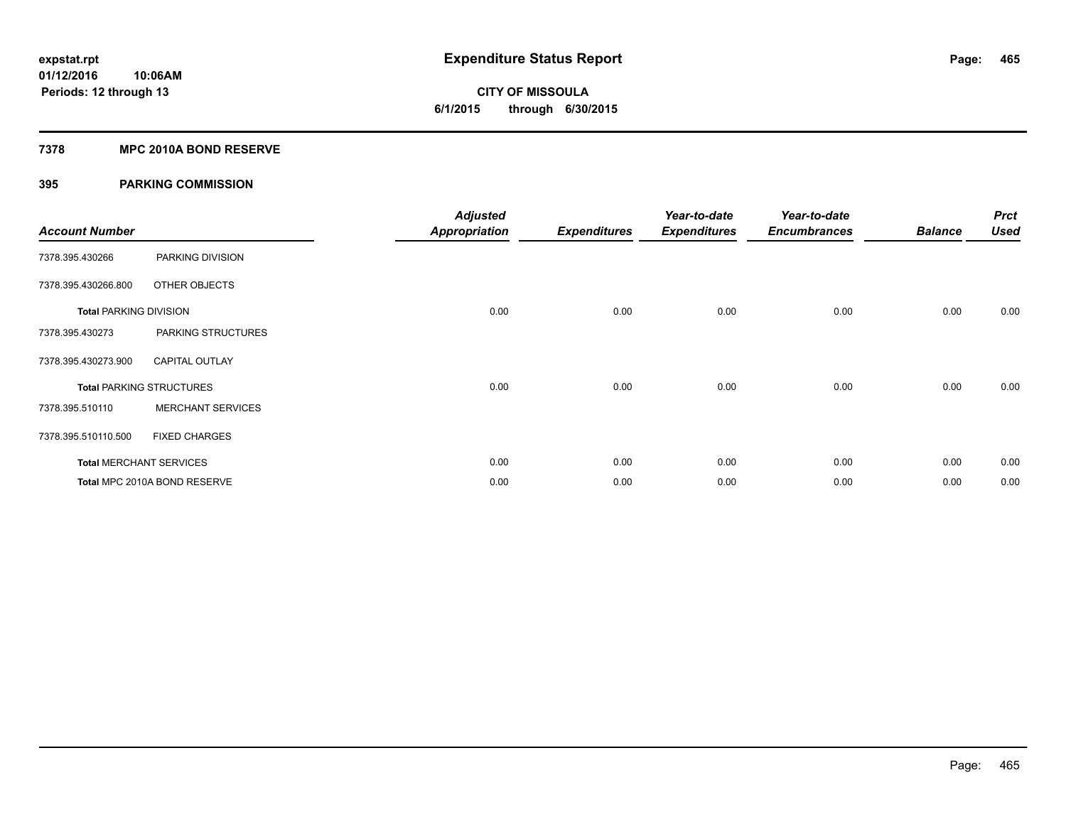**Periods: 12 through 13**

**CITY OF MISSOULA 6/1/2015 through 6/30/2015**

#### **7378 MPC 2010A BOND RESERVE**

**10:06AM**

| <b>Account Number</b>         |                                 | <b>Adjusted</b><br><b>Appropriation</b> | <b>Expenditures</b> | Year-to-date<br><b>Expenditures</b> | Year-to-date<br><b>Encumbrances</b> | <b>Balance</b> | <b>Prct</b><br><b>Used</b> |
|-------------------------------|---------------------------------|-----------------------------------------|---------------------|-------------------------------------|-------------------------------------|----------------|----------------------------|
| 7378.395.430266               | PARKING DIVISION                |                                         |                     |                                     |                                     |                |                            |
| 7378.395.430266.800           | <b>OTHER OBJECTS</b>            |                                         |                     |                                     |                                     |                |                            |
| <b>Total PARKING DIVISION</b> |                                 | 0.00                                    | 0.00                | 0.00                                | 0.00                                | 0.00           | 0.00                       |
| 7378.395.430273               | PARKING STRUCTURES              |                                         |                     |                                     |                                     |                |                            |
| 7378.395.430273.900           | <b>CAPITAL OUTLAY</b>           |                                         |                     |                                     |                                     |                |                            |
|                               | <b>Total PARKING STRUCTURES</b> | 0.00                                    | 0.00                | 0.00                                | 0.00                                | 0.00           | 0.00                       |
| 7378.395.510110               | <b>MERCHANT SERVICES</b>        |                                         |                     |                                     |                                     |                |                            |
| 7378.395.510110.500           | <b>FIXED CHARGES</b>            |                                         |                     |                                     |                                     |                |                            |
|                               | <b>Total MERCHANT SERVICES</b>  | 0.00                                    | 0.00                | 0.00                                | 0.00                                | 0.00           | 0.00                       |
|                               | Total MPC 2010A BOND RESERVE    | 0.00                                    | 0.00                | 0.00                                | 0.00                                | 0.00           | 0.00                       |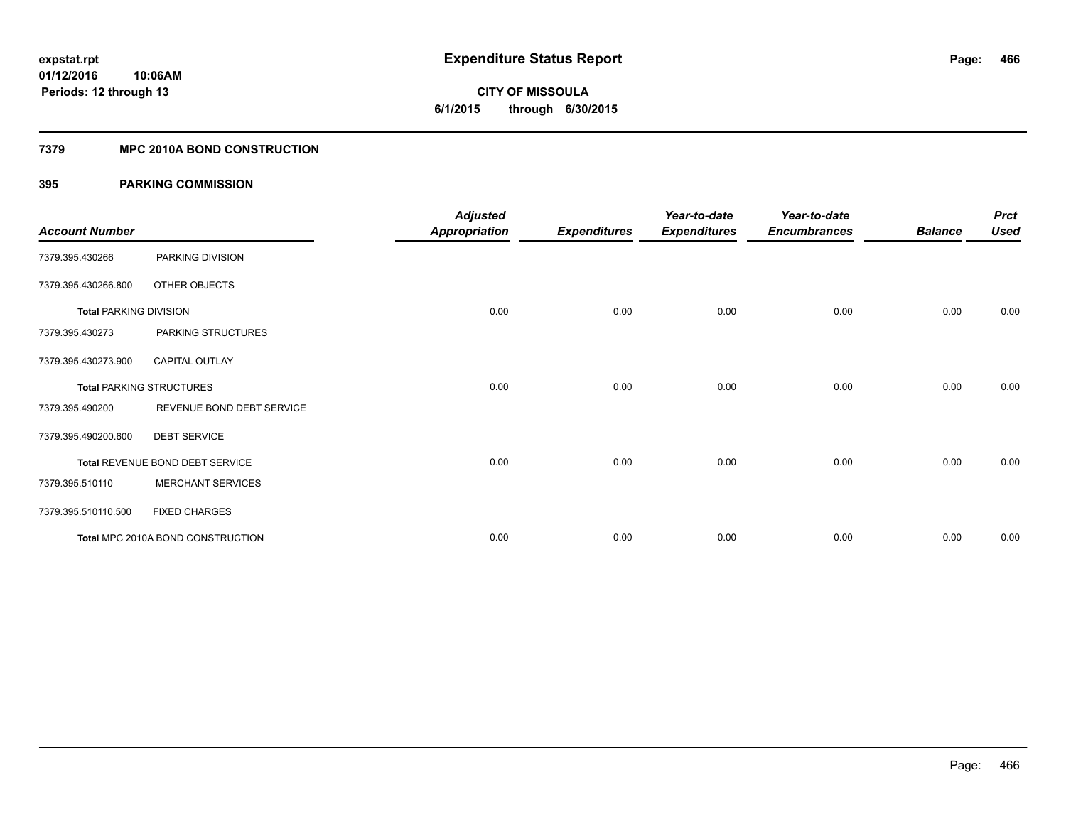# **CITY OF MISSOULA 6/1/2015 through 6/30/2015**

## **7379 MPC 2010A BOND CONSTRUCTION**

| <b>Account Number</b>         |                                   | <b>Adjusted</b><br><b>Appropriation</b> | <b>Expenditures</b> | Year-to-date<br><b>Expenditures</b> | Year-to-date<br><b>Encumbrances</b> | <b>Balance</b> | <b>Prct</b><br><b>Used</b> |
|-------------------------------|-----------------------------------|-----------------------------------------|---------------------|-------------------------------------|-------------------------------------|----------------|----------------------------|
| 7379.395.430266               | PARKING DIVISION                  |                                         |                     |                                     |                                     |                |                            |
| 7379.395.430266.800           | OTHER OBJECTS                     |                                         |                     |                                     |                                     |                |                            |
| <b>Total PARKING DIVISION</b> |                                   | 0.00                                    | 0.00                | 0.00                                | 0.00                                | 0.00           | 0.00                       |
| 7379.395.430273               | PARKING STRUCTURES                |                                         |                     |                                     |                                     |                |                            |
| 7379.395.430273.900           | <b>CAPITAL OUTLAY</b>             |                                         |                     |                                     |                                     |                |                            |
|                               | <b>Total PARKING STRUCTURES</b>   | 0.00                                    | 0.00                | 0.00                                | 0.00                                | 0.00           | 0.00                       |
| 7379.395.490200               | REVENUE BOND DEBT SERVICE         |                                         |                     |                                     |                                     |                |                            |
| 7379.395.490200.600           | <b>DEBT SERVICE</b>               |                                         |                     |                                     |                                     |                |                            |
|                               | Total REVENUE BOND DEBT SERVICE   | 0.00                                    | 0.00                | 0.00                                | 0.00                                | 0.00           | 0.00                       |
| 7379.395.510110               | <b>MERCHANT SERVICES</b>          |                                         |                     |                                     |                                     |                |                            |
| 7379.395.510110.500           | <b>FIXED CHARGES</b>              |                                         |                     |                                     |                                     |                |                            |
|                               | Total MPC 2010A BOND CONSTRUCTION | 0.00                                    | 0.00                | 0.00                                | 0.00                                | 0.00           | 0.00                       |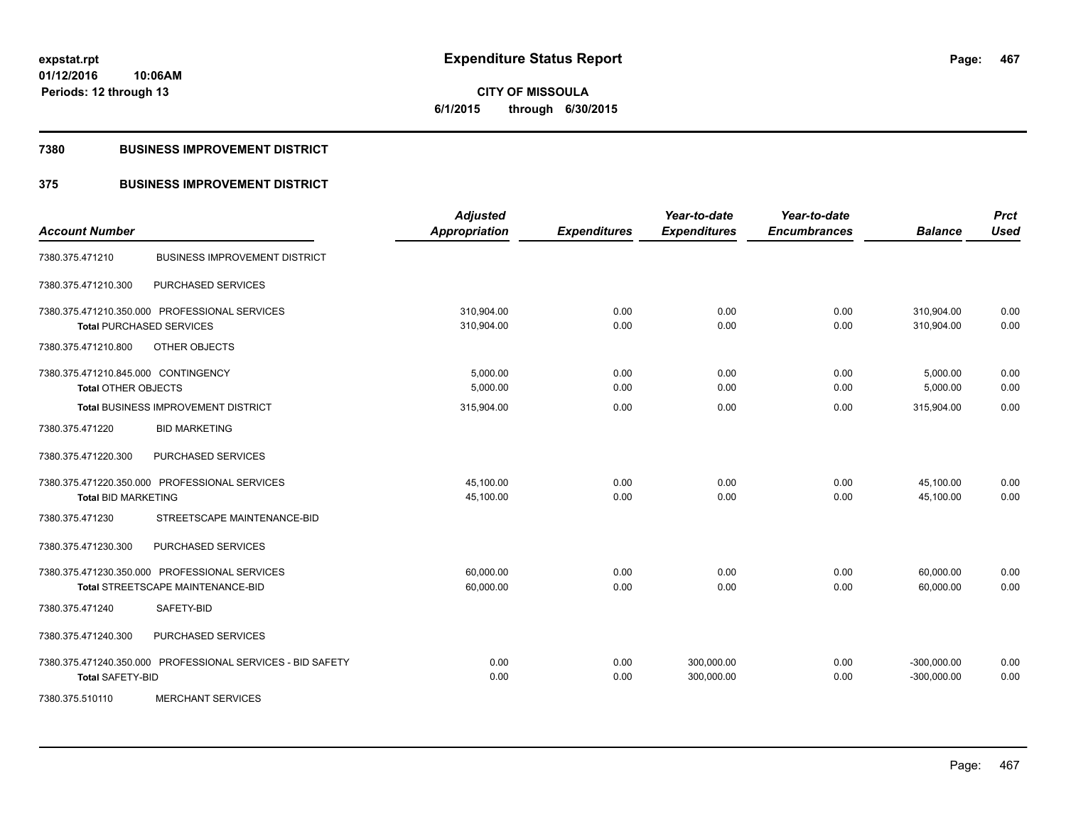**CITY OF MISSOULA 6/1/2015 through 6/30/2015**

#### **7380 BUSINESS IMPROVEMENT DISTRICT**

## **375 BUSINESS IMPROVEMENT DISTRICT**

| <b>Account Number</b>                                                                     | <b>Adjusted</b><br>Appropriation | <b>Expenditures</b> | Year-to-date<br><b>Expenditures</b> | Year-to-date<br><b>Encumbrances</b> | <b>Balance</b>                 | <b>Prct</b><br><b>Used</b> |
|-------------------------------------------------------------------------------------------|----------------------------------|---------------------|-------------------------------------|-------------------------------------|--------------------------------|----------------------------|
| <b>BUSINESS IMPROVEMENT DISTRICT</b><br>7380.375.471210                                   |                                  |                     |                                     |                                     |                                |                            |
| PURCHASED SERVICES<br>7380.375.471210.300                                                 |                                  |                     |                                     |                                     |                                |                            |
| 7380.375.471210.350.000 PROFESSIONAL SERVICES<br><b>Total PURCHASED SERVICES</b>          | 310,904.00<br>310,904.00         | 0.00<br>0.00        | 0.00<br>0.00                        | 0.00<br>0.00                        | 310,904.00<br>310,904.00       | 0.00<br>0.00               |
| 7380.375.471210.800<br>OTHER OBJECTS                                                      |                                  |                     |                                     |                                     |                                |                            |
| 7380.375.471210.845.000 CONTINGENCY<br>Total OTHER OBJECTS                                | 5,000.00<br>5,000.00             | 0.00<br>0.00        | 0.00<br>0.00                        | 0.00<br>0.00                        | 5,000.00<br>5,000.00           | 0.00<br>0.00               |
| Total BUSINESS IMPROVEMENT DISTRICT<br>7380.375.471220<br><b>BID MARKETING</b>            | 315,904.00                       | 0.00                | 0.00                                | 0.00                                | 315,904.00                     | 0.00                       |
| 7380.375.471220.300<br>PURCHASED SERVICES                                                 |                                  |                     |                                     |                                     |                                |                            |
| 7380.375.471220.350.000 PROFESSIONAL SERVICES<br><b>Total BID MARKETING</b>               | 45,100.00<br>45,100.00           | 0.00<br>0.00        | 0.00<br>0.00                        | 0.00<br>0.00                        | 45,100.00<br>45,100.00         | 0.00<br>0.00               |
| STREETSCAPE MAINTENANCE-BID<br>7380.375.471230                                            |                                  |                     |                                     |                                     |                                |                            |
| PURCHASED SERVICES<br>7380.375.471230.300                                                 |                                  |                     |                                     |                                     |                                |                            |
| 7380.375.471230.350.000 PROFESSIONAL SERVICES<br><b>Total STREETSCAPE MAINTENANCE-BID</b> | 60,000.00<br>60,000.00           | 0.00<br>0.00        | 0.00<br>0.00                        | 0.00<br>0.00                        | 60,000.00<br>60,000.00         | 0.00<br>0.00               |
| SAFETY-BID<br>7380.375.471240                                                             |                                  |                     |                                     |                                     |                                |                            |
| <b>PURCHASED SERVICES</b><br>7380.375.471240.300                                          |                                  |                     |                                     |                                     |                                |                            |
| 7380.375.471240.350.000 PROFESSIONAL SERVICES - BID SAFETY<br><b>Total SAFETY-BID</b>     | 0.00<br>0.00                     | 0.00<br>0.00        | 300,000.00<br>300,000.00            | 0.00<br>0.00                        | $-300,000.00$<br>$-300,000.00$ | 0.00<br>0.00               |
| 7380.375.510110<br><b>MERCHANT SERVICES</b>                                               |                                  |                     |                                     |                                     |                                |                            |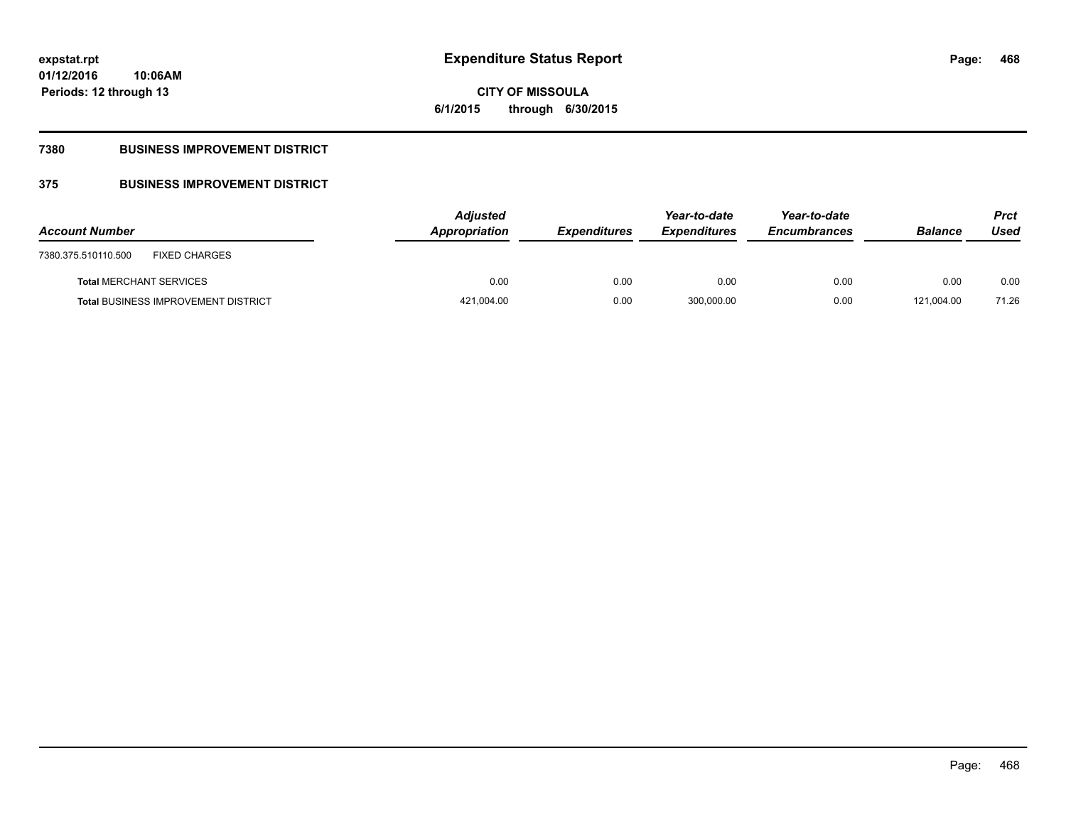## **CITY OF MISSOULA 6/1/2015 through 6/30/2015**

## **7380 BUSINESS IMPROVEMENT DISTRICT**

## **375 BUSINESS IMPROVEMENT DISTRICT**

| <b>Account Number</b>                       | <b>Adjusted</b><br>Appropriation | <b>Expenditures</b> | Year-to-date<br><b>Expenditures</b> | Year-to-date<br><b>Encumbrances</b> | <b>Balance</b> | Prct<br>Used |
|---------------------------------------------|----------------------------------|---------------------|-------------------------------------|-------------------------------------|----------------|--------------|
| <b>FIXED CHARGES</b><br>7380.375.510110.500 |                                  |                     |                                     |                                     |                |              |
| <b>Total MERCHANT SERVICES</b>              | 0.00                             | 0.00                | 0.00                                | 0.00                                | 0.00           | 0.00         |
| <b>Total BUSINESS IMPROVEMENT DISTRICT</b>  | 421,004.00                       | 0.00                | 300,000.00                          | 0.00                                | 121.004.00     | 71.26        |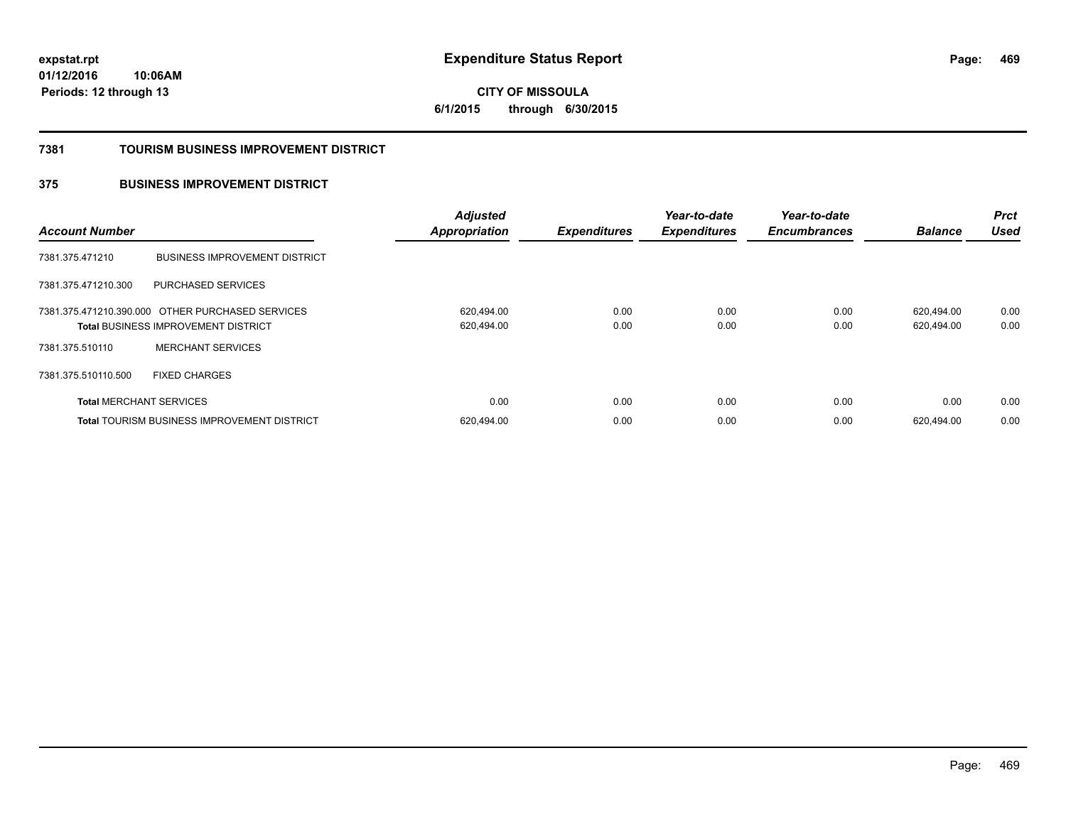**469**

**01/12/2016 10:06AM Periods: 12 through 13**

**CITY OF MISSOULA 6/1/2015 through 6/30/2015**

#### **7381 TOURISM BUSINESS IMPROVEMENT DISTRICT**

### **375 BUSINESS IMPROVEMENT DISTRICT**

| <b>Account Number</b>          |                                                                                                | <b>Adjusted</b><br><b>Appropriation</b> | <b>Expenditures</b> | Year-to-date<br><b>Expenditures</b> | Year-to-date<br><b>Encumbrances</b> | <b>Balance</b>           | <b>Prct</b><br><b>Used</b> |
|--------------------------------|------------------------------------------------------------------------------------------------|-----------------------------------------|---------------------|-------------------------------------|-------------------------------------|--------------------------|----------------------------|
| 7381.375.471210                | <b>BUSINESS IMPROVEMENT DISTRICT</b>                                                           |                                         |                     |                                     |                                     |                          |                            |
| 7381.375.471210.300            | PURCHASED SERVICES                                                                             |                                         |                     |                                     |                                     |                          |                            |
|                                | 7381.375.471210.390.000 OTHER PURCHASED SERVICES<br><b>Total BUSINESS IMPROVEMENT DISTRICT</b> | 620.494.00<br>620,494.00                | 0.00<br>0.00        | 0.00<br>0.00                        | 0.00<br>0.00                        | 620.494.00<br>620,494.00 | 0.00<br>0.00               |
| 7381.375.510110                | <b>MERCHANT SERVICES</b>                                                                       |                                         |                     |                                     |                                     |                          |                            |
| 7381.375.510110.500            | <b>FIXED CHARGES</b>                                                                           |                                         |                     |                                     |                                     |                          |                            |
| <b>Total MERCHANT SERVICES</b> |                                                                                                | 0.00                                    | 0.00                | 0.00                                | 0.00                                | 0.00                     | 0.00                       |
|                                | <b>Total TOURISM BUSINESS IMPROVEMENT DISTRICT</b>                                             | 620,494.00                              | 0.00                | 0.00                                | 0.00                                | 620.494.00               | 0.00                       |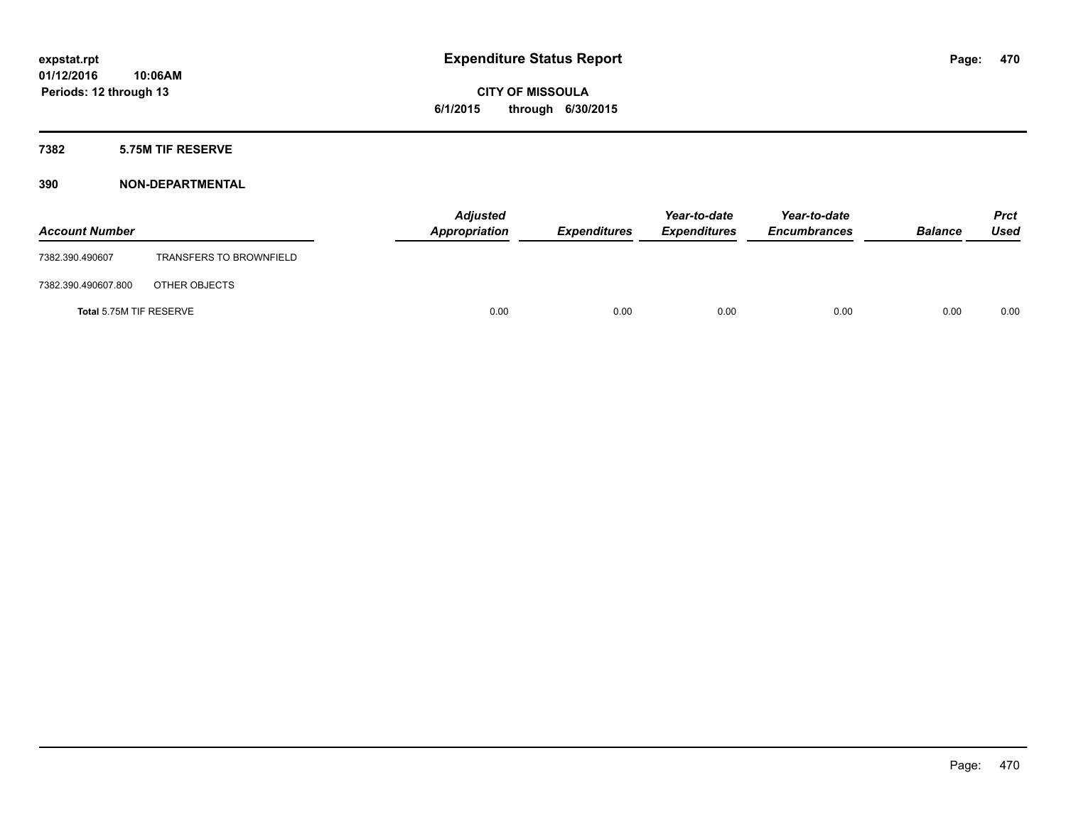### **7382 5.75M TIF RESERVE**

| <b>Account Number</b>   |                                | <b>Adjusted</b><br>Appropriation | <b>Expenditures</b> | Year-to-date<br><b>Expenditures</b> | Year-to-date<br><b>Encumbrances</b> | <b>Balance</b> | <b>Prct</b><br>Used |
|-------------------------|--------------------------------|----------------------------------|---------------------|-------------------------------------|-------------------------------------|----------------|---------------------|
| 7382.390.490607         | <b>TRANSFERS TO BROWNFIELD</b> |                                  |                     |                                     |                                     |                |                     |
| 7382.390.490607.800     | OTHER OBJECTS                  |                                  |                     |                                     |                                     |                |                     |
| Total 5.75M TIF RESERVE |                                | 0.00                             | 0.00                | 0.00                                | 0.00                                | 0.00           | 0.00                |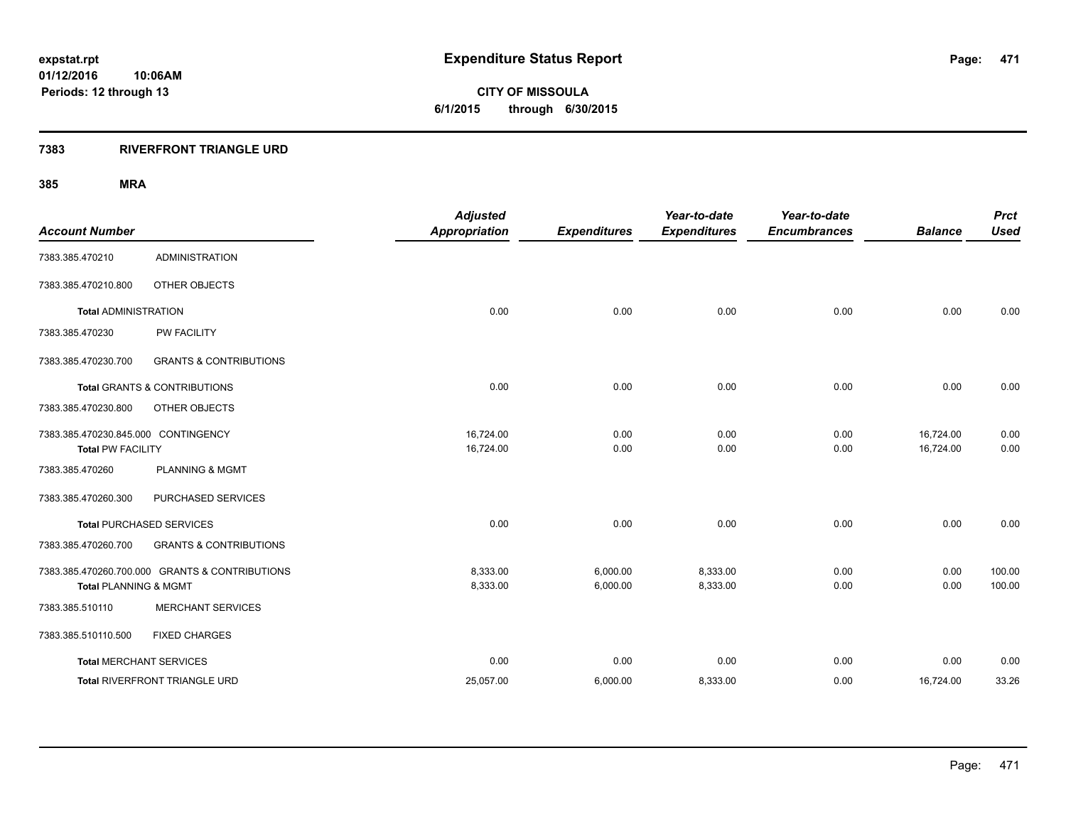### **7383 RIVERFRONT TRIANGLE URD**

| <b>Account Number</b>                                           |                                                | <b>Adjusted</b><br><b>Appropriation</b> | <b>Expenditures</b>  | Year-to-date<br><b>Expenditures</b> | Year-to-date<br><b>Encumbrances</b> | <b>Balance</b>         | <b>Prct</b><br><b>Used</b> |
|-----------------------------------------------------------------|------------------------------------------------|-----------------------------------------|----------------------|-------------------------------------|-------------------------------------|------------------------|----------------------------|
| 7383.385.470210                                                 | <b>ADMINISTRATION</b>                          |                                         |                      |                                     |                                     |                        |                            |
| 7383.385.470210.800                                             | OTHER OBJECTS                                  |                                         |                      |                                     |                                     |                        |                            |
| <b>Total ADMINISTRATION</b>                                     |                                                | 0.00                                    | 0.00                 | 0.00                                | 0.00                                | 0.00                   | 0.00                       |
| 7383.385.470230                                                 | PW FACILITY                                    |                                         |                      |                                     |                                     |                        |                            |
| 7383.385.470230.700                                             | <b>GRANTS &amp; CONTRIBUTIONS</b>              |                                         |                      |                                     |                                     |                        |                            |
|                                                                 | <b>Total GRANTS &amp; CONTRIBUTIONS</b>        | 0.00                                    | 0.00                 | 0.00                                | 0.00                                | 0.00                   | 0.00                       |
| 7383.385.470230.800                                             | OTHER OBJECTS                                  |                                         |                      |                                     |                                     |                        |                            |
| 7383.385.470230.845.000 CONTINGENCY<br><b>Total PW FACILITY</b> |                                                | 16.724.00<br>16,724.00                  | 0.00<br>0.00         | 0.00<br>0.00                        | 0.00<br>0.00                        | 16,724.00<br>16,724.00 | 0.00<br>0.00               |
| 7383.385.470260                                                 | <b>PLANNING &amp; MGMT</b>                     |                                         |                      |                                     |                                     |                        |                            |
| 7383.385.470260.300                                             | PURCHASED SERVICES                             |                                         |                      |                                     |                                     |                        |                            |
|                                                                 | <b>Total PURCHASED SERVICES</b>                | 0.00                                    | 0.00                 | 0.00                                | 0.00                                | 0.00                   | 0.00                       |
| 7383.385.470260.700                                             | <b>GRANTS &amp; CONTRIBUTIONS</b>              |                                         |                      |                                     |                                     |                        |                            |
| <b>Total PLANNING &amp; MGMT</b>                                | 7383.385.470260.700.000 GRANTS & CONTRIBUTIONS | 8,333.00<br>8,333.00                    | 6,000.00<br>6,000.00 | 8,333.00<br>8,333.00                | 0.00<br>0.00                        | 0.00<br>0.00           | 100.00<br>100.00           |
| 7383.385.510110                                                 | <b>MERCHANT SERVICES</b>                       |                                         |                      |                                     |                                     |                        |                            |
| 7383.385.510110.500                                             | <b>FIXED CHARGES</b>                           |                                         |                      |                                     |                                     |                        |                            |
| <b>Total MERCHANT SERVICES</b>                                  |                                                | 0.00                                    | 0.00                 | 0.00                                | 0.00                                | 0.00                   | 0.00                       |
|                                                                 | <b>Total RIVERFRONT TRIANGLE URD</b>           | 25,057.00                               | 6,000.00             | 8,333.00                            | 0.00                                | 16,724.00              | 33.26                      |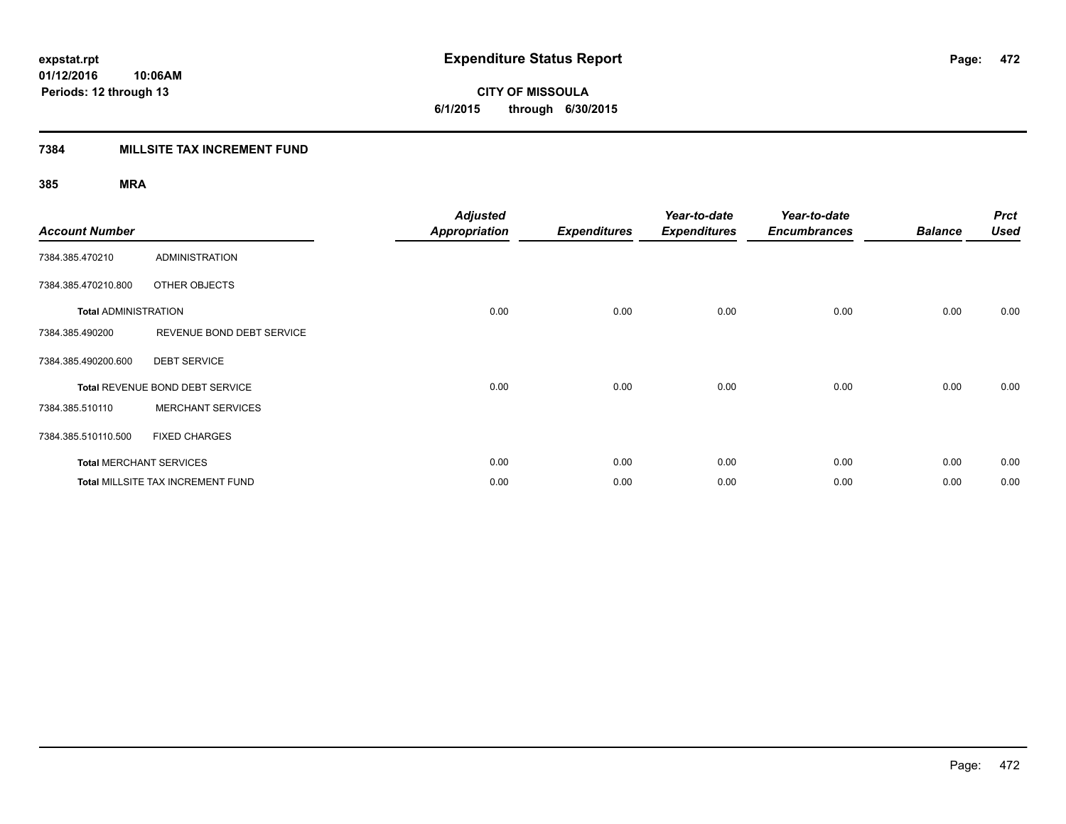**472**

**01/12/2016 10:06AM Periods: 12 through 13**

**CITY OF MISSOULA 6/1/2015 through 6/30/2015**

### **7384 MILLSITE TAX INCREMENT FUND**

| <b>Account Number</b>       |                                          | <b>Adjusted</b><br>Appropriation | <b>Expenditures</b> | Year-to-date<br><b>Expenditures</b> | Year-to-date<br><b>Encumbrances</b> | <b>Balance</b> | <b>Prct</b><br><b>Used</b> |
|-----------------------------|------------------------------------------|----------------------------------|---------------------|-------------------------------------|-------------------------------------|----------------|----------------------------|
| 7384.385.470210             | <b>ADMINISTRATION</b>                    |                                  |                     |                                     |                                     |                |                            |
| 7384.385.470210.800         | OTHER OBJECTS                            |                                  |                     |                                     |                                     |                |                            |
| <b>Total ADMINISTRATION</b> |                                          | 0.00                             | 0.00                | 0.00                                | 0.00                                | 0.00           | 0.00                       |
| 7384.385.490200             | REVENUE BOND DEBT SERVICE                |                                  |                     |                                     |                                     |                |                            |
| 7384.385.490200.600         | <b>DEBT SERVICE</b>                      |                                  |                     |                                     |                                     |                |                            |
|                             | Total REVENUE BOND DEBT SERVICE          | 0.00                             | 0.00                | 0.00                                | 0.00                                | 0.00           | 0.00                       |
| 7384.385.510110             | <b>MERCHANT SERVICES</b>                 |                                  |                     |                                     |                                     |                |                            |
| 7384.385.510110.500         | <b>FIXED CHARGES</b>                     |                                  |                     |                                     |                                     |                |                            |
|                             | <b>Total MERCHANT SERVICES</b>           | 0.00                             | 0.00                | 0.00                                | 0.00                                | 0.00           | 0.00                       |
|                             | <b>Total MILLSITE TAX INCREMENT FUND</b> | 0.00                             | 0.00                | 0.00                                | 0.00                                | 0.00           | 0.00                       |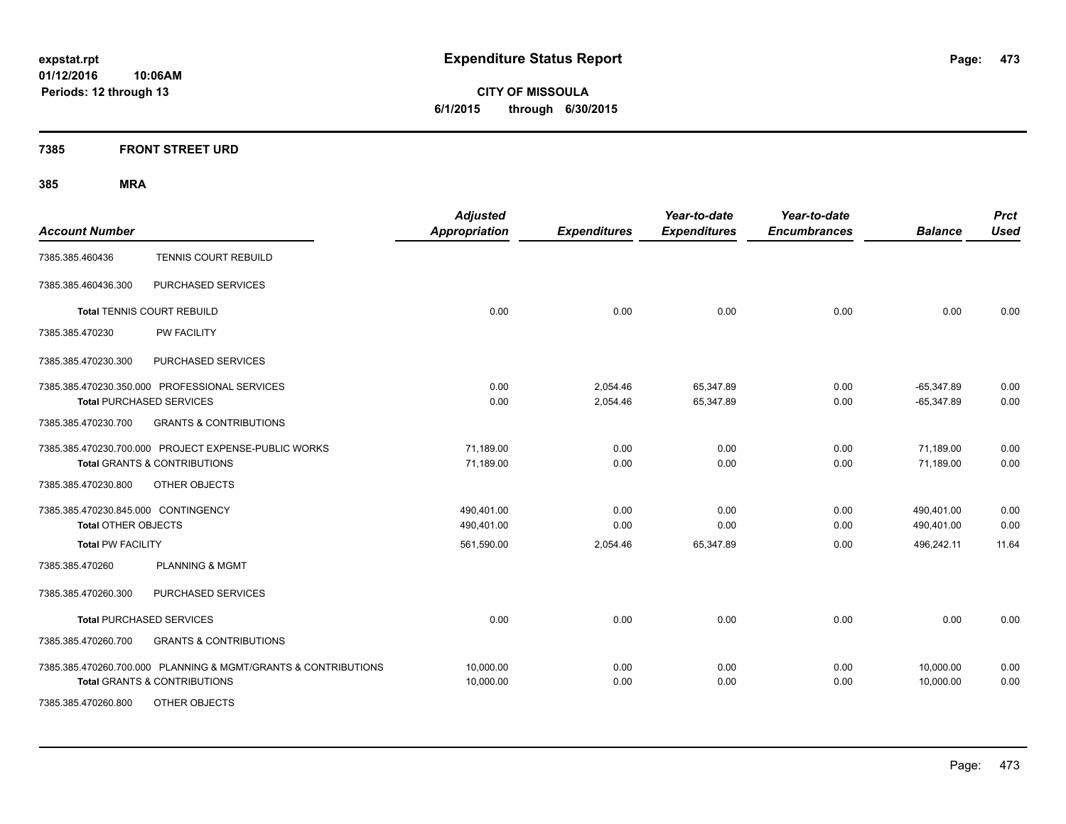**CITY OF MISSOULA 6/1/2015 through 6/30/2015**

### **7385 FRONT STREET URD**

| <b>Account Number</b>                                          | <b>Adjusted</b><br><b>Appropriation</b> | <b>Expenditures</b> | Year-to-date<br><b>Expenditures</b> | Year-to-date<br><b>Encumbrances</b> | <b>Balance</b> | <b>Prct</b><br><b>Used</b> |
|----------------------------------------------------------------|-----------------------------------------|---------------------|-------------------------------------|-------------------------------------|----------------|----------------------------|
| TENNIS COURT REBUILD<br>7385.385.460436                        |                                         |                     |                                     |                                     |                |                            |
| PURCHASED SERVICES<br>7385.385.460436.300                      |                                         |                     |                                     |                                     |                |                            |
| <b>Total TENNIS COURT REBUILD</b>                              | 0.00                                    | 0.00                | 0.00                                | 0.00                                | 0.00           | 0.00                       |
| PW FACILITY<br>7385.385.470230                                 |                                         |                     |                                     |                                     |                |                            |
| PURCHASED SERVICES<br>7385.385.470230.300                      |                                         |                     |                                     |                                     |                |                            |
| 7385.385.470230.350.000 PROFESSIONAL SERVICES                  | 0.00                                    | 2,054.46            | 65,347.89                           | 0.00                                | $-65,347.89$   | 0.00                       |
| <b>Total PURCHASED SERVICES</b>                                | 0.00                                    | 2,054.46            | 65,347.89                           | 0.00                                | $-65,347.89$   | 0.00                       |
| <b>GRANTS &amp; CONTRIBUTIONS</b><br>7385.385.470230.700       |                                         |                     |                                     |                                     |                |                            |
| 7385.385.470230.700.000 PROJECT EXPENSE-PUBLIC WORKS           | 71,189.00                               | 0.00                | 0.00                                | 0.00                                | 71,189.00      | 0.00                       |
| <b>Total GRANTS &amp; CONTRIBUTIONS</b>                        | 71,189.00                               | 0.00                | 0.00                                | 0.00                                | 71,189.00      | 0.00                       |
| OTHER OBJECTS<br>7385.385.470230.800                           |                                         |                     |                                     |                                     |                |                            |
| 7385.385.470230.845.000 CONTINGENCY                            | 490,401.00                              | 0.00                | 0.00                                | 0.00                                | 490,401.00     | 0.00                       |
| <b>Total OTHER OBJECTS</b>                                     | 490,401.00                              | 0.00                | 0.00                                | 0.00                                | 490,401.00     | 0.00                       |
| <b>Total PW FACILITY</b>                                       | 561,590.00                              | 2,054.46            | 65,347.89                           | 0.00                                | 496,242.11     | 11.64                      |
| <b>PLANNING &amp; MGMT</b><br>7385.385.470260                  |                                         |                     |                                     |                                     |                |                            |
| PURCHASED SERVICES<br>7385.385.470260.300                      |                                         |                     |                                     |                                     |                |                            |
| <b>Total PURCHASED SERVICES</b>                                | 0.00                                    | 0.00                | 0.00                                | 0.00                                | 0.00           | 0.00                       |
| <b>GRANTS &amp; CONTRIBUTIONS</b><br>7385.385.470260.700       |                                         |                     |                                     |                                     |                |                            |
| 7385.385.470260.700.000 PLANNING & MGMT/GRANTS & CONTRIBUTIONS | 10,000.00                               | 0.00                | 0.00                                | 0.00                                | 10,000.00      | 0.00                       |
| <b>Total GRANTS &amp; CONTRIBUTIONS</b>                        | 10,000.00                               | 0.00                | 0.00                                | 0.00                                | 10,000.00      | 0.00                       |
| 7385.385.470260.800<br>OTHER OBJECTS                           |                                         |                     |                                     |                                     |                |                            |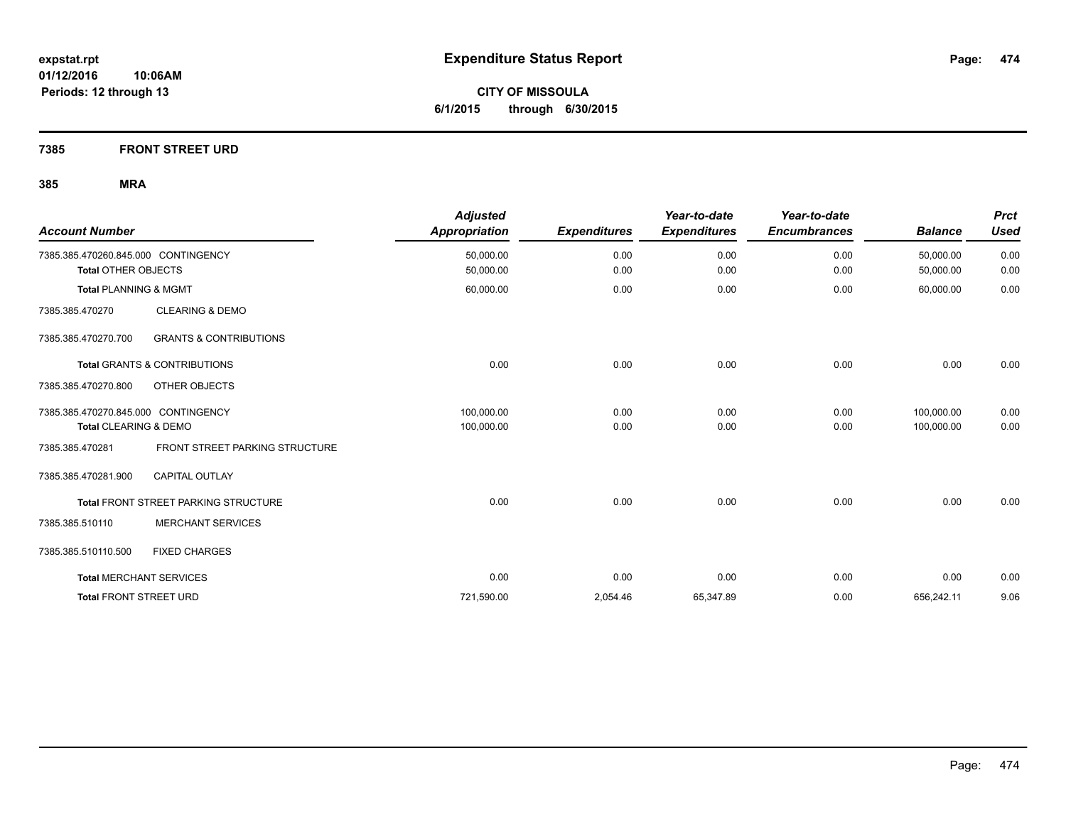**CITY OF MISSOULA 6/1/2015 through 6/30/2015**

### **7385 FRONT STREET URD**

| <b>Account Number</b>                                             |                                         | <b>Adjusted</b><br><b>Appropriation</b> | <b>Expenditures</b> | Year-to-date<br><b>Expenditures</b> | Year-to-date<br><b>Encumbrances</b> | <b>Balance</b>           | <b>Prct</b><br><b>Used</b> |
|-------------------------------------------------------------------|-----------------------------------------|-----------------------------------------|---------------------|-------------------------------------|-------------------------------------|--------------------------|----------------------------|
| 7385.385.470260.845.000 CONTINGENCY<br><b>Total OTHER OBJECTS</b> |                                         | 50,000.00<br>50,000.00                  | 0.00<br>0.00        | 0.00<br>0.00                        | 0.00<br>0.00                        | 50,000.00<br>50,000.00   | 0.00<br>0.00               |
| <b>Total PLANNING &amp; MGMT</b>                                  |                                         | 60,000.00                               | 0.00                | 0.00                                | 0.00                                | 60,000.00                | 0.00                       |
| 7385.385.470270                                                   | <b>CLEARING &amp; DEMO</b>              |                                         |                     |                                     |                                     |                          |                            |
| 7385.385.470270.700                                               | <b>GRANTS &amp; CONTRIBUTIONS</b>       |                                         |                     |                                     |                                     |                          |                            |
|                                                                   | <b>Total GRANTS &amp; CONTRIBUTIONS</b> | 0.00                                    | 0.00                | 0.00                                | 0.00                                | 0.00                     | 0.00                       |
| 7385.385.470270.800                                               | OTHER OBJECTS                           |                                         |                     |                                     |                                     |                          |                            |
| 7385.385.470270.845.000 CONTINGENCY<br>Total CLEARING & DEMO      |                                         | 100.000.00<br>100,000.00                | 0.00<br>0.00        | 0.00<br>0.00                        | 0.00<br>0.00                        | 100.000.00<br>100,000.00 | 0.00<br>0.00               |
| 7385.385.470281                                                   | FRONT STREET PARKING STRUCTURE          |                                         |                     |                                     |                                     |                          |                            |
| 7385.385.470281.900                                               | CAPITAL OUTLAY                          |                                         |                     |                                     |                                     |                          |                            |
|                                                                   | Total FRONT STREET PARKING STRUCTURE    | 0.00                                    | 0.00                | 0.00                                | 0.00                                | 0.00                     | 0.00                       |
| 7385.385.510110                                                   | <b>MERCHANT SERVICES</b>                |                                         |                     |                                     |                                     |                          |                            |
| 7385.385.510110.500                                               | <b>FIXED CHARGES</b>                    |                                         |                     |                                     |                                     |                          |                            |
| <b>Total MERCHANT SERVICES</b>                                    |                                         | 0.00                                    | 0.00                | 0.00                                | 0.00                                | 0.00                     | 0.00                       |
| <b>Total FRONT STREET URD</b>                                     |                                         | 721,590.00                              | 2,054.46            | 65,347.89                           | 0.00                                | 656,242.11               | 9.06                       |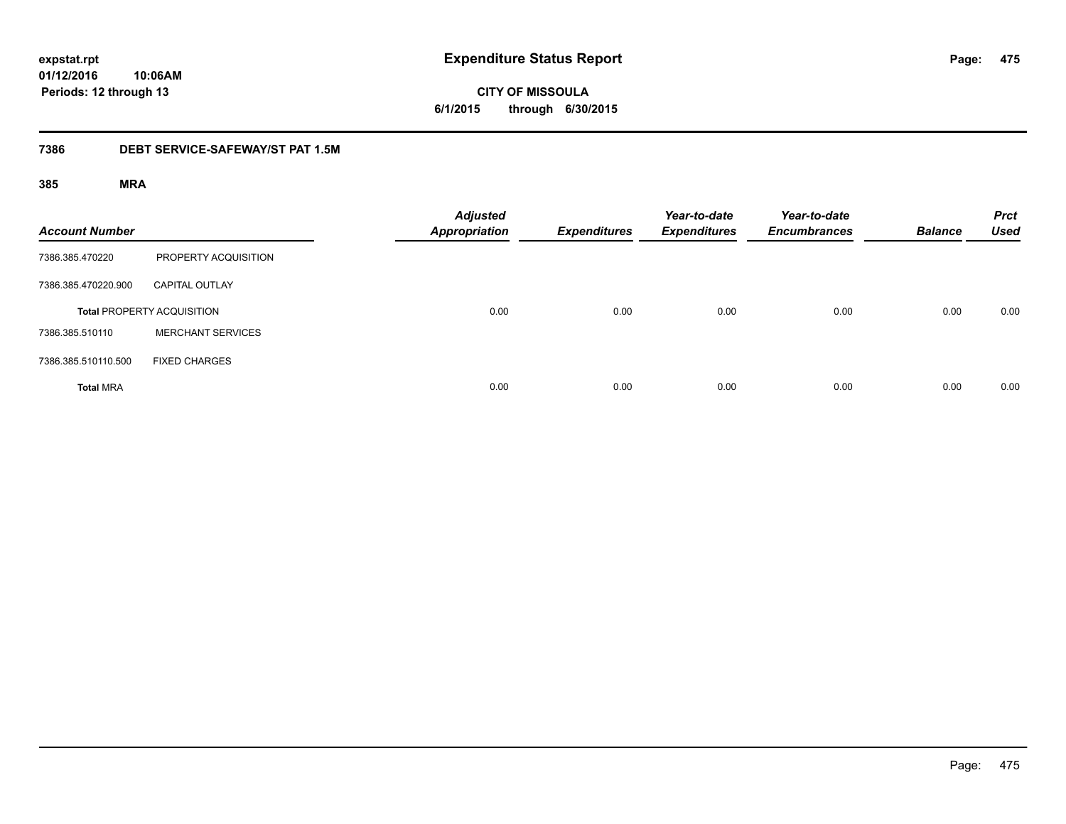**CITY OF MISSOULA 6/1/2015 through 6/30/2015**

#### **7386 DEBT SERVICE-SAFEWAY/ST PAT 1.5M**

| <b>Account Number</b> |                                   | <b>Adjusted</b><br><b>Appropriation</b> | <b>Expenditures</b> | Year-to-date<br><b>Expenditures</b> | Year-to-date<br><b>Encumbrances</b> | <b>Balance</b> | <b>Prct</b><br><b>Used</b> |
|-----------------------|-----------------------------------|-----------------------------------------|---------------------|-------------------------------------|-------------------------------------|----------------|----------------------------|
| 7386.385.470220       | PROPERTY ACQUISITION              |                                         |                     |                                     |                                     |                |                            |
| 7386.385.470220.900   | <b>CAPITAL OUTLAY</b>             |                                         |                     |                                     |                                     |                |                            |
|                       | <b>Total PROPERTY ACQUISITION</b> | 0.00                                    | 0.00                | 0.00                                | 0.00                                | 0.00           | 0.00                       |
| 7386.385.510110       | <b>MERCHANT SERVICES</b>          |                                         |                     |                                     |                                     |                |                            |
| 7386.385.510110.500   | <b>FIXED CHARGES</b>              |                                         |                     |                                     |                                     |                |                            |
| <b>Total MRA</b>      |                                   | 0.00                                    | 0.00                | 0.00                                | 0.00                                | 0.00           | 0.00                       |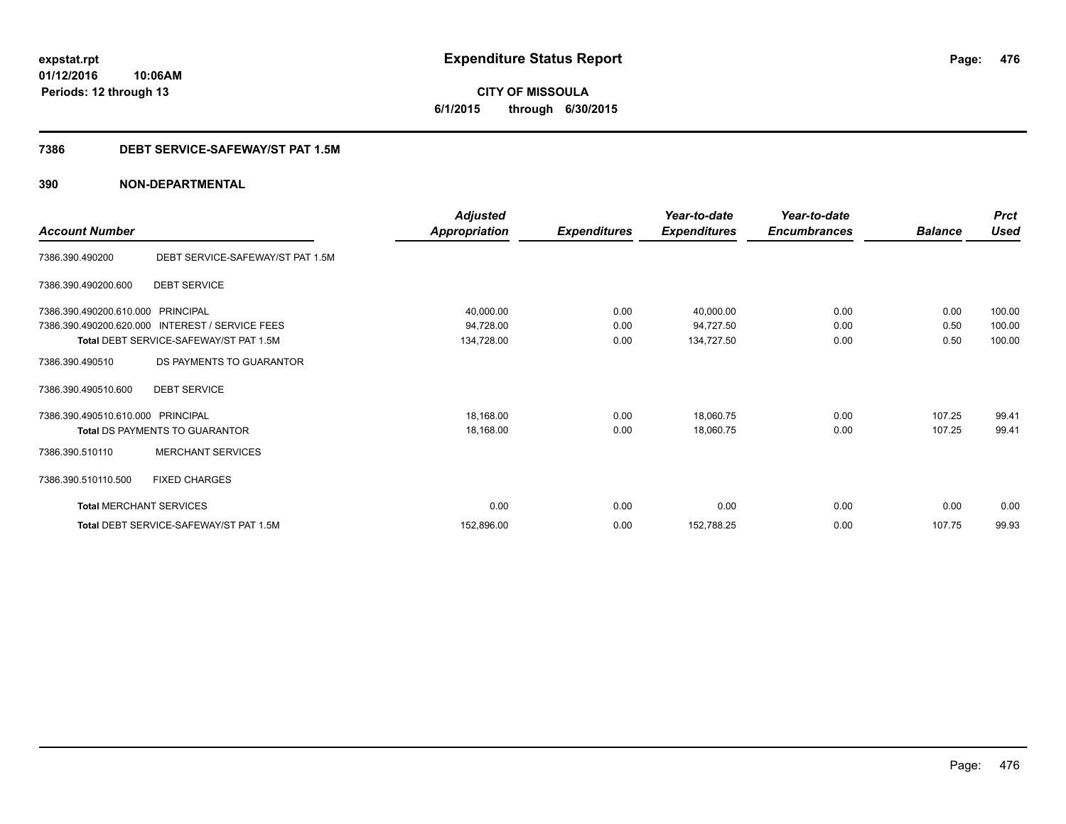# **01/12/2016**

**Periods: 12 through 13**

**CITY OF MISSOULA 6/1/2015 through 6/30/2015**

### **7386 DEBT SERVICE-SAFEWAY/ST PAT 1.5M**

|                                   |                                                 | Adjusted             |                     | Year-to-date        | Year-to-date        |                | <b>Prct</b> |
|-----------------------------------|-------------------------------------------------|----------------------|---------------------|---------------------|---------------------|----------------|-------------|
| <b>Account Number</b>             |                                                 | <b>Appropriation</b> | <b>Expenditures</b> | <b>Expenditures</b> | <b>Encumbrances</b> | <b>Balance</b> | Used        |
| 7386.390.490200                   | DEBT SERVICE-SAFEWAY/ST PAT 1.5M                |                      |                     |                     |                     |                |             |
| 7386.390.490200.600               | <b>DEBT SERVICE</b>                             |                      |                     |                     |                     |                |             |
| 7386.390.490200.610.000 PRINCIPAL |                                                 | 40,000.00            | 0.00                | 40,000.00           | 0.00                | 0.00           | 100.00      |
|                                   | 7386.390.490200.620.000 INTEREST / SERVICE FEES | 94,728.00            | 0.00                | 94,727.50           | 0.00                | 0.50           | 100.00      |
|                                   | Total DEBT SERVICE-SAFEWAY/ST PAT 1.5M          | 134,728.00           | 0.00                | 134,727.50          | 0.00                | 0.50           | 100.00      |
| 7386.390.490510                   | DS PAYMENTS TO GUARANTOR                        |                      |                     |                     |                     |                |             |
| 7386.390.490510.600               | <b>DEBT SERVICE</b>                             |                      |                     |                     |                     |                |             |
| 7386.390.490510.610.000 PRINCIPAL |                                                 | 18,168.00            | 0.00                | 18,060.75           | 0.00                | 107.25         | 99.41       |
|                                   | <b>Total DS PAYMENTS TO GUARANTOR</b>           | 18,168.00            | 0.00                | 18,060.75           | 0.00                | 107.25         | 99.41       |
| 7386.390.510110                   | <b>MERCHANT SERVICES</b>                        |                      |                     |                     |                     |                |             |
| 7386.390.510110.500               | <b>FIXED CHARGES</b>                            |                      |                     |                     |                     |                |             |
| <b>Total MERCHANT SERVICES</b>    |                                                 | 0.00                 | 0.00                | 0.00                | 0.00                | 0.00           | 0.00        |
|                                   | Total DEBT SERVICE-SAFEWAY/ST PAT 1.5M          | 152,896.00           | 0.00                | 152,788.25          | 0.00                | 107.75         | 99.93       |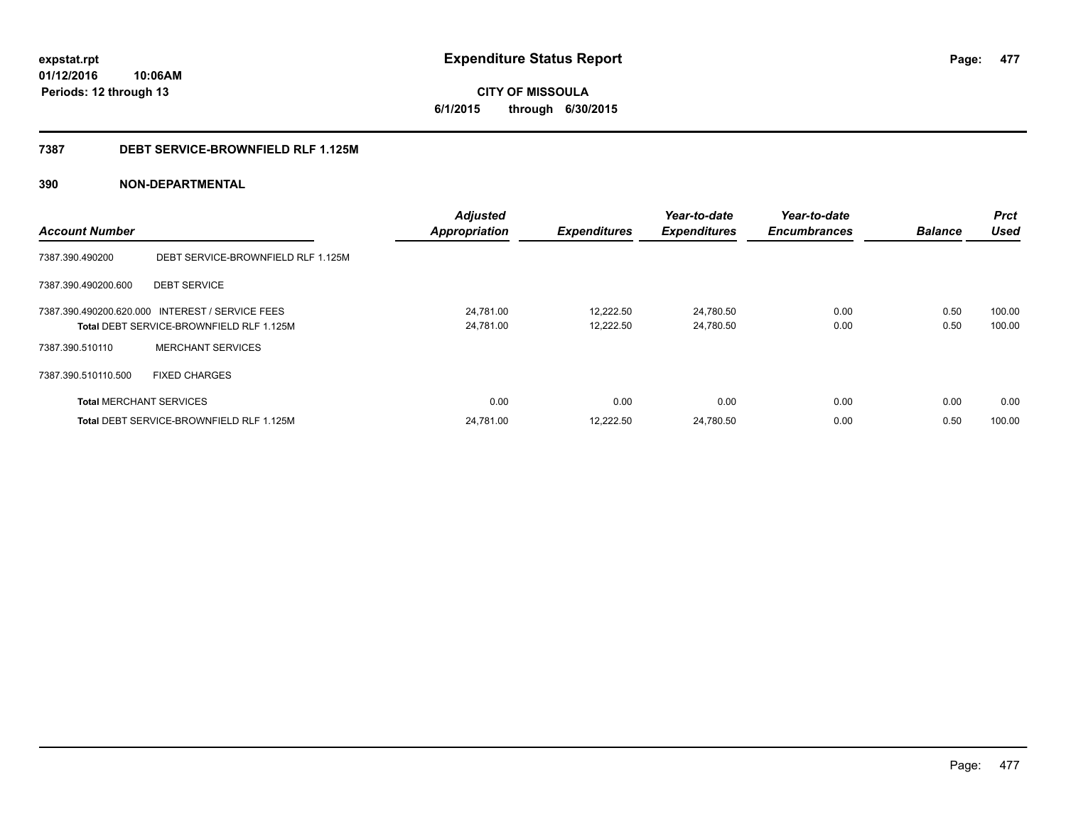**CITY OF MISSOULA 6/1/2015 through 6/30/2015**

#### **7387 DEBT SERVICE-BROWNFIELD RLF 1.125M**

| <b>Account Number</b>          |                                                                                             | <b>Adjusted</b><br><b>Appropriation</b> | <b>Expenditures</b>    | Year-to-date<br><b>Expenditures</b> | Year-to-date<br><b>Encumbrances</b> | <b>Balance</b> | <b>Prct</b><br><b>Used</b> |
|--------------------------------|---------------------------------------------------------------------------------------------|-----------------------------------------|------------------------|-------------------------------------|-------------------------------------|----------------|----------------------------|
| 7387.390.490200                | DEBT SERVICE-BROWNFIELD RLF 1.125M                                                          |                                         |                        |                                     |                                     |                |                            |
| 7387.390.490200.600            | <b>DEBT SERVICE</b>                                                                         |                                         |                        |                                     |                                     |                |                            |
|                                | 7387.390.490200.620.000 INTEREST / SERVICE FEES<br>Total DEBT SERVICE-BROWNFIELD RLF 1.125M | 24.781.00<br>24,781.00                  | 12.222.50<br>12,222.50 | 24.780.50<br>24,780.50              | 0.00<br>0.00                        | 0.50<br>0.50   | 100.00<br>100.00           |
| 7387.390.510110                | <b>MERCHANT SERVICES</b>                                                                    |                                         |                        |                                     |                                     |                |                            |
| 7387.390.510110.500            | <b>FIXED CHARGES</b>                                                                        |                                         |                        |                                     |                                     |                |                            |
| <b>Total MERCHANT SERVICES</b> |                                                                                             | 0.00                                    | 0.00                   | 0.00                                | 0.00                                | 0.00           | 0.00                       |
|                                | Total DEBT SERVICE-BROWNFIELD RLF 1.125M                                                    | 24,781.00                               | 12,222.50              | 24,780.50                           | 0.00                                | 0.50           | 100.00                     |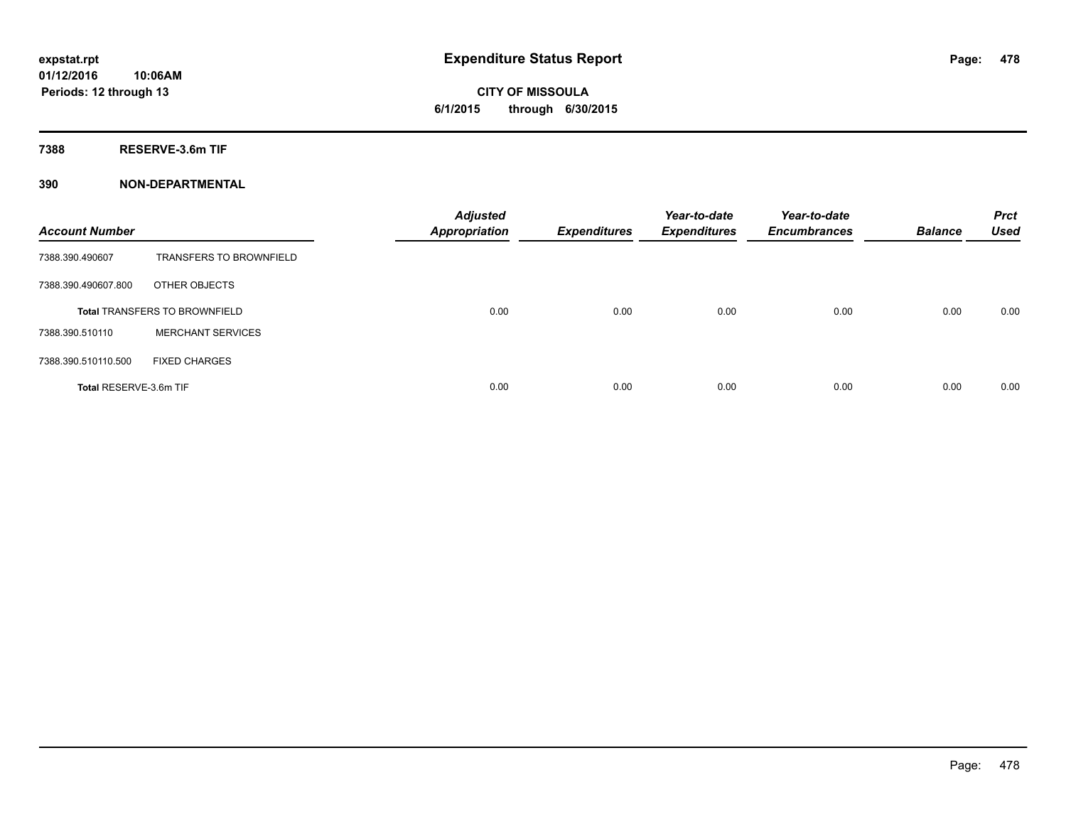**7388 RESERVE-3.6m TIF**

| <b>Account Number</b>  |                                      | <b>Adjusted</b><br><b>Appropriation</b> | <b>Expenditures</b> | Year-to-date<br><b>Expenditures</b> | Year-to-date<br><b>Encumbrances</b> | <b>Balance</b> | <b>Prct</b><br><b>Used</b> |
|------------------------|--------------------------------------|-----------------------------------------|---------------------|-------------------------------------|-------------------------------------|----------------|----------------------------|
| 7388.390.490607        | <b>TRANSFERS TO BROWNFIELD</b>       |                                         |                     |                                     |                                     |                |                            |
| 7388.390.490607.800    | OTHER OBJECTS                        |                                         |                     |                                     |                                     |                |                            |
|                        | <b>Total TRANSFERS TO BROWNFIELD</b> | 0.00                                    | 0.00                | 0.00                                | 0.00                                | 0.00           | 0.00                       |
| 7388.390.510110        | <b>MERCHANT SERVICES</b>             |                                         |                     |                                     |                                     |                |                            |
| 7388.390.510110.500    | <b>FIXED CHARGES</b>                 |                                         |                     |                                     |                                     |                |                            |
| Total RESERVE-3.6m TIF |                                      | 0.00                                    | 0.00                | 0.00                                | 0.00                                | 0.00           | 0.00                       |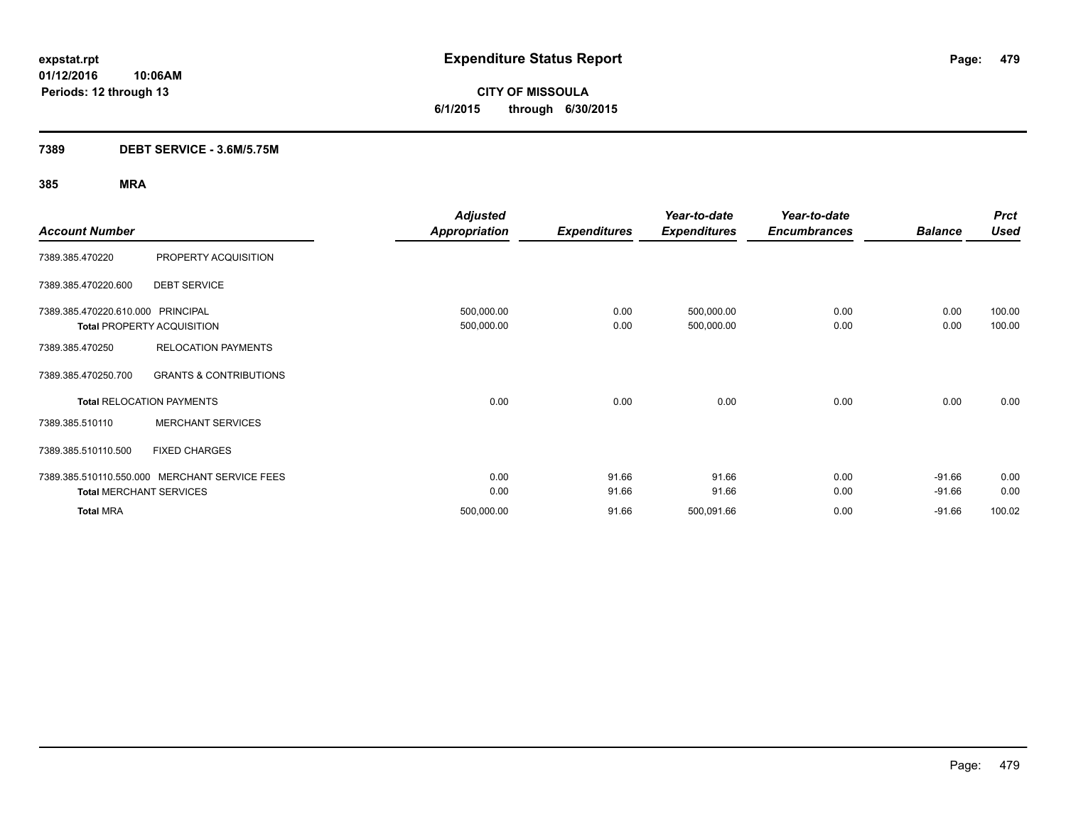### **7389 DEBT SERVICE - 3.6M/5.75M**

|                                   |                                               | <b>Adjusted</b>      |                     | Year-to-date        | Year-to-date        |                | <b>Prct</b> |
|-----------------------------------|-----------------------------------------------|----------------------|---------------------|---------------------|---------------------|----------------|-------------|
| <b>Account Number</b>             |                                               | <b>Appropriation</b> | <b>Expenditures</b> | <b>Expenditures</b> | <b>Encumbrances</b> | <b>Balance</b> | <b>Used</b> |
| 7389.385.470220                   | PROPERTY ACQUISITION                          |                      |                     |                     |                     |                |             |
| 7389.385.470220.600               | <b>DEBT SERVICE</b>                           |                      |                     |                     |                     |                |             |
| 7389.385.470220.610.000 PRINCIPAL |                                               | 500,000.00           | 0.00                | 500,000.00          | 0.00                | 0.00           | 100.00      |
|                                   | <b>Total PROPERTY ACQUISITION</b>             | 500,000.00           | 0.00                | 500,000.00          | 0.00                | 0.00           | 100.00      |
| 7389.385.470250                   | <b>RELOCATION PAYMENTS</b>                    |                      |                     |                     |                     |                |             |
| 7389.385.470250.700               | <b>GRANTS &amp; CONTRIBUTIONS</b>             |                      |                     |                     |                     |                |             |
|                                   | <b>Total RELOCATION PAYMENTS</b>              | 0.00                 | 0.00                | 0.00                | 0.00                | 0.00           | 0.00        |
| 7389.385.510110                   | <b>MERCHANT SERVICES</b>                      |                      |                     |                     |                     |                |             |
| 7389.385.510110.500               | <b>FIXED CHARGES</b>                          |                      |                     |                     |                     |                |             |
|                                   | 7389.385.510110.550.000 MERCHANT SERVICE FEES | 0.00                 | 91.66               | 91.66               | 0.00                | $-91.66$       | 0.00        |
|                                   | <b>Total MERCHANT SERVICES</b>                | 0.00                 | 91.66               | 91.66               | 0.00                | $-91.66$       | 0.00        |
| <b>Total MRA</b>                  |                                               | 500,000.00           | 91.66               | 500,091.66          | 0.00                | $-91.66$       | 100.02      |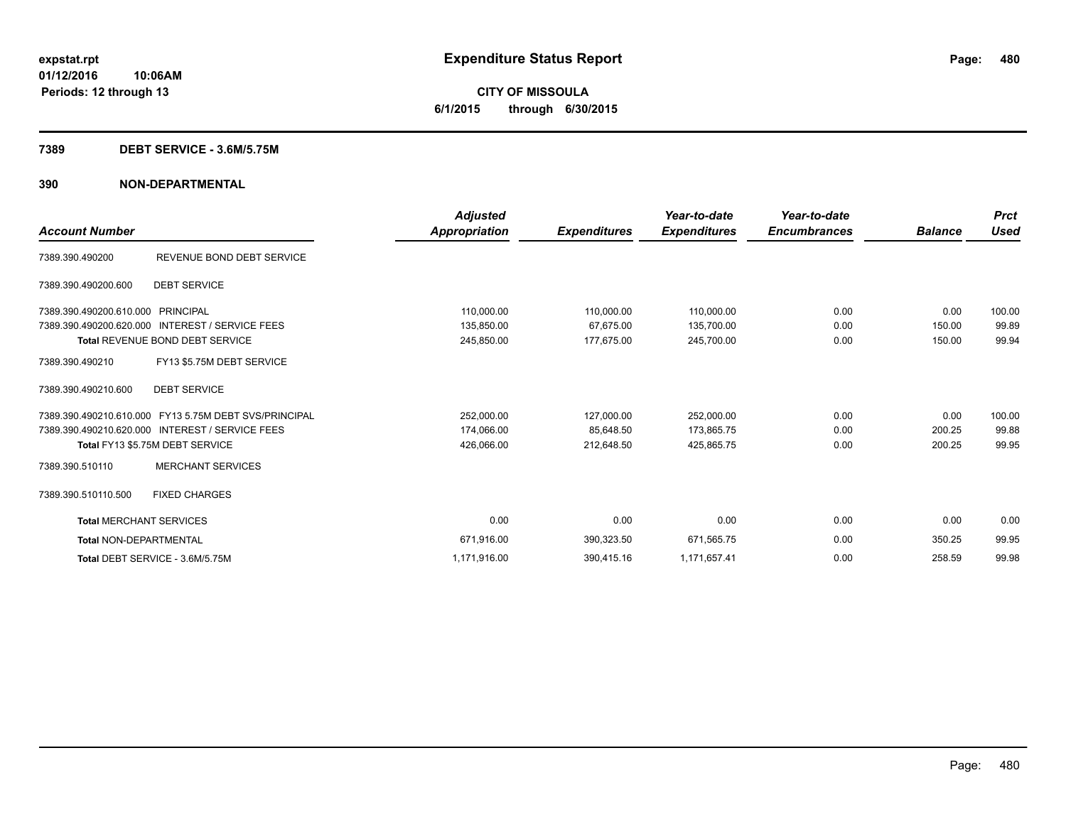#### **7389 DEBT SERVICE - 3.6M/5.75M**

|                                |                                                       | Adjusted      |                     | Year-to-date        | Year-to-date        |                | <b>Prct</b> |
|--------------------------------|-------------------------------------------------------|---------------|---------------------|---------------------|---------------------|----------------|-------------|
| <b>Account Number</b>          |                                                       | Appropriation | <b>Expenditures</b> | <b>Expenditures</b> | <b>Encumbrances</b> | <b>Balance</b> | Used        |
| 7389.390.490200                | REVENUE BOND DEBT SERVICE                             |               |                     |                     |                     |                |             |
| 7389.390.490200.600            | <b>DEBT SERVICE</b>                                   |               |                     |                     |                     |                |             |
| 7389.390.490200.610.000        | PRINCIPAL                                             | 110,000.00    | 110,000.00          | 110,000.00          | 0.00                | 0.00           | 100.00      |
| 7389.390.490200.620.000        | <b>INTEREST / SERVICE FEES</b>                        | 135,850.00    | 67,675.00           | 135,700.00          | 0.00                | 150.00         | 99.89       |
|                                | <b>Total REVENUE BOND DEBT SERVICE</b>                | 245,850.00    | 177,675.00          | 245,700.00          | 0.00                | 150.00         | 99.94       |
| 7389.390.490210                | FY13 \$5.75M DEBT SERVICE                             |               |                     |                     |                     |                |             |
| 7389.390.490210.600            | <b>DEBT SERVICE</b>                                   |               |                     |                     |                     |                |             |
|                                | 7389.390.490210.610.000 FY13 5.75M DEBT SVS/PRINCIPAL | 252,000.00    | 127,000.00          | 252,000.00          | 0.00                | 0.00           | 100.00      |
|                                | 7389.390.490210.620.000 INTEREST / SERVICE FEES       | 174,066.00    | 85.648.50           | 173,865.75          | 0.00                | 200.25         | 99.88       |
|                                | Total FY13 \$5.75M DEBT SERVICE                       | 426,066.00    | 212,648.50          | 425.865.75          | 0.00                | 200.25         | 99.95       |
| 7389.390.510110                | <b>MERCHANT SERVICES</b>                              |               |                     |                     |                     |                |             |
| 7389.390.510110.500            | <b>FIXED CHARGES</b>                                  |               |                     |                     |                     |                |             |
| <b>Total MERCHANT SERVICES</b> |                                                       | 0.00          | 0.00                | 0.00                | 0.00                | 0.00           | 0.00        |
| <b>Total NON-DEPARTMENTAL</b>  |                                                       | 671,916.00    | 390,323.50          | 671,565.75          | 0.00                | 350.25         | 99.95       |
|                                | Total DEBT SERVICE - 3.6M/5.75M                       | 1,171,916.00  | 390,415.16          | 1,171,657.41        | 0.00                | 258.59         | 99.98       |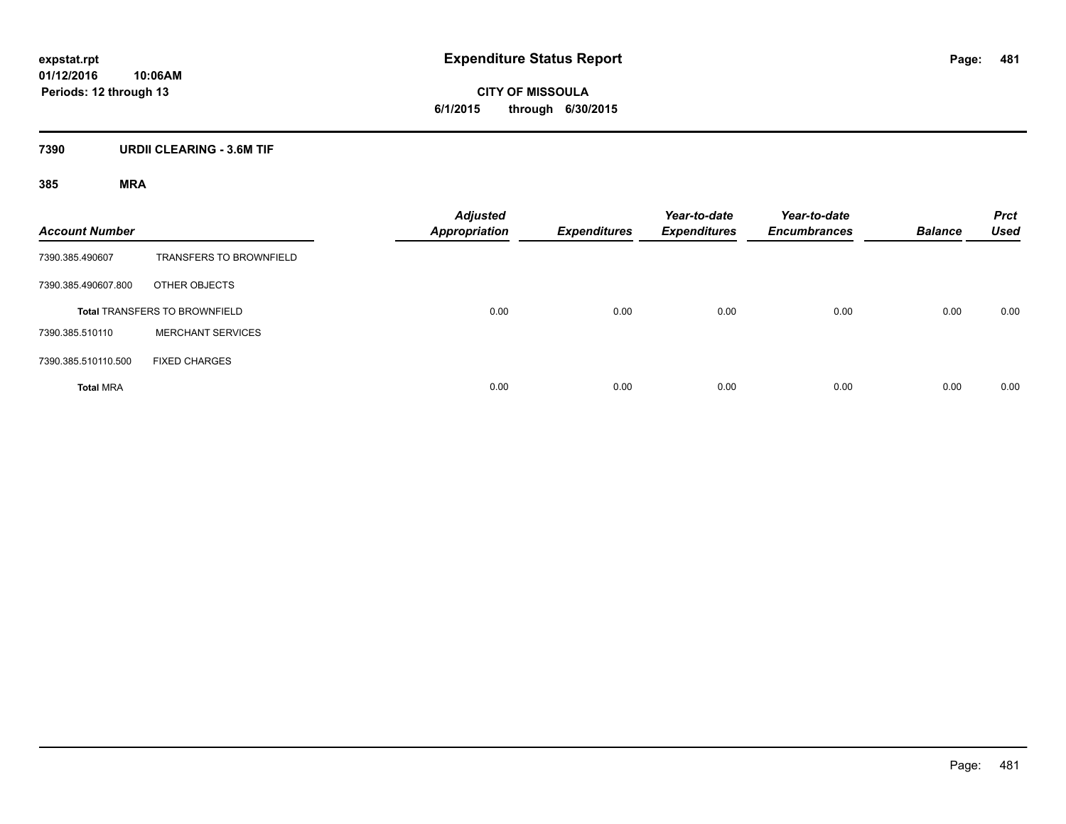### **7390 URDII CLEARING - 3.6M TIF**

| <b>Account Number</b> |                                      | <b>Adjusted</b><br><b>Appropriation</b> | <b>Expenditures</b> | Year-to-date<br><b>Expenditures</b> | Year-to-date<br><b>Encumbrances</b> | <b>Balance</b> | <b>Prct</b><br><b>Used</b> |
|-----------------------|--------------------------------------|-----------------------------------------|---------------------|-------------------------------------|-------------------------------------|----------------|----------------------------|
| 7390.385.490607       | <b>TRANSFERS TO BROWNFIELD</b>       |                                         |                     |                                     |                                     |                |                            |
| 7390.385.490607.800   | OTHER OBJECTS                        |                                         |                     |                                     |                                     |                |                            |
|                       | <b>Total TRANSFERS TO BROWNFIELD</b> | 0.00                                    | 0.00                | 0.00                                | 0.00                                | 0.00           | 0.00                       |
| 7390.385.510110       | <b>MERCHANT SERVICES</b>             |                                         |                     |                                     |                                     |                |                            |
| 7390.385.510110.500   | <b>FIXED CHARGES</b>                 |                                         |                     |                                     |                                     |                |                            |
| <b>Total MRA</b>      |                                      | 0.00                                    | 0.00                | 0.00                                | 0.00                                | 0.00           | 0.00                       |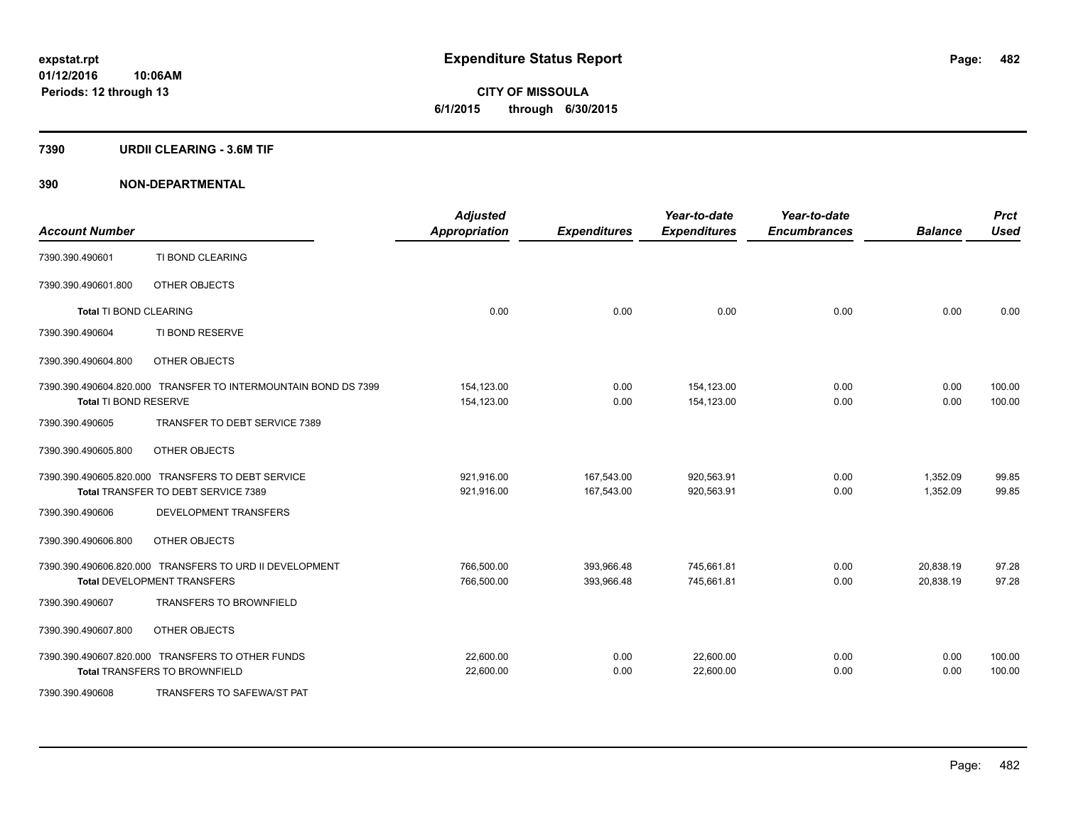# **CITY OF MISSOULA 6/1/2015 through 6/30/2015**

#### **7390 URDII CLEARING - 3.6M TIF**

| <b>Account Number</b>         |                                                                                               | <b>Adjusted</b><br><b>Appropriation</b> | <b>Expenditures</b>      | Year-to-date<br><b>Expenditures</b> | Year-to-date<br><b>Encumbrances</b> | <b>Balance</b>         | <b>Prct</b><br><b>Used</b> |
|-------------------------------|-----------------------------------------------------------------------------------------------|-----------------------------------------|--------------------------|-------------------------------------|-------------------------------------|------------------------|----------------------------|
| 7390.390.490601               | TI BOND CLEARING                                                                              |                                         |                          |                                     |                                     |                        |                            |
| 7390.390.490601.800           | OTHER OBJECTS                                                                                 |                                         |                          |                                     |                                     |                        |                            |
| <b>Total TI BOND CLEARING</b> |                                                                                               | 0.00                                    | 0.00                     | 0.00                                | 0.00                                | 0.00                   | 0.00                       |
| 7390.390.490604               | TI BOND RESERVE                                                                               |                                         |                          |                                     |                                     |                        |                            |
| 7390.390.490604.800           | OTHER OBJECTS                                                                                 |                                         |                          |                                     |                                     |                        |                            |
| Total TI BOND RESERVE         | 7390.390.490604.820.000 TRANSFER TO INTERMOUNTAIN BOND DS 7399                                | 154,123.00<br>154,123.00                | 0.00<br>0.00             | 154,123.00<br>154,123.00            | 0.00<br>0.00                        | 0.00<br>0.00           | 100.00<br>100.00           |
| 7390.390.490605               | TRANSFER TO DEBT SERVICE 7389                                                                 |                                         |                          |                                     |                                     |                        |                            |
| 7390.390.490605.800           | OTHER OBJECTS                                                                                 |                                         |                          |                                     |                                     |                        |                            |
|                               | 7390.390.490605.820.000 TRANSFERS TO DEBT SERVICE<br>Total TRANSFER TO DEBT SERVICE 7389      | 921,916.00<br>921,916.00                | 167,543.00<br>167,543.00 | 920,563.91<br>920,563.91            | 0.00<br>0.00                        | 1,352.09<br>1,352.09   | 99.85<br>99.85             |
| 7390.390.490606               | <b>DEVELOPMENT TRANSFERS</b>                                                                  |                                         |                          |                                     |                                     |                        |                            |
| 7390.390.490606.800           | OTHER OBJECTS                                                                                 |                                         |                          |                                     |                                     |                        |                            |
|                               | 7390.390.490606.820.000 TRANSFERS TO URD II DEVELOPMENT<br><b>Total DEVELOPMENT TRANSFERS</b> | 766,500.00<br>766,500.00                | 393,966.48<br>393,966.48 | 745,661.81<br>745,661.81            | 0.00<br>0.00                        | 20,838.19<br>20,838.19 | 97.28<br>97.28             |
| 7390.390.490607               | <b>TRANSFERS TO BROWNFIELD</b>                                                                |                                         |                          |                                     |                                     |                        |                            |
| 7390.390.490607.800           | OTHER OBJECTS                                                                                 |                                         |                          |                                     |                                     |                        |                            |
|                               | 7390.390.490607.820.000 TRANSFERS TO OTHER FUNDS<br><b>Total TRANSFERS TO BROWNFIELD</b>      | 22,600.00<br>22,600.00                  | 0.00<br>0.00             | 22,600.00<br>22,600.00              | 0.00<br>0.00                        | 0.00<br>0.00           | 100.00<br>100.00           |
| 7390.390.490608               | TRANSFERS TO SAFEWA/ST PAT                                                                    |                                         |                          |                                     |                                     |                        |                            |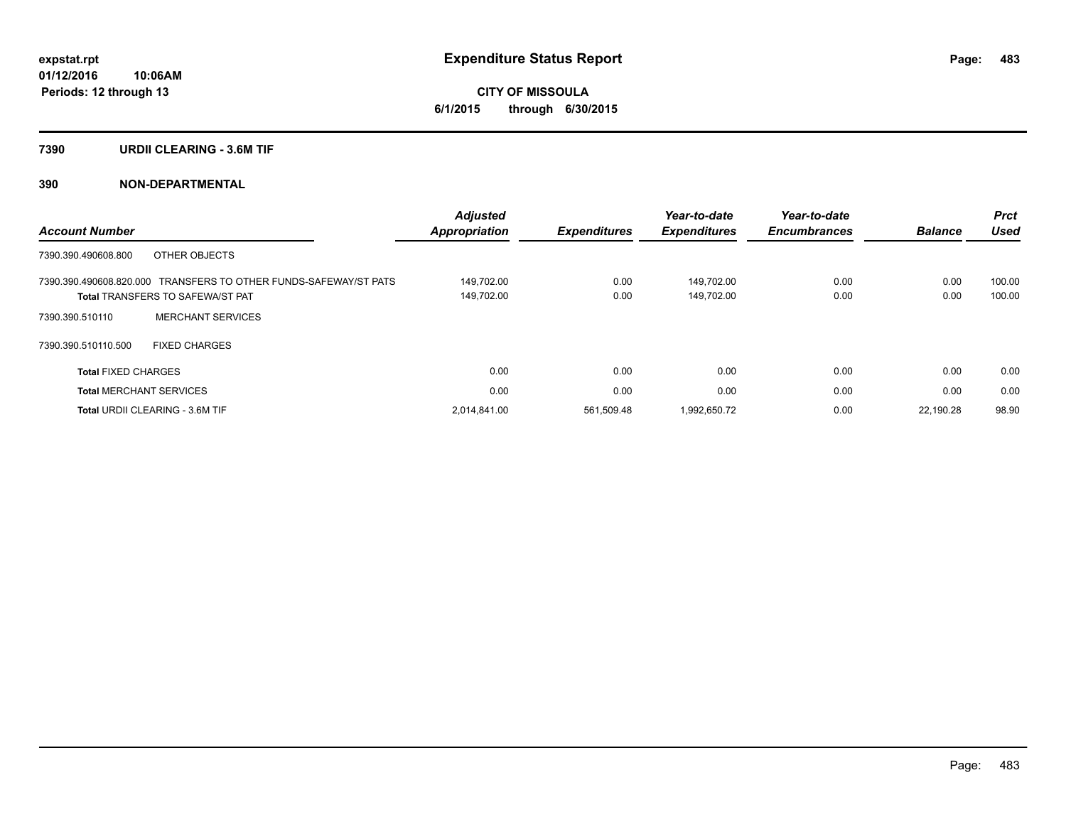#### **7390 URDII CLEARING - 3.6M TIF**

|                                                                  | Adjusted      |                     | Year-to-date        | Year-to-date        |                | <b>Prct</b> |
|------------------------------------------------------------------|---------------|---------------------|---------------------|---------------------|----------------|-------------|
| <b>Account Number</b>                                            | Appropriation | <b>Expenditures</b> | <b>Expenditures</b> | <b>Encumbrances</b> | <b>Balance</b> | <b>Used</b> |
| OTHER OBJECTS<br>7390.390.490608.800                             |               |                     |                     |                     |                |             |
| 7390.390.490608.820.000 TRANSFERS TO OTHER FUNDS-SAFEWAY/ST PATS | 149.702.00    | 0.00                | 149.702.00          | 0.00                | 0.00           | 100.00      |
| <b>Total TRANSFERS TO SAFEWA/ST PAT</b>                          | 149,702.00    | 0.00                | 149,702.00          | 0.00                | 0.00           | 100.00      |
| <b>MERCHANT SERVICES</b><br>7390.390.510110                      |               |                     |                     |                     |                |             |
| <b>FIXED CHARGES</b><br>7390.390.510110.500                      |               |                     |                     |                     |                |             |
| <b>Total FIXED CHARGES</b>                                       | 0.00          | 0.00                | 0.00                | 0.00                | 0.00           | 0.00        |
| <b>Total MERCHANT SERVICES</b>                                   | 0.00          | 0.00                | 0.00                | 0.00                | 0.00           | 0.00        |
| Total URDII CLEARING - 3.6M TIF                                  | 2.014.841.00  | 561,509.48          | 1,992,650.72        | 0.00                | 22.190.28      | 98.90       |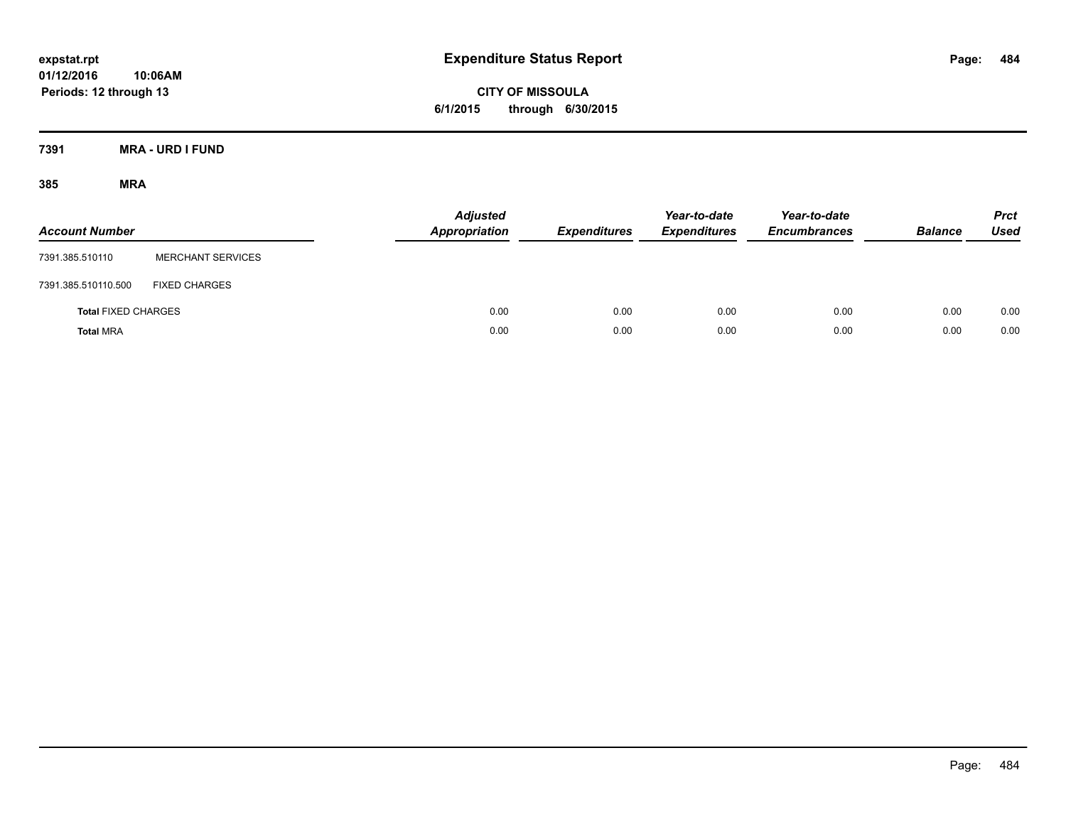**CITY OF MISSOULA 6/1/2015 through 6/30/2015**

**7391 MRA - URD I FUND**

| <b>Account Number</b>      |                          | <b>Adjusted</b><br><b>Appropriation</b> | <b>Expenditures</b> | Year-to-date<br><b>Expenditures</b> | Year-to-date<br><b>Encumbrances</b> | <b>Balance</b> | <b>Prct</b><br><b>Used</b> |
|----------------------------|--------------------------|-----------------------------------------|---------------------|-------------------------------------|-------------------------------------|----------------|----------------------------|
| 7391.385.510110            | <b>MERCHANT SERVICES</b> |                                         |                     |                                     |                                     |                |                            |
| 7391.385.510110.500        | <b>FIXED CHARGES</b>     |                                         |                     |                                     |                                     |                |                            |
| <b>Total FIXED CHARGES</b> |                          | 0.00                                    | 0.00                | 0.00                                | 0.00                                | 0.00           | 0.00                       |
| <b>Total MRA</b>           |                          | 0.00                                    | 0.00                | 0.00                                | 0.00                                | 0.00           | 0.00                       |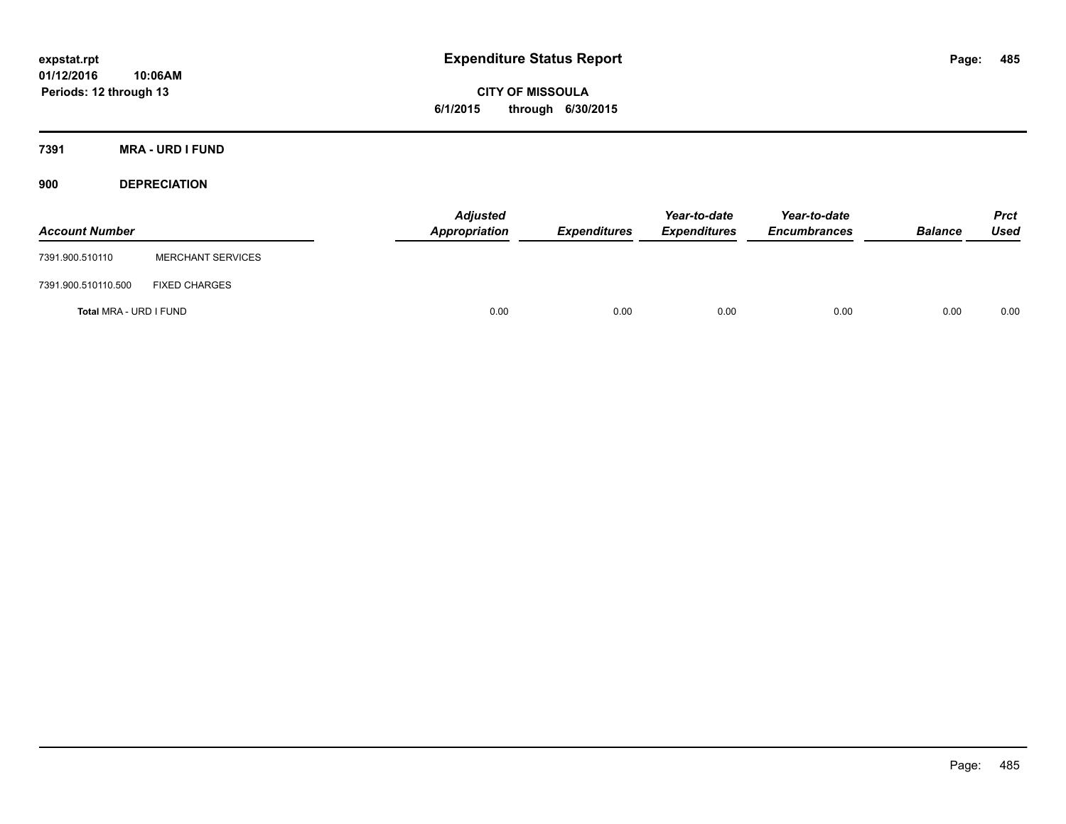**CITY OF MISSOULA 6/1/2015 through 6/30/2015**

**7391 MRA - URD I FUND**

**900 DEPRECIATION**

| <b>Account Number</b>  |                          | <b>Adjusted</b><br>Appropriation | <b>Expenditures</b> | Year-to-date<br><b>Expenditures</b> | Year-to-date<br><b>Encumbrances</b> | <b>Balance</b> | <b>Prct</b><br>Used |
|------------------------|--------------------------|----------------------------------|---------------------|-------------------------------------|-------------------------------------|----------------|---------------------|
| 7391.900.510110        | <b>MERCHANT SERVICES</b> |                                  |                     |                                     |                                     |                |                     |
| 7391.900.510110.500    | <b>FIXED CHARGES</b>     |                                  |                     |                                     |                                     |                |                     |
| Total MRA - URD I FUND |                          | 0.00                             | 0.00                | 0.00                                | 0.00                                | 0.00           | 0.00                |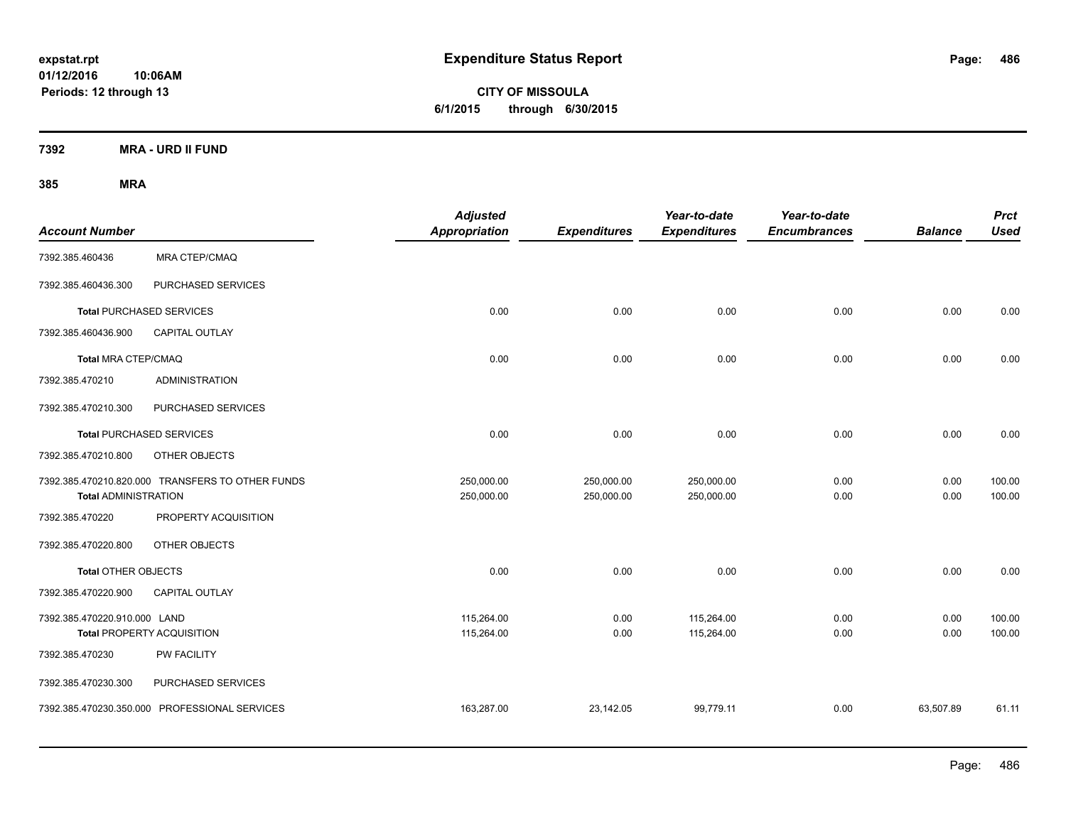**CITY OF MISSOULA 6/1/2015 through 6/30/2015**

**7392 MRA - URD II FUND**

| <b>Account Number</b>                                                           |                                               | <b>Adjusted</b><br><b>Appropriation</b> | <b>Expenditures</b>      | Year-to-date<br><b>Expenditures</b> | Year-to-date<br><b>Encumbrances</b> | <b>Balance</b> | <b>Prct</b><br><b>Used</b> |
|---------------------------------------------------------------------------------|-----------------------------------------------|-----------------------------------------|--------------------------|-------------------------------------|-------------------------------------|----------------|----------------------------|
| 7392.385.460436                                                                 | <b>MRA CTEP/CMAQ</b>                          |                                         |                          |                                     |                                     |                |                            |
| 7392.385.460436.300                                                             | PURCHASED SERVICES                            |                                         |                          |                                     |                                     |                |                            |
|                                                                                 | <b>Total PURCHASED SERVICES</b>               | 0.00                                    | 0.00                     | 0.00                                | 0.00                                | 0.00           | 0.00                       |
| 7392.385.460436.900                                                             | CAPITAL OUTLAY                                |                                         |                          |                                     |                                     |                |                            |
| <b>Total MRA CTEP/CMAQ</b>                                                      |                                               | 0.00                                    | 0.00                     | 0.00                                | 0.00                                | 0.00           | 0.00                       |
| 7392.385.470210                                                                 | <b>ADMINISTRATION</b>                         |                                         |                          |                                     |                                     |                |                            |
| 7392.385.470210.300                                                             | PURCHASED SERVICES                            |                                         |                          |                                     |                                     |                |                            |
|                                                                                 | <b>Total PURCHASED SERVICES</b>               | 0.00                                    | 0.00                     | 0.00                                | 0.00                                | 0.00           | 0.00                       |
| 7392.385.470210.800                                                             | OTHER OBJECTS                                 |                                         |                          |                                     |                                     |                |                            |
| 7392.385.470210.820.000 TRANSFERS TO OTHER FUNDS<br><b>Total ADMINISTRATION</b> |                                               | 250,000.00<br>250,000.00                | 250,000.00<br>250,000.00 | 250,000.00<br>250,000.00            | 0.00<br>0.00                        | 0.00<br>0.00   | 100.00<br>100.00           |
| 7392.385.470220                                                                 | PROPERTY ACQUISITION                          |                                         |                          |                                     |                                     |                |                            |
| 7392.385.470220.800                                                             | OTHER OBJECTS                                 |                                         |                          |                                     |                                     |                |                            |
| Total OTHER OBJECTS                                                             |                                               | 0.00                                    | 0.00                     | 0.00                                | 0.00                                | 0.00           | 0.00                       |
| 7392.385.470220.900                                                             | <b>CAPITAL OUTLAY</b>                         |                                         |                          |                                     |                                     |                |                            |
| 7392.385.470220.910.000 LAND                                                    | <b>Total PROPERTY ACQUISITION</b>             | 115,264.00<br>115,264.00                | 0.00<br>0.00             | 115,264.00<br>115,264.00            | 0.00<br>0.00                        | 0.00<br>0.00   | 100.00<br>100.00           |
| 7392.385.470230                                                                 | PW FACILITY                                   |                                         |                          |                                     |                                     |                |                            |
| 7392.385.470230.300                                                             | PURCHASED SERVICES                            |                                         |                          |                                     |                                     |                |                            |
|                                                                                 | 7392.385.470230.350.000 PROFESSIONAL SERVICES | 163,287.00                              | 23,142.05                | 99,779.11                           | 0.00                                | 63,507.89      | 61.11                      |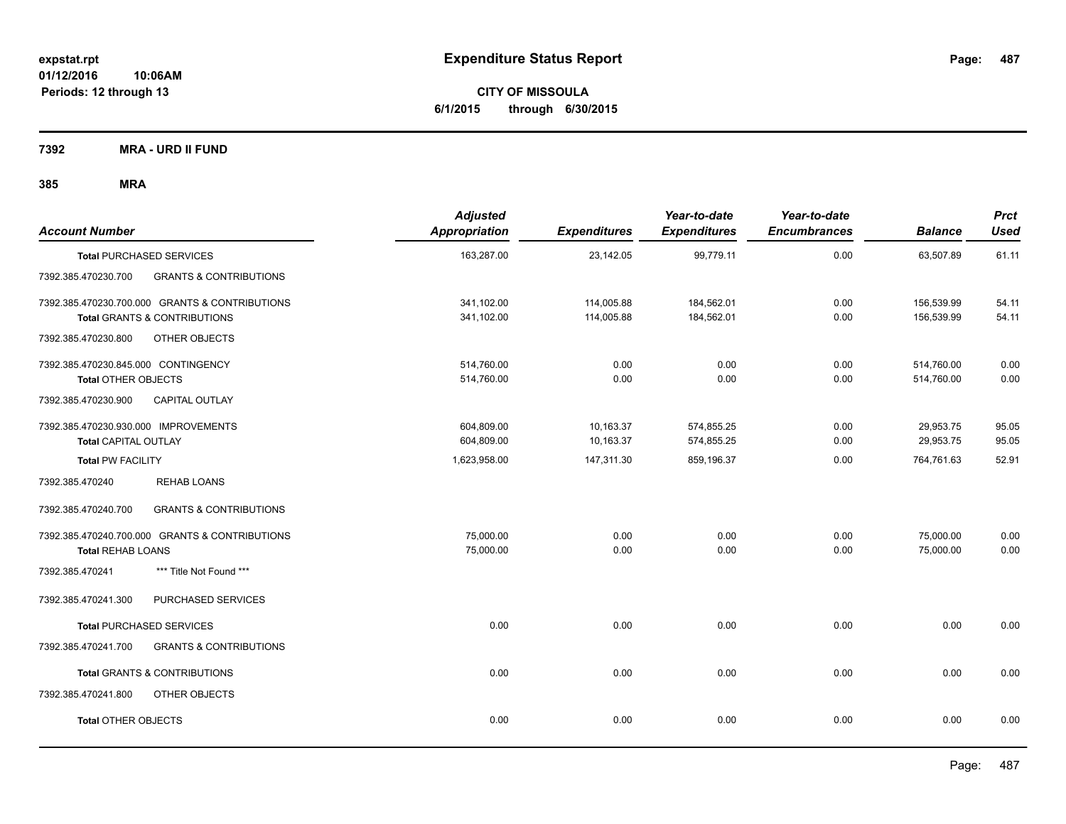**CITY OF MISSOULA 6/1/2015 through 6/30/2015**

**7392 MRA - URD II FUND**

| <b>Account Number</b>                                                                                      | <b>Adjusted</b><br>Appropriation         | <b>Expenditures</b>                  | Year-to-date<br><b>Expenditures</b>    | Year-to-date<br><b>Encumbrances</b> | <b>Balance</b>                       | <b>Prct</b><br><b>Used</b> |
|------------------------------------------------------------------------------------------------------------|------------------------------------------|--------------------------------------|----------------------------------------|-------------------------------------|--------------------------------------|----------------------------|
| <b>Total PURCHASED SERVICES</b>                                                                            | 163,287.00                               | 23,142.05                            | 99,779.11                              | 0.00                                | 63.507.89                            | 61.11                      |
| 7392.385.470230.700<br><b>GRANTS &amp; CONTRIBUTIONS</b>                                                   |                                          |                                      |                                        |                                     |                                      |                            |
| 7392.385.470230.700.000 GRANTS & CONTRIBUTIONS<br><b>Total GRANTS &amp; CONTRIBUTIONS</b>                  | 341,102.00<br>341,102.00                 | 114,005.88<br>114,005.88             | 184,562.01<br>184,562.01               | 0.00<br>0.00                        | 156,539.99<br>156,539.99             | 54.11<br>54.11             |
| OTHER OBJECTS<br>7392.385.470230.800                                                                       |                                          |                                      |                                        |                                     |                                      |                            |
| 7392.385.470230.845.000 CONTINGENCY<br><b>Total OTHER OBJECTS</b><br>CAPITAL OUTLAY<br>7392.385.470230.900 | 514,760.00<br>514,760.00                 | 0.00<br>0.00                         | 0.00<br>0.00                           | 0.00<br>0.00                        | 514,760.00<br>514,760.00             | 0.00<br>0.00               |
| 7392.385.470230.930.000 IMPROVEMENTS<br><b>Total CAPITAL OUTLAY</b><br><b>Total PW FACILITY</b>            | 604,809.00<br>604,809.00<br>1,623,958.00 | 10,163.37<br>10,163.37<br>147,311.30 | 574,855.25<br>574,855.25<br>859,196.37 | 0.00<br>0.00<br>0.00                | 29,953.75<br>29,953.75<br>764,761.63 | 95.05<br>95.05<br>52.91    |
| 7392.385.470240<br><b>REHAB LOANS</b>                                                                      |                                          |                                      |                                        |                                     |                                      |                            |
| <b>GRANTS &amp; CONTRIBUTIONS</b><br>7392.385.470240.700                                                   |                                          |                                      |                                        |                                     |                                      |                            |
| 7392.385.470240.700.000 GRANTS & CONTRIBUTIONS<br><b>Total REHAB LOANS</b>                                 | 75,000.00<br>75,000.00                   | 0.00<br>0.00                         | 0.00<br>0.00                           | 0.00<br>0.00                        | 75,000.00<br>75,000.00               | 0.00<br>0.00               |
| *** Title Not Found ***<br>7392.385.470241                                                                 |                                          |                                      |                                        |                                     |                                      |                            |
| PURCHASED SERVICES<br>7392.385.470241.300                                                                  |                                          |                                      |                                        |                                     |                                      |                            |
| <b>Total PURCHASED SERVICES</b>                                                                            | 0.00                                     | 0.00                                 | 0.00                                   | 0.00                                | 0.00                                 | 0.00                       |
| 7392.385.470241.700<br><b>GRANTS &amp; CONTRIBUTIONS</b>                                                   |                                          |                                      |                                        |                                     |                                      |                            |
| Total GRANTS & CONTRIBUTIONS                                                                               | 0.00                                     | 0.00                                 | 0.00                                   | 0.00                                | 0.00                                 | 0.00                       |
| 7392.385.470241.800<br><b>OTHER OBJECTS</b>                                                                |                                          |                                      |                                        |                                     |                                      |                            |
| <b>Total OTHER OBJECTS</b>                                                                                 | 0.00                                     | 0.00                                 | 0.00                                   | 0.00                                | 0.00                                 | 0.00                       |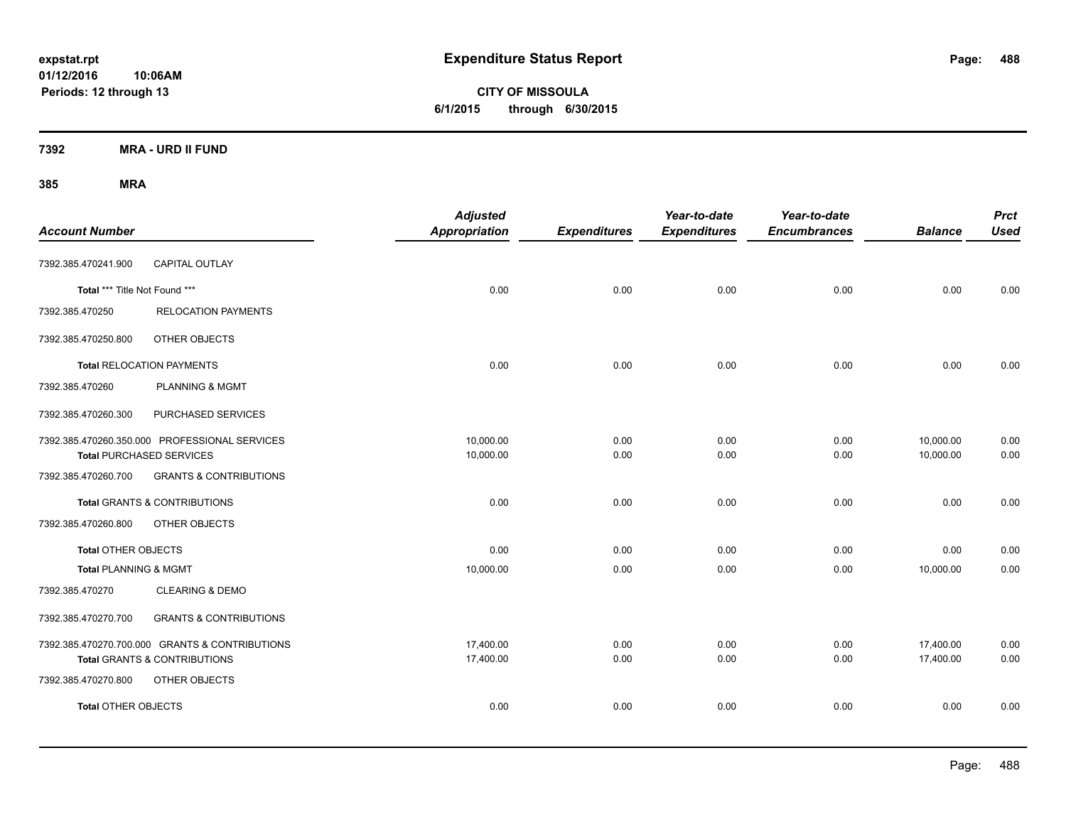**CITY OF MISSOULA 6/1/2015 through 6/30/2015**

**7392 MRA - URD II FUND**

| <b>Account Number</b>            |                                                                                           | <b>Adjusted</b><br>Appropriation | <b>Expenditures</b> | Year-to-date<br><b>Expenditures</b> | Year-to-date<br><b>Encumbrances</b> | <b>Balance</b>         | <b>Prct</b><br><b>Used</b> |
|----------------------------------|-------------------------------------------------------------------------------------------|----------------------------------|---------------------|-------------------------------------|-------------------------------------|------------------------|----------------------------|
| 7392.385.470241.900              | <b>CAPITAL OUTLAY</b>                                                                     |                                  |                     |                                     |                                     |                        |                            |
| Total *** Title Not Found ***    |                                                                                           | 0.00                             | 0.00                | 0.00                                | 0.00                                | 0.00                   | 0.00                       |
| 7392.385.470250                  | <b>RELOCATION PAYMENTS</b>                                                                |                                  |                     |                                     |                                     |                        |                            |
| 7392.385.470250.800              | OTHER OBJECTS                                                                             |                                  |                     |                                     |                                     |                        |                            |
|                                  | <b>Total RELOCATION PAYMENTS</b>                                                          | 0.00                             | 0.00                | 0.00                                | 0.00                                | 0.00                   | 0.00                       |
| 7392.385.470260                  | <b>PLANNING &amp; MGMT</b>                                                                |                                  |                     |                                     |                                     |                        |                            |
| 7392.385.470260.300              | PURCHASED SERVICES                                                                        |                                  |                     |                                     |                                     |                        |                            |
|                                  | 7392.385.470260.350.000 PROFESSIONAL SERVICES<br><b>Total PURCHASED SERVICES</b>          | 10,000.00<br>10,000.00           | 0.00<br>0.00        | 0.00<br>0.00                        | 0.00<br>0.00                        | 10,000.00<br>10,000.00 | 0.00<br>0.00               |
| 7392.385.470260.700              | <b>GRANTS &amp; CONTRIBUTIONS</b>                                                         |                                  |                     |                                     |                                     |                        |                            |
|                                  | <b>Total GRANTS &amp; CONTRIBUTIONS</b>                                                   | 0.00                             | 0.00                | 0.00                                | 0.00                                | 0.00                   | 0.00                       |
| 7392.385.470260.800              | OTHER OBJECTS                                                                             |                                  |                     |                                     |                                     |                        |                            |
| <b>Total OTHER OBJECTS</b>       |                                                                                           | 0.00                             | 0.00                | 0.00                                | 0.00                                | 0.00                   | 0.00                       |
| <b>Total PLANNING &amp; MGMT</b> |                                                                                           | 10,000.00                        | 0.00                | 0.00                                | 0.00                                | 10,000.00              | 0.00                       |
| 7392.385.470270                  | <b>CLEARING &amp; DEMO</b>                                                                |                                  |                     |                                     |                                     |                        |                            |
| 7392.385.470270.700              | <b>GRANTS &amp; CONTRIBUTIONS</b>                                                         |                                  |                     |                                     |                                     |                        |                            |
|                                  | 7392.385.470270.700.000 GRANTS & CONTRIBUTIONS<br><b>Total GRANTS &amp; CONTRIBUTIONS</b> | 17,400.00<br>17,400.00           | 0.00<br>0.00        | 0.00<br>0.00                        | 0.00<br>0.00                        | 17,400.00<br>17,400.00 | 0.00<br>0.00               |
| 7392.385.470270.800              | OTHER OBJECTS                                                                             |                                  |                     |                                     |                                     |                        |                            |
| <b>Total OTHER OBJECTS</b>       |                                                                                           | 0.00                             | 0.00                | 0.00                                | 0.00                                | 0.00                   | 0.00                       |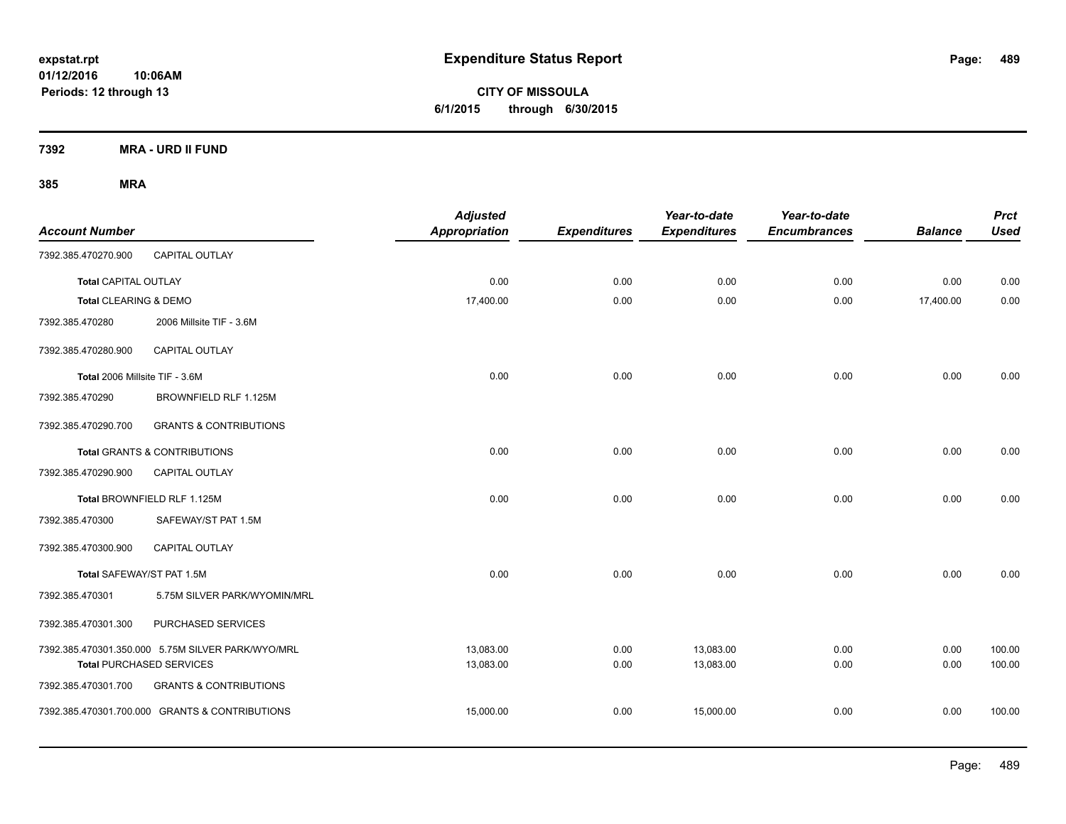**CITY OF MISSOULA 6/1/2015 through 6/30/2015**

**7392 MRA - URD II FUND**

| <b>Account Number</b>          |                                                   | <b>Adjusted</b><br>Appropriation | <b>Expenditures</b> | Year-to-date<br><b>Expenditures</b> | Year-to-date<br><b>Encumbrances</b> | <b>Balance</b> | <b>Prct</b><br><b>Used</b> |
|--------------------------------|---------------------------------------------------|----------------------------------|---------------------|-------------------------------------|-------------------------------------|----------------|----------------------------|
| 7392.385.470270.900            | <b>CAPITAL OUTLAY</b>                             |                                  |                     |                                     |                                     |                |                            |
| <b>Total CAPITAL OUTLAY</b>    |                                                   | 0.00                             | 0.00                | 0.00                                | 0.00                                | 0.00           | 0.00                       |
| Total CLEARING & DEMO          |                                                   | 17,400.00                        | 0.00                | 0.00                                | 0.00                                | 17,400.00      | 0.00                       |
| 7392.385.470280                | 2006 Millsite TIF - 3.6M                          |                                  |                     |                                     |                                     |                |                            |
| 7392.385.470280.900            | CAPITAL OUTLAY                                    |                                  |                     |                                     |                                     |                |                            |
| Total 2006 Millsite TIF - 3.6M |                                                   | 0.00                             | 0.00                | 0.00                                | 0.00                                | 0.00           | 0.00                       |
| 7392.385.470290                | BROWNFIELD RLF 1.125M                             |                                  |                     |                                     |                                     |                |                            |
| 7392.385.470290.700            | <b>GRANTS &amp; CONTRIBUTIONS</b>                 |                                  |                     |                                     |                                     |                |                            |
|                                | Total GRANTS & CONTRIBUTIONS                      | 0.00                             | 0.00                | 0.00                                | 0.00                                | 0.00           | 0.00                       |
| 7392.385.470290.900            | <b>CAPITAL OUTLAY</b>                             |                                  |                     |                                     |                                     |                |                            |
|                                | Total BROWNFIELD RLF 1.125M                       | 0.00                             | 0.00                | 0.00                                | 0.00                                | 0.00           | 0.00                       |
| 7392.385.470300                | SAFEWAY/ST PAT 1.5M                               |                                  |                     |                                     |                                     |                |                            |
| 7392.385.470300.900            | <b>CAPITAL OUTLAY</b>                             |                                  |                     |                                     |                                     |                |                            |
| Total SAFEWAY/ST PAT 1.5M      |                                                   | 0.00                             | 0.00                | 0.00                                | 0.00                                | 0.00           | 0.00                       |
| 7392.385.470301                | 5.75M SILVER PARK/WYOMIN/MRL                      |                                  |                     |                                     |                                     |                |                            |
| 7392.385.470301.300            | PURCHASED SERVICES                                |                                  |                     |                                     |                                     |                |                            |
|                                | 7392.385.470301.350.000 5.75M SILVER PARK/WYO/MRL | 13,083.00                        | 0.00                | 13,083.00                           | 0.00                                | 0.00           | 100.00                     |
|                                | <b>Total PURCHASED SERVICES</b>                   | 13,083.00                        | 0.00                | 13,083.00                           | 0.00                                | 0.00           | 100.00                     |
| 7392.385.470301.700            | <b>GRANTS &amp; CONTRIBUTIONS</b>                 |                                  |                     |                                     |                                     |                |                            |
|                                | 7392.385.470301.700.000 GRANTS & CONTRIBUTIONS    | 15,000.00                        | 0.00                | 15,000.00                           | 0.00                                | 0.00           | 100.00                     |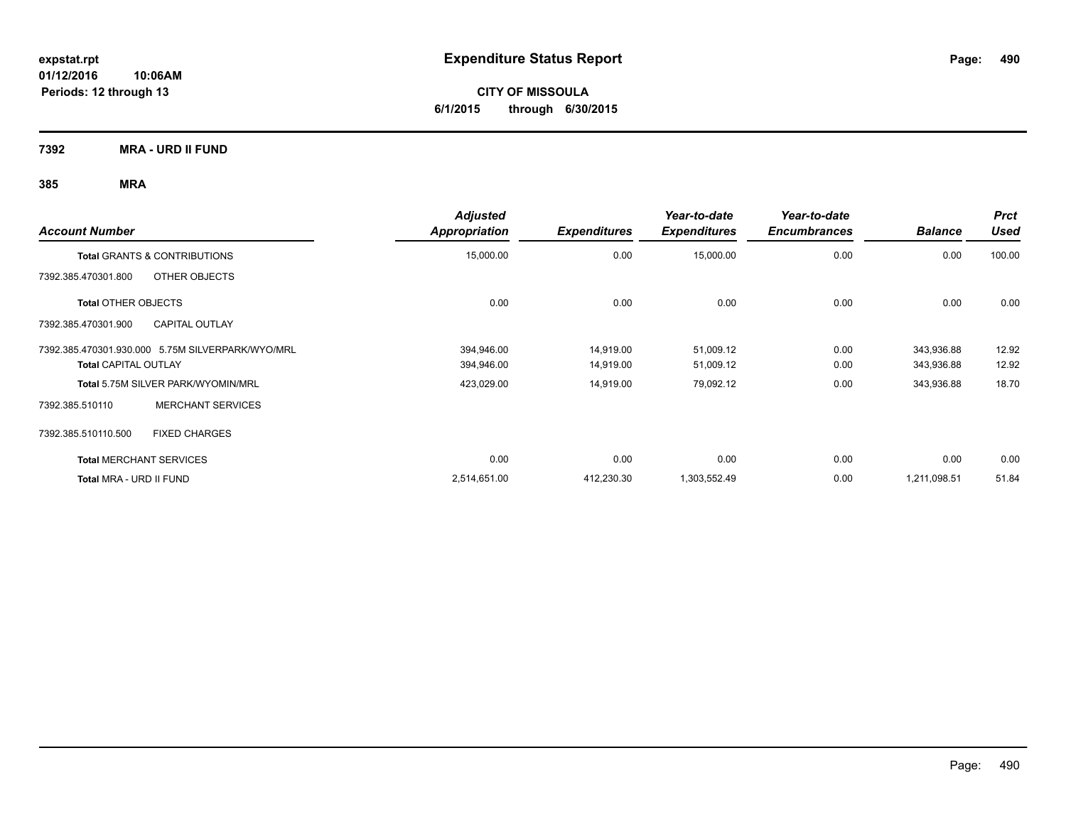**CITY OF MISSOULA 6/1/2015 through 6/30/2015**

**7392 MRA - URD II FUND**

| <b>Account Number</b>                            | <b>Adjusted</b><br><b>Appropriation</b> | <b>Expenditures</b> | Year-to-date<br><b>Expenditures</b> | Year-to-date<br><b>Encumbrances</b> | <b>Balance</b> | <b>Prct</b><br>Used |
|--------------------------------------------------|-----------------------------------------|---------------------|-------------------------------------|-------------------------------------|----------------|---------------------|
| <b>Total GRANTS &amp; CONTRIBUTIONS</b>          | 15,000.00                               | 0.00                | 15,000.00                           | 0.00                                | 0.00           | 100.00              |
| 7392.385.470301.800<br>OTHER OBJECTS             |                                         |                     |                                     |                                     |                |                     |
| <b>Total OTHER OBJECTS</b>                       | 0.00                                    | 0.00                | 0.00                                | 0.00                                | 0.00           | 0.00                |
| 7392.385.470301.900<br><b>CAPITAL OUTLAY</b>     |                                         |                     |                                     |                                     |                |                     |
| 7392.385.470301.930.000 5.75M SILVERPARK/WYO/MRL | 394,946.00                              | 14,919.00           | 51,009.12                           | 0.00                                | 343,936.88     | 12.92               |
| <b>Total CAPITAL OUTLAY</b>                      | 394,946.00                              | 14,919.00           | 51,009.12                           | 0.00                                | 343,936.88     | 12.92               |
| Total 5.75M SILVER PARK/WYOMIN/MRL               | 423,029.00                              | 14,919.00           | 79,092.12                           | 0.00                                | 343,936.88     | 18.70               |
| 7392.385.510110<br><b>MERCHANT SERVICES</b>      |                                         |                     |                                     |                                     |                |                     |
| <b>FIXED CHARGES</b><br>7392.385.510110.500      |                                         |                     |                                     |                                     |                |                     |
| <b>Total MERCHANT SERVICES</b>                   | 0.00                                    | 0.00                | 0.00                                | 0.00                                | 0.00           | 0.00                |
| Total MRA - URD II FUND                          | 2,514,651.00                            | 412,230.30          | 1,303,552.49                        | 0.00                                | 1,211,098.51   | 51.84               |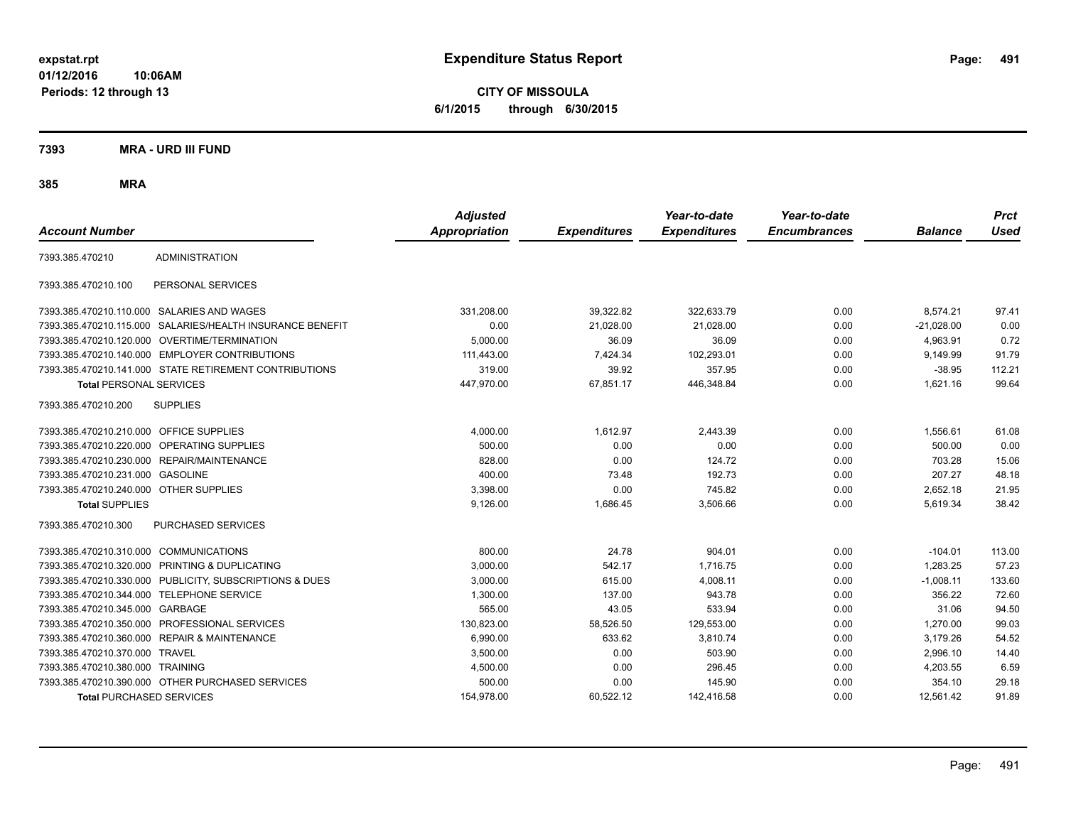**CITY OF MISSOULA 6/1/2015 through 6/30/2015**

**7393 MRA - URD III FUND**

| <b>Account Number</b>                   |                                                         | <b>Adjusted</b><br><b>Appropriation</b> | <b>Expenditures</b> | Year-to-date<br><b>Expenditures</b> | Year-to-date<br><b>Encumbrances</b> | <b>Balance</b> | <b>Prct</b><br><b>Used</b> |
|-----------------------------------------|---------------------------------------------------------|-----------------------------------------|---------------------|-------------------------------------|-------------------------------------|----------------|----------------------------|
| 7393.385.470210                         | <b>ADMINISTRATION</b>                                   |                                         |                     |                                     |                                     |                |                            |
| 7393.385.470210.100                     | PERSONAL SERVICES                                       |                                         |                     |                                     |                                     |                |                            |
|                                         | 7393.385.470210.110.000 SALARIES AND WAGES              | 331,208.00                              | 39,322.82           | 322,633.79                          | 0.00                                | 8,574.21       | 97.41                      |
| 7393.385.470210.115.000                 | SALARIES/HEALTH INSURANCE BENEFIT                       | 0.00                                    | 21,028.00           | 21,028.00                           | 0.00                                | $-21,028.00$   | 0.00                       |
|                                         | 7393.385.470210.120.000 OVERTIME/TERMINATION            | 5,000.00                                | 36.09               | 36.09                               | 0.00                                | 4,963.91       | 0.72                       |
|                                         | 7393.385.470210.140.000 EMPLOYER CONTRIBUTIONS          | 111,443.00                              | 7,424.34            | 102,293.01                          | 0.00                                | 9,149.99       | 91.79                      |
|                                         | 7393.385.470210.141.000 STATE RETIREMENT CONTRIBUTIONS  | 319.00                                  | 39.92               | 357.95                              | 0.00                                | $-38.95$       | 112.21                     |
| <b>Total PERSONAL SERVICES</b>          |                                                         | 447,970.00                              | 67,851.17           | 446,348.84                          | 0.00                                | 1,621.16       | 99.64                      |
| 7393.385.470210.200                     | <b>SUPPLIES</b>                                         |                                         |                     |                                     |                                     |                |                            |
| 7393.385.470210.210.000 OFFICE SUPPLIES |                                                         | 4,000.00                                | 1,612.97            | 2,443.39                            | 0.00                                | 1,556.61       | 61.08                      |
| 7393.385.470210.220.000                 | OPERATING SUPPLIES                                      | 500.00                                  | 0.00                | 0.00                                | 0.00                                | 500.00         | 0.00                       |
|                                         | 7393.385.470210.230.000 REPAIR/MAINTENANCE              | 828.00                                  | 0.00                | 124.72                              | 0.00                                | 703.28         | 15.06                      |
| 7393.385.470210.231.000 GASOLINE        |                                                         | 400.00                                  | 73.48               | 192.73                              | 0.00                                | 207.27         | 48.18                      |
| 7393.385.470210.240.000 OTHER SUPPLIES  |                                                         | 3,398.00                                | 0.00                | 745.82                              | 0.00                                | 2,652.18       | 21.95                      |
| <b>Total SUPPLIES</b>                   |                                                         | 9,126.00                                | 1,686.45            | 3,506.66                            | 0.00                                | 5,619.34       | 38.42                      |
| 7393.385.470210.300                     | PURCHASED SERVICES                                      |                                         |                     |                                     |                                     |                |                            |
| 7393.385.470210.310.000                 | <b>COMMUNICATIONS</b>                                   | 800.00                                  | 24.78               | 904.01                              | 0.00                                | $-104.01$      | 113.00                     |
|                                         | 7393.385.470210.320.000 PRINTING & DUPLICATING          | 3,000.00                                | 542.17              | 1.716.75                            | 0.00                                | 1,283.25       | 57.23                      |
|                                         | 7393.385.470210.330.000 PUBLICITY, SUBSCRIPTIONS & DUES | 3,000.00                                | 615.00              | 4,008.11                            | 0.00                                | $-1,008.11$    | 133.60                     |
|                                         | 7393.385.470210.344.000 TELEPHONE SERVICE               | 1,300.00                                | 137.00              | 943.78                              | 0.00                                | 356.22         | 72.60                      |
| 7393.385.470210.345.000                 | GARBAGE                                                 | 565.00                                  | 43.05               | 533.94                              | 0.00                                | 31.06          | 94.50                      |
| 7393.385.470210.350.000                 | PROFESSIONAL SERVICES                                   | 130,823.00                              | 58,526.50           | 129,553.00                          | 0.00                                | 1,270.00       | 99.03                      |
| 7393.385.470210.360.000                 | <b>REPAIR &amp; MAINTENANCE</b>                         | 6,990.00                                | 633.62              | 3,810.74                            | 0.00                                | 3,179.26       | 54.52                      |
| 7393.385.470210.370.000 TRAVEL          |                                                         | 3,500.00                                | 0.00                | 503.90                              | 0.00                                | 2,996.10       | 14.40                      |
| 7393.385.470210.380.000 TRAINING        |                                                         | 4,500.00                                | 0.00                | 296.45                              | 0.00                                | 4,203.55       | 6.59                       |
|                                         | 7393.385.470210.390.000 OTHER PURCHASED SERVICES        | 500.00                                  | 0.00                | 145.90                              | 0.00                                | 354.10         | 29.18                      |
| <b>Total PURCHASED SERVICES</b>         |                                                         | 154,978.00                              | 60,522.12           | 142,416.58                          | 0.00                                | 12,561.42      | 91.89                      |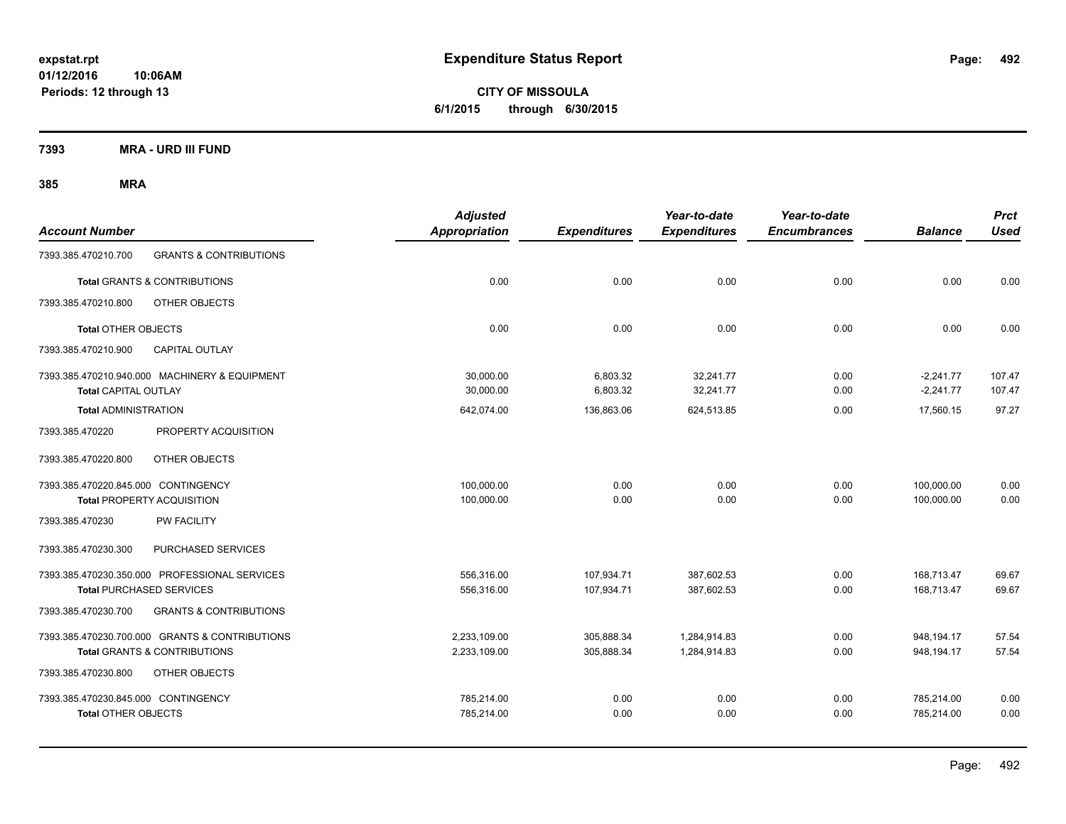**CITY OF MISSOULA 6/1/2015 through 6/30/2015**

**7393 MRA - URD III FUND**

| <b>Account Number</b>                                      |                                                                                           | <b>Adjusted</b><br><b>Appropriation</b> | <b>Expenditures</b>      | Year-to-date<br><b>Expenditures</b> | Year-to-date<br><b>Encumbrances</b> | <b>Balance</b>             | <b>Prct</b><br><b>Used</b> |
|------------------------------------------------------------|-------------------------------------------------------------------------------------------|-----------------------------------------|--------------------------|-------------------------------------|-------------------------------------|----------------------------|----------------------------|
| 7393.385.470210.700                                        | <b>GRANTS &amp; CONTRIBUTIONS</b>                                                         |                                         |                          |                                     |                                     |                            |                            |
|                                                            | <b>Total GRANTS &amp; CONTRIBUTIONS</b>                                                   | 0.00                                    | 0.00                     | 0.00                                | 0.00                                | 0.00                       | 0.00                       |
| 7393.385.470210.800                                        | OTHER OBJECTS                                                                             |                                         |                          |                                     |                                     |                            |                            |
| <b>Total OTHER OBJECTS</b>                                 |                                                                                           | 0.00                                    | 0.00                     | 0.00                                | 0.00                                | 0.00                       | 0.00                       |
| 7393.385.470210.900                                        | <b>CAPITAL OUTLAY</b>                                                                     |                                         |                          |                                     |                                     |                            |                            |
| <b>Total CAPITAL OUTLAY</b>                                | 7393.385.470210.940.000 MACHINERY & EQUIPMENT                                             | 30,000.00<br>30,000.00                  | 6,803.32<br>6,803.32     | 32,241.77<br>32,241.77              | 0.00<br>0.00                        | $-2,241.77$<br>$-2,241.77$ | 107.47<br>107.47           |
| <b>Total ADMINISTRATION</b>                                |                                                                                           | 642,074.00                              | 136,863.06               | 624,513.85                          | 0.00                                | 17.560.15                  | 97.27                      |
| 7393.385.470220                                            | PROPERTY ACQUISITION                                                                      |                                         |                          |                                     |                                     |                            |                            |
| 7393.385.470220.800                                        | OTHER OBJECTS                                                                             |                                         |                          |                                     |                                     |                            |                            |
| 7393.385.470220.845.000 CONTINGENCY                        | <b>Total PROPERTY ACQUISITION</b>                                                         | 100,000.00<br>100,000.00                | 0.00<br>0.00             | 0.00<br>0.00                        | 0.00<br>0.00                        | 100,000.00<br>100,000.00   | 0.00<br>0.00               |
| 7393.385.470230                                            | <b>PW FACILITY</b>                                                                        |                                         |                          |                                     |                                     |                            |                            |
| 7393.385.470230.300                                        | PURCHASED SERVICES                                                                        |                                         |                          |                                     |                                     |                            |                            |
|                                                            | 7393.385.470230.350.000 PROFESSIONAL SERVICES<br><b>Total PURCHASED SERVICES</b>          | 556,316.00<br>556,316.00                | 107,934.71<br>107,934.71 | 387,602.53<br>387,602.53            | 0.00<br>0.00                        | 168,713.47<br>168,713.47   | 69.67<br>69.67             |
| 7393.385.470230.700                                        | <b>GRANTS &amp; CONTRIBUTIONS</b>                                                         |                                         |                          |                                     |                                     |                            |                            |
|                                                            | 7393.385.470230.700.000 GRANTS & CONTRIBUTIONS<br><b>Total GRANTS &amp; CONTRIBUTIONS</b> | 2,233,109.00<br>2,233,109.00            | 305,888.34<br>305,888.34 | 1,284,914.83<br>1,284,914.83        | 0.00<br>0.00                        | 948,194.17<br>948,194.17   | 57.54<br>57.54             |
| 7393.385.470230.800                                        | OTHER OBJECTS                                                                             |                                         |                          |                                     |                                     |                            |                            |
| 7393.385.470230.845.000 CONTINGENCY<br>Total OTHER OBJECTS |                                                                                           | 785,214.00<br>785,214.00                | 0.00<br>0.00             | 0.00<br>0.00                        | 0.00<br>0.00                        | 785,214.00<br>785,214.00   | 0.00<br>0.00               |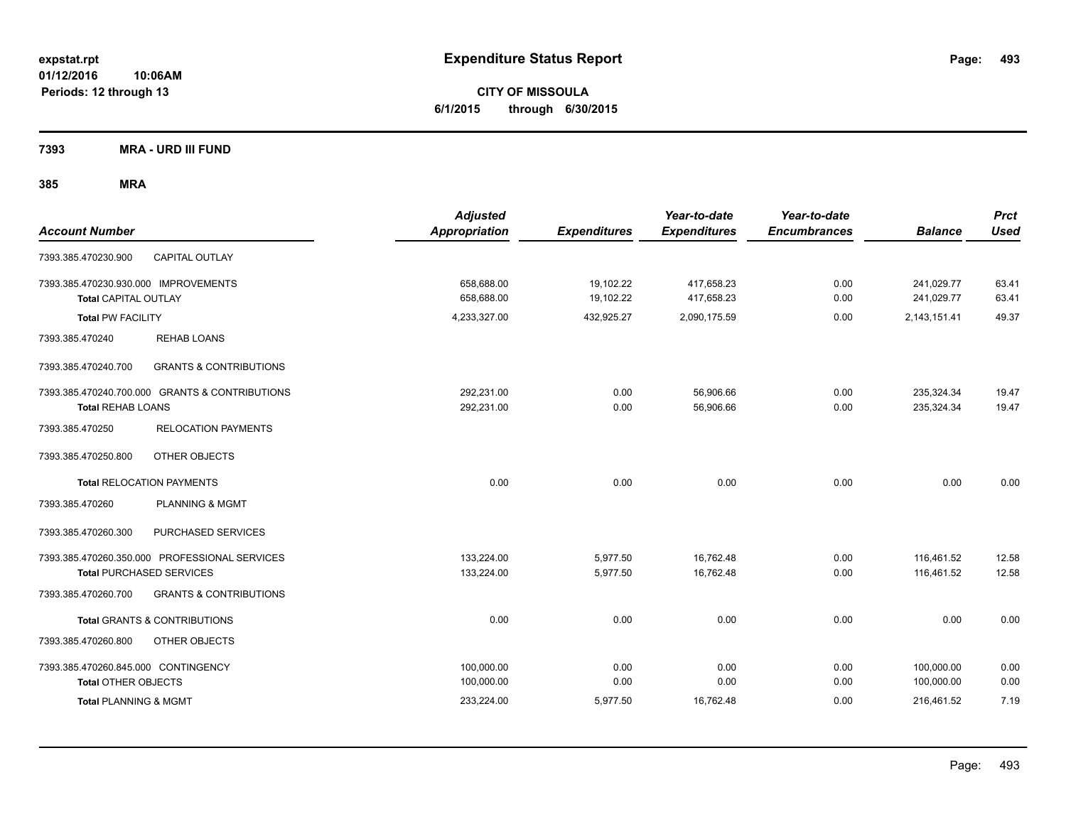**CITY OF MISSOULA 6/1/2015 through 6/30/2015**

**7393 MRA - URD III FUND**

| <b>Account Number</b>                                                            | <b>Adjusted</b><br><b>Appropriation</b> | <b>Expenditures</b>    | Year-to-date<br><b>Expenditures</b> | Year-to-date<br><b>Encumbrances</b> | <b>Balance</b>           | <b>Prct</b><br><b>Used</b> |
|----------------------------------------------------------------------------------|-----------------------------------------|------------------------|-------------------------------------|-------------------------------------|--------------------------|----------------------------|
| <b>CAPITAL OUTLAY</b><br>7393.385.470230.900                                     |                                         |                        |                                     |                                     |                          |                            |
| 7393.385.470230.930.000 IMPROVEMENTS<br><b>Total CAPITAL OUTLAY</b>              | 658.688.00<br>658,688.00                | 19,102.22<br>19,102.22 | 417,658.23<br>417,658.23            | 0.00<br>0.00                        | 241,029.77<br>241,029.77 | 63.41<br>63.41             |
| <b>Total PW FACILITY</b>                                                         | 4,233,327.00                            | 432,925.27             | 2,090,175.59                        | 0.00                                | 2,143,151.41             | 49.37                      |
| 7393.385.470240<br><b>REHAB LOANS</b>                                            |                                         |                        |                                     |                                     |                          |                            |
| <b>GRANTS &amp; CONTRIBUTIONS</b><br>7393.385.470240.700                         |                                         |                        |                                     |                                     |                          |                            |
| 7393.385.470240.700.000 GRANTS & CONTRIBUTIONS<br><b>Total REHAB LOANS</b>       | 292,231.00<br>292.231.00                | 0.00<br>0.00           | 56,906.66<br>56.906.66              | 0.00<br>0.00                        | 235,324.34<br>235,324.34 | 19.47<br>19.47             |
| <b>RELOCATION PAYMENTS</b><br>7393.385.470250                                    |                                         |                        |                                     |                                     |                          |                            |
| 7393.385.470250.800<br><b>OTHER OBJECTS</b>                                      |                                         |                        |                                     |                                     |                          |                            |
| <b>Total RELOCATION PAYMENTS</b>                                                 | 0.00                                    | 0.00                   | 0.00                                | 0.00                                | 0.00                     | 0.00                       |
| <b>PLANNING &amp; MGMT</b><br>7393.385.470260                                    |                                         |                        |                                     |                                     |                          |                            |
| 7393.385.470260.300<br>PURCHASED SERVICES                                        |                                         |                        |                                     |                                     |                          |                            |
| 7393.385.470260.350.000 PROFESSIONAL SERVICES<br><b>Total PURCHASED SERVICES</b> | 133,224.00<br>133,224.00                | 5,977.50<br>5,977.50   | 16,762.48<br>16,762.48              | 0.00<br>0.00                        | 116,461.52<br>116,461.52 | 12.58<br>12.58             |
| 7393.385.470260.700<br><b>GRANTS &amp; CONTRIBUTIONS</b>                         |                                         |                        |                                     |                                     |                          |                            |
| <b>Total GRANTS &amp; CONTRIBUTIONS</b>                                          | 0.00                                    | 0.00                   | 0.00                                | 0.00                                | 0.00                     | 0.00                       |
| 7393.385.470260.800<br>OTHER OBJECTS                                             |                                         |                        |                                     |                                     |                          |                            |
| 7393.385.470260.845.000 CONTINGENCY<br><b>Total OTHER OBJECTS</b>                | 100,000.00<br>100,000.00                | 0.00<br>0.00           | 0.00<br>0.00                        | 0.00<br>0.00                        | 100,000.00<br>100,000.00 | 0.00<br>0.00               |
| <b>Total PLANNING &amp; MGMT</b>                                                 | 233,224.00                              | 5,977.50               | 16,762.48                           | 0.00                                | 216,461.52               | 7.19                       |
|                                                                                  |                                         |                        |                                     |                                     |                          |                            |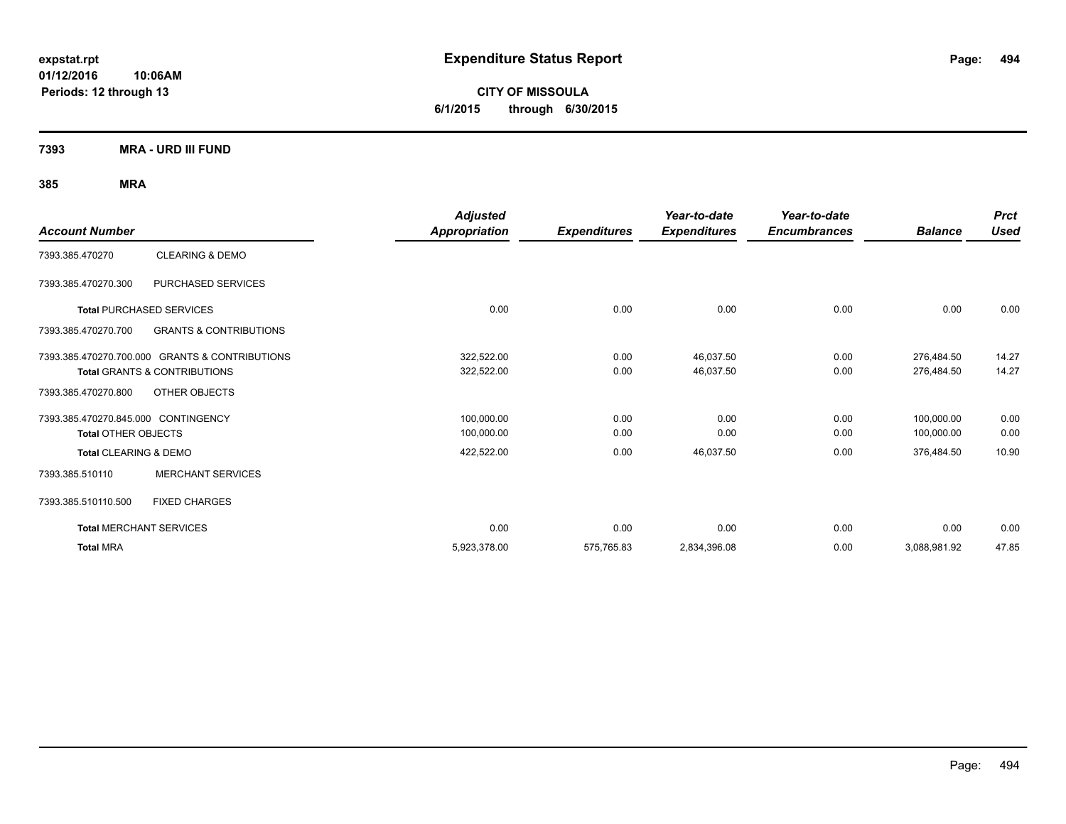**CITY OF MISSOULA 6/1/2015 through 6/30/2015**

**7393 MRA - URD III FUND**

|                                     |                                                | <b>Adjusted</b> |                     | Year-to-date        | Year-to-date        |                | <b>Prct</b> |
|-------------------------------------|------------------------------------------------|-----------------|---------------------|---------------------|---------------------|----------------|-------------|
| <b>Account Number</b>               |                                                | Appropriation   | <b>Expenditures</b> | <b>Expenditures</b> | <b>Encumbrances</b> | <b>Balance</b> | <b>Used</b> |
| 7393.385.470270                     | <b>CLEARING &amp; DEMO</b>                     |                 |                     |                     |                     |                |             |
| 7393.385.470270.300                 | PURCHASED SERVICES                             |                 |                     |                     |                     |                |             |
|                                     | <b>Total PURCHASED SERVICES</b>                | 0.00            | 0.00                | 0.00                | 0.00                | 0.00           | 0.00        |
| 7393.385.470270.700                 | <b>GRANTS &amp; CONTRIBUTIONS</b>              |                 |                     |                     |                     |                |             |
|                                     | 7393.385.470270.700.000 GRANTS & CONTRIBUTIONS | 322,522.00      | 0.00                | 46,037.50           | 0.00                | 276.484.50     | 14.27       |
|                                     | <b>Total GRANTS &amp; CONTRIBUTIONS</b>        | 322,522.00      | 0.00                | 46,037.50           | 0.00                | 276,484.50     | 14.27       |
| 7393.385.470270.800                 | OTHER OBJECTS                                  |                 |                     |                     |                     |                |             |
| 7393.385.470270.845.000 CONTINGENCY |                                                | 100,000.00      | 0.00                | 0.00                | 0.00                | 100,000.00     | 0.00        |
| <b>Total OTHER OBJECTS</b>          |                                                | 100,000.00      | 0.00                | 0.00                | 0.00                | 100,000.00     | 0.00        |
| Total CLEARING & DEMO               |                                                | 422,522.00      | 0.00                | 46,037.50           | 0.00                | 376,484.50     | 10.90       |
| 7393.385.510110                     | <b>MERCHANT SERVICES</b>                       |                 |                     |                     |                     |                |             |
| 7393.385.510110.500                 | <b>FIXED CHARGES</b>                           |                 |                     |                     |                     |                |             |
|                                     | <b>Total MERCHANT SERVICES</b>                 | 0.00            | 0.00                | 0.00                | 0.00                | 0.00           | 0.00        |
| <b>Total MRA</b>                    |                                                | 5,923,378.00    | 575,765.83          | 2,834,396.08        | 0.00                | 3,088,981.92   | 47.85       |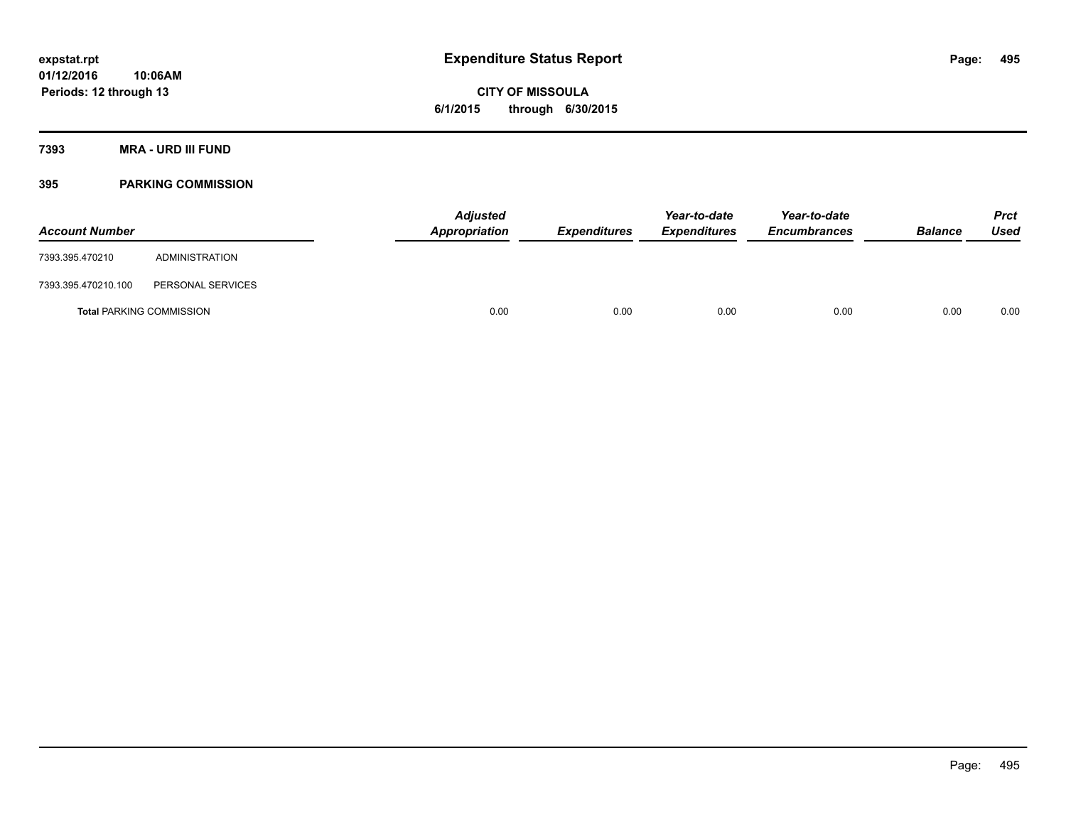# **CITY OF MISSOULA 6/1/2015 through 6/30/2015**

### **7393 MRA - URD III FUND**

### **395 PARKING COMMISSION**

| <b>Account Number</b>           |                   | <b>Adjusted</b><br>Appropriation | <b>Expenditures</b> | Year-to-date<br><b>Expenditures</b> | Year-to-date<br><b>Encumbrances</b> | <b>Balance</b> | <b>Prct</b><br>Used |
|---------------------------------|-------------------|----------------------------------|---------------------|-------------------------------------|-------------------------------------|----------------|---------------------|
| 7393.395.470210                 | ADMINISTRATION    |                                  |                     |                                     |                                     |                |                     |
| 7393.395.470210.100             | PERSONAL SERVICES |                                  |                     |                                     |                                     |                |                     |
| <b>Total PARKING COMMISSION</b> |                   | 0.00                             | 0.00                | 0.00                                | 0.00                                | 0.00           | 0.00                |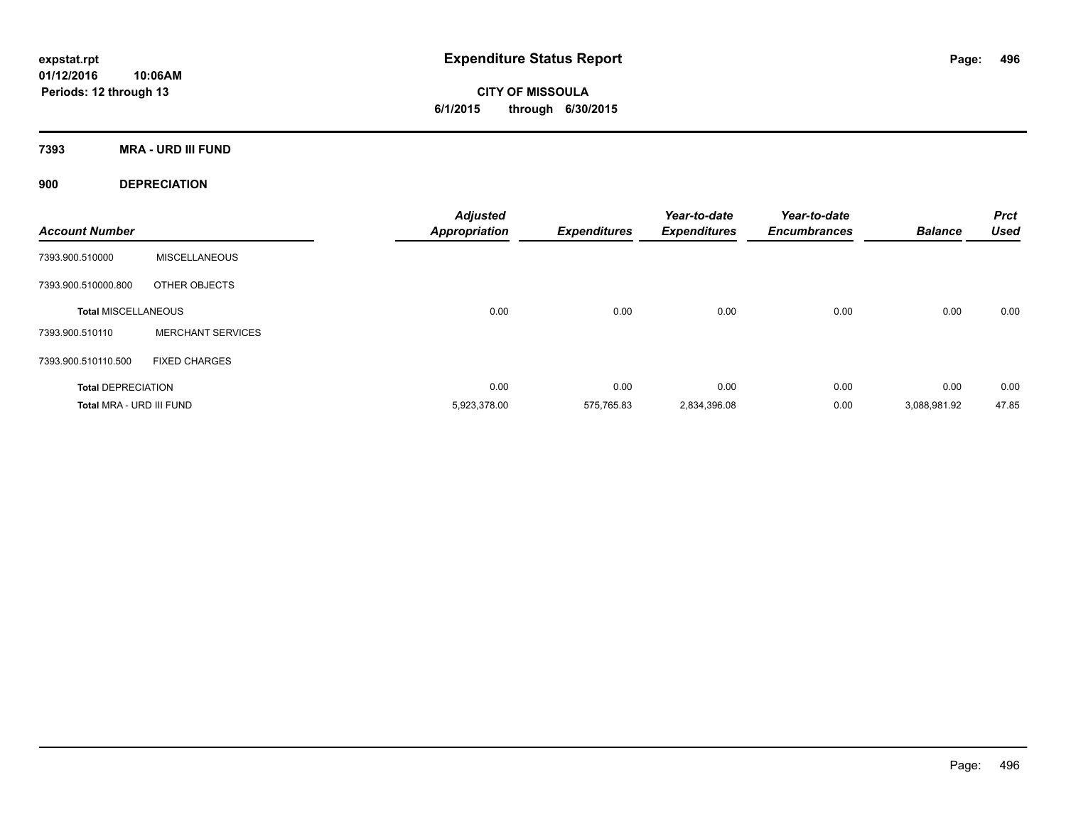**7393 MRA - URD III FUND**

**900 DEPRECIATION**

| <b>Account Number</b>      |                          | <b>Adjusted</b><br><b>Appropriation</b> | <b>Expenditures</b> | Year-to-date<br><b>Expenditures</b> | Year-to-date<br><b>Encumbrances</b> | <b>Balance</b> | <b>Prct</b><br><b>Used</b> |
|----------------------------|--------------------------|-----------------------------------------|---------------------|-------------------------------------|-------------------------------------|----------------|----------------------------|
| 7393.900.510000            | <b>MISCELLANEOUS</b>     |                                         |                     |                                     |                                     |                |                            |
| 7393.900.510000.800        | OTHER OBJECTS            |                                         |                     |                                     |                                     |                |                            |
| <b>Total MISCELLANEOUS</b> |                          | 0.00                                    | 0.00                | 0.00                                | 0.00                                | 0.00           | 0.00                       |
| 7393.900.510110            | <b>MERCHANT SERVICES</b> |                                         |                     |                                     |                                     |                |                            |
| 7393.900.510110.500        | <b>FIXED CHARGES</b>     |                                         |                     |                                     |                                     |                |                            |
| <b>Total DEPRECIATION</b>  |                          | 0.00                                    | 0.00                | 0.00                                | 0.00                                | 0.00           | 0.00                       |
| Total MRA - URD III FUND   |                          | 5,923,378.00                            | 575.765.83          | 2,834,396.08                        | 0.00                                | 3,088,981.92   | 47.85                      |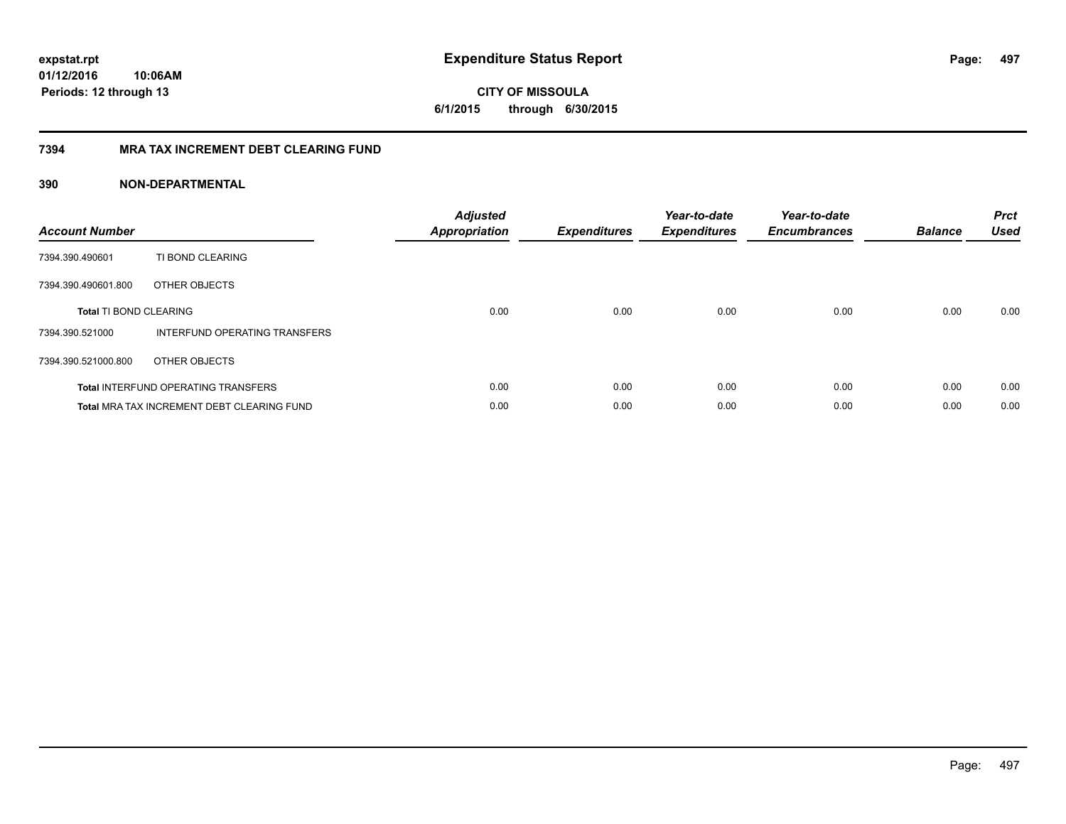**CITY OF MISSOULA 6/1/2015 through 6/30/2015**

### **7394 MRA TAX INCREMENT DEBT CLEARING FUND**

| <b>Account Number</b>         |                                                   | <b>Adjusted</b><br><b>Appropriation</b> | <b>Expenditures</b> | Year-to-date<br><b>Expenditures</b> | Year-to-date<br><b>Encumbrances</b> | <b>Balance</b> | <b>Prct</b><br><b>Used</b> |
|-------------------------------|---------------------------------------------------|-----------------------------------------|---------------------|-------------------------------------|-------------------------------------|----------------|----------------------------|
| 7394.390.490601               | TI BOND CLEARING                                  |                                         |                     |                                     |                                     |                |                            |
| 7394.390.490601.800           | OTHER OBJECTS                                     |                                         |                     |                                     |                                     |                |                            |
| <b>Total TI BOND CLEARING</b> |                                                   | 0.00                                    | 0.00                | 0.00                                | 0.00                                | 0.00           | 0.00                       |
| 7394.390.521000               | INTERFUND OPERATING TRANSFERS                     |                                         |                     |                                     |                                     |                |                            |
| 7394.390.521000.800           | OTHER OBJECTS                                     |                                         |                     |                                     |                                     |                |                            |
|                               | <b>Total INTERFUND OPERATING TRANSFERS</b>        | 0.00                                    | 0.00                | 0.00                                | 0.00                                | 0.00           | 0.00                       |
|                               | <b>Total MRA TAX INCREMENT DEBT CLEARING FUND</b> | 0.00                                    | 0.00                | 0.00                                | 0.00                                | 0.00           | 0.00                       |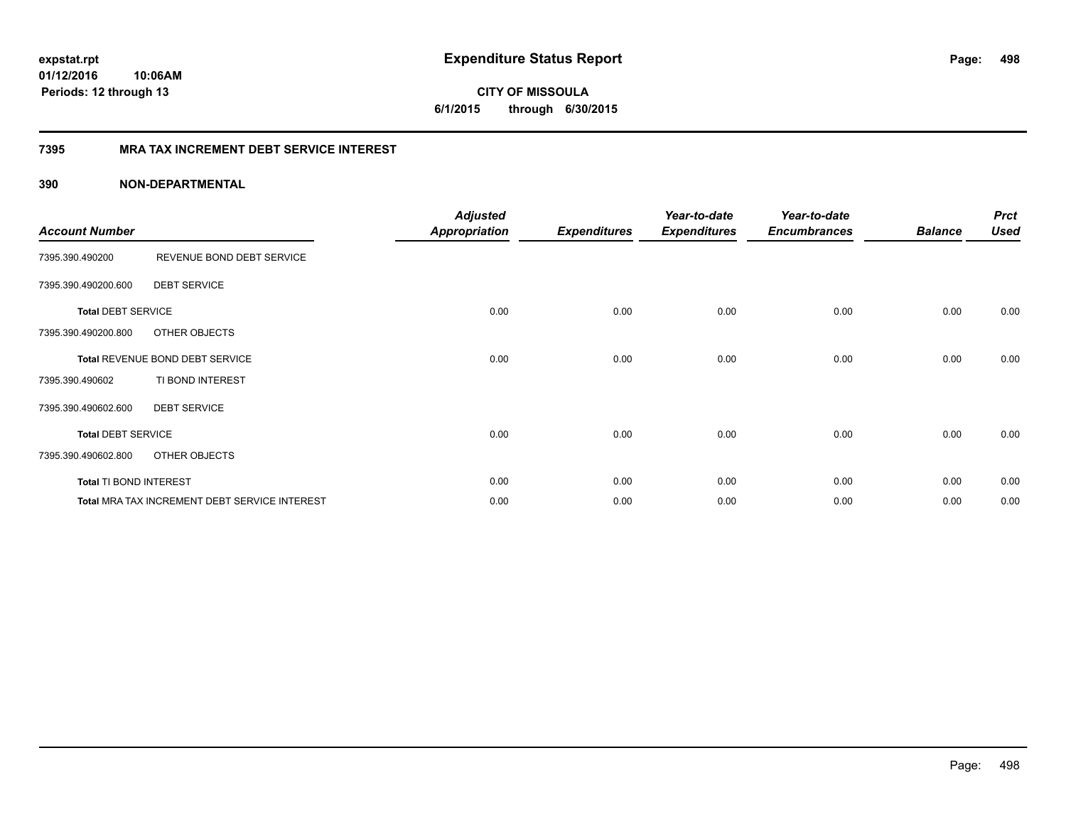### **7395 MRA TAX INCREMENT DEBT SERVICE INTEREST**

### **390 NON-DEPARTMENTAL**

| <b>Account Number</b>     |                                               | <b>Adjusted</b><br>Appropriation | <b>Expenditures</b> | Year-to-date<br><b>Expenditures</b> | Year-to-date<br><b>Encumbrances</b> | <b>Balance</b> | <b>Prct</b><br><b>Used</b> |
|---------------------------|-----------------------------------------------|----------------------------------|---------------------|-------------------------------------|-------------------------------------|----------------|----------------------------|
| 7395.390.490200           | REVENUE BOND DEBT SERVICE                     |                                  |                     |                                     |                                     |                |                            |
| 7395.390.490200.600       | <b>DEBT SERVICE</b>                           |                                  |                     |                                     |                                     |                |                            |
| <b>Total DEBT SERVICE</b> |                                               | 0.00                             | 0.00                | 0.00                                | 0.00                                | 0.00           | 0.00                       |
| 7395.390.490200.800       | OTHER OBJECTS                                 |                                  |                     |                                     |                                     |                |                            |
|                           | Total REVENUE BOND DEBT SERVICE               | 0.00                             | 0.00                | 0.00                                | 0.00                                | 0.00           | 0.00                       |
| 7395.390.490602           | TI BOND INTEREST                              |                                  |                     |                                     |                                     |                |                            |
| 7395.390.490602.600       | <b>DEBT SERVICE</b>                           |                                  |                     |                                     |                                     |                |                            |
| <b>Total DEBT SERVICE</b> |                                               | 0.00                             | 0.00                | 0.00                                | 0.00                                | 0.00           | 0.00                       |
| 7395.390.490602.800       | OTHER OBJECTS                                 |                                  |                     |                                     |                                     |                |                            |
| Total TI BOND INTEREST    |                                               | 0.00                             | 0.00                | 0.00                                | 0.00                                | 0.00           | 0.00                       |
|                           | Total MRA TAX INCREMENT DEBT SERVICE INTEREST | 0.00                             | 0.00                | 0.00                                | 0.00                                | 0.00           | 0.00                       |

**498**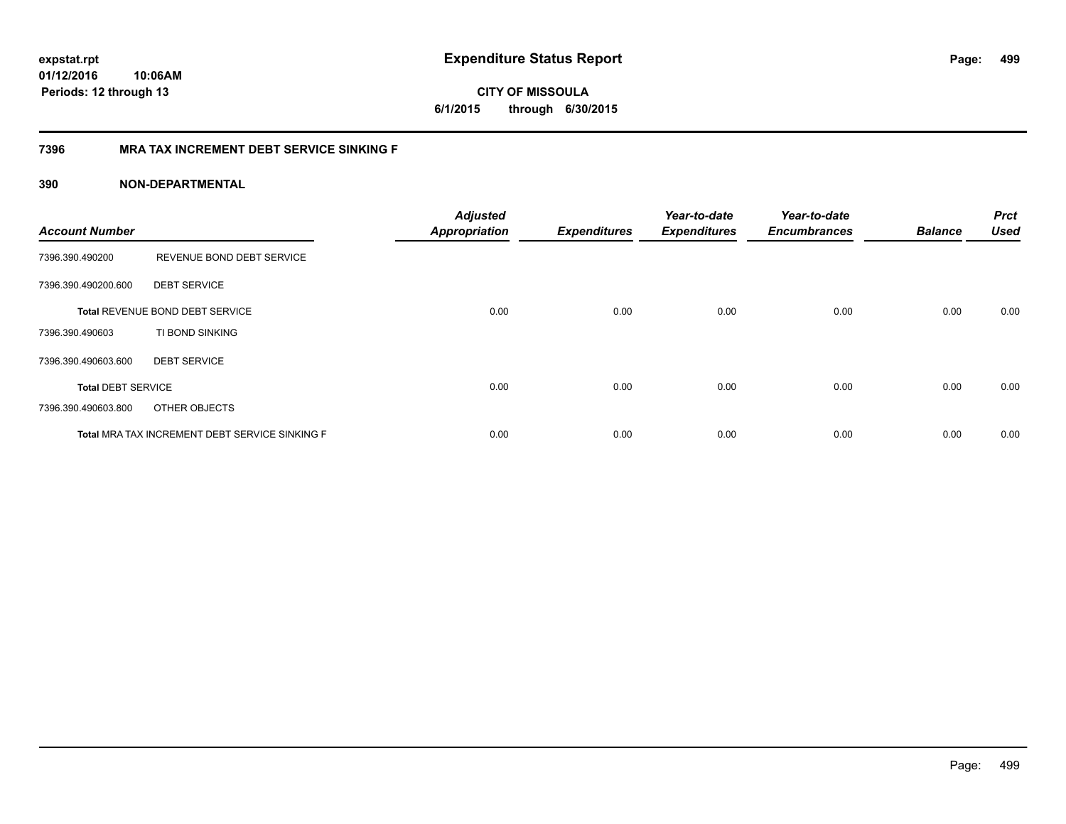### **7396 MRA TAX INCREMENT DEBT SERVICE SINKING F**

### **390 NON-DEPARTMENTAL**

| <b>Account Number</b>     |                                                | <b>Adjusted</b><br><b>Appropriation</b> | <b>Expenditures</b> | Year-to-date<br><b>Expenditures</b> | Year-to-date<br><b>Encumbrances</b> | <b>Balance</b> | <b>Prct</b><br><b>Used</b> |
|---------------------------|------------------------------------------------|-----------------------------------------|---------------------|-------------------------------------|-------------------------------------|----------------|----------------------------|
| 7396.390.490200           | REVENUE BOND DEBT SERVICE                      |                                         |                     |                                     |                                     |                |                            |
| 7396.390.490200.600       | <b>DEBT SERVICE</b>                            |                                         |                     |                                     |                                     |                |                            |
|                           | Total REVENUE BOND DEBT SERVICE                | 0.00                                    | 0.00                | 0.00                                | 0.00                                | 0.00           | 0.00                       |
| 7396.390.490603           | TI BOND SINKING                                |                                         |                     |                                     |                                     |                |                            |
| 7396.390.490603.600       | <b>DEBT SERVICE</b>                            |                                         |                     |                                     |                                     |                |                            |
| <b>Total DEBT SERVICE</b> |                                                | 0.00                                    | 0.00                | 0.00                                | 0.00                                | 0.00           | 0.00                       |
| 7396.390.490603.800       | OTHER OBJECTS                                  |                                         |                     |                                     |                                     |                |                            |
|                           | Total MRA TAX INCREMENT DEBT SERVICE SINKING F | 0.00                                    | 0.00                | 0.00                                | 0.00                                | 0.00           | 0.00                       |

Page: 499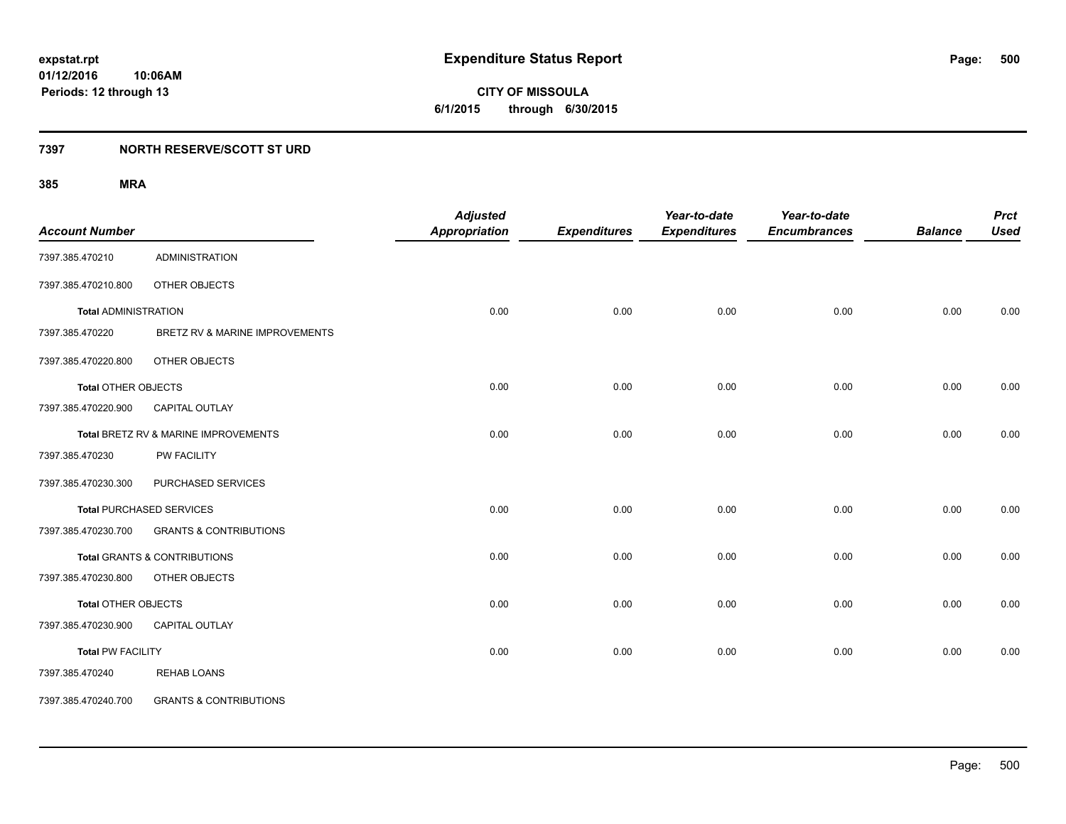**500**

**01/12/2016 10:06AM Periods: 12 through 13**

**CITY OF MISSOULA 6/1/2015 through 6/30/2015**

### **7397 NORTH RESERVE/SCOTT ST URD**

| <b>Account Number</b>       |                                      | <b>Adjusted</b><br><b>Appropriation</b> | <b>Expenditures</b> | Year-to-date<br><b>Expenditures</b> | Year-to-date<br><b>Encumbrances</b> | <b>Balance</b> | <b>Prct</b><br><b>Used</b> |
|-----------------------------|--------------------------------------|-----------------------------------------|---------------------|-------------------------------------|-------------------------------------|----------------|----------------------------|
| 7397.385.470210             | <b>ADMINISTRATION</b>                |                                         |                     |                                     |                                     |                |                            |
| 7397.385.470210.800         | OTHER OBJECTS                        |                                         |                     |                                     |                                     |                |                            |
| <b>Total ADMINISTRATION</b> |                                      | 0.00                                    | 0.00                | 0.00                                | 0.00                                | 0.00           | 0.00                       |
| 7397.385.470220             | BRETZ RV & MARINE IMPROVEMENTS       |                                         |                     |                                     |                                     |                |                            |
| 7397.385.470220.800         | OTHER OBJECTS                        |                                         |                     |                                     |                                     |                |                            |
| Total OTHER OBJECTS         |                                      | 0.00                                    | 0.00                | 0.00                                | 0.00                                | 0.00           | 0.00                       |
| 7397.385.470220.900         | <b>CAPITAL OUTLAY</b>                |                                         |                     |                                     |                                     |                |                            |
|                             | Total BRETZ RV & MARINE IMPROVEMENTS | 0.00                                    | 0.00                | 0.00                                | 0.00                                | 0.00           | 0.00                       |
| 7397.385.470230             | PW FACILITY                          |                                         |                     |                                     |                                     |                |                            |
| 7397.385.470230.300         | PURCHASED SERVICES                   |                                         |                     |                                     |                                     |                |                            |
|                             | <b>Total PURCHASED SERVICES</b>      | 0.00                                    | 0.00                | 0.00                                | 0.00                                | 0.00           | 0.00                       |
| 7397.385.470230.700         | <b>GRANTS &amp; CONTRIBUTIONS</b>    |                                         |                     |                                     |                                     |                |                            |
|                             | Total GRANTS & CONTRIBUTIONS         | 0.00                                    | 0.00                | 0.00                                | 0.00                                | 0.00           | 0.00                       |
| 7397.385.470230.800         | OTHER OBJECTS                        |                                         |                     |                                     |                                     |                |                            |
| <b>Total OTHER OBJECTS</b>  |                                      | 0.00                                    | 0.00                | 0.00                                | 0.00                                | 0.00           | 0.00                       |
| 7397.385.470230.900         | <b>CAPITAL OUTLAY</b>                |                                         |                     |                                     |                                     |                |                            |
| <b>Total PW FACILITY</b>    |                                      | 0.00                                    | 0.00                | 0.00                                | 0.00                                | 0.00           | 0.00                       |
| 7397.385.470240             | <b>REHAB LOANS</b>                   |                                         |                     |                                     |                                     |                |                            |
| 7397.385.470240.700         | <b>GRANTS &amp; CONTRIBUTIONS</b>    |                                         |                     |                                     |                                     |                |                            |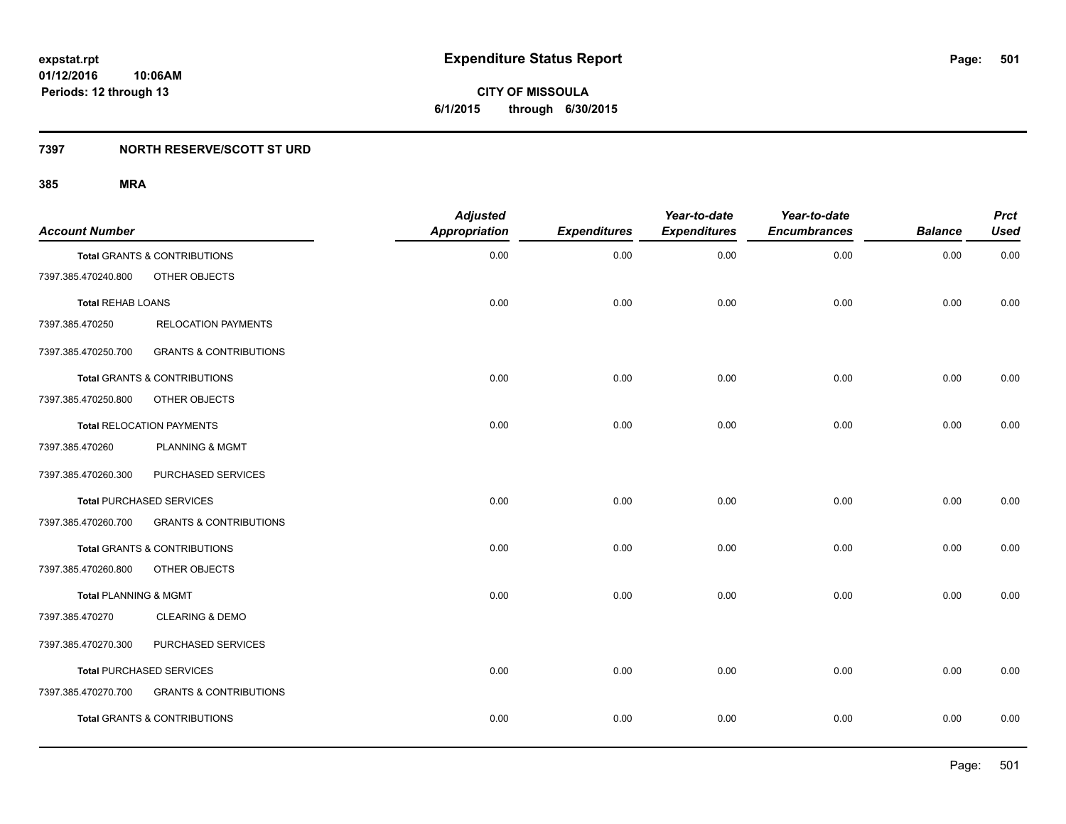**501**

**01/12/2016 10:06AM Periods: 12 through 13**

**CITY OF MISSOULA 6/1/2015 through 6/30/2015**

### **7397 NORTH RESERVE/SCOTT ST URD**

| <b>Account Number</b>            |                                         | <b>Adjusted</b><br><b>Appropriation</b> | <b>Expenditures</b> | Year-to-date<br><b>Expenditures</b> | Year-to-date<br><b>Encumbrances</b> | <b>Balance</b> | <b>Prct</b><br><b>Used</b> |
|----------------------------------|-----------------------------------------|-----------------------------------------|---------------------|-------------------------------------|-------------------------------------|----------------|----------------------------|
|                                  | <b>Total GRANTS &amp; CONTRIBUTIONS</b> | 0.00                                    | 0.00                | 0.00                                | 0.00                                | 0.00           | 0.00                       |
| 7397.385.470240.800              | OTHER OBJECTS                           |                                         |                     |                                     |                                     |                |                            |
| <b>Total REHAB LOANS</b>         |                                         | 0.00                                    | 0.00                | 0.00                                | 0.00                                | 0.00           | 0.00                       |
| 7397.385.470250                  | <b>RELOCATION PAYMENTS</b>              |                                         |                     |                                     |                                     |                |                            |
| 7397.385.470250.700              | <b>GRANTS &amp; CONTRIBUTIONS</b>       |                                         |                     |                                     |                                     |                |                            |
|                                  | Total GRANTS & CONTRIBUTIONS            | 0.00                                    | 0.00                | 0.00                                | 0.00                                | 0.00           | 0.00                       |
| 7397.385.470250.800              | OTHER OBJECTS                           |                                         |                     |                                     |                                     |                |                            |
|                                  | <b>Total RELOCATION PAYMENTS</b>        | 0.00                                    | 0.00                | 0.00                                | 0.00                                | 0.00           | 0.00                       |
| 7397.385.470260                  | <b>PLANNING &amp; MGMT</b>              |                                         |                     |                                     |                                     |                |                            |
| 7397.385.470260.300              | PURCHASED SERVICES                      |                                         |                     |                                     |                                     |                |                            |
|                                  | <b>Total PURCHASED SERVICES</b>         | 0.00                                    | 0.00                | 0.00                                | 0.00                                | 0.00           | 0.00                       |
| 7397.385.470260.700              | <b>GRANTS &amp; CONTRIBUTIONS</b>       |                                         |                     |                                     |                                     |                |                            |
|                                  | Total GRANTS & CONTRIBUTIONS            | 0.00                                    | 0.00                | 0.00                                | 0.00                                | 0.00           | 0.00                       |
| 7397.385.470260.800              | OTHER OBJECTS                           |                                         |                     |                                     |                                     |                |                            |
| <b>Total PLANNING &amp; MGMT</b> |                                         | 0.00                                    | 0.00                | 0.00                                | 0.00                                | 0.00           | 0.00                       |
| 7397.385.470270                  | <b>CLEARING &amp; DEMO</b>              |                                         |                     |                                     |                                     |                |                            |
| 7397.385.470270.300              | PURCHASED SERVICES                      |                                         |                     |                                     |                                     |                |                            |
|                                  | <b>Total PURCHASED SERVICES</b>         | 0.00                                    | 0.00                | 0.00                                | 0.00                                | 0.00           | 0.00                       |
| 7397.385.470270.700              | <b>GRANTS &amp; CONTRIBUTIONS</b>       |                                         |                     |                                     |                                     |                |                            |
|                                  | <b>Total GRANTS &amp; CONTRIBUTIONS</b> | 0.00                                    | 0.00                | 0.00                                | 0.00                                | 0.00           | 0.00                       |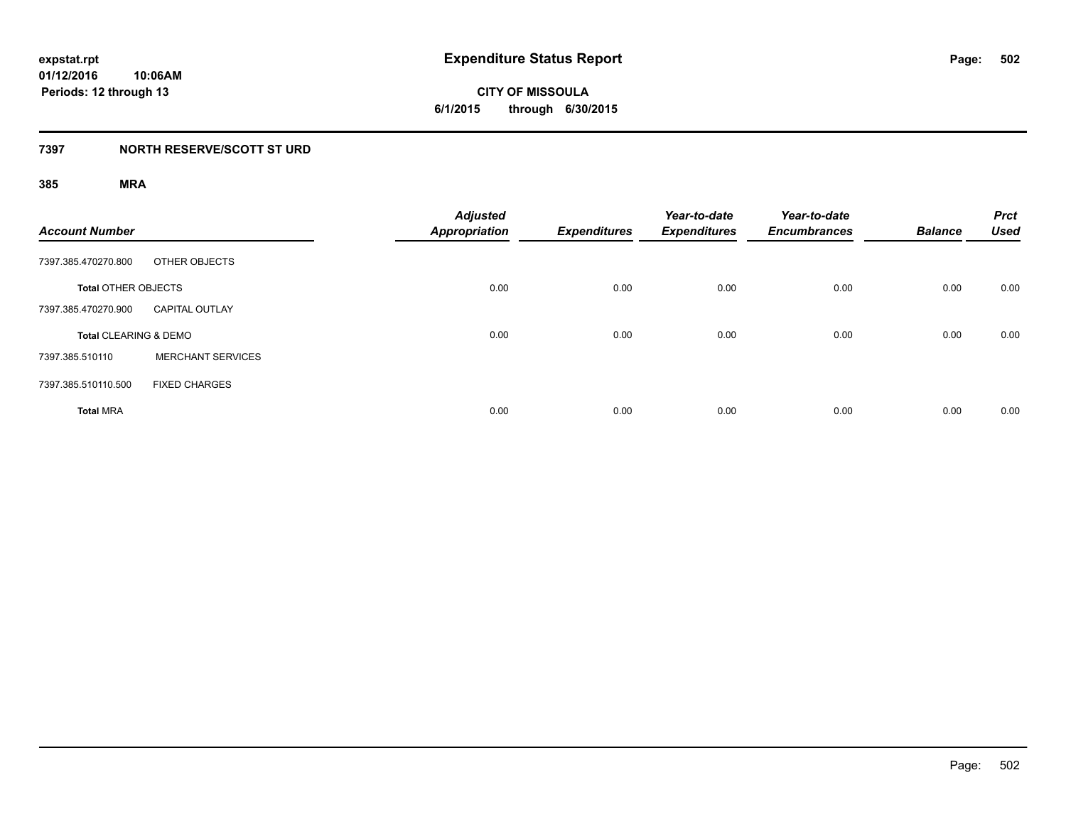**CITY OF MISSOULA 6/1/2015 through 6/30/2015**

### **7397 NORTH RESERVE/SCOTT ST URD**

| <b>Account Number</b>            |                          | <b>Adjusted</b><br>Appropriation | <b>Expenditures</b> | Year-to-date<br><b>Expenditures</b> | Year-to-date<br><b>Encumbrances</b> | <b>Balance</b> | <b>Prct</b><br><b>Used</b> |
|----------------------------------|--------------------------|----------------------------------|---------------------|-------------------------------------|-------------------------------------|----------------|----------------------------|
| 7397.385.470270.800              | OTHER OBJECTS            |                                  |                     |                                     |                                     |                |                            |
| <b>Total OTHER OBJECTS</b>       |                          | 0.00                             | 0.00                | 0.00                                | 0.00                                | 0.00           | 0.00                       |
| 7397.385.470270.900              | <b>CAPITAL OUTLAY</b>    |                                  |                     |                                     |                                     |                |                            |
| <b>Total CLEARING &amp; DEMO</b> |                          | 0.00                             | 0.00                | 0.00                                | 0.00                                | 0.00           | 0.00                       |
| 7397.385.510110                  | <b>MERCHANT SERVICES</b> |                                  |                     |                                     |                                     |                |                            |
| 7397.385.510110.500              | <b>FIXED CHARGES</b>     |                                  |                     |                                     |                                     |                |                            |
| <b>Total MRA</b>                 |                          | 0.00                             | 0.00                | 0.00                                | 0.00                                | 0.00           | 0.00                       |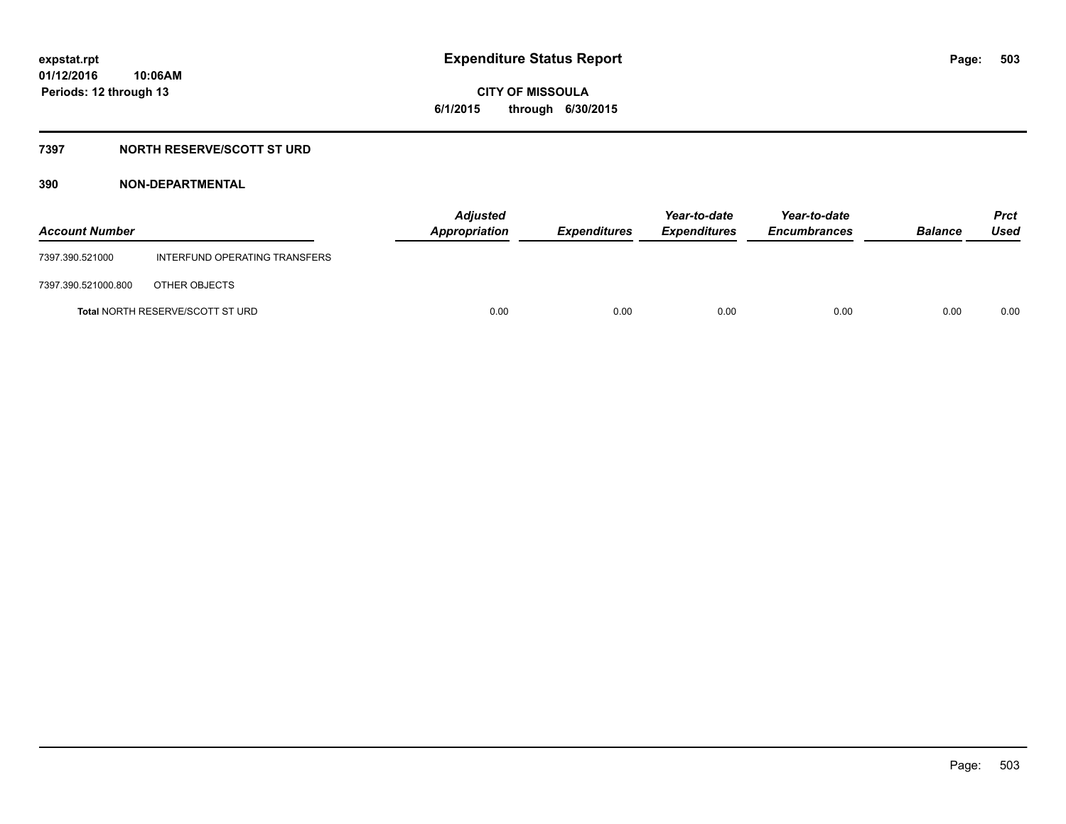**CITY OF MISSOULA 6/1/2015 through 6/30/2015**

### **7397 NORTH RESERVE/SCOTT ST URD**

| <b>Account Number</b> |                                         | <b>Adjusted</b><br>Appropriation | Expenditures | Year-to-date<br><b>Expenditures</b> | Year-to-date<br><b>Encumbrances</b> | <b>Balance</b> | <b>Prct</b><br>Used |
|-----------------------|-----------------------------------------|----------------------------------|--------------|-------------------------------------|-------------------------------------|----------------|---------------------|
| 7397.390.521000       | INTERFUND OPERATING TRANSFERS           |                                  |              |                                     |                                     |                |                     |
| 7397.390.521000.800   | OTHER OBJECTS                           |                                  |              |                                     |                                     |                |                     |
|                       | <b>Total NORTH RESERVE/SCOTT ST URD</b> | 0.00                             | 0.00         | 0.00                                | 0.00                                | 0.00           | 0.00                |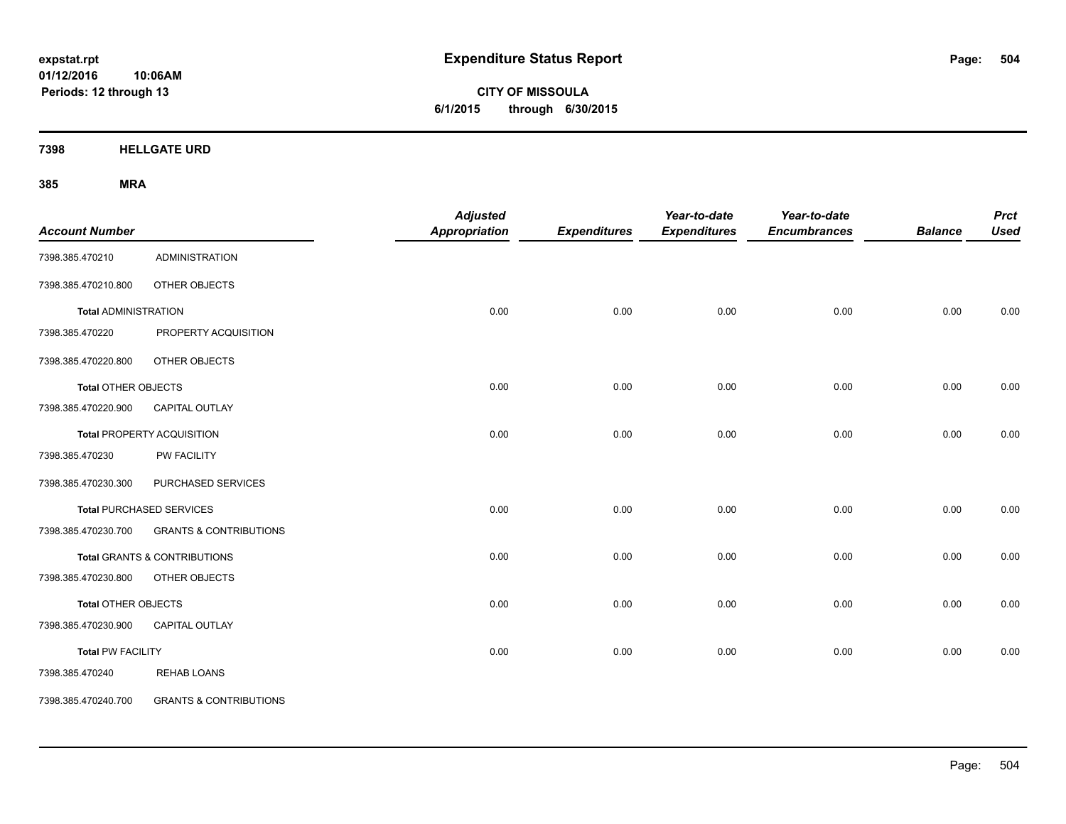**CITY OF MISSOULA 6/1/2015 through 6/30/2015**

**7398 HELLGATE URD**

| <b>Account Number</b>       |                                   | <b>Adjusted</b><br><b>Appropriation</b> | <b>Expenditures</b> | Year-to-date<br><b>Expenditures</b> | Year-to-date<br><b>Encumbrances</b> | <b>Balance</b> | <b>Prct</b><br><b>Used</b> |
|-----------------------------|-----------------------------------|-----------------------------------------|---------------------|-------------------------------------|-------------------------------------|----------------|----------------------------|
| 7398.385.470210             | <b>ADMINISTRATION</b>             |                                         |                     |                                     |                                     |                |                            |
| 7398.385.470210.800         | OTHER OBJECTS                     |                                         |                     |                                     |                                     |                |                            |
| <b>Total ADMINISTRATION</b> |                                   | 0.00                                    | 0.00                | 0.00                                | 0.00                                | 0.00           | 0.00                       |
| 7398.385.470220             | PROPERTY ACQUISITION              |                                         |                     |                                     |                                     |                |                            |
| 7398.385.470220.800         | OTHER OBJECTS                     |                                         |                     |                                     |                                     |                |                            |
| <b>Total OTHER OBJECTS</b>  |                                   | 0.00                                    | 0.00                | 0.00                                | 0.00                                | 0.00           | 0.00                       |
| 7398.385.470220.900         | <b>CAPITAL OUTLAY</b>             |                                         |                     |                                     |                                     |                |                            |
|                             | <b>Total PROPERTY ACQUISITION</b> | 0.00                                    | 0.00                | 0.00                                | 0.00                                | 0.00           | 0.00                       |
| 7398.385.470230             | <b>PW FACILITY</b>                |                                         |                     |                                     |                                     |                |                            |
| 7398.385.470230.300         | PURCHASED SERVICES                |                                         |                     |                                     |                                     |                |                            |
|                             | Total PURCHASED SERVICES          | 0.00                                    | 0.00                | 0.00                                | 0.00                                | 0.00           | 0.00                       |
| 7398.385.470230.700         | <b>GRANTS &amp; CONTRIBUTIONS</b> |                                         |                     |                                     |                                     |                |                            |
|                             | Total GRANTS & CONTRIBUTIONS      | 0.00                                    | 0.00                | 0.00                                | 0.00                                | 0.00           | 0.00                       |
| 7398.385.470230.800         | OTHER OBJECTS                     |                                         |                     |                                     |                                     |                |                            |
| <b>Total OTHER OBJECTS</b>  |                                   | 0.00                                    | 0.00                | 0.00                                | 0.00                                | 0.00           | 0.00                       |
| 7398.385.470230.900         | <b>CAPITAL OUTLAY</b>             |                                         |                     |                                     |                                     |                |                            |
| <b>Total PW FACILITY</b>    |                                   | 0.00                                    | 0.00                | 0.00                                | 0.00                                | 0.00           | 0.00                       |
| 7398.385.470240             | <b>REHAB LOANS</b>                |                                         |                     |                                     |                                     |                |                            |
| 7398.385.470240.700         | <b>GRANTS &amp; CONTRIBUTIONS</b> |                                         |                     |                                     |                                     |                |                            |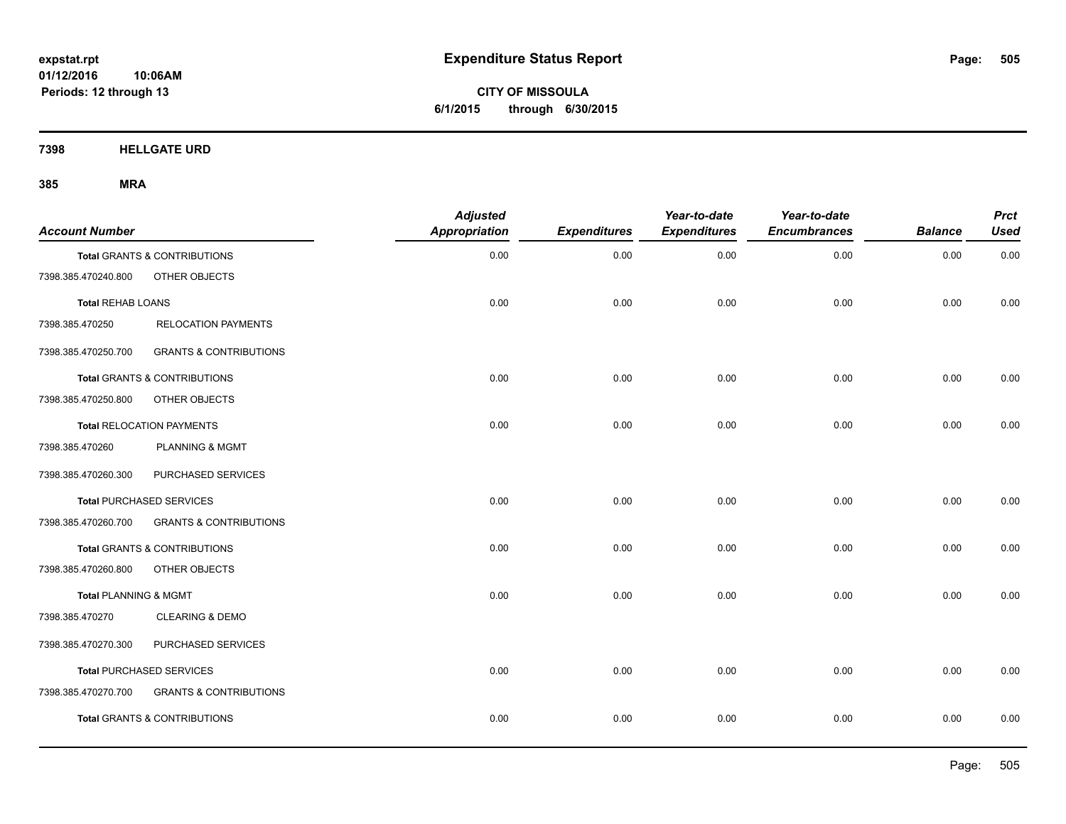**CITY OF MISSOULA 6/1/2015 through 6/30/2015**

**7398 HELLGATE URD**

| <b>Account Number</b>            |                                         | <b>Adjusted</b><br><b>Appropriation</b> | <b>Expenditures</b> | Year-to-date<br><b>Expenditures</b> | Year-to-date<br><b>Encumbrances</b> | <b>Balance</b> | <b>Prct</b><br><b>Used</b> |
|----------------------------------|-----------------------------------------|-----------------------------------------|---------------------|-------------------------------------|-------------------------------------|----------------|----------------------------|
|                                  | Total GRANTS & CONTRIBUTIONS            | 0.00                                    | 0.00                | 0.00                                | 0.00                                | 0.00           | 0.00                       |
| 7398.385.470240.800              | OTHER OBJECTS                           |                                         |                     |                                     |                                     |                |                            |
| <b>Total REHAB LOANS</b>         |                                         | 0.00                                    | 0.00                | 0.00                                | 0.00                                | 0.00           | 0.00                       |
| 7398.385.470250                  | <b>RELOCATION PAYMENTS</b>              |                                         |                     |                                     |                                     |                |                            |
| 7398.385.470250.700              | <b>GRANTS &amp; CONTRIBUTIONS</b>       |                                         |                     |                                     |                                     |                |                            |
|                                  | <b>Total GRANTS &amp; CONTRIBUTIONS</b> | 0.00                                    | 0.00                | 0.00                                | 0.00                                | 0.00           | 0.00                       |
| 7398.385.470250.800              | OTHER OBJECTS                           |                                         |                     |                                     |                                     |                |                            |
|                                  | <b>Total RELOCATION PAYMENTS</b>        | 0.00                                    | 0.00                | 0.00                                | 0.00                                | 0.00           | 0.00                       |
| 7398.385.470260                  | <b>PLANNING &amp; MGMT</b>              |                                         |                     |                                     |                                     |                |                            |
| 7398.385.470260.300              | PURCHASED SERVICES                      |                                         |                     |                                     |                                     |                |                            |
|                                  | <b>Total PURCHASED SERVICES</b>         | 0.00                                    | 0.00                | 0.00                                | 0.00                                | 0.00           | 0.00                       |
| 7398.385.470260.700              | <b>GRANTS &amp; CONTRIBUTIONS</b>       |                                         |                     |                                     |                                     |                |                            |
|                                  | Total GRANTS & CONTRIBUTIONS            | 0.00                                    | 0.00                | 0.00                                | 0.00                                | 0.00           | 0.00                       |
| 7398.385.470260.800              | OTHER OBJECTS                           |                                         |                     |                                     |                                     |                |                            |
| <b>Total PLANNING &amp; MGMT</b> |                                         | 0.00                                    | 0.00                | 0.00                                | 0.00                                | 0.00           | 0.00                       |
| 7398.385.470270                  | <b>CLEARING &amp; DEMO</b>              |                                         |                     |                                     |                                     |                |                            |
| 7398.385.470270.300              | PURCHASED SERVICES                      |                                         |                     |                                     |                                     |                |                            |
|                                  | <b>Total PURCHASED SERVICES</b>         | 0.00                                    | 0.00                | 0.00                                | 0.00                                | 0.00           | 0.00                       |
| 7398.385.470270.700              | <b>GRANTS &amp; CONTRIBUTIONS</b>       |                                         |                     |                                     |                                     |                |                            |
|                                  | <b>Total GRANTS &amp; CONTRIBUTIONS</b> | 0.00                                    | 0.00                | 0.00                                | 0.00                                | 0.00           | 0.00                       |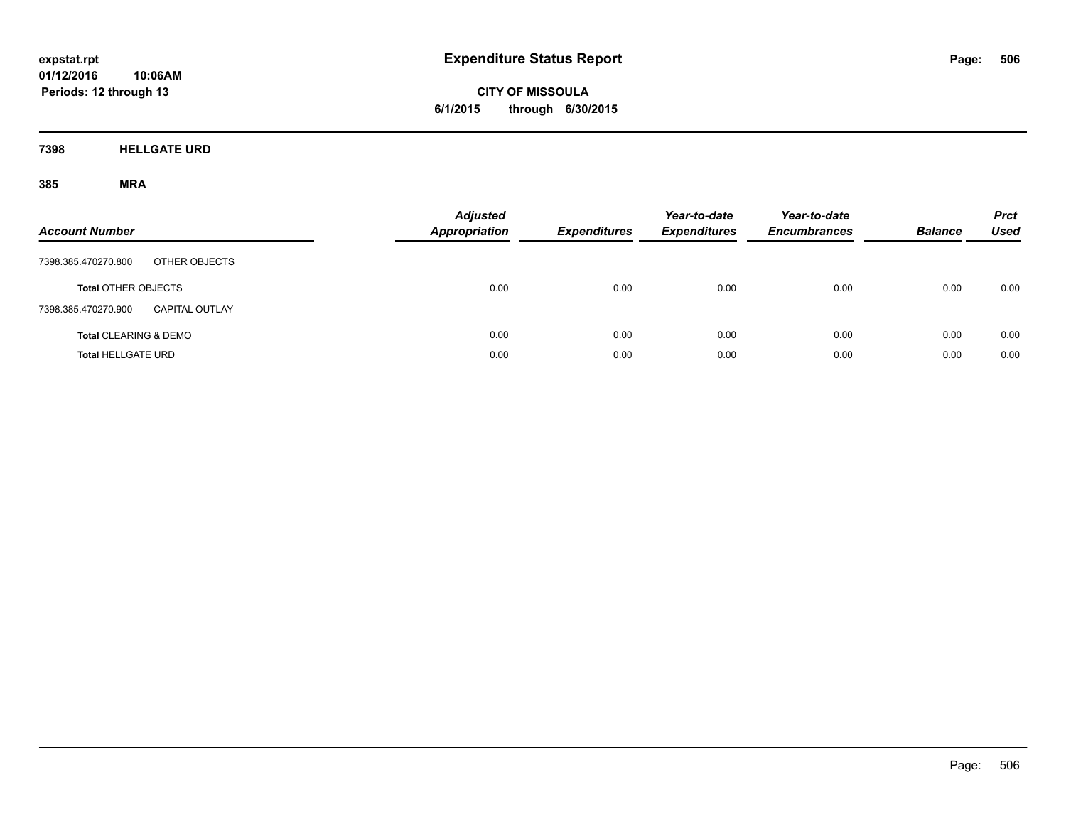**CITY OF MISSOULA 6/1/2015 through 6/30/2015**

**7398 HELLGATE URD**

| <b>Account Number</b>                        | <b>Adjusted</b><br><b>Appropriation</b> | <b>Expenditures</b> | Year-to-date<br><b>Expenditures</b> | Year-to-date<br><b>Encumbrances</b> | <b>Balance</b> | <b>Prct</b><br>Used |
|----------------------------------------------|-----------------------------------------|---------------------|-------------------------------------|-------------------------------------|----------------|---------------------|
| 7398.385.470270.800<br>OTHER OBJECTS         |                                         |                     |                                     |                                     |                |                     |
| <b>Total OTHER OBJECTS</b>                   | 0.00                                    | 0.00                | 0.00                                | 0.00                                | 0.00           | 0.00                |
| 7398.385.470270.900<br><b>CAPITAL OUTLAY</b> |                                         |                     |                                     |                                     |                |                     |
| <b>Total CLEARING &amp; DEMO</b>             | 0.00                                    | 0.00                | 0.00                                | 0.00                                | 0.00           | 0.00                |
| <b>Total HELLGATE URD</b>                    | 0.00                                    | 0.00                | 0.00                                | 0.00                                | 0.00           | 0.00                |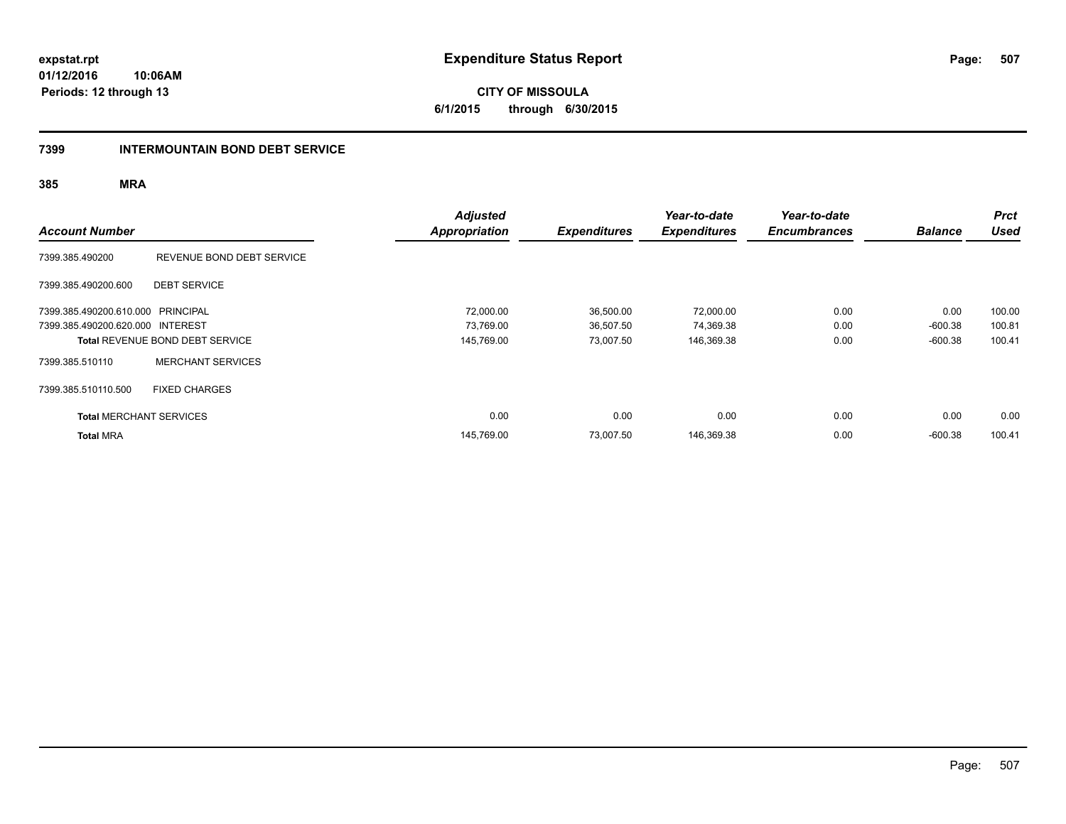**expstat.rpt Expenditure Status Report Page:**

**01/12/2016 10:06AM Periods: 12 through 13**

**CITY OF MISSOULA 6/1/2015 through 6/30/2015**

#### **7399 INTERMOUNTAIN BOND DEBT SERVICE**

| <b>Account Number</b>             |                                        | <b>Adjusted</b><br><b>Appropriation</b> | <b>Expenditures</b> | Year-to-date<br><b>Expenditures</b> | Year-to-date<br><b>Encumbrances</b> | <b>Balance</b> | <b>Prct</b><br><b>Used</b> |
|-----------------------------------|----------------------------------------|-----------------------------------------|---------------------|-------------------------------------|-------------------------------------|----------------|----------------------------|
| 7399.385.490200                   | REVENUE BOND DEBT SERVICE              |                                         |                     |                                     |                                     |                |                            |
| 7399.385.490200.600               | <b>DEBT SERVICE</b>                    |                                         |                     |                                     |                                     |                |                            |
| 7399.385.490200.610.000 PRINCIPAL |                                        | 72,000.00                               | 36,500.00           | 72,000.00                           | 0.00                                | 0.00           | 100.00                     |
| 7399.385.490200.620.000 INTEREST  |                                        | 73.769.00                               | 36,507.50           | 74,369.38                           | 0.00                                | $-600.38$      | 100.81                     |
|                                   | <b>Total REVENUE BOND DEBT SERVICE</b> | 145,769.00                              | 73,007.50           | 146,369.38                          | 0.00                                | $-600.38$      | 100.41                     |
| 7399.385.510110                   | <b>MERCHANT SERVICES</b>               |                                         |                     |                                     |                                     |                |                            |
| 7399.385.510110.500               | <b>FIXED CHARGES</b>                   |                                         |                     |                                     |                                     |                |                            |
| <b>Total MERCHANT SERVICES</b>    |                                        | 0.00                                    | 0.00                | 0.00                                | 0.00                                | 0.00           | 0.00                       |
| <b>Total MRA</b>                  |                                        | 145,769.00                              | 73,007.50           | 146,369.38                          | 0.00                                | $-600.38$      | 100.41                     |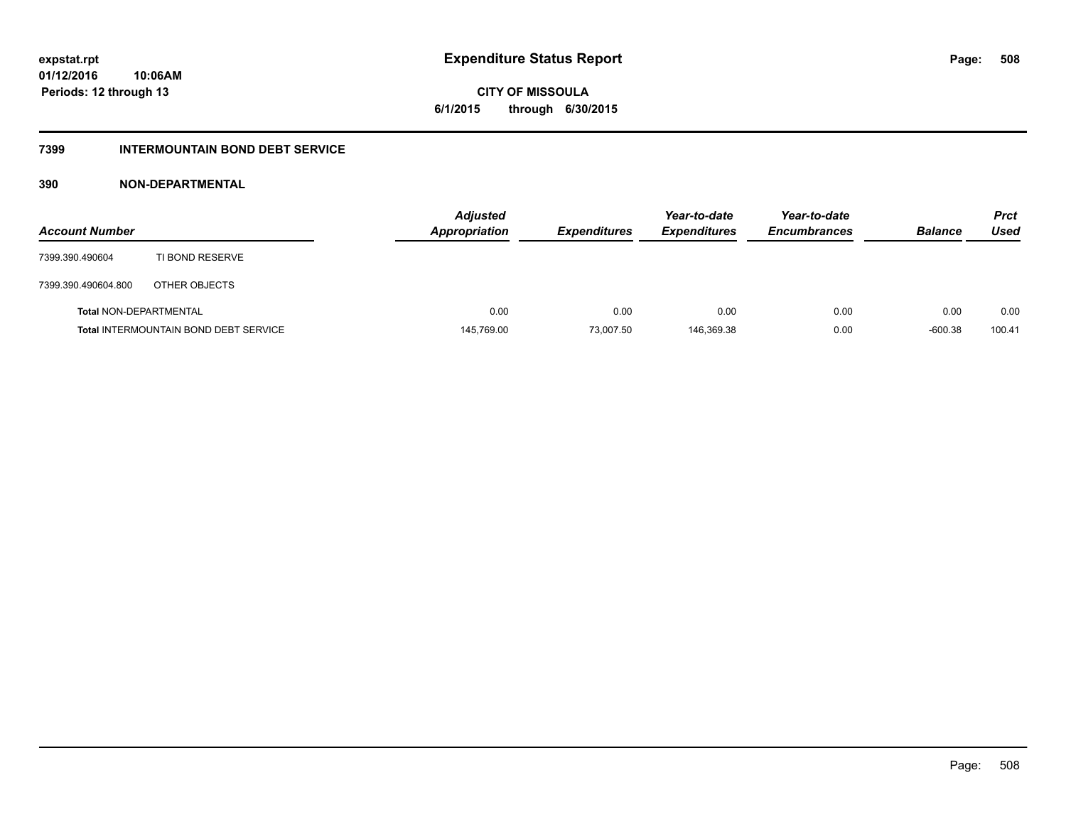# **CITY OF MISSOULA 6/1/2015 through 6/30/2015**

### **7399 INTERMOUNTAIN BOND DEBT SERVICE**

### **390 NON-DEPARTMENTAL**

| <b>Account Number</b>         |                                              | <b>Adjusted</b><br>Appropriation | <b>Expenditures</b> | Year-to-date<br><b>Expenditures</b> | Year-to-date<br><b>Encumbrances</b> | <b>Balance</b> | <b>Prct</b><br>Used |
|-------------------------------|----------------------------------------------|----------------------------------|---------------------|-------------------------------------|-------------------------------------|----------------|---------------------|
| 7399.390.490604               | TI BOND RESERVE                              |                                  |                     |                                     |                                     |                |                     |
| 7399.390.490604.800           | OTHER OBJECTS                                |                                  |                     |                                     |                                     |                |                     |
| <b>Total NON-DEPARTMENTAL</b> |                                              | 0.00                             | 0.00                | 0.00                                | 0.00                                | 0.00           | 0.00                |
|                               | <b>Total INTERMOUNTAIN BOND DEBT SERVICE</b> | 145,769.00                       | 73,007.50           | 146,369.38                          | 0.00                                | $-600.38$      | 100.41              |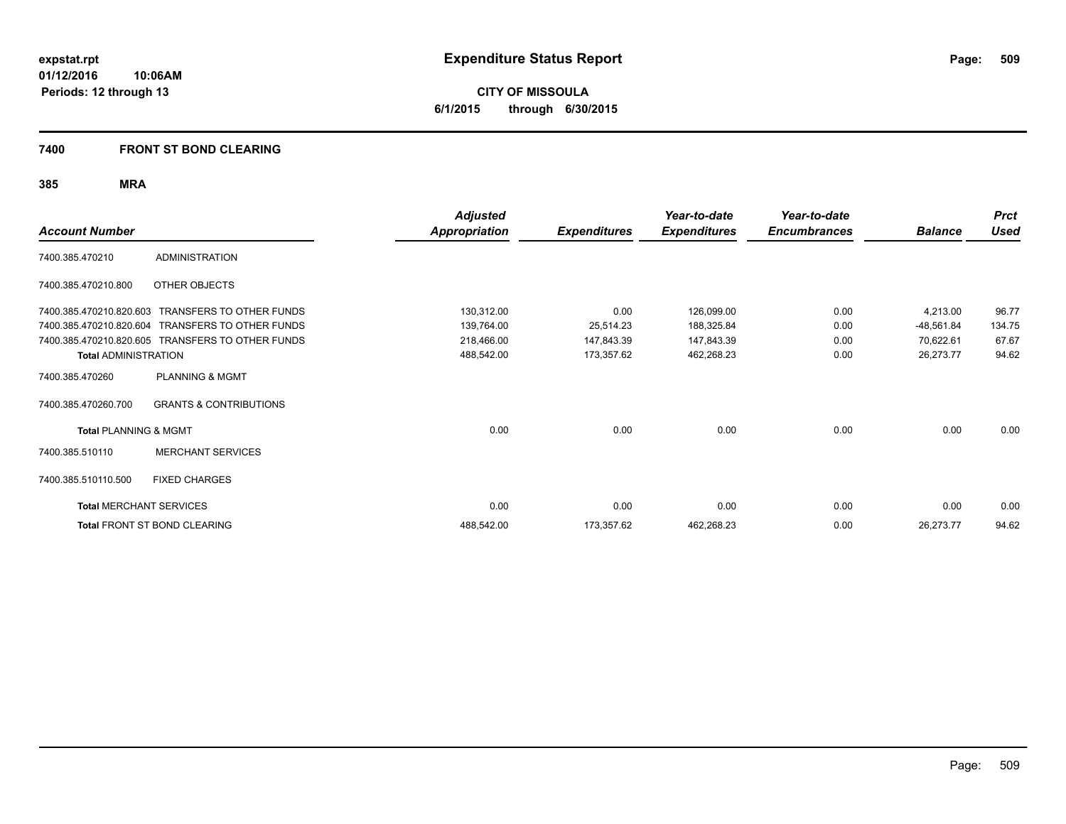**CITY OF MISSOULA 6/1/2015 through 6/30/2015**

#### **7400 FRONT ST BOND CLEARING**

| <b>Account Number</b>            |                                                  | <b>Adjusted</b><br><b>Appropriation</b> | <b>Expenditures</b> | Year-to-date<br><b>Expenditures</b> | Year-to-date<br><b>Encumbrances</b> | <b>Balance</b> | <b>Prct</b><br><b>Used</b> |
|----------------------------------|--------------------------------------------------|-----------------------------------------|---------------------|-------------------------------------|-------------------------------------|----------------|----------------------------|
| 7400.385.470210                  | <b>ADMINISTRATION</b>                            |                                         |                     |                                     |                                     |                |                            |
| 7400.385.470210.800              | OTHER OBJECTS                                    |                                         |                     |                                     |                                     |                |                            |
| 7400.385.470210.820.603          | <b>TRANSFERS TO OTHER FUNDS</b>                  | 130,312.00                              | 0.00                | 126,099.00                          | 0.00                                | 4,213.00       | 96.77                      |
| 7400.385.470210.820.604          | TRANSFERS TO OTHER FUNDS                         | 139,764.00                              | 25,514.23           | 188,325.84                          | 0.00                                | $-48,561.84$   | 134.75                     |
|                                  | 7400.385.470210.820.605 TRANSFERS TO OTHER FUNDS | 218,466.00                              | 147,843.39          | 147,843.39                          | 0.00                                | 70,622.61      | 67.67                      |
| <b>Total ADMINISTRATION</b>      |                                                  | 488,542.00                              | 173,357.62          | 462,268.23                          | 0.00                                | 26,273.77      | 94.62                      |
| 7400.385.470260                  | <b>PLANNING &amp; MGMT</b>                       |                                         |                     |                                     |                                     |                |                            |
| 7400.385.470260.700              | <b>GRANTS &amp; CONTRIBUTIONS</b>                |                                         |                     |                                     |                                     |                |                            |
| <b>Total PLANNING &amp; MGMT</b> |                                                  | 0.00                                    | 0.00                | 0.00                                | 0.00                                | 0.00           | 0.00                       |
| 7400.385.510110                  | <b>MERCHANT SERVICES</b>                         |                                         |                     |                                     |                                     |                |                            |
| 7400.385.510110.500              | <b>FIXED CHARGES</b>                             |                                         |                     |                                     |                                     |                |                            |
| <b>Total MERCHANT SERVICES</b>   |                                                  | 0.00                                    | 0.00                | 0.00                                | 0.00                                | 0.00           | 0.00                       |
|                                  | Total FRONT ST BOND CLEARING                     | 488,542.00                              | 173,357.62          | 462,268.23                          | 0.00                                | 26,273.77      | 94.62                      |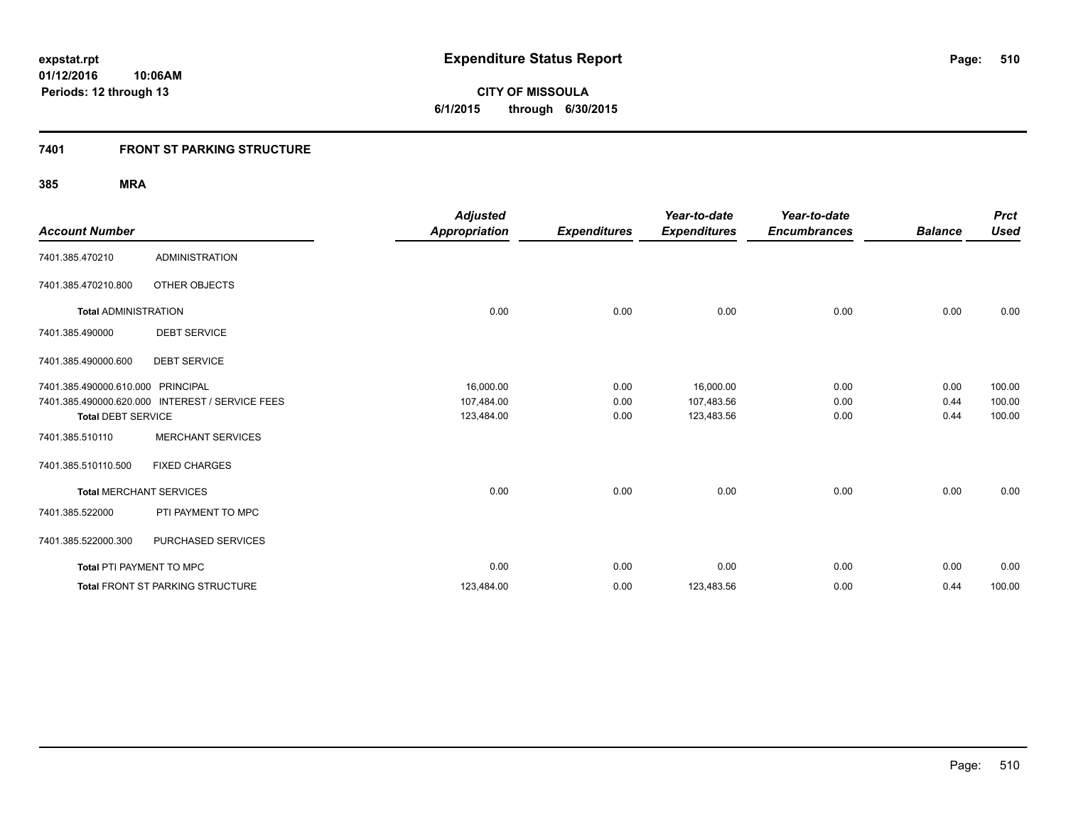**510**

**01/12/2016 10:06AM Periods: 12 through 13**

**CITY OF MISSOULA 6/1/2015 through 6/30/2015**

### **7401 FRONT ST PARKING STRUCTURE**

| <b>Account Number</b>             |                                                 | <b>Adjusted</b><br><b>Appropriation</b> | <b>Expenditures</b> | Year-to-date<br><b>Expenditures</b> | Year-to-date<br><b>Encumbrances</b> | <b>Balance</b> | <b>Prct</b><br><b>Used</b> |
|-----------------------------------|-------------------------------------------------|-----------------------------------------|---------------------|-------------------------------------|-------------------------------------|----------------|----------------------------|
| 7401.385.470210                   | <b>ADMINISTRATION</b>                           |                                         |                     |                                     |                                     |                |                            |
| 7401.385.470210.800               | OTHER OBJECTS                                   |                                         |                     |                                     |                                     |                |                            |
| <b>Total ADMINISTRATION</b>       |                                                 | 0.00                                    | 0.00                | 0.00                                | 0.00                                | 0.00           | 0.00                       |
| 7401.385.490000                   | <b>DEBT SERVICE</b>                             |                                         |                     |                                     |                                     |                |                            |
| 7401.385.490000.600               | <b>DEBT SERVICE</b>                             |                                         |                     |                                     |                                     |                |                            |
| 7401.385.490000.610.000 PRINCIPAL |                                                 | 16,000.00                               | 0.00                | 16,000.00                           | 0.00                                | 0.00           | 100.00                     |
|                                   | 7401.385.490000.620.000 INTEREST / SERVICE FEES | 107,484.00                              | 0.00                | 107,483.56                          | 0.00                                | 0.44           | 100.00                     |
| <b>Total DEBT SERVICE</b>         |                                                 | 123,484.00                              | 0.00                | 123,483.56                          | 0.00                                | 0.44           | 100.00                     |
| 7401.385.510110                   | <b>MERCHANT SERVICES</b>                        |                                         |                     |                                     |                                     |                |                            |
| 7401.385.510110.500               | <b>FIXED CHARGES</b>                            |                                         |                     |                                     |                                     |                |                            |
| <b>Total MERCHANT SERVICES</b>    |                                                 | 0.00                                    | 0.00                | 0.00                                | 0.00                                | 0.00           | 0.00                       |
| 7401.385.522000                   | PTI PAYMENT TO MPC                              |                                         |                     |                                     |                                     |                |                            |
| 7401.385.522000.300               | PURCHASED SERVICES                              |                                         |                     |                                     |                                     |                |                            |
| Total PTI PAYMENT TO MPC          |                                                 | 0.00                                    | 0.00                | 0.00                                | 0.00                                | 0.00           | 0.00                       |
|                                   | <b>Total FRONT ST PARKING STRUCTURE</b>         | 123,484.00                              | 0.00                | 123,483.56                          | 0.00                                | 0.44           | 100.00                     |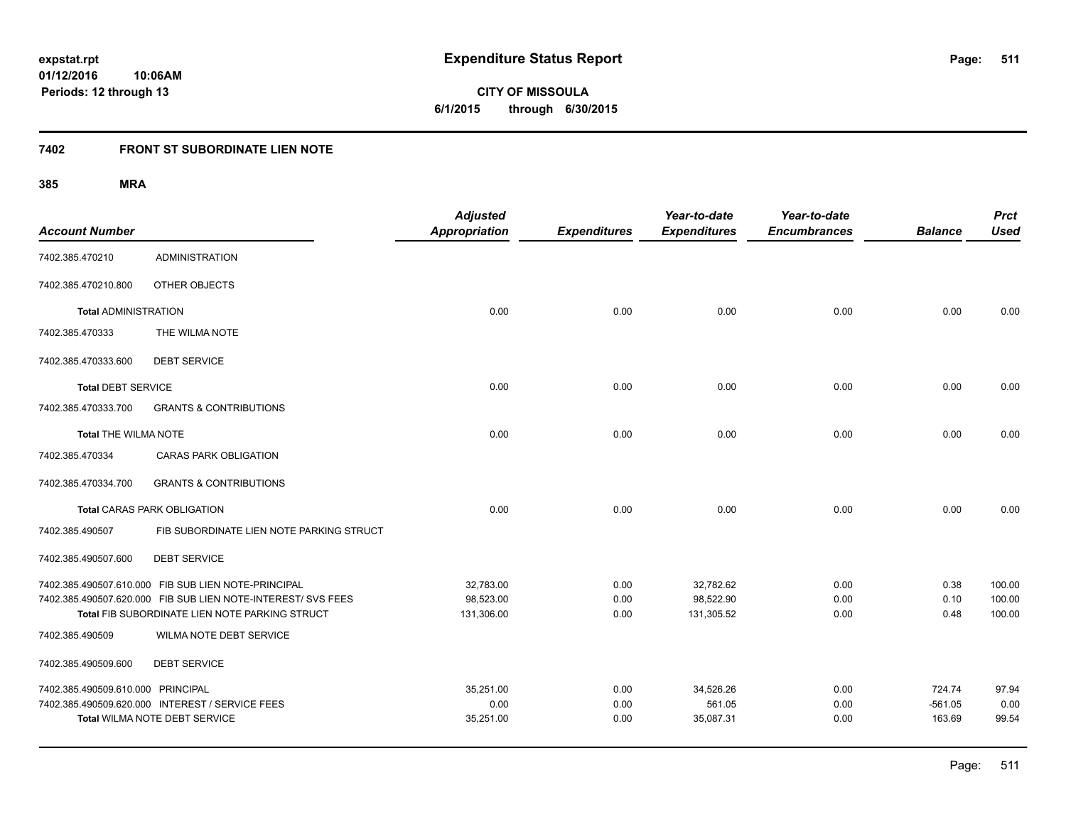**CITY OF MISSOULA 6/1/2015 through 6/30/2015**

### **7402 FRONT ST SUBORDINATE LIEN NOTE**

| <b>Account Number</b>             |                                                                                                                                                                       | <b>Adjusted</b><br><b>Appropriation</b> | <b>Expenditures</b>  | Year-to-date<br><b>Expenditures</b>  | Year-to-date<br><b>Encumbrances</b> | <b>Balance</b>                | <b>Prct</b><br><b>Used</b> |
|-----------------------------------|-----------------------------------------------------------------------------------------------------------------------------------------------------------------------|-----------------------------------------|----------------------|--------------------------------------|-------------------------------------|-------------------------------|----------------------------|
| 7402.385.470210                   | <b>ADMINISTRATION</b>                                                                                                                                                 |                                         |                      |                                      |                                     |                               |                            |
| 7402.385.470210.800               | OTHER OBJECTS                                                                                                                                                         |                                         |                      |                                      |                                     |                               |                            |
| <b>Total ADMINISTRATION</b>       |                                                                                                                                                                       | 0.00                                    | 0.00                 | 0.00                                 | 0.00                                | 0.00                          | 0.00                       |
| 7402.385.470333                   | THE WILMA NOTE                                                                                                                                                        |                                         |                      |                                      |                                     |                               |                            |
| 7402.385.470333.600               | <b>DEBT SERVICE</b>                                                                                                                                                   |                                         |                      |                                      |                                     |                               |                            |
| <b>Total DEBT SERVICE</b>         |                                                                                                                                                                       | 0.00                                    | 0.00                 | 0.00                                 | 0.00                                | 0.00                          | 0.00                       |
| 7402.385.470333.700               | <b>GRANTS &amp; CONTRIBUTIONS</b>                                                                                                                                     |                                         |                      |                                      |                                     |                               |                            |
| <b>Total THE WILMA NOTE</b>       |                                                                                                                                                                       | 0.00                                    | 0.00                 | 0.00                                 | 0.00                                | 0.00                          | 0.00                       |
| 7402.385.470334                   | <b>CARAS PARK OBLIGATION</b>                                                                                                                                          |                                         |                      |                                      |                                     |                               |                            |
| 7402.385.470334.700               | <b>GRANTS &amp; CONTRIBUTIONS</b>                                                                                                                                     |                                         |                      |                                      |                                     |                               |                            |
|                                   | <b>Total CARAS PARK OBLIGATION</b>                                                                                                                                    | 0.00                                    | 0.00                 | 0.00                                 | 0.00                                | 0.00                          | 0.00                       |
| 7402.385.490507                   | FIB SUBORDINATE LIEN NOTE PARKING STRUCT                                                                                                                              |                                         |                      |                                      |                                     |                               |                            |
| 7402.385.490507.600               | <b>DEBT SERVICE</b>                                                                                                                                                   |                                         |                      |                                      |                                     |                               |                            |
|                                   | 7402.385.490507.610.000 FIB SUB LIEN NOTE-PRINCIPAL<br>7402.385.490507.620.000 FIB SUB LIEN NOTE-INTEREST/ SVS FEES<br>Total FIB SUBORDINATE LIEN NOTE PARKING STRUCT | 32,783.00<br>98,523.00<br>131,306.00    | 0.00<br>0.00<br>0.00 | 32,782.62<br>98,522.90<br>131,305.52 | 0.00<br>0.00<br>0.00                | 0.38<br>0.10<br>0.48          | 100.00<br>100.00<br>100.00 |
| 7402.385.490509                   | WILMA NOTE DEBT SERVICE                                                                                                                                               |                                         |                      |                                      |                                     |                               |                            |
| 7402.385.490509.600               | <b>DEBT SERVICE</b>                                                                                                                                                   |                                         |                      |                                      |                                     |                               |                            |
| 7402.385.490509.610.000 PRINCIPAL | 7402.385.490509.620.000 INTEREST / SERVICE FEES<br>Total WILMA NOTE DEBT SERVICE                                                                                      | 35,251.00<br>0.00<br>35,251.00          | 0.00<br>0.00<br>0.00 | 34,526.26<br>561.05<br>35,087.31     | 0.00<br>0.00<br>0.00                | 724.74<br>$-561.05$<br>163.69 | 97.94<br>0.00<br>99.54     |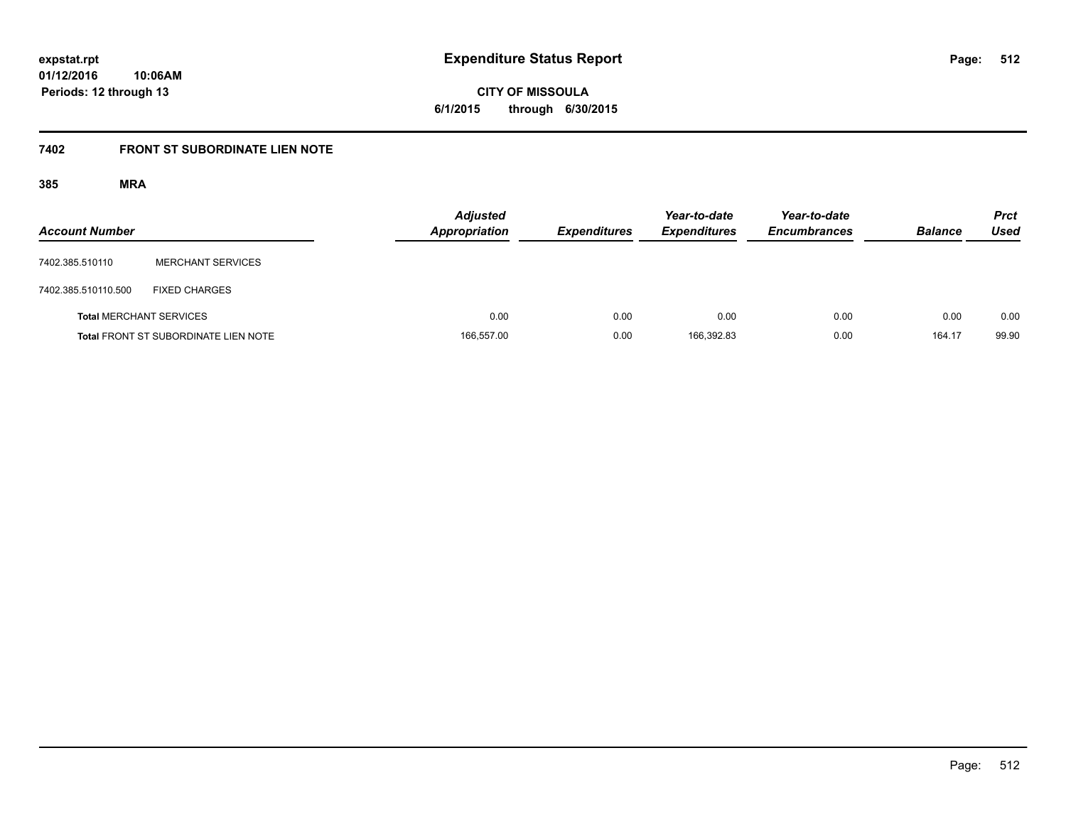**CITY OF MISSOULA 6/1/2015 through 6/30/2015**

# **7402 FRONT ST SUBORDINATE LIEN NOTE**

| <b>Account Number</b>          |                                             | <b>Adjusted</b><br>Appropriation | <b>Expenditures</b> | Year-to-date<br><b>Expenditures</b> | Year-to-date<br><b>Encumbrances</b> | <b>Balance</b> | <b>Prct</b><br>Used |
|--------------------------------|---------------------------------------------|----------------------------------|---------------------|-------------------------------------|-------------------------------------|----------------|---------------------|
| 7402.385.510110                | <b>MERCHANT SERVICES</b>                    |                                  |                     |                                     |                                     |                |                     |
| 7402.385.510110.500            | <b>FIXED CHARGES</b>                        |                                  |                     |                                     |                                     |                |                     |
| <b>Total MERCHANT SERVICES</b> |                                             | 0.00                             | 0.00                | 0.00                                | 0.00                                | 0.00           | 0.00                |
|                                | <b>Total FRONT ST SUBORDINATE LIEN NOTE</b> | 166,557.00                       | 0.00                | 166,392.83                          | 0.00                                | 164.17         | 99.90               |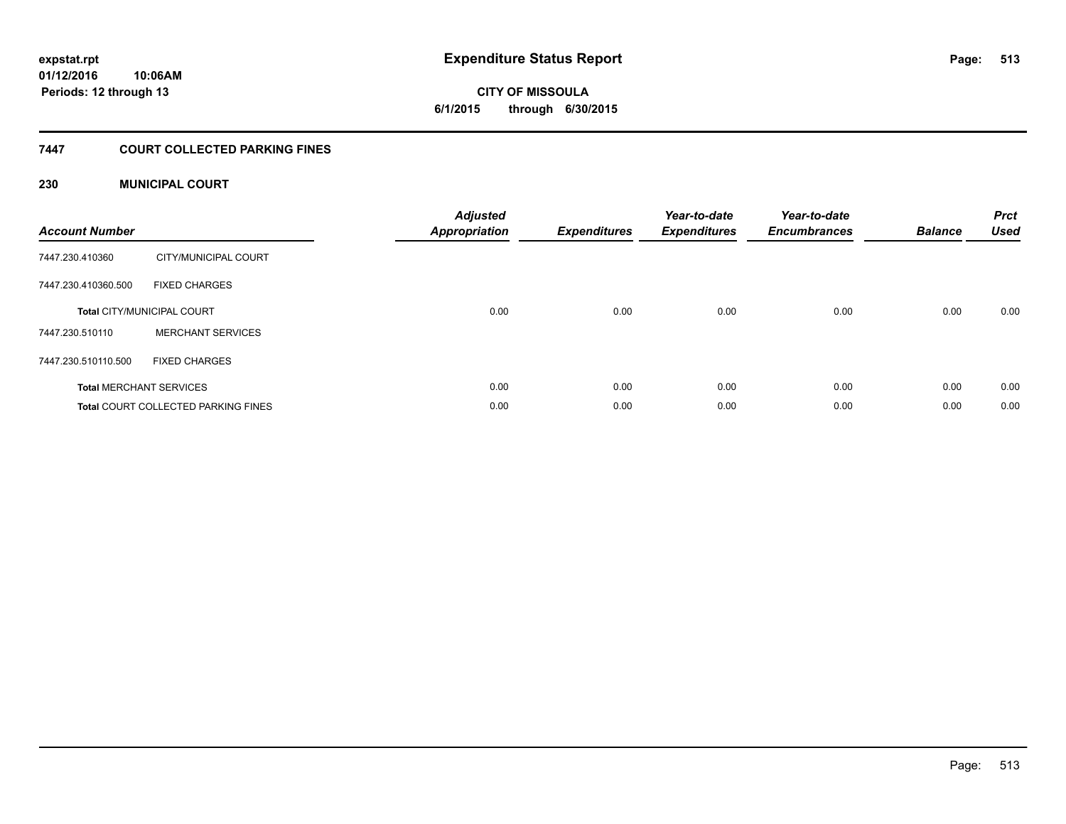**CITY OF MISSOULA 6/1/2015 through 6/30/2015**

### **7447 COURT COLLECTED PARKING FINES**

### **230 MUNICIPAL COURT**

| <b>Account Number</b> |                                            | <b>Adjusted</b><br>Appropriation | <b>Expenditures</b> | Year-to-date<br><b>Expenditures</b> | Year-to-date<br><b>Encumbrances</b> | <b>Balance</b> | <b>Prct</b><br><b>Used</b> |
|-----------------------|--------------------------------------------|----------------------------------|---------------------|-------------------------------------|-------------------------------------|----------------|----------------------------|
| 7447.230.410360       | CITY/MUNICIPAL COURT                       |                                  |                     |                                     |                                     |                |                            |
| 7447.230.410360.500   | <b>FIXED CHARGES</b>                       |                                  |                     |                                     |                                     |                |                            |
|                       | <b>Total CITY/MUNICIPAL COURT</b>          | 0.00                             | 0.00                | 0.00                                | 0.00                                | 0.00           | 0.00                       |
| 7447.230.510110       | <b>MERCHANT SERVICES</b>                   |                                  |                     |                                     |                                     |                |                            |
| 7447.230.510110.500   | <b>FIXED CHARGES</b>                       |                                  |                     |                                     |                                     |                |                            |
|                       | <b>Total MERCHANT SERVICES</b>             | 0.00                             | 0.00                | 0.00                                | 0.00                                | 0.00           | 0.00                       |
|                       | <b>Total COURT COLLECTED PARKING FINES</b> | 0.00                             | 0.00                | 0.00                                | 0.00                                | 0.00           | 0.00                       |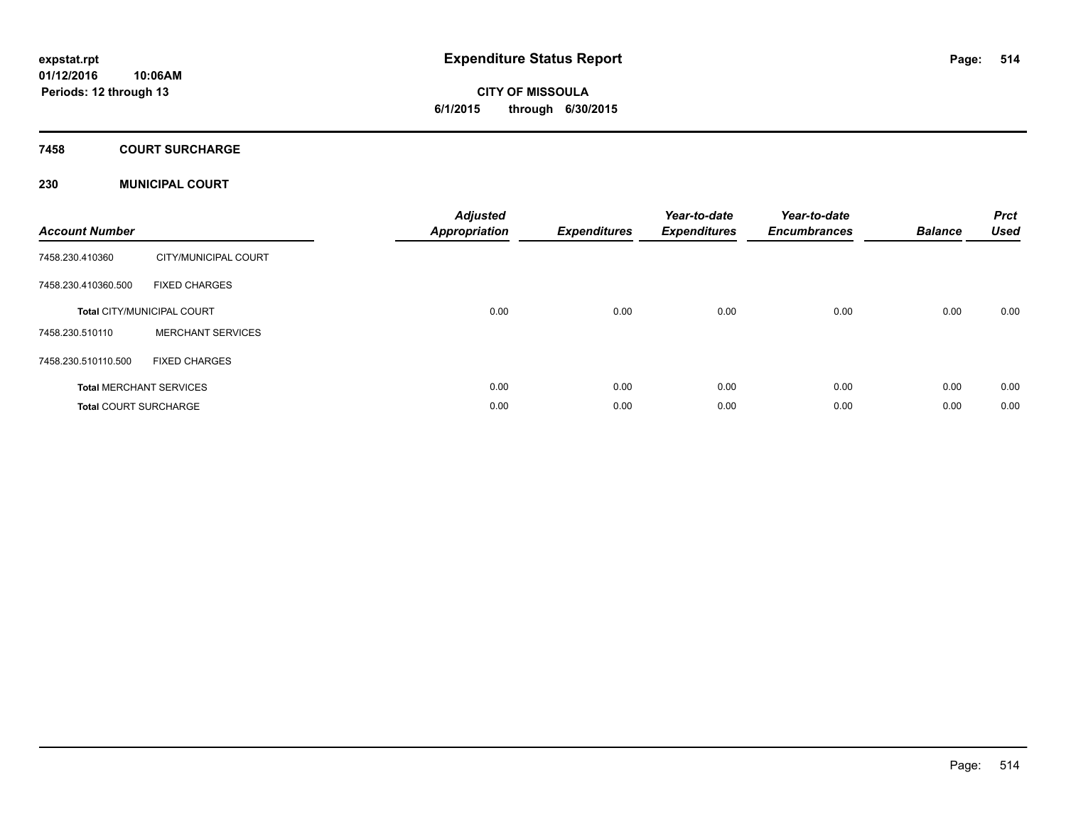### **7458 COURT SURCHARGE**

### **230 MUNICIPAL COURT**

| <b>Account Number</b>        |                                   | <b>Adjusted</b><br>Appropriation | <b>Expenditures</b> | Year-to-date<br><b>Expenditures</b> | Year-to-date<br><b>Encumbrances</b> | <b>Balance</b> | <b>Prct</b><br><b>Used</b> |
|------------------------------|-----------------------------------|----------------------------------|---------------------|-------------------------------------|-------------------------------------|----------------|----------------------------|
| 7458.230.410360              | CITY/MUNICIPAL COURT              |                                  |                     |                                     |                                     |                |                            |
| 7458.230.410360.500          | <b>FIXED CHARGES</b>              |                                  |                     |                                     |                                     |                |                            |
|                              | <b>Total CITY/MUNICIPAL COURT</b> | 0.00                             | 0.00                | 0.00                                | 0.00                                | 0.00           | 0.00                       |
| 7458.230.510110              | <b>MERCHANT SERVICES</b>          |                                  |                     |                                     |                                     |                |                            |
| 7458.230.510110.500          | <b>FIXED CHARGES</b>              |                                  |                     |                                     |                                     |                |                            |
|                              | <b>Total MERCHANT SERVICES</b>    | 0.00                             | 0.00                | 0.00                                | 0.00                                | 0.00           | 0.00                       |
| <b>Total COURT SURCHARGE</b> |                                   | 0.00                             | 0.00                | 0.00                                | 0.00                                | 0.00           | 0.00                       |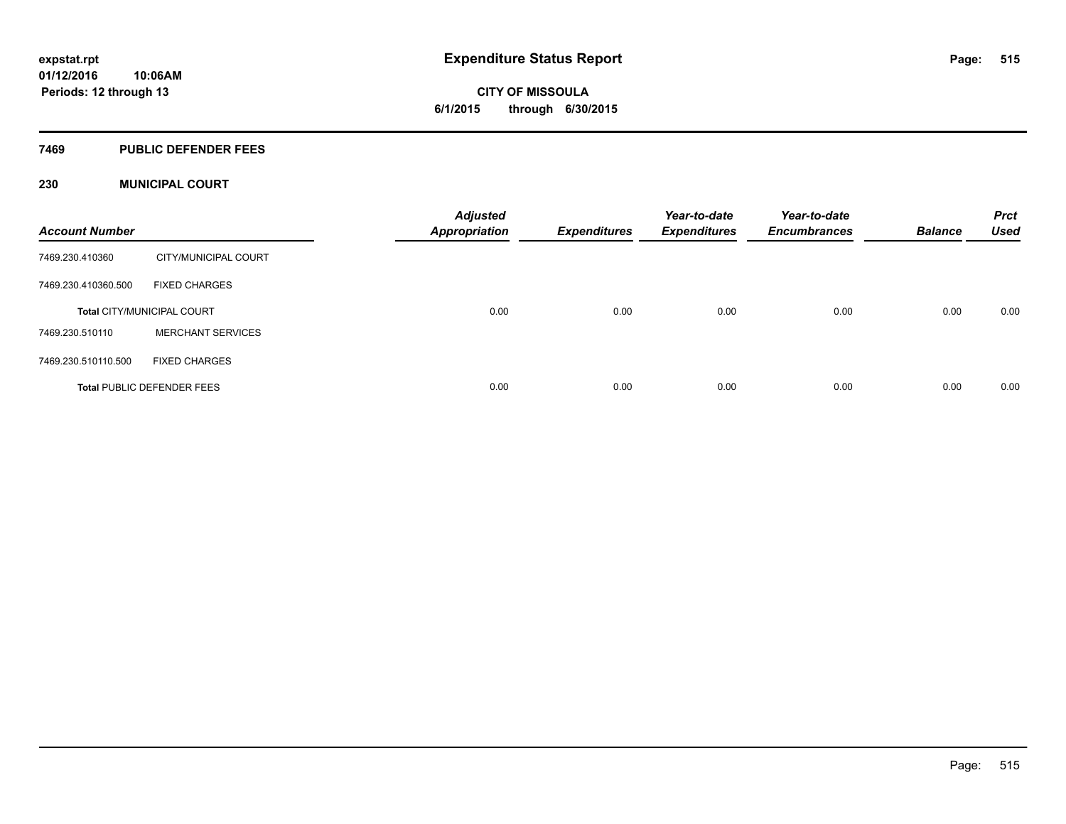#### **7469 PUBLIC DEFENDER FEES**

### **230 MUNICIPAL COURT**

| <b>Account Number</b> |                                   | <b>Adjusted</b><br><b>Appropriation</b> | <b>Expenditures</b> | Year-to-date<br><b>Expenditures</b> | Year-to-date<br><b>Encumbrances</b> | <b>Balance</b> | <b>Prct</b><br><b>Used</b> |
|-----------------------|-----------------------------------|-----------------------------------------|---------------------|-------------------------------------|-------------------------------------|----------------|----------------------------|
| 7469.230.410360       | CITY/MUNICIPAL COURT              |                                         |                     |                                     |                                     |                |                            |
| 7469.230.410360.500   | <b>FIXED CHARGES</b>              |                                         |                     |                                     |                                     |                |                            |
|                       | <b>Total CITY/MUNICIPAL COURT</b> | 0.00                                    | 0.00                | 0.00                                | 0.00                                | 0.00           | 0.00                       |
| 7469.230.510110       | <b>MERCHANT SERVICES</b>          |                                         |                     |                                     |                                     |                |                            |
| 7469.230.510110.500   | <b>FIXED CHARGES</b>              |                                         |                     |                                     |                                     |                |                            |
|                       | <b>Total PUBLIC DEFENDER FEES</b> | 0.00                                    | 0.00                | 0.00                                | 0.00                                | 0.00           | 0.00                       |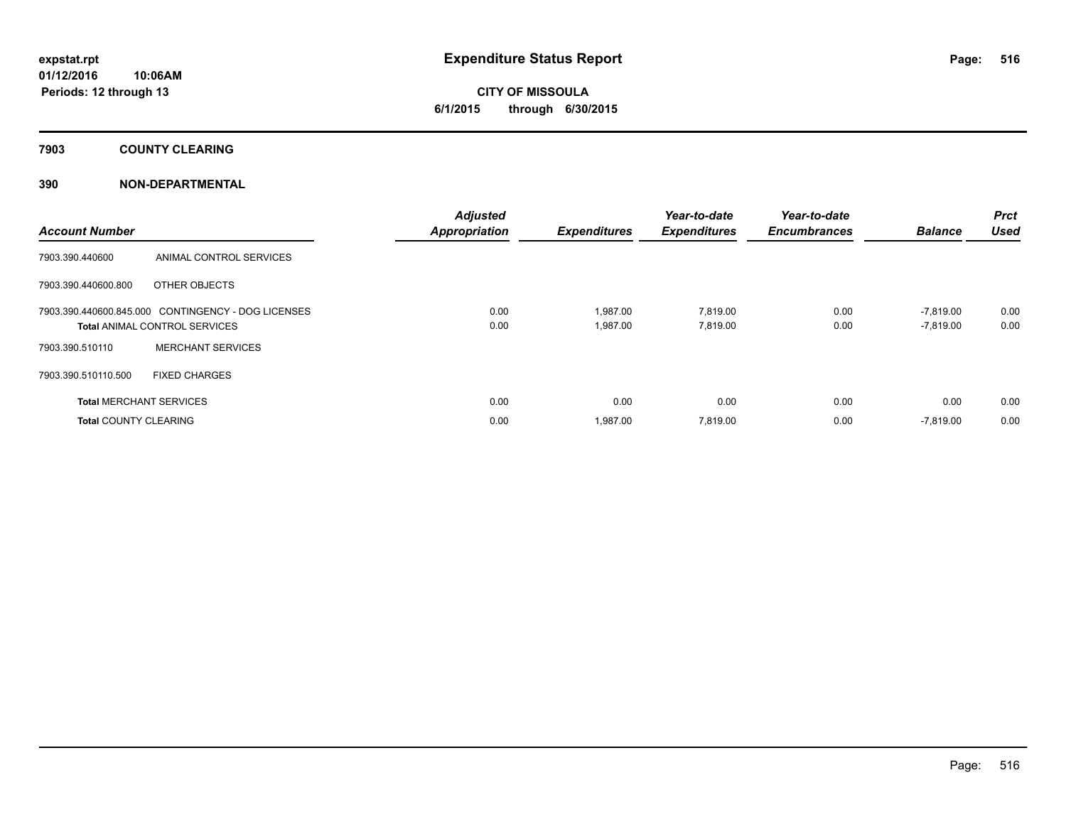**7903 COUNTY CLEARING**

### **390 NON-DEPARTMENTAL**

| <b>Account Number</b>          |                                                    | <b>Adjusted</b><br><b>Appropriation</b> | <b>Expenditures</b> | Year-to-date<br><b>Expenditures</b> | Year-to-date<br><b>Encumbrances</b> | <b>Balance</b> | <b>Prct</b><br><b>Used</b> |
|--------------------------------|----------------------------------------------------|-----------------------------------------|---------------------|-------------------------------------|-------------------------------------|----------------|----------------------------|
| 7903.390.440600                | ANIMAL CONTROL SERVICES                            |                                         |                     |                                     |                                     |                |                            |
| 7903.390.440600.800            | OTHER OBJECTS                                      |                                         |                     |                                     |                                     |                |                            |
|                                | 7903.390.440600.845.000 CONTINGENCY - DOG LICENSES | 0.00                                    | 1,987.00            | 7,819.00                            | 0.00                                | $-7,819.00$    | 0.00                       |
|                                | <b>Total ANIMAL CONTROL SERVICES</b>               | 0.00                                    | 1,987.00            | 7,819.00                            | 0.00                                | $-7,819.00$    | 0.00                       |
| 7903.390.510110                | <b>MERCHANT SERVICES</b>                           |                                         |                     |                                     |                                     |                |                            |
| 7903.390.510110.500            | <b>FIXED CHARGES</b>                               |                                         |                     |                                     |                                     |                |                            |
| <b>Total MERCHANT SERVICES</b> |                                                    | 0.00                                    | 0.00                | 0.00                                | 0.00                                | 0.00           | 0.00                       |
| <b>Total COUNTY CLEARING</b>   |                                                    | 0.00                                    | 1,987.00            | 7,819.00                            | 0.00                                | $-7,819.00$    | 0.00                       |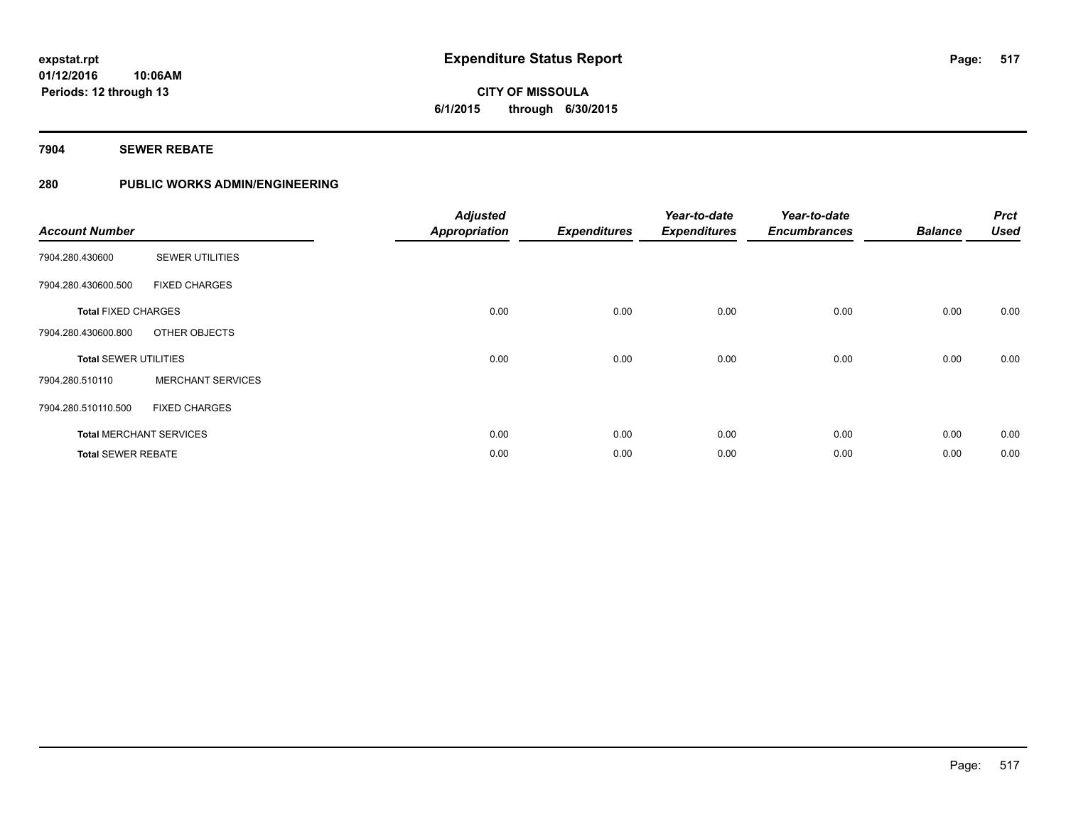**7904 SEWER REBATE**

**Periods: 12 through 13**

**10:06AM**

## **280 PUBLIC WORKS ADMIN/ENGINEERING**

| <b>Account Number</b>          |                          | <b>Adjusted</b><br><b>Appropriation</b> | <b>Expenditures</b> | Year-to-date<br><b>Expenditures</b> | Year-to-date<br><b>Encumbrances</b> | <b>Balance</b> | <b>Prct</b><br><b>Used</b> |
|--------------------------------|--------------------------|-----------------------------------------|---------------------|-------------------------------------|-------------------------------------|----------------|----------------------------|
| 7904.280.430600                | <b>SEWER UTILITIES</b>   |                                         |                     |                                     |                                     |                |                            |
| 7904.280.430600.500            | <b>FIXED CHARGES</b>     |                                         |                     |                                     |                                     |                |                            |
| <b>Total FIXED CHARGES</b>     |                          | 0.00                                    | 0.00                | 0.00                                | 0.00                                | 0.00           | 0.00                       |
| 7904.280.430600.800            | OTHER OBJECTS            |                                         |                     |                                     |                                     |                |                            |
| <b>Total SEWER UTILITIES</b>   |                          | 0.00                                    | 0.00                | 0.00                                | 0.00                                | 0.00           | 0.00                       |
| 7904.280.510110                | <b>MERCHANT SERVICES</b> |                                         |                     |                                     |                                     |                |                            |
| 7904.280.510110.500            | <b>FIXED CHARGES</b>     |                                         |                     |                                     |                                     |                |                            |
| <b>Total MERCHANT SERVICES</b> |                          | 0.00                                    | 0.00                | 0.00                                | 0.00                                | 0.00           | 0.00                       |
| <b>Total SEWER REBATE</b>      |                          | 0.00                                    | 0.00                | 0.00                                | 0.00                                | 0.00           | 0.00                       |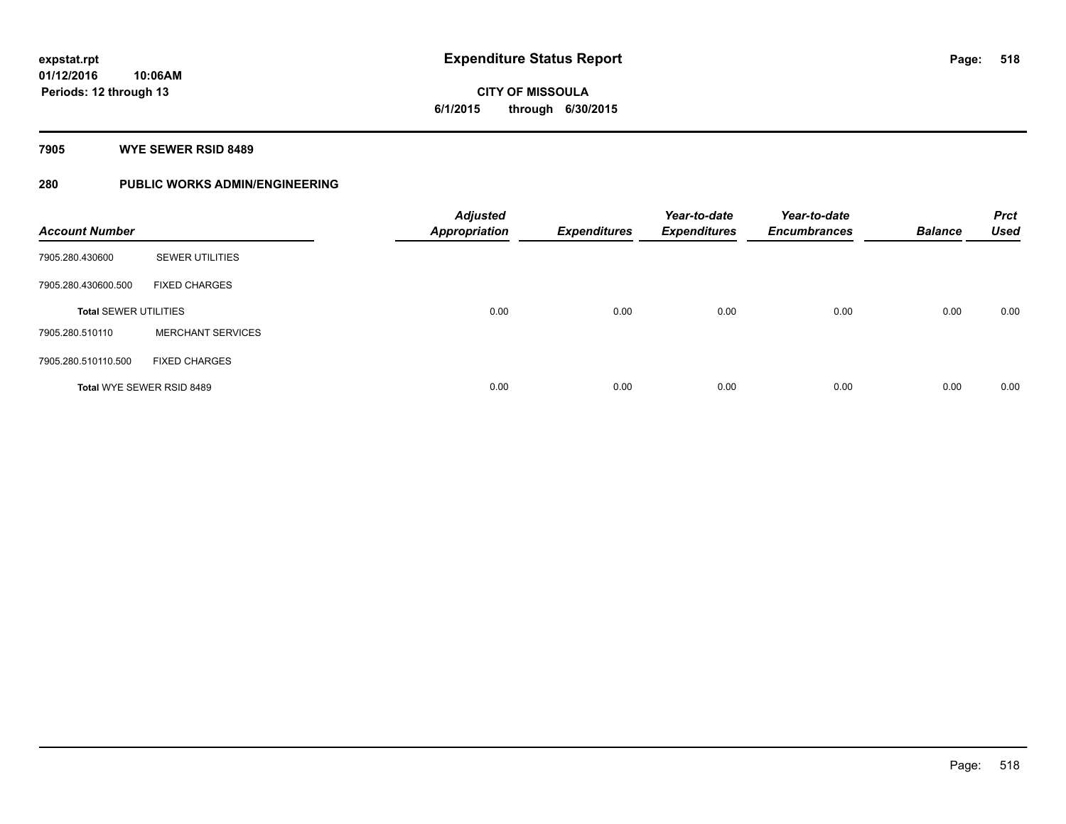**CITY OF MISSOULA 6/1/2015 through 6/30/2015**

**7905 WYE SEWER RSID 8489**

## **280 PUBLIC WORKS ADMIN/ENGINEERING**

| <b>Account Number</b>            |                          | <b>Adjusted</b><br><b>Appropriation</b> | <b>Expenditures</b> | Year-to-date<br><b>Expenditures</b> | Year-to-date<br><b>Encumbrances</b> | <b>Balance</b> | <b>Prct</b><br><b>Used</b> |
|----------------------------------|--------------------------|-----------------------------------------|---------------------|-------------------------------------|-------------------------------------|----------------|----------------------------|
| 7905.280.430600                  | <b>SEWER UTILITIES</b>   |                                         |                     |                                     |                                     |                |                            |
| 7905.280.430600.500              | <b>FIXED CHARGES</b>     |                                         |                     |                                     |                                     |                |                            |
| <b>Total SEWER UTILITIES</b>     |                          | 0.00                                    | 0.00                | 0.00                                | 0.00                                | 0.00           | 0.00                       |
| 7905.280.510110                  | <b>MERCHANT SERVICES</b> |                                         |                     |                                     |                                     |                |                            |
| 7905.280.510110.500              | <b>FIXED CHARGES</b>     |                                         |                     |                                     |                                     |                |                            |
| <b>Total WYE SEWER RSID 8489</b> |                          | 0.00                                    | 0.00                | 0.00                                | 0.00                                | 0.00           | 0.00                       |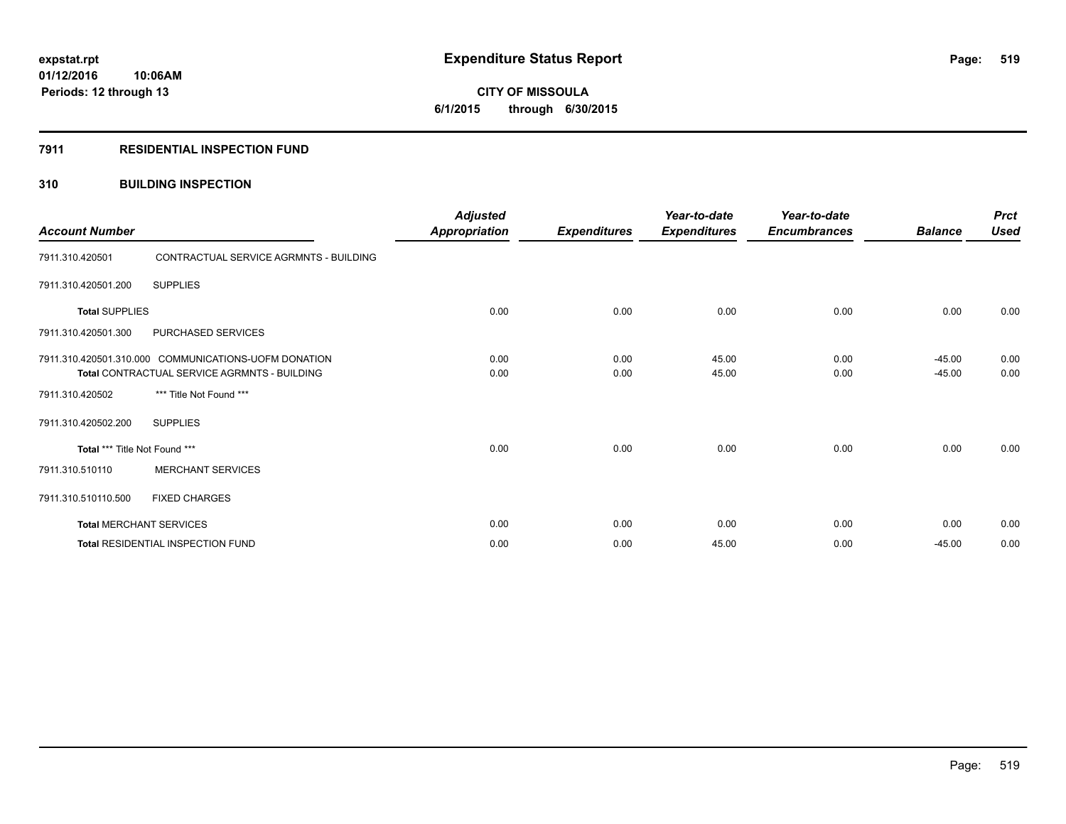# **CITY OF MISSOULA 6/1/2015 through 6/30/2015**

#### **7911 RESIDENTIAL INSPECTION FUND**

### **310 BUILDING INSPECTION**

| <b>Account Number</b>                                |                                        | <b>Adjusted</b><br><b>Appropriation</b> | <b>Expenditures</b> | Year-to-date<br><b>Expenditures</b> | Year-to-date<br><b>Encumbrances</b> | <b>Balance</b> | <b>Prct</b><br><b>Used</b> |
|------------------------------------------------------|----------------------------------------|-----------------------------------------|---------------------|-------------------------------------|-------------------------------------|----------------|----------------------------|
| 7911.310.420501                                      | CONTRACTUAL SERVICE AGRMNTS - BUILDING |                                         |                     |                                     |                                     |                |                            |
| 7911.310.420501.200                                  | <b>SUPPLIES</b>                        |                                         |                     |                                     |                                     |                |                            |
| <b>Total SUPPLIES</b>                                |                                        | 0.00                                    | 0.00                | 0.00                                | 0.00                                | 0.00           | 0.00                       |
| 7911.310.420501.300                                  | PURCHASED SERVICES                     |                                         |                     |                                     |                                     |                |                            |
| 7911.310.420501.310.000 COMMUNICATIONS-UOFM DONATION |                                        | 0.00                                    | 0.00                | 45.00                               | 0.00                                | $-45.00$       | 0.00                       |
| Total CONTRACTUAL SERVICE AGRMNTS - BUILDING         |                                        | 0.00                                    | 0.00                | 45.00                               | 0.00                                | $-45.00$       | 0.00                       |
| 7911.310.420502                                      | *** Title Not Found ***                |                                         |                     |                                     |                                     |                |                            |
| 7911.310.420502.200                                  | <b>SUPPLIES</b>                        |                                         |                     |                                     |                                     |                |                            |
| Total *** Title Not Found ***                        |                                        | 0.00                                    | 0.00                | 0.00                                | 0.00                                | 0.00           | 0.00                       |
| 7911.310.510110                                      | <b>MERCHANT SERVICES</b>               |                                         |                     |                                     |                                     |                |                            |
| 7911.310.510110.500                                  | <b>FIXED CHARGES</b>                   |                                         |                     |                                     |                                     |                |                            |
| <b>Total MERCHANT SERVICES</b>                       |                                        | 0.00                                    | 0.00                | 0.00                                | 0.00                                | 0.00           | 0.00                       |
| Total RESIDENTIAL INSPECTION FUND                    |                                        | 0.00                                    | 0.00                | 45.00                               | 0.00                                | $-45.00$       | 0.00                       |